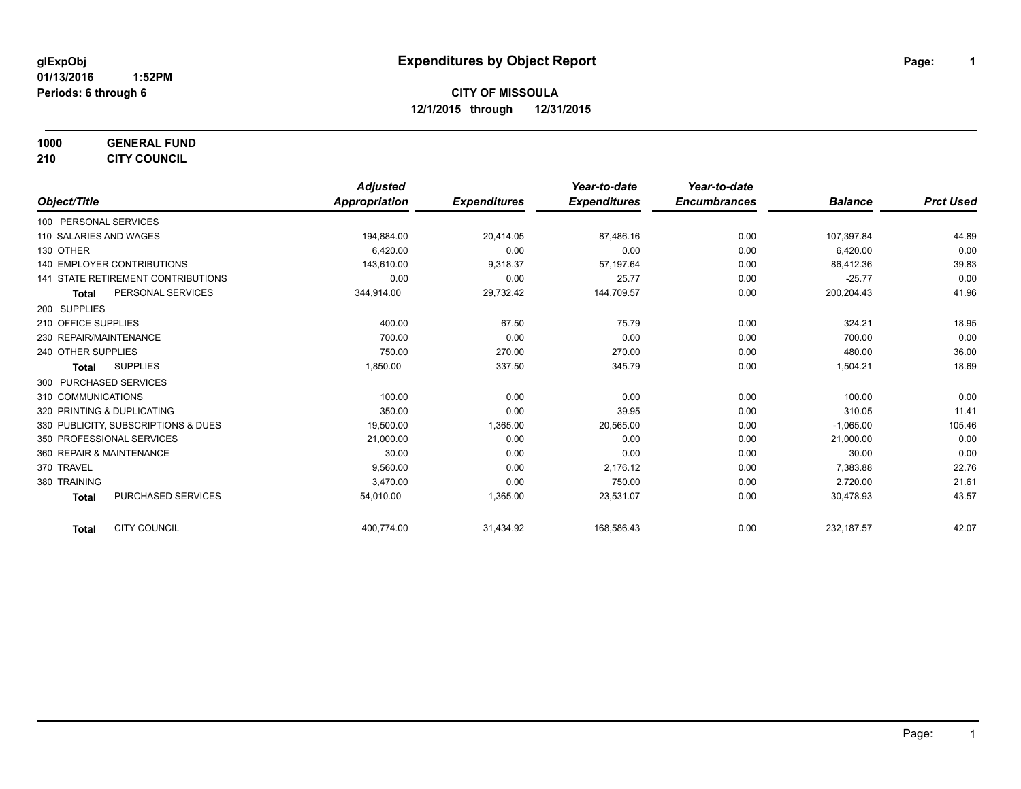**1000 GENERAL FUND 210 CITY COUNCIL**

|                                           | <b>Adjusted</b>      |                     | Year-to-date        | Year-to-date        |                |                  |
|-------------------------------------------|----------------------|---------------------|---------------------|---------------------|----------------|------------------|
| Object/Title                              | <b>Appropriation</b> | <b>Expenditures</b> | <b>Expenditures</b> | <b>Encumbrances</b> | <b>Balance</b> | <b>Prct Used</b> |
| 100 PERSONAL SERVICES                     |                      |                     |                     |                     |                |                  |
| 110 SALARIES AND WAGES                    | 194,884.00           | 20,414.05           | 87,486.16           | 0.00                | 107,397.84     | 44.89            |
| 130 OTHER                                 | 6,420.00             | 0.00                | 0.00                | 0.00                | 6,420.00       | 0.00             |
| <b>140 EMPLOYER CONTRIBUTIONS</b>         | 143,610.00           | 9,318.37            | 57,197.64           | 0.00                | 86,412.36      | 39.83            |
| <b>141 STATE RETIREMENT CONTRIBUTIONS</b> | 0.00                 | 0.00                | 25.77               | 0.00                | $-25.77$       | 0.00             |
| PERSONAL SERVICES<br><b>Total</b>         | 344,914.00           | 29,732.42           | 144,709.57          | 0.00                | 200,204.43     | 41.96            |
| 200 SUPPLIES                              |                      |                     |                     |                     |                |                  |
| 210 OFFICE SUPPLIES                       | 400.00               | 67.50               | 75.79               | 0.00                | 324.21         | 18.95            |
| 230 REPAIR/MAINTENANCE                    | 700.00               | 0.00                | 0.00                | 0.00                | 700.00         | 0.00             |
| 240 OTHER SUPPLIES                        | 750.00               | 270.00              | 270.00              | 0.00                | 480.00         | 36.00            |
| <b>SUPPLIES</b><br><b>Total</b>           | 1,850.00             | 337.50              | 345.79              | 0.00                | 1,504.21       | 18.69            |
| 300 PURCHASED SERVICES                    |                      |                     |                     |                     |                |                  |
| 310 COMMUNICATIONS                        | 100.00               | 0.00                | 0.00                | 0.00                | 100.00         | 0.00             |
| 320 PRINTING & DUPLICATING                | 350.00               | 0.00                | 39.95               | 0.00                | 310.05         | 11.41            |
| 330 PUBLICITY, SUBSCRIPTIONS & DUES       | 19,500.00            | 1,365.00            | 20,565.00           | 0.00                | $-1,065.00$    | 105.46           |
| 350 PROFESSIONAL SERVICES                 | 21,000.00            | 0.00                | 0.00                | 0.00                | 21,000.00      | 0.00             |
| 360 REPAIR & MAINTENANCE                  | 30.00                | 0.00                | 0.00                | 0.00                | 30.00          | 0.00             |
| 370 TRAVEL                                | 9,560.00             | 0.00                | 2,176.12            | 0.00                | 7,383.88       | 22.76            |
| 380 TRAINING                              | 3,470.00             | 0.00                | 750.00              | 0.00                | 2,720.00       | 21.61            |
| <b>PURCHASED SERVICES</b><br><b>Total</b> | 54,010.00            | 1,365.00            | 23,531.07           | 0.00                | 30.478.93      | 43.57            |
| <b>CITY COUNCIL</b><br><b>Total</b>       | 400,774.00           | 31,434.92           | 168,586.43          | 0.00                | 232, 187.57    | 42.07            |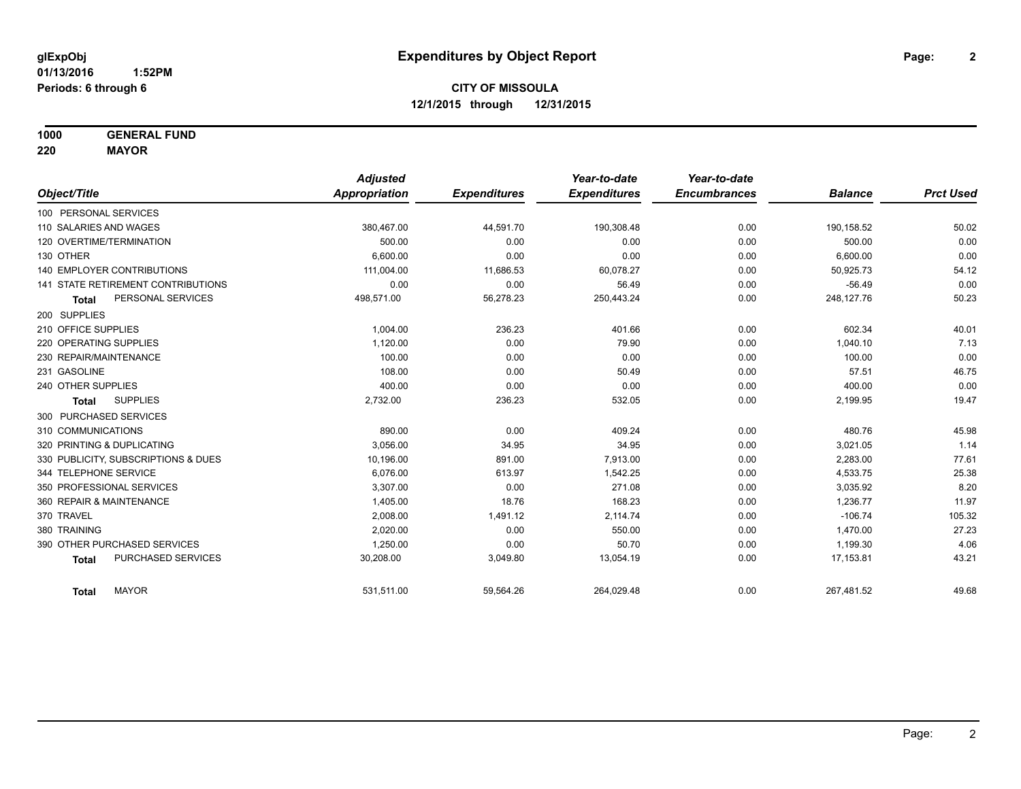**1000 GENERAL FUND**

**220 MAYOR**

|                                     | <b>Adjusted</b> |                     | Year-to-date        | Year-to-date        |                |                  |
|-------------------------------------|-----------------|---------------------|---------------------|---------------------|----------------|------------------|
| Object/Title                        | Appropriation   | <b>Expenditures</b> | <b>Expenditures</b> | <b>Encumbrances</b> | <b>Balance</b> | <b>Prct Used</b> |
| 100 PERSONAL SERVICES               |                 |                     |                     |                     |                |                  |
| 110 SALARIES AND WAGES              | 380,467.00      | 44,591.70           | 190,308.48          | 0.00                | 190,158.52     | 50.02            |
| 120 OVERTIME/TERMINATION            | 500.00          | 0.00                | 0.00                | 0.00                | 500.00         | 0.00             |
| 130 OTHER                           | 6.600.00        | 0.00                | 0.00                | 0.00                | 6,600.00       | 0.00             |
| <b>140 EMPLOYER CONTRIBUTIONS</b>   | 111,004.00      | 11,686.53           | 60,078.27           | 0.00                | 50,925.73      | 54.12            |
| 141 STATE RETIREMENT CONTRIBUTIONS  | 0.00            | 0.00                | 56.49               | 0.00                | $-56.49$       | 0.00             |
| PERSONAL SERVICES<br><b>Total</b>   | 498,571.00      | 56,278.23           | 250,443.24          | 0.00                | 248,127.76     | 50.23            |
| 200 SUPPLIES                        |                 |                     |                     |                     |                |                  |
| 210 OFFICE SUPPLIES                 | 1,004.00        | 236.23              | 401.66              | 0.00                | 602.34         | 40.01            |
| 220 OPERATING SUPPLIES              | 1,120.00        | 0.00                | 79.90               | 0.00                | 1,040.10       | 7.13             |
| 230 REPAIR/MAINTENANCE              | 100.00          | 0.00                | 0.00                | 0.00                | 100.00         | 0.00             |
| 231 GASOLINE                        | 108.00          | 0.00                | 50.49               | 0.00                | 57.51          | 46.75            |
| 240 OTHER SUPPLIES                  | 400.00          | 0.00                | 0.00                | 0.00                | 400.00         | 0.00             |
| <b>SUPPLIES</b><br><b>Total</b>     | 2,732.00        | 236.23              | 532.05              | 0.00                | 2,199.95       | 19.47            |
| 300 PURCHASED SERVICES              |                 |                     |                     |                     |                |                  |
| 310 COMMUNICATIONS                  | 890.00          | 0.00                | 409.24              | 0.00                | 480.76         | 45.98            |
| 320 PRINTING & DUPLICATING          | 3.056.00        | 34.95               | 34.95               | 0.00                | 3,021.05       | 1.14             |
| 330 PUBLICITY, SUBSCRIPTIONS & DUES | 10,196.00       | 891.00              | 7,913.00            | 0.00                | 2,283.00       | 77.61            |
| 344 TELEPHONE SERVICE               | 6.076.00        | 613.97              | 1,542.25            | 0.00                | 4,533.75       | 25.38            |
| 350 PROFESSIONAL SERVICES           | 3,307.00        | 0.00                | 271.08              | 0.00                | 3,035.92       | 8.20             |
| 360 REPAIR & MAINTENANCE            | 1,405.00        | 18.76               | 168.23              | 0.00                | 1,236.77       | 11.97            |
| 370 TRAVEL                          | 2,008.00        | 1,491.12            | 2,114.74            | 0.00                | $-106.74$      | 105.32           |
| 380 TRAINING                        | 2,020.00        | 0.00                | 550.00              | 0.00                | 1,470.00       | 27.23            |
| 390 OTHER PURCHASED SERVICES        | 1,250.00        | 0.00                | 50.70               | 0.00                | 1,199.30       | 4.06             |
| PURCHASED SERVICES<br><b>Total</b>  | 30,208.00       | 3,049.80            | 13,054.19           | 0.00                | 17,153.81      | 43.21            |
| <b>MAYOR</b><br><b>Total</b>        | 531,511.00      | 59,564.26           | 264,029.48          | 0.00                | 267,481.52     | 49.68            |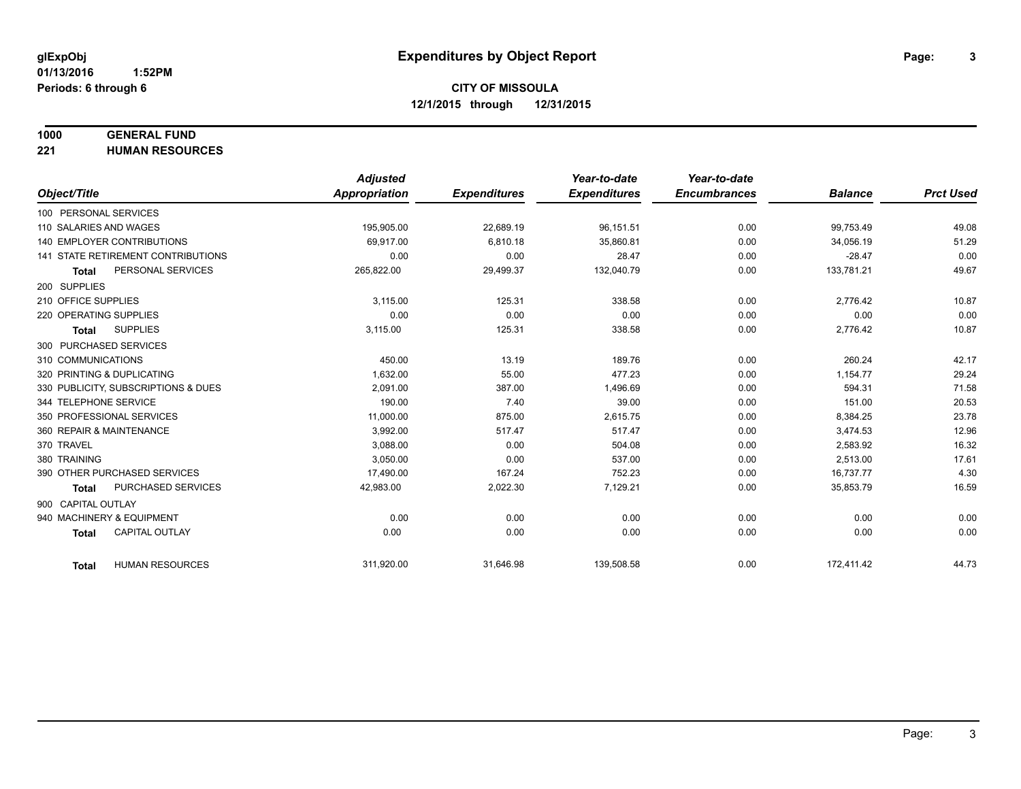# **1000 GENERAL FUND**

**221 HUMAN RESOURCES**

|                          |                                     | <b>Adjusted</b> |                     | Year-to-date        | Year-to-date        |                |                  |
|--------------------------|-------------------------------------|-----------------|---------------------|---------------------|---------------------|----------------|------------------|
| Object/Title             |                                     | Appropriation   | <b>Expenditures</b> | <b>Expenditures</b> | <b>Encumbrances</b> | <b>Balance</b> | <b>Prct Used</b> |
| 100 PERSONAL SERVICES    |                                     |                 |                     |                     |                     |                |                  |
| 110 SALARIES AND WAGES   |                                     | 195,905.00      | 22,689.19           | 96,151.51           | 0.00                | 99,753.49      | 49.08            |
|                          | 140 EMPLOYER CONTRIBUTIONS          | 69.917.00       | 6,810.18            | 35,860.81           | 0.00                | 34,056.19      | 51.29            |
|                          | 141 STATE RETIREMENT CONTRIBUTIONS  | 0.00            | 0.00                | 28.47               | 0.00                | $-28.47$       | 0.00             |
| <b>Total</b>             | PERSONAL SERVICES                   | 265,822.00      | 29,499.37           | 132,040.79          | 0.00                | 133,781.21     | 49.67            |
| 200 SUPPLIES             |                                     |                 |                     |                     |                     |                |                  |
| 210 OFFICE SUPPLIES      |                                     | 3,115.00        | 125.31              | 338.58              | 0.00                | 2,776.42       | 10.87            |
| 220 OPERATING SUPPLIES   |                                     | 0.00            | 0.00                | 0.00                | 0.00                | 0.00           | 0.00             |
| <b>Total</b>             | <b>SUPPLIES</b>                     | 3,115.00        | 125.31              | 338.58              | 0.00                | 2,776.42       | 10.87            |
| 300 PURCHASED SERVICES   |                                     |                 |                     |                     |                     |                |                  |
| 310 COMMUNICATIONS       |                                     | 450.00          | 13.19               | 189.76              | 0.00                | 260.24         | 42.17            |
|                          | 320 PRINTING & DUPLICATING          | 1,632.00        | 55.00               | 477.23              | 0.00                | 1,154.77       | 29.24            |
|                          | 330 PUBLICITY, SUBSCRIPTIONS & DUES | 2,091.00        | 387.00              | 1,496.69            | 0.00                | 594.31         | 71.58            |
| 344 TELEPHONE SERVICE    |                                     | 190.00          | 7.40                | 39.00               | 0.00                | 151.00         | 20.53            |
|                          | 350 PROFESSIONAL SERVICES           | 11,000.00       | 875.00              | 2,615.75            | 0.00                | 8,384.25       | 23.78            |
| 360 REPAIR & MAINTENANCE |                                     | 3,992.00        | 517.47              | 517.47              | 0.00                | 3,474.53       | 12.96            |
| 370 TRAVEL               |                                     | 3,088.00        | 0.00                | 504.08              | 0.00                | 2,583.92       | 16.32            |
| 380 TRAINING             |                                     | 3,050.00        | 0.00                | 537.00              | 0.00                | 2,513.00       | 17.61            |
|                          | 390 OTHER PURCHASED SERVICES        | 17,490.00       | 167.24              | 752.23              | 0.00                | 16,737.77      | 4.30             |
| <b>Total</b>             | <b>PURCHASED SERVICES</b>           | 42,983.00       | 2,022.30            | 7,129.21            | 0.00                | 35,853.79      | 16.59            |
| 900 CAPITAL OUTLAY       |                                     |                 |                     |                     |                     |                |                  |
|                          | 940 MACHINERY & EQUIPMENT           | 0.00            | 0.00                | 0.00                | 0.00                | 0.00           | 0.00             |
| <b>Total</b>             | <b>CAPITAL OUTLAY</b>               | 0.00            | 0.00                | 0.00                | 0.00                | 0.00           | 0.00             |
|                          |                                     |                 |                     |                     |                     |                |                  |
| <b>Total</b>             | <b>HUMAN RESOURCES</b>              | 311,920.00      | 31,646.98           | 139,508.58          | 0.00                | 172,411.42     | 44.73            |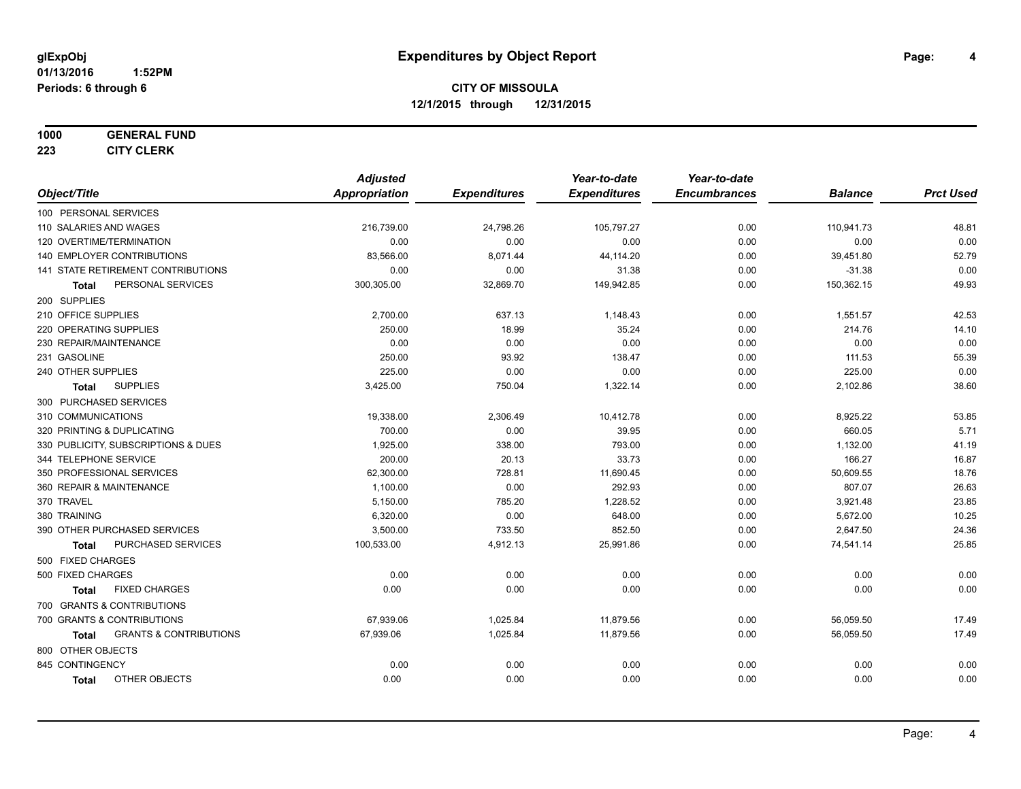#### **1000 GENERAL FUND**

**223 CITY CLERK**

|                                            | <b>Adjusted</b> |                     | Year-to-date        | Year-to-date        |                |                  |
|--------------------------------------------|-----------------|---------------------|---------------------|---------------------|----------------|------------------|
| Object/Title                               | Appropriation   | <b>Expenditures</b> | <b>Expenditures</b> | <b>Encumbrances</b> | <b>Balance</b> | <b>Prct Used</b> |
| 100 PERSONAL SERVICES                      |                 |                     |                     |                     |                |                  |
| 110 SALARIES AND WAGES                     | 216,739.00      | 24,798.26           | 105,797.27          | 0.00                | 110,941.73     | 48.81            |
| 120 OVERTIME/TERMINATION                   | 0.00            | 0.00                | 0.00                | 0.00                | 0.00           | 0.00             |
| <b>140 EMPLOYER CONTRIBUTIONS</b>          | 83,566.00       | 8,071.44            | 44,114.20           | 0.00                | 39,451.80      | 52.79            |
| 141 STATE RETIREMENT CONTRIBUTIONS         | 0.00            | 0.00                | 31.38               | 0.00                | $-31.38$       | 0.00             |
| PERSONAL SERVICES<br><b>Total</b>          | 300,305.00      | 32,869.70           | 149,942.85          | 0.00                | 150,362.15     | 49.93            |
| 200 SUPPLIES                               |                 |                     |                     |                     |                |                  |
| 210 OFFICE SUPPLIES                        | 2,700.00        | 637.13              | 1,148.43            | 0.00                | 1,551.57       | 42.53            |
| 220 OPERATING SUPPLIES                     | 250.00          | 18.99               | 35.24               | 0.00                | 214.76         | 14.10            |
| 230 REPAIR/MAINTENANCE                     | 0.00            | 0.00                | 0.00                | 0.00                | 0.00           | 0.00             |
| 231 GASOLINE                               | 250.00          | 93.92               | 138.47              | 0.00                | 111.53         | 55.39            |
| 240 OTHER SUPPLIES                         | 225.00          | 0.00                | 0.00                | 0.00                | 225.00         | 0.00             |
| <b>SUPPLIES</b><br>Total                   | 3,425.00        | 750.04              | 1,322.14            | 0.00                | 2,102.86       | 38.60            |
| 300 PURCHASED SERVICES                     |                 |                     |                     |                     |                |                  |
| 310 COMMUNICATIONS                         | 19,338.00       | 2,306.49            | 10,412.78           | 0.00                | 8,925.22       | 53.85            |
| 320 PRINTING & DUPLICATING                 | 700.00          | 0.00                | 39.95               | 0.00                | 660.05         | 5.71             |
| 330 PUBLICITY, SUBSCRIPTIONS & DUES        | 1,925.00        | 338.00              | 793.00              | 0.00                | 1,132.00       | 41.19            |
| 344 TELEPHONE SERVICE                      | 200.00          | 20.13               | 33.73               | 0.00                | 166.27         | 16.87            |
| 350 PROFESSIONAL SERVICES                  | 62,300.00       | 728.81              | 11,690.45           | 0.00                | 50,609.55      | 18.76            |
| 360 REPAIR & MAINTENANCE                   | 1,100.00        | 0.00                | 292.93              | 0.00                | 807.07         | 26.63            |
| 370 TRAVEL                                 | 5,150.00        | 785.20              | 1.228.52            | 0.00                | 3,921.48       | 23.85            |
| 380 TRAINING                               | 6,320.00        | 0.00                | 648.00              | 0.00                | 5,672.00       | 10.25            |
| 390 OTHER PURCHASED SERVICES               | 3,500.00        | 733.50              | 852.50              | 0.00                | 2,647.50       | 24.36            |
| PURCHASED SERVICES<br>Total                | 100,533.00      | 4,912.13            | 25,991.86           | 0.00                | 74,541.14      | 25.85            |
| 500 FIXED CHARGES                          |                 |                     |                     |                     |                |                  |
| 500 FIXED CHARGES                          | 0.00            | 0.00                | 0.00                | 0.00                | 0.00           | 0.00             |
| <b>FIXED CHARGES</b><br><b>Total</b>       | 0.00            | 0.00                | 0.00                | 0.00                | 0.00           | 0.00             |
| 700 GRANTS & CONTRIBUTIONS                 |                 |                     |                     |                     |                |                  |
| 700 GRANTS & CONTRIBUTIONS                 | 67,939.06       | 1,025.84            | 11,879.56           | 0.00                | 56,059.50      | 17.49            |
| <b>GRANTS &amp; CONTRIBUTIONS</b><br>Total | 67,939.06       | 1,025.84            | 11,879.56           | 0.00                | 56,059.50      | 17.49            |
| 800 OTHER OBJECTS                          |                 |                     |                     |                     |                |                  |
| 845 CONTINGENCY                            | 0.00            | 0.00                | 0.00                | 0.00                | 0.00           | 0.00             |
| OTHER OBJECTS<br><b>Total</b>              | 0.00            | 0.00                | 0.00                | 0.00                | 0.00           | 0.00             |
|                                            |                 |                     |                     |                     |                |                  |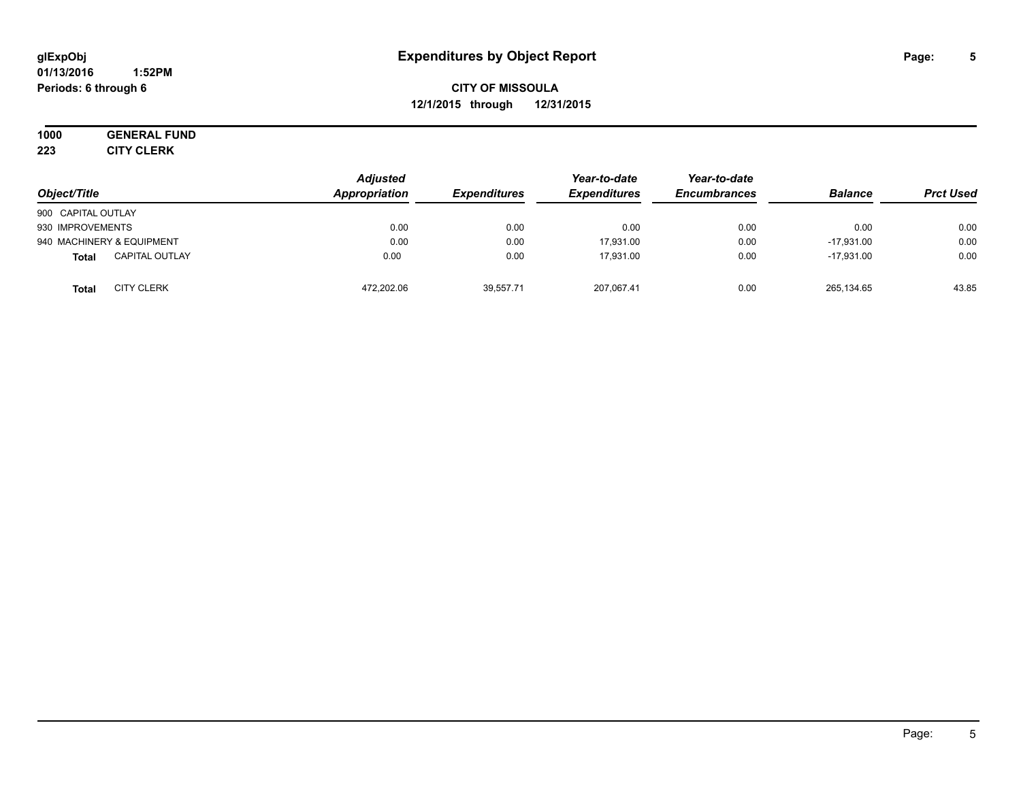#### **01/13/2016 1:52PM Periods: 6 through 6**

**CITY OF MISSOULA 12/1/2015 through 12/31/2015**

**1000 GENERAL FUND 223 CITY CLERK**

| Object/Title                          | <b>Adjusted</b><br>Appropriation | <b>Expenditures</b> | Year-to-date<br><b>Expenditures</b> | Year-to-date<br><b>Encumbrances</b> | <b>Balance</b> | <b>Prct Used</b> |
|---------------------------------------|----------------------------------|---------------------|-------------------------------------|-------------------------------------|----------------|------------------|
| 900 CAPITAL OUTLAY                    |                                  |                     |                                     |                                     |                |                  |
| 930 IMPROVEMENTS                      | 0.00                             | 0.00                | 0.00                                | 0.00                                | 0.00           | 0.00             |
| 940 MACHINERY & EQUIPMENT             | 0.00                             | 0.00                | 17.931.00                           | 0.00                                | $-17.931.00$   | 0.00             |
| <b>CAPITAL OUTLAY</b><br><b>Total</b> | 0.00                             | 0.00                | 17.931.00                           | 0.00                                | $-17.931.00$   | 0.00             |
| <b>CITY CLERK</b><br><b>Total</b>     | 472,202.06                       | 39.557.71           | 207,067.41                          | 0.00                                | 265,134.65     | 43.85            |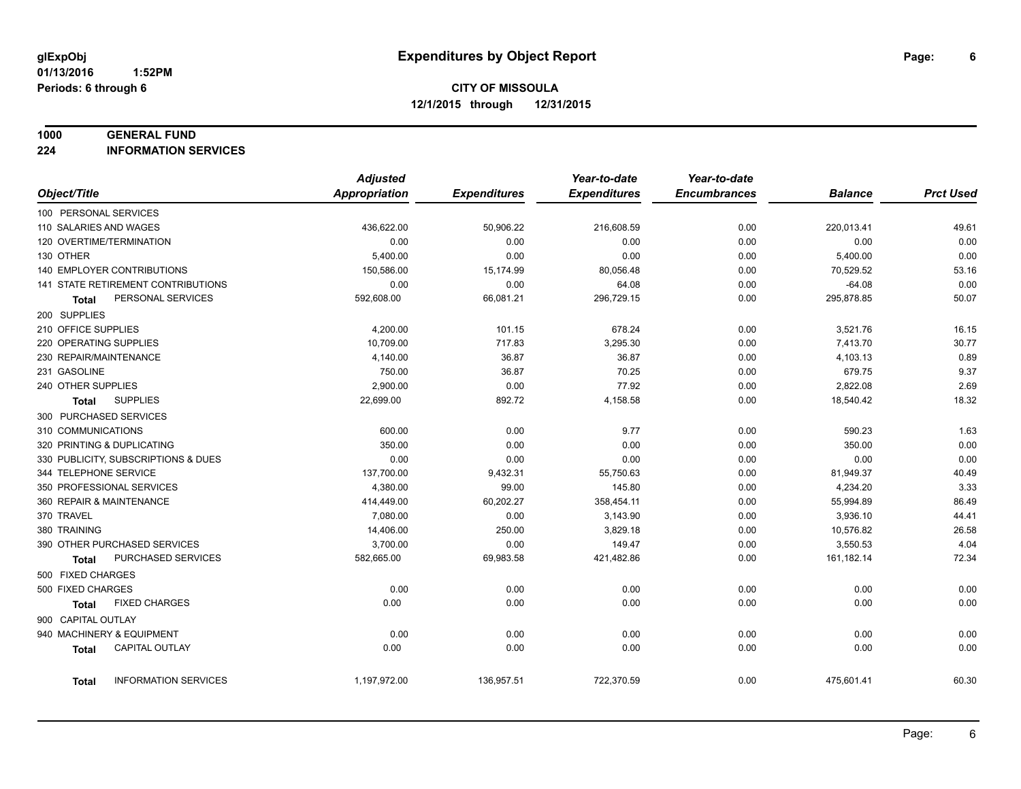#### **1000 GENERAL FUND**

**224 INFORMATION SERVICES**

|                                      | <b>Adjusted</b>      |                     | Year-to-date        | Year-to-date        |                |                  |
|--------------------------------------|----------------------|---------------------|---------------------|---------------------|----------------|------------------|
| Object/Title                         | <b>Appropriation</b> | <b>Expenditures</b> | <b>Expenditures</b> | <b>Encumbrances</b> | <b>Balance</b> | <b>Prct Used</b> |
| 100 PERSONAL SERVICES                |                      |                     |                     |                     |                |                  |
| 110 SALARIES AND WAGES               | 436,622.00           | 50,906.22           | 216,608.59          | 0.00                | 220,013.41     | 49.61            |
| 120 OVERTIME/TERMINATION             | 0.00                 | 0.00                | 0.00                | 0.00                | 0.00           | 0.00             |
| 130 OTHER                            | 5,400.00             | 0.00                | 0.00                | 0.00                | 5,400.00       | 0.00             |
| 140 EMPLOYER CONTRIBUTIONS           | 150,586.00           | 15,174.99           | 80,056.48           | 0.00                | 70,529.52      | 53.16            |
| 141 STATE RETIREMENT CONTRIBUTIONS   | 0.00                 | 0.00                | 64.08               | 0.00                | $-64.08$       | 0.00             |
| PERSONAL SERVICES<br>Total           | 592,608.00           | 66,081.21           | 296,729.15          | 0.00                | 295,878.85     | 50.07            |
| 200 SUPPLIES                         |                      |                     |                     |                     |                |                  |
| 210 OFFICE SUPPLIES                  | 4,200.00             | 101.15              | 678.24              | 0.00                | 3,521.76       | 16.15            |
| 220 OPERATING SUPPLIES               | 10,709.00            | 717.83              | 3,295.30            | 0.00                | 7,413.70       | 30.77            |
| 230 REPAIR/MAINTENANCE               | 4,140.00             | 36.87               | 36.87               | 0.00                | 4,103.13       | 0.89             |
| 231 GASOLINE                         | 750.00               | 36.87               | 70.25               | 0.00                | 679.75         | 9.37             |
| 240 OTHER SUPPLIES                   | 2,900.00             | 0.00                | 77.92               | 0.00                | 2,822.08       | 2.69             |
| <b>SUPPLIES</b><br><b>Total</b>      | 22,699.00            | 892.72              | 4,158.58            | 0.00                | 18,540.42      | 18.32            |
| 300 PURCHASED SERVICES               |                      |                     |                     |                     |                |                  |
| 310 COMMUNICATIONS                   | 600.00               | 0.00                | 9.77                | 0.00                | 590.23         | 1.63             |
| 320 PRINTING & DUPLICATING           | 350.00               | 0.00                | 0.00                | 0.00                | 350.00         | 0.00             |
| 330 PUBLICITY, SUBSCRIPTIONS & DUES  | 0.00                 | 0.00                | 0.00                | 0.00                | 0.00           | 0.00             |
| 344 TELEPHONE SERVICE                | 137,700.00           | 9,432.31            | 55,750.63           | 0.00                | 81,949.37      | 40.49            |
| 350 PROFESSIONAL SERVICES            | 4,380.00             | 99.00               | 145.80              | 0.00                | 4,234.20       | 3.33             |
| 360 REPAIR & MAINTENANCE             | 414,449.00           | 60,202.27           | 358,454.11          | 0.00                | 55,994.89      | 86.49            |
| 370 TRAVEL                           | 7,080.00             | 0.00                | 3,143.90            | 0.00                | 3,936.10       | 44.41            |
| 380 TRAINING                         | 14,406.00            | 250.00              | 3,829.18            | 0.00                | 10,576.82      | 26.58            |
| 390 OTHER PURCHASED SERVICES         | 3,700.00             | 0.00                | 149.47              | 0.00                | 3,550.53       | 4.04             |
| PURCHASED SERVICES<br><b>Total</b>   | 582,665.00           | 69,983.58           | 421,482.86          | 0.00                | 161,182.14     | 72.34            |
| 500 FIXED CHARGES                    |                      |                     |                     |                     |                |                  |
| 500 FIXED CHARGES                    | 0.00                 | 0.00                | 0.00                | 0.00                | 0.00           | 0.00             |
| <b>FIXED CHARGES</b><br>Total        | 0.00                 | 0.00                | 0.00                | 0.00                | 0.00           | 0.00             |
| 900 CAPITAL OUTLAY                   |                      |                     |                     |                     |                |                  |
| 940 MACHINERY & EQUIPMENT            | 0.00                 | 0.00                | 0.00                | 0.00                | 0.00           | 0.00             |
| CAPITAL OUTLAY<br><b>Total</b>       | 0.00                 | 0.00                | 0.00                | 0.00                | 0.00           | 0.00             |
|                                      |                      |                     |                     |                     |                |                  |
| <b>INFORMATION SERVICES</b><br>Total | 1,197,972.00         | 136,957.51          | 722,370.59          | 0.00                | 475,601.41     | 60.30            |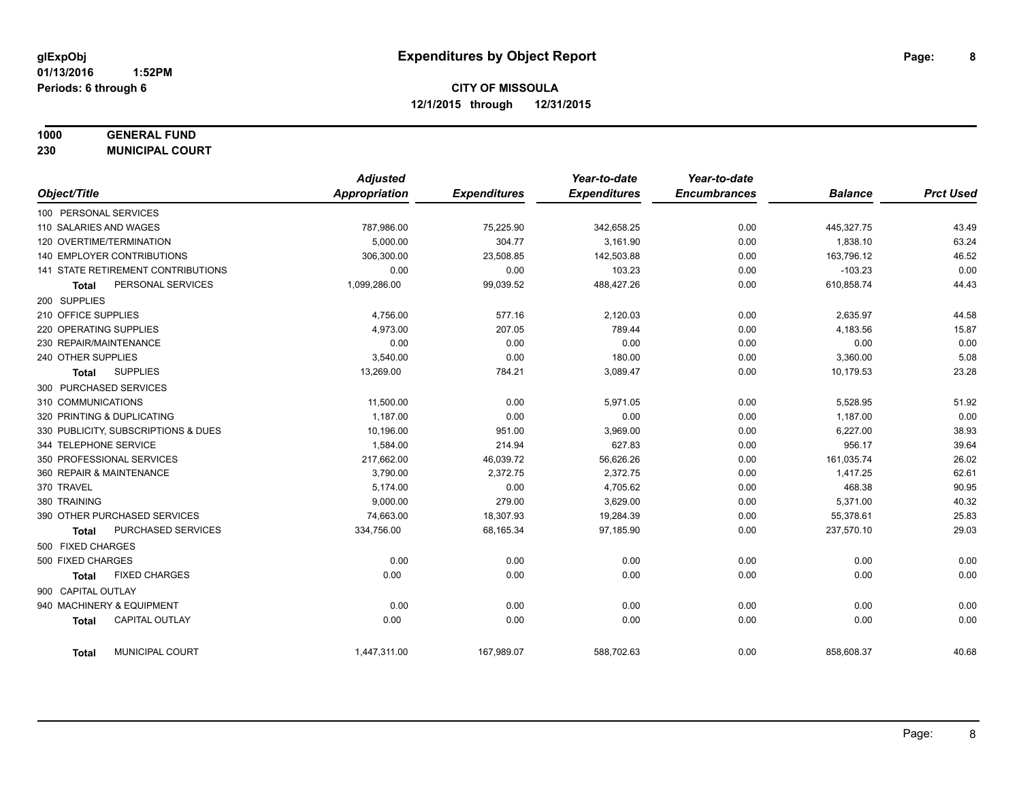# **1000 GENERAL FUND**

**230 MUNICIPAL COURT**

|                                           | <b>Adjusted</b> |                     | Year-to-date        | Year-to-date        |                |                  |
|-------------------------------------------|-----------------|---------------------|---------------------|---------------------|----------------|------------------|
| Object/Title                              | Appropriation   | <b>Expenditures</b> | <b>Expenditures</b> | <b>Encumbrances</b> | <b>Balance</b> | <b>Prct Used</b> |
| 100 PERSONAL SERVICES                     |                 |                     |                     |                     |                |                  |
| 110 SALARIES AND WAGES                    | 787,986.00      | 75,225.90           | 342,658.25          | 0.00                | 445,327.75     | 43.49            |
| 120 OVERTIME/TERMINATION                  | 5,000.00        | 304.77              | 3,161.90            | 0.00                | 1,838.10       | 63.24            |
| 140 EMPLOYER CONTRIBUTIONS                | 306,300.00      | 23,508.85           | 142,503.88          | 0.00                | 163,796.12     | 46.52            |
| 141 STATE RETIREMENT CONTRIBUTIONS        | 0.00            | 0.00                | 103.23              | 0.00                | $-103.23$      | 0.00             |
| PERSONAL SERVICES<br><b>Total</b>         | 1,099,286.00    | 99,039.52           | 488,427.26          | 0.00                | 610,858.74     | 44.43            |
| 200 SUPPLIES                              |                 |                     |                     |                     |                |                  |
| 210 OFFICE SUPPLIES                       | 4,756.00        | 577.16              | 2,120.03            | 0.00                | 2,635.97       | 44.58            |
| 220 OPERATING SUPPLIES                    | 4,973.00        | 207.05              | 789.44              | 0.00                | 4,183.56       | 15.87            |
| 230 REPAIR/MAINTENANCE                    | 0.00            | 0.00                | 0.00                | 0.00                | 0.00           | 0.00             |
| 240 OTHER SUPPLIES                        | 3,540.00        | 0.00                | 180.00              | 0.00                | 3,360.00       | 5.08             |
| <b>SUPPLIES</b><br>Total                  | 13,269.00       | 784.21              | 3,089.47            | 0.00                | 10,179.53      | 23.28            |
| 300 PURCHASED SERVICES                    |                 |                     |                     |                     |                |                  |
| 310 COMMUNICATIONS                        | 11,500.00       | 0.00                | 5,971.05            | 0.00                | 5,528.95       | 51.92            |
| 320 PRINTING & DUPLICATING                | 1,187.00        | 0.00                | 0.00                | 0.00                | 1,187.00       | 0.00             |
| 330 PUBLICITY, SUBSCRIPTIONS & DUES       | 10,196.00       | 951.00              | 3,969.00            | 0.00                | 6,227.00       | 38.93            |
| 344 TELEPHONE SERVICE                     | 1,584.00        | 214.94              | 627.83              | 0.00                | 956.17         | 39.64            |
| 350 PROFESSIONAL SERVICES                 | 217,662.00      | 46,039.72           | 56,626.26           | 0.00                | 161,035.74     | 26.02            |
| 360 REPAIR & MAINTENANCE                  | 3,790.00        | 2,372.75            | 2,372.75            | 0.00                | 1,417.25       | 62.61            |
| 370 TRAVEL                                | 5.174.00        | 0.00                | 4,705.62            | 0.00                | 468.38         | 90.95            |
| 380 TRAINING                              | 9,000.00        | 279.00              | 3,629.00            | 0.00                | 5,371.00       | 40.32            |
| 390 OTHER PURCHASED SERVICES              | 74,663.00       | 18,307.93           | 19,284.39           | 0.00                | 55,378.61      | 25.83            |
| <b>PURCHASED SERVICES</b><br><b>Total</b> | 334,756.00      | 68,165.34           | 97,185.90           | 0.00                | 237,570.10     | 29.03            |
| 500 FIXED CHARGES                         |                 |                     |                     |                     |                |                  |
| 500 FIXED CHARGES                         | 0.00            | 0.00                | 0.00                | 0.00                | 0.00           | 0.00             |
| <b>FIXED CHARGES</b><br><b>Total</b>      | 0.00            | 0.00                | 0.00                | 0.00                | 0.00           | 0.00             |
| 900 CAPITAL OUTLAY                        |                 |                     |                     |                     |                |                  |
| 940 MACHINERY & EQUIPMENT                 | 0.00            | 0.00                | 0.00                | 0.00                | 0.00           | 0.00             |
| <b>CAPITAL OUTLAY</b><br><b>Total</b>     | 0.00            | 0.00                | 0.00                | 0.00                | 0.00           | 0.00             |
| MUNICIPAL COURT<br><b>Total</b>           | 1,447,311.00    | 167,989.07          | 588,702.63          | 0.00                | 858,608.37     | 40.68            |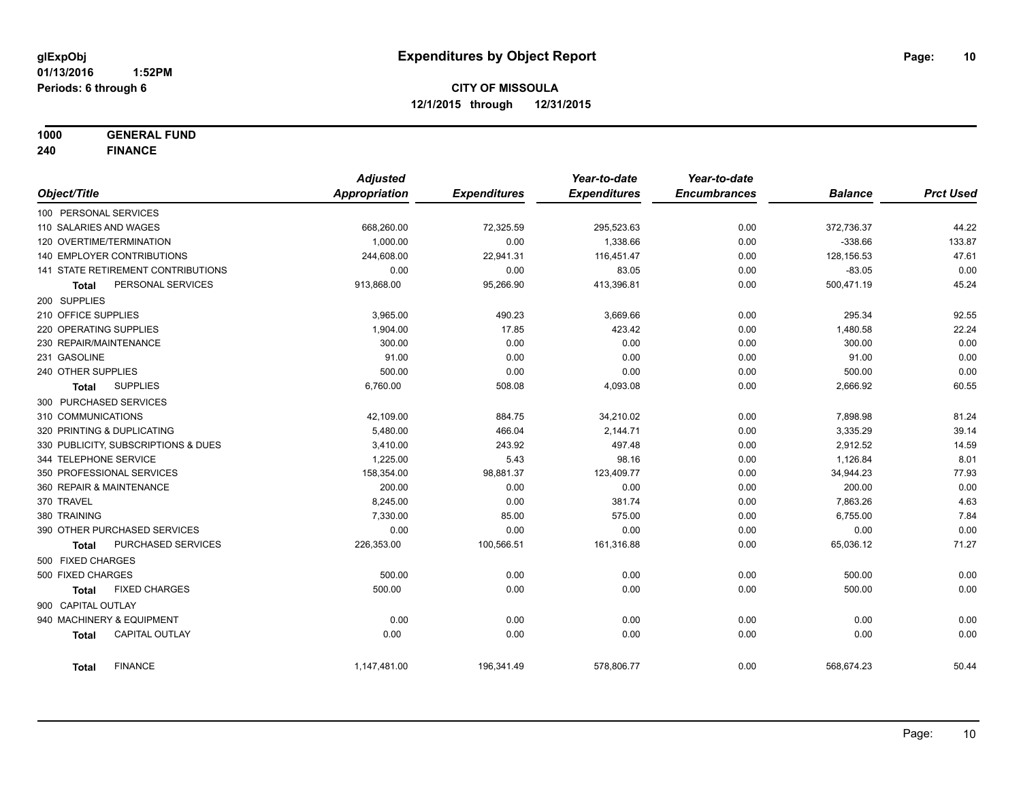**1000 GENERAL FUND**

**240 FINANCE**

|                                       | <b>Adjusted</b> |                     | Year-to-date        | Year-to-date        |                |                  |
|---------------------------------------|-----------------|---------------------|---------------------|---------------------|----------------|------------------|
| Object/Title                          | Appropriation   | <b>Expenditures</b> | <b>Expenditures</b> | <b>Encumbrances</b> | <b>Balance</b> | <b>Prct Used</b> |
| 100 PERSONAL SERVICES                 |                 |                     |                     |                     |                |                  |
| 110 SALARIES AND WAGES                | 668,260.00      | 72,325.59           | 295,523.63          | 0.00                | 372,736.37     | 44.22            |
| 120 OVERTIME/TERMINATION              | 1,000.00        | 0.00                | 1,338.66            | 0.00                | $-338.66$      | 133.87           |
| 140 EMPLOYER CONTRIBUTIONS            | 244,608.00      | 22,941.31           | 116,451.47          | 0.00                | 128,156.53     | 47.61            |
| 141 STATE RETIREMENT CONTRIBUTIONS    | 0.00            | 0.00                | 83.05               | 0.00                | $-83.05$       | 0.00             |
| PERSONAL SERVICES<br><b>Total</b>     | 913,868.00      | 95,266.90           | 413,396.81          | 0.00                | 500,471.19     | 45.24            |
| 200 SUPPLIES                          |                 |                     |                     |                     |                |                  |
| 210 OFFICE SUPPLIES                   | 3,965.00        | 490.23              | 3,669.66            | 0.00                | 295.34         | 92.55            |
| 220 OPERATING SUPPLIES                | 1,904.00        | 17.85               | 423.42              | 0.00                | 1,480.58       | 22.24            |
| 230 REPAIR/MAINTENANCE                | 300.00          | 0.00                | 0.00                | 0.00                | 300.00         | 0.00             |
| 231 GASOLINE                          | 91.00           | 0.00                | 0.00                | 0.00                | 91.00          | 0.00             |
| 240 OTHER SUPPLIES                    | 500.00          | 0.00                | 0.00                | 0.00                | 500.00         | 0.00             |
| <b>SUPPLIES</b><br>Total              | 6,760.00        | 508.08              | 4,093.08            | 0.00                | 2,666.92       | 60.55            |
| 300 PURCHASED SERVICES                |                 |                     |                     |                     |                |                  |
| 310 COMMUNICATIONS                    | 42,109.00       | 884.75              | 34,210.02           | 0.00                | 7,898.98       | 81.24            |
| 320 PRINTING & DUPLICATING            | 5,480.00        | 466.04              | 2,144.71            | 0.00                | 3,335.29       | 39.14            |
| 330 PUBLICITY, SUBSCRIPTIONS & DUES   | 3,410.00        | 243.92              | 497.48              | 0.00                | 2,912.52       | 14.59            |
| 344 TELEPHONE SERVICE                 | 1,225.00        | 5.43                | 98.16               | 0.00                | 1,126.84       | 8.01             |
| 350 PROFESSIONAL SERVICES             | 158,354.00      | 98,881.37           | 123,409.77          | 0.00                | 34,944.23      | 77.93            |
| 360 REPAIR & MAINTENANCE              | 200.00          | 0.00                | 0.00                | 0.00                | 200.00         | 0.00             |
| 370 TRAVEL                            | 8,245.00        | 0.00                | 381.74              | 0.00                | 7,863.26       | 4.63             |
| 380 TRAINING                          | 7,330.00        | 85.00               | 575.00              | 0.00                | 6,755.00       | 7.84             |
| 390 OTHER PURCHASED SERVICES          | 0.00            | 0.00                | 0.00                | 0.00                | 0.00           | 0.00             |
| PURCHASED SERVICES<br><b>Total</b>    | 226,353.00      | 100,566.51          | 161,316.88          | 0.00                | 65,036.12      | 71.27            |
| 500 FIXED CHARGES                     |                 |                     |                     |                     |                |                  |
| 500 FIXED CHARGES                     | 500.00          | 0.00                | 0.00                | 0.00                | 500.00         | 0.00             |
| <b>FIXED CHARGES</b><br><b>Total</b>  | 500.00          | 0.00                | 0.00                | 0.00                | 500.00         | 0.00             |
| 900 CAPITAL OUTLAY                    |                 |                     |                     |                     |                |                  |
| 940 MACHINERY & EQUIPMENT             | 0.00            | 0.00                | 0.00                | 0.00                | 0.00           | 0.00             |
| <b>CAPITAL OUTLAY</b><br><b>Total</b> | 0.00            | 0.00                | 0.00                | 0.00                | 0.00           | 0.00             |
| <b>FINANCE</b><br>Total               | 1,147,481.00    | 196,341.49          | 578,806.77          | 0.00                | 568,674.23     | 50.44            |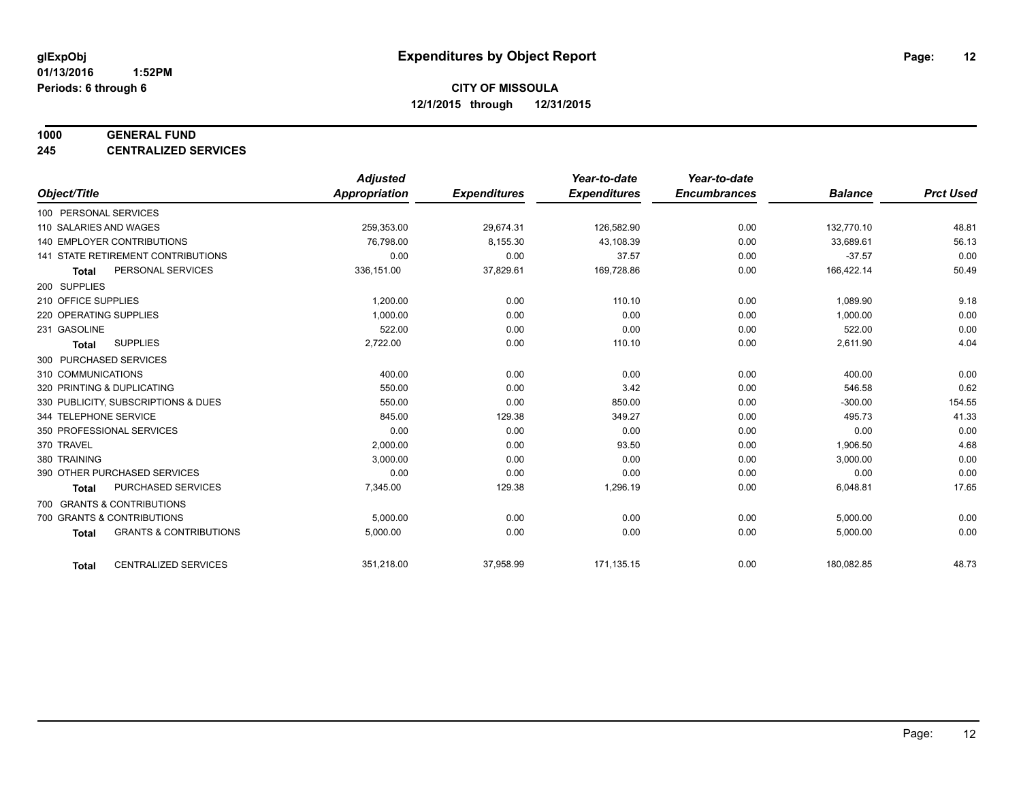#### **1000 GENERAL FUND**

**245 CENTRALIZED SERVICES**

|                                                   | <b>Adjusted</b>      |                     | Year-to-date        | Year-to-date        |                |                  |
|---------------------------------------------------|----------------------|---------------------|---------------------|---------------------|----------------|------------------|
| Object/Title                                      | <b>Appropriation</b> | <b>Expenditures</b> | <b>Expenditures</b> | <b>Encumbrances</b> | <b>Balance</b> | <b>Prct Used</b> |
| 100 PERSONAL SERVICES                             |                      |                     |                     |                     |                |                  |
| 110 SALARIES AND WAGES                            | 259,353.00           | 29,674.31           | 126,582.90          | 0.00                | 132,770.10     | 48.81            |
| 140 EMPLOYER CONTRIBUTIONS                        | 76,798.00            | 8,155.30            | 43,108.39           | 0.00                | 33,689.61      | 56.13            |
| 141 STATE RETIREMENT CONTRIBUTIONS                | 0.00                 | 0.00                | 37.57               | 0.00                | $-37.57$       | 0.00             |
| PERSONAL SERVICES<br><b>Total</b>                 | 336,151.00           | 37,829.61           | 169,728.86          | 0.00                | 166,422.14     | 50.49            |
| 200 SUPPLIES                                      |                      |                     |                     |                     |                |                  |
| 210 OFFICE SUPPLIES                               | 1,200.00             | 0.00                | 110.10              | 0.00                | 1,089.90       | 9.18             |
| 220 OPERATING SUPPLIES                            | 1.000.00             | 0.00                | 0.00                | 0.00                | 1,000.00       | 0.00             |
| 231 GASOLINE                                      | 522.00               | 0.00                | 0.00                | 0.00                | 522.00         | 0.00             |
| <b>SUPPLIES</b><br><b>Total</b>                   | 2,722.00             | 0.00                | 110.10              | 0.00                | 2,611.90       | 4.04             |
| 300 PURCHASED SERVICES                            |                      |                     |                     |                     |                |                  |
| 310 COMMUNICATIONS                                | 400.00               | 0.00                | 0.00                | 0.00                | 400.00         | 0.00             |
| 320 PRINTING & DUPLICATING                        | 550.00               | 0.00                | 3.42                | 0.00                | 546.58         | 0.62             |
| 330 PUBLICITY, SUBSCRIPTIONS & DUES               | 550.00               | 0.00                | 850.00              | 0.00                | $-300.00$      | 154.55           |
| 344 TELEPHONE SERVICE                             | 845.00               | 129.38              | 349.27              | 0.00                | 495.73         | 41.33            |
| 350 PROFESSIONAL SERVICES                         | 0.00                 | 0.00                | 0.00                | 0.00                | 0.00           | 0.00             |
| 370 TRAVEL                                        | 2,000.00             | 0.00                | 93.50               | 0.00                | 1,906.50       | 4.68             |
| 380 TRAINING                                      | 3,000.00             | 0.00                | 0.00                | 0.00                | 3,000.00       | 0.00             |
| 390 OTHER PURCHASED SERVICES                      | 0.00                 | 0.00                | 0.00                | 0.00                | 0.00           | 0.00             |
| <b>PURCHASED SERVICES</b><br><b>Total</b>         | 7,345.00             | 129.38              | 1,296.19            | 0.00                | 6,048.81       | 17.65            |
| 700 GRANTS & CONTRIBUTIONS                        |                      |                     |                     |                     |                |                  |
| 700 GRANTS & CONTRIBUTIONS                        | 5,000.00             | 0.00                | 0.00                | 0.00                | 5,000.00       | 0.00             |
| <b>GRANTS &amp; CONTRIBUTIONS</b><br><b>Total</b> | 5,000.00             | 0.00                | 0.00                | 0.00                | 5,000.00       | 0.00             |
|                                                   |                      |                     |                     |                     |                |                  |
| <b>CENTRALIZED SERVICES</b><br><b>Total</b>       | 351,218.00           | 37,958.99           | 171,135.15          | 0.00                | 180,082.85     | 48.73            |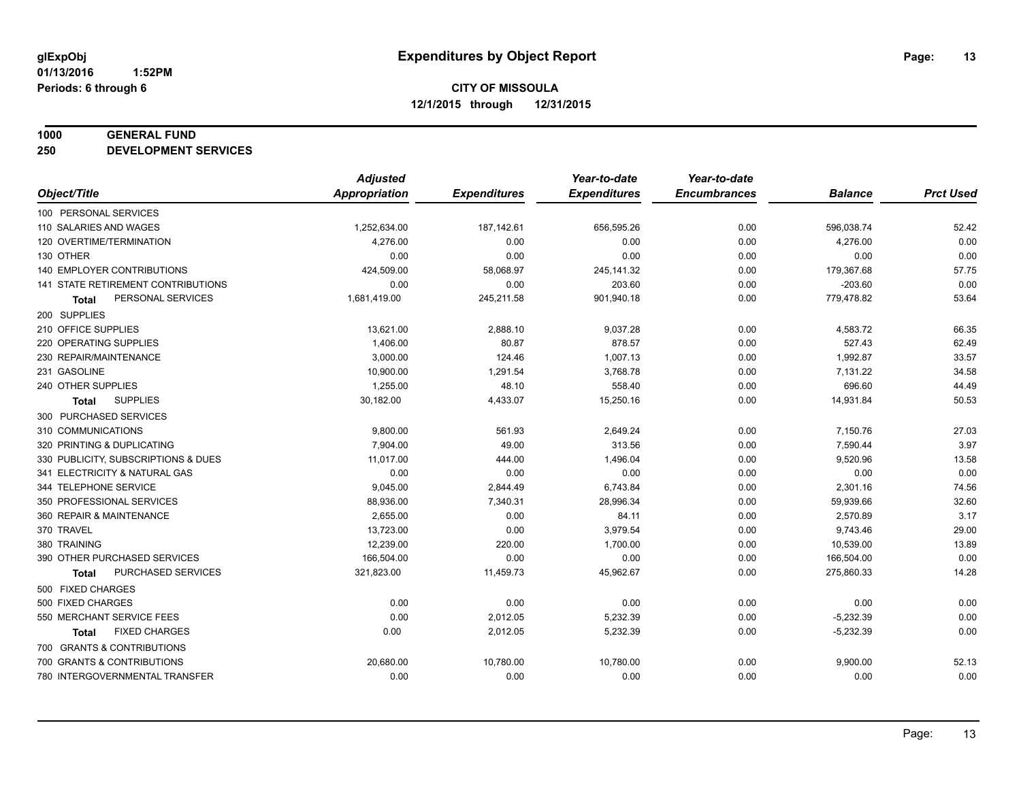#### **1000 GENERAL FUND**

**250 DEVELOPMENT SERVICES**

|                                     | <b>Adjusted</b> |                     | Year-to-date        | Year-to-date        |                |                  |
|-------------------------------------|-----------------|---------------------|---------------------|---------------------|----------------|------------------|
| Object/Title                        | Appropriation   | <b>Expenditures</b> | <b>Expenditures</b> | <b>Encumbrances</b> | <b>Balance</b> | <b>Prct Used</b> |
| 100 PERSONAL SERVICES               |                 |                     |                     |                     |                |                  |
| 110 SALARIES AND WAGES              | 1,252,634.00    | 187,142.61          | 656,595.26          | 0.00                | 596,038.74     | 52.42            |
| 120 OVERTIME/TERMINATION            | 4,276.00        | 0.00                | 0.00                | 0.00                | 4,276.00       | 0.00             |
| 130 OTHER                           | 0.00            | 0.00                | 0.00                | 0.00                | 0.00           | 0.00             |
| 140 EMPLOYER CONTRIBUTIONS          | 424,509.00      | 58,068.97           | 245,141.32          | 0.00                | 179,367.68     | 57.75            |
| 141 STATE RETIREMENT CONTRIBUTIONS  | 0.00            | 0.00                | 203.60              | 0.00                | $-203.60$      | 0.00             |
| PERSONAL SERVICES<br>Total          | 1,681,419.00    | 245,211.58          | 901,940.18          | 0.00                | 779,478.82     | 53.64            |
| 200 SUPPLIES                        |                 |                     |                     |                     |                |                  |
| 210 OFFICE SUPPLIES                 | 13,621.00       | 2,888.10            | 9,037.28            | 0.00                | 4,583.72       | 66.35            |
| 220 OPERATING SUPPLIES              | 1,406.00        | 80.87               | 878.57              | 0.00                | 527.43         | 62.49            |
| 230 REPAIR/MAINTENANCE              | 3,000.00        | 124.46              | 1,007.13            | 0.00                | 1,992.87       | 33.57            |
| 231 GASOLINE                        | 10,900.00       | 1,291.54            | 3,768.78            | 0.00                | 7,131.22       | 34.58            |
| 240 OTHER SUPPLIES                  | 1,255.00        | 48.10               | 558.40              | 0.00                | 696.60         | 44.49            |
| <b>SUPPLIES</b><br><b>Total</b>     | 30,182.00       | 4,433.07            | 15,250.16           | 0.00                | 14,931.84      | 50.53            |
| 300 PURCHASED SERVICES              |                 |                     |                     |                     |                |                  |
| 310 COMMUNICATIONS                  | 9,800.00        | 561.93              | 2,649.24            | 0.00                | 7,150.76       | 27.03            |
| 320 PRINTING & DUPLICATING          | 7,904.00        | 49.00               | 313.56              | 0.00                | 7,590.44       | 3.97             |
| 330 PUBLICITY, SUBSCRIPTIONS & DUES | 11,017.00       | 444.00              | 1,496.04            | 0.00                | 9,520.96       | 13.58            |
| 341 ELECTRICITY & NATURAL GAS       | 0.00            | 0.00                | 0.00                | 0.00                | 0.00           | 0.00             |
| 344 TELEPHONE SERVICE               | 9,045.00        | 2,844.49            | 6,743.84            | 0.00                | 2,301.16       | 74.56            |
| 350 PROFESSIONAL SERVICES           | 88,936.00       | 7,340.31            | 28,996.34           | 0.00                | 59,939.66      | 32.60            |
| 360 REPAIR & MAINTENANCE            | 2,655.00        | 0.00                | 84.11               | 0.00                | 2,570.89       | 3.17             |
| 370 TRAVEL                          | 13,723.00       | 0.00                | 3,979.54            | 0.00                | 9,743.46       | 29.00            |
| 380 TRAINING                        | 12,239.00       | 220.00              | 1,700.00            | 0.00                | 10,539.00      | 13.89            |
| 390 OTHER PURCHASED SERVICES        | 166,504.00      | 0.00                | 0.00                | 0.00                | 166,504.00     | 0.00             |
| PURCHASED SERVICES<br><b>Total</b>  | 321,823.00      | 11,459.73           | 45,962.67           | 0.00                | 275,860.33     | 14.28            |
| 500 FIXED CHARGES                   |                 |                     |                     |                     |                |                  |
| 500 FIXED CHARGES                   | 0.00            | 0.00                | 0.00                | 0.00                | 0.00           | 0.00             |
| 550 MERCHANT SERVICE FEES           | 0.00            | 2,012.05            | 5,232.39            | 0.00                | $-5,232.39$    | 0.00             |
| <b>FIXED CHARGES</b><br>Total       | 0.00            | 2,012.05            | 5,232.39            | 0.00                | $-5,232.39$    | 0.00             |
| 700 GRANTS & CONTRIBUTIONS          |                 |                     |                     |                     |                |                  |
| 700 GRANTS & CONTRIBUTIONS          | 20,680.00       | 10,780.00           | 10,780.00           | 0.00                | 9,900.00       | 52.13            |
| 780 INTERGOVERNMENTAL TRANSFER      | 0.00            | 0.00                | 0.00                | 0.00                | 0.00           | 0.00             |
|                                     |                 |                     |                     |                     |                |                  |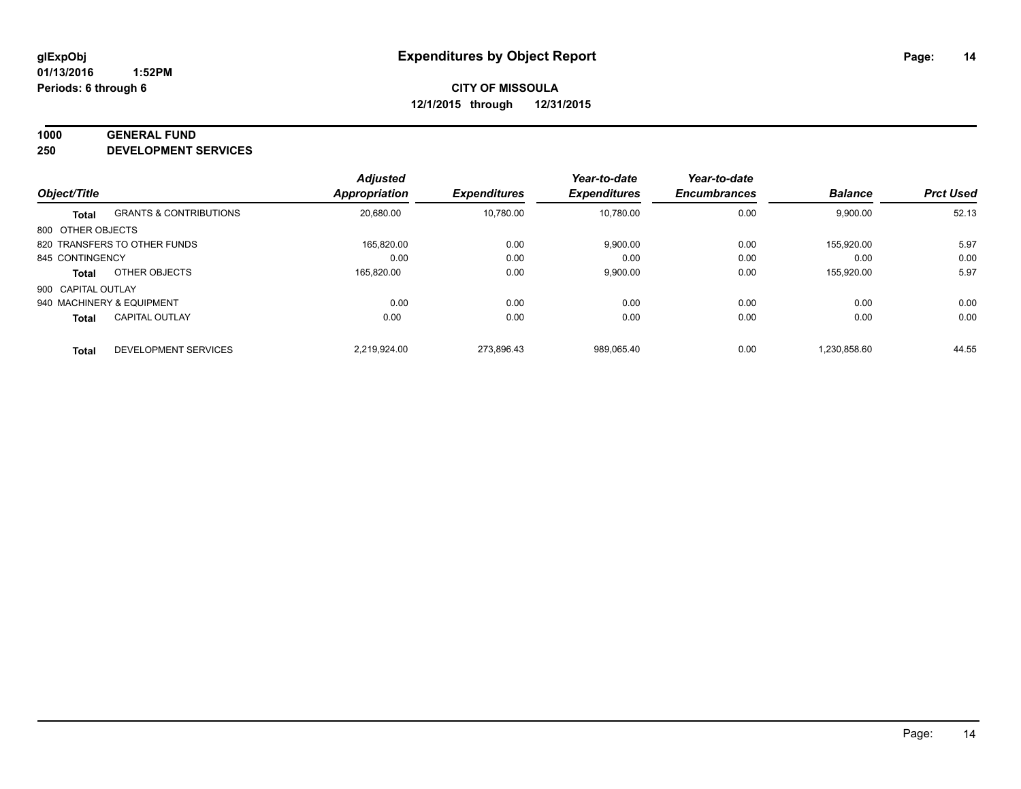#### **1000 GENERAL FUND**

**250 DEVELOPMENT SERVICES**

| Object/Title       |                                   | <b>Adjusted</b><br><b>Appropriation</b> | <b>Expenditures</b> | Year-to-date<br><b>Expenditures</b> | Year-to-date<br><b>Encumbrances</b> | <b>Balance</b> | <b>Prct Used</b> |
|--------------------|-----------------------------------|-----------------------------------------|---------------------|-------------------------------------|-------------------------------------|----------------|------------------|
|                    |                                   |                                         |                     |                                     |                                     |                |                  |
| <b>Total</b>       | <b>GRANTS &amp; CONTRIBUTIONS</b> | 20,680.00                               | 10.780.00           | 10.780.00                           | 0.00                                | 9,900.00       | 52.13            |
| 800 OTHER OBJECTS  |                                   |                                         |                     |                                     |                                     |                |                  |
|                    | 820 TRANSFERS TO OTHER FUNDS      | 165.820.00                              | 0.00                | 9,900.00                            | 0.00                                | 155.920.00     | 5.97             |
| 845 CONTINGENCY    |                                   | 0.00                                    | 0.00                | 0.00                                | 0.00                                | 0.00           | 0.00             |
| <b>Total</b>       | OTHER OBJECTS                     | 165,820.00                              | 0.00                | 9,900.00                            | 0.00                                | 155,920.00     | 5.97             |
| 900 CAPITAL OUTLAY |                                   |                                         |                     |                                     |                                     |                |                  |
|                    | 940 MACHINERY & EQUIPMENT         | 0.00                                    | 0.00                | 0.00                                | 0.00                                | 0.00           | 0.00             |
| <b>Total</b>       | <b>CAPITAL OUTLAY</b>             | 0.00                                    | 0.00                | 0.00                                | 0.00                                | 0.00           | 0.00             |
| <b>Total</b>       | DEVELOPMENT SERVICES              | 2.219.924.00                            | 273.896.43          | 989.065.40                          | 0.00                                | 1.230.858.60   | 44.55            |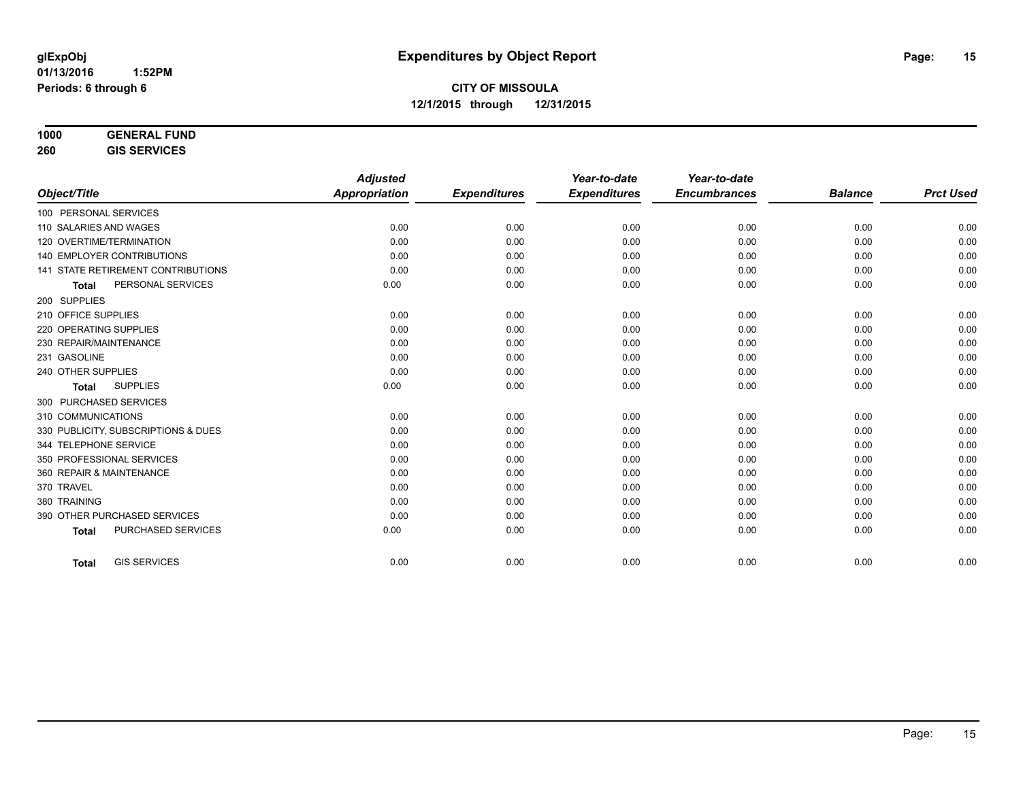| 1000 | <b>GENERAL FUND</b>             |  |
|------|---------------------------------|--|
|      | $A$ $A$ $A$ $B$ $A$ $A$ $B$ $A$ |  |

**260 GIS SERVICES**

|                                           | <b>Adjusted</b>      |                     | Year-to-date        | Year-to-date        |                |                  |
|-------------------------------------------|----------------------|---------------------|---------------------|---------------------|----------------|------------------|
| Object/Title                              | <b>Appropriation</b> | <b>Expenditures</b> | <b>Expenditures</b> | <b>Encumbrances</b> | <b>Balance</b> | <b>Prct Used</b> |
| 100 PERSONAL SERVICES                     |                      |                     |                     |                     |                |                  |
| 110 SALARIES AND WAGES                    | 0.00                 | 0.00                | 0.00                | 0.00                | 0.00           | 0.00             |
| 120 OVERTIME/TERMINATION                  | 0.00                 | 0.00                | 0.00                | 0.00                | 0.00           | 0.00             |
| <b>140 EMPLOYER CONTRIBUTIONS</b>         | 0.00                 | 0.00                | 0.00                | 0.00                | 0.00           | 0.00             |
| 141 STATE RETIREMENT CONTRIBUTIONS        | 0.00                 | 0.00                | 0.00                | 0.00                | 0.00           | 0.00             |
| PERSONAL SERVICES<br><b>Total</b>         | 0.00                 | 0.00                | 0.00                | 0.00                | 0.00           | 0.00             |
| 200 SUPPLIES                              |                      |                     |                     |                     |                |                  |
| 210 OFFICE SUPPLIES                       | 0.00                 | 0.00                | 0.00                | 0.00                | 0.00           | 0.00             |
| 220 OPERATING SUPPLIES                    | 0.00                 | 0.00                | 0.00                | 0.00                | 0.00           | 0.00             |
| 230 REPAIR/MAINTENANCE                    | 0.00                 | 0.00                | 0.00                | 0.00                | 0.00           | 0.00             |
| 231 GASOLINE                              | 0.00                 | 0.00                | 0.00                | 0.00                | 0.00           | 0.00             |
| 240 OTHER SUPPLIES                        | 0.00                 | 0.00                | 0.00                | 0.00                | 0.00           | 0.00             |
| <b>SUPPLIES</b><br><b>Total</b>           | 0.00                 | 0.00                | 0.00                | 0.00                | 0.00           | 0.00             |
| 300 PURCHASED SERVICES                    |                      |                     |                     |                     |                |                  |
| 310 COMMUNICATIONS                        | 0.00                 | 0.00                | 0.00                | 0.00                | 0.00           | 0.00             |
| 330 PUBLICITY, SUBSCRIPTIONS & DUES       | 0.00                 | 0.00                | 0.00                | 0.00                | 0.00           | 0.00             |
| 344 TELEPHONE SERVICE                     | 0.00                 | 0.00                | 0.00                | 0.00                | 0.00           | 0.00             |
| 350 PROFESSIONAL SERVICES                 | 0.00                 | 0.00                | 0.00                | 0.00                | 0.00           | 0.00             |
| 360 REPAIR & MAINTENANCE                  | 0.00                 | 0.00                | 0.00                | 0.00                | 0.00           | 0.00             |
| 370 TRAVEL                                | 0.00                 | 0.00                | 0.00                | 0.00                | 0.00           | 0.00             |
| 380 TRAINING                              | 0.00                 | 0.00                | 0.00                | 0.00                | 0.00           | 0.00             |
| 390 OTHER PURCHASED SERVICES              | 0.00                 | 0.00                | 0.00                | 0.00                | 0.00           | 0.00             |
| <b>PURCHASED SERVICES</b><br><b>Total</b> | 0.00                 | 0.00                | 0.00                | 0.00                | 0.00           | 0.00             |
|                                           |                      |                     |                     |                     |                |                  |
| <b>GIS SERVICES</b><br><b>Total</b>       | 0.00                 | 0.00                | 0.00                | 0.00                | 0.00           | 0.00             |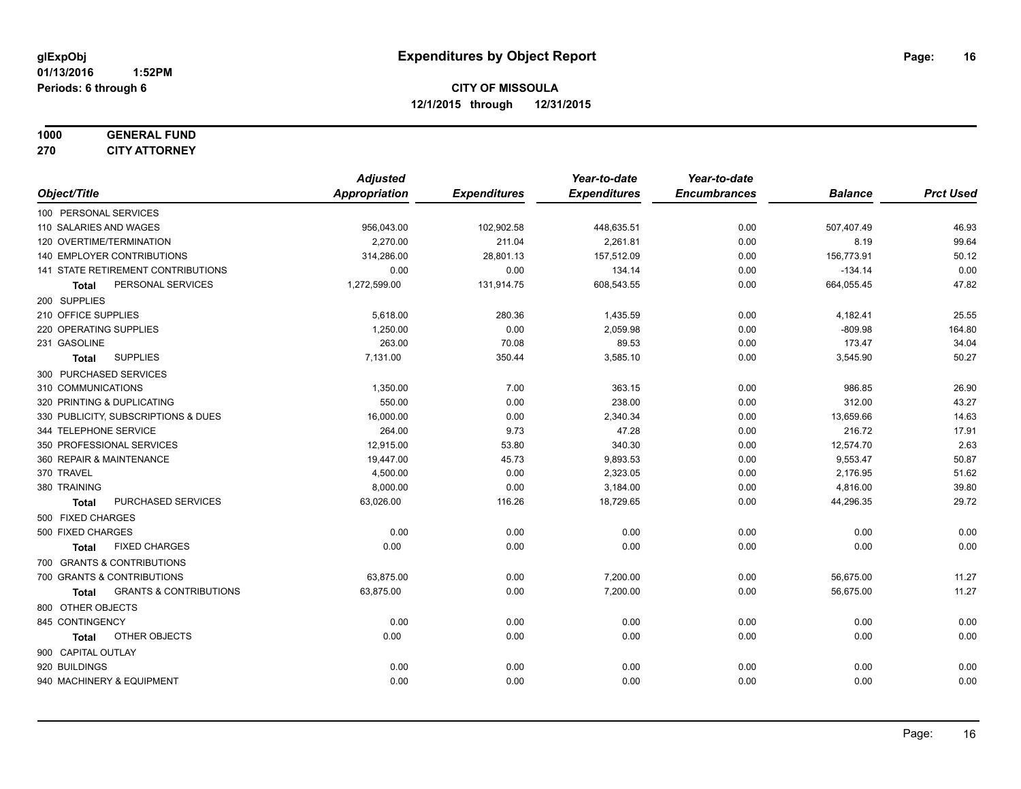#### **1000 GENERAL FUND 270 CITY ATTORNEY**

|                                            | <b>Adjusted</b> |                     | Year-to-date        | Year-to-date        |                |                  |
|--------------------------------------------|-----------------|---------------------|---------------------|---------------------|----------------|------------------|
| Object/Title                               | Appropriation   | <b>Expenditures</b> | <b>Expenditures</b> | <b>Encumbrances</b> | <b>Balance</b> | <b>Prct Used</b> |
| 100 PERSONAL SERVICES                      |                 |                     |                     |                     |                |                  |
| 110 SALARIES AND WAGES                     | 956,043.00      | 102,902.58          | 448,635.51          | 0.00                | 507,407.49     | 46.93            |
| 120 OVERTIME/TERMINATION                   | 2,270.00        | 211.04              | 2,261.81            | 0.00                | 8.19           | 99.64            |
| 140 EMPLOYER CONTRIBUTIONS                 | 314,286.00      | 28,801.13           | 157,512.09          | 0.00                | 156,773.91     | 50.12            |
| 141 STATE RETIREMENT CONTRIBUTIONS         | 0.00            | 0.00                | 134.14              | 0.00                | $-134.14$      | 0.00             |
| PERSONAL SERVICES<br>Total                 | 1,272,599.00    | 131,914.75          | 608,543.55          | 0.00                | 664,055.45     | 47.82            |
| 200 SUPPLIES                               |                 |                     |                     |                     |                |                  |
| 210 OFFICE SUPPLIES                        | 5,618.00        | 280.36              | 1,435.59            | 0.00                | 4,182.41       | 25.55            |
| 220 OPERATING SUPPLIES                     | 1,250.00        | 0.00                | 2,059.98            | 0.00                | $-809.98$      | 164.80           |
| 231 GASOLINE                               | 263.00          | 70.08               | 89.53               | 0.00                | 173.47         | 34.04            |
| <b>SUPPLIES</b><br>Total                   | 7,131.00        | 350.44              | 3,585.10            | 0.00                | 3,545.90       | 50.27            |
| 300 PURCHASED SERVICES                     |                 |                     |                     |                     |                |                  |
| 310 COMMUNICATIONS                         | 1,350.00        | 7.00                | 363.15              | 0.00                | 986.85         | 26.90            |
| 320 PRINTING & DUPLICATING                 | 550.00          | 0.00                | 238.00              | 0.00                | 312.00         | 43.27            |
| 330 PUBLICITY, SUBSCRIPTIONS & DUES        | 16,000.00       | 0.00                | 2,340.34            | 0.00                | 13,659.66      | 14.63            |
| 344 TELEPHONE SERVICE                      | 264.00          | 9.73                | 47.28               | 0.00                | 216.72         | 17.91            |
| 350 PROFESSIONAL SERVICES                  | 12,915.00       | 53.80               | 340.30              | 0.00                | 12,574.70      | 2.63             |
| 360 REPAIR & MAINTENANCE                   | 19,447.00       | 45.73               | 9,893.53            | 0.00                | 9,553.47       | 50.87            |
| 370 TRAVEL                                 | 4,500.00        | 0.00                | 2,323.05            | 0.00                | 2,176.95       | 51.62            |
| 380 TRAINING                               | 8,000.00        | 0.00                | 3,184.00            | 0.00                | 4,816.00       | 39.80            |
| PURCHASED SERVICES<br><b>Total</b>         | 63,026.00       | 116.26              | 18,729.65           | 0.00                | 44,296.35      | 29.72            |
| 500 FIXED CHARGES                          |                 |                     |                     |                     |                |                  |
| 500 FIXED CHARGES                          | 0.00            | 0.00                | 0.00                | 0.00                | 0.00           | 0.00             |
| <b>FIXED CHARGES</b><br><b>Total</b>       | 0.00            | 0.00                | 0.00                | 0.00                | 0.00           | 0.00             |
| 700 GRANTS & CONTRIBUTIONS                 |                 |                     |                     |                     |                |                  |
| 700 GRANTS & CONTRIBUTIONS                 | 63,875.00       | 0.00                | 7,200.00            | 0.00                | 56,675.00      | 11.27            |
| <b>GRANTS &amp; CONTRIBUTIONS</b><br>Total | 63,875.00       | 0.00                | 7,200.00            | 0.00                | 56,675.00      | 11.27            |
| 800 OTHER OBJECTS                          |                 |                     |                     |                     |                |                  |
| 845 CONTINGENCY                            | 0.00            | 0.00                | 0.00                | 0.00                | 0.00           | 0.00             |
| OTHER OBJECTS<br><b>Total</b>              | 0.00            | 0.00                | 0.00                | 0.00                | 0.00           | 0.00             |
| 900 CAPITAL OUTLAY                         |                 |                     |                     |                     |                |                  |
| 920 BUILDINGS                              | 0.00            | 0.00                | 0.00                | 0.00                | 0.00           | 0.00             |
| 940 MACHINERY & EQUIPMENT                  | 0.00            | 0.00                | 0.00                | 0.00                | 0.00           | 0.00             |
|                                            |                 |                     |                     |                     |                |                  |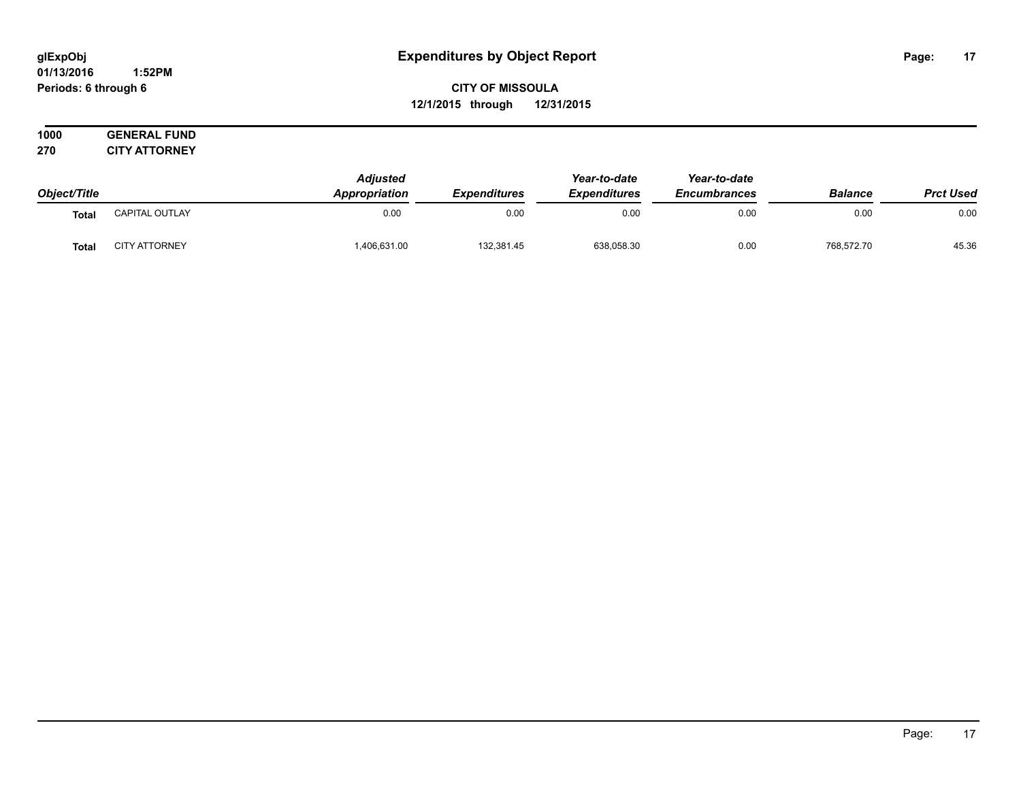#### **01/13/2016 1:52PM Periods: 6 through 6**

**CITY OF MISSOULA 12/1/2015 through 12/31/2015**

|     | 1000 | <b>GENERAL FUND</b>  |
|-----|------|----------------------|
| 270 |      | <b>CITY ATTORNEY</b> |

| Object/Title |                      | <b>Adjusted</b>      |                     |                     | Year-to-date        |                |                  |
|--------------|----------------------|----------------------|---------------------|---------------------|---------------------|----------------|------------------|
|              |                      | <b>Appropriation</b> | <b>Expenditures</b> | <b>Expenditures</b> | <b>Encumbrances</b> | <b>Balance</b> | <b>Prct Used</b> |
| <b>Total</b> | CAPITAL OUTLAY       | 0.00                 | 0.00                | 0.00                | 0.00                | 0.00           | 0.00             |
| <b>Total</b> | <b>CITY ATTORNEY</b> | ,406,631.00          | 132,381.45          | 638,058.30          | 0.00                | 768,572.70     | 45.36            |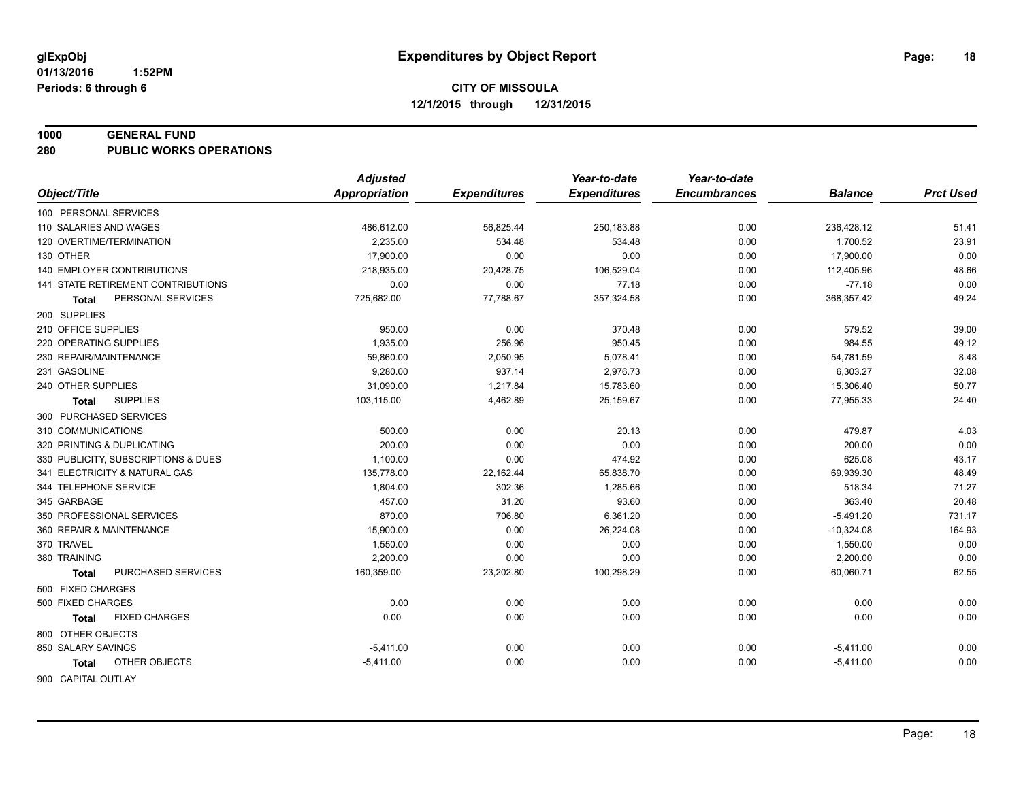#### **1000 GENERAL FUND**

**280 PUBLIC WORKS OPERATIONS**

|                                     | <b>Adjusted</b>      |                     | Year-to-date        | Year-to-date        |                |                  |
|-------------------------------------|----------------------|---------------------|---------------------|---------------------|----------------|------------------|
| Object/Title                        | <b>Appropriation</b> | <b>Expenditures</b> | <b>Expenditures</b> | <b>Encumbrances</b> | <b>Balance</b> | <b>Prct Used</b> |
| 100 PERSONAL SERVICES               |                      |                     |                     |                     |                |                  |
| 110 SALARIES AND WAGES              | 486,612.00           | 56,825.44           | 250,183.88          | 0.00                | 236,428.12     | 51.41            |
| 120 OVERTIME/TERMINATION            | 2.235.00             | 534.48              | 534.48              | 0.00                | 1,700.52       | 23.91            |
| 130 OTHER                           | 17,900.00            | 0.00                | 0.00                | 0.00                | 17,900.00      | 0.00             |
| <b>140 EMPLOYER CONTRIBUTIONS</b>   | 218,935.00           | 20,428.75           | 106,529.04          | 0.00                | 112,405.96     | 48.66            |
| 141 STATE RETIREMENT CONTRIBUTIONS  | 0.00                 | 0.00                | 77.18               | 0.00                | $-77.18$       | 0.00             |
| PERSONAL SERVICES<br>Total          | 725,682.00           | 77,788.67           | 357,324.58          | 0.00                | 368,357.42     | 49.24            |
| 200 SUPPLIES                        |                      |                     |                     |                     |                |                  |
| 210 OFFICE SUPPLIES                 | 950.00               | 0.00                | 370.48              | 0.00                | 579.52         | 39.00            |
| 220 OPERATING SUPPLIES              | 1,935.00             | 256.96              | 950.45              | 0.00                | 984.55         | 49.12            |
| 230 REPAIR/MAINTENANCE              | 59,860.00            | 2,050.95            | 5,078.41            | 0.00                | 54,781.59      | 8.48             |
| 231 GASOLINE                        | 9,280.00             | 937.14              | 2.976.73            | 0.00                | 6,303.27       | 32.08            |
| 240 OTHER SUPPLIES                  | 31,090.00            | 1,217.84            | 15,783.60           | 0.00                | 15,306.40      | 50.77            |
| <b>SUPPLIES</b><br>Total            | 103,115.00           | 4,462.89            | 25,159.67           | 0.00                | 77,955.33      | 24.40            |
| 300 PURCHASED SERVICES              |                      |                     |                     |                     |                |                  |
| 310 COMMUNICATIONS                  | 500.00               | 0.00                | 20.13               | 0.00                | 479.87         | 4.03             |
| 320 PRINTING & DUPLICATING          | 200.00               | 0.00                | 0.00                | 0.00                | 200.00         | 0.00             |
| 330 PUBLICITY, SUBSCRIPTIONS & DUES | 1,100.00             | 0.00                | 474.92              | 0.00                | 625.08         | 43.17            |
| 341 ELECTRICITY & NATURAL GAS       | 135,778.00           | 22,162.44           | 65,838.70           | 0.00                | 69,939.30      | 48.49            |
| 344 TELEPHONE SERVICE               | 1,804.00             | 302.36              | 1,285.66            | 0.00                | 518.34         | 71.27            |
| 345 GARBAGE                         | 457.00               | 31.20               | 93.60               | 0.00                | 363.40         | 20.48            |
| 350 PROFESSIONAL SERVICES           | 870.00               | 706.80              | 6,361.20            | 0.00                | $-5,491.20$    | 731.17           |
| 360 REPAIR & MAINTENANCE            | 15,900.00            | 0.00                | 26,224.08           | 0.00                | $-10,324.08$   | 164.93           |
| 370 TRAVEL                          | 1,550.00             | 0.00                | 0.00                | 0.00                | 1,550.00       | 0.00             |
| 380 TRAINING                        | 2,200.00             | 0.00                | 0.00                | 0.00                | 2,200.00       | 0.00             |
| PURCHASED SERVICES<br><b>Total</b>  | 160,359.00           | 23,202.80           | 100,298.29          | 0.00                | 60,060.71      | 62.55            |
| 500 FIXED CHARGES                   |                      |                     |                     |                     |                |                  |
| 500 FIXED CHARGES                   | 0.00                 | 0.00                | 0.00                | 0.00                | 0.00           | 0.00             |
| <b>FIXED CHARGES</b><br>Total       | 0.00                 | 0.00                | 0.00                | 0.00                | 0.00           | 0.00             |
| 800 OTHER OBJECTS                   |                      |                     |                     |                     |                |                  |
| 850 SALARY SAVINGS                  | $-5,411.00$          | 0.00                | 0.00                | 0.00                | $-5,411.00$    | 0.00             |
| OTHER OBJECTS<br><b>Total</b>       | $-5,411.00$          | 0.00                | 0.00                | 0.00                | $-5,411.00$    | 0.00             |
| 900 CAPITAL OUTLAY                  |                      |                     |                     |                     |                |                  |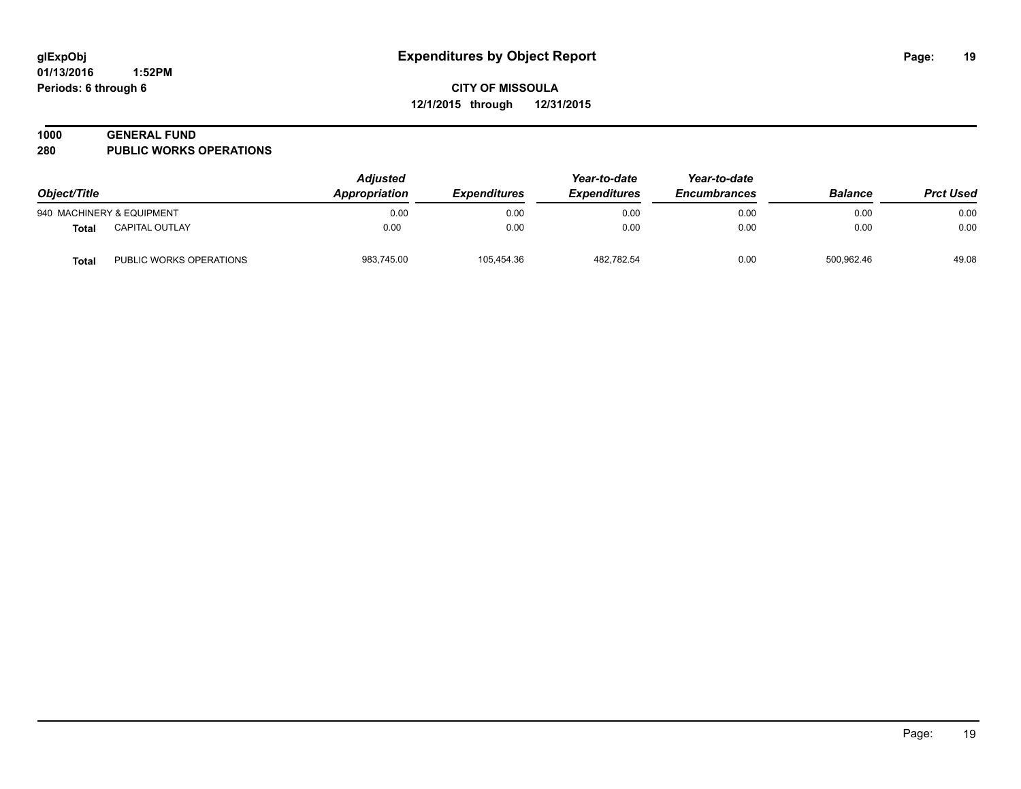# **1000 GENERAL FUND**

**280 PUBLIC WORKS OPERATIONS**

| Object/Title |                           | <b>Adjusted</b><br><b>Appropriation</b> | <b>Expenditures</b> | Year-to-date<br><b>Expenditures</b> | Year-to-date<br><b>Encumbrances</b> | <b>Balance</b> | <b>Prct Used</b> |
|--------------|---------------------------|-----------------------------------------|---------------------|-------------------------------------|-------------------------------------|----------------|------------------|
|              | 940 MACHINERY & EQUIPMENT | 0.00                                    | 0.00                | 0.00                                | 0.00                                | 0.00           | 0.00             |
| Total        | <b>CAPITAL OUTLAY</b>     | 0.00                                    | 0.00                | 0.00                                | 0.00                                | 0.00           | 0.00             |
| Total        | PUBLIC WORKS OPERATIONS   | 983.745.00                              | 105.454.36          | 482.782.54                          | 0.00                                | 500.962.46     | 49.08            |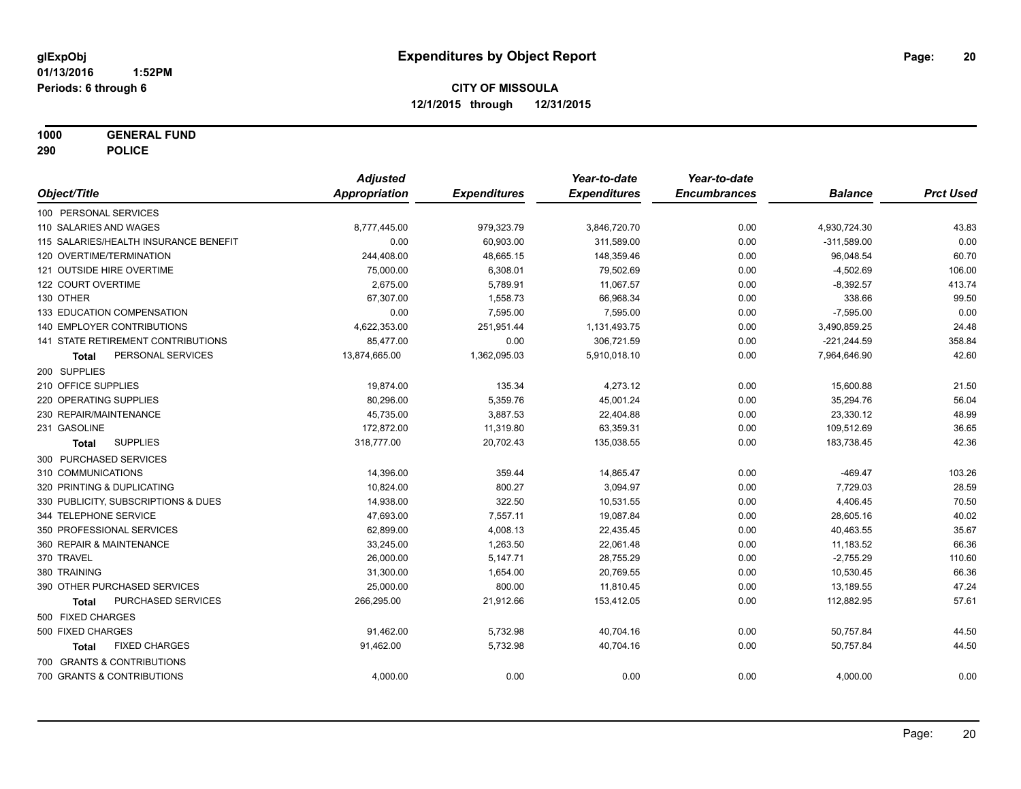**1000 GENERAL FUND**

**290 POLICE**

|                                           | <b>Adjusted</b>      |                     | Year-to-date        | Year-to-date        |                |                  |
|-------------------------------------------|----------------------|---------------------|---------------------|---------------------|----------------|------------------|
| Object/Title                              | <b>Appropriation</b> | <b>Expenditures</b> | <b>Expenditures</b> | <b>Encumbrances</b> | <b>Balance</b> | <b>Prct Used</b> |
| 100 PERSONAL SERVICES                     |                      |                     |                     |                     |                |                  |
| 110 SALARIES AND WAGES                    | 8,777,445.00         | 979,323.79          | 3,846,720.70        | 0.00                | 4,930,724.30   | 43.83            |
| 115 SALARIES/HEALTH INSURANCE BENEFIT     | 0.00                 | 60,903.00           | 311,589.00          | 0.00                | $-311,589.00$  | 0.00             |
| 120 OVERTIME/TERMINATION                  | 244,408.00           | 48,665.15           | 148,359.46          | 0.00                | 96,048.54      | 60.70            |
| 121 OUTSIDE HIRE OVERTIME                 | 75,000.00            | 6,308.01            | 79,502.69           | 0.00                | $-4,502.69$    | 106.00           |
| 122 COURT OVERTIME                        | 2,675.00             | 5,789.91            | 11,067.57           | 0.00                | $-8,392.57$    | 413.74           |
| 130 OTHER                                 | 67,307.00            | 1,558.73            | 66,968.34           | 0.00                | 338.66         | 99.50            |
| 133 EDUCATION COMPENSATION                | 0.00                 | 7,595.00            | 7,595.00            | 0.00                | $-7,595.00$    | 0.00             |
| <b>140 EMPLOYER CONTRIBUTIONS</b>         | 4,622,353.00         | 251,951.44          | 1,131,493.75        | 0.00                | 3,490,859.25   | 24.48            |
| <b>141 STATE RETIREMENT CONTRIBUTIONS</b> | 85,477.00            | 0.00                | 306,721.59          | 0.00                | $-221,244.59$  | 358.84           |
| PERSONAL SERVICES<br><b>Total</b>         | 13,874,665.00        | 1,362,095.03        | 5,910,018.10        | 0.00                | 7,964,646.90   | 42.60            |
| 200 SUPPLIES                              |                      |                     |                     |                     |                |                  |
| 210 OFFICE SUPPLIES                       | 19,874.00            | 135.34              | 4,273.12            | 0.00                | 15,600.88      | 21.50            |
| 220 OPERATING SUPPLIES                    | 80,296.00            | 5,359.76            | 45,001.24           | 0.00                | 35,294.76      | 56.04            |
| 230 REPAIR/MAINTENANCE                    | 45,735.00            | 3,887.53            | 22,404.88           | 0.00                | 23,330.12      | 48.99            |
| 231 GASOLINE                              | 172,872.00           | 11,319.80           | 63,359.31           | 0.00                | 109,512.69     | 36.65            |
| <b>SUPPLIES</b><br><b>Total</b>           | 318,777.00           | 20,702.43           | 135,038.55          | 0.00                | 183,738.45     | 42.36            |
| 300 PURCHASED SERVICES                    |                      |                     |                     |                     |                |                  |
| 310 COMMUNICATIONS                        | 14,396.00            | 359.44              | 14,865.47           | 0.00                | $-469.47$      | 103.26           |
| 320 PRINTING & DUPLICATING                | 10,824.00            | 800.27              | 3,094.97            | 0.00                | 7,729.03       | 28.59            |
| 330 PUBLICITY, SUBSCRIPTIONS & DUES       | 14,938.00            | 322.50              | 10,531.55           | 0.00                | 4,406.45       | 70.50            |
| 344 TELEPHONE SERVICE                     | 47,693.00            | 7,557.11            | 19,087.84           | 0.00                | 28,605.16      | 40.02            |
| 350 PROFESSIONAL SERVICES                 | 62,899.00            | 4,008.13            | 22,435.45           | 0.00                | 40,463.55      | 35.67            |
| 360 REPAIR & MAINTENANCE                  | 33,245.00            | 1,263.50            | 22,061.48           | 0.00                | 11,183.52      | 66.36            |
| 370 TRAVEL                                | 26,000.00            | 5,147.71            | 28,755.29           | 0.00                | $-2,755.29$    | 110.60           |
| 380 TRAINING                              | 31,300.00            | 1,654.00            | 20,769.55           | 0.00                | 10,530.45      | 66.36            |
| 390 OTHER PURCHASED SERVICES              | 25,000.00            | 800.00              | 11,810.45           | 0.00                | 13,189.55      | 47.24            |
| PURCHASED SERVICES<br>Total               | 266,295.00           | 21,912.66           | 153,412.05          | 0.00                | 112,882.95     | 57.61            |
| 500 FIXED CHARGES                         |                      |                     |                     |                     |                |                  |
| 500 FIXED CHARGES                         | 91,462.00            | 5,732.98            | 40,704.16           | 0.00                | 50,757.84      | 44.50            |
| <b>FIXED CHARGES</b><br>Total             | 91,462.00            | 5,732.98            | 40,704.16           | 0.00                | 50,757.84      | 44.50            |
| 700 GRANTS & CONTRIBUTIONS                |                      |                     |                     |                     |                |                  |
| 700 GRANTS & CONTRIBUTIONS                | 4,000.00             | 0.00                | 0.00                | 0.00                | 4,000.00       | 0.00             |
|                                           |                      |                     |                     |                     |                |                  |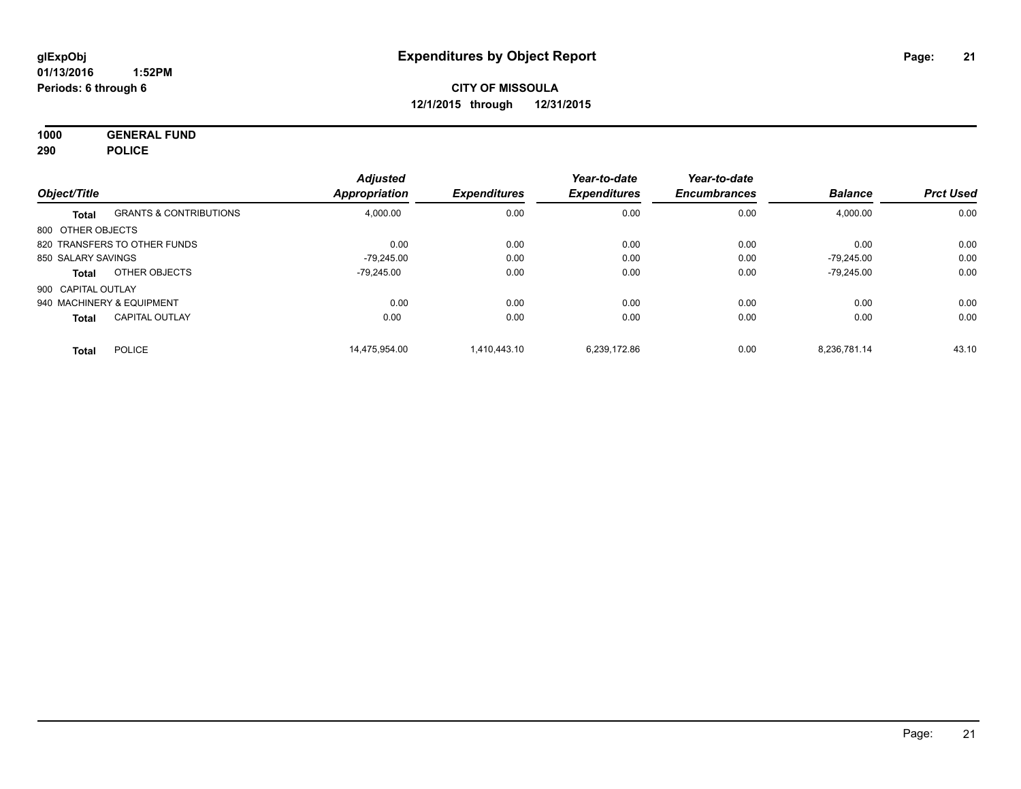**1000 GENERAL FUND 290 POLICE**

| Object/Title       |                                   | <b>Adjusted</b><br>Appropriation | <b>Expenditures</b> | Year-to-date<br><b>Expenditures</b> | Year-to-date<br><b>Encumbrances</b> | <b>Balance</b> | <b>Prct Used</b> |
|--------------------|-----------------------------------|----------------------------------|---------------------|-------------------------------------|-------------------------------------|----------------|------------------|
| Total              | <b>GRANTS &amp; CONTRIBUTIONS</b> | 4,000.00                         | 0.00                | 0.00                                | 0.00                                | 4,000.00       | 0.00             |
| 800 OTHER OBJECTS  |                                   |                                  |                     |                                     |                                     |                |                  |
|                    | 820 TRANSFERS TO OTHER FUNDS      | 0.00                             | 0.00                | 0.00                                | 0.00                                | 0.00           | 0.00             |
| 850 SALARY SAVINGS |                                   | -79.245.00                       | 0.00                | 0.00                                | 0.00                                | $-79.245.00$   | 0.00             |
| Total              | OTHER OBJECTS                     | -79.245.00                       | 0.00                | 0.00                                | 0.00                                | $-79.245.00$   | 0.00             |
| 900 CAPITAL OUTLAY |                                   |                                  |                     |                                     |                                     |                |                  |
|                    | 940 MACHINERY & EQUIPMENT         | 0.00                             | 0.00                | 0.00                                | 0.00                                | 0.00           | 0.00             |
| <b>Total</b>       | <b>CAPITAL OUTLAY</b>             | 0.00                             | 0.00                | 0.00                                | 0.00                                | 0.00           | 0.00             |
| <b>Total</b>       | <b>POLICE</b>                     | 14.475.954.00                    | 1.410.443.10        | 6.239.172.86                        | 0.00                                | 8.236.781.14   | 43.10            |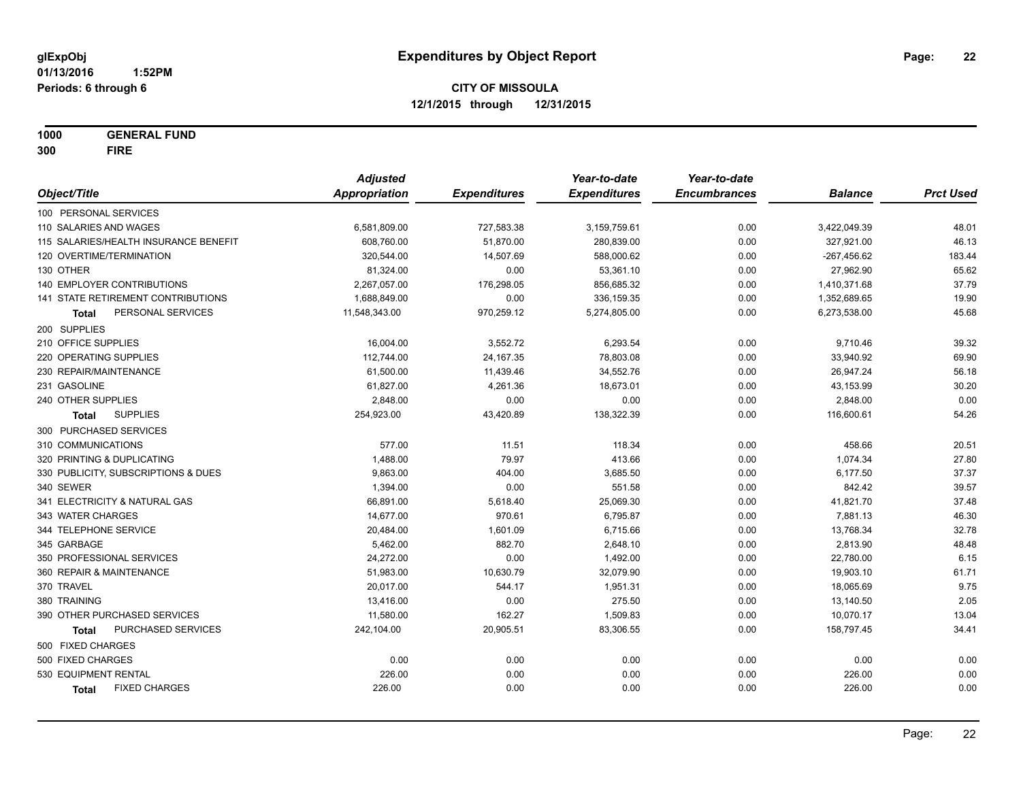**1000 GENERAL FUND 300 FIRE**

|                                       | <b>Adjusted</b>      |                     | Year-to-date        | Year-to-date        |                |                  |
|---------------------------------------|----------------------|---------------------|---------------------|---------------------|----------------|------------------|
| Object/Title                          | <b>Appropriation</b> | <b>Expenditures</b> | <b>Expenditures</b> | <b>Encumbrances</b> | <b>Balance</b> | <b>Prct Used</b> |
| 100 PERSONAL SERVICES                 |                      |                     |                     |                     |                |                  |
| 110 SALARIES AND WAGES                | 6,581,809.00         | 727,583.38          | 3,159,759.61        | 0.00                | 3,422,049.39   | 48.01            |
| 115 SALARIES/HEALTH INSURANCE BENEFIT | 608,760.00           | 51,870.00           | 280,839.00          | 0.00                | 327,921.00     | 46.13            |
| 120 OVERTIME/TERMINATION              | 320,544.00           | 14,507.69           | 588,000.62          | 0.00                | $-267,456.62$  | 183.44           |
| 130 OTHER                             | 81,324.00            | 0.00                | 53,361.10           | 0.00                | 27,962.90      | 65.62            |
| 140 EMPLOYER CONTRIBUTIONS            | 2,267,057.00         | 176,298.05          | 856,685.32          | 0.00                | 1,410,371.68   | 37.79            |
| 141 STATE RETIREMENT CONTRIBUTIONS    | 1,688,849.00         | 0.00                | 336,159.35          | 0.00                | 1,352,689.65   | 19.90            |
| PERSONAL SERVICES<br>Total            | 11,548,343.00        | 970,259.12          | 5,274,805.00        | 0.00                | 6,273,538.00   | 45.68            |
| 200 SUPPLIES                          |                      |                     |                     |                     |                |                  |
| 210 OFFICE SUPPLIES                   | 16,004.00            | 3,552.72            | 6,293.54            | 0.00                | 9,710.46       | 39.32            |
| 220 OPERATING SUPPLIES                | 112,744.00           | 24, 167. 35         | 78,803.08           | 0.00                | 33,940.92      | 69.90            |
| 230 REPAIR/MAINTENANCE                | 61,500.00            | 11,439.46           | 34,552.76           | 0.00                | 26,947.24      | 56.18            |
| 231 GASOLINE                          | 61,827.00            | 4,261.36            | 18,673.01           | 0.00                | 43,153.99      | 30.20            |
| 240 OTHER SUPPLIES                    | 2,848.00             | 0.00                | 0.00                | 0.00                | 2,848.00       | 0.00             |
| <b>SUPPLIES</b><br><b>Total</b>       | 254,923.00           | 43,420.89           | 138,322.39          | 0.00                | 116,600.61     | 54.26            |
| 300 PURCHASED SERVICES                |                      |                     |                     |                     |                |                  |
| 310 COMMUNICATIONS                    | 577.00               | 11.51               | 118.34              | 0.00                | 458.66         | 20.51            |
| 320 PRINTING & DUPLICATING            | 1,488.00             | 79.97               | 413.66              | 0.00                | 1,074.34       | 27.80            |
| 330 PUBLICITY, SUBSCRIPTIONS & DUES   | 9,863.00             | 404.00              | 3,685.50            | 0.00                | 6,177.50       | 37.37            |
| 340 SEWER                             | 1,394.00             | 0.00                | 551.58              | 0.00                | 842.42         | 39.57            |
| 341 ELECTRICITY & NATURAL GAS         | 66,891.00            | 5,618.40            | 25,069.30           | 0.00                | 41,821.70      | 37.48            |
| 343 WATER CHARGES                     | 14,677.00            | 970.61              | 6,795.87            | 0.00                | 7,881.13       | 46.30            |
| 344 TELEPHONE SERVICE                 | 20,484.00            | 1,601.09            | 6,715.66            | 0.00                | 13,768.34      | 32.78            |
| 345 GARBAGE                           | 5,462.00             | 882.70              | 2,648.10            | 0.00                | 2,813.90       | 48.48            |
| 350 PROFESSIONAL SERVICES             | 24,272.00            | 0.00                | 1,492.00            | 0.00                | 22,780.00      | 6.15             |
| 360 REPAIR & MAINTENANCE              | 51,983.00            | 10,630.79           | 32,079.90           | 0.00                | 19,903.10      | 61.71            |
| 370 TRAVEL                            | 20,017.00            | 544.17              | 1,951.31            | 0.00                | 18,065.69      | 9.75             |
| 380 TRAINING                          | 13,416.00            | 0.00                | 275.50              | 0.00                | 13,140.50      | 2.05             |
| 390 OTHER PURCHASED SERVICES          | 11,580.00            | 162.27              | 1,509.83            | 0.00                | 10,070.17      | 13.04            |
| PURCHASED SERVICES<br><b>Total</b>    | 242,104.00           | 20,905.51           | 83,306.55           | 0.00                | 158,797.45     | 34.41            |
| 500 FIXED CHARGES                     |                      |                     |                     |                     |                |                  |
| 500 FIXED CHARGES                     | 0.00                 | 0.00                | 0.00                | 0.00                | 0.00           | 0.00             |
| 530 EQUIPMENT RENTAL                  | 226.00               | 0.00                | 0.00                | 0.00                | 226.00         | 0.00             |
| <b>FIXED CHARGES</b><br><b>Total</b>  | 226.00               | 0.00                | 0.00                | 0.00                | 226.00         | 0.00             |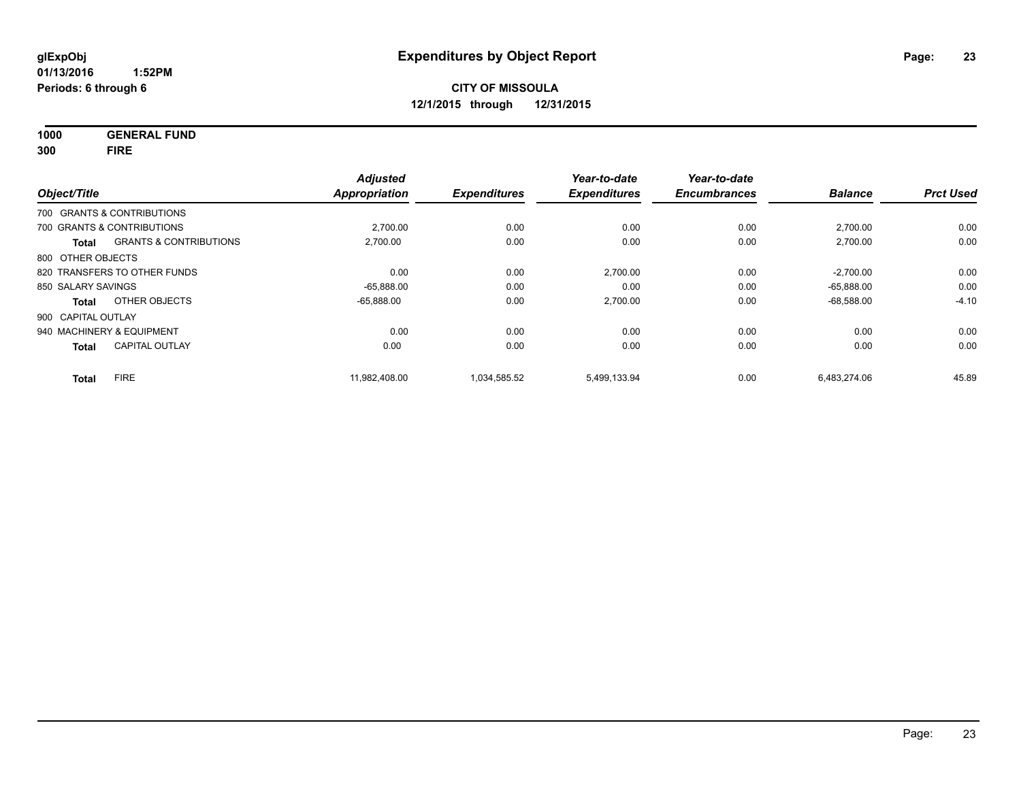**1000 GENERAL FUND 300 FIRE**

| Object/Title       |                                   | <b>Adjusted</b><br>Appropriation | <b>Expenditures</b> | Year-to-date<br><b>Expenditures</b> | Year-to-date<br><b>Encumbrances</b> | <b>Balance</b> | <b>Prct Used</b> |
|--------------------|-----------------------------------|----------------------------------|---------------------|-------------------------------------|-------------------------------------|----------------|------------------|
|                    | 700 GRANTS & CONTRIBUTIONS        |                                  |                     |                                     |                                     |                |                  |
|                    | 700 GRANTS & CONTRIBUTIONS        | 2,700.00                         | 0.00                | 0.00                                | 0.00                                | 2,700.00       | 0.00             |
| Total              | <b>GRANTS &amp; CONTRIBUTIONS</b> | 2.700.00                         | 0.00                | 0.00                                | 0.00                                | 2,700.00       | 0.00             |
| 800 OTHER OBJECTS  |                                   |                                  |                     |                                     |                                     |                |                  |
|                    | 820 TRANSFERS TO OTHER FUNDS      | 0.00                             | 0.00                | 2,700.00                            | 0.00                                | $-2,700.00$    | 0.00             |
| 850 SALARY SAVINGS |                                   | $-65.888.00$                     | 0.00                | 0.00                                | 0.00                                | $-65.888.00$   | 0.00             |
| Total              | OTHER OBJECTS                     | $-65.888.00$                     | 0.00                | 2,700.00                            | 0.00                                | $-68,588.00$   | $-4.10$          |
| 900 CAPITAL OUTLAY |                                   |                                  |                     |                                     |                                     |                |                  |
|                    | 940 MACHINERY & EQUIPMENT         | 0.00                             | 0.00                | 0.00                                | 0.00                                | 0.00           | 0.00             |
| <b>Total</b>       | <b>CAPITAL OUTLAY</b>             | 0.00                             | 0.00                | 0.00                                | 0.00                                | 0.00           | 0.00             |
| <b>Total</b>       | <b>FIRE</b>                       | 11.982.408.00                    | 1.034.585.52        | 5,499,133.94                        | 0.00                                | 6,483,274.06   | 45.89            |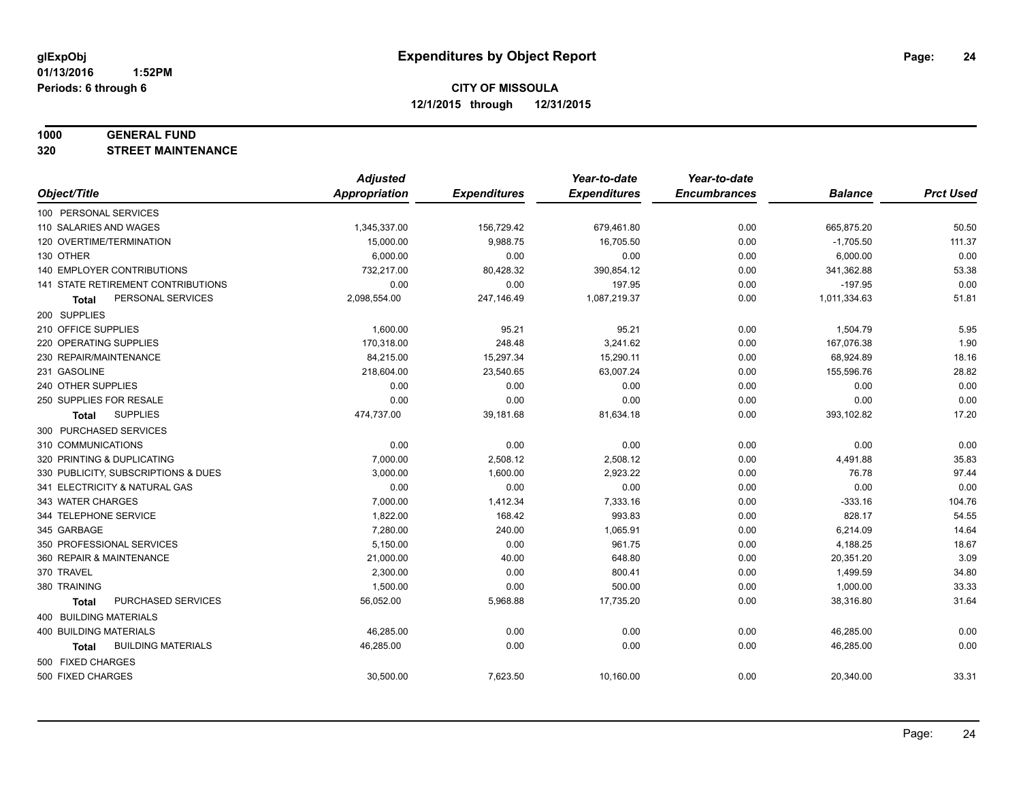#### **1000 GENERAL FUND**

**320 STREET MAINTENANCE**

|                                     | <b>Adjusted</b>      |                     | Year-to-date        | Year-to-date        |                |                  |
|-------------------------------------|----------------------|---------------------|---------------------|---------------------|----------------|------------------|
| Object/Title                        | <b>Appropriation</b> | <b>Expenditures</b> | <b>Expenditures</b> | <b>Encumbrances</b> | <b>Balance</b> | <b>Prct Used</b> |
| 100 PERSONAL SERVICES               |                      |                     |                     |                     |                |                  |
| 110 SALARIES AND WAGES              | 1,345,337.00         | 156,729.42          | 679,461.80          | 0.00                | 665,875.20     | 50.50            |
| 120 OVERTIME/TERMINATION            | 15,000.00            | 9,988.75            | 16,705.50           | 0.00                | $-1,705.50$    | 111.37           |
| 130 OTHER                           | 6,000.00             | 0.00                | 0.00                | 0.00                | 6,000.00       | 0.00             |
| 140 EMPLOYER CONTRIBUTIONS          | 732,217.00           | 80,428.32           | 390,854.12          | 0.00                | 341,362.88     | 53.38            |
| 141 STATE RETIREMENT CONTRIBUTIONS  | 0.00                 | 0.00                | 197.95              | 0.00                | $-197.95$      | 0.00             |
| PERSONAL SERVICES<br>Total          | 2,098,554.00         | 247,146.49          | 1,087,219.37        | 0.00                | 1,011,334.63   | 51.81            |
| 200 SUPPLIES                        |                      |                     |                     |                     |                |                  |
| 210 OFFICE SUPPLIES                 | 1,600.00             | 95.21               | 95.21               | 0.00                | 1,504.79       | 5.95             |
| 220 OPERATING SUPPLIES              | 170,318.00           | 248.48              | 3,241.62            | 0.00                | 167,076.38     | 1.90             |
| 230 REPAIR/MAINTENANCE              | 84,215.00            | 15,297.34           | 15,290.11           | 0.00                | 68,924.89      | 18.16            |
| 231 GASOLINE                        | 218,604.00           | 23,540.65           | 63,007.24           | 0.00                | 155,596.76     | 28.82            |
| 240 OTHER SUPPLIES                  | 0.00                 | 0.00                | 0.00                | 0.00                | 0.00           | 0.00             |
| 250 SUPPLIES FOR RESALE             | 0.00                 | 0.00                | 0.00                | 0.00                | 0.00           | 0.00             |
| <b>SUPPLIES</b><br>Total            | 474,737.00           | 39,181.68           | 81,634.18           | 0.00                | 393,102.82     | 17.20            |
| 300 PURCHASED SERVICES              |                      |                     |                     |                     |                |                  |
| 310 COMMUNICATIONS                  | 0.00                 | 0.00                | 0.00                | 0.00                | 0.00           | 0.00             |
| 320 PRINTING & DUPLICATING          | 7,000.00             | 2,508.12            | 2,508.12            | 0.00                | 4,491.88       | 35.83            |
| 330 PUBLICITY, SUBSCRIPTIONS & DUES | 3,000.00             | 1,600.00            | 2,923.22            | 0.00                | 76.78          | 97.44            |
| 341 ELECTRICITY & NATURAL GAS       | 0.00                 | 0.00                | 0.00                | 0.00                | 0.00           | 0.00             |
| 343 WATER CHARGES                   | 7,000.00             | 1,412.34            | 7,333.16            | 0.00                | $-333.16$      | 104.76           |
| 344 TELEPHONE SERVICE               | 1,822.00             | 168.42              | 993.83              | 0.00                | 828.17         | 54.55            |
| 345 GARBAGE                         | 7,280.00             | 240.00              | 1,065.91            | 0.00                | 6,214.09       | 14.64            |
| 350 PROFESSIONAL SERVICES           | 5,150.00             | 0.00                | 961.75              | 0.00                | 4,188.25       | 18.67            |
| 360 REPAIR & MAINTENANCE            | 21,000.00            | 40.00               | 648.80              | 0.00                | 20,351.20      | 3.09             |
| 370 TRAVEL                          | 2,300.00             | 0.00                | 800.41              | 0.00                | 1,499.59       | 34.80            |
| 380 TRAINING                        | 1,500.00             | 0.00                | 500.00              | 0.00                | 1,000.00       | 33.33            |
| PURCHASED SERVICES<br><b>Total</b>  | 56,052.00            | 5,968.88            | 17,735.20           | 0.00                | 38,316.80      | 31.64            |
| 400 BUILDING MATERIALS              |                      |                     |                     |                     |                |                  |
| 400 BUILDING MATERIALS              | 46,285.00            | 0.00                | 0.00                | 0.00                | 46,285.00      | 0.00             |
| <b>BUILDING MATERIALS</b><br>Total  | 46,285.00            | 0.00                | 0.00                | 0.00                | 46,285.00      | 0.00             |
| 500 FIXED CHARGES                   |                      |                     |                     |                     |                |                  |
| 500 FIXED CHARGES                   | 30,500.00            | 7,623.50            | 10,160.00           | 0.00                | 20,340.00      | 33.31            |
|                                     |                      |                     |                     |                     |                |                  |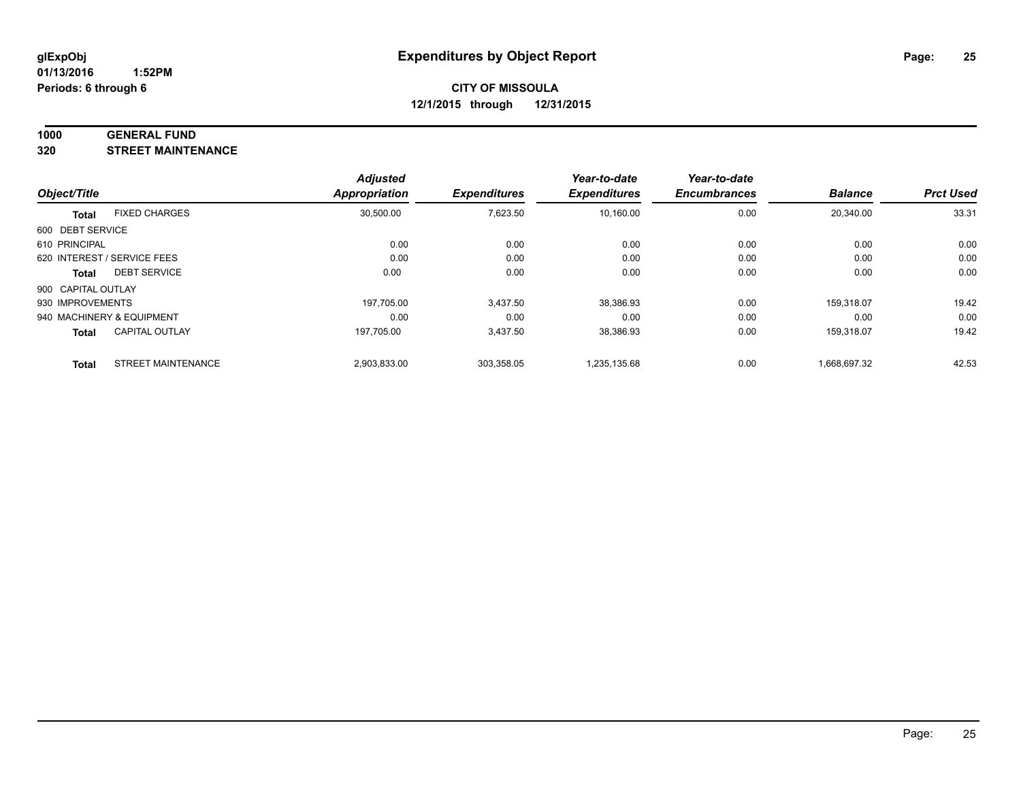#### **1000 GENERAL FUND**

**320 STREET MAINTENANCE**

|                    |                             | <b>Adjusted</b> |                     | Year-to-date        | Year-to-date        |                |                  |
|--------------------|-----------------------------|-----------------|---------------------|---------------------|---------------------|----------------|------------------|
| Object/Title       |                             | Appropriation   | <b>Expenditures</b> | <b>Expenditures</b> | <b>Encumbrances</b> | <b>Balance</b> | <b>Prct Used</b> |
| <b>Total</b>       | <b>FIXED CHARGES</b>        | 30,500.00       | 7,623.50            | 10,160.00           | 0.00                | 20,340.00      | 33.31            |
| 600 DEBT SERVICE   |                             |                 |                     |                     |                     |                |                  |
| 610 PRINCIPAL      |                             | 0.00            | 0.00                | 0.00                | 0.00                | 0.00           | 0.00             |
|                    | 620 INTEREST / SERVICE FEES | 0.00            | 0.00                | 0.00                | 0.00                | 0.00           | 0.00             |
| Total              | <b>DEBT SERVICE</b>         | 0.00            | 0.00                | 0.00                | 0.00                | 0.00           | 0.00             |
| 900 CAPITAL OUTLAY |                             |                 |                     |                     |                     |                |                  |
| 930 IMPROVEMENTS   |                             | 197.705.00      | 3.437.50            | 38,386.93           | 0.00                | 159.318.07     | 19.42            |
|                    | 940 MACHINERY & EQUIPMENT   | 0.00            | 0.00                | 0.00                | 0.00                | 0.00           | 0.00             |
| <b>Total</b>       | <b>CAPITAL OUTLAY</b>       | 197.705.00      | 3,437.50            | 38,386.93           | 0.00                | 159.318.07     | 19.42            |
| <b>Total</b>       | <b>STREET MAINTENANCE</b>   | 2,903,833.00    | 303.358.05          | 1,235,135.68        | 0.00                | 1.668.697.32   | 42.53            |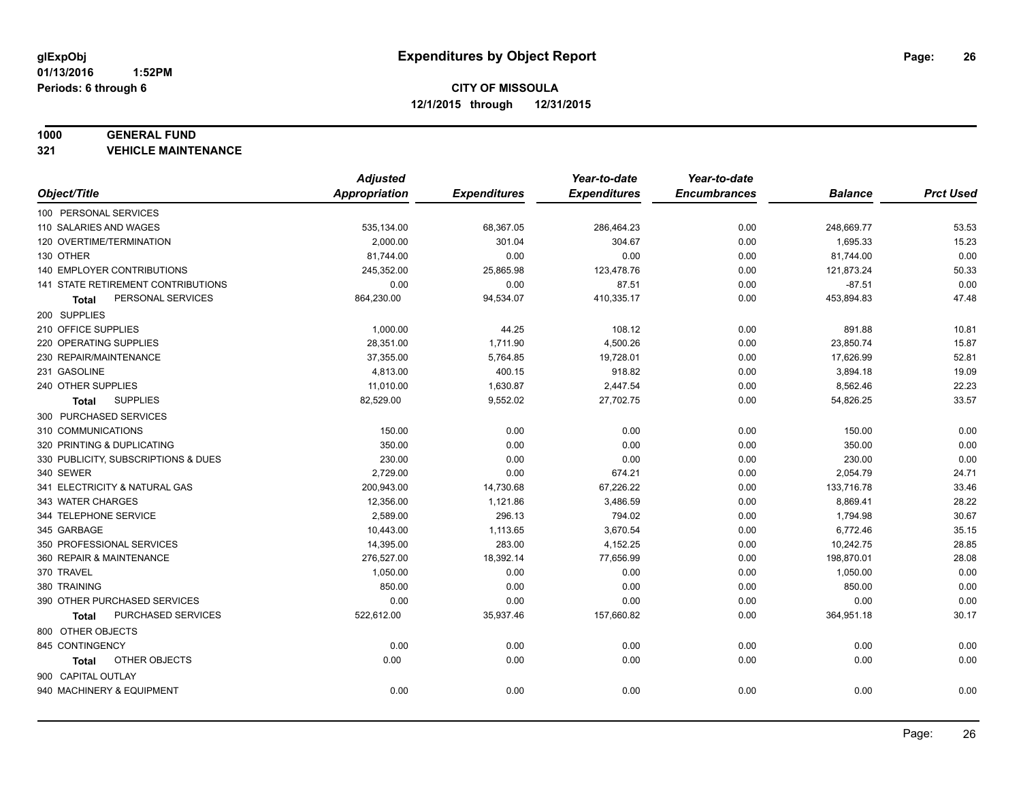#### **1000 GENERAL FUND**

**321 VEHICLE MAINTENANCE**

|                                           | <b>Adjusted</b> |                     | Year-to-date        | Year-to-date        |                |                  |
|-------------------------------------------|-----------------|---------------------|---------------------|---------------------|----------------|------------------|
| Object/Title                              | Appropriation   | <b>Expenditures</b> | <b>Expenditures</b> | <b>Encumbrances</b> | <b>Balance</b> | <b>Prct Used</b> |
| 100 PERSONAL SERVICES                     |                 |                     |                     |                     |                |                  |
| 110 SALARIES AND WAGES                    | 535,134.00      | 68,367.05           | 286,464.23          | 0.00                | 248,669.77     | 53.53            |
| 120 OVERTIME/TERMINATION                  | 2,000.00        | 301.04              | 304.67              | 0.00                | 1,695.33       | 15.23            |
| 130 OTHER                                 | 81,744.00       | 0.00                | 0.00                | 0.00                | 81,744.00      | 0.00             |
| 140 EMPLOYER CONTRIBUTIONS                | 245,352.00      | 25,865.98           | 123,478.76          | 0.00                | 121,873.24     | 50.33            |
| <b>141 STATE RETIREMENT CONTRIBUTIONS</b> | 0.00            | 0.00                | 87.51               | 0.00                | $-87.51$       | 0.00             |
| PERSONAL SERVICES<br>Total                | 864,230.00      | 94,534.07           | 410,335.17          | 0.00                | 453,894.83     | 47.48            |
| 200 SUPPLIES                              |                 |                     |                     |                     |                |                  |
| 210 OFFICE SUPPLIES                       | 1,000.00        | 44.25               | 108.12              | 0.00                | 891.88         | 10.81            |
| 220 OPERATING SUPPLIES                    | 28,351.00       | 1,711.90            | 4,500.26            | 0.00                | 23,850.74      | 15.87            |
| 230 REPAIR/MAINTENANCE                    | 37,355.00       | 5,764.85            | 19,728.01           | 0.00                | 17,626.99      | 52.81            |
| 231 GASOLINE                              | 4,813.00        | 400.15              | 918.82              | 0.00                | 3,894.18       | 19.09            |
| 240 OTHER SUPPLIES                        | 11,010.00       | 1,630.87            | 2,447.54            | 0.00                | 8,562.46       | 22.23            |
| <b>SUPPLIES</b><br>Total                  | 82,529.00       | 9,552.02            | 27,702.75           | 0.00                | 54,826.25      | 33.57            |
| 300 PURCHASED SERVICES                    |                 |                     |                     |                     |                |                  |
| 310 COMMUNICATIONS                        | 150.00          | 0.00                | 0.00                | 0.00                | 150.00         | 0.00             |
| 320 PRINTING & DUPLICATING                | 350.00          | 0.00                | 0.00                | 0.00                | 350.00         | 0.00             |
| 330 PUBLICITY, SUBSCRIPTIONS & DUES       | 230.00          | 0.00                | 0.00                | 0.00                | 230.00         | 0.00             |
| 340 SEWER                                 | 2,729.00        | 0.00                | 674.21              | 0.00                | 2,054.79       | 24.71            |
| 341 ELECTRICITY & NATURAL GAS             | 200,943.00      | 14,730.68           | 67,226.22           | 0.00                | 133,716.78     | 33.46            |
| 343 WATER CHARGES                         | 12,356.00       | 1,121.86            | 3,486.59            | 0.00                | 8,869.41       | 28.22            |
| 344 TELEPHONE SERVICE                     | 2,589.00        | 296.13              | 794.02              | 0.00                | 1,794.98       | 30.67            |
| 345 GARBAGE                               | 10,443.00       | 1,113.65            | 3,670.54            | 0.00                | 6,772.46       | 35.15            |
| 350 PROFESSIONAL SERVICES                 | 14,395.00       | 283.00              | 4,152.25            | 0.00                | 10,242.75      | 28.85            |
| 360 REPAIR & MAINTENANCE                  | 276,527.00      | 18,392.14           | 77,656.99           | 0.00                | 198,870.01     | 28.08            |
| 370 TRAVEL                                | 1,050.00        | 0.00                | 0.00                | 0.00                | 1,050.00       | 0.00             |
| 380 TRAINING                              | 850.00          | 0.00                | 0.00                | 0.00                | 850.00         | 0.00             |
| 390 OTHER PURCHASED SERVICES              | 0.00            | 0.00                | 0.00                | 0.00                | 0.00           | 0.00             |
| PURCHASED SERVICES<br><b>Total</b>        | 522,612.00      | 35,937.46           | 157,660.82          | 0.00                | 364,951.18     | 30.17            |
| 800 OTHER OBJECTS                         |                 |                     |                     |                     |                |                  |
| 845 CONTINGENCY                           | 0.00            | 0.00                | 0.00                | 0.00                | 0.00           | 0.00             |
| OTHER OBJECTS<br>Total                    | 0.00            | 0.00                | 0.00                | 0.00                | 0.00           | 0.00             |
| 900 CAPITAL OUTLAY                        |                 |                     |                     |                     |                |                  |
| 940 MACHINERY & EQUIPMENT                 | 0.00            | 0.00                | 0.00                | 0.00                | 0.00           | 0.00             |
|                                           |                 |                     |                     |                     |                |                  |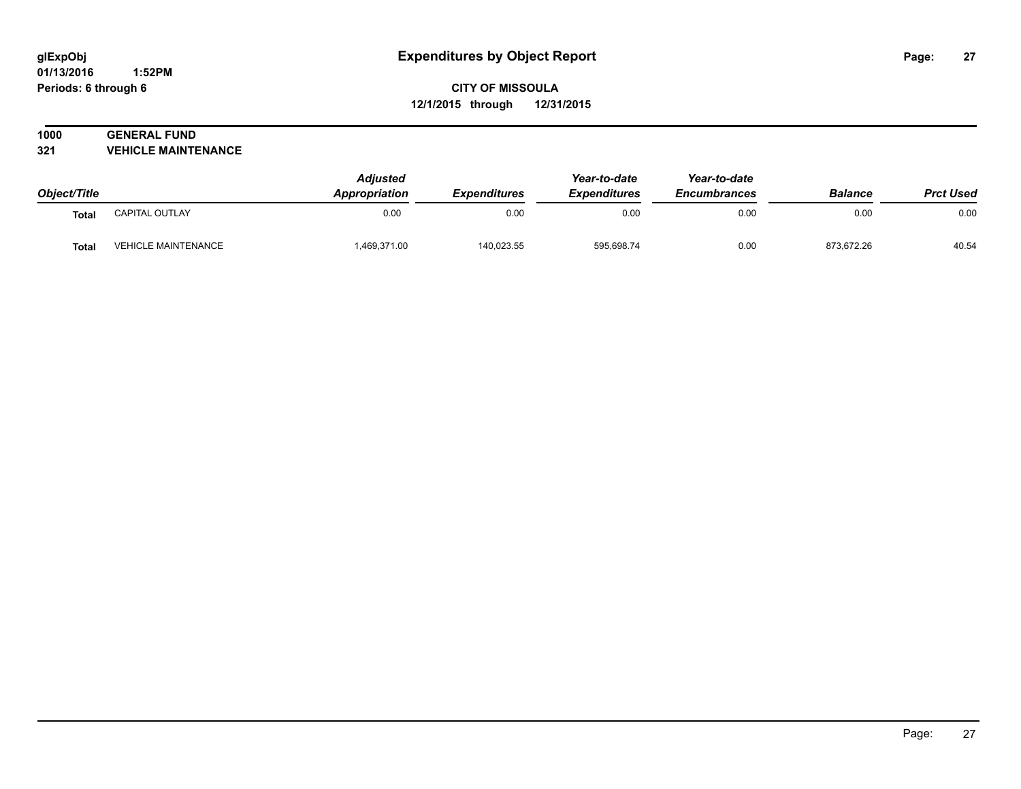#### **01/13/2016 1:52PM Periods: 6 through 6**

## **CITY OF MISSOULA 12/1/2015 through 12/31/2015**

#### **1000 GENERAL FUND 321 VEHICLE MAINTENANCE**

| Object/Title |                            | <b>Adjusted</b><br>Appropriation | <i><b>Expenditures</b></i> | Year-to-date<br><b>Expenditures</b> | Year-to-date<br><b>Encumbrances</b> | <b>Balance</b> | <b>Prct Used</b> |
|--------------|----------------------------|----------------------------------|----------------------------|-------------------------------------|-------------------------------------|----------------|------------------|
| Total        | CAPITAL OUTLAY             | 0.00                             | 0.00                       | 0.00                                | 0.00                                | 0.00           | 0.00             |
| <b>Total</b> | <b>VEHICLE MAINTENANCE</b> | 1,469,371.00                     | 140,023.55                 | 595,698.74                          | 0.00                                | 873,672.26     | 40.54            |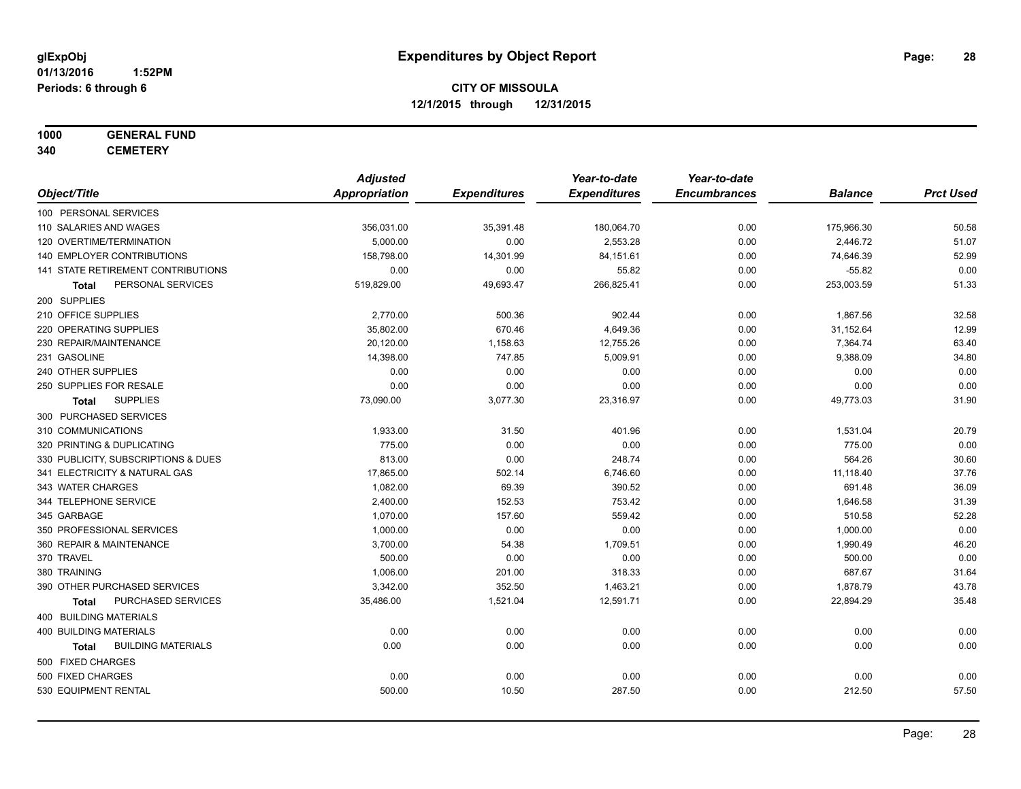# **1000 GENERAL FUND**

**340 CEMETERY**

|                                           | <b>Adjusted</b>      |                     | Year-to-date        | Year-to-date        |                |                  |
|-------------------------------------------|----------------------|---------------------|---------------------|---------------------|----------------|------------------|
| Object/Title                              | <b>Appropriation</b> | <b>Expenditures</b> | <b>Expenditures</b> | <b>Encumbrances</b> | <b>Balance</b> | <b>Prct Used</b> |
| 100 PERSONAL SERVICES                     |                      |                     |                     |                     |                |                  |
| 110 SALARIES AND WAGES                    | 356,031.00           | 35,391.48           | 180,064.70          | 0.00                | 175,966.30     | 50.58            |
| 120 OVERTIME/TERMINATION                  | 5,000.00             | 0.00                | 2,553.28            | 0.00                | 2,446.72       | 51.07            |
| <b>140 EMPLOYER CONTRIBUTIONS</b>         | 158,798.00           | 14,301.99           | 84,151.61           | 0.00                | 74,646.39      | 52.99            |
| 141 STATE RETIREMENT CONTRIBUTIONS        | 0.00                 | 0.00                | 55.82               | 0.00                | $-55.82$       | 0.00             |
| PERSONAL SERVICES<br>Total                | 519,829.00           | 49,693.47           | 266,825.41          | 0.00                | 253,003.59     | 51.33            |
| 200 SUPPLIES                              |                      |                     |                     |                     |                |                  |
| 210 OFFICE SUPPLIES                       | 2,770.00             | 500.36              | 902.44              | 0.00                | 1,867.56       | 32.58            |
| 220 OPERATING SUPPLIES                    | 35,802.00            | 670.46              | 4,649.36            | 0.00                | 31,152.64      | 12.99            |
| 230 REPAIR/MAINTENANCE                    | 20,120.00            | 1,158.63            | 12,755.26           | 0.00                | 7,364.74       | 63.40            |
| 231 GASOLINE                              | 14,398.00            | 747.85              | 5,009.91            | 0.00                | 9,388.09       | 34.80            |
| 240 OTHER SUPPLIES                        | 0.00                 | 0.00                | 0.00                | 0.00                | 0.00           | 0.00             |
| 250 SUPPLIES FOR RESALE                   | 0.00                 | 0.00                | 0.00                | 0.00                | 0.00           | 0.00             |
| <b>SUPPLIES</b><br>Total                  | 73,090.00            | 3,077.30            | 23,316.97           | 0.00                | 49,773.03      | 31.90            |
| 300 PURCHASED SERVICES                    |                      |                     |                     |                     |                |                  |
| 310 COMMUNICATIONS                        | 1,933.00             | 31.50               | 401.96              | 0.00                | 1,531.04       | 20.79            |
| 320 PRINTING & DUPLICATING                | 775.00               | 0.00                | 0.00                | 0.00                | 775.00         | 0.00             |
| 330 PUBLICITY, SUBSCRIPTIONS & DUES       | 813.00               | 0.00                | 248.74              | 0.00                | 564.26         | 30.60            |
| 341 ELECTRICITY & NATURAL GAS             | 17,865.00            | 502.14              | 6,746.60            | 0.00                | 11,118.40      | 37.76            |
| 343 WATER CHARGES                         | 1,082.00             | 69.39               | 390.52              | 0.00                | 691.48         | 36.09            |
| 344 TELEPHONE SERVICE                     | 2,400.00             | 152.53              | 753.42              | 0.00                | 1,646.58       | 31.39            |
| 345 GARBAGE                               | 1,070.00             | 157.60              | 559.42              | 0.00                | 510.58         | 52.28            |
| 350 PROFESSIONAL SERVICES                 | 1,000.00             | 0.00                | 0.00                | 0.00                | 1,000.00       | 0.00             |
| 360 REPAIR & MAINTENANCE                  | 3,700.00             | 54.38               | 1,709.51            | 0.00                | 1,990.49       | 46.20            |
| 370 TRAVEL                                | 500.00               | 0.00                | 0.00                | 0.00                | 500.00         | 0.00             |
| 380 TRAINING                              | 1,006.00             | 201.00              | 318.33              | 0.00                | 687.67         | 31.64            |
| 390 OTHER PURCHASED SERVICES              | 3,342.00             | 352.50              | 1,463.21            | 0.00                | 1,878.79       | 43.78            |
| PURCHASED SERVICES<br>Total               | 35,486.00            | 1,521.04            | 12,591.71           | 0.00                | 22,894.29      | 35.48            |
| 400 BUILDING MATERIALS                    |                      |                     |                     |                     |                |                  |
| <b>400 BUILDING MATERIALS</b>             | 0.00                 | 0.00                | 0.00                | 0.00                | 0.00           | 0.00             |
| <b>BUILDING MATERIALS</b><br><b>Total</b> | 0.00                 | 0.00                | 0.00                | 0.00                | 0.00           | 0.00             |
| 500 FIXED CHARGES                         |                      |                     |                     |                     |                |                  |
| 500 FIXED CHARGES                         | 0.00                 | 0.00                | 0.00                | 0.00                | 0.00           | 0.00             |
| 530 EQUIPMENT RENTAL                      | 500.00               | 10.50               | 287.50              | 0.00                | 212.50         | 57.50            |
|                                           |                      |                     |                     |                     |                |                  |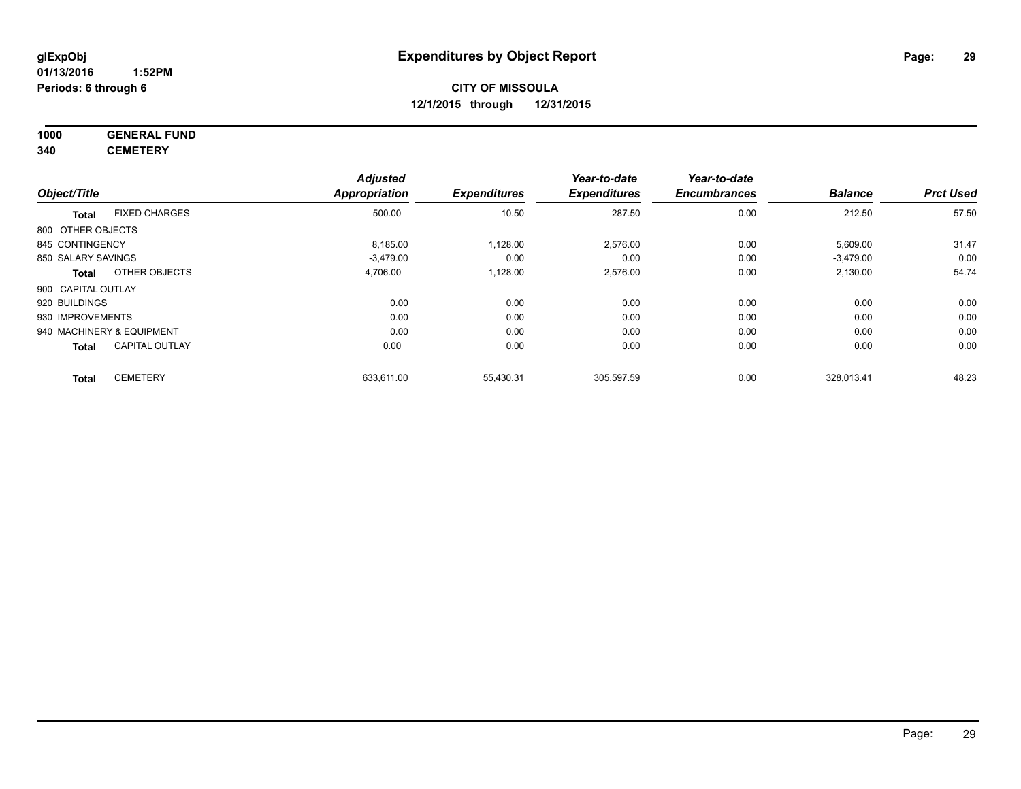#### **1000 GENERAL FUND 340 CEMETERY**

|                                       | <b>Adjusted</b>      |                     | Year-to-date        | Year-to-date        |                |                  |
|---------------------------------------|----------------------|---------------------|---------------------|---------------------|----------------|------------------|
| Object/Title                          | <b>Appropriation</b> | <b>Expenditures</b> | <b>Expenditures</b> | <b>Encumbrances</b> | <b>Balance</b> | <b>Prct Used</b> |
| <b>FIXED CHARGES</b><br><b>Total</b>  | 500.00               | 10.50               | 287.50              | 0.00                | 212.50         | 57.50            |
| 800 OTHER OBJECTS                     |                      |                     |                     |                     |                |                  |
| 845 CONTINGENCY                       | 8,185.00             | 1,128.00            | 2,576.00            | 0.00                | 5,609.00       | 31.47            |
| 850 SALARY SAVINGS                    | $-3.479.00$          | 0.00                | 0.00                | 0.00                | $-3,479.00$    | 0.00             |
| OTHER OBJECTS<br><b>Total</b>         | 4,706.00             | 1,128.00            | 2,576.00            | 0.00                | 2,130.00       | 54.74            |
| 900 CAPITAL OUTLAY                    |                      |                     |                     |                     |                |                  |
| 920 BUILDINGS                         | 0.00                 | 0.00                | 0.00                | 0.00                | 0.00           | 0.00             |
| 930 IMPROVEMENTS                      | 0.00                 | 0.00                | 0.00                | 0.00                | 0.00           | 0.00             |
| 940 MACHINERY & EQUIPMENT             | 0.00                 | 0.00                | 0.00                | 0.00                | 0.00           | 0.00             |
| <b>CAPITAL OUTLAY</b><br><b>Total</b> | 0.00                 | 0.00                | 0.00                | 0.00                | 0.00           | 0.00             |
| <b>CEMETERY</b><br><b>Total</b>       | 633,611.00           | 55,430.31           | 305.597.59          | 0.00                | 328.013.41     | 48.23            |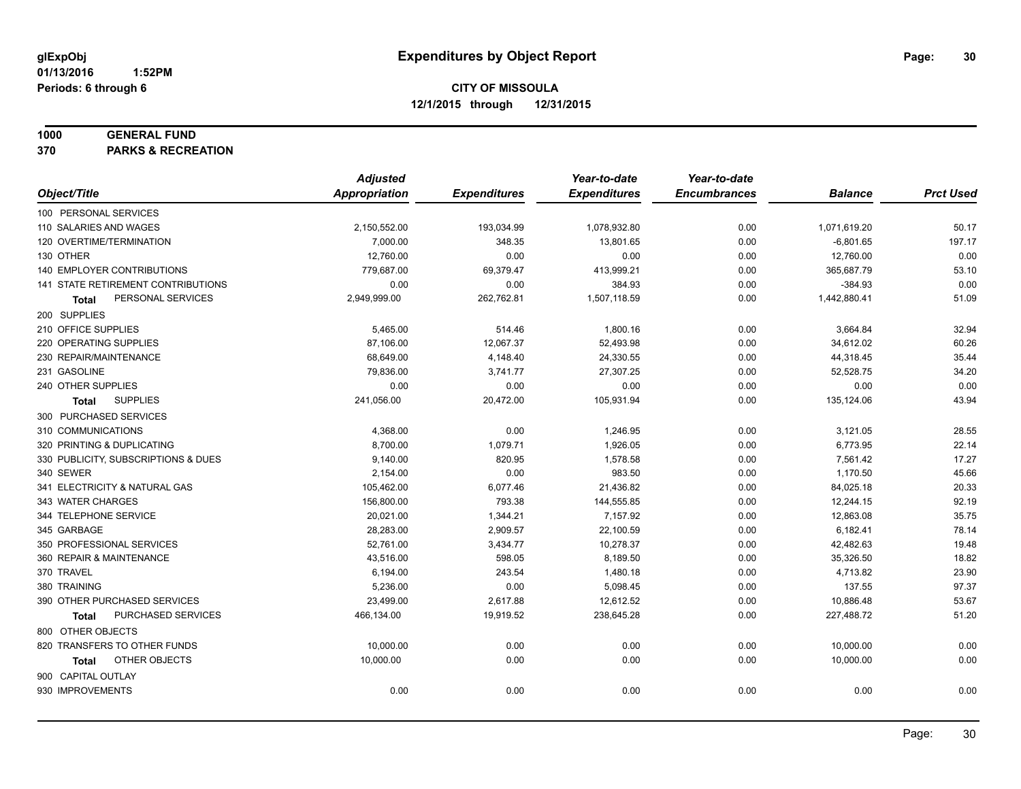#### **1000 GENERAL FUND**

**370 PARKS & RECREATION**

|                                     | <b>Adjusted</b> |                     | Year-to-date        | Year-to-date        |                |                  |
|-------------------------------------|-----------------|---------------------|---------------------|---------------------|----------------|------------------|
| Object/Title                        | Appropriation   | <b>Expenditures</b> | <b>Expenditures</b> | <b>Encumbrances</b> | <b>Balance</b> | <b>Prct Used</b> |
| 100 PERSONAL SERVICES               |                 |                     |                     |                     |                |                  |
| 110 SALARIES AND WAGES              | 2,150,552.00    | 193,034.99          | 1,078,932.80        | 0.00                | 1,071,619.20   | 50.17            |
| 120 OVERTIME/TERMINATION            | 7,000.00        | 348.35              | 13,801.65           | 0.00                | $-6,801.65$    | 197.17           |
| 130 OTHER                           | 12,760.00       | 0.00                | 0.00                | 0.00                | 12,760.00      | 0.00             |
| 140 EMPLOYER CONTRIBUTIONS          | 779,687.00      | 69,379.47           | 413,999.21          | 0.00                | 365,687.79     | 53.10            |
| 141 STATE RETIREMENT CONTRIBUTIONS  | 0.00            | 0.00                | 384.93              | 0.00                | $-384.93$      | 0.00             |
| PERSONAL SERVICES<br>Total          | 2,949,999.00    | 262,762.81          | 1,507,118.59        | 0.00                | 1,442,880.41   | 51.09            |
| 200 SUPPLIES                        |                 |                     |                     |                     |                |                  |
| 210 OFFICE SUPPLIES                 | 5,465.00        | 514.46              | 1,800.16            | 0.00                | 3,664.84       | 32.94            |
| 220 OPERATING SUPPLIES              | 87,106.00       | 12,067.37           | 52,493.98           | 0.00                | 34,612.02      | 60.26            |
| 230 REPAIR/MAINTENANCE              | 68,649.00       | 4,148.40            | 24,330.55           | 0.00                | 44,318.45      | 35.44            |
| 231 GASOLINE                        | 79,836.00       | 3,741.77            | 27,307.25           | 0.00                | 52,528.75      | 34.20            |
| 240 OTHER SUPPLIES                  | 0.00            | 0.00                | 0.00                | 0.00                | 0.00           | 0.00             |
| <b>SUPPLIES</b><br>Total            | 241,056.00      | 20,472.00           | 105,931.94          | 0.00                | 135,124.06     | 43.94            |
| 300 PURCHASED SERVICES              |                 |                     |                     |                     |                |                  |
| 310 COMMUNICATIONS                  | 4,368.00        | 0.00                | 1,246.95            | 0.00                | 3,121.05       | 28.55            |
| 320 PRINTING & DUPLICATING          | 8,700.00        | 1,079.71            | 1,926.05            | 0.00                | 6,773.95       | 22.14            |
| 330 PUBLICITY, SUBSCRIPTIONS & DUES | 9,140.00        | 820.95              | 1,578.58            | 0.00                | 7,561.42       | 17.27            |
| 340 SEWER                           | 2,154.00        | 0.00                | 983.50              | 0.00                | 1,170.50       | 45.66            |
| 341 ELECTRICITY & NATURAL GAS       | 105,462.00      | 6,077.46            | 21,436.82           | 0.00                | 84,025.18      | 20.33            |
| 343 WATER CHARGES                   | 156,800.00      | 793.38              | 144,555.85          | 0.00                | 12,244.15      | 92.19            |
| 344 TELEPHONE SERVICE               | 20,021.00       | 1,344.21            | 7,157.92            | 0.00                | 12,863.08      | 35.75            |
| 345 GARBAGE                         | 28,283.00       | 2,909.57            | 22,100.59           | 0.00                | 6,182.41       | 78.14            |
| 350 PROFESSIONAL SERVICES           | 52,761.00       | 3,434.77            | 10,278.37           | 0.00                | 42,482.63      | 19.48            |
| 360 REPAIR & MAINTENANCE            | 43,516.00       | 598.05              | 8,189.50            | 0.00                | 35,326.50      | 18.82            |
| 370 TRAVEL                          | 6,194.00        | 243.54              | 1,480.18            | 0.00                | 4,713.82       | 23.90            |
| 380 TRAINING                        | 5,236.00        | 0.00                | 5,098.45            | 0.00                | 137.55         | 97.37            |
| 390 OTHER PURCHASED SERVICES        | 23,499.00       | 2,617.88            | 12,612.52           | 0.00                | 10,886.48      | 53.67            |
| PURCHASED SERVICES<br>Total         | 466,134.00      | 19,919.52           | 238,645.28          | 0.00                | 227,488.72     | 51.20            |
| 800 OTHER OBJECTS                   |                 |                     |                     |                     |                |                  |
| 820 TRANSFERS TO OTHER FUNDS        | 10,000.00       | 0.00                | 0.00                | 0.00                | 10,000.00      | 0.00             |
| OTHER OBJECTS<br>Total              | 10,000.00       | 0.00                | 0.00                | 0.00                | 10,000.00      | 0.00             |
| 900 CAPITAL OUTLAY                  |                 |                     |                     |                     |                |                  |
| 930 IMPROVEMENTS                    | 0.00            | 0.00                | 0.00                | 0.00                | 0.00           | 0.00             |
|                                     |                 |                     |                     |                     |                |                  |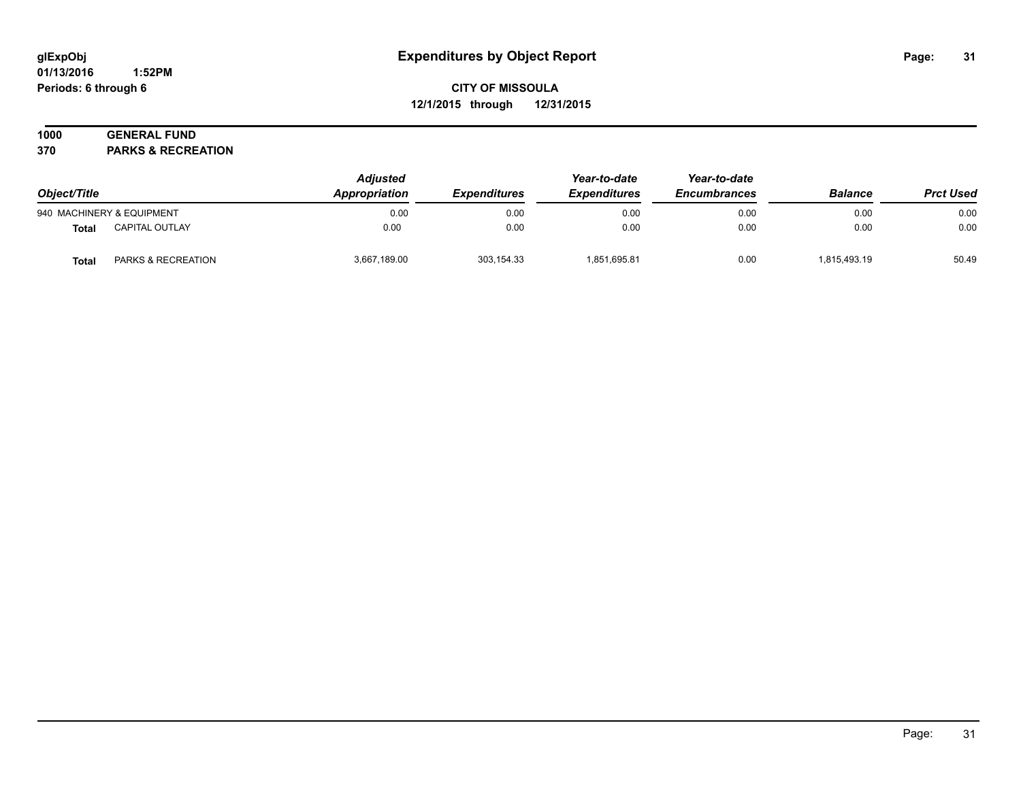#### **01/13/2016 1:52PM Periods: 6 through 6**

## **CITY OF MISSOULA 12/1/2015 through 12/31/2015**

# **1000 GENERAL FUND**

**370 PARKS & RECREATION**

| Object/Title |                               | <b>Adjusted</b><br>Appropriation | <i><b>Expenditures</b></i> | Year-to-date<br><b>Expenditures</b> | Year-to-date<br><b>Encumbrances</b> | <b>Balance</b> | <b>Prct Used</b> |
|--------------|-------------------------------|----------------------------------|----------------------------|-------------------------------------|-------------------------------------|----------------|------------------|
|              | 940 MACHINERY & EQUIPMENT     | 0.00                             | 0.00                       | 0.00                                | 0.00                                | 0.00           | 0.00             |
| <b>Total</b> | <b>CAPITAL OUTLAY</b>         | 0.00                             | 0.00                       | 0.00                                | 0.00                                | 0.00           | 0.00             |
| <b>Total</b> | <b>PARKS &amp; RECREATION</b> | 3,667,189.00                     | 303,154.33                 | 1,851,695.81                        | 0.00                                | 1,815,493.19   | 50.49            |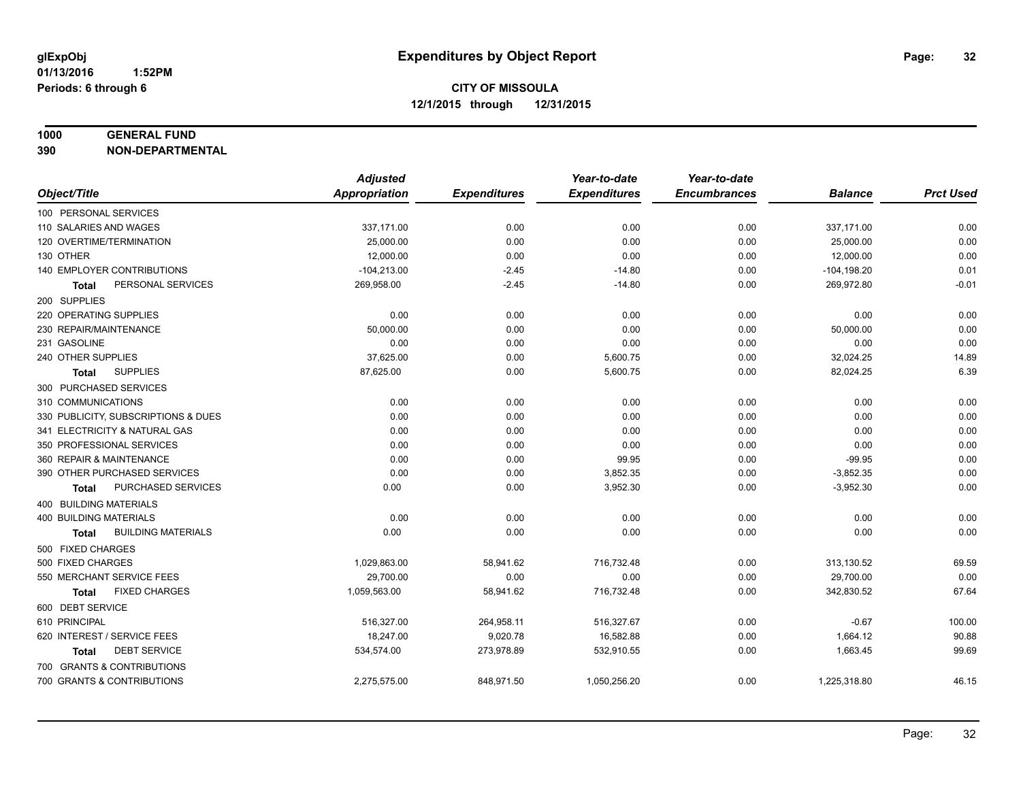## **1000 GENERAL FUND**

**390 NON-DEPARTMENTAL**

|                                      | <b>Adjusted</b> |                     | Year-to-date        | Year-to-date        |                |                  |
|--------------------------------------|-----------------|---------------------|---------------------|---------------------|----------------|------------------|
| Object/Title                         | Appropriation   | <b>Expenditures</b> | <b>Expenditures</b> | <b>Encumbrances</b> | <b>Balance</b> | <b>Prct Used</b> |
| 100 PERSONAL SERVICES                |                 |                     |                     |                     |                |                  |
| 110 SALARIES AND WAGES               | 337,171.00      | 0.00                | 0.00                | 0.00                | 337,171.00     | 0.00             |
| 120 OVERTIME/TERMINATION             | 25,000.00       | 0.00                | 0.00                | 0.00                | 25,000.00      | 0.00             |
| 130 OTHER                            | 12,000.00       | 0.00                | 0.00                | 0.00                | 12,000.00      | 0.00             |
| 140 EMPLOYER CONTRIBUTIONS           | $-104,213.00$   | $-2.45$             | $-14.80$            | 0.00                | $-104, 198.20$ | 0.01             |
| PERSONAL SERVICES<br><b>Total</b>    | 269,958.00      | $-2.45$             | $-14.80$            | 0.00                | 269,972.80     | $-0.01$          |
| 200 SUPPLIES                         |                 |                     |                     |                     |                |                  |
| 220 OPERATING SUPPLIES               | 0.00            | 0.00                | 0.00                | 0.00                | 0.00           | 0.00             |
| 230 REPAIR/MAINTENANCE               | 50,000.00       | 0.00                | 0.00                | 0.00                | 50,000.00      | 0.00             |
| 231 GASOLINE                         | 0.00            | 0.00                | 0.00                | 0.00                | 0.00           | 0.00             |
| 240 OTHER SUPPLIES                   | 37,625.00       | 0.00                | 5,600.75            | 0.00                | 32,024.25      | 14.89            |
| <b>SUPPLIES</b><br>Total             | 87,625.00       | 0.00                | 5,600.75            | 0.00                | 82,024.25      | 6.39             |
| 300 PURCHASED SERVICES               |                 |                     |                     |                     |                |                  |
| 310 COMMUNICATIONS                   | 0.00            | 0.00                | 0.00                | 0.00                | 0.00           | 0.00             |
| 330 PUBLICITY, SUBSCRIPTIONS & DUES  | 0.00            | 0.00                | 0.00                | 0.00                | 0.00           | 0.00             |
| 341 ELECTRICITY & NATURAL GAS        | 0.00            | 0.00                | 0.00                | 0.00                | 0.00           | 0.00             |
| 350 PROFESSIONAL SERVICES            | 0.00            | 0.00                | 0.00                | 0.00                | 0.00           | 0.00             |
| 360 REPAIR & MAINTENANCE             | 0.00            | 0.00                | 99.95               | 0.00                | $-99.95$       | 0.00             |
| 390 OTHER PURCHASED SERVICES         | 0.00            | 0.00                | 3,852.35            | 0.00                | $-3,852.35$    | 0.00             |
| PURCHASED SERVICES<br><b>Total</b>   | 0.00            | 0.00                | 3,952.30            | 0.00                | $-3,952.30$    | 0.00             |
| 400 BUILDING MATERIALS               |                 |                     |                     |                     |                |                  |
| 400 BUILDING MATERIALS               | 0.00            | 0.00                | 0.00                | 0.00                | 0.00           | 0.00             |
| <b>BUILDING MATERIALS</b><br>Total   | 0.00            | 0.00                | 0.00                | 0.00                | 0.00           | 0.00             |
| 500 FIXED CHARGES                    |                 |                     |                     |                     |                |                  |
| 500 FIXED CHARGES                    | 1,029,863.00    | 58,941.62           | 716,732.48          | 0.00                | 313,130.52     | 69.59            |
| 550 MERCHANT SERVICE FEES            | 29,700.00       | 0.00                | 0.00                | 0.00                | 29,700.00      | 0.00             |
| <b>FIXED CHARGES</b><br><b>Total</b> | 1,059,563.00    | 58,941.62           | 716,732.48          | 0.00                | 342,830.52     | 67.64            |
| 600 DEBT SERVICE                     |                 |                     |                     |                     |                |                  |
| 610 PRINCIPAL                        | 516,327.00      | 264,958.11          | 516,327.67          | 0.00                | $-0.67$        | 100.00           |
| 620 INTEREST / SERVICE FEES          | 18,247.00       | 9,020.78            | 16,582.88           | 0.00                | 1,664.12       | 90.88            |
| <b>DEBT SERVICE</b><br>Total         | 534,574.00      | 273,978.89          | 532,910.55          | 0.00                | 1,663.45       | 99.69            |
| 700 GRANTS & CONTRIBUTIONS           |                 |                     |                     |                     |                |                  |
| 700 GRANTS & CONTRIBUTIONS           | 2,275,575.00    | 848,971.50          | 1,050,256.20        | 0.00                | 1,225,318.80   | 46.15            |
|                                      |                 |                     |                     |                     |                |                  |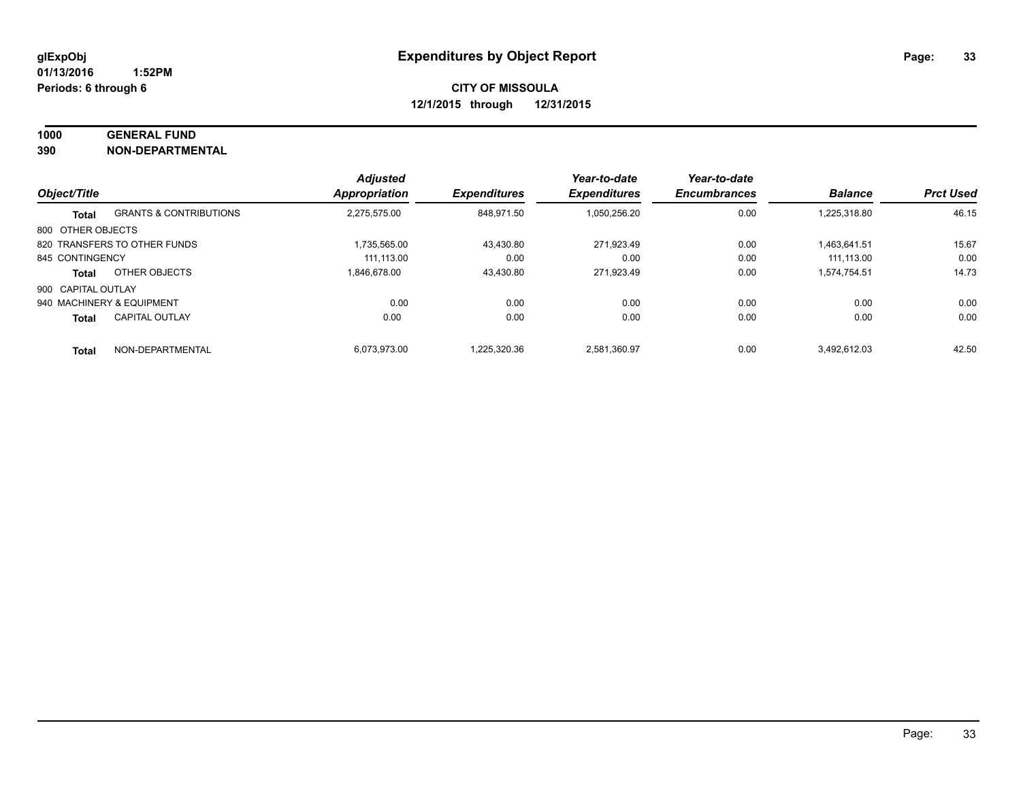## **1000 GENERAL FUND**

**390 NON-DEPARTMENTAL**

|                    |                                   | <b>Adjusted</b>      |                     | Year-to-date        | Year-to-date        |                |                  |
|--------------------|-----------------------------------|----------------------|---------------------|---------------------|---------------------|----------------|------------------|
| Object/Title       |                                   | <b>Appropriation</b> | <b>Expenditures</b> | <b>Expenditures</b> | <b>Encumbrances</b> | <b>Balance</b> | <b>Prct Used</b> |
| Total              | <b>GRANTS &amp; CONTRIBUTIONS</b> | 2.275.575.00         | 848.971.50          | 1,050,256.20        | 0.00                | 1,225,318.80   | 46.15            |
| 800 OTHER OBJECTS  |                                   |                      |                     |                     |                     |                |                  |
|                    | 820 TRANSFERS TO OTHER FUNDS      | 1.735.565.00         | 43.430.80           | 271.923.49          | 0.00                | 1.463.641.51   | 15.67            |
| 845 CONTINGENCY    |                                   | 111.113.00           | 0.00                | 0.00                | 0.00                | 111.113.00     | 0.00             |
| <b>Total</b>       | OTHER OBJECTS                     | 1.846.678.00         | 43.430.80           | 271,923.49          | 0.00                | 1.574.754.51   | 14.73            |
| 900 CAPITAL OUTLAY |                                   |                      |                     |                     |                     |                |                  |
|                    | 940 MACHINERY & EQUIPMENT         | 0.00                 | 0.00                | 0.00                | 0.00                | 0.00           | 0.00             |
| <b>Total</b>       | <b>CAPITAL OUTLAY</b>             | 0.00                 | 0.00                | 0.00                | 0.00                | 0.00           | 0.00             |
| <b>Total</b>       | NON-DEPARTMENTAL                  | 6.073.973.00         | 1.225.320.36        | 2.581.360.97        | 0.00                | 3.492.612.03   | 42.50            |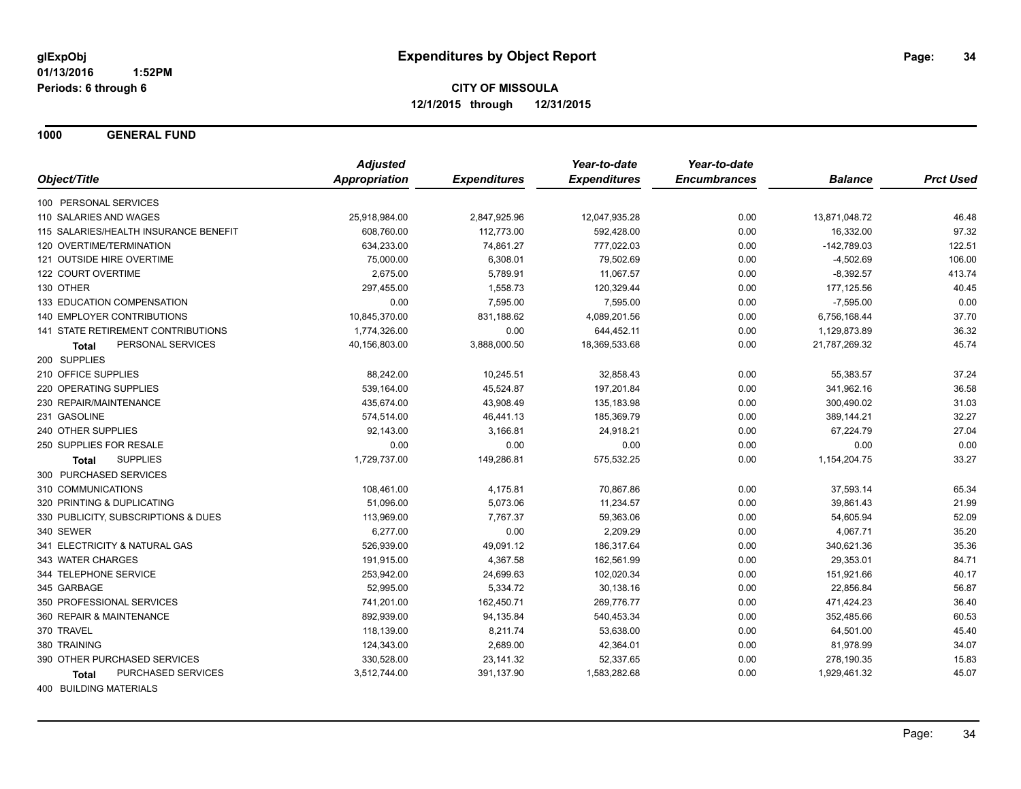**1000 GENERAL FUND**

|                                       | <b>Adjusted</b> |                     | Year-to-date        | Year-to-date        |                |                  |
|---------------------------------------|-----------------|---------------------|---------------------|---------------------|----------------|------------------|
| Object/Title                          | Appropriation   | <b>Expenditures</b> | <b>Expenditures</b> | <b>Encumbrances</b> | <b>Balance</b> | <b>Prct Used</b> |
| 100 PERSONAL SERVICES                 |                 |                     |                     |                     |                |                  |
| 110 SALARIES AND WAGES                | 25,918,984.00   | 2,847,925.96        | 12,047,935.28       | 0.00                | 13,871,048.72  | 46.48            |
| 115 SALARIES/HEALTH INSURANCE BENEFIT | 608,760.00      | 112,773.00          | 592,428.00          | 0.00                | 16,332.00      | 97.32            |
| 120 OVERTIME/TERMINATION              | 634,233.00      | 74,861.27           | 777,022.03          | 0.00                | $-142,789.03$  | 122.51           |
| 121 OUTSIDE HIRE OVERTIME             | 75,000.00       | 6,308.01            | 79,502.69           | 0.00                | $-4,502.69$    | 106.00           |
| 122 COURT OVERTIME                    | 2,675.00        | 5,789.91            | 11,067.57           | 0.00                | $-8,392.57$    | 413.74           |
| 130 OTHER                             | 297,455.00      | 1,558.73            | 120,329.44          | 0.00                | 177,125.56     | 40.45            |
| 133 EDUCATION COMPENSATION            | 0.00            | 7,595.00            | 7,595.00            | 0.00                | $-7,595.00$    | 0.00             |
| 140 EMPLOYER CONTRIBUTIONS            | 10,845,370.00   | 831,188.62          | 4,089,201.56        | 0.00                | 6,756,168.44   | 37.70            |
| 141 STATE RETIREMENT CONTRIBUTIONS    | 1,774,326.00    | 0.00                | 644,452.11          | 0.00                | 1,129,873.89   | 36.32            |
| PERSONAL SERVICES<br><b>Total</b>     | 40,156,803.00   | 3,888,000.50        | 18,369,533.68       | 0.00                | 21,787,269.32  | 45.74            |
| 200 SUPPLIES                          |                 |                     |                     |                     |                |                  |
| 210 OFFICE SUPPLIES                   | 88,242.00       | 10,245.51           | 32,858.43           | 0.00                | 55,383.57      | 37.24            |
| 220 OPERATING SUPPLIES                | 539,164.00      | 45,524.87           | 197,201.84          | 0.00                | 341,962.16     | 36.58            |
| 230 REPAIR/MAINTENANCE                | 435,674.00      | 43,908.49           | 135,183.98          | 0.00                | 300,490.02     | 31.03            |
| 231 GASOLINE                          | 574,514.00      | 46,441.13           | 185,369.79          | 0.00                | 389,144.21     | 32.27            |
| 240 OTHER SUPPLIES                    | 92,143.00       | 3,166.81            | 24,918.21           | 0.00                | 67,224.79      | 27.04            |
| 250 SUPPLIES FOR RESALE               | 0.00            | 0.00                | 0.00                | 0.00                | 0.00           | 0.00             |
| <b>SUPPLIES</b><br><b>Total</b>       | 1,729,737.00    | 149,286.81          | 575,532.25          | 0.00                | 1,154,204.75   | 33.27            |
| 300 PURCHASED SERVICES                |                 |                     |                     |                     |                |                  |
| 310 COMMUNICATIONS                    | 108,461.00      | 4,175.81            | 70,867.86           | 0.00                | 37,593.14      | 65.34            |
| 320 PRINTING & DUPLICATING            | 51,096.00       | 5,073.06            | 11,234.57           | 0.00                | 39,861.43      | 21.99            |
| 330 PUBLICITY, SUBSCRIPTIONS & DUES   | 113,969.00      | 7,767.37            | 59,363.06           | 0.00                | 54,605.94      | 52.09            |
| 340 SEWER                             | 6,277.00        | 0.00                | 2,209.29            | 0.00                | 4,067.71       | 35.20            |
| 341 ELECTRICITY & NATURAL GAS         | 526,939.00      | 49,091.12           | 186,317.64          | 0.00                | 340,621.36     | 35.36            |
| 343 WATER CHARGES                     | 191,915.00      | 4,367.58            | 162,561.99          | 0.00                | 29,353.01      | 84.71            |
| 344 TELEPHONE SERVICE                 | 253,942.00      | 24,699.63           | 102,020.34          | 0.00                | 151,921.66     | 40.17            |
| 345 GARBAGE                           | 52,995.00       | 5,334.72            | 30,138.16           | 0.00                | 22,856.84      | 56.87            |
| 350 PROFESSIONAL SERVICES             | 741,201.00      | 162,450.71          | 269,776.77          | 0.00                | 471,424.23     | 36.40            |
| 360 REPAIR & MAINTENANCE              | 892,939.00      | 94,135.84           | 540,453.34          | 0.00                | 352,485.66     | 60.53            |
| 370 TRAVEL                            | 118,139.00      | 8,211.74            | 53,638.00           | 0.00                | 64,501.00      | 45.40            |
| 380 TRAINING                          | 124,343.00      | 2,689.00            | 42,364.01           | 0.00                | 81,978.99      | 34.07            |
| 390 OTHER PURCHASED SERVICES          | 330,528.00      | 23,141.32           | 52,337.65           | 0.00                | 278,190.35     | 15.83            |
| <b>PURCHASED SERVICES</b><br>Total    | 3,512,744.00    | 391,137.90          | 1,583,282.68        | 0.00                | 1,929,461.32   | 45.07            |
|                                       |                 |                     |                     |                     |                |                  |

400 BUILDING MATERIALS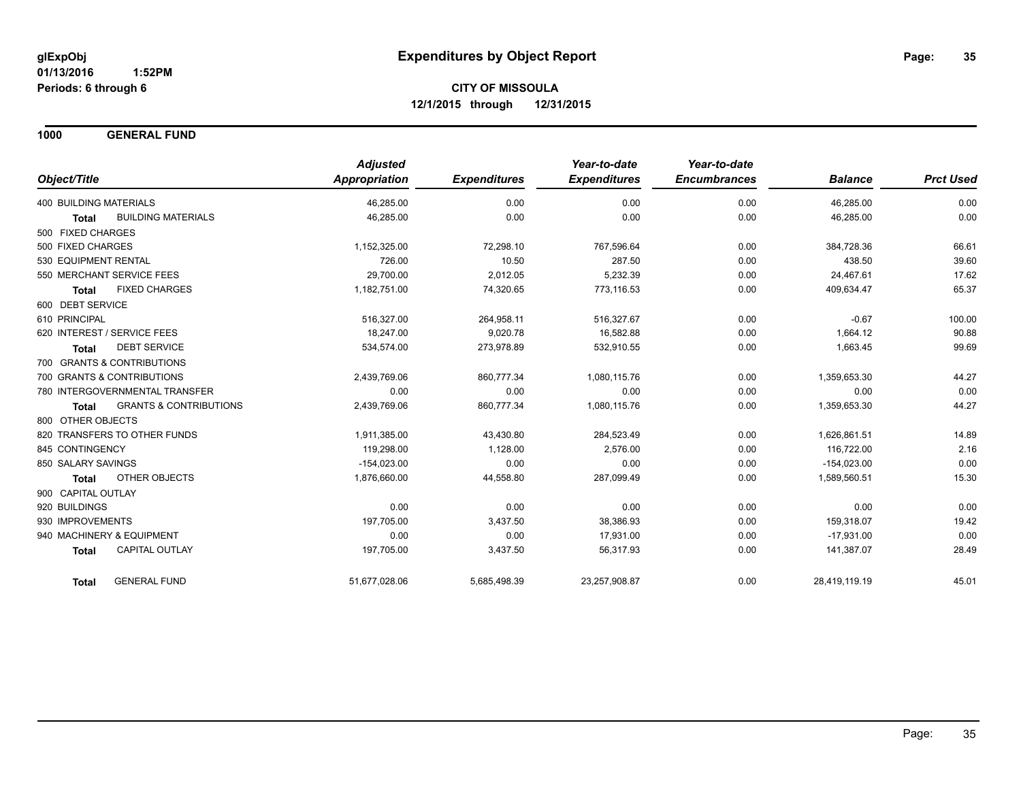**1000 GENERAL FUND**

|                                            | <b>Adjusted</b>      |                     | Year-to-date        | Year-to-date        |                |                  |
|--------------------------------------------|----------------------|---------------------|---------------------|---------------------|----------------|------------------|
| Object/Title                               | <b>Appropriation</b> | <b>Expenditures</b> | <b>Expenditures</b> | <b>Encumbrances</b> | <b>Balance</b> | <b>Prct Used</b> |
| <b>400 BUILDING MATERIALS</b>              | 46,285.00            | 0.00                | 0.00                | 0.00                | 46,285.00      | 0.00             |
| <b>BUILDING MATERIALS</b><br><b>Total</b>  | 46,285.00            | 0.00                | 0.00                | 0.00                | 46,285.00      | 0.00             |
| 500 FIXED CHARGES                          |                      |                     |                     |                     |                |                  |
| 500 FIXED CHARGES                          | 1,152,325.00         | 72,298.10           | 767,596.64          | 0.00                | 384,728.36     | 66.61            |
| 530 EQUIPMENT RENTAL                       | 726.00               | 10.50               | 287.50              | 0.00                | 438.50         | 39.60            |
| 550 MERCHANT SERVICE FEES                  | 29,700.00            | 2,012.05            | 5,232.39            | 0.00                | 24,467.61      | 17.62            |
| <b>FIXED CHARGES</b><br><b>Total</b>       | 1,182,751.00         | 74,320.65           | 773,116.53          | 0.00                | 409,634.47     | 65.37            |
| 600 DEBT SERVICE                           |                      |                     |                     |                     |                |                  |
| 610 PRINCIPAL                              | 516,327.00           | 264,958.11          | 516,327.67          | 0.00                | $-0.67$        | 100.00           |
| 620 INTEREST / SERVICE FEES                | 18,247.00            | 9,020.78            | 16,582.88           | 0.00                | 1,664.12       | 90.88            |
| <b>DEBT SERVICE</b><br><b>Total</b>        | 534,574.00           | 273,978.89          | 532,910.55          | 0.00                | 1,663.45       | 99.69            |
| 700 GRANTS & CONTRIBUTIONS                 |                      |                     |                     |                     |                |                  |
| 700 GRANTS & CONTRIBUTIONS                 | 2,439,769.06         | 860,777.34          | 1,080,115.76        | 0.00                | 1,359,653.30   | 44.27            |
| 780 INTERGOVERNMENTAL TRANSFER             | 0.00                 | 0.00                | 0.00                | 0.00                | 0.00           | 0.00             |
| <b>GRANTS &amp; CONTRIBUTIONS</b><br>Total | 2,439,769.06         | 860,777.34          | 1,080,115.76        | 0.00                | 1,359,653.30   | 44.27            |
| 800 OTHER OBJECTS                          |                      |                     |                     |                     |                |                  |
| 820 TRANSFERS TO OTHER FUNDS               | 1,911,385.00         | 43,430.80           | 284,523.49          | 0.00                | 1,626,861.51   | 14.89            |
| 845 CONTINGENCY                            | 119.298.00           | 1,128.00            | 2,576.00            | 0.00                | 116.722.00     | 2.16             |
| 850 SALARY SAVINGS                         | $-154,023.00$        | 0.00                | 0.00                | 0.00                | $-154,023.00$  | 0.00             |
| <b>OTHER OBJECTS</b><br><b>Total</b>       | 1,876,660.00         | 44,558.80           | 287,099.49          | 0.00                | 1,589,560.51   | 15.30            |
| 900 CAPITAL OUTLAY                         |                      |                     |                     |                     |                |                  |
| 920 BUILDINGS                              | 0.00                 | 0.00                | 0.00                | 0.00                | 0.00           | 0.00             |
| 930 IMPROVEMENTS                           | 197,705.00           | 3,437.50            | 38,386.93           | 0.00                | 159,318.07     | 19.42            |
| 940 MACHINERY & EQUIPMENT                  | 0.00                 | 0.00                | 17,931.00           | 0.00                | $-17.931.00$   | 0.00             |
| CAPITAL OUTLAY<br><b>Total</b>             | 197,705.00           | 3,437.50            | 56,317.93           | 0.00                | 141,387.07     | 28.49            |
| <b>GENERAL FUND</b><br><b>Total</b>        | 51,677,028.06        | 5,685,498.39        | 23,257,908.87       | 0.00                | 28,419,119.19  | 45.01            |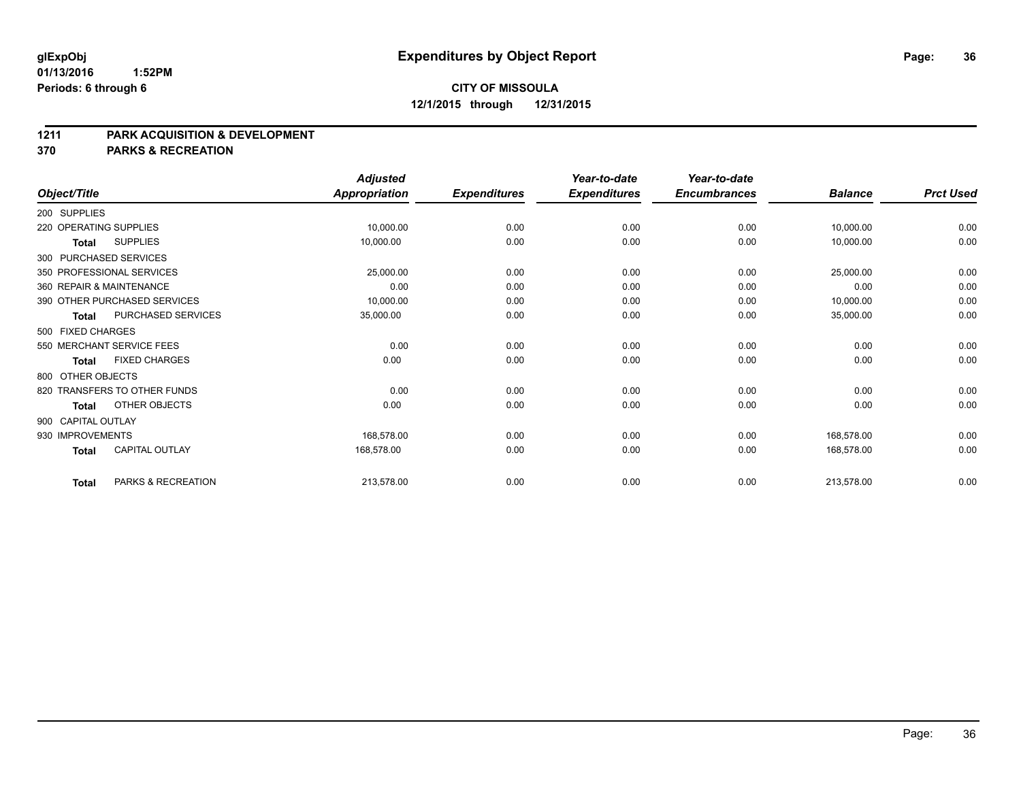#### **01/13/2016 1:52PM Periods: 6 through 6**

## **CITY OF MISSOULA 12/1/2015 through 12/31/2015**

#### **1211 PARK ACQUISITION & DEVELOPMENT**

**370 PARKS & RECREATION**

|                    |                              | <b>Adjusted</b>      |                     | Year-to-date        | Year-to-date        |                |                  |
|--------------------|------------------------------|----------------------|---------------------|---------------------|---------------------|----------------|------------------|
| Object/Title       |                              | <b>Appropriation</b> | <b>Expenditures</b> | <b>Expenditures</b> | <b>Encumbrances</b> | <b>Balance</b> | <b>Prct Used</b> |
| 200 SUPPLIES       |                              |                      |                     |                     |                     |                |                  |
|                    | 220 OPERATING SUPPLIES       | 10,000.00            | 0.00                | 0.00                | 0.00                | 10,000.00      | 0.00             |
| <b>Total</b>       | <b>SUPPLIES</b>              | 10,000.00            | 0.00                | 0.00                | 0.00                | 10,000.00      | 0.00             |
|                    | 300 PURCHASED SERVICES       |                      |                     |                     |                     |                |                  |
|                    | 350 PROFESSIONAL SERVICES    | 25,000.00            | 0.00                | 0.00                | 0.00                | 25,000.00      | 0.00             |
|                    | 360 REPAIR & MAINTENANCE     | 0.00                 | 0.00                | 0.00                | 0.00                | 0.00           | 0.00             |
|                    | 390 OTHER PURCHASED SERVICES | 10,000.00            | 0.00                | 0.00                | 0.00                | 10,000.00      | 0.00             |
| <b>Total</b>       | PURCHASED SERVICES           | 35,000.00            | 0.00                | 0.00                | 0.00                | 35,000.00      | 0.00             |
| 500 FIXED CHARGES  |                              |                      |                     |                     |                     |                |                  |
|                    | 550 MERCHANT SERVICE FEES    | 0.00                 | 0.00                | 0.00                | 0.00                | 0.00           | 0.00             |
| <b>Total</b>       | <b>FIXED CHARGES</b>         | 0.00                 | 0.00                | 0.00                | 0.00                | 0.00           | 0.00             |
| 800 OTHER OBJECTS  |                              |                      |                     |                     |                     |                |                  |
|                    | 820 TRANSFERS TO OTHER FUNDS | 0.00                 | 0.00                | 0.00                | 0.00                | 0.00           | 0.00             |
| <b>Total</b>       | OTHER OBJECTS                | 0.00                 | 0.00                | 0.00                | 0.00                | 0.00           | 0.00             |
| 900 CAPITAL OUTLAY |                              |                      |                     |                     |                     |                |                  |
| 930 IMPROVEMENTS   |                              | 168,578.00           | 0.00                | 0.00                | 0.00                | 168,578.00     | 0.00             |
| <b>Total</b>       | CAPITAL OUTLAY               | 168,578.00           | 0.00                | 0.00                | 0.00                | 168,578.00     | 0.00             |
| <b>Total</b>       | PARKS & RECREATION           | 213,578.00           | 0.00                | 0.00                | 0.00                | 213,578.00     | 0.00             |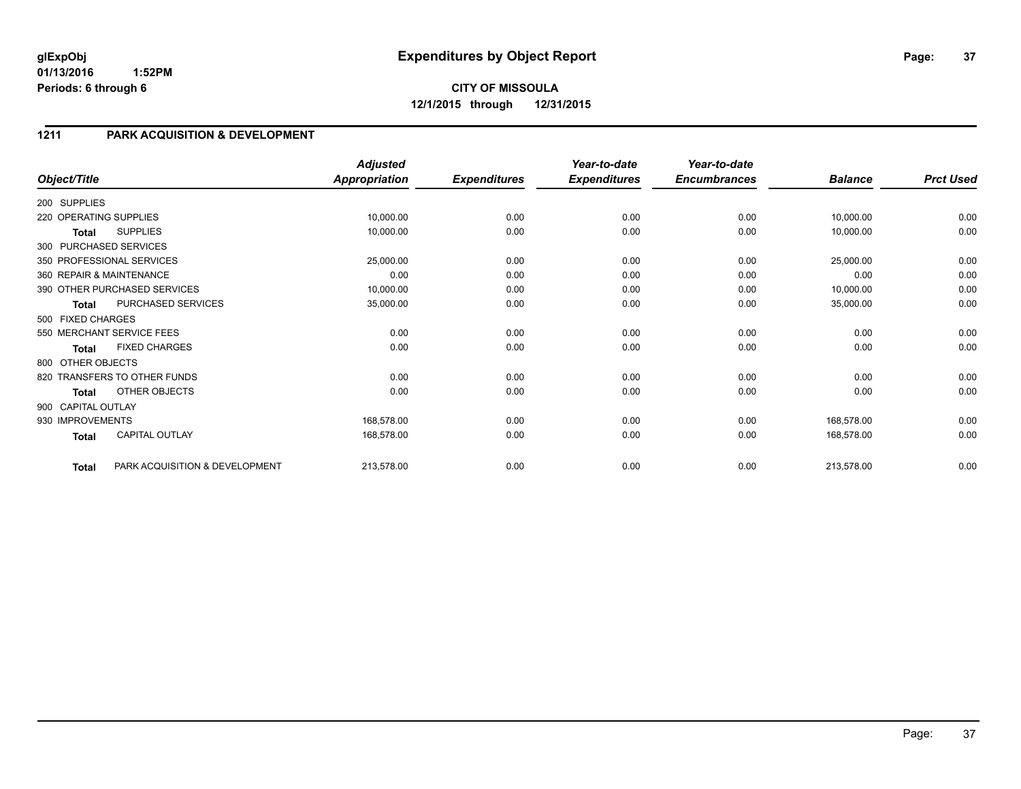## **1211 PARK ACQUISITION & DEVELOPMENT**

| Object/Title           |                                | <b>Adjusted</b><br><b>Appropriation</b> | <b>Expenditures</b> | Year-to-date<br><b>Expenditures</b> | Year-to-date<br><b>Encumbrances</b> | <b>Balance</b> | <b>Prct Used</b> |
|------------------------|--------------------------------|-----------------------------------------|---------------------|-------------------------------------|-------------------------------------|----------------|------------------|
|                        |                                |                                         |                     |                                     |                                     |                |                  |
| 200 SUPPLIES           |                                |                                         |                     |                                     |                                     |                |                  |
| 220 OPERATING SUPPLIES |                                | 10,000.00                               | 0.00                | 0.00                                | 0.00                                | 10,000.00      | 0.00             |
| Total                  | <b>SUPPLIES</b>                | 10,000.00                               | 0.00                | 0.00                                | 0.00                                | 10,000.00      | 0.00             |
|                        | 300 PURCHASED SERVICES         |                                         |                     |                                     |                                     |                |                  |
|                        | 350 PROFESSIONAL SERVICES      | 25,000.00                               | 0.00                | 0.00                                | 0.00                                | 25,000.00      | 0.00             |
|                        | 360 REPAIR & MAINTENANCE       | 0.00                                    | 0.00                | 0.00                                | 0.00                                | 0.00           | 0.00             |
|                        | 390 OTHER PURCHASED SERVICES   | 10,000.00                               | 0.00                | 0.00                                | 0.00                                | 10,000.00      | 0.00             |
| <b>Total</b>           | PURCHASED SERVICES             | 35,000.00                               | 0.00                | 0.00                                | 0.00                                | 35,000.00      | 0.00             |
| 500 FIXED CHARGES      |                                |                                         |                     |                                     |                                     |                |                  |
|                        | 550 MERCHANT SERVICE FEES      | 0.00                                    | 0.00                | 0.00                                | 0.00                                | 0.00           | 0.00             |
| <b>Total</b>           | <b>FIXED CHARGES</b>           | 0.00                                    | 0.00                | 0.00                                | 0.00                                | 0.00           | 0.00             |
| 800 OTHER OBJECTS      |                                |                                         |                     |                                     |                                     |                |                  |
|                        | 820 TRANSFERS TO OTHER FUNDS   | 0.00                                    | 0.00                | 0.00                                | 0.00                                | 0.00           | 0.00             |
| <b>Total</b>           | OTHER OBJECTS                  | 0.00                                    | 0.00                | 0.00                                | 0.00                                | 0.00           | 0.00             |
| 900 CAPITAL OUTLAY     |                                |                                         |                     |                                     |                                     |                |                  |
| 930 IMPROVEMENTS       |                                | 168,578.00                              | 0.00                | 0.00                                | 0.00                                | 168,578.00     | 0.00             |
| <b>Total</b>           | <b>CAPITAL OUTLAY</b>          | 168,578.00                              | 0.00                | 0.00                                | 0.00                                | 168,578.00     | 0.00             |
| <b>Total</b>           | PARK ACQUISITION & DEVELOPMENT | 213,578.00                              | 0.00                | 0.00                                | 0.00                                | 213,578.00     | 0.00             |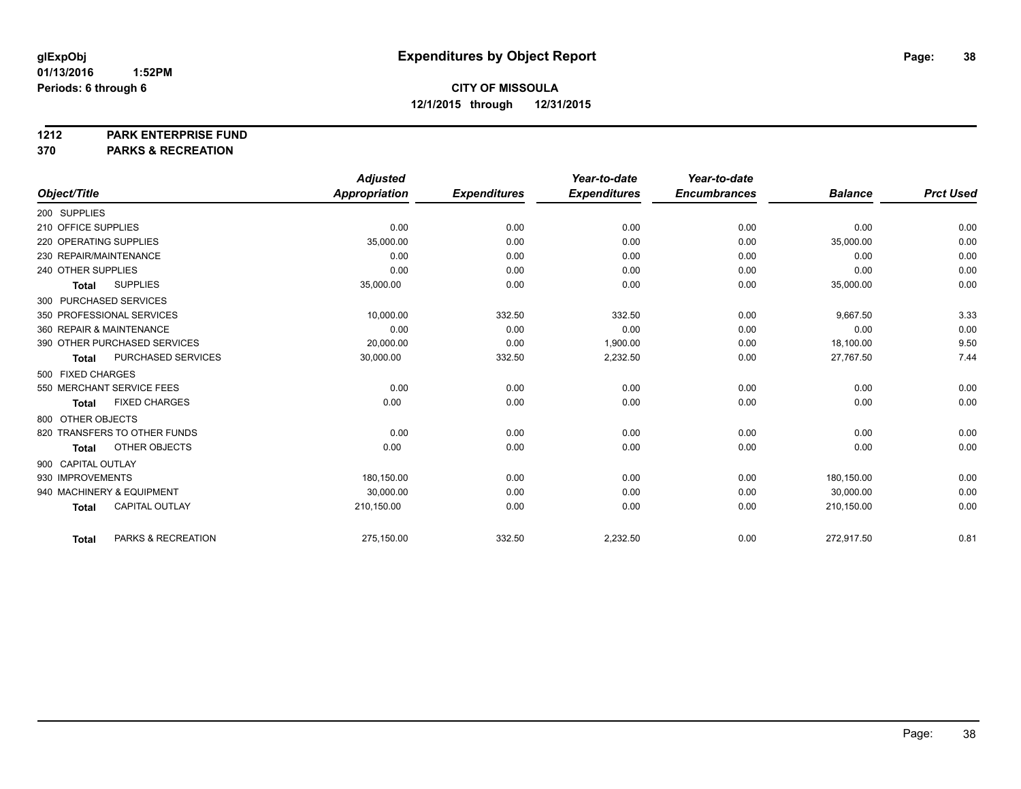**1212 PARK ENTERPRISE FUND**

**370 PARKS & RECREATION**

|                          |                              | <b>Adjusted</b>      |                     | Year-to-date        | Year-to-date        |                |                  |
|--------------------------|------------------------------|----------------------|---------------------|---------------------|---------------------|----------------|------------------|
| Object/Title             |                              | <b>Appropriation</b> | <b>Expenditures</b> | <b>Expenditures</b> | <b>Encumbrances</b> | <b>Balance</b> | <b>Prct Used</b> |
| 200 SUPPLIES             |                              |                      |                     |                     |                     |                |                  |
| 210 OFFICE SUPPLIES      |                              | 0.00                 | 0.00                | 0.00                | 0.00                | 0.00           | 0.00             |
| 220 OPERATING SUPPLIES   |                              | 35,000.00            | 0.00                | 0.00                | 0.00                | 35,000.00      | 0.00             |
| 230 REPAIR/MAINTENANCE   |                              | 0.00                 | 0.00                | 0.00                | 0.00                | 0.00           | 0.00             |
| 240 OTHER SUPPLIES       |                              | 0.00                 | 0.00                | 0.00                | 0.00                | 0.00           | 0.00             |
| <b>Total</b>             | <b>SUPPLIES</b>              | 35,000.00            | 0.00                | 0.00                | 0.00                | 35,000.00      | 0.00             |
| 300 PURCHASED SERVICES   |                              |                      |                     |                     |                     |                |                  |
|                          | 350 PROFESSIONAL SERVICES    | 10,000.00            | 332.50              | 332.50              | 0.00                | 9,667.50       | 3.33             |
| 360 REPAIR & MAINTENANCE |                              | 0.00                 | 0.00                | 0.00                | 0.00                | 0.00           | 0.00             |
|                          | 390 OTHER PURCHASED SERVICES | 20.000.00            | 0.00                | 1,900.00            | 0.00                | 18,100.00      | 9.50             |
| <b>Total</b>             | PURCHASED SERVICES           | 30,000.00            | 332.50              | 2,232.50            | 0.00                | 27,767.50      | 7.44             |
| 500 FIXED CHARGES        |                              |                      |                     |                     |                     |                |                  |
|                          | 550 MERCHANT SERVICE FEES    | 0.00                 | 0.00                | 0.00                | 0.00                | 0.00           | 0.00             |
| <b>Total</b>             | <b>FIXED CHARGES</b>         | 0.00                 | 0.00                | 0.00                | 0.00                | 0.00           | 0.00             |
| 800 OTHER OBJECTS        |                              |                      |                     |                     |                     |                |                  |
|                          | 820 TRANSFERS TO OTHER FUNDS | 0.00                 | 0.00                | 0.00                | 0.00                | 0.00           | 0.00             |
| <b>Total</b>             | OTHER OBJECTS                | 0.00                 | 0.00                | 0.00                | 0.00                | 0.00           | 0.00             |
| 900 CAPITAL OUTLAY       |                              |                      |                     |                     |                     |                |                  |
| 930 IMPROVEMENTS         |                              | 180,150.00           | 0.00                | 0.00                | 0.00                | 180,150.00     | 0.00             |
|                          | 940 MACHINERY & EQUIPMENT    | 30,000.00            | 0.00                | 0.00                | 0.00                | 30,000.00      | 0.00             |
| <b>Total</b>             | <b>CAPITAL OUTLAY</b>        | 210,150.00           | 0.00                | 0.00                | 0.00                | 210,150.00     | 0.00             |
| <b>Total</b>             | PARKS & RECREATION           | 275,150.00           | 332.50              | 2,232.50            | 0.00                | 272,917.50     | 0.81             |
|                          |                              |                      |                     |                     |                     |                |                  |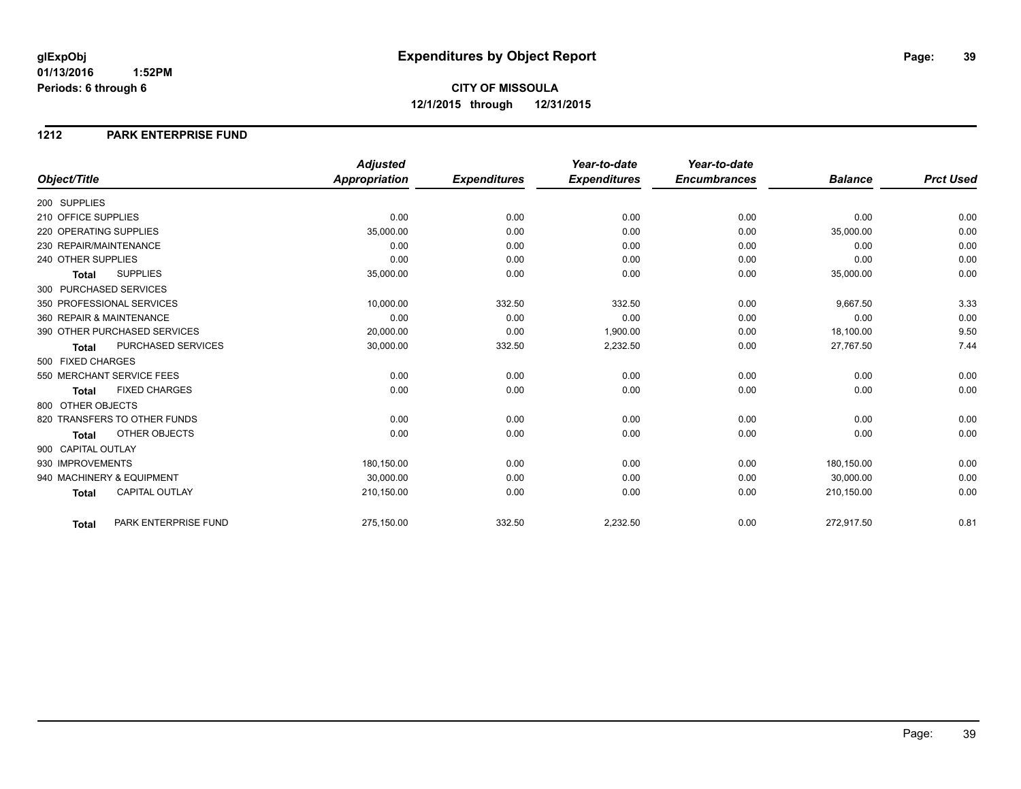#### **1212 PARK ENTERPRISE FUND**

|                                           | <b>Adjusted</b>      |                     | Year-to-date        | Year-to-date        |                |                  |
|-------------------------------------------|----------------------|---------------------|---------------------|---------------------|----------------|------------------|
| Object/Title                              | <b>Appropriation</b> | <b>Expenditures</b> | <b>Expenditures</b> | <b>Encumbrances</b> | <b>Balance</b> | <b>Prct Used</b> |
| 200 SUPPLIES                              |                      |                     |                     |                     |                |                  |
| 210 OFFICE SUPPLIES                       | 0.00                 | 0.00                | 0.00                | 0.00                | 0.00           | 0.00             |
| 220 OPERATING SUPPLIES                    | 35,000.00            | 0.00                | 0.00                | 0.00                | 35,000.00      | 0.00             |
| 230 REPAIR/MAINTENANCE                    | 0.00                 | 0.00                | 0.00                | 0.00                | 0.00           | 0.00             |
| 240 OTHER SUPPLIES                        | 0.00                 | 0.00                | 0.00                | 0.00                | 0.00           | 0.00             |
| <b>SUPPLIES</b><br><b>Total</b>           | 35,000.00            | 0.00                | 0.00                | 0.00                | 35,000.00      | 0.00             |
| 300 PURCHASED SERVICES                    |                      |                     |                     |                     |                |                  |
| 350 PROFESSIONAL SERVICES                 | 10,000.00            | 332.50              | 332.50              | 0.00                | 9,667.50       | 3.33             |
| 360 REPAIR & MAINTENANCE                  | 0.00                 | 0.00                | 0.00                | 0.00                | 0.00           | 0.00             |
| 390 OTHER PURCHASED SERVICES              | 20,000.00            | 0.00                | 1,900.00            | 0.00                | 18,100.00      | 9.50             |
| <b>PURCHASED SERVICES</b><br><b>Total</b> | 30,000.00            | 332.50              | 2,232.50            | 0.00                | 27,767.50      | 7.44             |
| 500 FIXED CHARGES                         |                      |                     |                     |                     |                |                  |
| 550 MERCHANT SERVICE FEES                 | 0.00                 | 0.00                | 0.00                | 0.00                | 0.00           | 0.00             |
| <b>FIXED CHARGES</b><br><b>Total</b>      | 0.00                 | 0.00                | 0.00                | 0.00                | 0.00           | 0.00             |
| 800 OTHER OBJECTS                         |                      |                     |                     |                     |                |                  |
| 820 TRANSFERS TO OTHER FUNDS              | 0.00                 | 0.00                | 0.00                | 0.00                | 0.00           | 0.00             |
| <b>OTHER OBJECTS</b><br><b>Total</b>      | 0.00                 | 0.00                | 0.00                | 0.00                | 0.00           | 0.00             |
| 900 CAPITAL OUTLAY                        |                      |                     |                     |                     |                |                  |
| 930 IMPROVEMENTS                          | 180,150.00           | 0.00                | 0.00                | 0.00                | 180,150.00     | 0.00             |
| 940 MACHINERY & EQUIPMENT                 | 30.000.00            | 0.00                | 0.00                | 0.00                | 30,000.00      | 0.00             |
| <b>CAPITAL OUTLAY</b><br><b>Total</b>     | 210,150.00           | 0.00                | 0.00                | 0.00                | 210,150.00     | 0.00             |
| PARK ENTERPRISE FUND<br>Total             | 275,150.00           | 332.50              | 2,232.50            | 0.00                | 272,917.50     | 0.81             |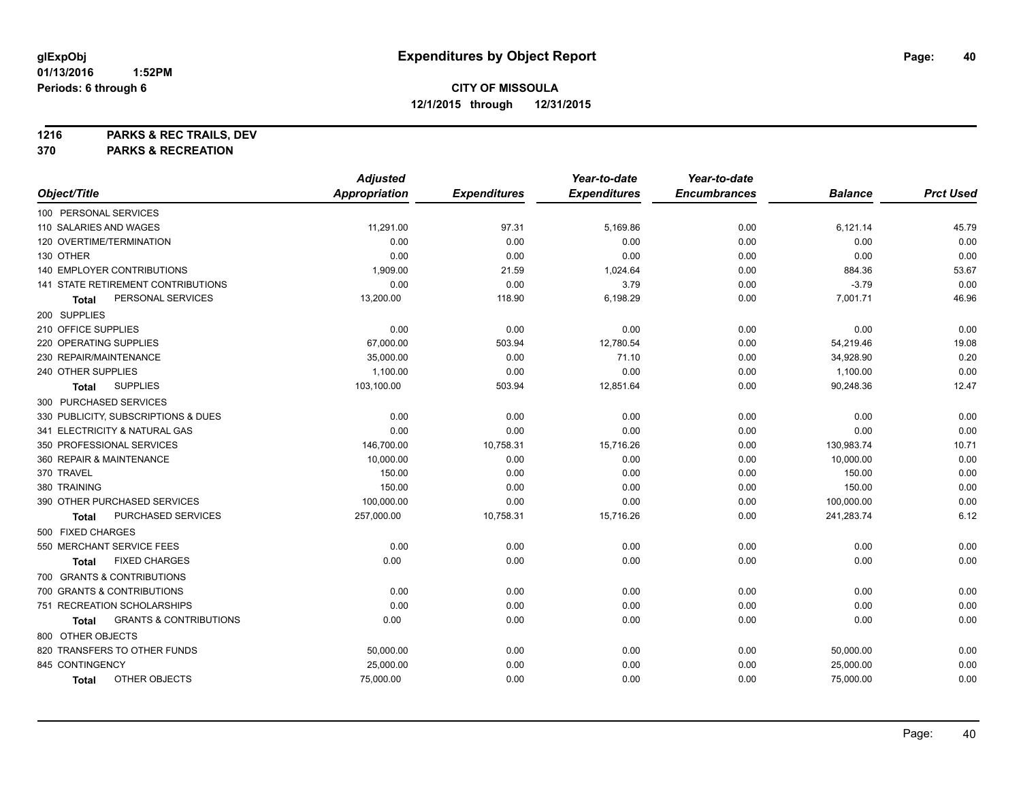**1216 PARKS & REC TRAILS, DEV**

**370 PARKS & RECREATION**

|                                            | <b>Adjusted</b>      |                     | Year-to-date        | Year-to-date        |                |                  |
|--------------------------------------------|----------------------|---------------------|---------------------|---------------------|----------------|------------------|
| Object/Title                               | <b>Appropriation</b> | <b>Expenditures</b> | <b>Expenditures</b> | <b>Encumbrances</b> | <b>Balance</b> | <b>Prct Used</b> |
| 100 PERSONAL SERVICES                      |                      |                     |                     |                     |                |                  |
| 110 SALARIES AND WAGES                     | 11,291.00            | 97.31               | 5,169.86            | 0.00                | 6,121.14       | 45.79            |
| 120 OVERTIME/TERMINATION                   | 0.00                 | 0.00                | 0.00                | 0.00                | 0.00           | 0.00             |
| 130 OTHER                                  | 0.00                 | 0.00                | 0.00                | 0.00                | 0.00           | 0.00             |
| 140 EMPLOYER CONTRIBUTIONS                 | 1,909.00             | 21.59               | 1,024.64            | 0.00                | 884.36         | 53.67            |
| 141 STATE RETIREMENT CONTRIBUTIONS         | 0.00                 | 0.00                | 3.79                | 0.00                | $-3.79$        | 0.00             |
| PERSONAL SERVICES<br>Total                 | 13,200.00            | 118.90              | 6,198.29            | 0.00                | 7,001.71       | 46.96            |
| 200 SUPPLIES                               |                      |                     |                     |                     |                |                  |
| 210 OFFICE SUPPLIES                        | 0.00                 | 0.00                | 0.00                | 0.00                | 0.00           | 0.00             |
| 220 OPERATING SUPPLIES                     | 67,000.00            | 503.94              | 12,780.54           | 0.00                | 54,219.46      | 19.08            |
| 230 REPAIR/MAINTENANCE                     | 35,000.00            | 0.00                | 71.10               | 0.00                | 34,928.90      | 0.20             |
| 240 OTHER SUPPLIES                         | 1,100.00             | 0.00                | 0.00                | 0.00                | 1,100.00       | 0.00             |
| <b>SUPPLIES</b><br><b>Total</b>            | 103,100.00           | 503.94              | 12,851.64           | 0.00                | 90,248.36      | 12.47            |
| 300 PURCHASED SERVICES                     |                      |                     |                     |                     |                |                  |
| 330 PUBLICITY, SUBSCRIPTIONS & DUES        | 0.00                 | 0.00                | 0.00                | 0.00                | 0.00           | 0.00             |
| 341 ELECTRICITY & NATURAL GAS              | 0.00                 | 0.00                | 0.00                | 0.00                | 0.00           | 0.00             |
| 350 PROFESSIONAL SERVICES                  | 146,700.00           | 10,758.31           | 15,716.26           | 0.00                | 130,983.74     | 10.71            |
| 360 REPAIR & MAINTENANCE                   | 10,000.00            | 0.00                | 0.00                | 0.00                | 10,000.00      | 0.00             |
| 370 TRAVEL                                 | 150.00               | 0.00                | 0.00                | 0.00                | 150.00         | 0.00             |
| 380 TRAINING                               | 150.00               | 0.00                | 0.00                | 0.00                | 150.00         | 0.00             |
| 390 OTHER PURCHASED SERVICES               | 100,000.00           | 0.00                | 0.00                | 0.00                | 100,000.00     | 0.00             |
| PURCHASED SERVICES<br>Total                | 257,000.00           | 10,758.31           | 15,716.26           | 0.00                | 241,283.74     | 6.12             |
| 500 FIXED CHARGES                          |                      |                     |                     |                     |                |                  |
| 550 MERCHANT SERVICE FEES                  | 0.00                 | 0.00                | 0.00                | 0.00                | 0.00           | 0.00             |
| <b>FIXED CHARGES</b><br>Total              | 0.00                 | 0.00                | 0.00                | 0.00                | 0.00           | 0.00             |
| 700 GRANTS & CONTRIBUTIONS                 |                      |                     |                     |                     |                |                  |
| 700 GRANTS & CONTRIBUTIONS                 | 0.00                 | 0.00                | 0.00                | 0.00                | 0.00           | 0.00             |
| 751 RECREATION SCHOLARSHIPS                | 0.00                 | 0.00                | 0.00                | 0.00                | 0.00           | 0.00             |
| <b>GRANTS &amp; CONTRIBUTIONS</b><br>Total | 0.00                 | 0.00                | 0.00                | 0.00                | 0.00           | 0.00             |
| 800 OTHER OBJECTS                          |                      |                     |                     |                     |                |                  |
| 820 TRANSFERS TO OTHER FUNDS               | 50,000.00            | 0.00                | 0.00                | 0.00                | 50,000.00      | 0.00             |
| 845 CONTINGENCY                            | 25,000.00            | 0.00                | 0.00                | 0.00                | 25,000.00      | 0.00             |
| OTHER OBJECTS<br><b>Total</b>              | 75,000.00            | 0.00                | 0.00                | 0.00                | 75,000.00      | 0.00             |
|                                            |                      |                     |                     |                     |                |                  |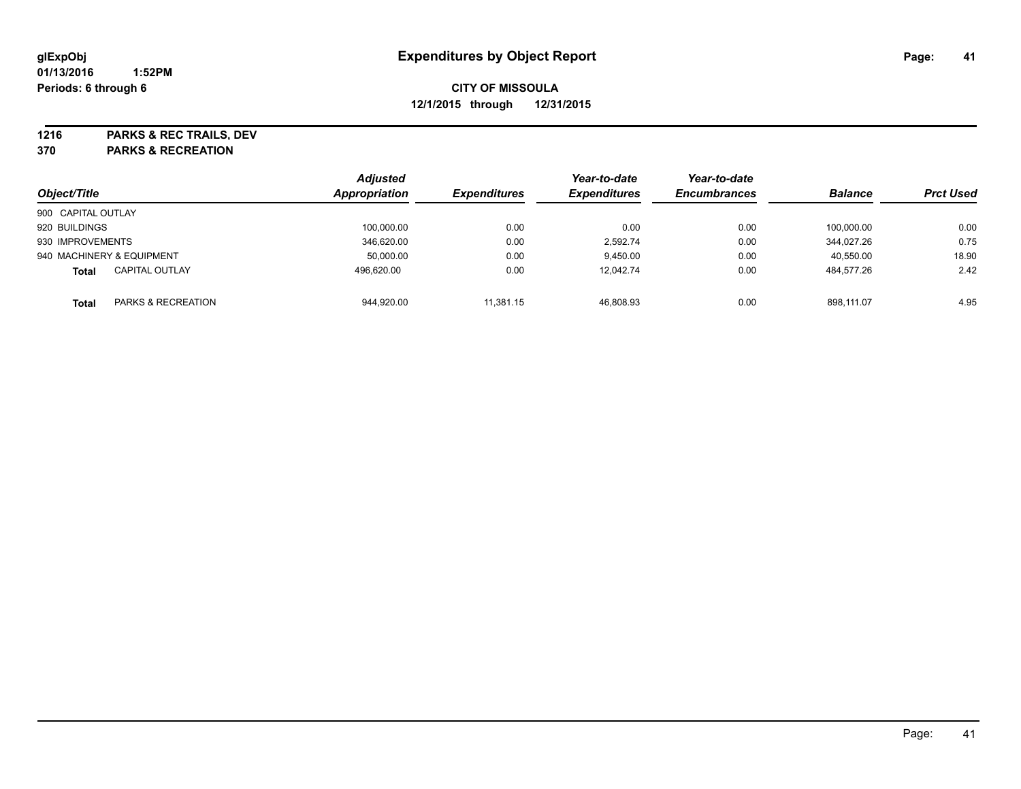**1216 PARKS & REC TRAILS, DEV**

**370 PARKS & RECREATION**

| Object/Title                       | <b>Adjusted</b><br>Appropriation | <b>Expenditures</b> | Year-to-date<br><b>Expenditures</b> | Year-to-date<br><b>Encumbrances</b> | <b>Balance</b> | <b>Prct Used</b> |
|------------------------------------|----------------------------------|---------------------|-------------------------------------|-------------------------------------|----------------|------------------|
| 900 CAPITAL OUTLAY                 |                                  |                     |                                     |                                     |                |                  |
| 920 BUILDINGS                      | 100,000.00                       | 0.00                | 0.00                                | 0.00                                | 100.000.00     | 0.00             |
| 930 IMPROVEMENTS                   | 346.620.00                       | 0.00                | 2.592.74                            | 0.00                                | 344.027.26     | 0.75             |
| 940 MACHINERY & EQUIPMENT          | 50.000.00                        | 0.00                | 9.450.00                            | 0.00                                | 40,550.00      | 18.90            |
| <b>CAPITAL OUTLAY</b><br>Total     | 496.620.00                       | 0.00                | 12,042.74                           | 0.00                                | 484.577.26     | 2.42             |
| PARKS & RECREATION<br><b>Total</b> | 944,920.00                       | 11.381.15           | 46.808.93                           | 0.00                                | 898.111.07     | 4.95             |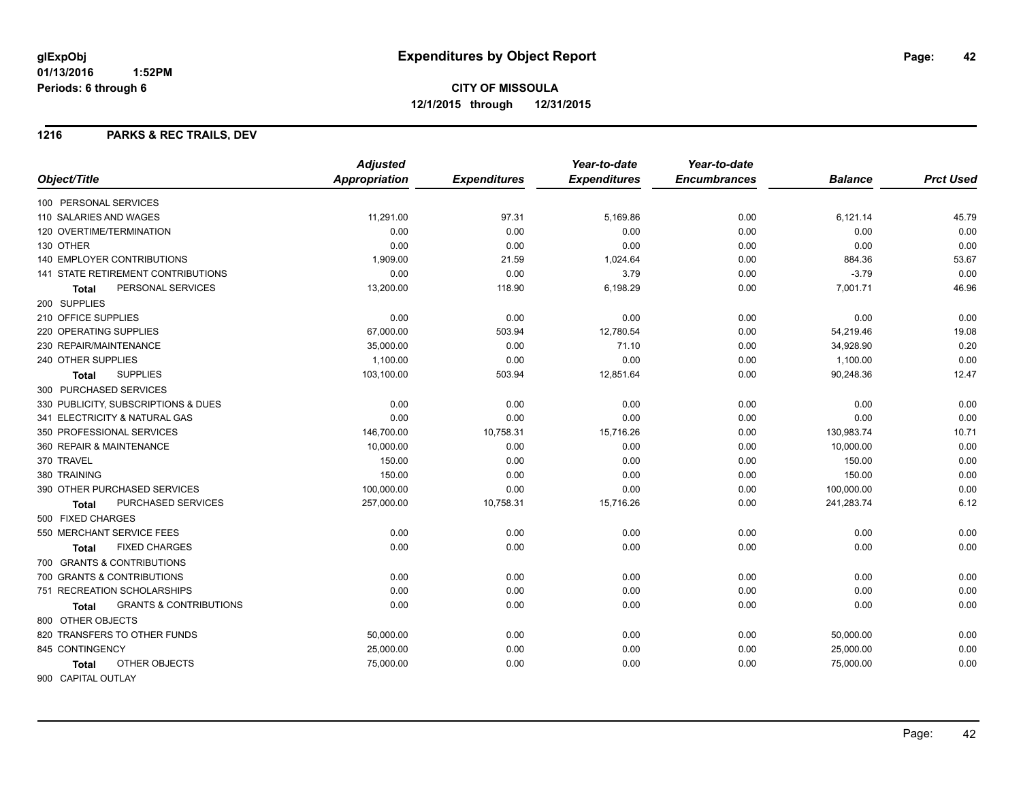**CITY OF MISSOULA 12/1/2015 through 12/31/2015**

#### **1216 PARKS & REC TRAILS, DEV**

|                                                   | <b>Adjusted</b> |                     | Year-to-date        | Year-to-date        |                |                  |
|---------------------------------------------------|-----------------|---------------------|---------------------|---------------------|----------------|------------------|
| Object/Title                                      | Appropriation   | <b>Expenditures</b> | <b>Expenditures</b> | <b>Encumbrances</b> | <b>Balance</b> | <b>Prct Used</b> |
| 100 PERSONAL SERVICES                             |                 |                     |                     |                     |                |                  |
| 110 SALARIES AND WAGES                            | 11,291.00       | 97.31               | 5,169.86            | 0.00                | 6,121.14       | 45.79            |
| 120 OVERTIME/TERMINATION                          | 0.00            | 0.00                | 0.00                | 0.00                | 0.00           | 0.00             |
| 130 OTHER                                         | 0.00            | 0.00                | 0.00                | 0.00                | 0.00           | 0.00             |
| <b>140 EMPLOYER CONTRIBUTIONS</b>                 | 1,909.00        | 21.59               | 1,024.64            | 0.00                | 884.36         | 53.67            |
| <b>141 STATE RETIREMENT CONTRIBUTIONS</b>         | 0.00            | 0.00                | 3.79                | 0.00                | $-3.79$        | 0.00             |
| PERSONAL SERVICES<br>Total                        | 13,200.00       | 118.90              | 6,198.29            | 0.00                | 7,001.71       | 46.96            |
| 200 SUPPLIES                                      |                 |                     |                     |                     |                |                  |
| 210 OFFICE SUPPLIES                               | 0.00            | 0.00                | 0.00                | 0.00                | 0.00           | 0.00             |
| <b>220 OPERATING SUPPLIES</b>                     | 67,000.00       | 503.94              | 12,780.54           | 0.00                | 54,219.46      | 19.08            |
| 230 REPAIR/MAINTENANCE                            | 35,000.00       | 0.00                | 71.10               | 0.00                | 34,928.90      | 0.20             |
| 240 OTHER SUPPLIES                                | 1,100.00        | 0.00                | 0.00                | 0.00                | 1,100.00       | 0.00             |
| <b>SUPPLIES</b><br>Total                          | 103,100.00      | 503.94              | 12,851.64           | 0.00                | 90,248.36      | 12.47            |
| 300 PURCHASED SERVICES                            |                 |                     |                     |                     |                |                  |
| 330 PUBLICITY, SUBSCRIPTIONS & DUES               | 0.00            | 0.00                | 0.00                | 0.00                | 0.00           | 0.00             |
| 341 ELECTRICITY & NATURAL GAS                     | 0.00            | 0.00                | 0.00                | 0.00                | 0.00           | 0.00             |
| 350 PROFESSIONAL SERVICES                         | 146,700.00      | 10,758.31           | 15,716.26           | 0.00                | 130,983.74     | 10.71            |
| 360 REPAIR & MAINTENANCE                          | 10,000.00       | 0.00                | 0.00                | 0.00                | 10,000.00      | 0.00             |
| 370 TRAVEL                                        | 150.00          | 0.00                | 0.00                | 0.00                | 150.00         | 0.00             |
| 380 TRAINING                                      | 150.00          | 0.00                | 0.00                | 0.00                | 150.00         | 0.00             |
| 390 OTHER PURCHASED SERVICES                      | 100,000.00      | 0.00                | 0.00                | 0.00                | 100,000.00     | 0.00             |
| <b>PURCHASED SERVICES</b><br>Total                | 257,000.00      | 10,758.31           | 15,716.26           | 0.00                | 241,283.74     | 6.12             |
| 500 FIXED CHARGES                                 |                 |                     |                     |                     |                |                  |
| 550 MERCHANT SERVICE FEES                         | 0.00            | 0.00                | 0.00                | 0.00                | 0.00           | 0.00             |
| <b>FIXED CHARGES</b><br>Total                     | 0.00            | 0.00                | 0.00                | 0.00                | 0.00           | 0.00             |
| 700 GRANTS & CONTRIBUTIONS                        |                 |                     |                     |                     |                |                  |
| 700 GRANTS & CONTRIBUTIONS                        | 0.00            | 0.00                | 0.00                | 0.00                | 0.00           | 0.00             |
| 751 RECREATION SCHOLARSHIPS                       | 0.00            | 0.00                | 0.00                | 0.00                | 0.00           | 0.00             |
| <b>GRANTS &amp; CONTRIBUTIONS</b><br><b>Total</b> | 0.00            | 0.00                | 0.00                | 0.00                | 0.00           | 0.00             |
| 800 OTHER OBJECTS                                 |                 |                     |                     |                     |                |                  |
| 820 TRANSFERS TO OTHER FUNDS                      | 50,000.00       | 0.00                | 0.00                | 0.00                | 50,000.00      | 0.00             |
| 845 CONTINGENCY                                   | 25,000.00       | 0.00                | 0.00                | 0.00                | 25,000.00      | 0.00             |
| OTHER OBJECTS<br><b>Total</b>                     | 75,000.00       | 0.00                | 0.00                | 0.00                | 75,000.00      | 0.00             |
| 900 CAPITAL OUTLAY                                |                 |                     |                     |                     |                |                  |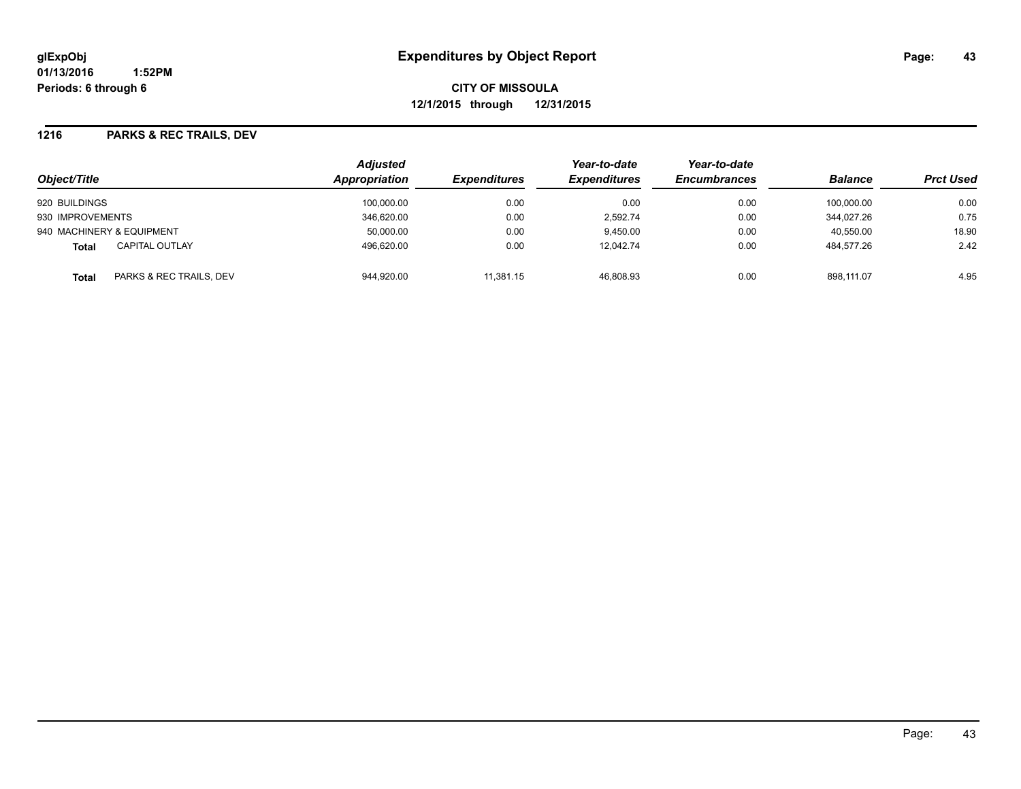**CITY OF MISSOULA 12/1/2015 through 12/31/2015**

#### **1216 PARKS & REC TRAILS, DEV**

| Object/Title                            | <b>Adjusted</b><br>Appropriation | <i><b>Expenditures</b></i> | Year-to-date<br><b>Expenditures</b> | Year-to-date<br><b>Encumbrances</b> | <b>Balance</b> | <b>Prct Used</b> |
|-----------------------------------------|----------------------------------|----------------------------|-------------------------------------|-------------------------------------|----------------|------------------|
| 920 BUILDINGS                           | 100.000.00                       | 0.00                       | 0.00                                | 0.00                                | 100.000.00     | 0.00             |
| 930 IMPROVEMENTS                        | 346,620.00                       | 0.00                       | 2,592.74                            | 0.00                                | 344.027.26     | 0.75             |
| 940 MACHINERY & EQUIPMENT               | 50.000.00                        | 0.00                       | 9.450.00                            | 0.00                                | 40.550.00      | 18.90            |
| <b>CAPITAL OUTLAY</b><br>Total          | 496.620.00                       | 0.00                       | 12.042.74                           | 0.00                                | 484.577.26     | 2.42             |
| PARKS & REC TRAILS, DEV<br><b>Total</b> | 944,920.00                       | 11,381.15                  | 46.808.93                           | 0.00                                | 898.111.07     | 4.95             |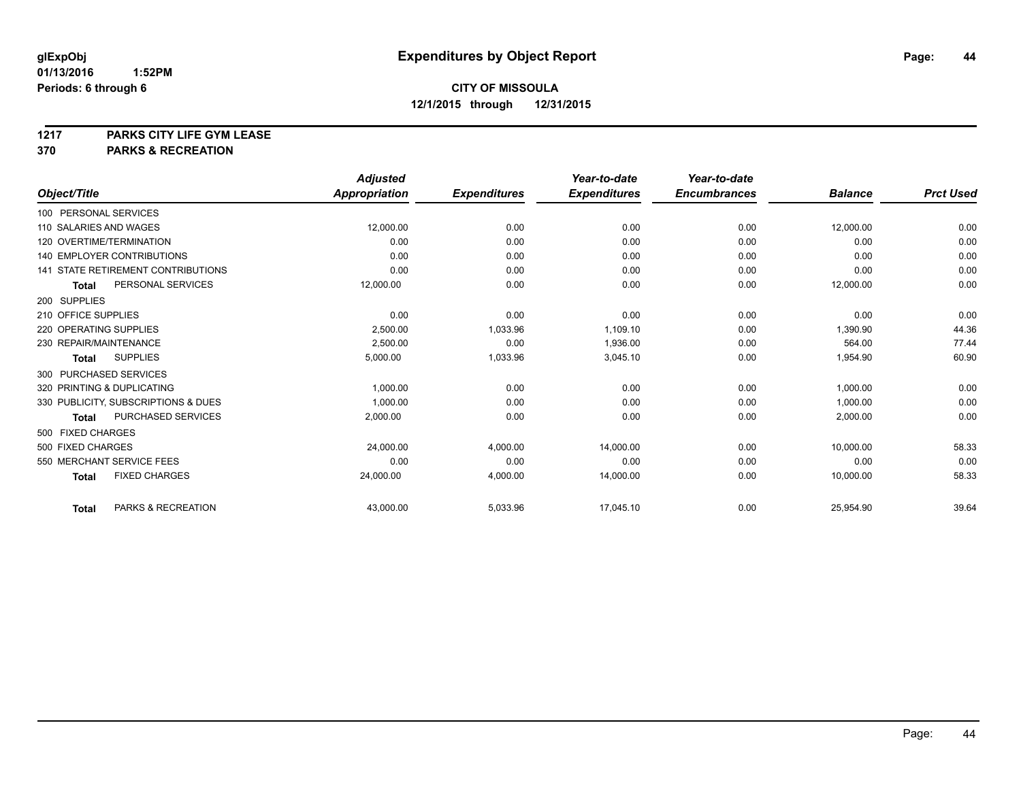**1217 PARKS CITY LIFE GYM LEASE**

**370 PARKS & RECREATION**

|                                               | <b>Adjusted</b> |                     | Year-to-date        | Year-to-date        |                |                  |
|-----------------------------------------------|-----------------|---------------------|---------------------|---------------------|----------------|------------------|
| Object/Title                                  | Appropriation   | <b>Expenditures</b> | <b>Expenditures</b> | <b>Encumbrances</b> | <b>Balance</b> | <b>Prct Used</b> |
| 100 PERSONAL SERVICES                         |                 |                     |                     |                     |                |                  |
| 110 SALARIES AND WAGES                        | 12,000.00       | 0.00                | 0.00                | 0.00                | 12,000.00      | 0.00             |
| 120 OVERTIME/TERMINATION                      | 0.00            | 0.00                | 0.00                | 0.00                | 0.00           | 0.00             |
| 140 EMPLOYER CONTRIBUTIONS                    | 0.00            | 0.00                | 0.00                | 0.00                | 0.00           | 0.00             |
| 141 STATE RETIREMENT CONTRIBUTIONS            | 0.00            | 0.00                | 0.00                | 0.00                | 0.00           | 0.00             |
| PERSONAL SERVICES<br><b>Total</b>             | 12,000.00       | 0.00                | 0.00                | 0.00                | 12,000.00      | 0.00             |
| 200 SUPPLIES                                  |                 |                     |                     |                     |                |                  |
| 210 OFFICE SUPPLIES                           | 0.00            | 0.00                | 0.00                | 0.00                | 0.00           | 0.00             |
| 220 OPERATING SUPPLIES                        | 2,500.00        | 1,033.96            | 1.109.10            | 0.00                | 1,390.90       | 44.36            |
| 230 REPAIR/MAINTENANCE                        | 2,500.00        | 0.00                | 1,936.00            | 0.00                | 564.00         | 77.44            |
| <b>SUPPLIES</b><br><b>Total</b>               | 5,000.00        | 1,033.96            | 3,045.10            | 0.00                | 1,954.90       | 60.90            |
| 300 PURCHASED SERVICES                        |                 |                     |                     |                     |                |                  |
| 320 PRINTING & DUPLICATING                    | 1,000.00        | 0.00                | 0.00                | 0.00                | 1,000.00       | 0.00             |
| 330 PUBLICITY, SUBSCRIPTIONS & DUES           | 1.000.00        | 0.00                | 0.00                | 0.00                | 1,000.00       | 0.00             |
| PURCHASED SERVICES<br><b>Total</b>            | 2,000.00        | 0.00                | 0.00                | 0.00                | 2,000.00       | 0.00             |
| 500 FIXED CHARGES                             |                 |                     |                     |                     |                |                  |
| 500 FIXED CHARGES                             | 24,000.00       | 4.000.00            | 14.000.00           | 0.00                | 10.000.00      | 58.33            |
| 550 MERCHANT SERVICE FEES                     | 0.00            | 0.00                | 0.00                | 0.00                | 0.00           | 0.00             |
| <b>FIXED CHARGES</b><br><b>Total</b>          | 24,000.00       | 4,000.00            | 14,000.00           | 0.00                | 10,000.00      | 58.33            |
| <b>PARKS &amp; RECREATION</b><br><b>Total</b> | 43,000.00       | 5,033.96            | 17,045.10           | 0.00                | 25,954.90      | 39.64            |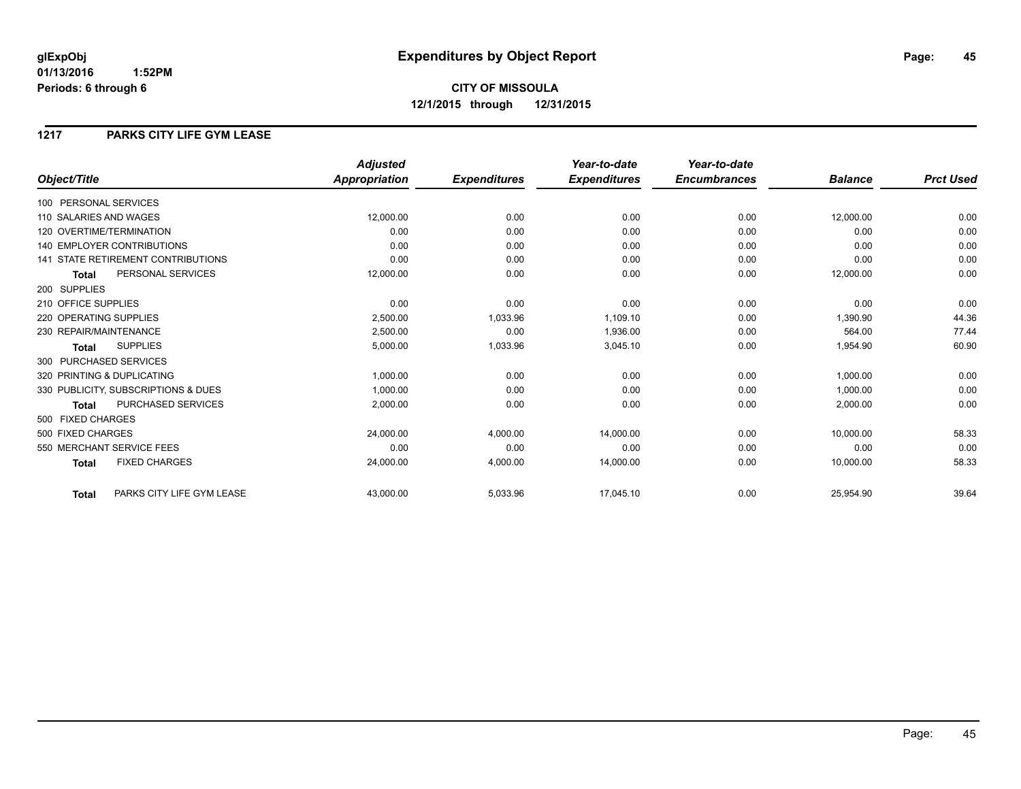# **CITY OF MISSOULA 12/1/2015 through 12/31/2015**

#### **1217 PARKS CITY LIFE GYM LEASE**

|                                           | <b>Adjusted</b>      |                     | Year-to-date        | Year-to-date        |                |                  |
|-------------------------------------------|----------------------|---------------------|---------------------|---------------------|----------------|------------------|
| Object/Title                              | <b>Appropriation</b> | <b>Expenditures</b> | <b>Expenditures</b> | <b>Encumbrances</b> | <b>Balance</b> | <b>Prct Used</b> |
| 100 PERSONAL SERVICES                     |                      |                     |                     |                     |                |                  |
| 110 SALARIES AND WAGES                    | 12,000.00            | 0.00                | 0.00                | 0.00                | 12,000.00      | 0.00             |
| 120 OVERTIME/TERMINATION                  | 0.00                 | 0.00                | 0.00                | 0.00                | 0.00           | 0.00             |
| <b>140 EMPLOYER CONTRIBUTIONS</b>         | 0.00                 | 0.00                | 0.00                | 0.00                | 0.00           | 0.00             |
| <b>141 STATE RETIREMENT CONTRIBUTIONS</b> | 0.00                 | 0.00                | 0.00                | 0.00                | 0.00           | 0.00             |
| PERSONAL SERVICES<br><b>Total</b>         | 12,000.00            | 0.00                | 0.00                | 0.00                | 12,000.00      | 0.00             |
| 200 SUPPLIES                              |                      |                     |                     |                     |                |                  |
| 210 OFFICE SUPPLIES                       | 0.00                 | 0.00                | 0.00                | 0.00                | 0.00           | 0.00             |
| 220 OPERATING SUPPLIES                    | 2,500.00             | 1,033.96            | 1,109.10            | 0.00                | 1,390.90       | 44.36            |
| 230 REPAIR/MAINTENANCE                    | 2,500.00             | 0.00                | 1,936.00            | 0.00                | 564.00         | 77.44            |
| <b>SUPPLIES</b><br><b>Total</b>           | 5,000.00             | 1,033.96            | 3,045.10            | 0.00                | 1,954.90       | 60.90            |
| 300 PURCHASED SERVICES                    |                      |                     |                     |                     |                |                  |
| 320 PRINTING & DUPLICATING                | 1,000.00             | 0.00                | 0.00                | 0.00                | 1,000.00       | 0.00             |
| 330 PUBLICITY, SUBSCRIPTIONS & DUES       | 1,000.00             | 0.00                | 0.00                | 0.00                | 1,000.00       | 0.00             |
| <b>PURCHASED SERVICES</b><br><b>Total</b> | 2,000.00             | 0.00                | 0.00                | 0.00                | 2,000.00       | 0.00             |
| 500 FIXED CHARGES                         |                      |                     |                     |                     |                |                  |
| 500 FIXED CHARGES                         | 24,000.00            | 4,000.00            | 14,000.00           | 0.00                | 10,000.00      | 58.33            |
| 550 MERCHANT SERVICE FEES                 | 0.00                 | 0.00                | 0.00                | 0.00                | 0.00           | 0.00             |
| <b>FIXED CHARGES</b><br><b>Total</b>      | 24,000.00            | 4,000.00            | 14,000.00           | 0.00                | 10,000.00      | 58.33            |
| PARKS CITY LIFE GYM LEASE<br><b>Total</b> | 43,000.00            | 5,033.96            | 17,045.10           | 0.00                | 25,954.90      | 39.64            |

Page: 45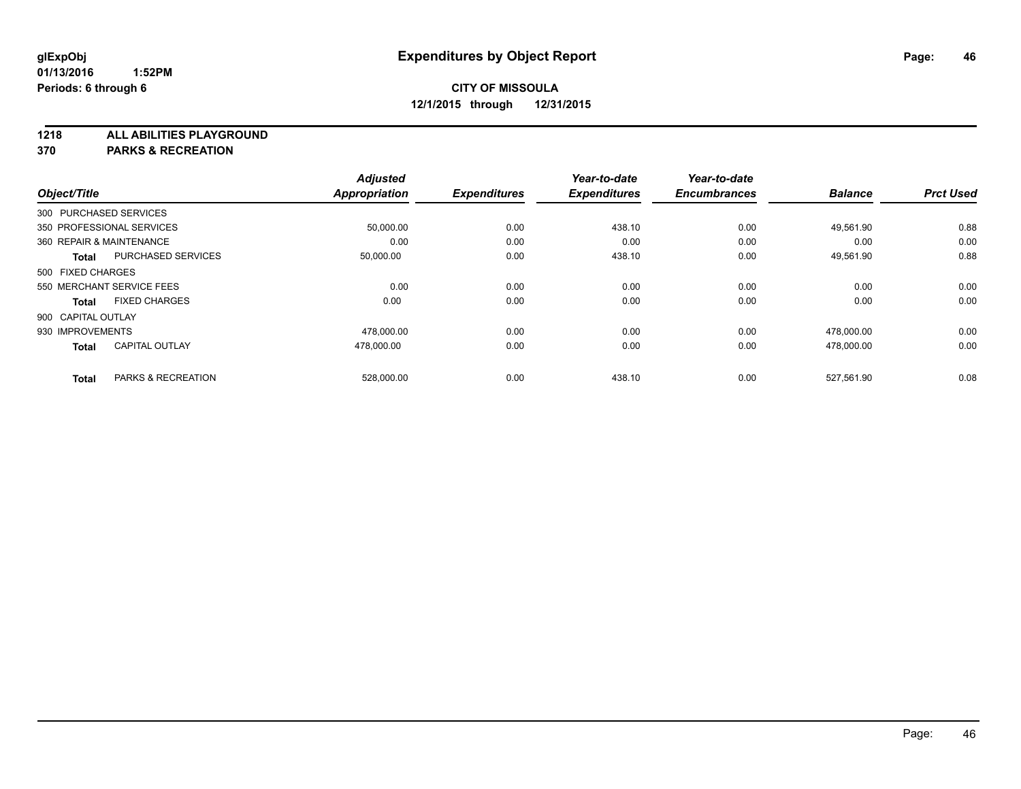**1218 ALL ABILITIES PLAYGROUND**

**370 PARKS & RECREATION**

|                          |                           | <b>Adjusted</b> |                     | Year-to-date        | Year-to-date        |                |                  |
|--------------------------|---------------------------|-----------------|---------------------|---------------------|---------------------|----------------|------------------|
| Object/Title             |                           | Appropriation   | <b>Expenditures</b> | <b>Expenditures</b> | <b>Encumbrances</b> | <b>Balance</b> | <b>Prct Used</b> |
| 300 PURCHASED SERVICES   |                           |                 |                     |                     |                     |                |                  |
|                          | 350 PROFESSIONAL SERVICES | 50,000.00       | 0.00                | 438.10              | 0.00                | 49.561.90      | 0.88             |
| 360 REPAIR & MAINTENANCE |                           | 0.00            | 0.00                | 0.00                | 0.00                | 0.00           | 0.00             |
| <b>Total</b>             | <b>PURCHASED SERVICES</b> | 50,000.00       | 0.00                | 438.10              | 0.00                | 49,561.90      | 0.88             |
| 500 FIXED CHARGES        |                           |                 |                     |                     |                     |                |                  |
|                          | 550 MERCHANT SERVICE FEES | 0.00            | 0.00                | 0.00                | 0.00                | 0.00           | 0.00             |
| <b>Total</b>             | <b>FIXED CHARGES</b>      | 0.00            | 0.00                | 0.00                | 0.00                | 0.00           | 0.00             |
| 900 CAPITAL OUTLAY       |                           |                 |                     |                     |                     |                |                  |
| 930 IMPROVEMENTS         |                           | 478,000.00      | 0.00                | 0.00                | 0.00                | 478,000.00     | 0.00             |
| <b>Total</b>             | <b>CAPITAL OUTLAY</b>     | 478.000.00      | 0.00                | 0.00                | 0.00                | 478.000.00     | 0.00             |
|                          |                           |                 |                     |                     |                     |                |                  |
| <b>Total</b>             | PARKS & RECREATION        | 528,000.00      | 0.00                | 438.10              | 0.00                | 527,561.90     | 0.08             |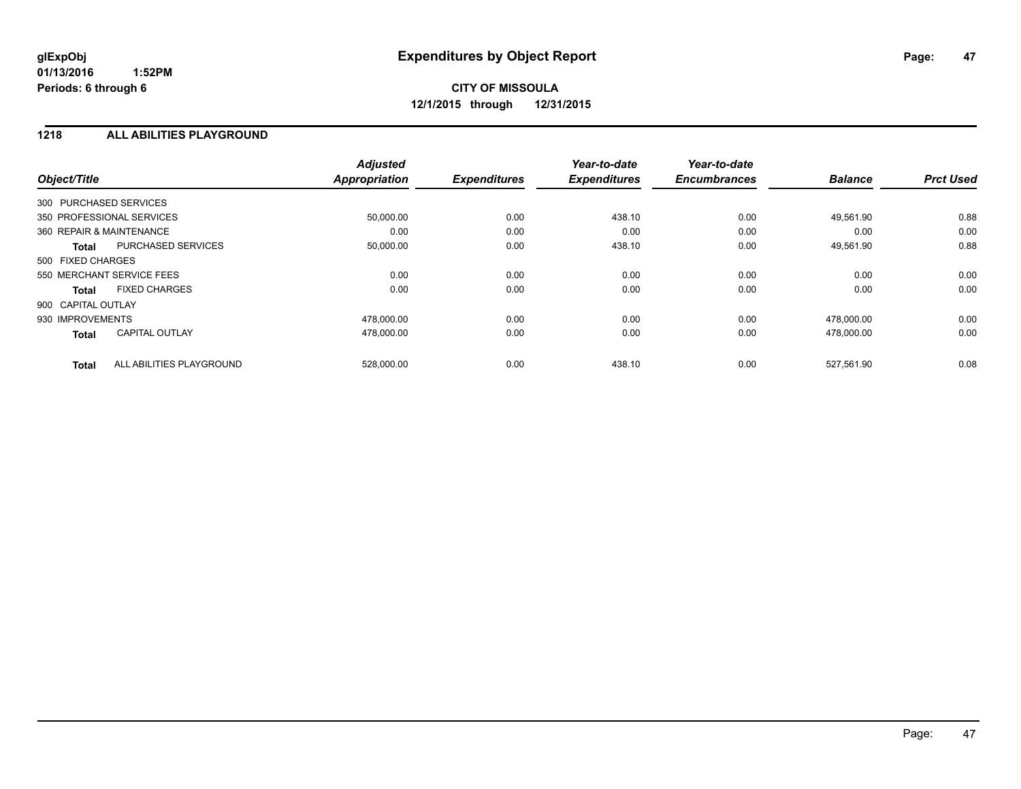**CITY OF MISSOULA 12/1/2015 through 12/31/2015**

#### **1218 ALL ABILITIES PLAYGROUND**

| Object/Title             |                           | <b>Adjusted</b><br><b>Appropriation</b> | <b>Expenditures</b> | Year-to-date<br><b>Expenditures</b> | Year-to-date<br><b>Encumbrances</b> | <b>Balance</b> | <b>Prct Used</b> |
|--------------------------|---------------------------|-----------------------------------------|---------------------|-------------------------------------|-------------------------------------|----------------|------------------|
| 300 PURCHASED SERVICES   |                           |                                         |                     |                                     |                                     |                |                  |
|                          | 350 PROFESSIONAL SERVICES | 50,000.00                               | 0.00                | 438.10                              | 0.00                                | 49,561.90      | 0.88             |
| 360 REPAIR & MAINTENANCE |                           | 0.00                                    | 0.00                | 0.00                                | 0.00                                | 0.00           | 0.00             |
| <b>Total</b>             | <b>PURCHASED SERVICES</b> | 50,000.00                               | 0.00                | 438.10                              | 0.00                                | 49,561.90      | 0.88             |
| 500 FIXED CHARGES        |                           |                                         |                     |                                     |                                     |                |                  |
|                          | 550 MERCHANT SERVICE FEES | 0.00                                    | 0.00                | 0.00                                | 0.00                                | 0.00           | 0.00             |
| Total                    | <b>FIXED CHARGES</b>      | 0.00                                    | 0.00                | 0.00                                | 0.00                                | 0.00           | 0.00             |
| 900 CAPITAL OUTLAY       |                           |                                         |                     |                                     |                                     |                |                  |
| 930 IMPROVEMENTS         |                           | 478,000.00                              | 0.00                | 0.00                                | 0.00                                | 478,000.00     | 0.00             |
| <b>Total</b>             | <b>CAPITAL OUTLAY</b>     | 478,000.00                              | 0.00                | 0.00                                | 0.00                                | 478,000.00     | 0.00             |
| <b>Total</b>             | ALL ABILITIES PLAYGROUND  | 528,000.00                              | 0.00                | 438.10                              | 0.00                                | 527,561.90     | 0.08             |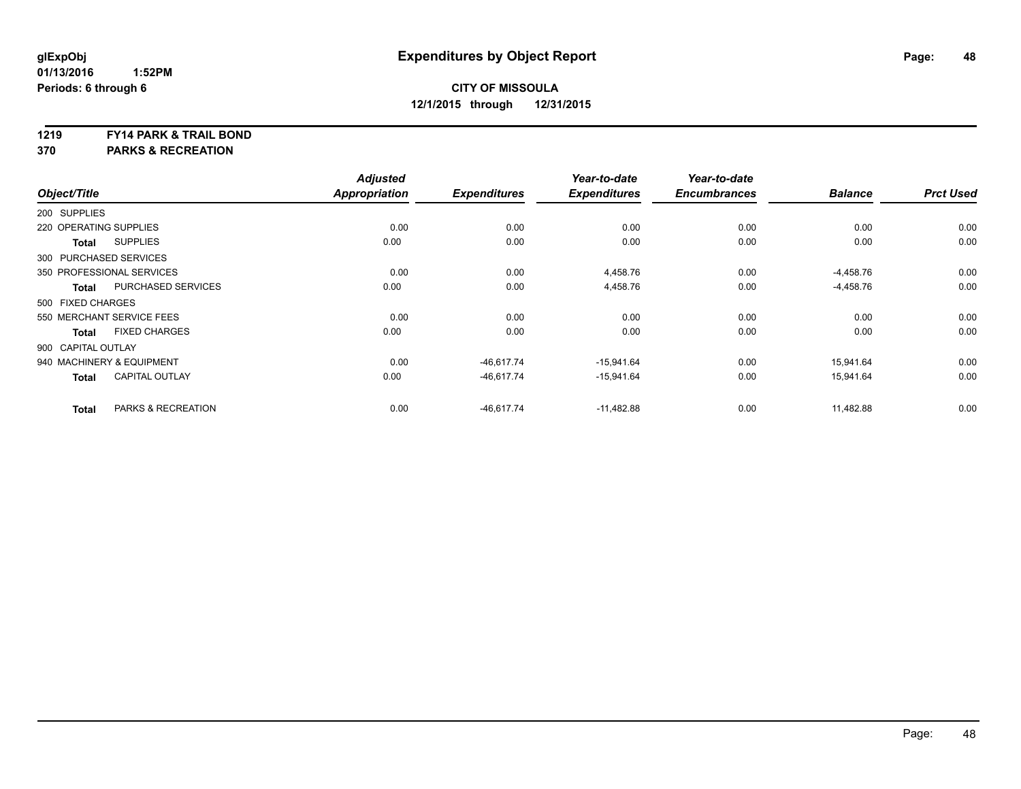#### **1219 FY14 PARK & TRAIL BOND**

**370 PARKS & RECREATION**

| Object/Title           |                           | <b>Adjusted</b><br><b>Appropriation</b> | <b>Expenditures</b> | Year-to-date<br><b>Expenditures</b> | Year-to-date<br><b>Encumbrances</b> | <b>Balance</b> | <b>Prct Used</b> |
|------------------------|---------------------------|-----------------------------------------|---------------------|-------------------------------------|-------------------------------------|----------------|------------------|
| 200 SUPPLIES           |                           |                                         |                     |                                     |                                     |                |                  |
| 220 OPERATING SUPPLIES |                           | 0.00                                    | 0.00                | 0.00                                | 0.00                                | 0.00           | 0.00             |
| <b>Total</b>           | <b>SUPPLIES</b>           | 0.00                                    | 0.00                | 0.00                                | 0.00                                | 0.00           | 0.00             |
| 300 PURCHASED SERVICES |                           |                                         |                     |                                     |                                     |                |                  |
|                        | 350 PROFESSIONAL SERVICES | 0.00                                    | 0.00                | 4,458.76                            | 0.00                                | $-4,458.76$    | 0.00             |
| <b>Total</b>           | <b>PURCHASED SERVICES</b> | 0.00                                    | 0.00                | 4,458.76                            | 0.00                                | $-4,458.76$    | 0.00             |
| 500 FIXED CHARGES      |                           |                                         |                     |                                     |                                     |                |                  |
|                        | 550 MERCHANT SERVICE FEES | 0.00                                    | 0.00                | 0.00                                | 0.00                                | 0.00           | 0.00             |
| <b>Total</b>           | <b>FIXED CHARGES</b>      | 0.00                                    | 0.00                | 0.00                                | 0.00                                | 0.00           | 0.00             |
| 900 CAPITAL OUTLAY     |                           |                                         |                     |                                     |                                     |                |                  |
|                        | 940 MACHINERY & EQUIPMENT | 0.00                                    | $-46.617.74$        | $-15,941.64$                        | 0.00                                | 15.941.64      | 0.00             |
| <b>Total</b>           | <b>CAPITAL OUTLAY</b>     | 0.00                                    | $-46,617.74$        | $-15,941.64$                        | 0.00                                | 15,941.64      | 0.00             |
| <b>Total</b>           | PARKS & RECREATION        | 0.00                                    | $-46,617.74$        | $-11,482.88$                        | 0.00                                | 11,482.88      | 0.00             |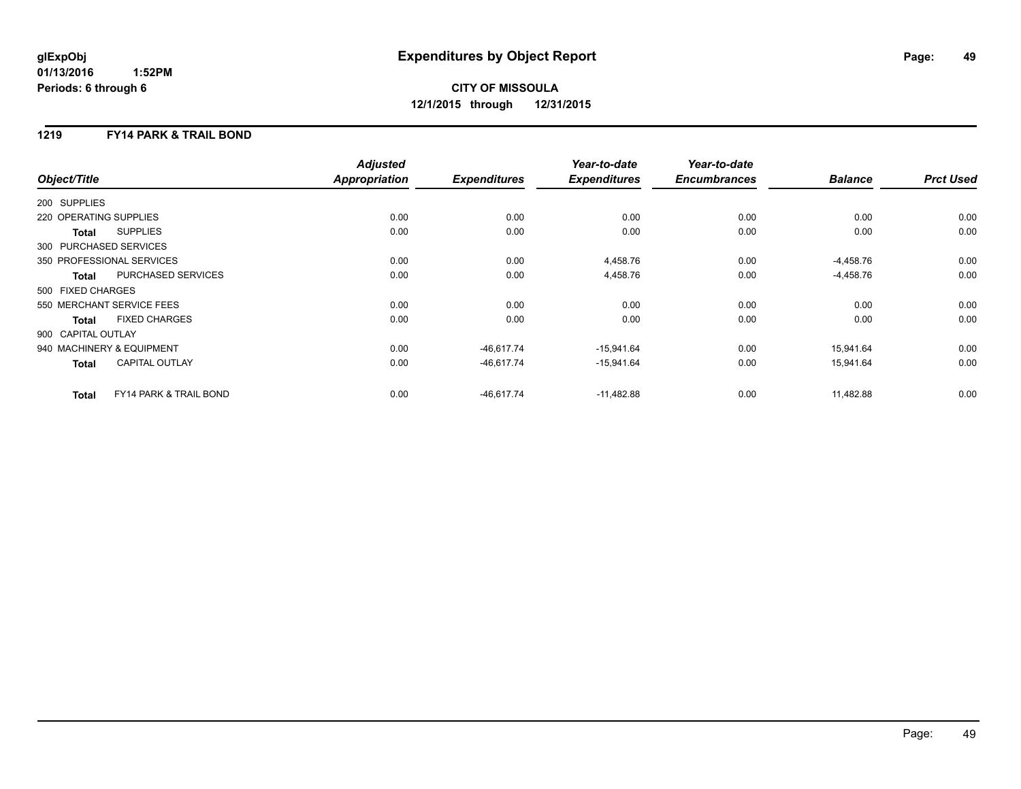# **CITY OF MISSOULA 12/1/2015 through 12/31/2015**

## **1219 FY14 PARK & TRAIL BOND**

|                        |                                   | <b>Adjusted</b>      |                     | Year-to-date        | Year-to-date        |                |                  |
|------------------------|-----------------------------------|----------------------|---------------------|---------------------|---------------------|----------------|------------------|
| Object/Title           |                                   | <b>Appropriation</b> | <b>Expenditures</b> | <b>Expenditures</b> | <b>Encumbrances</b> | <b>Balance</b> | <b>Prct Used</b> |
| 200 SUPPLIES           |                                   |                      |                     |                     |                     |                |                  |
| 220 OPERATING SUPPLIES |                                   | 0.00                 | 0.00                | 0.00                | 0.00                | 0.00           | 0.00             |
| Total                  | <b>SUPPLIES</b>                   | 0.00                 | 0.00                | 0.00                | 0.00                | 0.00           | 0.00             |
| 300 PURCHASED SERVICES |                                   |                      |                     |                     |                     |                |                  |
|                        | 350 PROFESSIONAL SERVICES         | 0.00                 | 0.00                | 4,458.76            | 0.00                | $-4,458.76$    | 0.00             |
| <b>Total</b>           | PURCHASED SERVICES                | 0.00                 | 0.00                | 4,458.76            | 0.00                | $-4,458.76$    | 0.00             |
| 500 FIXED CHARGES      |                                   |                      |                     |                     |                     |                |                  |
|                        | 550 MERCHANT SERVICE FEES         | 0.00                 | 0.00                | 0.00                | 0.00                | 0.00           | 0.00             |
| Total                  | <b>FIXED CHARGES</b>              | 0.00                 | 0.00                | 0.00                | 0.00                | 0.00           | 0.00             |
| 900 CAPITAL OUTLAY     |                                   |                      |                     |                     |                     |                |                  |
|                        | 940 MACHINERY & EQUIPMENT         | 0.00                 | $-46.617.74$        | $-15,941.64$        | 0.00                | 15.941.64      | 0.00             |
| <b>Total</b>           | <b>CAPITAL OUTLAY</b>             | 0.00                 | $-46,617.74$        | $-15,941.64$        | 0.00                | 15,941.64      | 0.00             |
| <b>Total</b>           | <b>FY14 PARK &amp; TRAIL BOND</b> | 0.00                 | $-46.617.74$        | $-11,482.88$        | 0.00                | 11,482.88      | 0.00             |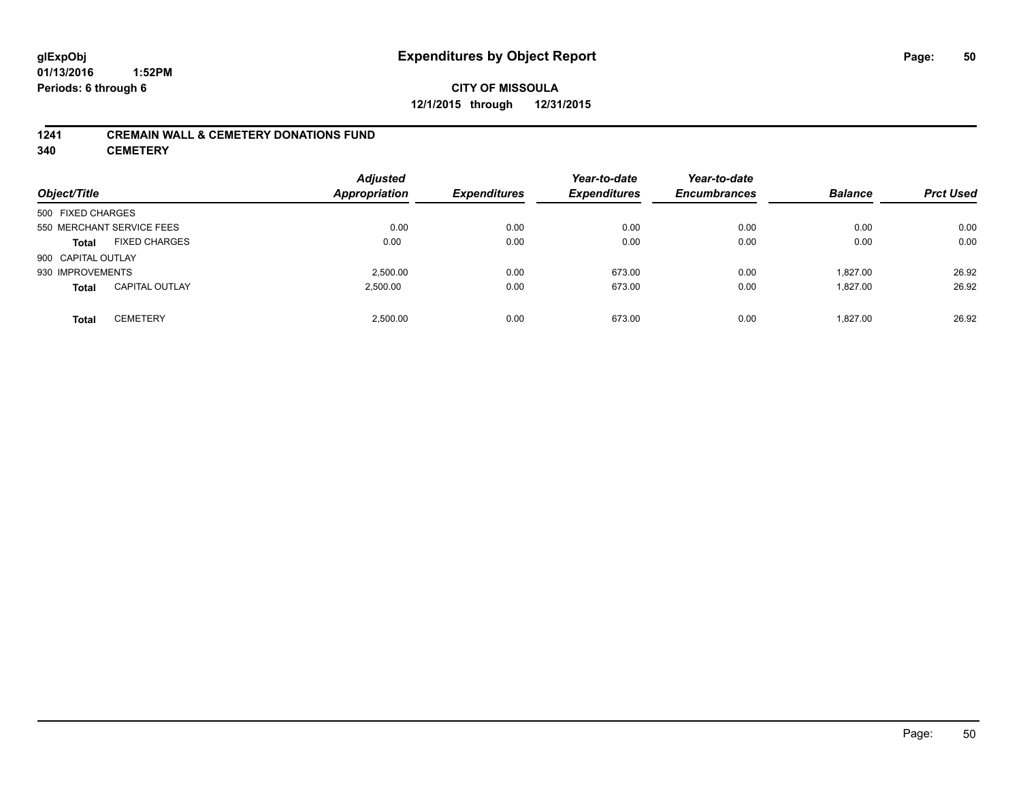## **CITY OF MISSOULA 12/1/2015 through 12/31/2015**

#### **1241 CREMAIN WALL & CEMETERY DONATIONS FUND**

**340 CEMETERY**

| Object/Title                          | <b>Adjusted</b><br>Appropriation | <b>Expenditures</b> | Year-to-date<br><b>Expenditures</b> | Year-to-date<br><b>Encumbrances</b> | <b>Balance</b> | <b>Prct Used</b> |
|---------------------------------------|----------------------------------|---------------------|-------------------------------------|-------------------------------------|----------------|------------------|
| 500 FIXED CHARGES                     |                                  |                     |                                     |                                     |                |                  |
| 550 MERCHANT SERVICE FEES             | 0.00                             | 0.00                | 0.00                                | 0.00                                | 0.00           | 0.00             |
| <b>FIXED CHARGES</b><br><b>Total</b>  | 0.00                             | 0.00                | 0.00                                | 0.00                                | 0.00           | 0.00             |
| 900 CAPITAL OUTLAY                    |                                  |                     |                                     |                                     |                |                  |
| 930 IMPROVEMENTS                      | 2.500.00                         | 0.00                | 673.00                              | 0.00                                | 1.827.00       | 26.92            |
| <b>CAPITAL OUTLAY</b><br><b>Total</b> | 2,500.00                         | 0.00                | 673.00                              | 0.00                                | 1.827.00       | 26.92            |
| <b>CEMETERY</b><br><b>Total</b>       | 2.500.00                         | 0.00                | 673.00                              | 0.00                                | 1.827.00       | 26.92            |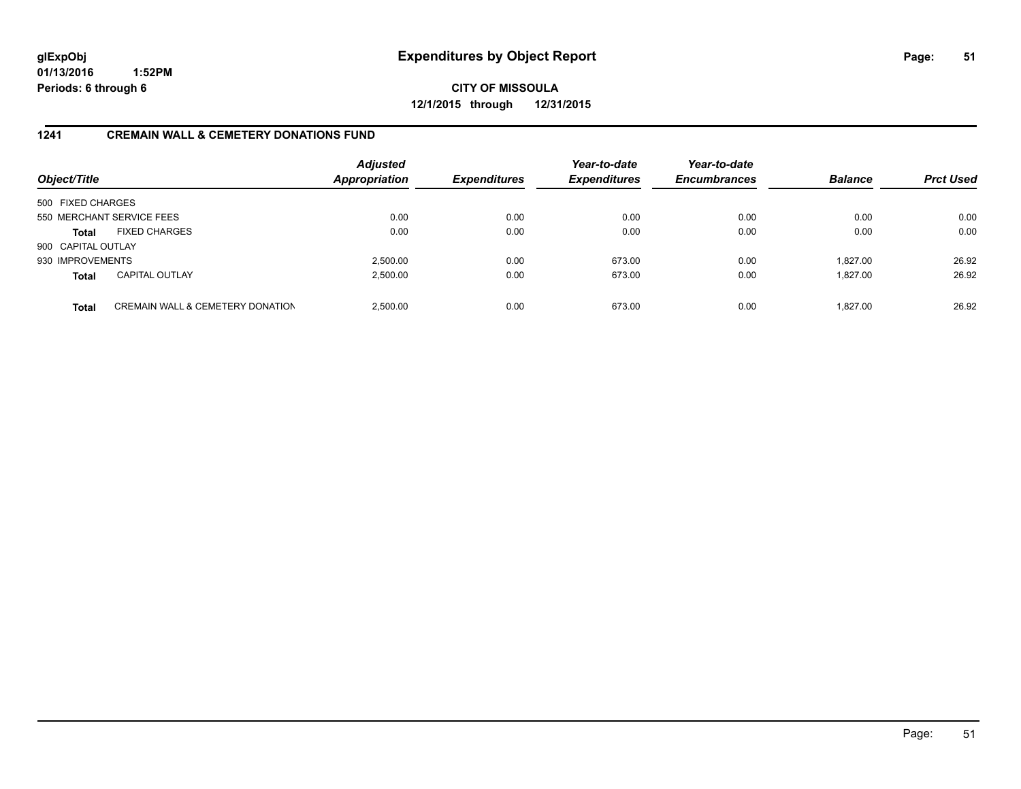**CITY OF MISSOULA 12/1/2015 through 12/31/2015**

#### **1241 CREMAIN WALL & CEMETERY DONATIONS FUND**

| Object/Title       |                                             | <b>Adjusted</b><br><b>Appropriation</b> | <b>Expenditures</b> | Year-to-date<br><b>Expenditures</b> | Year-to-date<br><b>Encumbrances</b> | <b>Balance</b> | <b>Prct Used</b> |
|--------------------|---------------------------------------------|-----------------------------------------|---------------------|-------------------------------------|-------------------------------------|----------------|------------------|
| 500 FIXED CHARGES  |                                             |                                         |                     |                                     |                                     |                |                  |
|                    | 550 MERCHANT SERVICE FEES                   | 0.00                                    | 0.00                | 0.00                                | 0.00                                | 0.00           | 0.00             |
| Total              | <b>FIXED CHARGES</b>                        | 0.00                                    | 0.00                | 0.00                                | 0.00                                | 0.00           | 0.00             |
| 900 CAPITAL OUTLAY |                                             |                                         |                     |                                     |                                     |                |                  |
| 930 IMPROVEMENTS   |                                             | 2.500.00                                | 0.00                | 673.00                              | 0.00                                | 1.827.00       | 26.92            |
| <b>Total</b>       | <b>CAPITAL OUTLAY</b>                       | 2,500.00                                | 0.00                | 673.00                              | 0.00                                | 1.827.00       | 26.92            |
| <b>Total</b>       | <b>CREMAIN WALL &amp; CEMETERY DONATION</b> | 2.500.00                                | 0.00                | 673.00                              | 0.00                                | 1.827.00       | 26.92            |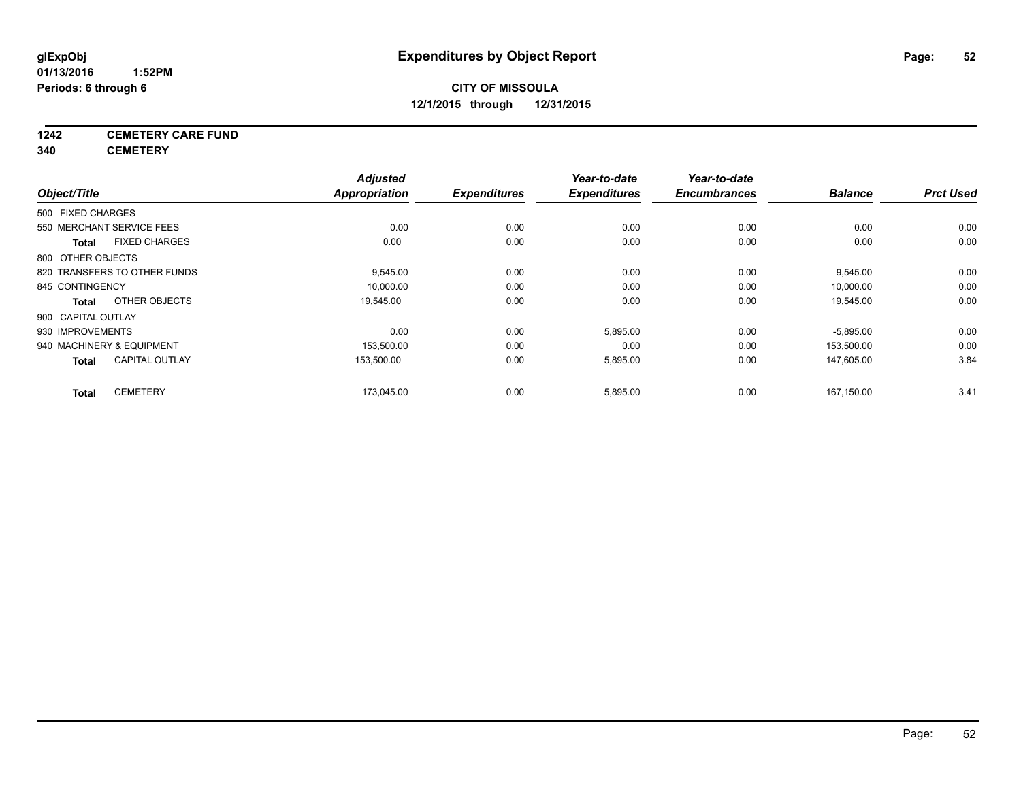## **1242 CEMETERY CARE FUND**

**340 CEMETERY**

|                    |                              | <b>Adjusted</b> |                     | Year-to-date        | Year-to-date        |                |                  |
|--------------------|------------------------------|-----------------|---------------------|---------------------|---------------------|----------------|------------------|
| Object/Title       |                              | Appropriation   | <b>Expenditures</b> | <b>Expenditures</b> | <b>Encumbrances</b> | <b>Balance</b> | <b>Prct Used</b> |
| 500 FIXED CHARGES  |                              |                 |                     |                     |                     |                |                  |
|                    | 550 MERCHANT SERVICE FEES    | 0.00            | 0.00                | 0.00                | 0.00                | 0.00           | 0.00             |
| <b>Total</b>       | <b>FIXED CHARGES</b>         | 0.00            | 0.00                | 0.00                | 0.00                | 0.00           | 0.00             |
| 800 OTHER OBJECTS  |                              |                 |                     |                     |                     |                |                  |
|                    | 820 TRANSFERS TO OTHER FUNDS | 9,545.00        | 0.00                | 0.00                | 0.00                | 9,545.00       | 0.00             |
| 845 CONTINGENCY    |                              | 10,000.00       | 0.00                | 0.00                | 0.00                | 10,000.00      | 0.00             |
| <b>Total</b>       | OTHER OBJECTS                | 19,545.00       | 0.00                | 0.00                | 0.00                | 19,545.00      | 0.00             |
| 900 CAPITAL OUTLAY |                              |                 |                     |                     |                     |                |                  |
| 930 IMPROVEMENTS   |                              | 0.00            | 0.00                | 5,895.00            | 0.00                | $-5,895.00$    | 0.00             |
|                    | 940 MACHINERY & EQUIPMENT    | 153,500.00      | 0.00                | 0.00                | 0.00                | 153,500.00     | 0.00             |
| <b>Total</b>       | <b>CAPITAL OUTLAY</b>        | 153,500.00      | 0.00                | 5,895.00            | 0.00                | 147,605.00     | 3.84             |
| <b>Total</b>       | <b>CEMETERY</b>              | 173,045.00      | 0.00                | 5,895.00            | 0.00                | 167,150.00     | 3.41             |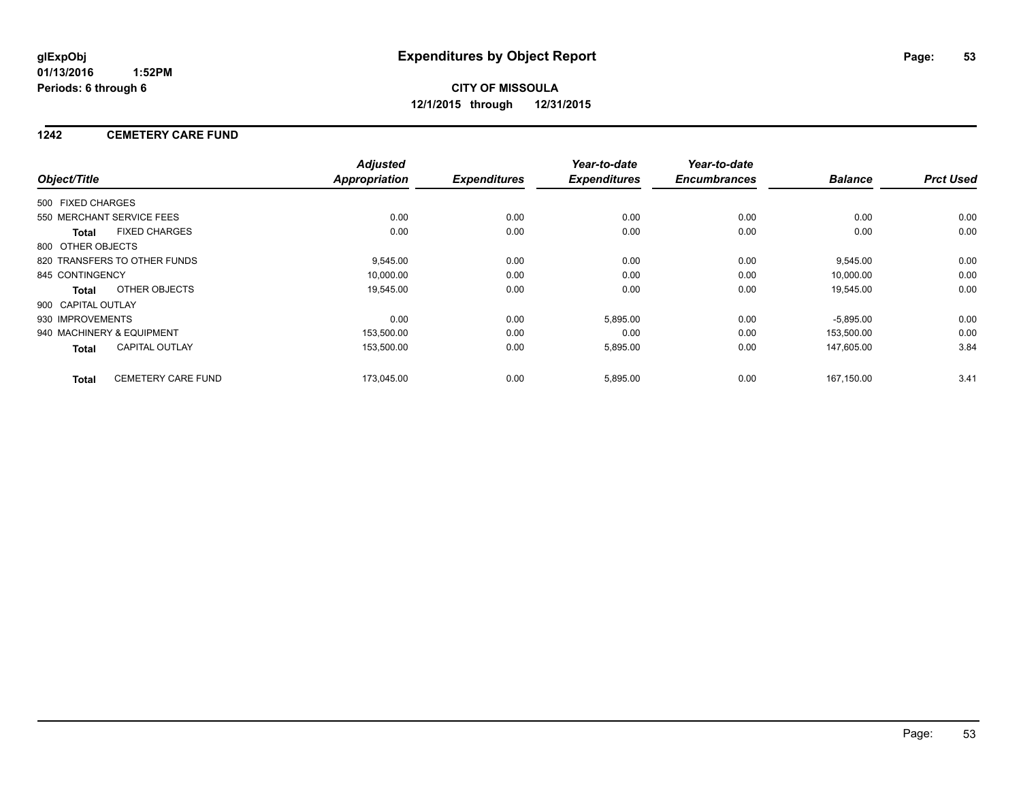#### **1242 CEMETERY CARE FUND**

|                    |                              | <b>Adjusted</b> |                     | Year-to-date        | Year-to-date        |                |                  |
|--------------------|------------------------------|-----------------|---------------------|---------------------|---------------------|----------------|------------------|
| Object/Title       |                              | Appropriation   | <b>Expenditures</b> | <b>Expenditures</b> | <b>Encumbrances</b> | <b>Balance</b> | <b>Prct Used</b> |
| 500 FIXED CHARGES  |                              |                 |                     |                     |                     |                |                  |
|                    | 550 MERCHANT SERVICE FEES    | 0.00            | 0.00                | 0.00                | 0.00                | 0.00           | 0.00             |
| <b>Total</b>       | <b>FIXED CHARGES</b>         | 0.00            | 0.00                | 0.00                | 0.00                | 0.00           | 0.00             |
| 800 OTHER OBJECTS  |                              |                 |                     |                     |                     |                |                  |
|                    | 820 TRANSFERS TO OTHER FUNDS | 9,545.00        | 0.00                | 0.00                | 0.00                | 9,545.00       | 0.00             |
| 845 CONTINGENCY    |                              | 10,000.00       | 0.00                | 0.00                | 0.00                | 10,000.00      | 0.00             |
| Total              | OTHER OBJECTS                | 19,545.00       | 0.00                | 0.00                | 0.00                | 19,545.00      | 0.00             |
| 900 CAPITAL OUTLAY |                              |                 |                     |                     |                     |                |                  |
| 930 IMPROVEMENTS   |                              | 0.00            | 0.00                | 5,895.00            | 0.00                | $-5,895.00$    | 0.00             |
|                    | 940 MACHINERY & EQUIPMENT    | 153,500.00      | 0.00                | 0.00                | 0.00                | 153,500.00     | 0.00             |
| Total              | <b>CAPITAL OUTLAY</b>        | 153,500.00      | 0.00                | 5,895.00            | 0.00                | 147,605.00     | 3.84             |
| <b>Total</b>       | <b>CEMETERY CARE FUND</b>    | 173,045.00      | 0.00                | 5,895.00            | 0.00                | 167.150.00     | 3.41             |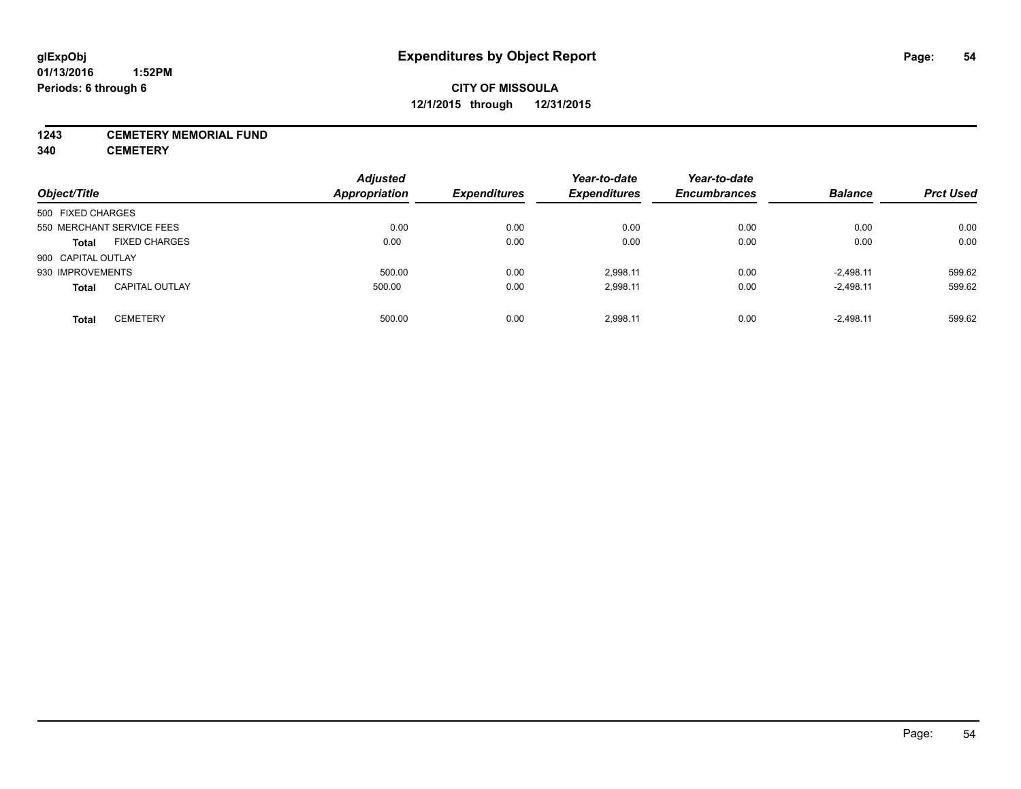#### **1243 CEMETERY MEMORIAL FUND**

**340 CEMETERY**

| Object/Title              |                       | <b>Adjusted</b><br><b>Appropriation</b> | <b>Expenditures</b> | Year-to-date<br><b>Expenditures</b> | Year-to-date<br><b>Encumbrances</b> | <b>Balance</b> | <b>Prct Used</b> |
|---------------------------|-----------------------|-----------------------------------------|---------------------|-------------------------------------|-------------------------------------|----------------|------------------|
| 500 FIXED CHARGES         |                       |                                         |                     |                                     |                                     |                |                  |
| 550 MERCHANT SERVICE FEES |                       | 0.00                                    | 0.00                | 0.00                                | 0.00                                | 0.00           | 0.00             |
| <b>Total</b>              | <b>FIXED CHARGES</b>  | 0.00                                    | 0.00                | 0.00                                | 0.00                                | 0.00           | 0.00             |
| 900 CAPITAL OUTLAY        |                       |                                         |                     |                                     |                                     |                |                  |
| 930 IMPROVEMENTS          |                       | 500.00                                  | 0.00                | 2,998.11                            | 0.00                                | $-2,498.11$    | 599.62           |
| <b>Total</b>              | <b>CAPITAL OUTLAY</b> | 500.00                                  | 0.00                | 2,998.11                            | 0.00                                | $-2.498.11$    | 599.62           |
| <b>Total</b>              | <b>CEMETERY</b>       | 500.00                                  | 0.00                | 2.998.11                            | 0.00                                | $-2.498.11$    | 599.62           |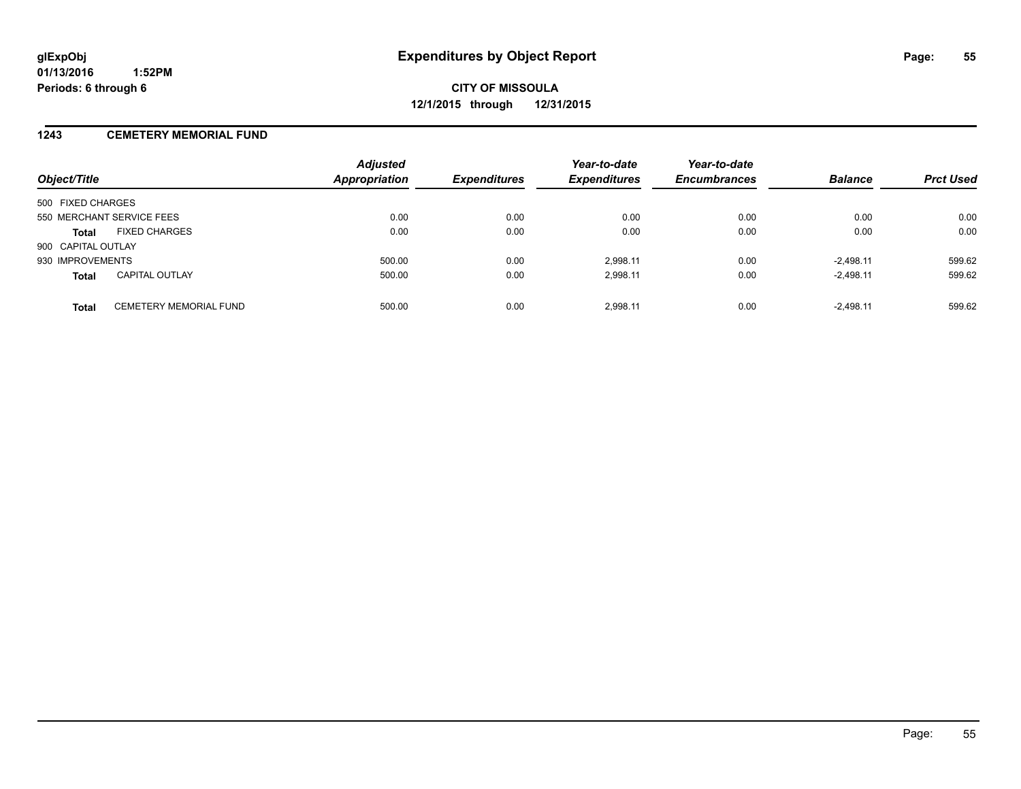#### **1243 CEMETERY MEMORIAL FUND**

| Object/Title                                  | <b>Adjusted</b><br><b>Appropriation</b> | <b>Expenditures</b> | Year-to-date<br><b>Expenditures</b> | Year-to-date<br><b>Encumbrances</b> | <b>Balance</b> | <b>Prct Used</b> |
|-----------------------------------------------|-----------------------------------------|---------------------|-------------------------------------|-------------------------------------|----------------|------------------|
| 500 FIXED CHARGES                             |                                         |                     |                                     |                                     |                |                  |
| 550 MERCHANT SERVICE FEES                     | 0.00                                    | 0.00                | 0.00                                | 0.00                                | 0.00           | 0.00             |
| <b>FIXED CHARGES</b><br><b>Total</b>          | 0.00                                    | 0.00                | 0.00                                | 0.00                                | 0.00           | 0.00             |
| 900 CAPITAL OUTLAY                            |                                         |                     |                                     |                                     |                |                  |
| 930 IMPROVEMENTS                              | 500.00                                  | 0.00                | 2.998.11                            | 0.00                                | $-2.498.11$    | 599.62           |
| <b>CAPITAL OUTLAY</b><br><b>Total</b>         | 500.00                                  | 0.00                | 2,998.11                            | 0.00                                | $-2,498.11$    | 599.62           |
| <b>CEMETERY MEMORIAL FUND</b><br><b>Total</b> | 500.00                                  | 0.00                | 2.998.11                            | 0.00                                | $-2.498.11$    | 599.62           |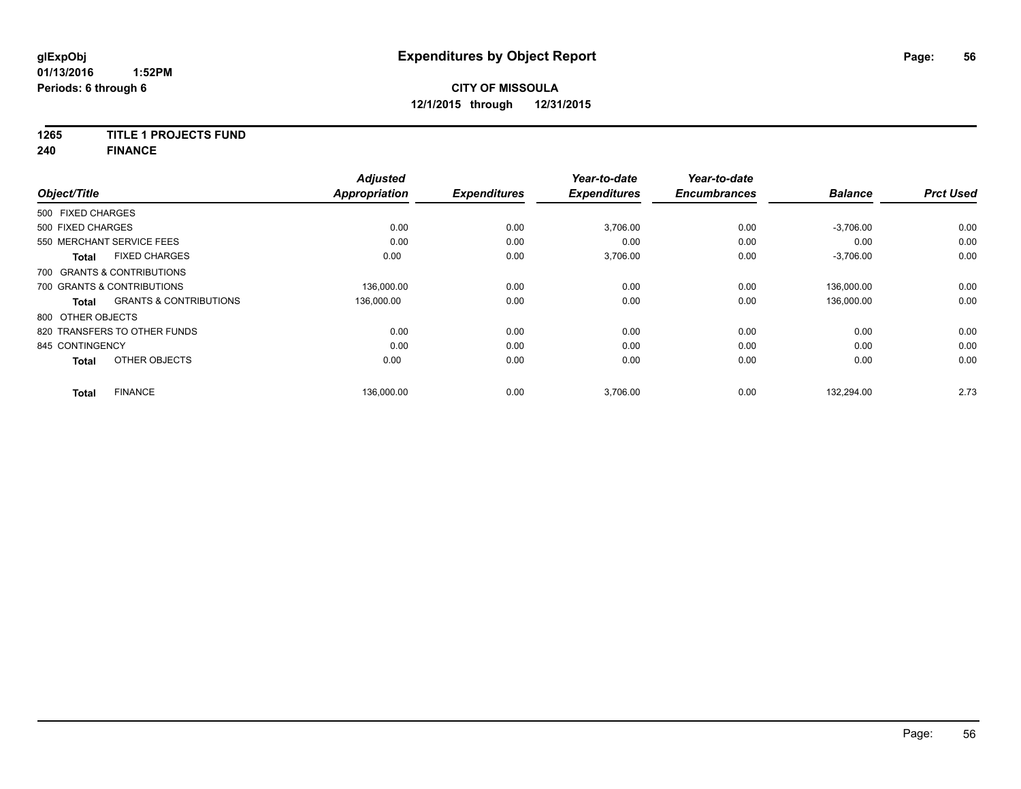**1265 TITLE 1 PROJECTS FUND**

**240 FINANCE**

|                                                   | <b>Adjusted</b>      |                     | Year-to-date        | Year-to-date        |                |                  |
|---------------------------------------------------|----------------------|---------------------|---------------------|---------------------|----------------|------------------|
| Object/Title                                      | <b>Appropriation</b> | <b>Expenditures</b> | <b>Expenditures</b> | <b>Encumbrances</b> | <b>Balance</b> | <b>Prct Used</b> |
| 500 FIXED CHARGES                                 |                      |                     |                     |                     |                |                  |
| 500 FIXED CHARGES                                 | 0.00                 | 0.00                | 3,706.00            | 0.00                | $-3,706.00$    | 0.00             |
| 550 MERCHANT SERVICE FEES                         | 0.00                 | 0.00                | 0.00                | 0.00                | 0.00           | 0.00             |
| <b>FIXED CHARGES</b><br><b>Total</b>              | 0.00                 | 0.00                | 3,706.00            | 0.00                | $-3,706.00$    | 0.00             |
| 700 GRANTS & CONTRIBUTIONS                        |                      |                     |                     |                     |                |                  |
| 700 GRANTS & CONTRIBUTIONS                        | 136.000.00           | 0.00                | 0.00                | 0.00                | 136.000.00     | 0.00             |
| <b>GRANTS &amp; CONTRIBUTIONS</b><br><b>Total</b> | 136,000.00           | 0.00                | 0.00                | 0.00                | 136,000.00     | 0.00             |
| 800 OTHER OBJECTS                                 |                      |                     |                     |                     |                |                  |
| 820 TRANSFERS TO OTHER FUNDS                      | 0.00                 | 0.00                | 0.00                | 0.00                | 0.00           | 0.00             |
| 845 CONTINGENCY                                   | 0.00                 | 0.00                | 0.00                | 0.00                | 0.00           | 0.00             |
| OTHER OBJECTS<br><b>Total</b>                     | 0.00                 | 0.00                | 0.00                | 0.00                | 0.00           | 0.00             |
| <b>FINANCE</b><br><b>Total</b>                    | 136.000.00           | 0.00                | 3.706.00            | 0.00                | 132.294.00     | 2.73             |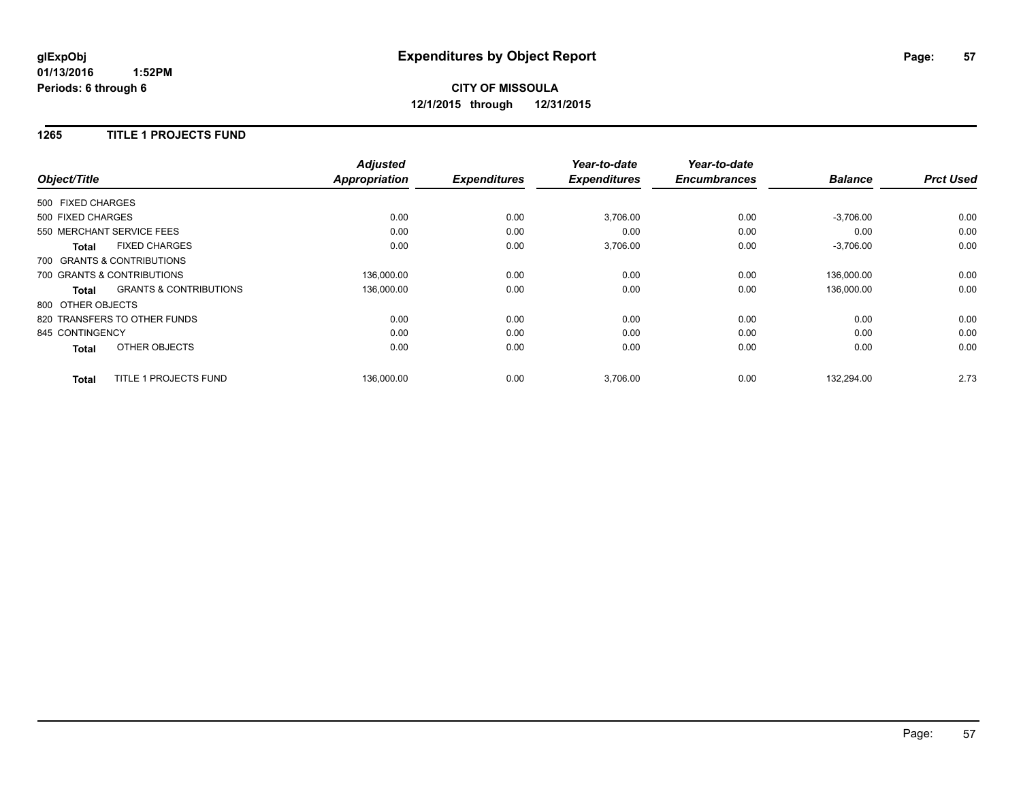# **CITY OF MISSOULA 12/1/2015 through 12/31/2015**

#### **1265 TITLE 1 PROJECTS FUND**

|                   |                                   | <b>Adjusted</b>      |                     | Year-to-date        | Year-to-date        |                |                  |
|-------------------|-----------------------------------|----------------------|---------------------|---------------------|---------------------|----------------|------------------|
| Object/Title      |                                   | <b>Appropriation</b> | <b>Expenditures</b> | <b>Expenditures</b> | <b>Encumbrances</b> | <b>Balance</b> | <b>Prct Used</b> |
| 500 FIXED CHARGES |                                   |                      |                     |                     |                     |                |                  |
| 500 FIXED CHARGES |                                   | 0.00                 | 0.00                | 3,706.00            | 0.00                | $-3,706.00$    | 0.00             |
|                   | 550 MERCHANT SERVICE FEES         | 0.00                 | 0.00                | 0.00                | 0.00                | 0.00           | 0.00             |
| <b>Total</b>      | <b>FIXED CHARGES</b>              | 0.00                 | 0.00                | 3,706.00            | 0.00                | $-3,706.00$    | 0.00             |
|                   | 700 GRANTS & CONTRIBUTIONS        |                      |                     |                     |                     |                |                  |
|                   | 700 GRANTS & CONTRIBUTIONS        | 136,000.00           | 0.00                | 0.00                | 0.00                | 136.000.00     | 0.00             |
| <b>Total</b>      | <b>GRANTS &amp; CONTRIBUTIONS</b> | 136,000.00           | 0.00                | 0.00                | 0.00                | 136,000.00     | 0.00             |
| 800 OTHER OBJECTS |                                   |                      |                     |                     |                     |                |                  |
|                   | 820 TRANSFERS TO OTHER FUNDS      | 0.00                 | 0.00                | 0.00                | 0.00                | 0.00           | 0.00             |
| 845 CONTINGENCY   |                                   | 0.00                 | 0.00                | 0.00                | 0.00                | 0.00           | 0.00             |
| <b>Total</b>      | OTHER OBJECTS                     | 0.00                 | 0.00                | 0.00                | 0.00                | 0.00           | 0.00             |
| <b>Total</b>      | TITLE 1 PROJECTS FUND             | 136.000.00           | 0.00                | 3,706.00            | 0.00                | 132.294.00     | 2.73             |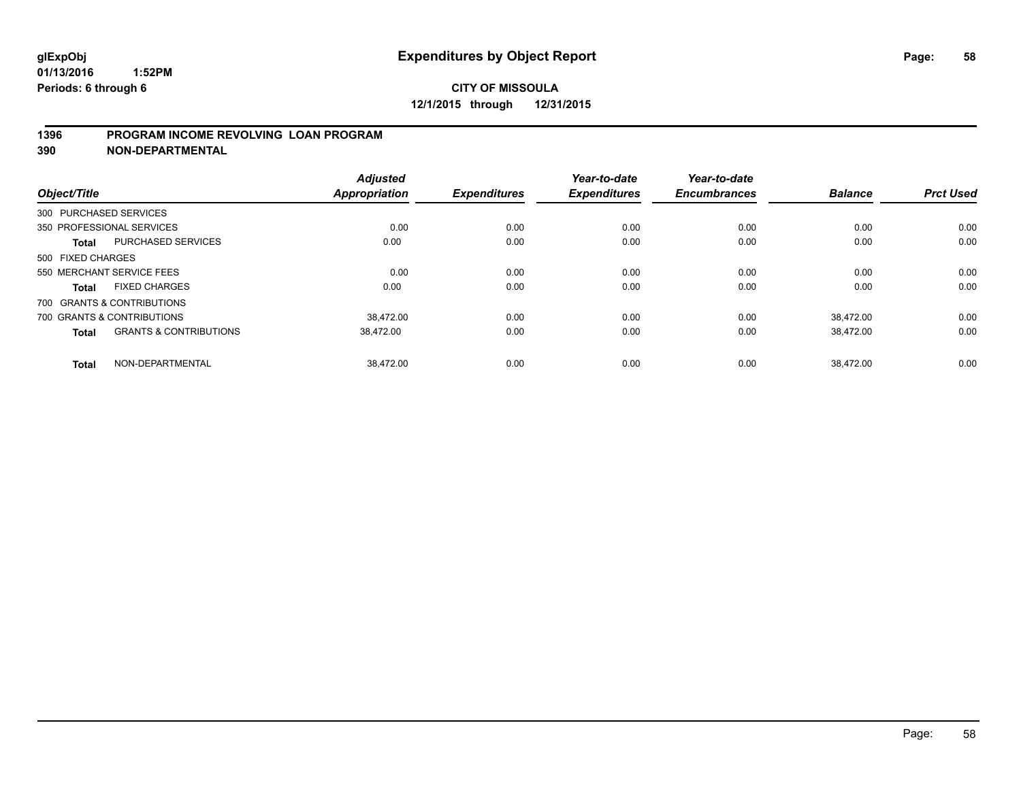#### **1396 PROGRAM INCOME REVOLVING LOAN PROGRAM**

**390 NON-DEPARTMENTAL**

| Object/Title      |                                   | <b>Adjusted</b><br><b>Appropriation</b> | <b>Expenditures</b> | Year-to-date<br><b>Expenditures</b> | Year-to-date<br><b>Encumbrances</b> | <b>Balance</b> | <b>Prct Used</b> |
|-------------------|-----------------------------------|-----------------------------------------|---------------------|-------------------------------------|-------------------------------------|----------------|------------------|
|                   |                                   |                                         |                     |                                     |                                     |                |                  |
|                   | 300 PURCHASED SERVICES            |                                         |                     |                                     |                                     |                |                  |
|                   | 350 PROFESSIONAL SERVICES         | 0.00                                    | 0.00                | 0.00                                | 0.00                                | 0.00           | 0.00             |
| <b>Total</b>      | <b>PURCHASED SERVICES</b>         | 0.00                                    | 0.00                | 0.00                                | 0.00                                | 0.00           | 0.00             |
| 500 FIXED CHARGES |                                   |                                         |                     |                                     |                                     |                |                  |
|                   | 550 MERCHANT SERVICE FEES         | 0.00                                    | 0.00                | 0.00                                | 0.00                                | 0.00           | 0.00             |
| <b>Total</b>      | <b>FIXED CHARGES</b>              | 0.00                                    | 0.00                | 0.00                                | 0.00                                | 0.00           | 0.00             |
|                   | 700 GRANTS & CONTRIBUTIONS        |                                         |                     |                                     |                                     |                |                  |
|                   | 700 GRANTS & CONTRIBUTIONS        | 38.472.00                               | 0.00                | 0.00                                | 0.00                                | 38.472.00      | 0.00             |
| <b>Total</b>      | <b>GRANTS &amp; CONTRIBUTIONS</b> | 38,472.00                               | 0.00                | 0.00                                | 0.00                                | 38,472.00      | 0.00             |
| <b>Total</b>      | NON-DEPARTMENTAL                  | 38.472.00                               | 0.00                | 0.00                                | 0.00                                | 38.472.00      | 0.00             |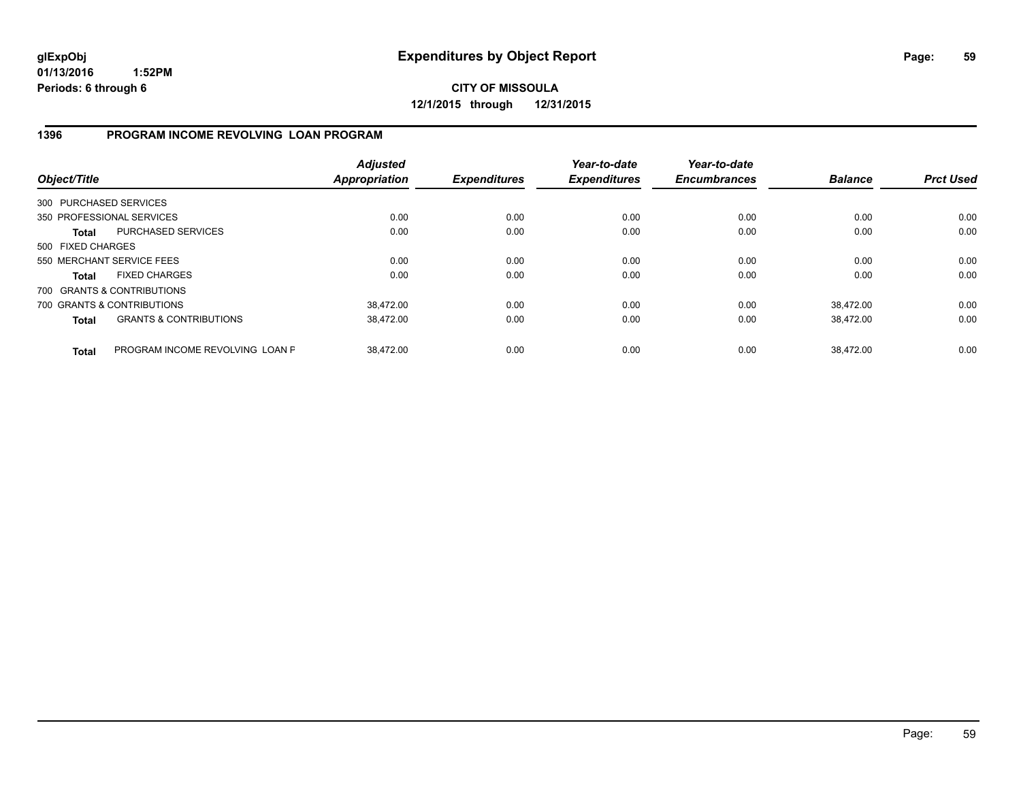#### **1396 PROGRAM INCOME REVOLVING LOAN PROGRAM**

| Object/Title      |                                   | <b>Adjusted</b><br>Appropriation | <b>Expenditures</b> | Year-to-date<br><b>Expenditures</b> | Year-to-date<br><b>Encumbrances</b> | <b>Balance</b> | <b>Prct Used</b> |
|-------------------|-----------------------------------|----------------------------------|---------------------|-------------------------------------|-------------------------------------|----------------|------------------|
|                   | 300 PURCHASED SERVICES            |                                  |                     |                                     |                                     |                |                  |
|                   | 350 PROFESSIONAL SERVICES         | 0.00                             | 0.00                | 0.00                                | 0.00                                | 0.00           | 0.00             |
| <b>Total</b>      | <b>PURCHASED SERVICES</b>         | 0.00                             | 0.00                | 0.00                                | 0.00                                | 0.00           | 0.00             |
| 500 FIXED CHARGES |                                   |                                  |                     |                                     |                                     |                |                  |
|                   | 550 MERCHANT SERVICE FEES         | 0.00                             | 0.00                | 0.00                                | 0.00                                | 0.00           | 0.00             |
| <b>Total</b>      | <b>FIXED CHARGES</b>              | 0.00                             | 0.00                | 0.00                                | 0.00                                | 0.00           | 0.00             |
|                   | 700 GRANTS & CONTRIBUTIONS        |                                  |                     |                                     |                                     |                |                  |
|                   | 700 GRANTS & CONTRIBUTIONS        | 38.472.00                        | 0.00                | 0.00                                | 0.00                                | 38.472.00      | 0.00             |
| <b>Total</b>      | <b>GRANTS &amp; CONTRIBUTIONS</b> | 38,472.00                        | 0.00                | 0.00                                | 0.00                                | 38.472.00      | 0.00             |
| <b>Total</b>      | PROGRAM INCOME REVOLVING LOAN P   | 38.472.00                        | 0.00                | 0.00                                | 0.00                                | 38.472.00      | 0.00             |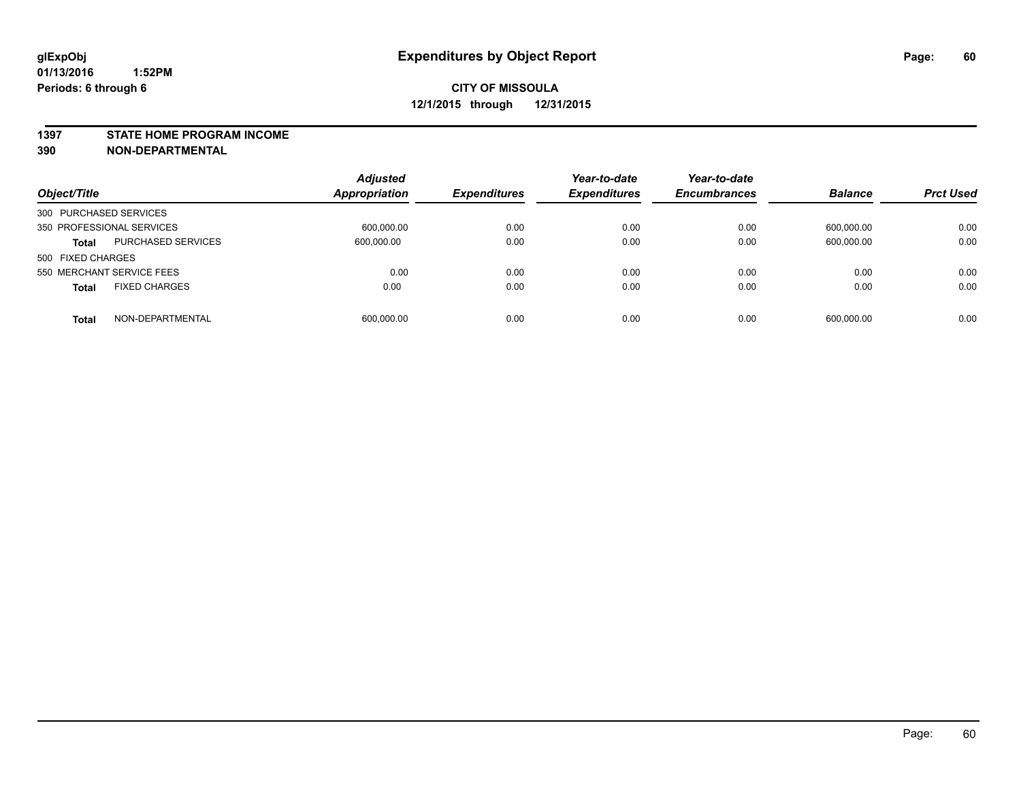#### **1397 STATE HOME PROGRAM INCOME**

**390 NON-DEPARTMENTAL**

| Object/Title                              | <b>Adjusted</b><br><b>Appropriation</b> | <b>Expenditures</b> | Year-to-date<br><b>Expenditures</b> | Year-to-date<br><b>Encumbrances</b> | <b>Balance</b> | <b>Prct Used</b> |
|-------------------------------------------|-----------------------------------------|---------------------|-------------------------------------|-------------------------------------|----------------|------------------|
| 300 PURCHASED SERVICES                    |                                         |                     |                                     |                                     |                |                  |
| 350 PROFESSIONAL SERVICES                 | 600,000.00                              | 0.00                | 0.00                                | 0.00                                | 600,000.00     | 0.00             |
| <b>PURCHASED SERVICES</b><br><b>Total</b> | 600,000.00                              | 0.00                | 0.00                                | 0.00                                | 600,000.00     | 0.00             |
| 500 FIXED CHARGES                         |                                         |                     |                                     |                                     |                |                  |
| 550 MERCHANT SERVICE FEES                 | 0.00                                    | 0.00                | 0.00                                | 0.00                                | 0.00           | 0.00             |
| <b>FIXED CHARGES</b><br><b>Total</b>      | 0.00                                    | 0.00                | 0.00                                | 0.00                                | 0.00           | 0.00             |
| NON-DEPARTMENTAL<br><b>Total</b>          | 600,000.00                              | 0.00                | 0.00                                | 0.00                                | 600,000.00     | 0.00             |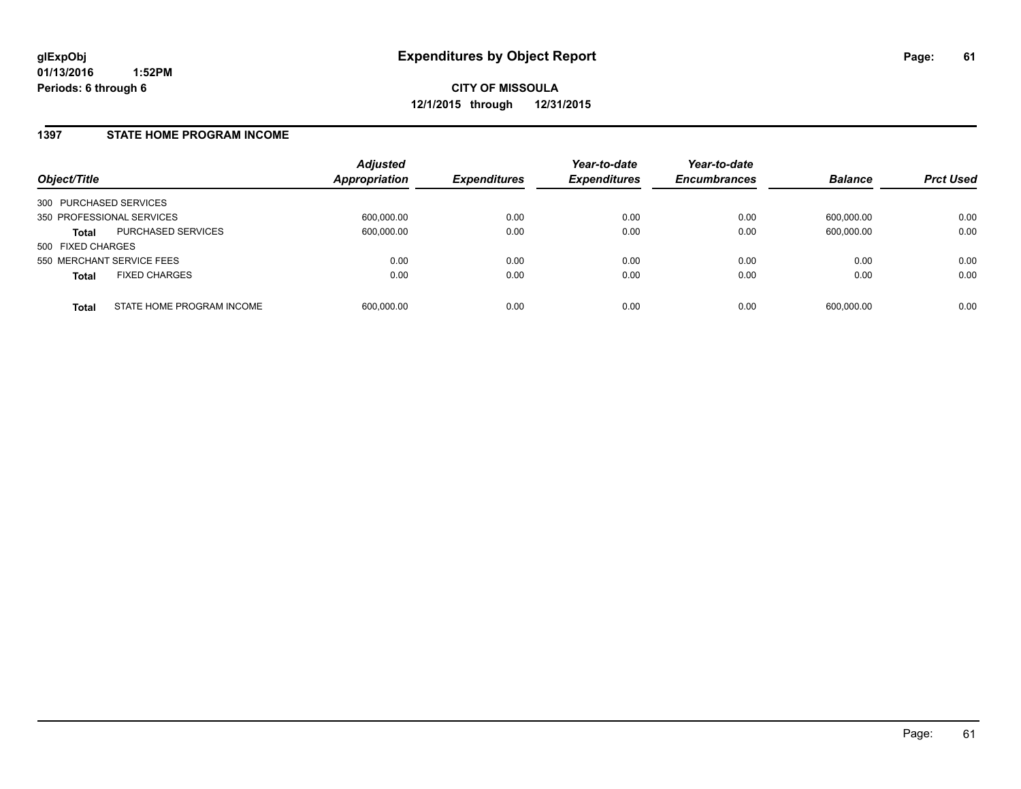#### **1397 STATE HOME PROGRAM INCOME**

| Object/Title                              | <b>Adjusted</b><br><b>Appropriation</b> | <b>Expenditures</b> | Year-to-date<br><b>Expenditures</b> | Year-to-date<br><b>Encumbrances</b> | <b>Balance</b> | <b>Prct Used</b> |
|-------------------------------------------|-----------------------------------------|---------------------|-------------------------------------|-------------------------------------|----------------|------------------|
| 300 PURCHASED SERVICES                    |                                         |                     |                                     |                                     |                |                  |
| 350 PROFESSIONAL SERVICES                 | 600,000.00                              | 0.00                | 0.00                                | 0.00                                | 600.000.00     | 0.00             |
| PURCHASED SERVICES<br><b>Total</b>        | 600.000.00                              | 0.00                | 0.00                                | 0.00                                | 600.000.00     | 0.00             |
| 500 FIXED CHARGES                         |                                         |                     |                                     |                                     |                |                  |
| 550 MERCHANT SERVICE FEES                 | 0.00                                    | 0.00                | 0.00                                | 0.00                                | 0.00           | 0.00             |
| <b>FIXED CHARGES</b><br><b>Total</b>      | 0.00                                    | 0.00                | 0.00                                | 0.00                                | 0.00           | 0.00             |
| STATE HOME PROGRAM INCOME<br><b>Total</b> | 600.000.00                              | 0.00                | 0.00                                | 0.00                                | 600.000.00     | 0.00             |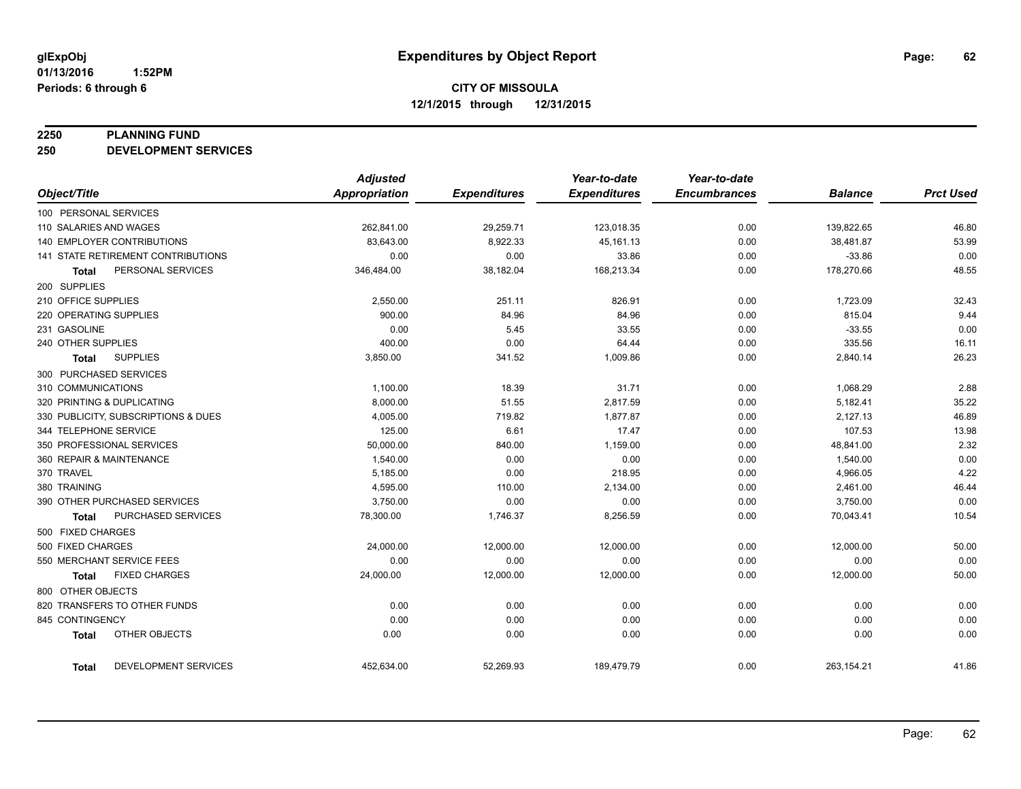#### **2250 PLANNING FUND**

**250 DEVELOPMENT SERVICES**

|                                      | <b>Adjusted</b> |                     | Year-to-date        | Year-to-date        |                |                  |
|--------------------------------------|-----------------|---------------------|---------------------|---------------------|----------------|------------------|
| Object/Title                         | Appropriation   | <b>Expenditures</b> | <b>Expenditures</b> | <b>Encumbrances</b> | <b>Balance</b> | <b>Prct Used</b> |
| 100 PERSONAL SERVICES                |                 |                     |                     |                     |                |                  |
| 110 SALARIES AND WAGES               | 262,841.00      | 29,259.71           | 123,018.35          | 0.00                | 139,822.65     | 46.80            |
| <b>140 EMPLOYER CONTRIBUTIONS</b>    | 83.643.00       | 8,922.33            | 45,161.13           | 0.00                | 38,481.87      | 53.99            |
| 141 STATE RETIREMENT CONTRIBUTIONS   | 0.00            | 0.00                | 33.86               | 0.00                | $-33.86$       | 0.00             |
| PERSONAL SERVICES<br>Total           | 346,484.00      | 38,182.04           | 168,213.34          | 0.00                | 178,270.66     | 48.55            |
| 200 SUPPLIES                         |                 |                     |                     |                     |                |                  |
| 210 OFFICE SUPPLIES                  | 2,550.00        | 251.11              | 826.91              | 0.00                | 1,723.09       | 32.43            |
| 220 OPERATING SUPPLIES               | 900.00          | 84.96               | 84.96               | 0.00                | 815.04         | 9.44             |
| 231 GASOLINE                         | 0.00            | 5.45                | 33.55               | 0.00                | $-33.55$       | 0.00             |
| 240 OTHER SUPPLIES                   | 400.00          | 0.00                | 64.44               | 0.00                | 335.56         | 16.11            |
| <b>SUPPLIES</b><br>Total             | 3,850.00        | 341.52              | 1,009.86            | 0.00                | 2,840.14       | 26.23            |
| 300 PURCHASED SERVICES               |                 |                     |                     |                     |                |                  |
| 310 COMMUNICATIONS                   | 1,100.00        | 18.39               | 31.71               | 0.00                | 1,068.29       | 2.88             |
| 320 PRINTING & DUPLICATING           | 8,000.00        | 51.55               | 2,817.59            | 0.00                | 5,182.41       | 35.22            |
| 330 PUBLICITY, SUBSCRIPTIONS & DUES  | 4,005.00        | 719.82              | 1,877.87            | 0.00                | 2,127.13       | 46.89            |
| 344 TELEPHONE SERVICE                | 125.00          | 6.61                | 17.47               | 0.00                | 107.53         | 13.98            |
| 350 PROFESSIONAL SERVICES            | 50,000.00       | 840.00              | 1,159.00            | 0.00                | 48,841.00      | 2.32             |
| 360 REPAIR & MAINTENANCE             | 1,540.00        | 0.00                | 0.00                | 0.00                | 1,540.00       | 0.00             |
| 370 TRAVEL                           | 5,185.00        | 0.00                | 218.95              | 0.00                | 4,966.05       | 4.22             |
| 380 TRAINING                         | 4,595.00        | 110.00              | 2,134.00            | 0.00                | 2,461.00       | 46.44            |
| 390 OTHER PURCHASED SERVICES         | 3,750.00        | 0.00                | 0.00                | 0.00                | 3,750.00       | 0.00             |
| PURCHASED SERVICES<br>Total          | 78,300.00       | 1,746.37            | 8,256.59            | 0.00                | 70,043.41      | 10.54            |
| 500 FIXED CHARGES                    |                 |                     |                     |                     |                |                  |
| 500 FIXED CHARGES                    | 24,000.00       | 12,000.00           | 12,000.00           | 0.00                | 12,000.00      | 50.00            |
| 550 MERCHANT SERVICE FEES            | 0.00            | 0.00                | 0.00                | 0.00                | 0.00           | 0.00             |
| <b>FIXED CHARGES</b><br><b>Total</b> | 24,000.00       | 12,000.00           | 12,000.00           | 0.00                | 12,000.00      | 50.00            |
| 800 OTHER OBJECTS                    |                 |                     |                     |                     |                |                  |
| 820 TRANSFERS TO OTHER FUNDS         | 0.00            | 0.00                | 0.00                | 0.00                | 0.00           | 0.00             |
| 845 CONTINGENCY                      | 0.00            | 0.00                | 0.00                | 0.00                | 0.00           | 0.00             |
| OTHER OBJECTS<br><b>Total</b>        | 0.00            | 0.00                | 0.00                | 0.00                | 0.00           | 0.00             |
| DEVELOPMENT SERVICES<br>Total        | 452,634.00      | 52,269.93           | 189,479.79          | 0.00                | 263,154.21     | 41.86            |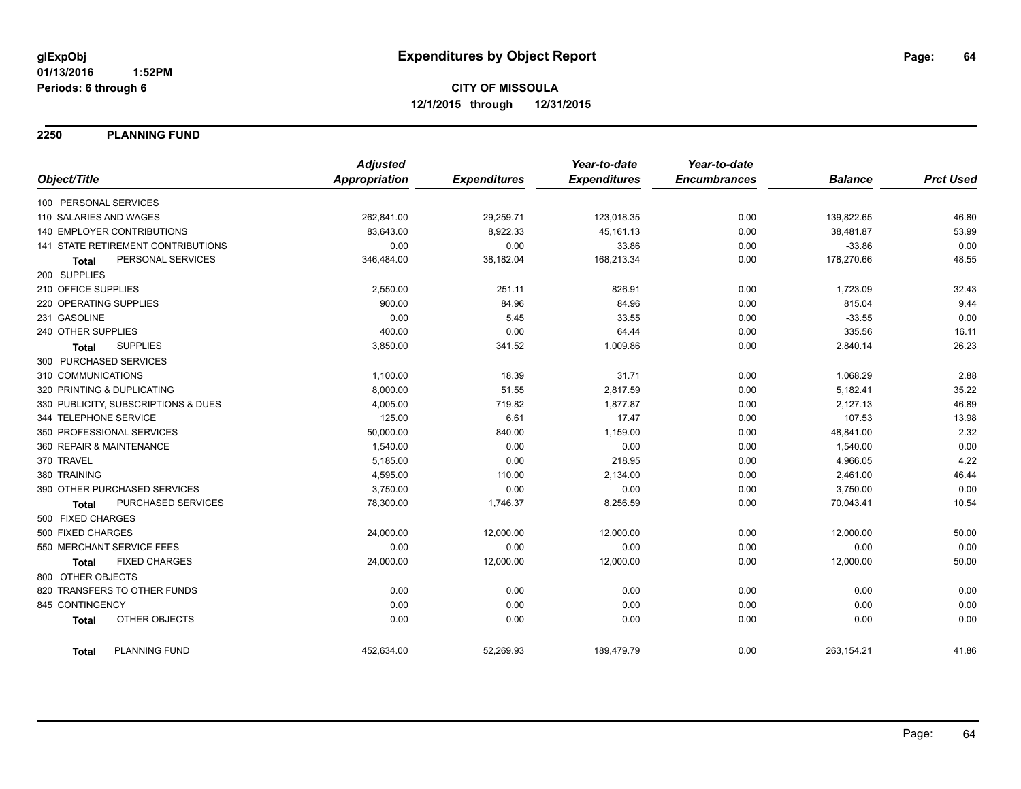**2250 PLANNING FUND**

|                                     | <b>Adjusted</b>      |                     | Year-to-date        | Year-to-date        |                |                  |
|-------------------------------------|----------------------|---------------------|---------------------|---------------------|----------------|------------------|
| Object/Title                        | <b>Appropriation</b> | <b>Expenditures</b> | <b>Expenditures</b> | <b>Encumbrances</b> | <b>Balance</b> | <b>Prct Used</b> |
| 100 PERSONAL SERVICES               |                      |                     |                     |                     |                |                  |
| 110 SALARIES AND WAGES              | 262,841.00           | 29,259.71           | 123,018.35          | 0.00                | 139,822.65     | 46.80            |
| 140 EMPLOYER CONTRIBUTIONS          | 83,643.00            | 8,922.33            | 45,161.13           | 0.00                | 38,481.87      | 53.99            |
| 141 STATE RETIREMENT CONTRIBUTIONS  | 0.00                 | 0.00                | 33.86               | 0.00                | $-33.86$       | 0.00             |
| PERSONAL SERVICES<br><b>Total</b>   | 346,484.00           | 38,182.04           | 168,213.34          | 0.00                | 178,270.66     | 48.55            |
| 200 SUPPLIES                        |                      |                     |                     |                     |                |                  |
| 210 OFFICE SUPPLIES                 | 2,550.00             | 251.11              | 826.91              | 0.00                | 1,723.09       | 32.43            |
| 220 OPERATING SUPPLIES              | 900.00               | 84.96               | 84.96               | 0.00                | 815.04         | 9.44             |
| 231 GASOLINE                        | 0.00                 | 5.45                | 33.55               | 0.00                | $-33.55$       | 0.00             |
| 240 OTHER SUPPLIES                  | 400.00               | 0.00                | 64.44               | 0.00                | 335.56         | 16.11            |
| <b>SUPPLIES</b><br><b>Total</b>     | 3,850.00             | 341.52              | 1,009.86            | 0.00                | 2,840.14       | 26.23            |
| 300 PURCHASED SERVICES              |                      |                     |                     |                     |                |                  |
| 310 COMMUNICATIONS                  | 1,100.00             | 18.39               | 31.71               | 0.00                | 1,068.29       | 2.88             |
| 320 PRINTING & DUPLICATING          | 8,000.00             | 51.55               | 2,817.59            | 0.00                | 5,182.41       | 35.22            |
| 330 PUBLICITY, SUBSCRIPTIONS & DUES | 4,005.00             | 719.82              | 1,877.87            | 0.00                | 2,127.13       | 46.89            |
| 344 TELEPHONE SERVICE               | 125.00               | 6.61                | 17.47               | 0.00                | 107.53         | 13.98            |
| 350 PROFESSIONAL SERVICES           | 50,000.00            | 840.00              | 1,159.00            | 0.00                | 48,841.00      | 2.32             |
| 360 REPAIR & MAINTENANCE            | 1,540.00             | 0.00                | 0.00                | 0.00                | 1,540.00       | 0.00             |
| 370 TRAVEL                          | 5,185.00             | 0.00                | 218.95              | 0.00                | 4,966.05       | 4.22             |
| 380 TRAINING                        | 4,595.00             | 110.00              | 2,134.00            | 0.00                | 2,461.00       | 46.44            |
| 390 OTHER PURCHASED SERVICES        | 3,750.00             | 0.00                | 0.00                | 0.00                | 3,750.00       | 0.00             |
| PURCHASED SERVICES<br><b>Total</b>  | 78,300.00            | 1,746.37            | 8,256.59            | 0.00                | 70,043.41      | 10.54            |
| 500 FIXED CHARGES                   |                      |                     |                     |                     |                |                  |
| 500 FIXED CHARGES                   | 24,000.00            | 12,000.00           | 12,000.00           | 0.00                | 12,000.00      | 50.00            |
| 550 MERCHANT SERVICE FEES           | 0.00                 | 0.00                | 0.00                | 0.00                | 0.00           | 0.00             |
| <b>FIXED CHARGES</b><br>Total       | 24,000.00            | 12,000.00           | 12,000.00           | 0.00                | 12,000.00      | 50.00            |
| 800 OTHER OBJECTS                   |                      |                     |                     |                     |                |                  |
| 820 TRANSFERS TO OTHER FUNDS        | 0.00                 | 0.00                | 0.00                | 0.00                | 0.00           | 0.00             |
| 845 CONTINGENCY                     | 0.00                 | 0.00                | 0.00                | 0.00                | 0.00           | 0.00             |
| OTHER OBJECTS<br><b>Total</b>       | 0.00                 | 0.00                | 0.00                | 0.00                | 0.00           | 0.00             |
| PLANNING FUND<br><b>Total</b>       | 452,634.00           | 52,269.93           | 189,479.79          | 0.00                | 263,154.21     | 41.86            |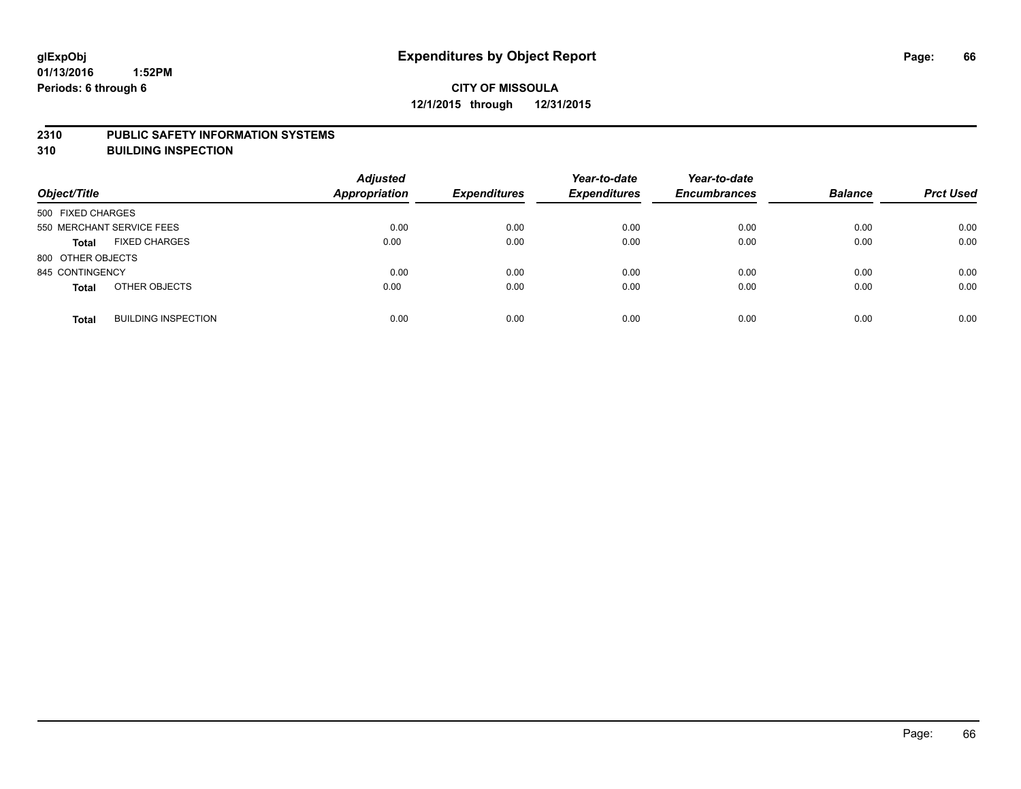#### **2310 PUBLIC SAFETY INFORMATION SYSTEMS**

**310 BUILDING INSPECTION**

| Object/Title              |                            | <b>Adjusted</b><br><b>Appropriation</b> | <b>Expenditures</b> | Year-to-date<br><b>Expenditures</b> | Year-to-date<br><b>Encumbrances</b> | <b>Balance</b> | <b>Prct Used</b> |
|---------------------------|----------------------------|-----------------------------------------|---------------------|-------------------------------------|-------------------------------------|----------------|------------------|
| 500 FIXED CHARGES         |                            |                                         |                     |                                     |                                     |                |                  |
| 550 MERCHANT SERVICE FEES |                            | 0.00                                    | 0.00                | 0.00                                | 0.00                                | 0.00           | 0.00             |
| <b>Total</b>              | <b>FIXED CHARGES</b>       | 0.00                                    | 0.00                | 0.00                                | 0.00                                | 0.00           | 0.00             |
| 800 OTHER OBJECTS         |                            |                                         |                     |                                     |                                     |                |                  |
| 845 CONTINGENCY           |                            | 0.00                                    | 0.00                | 0.00                                | 0.00                                | 0.00           | 0.00             |
| <b>Total</b>              | OTHER OBJECTS              | 0.00                                    | 0.00                | 0.00                                | 0.00                                | 0.00           | 0.00             |
| <b>Total</b>              | <b>BUILDING INSPECTION</b> | 0.00                                    | 0.00                | 0.00                                | 0.00                                | 0.00           | 0.00             |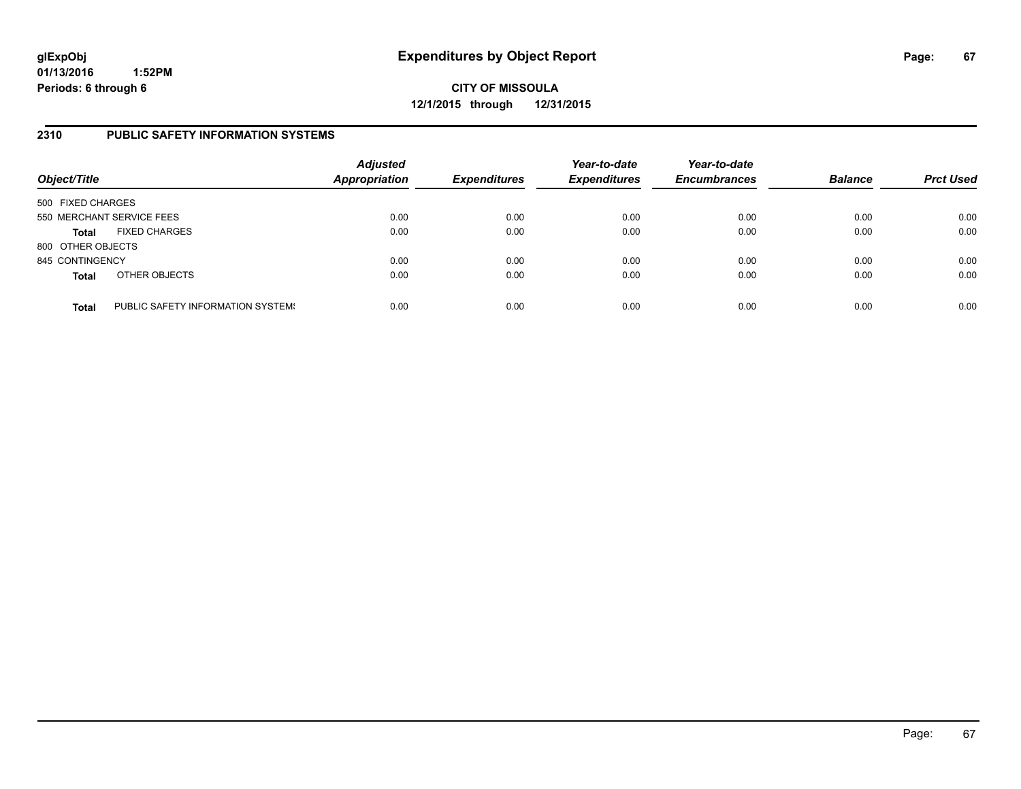**CITY OF MISSOULA 12/1/2015 through 12/31/2015**

#### **2310 PUBLIC SAFETY INFORMATION SYSTEMS**

| Object/Title      |                                   | <b>Adjusted</b><br>Appropriation | <b>Expenditures</b> | Year-to-date<br><b>Expenditures</b> | Year-to-date<br><b>Encumbrances</b> | <b>Balance</b> | <b>Prct Used</b> |
|-------------------|-----------------------------------|----------------------------------|---------------------|-------------------------------------|-------------------------------------|----------------|------------------|
| 500 FIXED CHARGES |                                   |                                  |                     |                                     |                                     |                |                  |
|                   | 550 MERCHANT SERVICE FEES         | 0.00                             | 0.00                | 0.00                                | 0.00                                | 0.00           | 0.00             |
| <b>Total</b>      | <b>FIXED CHARGES</b>              | 0.00                             | 0.00                | 0.00                                | 0.00                                | 0.00           | 0.00             |
| 800 OTHER OBJECTS |                                   |                                  |                     |                                     |                                     |                |                  |
| 845 CONTINGENCY   |                                   | 0.00                             | 0.00                | 0.00                                | 0.00                                | 0.00           | 0.00             |
| <b>Total</b>      | OTHER OBJECTS                     | 0.00                             | 0.00                | 0.00                                | 0.00                                | 0.00           | 0.00             |
| <b>Total</b>      | PUBLIC SAFETY INFORMATION SYSTEM! | 0.00                             | 0.00                | 0.00                                | 0.00                                | 0.00           | 0.00             |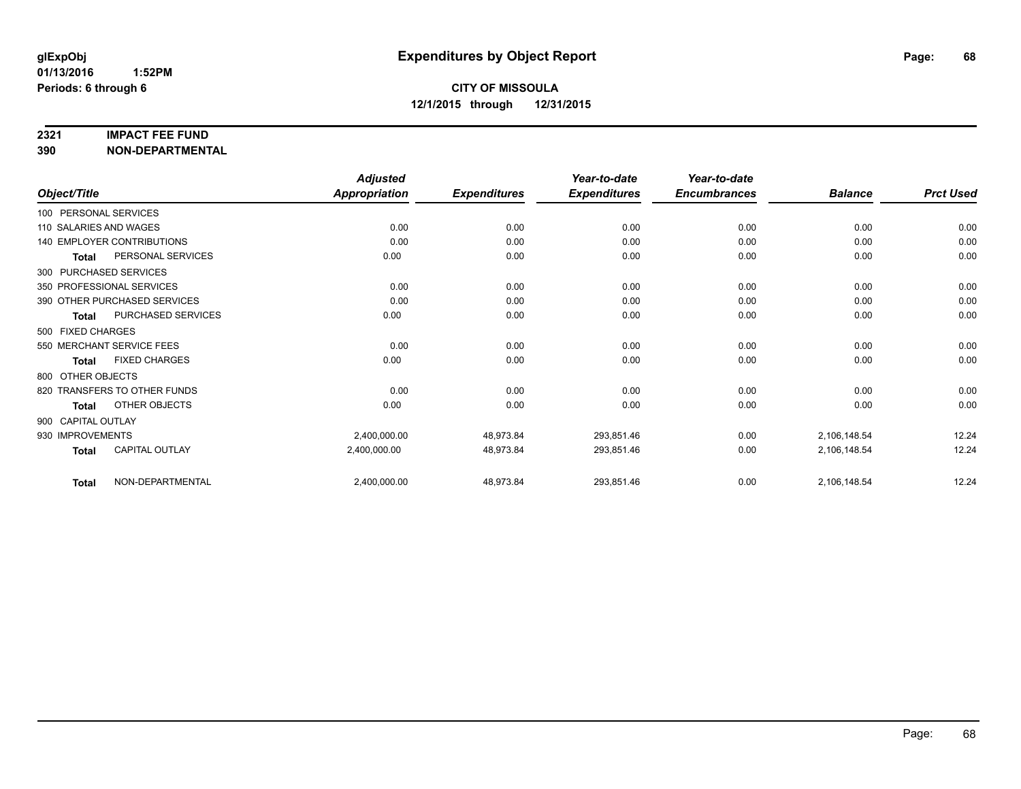#### **2321 IMPACT FEE FUND**

**390 NON-DEPARTMENTAL**

|                                       | <b>Adjusted</b>      |                     | Year-to-date        | Year-to-date        |                |                  |
|---------------------------------------|----------------------|---------------------|---------------------|---------------------|----------------|------------------|
| Object/Title                          | <b>Appropriation</b> | <b>Expenditures</b> | <b>Expenditures</b> | <b>Encumbrances</b> | <b>Balance</b> | <b>Prct Used</b> |
| 100 PERSONAL SERVICES                 |                      |                     |                     |                     |                |                  |
| 110 SALARIES AND WAGES                | 0.00                 | 0.00                | 0.00                | 0.00                | 0.00           | 0.00             |
| <b>140 EMPLOYER CONTRIBUTIONS</b>     | 0.00                 | 0.00                | 0.00                | 0.00                | 0.00           | 0.00             |
| PERSONAL SERVICES<br><b>Total</b>     | 0.00                 | 0.00                | 0.00                | 0.00                | 0.00           | 0.00             |
| 300 PURCHASED SERVICES                |                      |                     |                     |                     |                |                  |
| 350 PROFESSIONAL SERVICES             | 0.00                 | 0.00                | 0.00                | 0.00                | 0.00           | 0.00             |
| 390 OTHER PURCHASED SERVICES          | 0.00                 | 0.00                | 0.00                | 0.00                | 0.00           | 0.00             |
| PURCHASED SERVICES<br><b>Total</b>    | 0.00                 | 0.00                | 0.00                | 0.00                | 0.00           | 0.00             |
| 500 FIXED CHARGES                     |                      |                     |                     |                     |                |                  |
| 550 MERCHANT SERVICE FEES             | 0.00                 | 0.00                | 0.00                | 0.00                | 0.00           | 0.00             |
| <b>FIXED CHARGES</b><br><b>Total</b>  | 0.00                 | 0.00                | 0.00                | 0.00                | 0.00           | 0.00             |
| 800 OTHER OBJECTS                     |                      |                     |                     |                     |                |                  |
| 820 TRANSFERS TO OTHER FUNDS          | 0.00                 | 0.00                | 0.00                | 0.00                | 0.00           | 0.00             |
| OTHER OBJECTS<br>Total                | 0.00                 | 0.00                | 0.00                | 0.00                | 0.00           | 0.00             |
| 900 CAPITAL OUTLAY                    |                      |                     |                     |                     |                |                  |
| 930 IMPROVEMENTS                      | 2,400,000.00         | 48,973.84           | 293,851.46          | 0.00                | 2,106,148.54   | 12.24            |
| <b>CAPITAL OUTLAY</b><br><b>Total</b> | 2,400,000.00         | 48,973.84           | 293,851.46          | 0.00                | 2,106,148.54   | 12.24            |
| NON-DEPARTMENTAL<br><b>Total</b>      | 2,400,000.00         | 48,973.84           | 293,851.46          | 0.00                | 2,106,148.54   | 12.24            |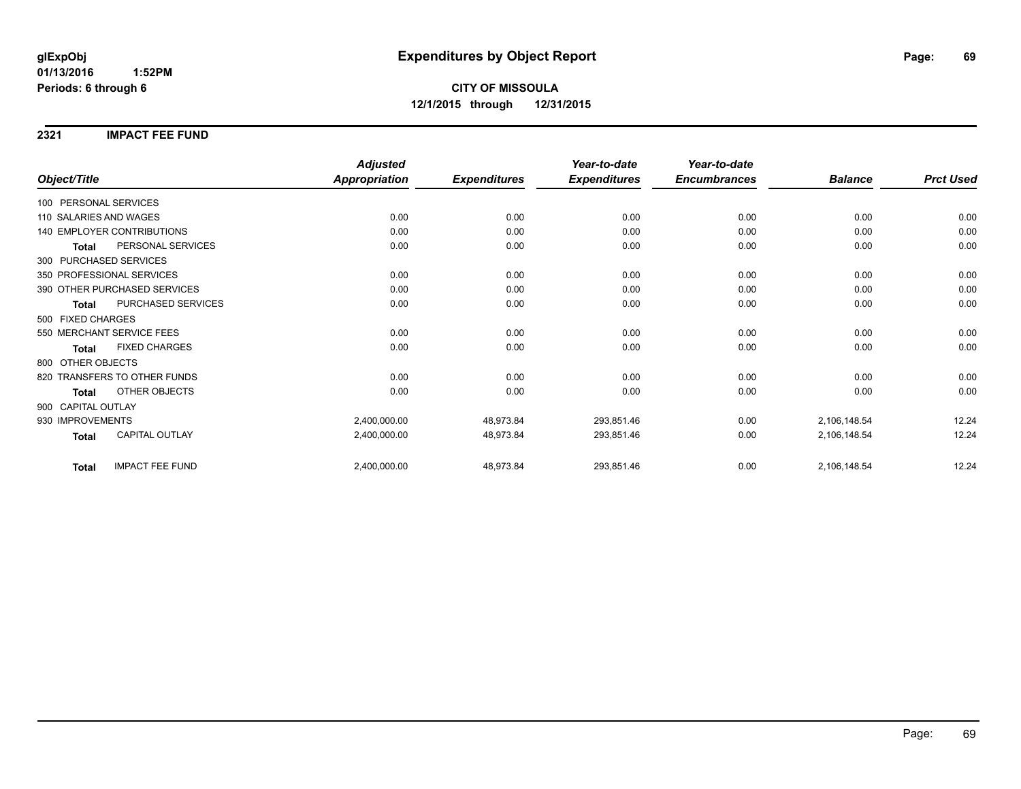**2321 IMPACT FEE FUND**

|                                        | <b>Adjusted</b>      |                     | Year-to-date        | Year-to-date        |                |                  |
|----------------------------------------|----------------------|---------------------|---------------------|---------------------|----------------|------------------|
| Object/Title                           | <b>Appropriation</b> | <b>Expenditures</b> | <b>Expenditures</b> | <b>Encumbrances</b> | <b>Balance</b> | <b>Prct Used</b> |
| 100 PERSONAL SERVICES                  |                      |                     |                     |                     |                |                  |
| 110 SALARIES AND WAGES                 | 0.00                 | 0.00                | 0.00                | 0.00                | 0.00           | 0.00             |
| <b>140 EMPLOYER CONTRIBUTIONS</b>      | 0.00                 | 0.00                | 0.00                | 0.00                | 0.00           | 0.00             |
| PERSONAL SERVICES<br><b>Total</b>      | 0.00                 | 0.00                | 0.00                | 0.00                | 0.00           | 0.00             |
| 300 PURCHASED SERVICES                 |                      |                     |                     |                     |                |                  |
| 350 PROFESSIONAL SERVICES              | 0.00                 | 0.00                | 0.00                | 0.00                | 0.00           | 0.00             |
| 390 OTHER PURCHASED SERVICES           | 0.00                 | 0.00                | 0.00                | 0.00                | 0.00           | 0.00             |
| PURCHASED SERVICES<br><b>Total</b>     | 0.00                 | 0.00                | 0.00                | 0.00                | 0.00           | 0.00             |
| 500 FIXED CHARGES                      |                      |                     |                     |                     |                |                  |
| 550 MERCHANT SERVICE FEES              | 0.00                 | 0.00                | 0.00                | 0.00                | 0.00           | 0.00             |
| <b>FIXED CHARGES</b><br><b>Total</b>   | 0.00                 | 0.00                | 0.00                | 0.00                | 0.00           | 0.00             |
| 800 OTHER OBJECTS                      |                      |                     |                     |                     |                |                  |
| 820 TRANSFERS TO OTHER FUNDS           | 0.00                 | 0.00                | 0.00                | 0.00                | 0.00           | 0.00             |
| OTHER OBJECTS<br><b>Total</b>          | 0.00                 | 0.00                | 0.00                | 0.00                | 0.00           | 0.00             |
| 900 CAPITAL OUTLAY                     |                      |                     |                     |                     |                |                  |
| 930 IMPROVEMENTS                       | 2,400,000.00         | 48,973.84           | 293,851.46          | 0.00                | 2,106,148.54   | 12.24            |
| CAPITAL OUTLAY<br><b>Total</b>         | 2,400,000.00         | 48,973.84           | 293,851.46          | 0.00                | 2,106,148.54   | 12.24            |
| <b>IMPACT FEE FUND</b><br><b>Total</b> | 2,400,000.00         | 48,973.84           | 293,851.46          | 0.00                | 2,106,148.54   | 12.24            |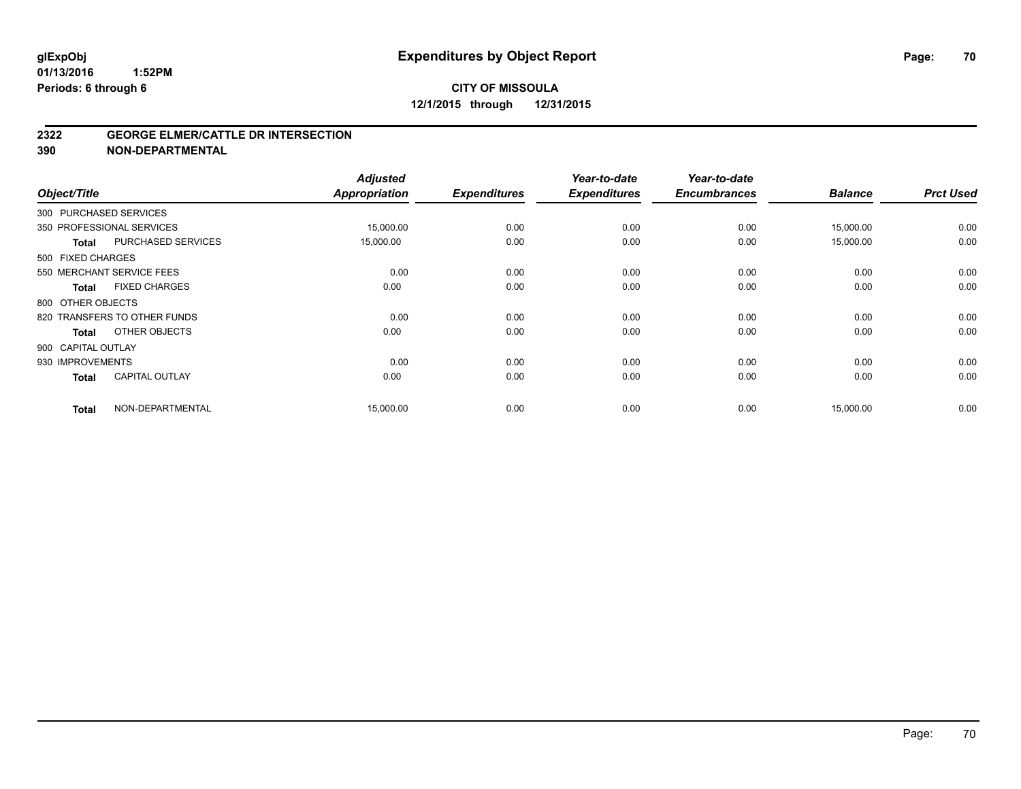#### **2322 GEORGE ELMER/CATTLE DR INTERSECTION**

**390 NON-DEPARTMENTAL**

| Object/Title       |                              | <b>Adjusted</b><br><b>Appropriation</b> | <b>Expenditures</b> | Year-to-date<br><b>Expenditures</b> | Year-to-date<br><b>Encumbrances</b> | <b>Balance</b> | <b>Prct Used</b> |
|--------------------|------------------------------|-----------------------------------------|---------------------|-------------------------------------|-------------------------------------|----------------|------------------|
|                    | 300 PURCHASED SERVICES       |                                         |                     |                                     |                                     |                |                  |
|                    | 350 PROFESSIONAL SERVICES    | 15,000.00                               | 0.00                | 0.00                                | 0.00                                | 15,000.00      | 0.00             |
| <b>Total</b>       | PURCHASED SERVICES           | 15,000.00                               | 0.00                | 0.00                                | 0.00                                | 15,000.00      | 0.00             |
| 500 FIXED CHARGES  |                              |                                         |                     |                                     |                                     |                |                  |
|                    | 550 MERCHANT SERVICE FEES    | 0.00                                    | 0.00                | 0.00                                | 0.00                                | 0.00           | 0.00             |
| <b>Total</b>       | <b>FIXED CHARGES</b>         | 0.00                                    | 0.00                | 0.00                                | 0.00                                | 0.00           | 0.00             |
| 800 OTHER OBJECTS  |                              |                                         |                     |                                     |                                     |                |                  |
|                    | 820 TRANSFERS TO OTHER FUNDS | 0.00                                    | 0.00                | 0.00                                | 0.00                                | 0.00           | 0.00             |
| <b>Total</b>       | OTHER OBJECTS                | 0.00                                    | 0.00                | 0.00                                | 0.00                                | 0.00           | 0.00             |
| 900 CAPITAL OUTLAY |                              |                                         |                     |                                     |                                     |                |                  |
| 930 IMPROVEMENTS   |                              | 0.00                                    | 0.00                | 0.00                                | 0.00                                | 0.00           | 0.00             |
| <b>Total</b>       | <b>CAPITAL OUTLAY</b>        | 0.00                                    | 0.00                | 0.00                                | 0.00                                | 0.00           | 0.00             |
| <b>Total</b>       | NON-DEPARTMENTAL             | 15,000.00                               | 0.00                | 0.00                                | 0.00                                | 15,000.00      | 0.00             |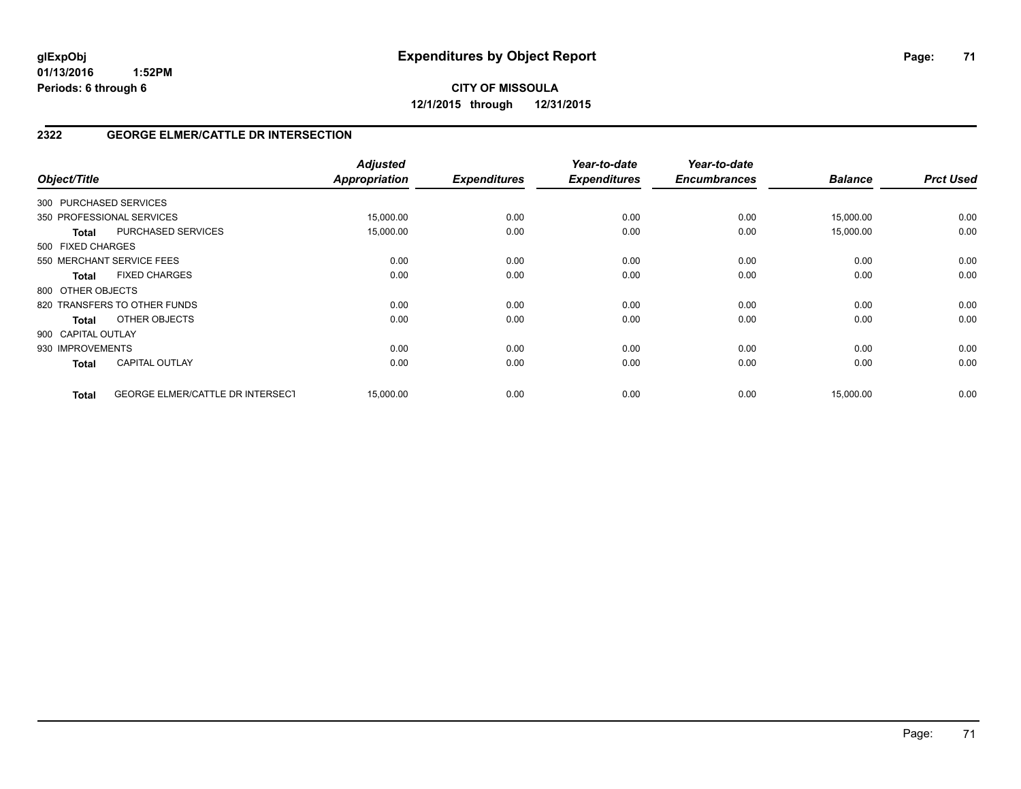# **CITY OF MISSOULA 12/1/2015 through 12/31/2015**

# **2322 GEORGE ELMER/CATTLE DR INTERSECTION**

| Object/Title                                            | <b>Adjusted</b><br><b>Appropriation</b> | <b>Expenditures</b> | Year-to-date<br><b>Expenditures</b> | Year-to-date<br><b>Encumbrances</b> | <b>Balance</b> | <b>Prct Used</b> |
|---------------------------------------------------------|-----------------------------------------|---------------------|-------------------------------------|-------------------------------------|----------------|------------------|
| 300 PURCHASED SERVICES                                  |                                         |                     |                                     |                                     |                |                  |
| 350 PROFESSIONAL SERVICES                               | 15,000.00                               | 0.00                | 0.00                                | 0.00                                | 15,000.00      | 0.00             |
| PURCHASED SERVICES<br><b>Total</b>                      | 15,000.00                               | 0.00                | 0.00                                | 0.00                                | 15,000.00      | 0.00             |
| 500 FIXED CHARGES                                       |                                         |                     |                                     |                                     |                |                  |
| 550 MERCHANT SERVICE FEES                               | 0.00                                    | 0.00                | 0.00                                | 0.00                                | 0.00           | 0.00             |
| <b>FIXED CHARGES</b><br><b>Total</b>                    | 0.00                                    | 0.00                | 0.00                                | 0.00                                | 0.00           | 0.00             |
| 800 OTHER OBJECTS                                       |                                         |                     |                                     |                                     |                |                  |
| 820 TRANSFERS TO OTHER FUNDS                            | 0.00                                    | 0.00                | 0.00                                | 0.00                                | 0.00           | 0.00             |
| OTHER OBJECTS<br>Total                                  | 0.00                                    | 0.00                | 0.00                                | 0.00                                | 0.00           | 0.00             |
| 900 CAPITAL OUTLAY                                      |                                         |                     |                                     |                                     |                |                  |
| 930 IMPROVEMENTS                                        | 0.00                                    | 0.00                | 0.00                                | 0.00                                | 0.00           | 0.00             |
| <b>CAPITAL OUTLAY</b><br><b>Total</b>                   | 0.00                                    | 0.00                | 0.00                                | 0.00                                | 0.00           | 0.00             |
| <b>GEORGE ELMER/CATTLE DR INTERSECT</b><br><b>Total</b> | 15,000.00                               | 0.00                | 0.00                                | 0.00                                | 15,000.00      | 0.00             |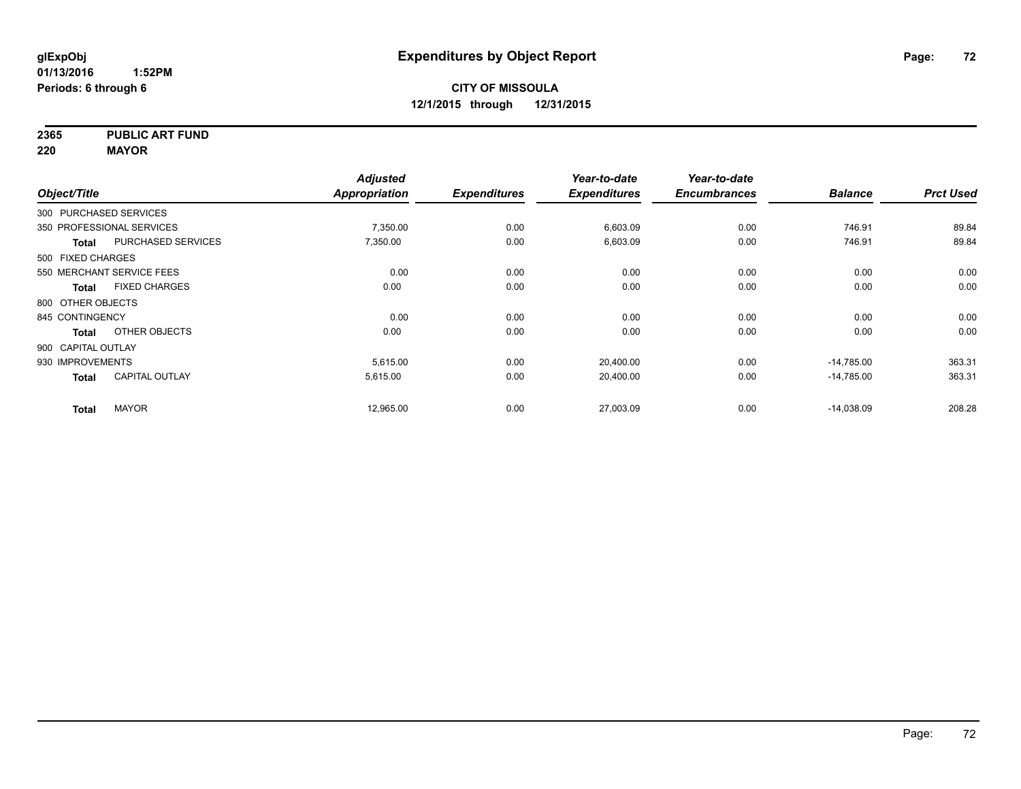**2365 PUBLIC ART FUND**

**220 MAYOR**

|                        |                           | <b>Adjusted</b>      |                     | Year-to-date        | Year-to-date        |                |                  |
|------------------------|---------------------------|----------------------|---------------------|---------------------|---------------------|----------------|------------------|
| Object/Title           |                           | <b>Appropriation</b> | <b>Expenditures</b> | <b>Expenditures</b> | <b>Encumbrances</b> | <b>Balance</b> | <b>Prct Used</b> |
| 300 PURCHASED SERVICES |                           |                      |                     |                     |                     |                |                  |
|                        | 350 PROFESSIONAL SERVICES | 7,350.00             | 0.00                | 6,603.09            | 0.00                | 746.91         | 89.84            |
| <b>Total</b>           | <b>PURCHASED SERVICES</b> | 7,350.00             | 0.00                | 6,603.09            | 0.00                | 746.91         | 89.84            |
| 500 FIXED CHARGES      |                           |                      |                     |                     |                     |                |                  |
|                        | 550 MERCHANT SERVICE FEES | 0.00                 | 0.00                | 0.00                | 0.00                | 0.00           | 0.00             |
| Total                  | <b>FIXED CHARGES</b>      | 0.00                 | 0.00                | 0.00                | 0.00                | 0.00           | 0.00             |
| 800 OTHER OBJECTS      |                           |                      |                     |                     |                     |                |                  |
| 845 CONTINGENCY        |                           | 0.00                 | 0.00                | 0.00                | 0.00                | 0.00           | 0.00             |
| <b>Total</b>           | OTHER OBJECTS             | 0.00                 | 0.00                | 0.00                | 0.00                | 0.00           | 0.00             |
| 900 CAPITAL OUTLAY     |                           |                      |                     |                     |                     |                |                  |
| 930 IMPROVEMENTS       |                           | 5,615.00             | 0.00                | 20,400.00           | 0.00                | $-14,785.00$   | 363.31           |
| <b>Total</b>           | <b>CAPITAL OUTLAY</b>     | 5,615.00             | 0.00                | 20,400.00           | 0.00                | $-14,785.00$   | 363.31           |
| <b>Total</b>           | <b>MAYOR</b>              | 12,965.00            | 0.00                | 27,003.09           | 0.00                | $-14,038.09$   | 208.28           |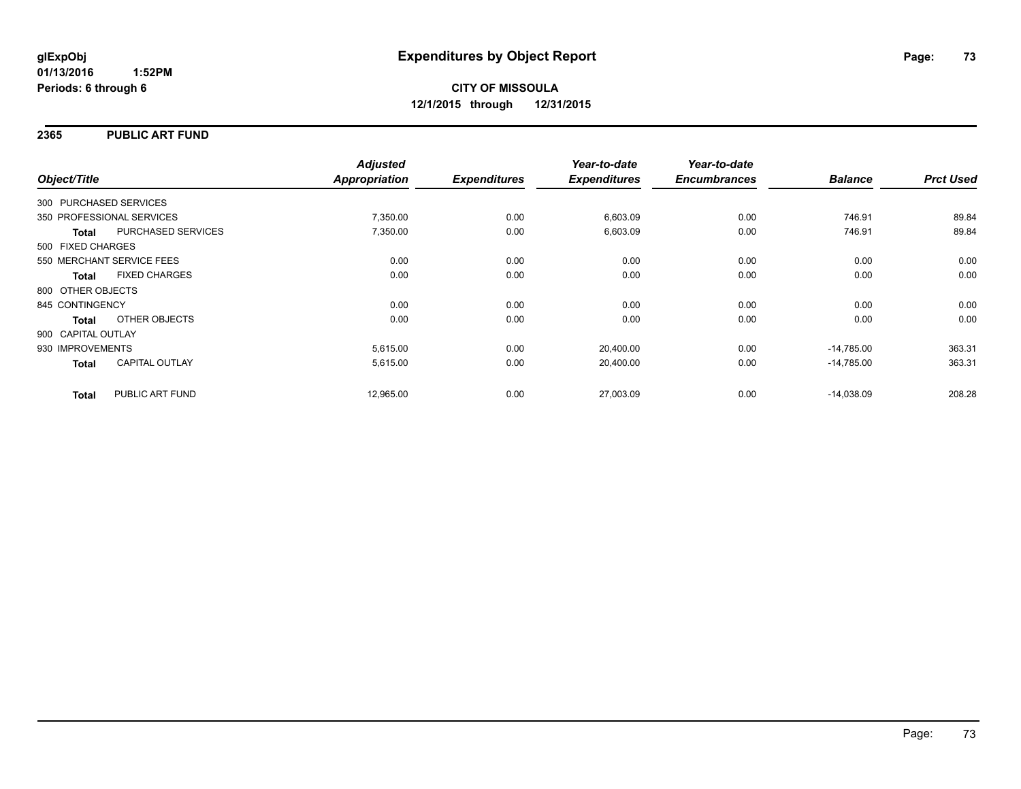### **2365 PUBLIC ART FUND**

|                        |                           | <b>Adjusted</b>      |                     | Year-to-date        | Year-to-date        |                |                  |
|------------------------|---------------------------|----------------------|---------------------|---------------------|---------------------|----------------|------------------|
| Object/Title           |                           | <b>Appropriation</b> | <b>Expenditures</b> | <b>Expenditures</b> | <b>Encumbrances</b> | <b>Balance</b> | <b>Prct Used</b> |
| 300 PURCHASED SERVICES |                           |                      |                     |                     |                     |                |                  |
|                        | 350 PROFESSIONAL SERVICES | 7,350.00             | 0.00                | 6,603.09            | 0.00                | 746.91         | 89.84            |
| <b>Total</b>           | PURCHASED SERVICES        | 7,350.00             | 0.00                | 6,603.09            | 0.00                | 746.91         | 89.84            |
| 500 FIXED CHARGES      |                           |                      |                     |                     |                     |                |                  |
|                        | 550 MERCHANT SERVICE FEES | 0.00                 | 0.00                | 0.00                | 0.00                | 0.00           | 0.00             |
| <b>Total</b>           | <b>FIXED CHARGES</b>      | 0.00                 | 0.00                | 0.00                | 0.00                | 0.00           | 0.00             |
| 800 OTHER OBJECTS      |                           |                      |                     |                     |                     |                |                  |
| 845 CONTINGENCY        |                           | 0.00                 | 0.00                | 0.00                | 0.00                | 0.00           | 0.00             |
| Total                  | OTHER OBJECTS             | 0.00                 | 0.00                | 0.00                | 0.00                | 0.00           | 0.00             |
| 900 CAPITAL OUTLAY     |                           |                      |                     |                     |                     |                |                  |
| 930 IMPROVEMENTS       |                           | 5,615.00             | 0.00                | 20,400.00           | 0.00                | $-14.785.00$   | 363.31           |
| <b>Total</b>           | <b>CAPITAL OUTLAY</b>     | 5,615.00             | 0.00                | 20,400.00           | 0.00                | $-14.785.00$   | 363.31           |
| <b>Total</b>           | PUBLIC ART FUND           | 12,965.00            | 0.00                | 27,003.09           | 0.00                | $-14.038.09$   | 208.28           |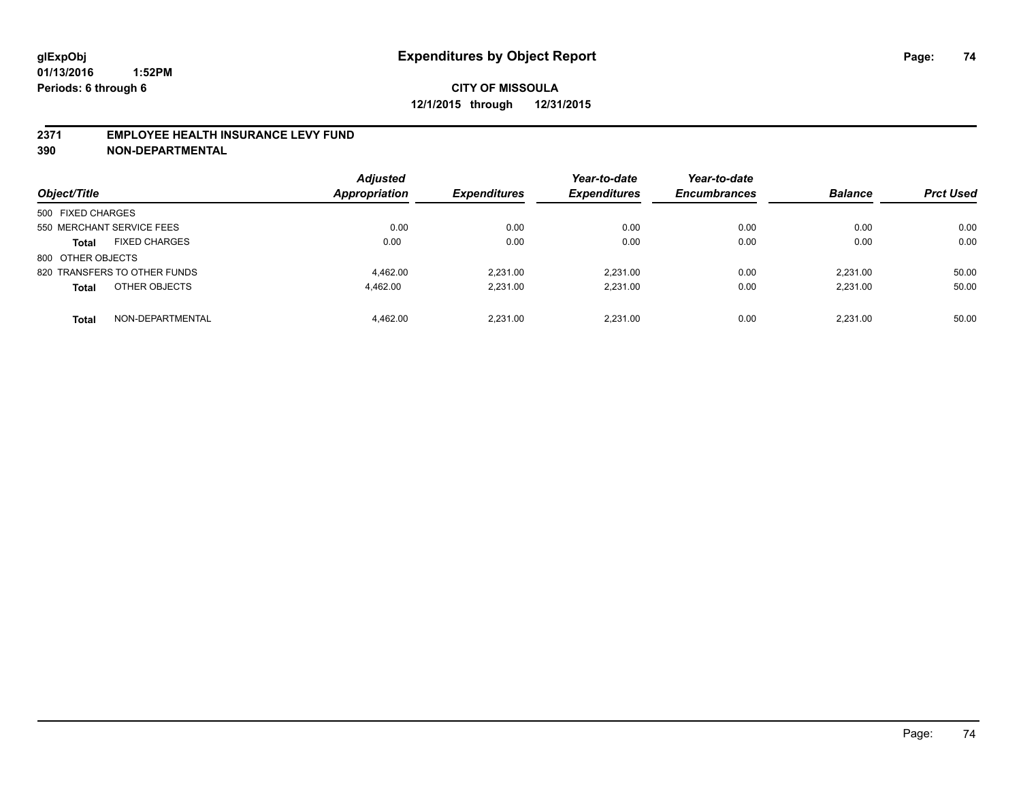### **2371 EMPLOYEE HEALTH INSURANCE LEVY FUND**

**390 NON-DEPARTMENTAL**

| Object/Title                         | <b>Adjusted</b><br><b>Appropriation</b> | <b>Expenditures</b> | Year-to-date<br><b>Expenditures</b> | Year-to-date<br><b>Encumbrances</b> | <b>Balance</b> | <b>Prct Used</b> |
|--------------------------------------|-----------------------------------------|---------------------|-------------------------------------|-------------------------------------|----------------|------------------|
| 500 FIXED CHARGES                    |                                         |                     |                                     |                                     |                |                  |
| 550 MERCHANT SERVICE FEES            | 0.00                                    | 0.00                | 0.00                                | 0.00                                | 0.00           | 0.00             |
| <b>FIXED CHARGES</b><br><b>Total</b> | 0.00                                    | 0.00                | 0.00                                | 0.00                                | 0.00           | 0.00             |
| 800 OTHER OBJECTS                    |                                         |                     |                                     |                                     |                |                  |
| 820 TRANSFERS TO OTHER FUNDS         | 4.462.00                                | 2.231.00            | 2.231.00                            | 0.00                                | 2.231.00       | 50.00            |
| OTHER OBJECTS<br><b>Total</b>        | 4.462.00                                | 2.231.00            | 2.231.00                            | 0.00                                | 2.231.00       | 50.00            |
| NON-DEPARTMENTAL<br><b>Total</b>     | 4.462.00                                | 2.231.00            | 2.231.00                            | 0.00                                | 2.231.00       | 50.00            |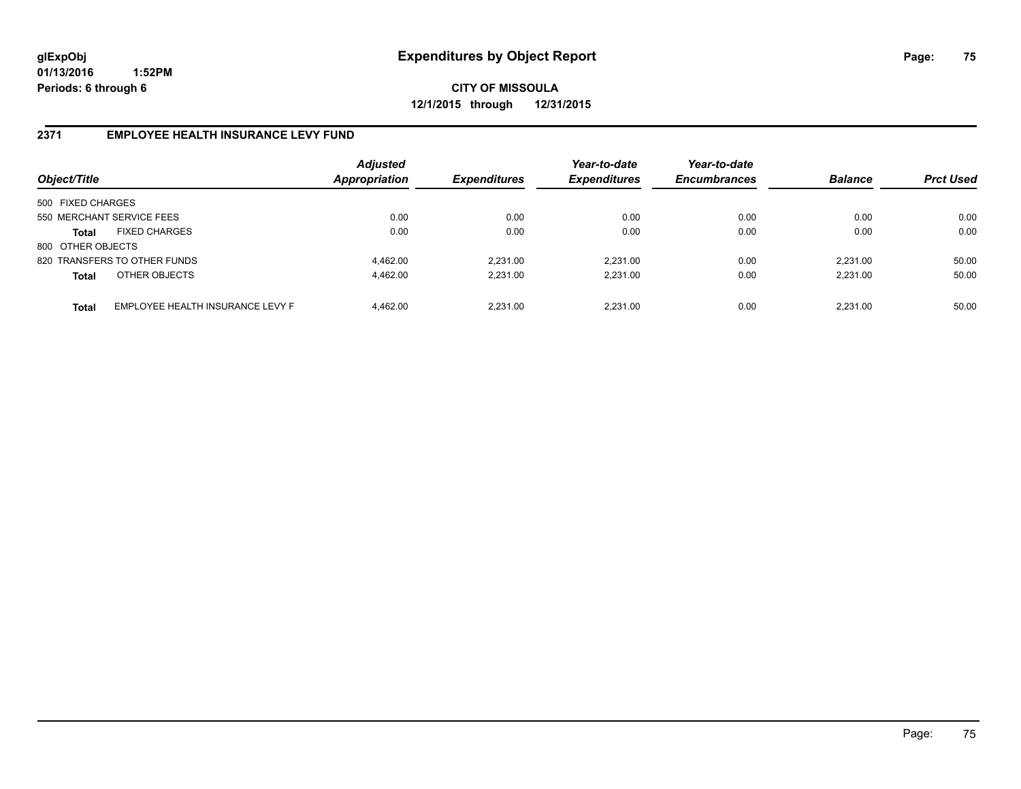**CITY OF MISSOULA 12/1/2015 through 12/31/2015**

### **2371 EMPLOYEE HEALTH INSURANCE LEVY FUND**

| Object/Title      |                                  | <b>Adjusted</b><br><b>Appropriation</b> | <b>Expenditures</b> | Year-to-date<br><b>Expenditures</b> | Year-to-date<br><b>Encumbrances</b> | <b>Balance</b> | <b>Prct Used</b> |
|-------------------|----------------------------------|-----------------------------------------|---------------------|-------------------------------------|-------------------------------------|----------------|------------------|
| 500 FIXED CHARGES |                                  |                                         |                     |                                     |                                     |                |                  |
|                   | 550 MERCHANT SERVICE FEES        | 0.00                                    | 0.00                | 0.00                                | 0.00                                | 0.00           | 0.00             |
| Total             | <b>FIXED CHARGES</b>             | 0.00                                    | 0.00                | 0.00                                | 0.00                                | 0.00           | 0.00             |
| 800 OTHER OBJECTS |                                  |                                         |                     |                                     |                                     |                |                  |
|                   | 820 TRANSFERS TO OTHER FUNDS     | 4.462.00                                | 2.231.00            | 2.231.00                            | 0.00                                | 2.231.00       | 50.00            |
| <b>Total</b>      | OTHER OBJECTS                    | 4.462.00                                | 2,231.00            | 2,231.00                            | 0.00                                | 2,231.00       | 50.00            |
| <b>Total</b>      | EMPLOYEE HEALTH INSURANCE LEVY F | 4.462.00                                | 2.231.00            | 2.231.00                            | 0.00                                | 2.231.00       | 50.00            |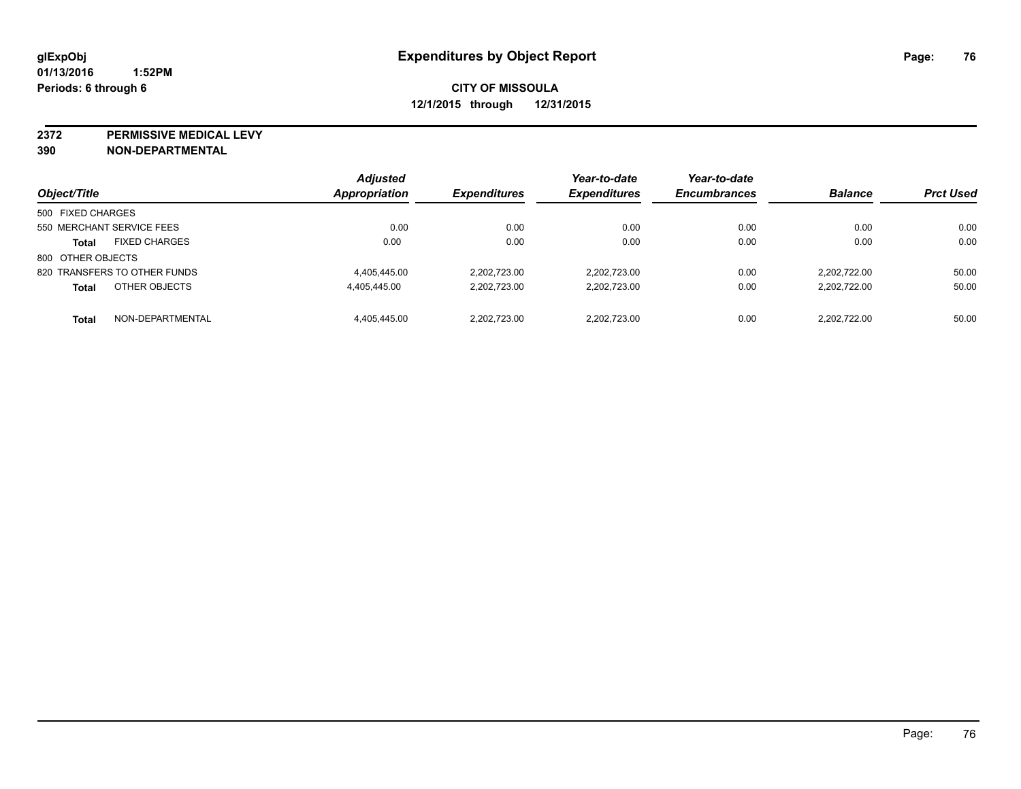**2372 PERMISSIVE MEDICAL LEVY**

**390 NON-DEPARTMENTAL**

| Object/Title                         | <b>Adjusted</b><br>Appropriation | <b>Expenditures</b> | Year-to-date<br><b>Expenditures</b> | Year-to-date<br><b>Encumbrances</b> | <b>Balance</b> | <b>Prct Used</b> |
|--------------------------------------|----------------------------------|---------------------|-------------------------------------|-------------------------------------|----------------|------------------|
| 500 FIXED CHARGES                    |                                  |                     |                                     |                                     |                |                  |
| 550 MERCHANT SERVICE FEES            | 0.00                             | 0.00                | 0.00                                | 0.00                                | 0.00           | 0.00             |
| <b>FIXED CHARGES</b><br><b>Total</b> | 0.00                             | 0.00                | 0.00                                | 0.00                                | 0.00           | 0.00             |
| 800 OTHER OBJECTS                    |                                  |                     |                                     |                                     |                |                  |
| 820 TRANSFERS TO OTHER FUNDS         | 4.405.445.00                     | 2.202.723.00        | 2.202.723.00                        | 0.00                                | 2.202.722.00   | 50.00            |
| OTHER OBJECTS<br><b>Total</b>        | 4,405,445.00                     | 2,202,723.00        | 2.202.723.00                        | 0.00                                | 2.202.722.00   | 50.00            |
| NON-DEPARTMENTAL<br><b>Total</b>     | 4.405.445.00                     | 2.202.723.00        | 2.202.723.00                        | 0.00                                | 2.202.722.00   | 50.00            |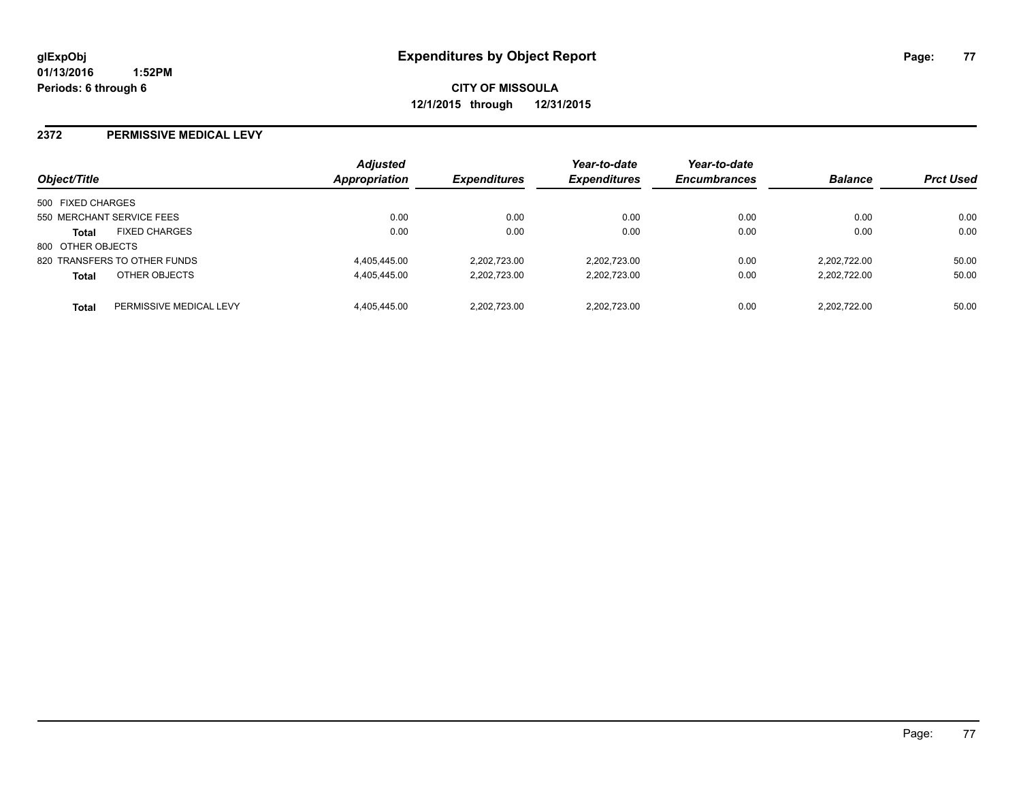#### **2372 PERMISSIVE MEDICAL LEVY**

| Object/Title                            | <b>Adjusted</b><br>Appropriation | <b>Expenditures</b> | Year-to-date<br><b>Expenditures</b> | Year-to-date<br><b>Encumbrances</b> | <b>Balance</b> | <b>Prct Used</b> |
|-----------------------------------------|----------------------------------|---------------------|-------------------------------------|-------------------------------------|----------------|------------------|
| 500 FIXED CHARGES                       |                                  |                     |                                     |                                     |                |                  |
| 550 MERCHANT SERVICE FEES               | 0.00                             | 0.00                | 0.00                                | 0.00                                | 0.00           | 0.00             |
| <b>FIXED CHARGES</b><br><b>Total</b>    | 0.00                             | 0.00                | 0.00                                | 0.00                                | 0.00           | 0.00             |
| 800 OTHER OBJECTS                       |                                  |                     |                                     |                                     |                |                  |
| 820 TRANSFERS TO OTHER FUNDS            | 4.405.445.00                     | 2.202.723.00        | 2.202.723.00                        | 0.00                                | 2.202.722.00   | 50.00            |
| OTHER OBJECTS<br><b>Total</b>           | 4,405,445.00                     | 2,202,723.00        | 2,202,723.00                        | 0.00                                | 2,202,722.00   | 50.00            |
| PERMISSIVE MEDICAL LEVY<br><b>Total</b> | 4.405.445.00                     | 2.202.723.00        | 2.202.723.00                        | 0.00                                | 2.202.722.00   | 50.00            |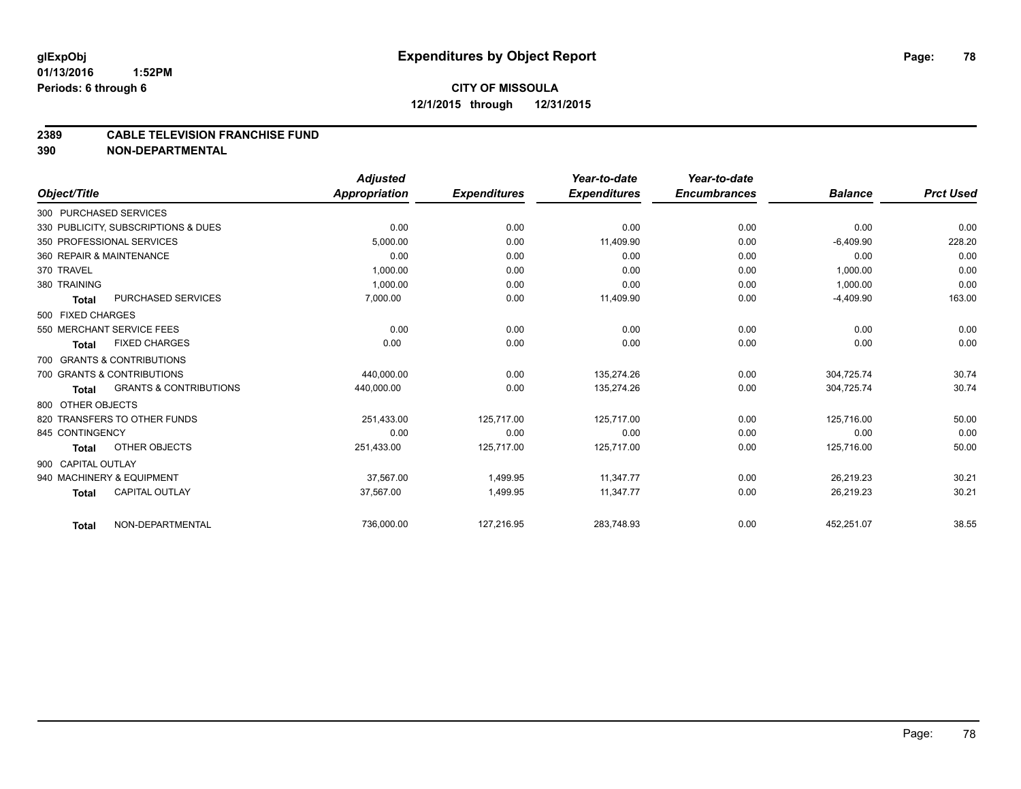#### **2389 CABLE TELEVISION FRANCHISE FUND**

**390 NON-DEPARTMENTAL**

|                    |                                     | <b>Adjusted</b> |                     | Year-to-date        | Year-to-date        |                |                  |
|--------------------|-------------------------------------|-----------------|---------------------|---------------------|---------------------|----------------|------------------|
| Object/Title       |                                     | Appropriation   | <b>Expenditures</b> | <b>Expenditures</b> | <b>Encumbrances</b> | <b>Balance</b> | <b>Prct Used</b> |
|                    | 300 PURCHASED SERVICES              |                 |                     |                     |                     |                |                  |
|                    | 330 PUBLICITY, SUBSCRIPTIONS & DUES | 0.00            | 0.00                | 0.00                | 0.00                | 0.00           | 0.00             |
|                    | 350 PROFESSIONAL SERVICES           | 5.000.00        | 0.00                | 11.409.90           | 0.00                | $-6,409.90$    | 228.20           |
|                    | 360 REPAIR & MAINTENANCE            | 0.00            | 0.00                | 0.00                | 0.00                | 0.00           | 0.00             |
| 370 TRAVEL         |                                     | 1,000.00        | 0.00                | 0.00                | 0.00                | 1,000.00       | 0.00             |
| 380 TRAINING       |                                     | 1.000.00        | 0.00                | 0.00                | 0.00                | 1,000.00       | 0.00             |
| <b>Total</b>       | <b>PURCHASED SERVICES</b>           | 7,000.00        | 0.00                | 11,409.90           | 0.00                | $-4,409.90$    | 163.00           |
| 500 FIXED CHARGES  |                                     |                 |                     |                     |                     |                |                  |
|                    | 550 MERCHANT SERVICE FEES           | 0.00            | 0.00                | 0.00                | 0.00                | 0.00           | 0.00             |
| Total              | <b>FIXED CHARGES</b>                | 0.00            | 0.00                | 0.00                | 0.00                | 0.00           | 0.00             |
|                    | 700 GRANTS & CONTRIBUTIONS          |                 |                     |                     |                     |                |                  |
|                    | 700 GRANTS & CONTRIBUTIONS          | 440,000.00      | 0.00                | 135,274.26          | 0.00                | 304,725.74     | 30.74            |
| <b>Total</b>       | <b>GRANTS &amp; CONTRIBUTIONS</b>   | 440,000.00      | 0.00                | 135,274.26          | 0.00                | 304,725.74     | 30.74            |
| 800 OTHER OBJECTS  |                                     |                 |                     |                     |                     |                |                  |
|                    | 820 TRANSFERS TO OTHER FUNDS        | 251,433.00      | 125,717.00          | 125,717.00          | 0.00                | 125,716.00     | 50.00            |
| 845 CONTINGENCY    |                                     | 0.00            | 0.00                | 0.00                | 0.00                | 0.00           | 0.00             |
| <b>Total</b>       | OTHER OBJECTS                       | 251,433.00      | 125,717.00          | 125,717.00          | 0.00                | 125,716.00     | 50.00            |
| 900 CAPITAL OUTLAY |                                     |                 |                     |                     |                     |                |                  |
|                    | 940 MACHINERY & EQUIPMENT           | 37.567.00       | 1,499.95            | 11.347.77           | 0.00                | 26,219.23      | 30.21            |
| <b>Total</b>       | <b>CAPITAL OUTLAY</b>               | 37,567.00       | 1,499.95            | 11,347.77           | 0.00                | 26,219.23      | 30.21            |
| <b>Total</b>       | NON-DEPARTMENTAL                    | 736,000.00      | 127,216.95          | 283,748.93          | 0.00                | 452,251.07     | 38.55            |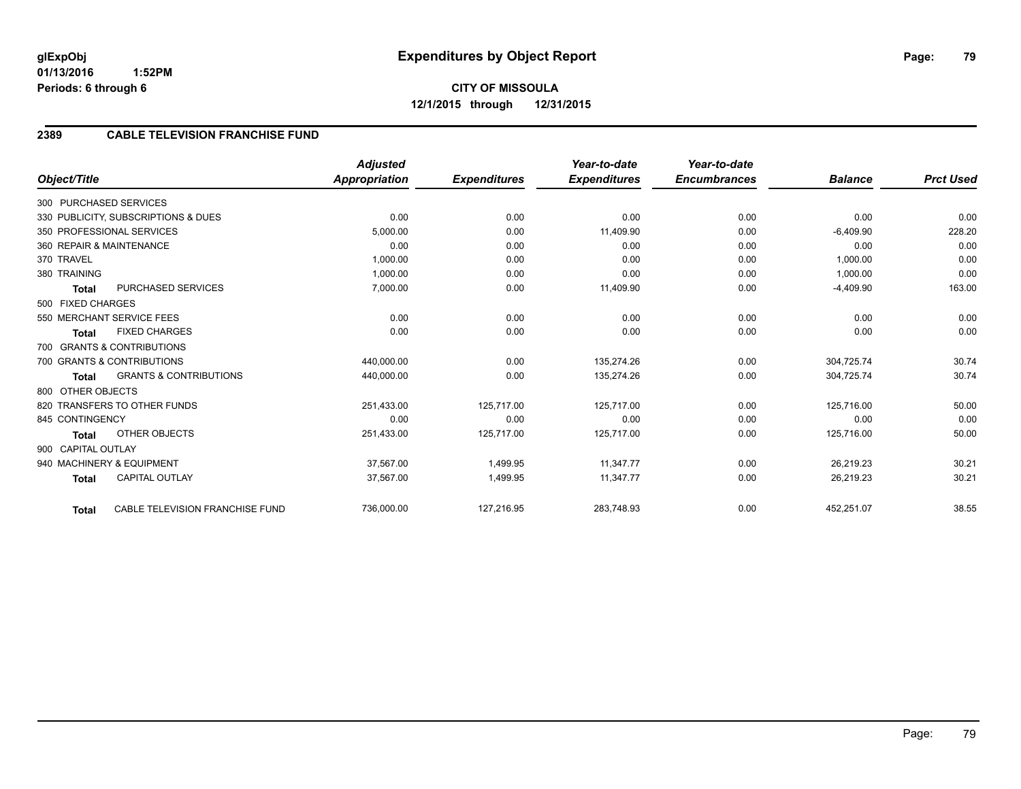## **2389 CABLE TELEVISION FRANCHISE FUND**

|              |                                                   | <b>Adjusted</b>      |                     | Year-to-date        | Year-to-date        |                |                  |
|--------------|---------------------------------------------------|----------------------|---------------------|---------------------|---------------------|----------------|------------------|
| Object/Title |                                                   | <b>Appropriation</b> | <b>Expenditures</b> | <b>Expenditures</b> | <b>Encumbrances</b> | <b>Balance</b> | <b>Prct Used</b> |
|              | 300 PURCHASED SERVICES                            |                      |                     |                     |                     |                |                  |
|              | 330 PUBLICITY, SUBSCRIPTIONS & DUES               | 0.00                 | 0.00                | 0.00                | 0.00                | 0.00           | 0.00             |
|              | 350 PROFESSIONAL SERVICES                         | 5,000.00             | 0.00                | 11,409.90           | 0.00                | $-6,409.90$    | 228.20           |
|              | 360 REPAIR & MAINTENANCE                          | 0.00                 | 0.00                | 0.00                | 0.00                | 0.00           | 0.00             |
| 370 TRAVEL   |                                                   | 1,000.00             | 0.00                | 0.00                | 0.00                | 1,000.00       | 0.00             |
| 380 TRAINING |                                                   | 1,000.00             | 0.00                | 0.00                | 0.00                | 1,000.00       | 0.00             |
|              | PURCHASED SERVICES<br><b>Total</b>                | 7,000.00             | 0.00                | 11,409.90           | 0.00                | $-4,409.90$    | 163.00           |
|              | 500 FIXED CHARGES                                 |                      |                     |                     |                     |                |                  |
|              | 550 MERCHANT SERVICE FEES                         | 0.00                 | 0.00                | 0.00                | 0.00                | 0.00           | 0.00             |
|              | <b>FIXED CHARGES</b><br><b>Total</b>              | 0.00                 | 0.00                | 0.00                | 0.00                | 0.00           | 0.00             |
|              | 700 GRANTS & CONTRIBUTIONS                        |                      |                     |                     |                     |                |                  |
|              | 700 GRANTS & CONTRIBUTIONS                        | 440,000.00           | 0.00                | 135,274.26          | 0.00                | 304,725.74     | 30.74            |
|              | <b>GRANTS &amp; CONTRIBUTIONS</b><br><b>Total</b> | 440,000.00           | 0.00                | 135,274.26          | 0.00                | 304,725.74     | 30.74            |
|              | 800 OTHER OBJECTS                                 |                      |                     |                     |                     |                |                  |
|              | 820 TRANSFERS TO OTHER FUNDS                      | 251,433.00           | 125,717.00          | 125,717.00          | 0.00                | 125,716.00     | 50.00            |
|              | 845 CONTINGENCY                                   | 0.00                 | 0.00                | 0.00                | 0.00                | 0.00           | 0.00             |
|              | OTHER OBJECTS<br><b>Total</b>                     | 251,433.00           | 125,717.00          | 125,717.00          | 0.00                | 125,716.00     | 50.00            |
|              | 900 CAPITAL OUTLAY                                |                      |                     |                     |                     |                |                  |
|              | 940 MACHINERY & EQUIPMENT                         | 37,567.00            | 1,499.95            | 11.347.77           | 0.00                | 26,219.23      | 30.21            |
|              | <b>CAPITAL OUTLAY</b><br><b>Total</b>             | 37,567.00            | 1,499.95            | 11,347.77           | 0.00                | 26,219.23      | 30.21            |
|              | CABLE TELEVISION FRANCHISE FUND<br><b>Total</b>   | 736,000.00           | 127,216.95          | 283,748.93          | 0.00                | 452,251.07     | 38.55            |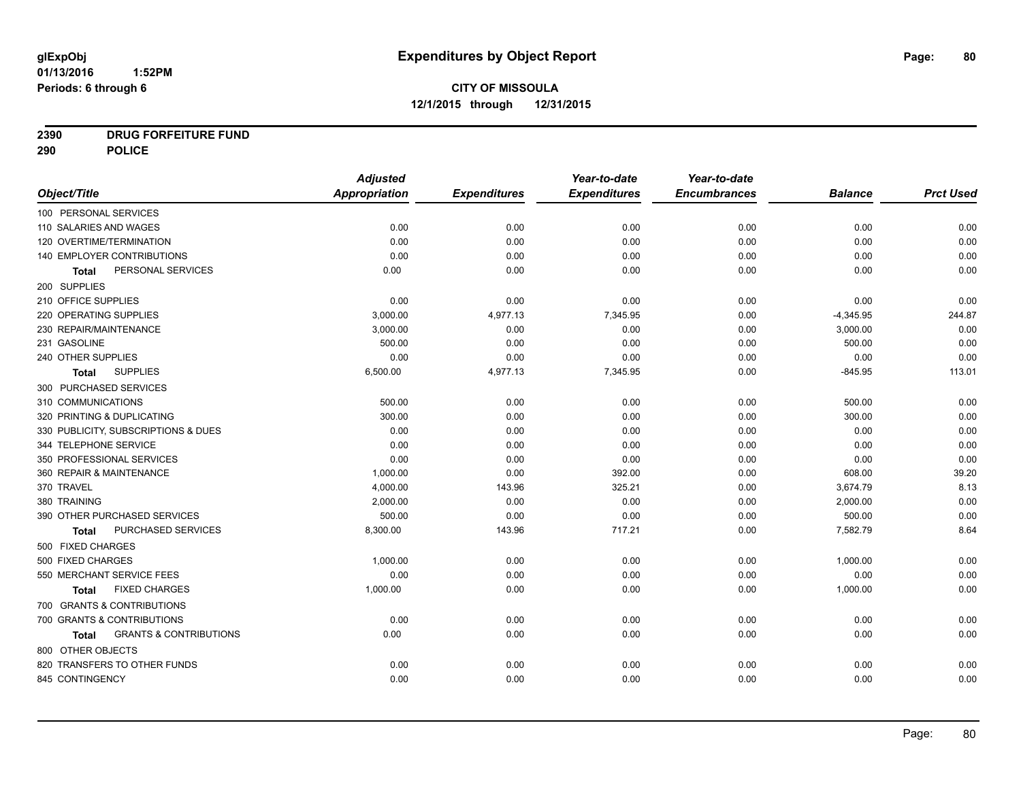# **2390 DRUG FORFEITURE FUND**

**290 POLICE**

|                                            | <b>Adjusted</b> |                     | Year-to-date        | Year-to-date        |                |                  |
|--------------------------------------------|-----------------|---------------------|---------------------|---------------------|----------------|------------------|
| Object/Title                               | Appropriation   | <b>Expenditures</b> | <b>Expenditures</b> | <b>Encumbrances</b> | <b>Balance</b> | <b>Prct Used</b> |
| 100 PERSONAL SERVICES                      |                 |                     |                     |                     |                |                  |
| 110 SALARIES AND WAGES                     | 0.00            | 0.00                | 0.00                | 0.00                | 0.00           | 0.00             |
| 120 OVERTIME/TERMINATION                   | 0.00            | 0.00                | 0.00                | 0.00                | 0.00           | 0.00             |
| 140 EMPLOYER CONTRIBUTIONS                 | 0.00            | 0.00                | 0.00                | 0.00                | 0.00           | 0.00             |
| PERSONAL SERVICES<br>Total                 | 0.00            | 0.00                | 0.00                | 0.00                | 0.00           | 0.00             |
| 200 SUPPLIES                               |                 |                     |                     |                     |                |                  |
| 210 OFFICE SUPPLIES                        | 0.00            | 0.00                | 0.00                | 0.00                | 0.00           | 0.00             |
| 220 OPERATING SUPPLIES                     | 3,000.00        | 4,977.13            | 7,345.95            | 0.00                | $-4,345.95$    | 244.87           |
| 230 REPAIR/MAINTENANCE                     | 3,000.00        | 0.00                | 0.00                | 0.00                | 3,000.00       | 0.00             |
| 231 GASOLINE                               | 500.00          | 0.00                | 0.00                | 0.00                | 500.00         | 0.00             |
| 240 OTHER SUPPLIES                         | 0.00            | 0.00                | 0.00                | 0.00                | 0.00           | 0.00             |
| <b>SUPPLIES</b><br>Total                   | 6,500.00        | 4,977.13            | 7,345.95            | 0.00                | $-845.95$      | 113.01           |
| 300 PURCHASED SERVICES                     |                 |                     |                     |                     |                |                  |
| 310 COMMUNICATIONS                         | 500.00          | 0.00                | 0.00                | 0.00                | 500.00         | 0.00             |
| 320 PRINTING & DUPLICATING                 | 300.00          | 0.00                | 0.00                | 0.00                | 300.00         | 0.00             |
| 330 PUBLICITY, SUBSCRIPTIONS & DUES        | 0.00            | 0.00                | 0.00                | 0.00                | 0.00           | 0.00             |
| 344 TELEPHONE SERVICE                      | 0.00            | 0.00                | 0.00                | 0.00                | 0.00           | 0.00             |
| 350 PROFESSIONAL SERVICES                  | 0.00            | 0.00                | 0.00                | 0.00                | 0.00           | 0.00             |
| 360 REPAIR & MAINTENANCE                   | 1,000.00        | 0.00                | 392.00              | 0.00                | 608.00         | 39.20            |
| 370 TRAVEL                                 | 4,000.00        | 143.96              | 325.21              | 0.00                | 3,674.79       | 8.13             |
| 380 TRAINING                               | 2.000.00        | 0.00                | 0.00                | 0.00                | 2,000.00       | 0.00             |
| 390 OTHER PURCHASED SERVICES               | 500.00          | 0.00                | 0.00                | 0.00                | 500.00         | 0.00             |
| PURCHASED SERVICES<br><b>Total</b>         | 8,300.00        | 143.96              | 717.21              | 0.00                | 7,582.79       | 8.64             |
| 500 FIXED CHARGES                          |                 |                     |                     |                     |                |                  |
| 500 FIXED CHARGES                          | 1,000.00        | 0.00                | 0.00                | 0.00                | 1,000.00       | 0.00             |
| 550 MERCHANT SERVICE FEES                  | 0.00            | 0.00                | 0.00                | 0.00                | 0.00           | 0.00             |
| <b>FIXED CHARGES</b><br>Total              | 1,000.00        | 0.00                | 0.00                | 0.00                | 1,000.00       | 0.00             |
| 700 GRANTS & CONTRIBUTIONS                 |                 |                     |                     |                     |                |                  |
| 700 GRANTS & CONTRIBUTIONS                 | 0.00            | 0.00                | 0.00                | 0.00                | 0.00           | 0.00             |
| <b>GRANTS &amp; CONTRIBUTIONS</b><br>Total | 0.00            | 0.00                | 0.00                | 0.00                | 0.00           | 0.00             |
| 800 OTHER OBJECTS                          |                 |                     |                     |                     |                |                  |
| 820 TRANSFERS TO OTHER FUNDS               | 0.00            | 0.00                | 0.00                | 0.00                | 0.00           | 0.00             |
| 845 CONTINGENCY                            | 0.00            | 0.00                | 0.00                | 0.00                | 0.00           | 0.00             |
|                                            |                 |                     |                     |                     |                |                  |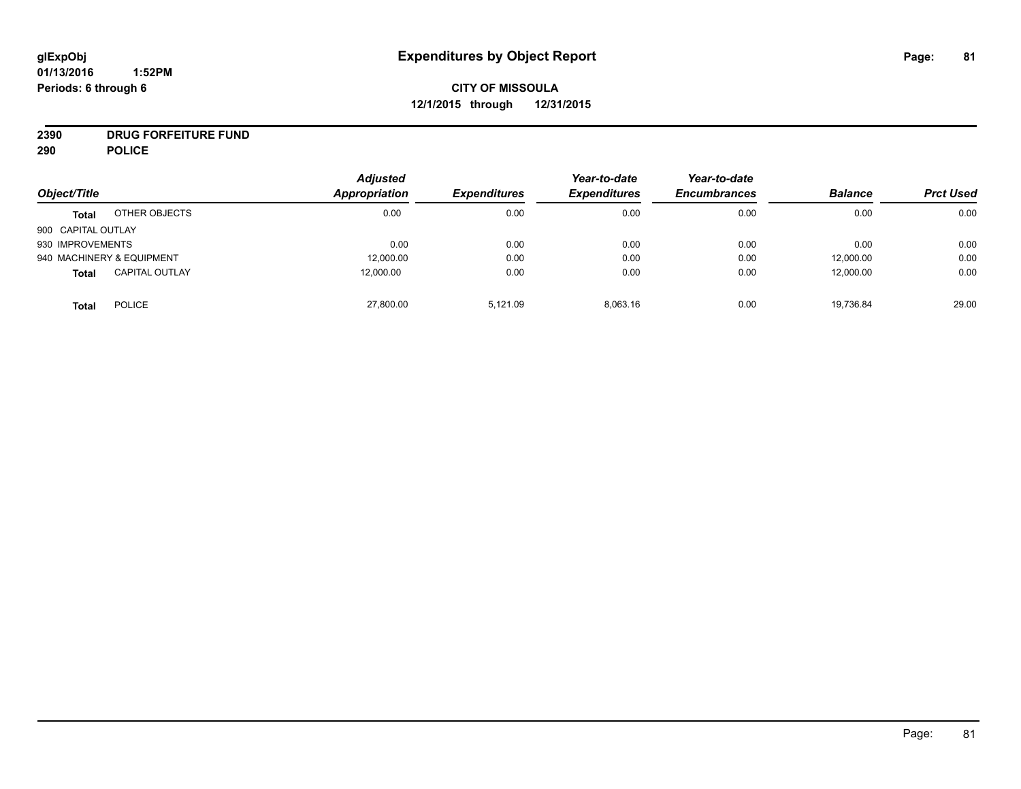# **CITY OF MISSOULA 12/1/2015 through 12/31/2015**

# **2390 DRUG FORFEITURE FUND**

**290 POLICE**

|                    |                           | <b>Adjusted</b> |                     | Year-to-date        | Year-to-date        |                |                  |
|--------------------|---------------------------|-----------------|---------------------|---------------------|---------------------|----------------|------------------|
| Object/Title       |                           | Appropriation   | <b>Expenditures</b> | <b>Expenditures</b> | <b>Encumbrances</b> | <b>Balance</b> | <b>Prct Used</b> |
| <b>Total</b>       | OTHER OBJECTS             | 0.00            | 0.00                | 0.00                | 0.00                | 0.00           | 0.00             |
| 900 CAPITAL OUTLAY |                           |                 |                     |                     |                     |                |                  |
| 930 IMPROVEMENTS   |                           | 0.00            | 0.00                | 0.00                | 0.00                | 0.00           | 0.00             |
|                    | 940 MACHINERY & EQUIPMENT | 12,000.00       | 0.00                | 0.00                | 0.00                | 12,000.00      | 0.00             |
| <b>Total</b>       | <b>CAPITAL OUTLAY</b>     | 12,000.00       | 0.00                | 0.00                | 0.00                | 12,000.00      | 0.00             |
| <b>Total</b>       | <b>POLICE</b>             | 27,800.00       | 5.121.09            | 8,063.16            | 0.00                | 19,736.84      | 29.00            |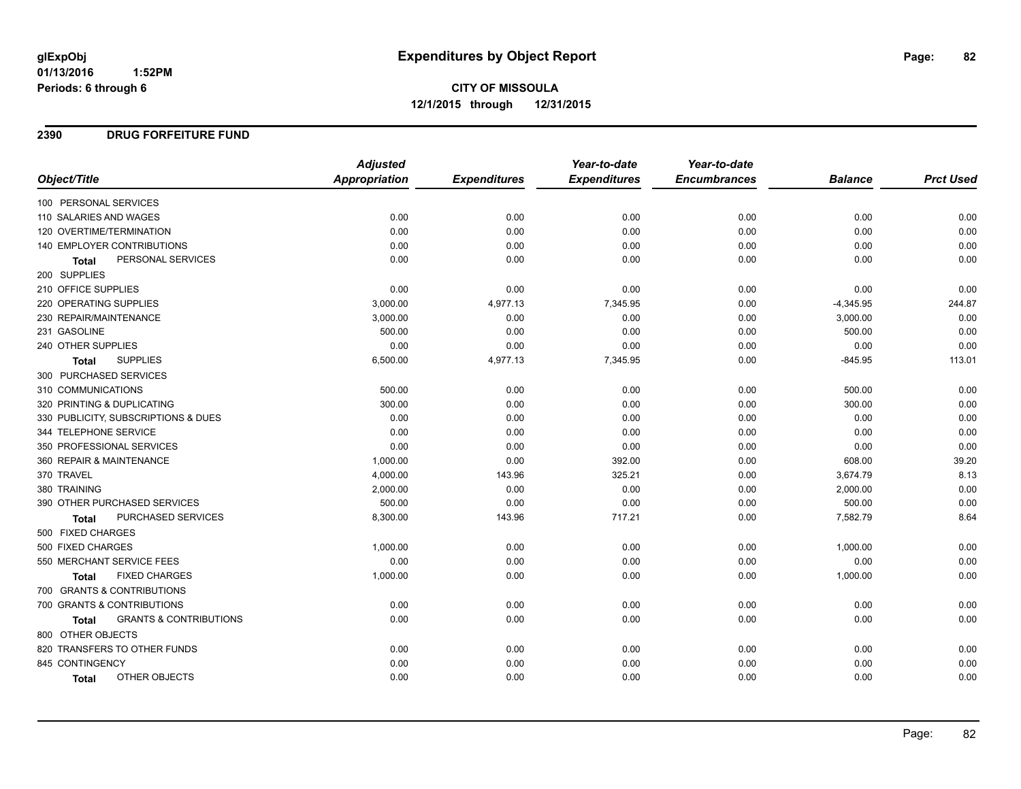**CITY OF MISSOULA 12/1/2015 through 12/31/2015**

### **2390 DRUG FORFEITURE FUND**

|                                            | <b>Adjusted</b> |                     | Year-to-date        | Year-to-date        |                |                  |
|--------------------------------------------|-----------------|---------------------|---------------------|---------------------|----------------|------------------|
| Object/Title                               | Appropriation   | <b>Expenditures</b> | <b>Expenditures</b> | <b>Encumbrances</b> | <b>Balance</b> | <b>Prct Used</b> |
| 100 PERSONAL SERVICES                      |                 |                     |                     |                     |                |                  |
| 110 SALARIES AND WAGES                     | 0.00            | 0.00                | 0.00                | 0.00                | 0.00           | 0.00             |
| 120 OVERTIME/TERMINATION                   | 0.00            | 0.00                | 0.00                | 0.00                | 0.00           | 0.00             |
| 140 EMPLOYER CONTRIBUTIONS                 | 0.00            | 0.00                | 0.00                | 0.00                | 0.00           | 0.00             |
| PERSONAL SERVICES<br><b>Total</b>          | 0.00            | 0.00                | 0.00                | 0.00                | 0.00           | 0.00             |
| 200 SUPPLIES                               |                 |                     |                     |                     |                |                  |
| 210 OFFICE SUPPLIES                        | 0.00            | 0.00                | 0.00                | 0.00                | 0.00           | 0.00             |
| <b>220 OPERATING SUPPLIES</b>              | 3,000.00        | 4,977.13            | 7,345.95            | 0.00                | $-4,345.95$    | 244.87           |
| 230 REPAIR/MAINTENANCE                     | 3,000.00        | 0.00                | 0.00                | 0.00                | 3,000.00       | 0.00             |
| 231 GASOLINE                               | 500.00          | 0.00                | 0.00                | 0.00                | 500.00         | 0.00             |
| 240 OTHER SUPPLIES                         | 0.00            | 0.00                | 0.00                | 0.00                | 0.00           | 0.00             |
| <b>SUPPLIES</b><br>Total                   | 6,500.00        | 4,977.13            | 7,345.95            | 0.00                | $-845.95$      | 113.01           |
| 300 PURCHASED SERVICES                     |                 |                     |                     |                     |                |                  |
| 310 COMMUNICATIONS                         | 500.00          | 0.00                | 0.00                | 0.00                | 500.00         | 0.00             |
| 320 PRINTING & DUPLICATING                 | 300.00          | 0.00                | 0.00                | 0.00                | 300.00         | 0.00             |
| 330 PUBLICITY, SUBSCRIPTIONS & DUES        | 0.00            | 0.00                | 0.00                | 0.00                | 0.00           | 0.00             |
| 344 TELEPHONE SERVICE                      | 0.00            | 0.00                | 0.00                | 0.00                | 0.00           | 0.00             |
| 350 PROFESSIONAL SERVICES                  | 0.00            | 0.00                | 0.00                | 0.00                | 0.00           | 0.00             |
| 360 REPAIR & MAINTENANCE                   | 1,000.00        | 0.00                | 392.00              | 0.00                | 608.00         | 39.20            |
| 370 TRAVEL                                 | 4,000.00        | 143.96              | 325.21              | 0.00                | 3,674.79       | 8.13             |
| 380 TRAINING                               | 2,000.00        | 0.00                | 0.00                | 0.00                | 2,000.00       | 0.00             |
| 390 OTHER PURCHASED SERVICES               | 500.00          | 0.00                | 0.00                | 0.00                | 500.00         | 0.00             |
| PURCHASED SERVICES<br><b>Total</b>         | 8,300.00        | 143.96              | 717.21              | 0.00                | 7,582.79       | 8.64             |
| 500 FIXED CHARGES                          |                 |                     |                     |                     |                |                  |
| 500 FIXED CHARGES                          | 1,000.00        | 0.00                | 0.00                | 0.00                | 1,000.00       | 0.00             |
| 550 MERCHANT SERVICE FEES                  | 0.00            | 0.00                | 0.00                | 0.00                | 0.00           | 0.00             |
| <b>FIXED CHARGES</b><br><b>Total</b>       | 1,000.00        | 0.00                | 0.00                | 0.00                | 1,000.00       | 0.00             |
| 700 GRANTS & CONTRIBUTIONS                 |                 |                     |                     |                     |                |                  |
| 700 GRANTS & CONTRIBUTIONS                 | 0.00            | 0.00                | 0.00                | 0.00                | 0.00           | 0.00             |
| <b>GRANTS &amp; CONTRIBUTIONS</b><br>Total | 0.00            | 0.00                | 0.00                | 0.00                | 0.00           | 0.00             |
| 800 OTHER OBJECTS                          |                 |                     |                     |                     |                |                  |
| 820 TRANSFERS TO OTHER FUNDS               | 0.00            | 0.00                | 0.00                | 0.00                | 0.00           | 0.00             |
| 845 CONTINGENCY                            | 0.00            | 0.00                | 0.00                | 0.00                | 0.00           | 0.00             |
| OTHER OBJECTS<br>Total                     | 0.00            | 0.00                | 0.00                | 0.00                | 0.00           | 0.00             |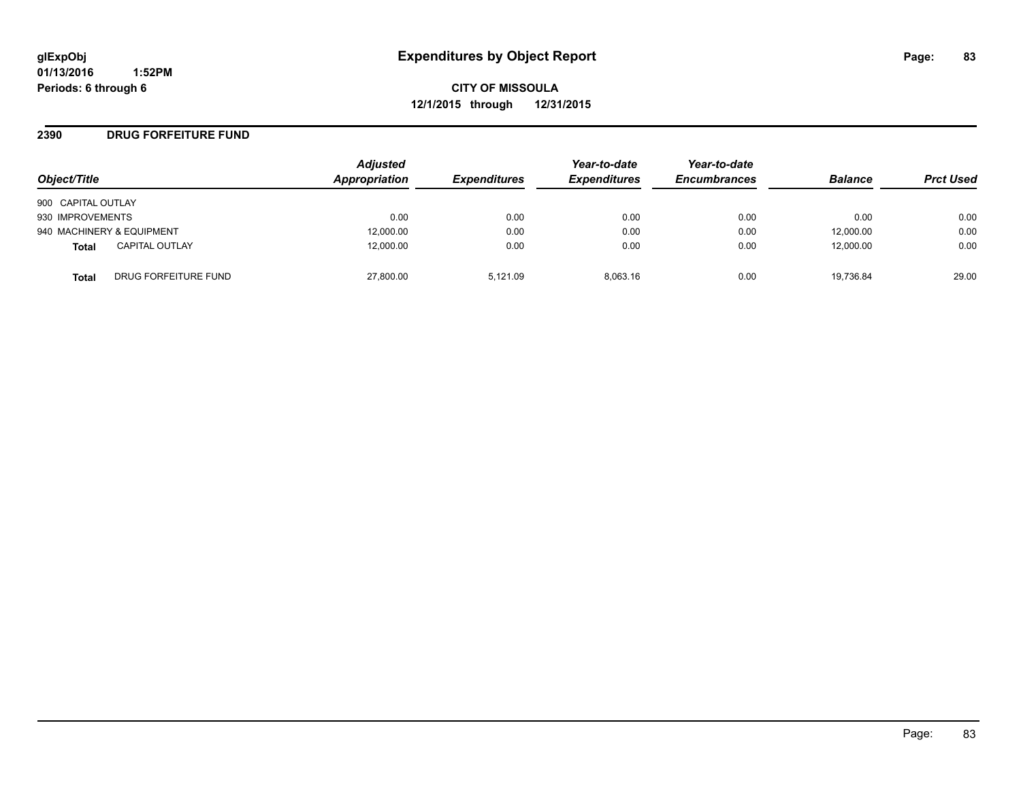**CITY OF MISSOULA 12/1/2015 through 12/31/2015**

### **2390 DRUG FORFEITURE FUND**

| Object/Title       |                           | <b>Adjusted</b><br>Appropriation | <b>Expenditures</b> | Year-to-date<br><b>Expenditures</b> | Year-to-date<br><b>Encumbrances</b> | <b>Balance</b> | <b>Prct Used</b> |
|--------------------|---------------------------|----------------------------------|---------------------|-------------------------------------|-------------------------------------|----------------|------------------|
| 900 CAPITAL OUTLAY |                           |                                  |                     |                                     |                                     |                |                  |
| 930 IMPROVEMENTS   |                           | 0.00                             | 0.00                | 0.00                                | 0.00                                | 0.00           | 0.00             |
|                    | 940 MACHINERY & EQUIPMENT | 12,000.00                        | 0.00                | 0.00                                | 0.00                                | 12,000.00      | 0.00             |
| Total              | <b>CAPITAL OUTLAY</b>     | 12.000.00                        | 0.00                | 0.00                                | 0.00                                | 12,000.00      | 0.00             |
| Total              | DRUG FORFEITURE FUND      | 27,800.00                        | 5.121.09            | 8.063.16                            | 0.00                                | 19.736.84      | 29.00            |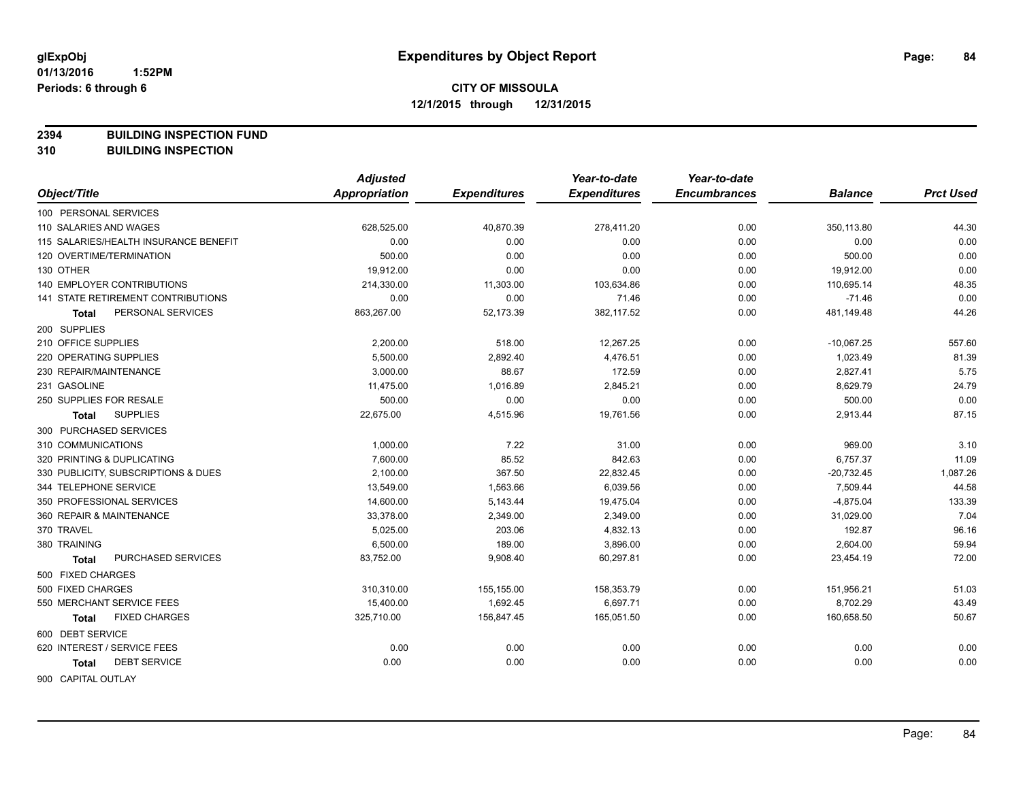**2394 BUILDING INSPECTION FUND**

**310 BUILDING INSPECTION**

|                                       | <b>Adjusted</b>      |                     | Year-to-date        | Year-to-date        |                |                  |
|---------------------------------------|----------------------|---------------------|---------------------|---------------------|----------------|------------------|
| Object/Title                          | <b>Appropriation</b> | <b>Expenditures</b> | <b>Expenditures</b> | <b>Encumbrances</b> | <b>Balance</b> | <b>Prct Used</b> |
| 100 PERSONAL SERVICES                 |                      |                     |                     |                     |                |                  |
| 110 SALARIES AND WAGES                | 628,525.00           | 40,870.39           | 278,411.20          | 0.00                | 350,113.80     | 44.30            |
| 115 SALARIES/HEALTH INSURANCE BENEFIT | 0.00                 | 0.00                | 0.00                | 0.00                | 0.00           | 0.00             |
| 120 OVERTIME/TERMINATION              | 500.00               | 0.00                | 0.00                | 0.00                | 500.00         | 0.00             |
| 130 OTHER                             | 19,912.00            | 0.00                | 0.00                | 0.00                | 19,912.00      | 0.00             |
| 140 EMPLOYER CONTRIBUTIONS            | 214,330.00           | 11,303.00           | 103,634.86          | 0.00                | 110,695.14     | 48.35            |
| 141 STATE RETIREMENT CONTRIBUTIONS    | 0.00                 | 0.00                | 71.46               | 0.00                | $-71.46$       | 0.00             |
| PERSONAL SERVICES<br>Total            | 863,267.00           | 52,173.39           | 382,117.52          | 0.00                | 481,149.48     | 44.26            |
| 200 SUPPLIES                          |                      |                     |                     |                     |                |                  |
| 210 OFFICE SUPPLIES                   | 2,200.00             | 518.00              | 12,267.25           | 0.00                | $-10,067.25$   | 557.60           |
| 220 OPERATING SUPPLIES                | 5,500.00             | 2,892.40            | 4,476.51            | 0.00                | 1,023.49       | 81.39            |
| 230 REPAIR/MAINTENANCE                | 3,000.00             | 88.67               | 172.59              | 0.00                | 2,827.41       | 5.75             |
| 231 GASOLINE                          | 11,475.00            | 1,016.89            | 2,845.21            | 0.00                | 8,629.79       | 24.79            |
| 250 SUPPLIES FOR RESALE               | 500.00               | 0.00                | 0.00                | 0.00                | 500.00         | 0.00             |
| <b>SUPPLIES</b><br>Total              | 22,675.00            | 4,515.96            | 19,761.56           | 0.00                | 2,913.44       | 87.15            |
| 300 PURCHASED SERVICES                |                      |                     |                     |                     |                |                  |
| 310 COMMUNICATIONS                    | 1,000.00             | 7.22                | 31.00               | 0.00                | 969.00         | 3.10             |
| 320 PRINTING & DUPLICATING            | 7,600.00             | 85.52               | 842.63              | 0.00                | 6,757.37       | 11.09            |
| 330 PUBLICITY, SUBSCRIPTIONS & DUES   | 2,100.00             | 367.50              | 22,832.45           | 0.00                | $-20,732.45$   | 1,087.26         |
| 344 TELEPHONE SERVICE                 | 13,549.00            | 1,563.66            | 6,039.56            | 0.00                | 7,509.44       | 44.58            |
| 350 PROFESSIONAL SERVICES             | 14,600.00            | 5,143.44            | 19,475.04           | 0.00                | $-4,875.04$    | 133.39           |
| 360 REPAIR & MAINTENANCE              | 33,378.00            | 2,349.00            | 2,349.00            | 0.00                | 31,029.00      | 7.04             |
| 370 TRAVEL                            | 5,025.00             | 203.06              | 4,832.13            | 0.00                | 192.87         | 96.16            |
| 380 TRAINING                          | 6,500.00             | 189.00              | 3,896.00            | 0.00                | 2,604.00       | 59.94            |
| PURCHASED SERVICES<br>Total           | 83,752.00            | 9,908.40            | 60,297.81           | 0.00                | 23,454.19      | 72.00            |
| 500 FIXED CHARGES                     |                      |                     |                     |                     |                |                  |
| 500 FIXED CHARGES                     | 310,310.00           | 155,155.00          | 158,353.79          | 0.00                | 151,956.21     | 51.03            |
| 550 MERCHANT SERVICE FEES             | 15,400.00            | 1,692.45            | 6,697.71            | 0.00                | 8,702.29       | 43.49            |
| <b>FIXED CHARGES</b><br>Total         | 325,710.00           | 156,847.45          | 165,051.50          | 0.00                | 160,658.50     | 50.67            |
| 600 DEBT SERVICE                      |                      |                     |                     |                     |                |                  |
| 620 INTEREST / SERVICE FEES           | 0.00                 | 0.00                | 0.00                | 0.00                | 0.00           | 0.00             |
| <b>DEBT SERVICE</b><br>Total          | 0.00                 | 0.00                | 0.00                | 0.00                | 0.00           | 0.00             |
| 900 CAPITAL OUTLAY                    |                      |                     |                     |                     |                |                  |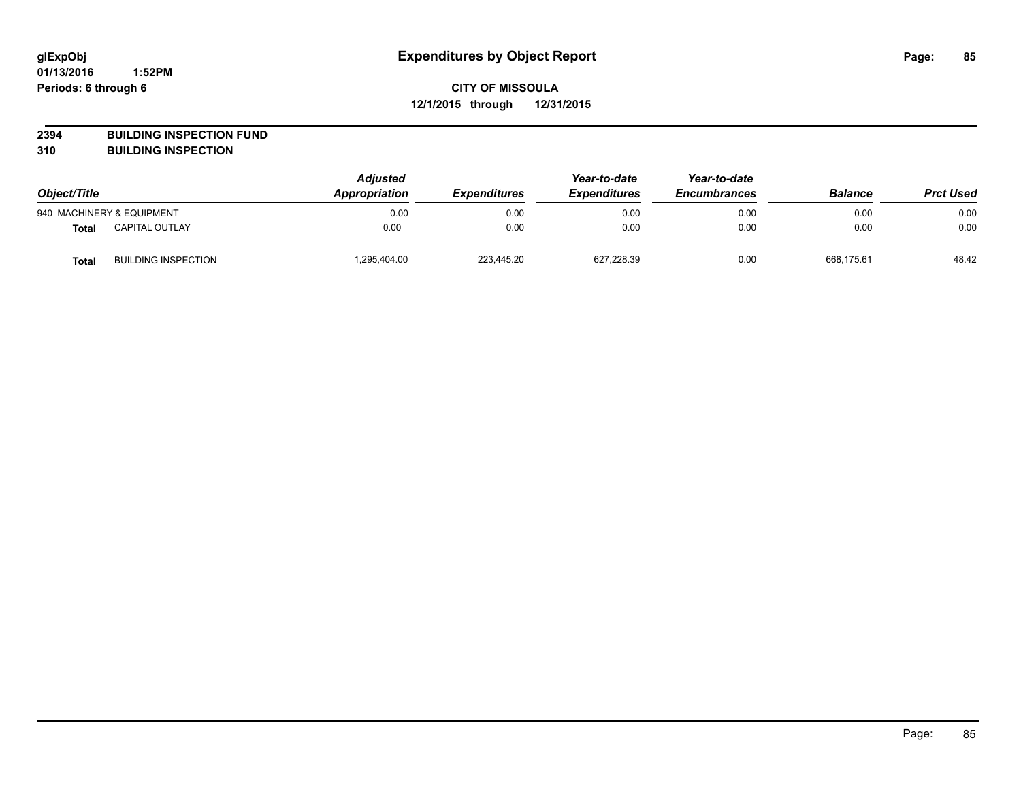**2394 BUILDING INSPECTION FUND**

**310 BUILDING INSPECTION**

| Object/Title |                            | <b>Adjusted</b><br>Appropriation<br><b>Expenditures</b> | Year-to-date<br><b>Expenditures</b> | Year-to-date<br><b>Encumbrances</b> | <b>Balance</b> | <b>Prct Used</b> |       |
|--------------|----------------------------|---------------------------------------------------------|-------------------------------------|-------------------------------------|----------------|------------------|-------|
|              | 940 MACHINERY & EQUIPMENT  | 0.00                                                    | 0.00                                | 0.00                                | 0.00           | 0.00             | 0.00  |
| <b>Total</b> | <b>CAPITAL OUTLAY</b>      | 0.00                                                    | 0.00                                | 0.00                                | 0.00           | 0.00             | 0.00  |
| <b>Total</b> | <b>BUILDING INSPECTION</b> | 1,295,404.00                                            | 223,445.20                          | 627,228.39                          | 0.00           | 668.175.61       | 48.42 |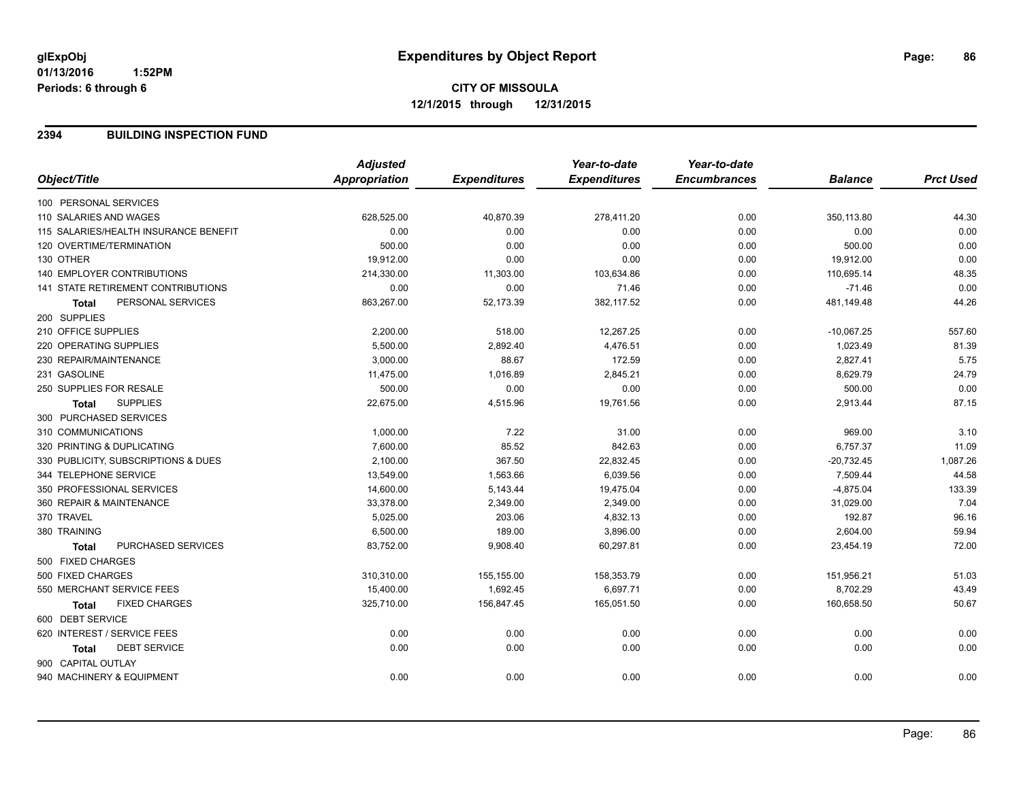**12/1/2015 through 12/31/2015**

### **2394 BUILDING INSPECTION FUND**

|                                           | <b>Adjusted</b> |                     | Year-to-date        | Year-to-date        |                |                  |
|-------------------------------------------|-----------------|---------------------|---------------------|---------------------|----------------|------------------|
| Object/Title                              | Appropriation   | <b>Expenditures</b> | <b>Expenditures</b> | <b>Encumbrances</b> | <b>Balance</b> | <b>Prct Used</b> |
| 100 PERSONAL SERVICES                     |                 |                     |                     |                     |                |                  |
| 110 SALARIES AND WAGES                    | 628,525.00      | 40,870.39           | 278,411.20          | 0.00                | 350,113.80     | 44.30            |
| 115 SALARIES/HEALTH INSURANCE BENEFIT     | 0.00            | 0.00                | 0.00                | 0.00                | 0.00           | 0.00             |
| 120 OVERTIME/TERMINATION                  | 500.00          | 0.00                | 0.00                | 0.00                | 500.00         | 0.00             |
| 130 OTHER                                 | 19,912.00       | 0.00                | 0.00                | 0.00                | 19,912.00      | 0.00             |
| 140 EMPLOYER CONTRIBUTIONS                | 214,330.00      | 11,303.00           | 103,634.86          | 0.00                | 110,695.14     | 48.35            |
| <b>141 STATE RETIREMENT CONTRIBUTIONS</b> | 0.00            | 0.00                | 71.46               | 0.00                | $-71.46$       | 0.00             |
| PERSONAL SERVICES<br><b>Total</b>         | 863,267.00      | 52,173.39           | 382,117.52          | 0.00                | 481,149.48     | 44.26            |
| 200 SUPPLIES                              |                 |                     |                     |                     |                |                  |
| 210 OFFICE SUPPLIES                       | 2,200.00        | 518.00              | 12,267.25           | 0.00                | $-10,067.25$   | 557.60           |
| 220 OPERATING SUPPLIES                    | 5,500.00        | 2,892.40            | 4,476.51            | 0.00                | 1,023.49       | 81.39            |
| 230 REPAIR/MAINTENANCE                    | 3,000.00        | 88.67               | 172.59              | 0.00                | 2,827.41       | 5.75             |
| 231 GASOLINE                              | 11,475.00       | 1,016.89            | 2,845.21            | 0.00                | 8,629.79       | 24.79            |
| 250 SUPPLIES FOR RESALE                   | 500.00          | 0.00                | 0.00                | 0.00                | 500.00         | 0.00             |
| <b>SUPPLIES</b><br><b>Total</b>           | 22,675.00       | 4,515.96            | 19,761.56           | 0.00                | 2,913.44       | 87.15            |
| 300 PURCHASED SERVICES                    |                 |                     |                     |                     |                |                  |
| 310 COMMUNICATIONS                        | 1,000.00        | 7.22                | 31.00               | 0.00                | 969.00         | 3.10             |
| 320 PRINTING & DUPLICATING                | 7,600.00        | 85.52               | 842.63              | 0.00                | 6,757.37       | 11.09            |
| 330 PUBLICITY, SUBSCRIPTIONS & DUES       | 2,100.00        | 367.50              | 22,832.45           | 0.00                | $-20,732.45$   | 1,087.26         |
| 344 TELEPHONE SERVICE                     | 13,549.00       | 1,563.66            | 6,039.56            | 0.00                | 7,509.44       | 44.58            |
| 350 PROFESSIONAL SERVICES                 | 14,600.00       | 5,143.44            | 19,475.04           | 0.00                | $-4,875.04$    | 133.39           |
| 360 REPAIR & MAINTENANCE                  | 33,378.00       | 2,349.00            | 2,349.00            | 0.00                | 31,029.00      | 7.04             |
| 370 TRAVEL                                | 5,025.00        | 203.06              | 4,832.13            | 0.00                | 192.87         | 96.16            |
| 380 TRAINING                              | 6,500.00        | 189.00              | 3,896.00            | 0.00                | 2,604.00       | 59.94            |
| PURCHASED SERVICES<br><b>Total</b>        | 83,752.00       | 9,908.40            | 60,297.81           | 0.00                | 23,454.19      | 72.00            |
| 500 FIXED CHARGES                         |                 |                     |                     |                     |                |                  |
| 500 FIXED CHARGES                         | 310,310.00      | 155,155.00          | 158,353.79          | 0.00                | 151,956.21     | 51.03            |
| 550 MERCHANT SERVICE FEES                 | 15,400.00       | 1,692.45            | 6,697.71            | 0.00                | 8,702.29       | 43.49            |
| <b>FIXED CHARGES</b><br><b>Total</b>      | 325,710.00      | 156,847.45          | 165,051.50          | 0.00                | 160,658.50     | 50.67            |
| 600 DEBT SERVICE                          |                 |                     |                     |                     |                |                  |
| 620 INTEREST / SERVICE FEES               | 0.00            | 0.00                | 0.00                | 0.00                | 0.00           | 0.00             |
| <b>DEBT SERVICE</b><br><b>Total</b>       | 0.00            | 0.00                | 0.00                | 0.00                | 0.00           | 0.00             |
| 900 CAPITAL OUTLAY                        |                 |                     |                     |                     |                |                  |
| 940 MACHINERY & EQUIPMENT                 | 0.00            | 0.00                | 0.00                | 0.00                | 0.00           | 0.00             |
|                                           |                 |                     |                     |                     |                |                  |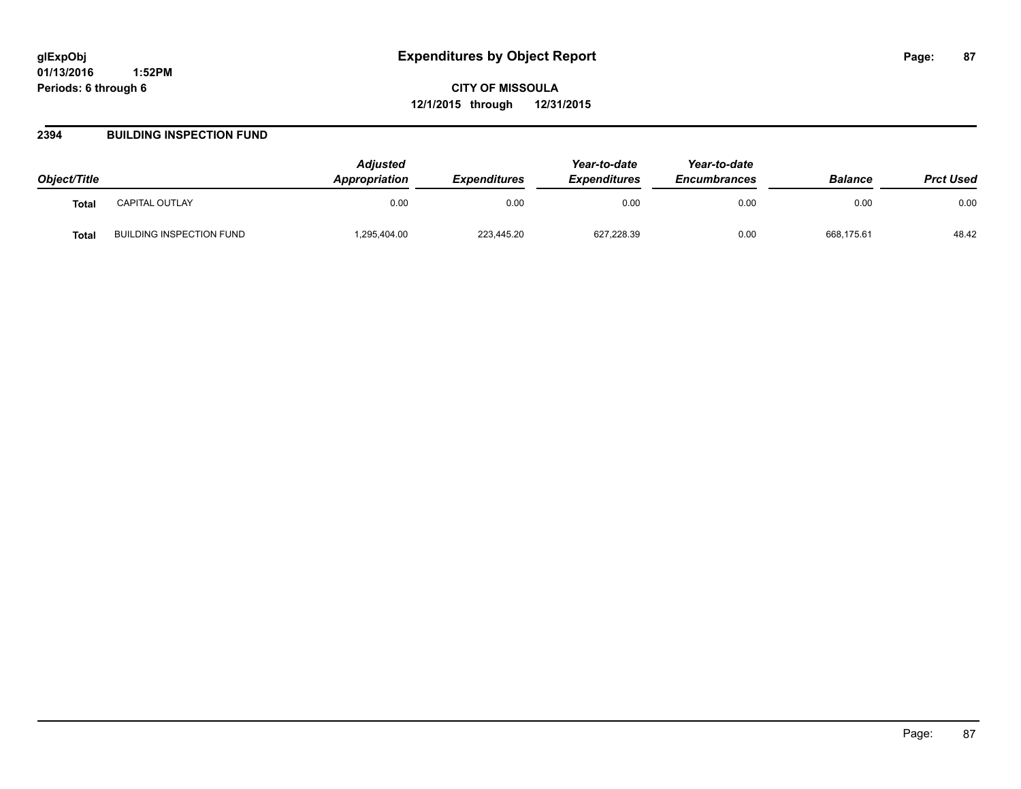**CITY OF MISSOULA 12/1/2015 through 12/31/2015**

### **2394 BUILDING INSPECTION FUND**

| Object/Title |                          | <b>Adjusted</b><br><b>Appropriation</b> | <b>Expenditures</b> | Year-to-date<br><b>Expenditures</b> | Year-to-date<br><b>Encumbrances</b> | <b>Balance</b> | <b>Prct Used</b> |
|--------------|--------------------------|-----------------------------------------|---------------------|-------------------------------------|-------------------------------------|----------------|------------------|
| <b>Total</b> | CAPITAL OUTLAY           | 0.00                                    | 0.00                | 0.00                                | 0.00                                | 0.00           | 0.00             |
| Total        | BUILDING INSPECTION FUND | .295,404.00                             | 223,445.20          | 627,228.39                          | 0.00                                | 668,175.61     | 48.42            |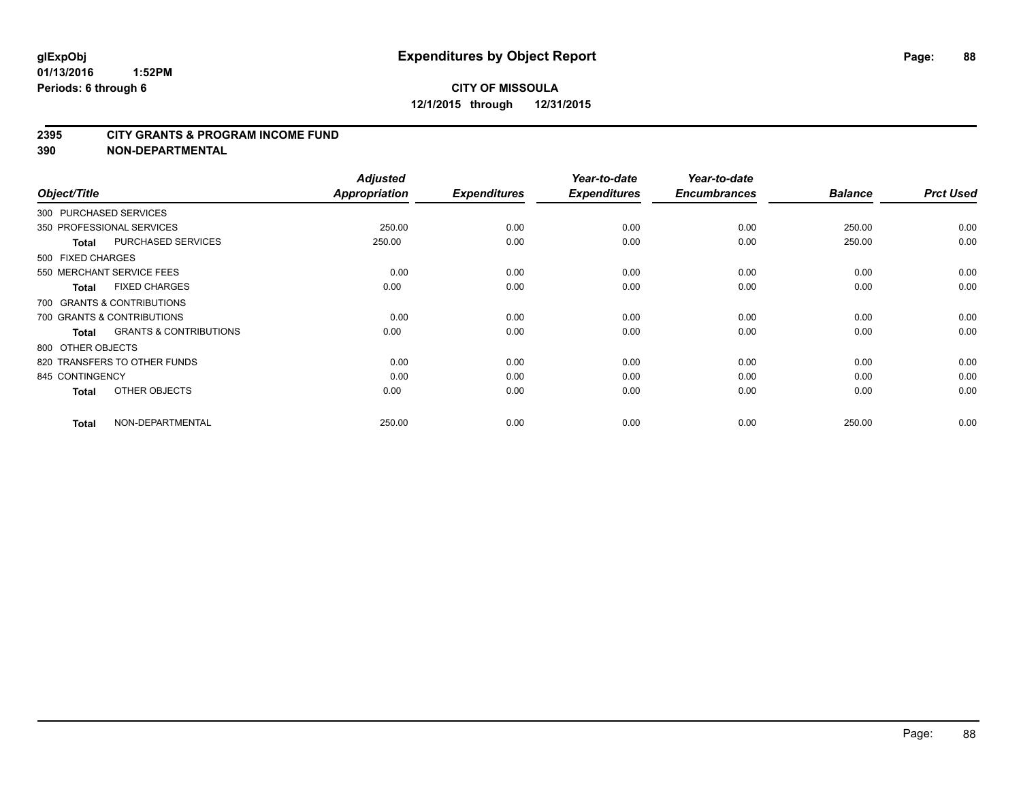#### **2395 CITY GRANTS & PROGRAM INCOME FUND**

**390 NON-DEPARTMENTAL**

| Object/Title      |                                   | <b>Adjusted</b><br>Appropriation | <b>Expenditures</b> | Year-to-date<br><b>Expenditures</b> | Year-to-date<br><b>Encumbrances</b> | <b>Balance</b> | <b>Prct Used</b> |
|-------------------|-----------------------------------|----------------------------------|---------------------|-------------------------------------|-------------------------------------|----------------|------------------|
|                   | 300 PURCHASED SERVICES            |                                  |                     |                                     |                                     |                |                  |
|                   | 350 PROFESSIONAL SERVICES         | 250.00                           | 0.00                | 0.00                                | 0.00                                | 250.00         | 0.00             |
| <b>Total</b>      | <b>PURCHASED SERVICES</b>         | 250.00                           | 0.00                | 0.00                                | 0.00                                | 250.00         | 0.00             |
| 500 FIXED CHARGES |                                   |                                  |                     |                                     |                                     |                |                  |
|                   | 550 MERCHANT SERVICE FEES         | 0.00                             | 0.00                | 0.00                                | 0.00                                | 0.00           | 0.00             |
| <b>Total</b>      | <b>FIXED CHARGES</b>              | 0.00                             | 0.00                | 0.00                                | 0.00                                | 0.00           | 0.00             |
|                   | 700 GRANTS & CONTRIBUTIONS        |                                  |                     |                                     |                                     |                |                  |
|                   | 700 GRANTS & CONTRIBUTIONS        | 0.00                             | 0.00                | 0.00                                | 0.00                                | 0.00           | 0.00             |
| <b>Total</b>      | <b>GRANTS &amp; CONTRIBUTIONS</b> | 0.00                             | 0.00                | 0.00                                | 0.00                                | 0.00           | 0.00             |
| 800 OTHER OBJECTS |                                   |                                  |                     |                                     |                                     |                |                  |
|                   | 820 TRANSFERS TO OTHER FUNDS      | 0.00                             | 0.00                | 0.00                                | 0.00                                | 0.00           | 0.00             |
| 845 CONTINGENCY   |                                   | 0.00                             | 0.00                | 0.00                                | 0.00                                | 0.00           | 0.00             |
| <b>Total</b>      | OTHER OBJECTS                     | 0.00                             | 0.00                | 0.00                                | 0.00                                | 0.00           | 0.00             |
| <b>Total</b>      | NON-DEPARTMENTAL                  | 250.00                           | 0.00                | 0.00                                | 0.00                                | 250.00         | 0.00             |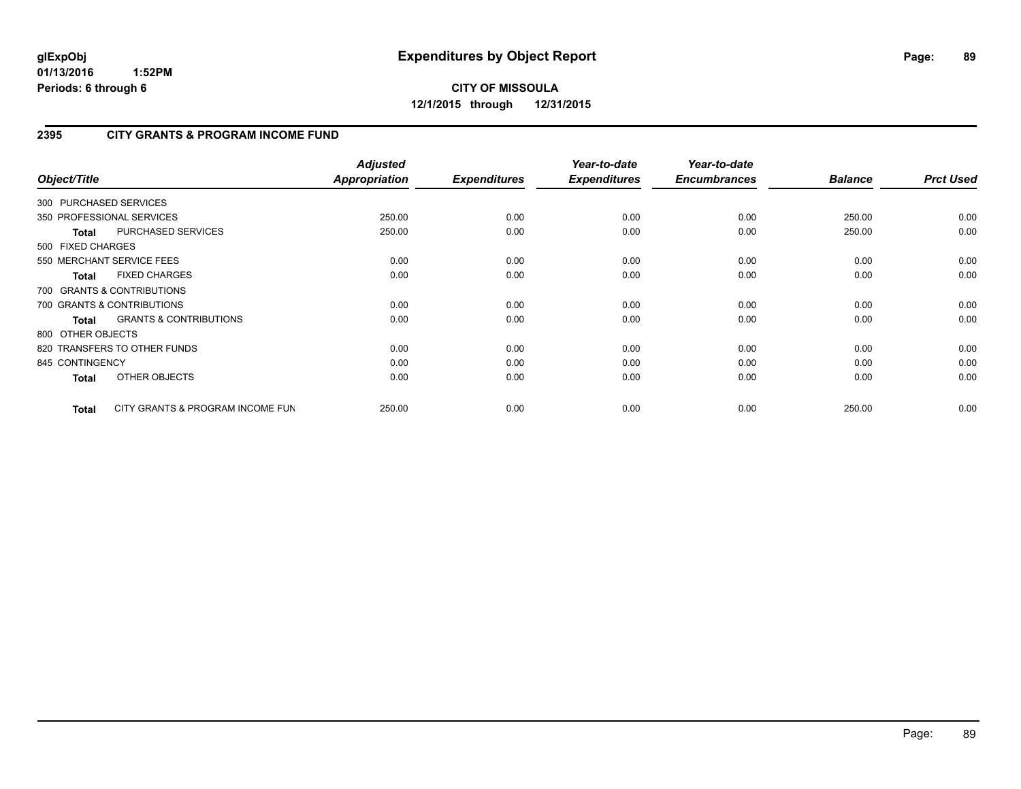## **2395 CITY GRANTS & PROGRAM INCOME FUND**

| Object/Title           |                                   | <b>Adjusted</b><br><b>Appropriation</b> | <b>Expenditures</b> | Year-to-date<br><b>Expenditures</b> | Year-to-date<br><b>Encumbrances</b> | <b>Balance</b> | <b>Prct Used</b> |
|------------------------|-----------------------------------|-----------------------------------------|---------------------|-------------------------------------|-------------------------------------|----------------|------------------|
| 300 PURCHASED SERVICES |                                   |                                         |                     |                                     |                                     |                |                  |
|                        | 350 PROFESSIONAL SERVICES         | 250.00                                  | 0.00                | 0.00                                | 0.00                                | 250.00         | 0.00             |
| Total                  | PURCHASED SERVICES                | 250.00                                  | 0.00                | 0.00                                | 0.00                                | 250.00         | 0.00             |
| 500 FIXED CHARGES      |                                   |                                         |                     |                                     |                                     |                |                  |
|                        | 550 MERCHANT SERVICE FEES         | 0.00                                    | 0.00                | 0.00                                | 0.00                                | 0.00           | 0.00             |
| <b>Total</b>           | <b>FIXED CHARGES</b>              | 0.00                                    | 0.00                | 0.00                                | 0.00                                | 0.00           | 0.00             |
|                        | 700 GRANTS & CONTRIBUTIONS        |                                         |                     |                                     |                                     |                |                  |
|                        | 700 GRANTS & CONTRIBUTIONS        | 0.00                                    | 0.00                | 0.00                                | 0.00                                | 0.00           | 0.00             |
| <b>Total</b>           | <b>GRANTS &amp; CONTRIBUTIONS</b> | 0.00                                    | 0.00                | 0.00                                | 0.00                                | 0.00           | 0.00             |
| 800 OTHER OBJECTS      |                                   |                                         |                     |                                     |                                     |                |                  |
|                        | 820 TRANSFERS TO OTHER FUNDS      | 0.00                                    | 0.00                | 0.00                                | 0.00                                | 0.00           | 0.00             |
| 845 CONTINGENCY        |                                   | 0.00                                    | 0.00                | 0.00                                | 0.00                                | 0.00           | 0.00             |
| <b>Total</b>           | OTHER OBJECTS                     | 0.00                                    | 0.00                | 0.00                                | 0.00                                | 0.00           | 0.00             |
| <b>Total</b>           | CITY GRANTS & PROGRAM INCOME FUN  | 250.00                                  | 0.00                | 0.00                                | 0.00                                | 250.00         | 0.00             |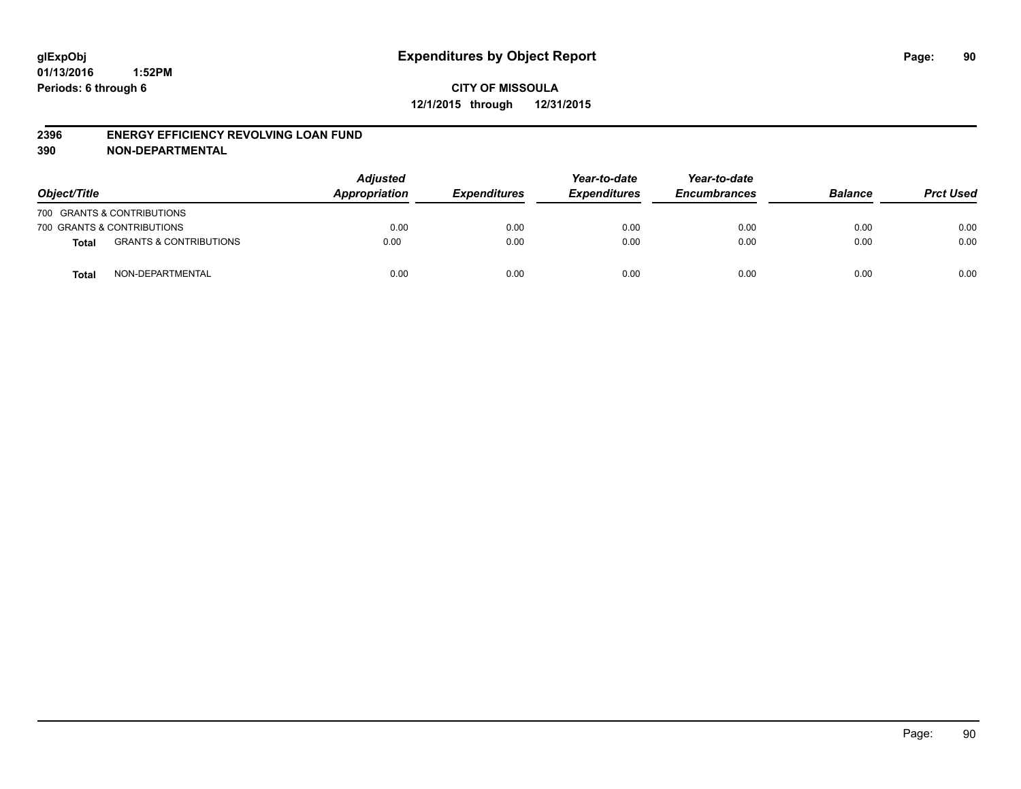#### **2396 ENERGY EFFICIENCY REVOLVING LOAN FUND**

**390 NON-DEPARTMENTAL**

| Object/Title |                                   | <b>Adjusted</b><br>Appropriation | <b>Expenditures</b> | Year-to-date<br><b>Expenditures</b> | Year-to-date<br><b>Encumbrances</b> | <b>Balance</b> | <b>Prct Used</b> |
|--------------|-----------------------------------|----------------------------------|---------------------|-------------------------------------|-------------------------------------|----------------|------------------|
|              | 700 GRANTS & CONTRIBUTIONS        |                                  |                     |                                     |                                     |                |                  |
|              | 700 GRANTS & CONTRIBUTIONS        | 0.00                             | 0.00                | 0.00                                | 0.00                                | 0.00           | 0.00             |
| <b>Total</b> | <b>GRANTS &amp; CONTRIBUTIONS</b> | 0.00                             | 0.00                | 0.00                                | 0.00                                | 0.00           | 0.00             |
| <b>Total</b> | NON-DEPARTMENTAL                  | 0.00                             | 0.00                | 0.00                                | 0.00                                | 0.00           | 0.00             |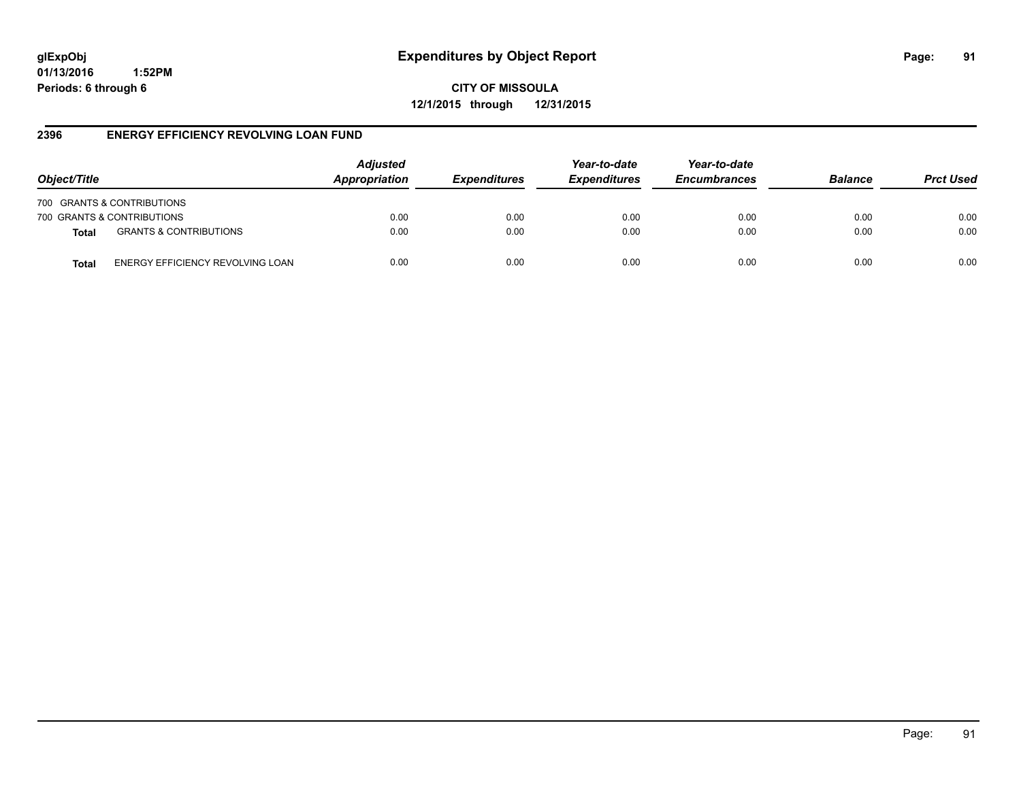# **glExpObj Expenditures by Object Report Page: 91**

**01/13/2016 1:52PM Periods: 6 through 6**

**CITY OF MISSOULA 12/1/2015 through 12/31/2015**

### **2396 ENERGY EFFICIENCY REVOLVING LOAN FUND**

| Object/Title               |                                   | <b>Adjusted</b><br>Appropriation | <b>Expenditures</b> | Year-to-date<br><b>Expenditures</b> | Year-to-date<br><b>Encumbrances</b> | <b>Balance</b> | <b>Prct Used</b> |
|----------------------------|-----------------------------------|----------------------------------|---------------------|-------------------------------------|-------------------------------------|----------------|------------------|
| 700 GRANTS & CONTRIBUTIONS |                                   |                                  |                     |                                     |                                     |                |                  |
| 700 GRANTS & CONTRIBUTIONS |                                   | 0.00                             | 0.00                | 0.00                                | 0.00                                | 0.00           | 0.00             |
| <b>Total</b>               | <b>GRANTS &amp; CONTRIBUTIONS</b> | 0.00                             | 0.00                | 0.00                                | 0.00                                | 0.00           | 0.00             |
| Total                      | ENERGY EFFICIENCY REVOLVING LOAN  | 0.00                             | 0.00                | 0.00                                | 0.00                                | 0.00           | 0.00             |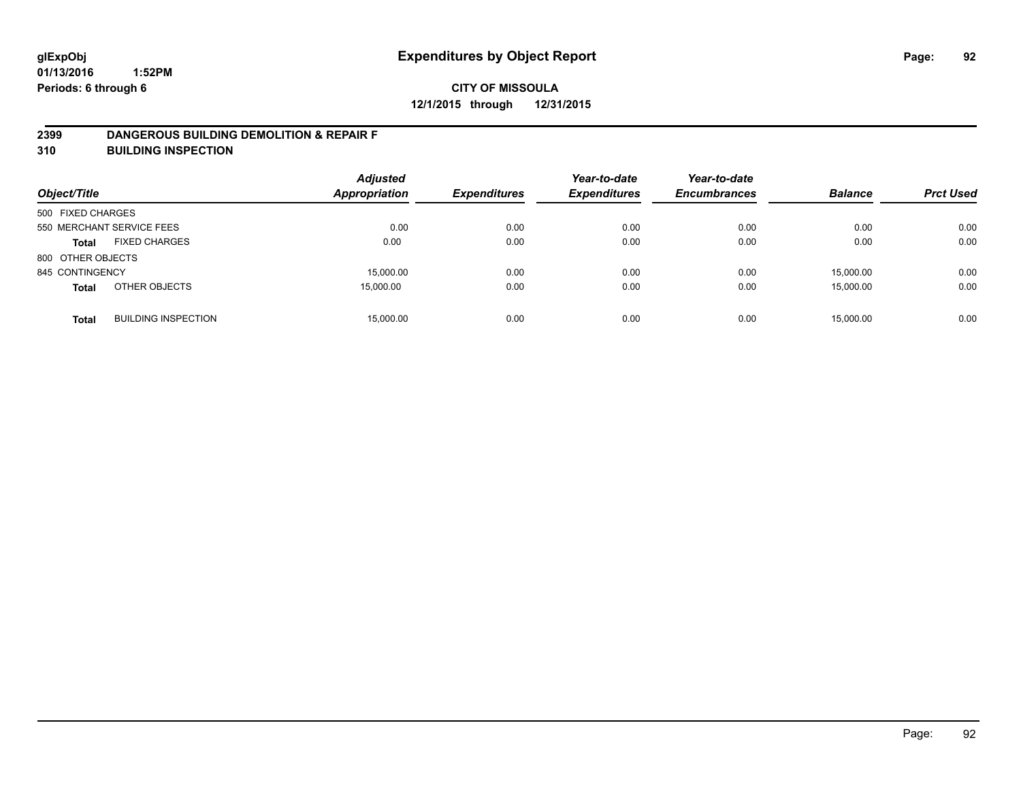### **2399 DANGEROUS BUILDING DEMOLITION & REPAIR F**

**310 BUILDING INSPECTION**

| Object/Title      |                            | <b>Adjusted</b><br><b>Appropriation</b> | <b>Expenditures</b> | Year-to-date<br><b>Expenditures</b> | Year-to-date<br><b>Encumbrances</b> | <b>Balance</b> | <b>Prct Used</b> |
|-------------------|----------------------------|-----------------------------------------|---------------------|-------------------------------------|-------------------------------------|----------------|------------------|
| 500 FIXED CHARGES |                            |                                         |                     |                                     |                                     |                |                  |
|                   | 550 MERCHANT SERVICE FEES  | 0.00                                    | 0.00                | 0.00                                | 0.00                                | 0.00           | 0.00             |
| <b>Total</b>      | <b>FIXED CHARGES</b>       | 0.00                                    | 0.00                | 0.00                                | 0.00                                | 0.00           | 0.00             |
| 800 OTHER OBJECTS |                            |                                         |                     |                                     |                                     |                |                  |
| 845 CONTINGENCY   |                            | 15,000.00                               | 0.00                | 0.00                                | 0.00                                | 15.000.00      | 0.00             |
| <b>Total</b>      | OTHER OBJECTS              | 15,000.00                               | 0.00                | 0.00                                | 0.00                                | 15.000.00      | 0.00             |
| <b>Total</b>      | <b>BUILDING INSPECTION</b> | 15,000.00                               | 0.00                | 0.00                                | 0.00                                | 15.000.00      | 0.00             |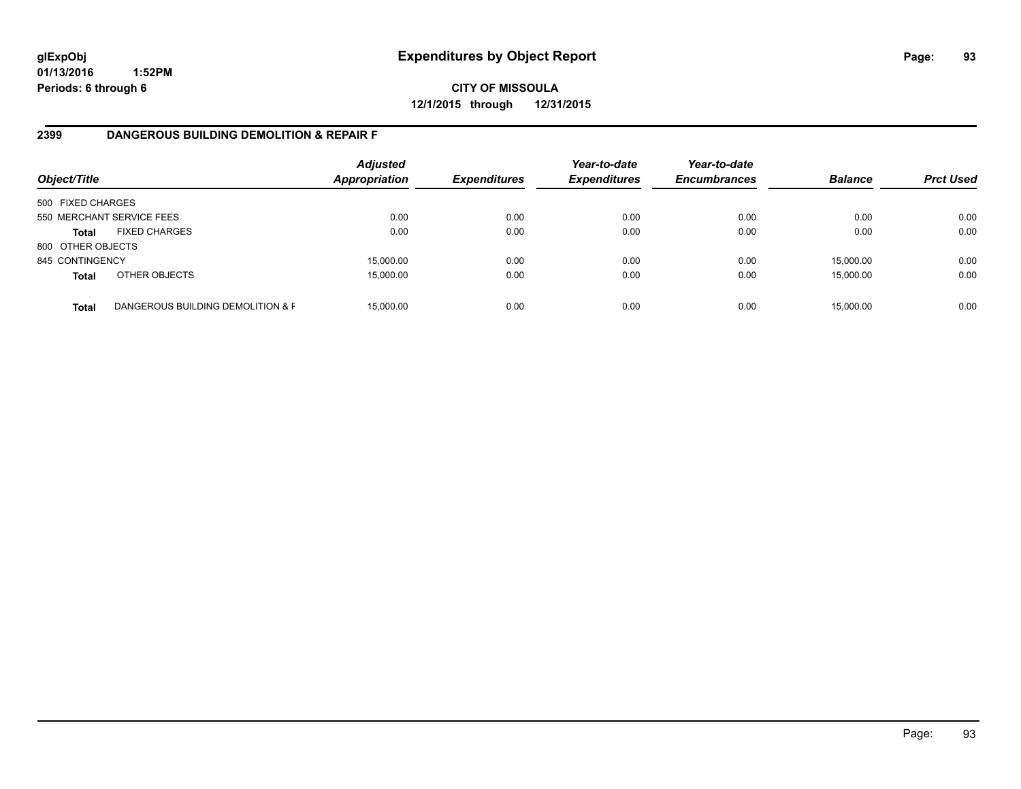**CITY OF MISSOULA 12/1/2015 through 12/31/2015**

### **2399 DANGEROUS BUILDING DEMOLITION & REPAIR F**

| Object/Title      |                                   | <b>Adjusted</b><br><b>Appropriation</b> | <b>Expenditures</b> | Year-to-date<br><b>Expenditures</b> | Year-to-date<br><b>Encumbrances</b> | <b>Balance</b> | <b>Prct Used</b> |
|-------------------|-----------------------------------|-----------------------------------------|---------------------|-------------------------------------|-------------------------------------|----------------|------------------|
| 500 FIXED CHARGES |                                   |                                         |                     |                                     |                                     |                |                  |
|                   | 550 MERCHANT SERVICE FEES         | 0.00                                    | 0.00                | 0.00                                | 0.00                                | 0.00           | 0.00             |
| <b>Total</b>      | <b>FIXED CHARGES</b>              | 0.00                                    | 0.00                | 0.00                                | 0.00                                | 0.00           | 0.00             |
| 800 OTHER OBJECTS |                                   |                                         |                     |                                     |                                     |                |                  |
| 845 CONTINGENCY   |                                   | 15,000.00                               | 0.00                | 0.00                                | 0.00                                | 15,000.00      | 0.00             |
| <b>Total</b>      | OTHER OBJECTS                     | 15,000.00                               | 0.00                | 0.00                                | 0.00                                | 15,000.00      | 0.00             |
| <b>Total</b>      | DANGEROUS BUILDING DEMOLITION & F | 15.000.00                               | 0.00                | 0.00                                | 0.00                                | 15,000.00      | 0.00             |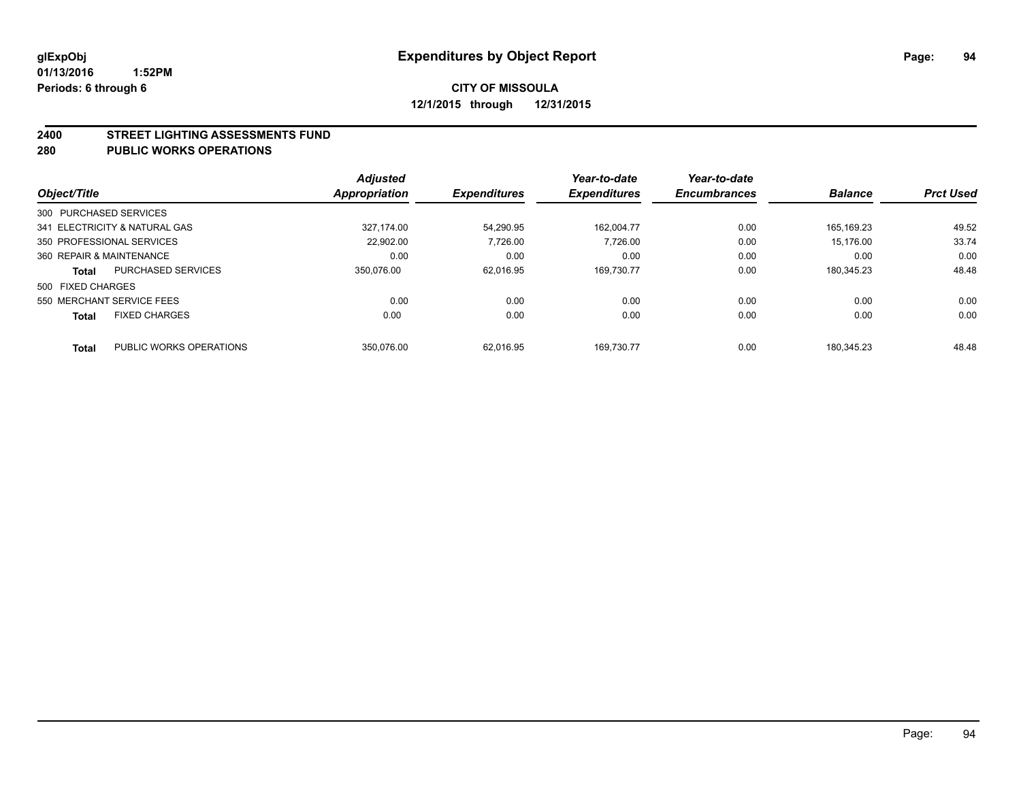#### **2400 STREET LIGHTING ASSESSMENTS FUND**

#### **280 PUBLIC WORKS OPERATIONS**

| Object/Title             |                               | <b>Adjusted</b>      | <b>Expenditures</b> | Year-to-date<br><b>Expenditures</b> | Year-to-date<br><b>Encumbrances</b> | <b>Balance</b> | <b>Prct Used</b> |
|--------------------------|-------------------------------|----------------------|---------------------|-------------------------------------|-------------------------------------|----------------|------------------|
|                          |                               | <b>Appropriation</b> |                     |                                     |                                     |                |                  |
| 300 PURCHASED SERVICES   |                               |                      |                     |                                     |                                     |                |                  |
|                          | 341 ELECTRICITY & NATURAL GAS | 327.174.00           | 54.290.95           | 162.004.77                          | 0.00                                | 165.169.23     | 49.52            |
|                          | 350 PROFESSIONAL SERVICES     | 22.902.00            | 7.726.00            | 7.726.00                            | 0.00                                | 15.176.00      | 33.74            |
| 360 REPAIR & MAINTENANCE |                               | 0.00                 | 0.00                | 0.00                                | 0.00                                | 0.00           | 0.00             |
| <b>Total</b>             | <b>PURCHASED SERVICES</b>     | 350.076.00           | 62.016.95           | 169.730.77                          | 0.00                                | 180.345.23     | 48.48            |
| 500 FIXED CHARGES        |                               |                      |                     |                                     |                                     |                |                  |
|                          | 550 MERCHANT SERVICE FEES     | 0.00                 | 0.00                | 0.00                                | 0.00                                | 0.00           | 0.00             |
| <b>Total</b>             | <b>FIXED CHARGES</b>          | 0.00                 | 0.00                | 0.00                                | 0.00                                | 0.00           | 0.00             |
| <b>Total</b>             | PUBLIC WORKS OPERATIONS       | 350.076.00           | 62.016.95           | 169.730.77                          | 0.00                                | 180.345.23     | 48.48            |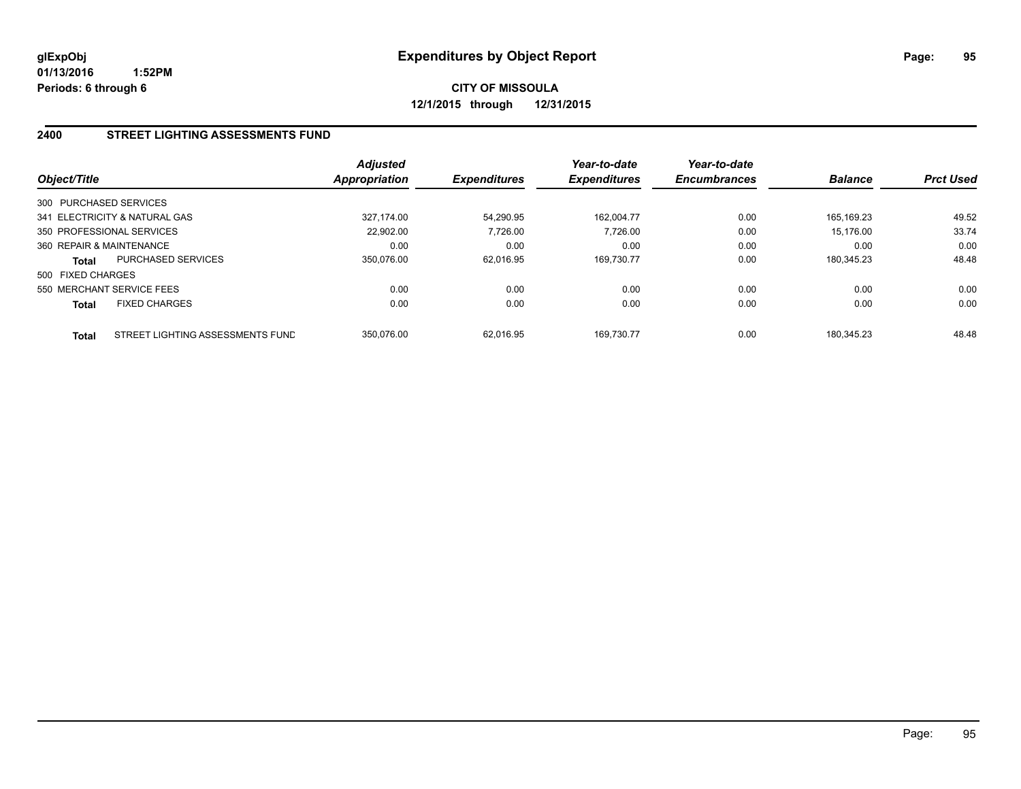# **CITY OF MISSOULA 12/1/2015 through 12/31/2015**

## **2400 STREET LIGHTING ASSESSMENTS FUND**

| Object/Title              |                                  | Adjusted<br><b>Appropriation</b> | <b>Expenditures</b> | Year-to-date<br><b>Expenditures</b> | Year-to-date<br><b>Encumbrances</b> | <b>Balance</b> | <b>Prct Used</b> |
|---------------------------|----------------------------------|----------------------------------|---------------------|-------------------------------------|-------------------------------------|----------------|------------------|
| 300 PURCHASED SERVICES    |                                  |                                  |                     |                                     |                                     |                |                  |
|                           | 341 ELECTRICITY & NATURAL GAS    | 327.174.00                       | 54,290.95           | 162.004.77                          | 0.00                                | 165.169.23     | 49.52            |
| 350 PROFESSIONAL SERVICES |                                  | 22.902.00                        | 7,726.00            | 7.726.00                            | 0.00                                | 15.176.00      | 33.74            |
| 360 REPAIR & MAINTENANCE  |                                  | 0.00                             | 0.00                | 0.00                                | 0.00                                | 0.00           | 0.00             |
| Total                     | PURCHASED SERVICES               | 350.076.00                       | 62,016.95           | 169,730.77                          | 0.00                                | 180.345.23     | 48.48            |
| 500 FIXED CHARGES         |                                  |                                  |                     |                                     |                                     |                |                  |
| 550 MERCHANT SERVICE FEES |                                  | 0.00                             | 0.00                | 0.00                                | 0.00                                | 0.00           | 0.00             |
| Total                     | <b>FIXED CHARGES</b>             | 0.00                             | 0.00                | 0.00                                | 0.00                                | 0.00           | 0.00             |
| <b>Total</b>              | STREET LIGHTING ASSESSMENTS FUND | 350.076.00                       | 62.016.95           | 169.730.77                          | 0.00                                | 180.345.23     | 48.48            |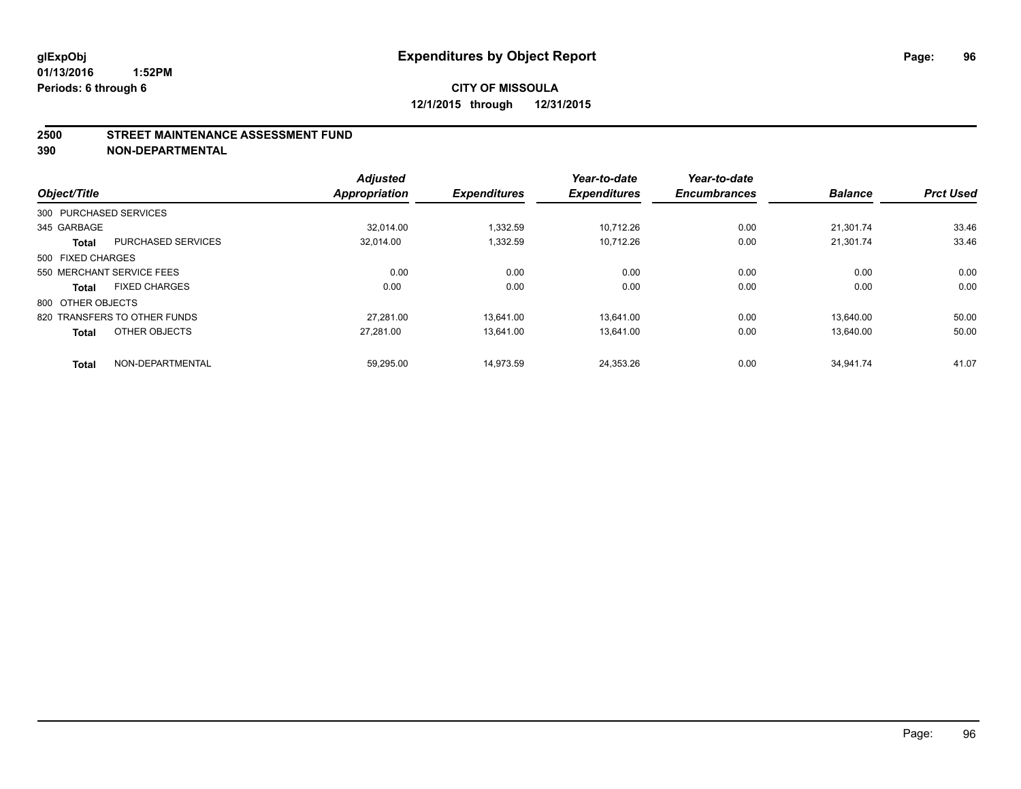#### **2500 STREET MAINTENANCE ASSESSMENT FUND**

**390 NON-DEPARTMENTAL**

| Object/Title      |                              | <b>Adjusted</b><br>Appropriation | <b>Expenditures</b> | Year-to-date<br><b>Expenditures</b> | Year-to-date<br><b>Encumbrances</b> | <b>Balance</b> | <b>Prct Used</b> |
|-------------------|------------------------------|----------------------------------|---------------------|-------------------------------------|-------------------------------------|----------------|------------------|
|                   | 300 PURCHASED SERVICES       |                                  |                     |                                     |                                     |                |                  |
| 345 GARBAGE       |                              | 32.014.00                        | 1,332.59            | 10.712.26                           | 0.00                                | 21,301.74      | 33.46            |
| <b>Total</b>      | <b>PURCHASED SERVICES</b>    | 32,014.00                        | 1,332.59            | 10,712.26                           | 0.00                                | 21,301.74      | 33.46            |
| 500 FIXED CHARGES |                              |                                  |                     |                                     |                                     |                |                  |
|                   | 550 MERCHANT SERVICE FEES    | 0.00                             | 0.00                | 0.00                                | 0.00                                | 0.00           | 0.00             |
| <b>Total</b>      | <b>FIXED CHARGES</b>         | 0.00                             | 0.00                | 0.00                                | 0.00                                | 0.00           | 0.00             |
| 800 OTHER OBJECTS |                              |                                  |                     |                                     |                                     |                |                  |
|                   | 820 TRANSFERS TO OTHER FUNDS | 27.281.00                        | 13.641.00           | 13.641.00                           | 0.00                                | 13.640.00      | 50.00            |
| <b>Total</b>      | OTHER OBJECTS                | 27.281.00                        | 13.641.00           | 13.641.00                           | 0.00                                | 13.640.00      | 50.00            |
| <b>Total</b>      | NON-DEPARTMENTAL             | 59.295.00                        | 14.973.59           | 24.353.26                           | 0.00                                | 34.941.74      | 41.07            |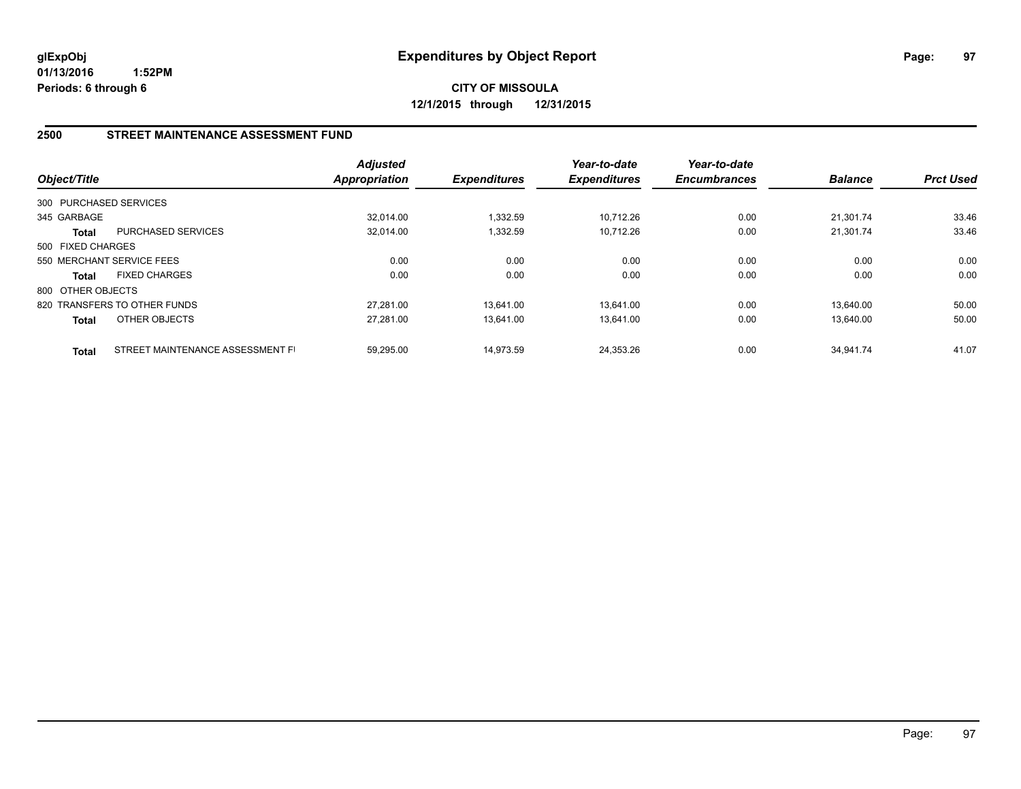**CITY OF MISSOULA 12/1/2015 through 12/31/2015**

## **2500 STREET MAINTENANCE ASSESSMENT FUND**

| Object/Title           |                                  | <b>Adjusted</b><br><b>Appropriation</b> | <b>Expenditures</b> | Year-to-date<br><b>Expenditures</b> | Year-to-date<br><b>Encumbrances</b> | <b>Balance</b> | <b>Prct Used</b> |
|------------------------|----------------------------------|-----------------------------------------|---------------------|-------------------------------------|-------------------------------------|----------------|------------------|
| 300 PURCHASED SERVICES |                                  |                                         |                     |                                     |                                     |                |                  |
| 345 GARBAGE            |                                  | 32.014.00                               | 1.332.59            | 10.712.26                           | 0.00                                | 21.301.74      | 33.46            |
| Total                  | <b>PURCHASED SERVICES</b>        | 32,014.00                               | 1,332.59            | 10,712.26                           | 0.00                                | 21,301.74      | 33.46            |
| 500 FIXED CHARGES      |                                  |                                         |                     |                                     |                                     |                |                  |
|                        | 550 MERCHANT SERVICE FEES        | 0.00                                    | 0.00                | 0.00                                | 0.00                                | 0.00           | 0.00             |
| <b>Total</b>           | <b>FIXED CHARGES</b>             | 0.00                                    | 0.00                | 0.00                                | 0.00                                | 0.00           | 0.00             |
| 800 OTHER OBJECTS      |                                  |                                         |                     |                                     |                                     |                |                  |
|                        | 820 TRANSFERS TO OTHER FUNDS     | 27.281.00                               | 13,641.00           | 13.641.00                           | 0.00                                | 13.640.00      | 50.00            |
| <b>Total</b>           | <b>OTHER OBJECTS</b>             | 27,281.00                               | 13,641.00           | 13,641.00                           | 0.00                                | 13.640.00      | 50.00            |
| <b>Total</b>           | STREET MAINTENANCE ASSESSMENT FI | 59.295.00                               | 14.973.59           | 24.353.26                           | 0.00                                | 34.941.74      | 41.07            |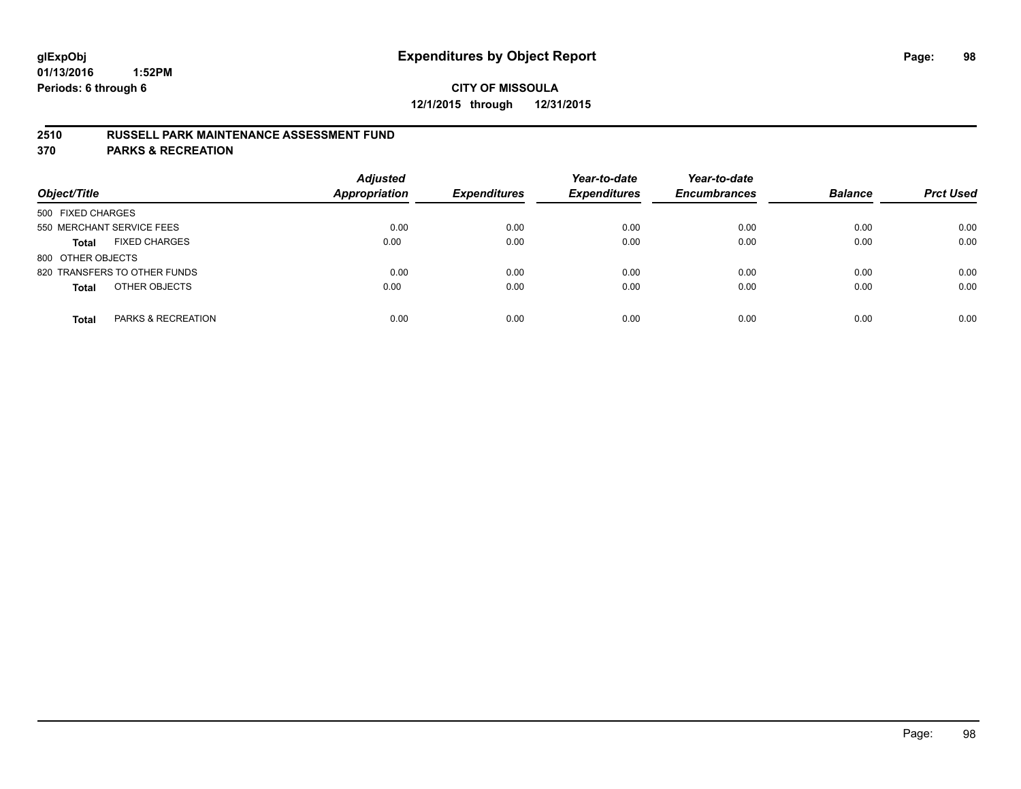### **2510 RUSSELL PARK MAINTENANCE ASSESSMENT FUND**

**370 PARKS & RECREATION**

| Object/Title                         | <b>Adjusted</b><br><b>Appropriation</b> | <b>Expenditures</b> | Year-to-date<br><b>Expenditures</b> | Year-to-date<br><b>Encumbrances</b> | <b>Balance</b> | <b>Prct Used</b> |
|--------------------------------------|-----------------------------------------|---------------------|-------------------------------------|-------------------------------------|----------------|------------------|
| 500 FIXED CHARGES                    |                                         |                     |                                     |                                     |                |                  |
| 550 MERCHANT SERVICE FEES            | 0.00                                    | 0.00                | 0.00                                | 0.00                                | 0.00           | 0.00             |
| <b>FIXED CHARGES</b><br><b>Total</b> | 0.00                                    | 0.00                | 0.00                                | 0.00                                | 0.00           | 0.00             |
| 800 OTHER OBJECTS                    |                                         |                     |                                     |                                     |                |                  |
| 820 TRANSFERS TO OTHER FUNDS         | 0.00                                    | 0.00                | 0.00                                | 0.00                                | 0.00           | 0.00             |
| OTHER OBJECTS<br><b>Total</b>        | 0.00                                    | 0.00                | 0.00                                | 0.00                                | 0.00           | 0.00             |
| PARKS & RECREATION<br><b>Total</b>   | 0.00                                    | 0.00                | 0.00                                | 0.00                                | 0.00           | 0.00             |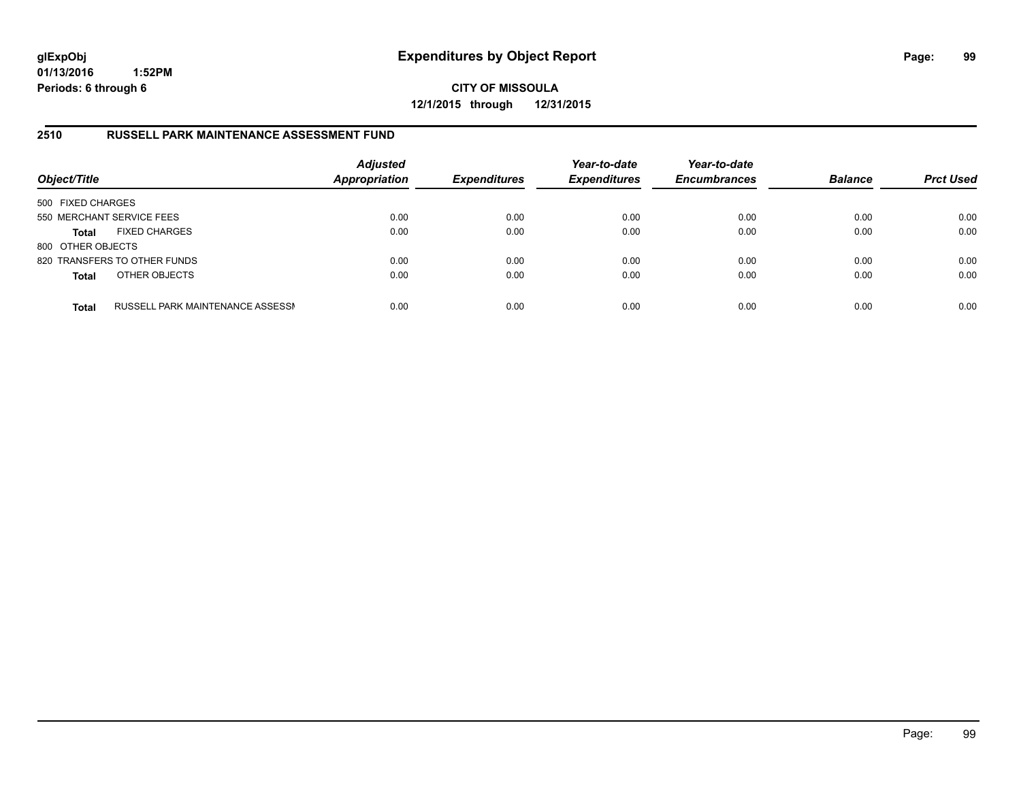**CITY OF MISSOULA 12/1/2015 through 12/31/2015**

### **2510 RUSSELL PARK MAINTENANCE ASSESSMENT FUND**

| Object/Title              |                                  | <b>Adjusted</b><br><b>Appropriation</b> | <b>Expenditures</b> | Year-to-date<br><b>Expenditures</b> | Year-to-date<br><b>Encumbrances</b> | <b>Balance</b> | <b>Prct Used</b> |
|---------------------------|----------------------------------|-----------------------------------------|---------------------|-------------------------------------|-------------------------------------|----------------|------------------|
| 500 FIXED CHARGES         |                                  |                                         |                     |                                     |                                     |                |                  |
| 550 MERCHANT SERVICE FEES |                                  | 0.00                                    | 0.00                | 0.00                                | 0.00                                | 0.00           | 0.00             |
| <b>Total</b>              | <b>FIXED CHARGES</b>             | 0.00                                    | 0.00                | 0.00                                | 0.00                                | 0.00           | 0.00             |
| 800 OTHER OBJECTS         |                                  |                                         |                     |                                     |                                     |                |                  |
|                           | 820 TRANSFERS TO OTHER FUNDS     | 0.00                                    | 0.00                | 0.00                                | 0.00                                | 0.00           | 0.00             |
| <b>Total</b>              | OTHER OBJECTS                    | 0.00                                    | 0.00                | 0.00                                | 0.00                                | 0.00           | 0.00             |
| <b>Total</b>              | RUSSELL PARK MAINTENANCE ASSESSN | 0.00                                    | 0.00                | 0.00                                | 0.00                                | 0.00           | 0.00             |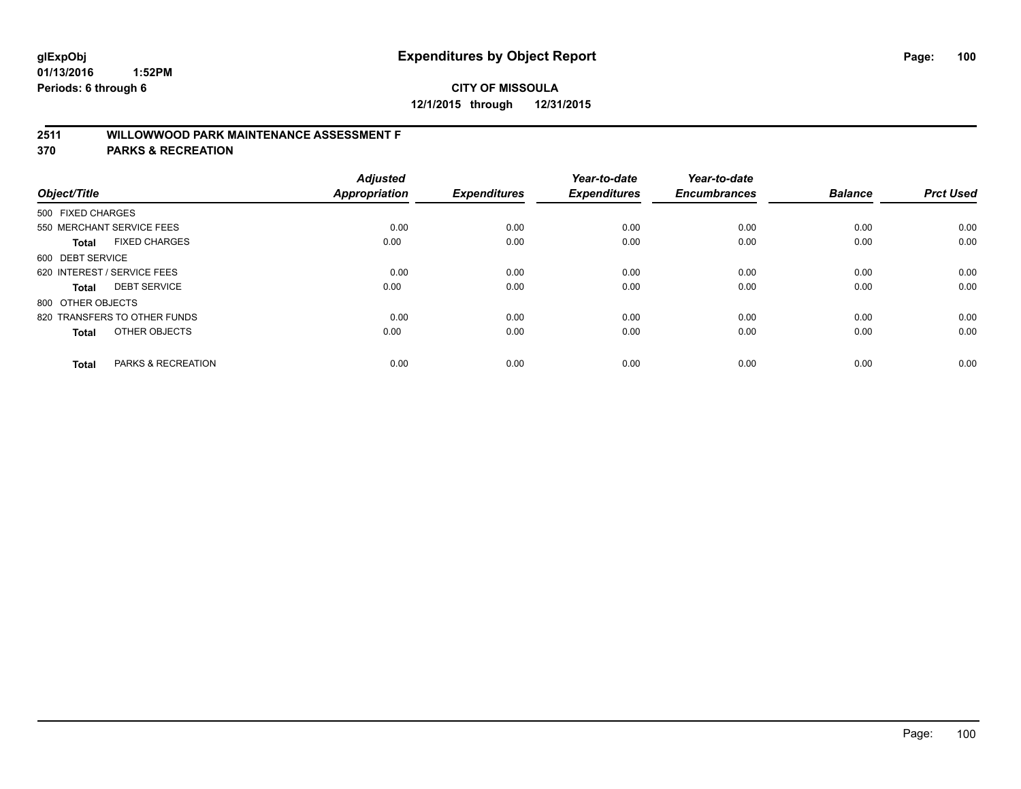# **2511 WILLOWWOOD PARK MAINTENANCE ASSESSMENT F**

**370 PARKS & RECREATION**

| Object/Title      |                               | <b>Adjusted</b><br><b>Appropriation</b> | <b>Expenditures</b> | Year-to-date<br><b>Expenditures</b> | Year-to-date<br><b>Encumbrances</b> | <b>Balance</b> | <b>Prct Used</b> |
|-------------------|-------------------------------|-----------------------------------------|---------------------|-------------------------------------|-------------------------------------|----------------|------------------|
| 500 FIXED CHARGES |                               |                                         |                     |                                     |                                     |                |                  |
|                   | 550 MERCHANT SERVICE FEES     | 0.00                                    | 0.00                | 0.00                                | 0.00                                | 0.00           | 0.00             |
| <b>Total</b>      | <b>FIXED CHARGES</b>          | 0.00                                    | 0.00                | 0.00                                | 0.00                                | 0.00           | 0.00             |
| 600 DEBT SERVICE  |                               |                                         |                     |                                     |                                     |                |                  |
|                   | 620 INTEREST / SERVICE FEES   | 0.00                                    | 0.00                | 0.00                                | 0.00                                | 0.00           | 0.00             |
| Total             | <b>DEBT SERVICE</b>           | 0.00                                    | 0.00                | 0.00                                | 0.00                                | 0.00           | 0.00             |
| 800 OTHER OBJECTS |                               |                                         |                     |                                     |                                     |                |                  |
|                   | 820 TRANSFERS TO OTHER FUNDS  | 0.00                                    | 0.00                | 0.00                                | 0.00                                | 0.00           | 0.00             |
| <b>Total</b>      | OTHER OBJECTS                 | 0.00                                    | 0.00                | 0.00                                | 0.00                                | 0.00           | 0.00             |
| <b>Total</b>      | <b>PARKS &amp; RECREATION</b> | 0.00                                    | 0.00                | 0.00                                | 0.00                                | 0.00           | 0.00             |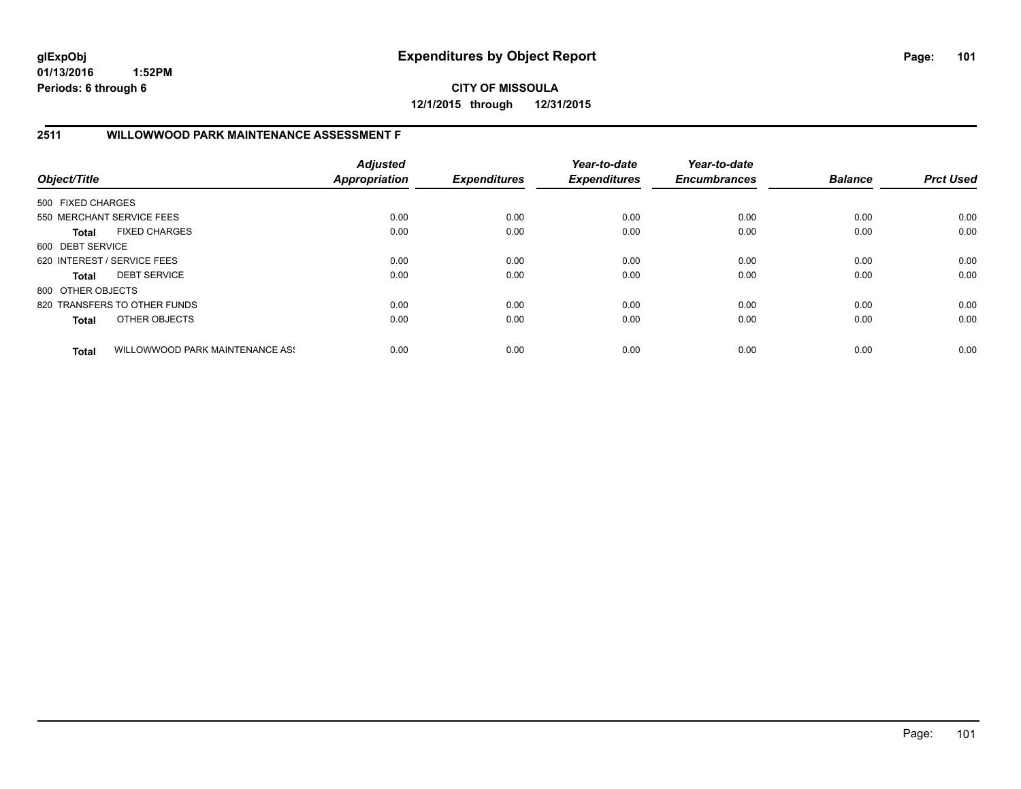**CITY OF MISSOULA 12/1/2015 through 12/31/2015**

## **2511 WILLOWWOOD PARK MAINTENANCE ASSESSMENT F**

| Object/Title      |                                 | <b>Adjusted</b><br><b>Appropriation</b> | <b>Expenditures</b> | Year-to-date<br><b>Expenditures</b> | Year-to-date<br><b>Encumbrances</b> | <b>Balance</b> | <b>Prct Used</b> |
|-------------------|---------------------------------|-----------------------------------------|---------------------|-------------------------------------|-------------------------------------|----------------|------------------|
| 500 FIXED CHARGES |                                 |                                         |                     |                                     |                                     |                |                  |
|                   | 550 MERCHANT SERVICE FEES       | 0.00                                    | 0.00                | 0.00                                | 0.00                                | 0.00           | 0.00             |
| Total             | <b>FIXED CHARGES</b>            | 0.00                                    | 0.00                | 0.00                                | 0.00                                | 0.00           | 0.00             |
| 600 DEBT SERVICE  |                                 |                                         |                     |                                     |                                     |                |                  |
|                   | 620 INTEREST / SERVICE FEES     | 0.00                                    | 0.00                | 0.00                                | 0.00                                | 0.00           | 0.00             |
| <b>Total</b>      | <b>DEBT SERVICE</b>             | 0.00                                    | 0.00                | 0.00                                | 0.00                                | 0.00           | 0.00             |
| 800 OTHER OBJECTS |                                 |                                         |                     |                                     |                                     |                |                  |
|                   | 820 TRANSFERS TO OTHER FUNDS    | 0.00                                    | 0.00                | 0.00                                | 0.00                                | 0.00           | 0.00             |
| <b>Total</b>      | OTHER OBJECTS                   | 0.00                                    | 0.00                | 0.00                                | 0.00                                | 0.00           | 0.00             |
| <b>Total</b>      | WILLOWWOOD PARK MAINTENANCE ASS | 0.00                                    | 0.00                | 0.00                                | 0.00                                | 0.00           | 0.00             |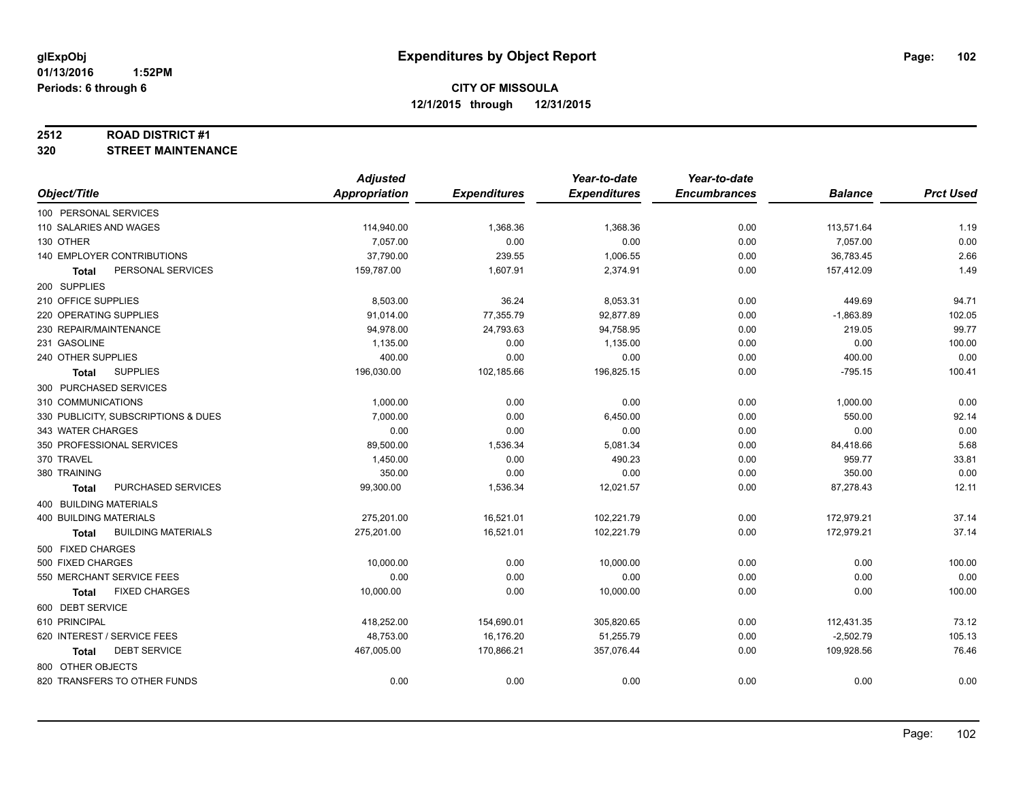#### **2512 ROAD DISTRICT #1**

**320 STREET MAINTENANCE**

|                                           | <b>Adjusted</b>      |                     | Year-to-date        | Year-to-date        |                |                  |
|-------------------------------------------|----------------------|---------------------|---------------------|---------------------|----------------|------------------|
| Object/Title                              | <b>Appropriation</b> | <b>Expenditures</b> | <b>Expenditures</b> | <b>Encumbrances</b> | <b>Balance</b> | <b>Prct Used</b> |
| 100 PERSONAL SERVICES                     |                      |                     |                     |                     |                |                  |
| 110 SALARIES AND WAGES                    | 114,940.00           | 1,368.36            | 1,368.36            | 0.00                | 113,571.64     | 1.19             |
| 130 OTHER                                 | 7,057.00             | 0.00                | 0.00                | 0.00                | 7,057.00       | 0.00             |
| 140 EMPLOYER CONTRIBUTIONS                | 37,790.00            | 239.55              | 1,006.55            | 0.00                | 36,783.45      | 2.66             |
| PERSONAL SERVICES<br><b>Total</b>         | 159,787.00           | 1,607.91            | 2,374.91            | 0.00                | 157,412.09     | 1.49             |
| 200 SUPPLIES                              |                      |                     |                     |                     |                |                  |
| 210 OFFICE SUPPLIES                       | 8,503.00             | 36.24               | 8,053.31            | 0.00                | 449.69         | 94.71            |
| 220 OPERATING SUPPLIES                    | 91,014.00            | 77,355.79           | 92,877.89           | 0.00                | $-1,863.89$    | 102.05           |
| 230 REPAIR/MAINTENANCE                    | 94,978.00            | 24,793.63           | 94,758.95           | 0.00                | 219.05         | 99.77            |
| 231 GASOLINE                              | 1,135.00             | 0.00                | 1,135.00            | 0.00                | 0.00           | 100.00           |
| 240 OTHER SUPPLIES                        | 400.00               | 0.00                | 0.00                | 0.00                | 400.00         | 0.00             |
| <b>SUPPLIES</b><br>Total                  | 196,030.00           | 102,185.66          | 196,825.15          | 0.00                | $-795.15$      | 100.41           |
| 300 PURCHASED SERVICES                    |                      |                     |                     |                     |                |                  |
| 310 COMMUNICATIONS                        | 1,000.00             | 0.00                | 0.00                | 0.00                | 1,000.00       | 0.00             |
| 330 PUBLICITY, SUBSCRIPTIONS & DUES       | 7,000.00             | 0.00                | 6,450.00            | 0.00                | 550.00         | 92.14            |
| 343 WATER CHARGES                         | 0.00                 | 0.00                | 0.00                | 0.00                | 0.00           | 0.00             |
| 350 PROFESSIONAL SERVICES                 | 89,500.00            | 1,536.34            | 5,081.34            | 0.00                | 84,418.66      | 5.68             |
| 370 TRAVEL                                | 1,450.00             | 0.00                | 490.23              | 0.00                | 959.77         | 33.81            |
| 380 TRAINING                              | 350.00               | 0.00                | 0.00                | 0.00                | 350.00         | 0.00             |
| PURCHASED SERVICES<br><b>Total</b>        | 99,300.00            | 1,536.34            | 12,021.57           | 0.00                | 87,278.43      | 12.11            |
| 400 BUILDING MATERIALS                    |                      |                     |                     |                     |                |                  |
| <b>400 BUILDING MATERIALS</b>             | 275,201.00           | 16,521.01           | 102,221.79          | 0.00                | 172,979.21     | 37.14            |
| <b>BUILDING MATERIALS</b><br><b>Total</b> | 275,201.00           | 16,521.01           | 102,221.79          | 0.00                | 172,979.21     | 37.14            |
| 500 FIXED CHARGES                         |                      |                     |                     |                     |                |                  |
| 500 FIXED CHARGES                         | 10,000.00            | 0.00                | 10,000.00           | 0.00                | 0.00           | 100.00           |
| 550 MERCHANT SERVICE FEES                 | 0.00                 | 0.00                | 0.00                | 0.00                | 0.00           | 0.00             |
| <b>FIXED CHARGES</b><br><b>Total</b>      | 10,000.00            | 0.00                | 10,000.00           | 0.00                | 0.00           | 100.00           |
| 600 DEBT SERVICE                          |                      |                     |                     |                     |                |                  |
| 610 PRINCIPAL                             | 418,252.00           | 154,690.01          | 305,820.65          | 0.00                | 112,431.35     | 73.12            |
| 620 INTEREST / SERVICE FEES               | 48,753.00            | 16,176.20           | 51,255.79           | 0.00                | $-2,502.79$    | 105.13           |
| <b>DEBT SERVICE</b><br>Total              | 467,005.00           | 170,866.21          | 357,076.44          | 0.00                | 109,928.56     | 76.46            |
| 800 OTHER OBJECTS                         |                      |                     |                     |                     |                |                  |
| 820 TRANSFERS TO OTHER FUNDS              | 0.00                 | 0.00                | 0.00                | 0.00                | 0.00           | 0.00             |
|                                           |                      |                     |                     |                     |                |                  |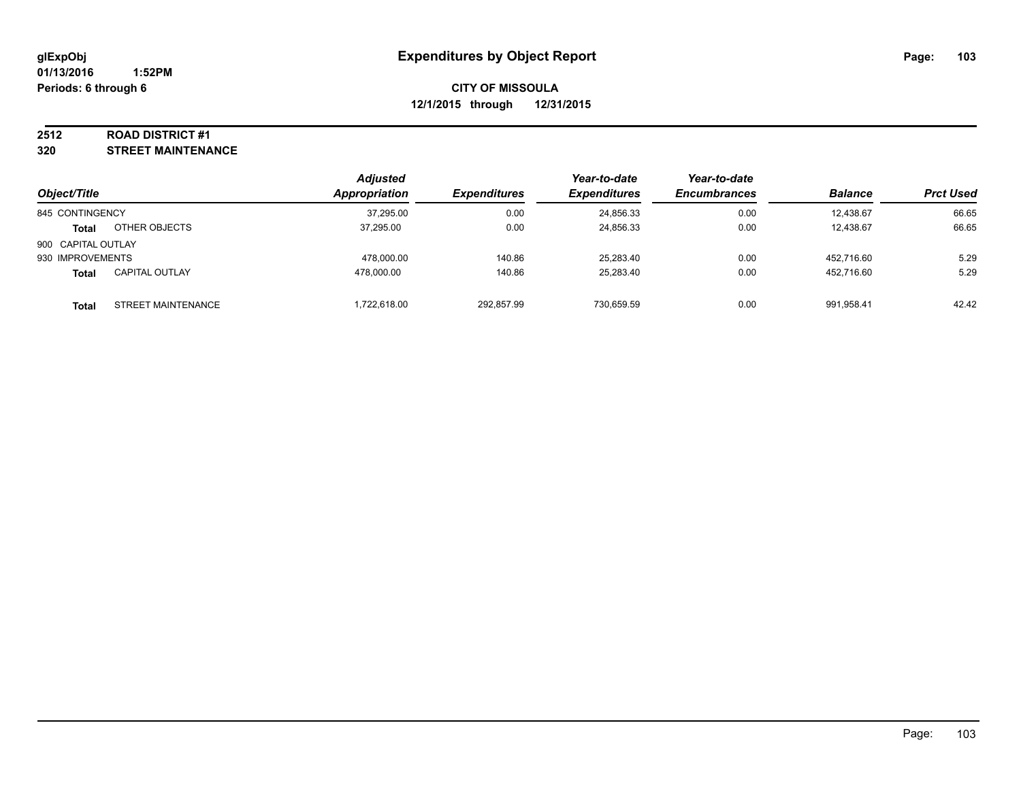#### **2512 ROAD DISTRICT #1**

**320 STREET MAINTENANCE**

|                    |                       | <b>Adjusted</b>      |                     | Year-to-date        | Year-to-date        |                |                  |
|--------------------|-----------------------|----------------------|---------------------|---------------------|---------------------|----------------|------------------|
| Object/Title       |                       | <b>Appropriation</b> | <b>Expenditures</b> | <b>Expenditures</b> | <b>Encumbrances</b> | <b>Balance</b> | <b>Prct Used</b> |
| 845 CONTINGENCY    |                       | 37,295.00            | 0.00                | 24,856.33           | 0.00                | 12.438.67      | 66.65            |
| <b>Total</b>       | OTHER OBJECTS         | 37.295.00            | 0.00                | 24,856.33           | 0.00                | 12.438.67      | 66.65            |
| 900 CAPITAL OUTLAY |                       |                      |                     |                     |                     |                |                  |
| 930 IMPROVEMENTS   |                       | 478.000.00           | 140.86              | 25,283.40           | 0.00                | 452.716.60     | 5.29             |
| Total              | <b>CAPITAL OUTLAY</b> | 478.000.00           | 140.86              | 25,283.40           | 0.00                | 452.716.60     | 5.29             |
| <b>Total</b>       | STREET MAINTENANCE    | 1,722,618.00         | 292,857.99          | 730,659.59          | 0.00                | 991.958.41     | 42.42            |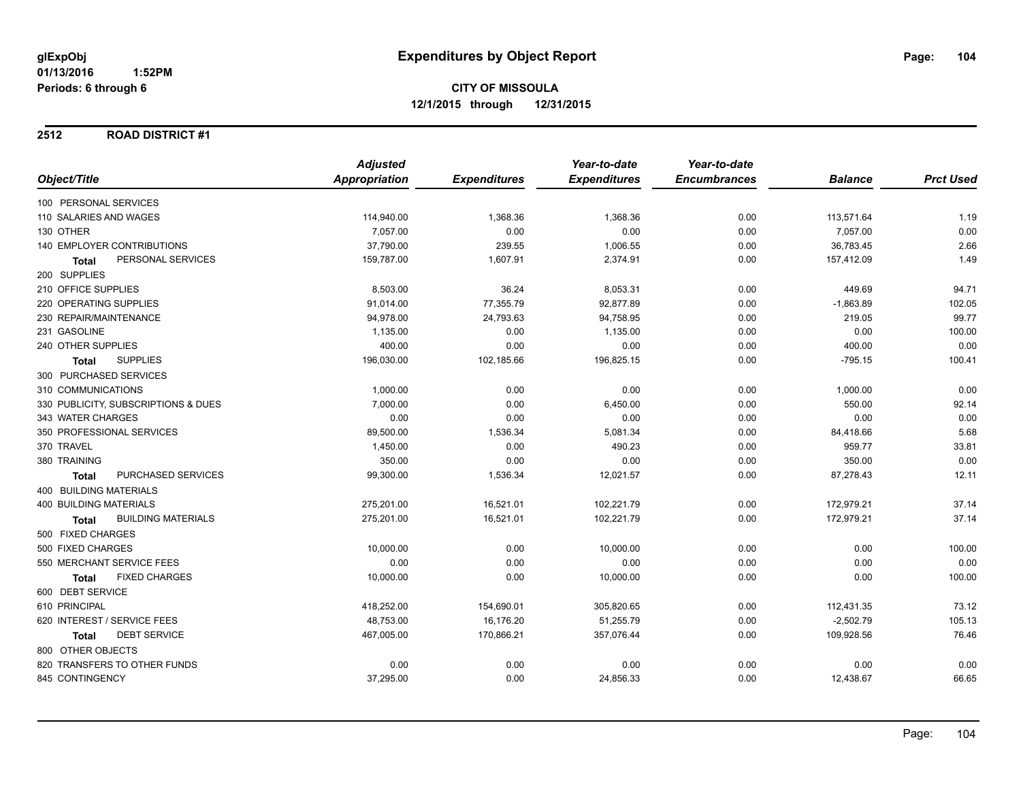#### **2512 ROAD DISTRICT #1**

|                                     | <b>Adjusted</b> |                     | Year-to-date        | Year-to-date        |                |                  |
|-------------------------------------|-----------------|---------------------|---------------------|---------------------|----------------|------------------|
| Object/Title                        | Appropriation   | <b>Expenditures</b> | <b>Expenditures</b> | <b>Encumbrances</b> | <b>Balance</b> | <b>Prct Used</b> |
| 100 PERSONAL SERVICES               |                 |                     |                     |                     |                |                  |
| 110 SALARIES AND WAGES              | 114,940.00      | 1,368.36            | 1,368.36            | 0.00                | 113,571.64     | 1.19             |
| 130 OTHER                           | 7,057.00        | 0.00                | 0.00                | 0.00                | 7,057.00       | 0.00             |
| <b>140 EMPLOYER CONTRIBUTIONS</b>   | 37,790.00       | 239.55              | 1,006.55            | 0.00                | 36,783.45      | 2.66             |
| PERSONAL SERVICES<br><b>Total</b>   | 159,787.00      | 1,607.91            | 2,374.91            | 0.00                | 157,412.09     | 1.49             |
| 200 SUPPLIES                        |                 |                     |                     |                     |                |                  |
| 210 OFFICE SUPPLIES                 | 8,503.00        | 36.24               | 8,053.31            | 0.00                | 449.69         | 94.71            |
| 220 OPERATING SUPPLIES              | 91,014.00       | 77,355.79           | 92,877.89           | 0.00                | $-1,863.89$    | 102.05           |
| 230 REPAIR/MAINTENANCE              | 94,978.00       | 24,793.63           | 94,758.95           | 0.00                | 219.05         | 99.77            |
| 231 GASOLINE                        | 1,135.00        | 0.00                | 1,135.00            | 0.00                | 0.00           | 100.00           |
| 240 OTHER SUPPLIES                  | 400.00          | 0.00                | 0.00                | 0.00                | 400.00         | 0.00             |
| <b>SUPPLIES</b><br><b>Total</b>     | 196,030.00      | 102,185.66          | 196,825.15          | 0.00                | $-795.15$      | 100.41           |
| 300 PURCHASED SERVICES              |                 |                     |                     |                     |                |                  |
| 310 COMMUNICATIONS                  | 1,000.00        | 0.00                | 0.00                | 0.00                | 1,000.00       | 0.00             |
| 330 PUBLICITY, SUBSCRIPTIONS & DUES | 7,000.00        | 0.00                | 6,450.00            | 0.00                | 550.00         | 92.14            |
| 343 WATER CHARGES                   | 0.00            | 0.00                | 0.00                | 0.00                | 0.00           | 0.00             |
| 350 PROFESSIONAL SERVICES           | 89,500.00       | 1,536.34            | 5,081.34            | 0.00                | 84,418.66      | 5.68             |
| 370 TRAVEL                          | 1,450.00        | 0.00                | 490.23              | 0.00                | 959.77         | 33.81            |
| 380 TRAINING                        | 350.00          | 0.00                | 0.00                | 0.00                | 350.00         | 0.00             |
| PURCHASED SERVICES<br><b>Total</b>  | 99,300.00       | 1,536.34            | 12,021.57           | 0.00                | 87,278.43      | 12.11            |
| 400 BUILDING MATERIALS              |                 |                     |                     |                     |                |                  |
| <b>400 BUILDING MATERIALS</b>       | 275,201.00      | 16,521.01           | 102,221.79          | 0.00                | 172,979.21     | 37.14            |
| <b>BUILDING MATERIALS</b><br>Total  | 275,201.00      | 16,521.01           | 102,221.79          | 0.00                | 172,979.21     | 37.14            |
| 500 FIXED CHARGES                   |                 |                     |                     |                     |                |                  |
| 500 FIXED CHARGES                   | 10,000.00       | 0.00                | 10,000.00           | 0.00                | 0.00           | 100.00           |
| 550 MERCHANT SERVICE FEES           | 0.00            | 0.00                | 0.00                | 0.00                | 0.00           | 0.00             |
| <b>FIXED CHARGES</b><br>Total       | 10,000.00       | 0.00                | 10,000.00           | 0.00                | 0.00           | 100.00           |
| 600 DEBT SERVICE                    |                 |                     |                     |                     |                |                  |
| 610 PRINCIPAL                       | 418,252.00      | 154,690.01          | 305,820.65          | 0.00                | 112,431.35     | 73.12            |
| 620 INTEREST / SERVICE FEES         | 48,753.00       | 16,176.20           | 51,255.79           | 0.00                | $-2,502.79$    | 105.13           |
| <b>DEBT SERVICE</b><br>Total        | 467,005.00      | 170,866.21          | 357,076.44          | 0.00                | 109,928.56     | 76.46            |
| 800 OTHER OBJECTS                   |                 |                     |                     |                     |                |                  |
| 820 TRANSFERS TO OTHER FUNDS        | 0.00            | 0.00                | 0.00                | 0.00                | 0.00           | 0.00             |
| 845 CONTINGENCY                     | 37,295.00       | 0.00                | 24,856.33           | 0.00                | 12,438.67      | 66.65            |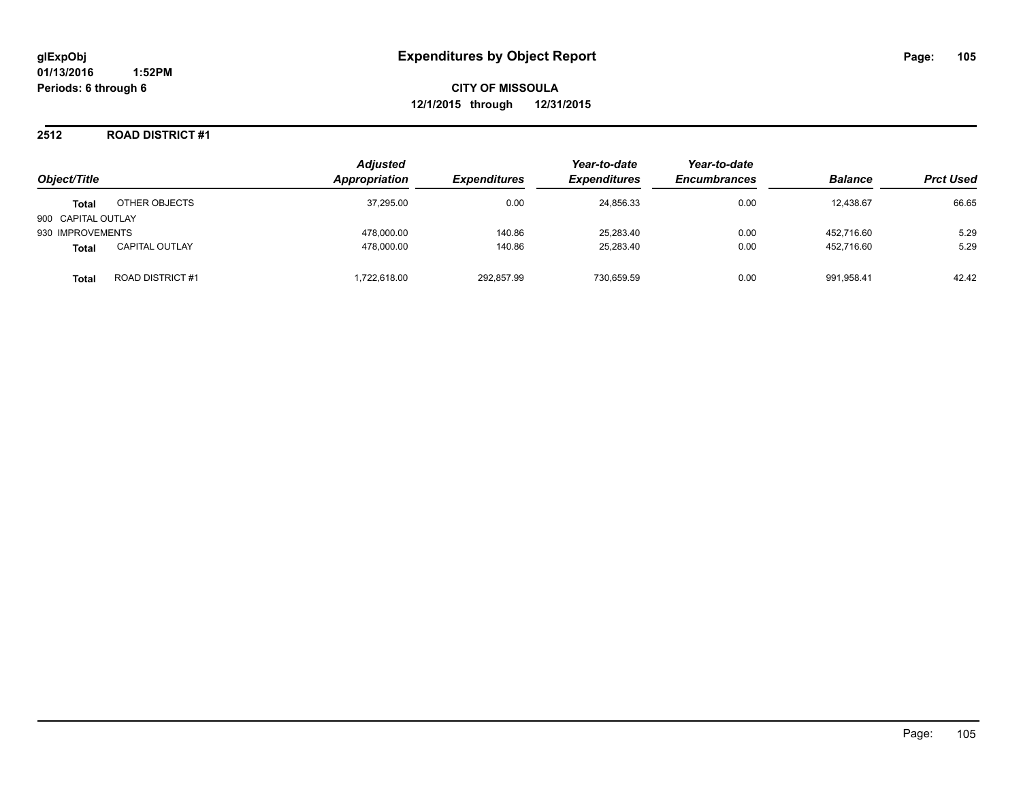### **2512 ROAD DISTRICT #1**

| Object/Title       |                        | <b>Adjusted</b><br>Appropriation | <b>Expenditures</b> | Year-to-date<br><b>Expenditures</b> | Year-to-date<br><b>Encumbrances</b> | <b>Balance</b> | <b>Prct Used</b> |
|--------------------|------------------------|----------------------------------|---------------------|-------------------------------------|-------------------------------------|----------------|------------------|
| <b>Total</b>       | OTHER OBJECTS          | 37,295.00                        | 0.00                | 24,856.33                           | 0.00                                | 12,438.67      | 66.65            |
| 900 CAPITAL OUTLAY |                        |                                  |                     |                                     |                                     |                |                  |
| 930 IMPROVEMENTS   |                        | 478,000.00                       | 140.86              | 25,283.40                           | 0.00                                | 452.716.60     | 5.29             |
| <b>Total</b>       | <b>CAPITAL OUTLAY</b>  | 478,000.00                       | 140.86              | 25,283.40                           | 0.00                                | 452.716.60     | 5.29             |
| <b>Total</b>       | <b>ROAD DISTRICT#1</b> | 1.722.618.00                     | 292,857.99          | 730,659.59                          | 0.00                                | 991.958.41     | 42.42            |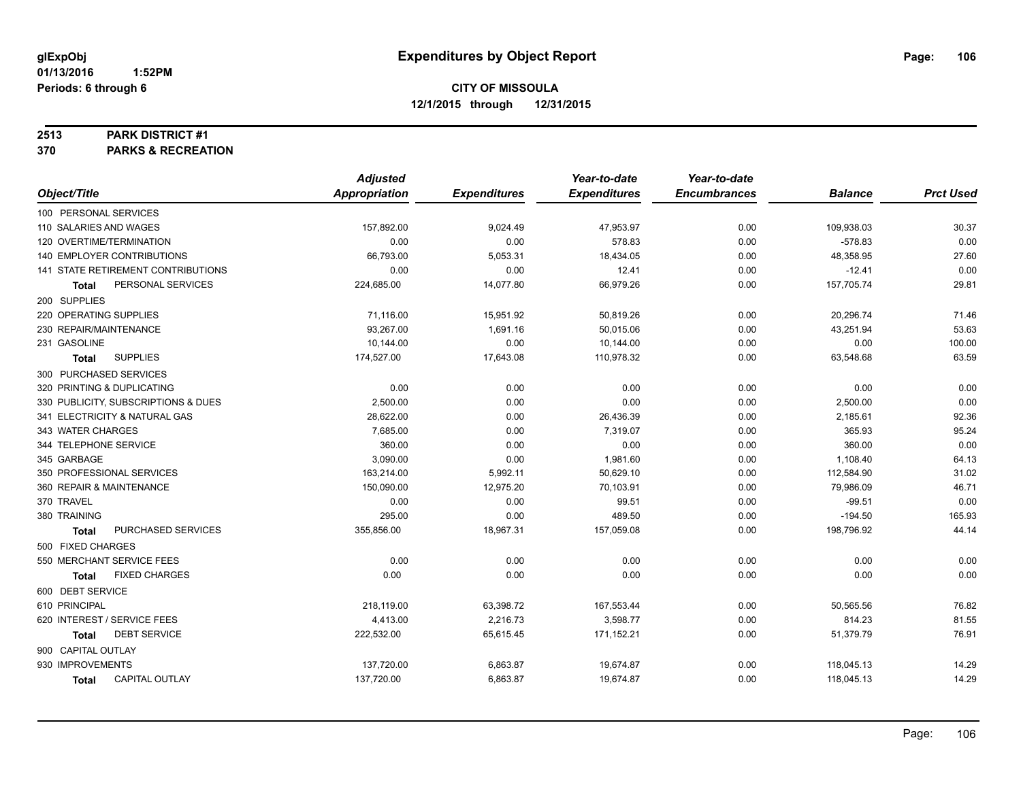#### **2513 PARK DISTRICT #1**

**370 PARKS & RECREATION**

|                                       | <b>Adjusted</b>      |                     | Year-to-date        | Year-to-date        |                |                  |
|---------------------------------------|----------------------|---------------------|---------------------|---------------------|----------------|------------------|
| Object/Title                          | <b>Appropriation</b> | <b>Expenditures</b> | <b>Expenditures</b> | <b>Encumbrances</b> | <b>Balance</b> | <b>Prct Used</b> |
| 100 PERSONAL SERVICES                 |                      |                     |                     |                     |                |                  |
| 110 SALARIES AND WAGES                | 157,892.00           | 9,024.49            | 47,953.97           | 0.00                | 109,938.03     | 30.37            |
| 120 OVERTIME/TERMINATION              | 0.00                 | 0.00                | 578.83              | 0.00                | $-578.83$      | 0.00             |
| 140 EMPLOYER CONTRIBUTIONS            | 66,793.00            | 5,053.31            | 18,434.05           | 0.00                | 48,358.95      | 27.60            |
| 141 STATE RETIREMENT CONTRIBUTIONS    | 0.00                 | 0.00                | 12.41               | 0.00                | $-12.41$       | 0.00             |
| PERSONAL SERVICES<br><b>Total</b>     | 224,685.00           | 14,077.80           | 66,979.26           | 0.00                | 157,705.74     | 29.81            |
| 200 SUPPLIES                          |                      |                     |                     |                     |                |                  |
| 220 OPERATING SUPPLIES                | 71,116.00            | 15,951.92           | 50,819.26           | 0.00                | 20,296.74      | 71.46            |
| 230 REPAIR/MAINTENANCE                | 93.267.00            | 1,691.16            | 50,015.06           | 0.00                | 43,251.94      | 53.63            |
| 231 GASOLINE                          | 10,144.00            | 0.00                | 10,144.00           | 0.00                | 0.00           | 100.00           |
| <b>SUPPLIES</b><br><b>Total</b>       | 174,527.00           | 17,643.08           | 110,978.32          | 0.00                | 63,548.68      | 63.59            |
| 300 PURCHASED SERVICES                |                      |                     |                     |                     |                |                  |
| 320 PRINTING & DUPLICATING            | 0.00                 | 0.00                | 0.00                | 0.00                | 0.00           | 0.00             |
| 330 PUBLICITY, SUBSCRIPTIONS & DUES   | 2,500.00             | 0.00                | 0.00                | 0.00                | 2,500.00       | 0.00             |
| 341 ELECTRICITY & NATURAL GAS         | 28,622.00            | 0.00                | 26,436.39           | 0.00                | 2,185.61       | 92.36            |
| 343 WATER CHARGES                     | 7,685.00             | 0.00                | 7,319.07            | 0.00                | 365.93         | 95.24            |
| 344 TELEPHONE SERVICE                 | 360.00               | 0.00                | 0.00                | 0.00                | 360.00         | 0.00             |
| 345 GARBAGE                           | 3,090.00             | 0.00                | 1,981.60            | 0.00                | 1,108.40       | 64.13            |
| 350 PROFESSIONAL SERVICES             | 163,214.00           | 5,992.11            | 50,629.10           | 0.00                | 112,584.90     | 31.02            |
| 360 REPAIR & MAINTENANCE              | 150.090.00           | 12,975.20           | 70,103.91           | 0.00                | 79,986.09      | 46.71            |
| 370 TRAVEL                            | 0.00                 | 0.00                | 99.51               | 0.00                | $-99.51$       | 0.00             |
| 380 TRAINING                          | 295.00               | 0.00                | 489.50              | 0.00                | $-194.50$      | 165.93           |
| PURCHASED SERVICES<br><b>Total</b>    | 355,856.00           | 18,967.31           | 157,059.08          | 0.00                | 198,796.92     | 44.14            |
| 500 FIXED CHARGES                     |                      |                     |                     |                     |                |                  |
| 550 MERCHANT SERVICE FEES             | 0.00                 | 0.00                | 0.00                | 0.00                | 0.00           | 0.00             |
| <b>FIXED CHARGES</b><br><b>Total</b>  | 0.00                 | 0.00                | 0.00                | 0.00                | 0.00           | 0.00             |
| 600 DEBT SERVICE                      |                      |                     |                     |                     |                |                  |
| 610 PRINCIPAL                         | 218,119.00           | 63,398.72           | 167,553.44          | 0.00                | 50,565.56      | 76.82            |
| 620 INTEREST / SERVICE FEES           | 4,413.00             | 2,216.73            | 3,598.77            | 0.00                | 814.23         | 81.55            |
| <b>DEBT SERVICE</b><br><b>Total</b>   | 222,532.00           | 65,615.45           | 171,152.21          | 0.00                | 51,379.79      | 76.91            |
| 900 CAPITAL OUTLAY                    |                      |                     |                     |                     |                |                  |
| 930 IMPROVEMENTS                      | 137,720.00           | 6,863.87            | 19,674.87           | 0.00                | 118,045.13     | 14.29            |
| <b>CAPITAL OUTLAY</b><br><b>Total</b> | 137,720.00           | 6,863.87            | 19,674.87           | 0.00                | 118,045.13     | 14.29            |
|                                       |                      |                     |                     |                     |                |                  |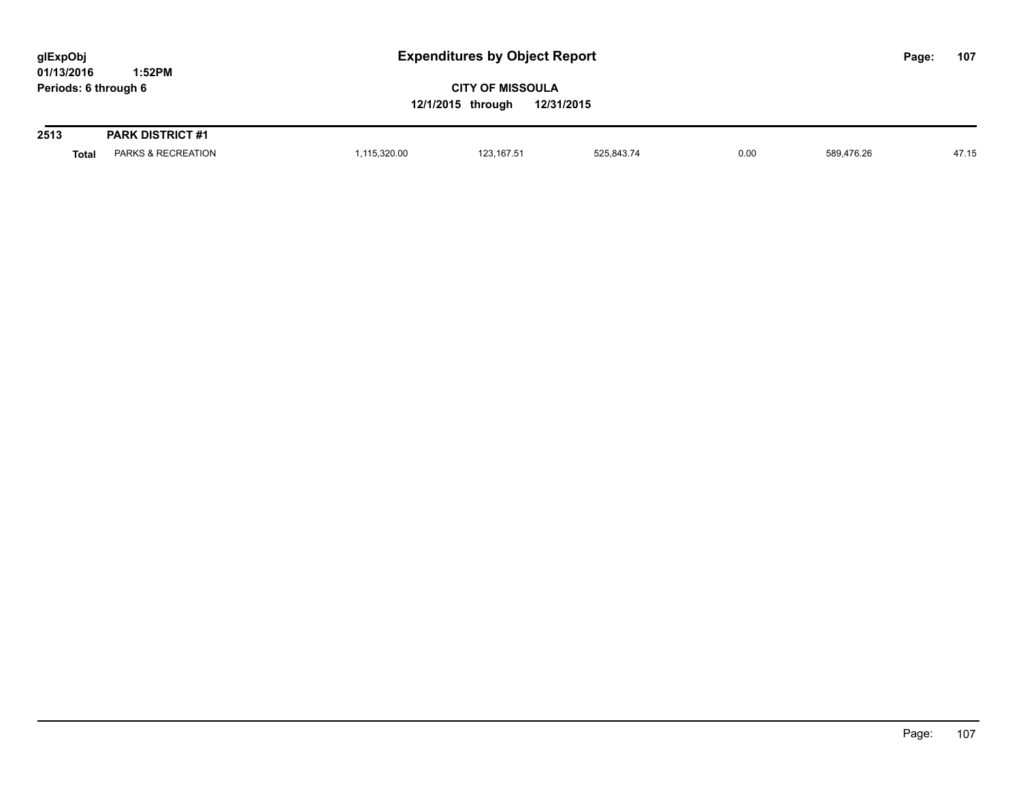| glExpObj<br>01/13/2016 | 1:52PM                             |              | <b>Expenditures by Object Report</b>                       |            |      |            |  |       |
|------------------------|------------------------------------|--------------|------------------------------------------------------------|------------|------|------------|--|-------|
| Periods: 6 through 6   |                                    |              | <b>CITY OF MISSOULA</b><br>12/31/2015<br>12/1/2015 through |            |      |            |  |       |
| 2513                   | <b>PARK DISTRICT #1</b>            |              |                                                            |            |      |            |  |       |
|                        | PARKS & RECREATION<br><b>Total</b> | 1,115,320.00 | 123.167.51                                                 | 525.843.74 | 0.00 | 589.476.26 |  | 47.15 |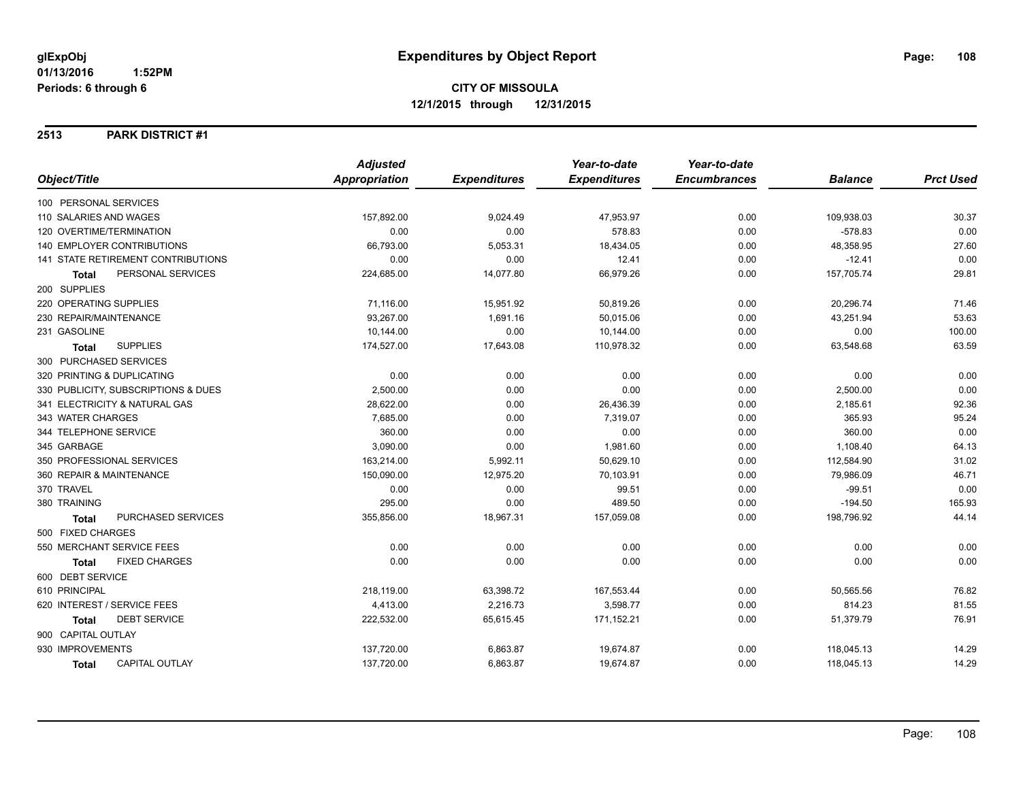### **2513 PARK DISTRICT #1**

|                                           | <b>Adjusted</b>      |                     | Year-to-date        | Year-to-date        |                |                  |
|-------------------------------------------|----------------------|---------------------|---------------------|---------------------|----------------|------------------|
| Object/Title                              | <b>Appropriation</b> | <b>Expenditures</b> | <b>Expenditures</b> | <b>Encumbrances</b> | <b>Balance</b> | <b>Prct Used</b> |
| 100 PERSONAL SERVICES                     |                      |                     |                     |                     |                |                  |
| 110 SALARIES AND WAGES                    | 157,892.00           | 9,024.49            | 47,953.97           | 0.00                | 109,938.03     | 30.37            |
| 120 OVERTIME/TERMINATION                  | 0.00                 | 0.00                | 578.83              | 0.00                | $-578.83$      | 0.00             |
| <b>140 EMPLOYER CONTRIBUTIONS</b>         | 66,793.00            | 5,053.31            | 18,434.05           | 0.00                | 48,358.95      | 27.60            |
| <b>141 STATE RETIREMENT CONTRIBUTIONS</b> | 0.00                 | 0.00                | 12.41               | 0.00                | $-12.41$       | 0.00             |
| PERSONAL SERVICES<br><b>Total</b>         | 224,685.00           | 14,077.80           | 66,979.26           | 0.00                | 157,705.74     | 29.81            |
| 200 SUPPLIES                              |                      |                     |                     |                     |                |                  |
| 220 OPERATING SUPPLIES                    | 71,116.00            | 15,951.92           | 50,819.26           | 0.00                | 20,296.74      | 71.46            |
| 230 REPAIR/MAINTENANCE                    | 93,267.00            | 1,691.16            | 50,015.06           | 0.00                | 43,251.94      | 53.63            |
| 231 GASOLINE                              | 10,144.00            | 0.00                | 10,144.00           | 0.00                | 0.00           | 100.00           |
| <b>SUPPLIES</b><br><b>Total</b>           | 174,527.00           | 17,643.08           | 110,978.32          | 0.00                | 63,548.68      | 63.59            |
| 300 PURCHASED SERVICES                    |                      |                     |                     |                     |                |                  |
| 320 PRINTING & DUPLICATING                | 0.00                 | 0.00                | 0.00                | 0.00                | 0.00           | 0.00             |
| 330 PUBLICITY, SUBSCRIPTIONS & DUES       | 2,500.00             | 0.00                | 0.00                | 0.00                | 2,500.00       | 0.00             |
| 341 ELECTRICITY & NATURAL GAS             | 28,622.00            | 0.00                | 26,436.39           | 0.00                | 2,185.61       | 92.36            |
| 343 WATER CHARGES                         | 7,685.00             | 0.00                | 7,319.07            | 0.00                | 365.93         | 95.24            |
| 344 TELEPHONE SERVICE                     | 360.00               | 0.00                | 0.00                | 0.00                | 360.00         | 0.00             |
| 345 GARBAGE                               | 3,090.00             | 0.00                | 1,981.60            | 0.00                | 1,108.40       | 64.13            |
| 350 PROFESSIONAL SERVICES                 | 163,214.00           | 5,992.11            | 50,629.10           | 0.00                | 112,584.90     | 31.02            |
| 360 REPAIR & MAINTENANCE                  | 150,090.00           | 12,975.20           | 70,103.91           | 0.00                | 79,986.09      | 46.71            |
| 370 TRAVEL                                | 0.00                 | 0.00                | 99.51               | 0.00                | $-99.51$       | 0.00             |
| 380 TRAINING                              | 295.00               | 0.00                | 489.50              | 0.00                | $-194.50$      | 165.93           |
| PURCHASED SERVICES<br><b>Total</b>        | 355,856.00           | 18,967.31           | 157,059.08          | 0.00                | 198,796.92     | 44.14            |
| 500 FIXED CHARGES                         |                      |                     |                     |                     |                |                  |
| 550 MERCHANT SERVICE FEES                 | 0.00                 | 0.00                | 0.00                | 0.00                | 0.00           | 0.00             |
| <b>FIXED CHARGES</b><br><b>Total</b>      | 0.00                 | 0.00                | 0.00                | 0.00                | 0.00           | 0.00             |
| 600 DEBT SERVICE                          |                      |                     |                     |                     |                |                  |
| 610 PRINCIPAL                             | 218,119.00           | 63,398.72           | 167,553.44          | 0.00                | 50,565.56      | 76.82            |
| 620 INTEREST / SERVICE FEES               | 4,413.00             | 2,216.73            | 3,598.77            | 0.00                | 814.23         | 81.55            |
| <b>DEBT SERVICE</b><br>Total              | 222,532.00           | 65,615.45           | 171,152.21          | 0.00                | 51,379.79      | 76.91            |
| 900 CAPITAL OUTLAY                        |                      |                     |                     |                     |                |                  |
| 930 IMPROVEMENTS                          | 137,720.00           | 6,863.87            | 19,674.87           | 0.00                | 118,045.13     | 14.29            |
| <b>CAPITAL OUTLAY</b><br><b>Total</b>     | 137,720.00           | 6,863.87            | 19,674.87           | 0.00                | 118,045.13     | 14.29            |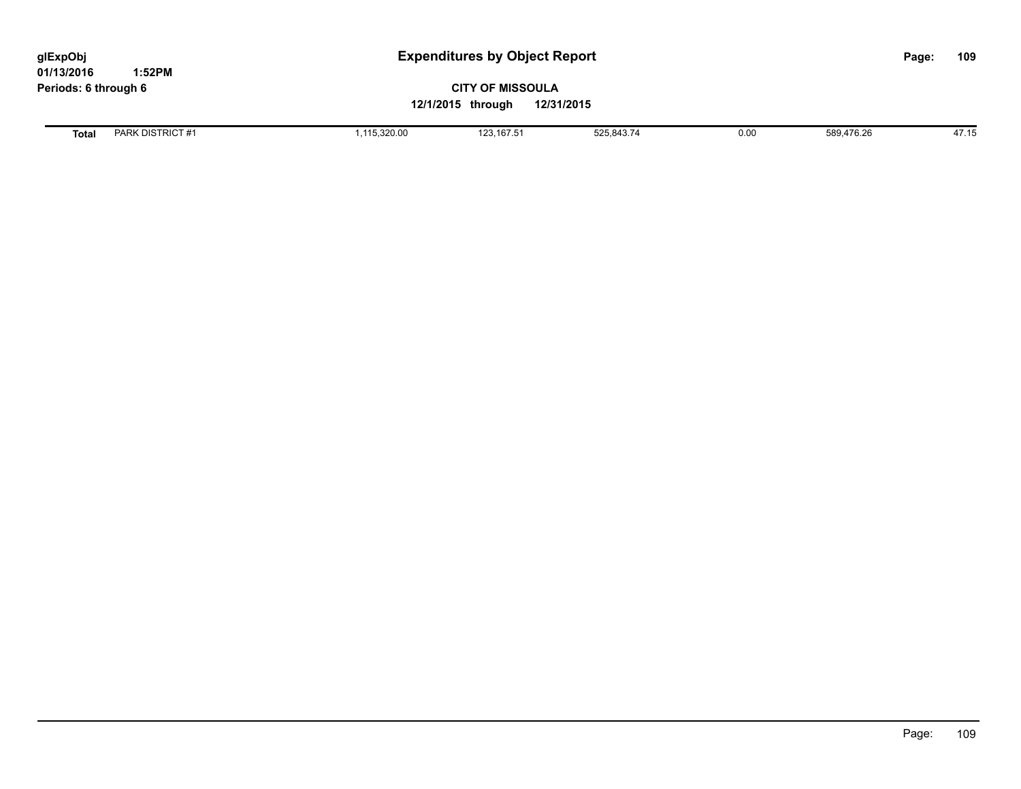| glExpObj<br>01/13/2016 | 1:52PM           |                                                            | <b>Expenditures by Object Report</b> |            |      |            |  | 109   |
|------------------------|------------------|------------------------------------------------------------|--------------------------------------|------------|------|------------|--|-------|
| Periods: 6 through 6   |                  | <b>CITY OF MISSOULA</b><br>12/1/2015 through<br>12/31/2015 |                                      |            |      |            |  |       |
| Total                  | PARK DISTRICT #1 | 115,320.00                                                 | 123, 167.51                          | 525,843.74 | 0.00 | 589.476.26 |  | 47.15 |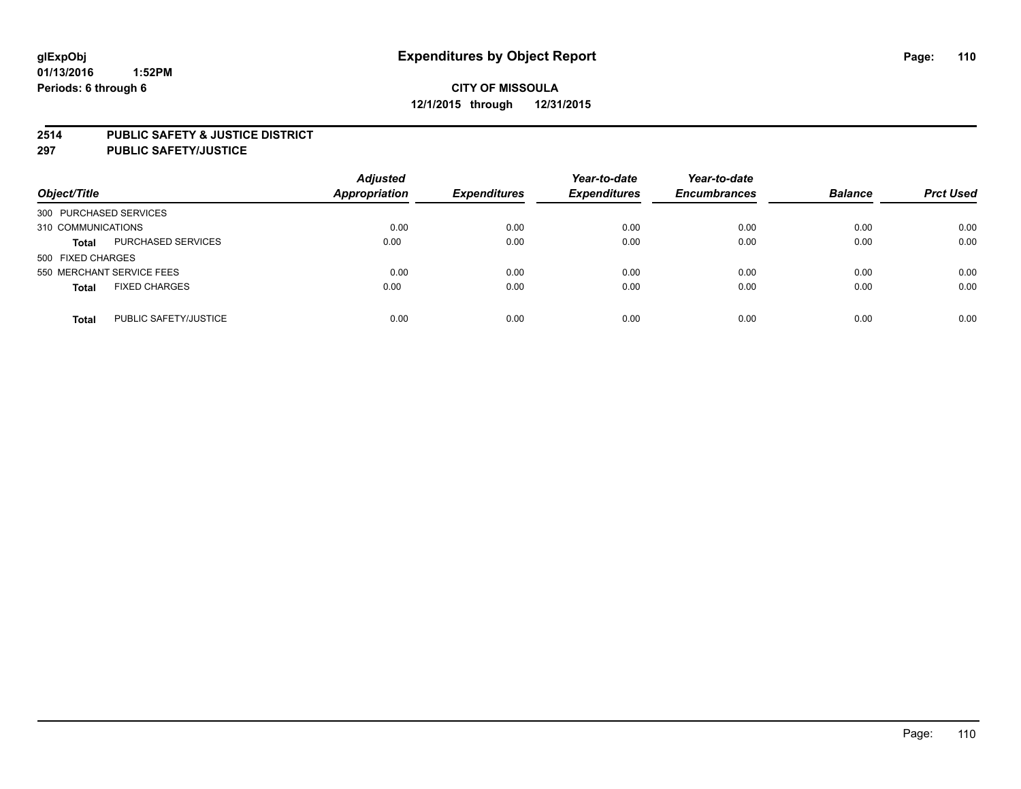#### **2514 PUBLIC SAFETY & JUSTICE DISTRICT**

**297 PUBLIC SAFETY/JUSTICE**

| Object/Title                          | <b>Adjusted</b><br><b>Appropriation</b> | <b>Expenditures</b> | Year-to-date<br><b>Expenditures</b> | Year-to-date<br><b>Encumbrances</b> | <b>Balance</b> | <b>Prct Used</b> |
|---------------------------------------|-----------------------------------------|---------------------|-------------------------------------|-------------------------------------|----------------|------------------|
| 300 PURCHASED SERVICES                |                                         |                     |                                     |                                     |                |                  |
| 310 COMMUNICATIONS                    | 0.00                                    | 0.00                | 0.00                                | 0.00                                | 0.00           | 0.00             |
| PURCHASED SERVICES<br><b>Total</b>    | 0.00                                    | 0.00                | 0.00                                | 0.00                                | 0.00           | 0.00             |
| 500 FIXED CHARGES                     |                                         |                     |                                     |                                     |                |                  |
| 550 MERCHANT SERVICE FEES             | 0.00                                    | 0.00                | 0.00                                | 0.00                                | 0.00           | 0.00             |
| <b>FIXED CHARGES</b><br><b>Total</b>  | 0.00                                    | 0.00                | 0.00                                | 0.00                                | 0.00           | 0.00             |
| PUBLIC SAFETY/JUSTICE<br><b>Total</b> | 0.00                                    | 0.00                | 0.00                                | 0.00                                | 0.00           | 0.00             |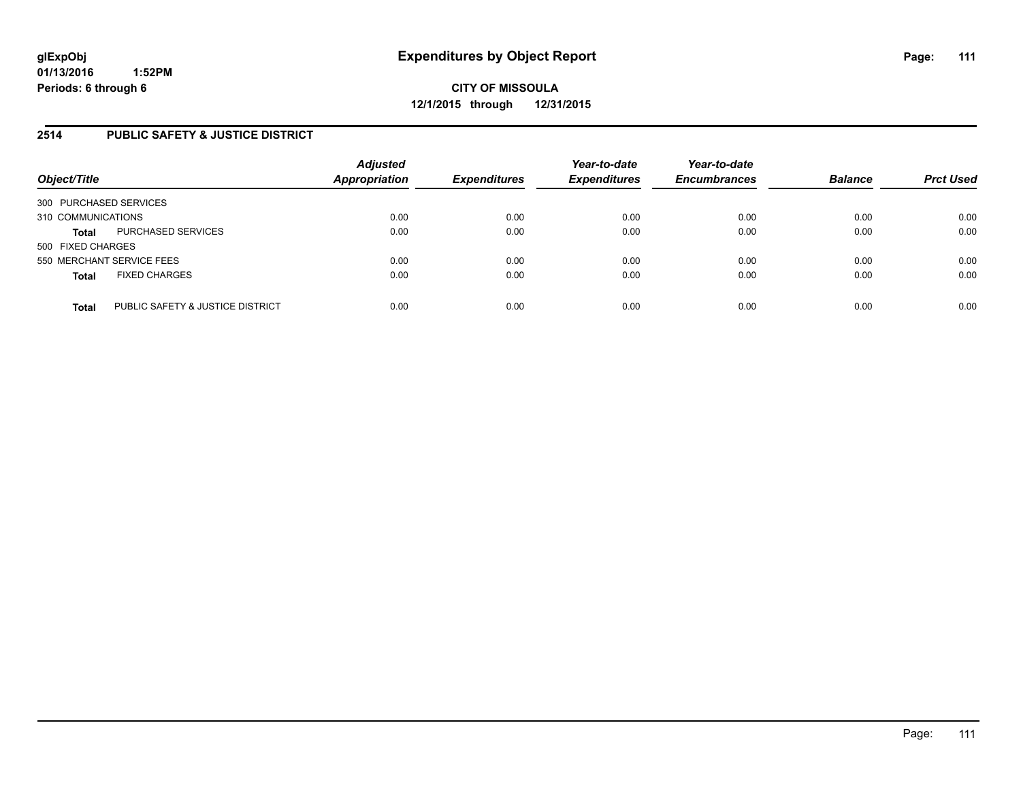### **2514 PUBLIC SAFETY & JUSTICE DISTRICT**

| Object/Title                                     | <b>Adjusted</b><br><b>Appropriation</b> | <b>Expenditures</b> | Year-to-date<br><b>Expenditures</b> | Year-to-date<br><b>Encumbrances</b> | <b>Balance</b> | <b>Prct Used</b> |
|--------------------------------------------------|-----------------------------------------|---------------------|-------------------------------------|-------------------------------------|----------------|------------------|
| 300 PURCHASED SERVICES                           |                                         |                     |                                     |                                     |                |                  |
| 310 COMMUNICATIONS                               | 0.00                                    | 0.00                | 0.00                                | 0.00                                | 0.00           | 0.00             |
| PURCHASED SERVICES<br><b>Total</b>               | 0.00                                    | 0.00                | 0.00                                | 0.00                                | 0.00           | 0.00             |
| 500 FIXED CHARGES                                |                                         |                     |                                     |                                     |                |                  |
| 550 MERCHANT SERVICE FEES                        | 0.00                                    | 0.00                | 0.00                                | 0.00                                | 0.00           | 0.00             |
| <b>FIXED CHARGES</b><br><b>Total</b>             | 0.00                                    | 0.00                | 0.00                                | 0.00                                | 0.00           | 0.00             |
| PUBLIC SAFETY & JUSTICE DISTRICT<br><b>Total</b> | 0.00                                    | 0.00                | 0.00                                | 0.00                                | 0.00           | 0.00             |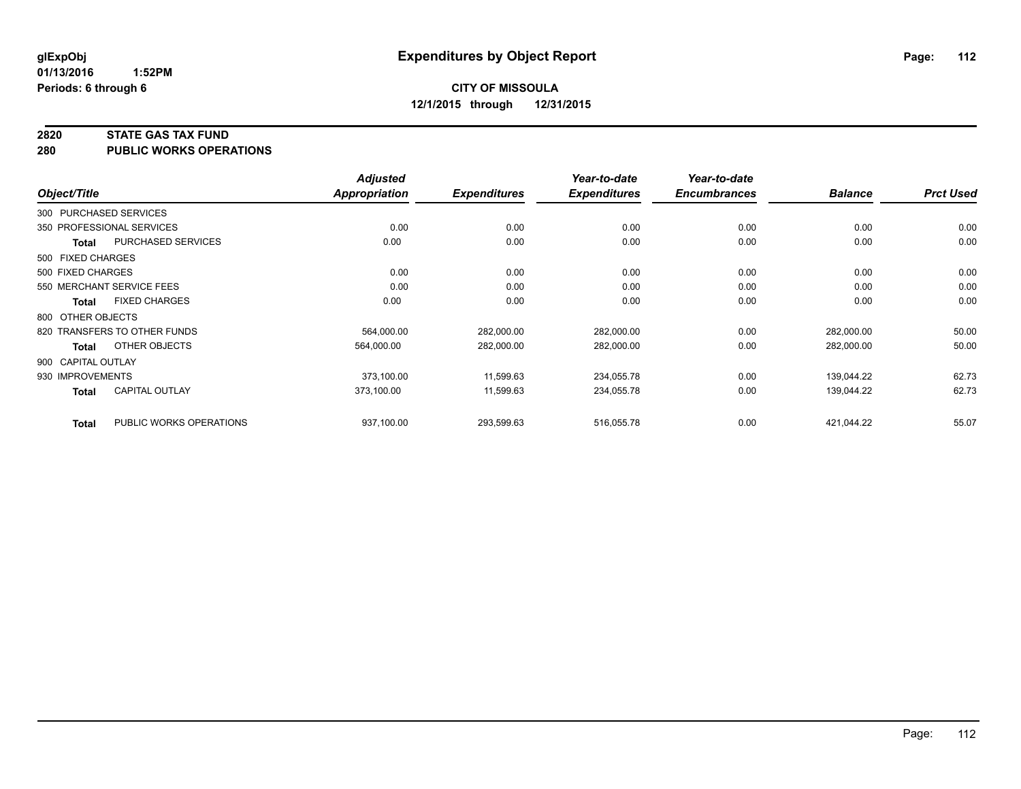#### **2820 STATE GAS TAX FUND**

**280 PUBLIC WORKS OPERATIONS**

|                    |                              | <b>Adjusted</b>      |                     | Year-to-date        | Year-to-date        |                |                  |
|--------------------|------------------------------|----------------------|---------------------|---------------------|---------------------|----------------|------------------|
| Object/Title       |                              | <b>Appropriation</b> | <b>Expenditures</b> | <b>Expenditures</b> | <b>Encumbrances</b> | <b>Balance</b> | <b>Prct Used</b> |
|                    | 300 PURCHASED SERVICES       |                      |                     |                     |                     |                |                  |
|                    | 350 PROFESSIONAL SERVICES    | 0.00                 | 0.00                | 0.00                | 0.00                | 0.00           | 0.00             |
| <b>Total</b>       | PURCHASED SERVICES           | 0.00                 | 0.00                | 0.00                | 0.00                | 0.00           | 0.00             |
| 500 FIXED CHARGES  |                              |                      |                     |                     |                     |                |                  |
| 500 FIXED CHARGES  |                              | 0.00                 | 0.00                | 0.00                | 0.00                | 0.00           | 0.00             |
|                    | 550 MERCHANT SERVICE FEES    | 0.00                 | 0.00                | 0.00                | 0.00                | 0.00           | 0.00             |
| Total              | <b>FIXED CHARGES</b>         | 0.00                 | 0.00                | 0.00                | 0.00                | 0.00           | 0.00             |
| 800 OTHER OBJECTS  |                              |                      |                     |                     |                     |                |                  |
|                    | 820 TRANSFERS TO OTHER FUNDS | 564,000.00           | 282,000.00          | 282,000.00          | 0.00                | 282,000.00     | 50.00            |
| <b>Total</b>       | OTHER OBJECTS                | 564,000.00           | 282,000.00          | 282,000.00          | 0.00                | 282,000.00     | 50.00            |
| 900 CAPITAL OUTLAY |                              |                      |                     |                     |                     |                |                  |
| 930 IMPROVEMENTS   |                              | 373,100.00           | 11,599.63           | 234,055.78          | 0.00                | 139,044.22     | 62.73            |
| <b>Total</b>       | CAPITAL OUTLAY               | 373.100.00           | 11,599.63           | 234,055.78          | 0.00                | 139.044.22     | 62.73            |
| <b>Total</b>       | PUBLIC WORKS OPERATIONS      | 937,100.00           | 293,599.63          | 516,055.78          | 0.00                | 421,044.22     | 55.07            |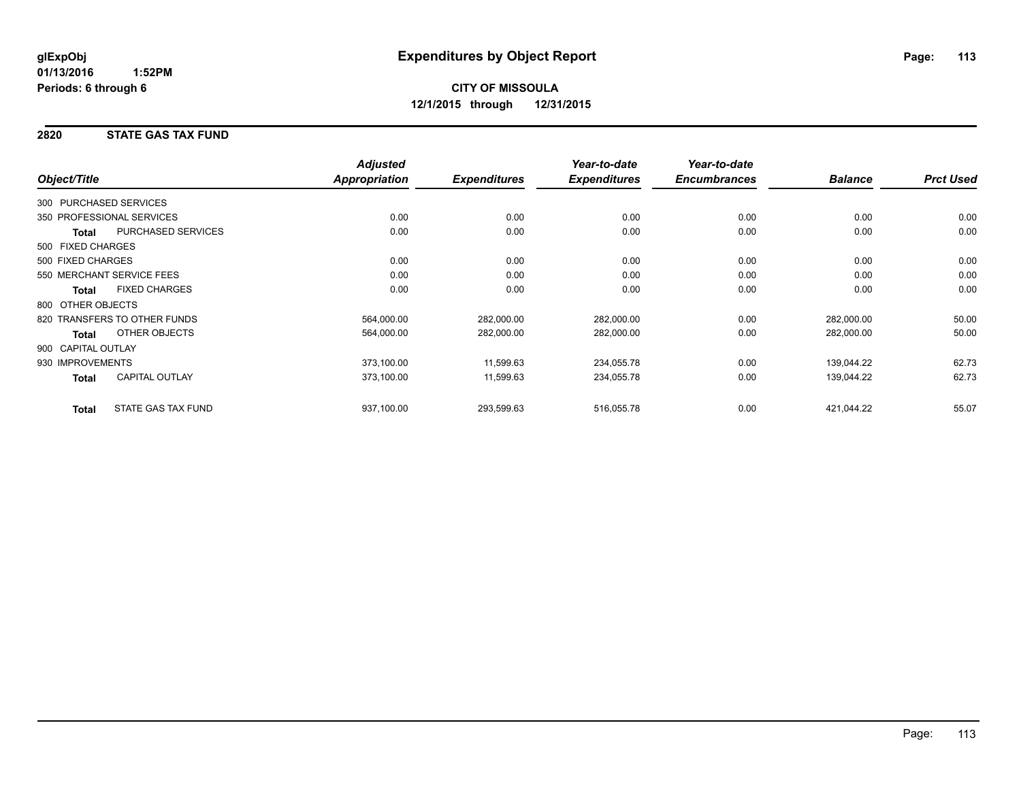### **2820 STATE GAS TAX FUND**

|                        |                              | <b>Adjusted</b>      |                     | Year-to-date        | Year-to-date        |                |                  |
|------------------------|------------------------------|----------------------|---------------------|---------------------|---------------------|----------------|------------------|
| Object/Title           |                              | <b>Appropriation</b> | <b>Expenditures</b> | <b>Expenditures</b> | <b>Encumbrances</b> | <b>Balance</b> | <b>Prct Used</b> |
| 300 PURCHASED SERVICES |                              |                      |                     |                     |                     |                |                  |
|                        | 350 PROFESSIONAL SERVICES    | 0.00                 | 0.00                | 0.00                | 0.00                | 0.00           | 0.00             |
| Total                  | <b>PURCHASED SERVICES</b>    | 0.00                 | 0.00                | 0.00                | 0.00                | 0.00           | 0.00             |
| 500 FIXED CHARGES      |                              |                      |                     |                     |                     |                |                  |
| 500 FIXED CHARGES      |                              | 0.00                 | 0.00                | 0.00                | 0.00                | 0.00           | 0.00             |
|                        | 550 MERCHANT SERVICE FEES    | 0.00                 | 0.00                | 0.00                | 0.00                | 0.00           | 0.00             |
| <b>Total</b>           | <b>FIXED CHARGES</b>         | 0.00                 | 0.00                | 0.00                | 0.00                | 0.00           | 0.00             |
| 800 OTHER OBJECTS      |                              |                      |                     |                     |                     |                |                  |
|                        | 820 TRANSFERS TO OTHER FUNDS | 564,000.00           | 282,000.00          | 282,000.00          | 0.00                | 282,000.00     | 50.00            |
| <b>Total</b>           | <b>OTHER OBJECTS</b>         | 564,000.00           | 282,000.00          | 282,000.00          | 0.00                | 282,000.00     | 50.00            |
| 900 CAPITAL OUTLAY     |                              |                      |                     |                     |                     |                |                  |
| 930 IMPROVEMENTS       |                              | 373,100.00           | 11,599.63           | 234,055.78          | 0.00                | 139,044.22     | 62.73            |
| <b>Total</b>           | <b>CAPITAL OUTLAY</b>        | 373,100.00           | 11,599.63           | 234,055.78          | 0.00                | 139,044.22     | 62.73            |
| <b>Total</b>           | <b>STATE GAS TAX FUND</b>    | 937,100.00           | 293,599.63          | 516,055.78          | 0.00                | 421,044.22     | 55.07            |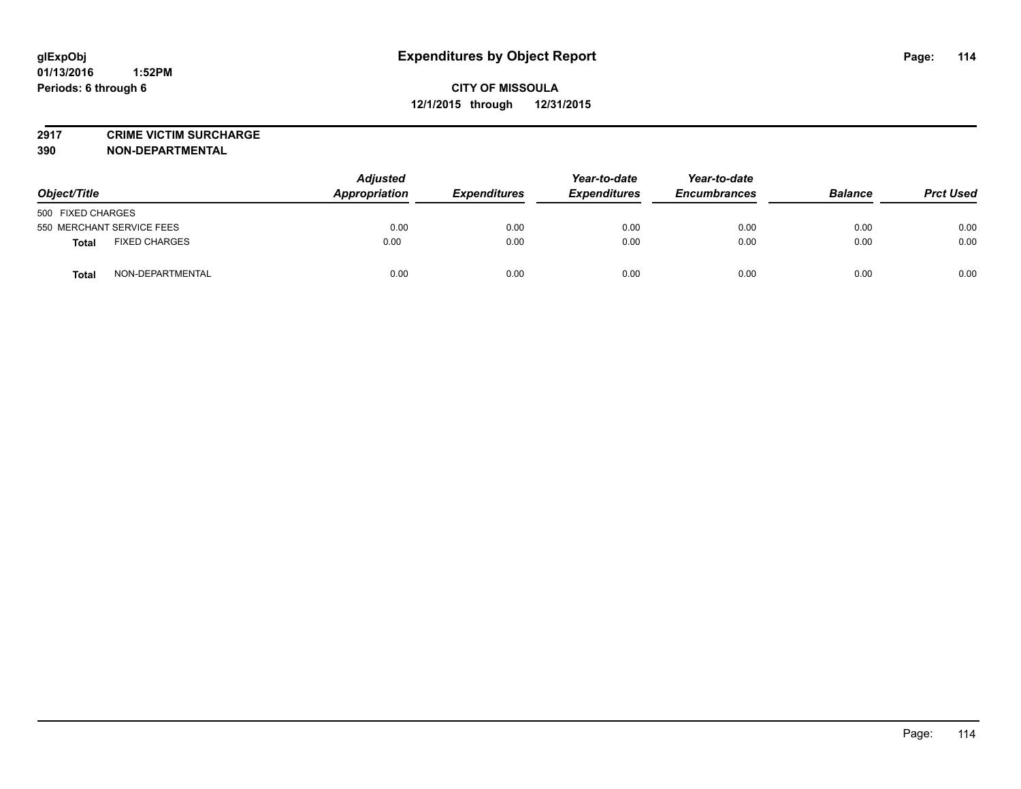**2917 CRIME VICTIM SURCHARGE**

**390 NON-DEPARTMENTAL**

| Object/Title                         | <b>Adjusted</b><br>Appropriation | <b>Expenditures</b> | Year-to-date<br><b>Expenditures</b> | Year-to-date<br><b>Encumbrances</b> | <b>Balance</b> | <b>Prct Used</b> |
|--------------------------------------|----------------------------------|---------------------|-------------------------------------|-------------------------------------|----------------|------------------|
| 500 FIXED CHARGES                    |                                  |                     |                                     |                                     |                |                  |
| 550 MERCHANT SERVICE FEES            | 0.00                             | 0.00                | 0.00                                | 0.00                                | 0.00           | 0.00             |
| <b>FIXED CHARGES</b><br><b>Total</b> | 0.00                             | 0.00                | 0.00                                | 0.00                                | 0.00           | 0.00             |
| NON-DEPARTMENTAL<br><b>Total</b>     | 0.00                             | 0.00                | 0.00                                | 0.00                                | 0.00           | 0.00             |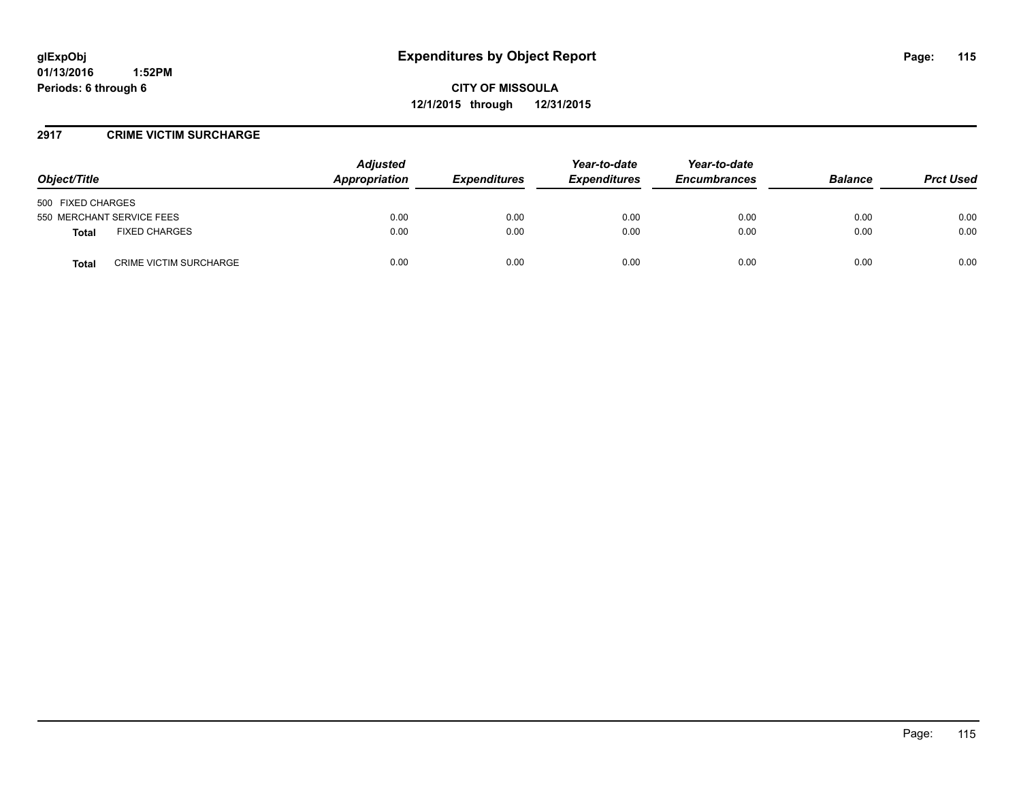**01/13/2016 1:52PM Periods: 6 through 6**

**CITY OF MISSOULA 12/1/2015 through 12/31/2015**

#### **2917 CRIME VICTIM SURCHARGE**

| Object/Title                           | <b>Adjusted</b><br>Appropriation | <b>Expenditures</b> | Year-to-date<br><b>Expenditures</b> | Year-to-date<br><b>Encumbrances</b> | <b>Balance</b> | <b>Prct Used</b> |
|----------------------------------------|----------------------------------|---------------------|-------------------------------------|-------------------------------------|----------------|------------------|
| 500 FIXED CHARGES                      |                                  |                     |                                     |                                     |                |                  |
| 550 MERCHANT SERVICE FEES              | 0.00                             | 0.00                | 0.00                                | 0.00                                | 0.00           | 0.00             |
| <b>FIXED CHARGES</b><br><b>Total</b>   | 0.00                             | 0.00                | 0.00                                | 0.00                                | 0.00           | 0.00             |
| <b>CRIME VICTIM SURCHARGE</b><br>Total | 0.00                             | 0.00                | 0.00                                | 0.00                                | 0.00           | 0.00             |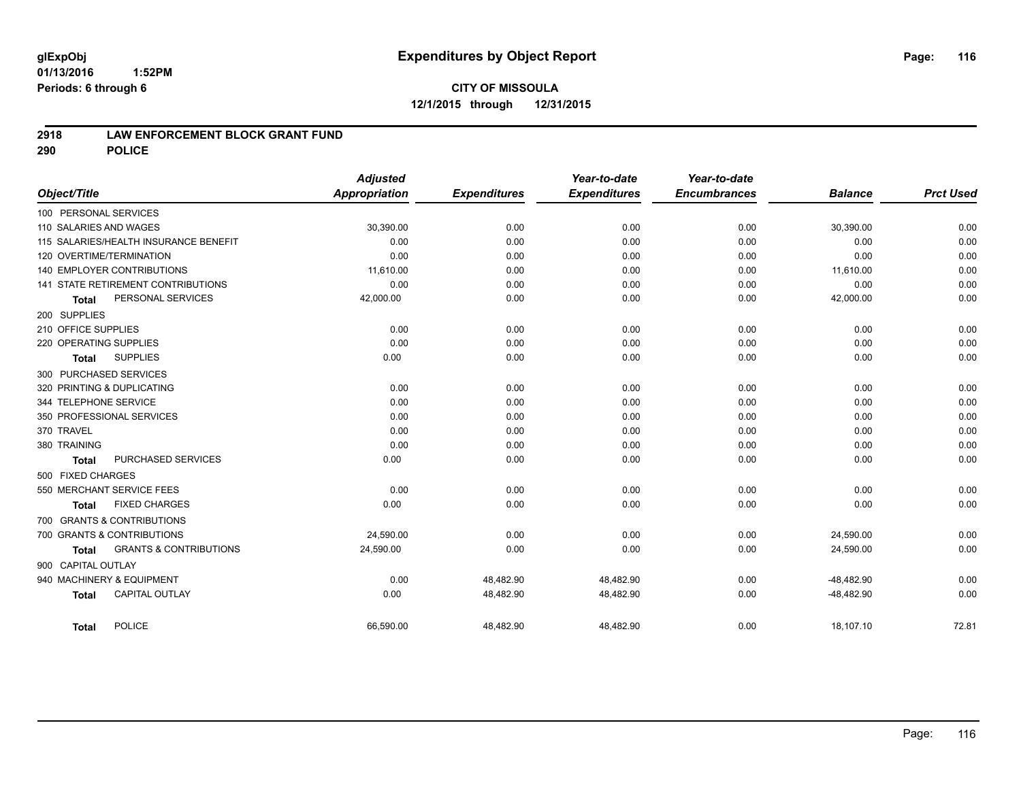#### **01/13/2016 1:52PM Periods: 6 through 6**

# **CITY OF MISSOULA 12/1/2015 through 12/31/2015**

#### **2918 LAW ENFORCEMENT BLOCK GRANT FUND**

**290 POLICE**

|                        |                                       | <b>Adjusted</b>      |                     | Year-to-date        | Year-to-date        |                |                  |
|------------------------|---------------------------------------|----------------------|---------------------|---------------------|---------------------|----------------|------------------|
| Object/Title           |                                       | <b>Appropriation</b> | <b>Expenditures</b> | <b>Expenditures</b> | <b>Encumbrances</b> | <b>Balance</b> | <b>Prct Used</b> |
| 100 PERSONAL SERVICES  |                                       |                      |                     |                     |                     |                |                  |
| 110 SALARIES AND WAGES |                                       | 30,390.00            | 0.00                | 0.00                | 0.00                | 30,390.00      | 0.00             |
|                        | 115 SALARIES/HEALTH INSURANCE BENEFIT | 0.00                 | 0.00                | 0.00                | 0.00                | 0.00           | 0.00             |
|                        | 120 OVERTIME/TERMINATION              | 0.00                 | 0.00                | 0.00                | 0.00                | 0.00           | 0.00             |
|                        | 140 EMPLOYER CONTRIBUTIONS            | 11,610.00            | 0.00                | 0.00                | 0.00                | 11,610.00      | 0.00             |
|                        | 141 STATE RETIREMENT CONTRIBUTIONS    | 0.00                 | 0.00                | 0.00                | 0.00                | 0.00           | 0.00             |
| Total                  | PERSONAL SERVICES                     | 42,000.00            | 0.00                | 0.00                | 0.00                | 42,000.00      | 0.00             |
| 200 SUPPLIES           |                                       |                      |                     |                     |                     |                |                  |
| 210 OFFICE SUPPLIES    |                                       | 0.00                 | 0.00                | 0.00                | 0.00                | 0.00           | 0.00             |
| 220 OPERATING SUPPLIES |                                       | 0.00                 | 0.00                | 0.00                | 0.00                | 0.00           | 0.00             |
| <b>Total</b>           | <b>SUPPLIES</b>                       | 0.00                 | 0.00                | 0.00                | 0.00                | 0.00           | 0.00             |
|                        | 300 PURCHASED SERVICES                |                      |                     |                     |                     |                |                  |
|                        | 320 PRINTING & DUPLICATING            | 0.00                 | 0.00                | 0.00                | 0.00                | 0.00           | 0.00             |
| 344 TELEPHONE SERVICE  |                                       | 0.00                 | 0.00                | 0.00                | 0.00                | 0.00           | 0.00             |
|                        | 350 PROFESSIONAL SERVICES             | 0.00                 | 0.00                | 0.00                | 0.00                | 0.00           | 0.00             |
| 370 TRAVEL             |                                       | 0.00                 | 0.00                | 0.00                | 0.00                | 0.00           | 0.00             |
| 380 TRAINING           |                                       | 0.00                 | 0.00                | 0.00                | 0.00                | 0.00           | 0.00             |
| <b>Total</b>           | PURCHASED SERVICES                    | 0.00                 | 0.00                | 0.00                | 0.00                | 0.00           | 0.00             |
| 500 FIXED CHARGES      |                                       |                      |                     |                     |                     |                |                  |
|                        | 550 MERCHANT SERVICE FEES             | 0.00                 | 0.00                | 0.00                | 0.00                | 0.00           | 0.00             |
| <b>Total</b>           | <b>FIXED CHARGES</b>                  | 0.00                 | 0.00                | 0.00                | 0.00                | 0.00           | 0.00             |
|                        | 700 GRANTS & CONTRIBUTIONS            |                      |                     |                     |                     |                |                  |
|                        | 700 GRANTS & CONTRIBUTIONS            | 24,590.00            | 0.00                | 0.00                | 0.00                | 24,590.00      | 0.00             |
| <b>Total</b>           | <b>GRANTS &amp; CONTRIBUTIONS</b>     | 24,590.00            | 0.00                | 0.00                | 0.00                | 24,590.00      | 0.00             |
| 900 CAPITAL OUTLAY     |                                       |                      |                     |                     |                     |                |                  |
|                        | 940 MACHINERY & EQUIPMENT             | 0.00                 | 48,482.90           | 48,482.90           | 0.00                | $-48,482.90$   | 0.00             |
| <b>Total</b>           | <b>CAPITAL OUTLAY</b>                 | 0.00                 | 48,482.90           | 48,482.90           | 0.00                | $-48,482.90$   | 0.00             |
| Total                  | <b>POLICE</b>                         | 66,590.00            | 48,482.90           | 48,482.90           | 0.00                | 18,107.10      | 72.81            |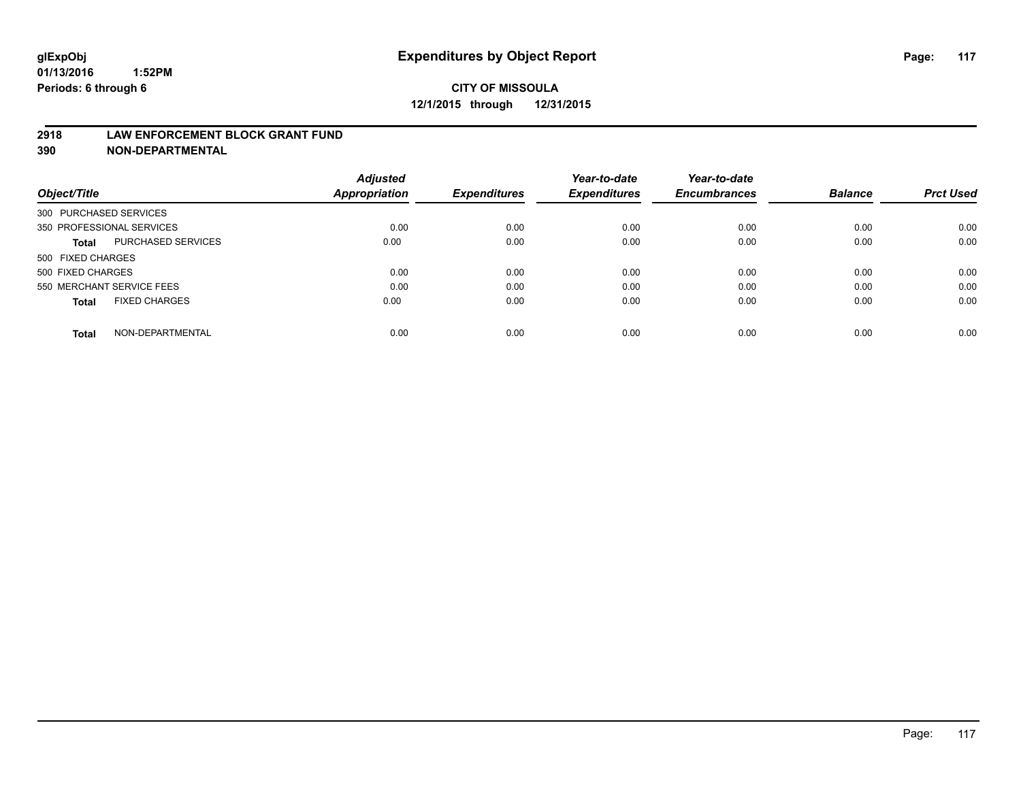#### **2918 LAW ENFORCEMENT BLOCK GRANT FUND**

**390 NON-DEPARTMENTAL**

|                           |                      | <b>Adjusted</b> |                     | Year-to-date        | Year-to-date<br><b>Encumbrances</b> | <b>Balance</b> | <b>Prct Used</b> |
|---------------------------|----------------------|-----------------|---------------------|---------------------|-------------------------------------|----------------|------------------|
| Object/Title              |                      | Appropriation   | <b>Expenditures</b> | <b>Expenditures</b> |                                     |                |                  |
| 300 PURCHASED SERVICES    |                      |                 |                     |                     |                                     |                |                  |
| 350 PROFESSIONAL SERVICES |                      | 0.00            | 0.00                | 0.00                | 0.00                                | 0.00           | 0.00             |
| Total                     | PURCHASED SERVICES   | 0.00            | 0.00                | 0.00                | 0.00                                | 0.00           | 0.00             |
| 500 FIXED CHARGES         |                      |                 |                     |                     |                                     |                |                  |
| 500 FIXED CHARGES         |                      | 0.00            | 0.00                | 0.00                | 0.00                                | 0.00           | 0.00             |
| 550 MERCHANT SERVICE FEES |                      | 0.00            | 0.00                | 0.00                | 0.00                                | 0.00           | 0.00             |
| <b>Total</b>              | <b>FIXED CHARGES</b> | 0.00            | 0.00                | 0.00                | 0.00                                | 0.00           | 0.00             |
| Total                     | NON-DEPARTMENTAL     | 0.00            | 0.00                | 0.00                | 0.00                                | 0.00           | 0.00             |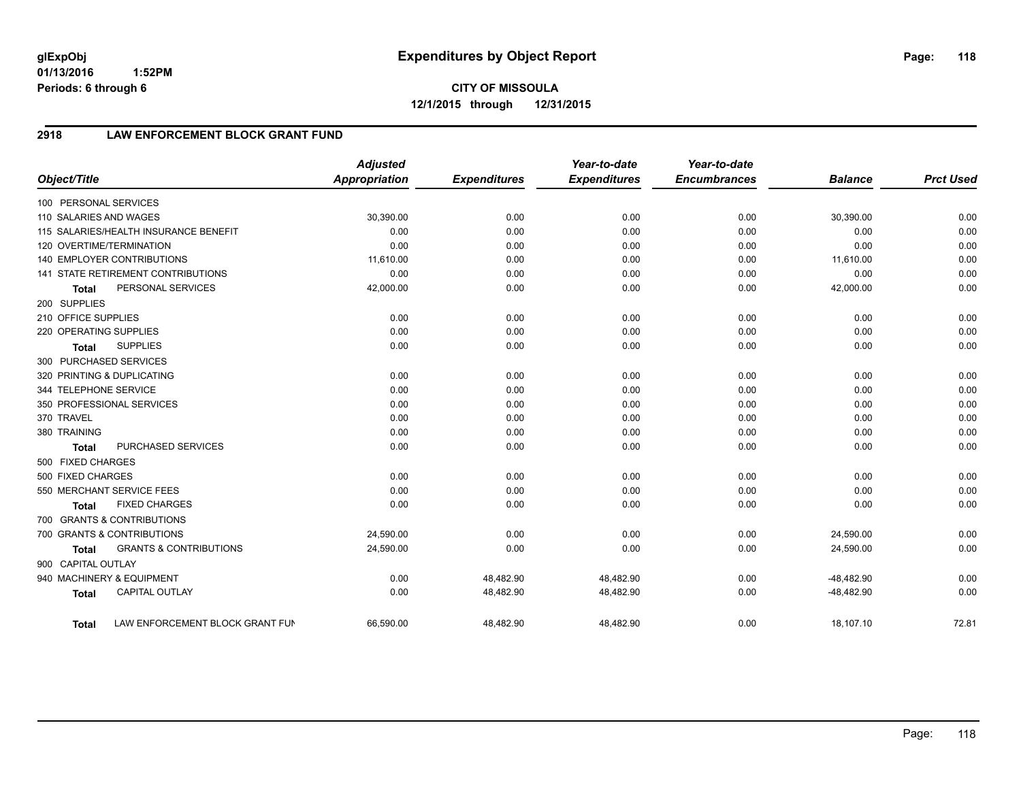**01/13/2016 1:52PM Periods: 6 through 6**

**CITY OF MISSOULA 12/1/2015 through 12/31/2015**

## **2918 LAW ENFORCEMENT BLOCK GRANT FUND**

|                        |                                           | <b>Adjusted</b>      |                     | Year-to-date        | Year-to-date        |                |                  |
|------------------------|-------------------------------------------|----------------------|---------------------|---------------------|---------------------|----------------|------------------|
| Object/Title           |                                           | <b>Appropriation</b> | <b>Expenditures</b> | <b>Expenditures</b> | <b>Encumbrances</b> | <b>Balance</b> | <b>Prct Used</b> |
| 100 PERSONAL SERVICES  |                                           |                      |                     |                     |                     |                |                  |
| 110 SALARIES AND WAGES |                                           | 30,390.00            | 0.00                | 0.00                | 0.00                | 30,390.00      | 0.00             |
|                        | 115 SALARIES/HEALTH INSURANCE BENEFIT     | 0.00                 | 0.00                | 0.00                | 0.00                | 0.00           | 0.00             |
|                        | 120 OVERTIME/TERMINATION                  | 0.00                 | 0.00                | 0.00                | 0.00                | 0.00           | 0.00             |
|                        | <b>140 EMPLOYER CONTRIBUTIONS</b>         | 11,610.00            | 0.00                | 0.00                | 0.00                | 11,610.00      | 0.00             |
|                        | <b>141 STATE RETIREMENT CONTRIBUTIONS</b> | 0.00                 | 0.00                | 0.00                | 0.00                | 0.00           | 0.00             |
| <b>Total</b>           | PERSONAL SERVICES                         | 42,000.00            | 0.00                | 0.00                | 0.00                | 42,000.00      | 0.00             |
| 200 SUPPLIES           |                                           |                      |                     |                     |                     |                |                  |
| 210 OFFICE SUPPLIES    |                                           | 0.00                 | 0.00                | 0.00                | 0.00                | 0.00           | 0.00             |
| 220 OPERATING SUPPLIES |                                           | 0.00                 | 0.00                | 0.00                | 0.00                | 0.00           | 0.00             |
| <b>Total</b>           | <b>SUPPLIES</b>                           | 0.00                 | 0.00                | 0.00                | 0.00                | 0.00           | 0.00             |
|                        | 300 PURCHASED SERVICES                    |                      |                     |                     |                     |                |                  |
|                        | 320 PRINTING & DUPLICATING                | 0.00                 | 0.00                | 0.00                | 0.00                | 0.00           | 0.00             |
| 344 TELEPHONE SERVICE  |                                           | 0.00                 | 0.00                | 0.00                | 0.00                | 0.00           | 0.00             |
|                        | 350 PROFESSIONAL SERVICES                 | 0.00                 | 0.00                | 0.00                | 0.00                | 0.00           | 0.00             |
| 370 TRAVEL             |                                           | 0.00                 | 0.00                | 0.00                | 0.00                | 0.00           | 0.00             |
| 380 TRAINING           |                                           | 0.00                 | 0.00                | 0.00                | 0.00                | 0.00           | 0.00             |
| <b>Total</b>           | PURCHASED SERVICES                        | 0.00                 | 0.00                | 0.00                | 0.00                | 0.00           | 0.00             |
| 500 FIXED CHARGES      |                                           |                      |                     |                     |                     |                |                  |
| 500 FIXED CHARGES      |                                           | 0.00                 | 0.00                | 0.00                | 0.00                | 0.00           | 0.00             |
|                        | 550 MERCHANT SERVICE FEES                 | 0.00                 | 0.00                | 0.00                | 0.00                | 0.00           | 0.00             |
| <b>Total</b>           | <b>FIXED CHARGES</b>                      | 0.00                 | 0.00                | 0.00                | 0.00                | 0.00           | 0.00             |
|                        | 700 GRANTS & CONTRIBUTIONS                |                      |                     |                     |                     |                |                  |
|                        | 700 GRANTS & CONTRIBUTIONS                | 24,590.00            | 0.00                | 0.00                | 0.00                | 24,590.00      | 0.00             |
| <b>Total</b>           | <b>GRANTS &amp; CONTRIBUTIONS</b>         | 24,590.00            | 0.00                | 0.00                | 0.00                | 24,590.00      | 0.00             |
| 900 CAPITAL OUTLAY     |                                           |                      |                     |                     |                     |                |                  |
|                        | 940 MACHINERY & EQUIPMENT                 | 0.00                 | 48,482.90           | 48,482.90           | 0.00                | $-48,482.90$   | 0.00             |
| <b>Total</b>           | <b>CAPITAL OUTLAY</b>                     | 0.00                 | 48,482.90           | 48,482.90           | 0.00                | $-48,482.90$   | 0.00             |
| Total                  | LAW ENFORCEMENT BLOCK GRANT FUN           | 66,590.00            | 48,482.90           | 48,482.90           | 0.00                | 18,107.10      | 72.81            |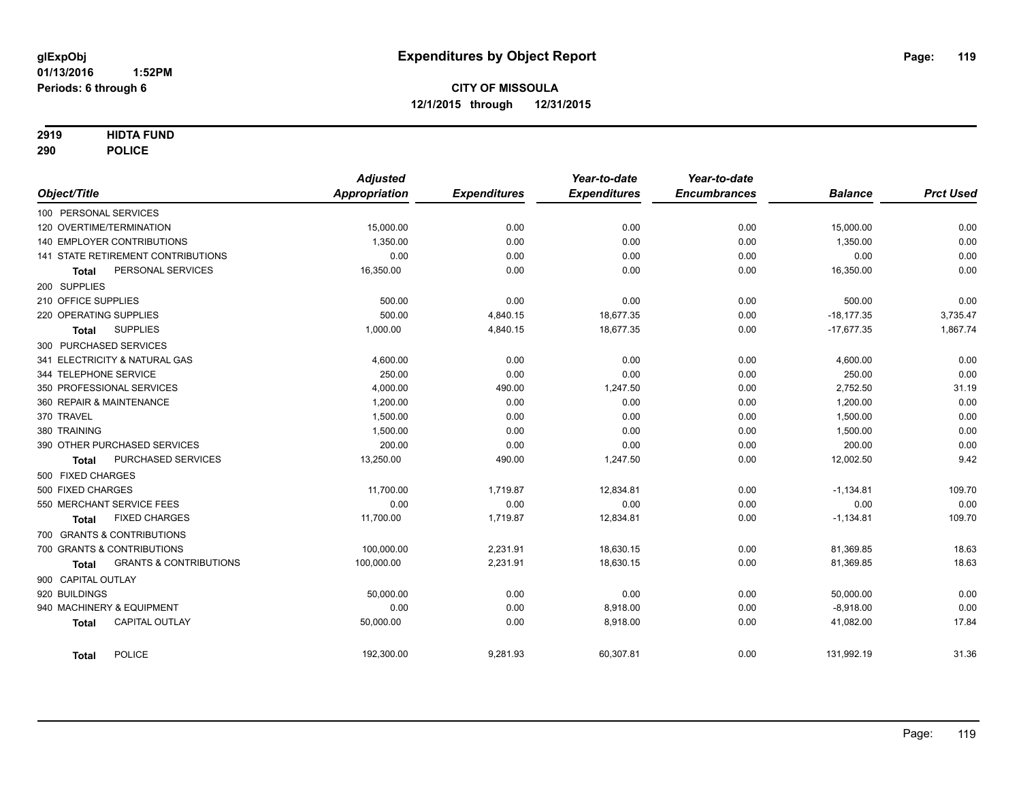#### **2919 HIDTA FUND**

**290 POLICE**

|                                                   | <b>Adjusted</b> |                     | Year-to-date        | Year-to-date        |                |                  |
|---------------------------------------------------|-----------------|---------------------|---------------------|---------------------|----------------|------------------|
| Object/Title                                      | Appropriation   | <b>Expenditures</b> | <b>Expenditures</b> | <b>Encumbrances</b> | <b>Balance</b> | <b>Prct Used</b> |
| 100 PERSONAL SERVICES                             |                 |                     |                     |                     |                |                  |
| 120 OVERTIME/TERMINATION                          | 15,000.00       | 0.00                | 0.00                | 0.00                | 15,000.00      | 0.00             |
| <b>140 EMPLOYER CONTRIBUTIONS</b>                 | 1,350.00        | 0.00                | 0.00                | 0.00                | 1,350.00       | 0.00             |
| 141 STATE RETIREMENT CONTRIBUTIONS                | 0.00            | 0.00                | 0.00                | 0.00                | 0.00           | 0.00             |
| PERSONAL SERVICES<br><b>Total</b>                 | 16,350.00       | 0.00                | 0.00                | 0.00                | 16,350.00      | 0.00             |
| 200 SUPPLIES                                      |                 |                     |                     |                     |                |                  |
| 210 OFFICE SUPPLIES                               | 500.00          | 0.00                | 0.00                | 0.00                | 500.00         | 0.00             |
| 220 OPERATING SUPPLIES                            | 500.00          | 4,840.15            | 18,677.35           | 0.00                | $-18,177.35$   | 3,735.47         |
| <b>SUPPLIES</b><br><b>Total</b>                   | 1,000.00        | 4,840.15            | 18,677.35           | 0.00                | $-17,677.35$   | 1,867.74         |
| 300 PURCHASED SERVICES                            |                 |                     |                     |                     |                |                  |
| 341 ELECTRICITY & NATURAL GAS                     | 4,600.00        | 0.00                | 0.00                | 0.00                | 4,600.00       | 0.00             |
| 344 TELEPHONE SERVICE                             | 250.00          | 0.00                | 0.00                | 0.00                | 250.00         | 0.00             |
| 350 PROFESSIONAL SERVICES                         | 4,000.00        | 490.00              | 1,247.50            | 0.00                | 2,752.50       | 31.19            |
| 360 REPAIR & MAINTENANCE                          | 1,200.00        | 0.00                | 0.00                | 0.00                | 1,200.00       | 0.00             |
| 370 TRAVEL                                        | 1,500.00        | 0.00                | 0.00                | 0.00                | 1,500.00       | 0.00             |
| 380 TRAINING                                      | 1.500.00        | 0.00                | 0.00                | 0.00                | 1,500.00       | 0.00             |
| 390 OTHER PURCHASED SERVICES                      | 200.00          | 0.00                | 0.00                | 0.00                | 200.00         | 0.00             |
| PURCHASED SERVICES<br><b>Total</b>                | 13,250.00       | 490.00              | 1,247.50            | 0.00                | 12,002.50      | 9.42             |
| 500 FIXED CHARGES                                 |                 |                     |                     |                     |                |                  |
| 500 FIXED CHARGES                                 | 11,700.00       | 1,719.87            | 12,834.81           | 0.00                | $-1,134.81$    | 109.70           |
| 550 MERCHANT SERVICE FEES                         | 0.00            | 0.00                | 0.00                | 0.00                | 0.00           | 0.00             |
| <b>FIXED CHARGES</b><br><b>Total</b>              | 11,700.00       | 1,719.87            | 12,834.81           | 0.00                | $-1,134.81$    | 109.70           |
| 700 GRANTS & CONTRIBUTIONS                        |                 |                     |                     |                     |                |                  |
| 700 GRANTS & CONTRIBUTIONS                        | 100,000.00      | 2,231.91            | 18,630.15           | 0.00                | 81,369.85      | 18.63            |
| <b>GRANTS &amp; CONTRIBUTIONS</b><br><b>Total</b> | 100,000.00      | 2,231.91            | 18,630.15           | 0.00                | 81,369.85      | 18.63            |
| 900 CAPITAL OUTLAY                                |                 |                     |                     |                     |                |                  |
| 920 BUILDINGS                                     | 50,000.00       | 0.00                | 0.00                | 0.00                | 50,000.00      | 0.00             |
| 940 MACHINERY & EQUIPMENT                         | 0.00            | 0.00                | 8,918.00            | 0.00                | $-8,918.00$    | 0.00             |
| <b>CAPITAL OUTLAY</b><br><b>Total</b>             | 50,000.00       | 0.00                | 8,918.00            | 0.00                | 41,082.00      | 17.84            |
| POLICE<br><b>Total</b>                            | 192,300.00      | 9,281.93            | 60,307.81           | 0.00                | 131,992.19     | 31.36            |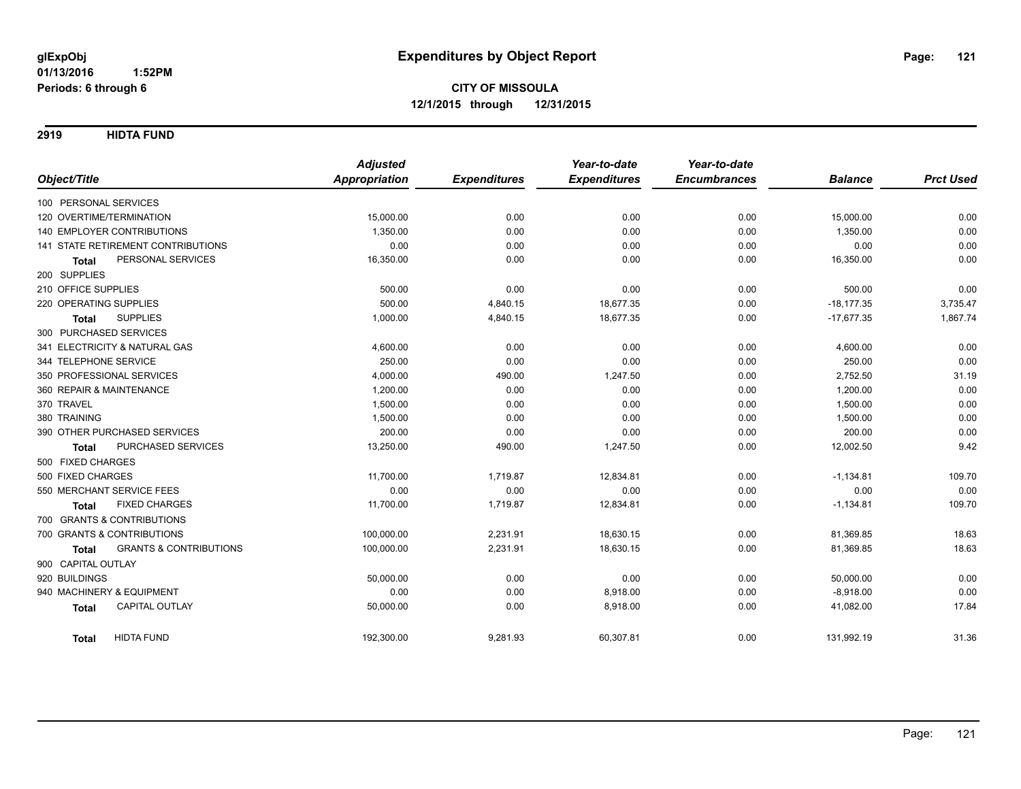**2919 HIDTA FUND**

|                                                   | <b>Adjusted</b>      |                     | Year-to-date        | Year-to-date        |                |                  |
|---------------------------------------------------|----------------------|---------------------|---------------------|---------------------|----------------|------------------|
| Object/Title                                      | <b>Appropriation</b> | <b>Expenditures</b> | <b>Expenditures</b> | <b>Encumbrances</b> | <b>Balance</b> | <b>Prct Used</b> |
| 100 PERSONAL SERVICES                             |                      |                     |                     |                     |                |                  |
| 120 OVERTIME/TERMINATION                          | 15,000.00            | 0.00                | 0.00                | 0.00                | 15,000.00      | 0.00             |
| <b>140 EMPLOYER CONTRIBUTIONS</b>                 | 1.350.00             | 0.00                | 0.00                | 0.00                | 1,350.00       | 0.00             |
| 141 STATE RETIREMENT CONTRIBUTIONS                | 0.00                 | 0.00                | 0.00                | 0.00                | 0.00           | 0.00             |
| PERSONAL SERVICES<br><b>Total</b>                 | 16,350.00            | 0.00                | 0.00                | 0.00                | 16,350.00      | 0.00             |
| 200 SUPPLIES                                      |                      |                     |                     |                     |                |                  |
| 210 OFFICE SUPPLIES                               | 500.00               | 0.00                | 0.00                | 0.00                | 500.00         | 0.00             |
| 220 OPERATING SUPPLIES                            | 500.00               | 4,840.15            | 18,677.35           | 0.00                | $-18,177.35$   | 3,735.47         |
| <b>SUPPLIES</b><br><b>Total</b>                   | 1,000.00             | 4,840.15            | 18,677.35           | 0.00                | $-17.677.35$   | 1,867.74         |
| 300 PURCHASED SERVICES                            |                      |                     |                     |                     |                |                  |
| 341 ELECTRICITY & NATURAL GAS                     | 4,600.00             | 0.00                | 0.00                | 0.00                | 4,600.00       | 0.00             |
| 344 TELEPHONE SERVICE                             | 250.00               | 0.00                | 0.00                | 0.00                | 250.00         | 0.00             |
| 350 PROFESSIONAL SERVICES                         | 4,000.00             | 490.00              | 1,247.50            | 0.00                | 2,752.50       | 31.19            |
| 360 REPAIR & MAINTENANCE                          | 1,200.00             | 0.00                | 0.00                | 0.00                | 1,200.00       | 0.00             |
| 370 TRAVEL                                        | 1,500.00             | 0.00                | 0.00                | 0.00                | 1,500.00       | 0.00             |
| 380 TRAINING                                      | 1,500.00             | 0.00                | 0.00                | 0.00                | 1,500.00       | 0.00             |
| 390 OTHER PURCHASED SERVICES                      | 200.00               | 0.00                | 0.00                | 0.00                | 200.00         | 0.00             |
| PURCHASED SERVICES<br><b>Total</b>                | 13,250.00            | 490.00              | 1,247.50            | 0.00                | 12,002.50      | 9.42             |
| 500 FIXED CHARGES                                 |                      |                     |                     |                     |                |                  |
| 500 FIXED CHARGES                                 | 11,700.00            | 1,719.87            | 12,834.81           | 0.00                | $-1,134.81$    | 109.70           |
| 550 MERCHANT SERVICE FEES                         | 0.00                 | 0.00                | 0.00                | 0.00                | 0.00           | 0.00             |
| <b>FIXED CHARGES</b><br><b>Total</b>              | 11,700.00            | 1,719.87            | 12,834.81           | 0.00                | $-1,134.81$    | 109.70           |
| 700 GRANTS & CONTRIBUTIONS                        |                      |                     |                     |                     |                |                  |
| 700 GRANTS & CONTRIBUTIONS                        | 100,000.00           | 2,231.91            | 18,630.15           | 0.00                | 81,369.85      | 18.63            |
| <b>GRANTS &amp; CONTRIBUTIONS</b><br><b>Total</b> | 100,000.00           | 2,231.91            | 18,630.15           | 0.00                | 81,369.85      | 18.63            |
| 900 CAPITAL OUTLAY                                |                      |                     |                     |                     |                |                  |
| 920 BUILDINGS                                     | 50,000.00            | 0.00                | 0.00                | 0.00                | 50,000.00      | 0.00             |
| 940 MACHINERY & EQUIPMENT                         | 0.00                 | 0.00                | 8,918.00            | 0.00                | $-8,918.00$    | 0.00             |
| CAPITAL OUTLAY<br><b>Total</b>                    | 50,000.00            | 0.00                | 8,918.00            | 0.00                | 41,082.00      | 17.84            |
| <b>HIDTA FUND</b><br><b>Total</b>                 | 192,300.00           | 9,281.93            | 60,307.81           | 0.00                | 131,992.19     | 31.36            |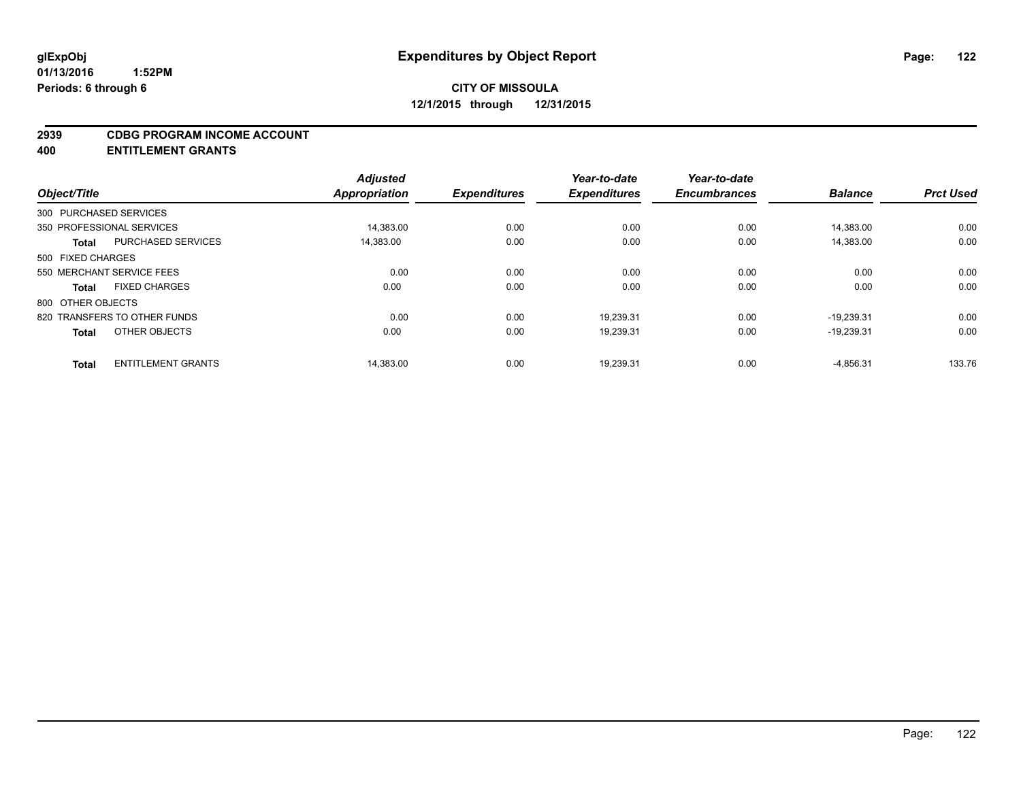#### **2939 CDBG PROGRAM INCOME ACCOUNT**

**400 ENTITLEMENT GRANTS**

| Object/Title      |                              | <b>Adjusted</b><br><b>Appropriation</b> | <b>Expenditures</b> | Year-to-date<br><b>Expenditures</b> | Year-to-date<br><b>Encumbrances</b> | <b>Balance</b> | <b>Prct Used</b> |
|-------------------|------------------------------|-----------------------------------------|---------------------|-------------------------------------|-------------------------------------|----------------|------------------|
|                   | 300 PURCHASED SERVICES       |                                         |                     |                                     |                                     |                |                  |
|                   | 350 PROFESSIONAL SERVICES    | 14,383.00                               | 0.00                | 0.00                                | 0.00                                | 14,383.00      | 0.00             |
| <b>Total</b>      | <b>PURCHASED SERVICES</b>    | 14,383.00                               | 0.00                | 0.00                                | 0.00                                | 14.383.00      | 0.00             |
| 500 FIXED CHARGES |                              |                                         |                     |                                     |                                     |                |                  |
|                   | 550 MERCHANT SERVICE FEES    | 0.00                                    | 0.00                | 0.00                                | 0.00                                | 0.00           | 0.00             |
| <b>Total</b>      | <b>FIXED CHARGES</b>         | 0.00                                    | 0.00                | 0.00                                | 0.00                                | 0.00           | 0.00             |
| 800 OTHER OBJECTS |                              |                                         |                     |                                     |                                     |                |                  |
|                   | 820 TRANSFERS TO OTHER FUNDS | 0.00                                    | 0.00                | 19.239.31                           | 0.00                                | $-19.239.31$   | 0.00             |
| <b>Total</b>      | OTHER OBJECTS                | 0.00                                    | 0.00                | 19,239.31                           | 0.00                                | $-19,239.31$   | 0.00             |
| <b>Total</b>      | <b>ENTITLEMENT GRANTS</b>    | 14,383.00                               | 0.00                | 19,239.31                           | 0.00                                | $-4,856.31$    | 133.76           |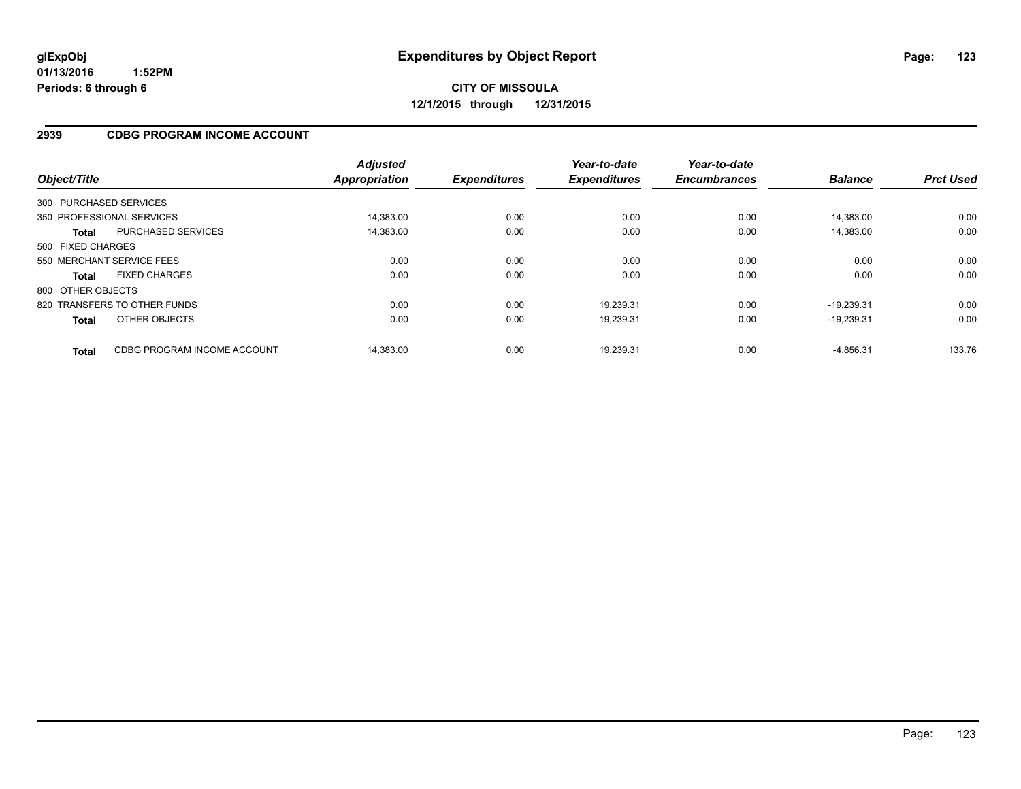### **2939 CDBG PROGRAM INCOME ACCOUNT**

| Object/Title      |                              | <b>Adjusted</b><br><b>Appropriation</b> | <b>Expenditures</b> | Year-to-date<br><b>Expenditures</b> | Year-to-date<br><b>Encumbrances</b> | <b>Balance</b> | <b>Prct Used</b> |
|-------------------|------------------------------|-----------------------------------------|---------------------|-------------------------------------|-------------------------------------|----------------|------------------|
|                   | 300 PURCHASED SERVICES       |                                         |                     |                                     |                                     |                |                  |
|                   | 350 PROFESSIONAL SERVICES    | 14.383.00                               | 0.00                | 0.00                                | 0.00                                | 14.383.00      | 0.00             |
| <b>Total</b>      | <b>PURCHASED SERVICES</b>    | 14,383.00                               | 0.00                | 0.00                                | 0.00                                | 14.383.00      | 0.00             |
| 500 FIXED CHARGES |                              |                                         |                     |                                     |                                     |                |                  |
|                   | 550 MERCHANT SERVICE FEES    | 0.00                                    | 0.00                | 0.00                                | 0.00                                | 0.00           | 0.00             |
| <b>Total</b>      | <b>FIXED CHARGES</b>         | 0.00                                    | 0.00                | 0.00                                | 0.00                                | 0.00           | 0.00             |
| 800 OTHER OBJECTS |                              |                                         |                     |                                     |                                     |                |                  |
|                   | 820 TRANSFERS TO OTHER FUNDS | 0.00                                    | 0.00                | 19,239.31                           | 0.00                                | $-19.239.31$   | 0.00             |
| <b>Total</b>      | OTHER OBJECTS                | 0.00                                    | 0.00                | 19,239.31                           | 0.00                                | $-19.239.31$   | 0.00             |
| <b>Total</b>      | CDBG PROGRAM INCOME ACCOUNT  | 14.383.00                               | 0.00                | 19.239.31                           | 0.00                                | $-4.856.31$    | 133.76           |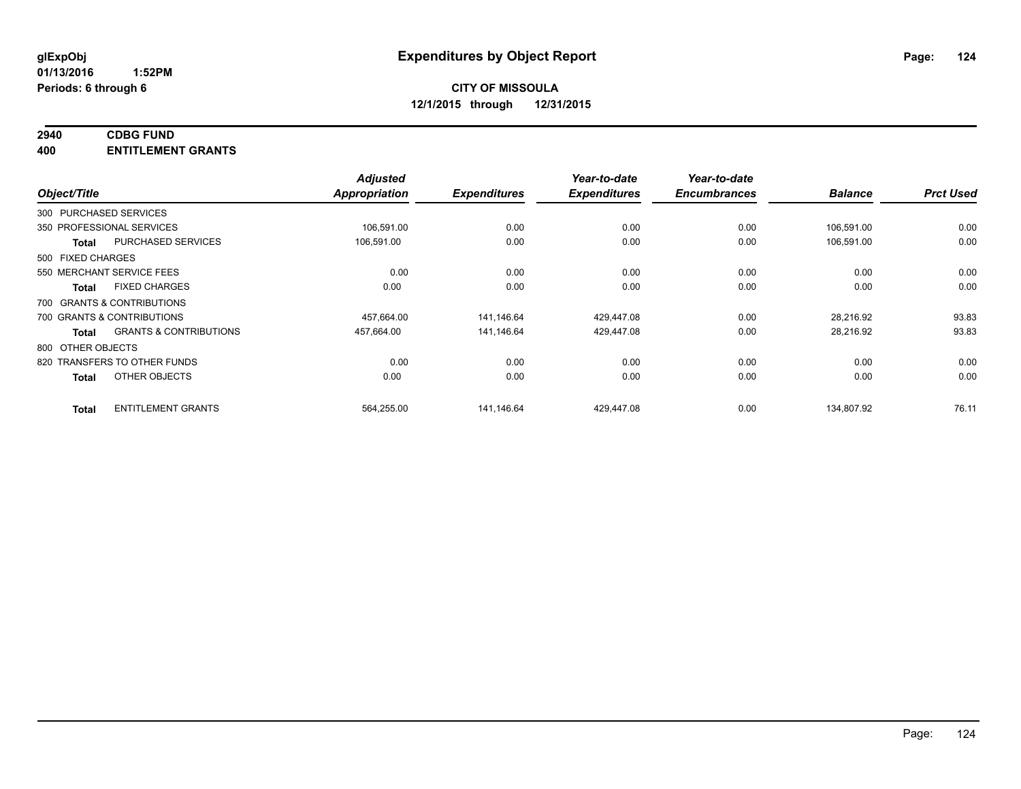# **2940 CDBG FUND**

**400 ENTITLEMENT GRANTS**

|                   |                                   | <b>Adjusted</b> |                     | Year-to-date        | Year-to-date        |                |                  |
|-------------------|-----------------------------------|-----------------|---------------------|---------------------|---------------------|----------------|------------------|
| Object/Title      |                                   | Appropriation   | <b>Expenditures</b> | <b>Expenditures</b> | <b>Encumbrances</b> | <b>Balance</b> | <b>Prct Used</b> |
|                   | 300 PURCHASED SERVICES            |                 |                     |                     |                     |                |                  |
|                   | 350 PROFESSIONAL SERVICES         | 106,591.00      | 0.00                | 0.00                | 0.00                | 106,591.00     | 0.00             |
| <b>Total</b>      | PURCHASED SERVICES                | 106,591.00      | 0.00                | 0.00                | 0.00                | 106,591.00     | 0.00             |
| 500 FIXED CHARGES |                                   |                 |                     |                     |                     |                |                  |
|                   | 550 MERCHANT SERVICE FEES         | 0.00            | 0.00                | 0.00                | 0.00                | 0.00           | 0.00             |
| <b>Total</b>      | <b>FIXED CHARGES</b>              | 0.00            | 0.00                | 0.00                | 0.00                | 0.00           | 0.00             |
|                   | 700 GRANTS & CONTRIBUTIONS        |                 |                     |                     |                     |                |                  |
|                   | 700 GRANTS & CONTRIBUTIONS        | 457,664.00      | 141.146.64          | 429.447.08          | 0.00                | 28.216.92      | 93.83            |
| <b>Total</b>      | <b>GRANTS &amp; CONTRIBUTIONS</b> | 457,664.00      | 141,146.64          | 429,447.08          | 0.00                | 28,216.92      | 93.83            |
| 800 OTHER OBJECTS |                                   |                 |                     |                     |                     |                |                  |
|                   | 820 TRANSFERS TO OTHER FUNDS      | 0.00            | 0.00                | 0.00                | 0.00                | 0.00           | 0.00             |
| <b>Total</b>      | OTHER OBJECTS                     | 0.00            | 0.00                | 0.00                | 0.00                | 0.00           | 0.00             |
| <b>Total</b>      | <b>ENTITLEMENT GRANTS</b>         | 564,255.00      | 141.146.64          | 429.447.08          | 0.00                | 134.807.92     | 76.11            |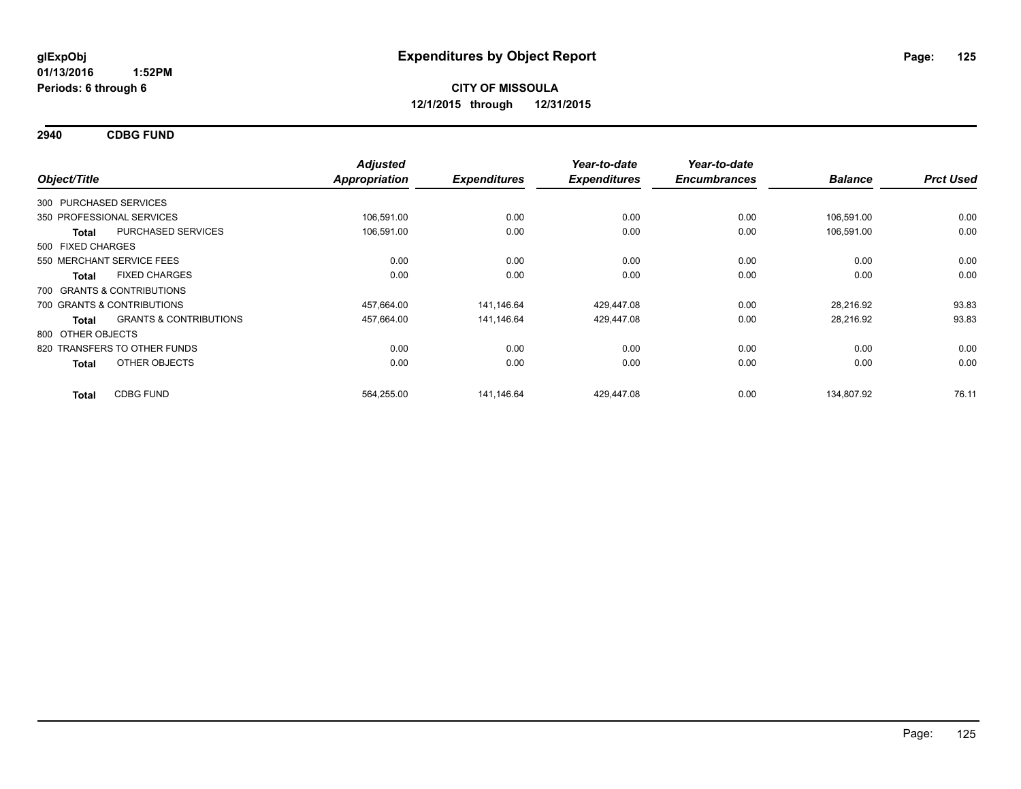**2940 CDBG FUND**

| Object/Title                     |                                   | <b>Adjusted</b><br><b>Appropriation</b> | <b>Expenditures</b> | Year-to-date<br><b>Expenditures</b> | Year-to-date<br><b>Encumbrances</b> | <b>Balance</b> | <b>Prct Used</b> |
|----------------------------------|-----------------------------------|-----------------------------------------|---------------------|-------------------------------------|-------------------------------------|----------------|------------------|
| 300 PURCHASED SERVICES           |                                   |                                         |                     |                                     |                                     |                |                  |
| 350 PROFESSIONAL SERVICES        |                                   | 106.591.00                              | 0.00                | 0.00                                | 0.00                                | 106.591.00     | 0.00             |
| <b>Total</b>                     | PURCHASED SERVICES                | 106,591.00                              | 0.00                | 0.00                                | 0.00                                | 106,591.00     | 0.00             |
| 500 FIXED CHARGES                |                                   |                                         |                     |                                     |                                     |                |                  |
| 550 MERCHANT SERVICE FEES        |                                   | 0.00                                    | 0.00                | 0.00                                | 0.00                                | 0.00           | 0.00             |
| <b>FIXED CHARGES</b><br>Total    |                                   | 0.00                                    | 0.00                | 0.00                                | 0.00                                | 0.00           | 0.00             |
| 700 GRANTS & CONTRIBUTIONS       |                                   |                                         |                     |                                     |                                     |                |                  |
| 700 GRANTS & CONTRIBUTIONS       |                                   | 457,664.00                              | 141,146.64          | 429,447.08                          | 0.00                                | 28,216.92      | 93.83            |
| Total                            | <b>GRANTS &amp; CONTRIBUTIONS</b> | 457,664.00                              | 141,146.64          | 429,447.08                          | 0.00                                | 28,216.92      | 93.83            |
| 800 OTHER OBJECTS                |                                   |                                         |                     |                                     |                                     |                |                  |
| 820 TRANSFERS TO OTHER FUNDS     |                                   | 0.00                                    | 0.00                | 0.00                                | 0.00                                | 0.00           | 0.00             |
| <b>Total</b>                     | OTHER OBJECTS                     | 0.00                                    | 0.00                | 0.00                                | 0.00                                | 0.00           | 0.00             |
| <b>CDBG FUND</b><br><b>Total</b> |                                   | 564,255.00                              | 141,146.64          | 429.447.08                          | 0.00                                | 134,807.92     | 76.11            |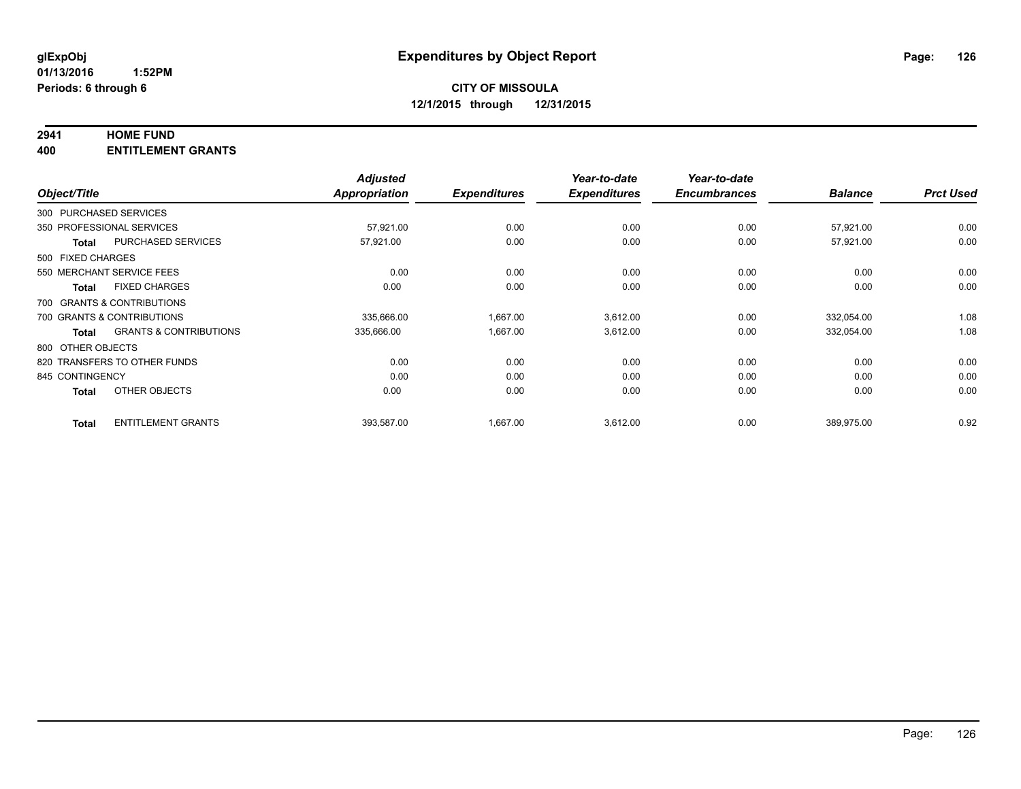### **2941 HOME FUND**

**400 ENTITLEMENT GRANTS**

| Object/Title      |                                   | <b>Adjusted</b><br>Appropriation | <b>Expenditures</b> | Year-to-date<br><b>Expenditures</b> | Year-to-date<br><b>Encumbrances</b> | <b>Balance</b> | <b>Prct Used</b> |
|-------------------|-----------------------------------|----------------------------------|---------------------|-------------------------------------|-------------------------------------|----------------|------------------|
|                   | 300 PURCHASED SERVICES            |                                  |                     |                                     |                                     |                |                  |
|                   | 350 PROFESSIONAL SERVICES         | 57,921.00                        | 0.00                | 0.00                                | 0.00                                | 57,921.00      | 0.00             |
|                   |                                   |                                  |                     |                                     |                                     |                |                  |
| <b>Total</b>      | <b>PURCHASED SERVICES</b>         | 57,921.00                        | 0.00                | 0.00                                | 0.00                                | 57,921.00      | 0.00             |
| 500 FIXED CHARGES |                                   |                                  |                     |                                     |                                     |                |                  |
|                   | 550 MERCHANT SERVICE FEES         | 0.00                             | 0.00                | 0.00                                | 0.00                                | 0.00           | 0.00             |
| <b>Total</b>      | <b>FIXED CHARGES</b>              | 0.00                             | 0.00                | 0.00                                | 0.00                                | 0.00           | 0.00             |
|                   | 700 GRANTS & CONTRIBUTIONS        |                                  |                     |                                     |                                     |                |                  |
|                   | 700 GRANTS & CONTRIBUTIONS        | 335,666.00                       | 1,667.00            | 3,612.00                            | 0.00                                | 332.054.00     | 1.08             |
| <b>Total</b>      | <b>GRANTS &amp; CONTRIBUTIONS</b> | 335,666.00                       | 1,667.00            | 3,612.00                            | 0.00                                | 332,054.00     | 1.08             |
| 800 OTHER OBJECTS |                                   |                                  |                     |                                     |                                     |                |                  |
|                   | 820 TRANSFERS TO OTHER FUNDS      | 0.00                             | 0.00                | 0.00                                | 0.00                                | 0.00           | 0.00             |
| 845 CONTINGENCY   |                                   | 0.00                             | 0.00                | 0.00                                | 0.00                                | 0.00           | 0.00             |
| <b>Total</b>      | OTHER OBJECTS                     | 0.00                             | 0.00                | 0.00                                | 0.00                                | 0.00           | 0.00             |
| <b>Total</b>      | <b>ENTITLEMENT GRANTS</b>         | 393,587.00                       | 1,667.00            | 3,612.00                            | 0.00                                | 389,975.00     | 0.92             |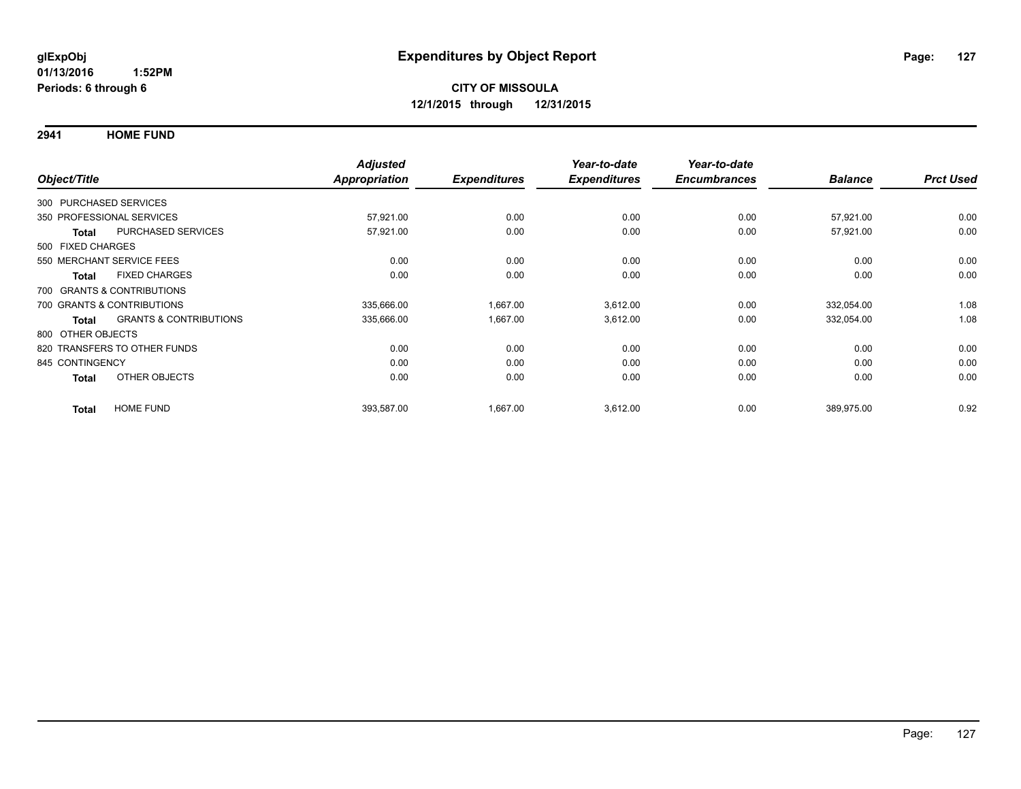**2941 HOME FUND**

| Object/Title           |                                   | <b>Adjusted</b><br><b>Appropriation</b> | <b>Expenditures</b> | Year-to-date<br><b>Expenditures</b> | Year-to-date<br><b>Encumbrances</b> | <b>Balance</b> | <b>Prct Used</b> |
|------------------------|-----------------------------------|-----------------------------------------|---------------------|-------------------------------------|-------------------------------------|----------------|------------------|
|                        |                                   |                                         |                     |                                     |                                     |                |                  |
| 300 PURCHASED SERVICES |                                   |                                         |                     |                                     |                                     |                |                  |
|                        | 350 PROFESSIONAL SERVICES         | 57,921.00                               | 0.00                | 0.00                                | 0.00                                | 57,921.00      | 0.00             |
| <b>Total</b>           | <b>PURCHASED SERVICES</b>         | 57,921.00                               | 0.00                | 0.00                                | 0.00                                | 57,921.00      | 0.00             |
| 500 FIXED CHARGES      |                                   |                                         |                     |                                     |                                     |                |                  |
|                        | 550 MERCHANT SERVICE FEES         | 0.00                                    | 0.00                | 0.00                                | 0.00                                | 0.00           | 0.00             |
| <b>Total</b>           | <b>FIXED CHARGES</b>              | 0.00                                    | 0.00                | 0.00                                | 0.00                                | 0.00           | 0.00             |
|                        | 700 GRANTS & CONTRIBUTIONS        |                                         |                     |                                     |                                     |                |                  |
|                        | 700 GRANTS & CONTRIBUTIONS        | 335,666.00                              | 1,667.00            | 3,612.00                            | 0.00                                | 332,054.00     | 1.08             |
| Total                  | <b>GRANTS &amp; CONTRIBUTIONS</b> | 335,666.00                              | 1,667.00            | 3,612.00                            | 0.00                                | 332,054.00     | 1.08             |
| 800 OTHER OBJECTS      |                                   |                                         |                     |                                     |                                     |                |                  |
|                        | 820 TRANSFERS TO OTHER FUNDS      | 0.00                                    | 0.00                | 0.00                                | 0.00                                | 0.00           | 0.00             |
| 845 CONTINGENCY        |                                   | 0.00                                    | 0.00                | 0.00                                | 0.00                                | 0.00           | 0.00             |
| <b>Total</b>           | OTHER OBJECTS                     | 0.00                                    | 0.00                | 0.00                                | 0.00                                | 0.00           | 0.00             |
| <b>Total</b>           | <b>HOME FUND</b>                  | 393,587.00                              | 1,667.00            | 3,612.00                            | 0.00                                | 389,975.00     | 0.92             |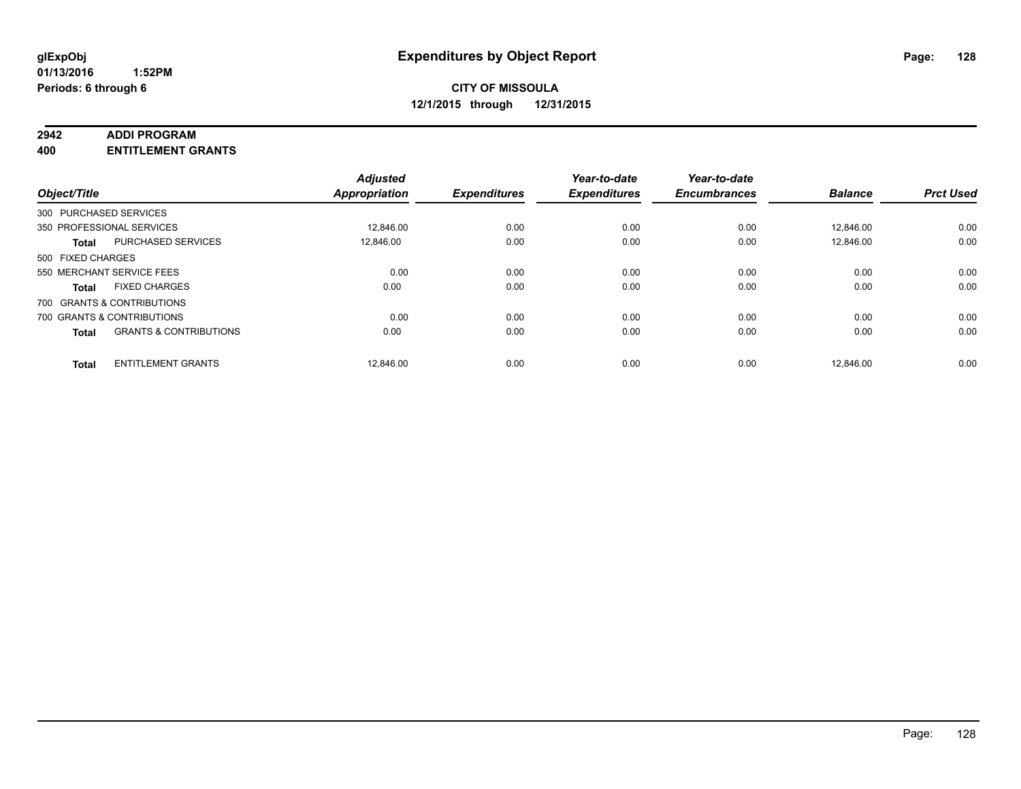#### **2942 ADDI PROGRAM**

**400 ENTITLEMENT GRANTS**

| Object/Title      |                                   | <b>Adjusted</b><br>Appropriation | <b>Expenditures</b> | Year-to-date<br><b>Expenditures</b> | Year-to-date<br><b>Encumbrances</b> | <b>Balance</b> | <b>Prct Used</b> |
|-------------------|-----------------------------------|----------------------------------|---------------------|-------------------------------------|-------------------------------------|----------------|------------------|
|                   | 300 PURCHASED SERVICES            |                                  |                     |                                     |                                     |                |                  |
|                   | 350 PROFESSIONAL SERVICES         | 12.846.00                        | 0.00                | 0.00                                | 0.00                                | 12.846.00      | 0.00             |
| Total             | <b>PURCHASED SERVICES</b>         | 12,846.00                        | 0.00                | 0.00                                | 0.00                                | 12,846.00      | 0.00             |
| 500 FIXED CHARGES |                                   |                                  |                     |                                     |                                     |                |                  |
|                   | 550 MERCHANT SERVICE FEES         | 0.00                             | 0.00                | 0.00                                | 0.00                                | 0.00           | 0.00             |
| Total             | <b>FIXED CHARGES</b>              | 0.00                             | 0.00                | 0.00                                | 0.00                                | 0.00           | 0.00             |
|                   | 700 GRANTS & CONTRIBUTIONS        |                                  |                     |                                     |                                     |                |                  |
|                   | 700 GRANTS & CONTRIBUTIONS        | 0.00                             | 0.00                | 0.00                                | 0.00                                | 0.00           | 0.00             |
| <b>Total</b>      | <b>GRANTS &amp; CONTRIBUTIONS</b> | 0.00                             | 0.00                | 0.00                                | 0.00                                | 0.00           | 0.00             |
| <b>Total</b>      | <b>ENTITLEMENT GRANTS</b>         | 12.846.00                        | 0.00                | 0.00                                | 0.00                                | 12.846.00      | 0.00             |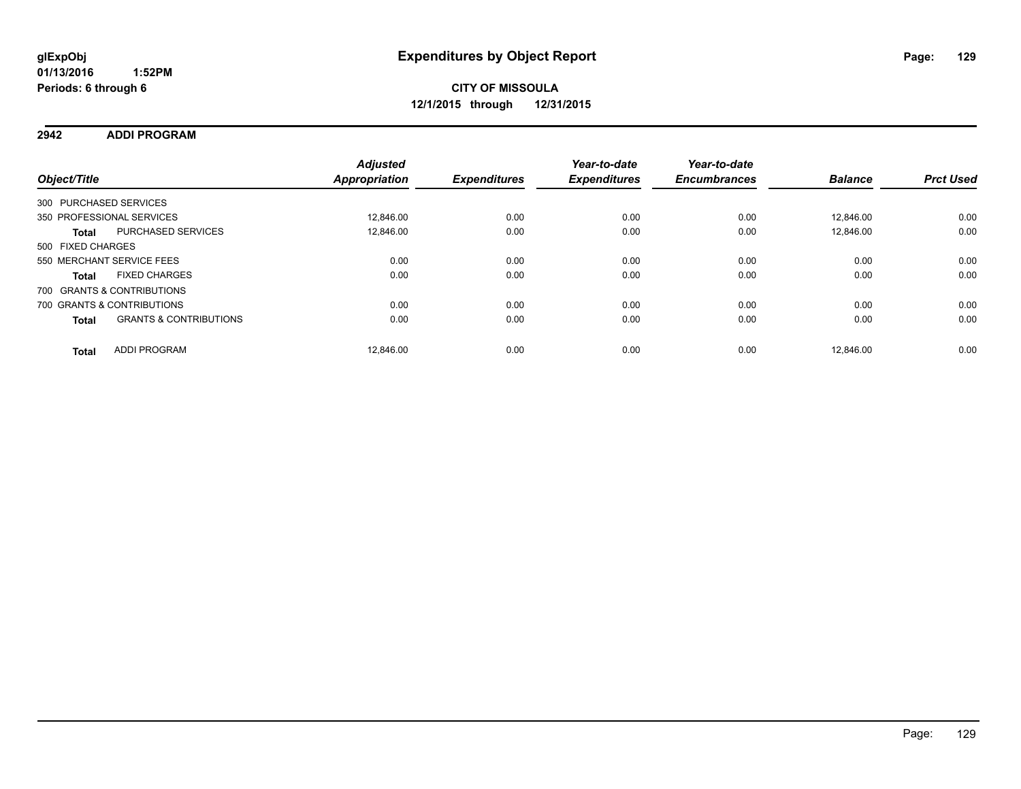#### **2942 ADDI PROGRAM**

| Object/Title           |                                   | <b>Adjusted</b><br>Appropriation | <b>Expenditures</b> | Year-to-date<br><b>Expenditures</b> | Year-to-date<br><b>Encumbrances</b> | <b>Balance</b> | <b>Prct Used</b> |
|------------------------|-----------------------------------|----------------------------------|---------------------|-------------------------------------|-------------------------------------|----------------|------------------|
| 300 PURCHASED SERVICES |                                   |                                  |                     |                                     |                                     |                |                  |
|                        | 350 PROFESSIONAL SERVICES         | 12.846.00                        | 0.00                | 0.00                                | 0.00                                | 12.846.00      | 0.00             |
| <b>Total</b>           | <b>PURCHASED SERVICES</b>         | 12.846.00                        | 0.00                | 0.00                                | 0.00                                | 12.846.00      | 0.00             |
| 500 FIXED CHARGES      |                                   |                                  |                     |                                     |                                     |                |                  |
|                        | 550 MERCHANT SERVICE FEES         | 0.00                             | 0.00                | 0.00                                | 0.00                                | 0.00           | 0.00             |
| <b>Total</b>           | <b>FIXED CHARGES</b>              | 0.00                             | 0.00                | 0.00                                | 0.00                                | 0.00           | 0.00             |
|                        | 700 GRANTS & CONTRIBUTIONS        |                                  |                     |                                     |                                     |                |                  |
|                        | 700 GRANTS & CONTRIBUTIONS        | 0.00                             | 0.00                | 0.00                                | 0.00                                | 0.00           | 0.00             |
| <b>Total</b>           | <b>GRANTS &amp; CONTRIBUTIONS</b> | 0.00                             | 0.00                | 0.00                                | 0.00                                | 0.00           | 0.00             |
| <b>Total</b>           | <b>ADDI PROGRAM</b>               | 12.846.00                        | 0.00                | 0.00                                | 0.00                                | 12.846.00      | 0.00             |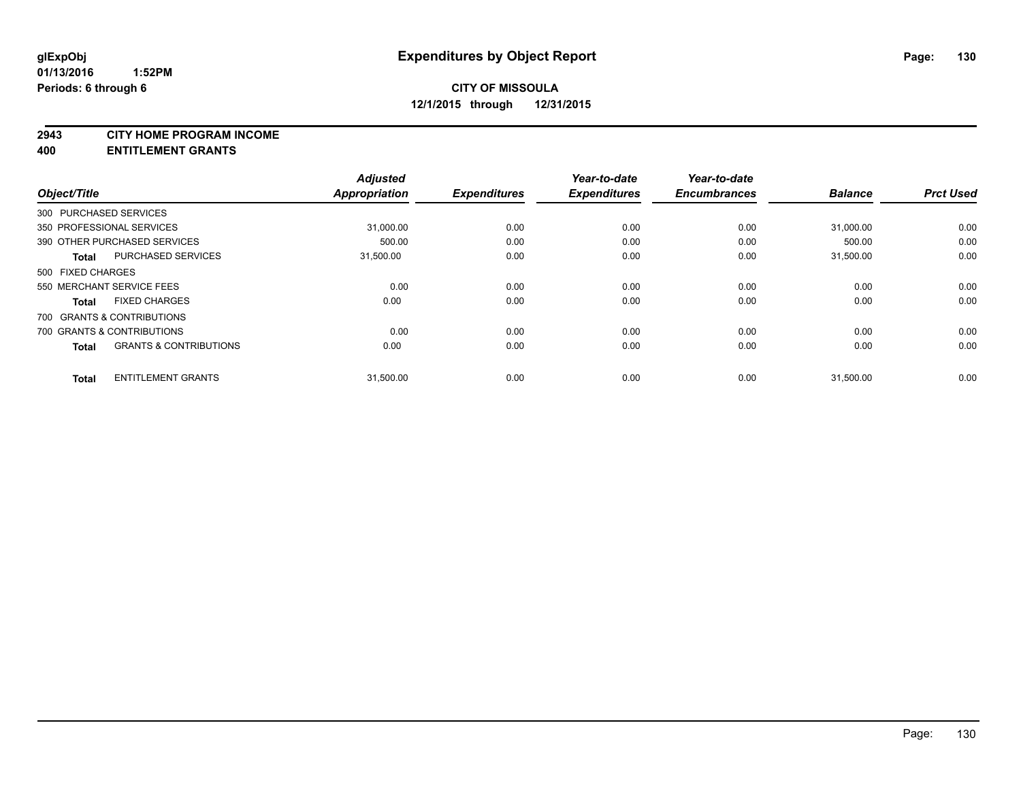#### **2943 CITY HOME PROGRAM INCOME**

**400 ENTITLEMENT GRANTS**

| Object/Title      |                                   | <b>Adjusted</b><br><b>Appropriation</b> | <b>Expenditures</b> | Year-to-date<br><b>Expenditures</b> | Year-to-date<br><b>Encumbrances</b> | <b>Balance</b> | <b>Prct Used</b> |
|-------------------|-----------------------------------|-----------------------------------------|---------------------|-------------------------------------|-------------------------------------|----------------|------------------|
|                   | 300 PURCHASED SERVICES            |                                         |                     |                                     |                                     |                |                  |
|                   | 350 PROFESSIONAL SERVICES         | 31,000.00                               | 0.00                | 0.00                                | 0.00                                | 31,000.00      | 0.00             |
|                   | 390 OTHER PURCHASED SERVICES      | 500.00                                  | 0.00                | 0.00                                | 0.00                                | 500.00         | 0.00             |
| <b>Total</b>      | <b>PURCHASED SERVICES</b>         | 31,500.00                               | 0.00                | 0.00                                | 0.00                                | 31,500.00      | 0.00             |
| 500 FIXED CHARGES |                                   |                                         |                     |                                     |                                     |                |                  |
|                   | 550 MERCHANT SERVICE FEES         | 0.00                                    | 0.00                | 0.00                                | 0.00                                | 0.00           | 0.00             |
| <b>Total</b>      | <b>FIXED CHARGES</b>              | 0.00                                    | 0.00                | 0.00                                | 0.00                                | 0.00           | 0.00             |
|                   | 700 GRANTS & CONTRIBUTIONS        |                                         |                     |                                     |                                     |                |                  |
|                   | 700 GRANTS & CONTRIBUTIONS        | 0.00                                    | 0.00                | 0.00                                | 0.00                                | 0.00           | 0.00             |
| <b>Total</b>      | <b>GRANTS &amp; CONTRIBUTIONS</b> | 0.00                                    | 0.00                | 0.00                                | 0.00                                | 0.00           | 0.00             |
| <b>Total</b>      | <b>ENTITLEMENT GRANTS</b>         | 31,500.00                               | 0.00                | 0.00                                | 0.00                                | 31,500.00      | 0.00             |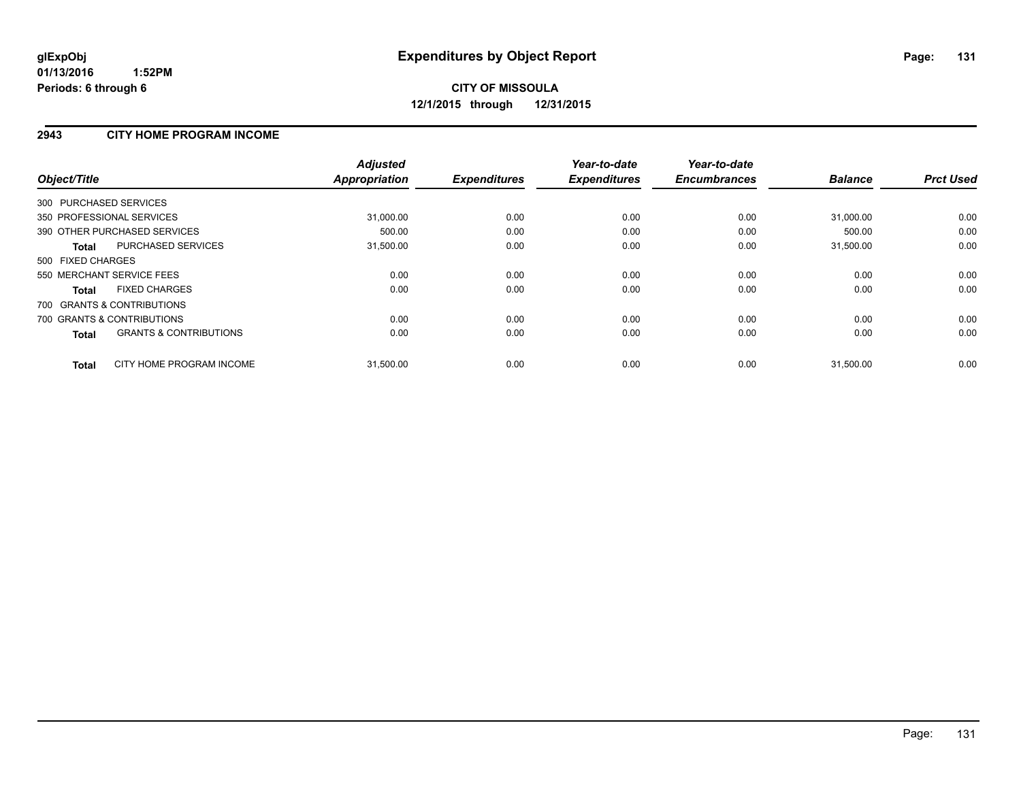#### **2943 CITY HOME PROGRAM INCOME**

| Object/Title                               | <b>Adjusted</b><br><b>Appropriation</b> | <b>Expenditures</b> | Year-to-date<br><b>Expenditures</b> | Year-to-date<br><b>Encumbrances</b> | <b>Balance</b> | <b>Prct Used</b> |
|--------------------------------------------|-----------------------------------------|---------------------|-------------------------------------|-------------------------------------|----------------|------------------|
| 300 PURCHASED SERVICES                     |                                         |                     |                                     |                                     |                |                  |
| 350 PROFESSIONAL SERVICES                  | 31,000.00                               | 0.00                | 0.00                                | 0.00                                | 31,000.00      | 0.00             |
| 390 OTHER PURCHASED SERVICES               | 500.00                                  | 0.00                | 0.00                                | 0.00                                | 500.00         | 0.00             |
| <b>PURCHASED SERVICES</b><br>Total         | 31,500.00                               | 0.00                | 0.00                                | 0.00                                | 31,500.00      | 0.00             |
| 500 FIXED CHARGES                          |                                         |                     |                                     |                                     |                |                  |
| 550 MERCHANT SERVICE FEES                  | 0.00                                    | 0.00                | 0.00                                | 0.00                                | 0.00           | 0.00             |
| <b>FIXED CHARGES</b><br>Total              | 0.00                                    | 0.00                | 0.00                                | 0.00                                | 0.00           | 0.00             |
| 700 GRANTS & CONTRIBUTIONS                 |                                         |                     |                                     |                                     |                |                  |
| 700 GRANTS & CONTRIBUTIONS                 | 0.00                                    | 0.00                | 0.00                                | 0.00                                | 0.00           | 0.00             |
| <b>GRANTS &amp; CONTRIBUTIONS</b><br>Total | 0.00                                    | 0.00                | 0.00                                | 0.00                                | 0.00           | 0.00             |
| CITY HOME PROGRAM INCOME<br><b>Total</b>   | 31,500.00                               | 0.00                | 0.00                                | 0.00                                | 31,500.00      | 0.00             |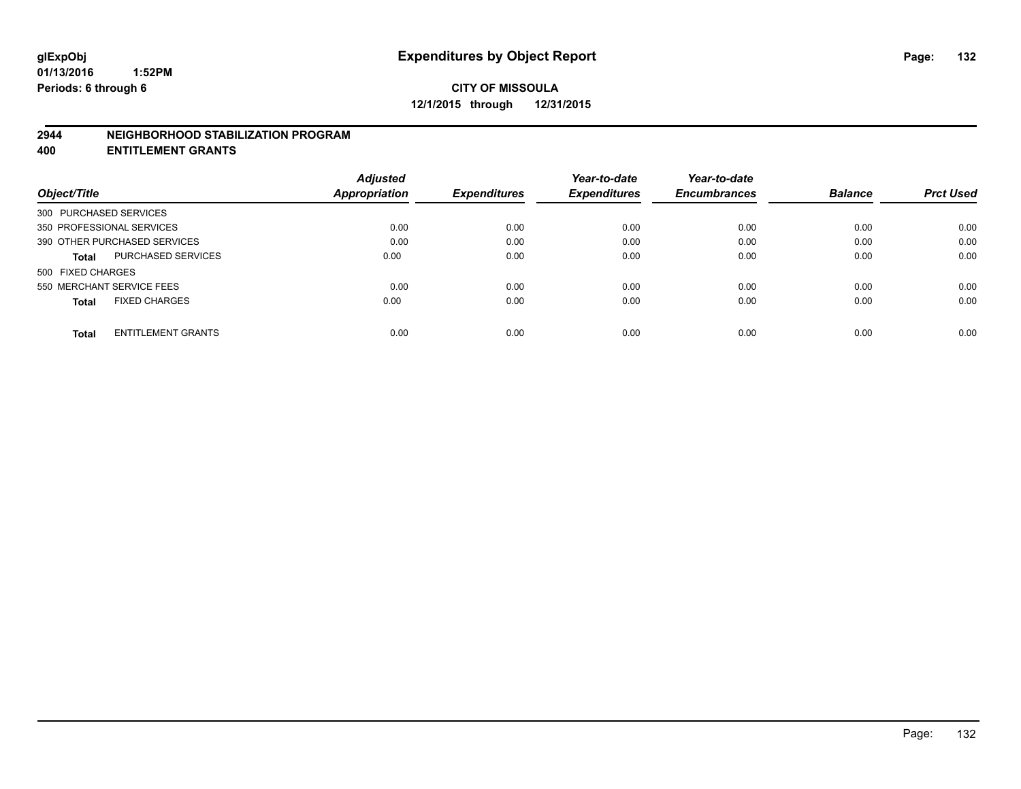#### **2944 NEIGHBORHOOD STABILIZATION PROGRAM**

**400 ENTITLEMENT GRANTS**

|                                           | <b>Adjusted</b> |                     | Year-to-date        | Year-to-date        |                |                  |
|-------------------------------------------|-----------------|---------------------|---------------------|---------------------|----------------|------------------|
| Object/Title                              | Appropriation   | <b>Expenditures</b> | <b>Expenditures</b> | <b>Encumbrances</b> | <b>Balance</b> | <b>Prct Used</b> |
| 300 PURCHASED SERVICES                    |                 |                     |                     |                     |                |                  |
| 350 PROFESSIONAL SERVICES                 | 0.00            | 0.00                | 0.00                | 0.00                | 0.00           | 0.00             |
| 390 OTHER PURCHASED SERVICES              | 0.00            | 0.00                | 0.00                | 0.00                | 0.00           | 0.00             |
| <b>PURCHASED SERVICES</b><br><b>Total</b> | 0.00            | 0.00                | 0.00                | 0.00                | 0.00           | 0.00             |
| 500 FIXED CHARGES                         |                 |                     |                     |                     |                |                  |
| 550 MERCHANT SERVICE FEES                 | 0.00            | 0.00                | 0.00                | 0.00                | 0.00           | 0.00             |
| <b>FIXED CHARGES</b><br><b>Total</b>      | 0.00            | 0.00                | 0.00                | 0.00                | 0.00           | 0.00             |
| <b>ENTITLEMENT GRANTS</b><br><b>Total</b> | 0.00            | 0.00                | 0.00                | 0.00                | 0.00           | 0.00             |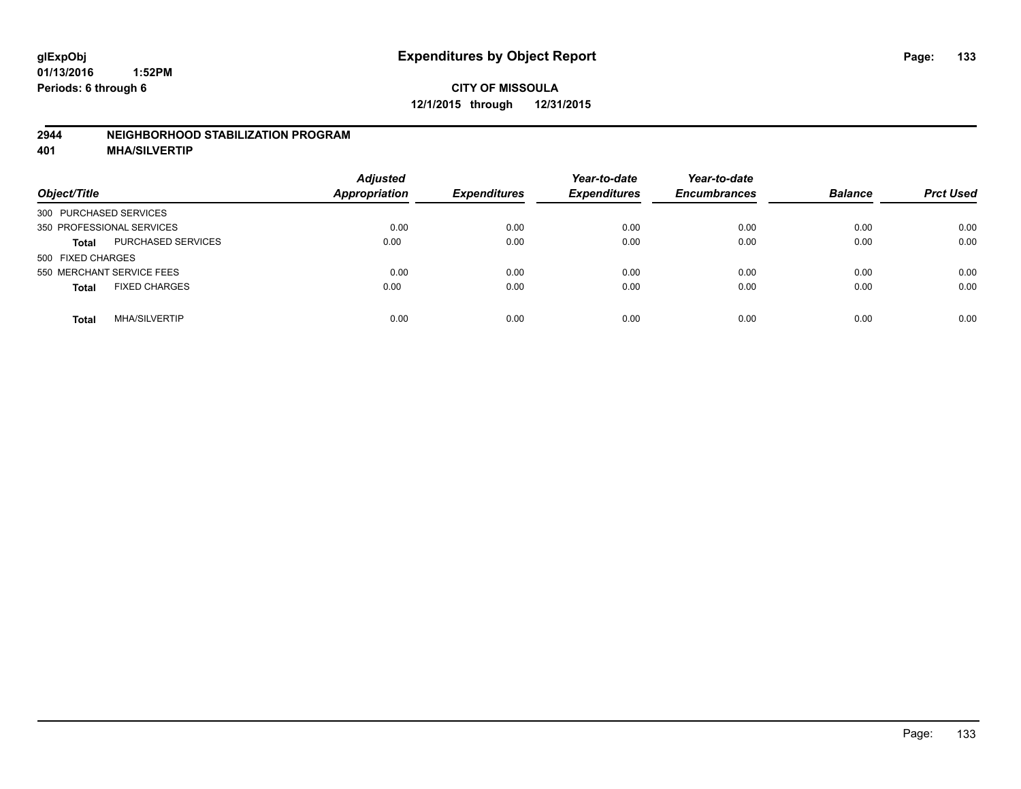#### **2944 NEIGHBORHOOD STABILIZATION PROGRAM**

**401 MHA/SILVERTIP**

| Object/Title                              | <b>Adjusted</b><br><b>Appropriation</b> | <b>Expenditures</b> | Year-to-date<br><b>Expenditures</b> | Year-to-date<br><b>Encumbrances</b> | <b>Balance</b> | <b>Prct Used</b> |
|-------------------------------------------|-----------------------------------------|---------------------|-------------------------------------|-------------------------------------|----------------|------------------|
| 300 PURCHASED SERVICES                    |                                         |                     |                                     |                                     |                |                  |
| 350 PROFESSIONAL SERVICES                 | 0.00                                    | 0.00                | 0.00                                | 0.00                                | 0.00           | 0.00             |
| <b>PURCHASED SERVICES</b><br><b>Total</b> | 0.00                                    | 0.00                | 0.00                                | 0.00                                | 0.00           | 0.00             |
| 500 FIXED CHARGES                         |                                         |                     |                                     |                                     |                |                  |
| 550 MERCHANT SERVICE FEES                 | 0.00                                    | 0.00                | 0.00                                | 0.00                                | 0.00           | 0.00             |
| <b>FIXED CHARGES</b><br><b>Total</b>      | 0.00                                    | 0.00                | 0.00                                | 0.00                                | 0.00           | 0.00             |
| <b>MHA/SILVERTIP</b><br>Total             | 0.00                                    | 0.00                | 0.00                                | 0.00                                | 0.00           | 0.00             |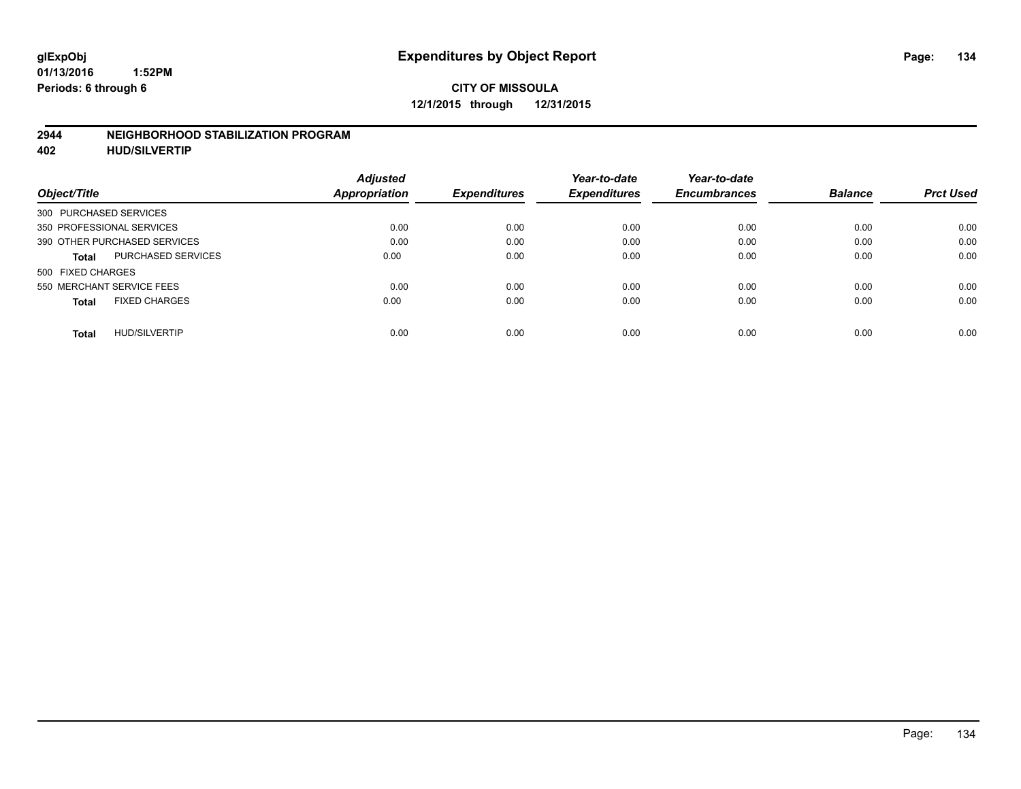#### **2944 NEIGHBORHOOD STABILIZATION PROGRAM**

**402 HUD/SILVERTIP**

| <b>Adjusted</b> |               | Year-to-date        | Year-to-date        |                     | <b>Prct Used</b> |
|-----------------|---------------|---------------------|---------------------|---------------------|------------------|
|                 |               |                     |                     |                     |                  |
|                 |               |                     |                     |                     |                  |
| 0.00            | 0.00          | 0.00                | 0.00                | 0.00                | 0.00             |
| 0.00            | 0.00          | 0.00                | 0.00                | 0.00                | 0.00             |
| 0.00            | 0.00          | 0.00                | 0.00                | 0.00                | 0.00             |
|                 |               |                     |                     |                     |                  |
| 0.00            | 0.00          | 0.00                | 0.00                | 0.00                | 0.00             |
| 0.00            | 0.00          | 0.00                | 0.00                | 0.00                | 0.00             |
| 0.00            | 0.00          | 0.00                | 0.00                | 0.00                | 0.00             |
|                 | Appropriation | <b>Expenditures</b> | <b>Expenditures</b> | <b>Encumbrances</b> | <b>Balance</b>   |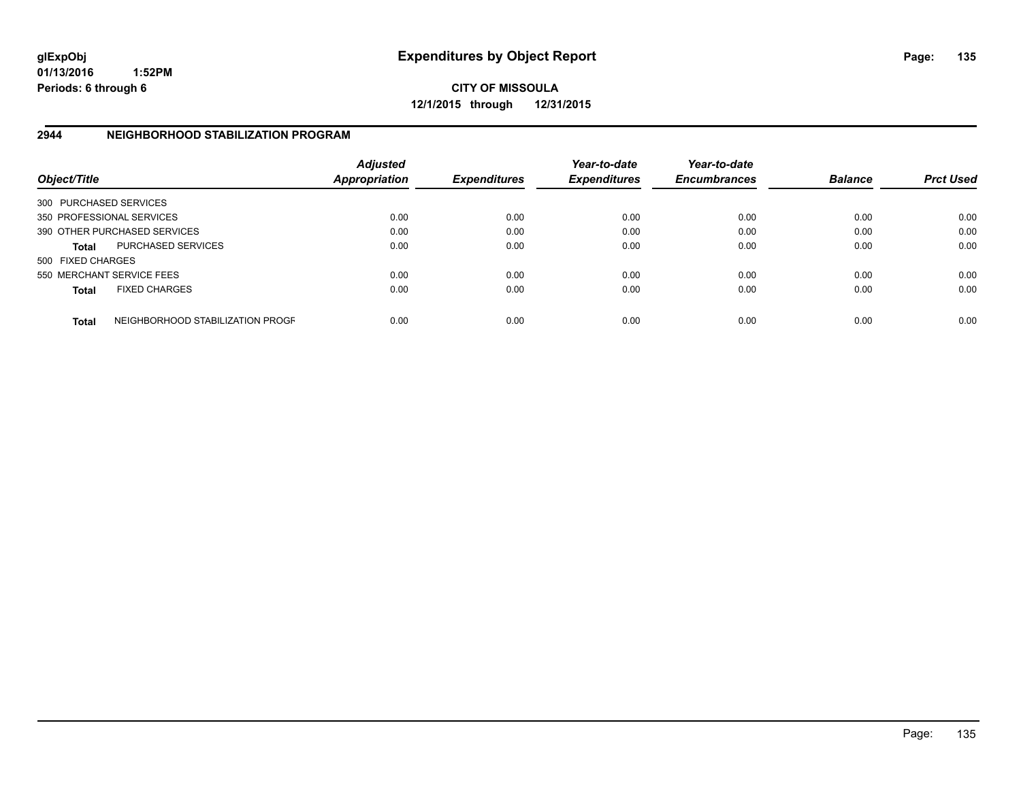**01/13/2016 1:52PM Periods: 6 through 6**

**CITY OF MISSOULA 12/1/2015 through 12/31/2015**

### **2944 NEIGHBORHOOD STABILIZATION PROGRAM**

| Object/Title           |                                  | Adjusted<br><b>Appropriation</b> | <b>Expenditures</b> | Year-to-date<br><b>Expenditures</b> | Year-to-date<br><b>Encumbrances</b> | <b>Balance</b> | <b>Prct Used</b> |
|------------------------|----------------------------------|----------------------------------|---------------------|-------------------------------------|-------------------------------------|----------------|------------------|
| 300 PURCHASED SERVICES |                                  |                                  |                     |                                     |                                     |                |                  |
|                        | 350 PROFESSIONAL SERVICES        | 0.00                             | 0.00                | 0.00                                | 0.00                                | 0.00           | 0.00             |
|                        | 390 OTHER PURCHASED SERVICES     | 0.00                             | 0.00                | 0.00                                | 0.00                                | 0.00           | 0.00             |
| <b>Total</b>           | <b>PURCHASED SERVICES</b>        | 0.00                             | 0.00                | 0.00                                | 0.00                                | 0.00           | 0.00             |
| 500 FIXED CHARGES      |                                  |                                  |                     |                                     |                                     |                |                  |
|                        | 550 MERCHANT SERVICE FEES        | 0.00                             | 0.00                | 0.00                                | 0.00                                | 0.00           | 0.00             |
| <b>Total</b>           | <b>FIXED CHARGES</b>             | 0.00                             | 0.00                | 0.00                                | 0.00                                | 0.00           | 0.00             |
| <b>Total</b>           | NEIGHBORHOOD STABILIZATION PROGF | 0.00                             | 0.00                | 0.00                                | 0.00                                | 0.00           | 0.00             |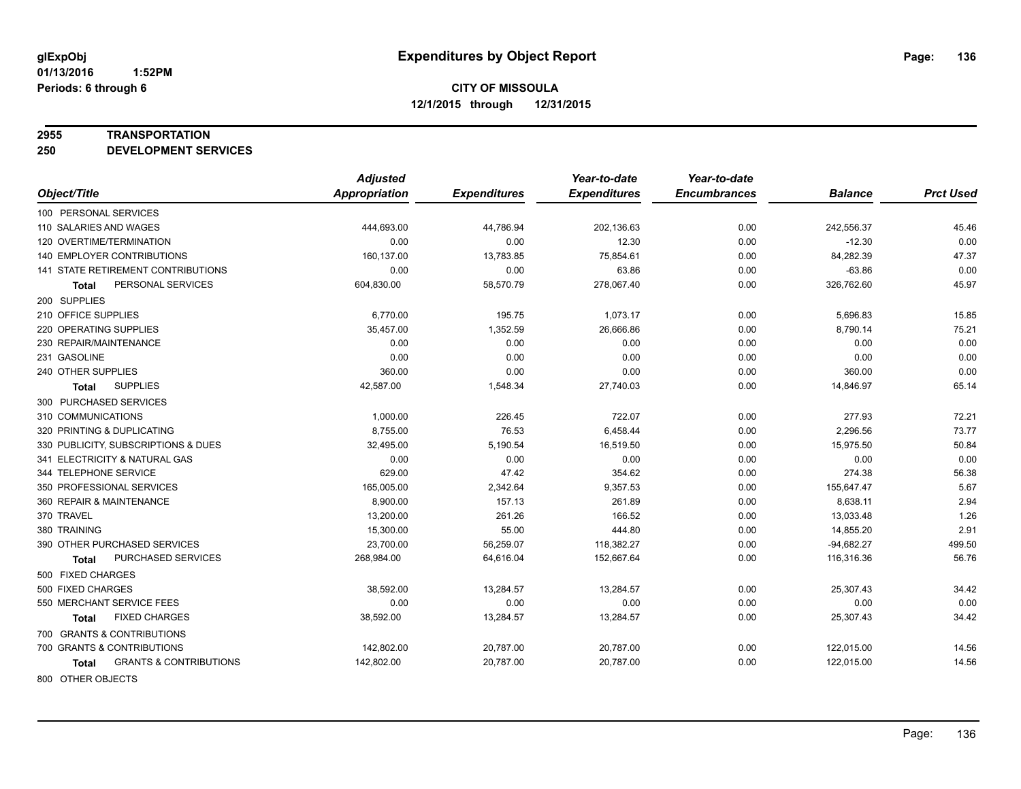#### **2955 TRANSPORTATION**

**250 DEVELOPMENT SERVICES**

|                                            | <b>Adjusted</b>      |                     | Year-to-date        | Year-to-date        |                |                  |
|--------------------------------------------|----------------------|---------------------|---------------------|---------------------|----------------|------------------|
| Object/Title                               | <b>Appropriation</b> | <b>Expenditures</b> | <b>Expenditures</b> | <b>Encumbrances</b> | <b>Balance</b> | <b>Prct Used</b> |
| 100 PERSONAL SERVICES                      |                      |                     |                     |                     |                |                  |
| 110 SALARIES AND WAGES                     | 444,693.00           | 44,786.94           | 202,136.63          | 0.00                | 242,556.37     | 45.46            |
| 120 OVERTIME/TERMINATION                   | 0.00                 | 0.00                | 12.30               | 0.00                | $-12.30$       | 0.00             |
| <b>140 EMPLOYER CONTRIBUTIONS</b>          | 160,137.00           | 13,783.85           | 75,854.61           | 0.00                | 84,282.39      | 47.37            |
| <b>141 STATE RETIREMENT CONTRIBUTIONS</b>  | 0.00                 | 0.00                | 63.86               | 0.00                | $-63.86$       | 0.00             |
| PERSONAL SERVICES<br>Total                 | 604,830.00           | 58,570.79           | 278,067.40          | 0.00                | 326,762.60     | 45.97            |
| 200 SUPPLIES                               |                      |                     |                     |                     |                |                  |
| 210 OFFICE SUPPLIES                        | 6,770.00             | 195.75              | 1,073.17            | 0.00                | 5,696.83       | 15.85            |
| 220 OPERATING SUPPLIES                     | 35,457.00            | 1,352.59            | 26,666.86           | 0.00                | 8,790.14       | 75.21            |
| 230 REPAIR/MAINTENANCE                     | 0.00                 | 0.00                | 0.00                | 0.00                | 0.00           | 0.00             |
| 231 GASOLINE                               | 0.00                 | 0.00                | 0.00                | 0.00                | 0.00           | 0.00             |
| 240 OTHER SUPPLIES                         | 360.00               | 0.00                | 0.00                | 0.00                | 360.00         | 0.00             |
| <b>SUPPLIES</b><br>Total                   | 42,587.00            | 1,548.34            | 27,740.03           | 0.00                | 14,846.97      | 65.14            |
| 300 PURCHASED SERVICES                     |                      |                     |                     |                     |                |                  |
| 310 COMMUNICATIONS                         | 1,000.00             | 226.45              | 722.07              | 0.00                | 277.93         | 72.21            |
| 320 PRINTING & DUPLICATING                 | 8,755.00             | 76.53               | 6,458.44            | 0.00                | 2,296.56       | 73.77            |
| 330 PUBLICITY, SUBSCRIPTIONS & DUES        | 32,495.00            | 5,190.54            | 16,519.50           | 0.00                | 15,975.50      | 50.84            |
| 341 ELECTRICITY & NATURAL GAS              | 0.00                 | 0.00                | 0.00                | 0.00                | 0.00           | 0.00             |
| 344 TELEPHONE SERVICE                      | 629.00               | 47.42               | 354.62              | 0.00                | 274.38         | 56.38            |
| 350 PROFESSIONAL SERVICES                  | 165,005.00           | 2,342.64            | 9,357.53            | 0.00                | 155,647.47     | 5.67             |
| 360 REPAIR & MAINTENANCE                   | 8,900.00             | 157.13              | 261.89              | 0.00                | 8,638.11       | 2.94             |
| 370 TRAVEL                                 | 13,200.00            | 261.26              | 166.52              | 0.00                | 13,033.48      | 1.26             |
| 380 TRAINING                               | 15,300.00            | 55.00               | 444.80              | 0.00                | 14,855.20      | 2.91             |
| 390 OTHER PURCHASED SERVICES               | 23,700.00            | 56,259.07           | 118,382.27          | 0.00                | $-94,682.27$   | 499.50           |
| PURCHASED SERVICES<br>Total                | 268,984.00           | 64,616.04           | 152,667.64          | 0.00                | 116,316.36     | 56.76            |
| 500 FIXED CHARGES                          |                      |                     |                     |                     |                |                  |
| 500 FIXED CHARGES                          | 38,592.00            | 13,284.57           | 13,284.57           | 0.00                | 25,307.43      | 34.42            |
| 550 MERCHANT SERVICE FEES                  | 0.00                 | 0.00                | 0.00                | 0.00                | 0.00           | 0.00             |
| <b>FIXED CHARGES</b><br>Total              | 38,592.00            | 13,284.57           | 13,284.57           | 0.00                | 25,307.43      | 34.42            |
| 700 GRANTS & CONTRIBUTIONS                 |                      |                     |                     |                     |                |                  |
| 700 GRANTS & CONTRIBUTIONS                 | 142,802.00           | 20,787.00           | 20,787.00           | 0.00                | 122,015.00     | 14.56            |
| <b>GRANTS &amp; CONTRIBUTIONS</b><br>Total | 142,802.00           | 20,787.00           | 20,787.00           | 0.00                | 122,015.00     | 14.56            |
| 000 OTHER OR IECTO                         |                      |                     |                     |                     |                |                  |

800 OTHER OBJECTS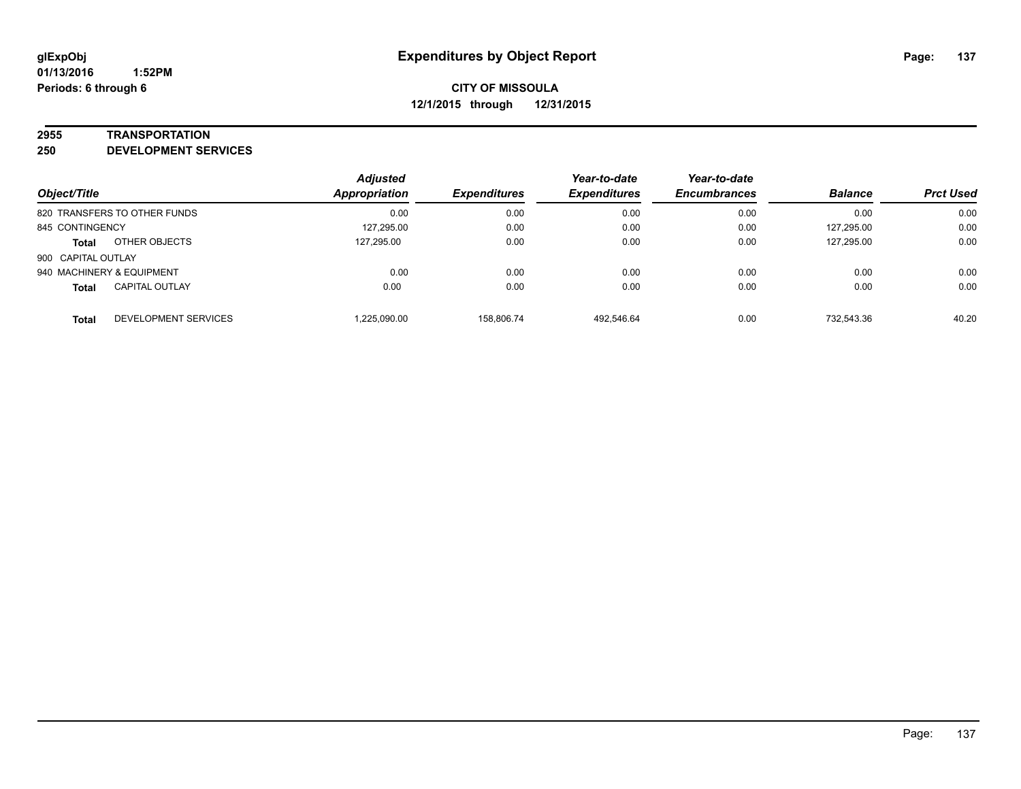#### **2955 TRANSPORTATION**

**250 DEVELOPMENT SERVICES**

| Object/Title                          | <b>Adjusted</b><br><b>Appropriation</b> | <b>Expenditures</b> | Year-to-date<br><b>Expenditures</b> | Year-to-date<br><b>Encumbrances</b> | <b>Balance</b> | <b>Prct Used</b> |
|---------------------------------------|-----------------------------------------|---------------------|-------------------------------------|-------------------------------------|----------------|------------------|
| 820 TRANSFERS TO OTHER FUNDS          | 0.00                                    | 0.00                | 0.00                                | 0.00                                | 0.00           | 0.00             |
| 845 CONTINGENCY                       | 127,295.00                              | 0.00                | 0.00                                | 0.00                                | 127,295.00     | 0.00             |
| OTHER OBJECTS<br><b>Total</b>         | 127.295.00                              | 0.00                | 0.00                                | 0.00                                | 127,295.00     | 0.00             |
| 900 CAPITAL OUTLAY                    |                                         |                     |                                     |                                     |                |                  |
| 940 MACHINERY & EQUIPMENT             | 0.00                                    | 0.00                | 0.00                                | 0.00                                | 0.00           | 0.00             |
| <b>CAPITAL OUTLAY</b><br><b>Total</b> | 0.00                                    | 0.00                | 0.00                                | 0.00                                | 0.00           | 0.00             |
| DEVELOPMENT SERVICES<br><b>Total</b>  | 1.225.090.00                            | 158.806.74          | 492.546.64                          | 0.00                                | 732.543.36     | 40.20            |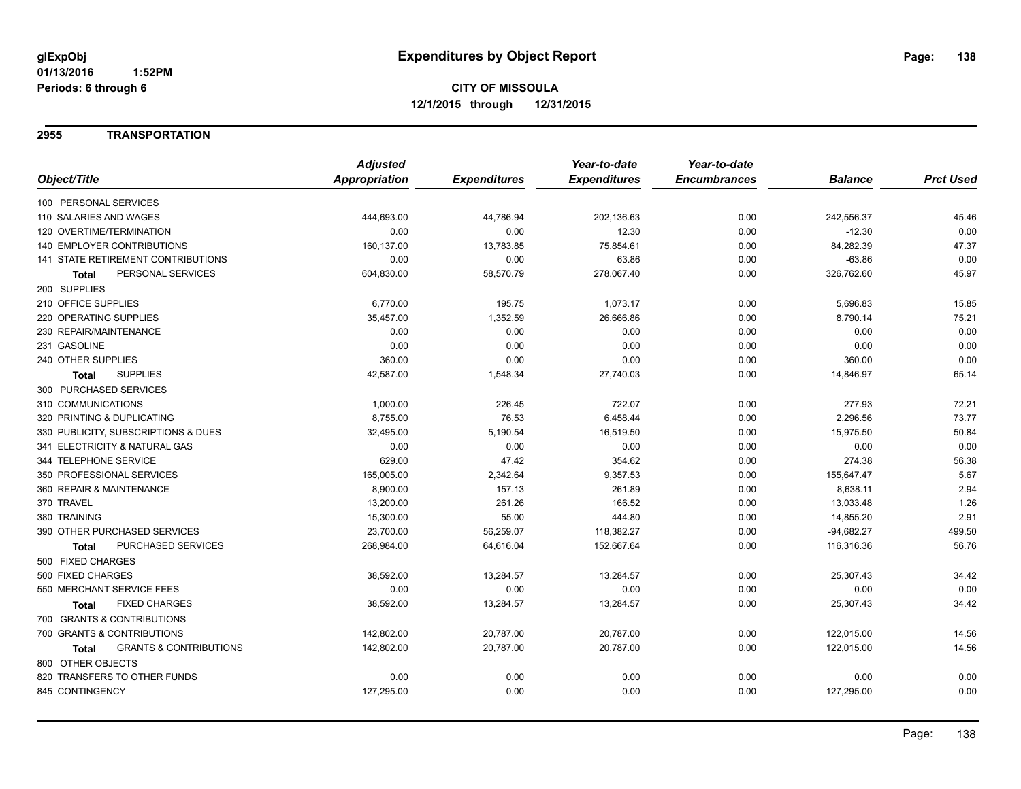#### **2955 TRANSPORTATION**

|                                            | <b>Adjusted</b>      |                     | Year-to-date        | Year-to-date        |                |                  |
|--------------------------------------------|----------------------|---------------------|---------------------|---------------------|----------------|------------------|
| Object/Title                               | <b>Appropriation</b> | <b>Expenditures</b> | <b>Expenditures</b> | <b>Encumbrances</b> | <b>Balance</b> | <b>Prct Used</b> |
| 100 PERSONAL SERVICES                      |                      |                     |                     |                     |                |                  |
| 110 SALARIES AND WAGES                     | 444,693.00           | 44,786.94           | 202,136.63          | 0.00                | 242,556.37     | 45.46            |
| 120 OVERTIME/TERMINATION                   | 0.00                 | 0.00                | 12.30               | 0.00                | $-12.30$       | 0.00             |
| 140 EMPLOYER CONTRIBUTIONS                 | 160,137.00           | 13,783.85           | 75,854.61           | 0.00                | 84,282.39      | 47.37            |
| 141 STATE RETIREMENT CONTRIBUTIONS         | 0.00                 | 0.00                | 63.86               | 0.00                | $-63.86$       | 0.00             |
| PERSONAL SERVICES<br><b>Total</b>          | 604,830.00           | 58,570.79           | 278,067.40          | 0.00                | 326,762.60     | 45.97            |
| 200 SUPPLIES                               |                      |                     |                     |                     |                |                  |
| 210 OFFICE SUPPLIES                        | 6,770.00             | 195.75              | 1,073.17            | 0.00                | 5,696.83       | 15.85            |
| 220 OPERATING SUPPLIES                     | 35,457.00            | 1,352.59            | 26,666.86           | 0.00                | 8,790.14       | 75.21            |
| 230 REPAIR/MAINTENANCE                     | 0.00                 | 0.00                | 0.00                | 0.00                | 0.00           | 0.00             |
| 231 GASOLINE                               | 0.00                 | 0.00                | 0.00                | 0.00                | 0.00           | 0.00             |
| 240 OTHER SUPPLIES                         | 360.00               | 0.00                | 0.00                | 0.00                | 360.00         | 0.00             |
| <b>SUPPLIES</b><br>Total                   | 42,587.00            | 1,548.34            | 27,740.03           | 0.00                | 14,846.97      | 65.14            |
| 300 PURCHASED SERVICES                     |                      |                     |                     |                     |                |                  |
| 310 COMMUNICATIONS                         | 1,000.00             | 226.45              | 722.07              | 0.00                | 277.93         | 72.21            |
| 320 PRINTING & DUPLICATING                 | 8,755.00             | 76.53               | 6,458.44            | 0.00                | 2,296.56       | 73.77            |
| 330 PUBLICITY, SUBSCRIPTIONS & DUES        | 32,495.00            | 5,190.54            | 16,519.50           | 0.00                | 15,975.50      | 50.84            |
| 341 ELECTRICITY & NATURAL GAS              | 0.00                 | 0.00                | 0.00                | 0.00                | 0.00           | 0.00             |
| 344 TELEPHONE SERVICE                      | 629.00               | 47.42               | 354.62              | 0.00                | 274.38         | 56.38            |
| 350 PROFESSIONAL SERVICES                  | 165,005.00           | 2,342.64            | 9,357.53            | 0.00                | 155,647.47     | 5.67             |
| 360 REPAIR & MAINTENANCE                   | 8,900.00             | 157.13              | 261.89              | 0.00                | 8,638.11       | 2.94             |
| 370 TRAVEL                                 | 13,200.00            | 261.26              | 166.52              | 0.00                | 13,033.48      | 1.26             |
| 380 TRAINING                               | 15,300.00            | 55.00               | 444.80              | 0.00                | 14,855.20      | 2.91             |
| 390 OTHER PURCHASED SERVICES               | 23,700.00            | 56,259.07           | 118,382.27          | 0.00                | $-94,682.27$   | 499.50           |
| PURCHASED SERVICES<br><b>Total</b>         | 268,984.00           | 64,616.04           | 152,667.64          | 0.00                | 116,316.36     | 56.76            |
| 500 FIXED CHARGES                          |                      |                     |                     |                     |                |                  |
| 500 FIXED CHARGES                          | 38,592.00            | 13,284.57           | 13,284.57           | 0.00                | 25,307.43      | 34.42            |
| 550 MERCHANT SERVICE FEES                  | 0.00                 | 0.00                | 0.00                | 0.00                | 0.00           | 0.00             |
| <b>FIXED CHARGES</b><br><b>Total</b>       | 38,592.00            | 13,284.57           | 13,284.57           | 0.00                | 25,307.43      | 34.42            |
| 700 GRANTS & CONTRIBUTIONS                 |                      |                     |                     |                     |                |                  |
| 700 GRANTS & CONTRIBUTIONS                 | 142,802.00           | 20,787.00           | 20,787.00           | 0.00                | 122,015.00     | 14.56            |
| <b>GRANTS &amp; CONTRIBUTIONS</b><br>Total | 142,802.00           | 20,787.00           | 20,787.00           | 0.00                | 122,015.00     | 14.56            |
| 800 OTHER OBJECTS                          |                      |                     |                     |                     |                |                  |
| 820 TRANSFERS TO OTHER FUNDS               | 0.00                 | 0.00                | 0.00                | 0.00                | 0.00           | 0.00             |
| 845 CONTINGENCY                            | 127,295.00           | 0.00                | 0.00                | 0.00                | 127,295.00     | 0.00             |
|                                            |                      |                     |                     |                     |                |                  |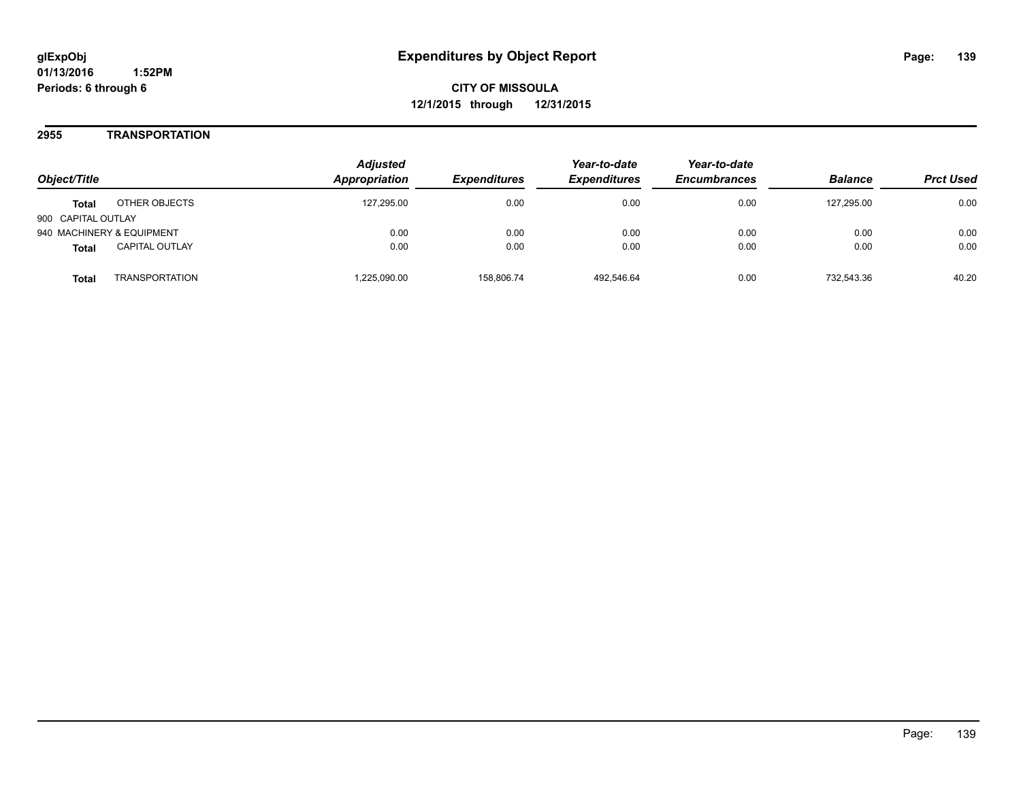#### **2955 TRANSPORTATION**

| Object/Title                          | <b>Adjusted</b><br>Appropriation | <i><b>Expenditures</b></i> | Year-to-date<br><b>Expenditures</b> | Year-to-date<br><b>Encumbrances</b> | <b>Balance</b> | <b>Prct Used</b> |
|---------------------------------------|----------------------------------|----------------------------|-------------------------------------|-------------------------------------|----------------|------------------|
| OTHER OBJECTS<br><b>Total</b>         | 127.295.00                       | 0.00                       | 0.00                                | 0.00                                | 127.295.00     | 0.00             |
| 900 CAPITAL OUTLAY                    |                                  |                            |                                     |                                     |                |                  |
| 940 MACHINERY & EQUIPMENT             | 0.00                             | 0.00                       | 0.00                                | 0.00                                | 0.00           | 0.00             |
| <b>CAPITAL OUTLAY</b><br><b>Total</b> | 0.00                             | 0.00                       | 0.00                                | 0.00                                | 0.00           | 0.00             |
| <b>TRANSPORTATION</b><br>Total        | ,225,090.00                      | 158.806.74                 | 492.546.64                          | 0.00                                | 732.543.36     | 40.20            |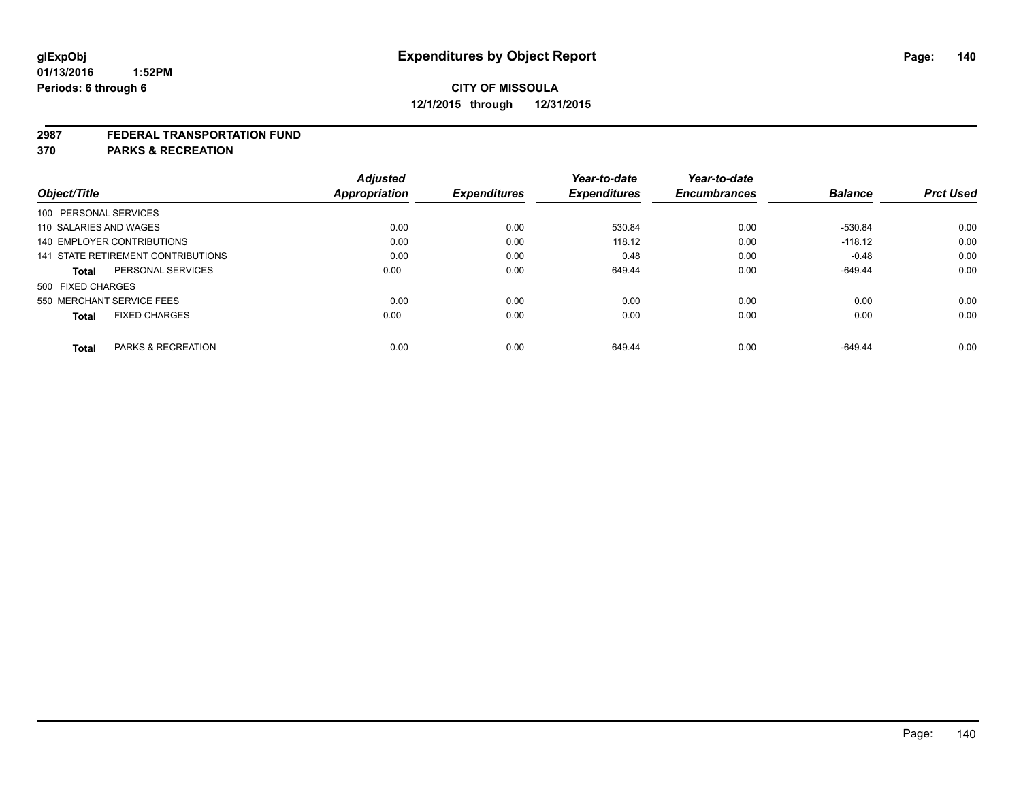#### **2987 FEDERAL TRANSPORTATION FUND**

**370 PARKS & RECREATION**

|                            |                                    | <b>Adjusted</b>      | <b>Expenditures</b> | Year-to-date<br><b>Expenditures</b> | Year-to-date<br><b>Encumbrances</b> | <b>Balance</b> | <b>Prct Used</b> |
|----------------------------|------------------------------------|----------------------|---------------------|-------------------------------------|-------------------------------------|----------------|------------------|
| Object/Title               |                                    | <b>Appropriation</b> |                     |                                     |                                     |                |                  |
| 100 PERSONAL SERVICES      |                                    |                      |                     |                                     |                                     |                |                  |
| 110 SALARIES AND WAGES     |                                    | 0.00                 | 0.00                | 530.84                              | 0.00                                | -530.84        | 0.00             |
| 140 EMPLOYER CONTRIBUTIONS |                                    | 0.00                 | 0.00                | 118.12                              | 0.00                                | $-118.12$      | 0.00             |
|                            | 141 STATE RETIREMENT CONTRIBUTIONS | 0.00                 | 0.00                | 0.48                                | 0.00                                | $-0.48$        | 0.00             |
| Total                      | PERSONAL SERVICES                  | 0.00                 | 0.00                | 649.44                              | 0.00                                | $-649.44$      | 0.00             |
| 500 FIXED CHARGES          |                                    |                      |                     |                                     |                                     |                |                  |
| 550 MERCHANT SERVICE FEES  |                                    | 0.00                 | 0.00                | 0.00                                | 0.00                                | 0.00           | 0.00             |
| <b>Total</b>               | <b>FIXED CHARGES</b>               | 0.00                 | 0.00                | 0.00                                | 0.00                                | 0.00           | 0.00             |
|                            |                                    |                      |                     |                                     |                                     |                |                  |
| <b>Total</b>               | <b>PARKS &amp; RECREATION</b>      | 0.00                 | 0.00                | 649.44                              | 0.00                                | $-649.44$      | 0.00             |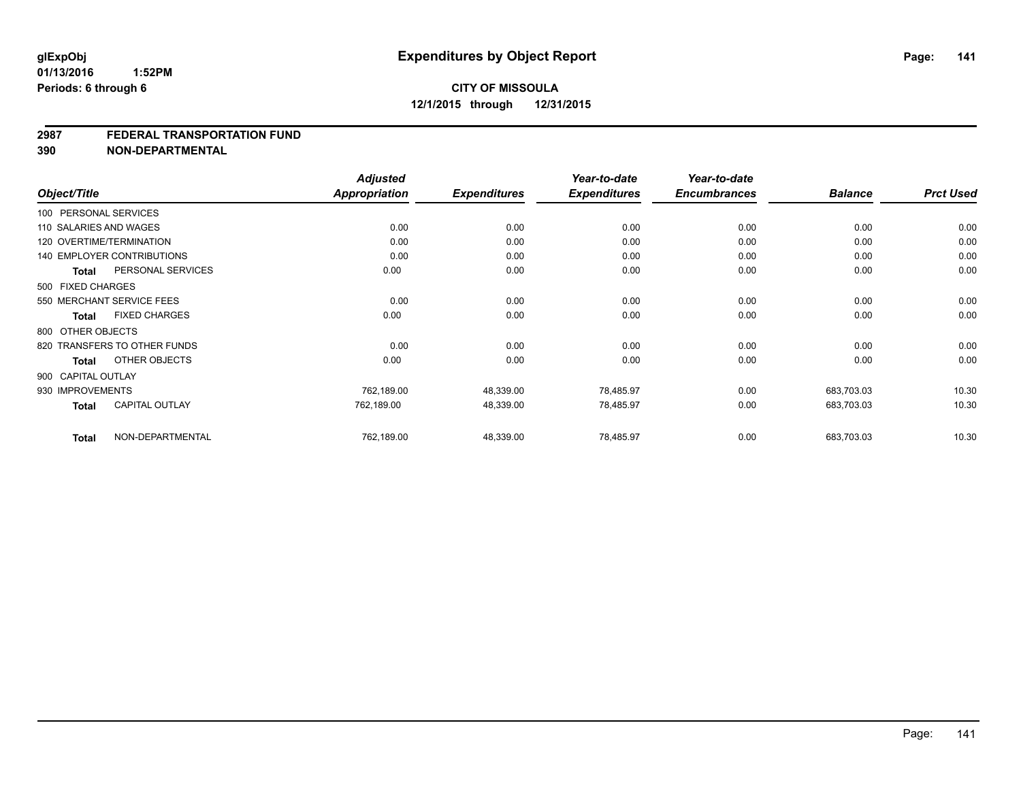#### **2987 FEDERAL TRANSPORTATION FUND**

**390 NON-DEPARTMENTAL**

| Object/Title           |                                   | <b>Adjusted</b><br>Appropriation | <b>Expenditures</b> | Year-to-date<br><b>Expenditures</b> | Year-to-date<br><b>Encumbrances</b> | <b>Balance</b> | <b>Prct Used</b> |
|------------------------|-----------------------------------|----------------------------------|---------------------|-------------------------------------|-------------------------------------|----------------|------------------|
| 100 PERSONAL SERVICES  |                                   |                                  |                     |                                     |                                     |                |                  |
| 110 SALARIES AND WAGES |                                   | 0.00                             | 0.00                | 0.00                                | 0.00                                | 0.00           | 0.00             |
|                        |                                   |                                  |                     |                                     |                                     |                |                  |
|                        | 120 OVERTIME/TERMINATION          | 0.00                             | 0.00                | 0.00                                | 0.00                                | 0.00           | 0.00             |
|                        | <b>140 EMPLOYER CONTRIBUTIONS</b> | 0.00                             | 0.00                | 0.00                                | 0.00                                | 0.00           | 0.00             |
| <b>Total</b>           | PERSONAL SERVICES                 | 0.00                             | 0.00                | 0.00                                | 0.00                                | 0.00           | 0.00             |
| 500 FIXED CHARGES      |                                   |                                  |                     |                                     |                                     |                |                  |
|                        | 550 MERCHANT SERVICE FEES         | 0.00                             | 0.00                | 0.00                                | 0.00                                | 0.00           | 0.00             |
| Total                  | <b>FIXED CHARGES</b>              | 0.00                             | 0.00                | 0.00                                | 0.00                                | 0.00           | 0.00             |
| 800 OTHER OBJECTS      |                                   |                                  |                     |                                     |                                     |                |                  |
|                        | 820 TRANSFERS TO OTHER FUNDS      | 0.00                             | 0.00                | 0.00                                | 0.00                                | 0.00           | 0.00             |
| <b>Total</b>           | OTHER OBJECTS                     | 0.00                             | 0.00                | 0.00                                | 0.00                                | 0.00           | 0.00             |
| 900 CAPITAL OUTLAY     |                                   |                                  |                     |                                     |                                     |                |                  |
| 930 IMPROVEMENTS       |                                   | 762,189.00                       | 48,339.00           | 78,485.97                           | 0.00                                | 683.703.03     | 10.30            |
| <b>Total</b>           | <b>CAPITAL OUTLAY</b>             | 762,189.00                       | 48,339.00           | 78,485.97                           | 0.00                                | 683,703.03     | 10.30            |
| <b>Total</b>           | NON-DEPARTMENTAL                  | 762,189.00                       | 48,339.00           | 78,485.97                           | 0.00                                | 683,703.03     | 10.30            |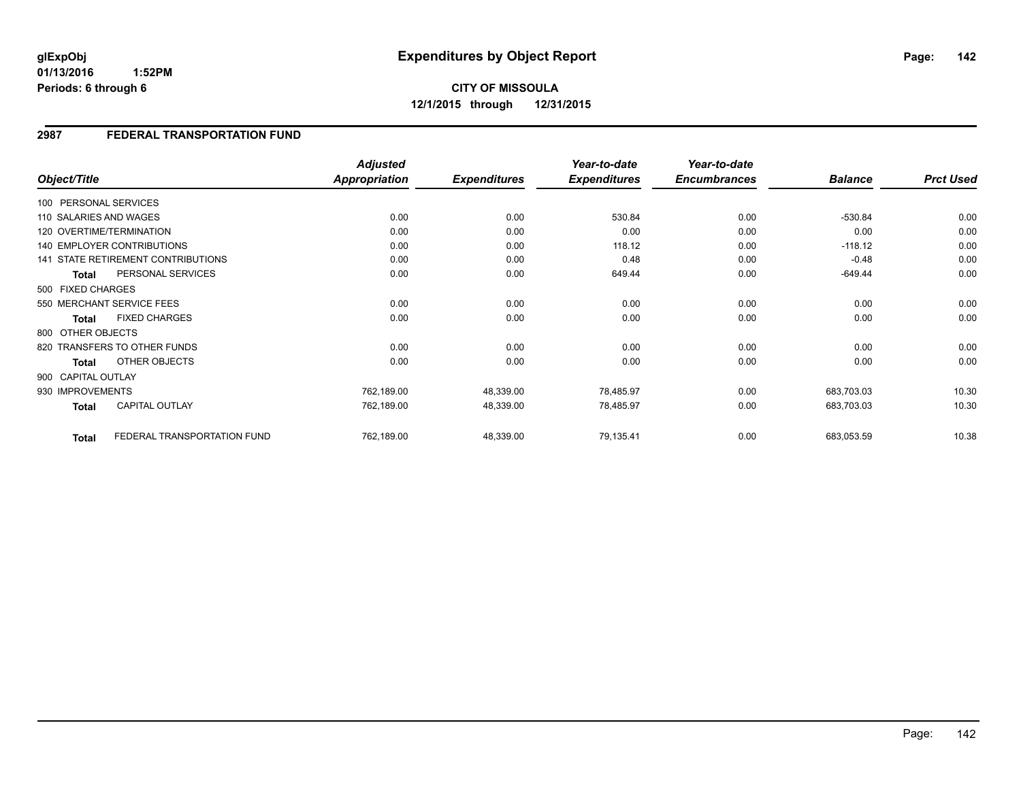**01/13/2016 1:52PM Periods: 6 through 6**

### **2987 FEDERAL TRANSPORTATION FUND**

| Object/Title           |                                    | <b>Adjusted</b><br><b>Appropriation</b> | <b>Expenditures</b> | Year-to-date<br><b>Expenditures</b> | Year-to-date<br><b>Encumbrances</b> | <b>Balance</b> | <b>Prct Used</b> |
|------------------------|------------------------------------|-----------------------------------------|---------------------|-------------------------------------|-------------------------------------|----------------|------------------|
| 100 PERSONAL SERVICES  |                                    |                                         |                     |                                     |                                     |                |                  |
| 110 SALARIES AND WAGES |                                    | 0.00                                    | 0.00                | 530.84                              | 0.00                                | $-530.84$      | 0.00             |
|                        | 120 OVERTIME/TERMINATION           | 0.00                                    | 0.00                | 0.00                                | 0.00                                | 0.00           | 0.00             |
|                        | <b>140 EMPLOYER CONTRIBUTIONS</b>  | 0.00                                    | 0.00                | 118.12                              | 0.00                                | $-118.12$      | 0.00             |
|                        | 141 STATE RETIREMENT CONTRIBUTIONS | 0.00                                    | 0.00                | 0.48                                | 0.00                                | $-0.48$        | 0.00             |
| <b>Total</b>           | PERSONAL SERVICES                  | 0.00                                    | 0.00                | 649.44                              | 0.00                                | -649.44        | 0.00             |
| 500 FIXED CHARGES      |                                    |                                         |                     |                                     |                                     |                |                  |
|                        | 550 MERCHANT SERVICE FEES          | 0.00                                    | 0.00                | 0.00                                | 0.00                                | 0.00           | 0.00             |
| Total                  | <b>FIXED CHARGES</b>               | 0.00                                    | 0.00                | 0.00                                | 0.00                                | 0.00           | 0.00             |
| 800 OTHER OBJECTS      |                                    |                                         |                     |                                     |                                     |                |                  |
|                        | 820 TRANSFERS TO OTHER FUNDS       | 0.00                                    | 0.00                | 0.00                                | 0.00                                | 0.00           | 0.00             |
| <b>Total</b>           | OTHER OBJECTS                      | 0.00                                    | 0.00                | 0.00                                | 0.00                                | 0.00           | 0.00             |
| 900 CAPITAL OUTLAY     |                                    |                                         |                     |                                     |                                     |                |                  |
| 930 IMPROVEMENTS       |                                    | 762,189.00                              | 48,339.00           | 78,485.97                           | 0.00                                | 683,703.03     | 10.30            |
| <b>Total</b>           | <b>CAPITAL OUTLAY</b>              | 762,189.00                              | 48,339.00           | 78,485.97                           | 0.00                                | 683,703.03     | 10.30            |
| <b>Total</b>           | FEDERAL TRANSPORTATION FUND        | 762,189.00                              | 48,339.00           | 79,135.41                           | 0.00                                | 683,053.59     | 10.38            |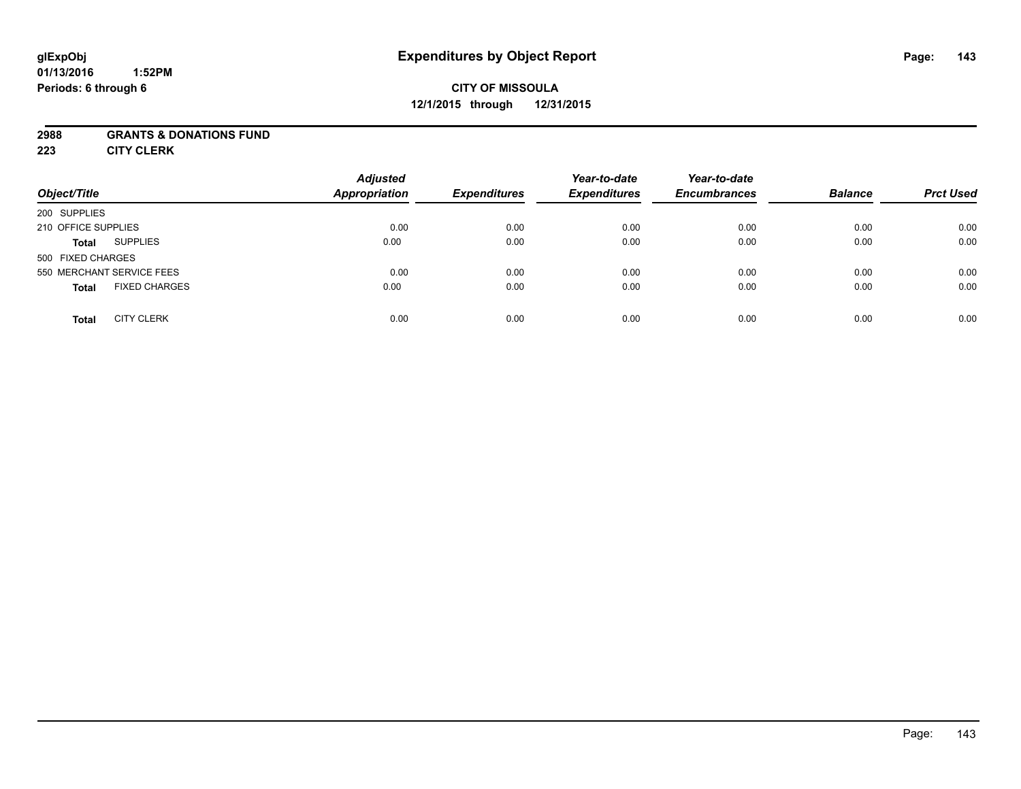#### **01/13/2016 1:52PM Periods: 6 through 6**

# **CITY OF MISSOULA 12/1/2015 through 12/31/2015**

#### **2988 GRANTS & DONATIONS FUND**

**223 CITY CLERK**

| Object/Title                         | <b>Adjusted</b><br><b>Appropriation</b> | <b>Expenditures</b> | Year-to-date<br><b>Expenditures</b> | Year-to-date<br><b>Encumbrances</b> | <b>Balance</b> | <b>Prct Used</b> |
|--------------------------------------|-----------------------------------------|---------------------|-------------------------------------|-------------------------------------|----------------|------------------|
| 200 SUPPLIES                         |                                         |                     |                                     |                                     |                |                  |
| 210 OFFICE SUPPLIES                  | 0.00                                    | 0.00                | 0.00                                | 0.00                                | 0.00           | 0.00             |
| <b>SUPPLIES</b><br>Total             | 0.00                                    | 0.00                | 0.00                                | 0.00                                | 0.00           | 0.00             |
| 500 FIXED CHARGES                    |                                         |                     |                                     |                                     |                |                  |
| 550 MERCHANT SERVICE FEES            | 0.00                                    | 0.00                | 0.00                                | 0.00                                | 0.00           | 0.00             |
| <b>FIXED CHARGES</b><br><b>Total</b> | 0.00                                    | 0.00                | 0.00                                | 0.00                                | 0.00           | 0.00             |
| <b>CITY CLERK</b><br><b>Total</b>    | 0.00                                    | 0.00                | 0.00                                | 0.00                                | 0.00           | 0.00             |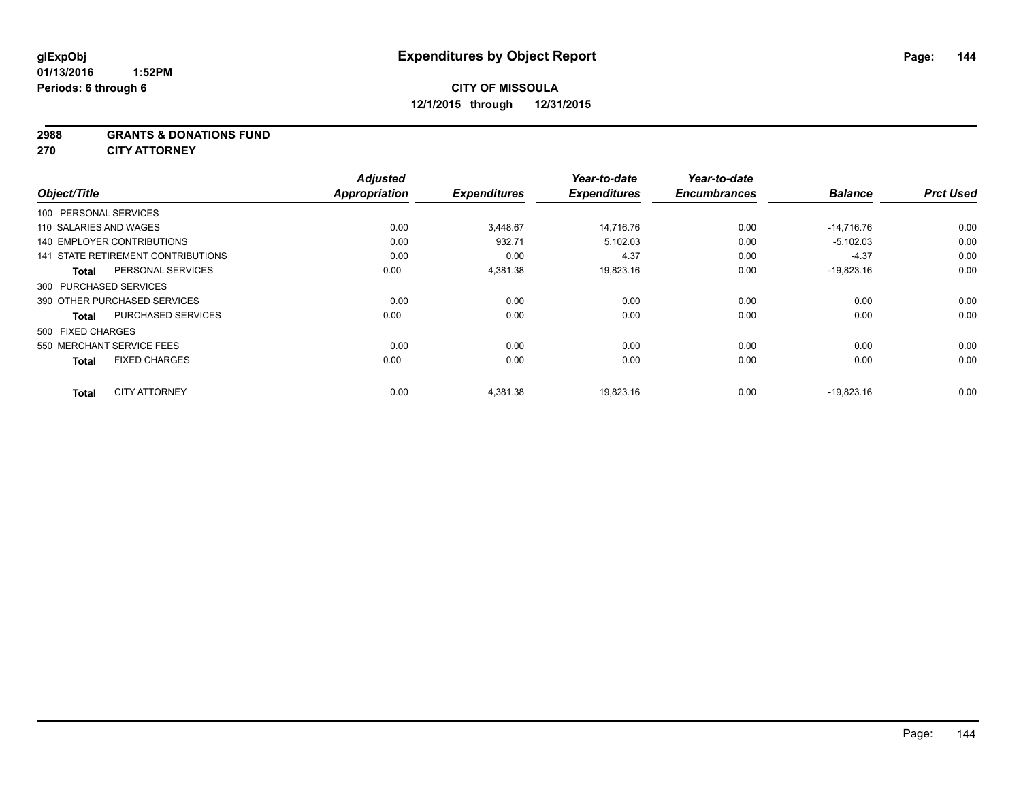**2988 GRANTS & DONATIONS FUND**

**270 CITY ATTORNEY**

|                                    |                           | <b>Adjusted</b> |                     | Year-to-date        | Year-to-date        |                |                  |
|------------------------------------|---------------------------|-----------------|---------------------|---------------------|---------------------|----------------|------------------|
| Object/Title                       |                           | Appropriation   | <b>Expenditures</b> | <b>Expenditures</b> | <b>Encumbrances</b> | <b>Balance</b> | <b>Prct Used</b> |
| 100 PERSONAL SERVICES              |                           |                 |                     |                     |                     |                |                  |
| 110 SALARIES AND WAGES             |                           | 0.00            | 3,448.67            | 14.716.76           | 0.00                | $-14,716.76$   | 0.00             |
| <b>140 EMPLOYER CONTRIBUTIONS</b>  |                           | 0.00            | 932.71              | 5,102.03            | 0.00                | $-5,102.03$    | 0.00             |
| 141 STATE RETIREMENT CONTRIBUTIONS |                           | 0.00            | 0.00                | 4.37                | 0.00                | $-4.37$        | 0.00             |
| <b>Total</b>                       | PERSONAL SERVICES         | 0.00            | 4,381.38            | 19,823.16           | 0.00                | $-19,823.16$   | 0.00             |
| 300 PURCHASED SERVICES             |                           |                 |                     |                     |                     |                |                  |
| 390 OTHER PURCHASED SERVICES       |                           | 0.00            | 0.00                | 0.00                | 0.00                | 0.00           | 0.00             |
| <b>Total</b>                       | <b>PURCHASED SERVICES</b> | 0.00            | 0.00                | 0.00                | 0.00                | 0.00           | 0.00             |
| 500 FIXED CHARGES                  |                           |                 |                     |                     |                     |                |                  |
| 550 MERCHANT SERVICE FEES          |                           | 0.00            | 0.00                | 0.00                | 0.00                | 0.00           | 0.00             |
| <b>Total</b>                       | <b>FIXED CHARGES</b>      | 0.00            | 0.00                | 0.00                | 0.00                | 0.00           | 0.00             |
| <b>Total</b>                       | <b>CITY ATTORNEY</b>      | 0.00            | 4,381.38            | 19,823.16           | 0.00                | $-19,823.16$   | 0.00             |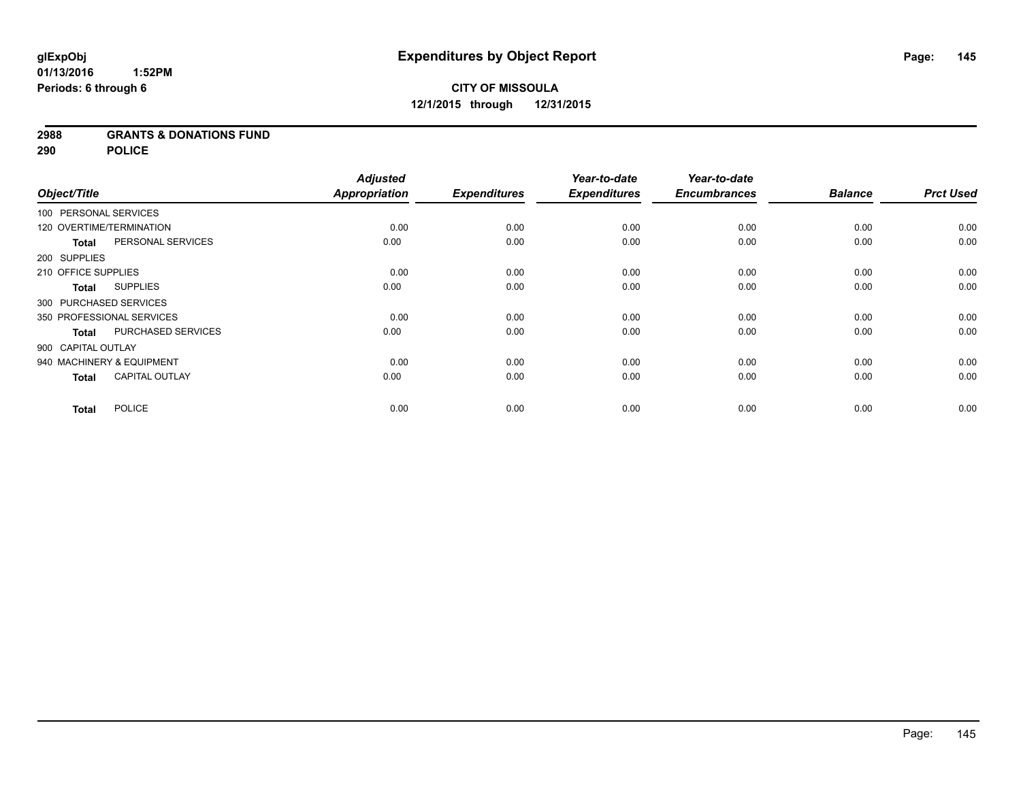### **2988 GRANTS & DONATIONS FUND**

**290 POLICE**

|                        |                           | <b>Adjusted</b>      |                     | Year-to-date        | Year-to-date        |                |                  |
|------------------------|---------------------------|----------------------|---------------------|---------------------|---------------------|----------------|------------------|
| Object/Title           |                           | <b>Appropriation</b> | <b>Expenditures</b> | <b>Expenditures</b> | <b>Encumbrances</b> | <b>Balance</b> | <b>Prct Used</b> |
| 100 PERSONAL SERVICES  |                           |                      |                     |                     |                     |                |                  |
|                        | 120 OVERTIME/TERMINATION  | 0.00                 | 0.00                | 0.00                | 0.00                | 0.00           | 0.00             |
| <b>Total</b>           | PERSONAL SERVICES         | 0.00                 | 0.00                | 0.00                | 0.00                | 0.00           | 0.00             |
| 200 SUPPLIES           |                           |                      |                     |                     |                     |                |                  |
| 210 OFFICE SUPPLIES    |                           | 0.00                 | 0.00                | 0.00                | 0.00                | 0.00           | 0.00             |
| Total                  | <b>SUPPLIES</b>           | 0.00                 | 0.00                | 0.00                | 0.00                | 0.00           | 0.00             |
| 300 PURCHASED SERVICES |                           |                      |                     |                     |                     |                |                  |
|                        | 350 PROFESSIONAL SERVICES | 0.00                 | 0.00                | 0.00                | 0.00                | 0.00           | 0.00             |
| <b>Total</b>           | PURCHASED SERVICES        | 0.00                 | 0.00                | 0.00                | 0.00                | 0.00           | 0.00             |
| 900 CAPITAL OUTLAY     |                           |                      |                     |                     |                     |                |                  |
|                        | 940 MACHINERY & EQUIPMENT | 0.00                 | 0.00                | 0.00                | 0.00                | 0.00           | 0.00             |
| <b>Total</b>           | <b>CAPITAL OUTLAY</b>     | 0.00                 | 0.00                | 0.00                | 0.00                | 0.00           | 0.00             |
| <b>Total</b>           | <b>POLICE</b>             | 0.00                 | 0.00                | 0.00                | 0.00                | 0.00           | 0.00             |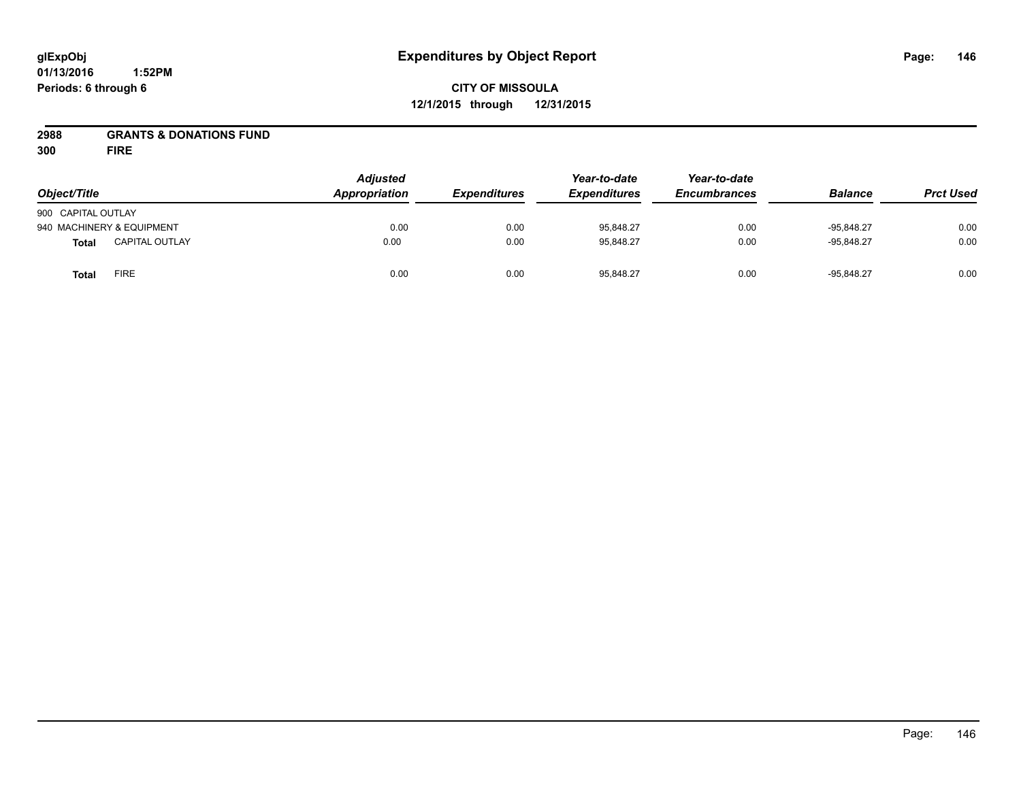# **CITY OF MISSOULA 12/1/2015 through 12/31/2015**

### **2988 GRANTS & DONATIONS FUND**

**300 FIRE**

| Object/Title       |                           | <b>Adjusted</b><br>Appropriation | <b>Expenditures</b> | Year-to-date<br><b>Expenditures</b> | Year-to-date<br><b>Encumbrances</b> | <b>Balance</b> | <b>Prct Used</b> |
|--------------------|---------------------------|----------------------------------|---------------------|-------------------------------------|-------------------------------------|----------------|------------------|
|                    |                           |                                  |                     |                                     |                                     |                |                  |
| 900 CAPITAL OUTLAY |                           |                                  |                     |                                     |                                     |                |                  |
|                    | 940 MACHINERY & EQUIPMENT | 0.00                             | 0.00                | 95,848.27                           | 0.00                                | $-95.848.27$   | 0.00             |
| <b>Total</b>       | <b>CAPITAL OUTLAY</b>     | 0.00                             | 0.00                | 95.848.27                           | 0.00                                | $-95.848.27$   | 0.00             |
| <b>Total</b>       | <b>FIRE</b>               | 0.00                             | 0.00                | 95,848.27                           | 0.00                                | $-95,848.27$   | 0.00             |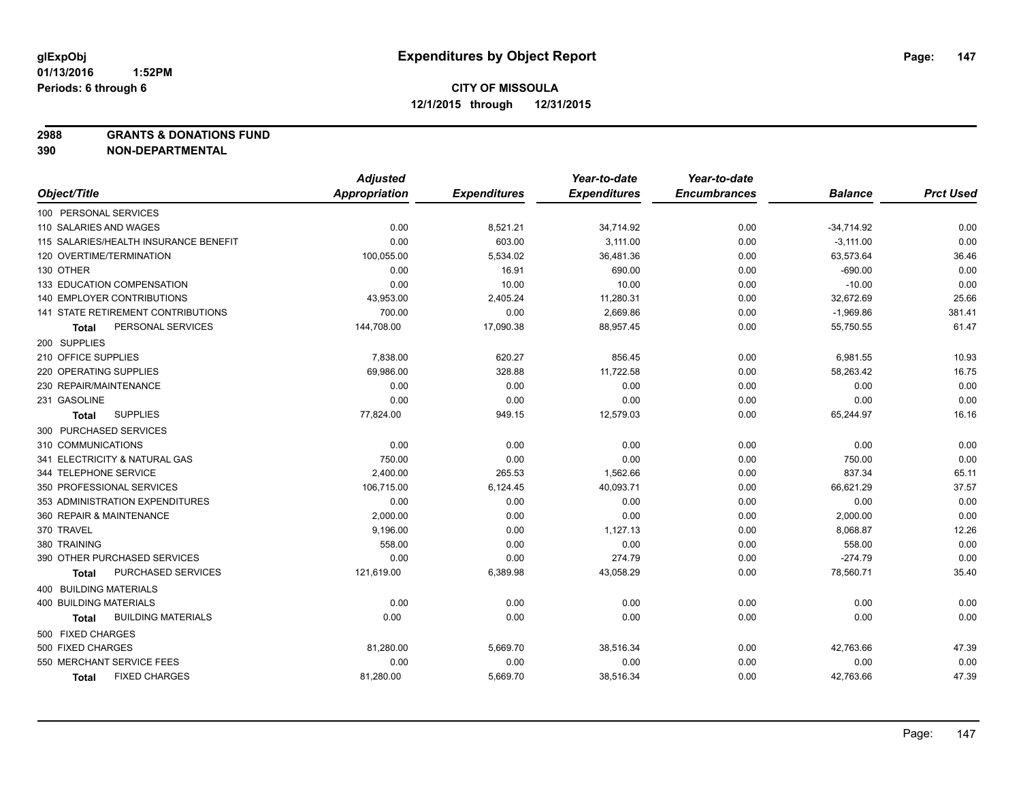**2988 GRANTS & DONATIONS FUND**

|                                           | <b>Adjusted</b> |                     | Year-to-date        | Year-to-date        |                |                  |
|-------------------------------------------|-----------------|---------------------|---------------------|---------------------|----------------|------------------|
| Object/Title                              | Appropriation   | <b>Expenditures</b> | <b>Expenditures</b> | <b>Encumbrances</b> | <b>Balance</b> | <b>Prct Used</b> |
| 100 PERSONAL SERVICES                     |                 |                     |                     |                     |                |                  |
| 110 SALARIES AND WAGES                    | 0.00            | 8,521.21            | 34,714.92           | 0.00                | $-34,714.92$   | 0.00             |
| 115 SALARIES/HEALTH INSURANCE BENEFIT     | 0.00            | 603.00              | 3.111.00            | 0.00                | $-3,111.00$    | 0.00             |
| 120 OVERTIME/TERMINATION                  | 100,055.00      | 5,534.02            | 36,481.36           | 0.00                | 63,573.64      | 36.46            |
| 130 OTHER                                 | 0.00            | 16.91               | 690.00              | 0.00                | $-690.00$      | 0.00             |
| 133 EDUCATION COMPENSATION                | 0.00            | 10.00               | 10.00               | 0.00                | $-10.00$       | 0.00             |
| <b>140 EMPLOYER CONTRIBUTIONS</b>         | 43,953.00       | 2,405.24            | 11,280.31           | 0.00                | 32,672.69      | 25.66            |
| <b>141 STATE RETIREMENT CONTRIBUTIONS</b> | 700.00          | 0.00                | 2,669.86            | 0.00                | $-1,969.86$    | 381.41           |
| PERSONAL SERVICES<br>Total                | 144,708.00      | 17,090.38           | 88,957.45           | 0.00                | 55,750.55      | 61.47            |
| 200 SUPPLIES                              |                 |                     |                     |                     |                |                  |
| 210 OFFICE SUPPLIES                       | 7,838.00        | 620.27              | 856.45              | 0.00                | 6,981.55       | 10.93            |
| 220 OPERATING SUPPLIES                    | 69,986.00       | 328.88              | 11,722.58           | 0.00                | 58,263.42      | 16.75            |
| 230 REPAIR/MAINTENANCE                    | 0.00            | 0.00                | 0.00                | 0.00                | 0.00           | 0.00             |
| 231 GASOLINE                              | 0.00            | 0.00                | 0.00                | 0.00                | 0.00           | 0.00             |
| <b>SUPPLIES</b><br>Total                  | 77,824.00       | 949.15              | 12,579.03           | 0.00                | 65,244.97      | 16.16            |
| 300 PURCHASED SERVICES                    |                 |                     |                     |                     |                |                  |
| 310 COMMUNICATIONS                        | 0.00            | 0.00                | 0.00                | 0.00                | 0.00           | 0.00             |
| 341 ELECTRICITY & NATURAL GAS             | 750.00          | 0.00                | 0.00                | 0.00                | 750.00         | 0.00             |
| 344 TELEPHONE SERVICE                     | 2,400.00        | 265.53              | 1,562.66            | 0.00                | 837.34         | 65.11            |
| 350 PROFESSIONAL SERVICES                 | 106,715.00      | 6,124.45            | 40,093.71           | 0.00                | 66,621.29      | 37.57            |
| 353 ADMINISTRATION EXPENDITURES           | 0.00            | 0.00                | 0.00                | 0.00                | 0.00           | 0.00             |
| 360 REPAIR & MAINTENANCE                  | 2,000.00        | 0.00                | 0.00                | 0.00                | 2,000.00       | 0.00             |
| 370 TRAVEL                                | 9,196.00        | 0.00                | 1,127.13            | 0.00                | 8,068.87       | 12.26            |
| 380 TRAINING                              | 558.00          | 0.00                | 0.00                | 0.00                | 558.00         | 0.00             |
| 390 OTHER PURCHASED SERVICES              | 0.00            | 0.00                | 274.79              | 0.00                | $-274.79$      | 0.00             |
| PURCHASED SERVICES<br>Total               | 121,619.00      | 6,389.98            | 43,058.29           | 0.00                | 78,560.71      | 35.40            |
| 400 BUILDING MATERIALS                    |                 |                     |                     |                     |                |                  |
| <b>400 BUILDING MATERIALS</b>             | 0.00            | 0.00                | 0.00                | 0.00                | 0.00           | 0.00             |
| <b>BUILDING MATERIALS</b><br>Total        | 0.00            | 0.00                | 0.00                | 0.00                | 0.00           | 0.00             |
| 500 FIXED CHARGES                         |                 |                     |                     |                     |                |                  |
| 500 FIXED CHARGES                         | 81,280.00       | 5,669.70            | 38,516.34           | 0.00                | 42,763.66      | 47.39            |
| 550 MERCHANT SERVICE FEES                 | 0.00            | 0.00                | 0.00                | 0.00                | 0.00           | 0.00             |
| <b>FIXED CHARGES</b><br><b>Total</b>      | 81,280.00       | 5,669.70            | 38,516.34           | 0.00                | 42,763.66      | 47.39            |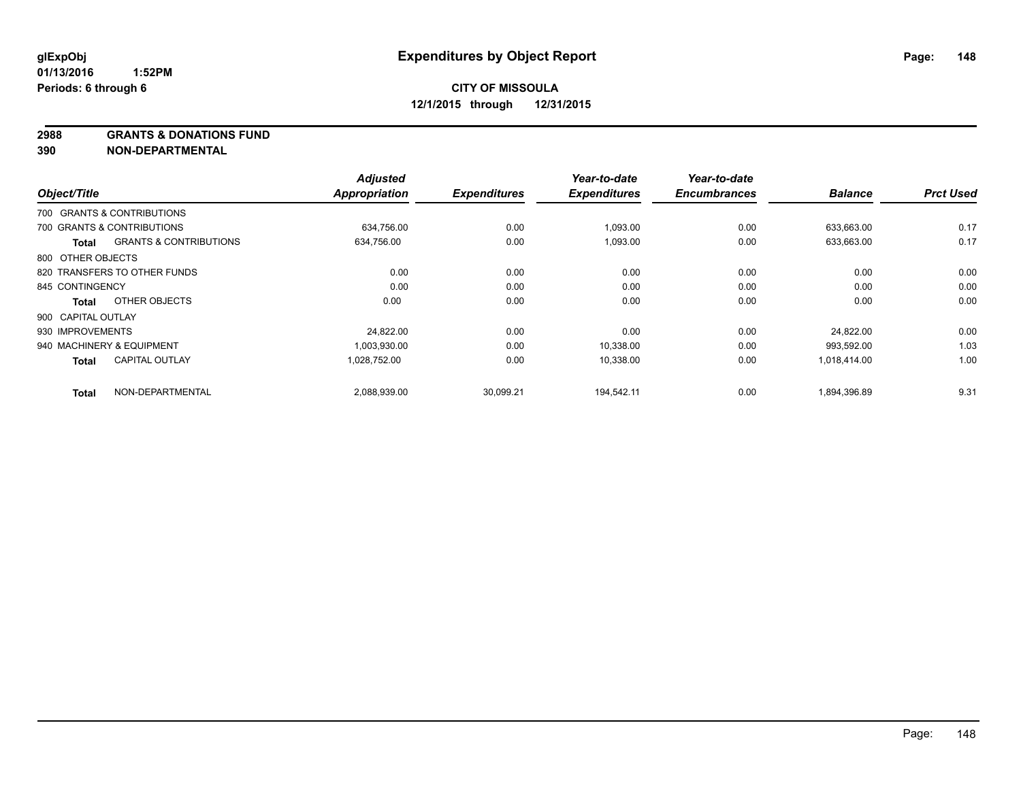**2988 GRANTS & DONATIONS FUND**

|                    |                                   | <b>Adjusted</b>      |                     | Year-to-date        | Year-to-date        | <b>Balance</b> | <b>Prct Used</b> |
|--------------------|-----------------------------------|----------------------|---------------------|---------------------|---------------------|----------------|------------------|
| Object/Title       |                                   | <b>Appropriation</b> | <b>Expenditures</b> | <b>Expenditures</b> | <b>Encumbrances</b> |                |                  |
|                    | 700 GRANTS & CONTRIBUTIONS        |                      |                     |                     |                     |                |                  |
|                    | 700 GRANTS & CONTRIBUTIONS        | 634,756.00           | 0.00                | 1,093.00            | 0.00                | 633.663.00     | 0.17             |
| Total              | <b>GRANTS &amp; CONTRIBUTIONS</b> | 634,756.00           | 0.00                | 1,093.00            | 0.00                | 633,663.00     | 0.17             |
| 800 OTHER OBJECTS  |                                   |                      |                     |                     |                     |                |                  |
|                    | 820 TRANSFERS TO OTHER FUNDS      | 0.00                 | 0.00                | 0.00                | 0.00                | 0.00           | 0.00             |
| 845 CONTINGENCY    |                                   | 0.00                 | 0.00                | 0.00                | 0.00                | 0.00           | 0.00             |
| <b>Total</b>       | OTHER OBJECTS                     | 0.00                 | 0.00                | 0.00                | 0.00                | 0.00           | 0.00             |
| 900 CAPITAL OUTLAY |                                   |                      |                     |                     |                     |                |                  |
| 930 IMPROVEMENTS   |                                   | 24,822.00            | 0.00                | 0.00                | 0.00                | 24.822.00      | 0.00             |
|                    | 940 MACHINERY & EQUIPMENT         | 1,003,930.00         | 0.00                | 10,338.00           | 0.00                | 993,592.00     | 1.03             |
| <b>Total</b>       | <b>CAPITAL OUTLAY</b>             | 1,028,752.00         | 0.00                | 10,338.00           | 0.00                | 1,018,414.00   | 1.00             |
| <b>Total</b>       | NON-DEPARTMENTAL                  | 2,088,939.00         | 30,099.21           | 194.542.11          | 0.00                | 1,894,396.89   | 9.31             |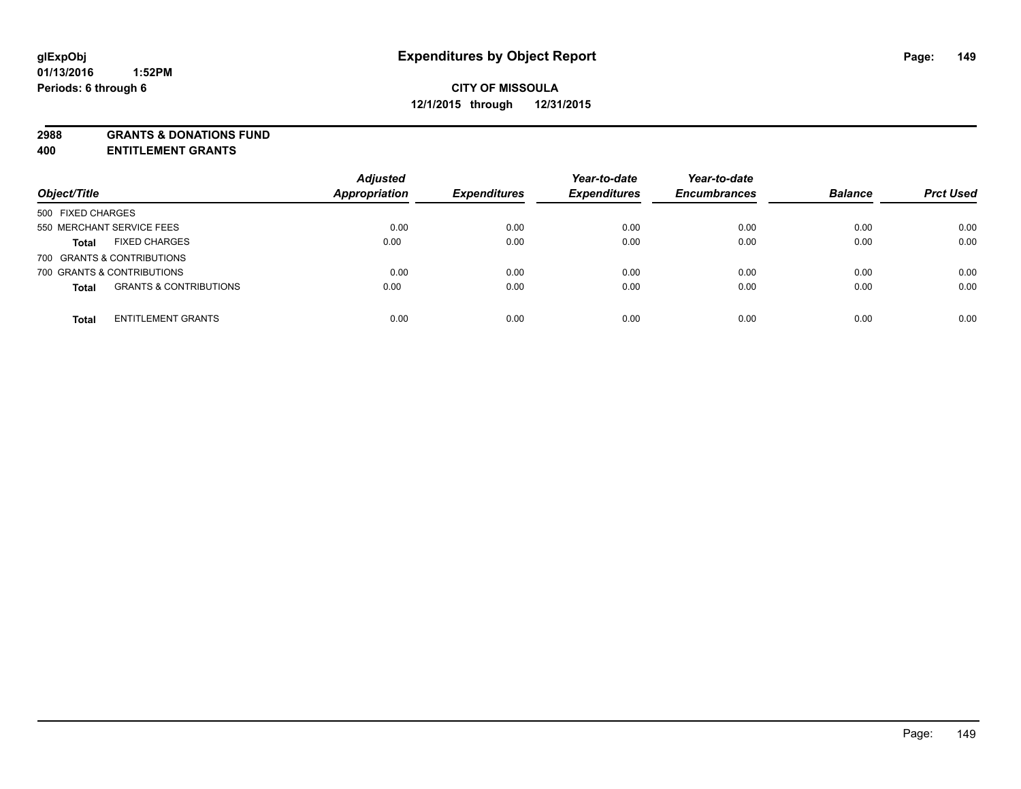**2988 GRANTS & DONATIONS FUND**

**400 ENTITLEMENT GRANTS**

| Object/Title                                      | <b>Adjusted</b><br><b>Appropriation</b> | <b>Expenditures</b> | Year-to-date<br><b>Expenditures</b> | Year-to-date<br><b>Encumbrances</b> | <b>Balance</b> | <b>Prct Used</b> |
|---------------------------------------------------|-----------------------------------------|---------------------|-------------------------------------|-------------------------------------|----------------|------------------|
| 500 FIXED CHARGES                                 |                                         |                     |                                     |                                     |                |                  |
| 550 MERCHANT SERVICE FEES                         | 0.00                                    | 0.00                | 0.00                                | 0.00                                | 0.00           | 0.00             |
| <b>FIXED CHARGES</b><br><b>Total</b>              | 0.00                                    | 0.00                | 0.00                                | 0.00                                | 0.00           | 0.00             |
| 700 GRANTS & CONTRIBUTIONS                        |                                         |                     |                                     |                                     |                |                  |
| 700 GRANTS & CONTRIBUTIONS                        | 0.00                                    | 0.00                | 0.00                                | 0.00                                | 0.00           | 0.00             |
| <b>GRANTS &amp; CONTRIBUTIONS</b><br><b>Total</b> | 0.00                                    | 0.00                | 0.00                                | 0.00                                | 0.00           | 0.00             |
| <b>ENTITLEMENT GRANTS</b><br><b>Total</b>         | 0.00                                    | 0.00                | 0.00                                | 0.00                                | 0.00           | 0.00             |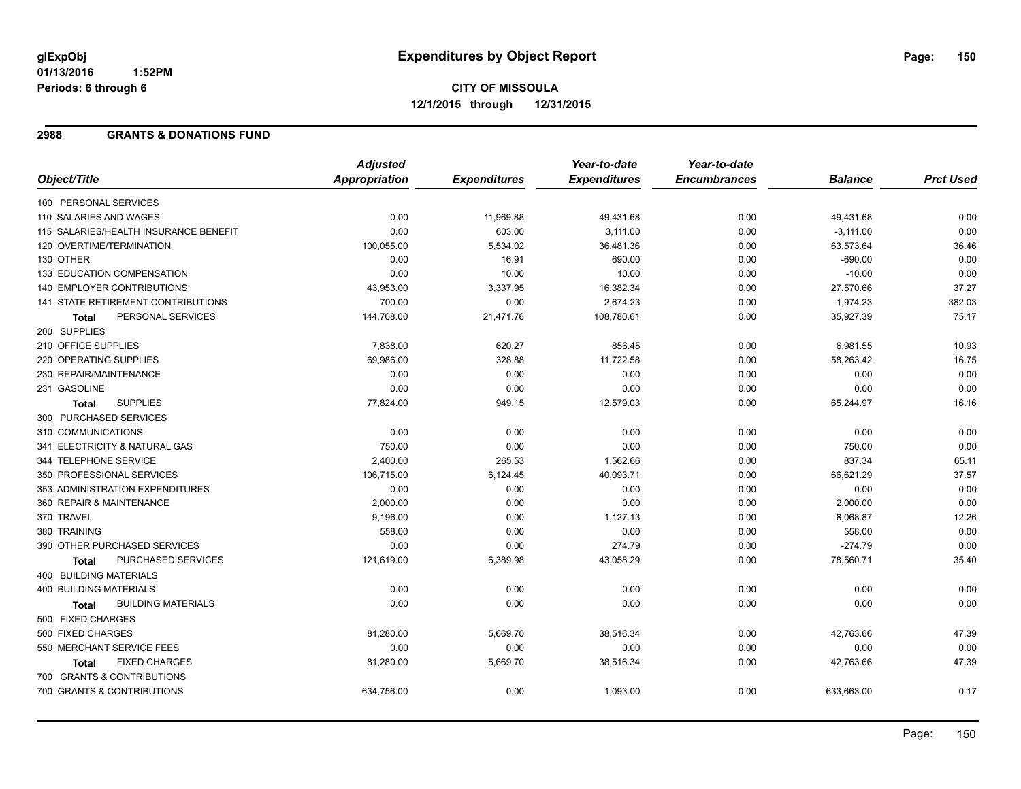# **CITY OF MISSOULA 12/1/2015 through 12/31/2015**

### **2988 GRANTS & DONATIONS FUND**

|                                           | <b>Adjusted</b>      |                     | Year-to-date        | Year-to-date        |                |                  |
|-------------------------------------------|----------------------|---------------------|---------------------|---------------------|----------------|------------------|
| Object/Title                              | <b>Appropriation</b> | <b>Expenditures</b> | <b>Expenditures</b> | <b>Encumbrances</b> | <b>Balance</b> | <b>Prct Used</b> |
| 100 PERSONAL SERVICES                     |                      |                     |                     |                     |                |                  |
| 110 SALARIES AND WAGES                    | 0.00                 | 11,969.88           | 49,431.68           | 0.00                | $-49,431.68$   | 0.00             |
| 115 SALARIES/HEALTH INSURANCE BENEFIT     | 0.00                 | 603.00              | 3,111.00            | 0.00                | $-3,111.00$    | 0.00             |
| 120 OVERTIME/TERMINATION                  | 100,055.00           | 5,534.02            | 36,481.36           | 0.00                | 63,573.64      | 36.46            |
| 130 OTHER                                 | 0.00                 | 16.91               | 690.00              | 0.00                | $-690.00$      | 0.00             |
| 133 EDUCATION COMPENSATION                | 0.00                 | 10.00               | 10.00               | 0.00                | $-10.00$       | 0.00             |
| 140 EMPLOYER CONTRIBUTIONS                | 43,953.00            | 3,337.95            | 16,382.34           | 0.00                | 27,570.66      | 37.27            |
| 141 STATE RETIREMENT CONTRIBUTIONS        | 700.00               | 0.00                | 2,674.23            | 0.00                | $-1,974.23$    | 382.03           |
| PERSONAL SERVICES<br>Total                | 144,708.00           | 21,471.76           | 108,780.61          | 0.00                | 35,927.39      | 75.17            |
| 200 SUPPLIES                              |                      |                     |                     |                     |                |                  |
| 210 OFFICE SUPPLIES                       | 7,838.00             | 620.27              | 856.45              | 0.00                | 6,981.55       | 10.93            |
| 220 OPERATING SUPPLIES                    | 69,986.00            | 328.88              | 11,722.58           | 0.00                | 58,263.42      | 16.75            |
| 230 REPAIR/MAINTENANCE                    | 0.00                 | 0.00                | 0.00                | 0.00                | 0.00           | 0.00             |
| 231 GASOLINE                              | 0.00                 | 0.00                | 0.00                | 0.00                | 0.00           | 0.00             |
| <b>SUPPLIES</b><br>Total                  | 77,824.00            | 949.15              | 12,579.03           | 0.00                | 65,244.97      | 16.16            |
| 300 PURCHASED SERVICES                    |                      |                     |                     |                     |                |                  |
| 310 COMMUNICATIONS                        | 0.00                 | 0.00                | 0.00                | 0.00                | 0.00           | 0.00             |
| 341 ELECTRICITY & NATURAL GAS             | 750.00               | 0.00                | 0.00                | 0.00                | 750.00         | 0.00             |
| 344 TELEPHONE SERVICE                     | 2,400.00             | 265.53              | 1,562.66            | 0.00                | 837.34         | 65.11            |
| 350 PROFESSIONAL SERVICES                 | 106,715.00           | 6,124.45            | 40,093.71           | 0.00                | 66,621.29      | 37.57            |
| 353 ADMINISTRATION EXPENDITURES           | 0.00                 | 0.00                | 0.00                | 0.00                | 0.00           | 0.00             |
| 360 REPAIR & MAINTENANCE                  | 2,000.00             | 0.00                | 0.00                | 0.00                | 2,000.00       | 0.00             |
| 370 TRAVEL                                | 9,196.00             | 0.00                | 1,127.13            | 0.00                | 8,068.87       | 12.26            |
| 380 TRAINING                              | 558.00               | 0.00                | 0.00                | 0.00                | 558.00         | 0.00             |
| 390 OTHER PURCHASED SERVICES              | 0.00                 | 0.00                | 274.79              | 0.00                | $-274.79$      | 0.00             |
| PURCHASED SERVICES<br><b>Total</b>        | 121,619.00           | 6,389.98            | 43,058.29           | 0.00                | 78,560.71      | 35.40            |
| 400 BUILDING MATERIALS                    |                      |                     |                     |                     |                |                  |
| 400 BUILDING MATERIALS                    | 0.00                 | 0.00                | 0.00                | 0.00                | 0.00           | 0.00             |
| <b>BUILDING MATERIALS</b><br><b>Total</b> | 0.00                 | 0.00                | 0.00                | 0.00                | 0.00           | 0.00             |
| 500 FIXED CHARGES                         |                      |                     |                     |                     |                |                  |
| 500 FIXED CHARGES                         | 81,280.00            | 5,669.70            | 38,516.34           | 0.00                | 42,763.66      | 47.39            |
| 550 MERCHANT SERVICE FEES                 | 0.00                 | 0.00                | 0.00                | 0.00                | 0.00           | 0.00             |
| <b>FIXED CHARGES</b><br><b>Total</b>      | 81,280.00            | 5,669.70            | 38,516.34           | 0.00                | 42,763.66      | 47.39            |
| 700 GRANTS & CONTRIBUTIONS                |                      |                     |                     |                     |                |                  |
| 700 GRANTS & CONTRIBUTIONS                | 634,756.00           | 0.00                | 1,093.00            | 0.00                | 633,663.00     | 0.17             |
|                                           |                      |                     |                     |                     |                |                  |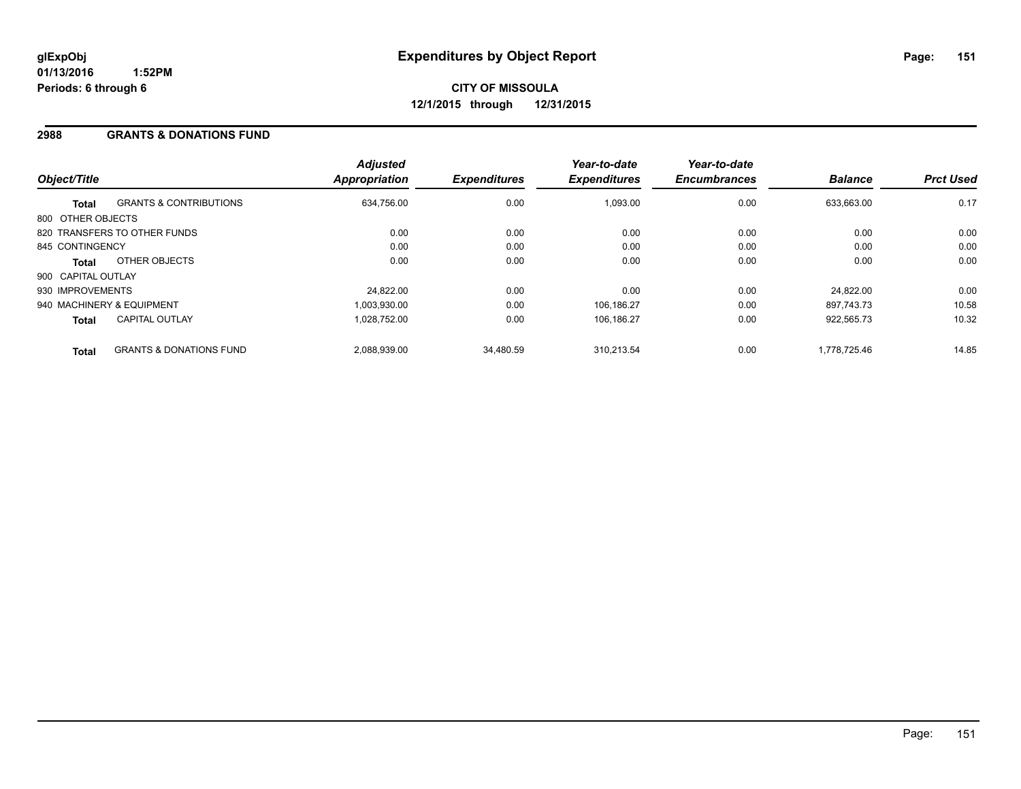### **2988 GRANTS & DONATIONS FUND**

| Object/Title       |                                    | <b>Adjusted</b><br>Appropriation | <b>Expenditures</b> | Year-to-date<br><b>Expenditures</b> | Year-to-date<br><b>Encumbrances</b> | <b>Balance</b> | <b>Prct Used</b> |
|--------------------|------------------------------------|----------------------------------|---------------------|-------------------------------------|-------------------------------------|----------------|------------------|
| <b>Total</b>       | <b>GRANTS &amp; CONTRIBUTIONS</b>  | 634,756.00                       | 0.00                | 1,093.00                            | 0.00                                | 633.663.00     | 0.17             |
| 800 OTHER OBJECTS  |                                    |                                  |                     |                                     |                                     |                |                  |
|                    | 820 TRANSFERS TO OTHER FUNDS       | 0.00                             | 0.00                | 0.00                                | 0.00                                | 0.00           | 0.00             |
| 845 CONTINGENCY    |                                    | 0.00                             | 0.00                | 0.00                                | 0.00                                | 0.00           | 0.00             |
| Total              | OTHER OBJECTS                      | 0.00                             | 0.00                | 0.00                                | 0.00                                | 0.00           | 0.00             |
| 900 CAPITAL OUTLAY |                                    |                                  |                     |                                     |                                     |                |                  |
| 930 IMPROVEMENTS   |                                    | 24,822.00                        | 0.00                | 0.00                                | 0.00                                | 24.822.00      | 0.00             |
|                    | 940 MACHINERY & EQUIPMENT          | 1.003.930.00                     | 0.00                | 106.186.27                          | 0.00                                | 897.743.73     | 10.58            |
| <b>Total</b>       | <b>CAPITAL OUTLAY</b>              | 1.028.752.00                     | 0.00                | 106.186.27                          | 0.00                                | 922.565.73     | 10.32            |
| <b>Total</b>       | <b>GRANTS &amp; DONATIONS FUND</b> | 2.088.939.00                     | 34.480.59           | 310.213.54                          | 0.00                                | 1.778.725.46   | 14.85            |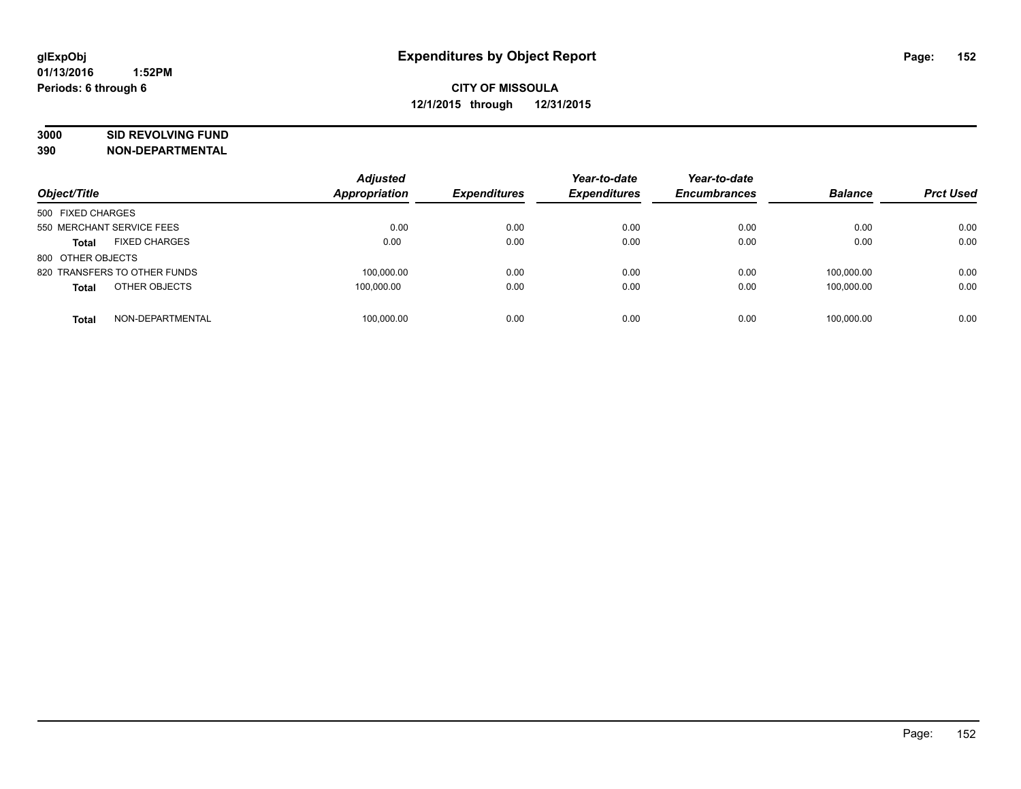# **3000 SID REVOLVING FUND**

| Object/Title                         | <b>Adjusted</b><br>Appropriation | <b>Expenditures</b> | Year-to-date<br><b>Expenditures</b> | Year-to-date<br><b>Encumbrances</b> | <b>Balance</b> | <b>Prct Used</b> |
|--------------------------------------|----------------------------------|---------------------|-------------------------------------|-------------------------------------|----------------|------------------|
| 500 FIXED CHARGES                    |                                  |                     |                                     |                                     |                |                  |
| 550 MERCHANT SERVICE FEES            | 0.00                             | 0.00                | 0.00                                | 0.00                                | 0.00           | 0.00             |
| <b>FIXED CHARGES</b><br><b>Total</b> | 0.00                             | 0.00                | 0.00                                | 0.00                                | 0.00           | 0.00             |
| 800 OTHER OBJECTS                    |                                  |                     |                                     |                                     |                |                  |
| 820 TRANSFERS TO OTHER FUNDS         | 100.000.00                       | 0.00                | 0.00                                | 0.00                                | 100.000.00     | 0.00             |
| OTHER OBJECTS<br><b>Total</b>        | 100,000.00                       | 0.00                | 0.00                                | 0.00                                | 100.000.00     | 0.00             |
| NON-DEPARTMENTAL<br><b>Total</b>     | 100.000.00                       | 0.00                | 0.00                                | 0.00                                | 100.000.00     | 0.00             |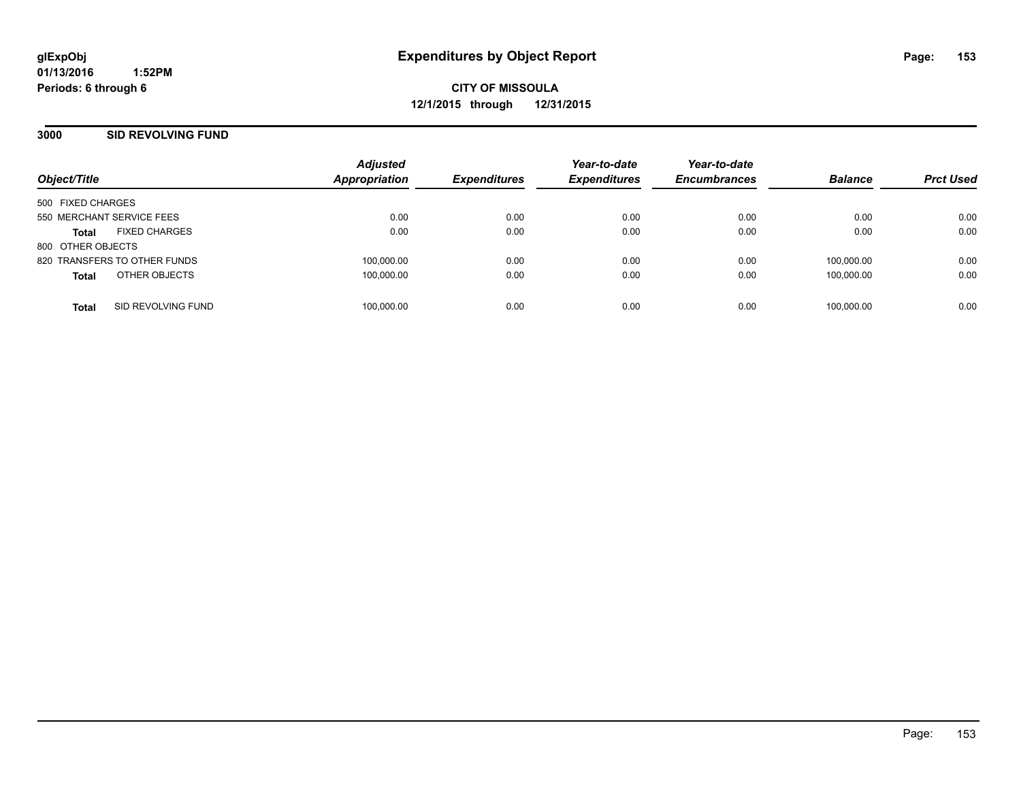**CITY OF MISSOULA 12/1/2015 through 12/31/2015**

### **3000 SID REVOLVING FUND**

|                           |                              | <b>Adjusted</b>      |                     | Year-to-date        | Year-to-date        |                |                  |
|---------------------------|------------------------------|----------------------|---------------------|---------------------|---------------------|----------------|------------------|
| Object/Title              |                              | <b>Appropriation</b> | <b>Expenditures</b> | <b>Expenditures</b> | <b>Encumbrances</b> | <b>Balance</b> | <b>Prct Used</b> |
| 500 FIXED CHARGES         |                              |                      |                     |                     |                     |                |                  |
| 550 MERCHANT SERVICE FEES |                              | 0.00                 | 0.00                | 0.00                | 0.00                | 0.00           | 0.00             |
| <b>Total</b>              | <b>FIXED CHARGES</b>         | 0.00                 | 0.00                | 0.00                | 0.00                | 0.00           | 0.00             |
| 800 OTHER OBJECTS         |                              |                      |                     |                     |                     |                |                  |
|                           | 820 TRANSFERS TO OTHER FUNDS | 100,000.00           | 0.00                | 0.00                | 0.00                | 100,000.00     | 0.00             |
| <b>Total</b>              | OTHER OBJECTS                | 100,000.00           | 0.00                | 0.00                | 0.00                | 100,000.00     | 0.00             |
|                           |                              |                      |                     |                     |                     |                |                  |
| <b>Total</b>              | SID REVOLVING FUND           | 100,000.00           | 0.00                | 0.00                | 0.00                | 100,000.00     | 0.00             |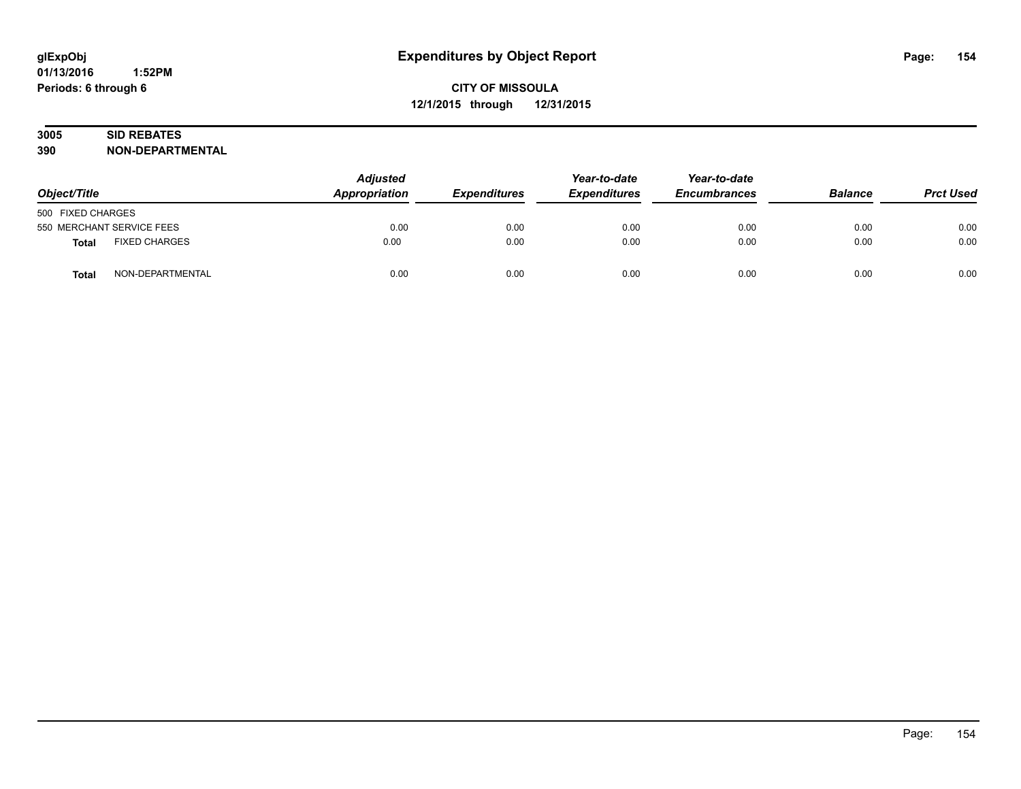# **3005 SID REBATES**

| Object/Title                         | <b>Adjusted</b><br><b>Appropriation</b> | <b>Expenditures</b> | Year-to-date<br><b>Expenditures</b> | Year-to-date<br><b>Encumbrances</b> | <b>Balance</b> | <b>Prct Used</b> |
|--------------------------------------|-----------------------------------------|---------------------|-------------------------------------|-------------------------------------|----------------|------------------|
| 500 FIXED CHARGES                    |                                         |                     |                                     |                                     |                |                  |
| 550 MERCHANT SERVICE FEES            | 0.00                                    | 0.00                | 0.00                                | 0.00                                | 0.00           | 0.00             |
| <b>FIXED CHARGES</b><br><b>Total</b> | 0.00                                    | 0.00                | 0.00                                | 0.00                                | 0.00           | 0.00             |
| NON-DEPARTMENTAL<br>Total            | 0.00                                    | 0.00                | 0.00                                | 0.00                                | 0.00           | 0.00             |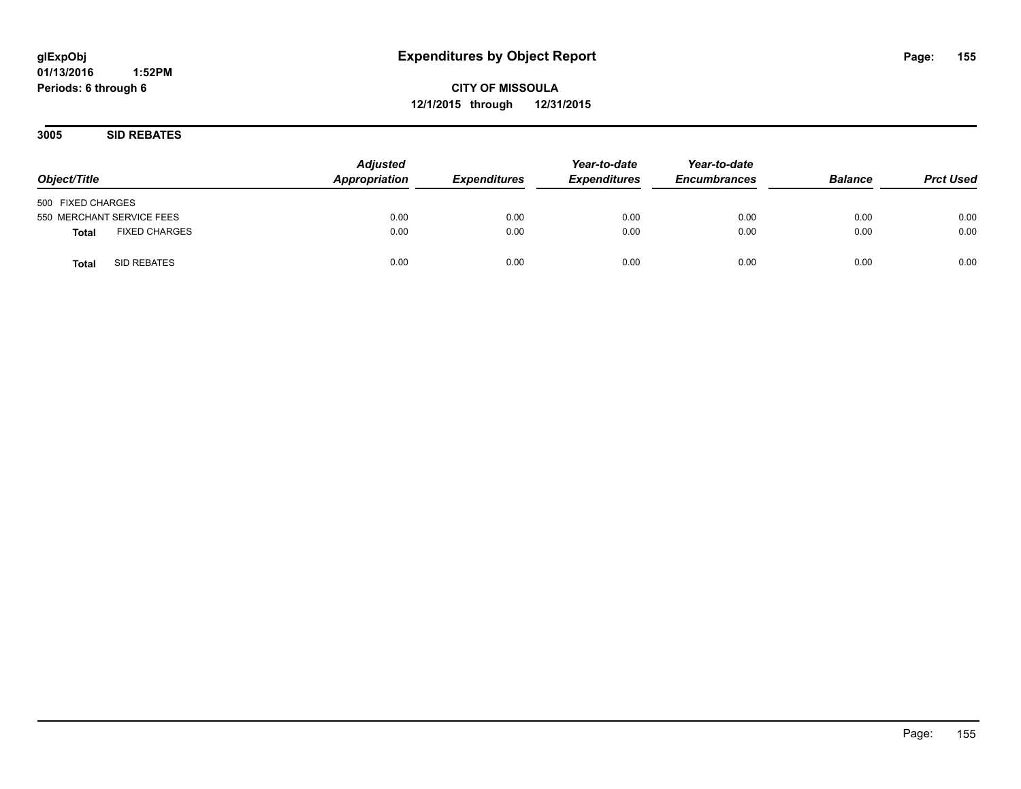**CITY OF MISSOULA 12/1/2015 through 12/31/2015**

**3005 SID REBATES**

| Object/Title                         | <b>Adjusted</b><br>Appropriation | <b>Expenditures</b> | Year-to-date<br><b>Expenditures</b> | Year-to-date<br><b>Encumbrances</b> | <b>Balance</b> | <b>Prct Used</b> |
|--------------------------------------|----------------------------------|---------------------|-------------------------------------|-------------------------------------|----------------|------------------|
| 500 FIXED CHARGES                    |                                  |                     |                                     |                                     |                |                  |
| 550 MERCHANT SERVICE FEES            | 0.00                             | 0.00                | 0.00                                | 0.00                                | 0.00           | 0.00             |
| <b>FIXED CHARGES</b><br><b>Total</b> | 0.00                             | 0.00                | 0.00                                | 0.00                                | 0.00           | 0.00             |
| SID REBATES<br><b>Total</b>          | 0.00                             | 0.00                | 0.00                                | 0.00                                | 0.00           | 0.00             |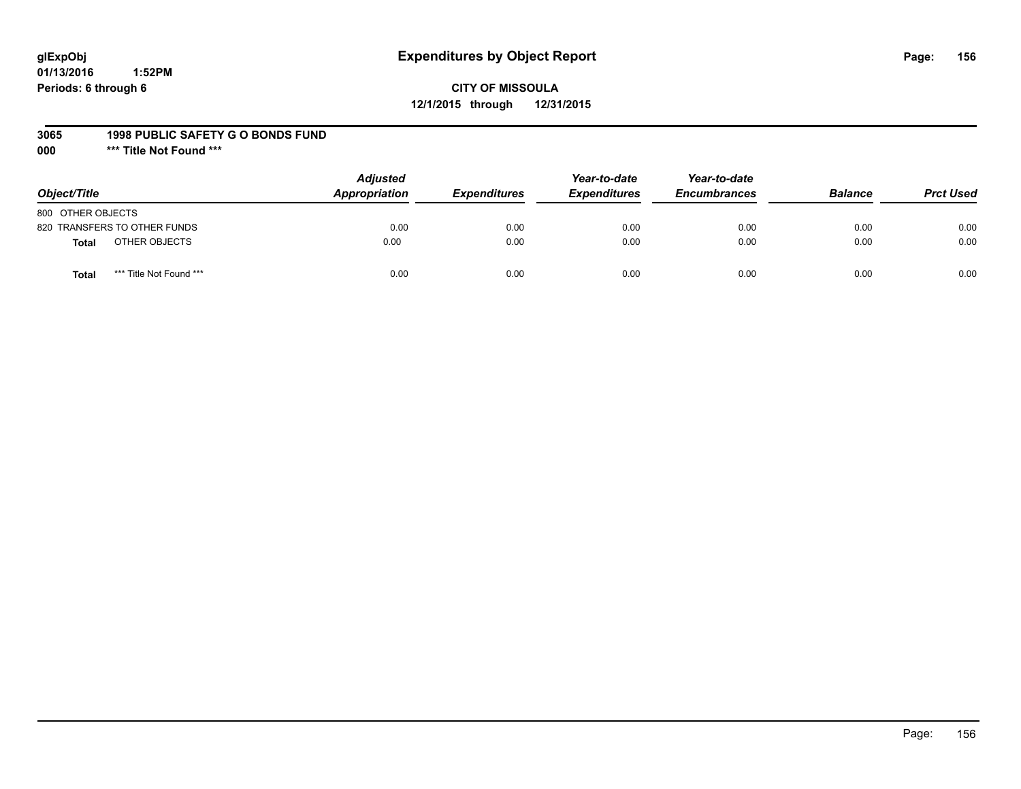# **glExpObj Expenditures by Object Report Page: 156**

# **CITY OF MISSOULA 12/1/2015 through 12/31/2015**

#### **3065 1998 PUBLIC SAFETY G O BONDS FUND**

**000 \*\*\* Title Not Found \*\*\***

| Object/Title                            | <b>Adjusted</b><br>Appropriation | <b>Expenditures</b> | Year-to-date<br><b>Expenditures</b> | Year-to-date<br><b>Encumbrances</b> | <b>Balance</b> | <b>Prct Used</b> |
|-----------------------------------------|----------------------------------|---------------------|-------------------------------------|-------------------------------------|----------------|------------------|
| 800 OTHER OBJECTS                       |                                  |                     |                                     |                                     |                |                  |
| 820 TRANSFERS TO OTHER FUNDS            | 0.00                             | 0.00                | 0.00                                | 0.00                                | 0.00           | 0.00             |
| OTHER OBJECTS<br><b>Total</b>           | 0.00                             | 0.00                | 0.00                                | 0.00                                | 0.00           | 0.00             |
| *** Title Not Found ***<br><b>Total</b> | 0.00                             | 0.00                | 0.00                                | 0.00                                | 0.00           | 0.00             |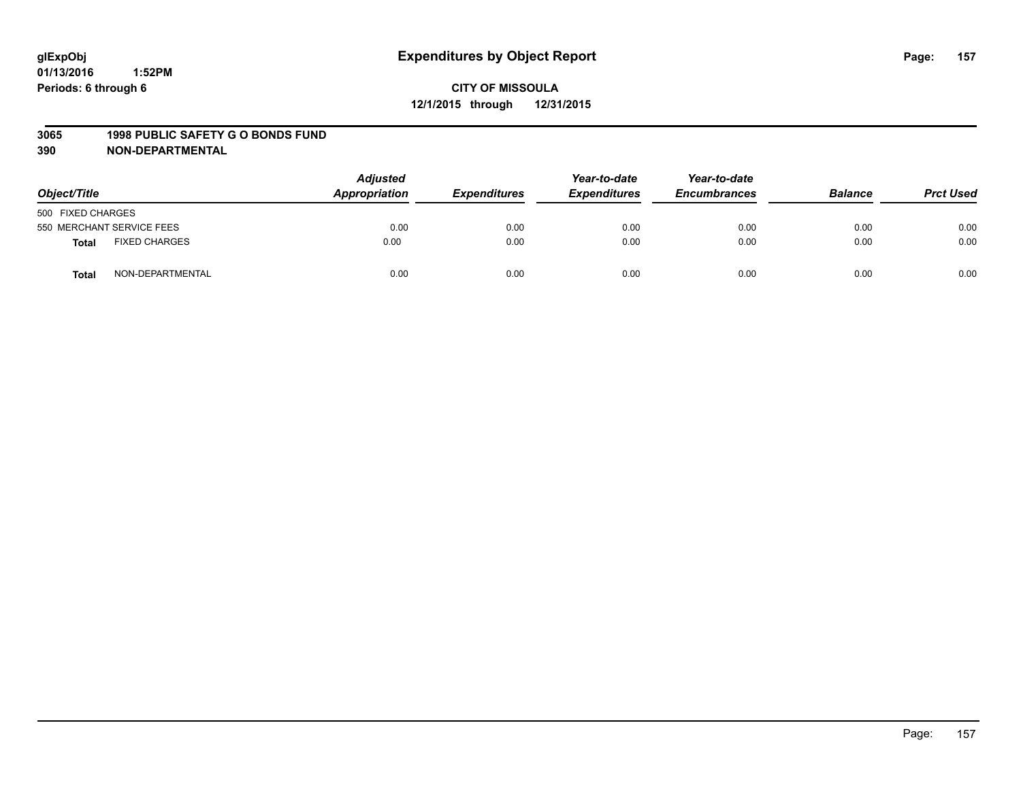#### **3065 1998 PUBLIC SAFETY G O BONDS FUND**

| Object/Title                  | <b>Adjusted</b><br>Appropriation | <b>Expenditures</b> | Year-to-date<br><b>Expenditures</b> | Year-to-date<br><b>Encumbrances</b> | <b>Balance</b> | <b>Prct Used</b> |
|-------------------------------|----------------------------------|---------------------|-------------------------------------|-------------------------------------|----------------|------------------|
| 500 FIXED CHARGES             |                                  |                     |                                     |                                     |                |                  |
| 550 MERCHANT SERVICE FEES     | 0.00                             | 0.00                | 0.00                                | 0.00                                | 0.00           | 0.00             |
| <b>FIXED CHARGES</b><br>Total | 0.00                             | 0.00                | 0.00                                | 0.00                                | 0.00           | 0.00             |
| NON-DEPARTMENTAL<br>Total     | 0.00                             | 0.00                | 0.00                                | 0.00                                | 0.00           | 0.00             |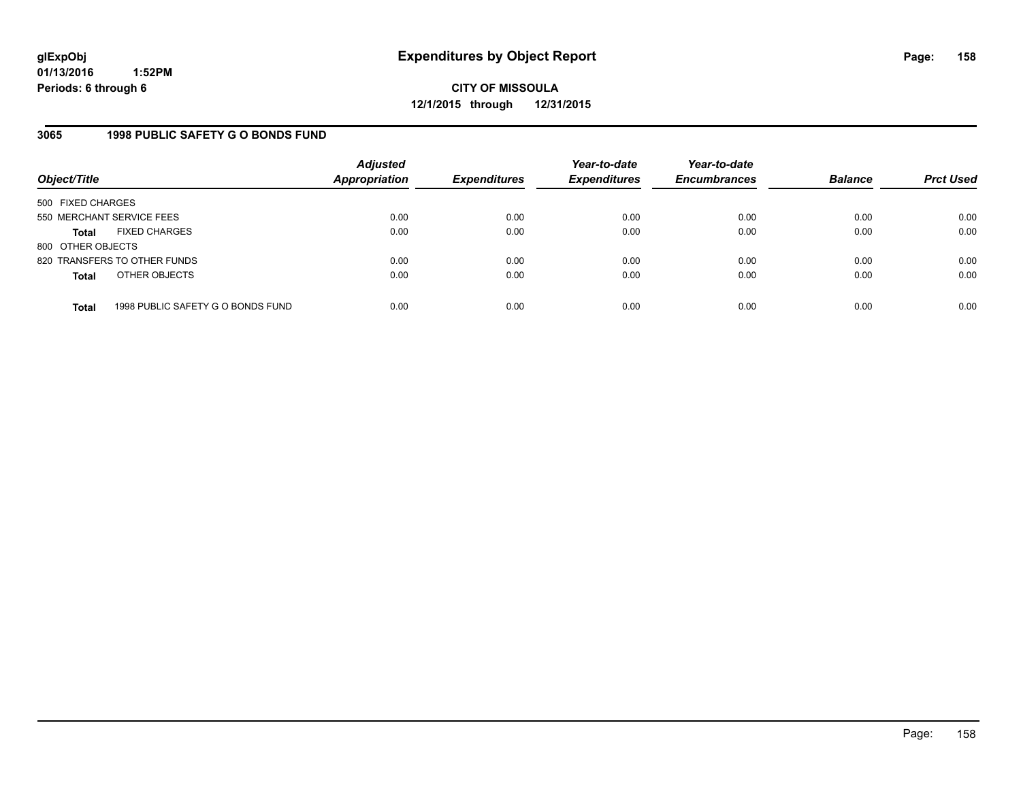**CITY OF MISSOULA 12/1/2015 through 12/31/2015**

### **3065 1998 PUBLIC SAFETY G O BONDS FUND**

| Object/Title              |                                   | <b>Adjusted</b><br><b>Appropriation</b> | <b>Expenditures</b> | Year-to-date<br><b>Expenditures</b> | Year-to-date<br><b>Encumbrances</b> | <b>Balance</b> | <b>Prct Used</b> |
|---------------------------|-----------------------------------|-----------------------------------------|---------------------|-------------------------------------|-------------------------------------|----------------|------------------|
| 500 FIXED CHARGES         |                                   |                                         |                     |                                     |                                     |                |                  |
| 550 MERCHANT SERVICE FEES |                                   | 0.00                                    | 0.00                | 0.00                                | 0.00                                | 0.00           | 0.00             |
| <b>Total</b>              | <b>FIXED CHARGES</b>              | 0.00                                    | 0.00                | 0.00                                | 0.00                                | 0.00           | 0.00             |
| 800 OTHER OBJECTS         |                                   |                                         |                     |                                     |                                     |                |                  |
|                           | 820 TRANSFERS TO OTHER FUNDS      | 0.00                                    | 0.00                | 0.00                                | 0.00                                | 0.00           | 0.00             |
| <b>Total</b>              | OTHER OBJECTS                     | 0.00                                    | 0.00                | 0.00                                | 0.00                                | 0.00           | 0.00             |
| <b>Total</b>              | 1998 PUBLIC SAFETY G O BONDS FUND | 0.00                                    | 0.00                | 0.00                                | 0.00                                | 0.00           | 0.00             |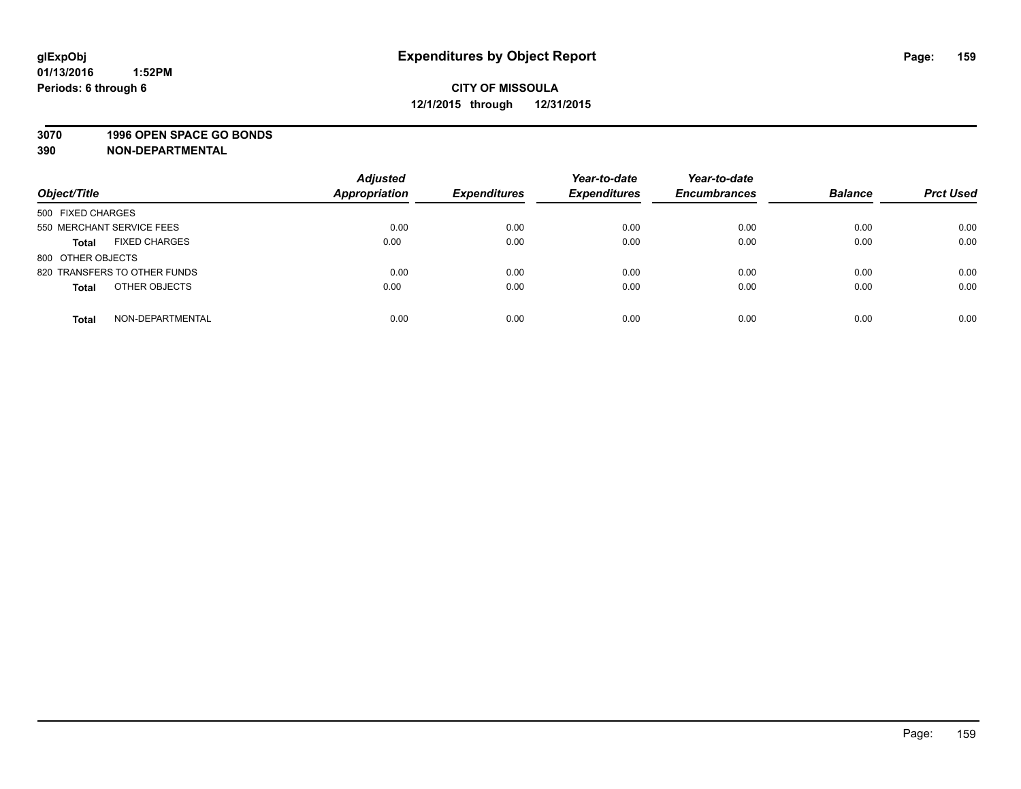### **3070 1996 OPEN SPACE GO BONDS**

| Object/Title                         | <b>Adjusted</b><br><b>Appropriation</b> | <b>Expenditures</b> | Year-to-date<br><b>Expenditures</b> | Year-to-date<br><b>Encumbrances</b> | <b>Balance</b> | <b>Prct Used</b> |
|--------------------------------------|-----------------------------------------|---------------------|-------------------------------------|-------------------------------------|----------------|------------------|
| 500 FIXED CHARGES                    |                                         |                     |                                     |                                     |                |                  |
| 550 MERCHANT SERVICE FEES            | 0.00                                    | 0.00                | 0.00                                | 0.00                                | 0.00           | 0.00             |
| <b>FIXED CHARGES</b><br><b>Total</b> | 0.00                                    | 0.00                | 0.00                                | 0.00                                | 0.00           | 0.00             |
| 800 OTHER OBJECTS                    |                                         |                     |                                     |                                     |                |                  |
| 820 TRANSFERS TO OTHER FUNDS         | 0.00                                    | 0.00                | 0.00                                | 0.00                                | 0.00           | 0.00             |
| OTHER OBJECTS<br><b>Total</b>        | 0.00                                    | 0.00                | 0.00                                | 0.00                                | 0.00           | 0.00             |
| NON-DEPARTMENTAL<br><b>Total</b>     | 0.00                                    | 0.00                | 0.00                                | 0.00                                | 0.00           | 0.00             |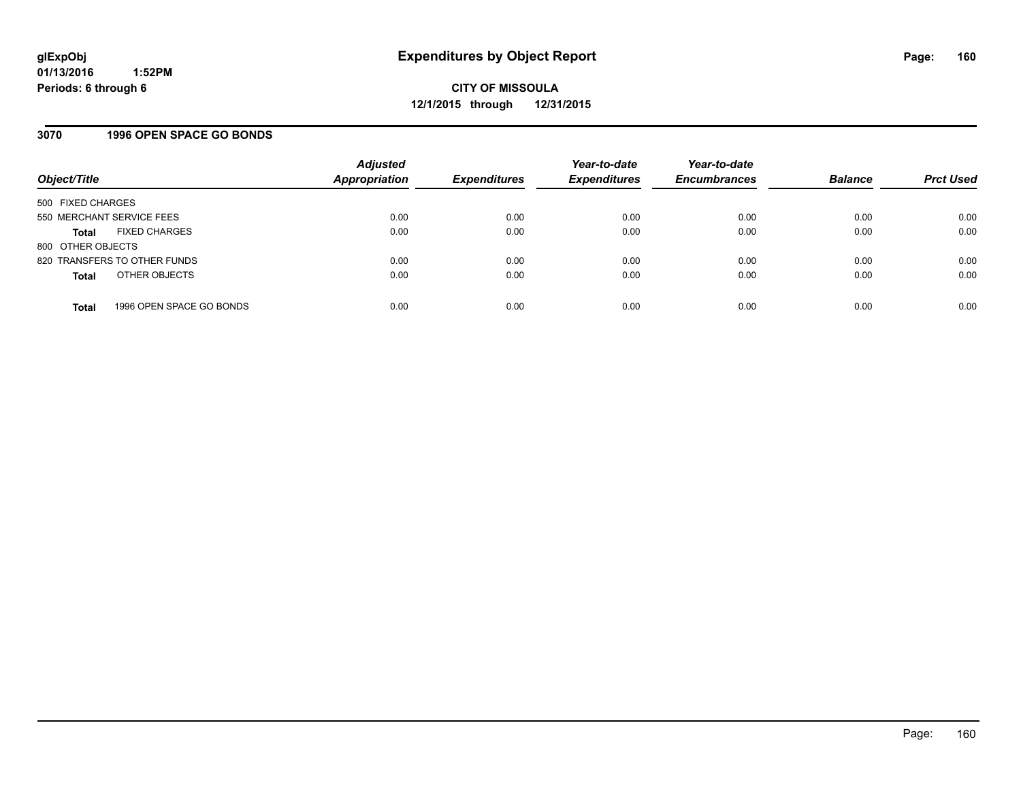### **3070 1996 OPEN SPACE GO BONDS**

| Object/Title                 |                          | <b>Adjusted</b><br><b>Appropriation</b> | <b>Expenditures</b> | Year-to-date<br><b>Expenditures</b> | Year-to-date<br><b>Encumbrances</b> | <b>Balance</b> | <b>Prct Used</b> |
|------------------------------|--------------------------|-----------------------------------------|---------------------|-------------------------------------|-------------------------------------|----------------|------------------|
| 500 FIXED CHARGES            |                          |                                         |                     |                                     |                                     |                |                  |
| 550 MERCHANT SERVICE FEES    |                          | 0.00                                    | 0.00                | 0.00                                | 0.00                                | 0.00           | 0.00             |
| <b>Total</b>                 | <b>FIXED CHARGES</b>     | 0.00                                    | 0.00                | 0.00                                | 0.00                                | 0.00           | 0.00             |
| 800 OTHER OBJECTS            |                          |                                         |                     |                                     |                                     |                |                  |
| 820 TRANSFERS TO OTHER FUNDS |                          | 0.00                                    | 0.00                | 0.00                                | 0.00                                | 0.00           | 0.00             |
| <b>Total</b>                 | OTHER OBJECTS            | 0.00                                    | 0.00                | 0.00                                | 0.00                                | 0.00           | 0.00             |
| <b>Total</b>                 | 1996 OPEN SPACE GO BONDS | 0.00                                    | 0.00                | 0.00                                | 0.00                                | 0.00           | 0.00             |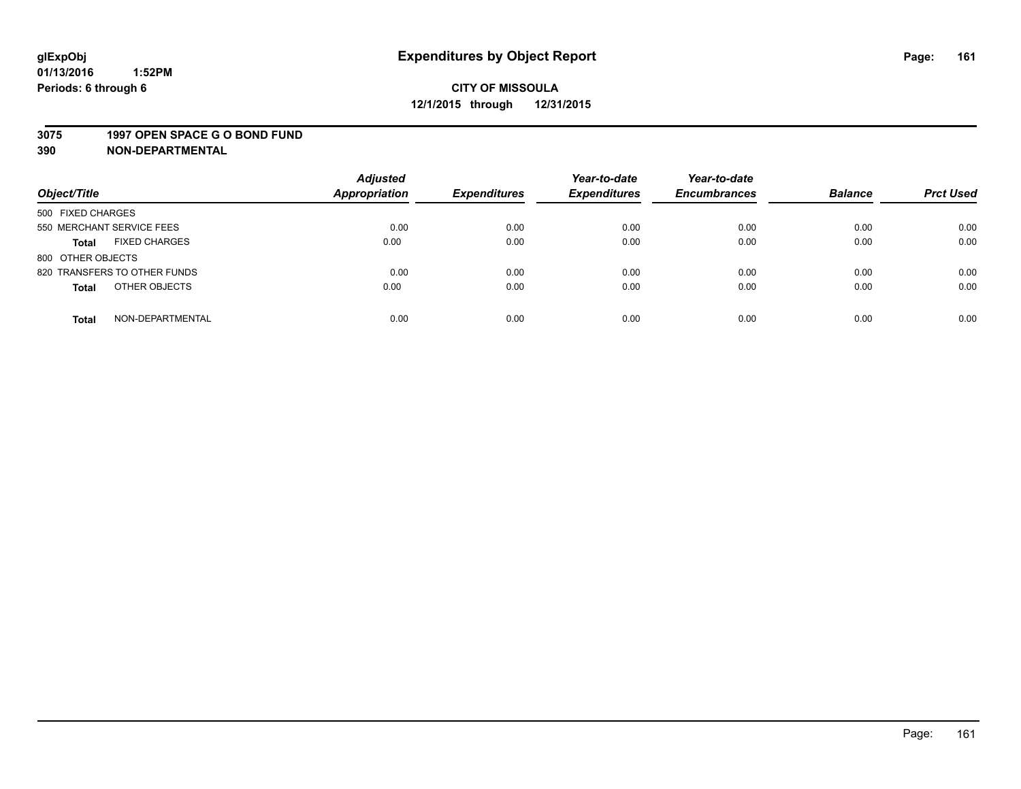#### **3075 1997 OPEN SPACE G O BOND FUND**

| Object/Title                         | <b>Adjusted</b><br><b>Appropriation</b> | <b>Expenditures</b> | Year-to-date<br><b>Expenditures</b> | Year-to-date<br><b>Encumbrances</b> | <b>Balance</b> | <b>Prct Used</b> |
|--------------------------------------|-----------------------------------------|---------------------|-------------------------------------|-------------------------------------|----------------|------------------|
|                                      |                                         |                     |                                     |                                     |                |                  |
| 500 FIXED CHARGES                    |                                         |                     |                                     |                                     |                |                  |
| 550 MERCHANT SERVICE FEES            | 0.00                                    | 0.00                | 0.00                                | 0.00                                | 0.00           | 0.00             |
| <b>FIXED CHARGES</b><br><b>Total</b> | 0.00                                    | 0.00                | 0.00                                | 0.00                                | 0.00           | 0.00             |
| 800 OTHER OBJECTS                    |                                         |                     |                                     |                                     |                |                  |
| 820 TRANSFERS TO OTHER FUNDS         | 0.00                                    | 0.00                | 0.00                                | 0.00                                | 0.00           | 0.00             |
| OTHER OBJECTS<br><b>Total</b>        | 0.00                                    | 0.00                | 0.00                                | 0.00                                | 0.00           | 0.00             |
|                                      |                                         |                     |                                     |                                     |                |                  |
| NON-DEPARTMENTAL<br><b>Total</b>     | 0.00                                    | 0.00                | 0.00                                | 0.00                                | 0.00           | 0.00             |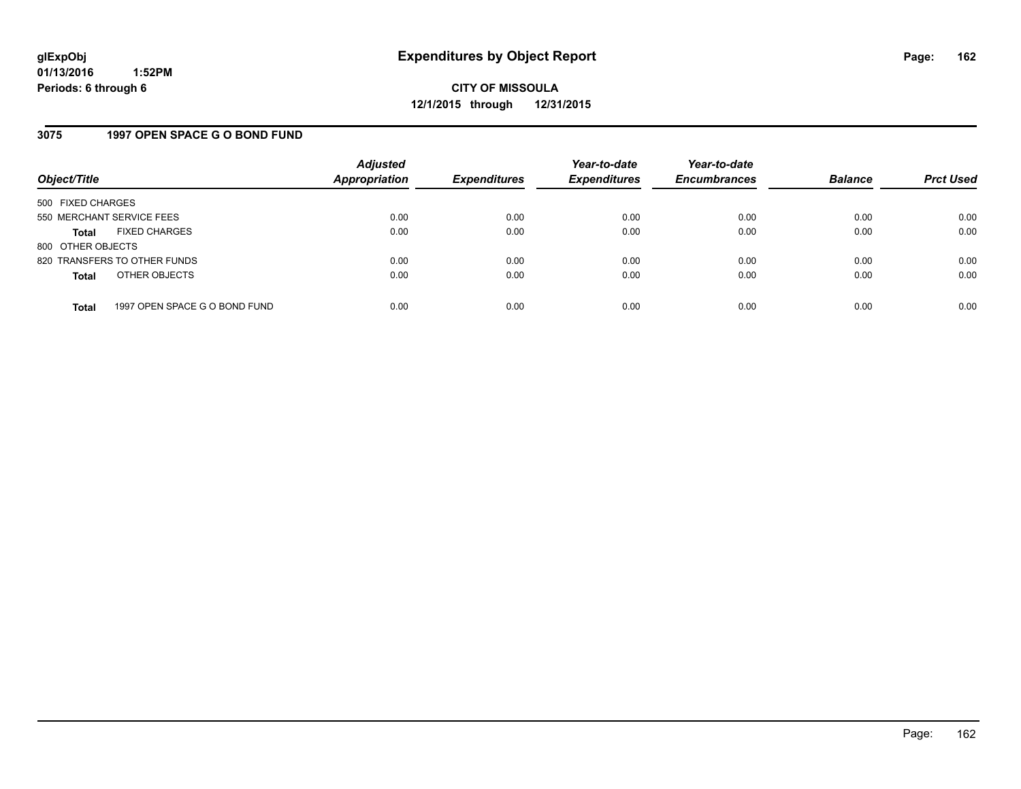### **3075 1997 OPEN SPACE G O BOND FUND**

| Object/Title              |                               | <b>Adjusted</b><br>Appropriation | <b>Expenditures</b> | Year-to-date<br><b>Expenditures</b> | Year-to-date<br><b>Encumbrances</b> | <b>Balance</b> | <b>Prct Used</b> |
|---------------------------|-------------------------------|----------------------------------|---------------------|-------------------------------------|-------------------------------------|----------------|------------------|
| 500 FIXED CHARGES         |                               |                                  |                     |                                     |                                     |                |                  |
| 550 MERCHANT SERVICE FEES |                               | 0.00                             | 0.00                | 0.00                                | 0.00                                | 0.00           | 0.00             |
| <b>Total</b>              | <b>FIXED CHARGES</b>          | 0.00                             | 0.00                | 0.00                                | 0.00                                | 0.00           | 0.00             |
| 800 OTHER OBJECTS         |                               |                                  |                     |                                     |                                     |                |                  |
|                           | 820 TRANSFERS TO OTHER FUNDS  | 0.00                             | 0.00                | 0.00                                | 0.00                                | 0.00           | 0.00             |
| <b>Total</b>              | OTHER OBJECTS                 | 0.00                             | 0.00                | 0.00                                | 0.00                                | 0.00           | 0.00             |
| <b>Total</b>              | 1997 OPEN SPACE G O BOND FUND | 0.00                             | 0.00                | 0.00                                | 0.00                                | 0.00           | 0.00             |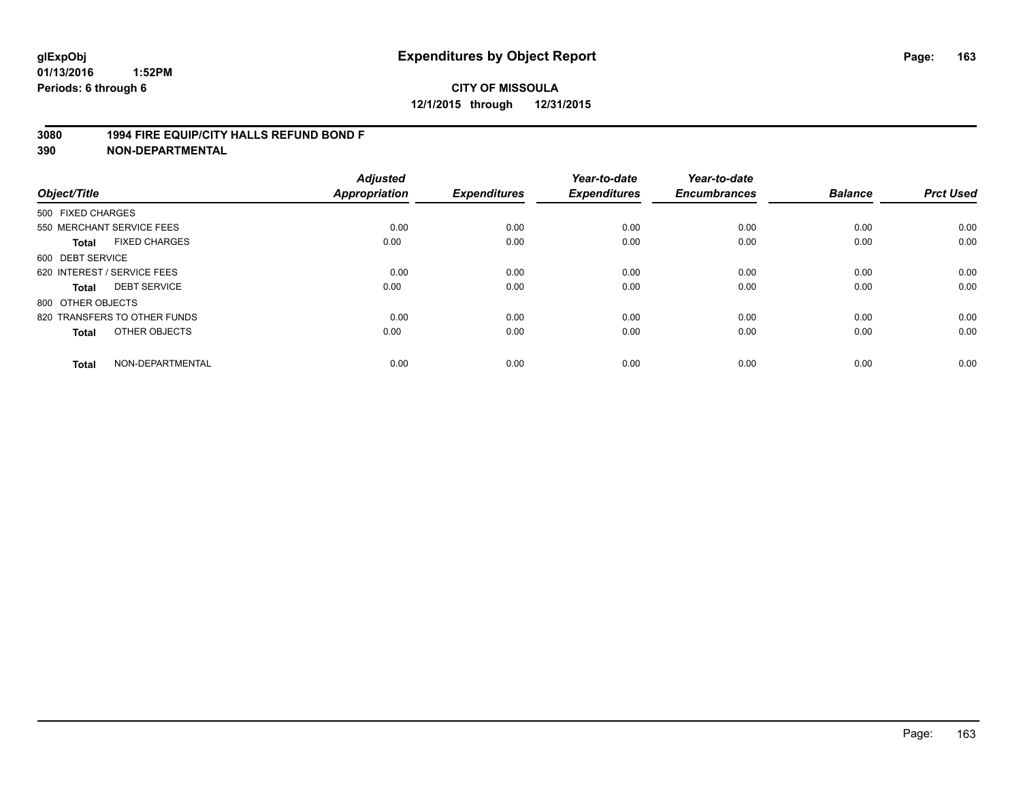### **3080 1994 FIRE EQUIP/CITY HALLS REFUND BOND F**

| Object/Title                |                              | <b>Adjusted</b><br><b>Appropriation</b> | <b>Expenditures</b> | Year-to-date<br><b>Expenditures</b> | Year-to-date<br><b>Encumbrances</b> | <b>Balance</b> | <b>Prct Used</b> |
|-----------------------------|------------------------------|-----------------------------------------|---------------------|-------------------------------------|-------------------------------------|----------------|------------------|
| 500 FIXED CHARGES           |                              |                                         |                     |                                     |                                     |                |                  |
|                             | 550 MERCHANT SERVICE FEES    | 0.00                                    | 0.00                | 0.00                                | 0.00                                | 0.00           | 0.00             |
| <b>Total</b>                | <b>FIXED CHARGES</b>         | 0.00                                    | 0.00                | 0.00                                | 0.00                                | 0.00           | 0.00             |
| 600 DEBT SERVICE            |                              |                                         |                     |                                     |                                     |                |                  |
| 620 INTEREST / SERVICE FEES |                              | 0.00                                    | 0.00                | 0.00                                | 0.00                                | 0.00           | 0.00             |
| <b>Total</b>                | <b>DEBT SERVICE</b>          | 0.00                                    | 0.00                | 0.00                                | 0.00                                | 0.00           | 0.00             |
| 800 OTHER OBJECTS           |                              |                                         |                     |                                     |                                     |                |                  |
|                             | 820 TRANSFERS TO OTHER FUNDS | 0.00                                    | 0.00                | 0.00                                | 0.00                                | 0.00           | 0.00             |
| <b>Total</b>                | OTHER OBJECTS                | 0.00                                    | 0.00                | 0.00                                | 0.00                                | 0.00           | 0.00             |
| <b>Total</b>                | NON-DEPARTMENTAL             | 0.00                                    | 0.00                | 0.00                                | 0.00                                | 0.00           | 0.00             |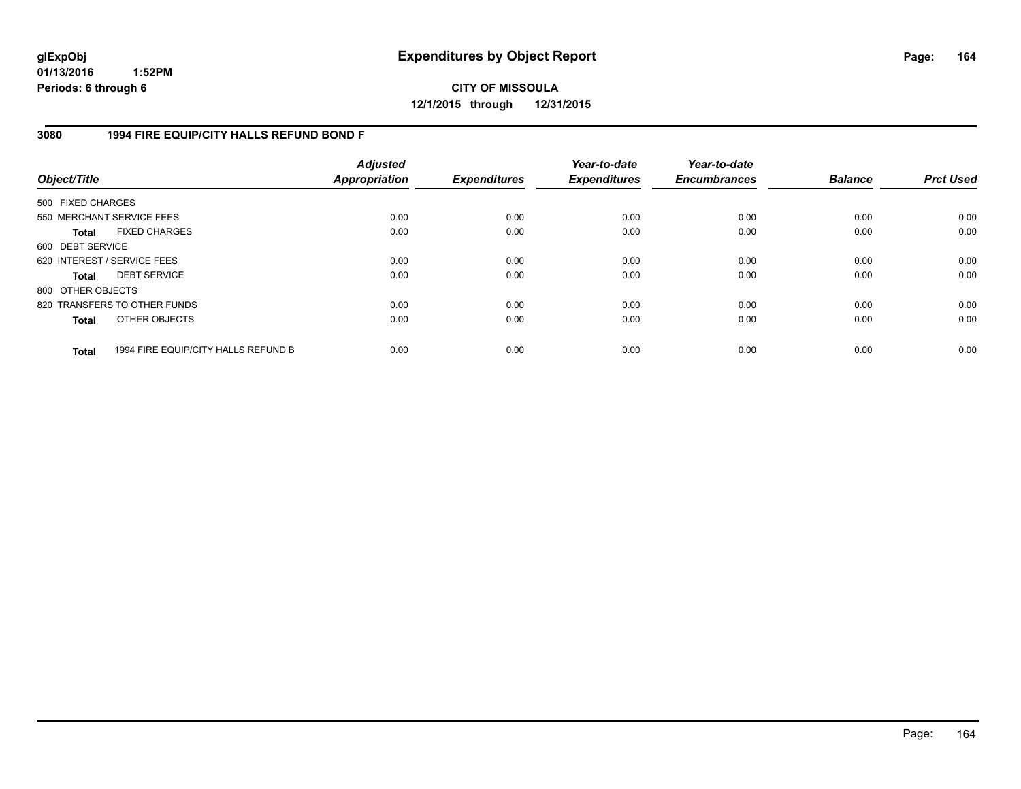**CITY OF MISSOULA 12/1/2015 through 12/31/2015**

### **3080 1994 FIRE EQUIP/CITY HALLS REFUND BOND F**

| Object/Title                |                                     | <b>Adjusted</b><br><b>Appropriation</b> | <b>Expenditures</b> | Year-to-date<br><b>Expenditures</b> | Year-to-date<br><b>Encumbrances</b> | <b>Balance</b> | <b>Prct Used</b> |
|-----------------------------|-------------------------------------|-----------------------------------------|---------------------|-------------------------------------|-------------------------------------|----------------|------------------|
| 500 FIXED CHARGES           |                                     |                                         |                     |                                     |                                     |                |                  |
| 550 MERCHANT SERVICE FEES   |                                     | 0.00                                    | 0.00                | 0.00                                | 0.00                                | 0.00           | 0.00             |
| <b>Total</b>                | <b>FIXED CHARGES</b>                | 0.00                                    | 0.00                | 0.00                                | 0.00                                | 0.00           | 0.00             |
| 600 DEBT SERVICE            |                                     |                                         |                     |                                     |                                     |                |                  |
| 620 INTEREST / SERVICE FEES |                                     | 0.00                                    | 0.00                | 0.00                                | 0.00                                | 0.00           | 0.00             |
| <b>Total</b>                | <b>DEBT SERVICE</b>                 | 0.00                                    | 0.00                | 0.00                                | 0.00                                | 0.00           | 0.00             |
| 800 OTHER OBJECTS           |                                     |                                         |                     |                                     |                                     |                |                  |
|                             | 820 TRANSFERS TO OTHER FUNDS        | 0.00                                    | 0.00                | 0.00                                | 0.00                                | 0.00           | 0.00             |
| <b>Total</b>                | OTHER OBJECTS                       | 0.00                                    | 0.00                | 0.00                                | 0.00                                | 0.00           | 0.00             |
| <b>Total</b>                | 1994 FIRE EQUIP/CITY HALLS REFUND B | 0.00                                    | 0.00                | 0.00                                | 0.00                                | 0.00           | 0.00             |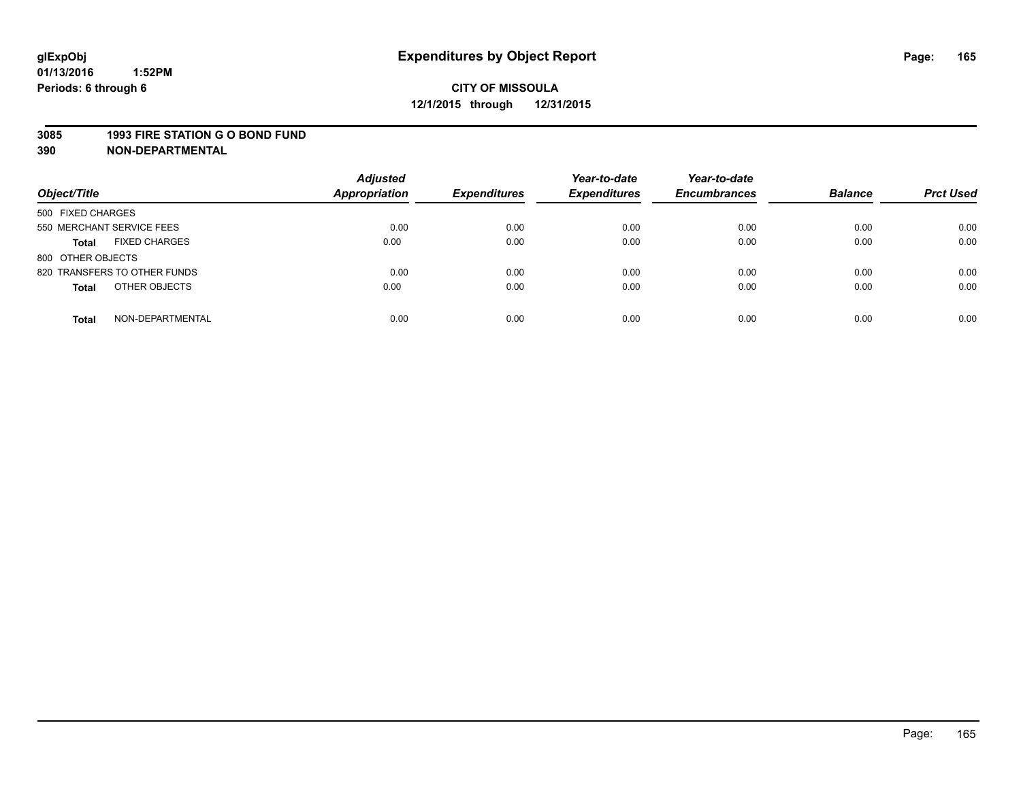# **CITY OF MISSOULA 12/1/2015 through 12/31/2015**

#### **3085 1993 FIRE STATION G O BOND FUND**

| Object/Title                         | <b>Adjusted</b><br><b>Appropriation</b> | <b>Expenditures</b> | Year-to-date<br><b>Expenditures</b> | Year-to-date<br><b>Encumbrances</b> | <b>Balance</b> | <b>Prct Used</b> |
|--------------------------------------|-----------------------------------------|---------------------|-------------------------------------|-------------------------------------|----------------|------------------|
| 500 FIXED CHARGES                    |                                         |                     |                                     |                                     |                |                  |
| 550 MERCHANT SERVICE FEES            | 0.00                                    | 0.00                | 0.00                                | 0.00                                | 0.00           | 0.00             |
| <b>FIXED CHARGES</b><br><b>Total</b> | 0.00                                    | 0.00                | 0.00                                | 0.00                                | 0.00           | 0.00             |
| 800 OTHER OBJECTS                    |                                         |                     |                                     |                                     |                |                  |
| 820 TRANSFERS TO OTHER FUNDS         | 0.00                                    | 0.00                | 0.00                                | 0.00                                | 0.00           | 0.00             |
| OTHER OBJECTS<br><b>Total</b>        | 0.00                                    | 0.00                | 0.00                                | 0.00                                | 0.00           | 0.00             |
| NON-DEPARTMENTAL<br><b>Total</b>     | 0.00                                    | 0.00                | 0.00                                | 0.00                                | 0.00           | 0.00             |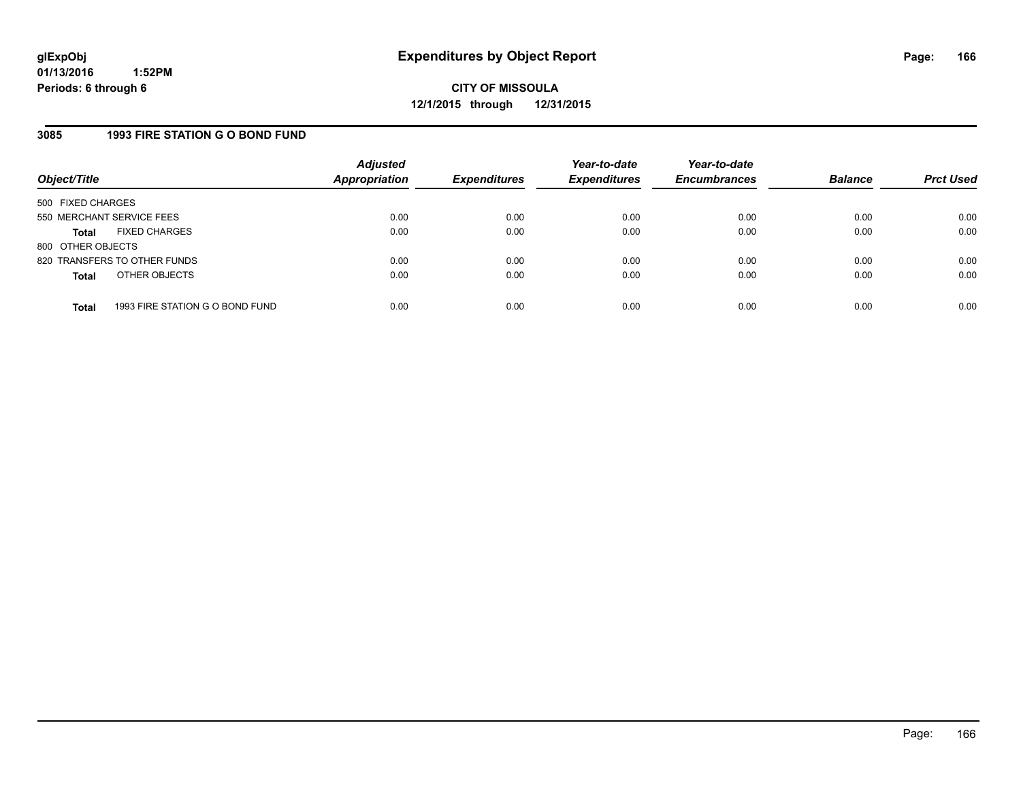### **3085 1993 FIRE STATION G O BOND FUND**

| Object/Title              |                                 | <b>Adjusted</b><br><b>Appropriation</b> | <b>Expenditures</b> | Year-to-date<br><b>Expenditures</b> | Year-to-date<br><b>Encumbrances</b> | <b>Balance</b> | <b>Prct Used</b> |
|---------------------------|---------------------------------|-----------------------------------------|---------------------|-------------------------------------|-------------------------------------|----------------|------------------|
| 500 FIXED CHARGES         |                                 |                                         |                     |                                     |                                     |                |                  |
| 550 MERCHANT SERVICE FEES |                                 | 0.00                                    | 0.00                | 0.00                                | 0.00                                | 0.00           | 0.00             |
| <b>Total</b>              | <b>FIXED CHARGES</b>            | 0.00                                    | 0.00                | 0.00                                | 0.00                                | 0.00           | 0.00             |
| 800 OTHER OBJECTS         |                                 |                                         |                     |                                     |                                     |                |                  |
|                           | 820 TRANSFERS TO OTHER FUNDS    | 0.00                                    | 0.00                | 0.00                                | 0.00                                | 0.00           | 0.00             |
| <b>Total</b>              | OTHER OBJECTS                   | 0.00                                    | 0.00                | 0.00                                | 0.00                                | 0.00           | 0.00             |
| <b>Total</b>              | 1993 FIRE STATION G O BOND FUND | 0.00                                    | 0.00                | 0.00                                | 0.00                                | 0.00           | 0.00             |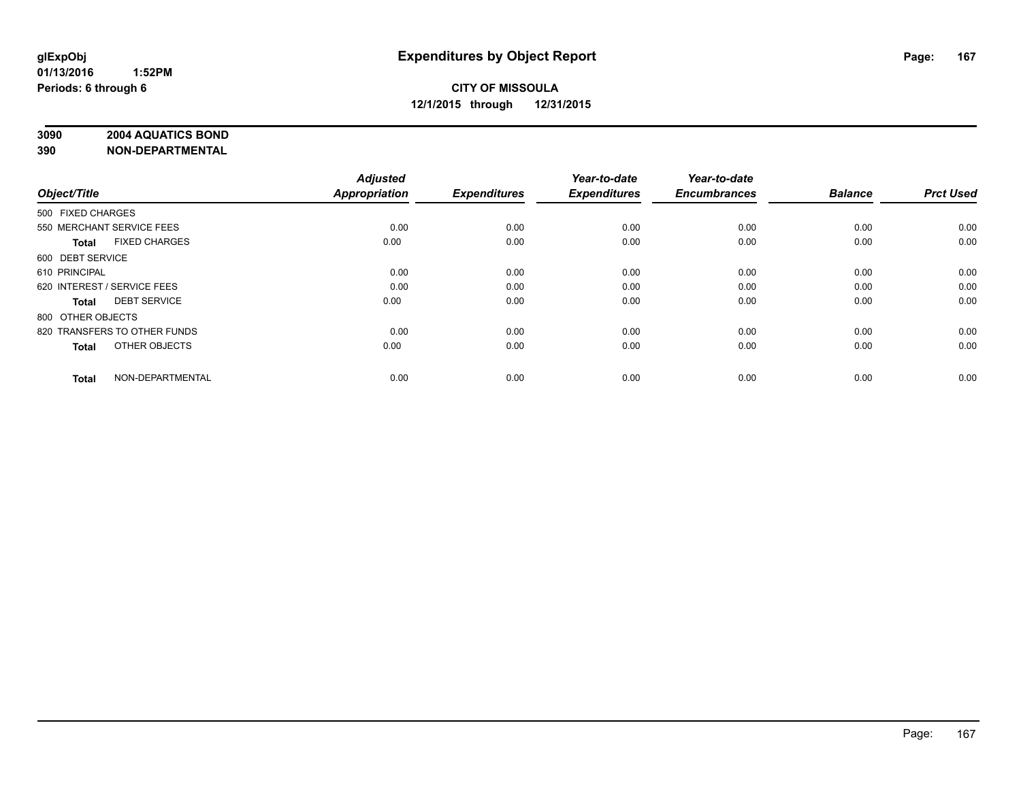# **3090 2004 AQUATICS BOND**

| Object/Title                |                              | <b>Adjusted</b><br><b>Appropriation</b> | <b>Expenditures</b> | Year-to-date<br><b>Expenditures</b> | Year-to-date<br><b>Encumbrances</b> | <b>Balance</b> | <b>Prct Used</b> |
|-----------------------------|------------------------------|-----------------------------------------|---------------------|-------------------------------------|-------------------------------------|----------------|------------------|
| 500 FIXED CHARGES           |                              |                                         |                     |                                     |                                     |                |                  |
| 550 MERCHANT SERVICE FEES   |                              | 0.00                                    | 0.00                | 0.00                                | 0.00                                | 0.00           | 0.00             |
| <b>Total</b>                | <b>FIXED CHARGES</b>         | 0.00                                    | 0.00                | 0.00                                | 0.00                                | 0.00           | 0.00             |
| 600 DEBT SERVICE            |                              |                                         |                     |                                     |                                     |                |                  |
| 610 PRINCIPAL               |                              | 0.00                                    | 0.00                | 0.00                                | 0.00                                | 0.00           | 0.00             |
| 620 INTEREST / SERVICE FEES |                              | 0.00                                    | 0.00                | 0.00                                | 0.00                                | 0.00           | 0.00             |
| <b>Total</b>                | <b>DEBT SERVICE</b>          | 0.00                                    | 0.00                | 0.00                                | 0.00                                | 0.00           | 0.00             |
| 800 OTHER OBJECTS           |                              |                                         |                     |                                     |                                     |                |                  |
|                             | 820 TRANSFERS TO OTHER FUNDS | 0.00                                    | 0.00                | 0.00                                | 0.00                                | 0.00           | 0.00             |
| <b>Total</b>                | OTHER OBJECTS                | 0.00                                    | 0.00                | 0.00                                | 0.00                                | 0.00           | 0.00             |
|                             |                              |                                         |                     |                                     |                                     |                |                  |
| <b>Total</b>                | NON-DEPARTMENTAL             | 0.00                                    | 0.00                | 0.00                                | 0.00                                | 0.00           | 0.00             |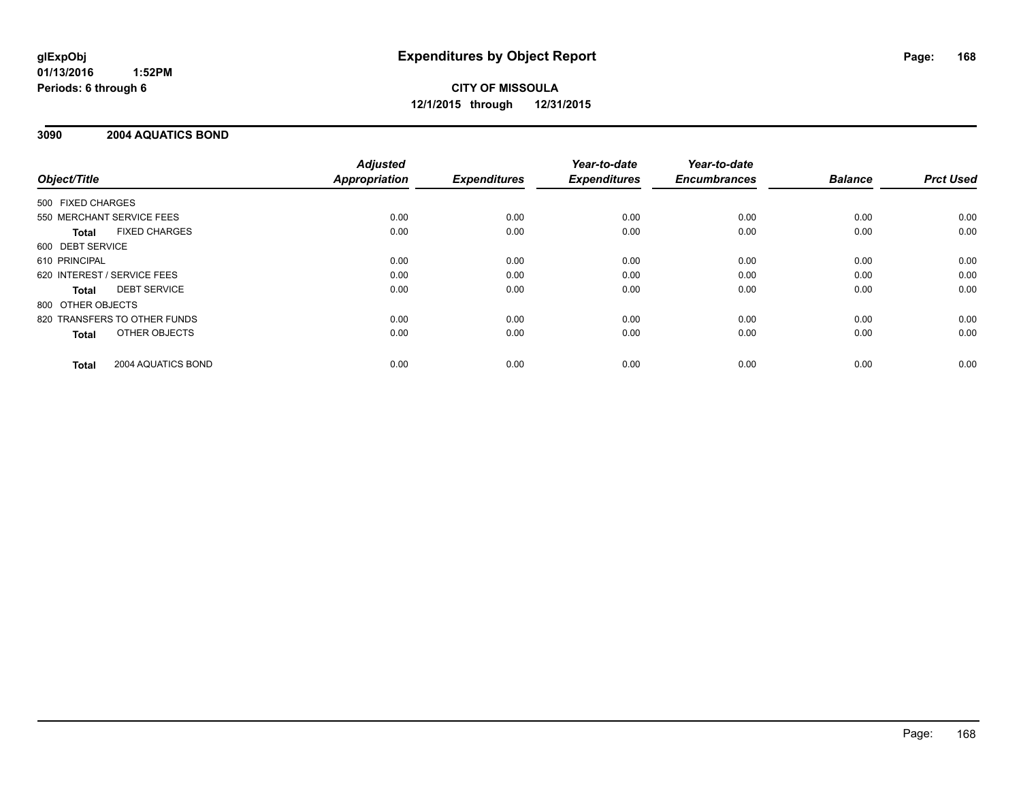# **CITY OF MISSOULA 12/1/2015 through 12/31/2015**

### **3090 2004 AQUATICS BOND**

|                              |                      | <b>Adjusted</b>      |                     | Year-to-date        | Year-to-date<br><b>Encumbrances</b> | <b>Balance</b> | <b>Prct Used</b> |
|------------------------------|----------------------|----------------------|---------------------|---------------------|-------------------------------------|----------------|------------------|
| Object/Title                 |                      | <b>Appropriation</b> | <b>Expenditures</b> | <b>Expenditures</b> |                                     |                |                  |
| 500 FIXED CHARGES            |                      |                      |                     |                     |                                     |                |                  |
| 550 MERCHANT SERVICE FEES    |                      | 0.00                 | 0.00                | 0.00                | 0.00                                | 0.00           | 0.00             |
| <b>Total</b>                 | <b>FIXED CHARGES</b> | 0.00                 | 0.00                | 0.00                | 0.00                                | 0.00           | 0.00             |
| 600 DEBT SERVICE             |                      |                      |                     |                     |                                     |                |                  |
| 610 PRINCIPAL                |                      | 0.00                 | 0.00                | 0.00                | 0.00                                | 0.00           | 0.00             |
| 620 INTEREST / SERVICE FEES  |                      | 0.00                 | 0.00                | 0.00                | 0.00                                | 0.00           | 0.00             |
| <b>Total</b>                 | <b>DEBT SERVICE</b>  | 0.00                 | 0.00                | 0.00                | 0.00                                | 0.00           | 0.00             |
| 800 OTHER OBJECTS            |                      |                      |                     |                     |                                     |                |                  |
| 820 TRANSFERS TO OTHER FUNDS |                      | 0.00                 | 0.00                | 0.00                | 0.00                                | 0.00           | 0.00             |
| <b>Total</b>                 | OTHER OBJECTS        | 0.00                 | 0.00                | 0.00                | 0.00                                | 0.00           | 0.00             |
| <b>Total</b>                 | 2004 AQUATICS BOND   | 0.00                 | 0.00                | 0.00                | 0.00                                | 0.00           | 0.00             |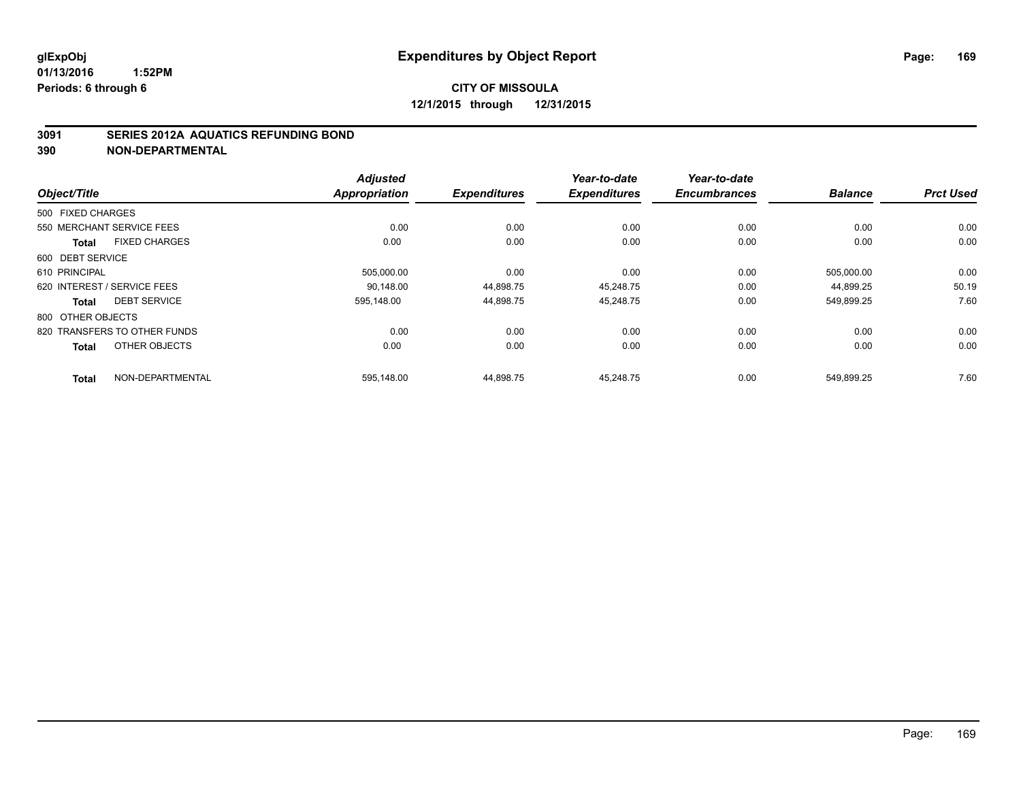### **3091 SERIES 2012A AQUATICS REFUNDING BOND**

|                                     |                      | <b>Adjusted</b>      |                     | Year-to-date        | Year-to-date        |                |                  |
|-------------------------------------|----------------------|----------------------|---------------------|---------------------|---------------------|----------------|------------------|
| Object/Title                        |                      | <b>Appropriation</b> | <b>Expenditures</b> | <b>Expenditures</b> | <b>Encumbrances</b> | <b>Balance</b> | <b>Prct Used</b> |
| 500 FIXED CHARGES                   |                      |                      |                     |                     |                     |                |                  |
| 550 MERCHANT SERVICE FEES           |                      | 0.00                 | 0.00                | 0.00                | 0.00                | 0.00           | 0.00             |
| <b>Total</b>                        | <b>FIXED CHARGES</b> | 0.00                 | 0.00                | 0.00                | 0.00                | 0.00           | 0.00             |
| 600 DEBT SERVICE                    |                      |                      |                     |                     |                     |                |                  |
| 610 PRINCIPAL                       |                      | 505,000.00           | 0.00                | 0.00                | 0.00                | 505,000.00     | 0.00             |
| 620 INTEREST / SERVICE FEES         |                      | 90.148.00            | 44,898.75           | 45.248.75           | 0.00                | 44,899.25      | 50.19            |
| <b>DEBT SERVICE</b><br><b>Total</b> |                      | 595.148.00           | 44,898.75           | 45,248.75           | 0.00                | 549,899.25     | 7.60             |
| 800 OTHER OBJECTS                   |                      |                      |                     |                     |                     |                |                  |
| 820 TRANSFERS TO OTHER FUNDS        |                      | 0.00                 | 0.00                | 0.00                | 0.00                | 0.00           | 0.00             |
| <b>Total</b>                        | OTHER OBJECTS        | 0.00                 | 0.00                | 0.00                | 0.00                | 0.00           | 0.00             |
| <b>Total</b>                        | NON-DEPARTMENTAL     | 595,148.00           | 44,898.75           | 45,248.75           | 0.00                | 549,899.25     | 7.60             |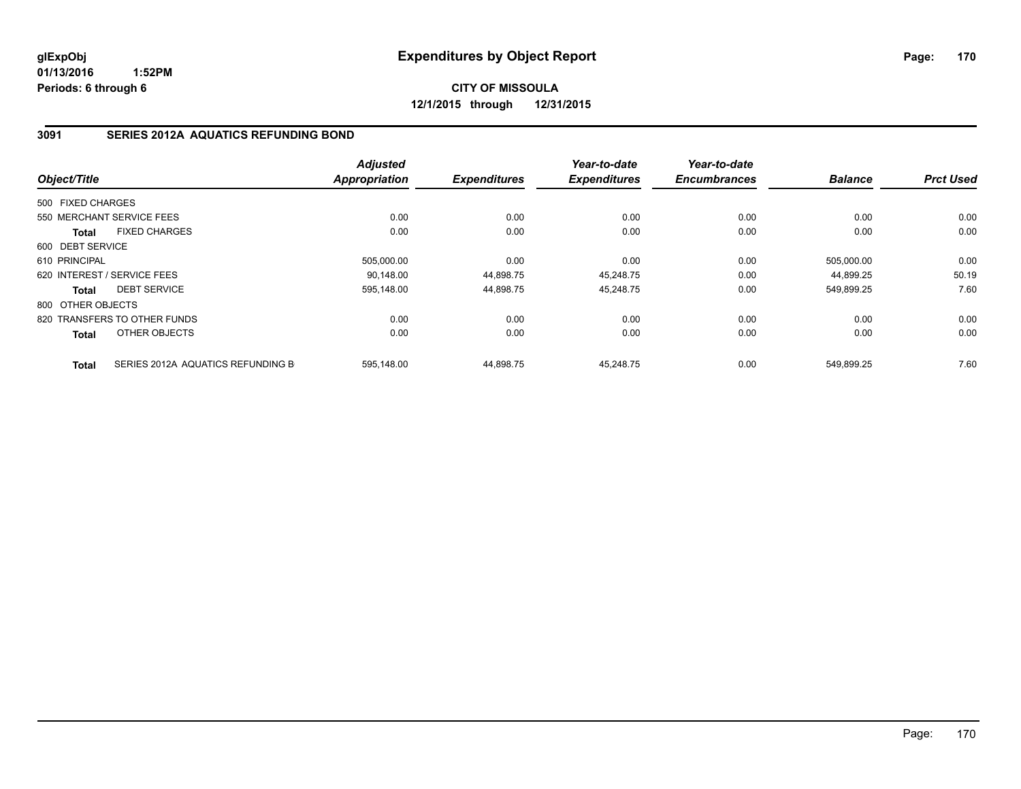**CITY OF MISSOULA 12/1/2015 through 12/31/2015**

### **3091 SERIES 2012A AQUATICS REFUNDING BOND**

| Object/Title      |                                   | <b>Adjusted</b><br>Appropriation | <b>Expenditures</b> | Year-to-date<br><b>Expenditures</b> | Year-to-date<br><b>Encumbrances</b> | <b>Balance</b> | <b>Prct Used</b> |
|-------------------|-----------------------------------|----------------------------------|---------------------|-------------------------------------|-------------------------------------|----------------|------------------|
|                   |                                   |                                  |                     |                                     |                                     |                |                  |
| 500 FIXED CHARGES |                                   |                                  |                     |                                     |                                     |                |                  |
|                   | 550 MERCHANT SERVICE FEES         | 0.00                             | 0.00                | 0.00                                | 0.00                                | 0.00           | 0.00             |
| <b>Total</b>      | <b>FIXED CHARGES</b>              | 0.00                             | 0.00                | 0.00                                | 0.00                                | 0.00           | 0.00             |
| 600 DEBT SERVICE  |                                   |                                  |                     |                                     |                                     |                |                  |
| 610 PRINCIPAL     |                                   | 505,000.00                       | 0.00                | 0.00                                | 0.00                                | 505,000.00     | 0.00             |
|                   | 620 INTEREST / SERVICE FEES       | 90.148.00                        | 44,898.75           | 45,248.75                           | 0.00                                | 44.899.25      | 50.19            |
| <b>Total</b>      | <b>DEBT SERVICE</b>               | 595,148.00                       | 44,898.75           | 45,248.75                           | 0.00                                | 549,899.25     | 7.60             |
| 800 OTHER OBJECTS |                                   |                                  |                     |                                     |                                     |                |                  |
|                   | 820 TRANSFERS TO OTHER FUNDS      | 0.00                             | 0.00                | 0.00                                | 0.00                                | 0.00           | 0.00             |
| <b>Total</b>      | OTHER OBJECTS                     | 0.00                             | 0.00                | 0.00                                | 0.00                                | 0.00           | 0.00             |
| <b>Total</b>      | SERIES 2012A AQUATICS REFUNDING B | 595.148.00                       | 44.898.75           | 45.248.75                           | 0.00                                | 549.899.25     | 7.60             |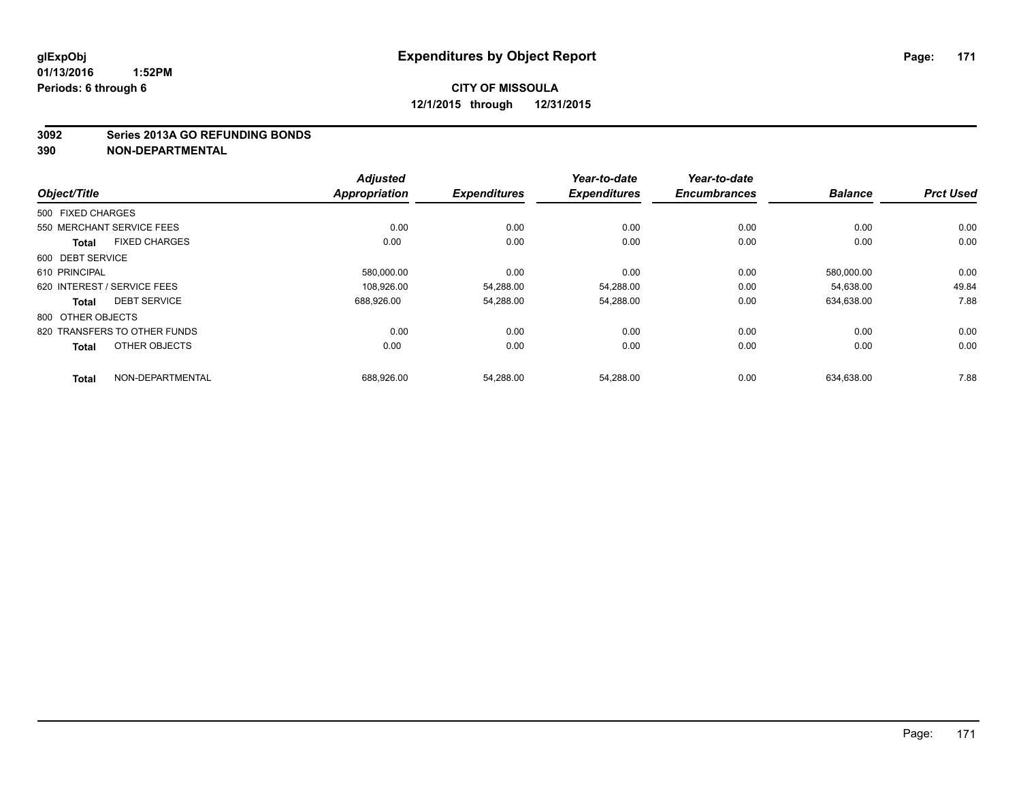#### **3092 Series 2013A GO REFUNDING BONDS**

|                                      |                      | <b>Adjusted</b>         | Year-to-date        | Year-to-date<br><b>Encumbrances</b> | <b>Balance</b> | <b>Prct Used</b> |
|--------------------------------------|----------------------|-------------------------|---------------------|-------------------------------------|----------------|------------------|
| Object/Title                         | <b>Appropriation</b> | <b>Expenditures</b>     | <b>Expenditures</b> |                                     |                |                  |
| 500 FIXED CHARGES                    |                      |                         |                     |                                     |                |                  |
| 550 MERCHANT SERVICE FEES            |                      | 0.00                    | 0.00<br>0.00        | 0.00                                | 0.00           | 0.00             |
| <b>FIXED CHARGES</b><br><b>Total</b> |                      | 0.00                    | 0.00<br>0.00        | 0.00                                | 0.00           | 0.00             |
| 600 DEBT SERVICE                     |                      |                         |                     |                                     |                |                  |
| 610 PRINCIPAL                        |                      | 580,000.00              | 0.00<br>0.00        | 0.00                                | 580,000.00     | 0.00             |
| 620 INTEREST / SERVICE FEES          |                      | 108.926.00<br>54,288.00 | 54,288.00           | 0.00                                | 54,638.00      | 49.84            |
| <b>DEBT SERVICE</b><br><b>Total</b>  |                      | 688,926.00<br>54,288.00 | 54,288.00           | 0.00                                | 634,638.00     | 7.88             |
| 800 OTHER OBJECTS                    |                      |                         |                     |                                     |                |                  |
| 820 TRANSFERS TO OTHER FUNDS         |                      | 0.00                    | 0.00<br>0.00        | 0.00                                | 0.00           | 0.00             |
| OTHER OBJECTS<br><b>Total</b>        |                      | 0.00<br>0.00            | 0.00                | 0.00                                | 0.00           | 0.00             |
| NON-DEPARTMENTAL<br><b>Total</b>     |                      | 688,926.00<br>54,288.00 | 54,288.00           | 0.00                                | 634.638.00     | 7.88             |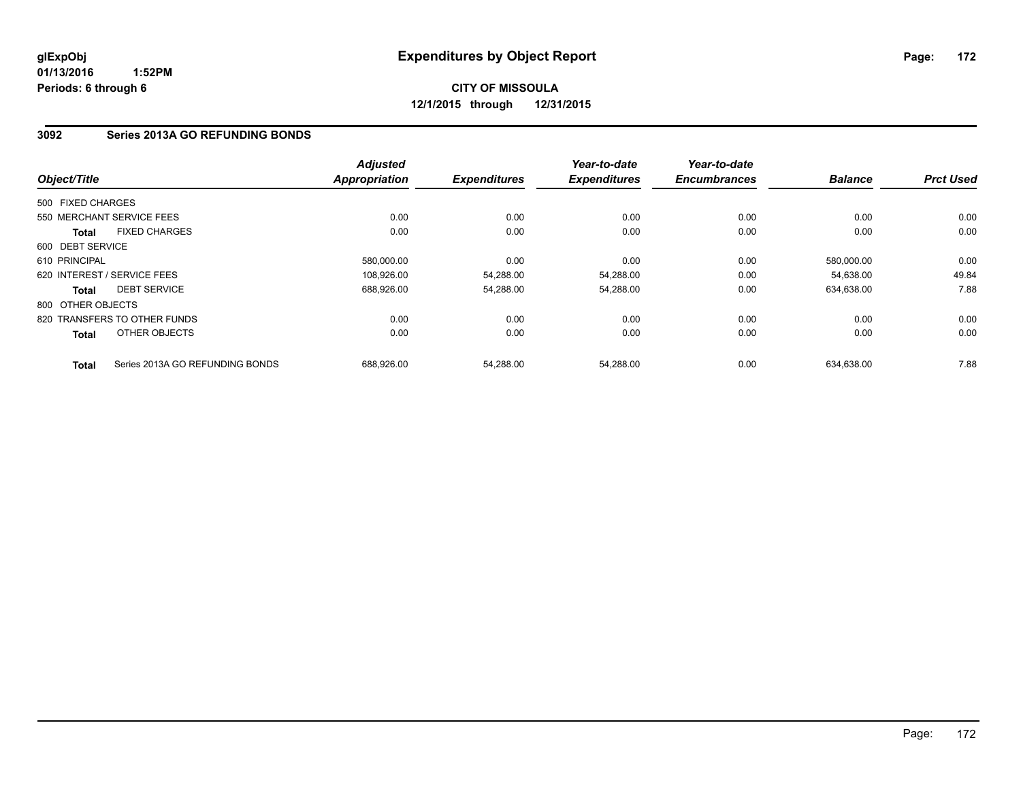# **CITY OF MISSOULA 12/1/2015 through 12/31/2015**

### **3092 Series 2013A GO REFUNDING BONDS**

| Object/Title      |                                 | <b>Adjusted</b><br><b>Appropriation</b> | <b>Expenditures</b> | Year-to-date<br><b>Expenditures</b> | Year-to-date<br><b>Encumbrances</b> | <b>Balance</b> | <b>Prct Used</b> |
|-------------------|---------------------------------|-----------------------------------------|---------------------|-------------------------------------|-------------------------------------|----------------|------------------|
|                   |                                 |                                         |                     |                                     |                                     |                |                  |
| 500 FIXED CHARGES |                                 |                                         |                     |                                     |                                     |                |                  |
|                   | 550 MERCHANT SERVICE FEES       | 0.00                                    | 0.00                | 0.00                                | 0.00                                | 0.00           | 0.00             |
| <b>Total</b>      | <b>FIXED CHARGES</b>            | 0.00                                    | 0.00                | 0.00                                | 0.00                                | 0.00           | 0.00             |
| 600 DEBT SERVICE  |                                 |                                         |                     |                                     |                                     |                |                  |
| 610 PRINCIPAL     |                                 | 580.000.00                              | 0.00                | 0.00                                | 0.00                                | 580,000.00     | 0.00             |
|                   | 620 INTEREST / SERVICE FEES     | 108,926.00                              | 54,288.00           | 54,288.00                           | 0.00                                | 54.638.00      | 49.84            |
| <b>Total</b>      | <b>DEBT SERVICE</b>             | 688.926.00                              | 54,288.00           | 54,288.00                           | 0.00                                | 634,638.00     | 7.88             |
| 800 OTHER OBJECTS |                                 |                                         |                     |                                     |                                     |                |                  |
|                   | 820 TRANSFERS TO OTHER FUNDS    | 0.00                                    | 0.00                | 0.00                                | 0.00                                | 0.00           | 0.00             |
| <b>Total</b>      | OTHER OBJECTS                   | 0.00                                    | 0.00                | 0.00                                | 0.00                                | 0.00           | 0.00             |
| <b>Total</b>      | Series 2013A GO REFUNDING BONDS | 688.926.00                              | 54.288.00           | 54.288.00                           | 0.00                                | 634.638.00     | 7.88             |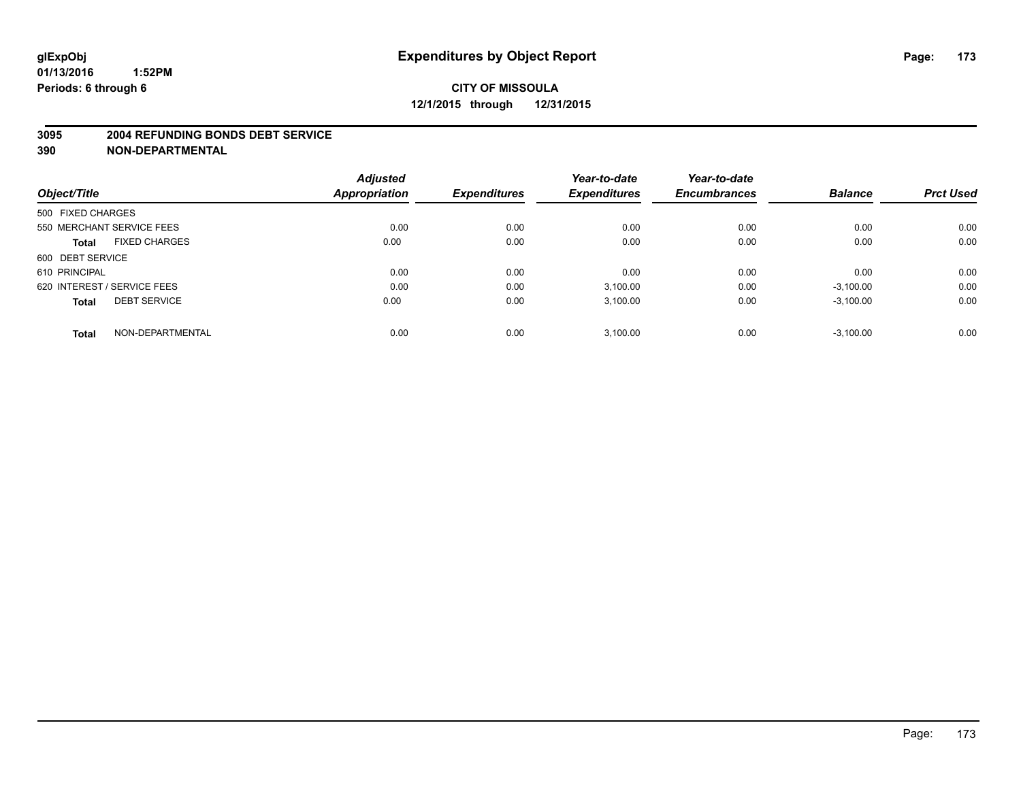#### **3095 2004 REFUNDING BONDS DEBT SERVICE**

|                                     | <b>Adjusted</b> |                     | Year-to-date        | Year-to-date<br><b>Encumbrances</b> | <b>Balance</b> | <b>Prct Used</b> |
|-------------------------------------|-----------------|---------------------|---------------------|-------------------------------------|----------------|------------------|
| Object/Title                        | Appropriation   | <b>Expenditures</b> | <b>Expenditures</b> |                                     |                |                  |
| 500 FIXED CHARGES                   |                 |                     |                     |                                     |                |                  |
| 550 MERCHANT SERVICE FEES           | 0.00            | 0.00                | 0.00                | 0.00                                | 0.00           | 0.00             |
| <b>FIXED CHARGES</b><br>Total       | 0.00            | 0.00                | 0.00                | 0.00                                | 0.00           | 0.00             |
| 600 DEBT SERVICE                    |                 |                     |                     |                                     |                |                  |
| 610 PRINCIPAL                       | 0.00            | 0.00                | 0.00                | 0.00                                | 0.00           | 0.00             |
| 620 INTEREST / SERVICE FEES         | 0.00            | 0.00                | 3,100.00            | 0.00                                | $-3,100.00$    | 0.00             |
| <b>DEBT SERVICE</b><br><b>Total</b> | 0.00            | 0.00                | 3,100.00            | 0.00                                | $-3,100.00$    | 0.00             |
| NON-DEPARTMENTAL<br><b>Total</b>    | 0.00            | 0.00                | 3,100.00            | 0.00                                | $-3,100.00$    | 0.00             |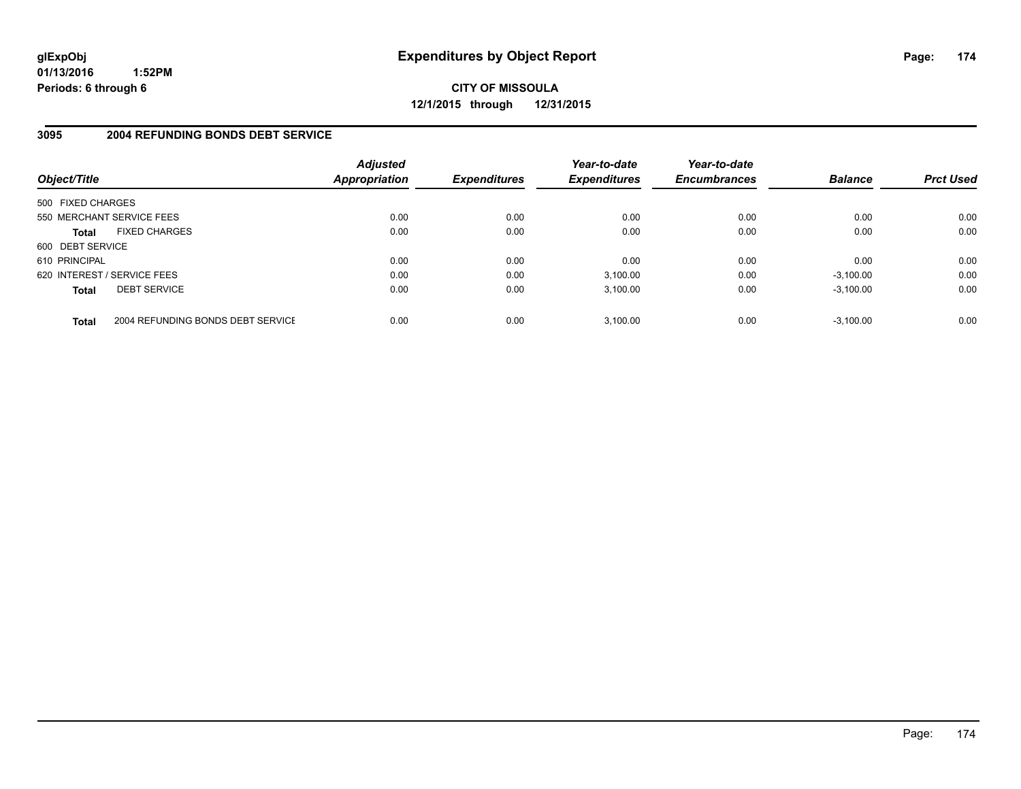**CITY OF MISSOULA 12/1/2015 through 12/31/2015**

### **3095 2004 REFUNDING BONDS DEBT SERVICE**

| Object/Title                |                                   | <b>Adjusted</b><br><b>Appropriation</b> | <b>Expenditures</b> | Year-to-date<br><b>Expenditures</b> | Year-to-date<br><b>Encumbrances</b> | <b>Balance</b> | <b>Prct Used</b> |
|-----------------------------|-----------------------------------|-----------------------------------------|---------------------|-------------------------------------|-------------------------------------|----------------|------------------|
| 500 FIXED CHARGES           |                                   |                                         |                     |                                     |                                     |                |                  |
| 550 MERCHANT SERVICE FEES   |                                   | 0.00                                    | 0.00                | 0.00                                | 0.00                                | 0.00           | 0.00             |
| <b>Total</b>                | <b>FIXED CHARGES</b>              | 0.00                                    | 0.00                | 0.00                                | 0.00                                | 0.00           | 0.00             |
| 600 DEBT SERVICE            |                                   |                                         |                     |                                     |                                     |                |                  |
| 610 PRINCIPAL               |                                   | 0.00                                    | 0.00                | 0.00                                | 0.00                                | 0.00           | 0.00             |
| 620 INTEREST / SERVICE FEES |                                   | 0.00                                    | 0.00                | 3.100.00                            | 0.00                                | $-3,100.00$    | 0.00             |
| <b>Total</b>                | <b>DEBT SERVICE</b>               | 0.00                                    | 0.00                | 3,100.00                            | 0.00                                | $-3,100.00$    | 0.00             |
| <b>Total</b>                | 2004 REFUNDING BONDS DEBT SERVICE | 0.00                                    | 0.00                | 3,100.00                            | 0.00                                | $-3.100.00$    | 0.00             |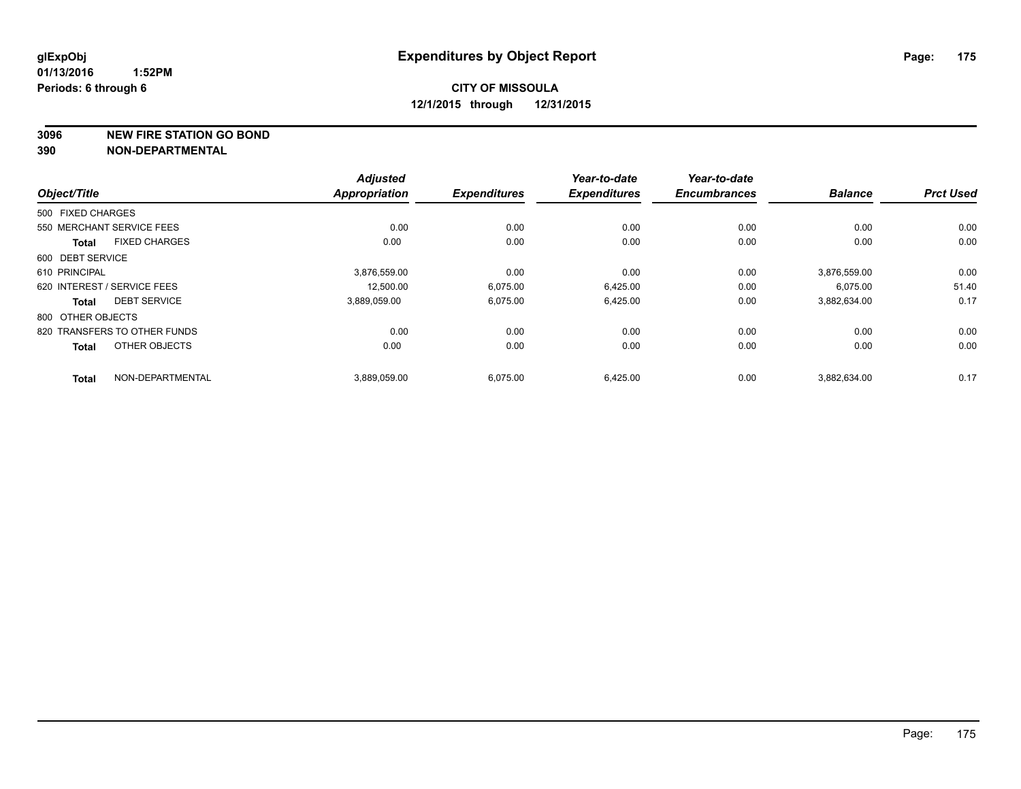**3096 NEW FIRE STATION GO BOND**

|                             |                              | <b>Adjusted</b>      |                     | Year-to-date        | Year-to-date        |                |                  |
|-----------------------------|------------------------------|----------------------|---------------------|---------------------|---------------------|----------------|------------------|
| Object/Title                |                              | <b>Appropriation</b> | <b>Expenditures</b> | <b>Expenditures</b> | <b>Encumbrances</b> | <b>Balance</b> | <b>Prct Used</b> |
| 500 FIXED CHARGES           |                              |                      |                     |                     |                     |                |                  |
| 550 MERCHANT SERVICE FEES   |                              | 0.00                 | 0.00                | 0.00                | 0.00                | 0.00           | 0.00             |
| <b>Total</b>                | <b>FIXED CHARGES</b>         | 0.00                 | 0.00                | 0.00                | 0.00                | 0.00           | 0.00             |
| 600 DEBT SERVICE            |                              |                      |                     |                     |                     |                |                  |
| 610 PRINCIPAL               |                              | 3,876,559.00         | 0.00                | 0.00                | 0.00                | 3,876,559.00   | 0.00             |
| 620 INTEREST / SERVICE FEES |                              | 12.500.00            | 6.075.00            | 6,425.00            | 0.00                | 6.075.00       | 51.40            |
| <b>Total</b>                | <b>DEBT SERVICE</b>          | 3,889,059.00         | 6,075.00            | 6,425.00            | 0.00                | 3,882,634.00   | 0.17             |
| 800 OTHER OBJECTS           |                              |                      |                     |                     |                     |                |                  |
|                             | 820 TRANSFERS TO OTHER FUNDS | 0.00                 | 0.00                | 0.00                | 0.00                | 0.00           | 0.00             |
| <b>Total</b>                | OTHER OBJECTS                | 0.00                 | 0.00                | 0.00                | 0.00                | 0.00           | 0.00             |
| <b>Total</b>                | NON-DEPARTMENTAL             | 3,889,059.00         | 6,075.00            | 6,425.00            | 0.00                | 3,882,634.00   | 0.17             |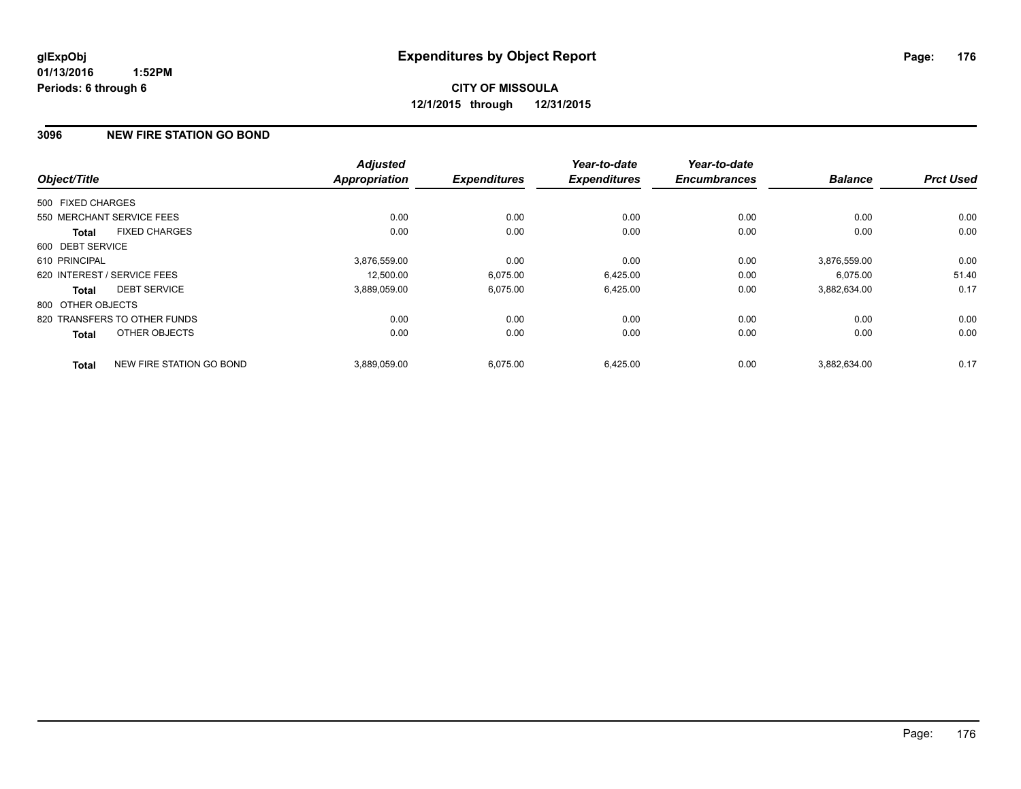# **CITY OF MISSOULA 12/1/2015 through 12/31/2015**

### **3096 NEW FIRE STATION GO BOND**

| Object/Title                |                              | <b>Adjusted</b><br><b>Appropriation</b> | <b>Expenditures</b> | Year-to-date<br><b>Expenditures</b> | Year-to-date<br><b>Encumbrances</b> | <b>Balance</b> | <b>Prct Used</b> |
|-----------------------------|------------------------------|-----------------------------------------|---------------------|-------------------------------------|-------------------------------------|----------------|------------------|
|                             |                              |                                         |                     |                                     |                                     |                |                  |
| 500 FIXED CHARGES           |                              |                                         |                     |                                     |                                     |                |                  |
| 550 MERCHANT SERVICE FEES   |                              | 0.00                                    | 0.00                | 0.00                                | 0.00                                | 0.00           | 0.00             |
| <b>Total</b>                | <b>FIXED CHARGES</b>         | 0.00                                    | 0.00                | 0.00                                | 0.00                                | 0.00           | 0.00             |
| 600 DEBT SERVICE            |                              |                                         |                     |                                     |                                     |                |                  |
| 610 PRINCIPAL               |                              | 3,876,559.00                            | 0.00                | 0.00                                | 0.00                                | 3.876.559.00   | 0.00             |
| 620 INTEREST / SERVICE FEES |                              | 12.500.00                               | 6,075.00            | 6,425.00                            | 0.00                                | 6.075.00       | 51.40            |
| <b>Total</b>                | <b>DEBT SERVICE</b>          | 3,889,059.00                            | 6,075.00            | 6,425.00                            | 0.00                                | 3,882,634.00   | 0.17             |
| 800 OTHER OBJECTS           |                              |                                         |                     |                                     |                                     |                |                  |
|                             | 820 TRANSFERS TO OTHER FUNDS | 0.00                                    | 0.00                | 0.00                                | 0.00                                | 0.00           | 0.00             |
| <b>Total</b>                | OTHER OBJECTS                | 0.00                                    | 0.00                | 0.00                                | 0.00                                | 0.00           | 0.00             |
| <b>Total</b>                | NEW FIRE STATION GO BOND     | 3,889,059.00                            | 6,075.00            | 6,425.00                            | 0.00                                | 3,882,634.00   | 0.17             |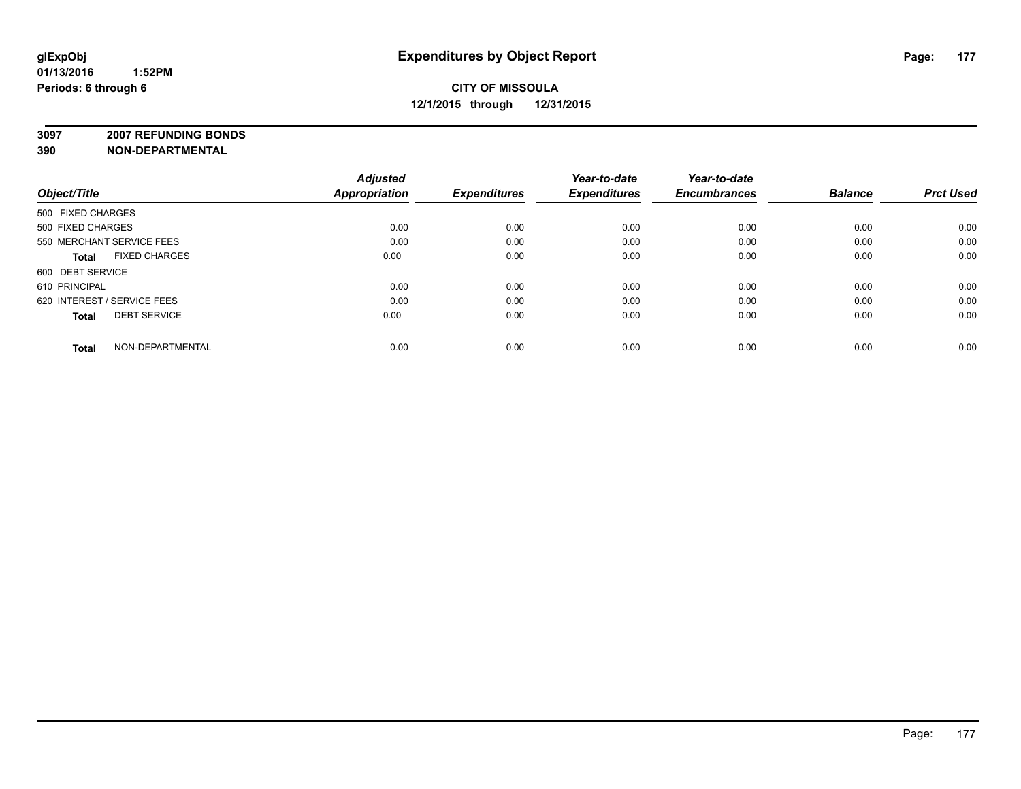**3097 2007 REFUNDING BONDS**

| Object/Title                         | <b>Adjusted</b><br><b>Appropriation</b> | <b>Expenditures</b> | Year-to-date<br><b>Expenditures</b> | Year-to-date<br><b>Encumbrances</b> | <b>Balance</b> | <b>Prct Used</b> |
|--------------------------------------|-----------------------------------------|---------------------|-------------------------------------|-------------------------------------|----------------|------------------|
| 500 FIXED CHARGES                    |                                         |                     |                                     |                                     |                |                  |
| 500 FIXED CHARGES                    | 0.00                                    | 0.00                | 0.00                                | 0.00                                | 0.00           | 0.00             |
| 550 MERCHANT SERVICE FEES            | 0.00                                    | 0.00                | 0.00                                | 0.00                                | 0.00           | 0.00             |
| <b>FIXED CHARGES</b><br><b>Total</b> | 0.00                                    | 0.00                | 0.00                                | 0.00                                | 0.00           | 0.00             |
| 600 DEBT SERVICE                     |                                         |                     |                                     |                                     |                |                  |
| 610 PRINCIPAL                        | 0.00                                    | 0.00                | 0.00                                | 0.00                                | 0.00           | 0.00             |
| 620 INTEREST / SERVICE FEES          | 0.00                                    | 0.00                | 0.00                                | 0.00                                | 0.00           | 0.00             |
| <b>DEBT SERVICE</b><br><b>Total</b>  | 0.00                                    | 0.00                | 0.00                                | 0.00                                | 0.00           | 0.00             |
| NON-DEPARTMENTAL<br><b>Total</b>     | 0.00                                    | 0.00                | 0.00                                | 0.00                                | 0.00           | 0.00             |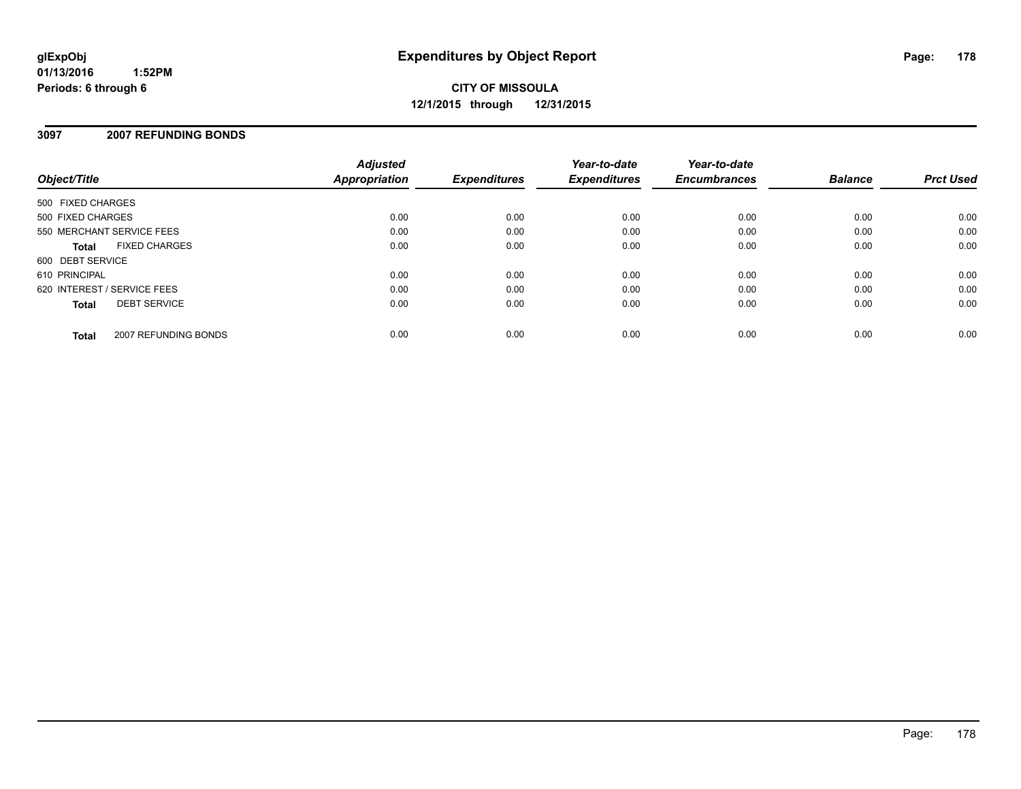# **CITY OF MISSOULA 12/1/2015 through 12/31/2015**

### **3097 2007 REFUNDING BONDS**

| Object/Title                |                      | <b>Adjusted</b><br><b>Appropriation</b> | <b>Expenditures</b> | Year-to-date<br><b>Expenditures</b> | Year-to-date<br><b>Encumbrances</b> | <b>Balance</b> | <b>Prct Used</b> |
|-----------------------------|----------------------|-----------------------------------------|---------------------|-------------------------------------|-------------------------------------|----------------|------------------|
| 500 FIXED CHARGES           |                      |                                         |                     |                                     |                                     |                |                  |
| 500 FIXED CHARGES           |                      | 0.00                                    | 0.00                | 0.00                                | 0.00                                | 0.00           | 0.00             |
| 550 MERCHANT SERVICE FEES   |                      | 0.00                                    | 0.00                | 0.00                                | 0.00                                | 0.00           | 0.00             |
| <b>Total</b>                | <b>FIXED CHARGES</b> | 0.00                                    | 0.00                | 0.00                                | 0.00                                | 0.00           | 0.00             |
| 600 DEBT SERVICE            |                      |                                         |                     |                                     |                                     |                |                  |
| 610 PRINCIPAL               |                      | 0.00                                    | 0.00                | 0.00                                | 0.00                                | 0.00           | 0.00             |
| 620 INTEREST / SERVICE FEES |                      | 0.00                                    | 0.00                | 0.00                                | 0.00                                | 0.00           | 0.00             |
| <b>Total</b>                | <b>DEBT SERVICE</b>  | 0.00                                    | 0.00                | 0.00                                | 0.00                                | 0.00           | 0.00             |
| <b>Total</b>                | 2007 REFUNDING BONDS | 0.00                                    | 0.00                | 0.00                                | 0.00                                | 0.00           | 0.00             |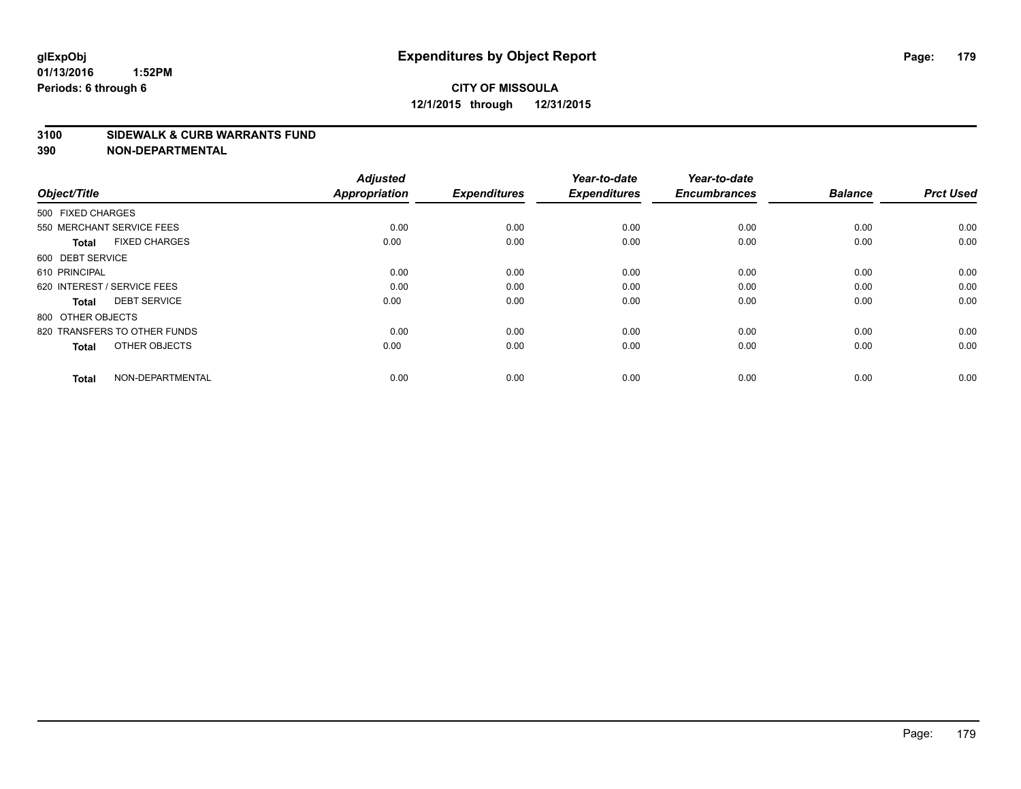# **CITY OF MISSOULA 12/1/2015 through 12/31/2015**

#### **3100 SIDEWALK & CURB WARRANTS FUND**

| Object/Title                         | <b>Adjusted</b><br><b>Appropriation</b> | <b>Expenditures</b> | Year-to-date<br><b>Expenditures</b> | Year-to-date<br><b>Encumbrances</b> | <b>Balance</b> | <b>Prct Used</b> |
|--------------------------------------|-----------------------------------------|---------------------|-------------------------------------|-------------------------------------|----------------|------------------|
| 500 FIXED CHARGES                    |                                         |                     |                                     |                                     |                |                  |
| 550 MERCHANT SERVICE FEES            | 0.00                                    | 0.00                | 0.00                                | 0.00                                | 0.00           | 0.00             |
| <b>FIXED CHARGES</b><br><b>Total</b> | 0.00                                    | 0.00                | 0.00                                | 0.00                                | 0.00           | 0.00             |
| 600 DEBT SERVICE                     |                                         |                     |                                     |                                     |                |                  |
| 610 PRINCIPAL                        | 0.00                                    | 0.00                | 0.00                                | 0.00                                | 0.00           | 0.00             |
| 620 INTEREST / SERVICE FEES          | 0.00                                    | 0.00                | 0.00                                | 0.00                                | 0.00           | 0.00             |
| <b>DEBT SERVICE</b><br><b>Total</b>  | 0.00                                    | 0.00                | 0.00                                | 0.00                                | 0.00           | 0.00             |
| 800 OTHER OBJECTS                    |                                         |                     |                                     |                                     |                |                  |
| 820 TRANSFERS TO OTHER FUNDS         | 0.00                                    | 0.00                | 0.00                                | 0.00                                | 0.00           | 0.00             |
| OTHER OBJECTS<br><b>Total</b>        | 0.00                                    | 0.00                | 0.00                                | 0.00                                | 0.00           | 0.00             |
|                                      |                                         |                     |                                     |                                     |                |                  |
| NON-DEPARTMENTAL<br><b>Total</b>     | 0.00                                    | 0.00                | 0.00                                | 0.00                                | 0.00           | 0.00             |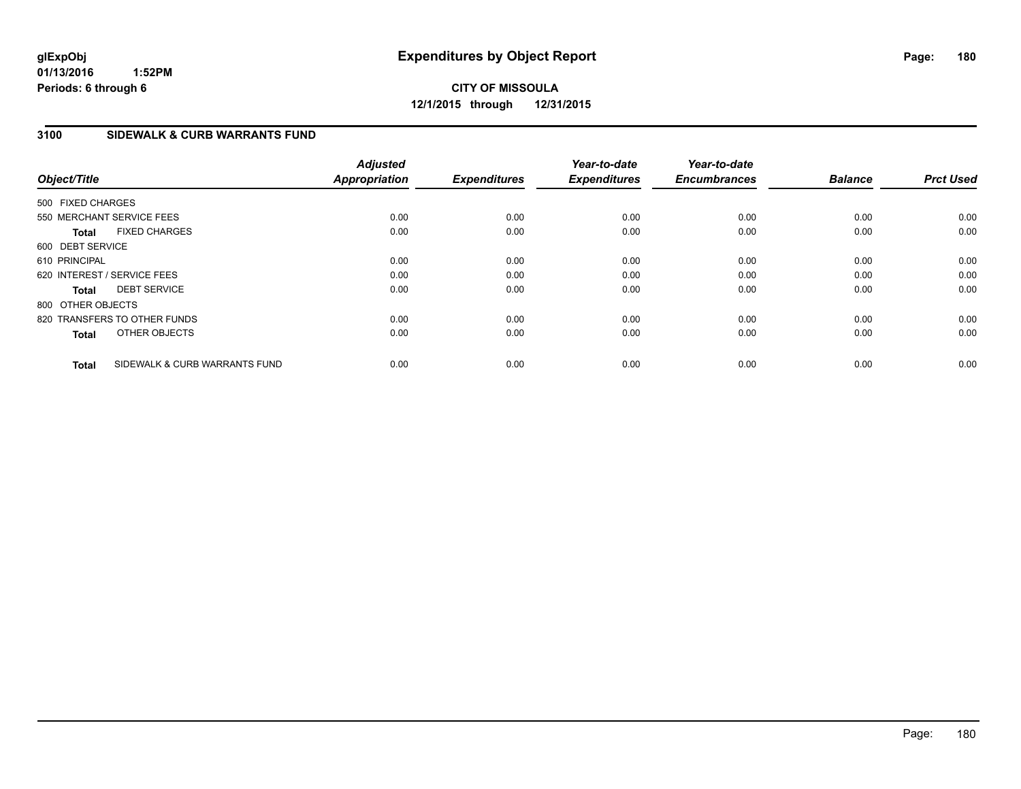# **CITY OF MISSOULA 12/1/2015 through 12/31/2015**

### **3100 SIDEWALK & CURB WARRANTS FUND**

| Object/Title      |                               | <b>Adjusted</b><br><b>Appropriation</b> | <b>Expenditures</b> | Year-to-date<br><b>Expenditures</b> | Year-to-date<br><b>Encumbrances</b> | <b>Balance</b> | <b>Prct Used</b> |
|-------------------|-------------------------------|-----------------------------------------|---------------------|-------------------------------------|-------------------------------------|----------------|------------------|
| 500 FIXED CHARGES |                               |                                         |                     |                                     |                                     |                |                  |
|                   | 550 MERCHANT SERVICE FEES     | 0.00                                    | 0.00                | 0.00                                | 0.00                                | 0.00           | 0.00             |
| <b>Total</b>      | <b>FIXED CHARGES</b>          | 0.00                                    | 0.00                | 0.00                                | 0.00                                | 0.00           | 0.00             |
| 600 DEBT SERVICE  |                               |                                         |                     |                                     |                                     |                |                  |
| 610 PRINCIPAL     |                               | 0.00                                    | 0.00                | 0.00                                | 0.00                                | 0.00           | 0.00             |
|                   | 620 INTEREST / SERVICE FEES   | 0.00                                    | 0.00                | 0.00                                | 0.00                                | 0.00           | 0.00             |
| <b>Total</b>      | <b>DEBT SERVICE</b>           | 0.00                                    | 0.00                | 0.00                                | 0.00                                | 0.00           | 0.00             |
| 800 OTHER OBJECTS |                               |                                         |                     |                                     |                                     |                |                  |
|                   | 820 TRANSFERS TO OTHER FUNDS  | 0.00                                    | 0.00                | 0.00                                | 0.00                                | 0.00           | 0.00             |
| <b>Total</b>      | OTHER OBJECTS                 | 0.00                                    | 0.00                | 0.00                                | 0.00                                | 0.00           | 0.00             |
| <b>Total</b>      | SIDEWALK & CURB WARRANTS FUND | 0.00                                    | 0.00                | 0.00                                | 0.00                                | 0.00           | 0.00             |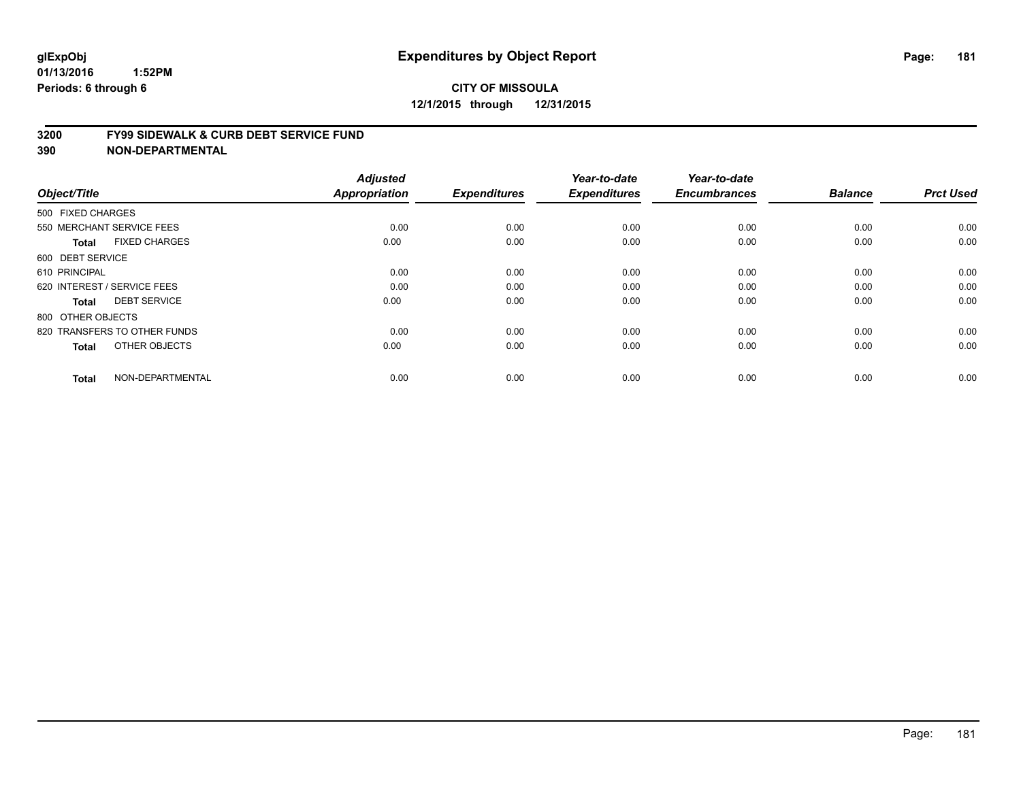#### **3200 FY99 SIDEWALK & CURB DEBT SERVICE FUND**

| Object/Title                         | <b>Adjusted</b><br>Appropriation | <b>Expenditures</b> | Year-to-date<br><b>Expenditures</b> | Year-to-date<br><b>Encumbrances</b> | <b>Balance</b> | <b>Prct Used</b> |
|--------------------------------------|----------------------------------|---------------------|-------------------------------------|-------------------------------------|----------------|------------------|
| 500 FIXED CHARGES                    |                                  |                     |                                     |                                     |                |                  |
|                                      |                                  |                     |                                     |                                     |                |                  |
| 550 MERCHANT SERVICE FEES            | 0.00                             | 0.00                | 0.00                                | 0.00                                | 0.00           | 0.00             |
| <b>FIXED CHARGES</b><br><b>Total</b> | 0.00                             | 0.00                | 0.00                                | 0.00                                | 0.00           | 0.00             |
| 600 DEBT SERVICE                     |                                  |                     |                                     |                                     |                |                  |
| 610 PRINCIPAL                        | 0.00                             | 0.00                | 0.00                                | 0.00                                | 0.00           | 0.00             |
| 620 INTEREST / SERVICE FEES          | 0.00                             | 0.00                | 0.00                                | 0.00                                | 0.00           | 0.00             |
| <b>DEBT SERVICE</b><br><b>Total</b>  | 0.00                             | 0.00                | 0.00                                | 0.00                                | 0.00           | 0.00             |
| 800 OTHER OBJECTS                    |                                  |                     |                                     |                                     |                |                  |
| 820 TRANSFERS TO OTHER FUNDS         | 0.00                             | 0.00                | 0.00                                | 0.00                                | 0.00           | 0.00             |
| OTHER OBJECTS<br><b>Total</b>        | 0.00                             | 0.00                | 0.00                                | 0.00                                | 0.00           | 0.00             |
|                                      |                                  |                     |                                     |                                     |                |                  |
| NON-DEPARTMENTAL<br><b>Total</b>     | 0.00                             | 0.00                | 0.00                                | 0.00                                | 0.00           | 0.00             |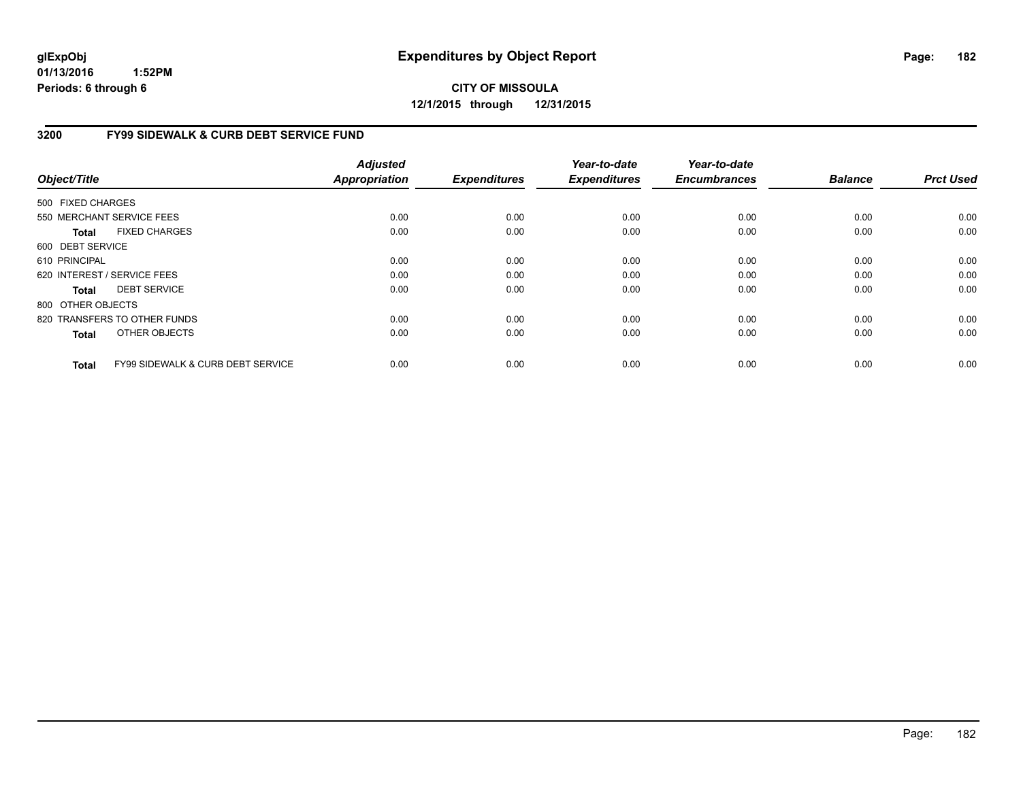**CITY OF MISSOULA 12/1/2015 through 12/31/2015**

### **3200 FY99 SIDEWALK & CURB DEBT SERVICE FUND**

| Object/Title      |                                              | <b>Adjusted</b><br><b>Appropriation</b> | <b>Expenditures</b> | Year-to-date<br><b>Expenditures</b> | Year-to-date<br><b>Encumbrances</b> | <b>Balance</b> | <b>Prct Used</b> |
|-------------------|----------------------------------------------|-----------------------------------------|---------------------|-------------------------------------|-------------------------------------|----------------|------------------|
| 500 FIXED CHARGES |                                              |                                         |                     |                                     |                                     |                |                  |
|                   | 550 MERCHANT SERVICE FEES                    | 0.00                                    | 0.00                | 0.00                                | 0.00                                | 0.00           | 0.00             |
|                   |                                              |                                         |                     |                                     |                                     |                |                  |
| Total             | <b>FIXED CHARGES</b>                         | 0.00                                    | 0.00                | 0.00                                | 0.00                                | 0.00           | 0.00             |
| 600 DEBT SERVICE  |                                              |                                         |                     |                                     |                                     |                |                  |
| 610 PRINCIPAL     |                                              | 0.00                                    | 0.00                | 0.00                                | 0.00                                | 0.00           | 0.00             |
|                   | 620 INTEREST / SERVICE FEES                  | 0.00                                    | 0.00                | 0.00                                | 0.00                                | 0.00           | 0.00             |
| Total             | <b>DEBT SERVICE</b>                          | 0.00                                    | 0.00                | 0.00                                | 0.00                                | 0.00           | 0.00             |
| 800 OTHER OBJECTS |                                              |                                         |                     |                                     |                                     |                |                  |
|                   | 820 TRANSFERS TO OTHER FUNDS                 | 0.00                                    | 0.00                | 0.00                                | 0.00                                | 0.00           | 0.00             |
| <b>Total</b>      | OTHER OBJECTS                                | 0.00                                    | 0.00                | 0.00                                | 0.00                                | 0.00           | 0.00             |
| <b>Total</b>      | <b>FY99 SIDEWALK &amp; CURB DEBT SERVICE</b> | 0.00                                    | 0.00                | 0.00                                | 0.00                                | 0.00           | 0.00             |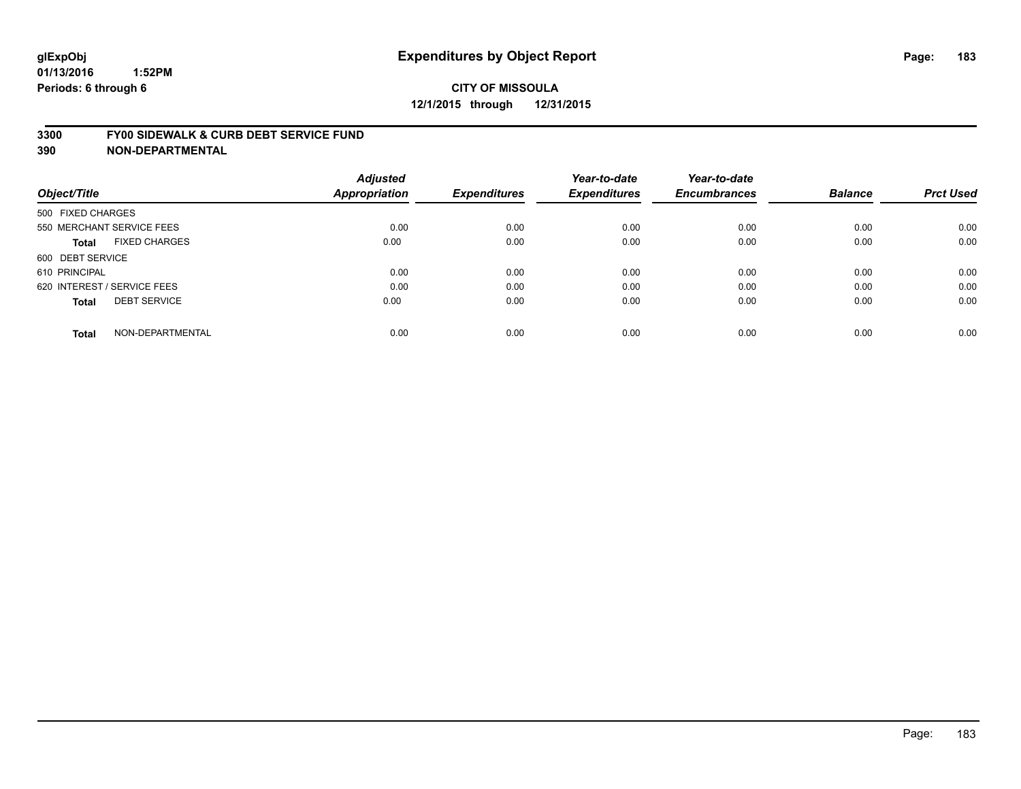#### **3300 FY00 SIDEWALK & CURB DEBT SERVICE FUND**

| Object/Title                         | <b>Adjusted</b><br>Appropriation | <b>Expenditures</b> | Year-to-date<br><b>Expenditures</b> | Year-to-date<br><b>Encumbrances</b> | <b>Balance</b> | <b>Prct Used</b> |
|--------------------------------------|----------------------------------|---------------------|-------------------------------------|-------------------------------------|----------------|------------------|
| 500 FIXED CHARGES                    |                                  |                     |                                     |                                     |                |                  |
| 550 MERCHANT SERVICE FEES            | 0.00                             | 0.00                | 0.00                                | 0.00                                | 0.00           | 0.00             |
| <b>FIXED CHARGES</b><br><b>Total</b> | 0.00                             | 0.00                | 0.00                                | 0.00                                | 0.00           | 0.00             |
| 600 DEBT SERVICE                     |                                  |                     |                                     |                                     |                |                  |
| 610 PRINCIPAL                        | 0.00                             | 0.00                | 0.00                                | 0.00                                | 0.00           | 0.00             |
| 620 INTEREST / SERVICE FEES          | 0.00                             | 0.00                | 0.00                                | 0.00                                | 0.00           | 0.00             |
| <b>DEBT SERVICE</b><br><b>Total</b>  | 0.00                             | 0.00                | 0.00                                | 0.00                                | 0.00           | 0.00             |
| NON-DEPARTMENTAL<br><b>Total</b>     | 0.00                             | 0.00                | 0.00                                | 0.00                                | 0.00           | 0.00             |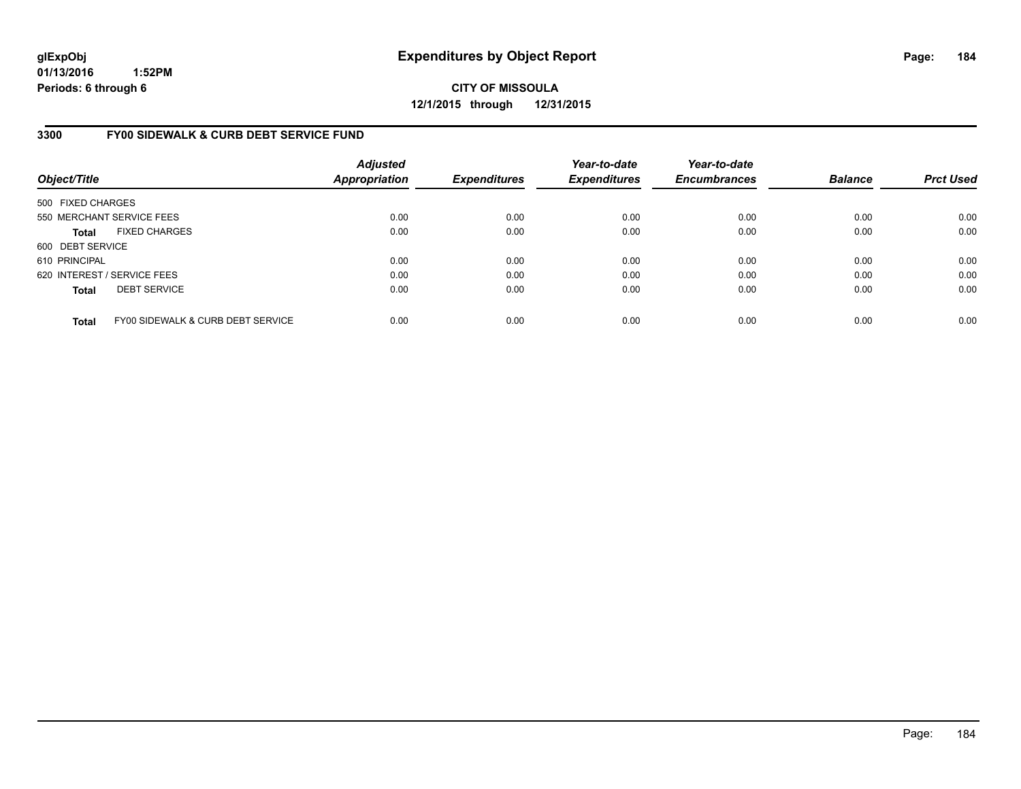**CITY OF MISSOULA 12/1/2015 through 12/31/2015**

### **3300 FY00 SIDEWALK & CURB DEBT SERVICE FUND**

| Object/Title                |                                   | <b>Adjusted</b><br><b>Appropriation</b> | <b>Expenditures</b> | Year-to-date<br><b>Expenditures</b> | Year-to-date<br><b>Encumbrances</b> | <b>Balance</b> | <b>Prct Used</b> |
|-----------------------------|-----------------------------------|-----------------------------------------|---------------------|-------------------------------------|-------------------------------------|----------------|------------------|
| 500 FIXED CHARGES           |                                   |                                         |                     |                                     |                                     |                |                  |
|                             | 550 MERCHANT SERVICE FEES         | 0.00                                    | 0.00                | 0.00                                | 0.00                                | 0.00           | 0.00             |
| <b>Total</b>                | <b>FIXED CHARGES</b>              | 0.00                                    | 0.00                | 0.00                                | 0.00                                | 0.00           | 0.00             |
| 600 DEBT SERVICE            |                                   |                                         |                     |                                     |                                     |                |                  |
| 610 PRINCIPAL               |                                   | 0.00                                    | 0.00                | 0.00                                | 0.00                                | 0.00           | 0.00             |
| 620 INTEREST / SERVICE FEES |                                   | 0.00                                    | 0.00                | 0.00                                | 0.00                                | 0.00           | 0.00             |
| <b>Total</b>                | <b>DEBT SERVICE</b>               | 0.00                                    | 0.00                | 0.00                                | 0.00                                | 0.00           | 0.00             |
| <b>Total</b>                | FY00 SIDEWALK & CURB DEBT SERVICE | 0.00                                    | 0.00                | 0.00                                | 0.00                                | 0.00           | 0.00             |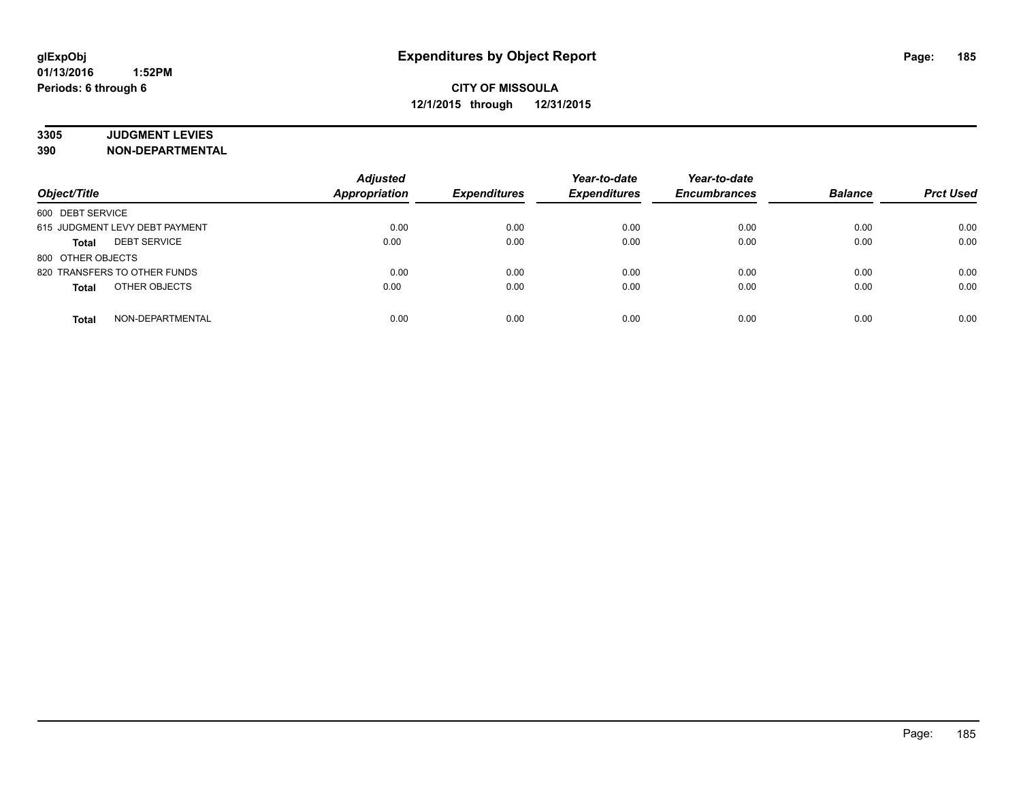# **3305 JUDGMENT LEVIES**

| Object/Title                        | <b>Adjusted</b><br><b>Appropriation</b> | <b>Expenditures</b> | Year-to-date<br><b>Expenditures</b> | Year-to-date<br><b>Encumbrances</b> | <b>Balance</b> | <b>Prct Used</b> |
|-------------------------------------|-----------------------------------------|---------------------|-------------------------------------|-------------------------------------|----------------|------------------|
| 600 DEBT SERVICE                    |                                         |                     |                                     |                                     |                |                  |
| 615 JUDGMENT LEVY DEBT PAYMENT      | 0.00                                    | 0.00                | 0.00                                | 0.00                                | 0.00           | 0.00             |
| <b>DEBT SERVICE</b><br><b>Total</b> | 0.00                                    | 0.00                | 0.00                                | 0.00                                | 0.00           | 0.00             |
| 800 OTHER OBJECTS                   |                                         |                     |                                     |                                     |                |                  |
| 820 TRANSFERS TO OTHER FUNDS        | 0.00                                    | 0.00                | 0.00                                | 0.00                                | 0.00           | 0.00             |
| OTHER OBJECTS<br><b>Total</b>       | 0.00                                    | 0.00                | 0.00                                | 0.00                                | 0.00           | 0.00             |
| NON-DEPARTMENTAL<br><b>Total</b>    | 0.00                                    | 0.00                | 0.00                                | 0.00                                | 0.00           | 0.00             |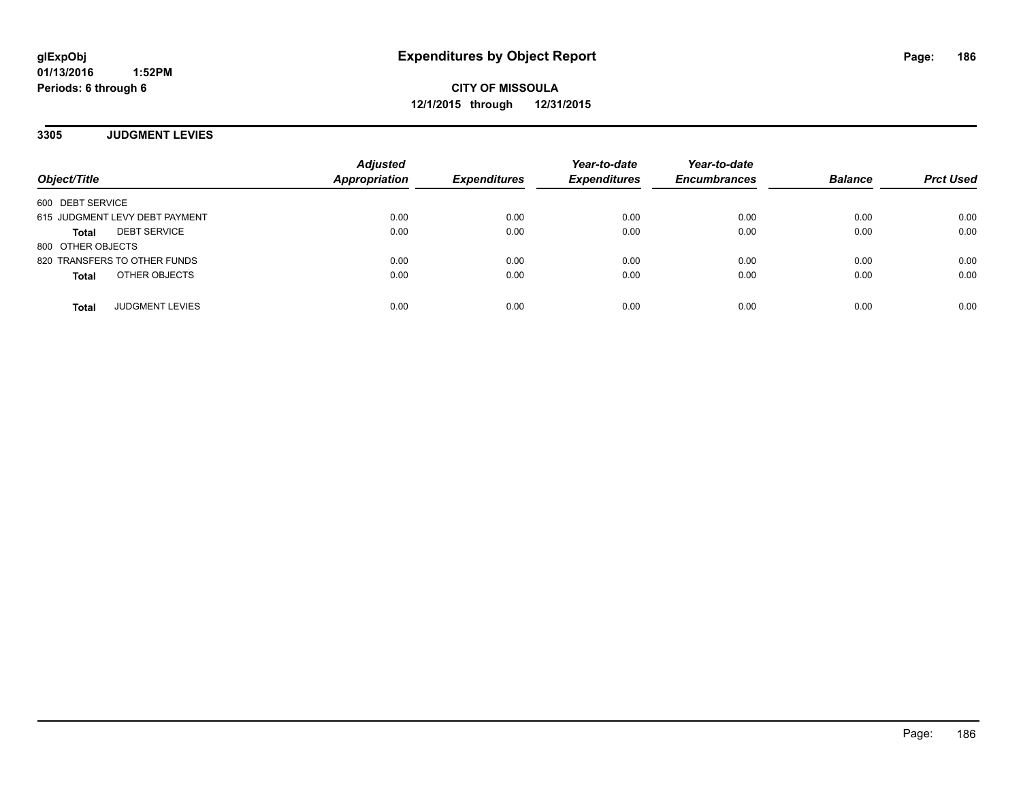**CITY OF MISSOULA 12/1/2015 through 12/31/2015**

**3305 JUDGMENT LEVIES**

| Object/Title                        | <b>Adjusted</b><br><b>Appropriation</b> | <b>Expenditures</b> | Year-to-date<br><b>Expenditures</b> | Year-to-date<br><b>Encumbrances</b> | <b>Balance</b> | <b>Prct Used</b> |
|-------------------------------------|-----------------------------------------|---------------------|-------------------------------------|-------------------------------------|----------------|------------------|
| 600 DEBT SERVICE                    |                                         |                     |                                     |                                     |                |                  |
| 615 JUDGMENT LEVY DEBT PAYMENT      | 0.00                                    | 0.00                | 0.00                                | 0.00                                | 0.00           | 0.00             |
| <b>DEBT SERVICE</b><br><b>Total</b> | 0.00                                    | 0.00                | 0.00                                | 0.00                                | 0.00           | 0.00             |
| 800 OTHER OBJECTS                   |                                         |                     |                                     |                                     |                |                  |
| 820 TRANSFERS TO OTHER FUNDS        | 0.00                                    | 0.00                | 0.00                                | 0.00                                | 0.00           | 0.00             |
| OTHER OBJECTS<br><b>Total</b>       | 0.00                                    | 0.00                | 0.00                                | 0.00                                | 0.00           | 0.00             |
| <b>JUDGMENT LEVIES</b><br>Total     | 0.00                                    | 0.00                | 0.00                                | 0.00                                | 0.00           | 0.00             |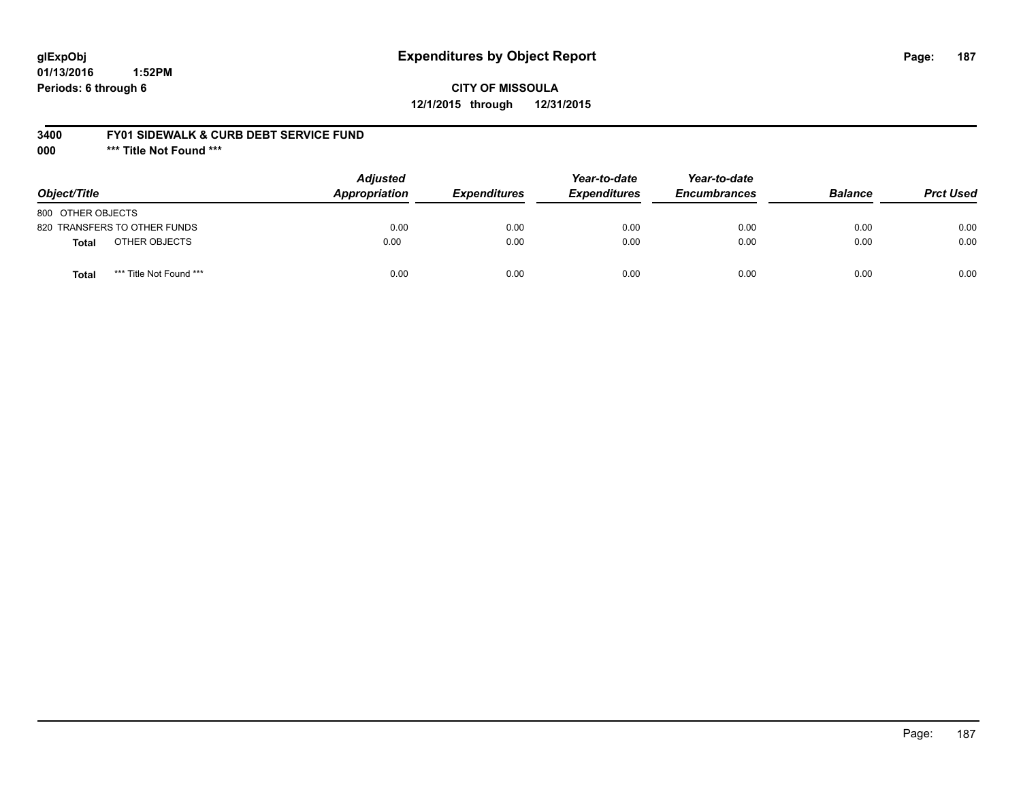# **glExpObj Expenditures by Object Report Page: 187**

**01/13/2016 1:52PM Periods: 6 through 6**

#### **3400 FY01 SIDEWALK & CURB DEBT SERVICE FUND**

**000 \*\*\* Title Not Found \*\*\***

| Object/Title                     | <b>Adjusted</b><br>Appropriation | <b>Expenditures</b> | Year-to-date<br><b>Expenditures</b> | Year-to-date<br><b>Encumbrances</b> | <b>Balance</b> | <b>Prct Used</b> |
|----------------------------------|----------------------------------|---------------------|-------------------------------------|-------------------------------------|----------------|------------------|
| 800 OTHER OBJECTS                |                                  |                     |                                     |                                     |                |                  |
| 820 TRANSFERS TO OTHER FUNDS     | 0.00                             | 0.00                | 0.00                                | 0.00                                | 0.00           | 0.00             |
| OTHER OBJECTS<br><b>Total</b>    | 0.00                             | 0.00                | 0.00                                | 0.00                                | 0.00           | 0.00             |
| *** Title Not Found ***<br>Total | 0.00                             | 0.00                | 0.00                                | 0.00                                | 0.00           | 0.00             |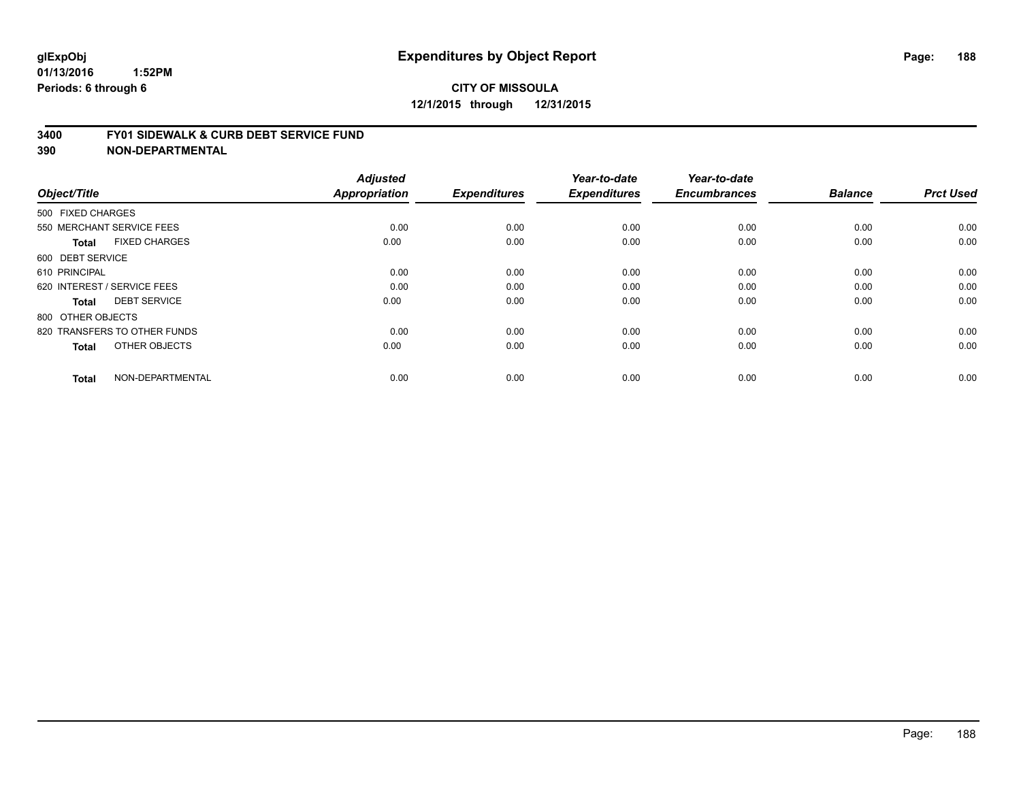#### **3400 FY01 SIDEWALK & CURB DEBT SERVICE FUND**

| Object/Title                         | <b>Adjusted</b><br>Appropriation | <b>Expenditures</b> | Year-to-date<br><b>Expenditures</b> | Year-to-date<br><b>Encumbrances</b> | <b>Balance</b> | <b>Prct Used</b> |
|--------------------------------------|----------------------------------|---------------------|-------------------------------------|-------------------------------------|----------------|------------------|
| 500 FIXED CHARGES                    |                                  |                     |                                     |                                     |                |                  |
|                                      |                                  |                     |                                     |                                     |                |                  |
| 550 MERCHANT SERVICE FEES            | 0.00                             | 0.00                | 0.00                                | 0.00                                | 0.00           | 0.00             |
| <b>FIXED CHARGES</b><br><b>Total</b> | 0.00                             | 0.00                | 0.00                                | 0.00                                | 0.00           | 0.00             |
| 600 DEBT SERVICE                     |                                  |                     |                                     |                                     |                |                  |
| 610 PRINCIPAL                        | 0.00                             | 0.00                | 0.00                                | 0.00                                | 0.00           | 0.00             |
| 620 INTEREST / SERVICE FEES          | 0.00                             | 0.00                | 0.00                                | 0.00                                | 0.00           | 0.00             |
| <b>DEBT SERVICE</b><br><b>Total</b>  | 0.00                             | 0.00                | 0.00                                | 0.00                                | 0.00           | 0.00             |
| 800 OTHER OBJECTS                    |                                  |                     |                                     |                                     |                |                  |
| 820 TRANSFERS TO OTHER FUNDS         | 0.00                             | 0.00                | 0.00                                | 0.00                                | 0.00           | 0.00             |
| OTHER OBJECTS<br><b>Total</b>        | 0.00                             | 0.00                | 0.00                                | 0.00                                | 0.00           | 0.00             |
|                                      |                                  |                     |                                     |                                     |                |                  |
| NON-DEPARTMENTAL<br><b>Total</b>     | 0.00                             | 0.00                | 0.00                                | 0.00                                | 0.00           | 0.00             |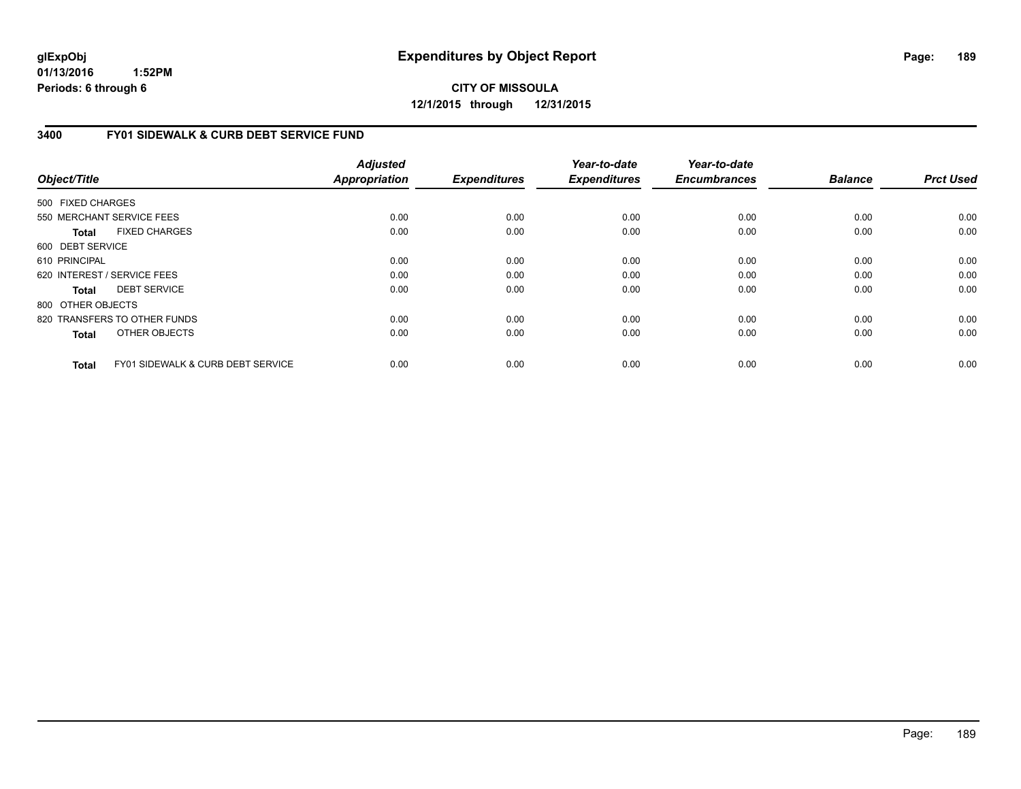**CITY OF MISSOULA 12/1/2015 through 12/31/2015**

### **3400 FY01 SIDEWALK & CURB DEBT SERVICE FUND**

| Object/Title      |                                              | <b>Adjusted</b><br><b>Appropriation</b> | <b>Expenditures</b> | Year-to-date<br><b>Expenditures</b> | Year-to-date<br><b>Encumbrances</b> | <b>Balance</b> | <b>Prct Used</b> |
|-------------------|----------------------------------------------|-----------------------------------------|---------------------|-------------------------------------|-------------------------------------|----------------|------------------|
| 500 FIXED CHARGES |                                              |                                         |                     |                                     |                                     |                |                  |
|                   | 550 MERCHANT SERVICE FEES                    | 0.00                                    | 0.00                | 0.00                                | 0.00                                | 0.00           | 0.00             |
|                   |                                              |                                         |                     |                                     |                                     |                |                  |
| Total             | <b>FIXED CHARGES</b>                         | 0.00                                    | 0.00                | 0.00                                | 0.00                                | 0.00           | 0.00             |
| 600 DEBT SERVICE  |                                              |                                         |                     |                                     |                                     |                |                  |
| 610 PRINCIPAL     |                                              | 0.00                                    | 0.00                | 0.00                                | 0.00                                | 0.00           | 0.00             |
|                   | 620 INTEREST / SERVICE FEES                  | 0.00                                    | 0.00                | 0.00                                | 0.00                                | 0.00           | 0.00             |
| Total             | <b>DEBT SERVICE</b>                          | 0.00                                    | 0.00                | 0.00                                | 0.00                                | 0.00           | 0.00             |
| 800 OTHER OBJECTS |                                              |                                         |                     |                                     |                                     |                |                  |
|                   | 820 TRANSFERS TO OTHER FUNDS                 | 0.00                                    | 0.00                | 0.00                                | 0.00                                | 0.00           | 0.00             |
| <b>Total</b>      | OTHER OBJECTS                                | 0.00                                    | 0.00                | 0.00                                | 0.00                                | 0.00           | 0.00             |
| <b>Total</b>      | <b>FY01 SIDEWALK &amp; CURB DEBT SERVICE</b> | 0.00                                    | 0.00                | 0.00                                | 0.00                                | 0.00           | 0.00             |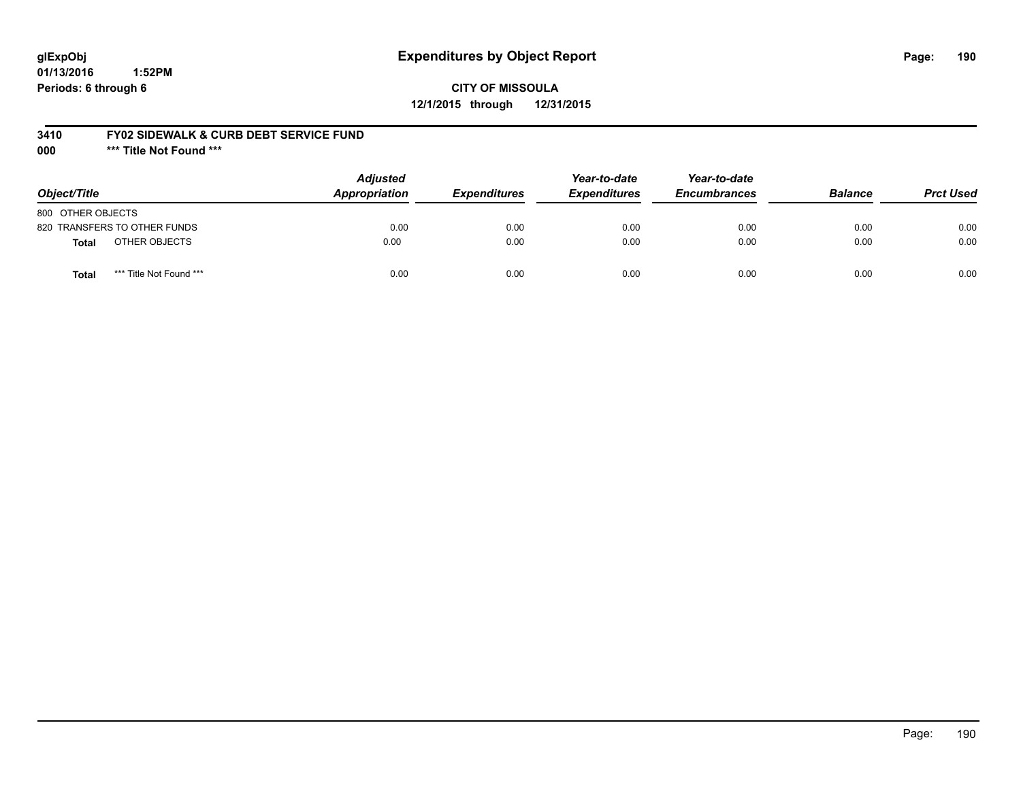# **glExpObj Expenditures by Object Report Page: 190**

**01/13/2016 1:52PM Periods: 6 through 6**

#### **3410 FY02 SIDEWALK & CURB DEBT SERVICE FUND**

**000 \*\*\* Title Not Found \*\*\***

| Object/Title                     | <b>Adjusted</b><br>Appropriation | <b>Expenditures</b> | Year-to-date<br><b>Expenditures</b> | Year-to-date<br><b>Encumbrances</b> | <b>Balance</b> | <b>Prct Used</b> |
|----------------------------------|----------------------------------|---------------------|-------------------------------------|-------------------------------------|----------------|------------------|
| 800 OTHER OBJECTS                |                                  |                     |                                     |                                     |                |                  |
| 820 TRANSFERS TO OTHER FUNDS     | 0.00                             | 0.00                | 0.00                                | 0.00                                | 0.00           | 0.00             |
| OTHER OBJECTS<br><b>Total</b>    | 0.00                             | 0.00                | 0.00                                | 0.00                                | 0.00           | 0.00             |
| *** Title Not Found ***<br>Total | 0.00                             | 0.00                | 0.00                                | 0.00                                | 0.00           | 0.00             |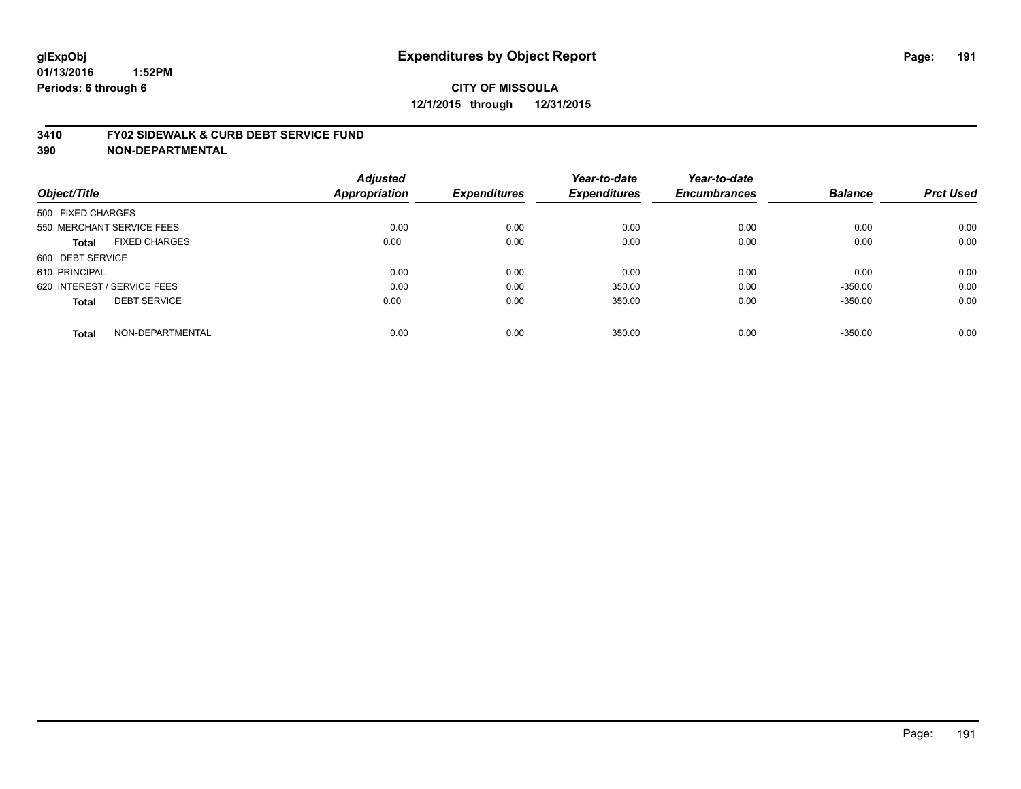#### **3410 FY02 SIDEWALK & CURB DEBT SERVICE FUND**

| Object/Title                         | <b>Adjusted</b><br><b>Appropriation</b> | <b>Expenditures</b> | Year-to-date<br><b>Expenditures</b> | Year-to-date<br><b>Encumbrances</b> | <b>Balance</b> | <b>Prct Used</b> |
|--------------------------------------|-----------------------------------------|---------------------|-------------------------------------|-------------------------------------|----------------|------------------|
| 500 FIXED CHARGES                    |                                         |                     |                                     |                                     |                |                  |
| 550 MERCHANT SERVICE FEES            | 0.00                                    | 0.00                | 0.00                                | 0.00                                | 0.00           | 0.00             |
| <b>FIXED CHARGES</b><br><b>Total</b> | 0.00                                    | 0.00                | 0.00                                | 0.00                                | 0.00           | 0.00             |
| 600 DEBT SERVICE                     |                                         |                     |                                     |                                     |                |                  |
| 610 PRINCIPAL                        | 0.00                                    | 0.00                | 0.00                                | 0.00                                | 0.00           | 0.00             |
| 620 INTEREST / SERVICE FEES          | 0.00                                    | 0.00                | 350.00                              | 0.00                                | $-350.00$      | 0.00             |
| <b>DEBT SERVICE</b><br><b>Total</b>  | 0.00                                    | 0.00                | 350.00                              | 0.00                                | $-350.00$      | 0.00             |
| NON-DEPARTMENTAL<br><b>Total</b>     | 0.00                                    | 0.00                | 350.00                              | 0.00                                | $-350.00$      | 0.00             |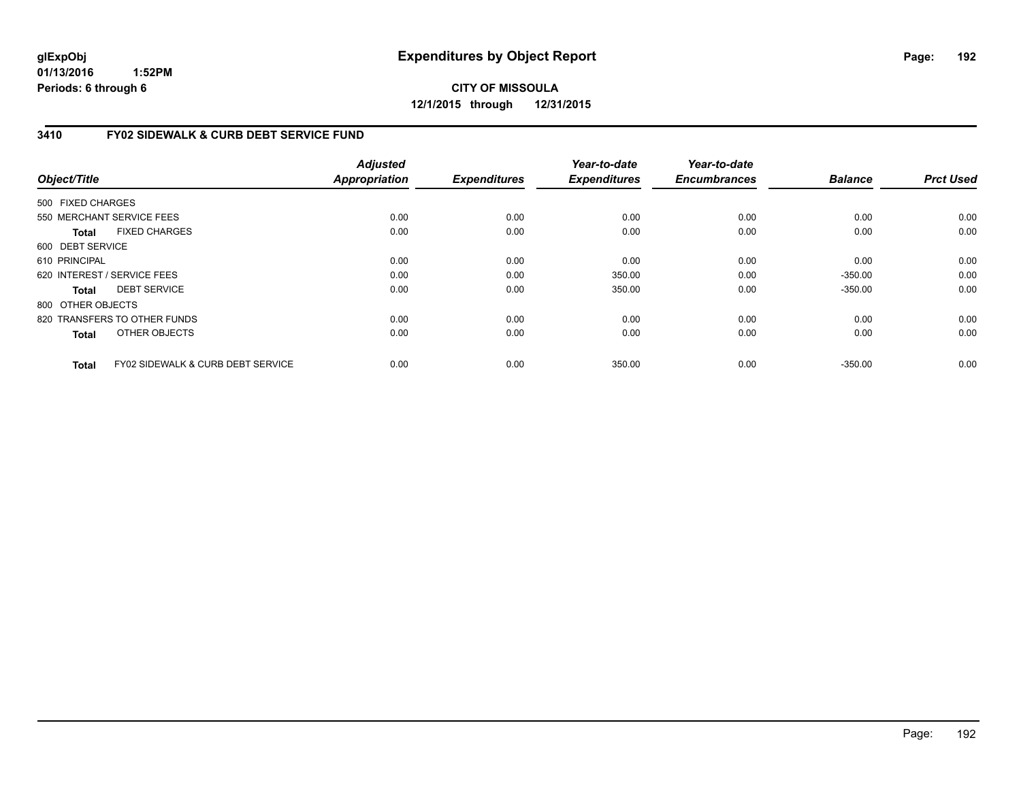**CITY OF MISSOULA 12/1/2015 through 12/31/2015**

### **3410 FY02 SIDEWALK & CURB DEBT SERVICE FUND**

| Object/Title      |                                              | <b>Adjusted</b><br><b>Appropriation</b> | <b>Expenditures</b> | Year-to-date<br><b>Expenditures</b> | Year-to-date<br><b>Encumbrances</b> | <b>Balance</b> | <b>Prct Used</b> |
|-------------------|----------------------------------------------|-----------------------------------------|---------------------|-------------------------------------|-------------------------------------|----------------|------------------|
|                   |                                              |                                         |                     |                                     |                                     |                |                  |
| 500 FIXED CHARGES |                                              |                                         |                     |                                     |                                     |                |                  |
|                   | 550 MERCHANT SERVICE FEES                    | 0.00                                    | 0.00                | 0.00                                | 0.00                                | 0.00           | 0.00             |
| Total             | <b>FIXED CHARGES</b>                         | 0.00                                    | 0.00                | 0.00                                | 0.00                                | 0.00           | 0.00             |
| 600 DEBT SERVICE  |                                              |                                         |                     |                                     |                                     |                |                  |
| 610 PRINCIPAL     |                                              | 0.00                                    | 0.00                | 0.00                                | 0.00                                | 0.00           | 0.00             |
|                   | 620 INTEREST / SERVICE FEES                  | 0.00                                    | 0.00                | 350.00                              | 0.00                                | $-350.00$      | 0.00             |
| Total             | <b>DEBT SERVICE</b>                          | 0.00                                    | 0.00                | 350.00                              | 0.00                                | $-350.00$      | 0.00             |
| 800 OTHER OBJECTS |                                              |                                         |                     |                                     |                                     |                |                  |
|                   | 820 TRANSFERS TO OTHER FUNDS                 | 0.00                                    | 0.00                | 0.00                                | 0.00                                | 0.00           | 0.00             |
| <b>Total</b>      | OTHER OBJECTS                                | 0.00                                    | 0.00                | 0.00                                | 0.00                                | 0.00           | 0.00             |
| <b>Total</b>      | <b>FY02 SIDEWALK &amp; CURB DEBT SERVICE</b> | 0.00                                    | 0.00                | 350.00                              | 0.00                                | $-350.00$      | 0.00             |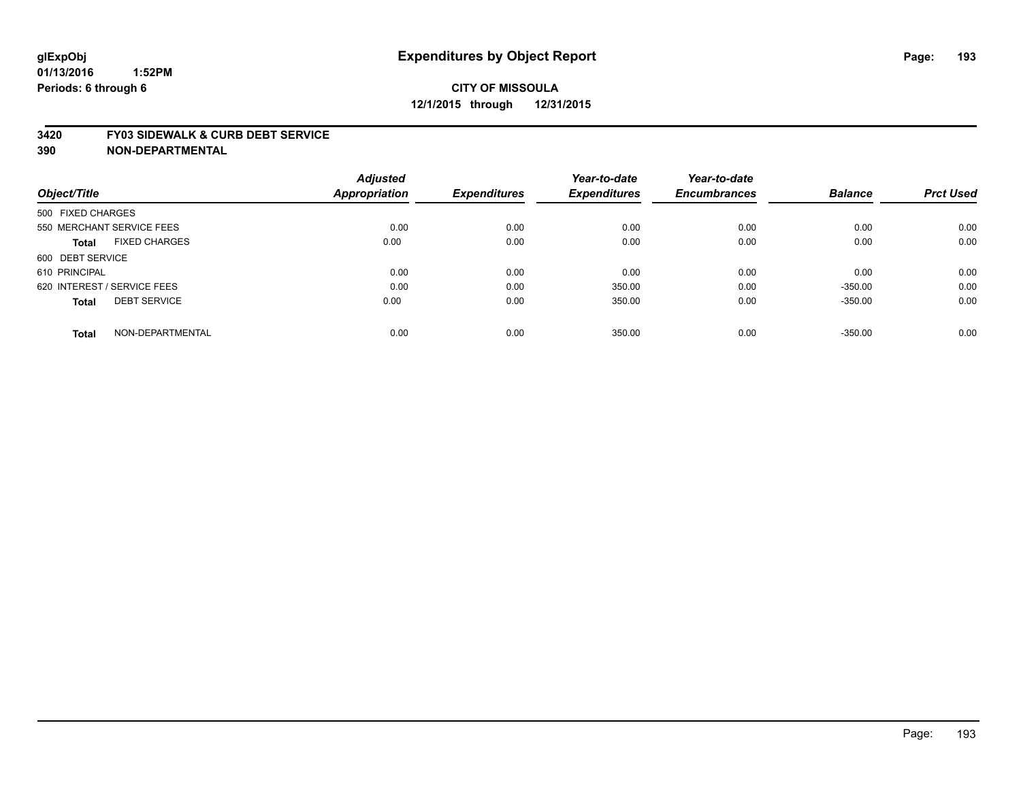#### **3420 FY03 SIDEWALK & CURB DEBT SERVICE**

|                                      | <b>Adjusted</b>      |                     | Year-to-date        | Year-to-date        |                |                  |
|--------------------------------------|----------------------|---------------------|---------------------|---------------------|----------------|------------------|
| Object/Title                         | <b>Appropriation</b> | <b>Expenditures</b> | <b>Expenditures</b> | <b>Encumbrances</b> | <b>Balance</b> | <b>Prct Used</b> |
| 500 FIXED CHARGES                    |                      |                     |                     |                     |                |                  |
| 550 MERCHANT SERVICE FEES            | 0.00                 | 0.00                | 0.00                | 0.00                | 0.00           | 0.00             |
| <b>FIXED CHARGES</b><br><b>Total</b> | 0.00                 | 0.00                | 0.00                | 0.00                | 0.00           | 0.00             |
| 600 DEBT SERVICE                     |                      |                     |                     |                     |                |                  |
| 610 PRINCIPAL                        | 0.00                 | 0.00                | 0.00                | 0.00                | 0.00           | 0.00             |
| 620 INTEREST / SERVICE FEES          | 0.00                 | 0.00                | 350.00              | 0.00                | $-350.00$      | 0.00             |
| <b>DEBT SERVICE</b><br><b>Total</b>  | 0.00                 | 0.00                | 350.00              | 0.00                | $-350.00$      | 0.00             |
| NON-DEPARTMENTAL<br><b>Total</b>     | 0.00                 | 0.00                | 350.00              | 0.00                | $-350.00$      | 0.00             |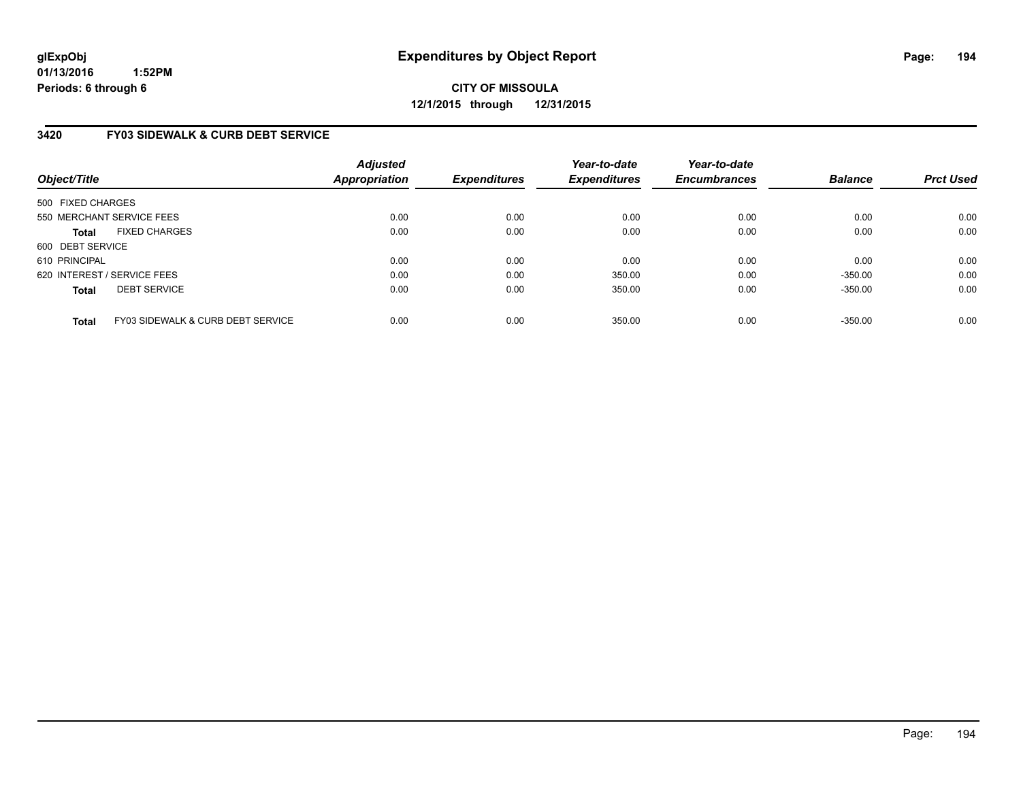**CITY OF MISSOULA 12/1/2015 through 12/31/2015**

### **3420 FY03 SIDEWALK & CURB DEBT SERVICE**

| Object/Title      |                                   | <b>Adjusted</b><br><b>Appropriation</b> | <b>Expenditures</b> | Year-to-date<br><b>Expenditures</b> | Year-to-date<br><b>Encumbrances</b> | <b>Balance</b> | <b>Prct Used</b> |
|-------------------|-----------------------------------|-----------------------------------------|---------------------|-------------------------------------|-------------------------------------|----------------|------------------|
| 500 FIXED CHARGES |                                   |                                         |                     |                                     |                                     |                |                  |
|                   | 550 MERCHANT SERVICE FEES         | 0.00                                    | 0.00                | 0.00                                | 0.00                                | 0.00           | 0.00             |
| <b>Total</b>      | <b>FIXED CHARGES</b>              | 0.00                                    | 0.00                | 0.00                                | 0.00                                | 0.00           | 0.00             |
| 600 DEBT SERVICE  |                                   |                                         |                     |                                     |                                     |                |                  |
| 610 PRINCIPAL     |                                   | 0.00                                    | 0.00                | 0.00                                | 0.00                                | 0.00           | 0.00             |
|                   | 620 INTEREST / SERVICE FEES       | 0.00                                    | 0.00                | 350.00                              | 0.00                                | $-350.00$      | 0.00             |
| <b>Total</b>      | <b>DEBT SERVICE</b>               | 0.00                                    | 0.00                | 350.00                              | 0.00                                | $-350.00$      | 0.00             |
| <b>Total</b>      | FY03 SIDEWALK & CURB DEBT SERVICE | 0.00                                    | 0.00                | 350.00                              | 0.00                                | $-350.00$      | 0.00             |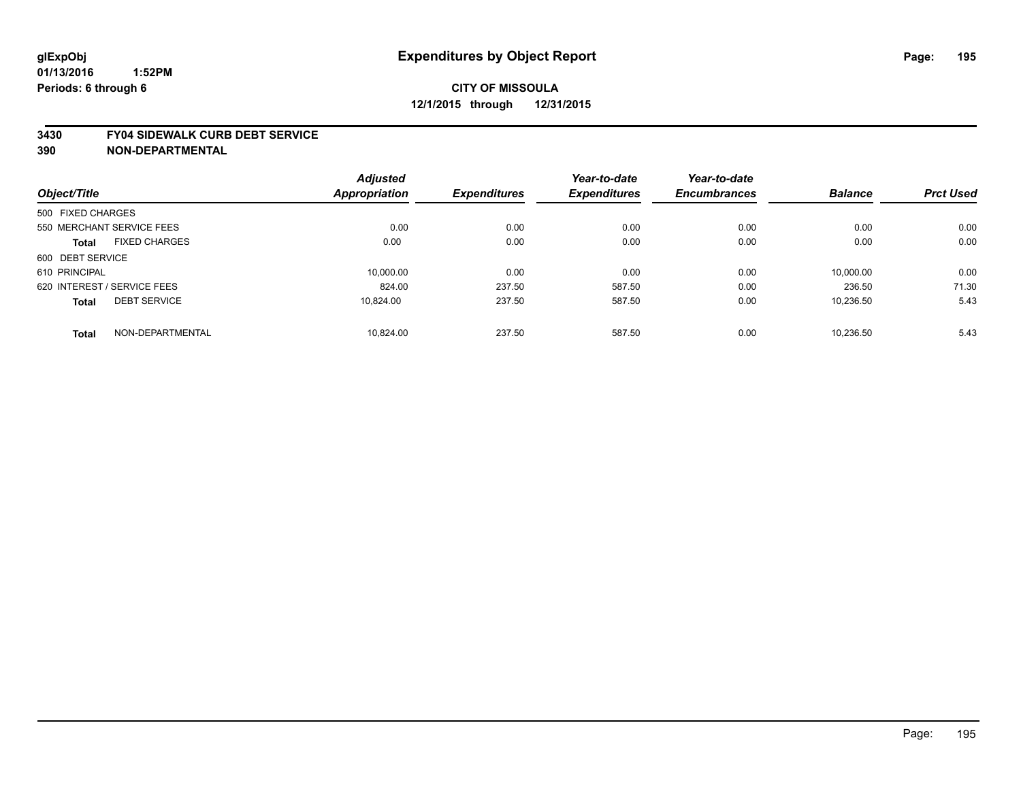# **CITY OF MISSOULA 12/1/2015 through 12/31/2015**

#### **3430 FY04 SIDEWALK CURB DEBT SERVICE**

|                             |                      | <b>Adjusted</b> |                     | Year-to-date        | Year-to-date        |                |                  |
|-----------------------------|----------------------|-----------------|---------------------|---------------------|---------------------|----------------|------------------|
| Object/Title                |                      | Appropriation   | <b>Expenditures</b> | <b>Expenditures</b> | <b>Encumbrances</b> | <b>Balance</b> | <b>Prct Used</b> |
| 500 FIXED CHARGES           |                      |                 |                     |                     |                     |                |                  |
| 550 MERCHANT SERVICE FEES   |                      | 0.00            | 0.00                | 0.00                | 0.00                | 0.00           | 0.00             |
| <b>Total</b>                | <b>FIXED CHARGES</b> | 0.00            | 0.00                | 0.00                | 0.00                | 0.00           | 0.00             |
| 600 DEBT SERVICE            |                      |                 |                     |                     |                     |                |                  |
| 610 PRINCIPAL               |                      | 10.000.00       | 0.00                | 0.00                | 0.00                | 10.000.00      | 0.00             |
| 620 INTEREST / SERVICE FEES |                      | 824.00          | 237.50              | 587.50              | 0.00                | 236.50         | 71.30            |
| <b>Total</b>                | <b>DEBT SERVICE</b>  | 10.824.00       | 237.50              | 587.50              | 0.00                | 10.236.50      | 5.43             |
| <b>Total</b>                | NON-DEPARTMENTAL     | 10.824.00       | 237.50              | 587.50              | 0.00                | 10.236.50      | 5.43             |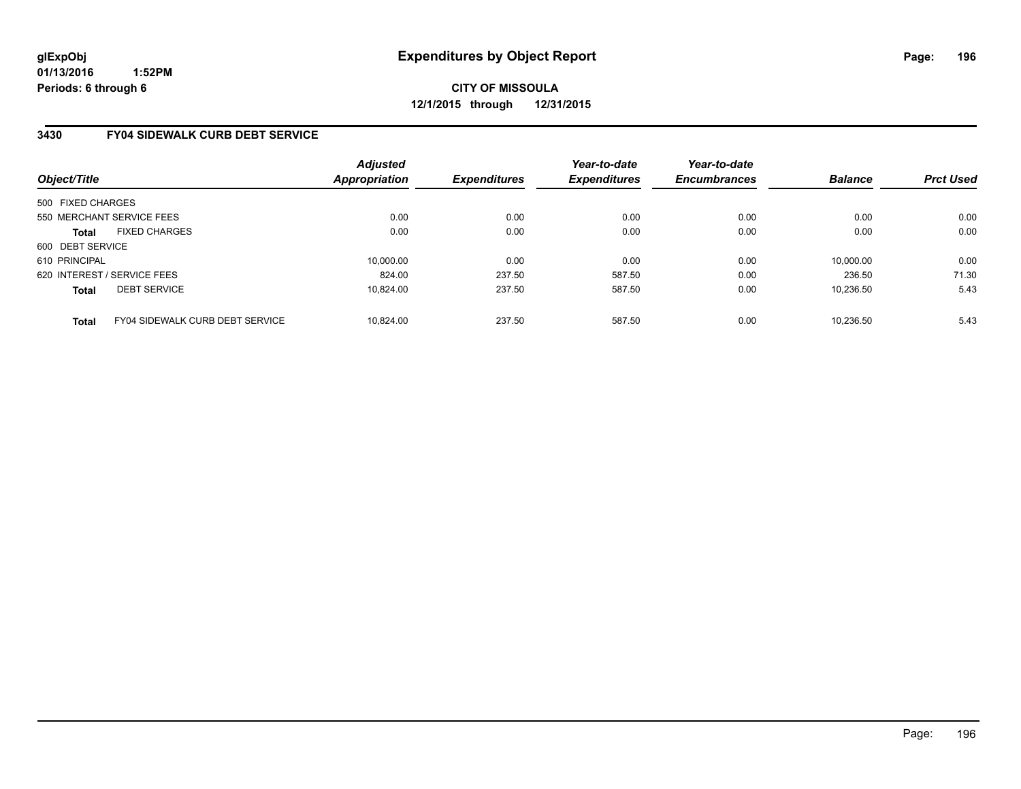**CITY OF MISSOULA 12/1/2015 through 12/31/2015**

### **3430 FY04 SIDEWALK CURB DEBT SERVICE**

| Object/Title                |                                 | <b>Adjusted</b><br><b>Appropriation</b> | <b>Expenditures</b> | Year-to-date<br><b>Expenditures</b> | Year-to-date<br><b>Encumbrances</b> | <b>Balance</b> | <b>Prct Used</b> |
|-----------------------------|---------------------------------|-----------------------------------------|---------------------|-------------------------------------|-------------------------------------|----------------|------------------|
| 500 FIXED CHARGES           |                                 |                                         |                     |                                     |                                     |                |                  |
| 550 MERCHANT SERVICE FEES   |                                 | 0.00                                    | 0.00                | 0.00                                | 0.00                                | 0.00           | 0.00             |
| <b>Total</b>                | <b>FIXED CHARGES</b>            | 0.00                                    | 0.00                | 0.00                                | 0.00                                | 0.00           | 0.00             |
| 600 DEBT SERVICE            |                                 |                                         |                     |                                     |                                     |                |                  |
| 610 PRINCIPAL               |                                 | 10.000.00                               | 0.00                | 0.00                                | 0.00                                | 10.000.00      | 0.00             |
| 620 INTEREST / SERVICE FEES |                                 | 824.00                                  | 237.50              | 587.50                              | 0.00                                | 236.50         | 71.30            |
| <b>Total</b>                | <b>DEBT SERVICE</b>             | 10.824.00                               | 237.50              | 587.50                              | 0.00                                | 10,236.50      | 5.43             |
| <b>Total</b>                | FY04 SIDEWALK CURB DEBT SERVICE | 10.824.00                               | 237.50              | 587.50                              | 0.00                                | 10.236.50      | 5.43             |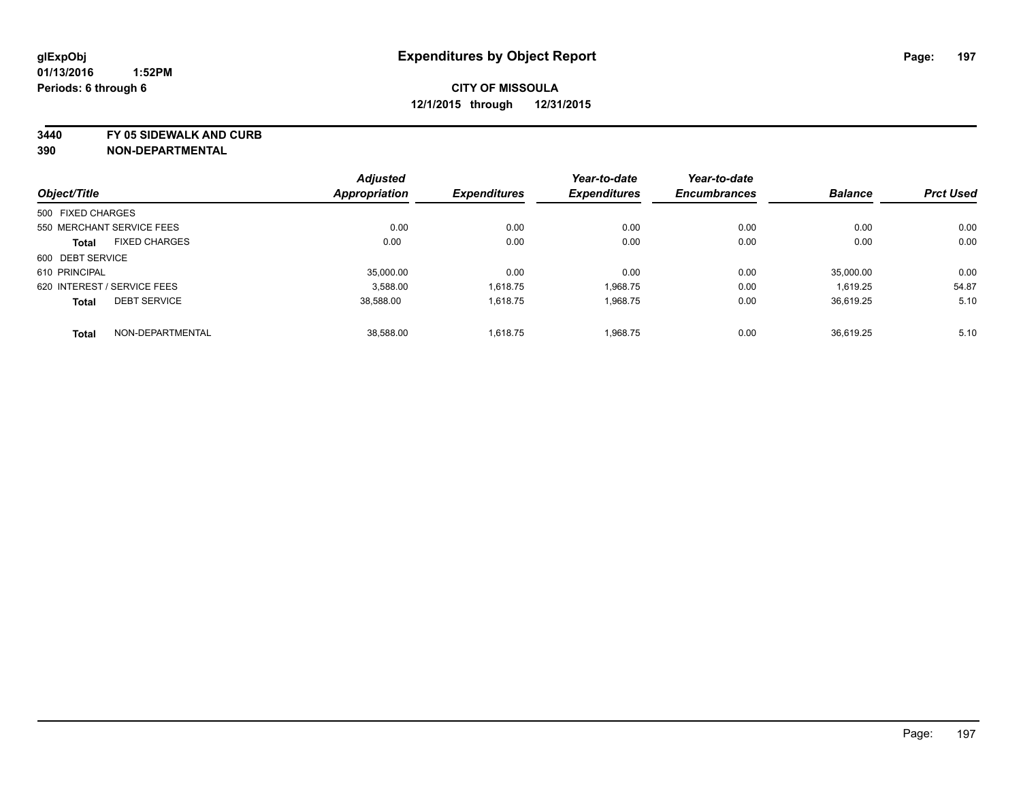**3440 FY 05 SIDEWALK AND CURB**

|                   |                             | <b>Adjusted</b>      |                     | Year-to-date        | Year-to-date        |                |                  |
|-------------------|-----------------------------|----------------------|---------------------|---------------------|---------------------|----------------|------------------|
| Object/Title      |                             | <b>Appropriation</b> | <b>Expenditures</b> | <b>Expenditures</b> | <b>Encumbrances</b> | <b>Balance</b> | <b>Prct Used</b> |
| 500 FIXED CHARGES |                             |                      |                     |                     |                     |                |                  |
|                   | 550 MERCHANT SERVICE FEES   | 0.00                 | 0.00                | 0.00                | 0.00                | 0.00           | 0.00             |
| <b>Total</b>      | <b>FIXED CHARGES</b>        | 0.00                 | 0.00                | 0.00                | 0.00                | 0.00           | 0.00             |
| 600 DEBT SERVICE  |                             |                      |                     |                     |                     |                |                  |
| 610 PRINCIPAL     |                             | 35.000.00            | 0.00                | 0.00                | 0.00                | 35.000.00      | 0.00             |
|                   | 620 INTEREST / SERVICE FEES | 3.588.00             | 1,618.75            | 1,968.75            | 0.00                | 1,619.25       | 54.87            |
| <b>Total</b>      | <b>DEBT SERVICE</b>         | 38.588.00            | 1.618.75            | 1,968.75            | 0.00                | 36.619.25      | 5.10             |
| <b>Total</b>      | NON-DEPARTMENTAL            | 38,588.00            | 1,618.75            | 1,968.75            | 0.00                | 36.619.25      | 5.10             |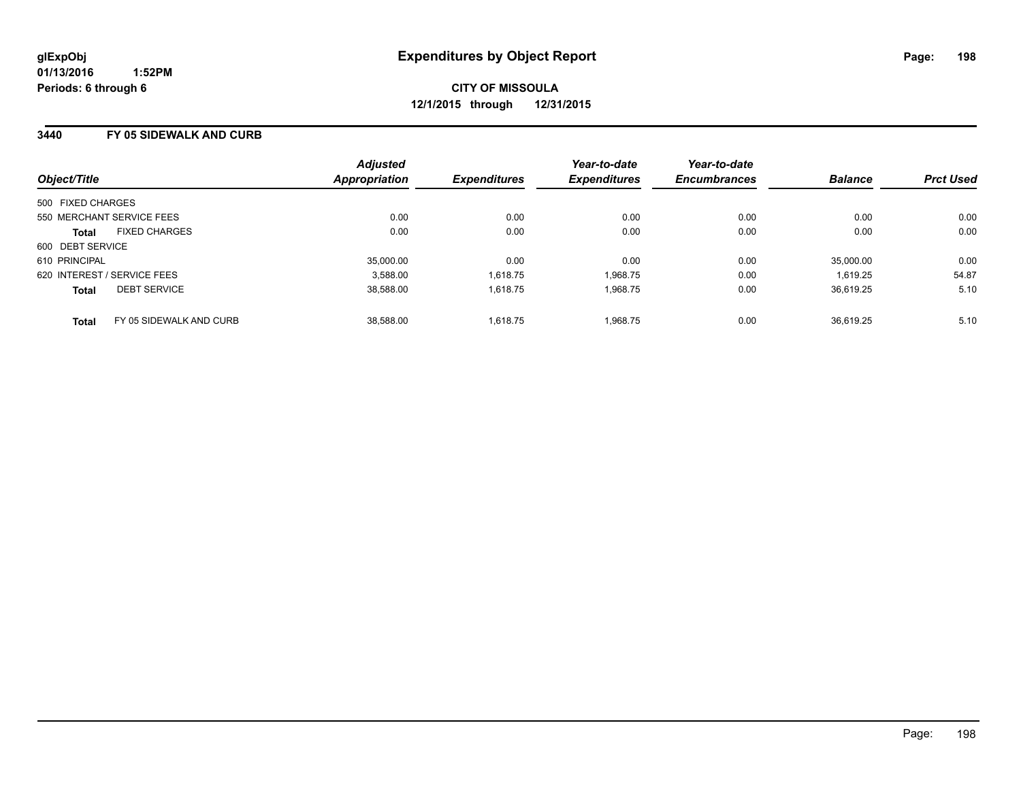#### **3440 FY 05 SIDEWALK AND CURB**

| Object/Title      |                             | <b>Adjusted</b><br><b>Appropriation</b> | <b>Expenditures</b> | Year-to-date<br><b>Expenditures</b> | Year-to-date<br><b>Encumbrances</b> | <b>Balance</b> | <b>Prct Used</b> |
|-------------------|-----------------------------|-----------------------------------------|---------------------|-------------------------------------|-------------------------------------|----------------|------------------|
| 500 FIXED CHARGES |                             |                                         |                     |                                     |                                     |                |                  |
|                   | 550 MERCHANT SERVICE FEES   | 0.00                                    | 0.00                | 0.00                                | 0.00                                | 0.00           | 0.00             |
| <b>Total</b>      | <b>FIXED CHARGES</b>        | 0.00                                    | 0.00                | 0.00                                | 0.00                                | 0.00           | 0.00             |
| 600 DEBT SERVICE  |                             |                                         |                     |                                     |                                     |                |                  |
| 610 PRINCIPAL     |                             | 35,000.00                               | 0.00                | 0.00                                | 0.00                                | 35,000.00      | 0.00             |
|                   | 620 INTEREST / SERVICE FEES | 3,588.00                                | 1,618.75            | 1.968.75                            | 0.00                                | 1.619.25       | 54.87            |
| <b>Total</b>      | <b>DEBT SERVICE</b>         | 38,588.00                               | 1,618.75            | 1.968.75                            | 0.00                                | 36,619.25      | 5.10             |
| <b>Total</b>      | FY 05 SIDEWALK AND CURB     | 38,588.00                               | 1.618.75            | 1.968.75                            | 0.00                                | 36.619.25      | 5.10             |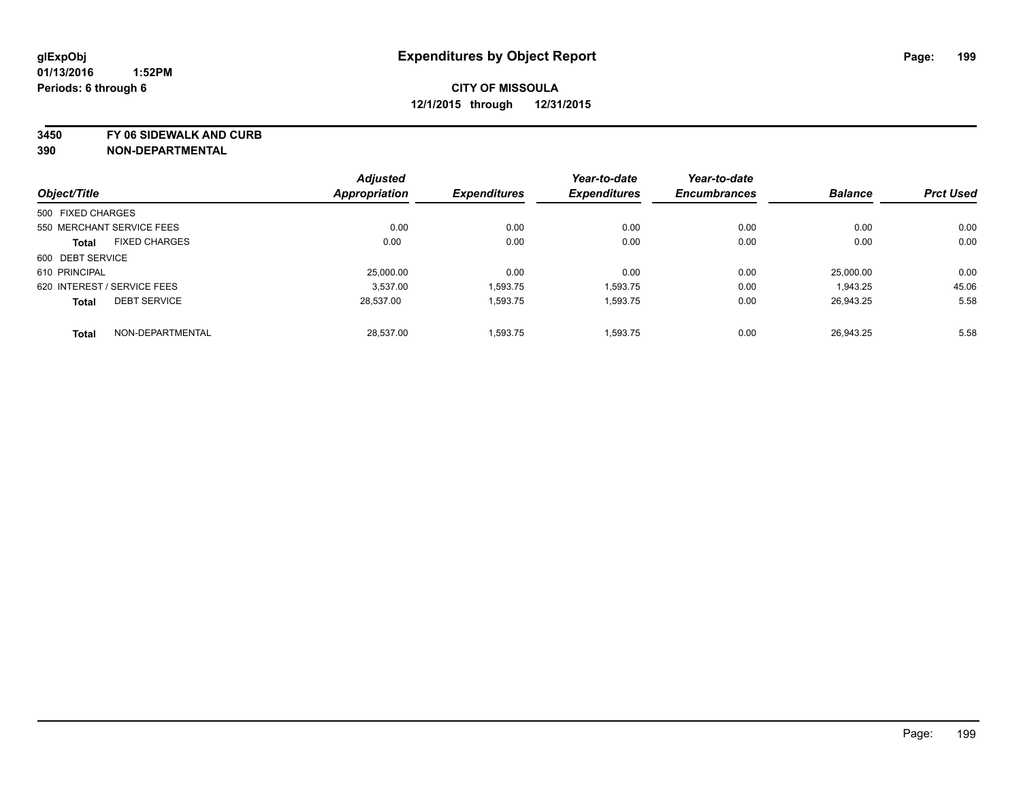**3450 FY 06 SIDEWALK AND CURB**

|                   |                             | <b>Adjusted</b>      |                     | Year-to-date        | Year-to-date        |                |                  |
|-------------------|-----------------------------|----------------------|---------------------|---------------------|---------------------|----------------|------------------|
| Object/Title      |                             | <b>Appropriation</b> | <b>Expenditures</b> | <b>Expenditures</b> | <b>Encumbrances</b> | <b>Balance</b> | <b>Prct Used</b> |
| 500 FIXED CHARGES |                             |                      |                     |                     |                     |                |                  |
|                   | 550 MERCHANT SERVICE FEES   | 0.00                 | 0.00                | 0.00                | 0.00                | 0.00           | 0.00             |
| <b>Total</b>      | <b>FIXED CHARGES</b>        | 0.00                 | 0.00                | 0.00                | 0.00                | 0.00           | 0.00             |
| 600 DEBT SERVICE  |                             |                      |                     |                     |                     |                |                  |
| 610 PRINCIPAL     |                             | 25,000.00            | 0.00                | 0.00                | 0.00                | 25.000.00      | 0.00             |
|                   | 620 INTEREST / SERVICE FEES | 3.537.00             | 1,593.75            | 1,593.75            | 0.00                | 1,943.25       | 45.06            |
| <b>Total</b>      | <b>DEBT SERVICE</b>         | 28.537.00            | 1,593.75            | 1,593.75            | 0.00                | 26.943.25      | 5.58             |
| <b>Total</b>      | NON-DEPARTMENTAL            | 28,537.00            | 1,593.75            | 1,593.75            | 0.00                | 26.943.25      | 5.58             |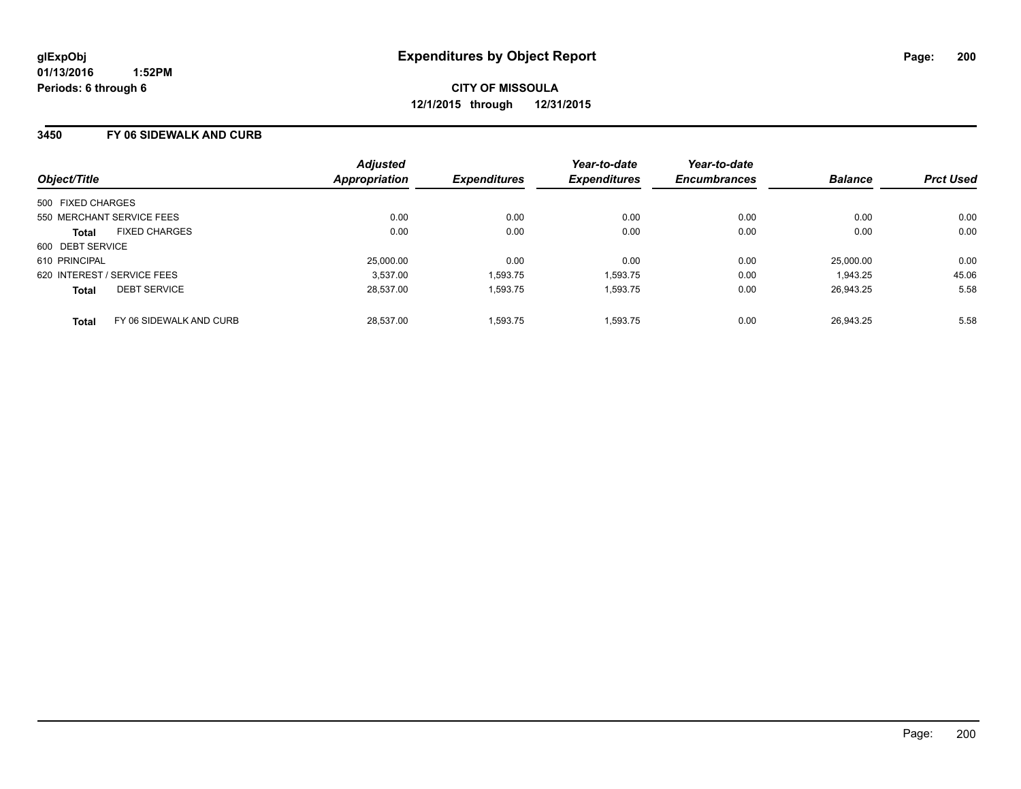#### **3450 FY 06 SIDEWALK AND CURB**

| Object/Title                            | <b>Adjusted</b><br><b>Appropriation</b> | <b>Expenditures</b> | Year-to-date<br><b>Expenditures</b> | Year-to-date<br><b>Encumbrances</b> | <b>Balance</b> | <b>Prct Used</b> |
|-----------------------------------------|-----------------------------------------|---------------------|-------------------------------------|-------------------------------------|----------------|------------------|
| 500 FIXED CHARGES                       |                                         |                     |                                     |                                     |                |                  |
| 550 MERCHANT SERVICE FEES               | 0.00                                    | 0.00                | 0.00                                | 0.00                                | 0.00           | 0.00             |
| <b>FIXED CHARGES</b><br><b>Total</b>    | 0.00                                    | 0.00                | 0.00                                | 0.00                                | 0.00           | 0.00             |
| 600 DEBT SERVICE                        |                                         |                     |                                     |                                     |                |                  |
| 610 PRINCIPAL                           | 25,000.00                               | 0.00                | 0.00                                | 0.00                                | 25.000.00      | 0.00             |
| 620 INTEREST / SERVICE FEES             | 3.537.00                                | 1,593.75            | 1,593.75                            | 0.00                                | 1,943.25       | 45.06            |
| <b>DEBT SERVICE</b><br><b>Total</b>     | 28.537.00                               | 1,593.75            | 1,593.75                            | 0.00                                | 26,943.25      | 5.58             |
| FY 06 SIDEWALK AND CURB<br><b>Total</b> | 28.537.00                               | 1.593.75            | 1.593.75                            | 0.00                                | 26.943.25      | 5.58             |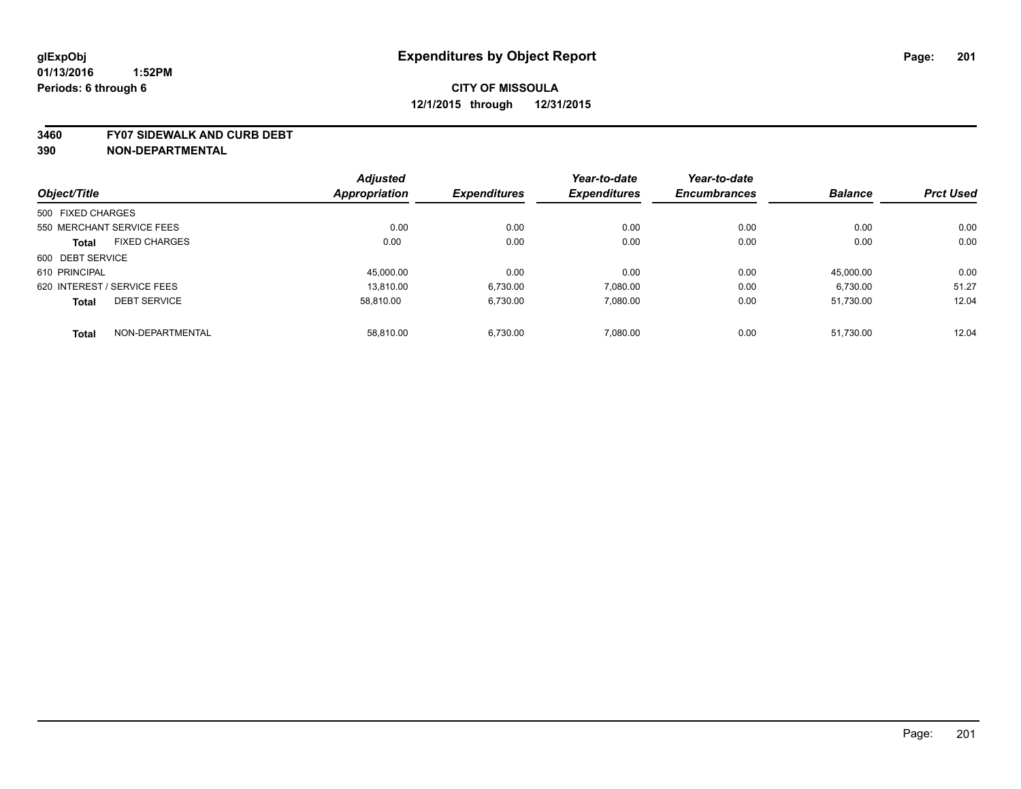#### **3460 FY07 SIDEWALK AND CURB DEBT**

|                   |                             | <b>Adjusted</b> |                     | Year-to-date        | Year-to-date        |                |                  |
|-------------------|-----------------------------|-----------------|---------------------|---------------------|---------------------|----------------|------------------|
| Object/Title      |                             | Appropriation   | <b>Expenditures</b> | <b>Expenditures</b> | <b>Encumbrances</b> | <b>Balance</b> | <b>Prct Used</b> |
| 500 FIXED CHARGES |                             |                 |                     |                     |                     |                |                  |
|                   | 550 MERCHANT SERVICE FEES   | 0.00            | 0.00                | 0.00                | 0.00                | 0.00           | 0.00             |
| <b>Total</b>      | <b>FIXED CHARGES</b>        | 0.00            | 0.00                | 0.00                | 0.00                | 0.00           | 0.00             |
| 600 DEBT SERVICE  |                             |                 |                     |                     |                     |                |                  |
| 610 PRINCIPAL     |                             | 45.000.00       | 0.00                | 0.00                | 0.00                | 45.000.00      | 0.00             |
|                   | 620 INTEREST / SERVICE FEES | 13.810.00       | 6,730.00            | 7.080.00            | 0.00                | 6,730.00       | 51.27            |
| <b>Total</b>      | <b>DEBT SERVICE</b>         | 58.810.00       | 6,730.00            | 7,080.00            | 0.00                | 51,730.00      | 12.04            |
| <b>Total</b>      | NON-DEPARTMENTAL            | 58.810.00       | 6.730.00            | 7.080.00            | 0.00                | 51.730.00      | 12.04            |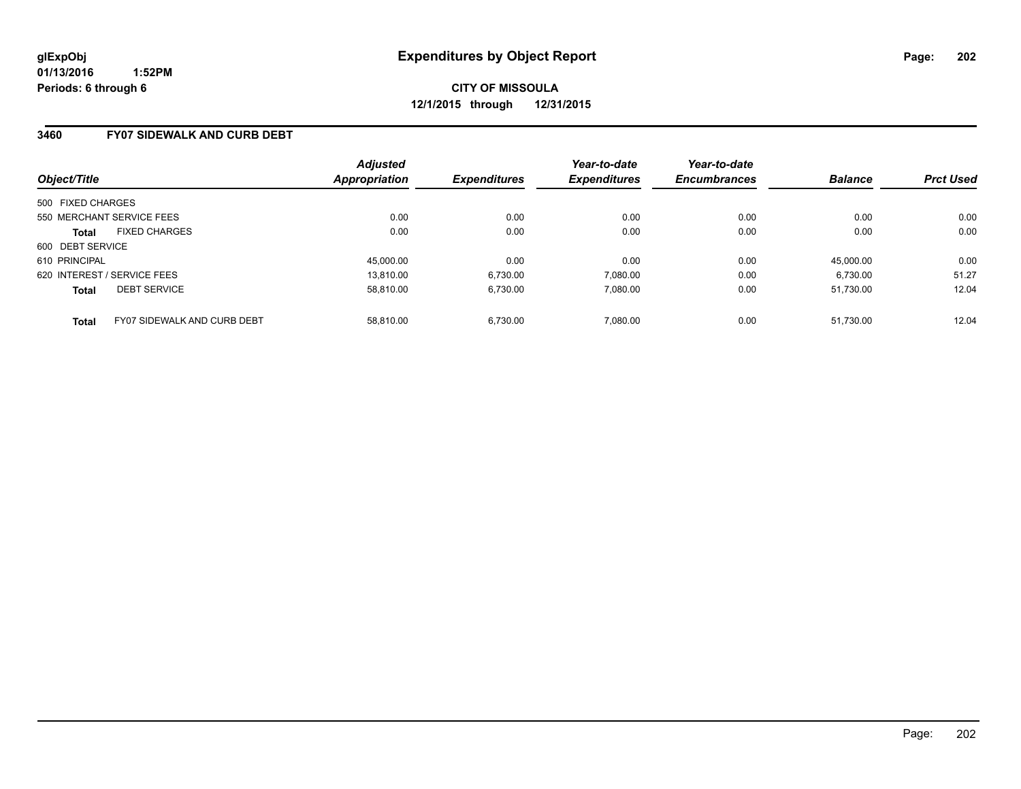#### **3460 FY07 SIDEWALK AND CURB DEBT**

| Object/Title                                | <b>Adjusted</b><br>Appropriation | <b>Expenditures</b> | Year-to-date<br><b>Expenditures</b> | Year-to-date<br><b>Encumbrances</b> | <b>Balance</b> | <b>Prct Used</b> |
|---------------------------------------------|----------------------------------|---------------------|-------------------------------------|-------------------------------------|----------------|------------------|
| 500 FIXED CHARGES                           |                                  |                     |                                     |                                     |                |                  |
| 550 MERCHANT SERVICE FEES                   | 0.00                             | 0.00                | 0.00                                | 0.00                                | 0.00           | 0.00             |
| <b>FIXED CHARGES</b><br><b>Total</b>        | 0.00                             | 0.00                | 0.00                                | 0.00                                | 0.00           | 0.00             |
| 600 DEBT SERVICE                            |                                  |                     |                                     |                                     |                |                  |
| 610 PRINCIPAL                               | 45,000.00                        | 0.00                | 0.00                                | 0.00                                | 45.000.00      | 0.00             |
| 620 INTEREST / SERVICE FEES                 | 13.810.00                        | 6,730.00            | 7,080.00                            | 0.00                                | 6,730.00       | 51.27            |
| <b>DEBT SERVICE</b><br><b>Total</b>         | 58.810.00                        | 6.730.00            | 7.080.00                            | 0.00                                | 51.730.00      | 12.04            |
| FY07 SIDEWALK AND CURB DEBT<br><b>Total</b> | 58.810.00                        | 6.730.00            | 7.080.00                            | 0.00                                | 51.730.00      | 12.04            |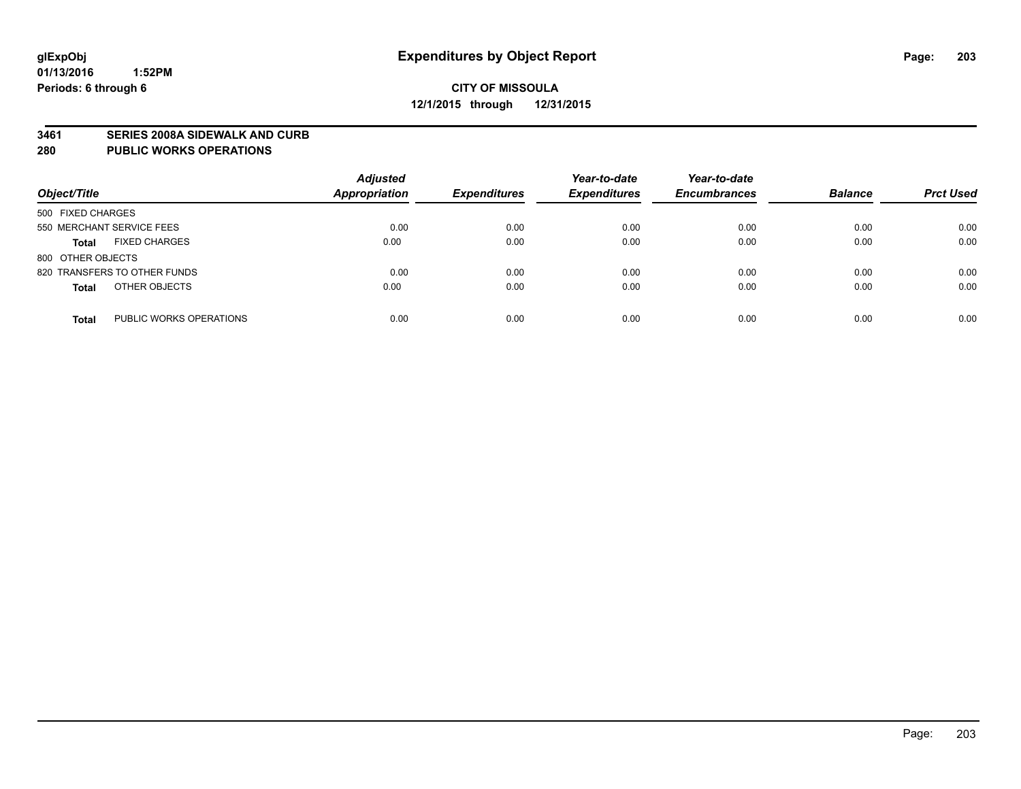#### **3461 SERIES 2008A SIDEWALK AND CURB**

#### **280 PUBLIC WORKS OPERATIONS**

| Object/Title                            | <b>Adjusted</b><br>Appropriation | <b>Expenditures</b> | Year-to-date<br><b>Expenditures</b> | Year-to-date<br><b>Encumbrances</b> | <b>Balance</b> | <b>Prct Used</b> |
|-----------------------------------------|----------------------------------|---------------------|-------------------------------------|-------------------------------------|----------------|------------------|
| 500 FIXED CHARGES                       |                                  |                     |                                     |                                     |                |                  |
| 550 MERCHANT SERVICE FEES               | 0.00                             | 0.00                | 0.00                                | 0.00                                | 0.00           | 0.00             |
| <b>FIXED CHARGES</b><br><b>Total</b>    | 0.00                             | 0.00                | 0.00                                | 0.00                                | 0.00           | 0.00             |
| 800 OTHER OBJECTS                       |                                  |                     |                                     |                                     |                |                  |
| 820 TRANSFERS TO OTHER FUNDS            | 0.00                             | 0.00                | 0.00                                | 0.00                                | 0.00           | 0.00             |
| OTHER OBJECTS<br><b>Total</b>           | 0.00                             | 0.00                | 0.00                                | 0.00                                | 0.00           | 0.00             |
| PUBLIC WORKS OPERATIONS<br><b>Total</b> | 0.00                             | 0.00                | 0.00                                | 0.00                                | 0.00           | 0.00             |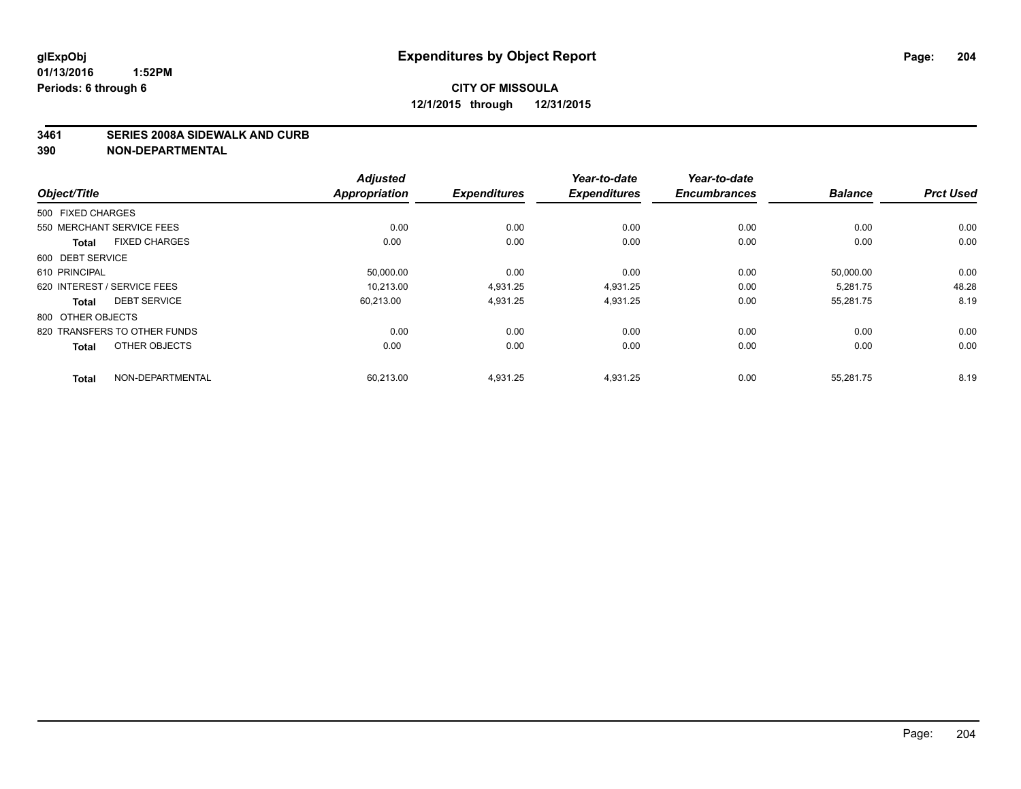#### **3461 SERIES 2008A SIDEWALK AND CURB**

|                                      | <b>Adjusted</b>      |                     | Year-to-date        | Year-to-date        |                |                  |
|--------------------------------------|----------------------|---------------------|---------------------|---------------------|----------------|------------------|
| Object/Title                         | <b>Appropriation</b> | <b>Expenditures</b> | <b>Expenditures</b> | <b>Encumbrances</b> | <b>Balance</b> | <b>Prct Used</b> |
| 500 FIXED CHARGES                    |                      |                     |                     |                     |                |                  |
| 550 MERCHANT SERVICE FEES            | 0.00                 | 0.00                | 0.00                | 0.00                | 0.00           | 0.00             |
| <b>FIXED CHARGES</b><br><b>Total</b> | 0.00                 | 0.00                | 0.00                | 0.00                | 0.00           | 0.00             |
| 600 DEBT SERVICE                     |                      |                     |                     |                     |                |                  |
| 610 PRINCIPAL                        | 50,000.00            | 0.00                | 0.00                | 0.00                | 50,000.00      | 0.00             |
| 620 INTEREST / SERVICE FEES          | 10.213.00            | 4,931.25            | 4,931.25            | 0.00                | 5.281.75       | 48.28            |
| <b>DEBT SERVICE</b><br><b>Total</b>  | 60.213.00            | 4,931.25            | 4,931.25            | 0.00                | 55,281.75      | 8.19             |
| 800 OTHER OBJECTS                    |                      |                     |                     |                     |                |                  |
| 820 TRANSFERS TO OTHER FUNDS         | 0.00                 | 0.00                | 0.00                | 0.00                | 0.00           | 0.00             |
| OTHER OBJECTS<br><b>Total</b>        | 0.00                 | 0.00                | 0.00                | 0.00                | 0.00           | 0.00             |
| NON-DEPARTMENTAL<br><b>Total</b>     | 60,213.00            | 4,931.25            | 4,931.25            | 0.00                | 55,281.75      | 8.19             |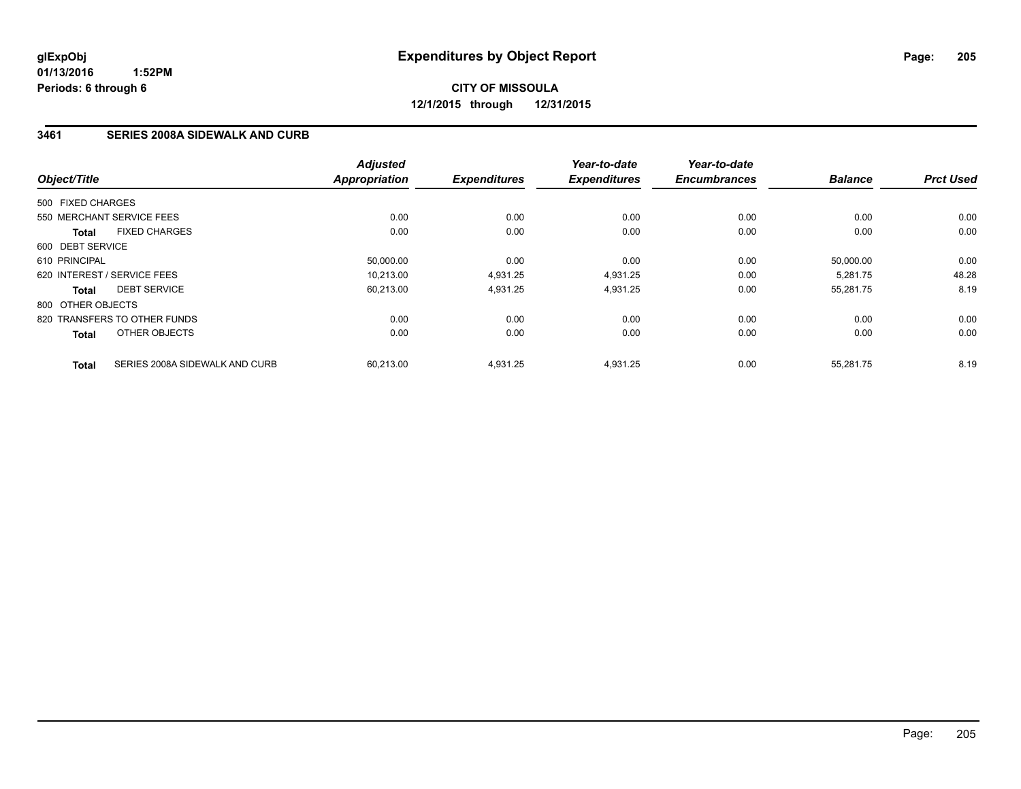# **CITY OF MISSOULA 12/1/2015 through 12/31/2015**

### **3461 SERIES 2008A SIDEWALK AND CURB**

| Object/Title                |                                | <b>Adjusted</b><br><b>Appropriation</b> | <b>Expenditures</b> | Year-to-date<br><b>Expenditures</b> | Year-to-date<br><b>Encumbrances</b> | <b>Balance</b> | <b>Prct Used</b> |
|-----------------------------|--------------------------------|-----------------------------------------|---------------------|-------------------------------------|-------------------------------------|----------------|------------------|
| 500 FIXED CHARGES           |                                |                                         |                     |                                     |                                     |                |                  |
| 550 MERCHANT SERVICE FEES   |                                | 0.00                                    | 0.00                | 0.00                                | 0.00                                | 0.00           | 0.00             |
| <b>Total</b>                | <b>FIXED CHARGES</b>           | 0.00                                    | 0.00                | 0.00                                | 0.00                                | 0.00           | 0.00             |
| 600 DEBT SERVICE            |                                |                                         |                     |                                     |                                     |                |                  |
| 610 PRINCIPAL               |                                | 50.000.00                               | 0.00                | 0.00                                | 0.00                                | 50.000.00      | 0.00             |
| 620 INTEREST / SERVICE FEES |                                | 10,213.00                               | 4,931.25            | 4,931.25                            | 0.00                                | 5,281.75       | 48.28            |
| <b>Total</b>                | <b>DEBT SERVICE</b>            | 60,213.00                               | 4,931.25            | 4,931.25                            | 0.00                                | 55,281.75      | 8.19             |
| 800 OTHER OBJECTS           |                                |                                         |                     |                                     |                                     |                |                  |
|                             | 820 TRANSFERS TO OTHER FUNDS   | 0.00                                    | 0.00                | 0.00                                | 0.00                                | 0.00           | 0.00             |
| <b>Total</b>                | OTHER OBJECTS                  | 0.00                                    | 0.00                | 0.00                                | 0.00                                | 0.00           | 0.00             |
| <b>Total</b>                | SERIES 2008A SIDEWALK AND CURB | 60.213.00                               | 4,931.25            | 4,931.25                            | 0.00                                | 55.281.75      | 8.19             |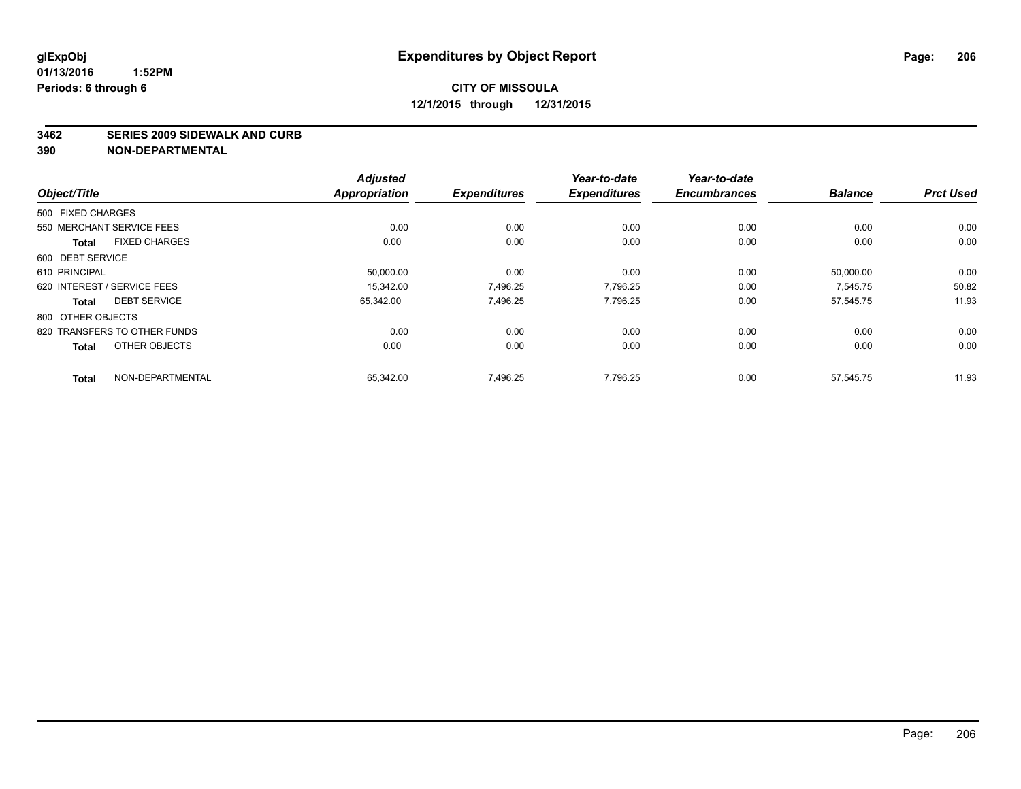#### **3462 SERIES 2009 SIDEWALK AND CURB**

|                                      | <b>Adjusted</b>      |                     | Year-to-date        | Year-to-date        |                |                  |
|--------------------------------------|----------------------|---------------------|---------------------|---------------------|----------------|------------------|
| Object/Title                         | <b>Appropriation</b> | <b>Expenditures</b> | <b>Expenditures</b> | <b>Encumbrances</b> | <b>Balance</b> | <b>Prct Used</b> |
| 500 FIXED CHARGES                    |                      |                     |                     |                     |                |                  |
| 550 MERCHANT SERVICE FEES            | 0.00                 | 0.00                | 0.00                | 0.00                | 0.00           | 0.00             |
| <b>FIXED CHARGES</b><br><b>Total</b> | 0.00                 | 0.00                | 0.00                | 0.00                | 0.00           | 0.00             |
| 600 DEBT SERVICE                     |                      |                     |                     |                     |                |                  |
| 610 PRINCIPAL                        | 50,000.00            | 0.00                | 0.00                | 0.00                | 50,000.00      | 0.00             |
| 620 INTEREST / SERVICE FEES          | 15.342.00            | 7,496.25            | 7.796.25            | 0.00                | 7.545.75       | 50.82            |
| <b>DEBT SERVICE</b><br><b>Total</b>  | 65,342.00            | 7,496.25            | 7,796.25            | 0.00                | 57,545.75      | 11.93            |
| 800 OTHER OBJECTS                    |                      |                     |                     |                     |                |                  |
| 820 TRANSFERS TO OTHER FUNDS         | 0.00                 | 0.00                | 0.00                | 0.00                | 0.00           | 0.00             |
| OTHER OBJECTS<br><b>Total</b>        | 0.00                 | 0.00                | 0.00                | 0.00                | 0.00           | 0.00             |
| NON-DEPARTMENTAL<br><b>Total</b>     | 65,342.00            | 7,496.25            | 7,796.25            | 0.00                | 57,545.75      | 11.93            |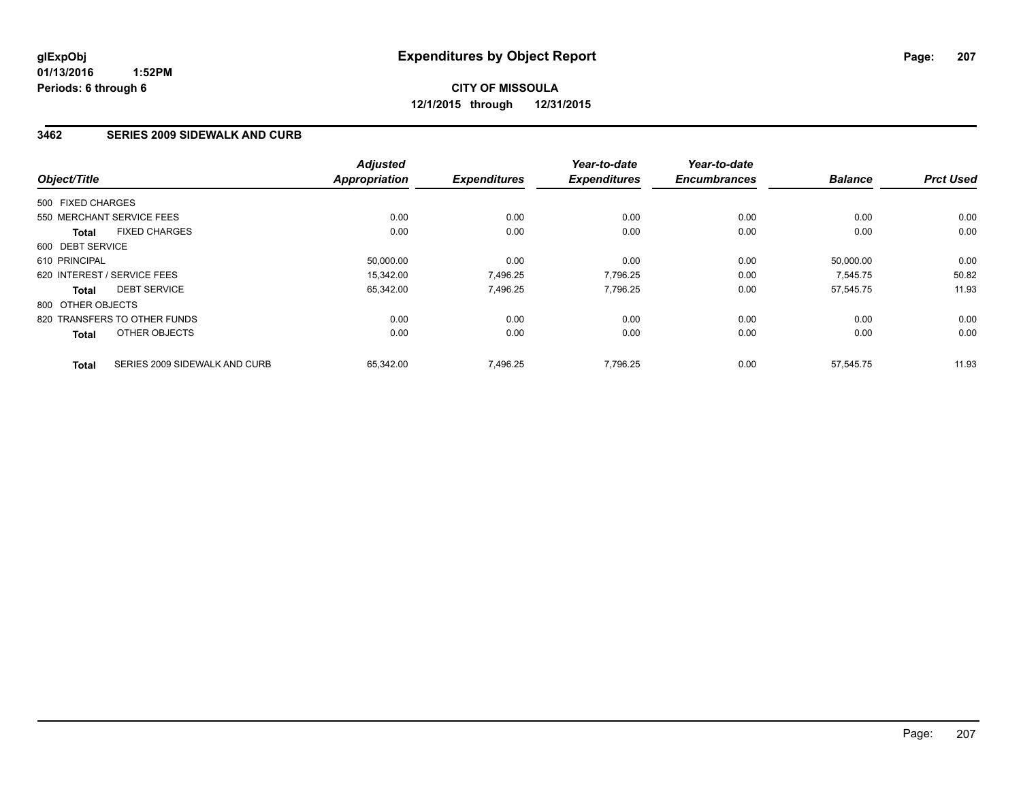### **3462 SERIES 2009 SIDEWALK AND CURB**

| Object/Title                 |                               | <b>Adjusted</b><br><b>Appropriation</b> | <b>Expenditures</b> | Year-to-date<br><b>Expenditures</b> | Year-to-date<br><b>Encumbrances</b> | <b>Balance</b> | <b>Prct Used</b> |
|------------------------------|-------------------------------|-----------------------------------------|---------------------|-------------------------------------|-------------------------------------|----------------|------------------|
| 500 FIXED CHARGES            |                               |                                         |                     |                                     |                                     |                |                  |
| 550 MERCHANT SERVICE FEES    |                               | 0.00                                    | 0.00                | 0.00                                | 0.00                                | 0.00           | 0.00             |
| <b>Total</b>                 | <b>FIXED CHARGES</b>          | 0.00                                    | 0.00                | 0.00                                | 0.00                                | 0.00           | 0.00             |
| 600 DEBT SERVICE             |                               |                                         |                     |                                     |                                     |                |                  |
| 610 PRINCIPAL                |                               | 50,000.00                               | 0.00                | 0.00                                | 0.00                                | 50.000.00      | 0.00             |
| 620 INTEREST / SERVICE FEES  |                               | 15,342.00                               | 7,496.25            | 7,796.25                            | 0.00                                | 7,545.75       | 50.82            |
| <b>Total</b>                 | <b>DEBT SERVICE</b>           | 65,342.00                               | 7,496.25            | 7,796.25                            | 0.00                                | 57,545.75      | 11.93            |
| 800 OTHER OBJECTS            |                               |                                         |                     |                                     |                                     |                |                  |
| 820 TRANSFERS TO OTHER FUNDS |                               | 0.00                                    | 0.00                | 0.00                                | 0.00                                | 0.00           | 0.00             |
| <b>Total</b>                 | OTHER OBJECTS                 | 0.00                                    | 0.00                | 0.00                                | 0.00                                | 0.00           | 0.00             |
| <b>Total</b>                 | SERIES 2009 SIDEWALK AND CURB | 65.342.00                               | 7.496.25            | 7.796.25                            | 0.00                                | 57.545.75      | 11.93            |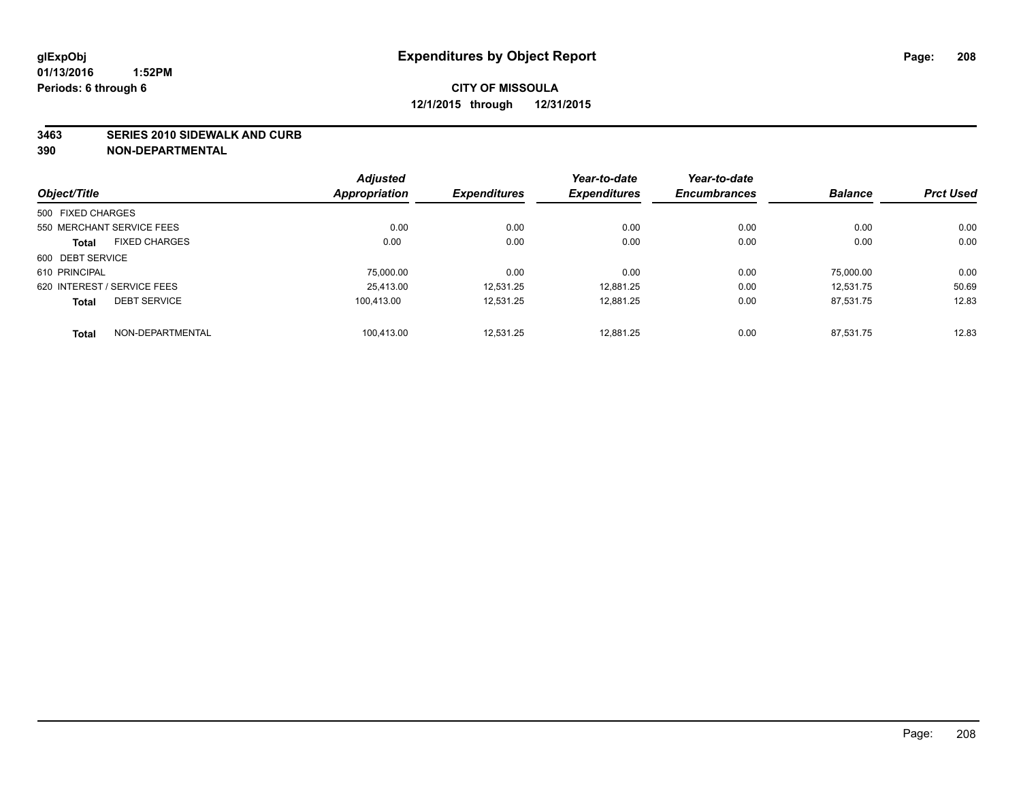#### **3463 SERIES 2010 SIDEWALK AND CURB**

|                             |                      | <b>Adjusted</b> |                     | Year-to-date        | Year-to-date        |                |                  |
|-----------------------------|----------------------|-----------------|---------------------|---------------------|---------------------|----------------|------------------|
| Object/Title                |                      | Appropriation   | <b>Expenditures</b> | <b>Expenditures</b> | <b>Encumbrances</b> | <b>Balance</b> | <b>Prct Used</b> |
| 500 FIXED CHARGES           |                      |                 |                     |                     |                     |                |                  |
| 550 MERCHANT SERVICE FEES   |                      | 0.00            | 0.00                | 0.00                | 0.00                | 0.00           | 0.00             |
| <b>Total</b>                | <b>FIXED CHARGES</b> | 0.00            | 0.00                | 0.00                | 0.00                | 0.00           | 0.00             |
| 600 DEBT SERVICE            |                      |                 |                     |                     |                     |                |                  |
| 610 PRINCIPAL               |                      | 75,000.00       | 0.00                | 0.00                | 0.00                | 75.000.00      | 0.00             |
| 620 INTEREST / SERVICE FEES |                      | 25.413.00       | 12.531.25           | 12,881.25           | 0.00                | 12.531.75      | 50.69            |
| <b>Total</b>                | <b>DEBT SERVICE</b>  | 100.413.00      | 12.531.25           | 12.881.25           | 0.00                | 87.531.75      | 12.83            |
| <b>Total</b>                | NON-DEPARTMENTAL     | 100.413.00      | 12.531.25           | 12.881.25           | 0.00                | 87.531.75      | 12.83            |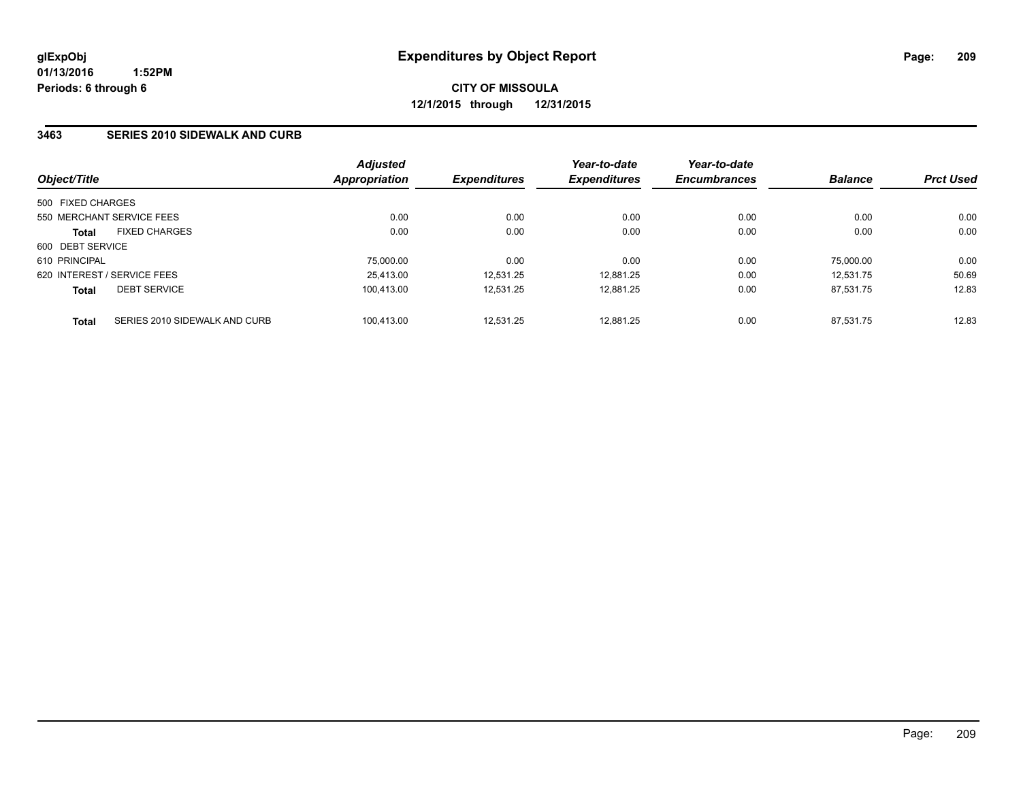#### **3463 SERIES 2010 SIDEWALK AND CURB**

| Object/Title      |                               | <b>Adjusted</b><br><b>Appropriation</b> | <b>Expenditures</b> | Year-to-date<br><b>Expenditures</b> | Year-to-date<br><b>Encumbrances</b> | <b>Balance</b> | <b>Prct Used</b> |
|-------------------|-------------------------------|-----------------------------------------|---------------------|-------------------------------------|-------------------------------------|----------------|------------------|
| 500 FIXED CHARGES |                               |                                         |                     |                                     |                                     |                |                  |
|                   | 550 MERCHANT SERVICE FEES     | 0.00                                    | 0.00                | 0.00                                | 0.00                                | 0.00           | 0.00             |
| <b>Total</b>      | <b>FIXED CHARGES</b>          | 0.00                                    | 0.00                | 0.00                                | 0.00                                | 0.00           | 0.00             |
| 600 DEBT SERVICE  |                               |                                         |                     |                                     |                                     |                |                  |
| 610 PRINCIPAL     |                               | 75,000.00                               | 0.00                | 0.00                                | 0.00                                | 75,000.00      | 0.00             |
|                   | 620 INTEREST / SERVICE FEES   | 25.413.00                               | 12.531.25           | 12.881.25                           | 0.00                                | 12.531.75      | 50.69            |
| <b>Total</b>      | <b>DEBT SERVICE</b>           | 100.413.00                              | 12.531.25           | 12.881.25                           | 0.00                                | 87.531.75      | 12.83            |
| Total             | SERIES 2010 SIDEWALK AND CURB | 100.413.00                              | 12.531.25           | 12.881.25                           | 0.00                                | 87.531.75      | 12.83            |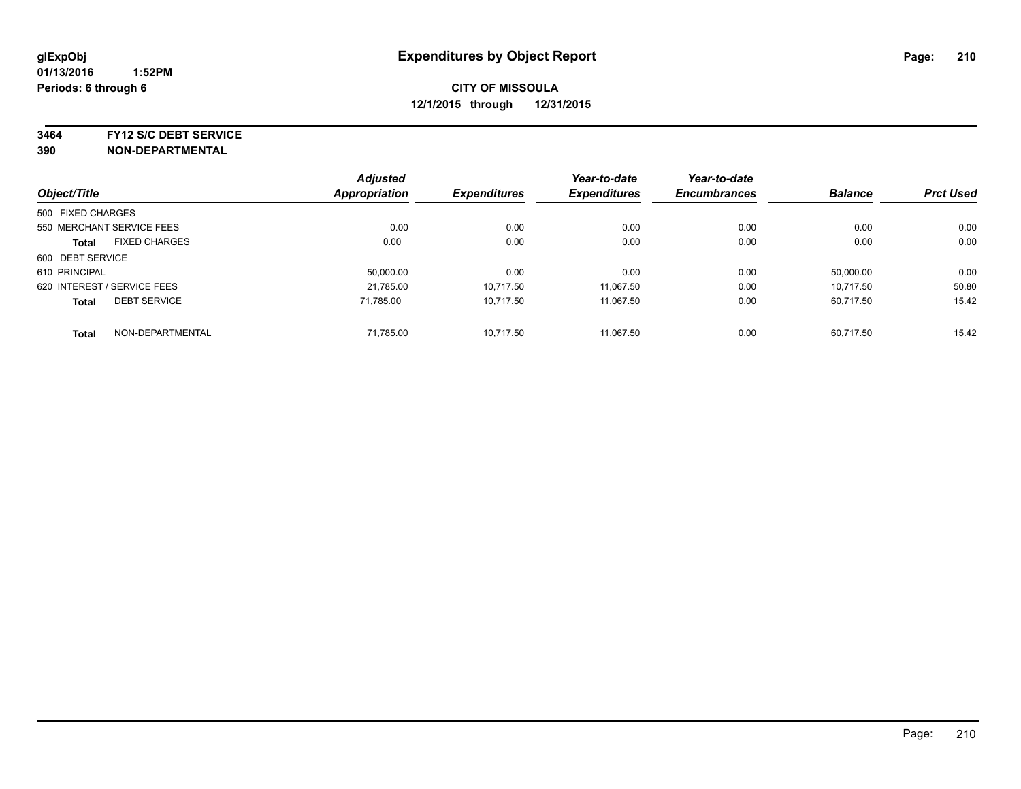**3464 FY12 S/C DEBT SERVICE**

|                   |                             | <b>Adjusted</b> |                     | Year-to-date        | Year-to-date        |                |                  |
|-------------------|-----------------------------|-----------------|---------------------|---------------------|---------------------|----------------|------------------|
| Object/Title      |                             | Appropriation   | <b>Expenditures</b> | <b>Expenditures</b> | <b>Encumbrances</b> | <b>Balance</b> | <b>Prct Used</b> |
| 500 FIXED CHARGES |                             |                 |                     |                     |                     |                |                  |
|                   | 550 MERCHANT SERVICE FEES   | 0.00            | 0.00                | 0.00                | 0.00                | 0.00           | 0.00             |
| <b>Total</b>      | <b>FIXED CHARGES</b>        | 0.00            | 0.00                | 0.00                | 0.00                | 0.00           | 0.00             |
| 600 DEBT SERVICE  |                             |                 |                     |                     |                     |                |                  |
| 610 PRINCIPAL     |                             | 50.000.00       | 0.00                | 0.00                | 0.00                | 50.000.00      | 0.00             |
|                   | 620 INTEREST / SERVICE FEES | 21.785.00       | 10,717.50           | 11.067.50           | 0.00                | 10.717.50      | 50.80            |
| <b>Total</b>      | <b>DEBT SERVICE</b>         | 71.785.00       | 10,717.50           | 11,067.50           | 0.00                | 60.717.50      | 15.42            |
| <b>Total</b>      | NON-DEPARTMENTAL            | 71,785.00       | 10.717.50           | 11.067.50           | 0.00                | 60.717.50      | 15.42            |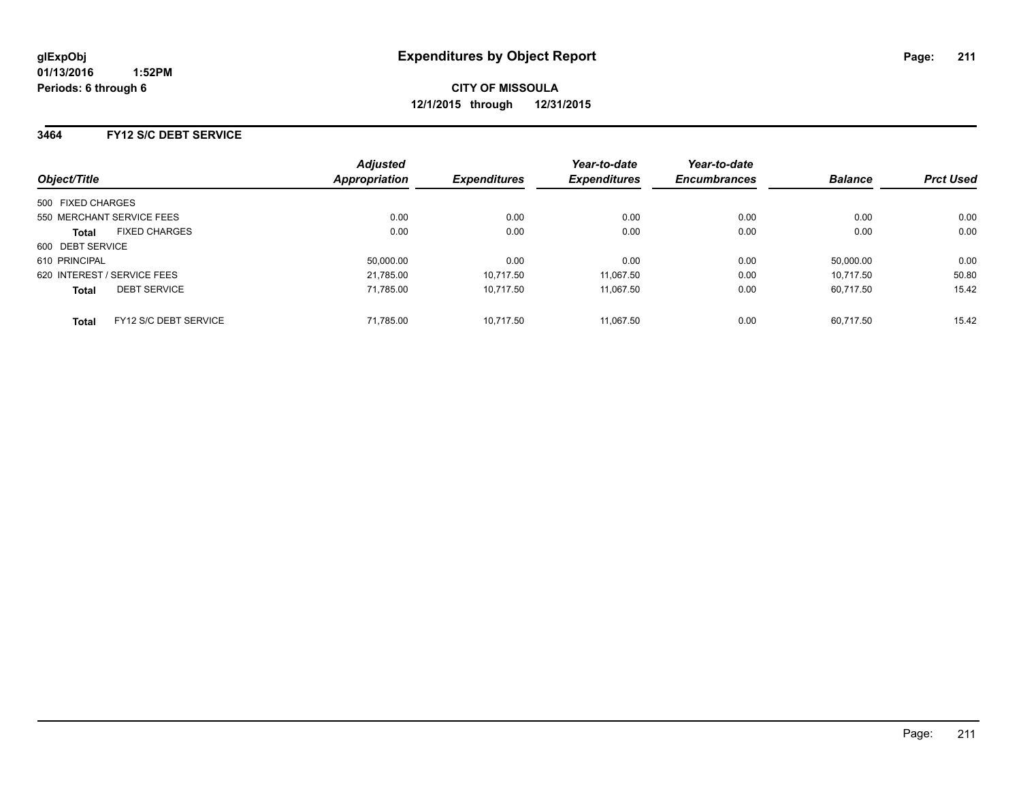### **3464 FY12 S/C DEBT SERVICE**

|                             |                           | <b>Adjusted</b>      |                     | Year-to-date        | Year-to-date        |                |                  |
|-----------------------------|---------------------------|----------------------|---------------------|---------------------|---------------------|----------------|------------------|
| Object/Title                |                           | <b>Appropriation</b> | <b>Expenditures</b> | <b>Expenditures</b> | <b>Encumbrances</b> | <b>Balance</b> | <b>Prct Used</b> |
| 500 FIXED CHARGES           |                           |                      |                     |                     |                     |                |                  |
|                             | 550 MERCHANT SERVICE FEES | 0.00                 | 0.00                | 0.00                | 0.00                | 0.00           | 0.00             |
| <b>Total</b>                | <b>FIXED CHARGES</b>      | 0.00                 | 0.00                | 0.00                | 0.00                | 0.00           | 0.00             |
| 600 DEBT SERVICE            |                           |                      |                     |                     |                     |                |                  |
| 610 PRINCIPAL               |                           | 50,000.00            | 0.00                | 0.00                | 0.00                | 50,000.00      | 0.00             |
| 620 INTEREST / SERVICE FEES |                           | 21,785.00            | 10,717.50           | 11.067.50           | 0.00                | 10.717.50      | 50.80            |
| <b>Total</b>                | <b>DEBT SERVICE</b>       | 71,785.00            | 10.717.50           | 11.067.50           | 0.00                | 60.717.50      | 15.42            |
| <b>Total</b>                | FY12 S/C DEBT SERVICE     | 71,785.00            | 10.717.50           | 11.067.50           | 0.00                | 60.717.50      | 15.42            |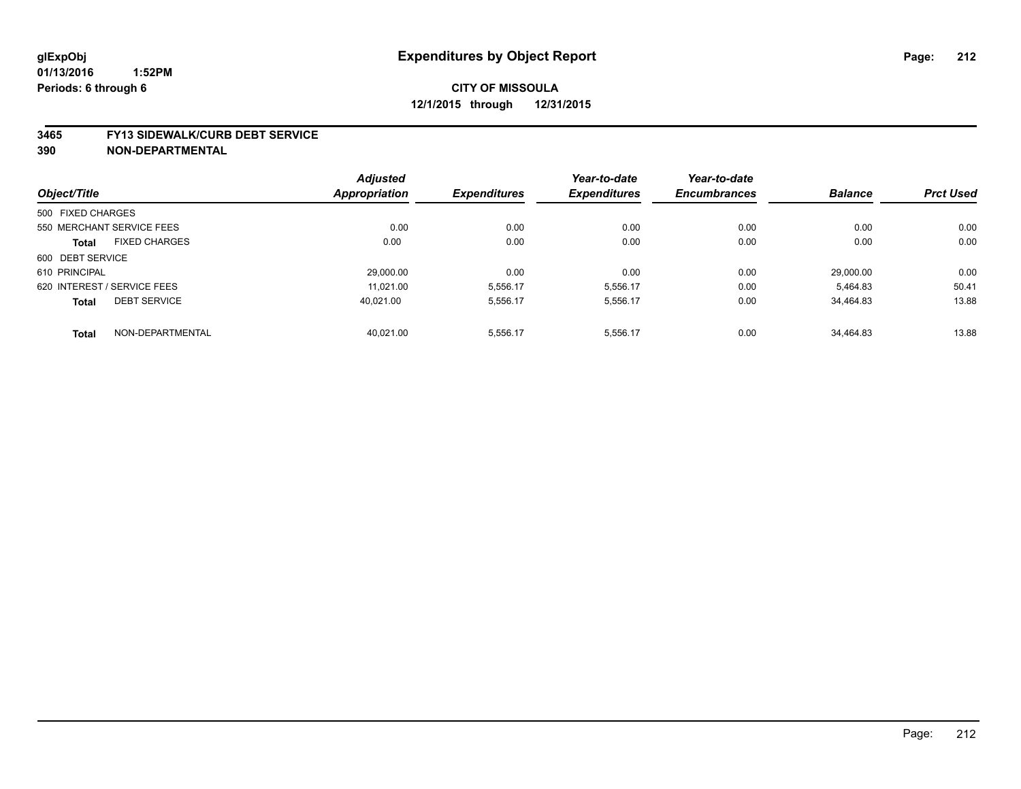# **CITY OF MISSOULA 12/1/2015 through 12/31/2015**

#### **3465 FY13 SIDEWALK/CURB DEBT SERVICE**

|                             |                      | <b>Adjusted</b>      |                     | Year-to-date        | Year-to-date        |                |                  |
|-----------------------------|----------------------|----------------------|---------------------|---------------------|---------------------|----------------|------------------|
| Object/Title                |                      | <b>Appropriation</b> | <b>Expenditures</b> | <b>Expenditures</b> | <b>Encumbrances</b> | <b>Balance</b> | <b>Prct Used</b> |
| 500 FIXED CHARGES           |                      |                      |                     |                     |                     |                |                  |
| 550 MERCHANT SERVICE FEES   |                      | 0.00                 | 0.00                | 0.00                | 0.00                | 0.00           | 0.00             |
| <b>Total</b>                | <b>FIXED CHARGES</b> | 0.00                 | 0.00                | 0.00                | 0.00                | 0.00           | 0.00             |
| 600 DEBT SERVICE            |                      |                      |                     |                     |                     |                |                  |
| 610 PRINCIPAL               |                      | 29.000.00            | 0.00                | 0.00                | 0.00                | 29.000.00      | 0.00             |
| 620 INTEREST / SERVICE FEES |                      | 11.021.00            | 5,556.17            | 5,556.17            | 0.00                | 5,464.83       | 50.41            |
| <b>Total</b>                | <b>DEBT SERVICE</b>  | 40.021.00            | 5,556.17            | 5.556.17            | 0.00                | 34.464.83      | 13.88            |
| <b>Total</b>                | NON-DEPARTMENTAL     | 40.021.00            | 5,556.17            | 5,556.17            | 0.00                | 34.464.83      | 13.88            |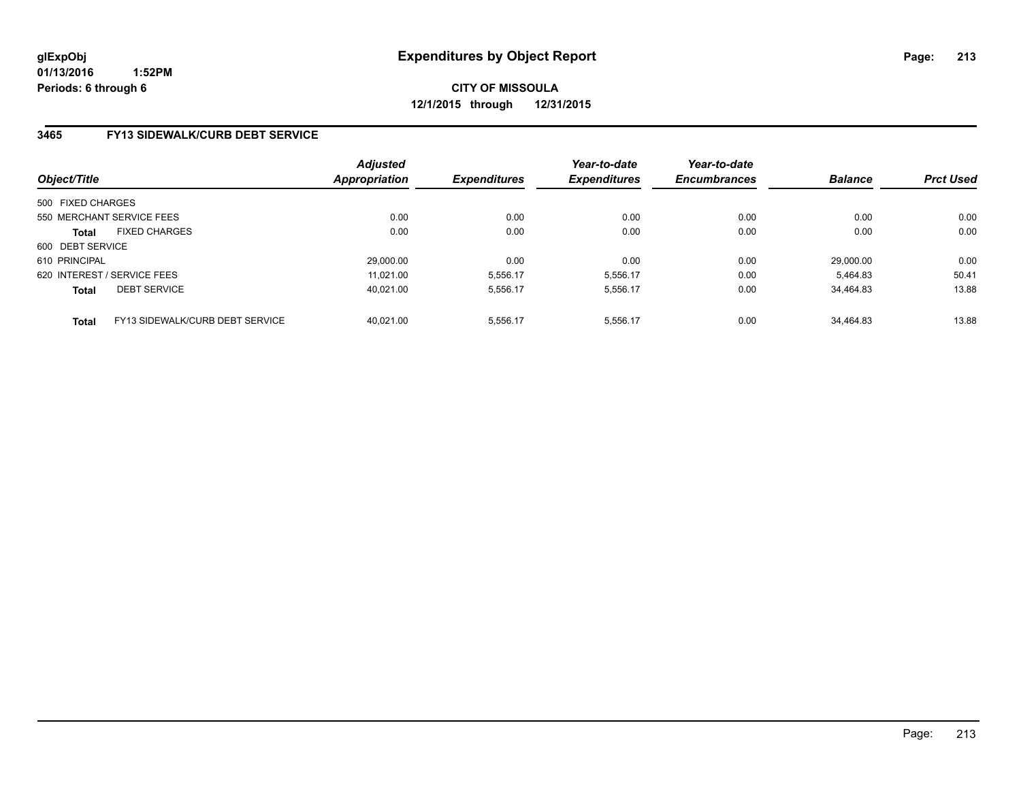# **CITY OF MISSOULA 12/1/2015 through 12/31/2015**

### **3465 FY13 SIDEWALK/CURB DEBT SERVICE**

| Object/Title      |                                 | <b>Adjusted</b><br><b>Appropriation</b> | <b>Expenditures</b> | Year-to-date<br><b>Expenditures</b> | Year-to-date<br><b>Encumbrances</b> | <b>Balance</b> | <b>Prct Used</b> |
|-------------------|---------------------------------|-----------------------------------------|---------------------|-------------------------------------|-------------------------------------|----------------|------------------|
| 500 FIXED CHARGES |                                 |                                         |                     |                                     |                                     |                |                  |
|                   | 550 MERCHANT SERVICE FEES       | 0.00                                    | 0.00                | 0.00                                | 0.00                                | 0.00           | 0.00             |
| <b>Total</b>      | <b>FIXED CHARGES</b>            | 0.00                                    | 0.00                | 0.00                                | 0.00                                | 0.00           | 0.00             |
| 600 DEBT SERVICE  |                                 |                                         |                     |                                     |                                     |                |                  |
| 610 PRINCIPAL     |                                 | 29,000.00                               | 0.00                | 0.00                                | 0.00                                | 29.000.00      | 0.00             |
|                   | 620 INTEREST / SERVICE FEES     | 11.021.00                               | 5,556.17            | 5,556.17                            | 0.00                                | 5.464.83       | 50.41            |
| <b>Total</b>      | <b>DEBT SERVICE</b>             | 40.021.00                               | 5.556.17            | 5.556.17                            | 0.00                                | 34.464.83      | 13.88            |
| <b>Total</b>      | FY13 SIDEWALK/CURB DEBT SERVICE | 40.021.00                               | 5.556.17            | 5.556.17                            | 0.00                                | 34.464.83      | 13.88            |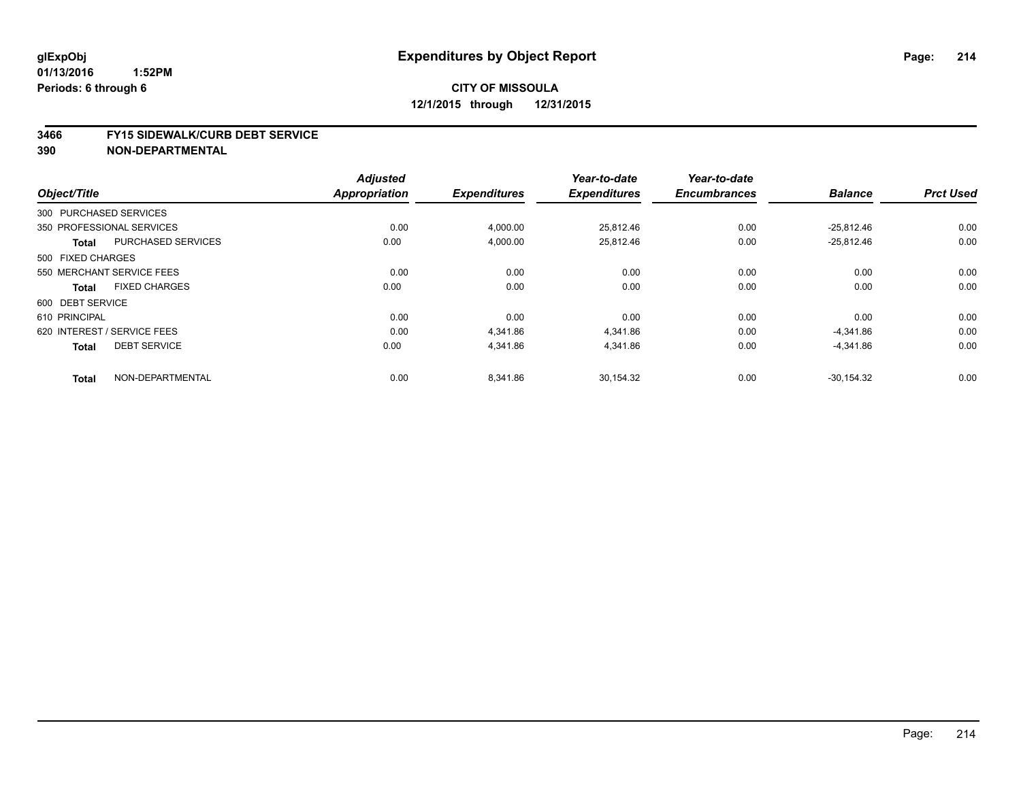# **CITY OF MISSOULA 12/1/2015 through 12/31/2015**

#### **3466 FY15 SIDEWALK/CURB DEBT SERVICE**

|                        |                             | <b>Adjusted</b>      |                     | Year-to-date        | Year-to-date        |                |                  |
|------------------------|-----------------------------|----------------------|---------------------|---------------------|---------------------|----------------|------------------|
| Object/Title           |                             | <b>Appropriation</b> | <b>Expenditures</b> | <b>Expenditures</b> | <b>Encumbrances</b> | <b>Balance</b> | <b>Prct Used</b> |
| 300 PURCHASED SERVICES |                             |                      |                     |                     |                     |                |                  |
|                        | 350 PROFESSIONAL SERVICES   | 0.00                 | 4,000.00            | 25,812.46           | 0.00                | $-25,812.46$   | 0.00             |
| <b>Total</b>           | <b>PURCHASED SERVICES</b>   | 0.00                 | 4,000.00            | 25,812.46           | 0.00                | $-25,812.46$   | 0.00             |
| 500 FIXED CHARGES      |                             |                      |                     |                     |                     |                |                  |
|                        | 550 MERCHANT SERVICE FEES   | 0.00                 | 0.00                | 0.00                | 0.00                | 0.00           | 0.00             |
| <b>Total</b>           | <b>FIXED CHARGES</b>        | 0.00                 | 0.00                | 0.00                | 0.00                | 0.00           | 0.00             |
| 600 DEBT SERVICE       |                             |                      |                     |                     |                     |                |                  |
| 610 PRINCIPAL          |                             | 0.00                 | 0.00                | 0.00                | 0.00                | 0.00           | 0.00             |
|                        | 620 INTEREST / SERVICE FEES | 0.00                 | 4,341.86            | 4,341.86            | 0.00                | -4,341.86      | 0.00             |
| <b>Total</b>           | <b>DEBT SERVICE</b>         | 0.00                 | 4,341.86            | 4,341.86            | 0.00                | $-4,341.86$    | 0.00             |
| <b>Total</b>           | NON-DEPARTMENTAL            | 0.00                 | 8,341.86            | 30,154.32           | 0.00                | $-30,154.32$   | 0.00             |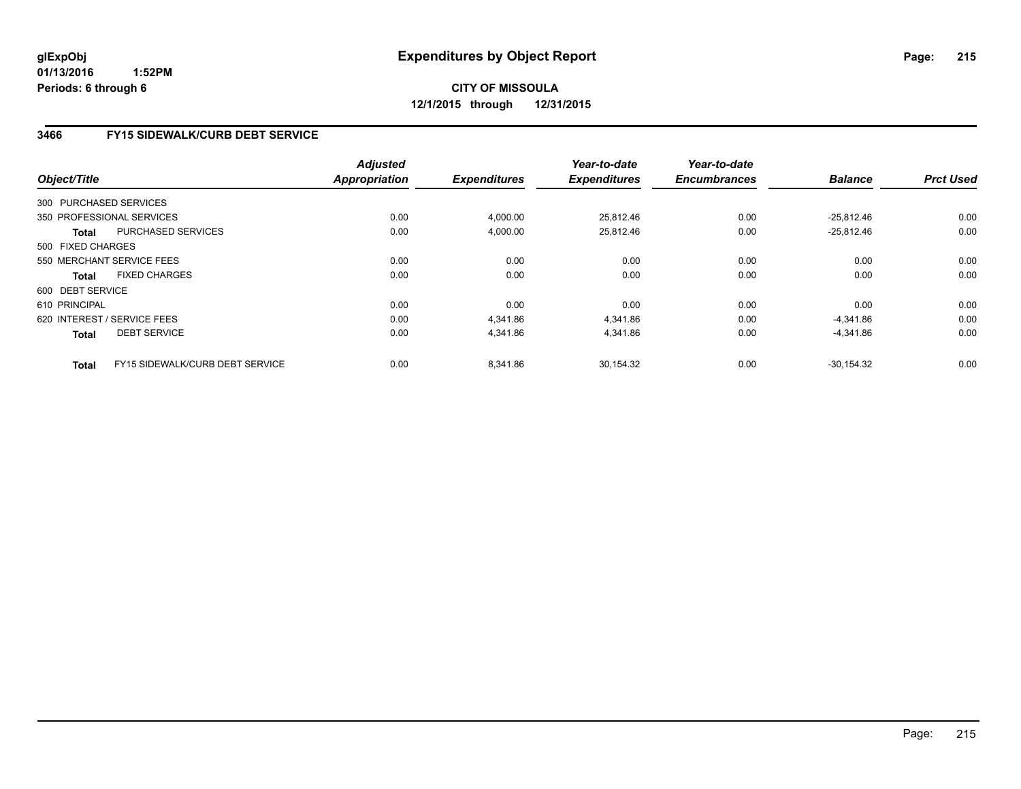**CITY OF MISSOULA 12/1/2015 through 12/31/2015**

### **3466 FY15 SIDEWALK/CURB DEBT SERVICE**

| Object/Title      |                                 | <b>Adjusted</b><br>Appropriation | <b>Expenditures</b> | Year-to-date<br><b>Expenditures</b> | Year-to-date<br><b>Encumbrances</b> | <b>Balance</b> | <b>Prct Used</b> |
|-------------------|---------------------------------|----------------------------------|---------------------|-------------------------------------|-------------------------------------|----------------|------------------|
|                   | 300 PURCHASED SERVICES          |                                  |                     |                                     |                                     |                |                  |
|                   |                                 |                                  |                     |                                     |                                     |                |                  |
|                   | 350 PROFESSIONAL SERVICES       | 0.00                             | 4,000.00            | 25,812.46                           | 0.00                                | $-25,812.46$   | 0.00             |
| <b>Total</b>      | PURCHASED SERVICES              | 0.00                             | 4,000.00            | 25,812.46                           | 0.00                                | $-25,812.46$   | 0.00             |
| 500 FIXED CHARGES |                                 |                                  |                     |                                     |                                     |                |                  |
|                   | 550 MERCHANT SERVICE FEES       | 0.00                             | 0.00                | 0.00                                | 0.00                                | 0.00           | 0.00             |
| Total             | <b>FIXED CHARGES</b>            | 0.00                             | 0.00                | 0.00                                | 0.00                                | 0.00           | 0.00             |
| 600 DEBT SERVICE  |                                 |                                  |                     |                                     |                                     |                |                  |
| 610 PRINCIPAL     |                                 | 0.00                             | 0.00                | 0.00                                | 0.00                                | 0.00           | 0.00             |
|                   | 620 INTEREST / SERVICE FEES     | 0.00                             | 4.341.86            | 4.341.86                            | 0.00                                | $-4,341.86$    | 0.00             |
| <b>Total</b>      | <b>DEBT SERVICE</b>             | 0.00                             | 4,341.86            | 4,341.86                            | 0.00                                | $-4,341.86$    | 0.00             |
| Total             | FY15 SIDEWALK/CURB DEBT SERVICE | 0.00                             | 8.341.86            | 30.154.32                           | 0.00                                | $-30.154.32$   | 0.00             |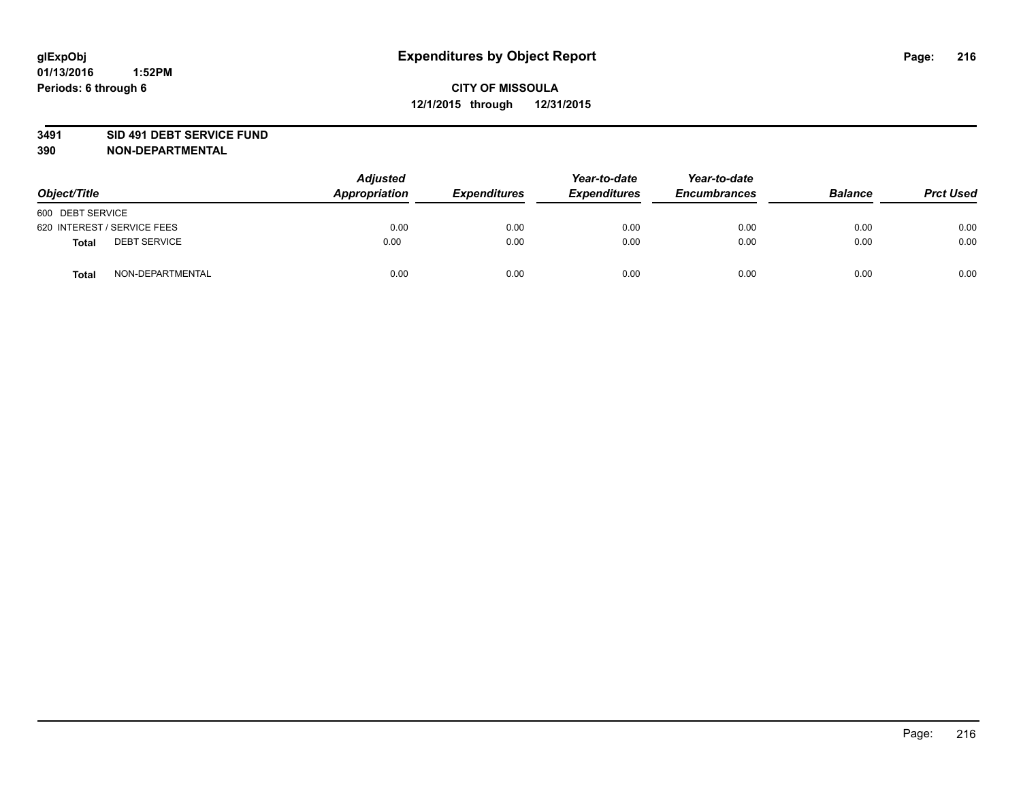#### **3491 SID 491 DEBT SERVICE FUND**

| Object/Title                 | <b>Adjusted</b><br>Appropriation | <b>Expenditures</b> | Year-to-date<br><b>Expenditures</b> | Year-to-date<br><b>Encumbrances</b> | <b>Balance</b> | <b>Prct Used</b> |
|------------------------------|----------------------------------|---------------------|-------------------------------------|-------------------------------------|----------------|------------------|
| 600 DEBT SERVICE             |                                  |                     |                                     |                                     |                |                  |
| 620 INTEREST / SERVICE FEES  | 0.00                             | 0.00                | 0.00                                | 0.00                                | 0.00           | 0.00             |
| <b>DEBT SERVICE</b><br>Total | 0.00                             | 0.00                | 0.00                                | 0.00                                | 0.00           | 0.00             |
| NON-DEPARTMENTAL<br>Total    | 0.00                             | 0.00                | 0.00                                | 0.00                                | 0.00           | 0.00             |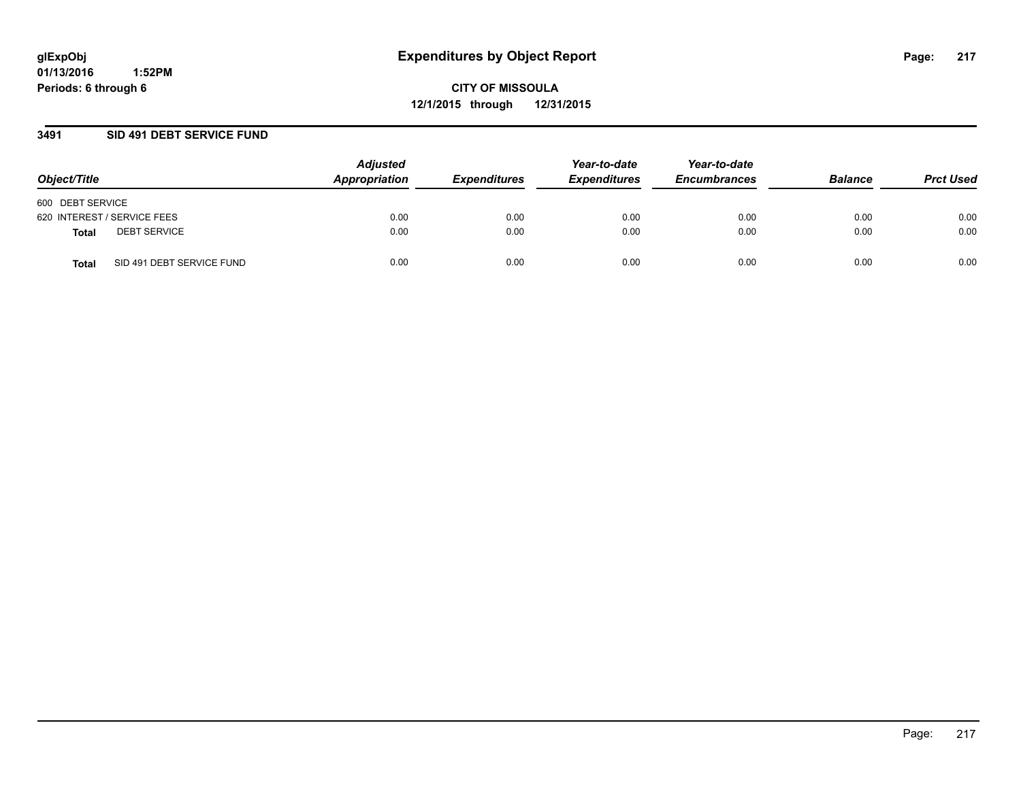#### **3491 SID 491 DEBT SERVICE FUND**

| Object/Title                       | <b>Adjusted</b><br>Appropriation | <b>Expenditures</b> | Year-to-date<br><b>Expenditures</b> | Year-to-date<br><b>Encumbrances</b> | <b>Balance</b> | <b>Prct Used</b> |
|------------------------------------|----------------------------------|---------------------|-------------------------------------|-------------------------------------|----------------|------------------|
| 600 DEBT SERVICE                   |                                  |                     |                                     |                                     |                |                  |
| 620 INTEREST / SERVICE FEES        | 0.00                             | 0.00                | 0.00                                | 0.00                                | 0.00           | 0.00             |
| <b>DEBT SERVICE</b><br>Total       | 0.00                             | 0.00                | 0.00                                | 0.00                                | 0.00           | 0.00             |
| SID 491 DEBT SERVICE FUND<br>Total | 0.00                             | 0.00                | 0.00                                | 0.00                                | 0.00           | 0.00             |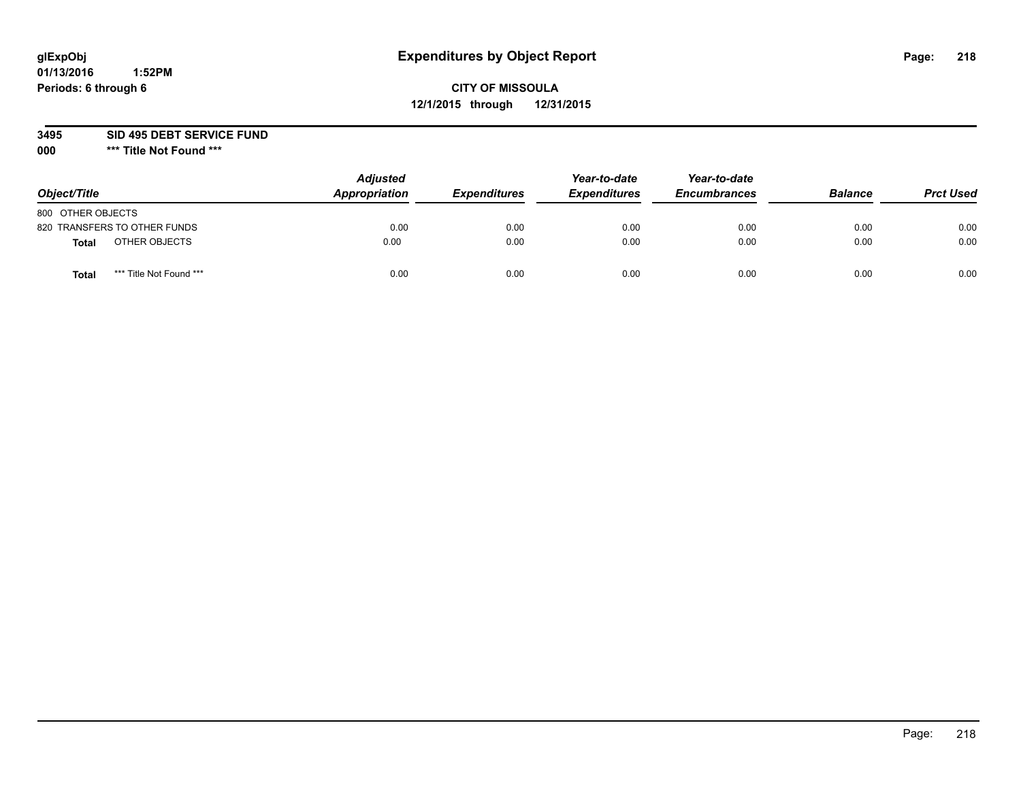## **CITY OF MISSOULA 12/1/2015 through 12/31/2015**

**3495 SID 495 DEBT SERVICE FUND**

| Object/Title                            | <b>Adjusted</b><br>Appropriation | <b>Expenditures</b> | Year-to-date<br><b>Expenditures</b> | Year-to-date<br><b>Encumbrances</b> | <b>Balance</b> | <b>Prct Used</b> |
|-----------------------------------------|----------------------------------|---------------------|-------------------------------------|-------------------------------------|----------------|------------------|
| 800 OTHER OBJECTS                       |                                  |                     |                                     |                                     |                |                  |
| 820 TRANSFERS TO OTHER FUNDS            | 0.00                             | 0.00                | 0.00                                | 0.00                                | 0.00           | 0.00             |
| OTHER OBJECTS<br><b>Total</b>           | 0.00                             | 0.00                | 0.00                                | 0.00                                | 0.00           | 0.00             |
| *** Title Not Found ***<br><b>Total</b> | 0.00                             | 0.00                | 0.00                                | 0.00                                | 0.00           | 0.00             |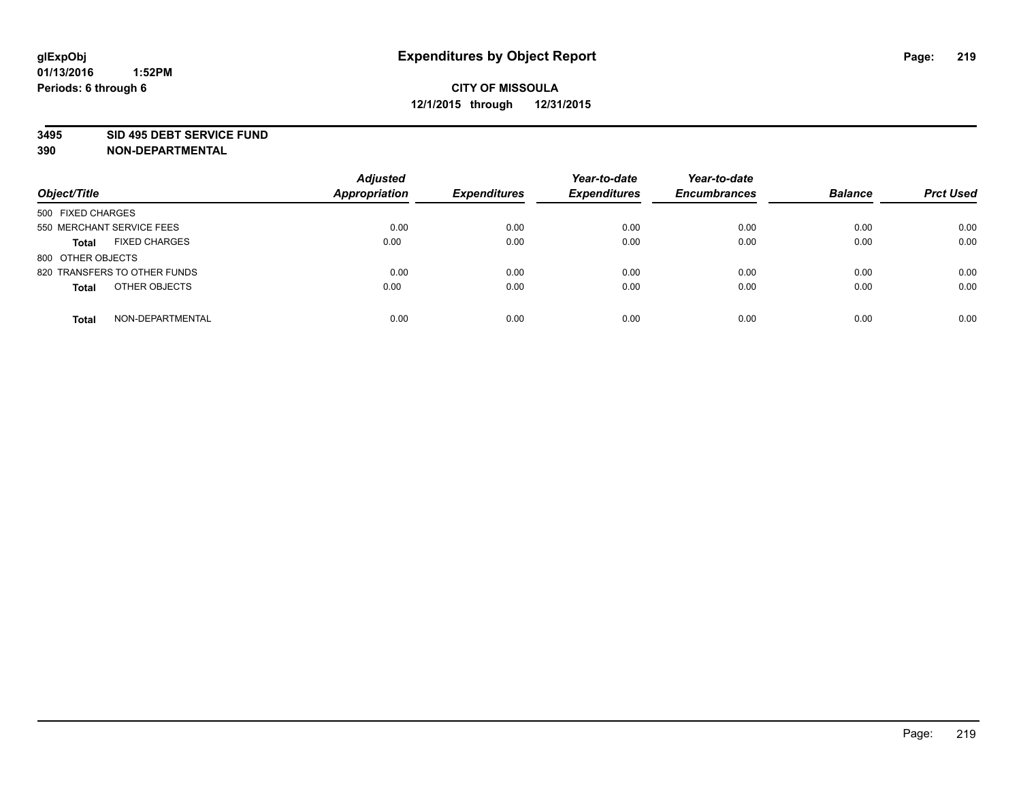#### **3495 SID 495 DEBT SERVICE FUND**

| Object/Title                         | <b>Adjusted</b><br><b>Appropriation</b> | <b>Expenditures</b> | Year-to-date<br><b>Expenditures</b> | Year-to-date<br><b>Encumbrances</b> | <b>Balance</b> | <b>Prct Used</b> |
|--------------------------------------|-----------------------------------------|---------------------|-------------------------------------|-------------------------------------|----------------|------------------|
| 500 FIXED CHARGES                    |                                         |                     |                                     |                                     |                |                  |
| 550 MERCHANT SERVICE FEES            | 0.00                                    | 0.00                | 0.00                                | 0.00                                | 0.00           | 0.00             |
| <b>FIXED CHARGES</b><br><b>Total</b> | 0.00                                    | 0.00                | 0.00                                | 0.00                                | 0.00           | 0.00             |
| 800 OTHER OBJECTS                    |                                         |                     |                                     |                                     |                |                  |
| 820 TRANSFERS TO OTHER FUNDS         | 0.00                                    | 0.00                | 0.00                                | 0.00                                | 0.00           | 0.00             |
| OTHER OBJECTS<br><b>Total</b>        | 0.00                                    | 0.00                | 0.00                                | 0.00                                | 0.00           | 0.00             |
| NON-DEPARTMENTAL<br><b>Total</b>     | 0.00                                    | 0.00                | 0.00                                | 0.00                                | 0.00           | 0.00             |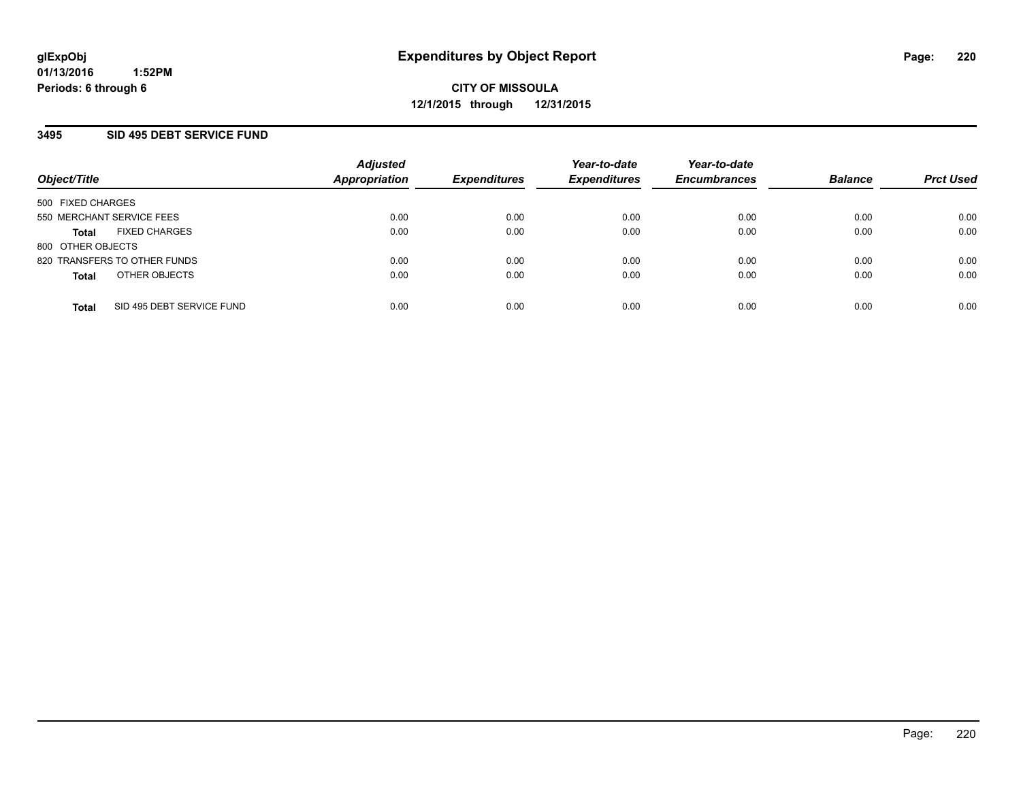#### **3495 SID 495 DEBT SERVICE FUND**

| Object/Title                              | <b>Adjusted</b><br><b>Appropriation</b> | <b>Expenditures</b> | Year-to-date<br><b>Expenditures</b> | Year-to-date<br><b>Encumbrances</b> | <b>Balance</b> | <b>Prct Used</b> |
|-------------------------------------------|-----------------------------------------|---------------------|-------------------------------------|-------------------------------------|----------------|------------------|
| 500 FIXED CHARGES                         |                                         |                     |                                     |                                     |                |                  |
| 550 MERCHANT SERVICE FEES                 | 0.00                                    | 0.00                | 0.00                                | 0.00                                | 0.00           | 0.00             |
| <b>FIXED CHARGES</b><br>Total             | 0.00                                    | 0.00                | 0.00                                | 0.00                                | 0.00           | 0.00             |
| 800 OTHER OBJECTS                         |                                         |                     |                                     |                                     |                |                  |
| 820 TRANSFERS TO OTHER FUNDS              | 0.00                                    | 0.00                | 0.00                                | 0.00                                | 0.00           | 0.00             |
| OTHER OBJECTS<br><b>Total</b>             | 0.00                                    | 0.00                | 0.00                                | 0.00                                | 0.00           | 0.00             |
| SID 495 DEBT SERVICE FUND<br><b>Total</b> | 0.00                                    | 0.00                | 0.00                                | 0.00                                | 0.00           | 0.00             |
|                                           |                                         |                     |                                     |                                     |                |                  |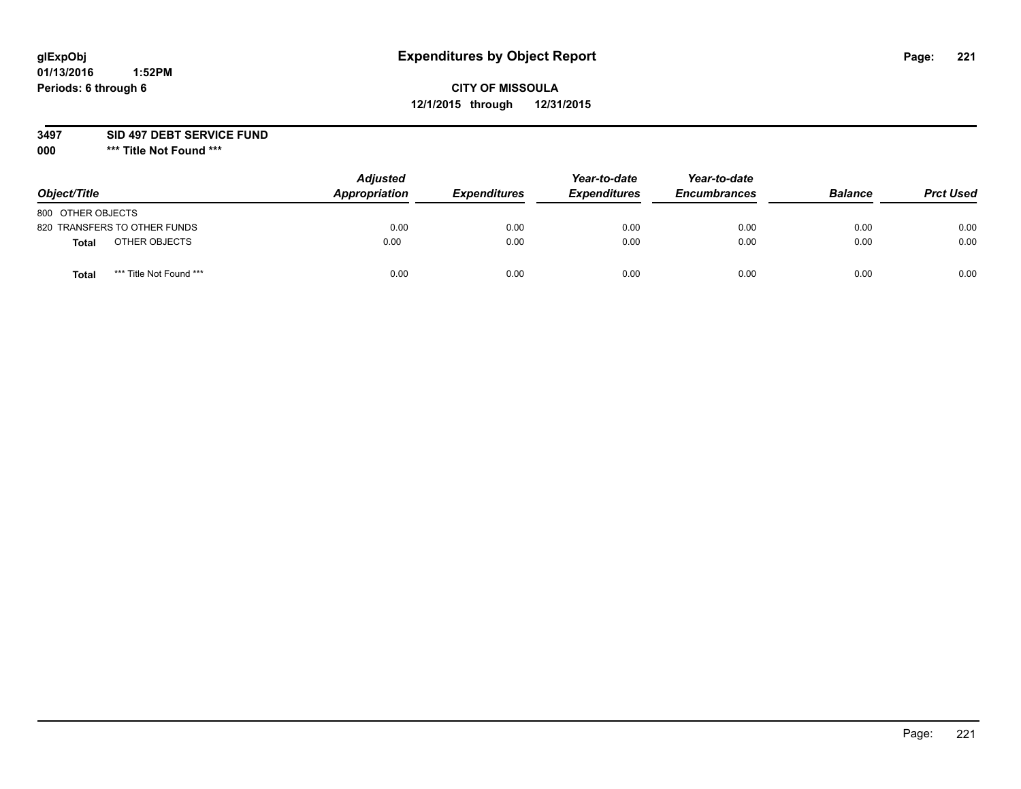## **CITY OF MISSOULA 12/1/2015 through 12/31/2015**

**3497 SID 497 DEBT SERVICE FUND**

| Object/Title                     | <b>Adjusted</b><br>Appropriation | <b>Expenditures</b> | Year-to-date<br><b>Expenditures</b> | Year-to-date<br><b>Encumbrances</b> | <b>Balance</b> | <b>Prct Used</b> |
|----------------------------------|----------------------------------|---------------------|-------------------------------------|-------------------------------------|----------------|------------------|
| 800 OTHER OBJECTS                |                                  |                     |                                     |                                     |                |                  |
| 820 TRANSFERS TO OTHER FUNDS     | 0.00                             | 0.00                | 0.00                                | 0.00                                | 0.00           | 0.00             |
| OTHER OBJECTS<br><b>Total</b>    | 0.00                             | 0.00                | 0.00                                | 0.00                                | 0.00           | 0.00             |
| *** Title Not Found ***<br>Total | 0.00                             | 0.00                | 0.00                                | 0.00                                | 0.00           | 0.00             |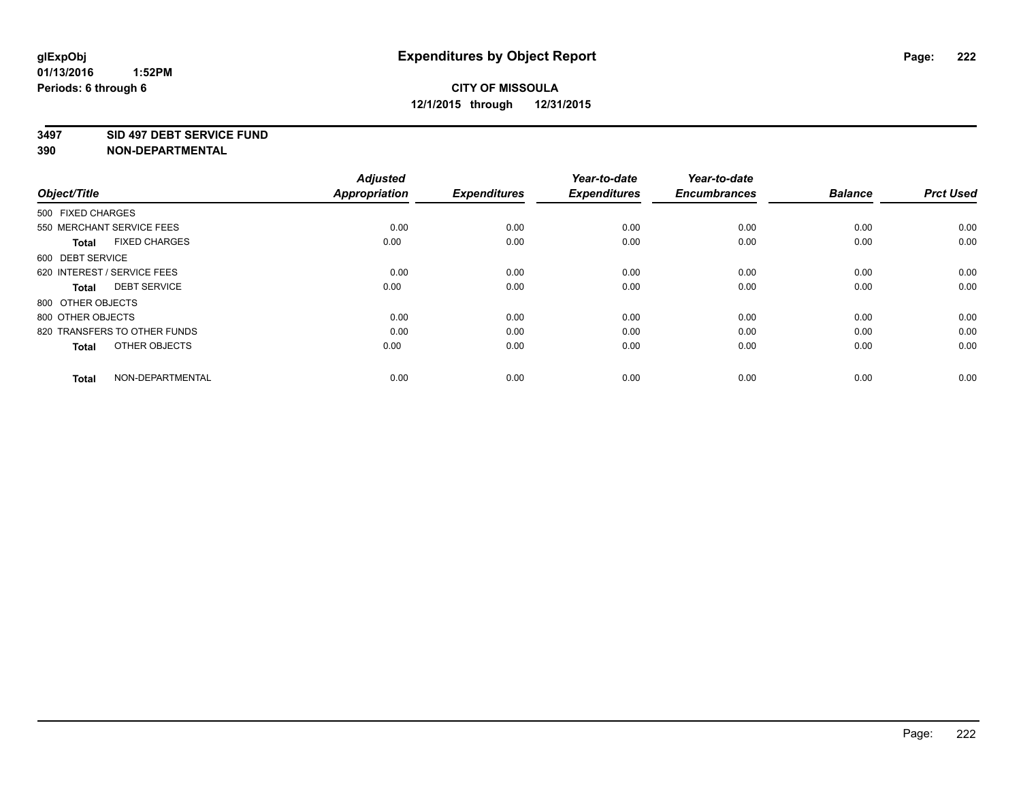#### **3497 SID 497 DEBT SERVICE FUND**

| Object/Title                         | <b>Adjusted</b><br><b>Appropriation</b> | <b>Expenditures</b> | Year-to-date<br><b>Expenditures</b> | Year-to-date<br><b>Encumbrances</b> | <b>Balance</b> | <b>Prct Used</b> |
|--------------------------------------|-----------------------------------------|---------------------|-------------------------------------|-------------------------------------|----------------|------------------|
| 500 FIXED CHARGES                    |                                         |                     |                                     |                                     |                |                  |
| 550 MERCHANT SERVICE FEES            | 0.00                                    | 0.00                | 0.00                                | 0.00                                | 0.00           | 0.00             |
| <b>FIXED CHARGES</b><br><b>Total</b> | 0.00                                    | 0.00                | 0.00                                | 0.00                                | 0.00           | 0.00             |
| 600 DEBT SERVICE                     |                                         |                     |                                     |                                     |                |                  |
| 620 INTEREST / SERVICE FEES          | 0.00                                    | 0.00                | 0.00                                | 0.00                                | 0.00           | 0.00             |
| <b>DEBT SERVICE</b><br><b>Total</b>  | 0.00                                    | 0.00                | 0.00                                | 0.00                                | 0.00           | 0.00             |
| 800 OTHER OBJECTS                    |                                         |                     |                                     |                                     |                |                  |
| 800 OTHER OBJECTS                    | 0.00                                    | 0.00                | 0.00                                | 0.00                                | 0.00           | 0.00             |
| 820 TRANSFERS TO OTHER FUNDS         | 0.00                                    | 0.00                | 0.00                                | 0.00                                | 0.00           | 0.00             |
| OTHER OBJECTS<br><b>Total</b>        | 0.00                                    | 0.00                | 0.00                                | 0.00                                | 0.00           | 0.00             |
|                                      |                                         |                     |                                     |                                     |                |                  |
| NON-DEPARTMENTAL<br><b>Total</b>     | 0.00                                    | 0.00                | 0.00                                | 0.00                                | 0.00           | 0.00             |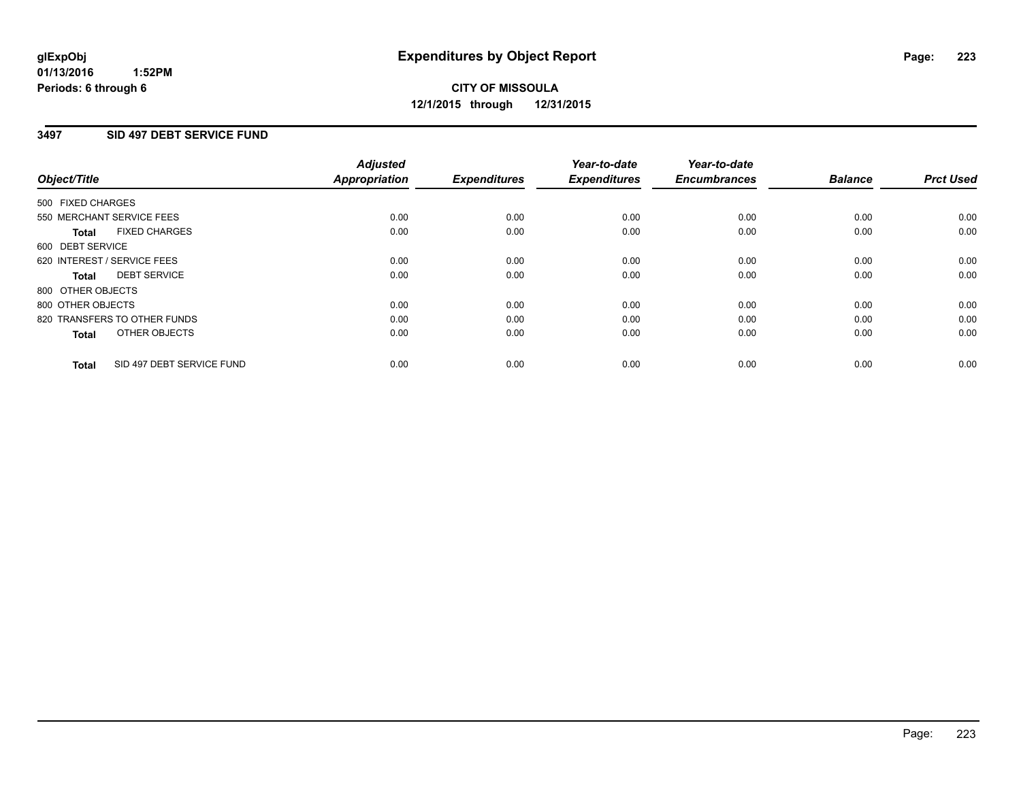#### **01/13/2016 1:52PM Periods: 6 through 6**

## **CITY OF MISSOULA 12/1/2015 through 12/31/2015**

#### **3497 SID 497 DEBT SERVICE FUND**

| Object/Title      |                              | <b>Adjusted</b><br>Appropriation | <b>Expenditures</b> | Year-to-date<br><b>Expenditures</b> | Year-to-date<br><b>Encumbrances</b> | <b>Balance</b> | <b>Prct Used</b> |
|-------------------|------------------------------|----------------------------------|---------------------|-------------------------------------|-------------------------------------|----------------|------------------|
| 500 FIXED CHARGES |                              |                                  |                     |                                     |                                     |                |                  |
|                   | 550 MERCHANT SERVICE FEES    | 0.00                             | 0.00                | 0.00                                | 0.00                                | 0.00           | 0.00             |
| <b>Total</b>      | <b>FIXED CHARGES</b>         | 0.00                             | 0.00                | 0.00                                | 0.00                                | 0.00           | 0.00             |
| 600 DEBT SERVICE  |                              |                                  |                     |                                     |                                     |                |                  |
|                   | 620 INTEREST / SERVICE FEES  | 0.00                             | 0.00                | 0.00                                | 0.00                                | 0.00           | 0.00             |
| Total             | <b>DEBT SERVICE</b>          | 0.00                             | 0.00                | 0.00                                | 0.00                                | 0.00           | 0.00             |
| 800 OTHER OBJECTS |                              |                                  |                     |                                     |                                     |                |                  |
| 800 OTHER OBJECTS |                              | 0.00                             | 0.00                | 0.00                                | 0.00                                | 0.00           | 0.00             |
|                   | 820 TRANSFERS TO OTHER FUNDS | 0.00                             | 0.00                | 0.00                                | 0.00                                | 0.00           | 0.00             |
| <b>Total</b>      | OTHER OBJECTS                | 0.00                             | 0.00                | 0.00                                | 0.00                                | 0.00           | 0.00             |
| <b>Total</b>      | SID 497 DEBT SERVICE FUND    | 0.00                             | 0.00                | 0.00                                | 0.00                                | 0.00           | 0.00             |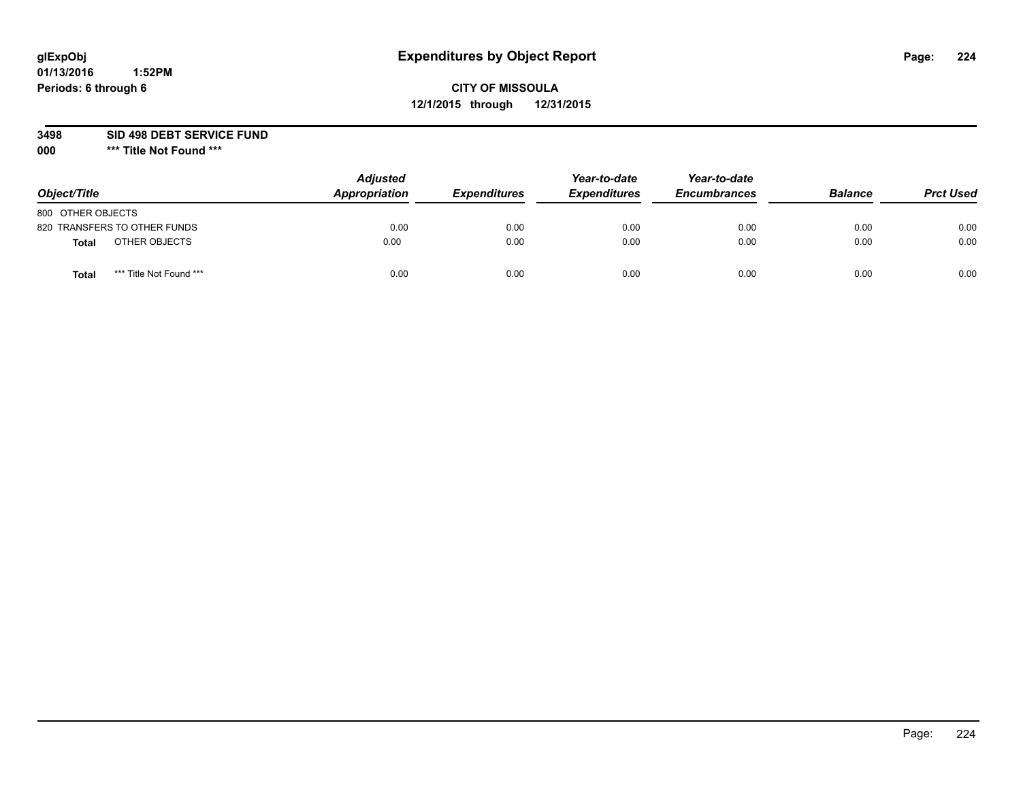## **CITY OF MISSOULA 12/1/2015 through 12/31/2015**

**3498 SID 498 DEBT SERVICE FUND**

| Object/Title                            | <b>Adjusted</b><br>Appropriation | <b>Expenditures</b> | Year-to-date<br><b>Expenditures</b> | Year-to-date<br><b>Encumbrances</b> | <b>Balance</b> | <b>Prct Used</b> |
|-----------------------------------------|----------------------------------|---------------------|-------------------------------------|-------------------------------------|----------------|------------------|
| 800 OTHER OBJECTS                       |                                  |                     |                                     |                                     |                |                  |
| 820 TRANSFERS TO OTHER FUNDS            | 0.00                             | 0.00                | 0.00                                | 0.00                                | 0.00           | 0.00             |
| OTHER OBJECTS<br><b>Total</b>           | 0.00                             | 0.00                | 0.00                                | 0.00                                | 0.00           | 0.00             |
| *** Title Not Found ***<br><b>Total</b> | 0.00                             | 0.00                | 0.00                                | 0.00                                | 0.00           | 0.00             |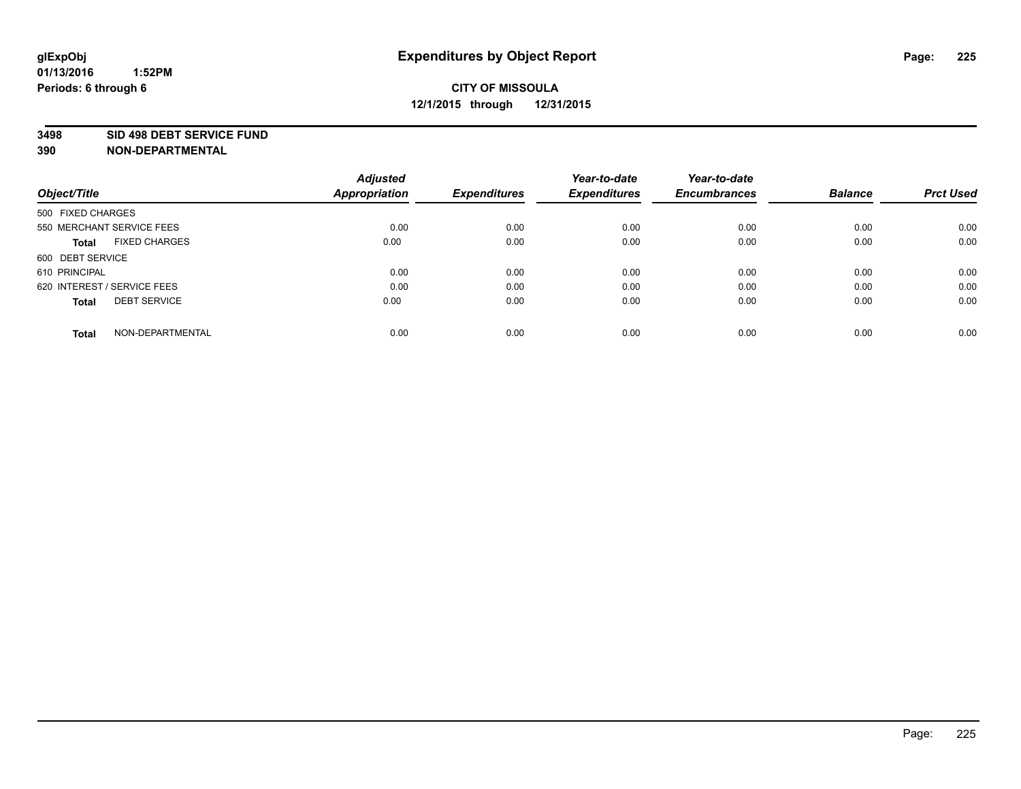#### **3498 SID 498 DEBT SERVICE FUND**

| Object/Title                         | <b>Adjusted</b><br><b>Appropriation</b> | <b>Expenditures</b> | Year-to-date<br><b>Expenditures</b> | Year-to-date<br><b>Encumbrances</b> | <b>Balance</b> | <b>Prct Used</b> |
|--------------------------------------|-----------------------------------------|---------------------|-------------------------------------|-------------------------------------|----------------|------------------|
|                                      |                                         |                     |                                     |                                     |                |                  |
| 500 FIXED CHARGES                    |                                         |                     |                                     |                                     |                |                  |
| 550 MERCHANT SERVICE FEES            | 0.00                                    | 0.00                | 0.00                                | 0.00                                | 0.00           | 0.00             |
| <b>FIXED CHARGES</b><br><b>Total</b> | 0.00                                    | 0.00                | 0.00                                | 0.00                                | 0.00           | 0.00             |
| 600 DEBT SERVICE                     |                                         |                     |                                     |                                     |                |                  |
| 610 PRINCIPAL                        | 0.00                                    | 0.00                | 0.00                                | 0.00                                | 0.00           | 0.00             |
| 620 INTEREST / SERVICE FEES          | 0.00                                    | 0.00                | 0.00                                | 0.00                                | 0.00           | 0.00             |
| <b>DEBT SERVICE</b><br>Total         | 0.00                                    | 0.00                | 0.00                                | 0.00                                | 0.00           | 0.00             |
|                                      |                                         |                     |                                     |                                     |                |                  |
| NON-DEPARTMENTAL<br><b>Total</b>     | 0.00                                    | 0.00                | 0.00                                | 0.00                                | 0.00           | 0.00             |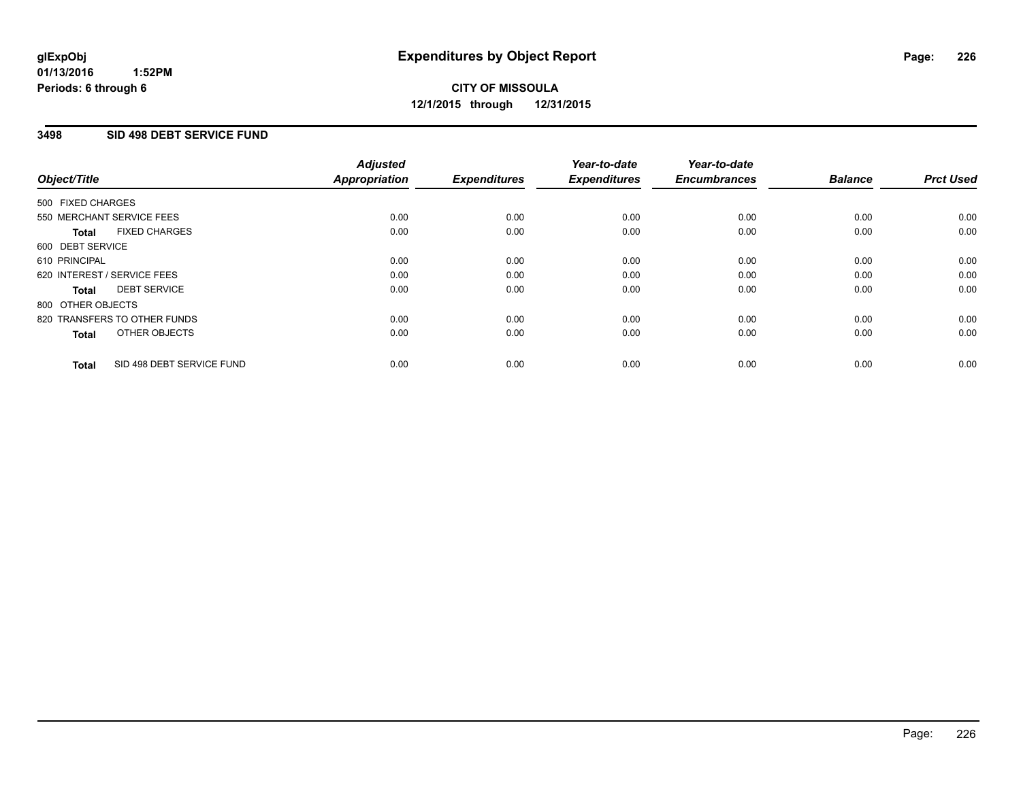#### **3498 SID 498 DEBT SERVICE FUND**

| Object/Title                              | <b>Adjusted</b><br><b>Appropriation</b> | <b>Expenditures</b> | Year-to-date<br><b>Expenditures</b> | Year-to-date<br><b>Encumbrances</b> | <b>Balance</b> | <b>Prct Used</b> |
|-------------------------------------------|-----------------------------------------|---------------------|-------------------------------------|-------------------------------------|----------------|------------------|
| 500 FIXED CHARGES                         |                                         |                     |                                     |                                     |                |                  |
| 550 MERCHANT SERVICE FEES                 | 0.00                                    | 0.00                | 0.00                                | 0.00                                | 0.00           | 0.00             |
| <b>FIXED CHARGES</b><br>Total             | 0.00                                    | 0.00                | 0.00                                | 0.00                                | 0.00           | 0.00             |
| 600 DEBT SERVICE                          |                                         |                     |                                     |                                     |                |                  |
| 610 PRINCIPAL                             | 0.00                                    | 0.00                | 0.00                                | 0.00                                | 0.00           | 0.00             |
| 620 INTEREST / SERVICE FEES               | 0.00                                    | 0.00                | 0.00                                | 0.00                                | 0.00           | 0.00             |
| <b>DEBT SERVICE</b><br>Total              | 0.00                                    | 0.00                | 0.00                                | 0.00                                | 0.00           | 0.00             |
| 800 OTHER OBJECTS                         |                                         |                     |                                     |                                     |                |                  |
| 820 TRANSFERS TO OTHER FUNDS              | 0.00                                    | 0.00                | 0.00                                | 0.00                                | 0.00           | 0.00             |
| OTHER OBJECTS<br><b>Total</b>             | 0.00                                    | 0.00                | 0.00                                | 0.00                                | 0.00           | 0.00             |
| SID 498 DEBT SERVICE FUND<br><b>Total</b> | 0.00                                    | 0.00                | 0.00                                | 0.00                                | 0.00           | 0.00             |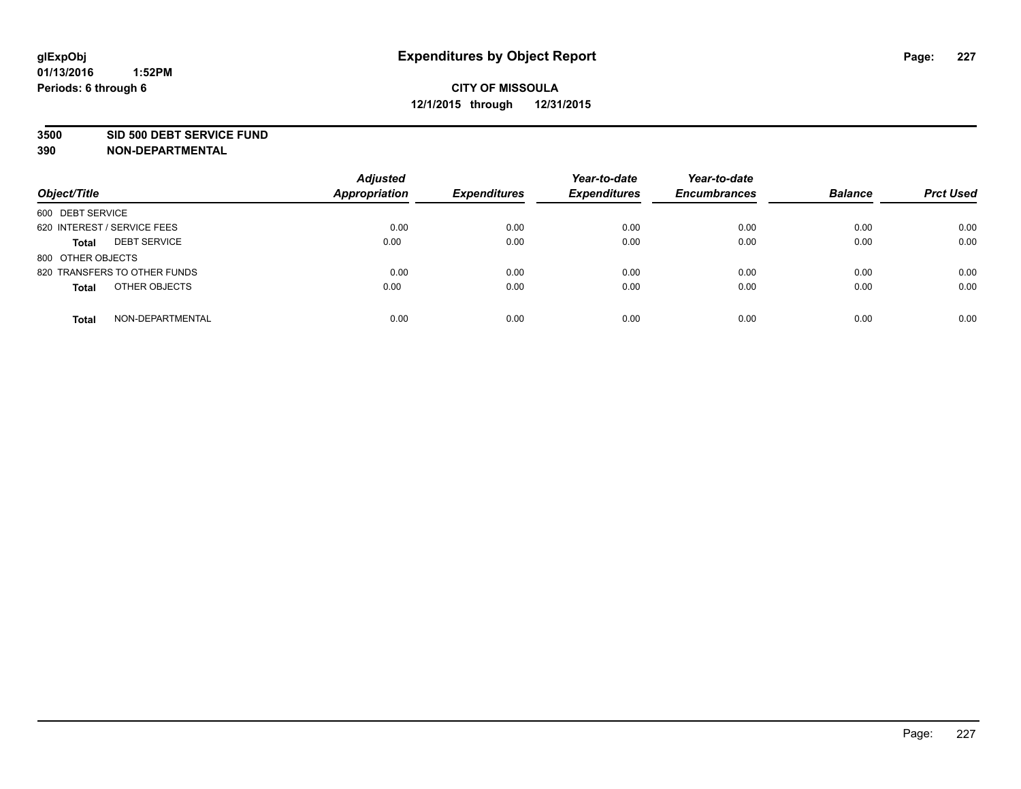#### **3500 SID 500 DEBT SERVICE FUND**

| Object/Title                        | <b>Adjusted</b><br><b>Appropriation</b> | <b>Expenditures</b> | Year-to-date<br><b>Expenditures</b> | Year-to-date<br><b>Encumbrances</b> | <b>Balance</b> | <b>Prct Used</b> |
|-------------------------------------|-----------------------------------------|---------------------|-------------------------------------|-------------------------------------|----------------|------------------|
| 600 DEBT SERVICE                    |                                         |                     |                                     |                                     |                |                  |
| 620 INTEREST / SERVICE FEES         | 0.00                                    | 0.00                | 0.00                                | 0.00                                | 0.00           | 0.00             |
| <b>DEBT SERVICE</b><br><b>Total</b> | 0.00                                    | 0.00                | 0.00                                | 0.00                                | 0.00           | 0.00             |
| 800 OTHER OBJECTS                   |                                         |                     |                                     |                                     |                |                  |
| 820 TRANSFERS TO OTHER FUNDS        | 0.00                                    | 0.00                | 0.00                                | 0.00                                | 0.00           | 0.00             |
| OTHER OBJECTS<br><b>Total</b>       | 0.00                                    | 0.00                | 0.00                                | 0.00                                | 0.00           | 0.00             |
| NON-DEPARTMENTAL<br><b>Total</b>    | 0.00                                    | 0.00                | 0.00                                | 0.00                                | 0.00           | 0.00             |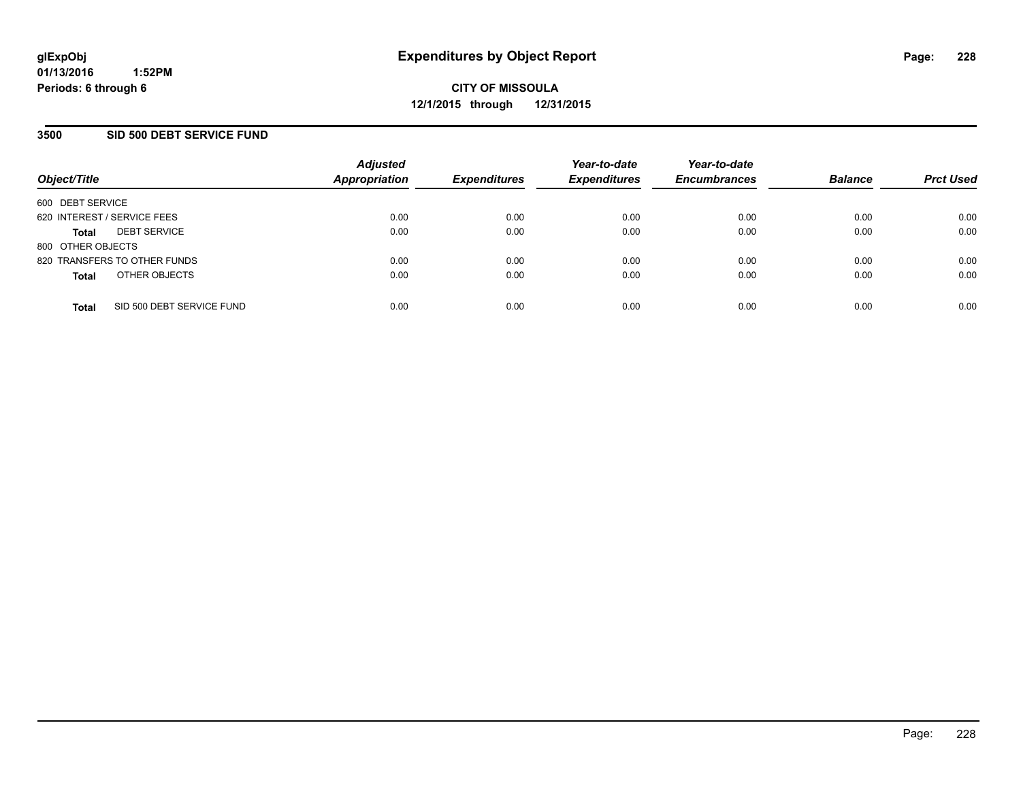#### **3500 SID 500 DEBT SERVICE FUND**

| Object/Title                |                              | <b>Adjusted</b><br>Appropriation | <b>Expenditures</b> | Year-to-date<br><b>Expenditures</b> | Year-to-date<br><b>Encumbrances</b> | <b>Balance</b> | <b>Prct Used</b> |
|-----------------------------|------------------------------|----------------------------------|---------------------|-------------------------------------|-------------------------------------|----------------|------------------|
| 600 DEBT SERVICE            |                              |                                  |                     |                                     |                                     |                |                  |
| 620 INTEREST / SERVICE FEES |                              | 0.00                             | 0.00                | 0.00                                | 0.00                                | 0.00           | 0.00             |
| <b>Total</b>                | <b>DEBT SERVICE</b>          | 0.00                             | 0.00                | 0.00                                | 0.00                                | 0.00           | 0.00             |
| 800 OTHER OBJECTS           |                              |                                  |                     |                                     |                                     |                |                  |
|                             | 820 TRANSFERS TO OTHER FUNDS | 0.00                             | 0.00                | 0.00                                | 0.00                                | 0.00           | 0.00             |
| <b>Total</b>                | OTHER OBJECTS                | 0.00                             | 0.00                | 0.00                                | 0.00                                | 0.00           | 0.00             |
| <b>Total</b>                | SID 500 DEBT SERVICE FUND    | 0.00                             | 0.00                | 0.00                                | 0.00                                | 0.00           | 0.00             |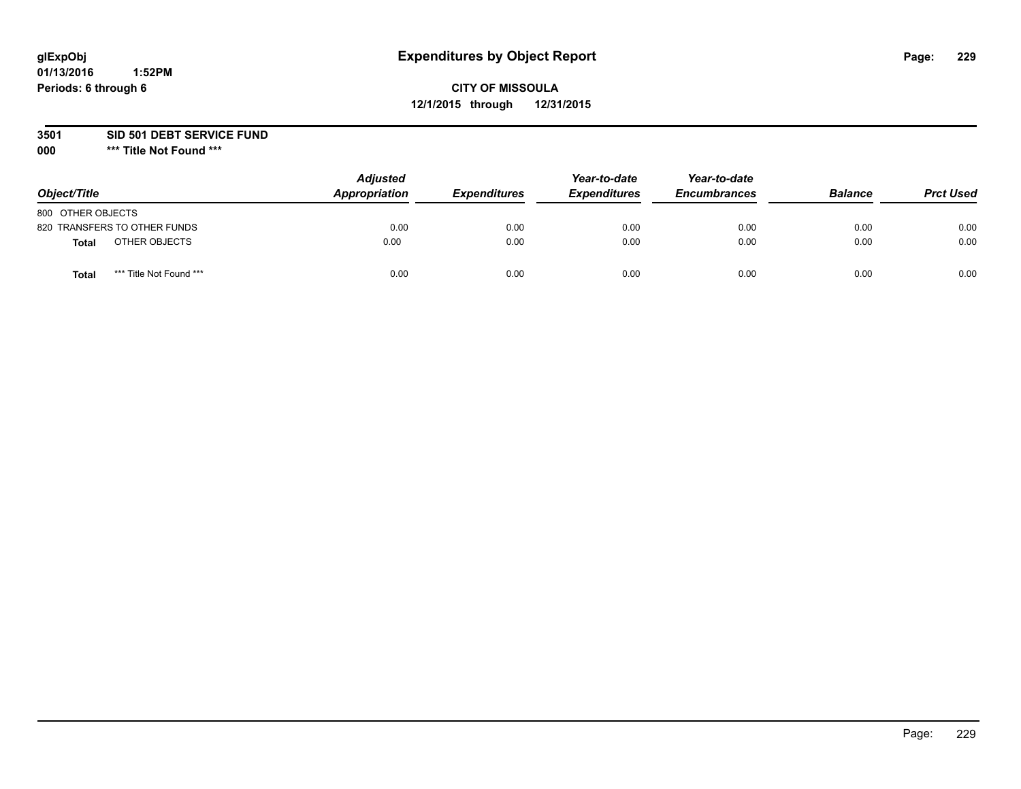## **CITY OF MISSOULA 12/1/2015 through 12/31/2015**

**3501 SID 501 DEBT SERVICE FUND**

| Object/Title                            | <b>Adjusted</b><br>Appropriation | <b>Expenditures</b> | Year-to-date<br><b>Expenditures</b> | Year-to-date<br><b>Encumbrances</b> | <b>Balance</b> | <b>Prct Used</b> |
|-----------------------------------------|----------------------------------|---------------------|-------------------------------------|-------------------------------------|----------------|------------------|
| 800 OTHER OBJECTS                       |                                  |                     |                                     |                                     |                |                  |
| 820 TRANSFERS TO OTHER FUNDS            | 0.00                             | 0.00                | 0.00                                | 0.00                                | 0.00           | 0.00             |
| OTHER OBJECTS<br><b>Total</b>           | 0.00                             | 0.00                | 0.00                                | 0.00                                | 0.00           | 0.00             |
| *** Title Not Found ***<br><b>Total</b> | 0.00                             | 0.00                | 0.00                                | 0.00                                | 0.00           | 0.00             |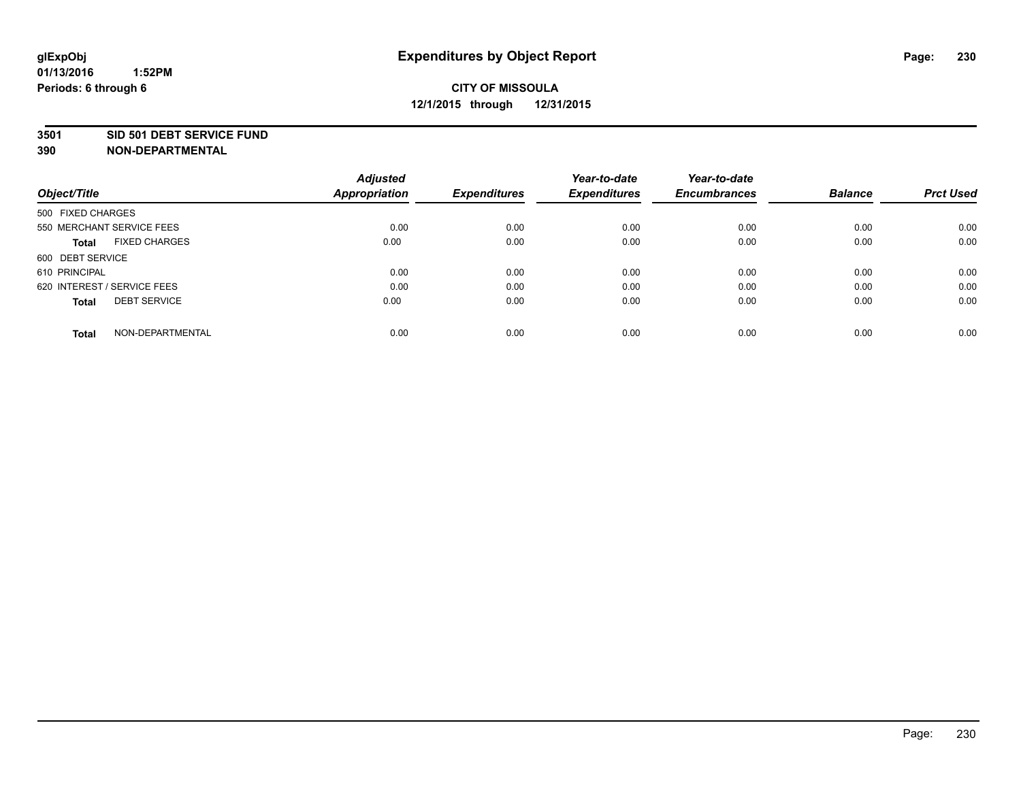#### **3501 SID 501 DEBT SERVICE FUND**

| Object/Title                         | <b>Adjusted</b><br><b>Appropriation</b> | <b>Expenditures</b> | Year-to-date<br><b>Expenditures</b> | Year-to-date<br><b>Encumbrances</b> | <b>Balance</b> | <b>Prct Used</b> |
|--------------------------------------|-----------------------------------------|---------------------|-------------------------------------|-------------------------------------|----------------|------------------|
|                                      |                                         |                     |                                     |                                     |                |                  |
| 500 FIXED CHARGES                    |                                         |                     |                                     |                                     |                |                  |
| 550 MERCHANT SERVICE FEES            | 0.00                                    | 0.00                | 0.00                                | 0.00                                | 0.00           | 0.00             |
| <b>FIXED CHARGES</b><br><b>Total</b> | 0.00                                    | 0.00                | 0.00                                | 0.00                                | 0.00           | 0.00             |
| 600 DEBT SERVICE                     |                                         |                     |                                     |                                     |                |                  |
| 610 PRINCIPAL                        | 0.00                                    | 0.00                | 0.00                                | 0.00                                | 0.00           | 0.00             |
| 620 INTEREST / SERVICE FEES          | 0.00                                    | 0.00                | 0.00                                | 0.00                                | 0.00           | 0.00             |
| <b>DEBT SERVICE</b><br>Total         | 0.00                                    | 0.00                | 0.00                                | 0.00                                | 0.00           | 0.00             |
|                                      |                                         |                     |                                     |                                     |                |                  |
| NON-DEPARTMENTAL<br><b>Total</b>     | 0.00                                    | 0.00                | 0.00                                | 0.00                                | 0.00           | 0.00             |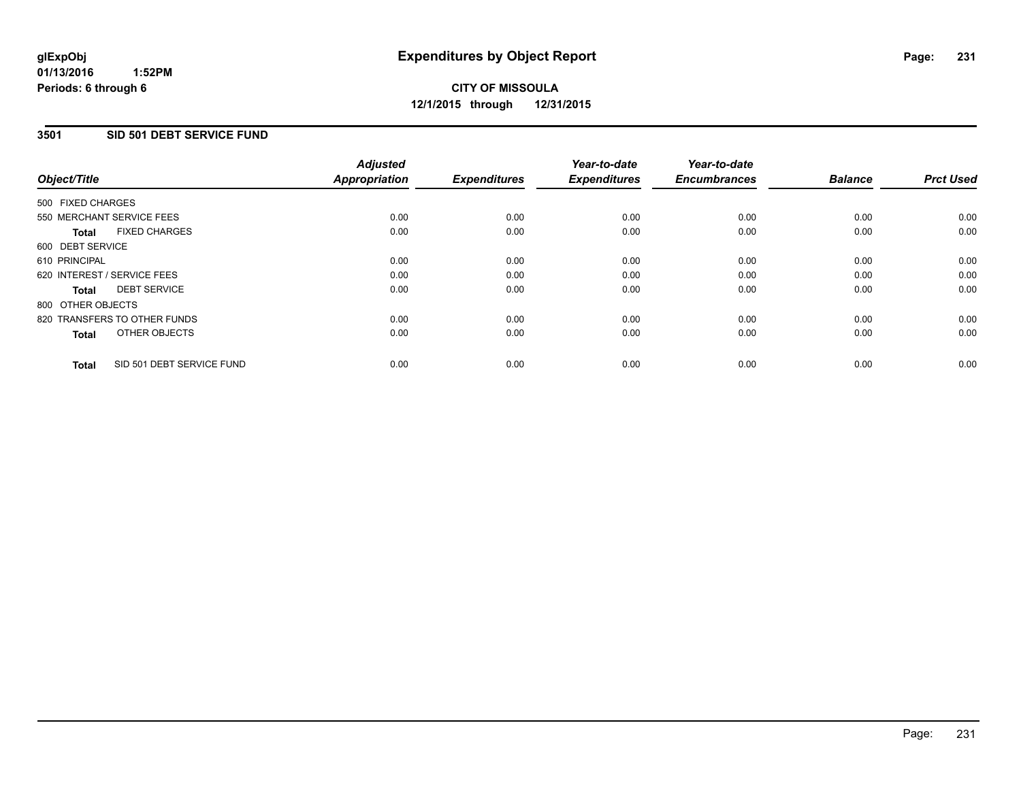#### **3501 SID 501 DEBT SERVICE FUND**

| Object/Title                              | <b>Adjusted</b><br><b>Appropriation</b> | <b>Expenditures</b> | Year-to-date<br><b>Expenditures</b> | Year-to-date<br><b>Encumbrances</b> | <b>Balance</b> | <b>Prct Used</b> |
|-------------------------------------------|-----------------------------------------|---------------------|-------------------------------------|-------------------------------------|----------------|------------------|
| 500 FIXED CHARGES                         |                                         |                     |                                     |                                     |                |                  |
| 550 MERCHANT SERVICE FEES                 | 0.00                                    | 0.00                | 0.00                                | 0.00                                | 0.00           | 0.00             |
| <b>FIXED CHARGES</b><br>Total             | 0.00                                    | 0.00                | 0.00                                | 0.00                                | 0.00           | 0.00             |
| 600 DEBT SERVICE                          |                                         |                     |                                     |                                     |                |                  |
| 610 PRINCIPAL                             | 0.00                                    | 0.00                | 0.00                                | 0.00                                | 0.00           | 0.00             |
| 620 INTEREST / SERVICE FEES               | 0.00                                    | 0.00                | 0.00                                | 0.00                                | 0.00           | 0.00             |
| <b>DEBT SERVICE</b><br>Total              | 0.00                                    | 0.00                | 0.00                                | 0.00                                | 0.00           | 0.00             |
| 800 OTHER OBJECTS                         |                                         |                     |                                     |                                     |                |                  |
| 820 TRANSFERS TO OTHER FUNDS              | 0.00                                    | 0.00                | 0.00                                | 0.00                                | 0.00           | 0.00             |
| OTHER OBJECTS<br><b>Total</b>             | 0.00                                    | 0.00                | 0.00                                | 0.00                                | 0.00           | 0.00             |
| SID 501 DEBT SERVICE FUND<br><b>Total</b> | 0.00                                    | 0.00                | 0.00                                | 0.00                                | 0.00           | 0.00             |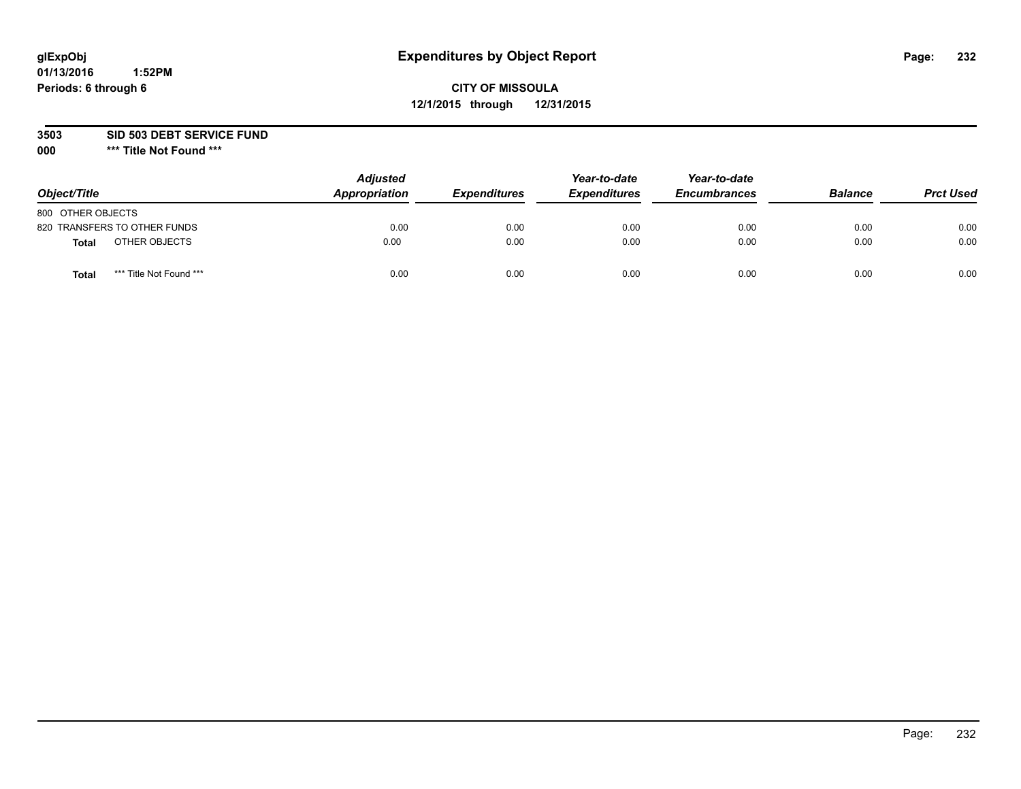## **CITY OF MISSOULA 12/1/2015 through 12/31/2015**

**3503 SID 503 DEBT SERVICE FUND**

| Object/Title                            | <b>Adjusted</b><br>Appropriation | <b>Expenditures</b> | Year-to-date<br><b>Expenditures</b> | Year-to-date<br><b>Encumbrances</b> | <b>Balance</b> | <b>Prct Used</b> |
|-----------------------------------------|----------------------------------|---------------------|-------------------------------------|-------------------------------------|----------------|------------------|
| 800 OTHER OBJECTS                       |                                  |                     |                                     |                                     |                |                  |
| 820 TRANSFERS TO OTHER FUNDS            | 0.00                             | 0.00                | 0.00                                | 0.00                                | 0.00           | 0.00             |
| OTHER OBJECTS<br><b>Total</b>           | 0.00                             | 0.00                | 0.00                                | 0.00                                | 0.00           | 0.00             |
| *** Title Not Found ***<br><b>Total</b> | 0.00                             | 0.00                | 0.00                                | 0.00                                | 0.00           | 0.00             |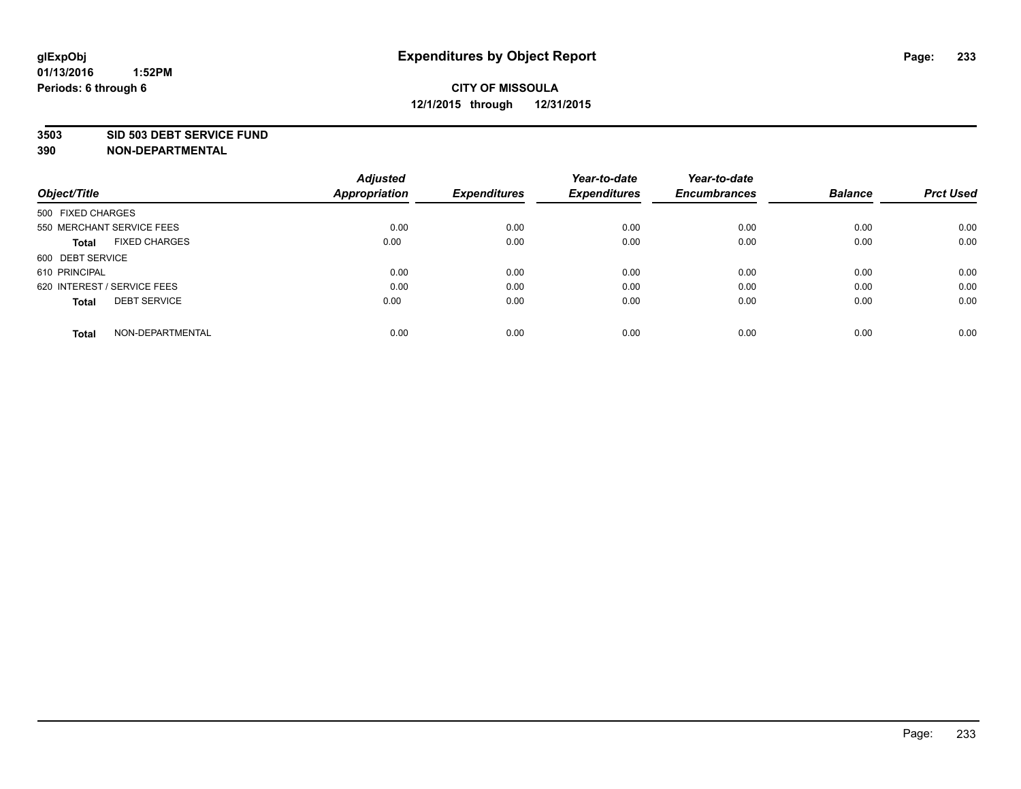#### **3503 SID 503 DEBT SERVICE FUND**

| Object/Title                         | <b>Adjusted</b><br><b>Appropriation</b> | <b>Expenditures</b> | Year-to-date<br><b>Expenditures</b> | Year-to-date<br><b>Encumbrances</b> | <b>Balance</b> | <b>Prct Used</b> |
|--------------------------------------|-----------------------------------------|---------------------|-------------------------------------|-------------------------------------|----------------|------------------|
|                                      |                                         |                     |                                     |                                     |                |                  |
| 500 FIXED CHARGES                    |                                         |                     |                                     |                                     |                |                  |
| 550 MERCHANT SERVICE FEES            | 0.00                                    | 0.00                | 0.00                                | 0.00                                | 0.00           | 0.00             |
| <b>FIXED CHARGES</b><br><b>Total</b> | 0.00                                    | 0.00                | 0.00                                | 0.00                                | 0.00           | 0.00             |
| 600 DEBT SERVICE                     |                                         |                     |                                     |                                     |                |                  |
| 610 PRINCIPAL                        | 0.00                                    | 0.00                | 0.00                                | 0.00                                | 0.00           | 0.00             |
| 620 INTEREST / SERVICE FEES          | 0.00                                    | 0.00                | 0.00                                | 0.00                                | 0.00           | 0.00             |
| <b>DEBT SERVICE</b><br>Total         | 0.00                                    | 0.00                | 0.00                                | 0.00                                | 0.00           | 0.00             |
|                                      |                                         |                     |                                     |                                     |                |                  |
| NON-DEPARTMENTAL<br><b>Total</b>     | 0.00                                    | 0.00                | 0.00                                | 0.00                                | 0.00           | 0.00             |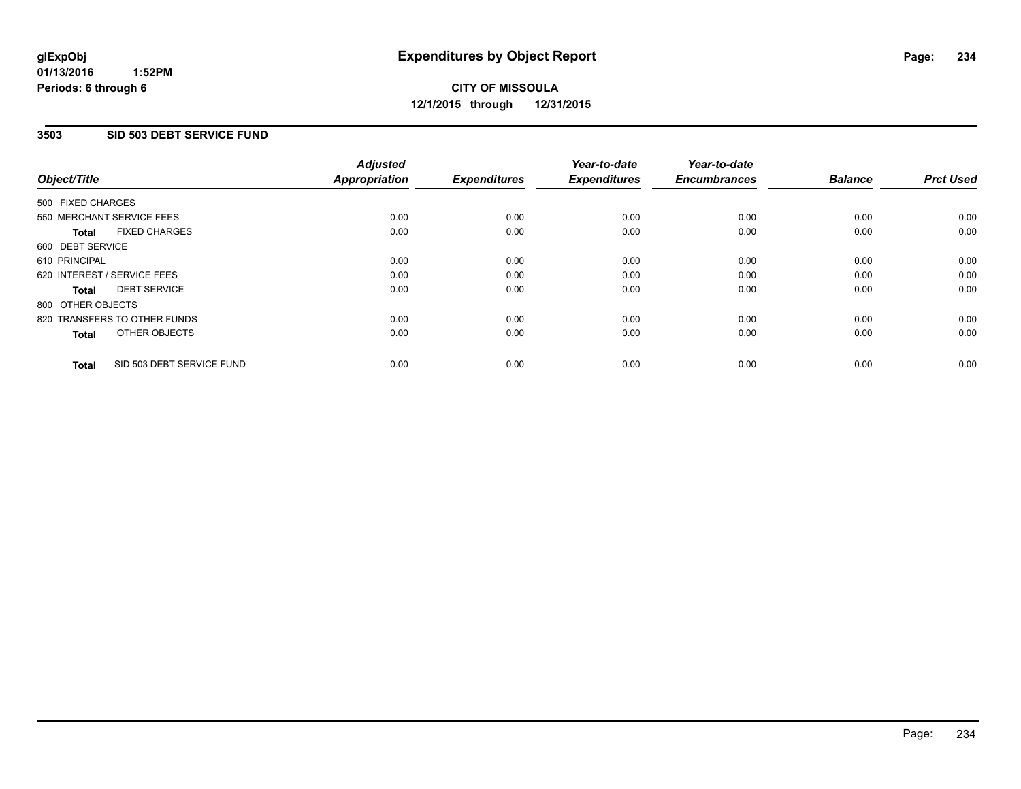#### **3503 SID 503 DEBT SERVICE FUND**

| Object/Title      |                              | <b>Adjusted</b><br>Appropriation | <b>Expenditures</b> | Year-to-date<br><b>Expenditures</b> | Year-to-date<br><b>Encumbrances</b> | <b>Balance</b> | <b>Prct Used</b> |
|-------------------|------------------------------|----------------------------------|---------------------|-------------------------------------|-------------------------------------|----------------|------------------|
| 500 FIXED CHARGES |                              |                                  |                     |                                     |                                     |                |                  |
|                   | 550 MERCHANT SERVICE FEES    | 0.00                             | 0.00                | 0.00                                | 0.00                                | 0.00           | 0.00             |
| <b>Total</b>      | <b>FIXED CHARGES</b>         | 0.00                             | 0.00                | 0.00                                | 0.00                                | 0.00           | 0.00             |
| 600 DEBT SERVICE  |                              |                                  |                     |                                     |                                     |                |                  |
| 610 PRINCIPAL     |                              | 0.00                             | 0.00                | 0.00                                | 0.00                                | 0.00           | 0.00             |
|                   | 620 INTEREST / SERVICE FEES  | 0.00                             | 0.00                | 0.00                                | 0.00                                | 0.00           | 0.00             |
| Total             | <b>DEBT SERVICE</b>          | 0.00                             | 0.00                | 0.00                                | 0.00                                | 0.00           | 0.00             |
| 800 OTHER OBJECTS |                              |                                  |                     |                                     |                                     |                |                  |
|                   | 820 TRANSFERS TO OTHER FUNDS | 0.00                             | 0.00                | 0.00                                | 0.00                                | 0.00           | 0.00             |
| <b>Total</b>      | OTHER OBJECTS                | 0.00                             | 0.00                | 0.00                                | 0.00                                | 0.00           | 0.00             |
| <b>Total</b>      | SID 503 DEBT SERVICE FUND    | 0.00                             | 0.00                | 0.00                                | 0.00                                | 0.00           | 0.00             |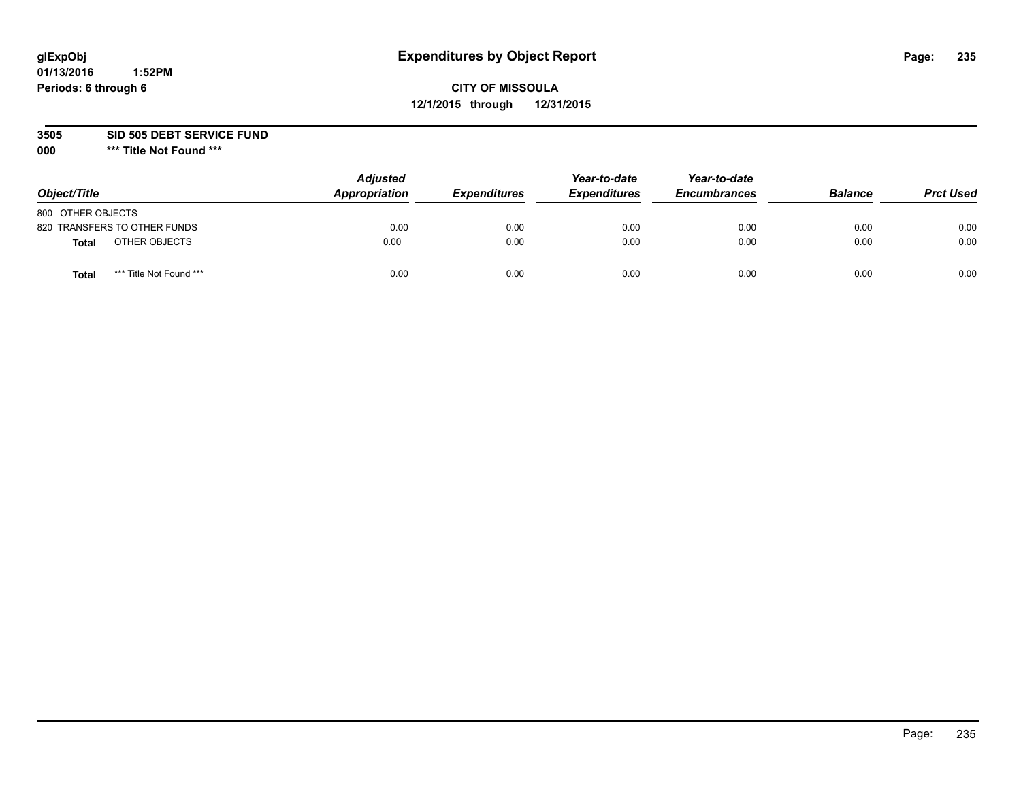## **CITY OF MISSOULA 12/1/2015 through 12/31/2015**

**3505 SID 505 DEBT SERVICE FUND**

| Object/Title                            | <b>Adjusted</b><br>Appropriation | <b>Expenditures</b> | Year-to-date<br><b>Expenditures</b> | Year-to-date<br><b>Encumbrances</b> | <b>Balance</b> | <b>Prct Used</b> |
|-----------------------------------------|----------------------------------|---------------------|-------------------------------------|-------------------------------------|----------------|------------------|
| 800 OTHER OBJECTS                       |                                  |                     |                                     |                                     |                |                  |
| 820 TRANSFERS TO OTHER FUNDS            | 0.00                             | 0.00                | 0.00                                | 0.00                                | 0.00           | 0.00             |
| OTHER OBJECTS<br><b>Total</b>           | 0.00                             | 0.00                | 0.00                                | 0.00                                | 0.00           | 0.00             |
| *** Title Not Found ***<br><b>Total</b> | 0.00                             | 0.00                | 0.00                                | 0.00                                | 0.00           | 0.00             |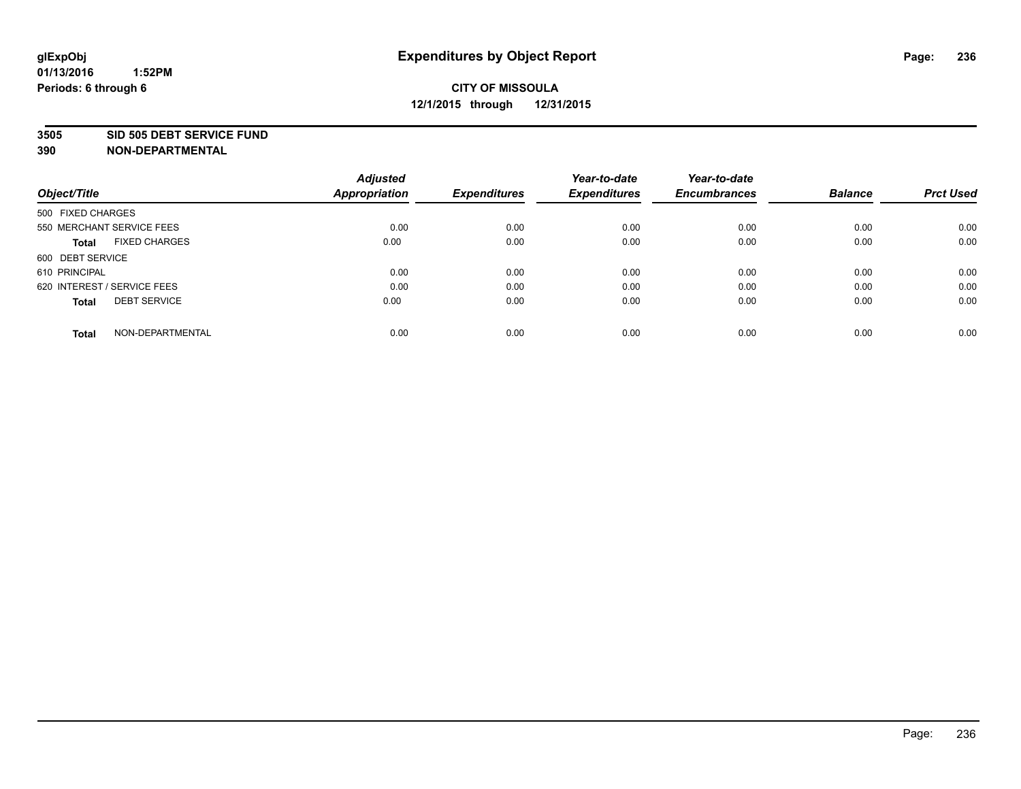#### **3505 SID 505 DEBT SERVICE FUND**

| Object/Title                         | <b>Adjusted</b><br><b>Appropriation</b> | <b>Expenditures</b> | Year-to-date<br><b>Expenditures</b> | Year-to-date<br><b>Encumbrances</b> | <b>Balance</b> | <b>Prct Used</b> |
|--------------------------------------|-----------------------------------------|---------------------|-------------------------------------|-------------------------------------|----------------|------------------|
|                                      |                                         |                     |                                     |                                     |                |                  |
| 500 FIXED CHARGES                    |                                         |                     |                                     |                                     |                |                  |
| 550 MERCHANT SERVICE FEES            | 0.00                                    | 0.00                | 0.00                                | 0.00                                | 0.00           | 0.00             |
| <b>FIXED CHARGES</b><br><b>Total</b> | 0.00                                    | 0.00                | 0.00                                | 0.00                                | 0.00           | 0.00             |
| 600 DEBT SERVICE                     |                                         |                     |                                     |                                     |                |                  |
| 610 PRINCIPAL                        | 0.00                                    | 0.00                | 0.00                                | 0.00                                | 0.00           | 0.00             |
| 620 INTEREST / SERVICE FEES          | 0.00                                    | 0.00                | 0.00                                | 0.00                                | 0.00           | 0.00             |
| <b>DEBT SERVICE</b><br>Total         | 0.00                                    | 0.00                | 0.00                                | 0.00                                | 0.00           | 0.00             |
|                                      |                                         |                     |                                     |                                     |                |                  |
| NON-DEPARTMENTAL<br><b>Total</b>     | 0.00                                    | 0.00                | 0.00                                | 0.00                                | 0.00           | 0.00             |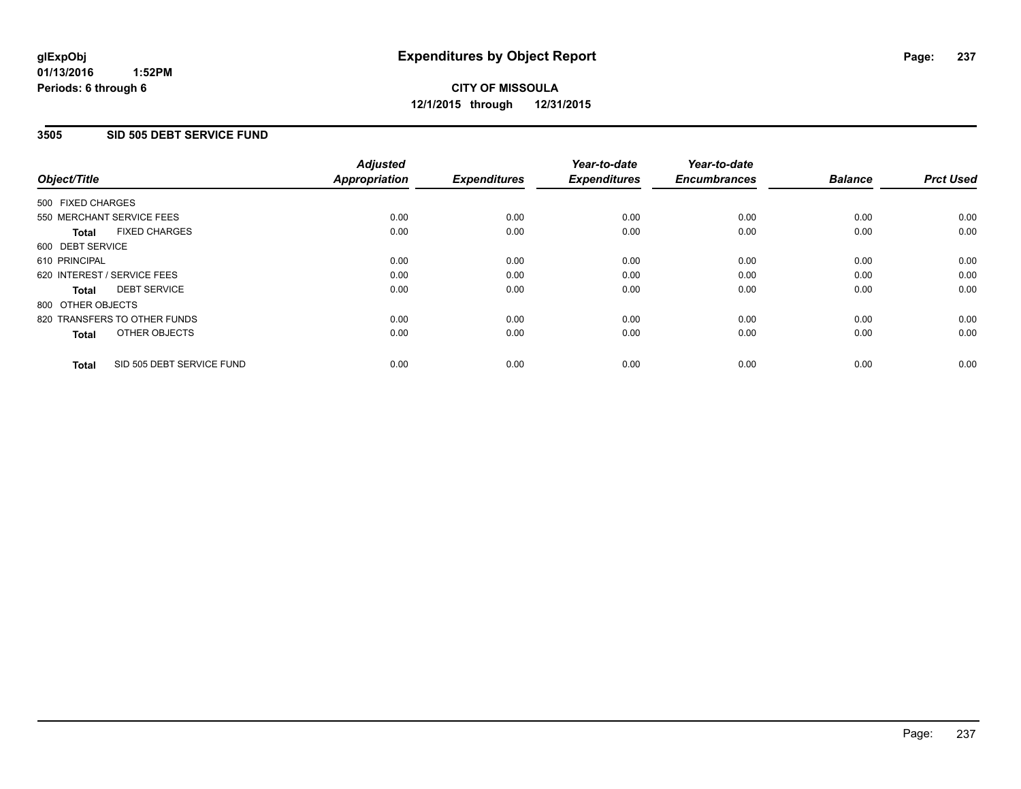#### **01/13/2016 1:52PM Periods: 6 through 6**

## **CITY OF MISSOULA 12/1/2015 through 12/31/2015**

#### **3505 SID 505 DEBT SERVICE FUND**

| Object/Title      |                              | <b>Adjusted</b><br>Appropriation | <b>Expenditures</b> | Year-to-date<br><b>Expenditures</b> | Year-to-date<br><b>Encumbrances</b> | <b>Balance</b> | <b>Prct Used</b> |
|-------------------|------------------------------|----------------------------------|---------------------|-------------------------------------|-------------------------------------|----------------|------------------|
| 500 FIXED CHARGES |                              |                                  |                     |                                     |                                     |                |                  |
|                   | 550 MERCHANT SERVICE FEES    | 0.00                             | 0.00                | 0.00                                | 0.00                                | 0.00           | 0.00             |
| <b>Total</b>      | <b>FIXED CHARGES</b>         | 0.00                             | 0.00                | 0.00                                | 0.00                                | 0.00           | 0.00             |
| 600 DEBT SERVICE  |                              |                                  |                     |                                     |                                     |                |                  |
| 610 PRINCIPAL     |                              | 0.00                             | 0.00                | 0.00                                | 0.00                                | 0.00           | 0.00             |
|                   | 620 INTEREST / SERVICE FEES  | 0.00                             | 0.00                | 0.00                                | 0.00                                | 0.00           | 0.00             |
| Total             | <b>DEBT SERVICE</b>          | 0.00                             | 0.00                | 0.00                                | 0.00                                | 0.00           | 0.00             |
| 800 OTHER OBJECTS |                              |                                  |                     |                                     |                                     |                |                  |
|                   | 820 TRANSFERS TO OTHER FUNDS | 0.00                             | 0.00                | 0.00                                | 0.00                                | 0.00           | 0.00             |
| <b>Total</b>      | OTHER OBJECTS                | 0.00                             | 0.00                | 0.00                                | 0.00                                | 0.00           | 0.00             |
| <b>Total</b>      | SID 505 DEBT SERVICE FUND    | 0.00                             | 0.00                | 0.00                                | 0.00                                | 0.00           | 0.00             |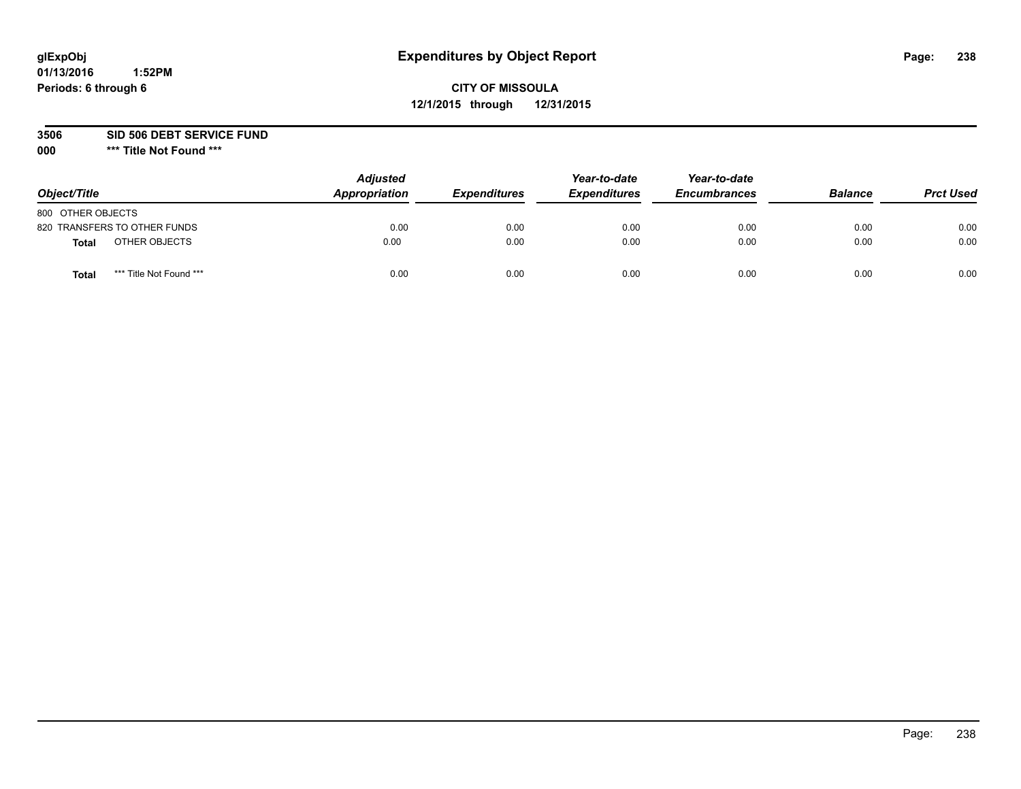## **CITY OF MISSOULA 12/1/2015 through 12/31/2015**

**3506 SID 506 DEBT SERVICE FUND**

| Object/Title                            | <b>Adjusted</b><br>Appropriation | <b>Expenditures</b> | Year-to-date<br><b>Expenditures</b> | Year-to-date<br><b>Encumbrances</b> | <b>Balance</b> | <b>Prct Used</b> |
|-----------------------------------------|----------------------------------|---------------------|-------------------------------------|-------------------------------------|----------------|------------------|
| 800 OTHER OBJECTS                       |                                  |                     |                                     |                                     |                |                  |
| 820 TRANSFERS TO OTHER FUNDS            | 0.00                             | 0.00                | 0.00                                | 0.00                                | 0.00           | 0.00             |
| OTHER OBJECTS<br><b>Total</b>           | 0.00                             | 0.00                | 0.00                                | 0.00                                | 0.00           | 0.00             |
| *** Title Not Found ***<br><b>Total</b> | 0.00                             | 0.00                | 0.00                                | 0.00                                | 0.00           | 0.00             |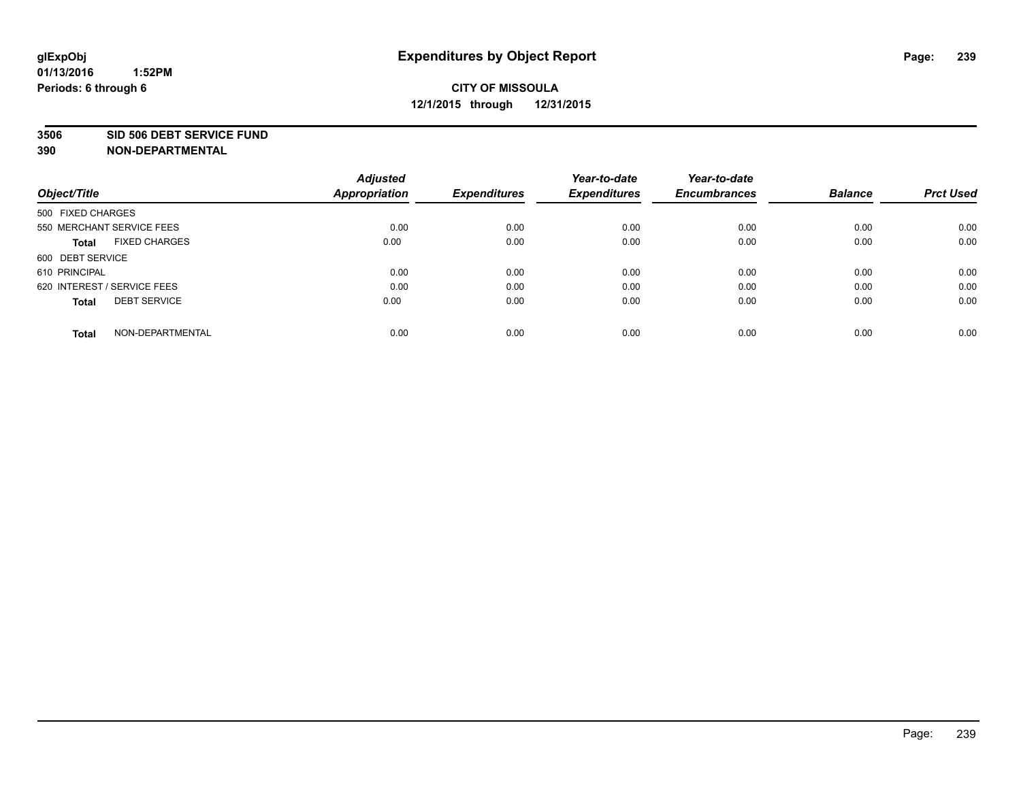#### **3506 SID 506 DEBT SERVICE FUND**

| Object/Title                         | <b>Adjusted</b><br><b>Appropriation</b> | <b>Expenditures</b> | Year-to-date<br><b>Expenditures</b> | Year-to-date<br><b>Encumbrances</b> | <b>Balance</b> | <b>Prct Used</b> |
|--------------------------------------|-----------------------------------------|---------------------|-------------------------------------|-------------------------------------|----------------|------------------|
|                                      |                                         |                     |                                     |                                     |                |                  |
| 500 FIXED CHARGES                    |                                         |                     |                                     |                                     |                |                  |
| 550 MERCHANT SERVICE FEES            | 0.00                                    | 0.00                | 0.00                                | 0.00                                | 0.00           | 0.00             |
| <b>FIXED CHARGES</b><br><b>Total</b> | 0.00                                    | 0.00                | 0.00                                | 0.00                                | 0.00           | 0.00             |
| 600 DEBT SERVICE                     |                                         |                     |                                     |                                     |                |                  |
| 610 PRINCIPAL                        | 0.00                                    | 0.00                | 0.00                                | 0.00                                | 0.00           | 0.00             |
| 620 INTEREST / SERVICE FEES          | 0.00                                    | 0.00                | 0.00                                | 0.00                                | 0.00           | 0.00             |
| <b>DEBT SERVICE</b><br>Total         | 0.00                                    | 0.00                | 0.00                                | 0.00                                | 0.00           | 0.00             |
|                                      |                                         |                     |                                     |                                     |                |                  |
| NON-DEPARTMENTAL<br><b>Total</b>     | 0.00                                    | 0.00                | 0.00                                | 0.00                                | 0.00           | 0.00             |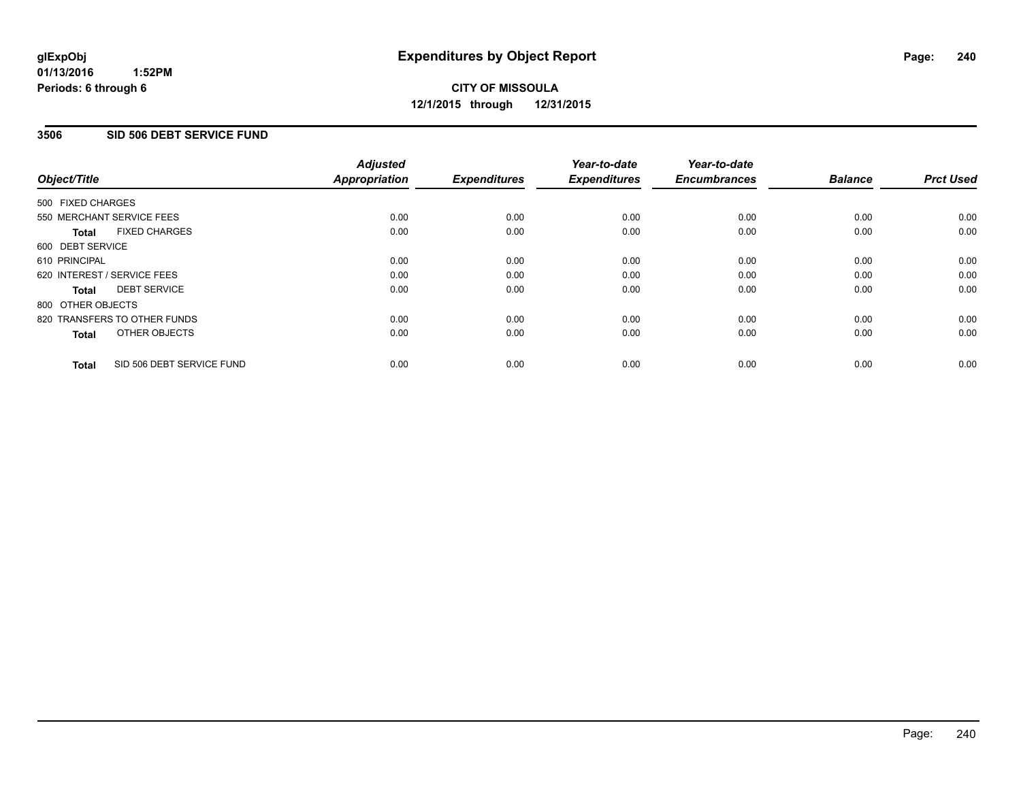#### **01/13/2016 1:52PM Periods: 6 through 6**

## **CITY OF MISSOULA 12/1/2015 through 12/31/2015**

#### **3506 SID 506 DEBT SERVICE FUND**

| Object/Title      |                              | <b>Adjusted</b><br>Appropriation | <b>Expenditures</b> | Year-to-date<br><b>Expenditures</b> | Year-to-date<br><b>Encumbrances</b> | <b>Balance</b> | <b>Prct Used</b> |
|-------------------|------------------------------|----------------------------------|---------------------|-------------------------------------|-------------------------------------|----------------|------------------|
| 500 FIXED CHARGES |                              |                                  |                     |                                     |                                     |                |                  |
|                   | 550 MERCHANT SERVICE FEES    | 0.00                             | 0.00                | 0.00                                | 0.00                                | 0.00           | 0.00             |
| <b>Total</b>      | <b>FIXED CHARGES</b>         | 0.00                             | 0.00                | 0.00                                | 0.00                                | 0.00           | 0.00             |
| 600 DEBT SERVICE  |                              |                                  |                     |                                     |                                     |                |                  |
| 610 PRINCIPAL     |                              | 0.00                             | 0.00                | 0.00                                | 0.00                                | 0.00           | 0.00             |
|                   | 620 INTEREST / SERVICE FEES  | 0.00                             | 0.00                | 0.00                                | 0.00                                | 0.00           | 0.00             |
| Total             | <b>DEBT SERVICE</b>          | 0.00                             | 0.00                | 0.00                                | 0.00                                | 0.00           | 0.00             |
| 800 OTHER OBJECTS |                              |                                  |                     |                                     |                                     |                |                  |
|                   | 820 TRANSFERS TO OTHER FUNDS | 0.00                             | 0.00                | 0.00                                | 0.00                                | 0.00           | 0.00             |
| <b>Total</b>      | OTHER OBJECTS                | 0.00                             | 0.00                | 0.00                                | 0.00                                | 0.00           | 0.00             |
| <b>Total</b>      | SID 506 DEBT SERVICE FUND    | 0.00                             | 0.00                | 0.00                                | 0.00                                | 0.00           | 0.00             |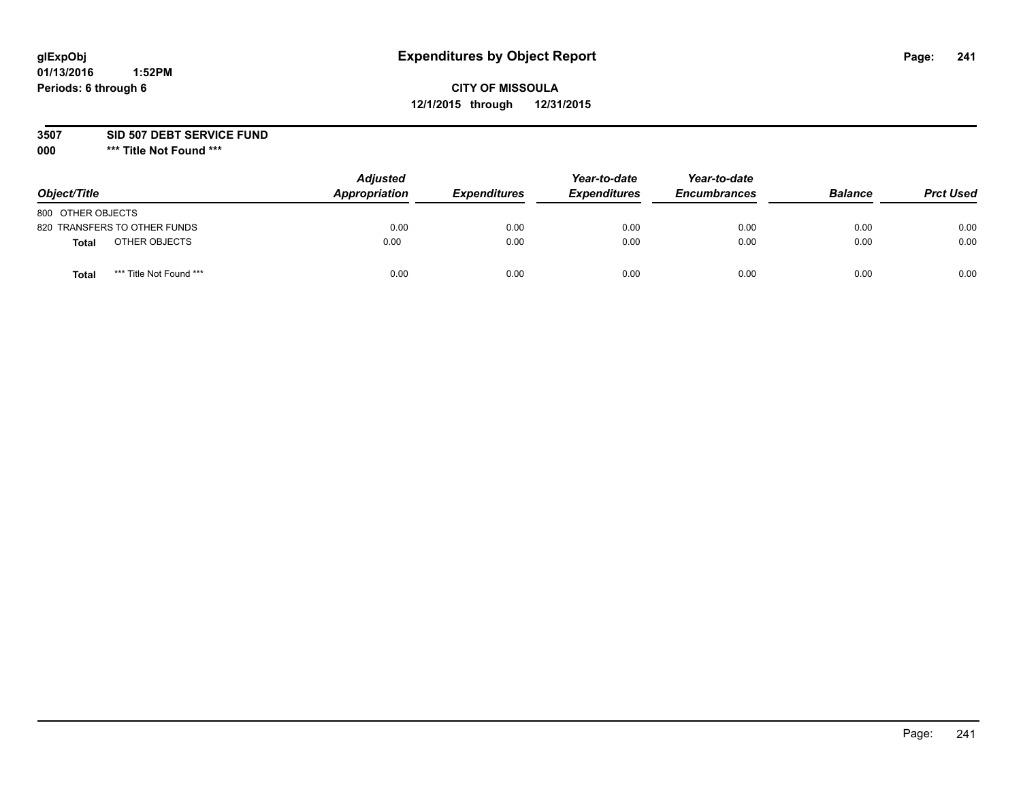## **CITY OF MISSOULA 12/1/2015 through 12/31/2015**

**3507 SID 507 DEBT SERVICE FUND**

| Object/Title                     | <b>Adjusted</b><br>Appropriation | <b>Expenditures</b> | Year-to-date<br><b>Expenditures</b> | Year-to-date<br><b>Encumbrances</b> | <b>Balance</b> | <b>Prct Used</b> |
|----------------------------------|----------------------------------|---------------------|-------------------------------------|-------------------------------------|----------------|------------------|
| 800 OTHER OBJECTS                |                                  |                     |                                     |                                     |                |                  |
| 820 TRANSFERS TO OTHER FUNDS     | 0.00                             | 0.00                | 0.00                                | 0.00                                | 0.00           | 0.00             |
| OTHER OBJECTS<br><b>Total</b>    | 0.00                             | 0.00                | 0.00                                | 0.00                                | 0.00           | 0.00             |
| *** Title Not Found ***<br>Total | 0.00                             | 0.00                | 0.00                                | 0.00                                | 0.00           | 0.00             |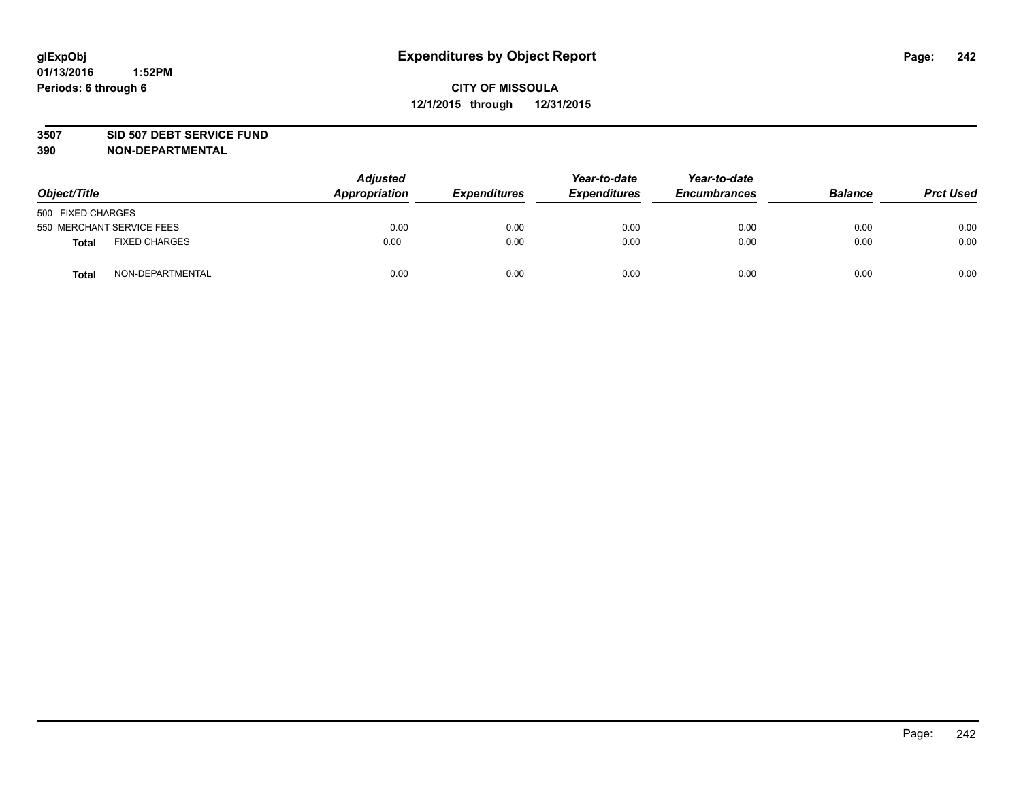#### **3507 SID 507 DEBT SERVICE FUND**

| Object/Title              |                      | <b>Adjusted</b><br>Appropriation | <b>Expenditures</b> | Year-to-date<br><b>Expenditures</b> | Year-to-date<br><b>Encumbrances</b> | <b>Balance</b> | <b>Prct Used</b> |
|---------------------------|----------------------|----------------------------------|---------------------|-------------------------------------|-------------------------------------|----------------|------------------|
| 500 FIXED CHARGES         |                      |                                  |                     |                                     |                                     |                |                  |
| 550 MERCHANT SERVICE FEES |                      | 0.00                             | 0.00                | 0.00                                | 0.00                                | 0.00           | 0.00             |
| <b>Total</b>              | <b>FIXED CHARGES</b> | 0.00                             | 0.00                | 0.00                                | 0.00                                | 0.00           | 0.00             |
| <b>Total</b>              | NON-DEPARTMENTAL     | 0.00                             | 0.00                | 0.00                                | 0.00                                | 0.00           | 0.00             |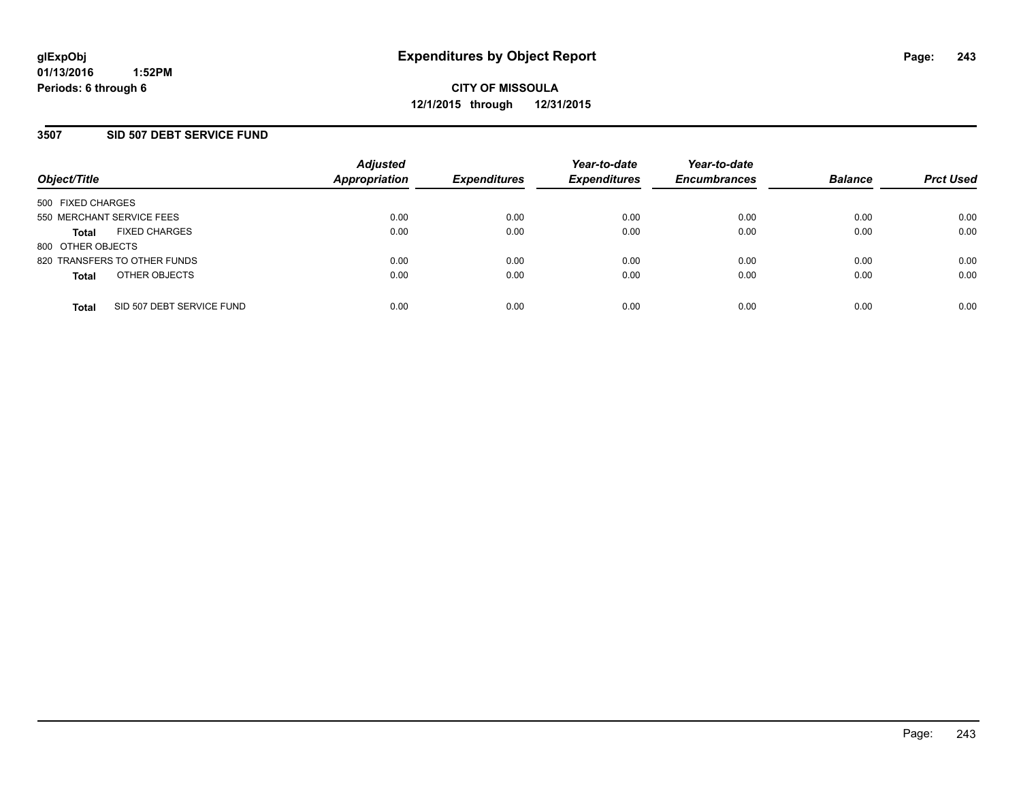#### **3507 SID 507 DEBT SERVICE FUND**

| Object/Title                              | <b>Adjusted</b><br>Appropriation | <b>Expenditures</b> | Year-to-date<br><b>Expenditures</b> | Year-to-date<br><b>Encumbrances</b> | <b>Balance</b> | <b>Prct Used</b> |
|-------------------------------------------|----------------------------------|---------------------|-------------------------------------|-------------------------------------|----------------|------------------|
| 500 FIXED CHARGES                         |                                  |                     |                                     |                                     |                |                  |
| 550 MERCHANT SERVICE FEES                 | 0.00                             | 0.00                | 0.00                                | 0.00                                | 0.00           | 0.00             |
| <b>FIXED CHARGES</b><br><b>Total</b>      | 0.00                             | 0.00                | 0.00                                | 0.00                                | 0.00           | 0.00             |
| 800 OTHER OBJECTS                         |                                  |                     |                                     |                                     |                |                  |
| 820 TRANSFERS TO OTHER FUNDS              | 0.00                             | 0.00                | 0.00                                | 0.00                                | 0.00           | 0.00             |
| OTHER OBJECTS<br><b>Total</b>             | 0.00                             | 0.00                | 0.00                                | 0.00                                | 0.00           | 0.00             |
| SID 507 DEBT SERVICE FUND<br><b>Total</b> | 0.00                             | 0.00                | 0.00                                | 0.00                                | 0.00           | 0.00             |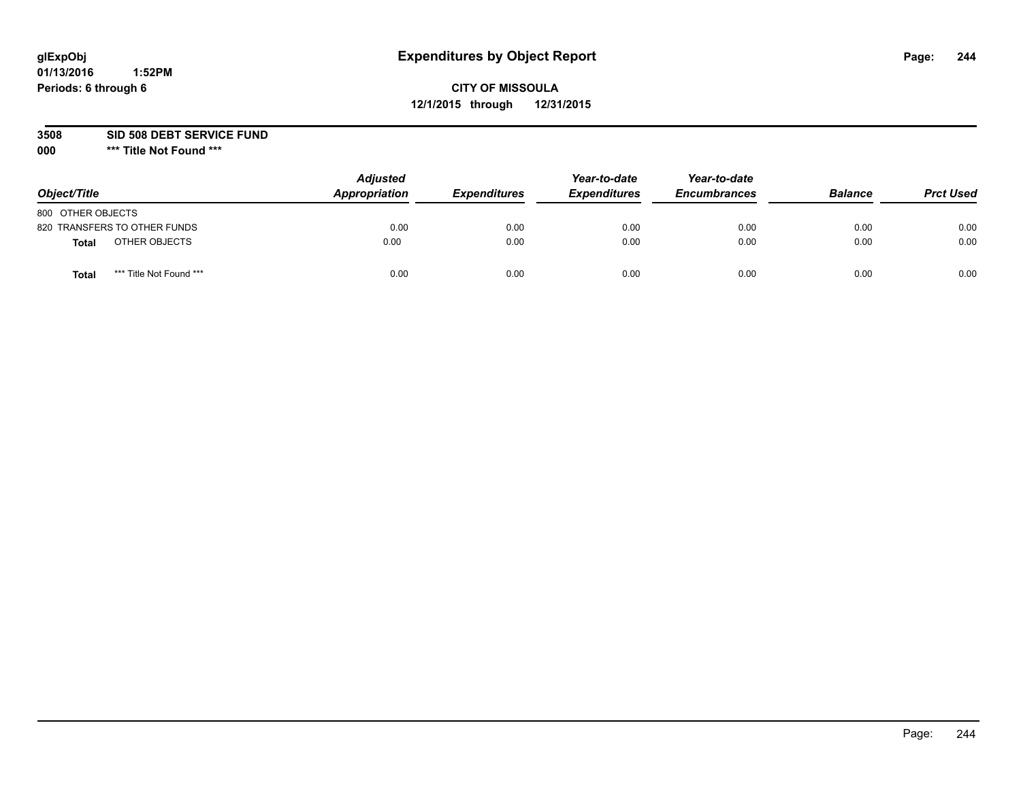## **CITY OF MISSOULA 12/1/2015 through 12/31/2015**

**3508 SID 508 DEBT SERVICE FUND**

| Object/Title                     | <b>Adjusted</b><br>Appropriation | <b>Expenditures</b> | Year-to-date<br><b>Expenditures</b> | Year-to-date<br><b>Encumbrances</b> | <b>Balance</b> | <b>Prct Used</b> |
|----------------------------------|----------------------------------|---------------------|-------------------------------------|-------------------------------------|----------------|------------------|
| 800 OTHER OBJECTS                |                                  |                     |                                     |                                     |                |                  |
| 820 TRANSFERS TO OTHER FUNDS     | 0.00                             | 0.00                | 0.00                                | 0.00                                | 0.00           | 0.00             |
| OTHER OBJECTS<br><b>Total</b>    | 0.00                             | 0.00                | 0.00                                | 0.00                                | 0.00           | 0.00             |
| *** Title Not Found ***<br>Total | 0.00                             | 0.00                | 0.00                                | 0.00                                | 0.00           | 0.00             |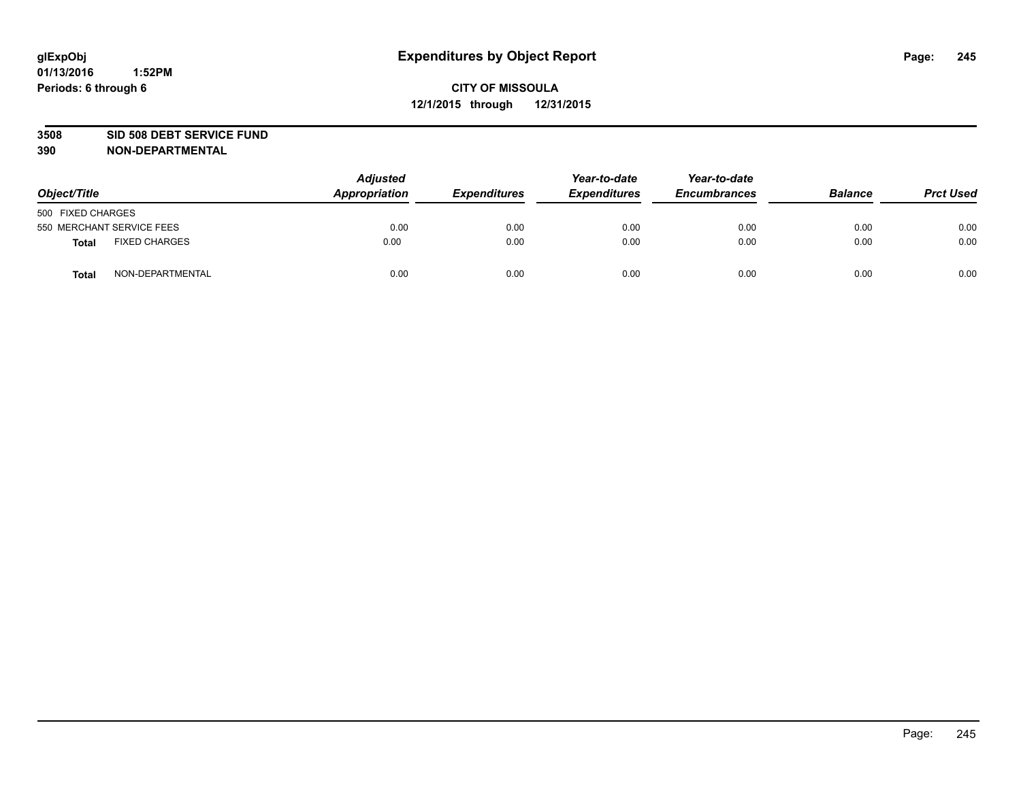#### **3508 SID 508 DEBT SERVICE FUND**

| Object/Title                         | <b>Adjusted</b><br>Appropriation | <b>Expenditures</b> | Year-to-date<br><b>Expenditures</b> | Year-to-date<br><b>Encumbrances</b> | <b>Balance</b> | <b>Prct Used</b> |
|--------------------------------------|----------------------------------|---------------------|-------------------------------------|-------------------------------------|----------------|------------------|
| 500 FIXED CHARGES                    |                                  |                     |                                     |                                     |                |                  |
| 550 MERCHANT SERVICE FEES            | 0.00                             | 0.00                | 0.00                                | 0.00                                | 0.00           | 0.00             |
| <b>FIXED CHARGES</b><br><b>Total</b> | 0.00                             | 0.00                | 0.00                                | 0.00                                | 0.00           | 0.00             |
| NON-DEPARTMENTAL<br>Total            | 0.00                             | 0.00                | 0.00                                | 0.00                                | 0.00           | 0.00             |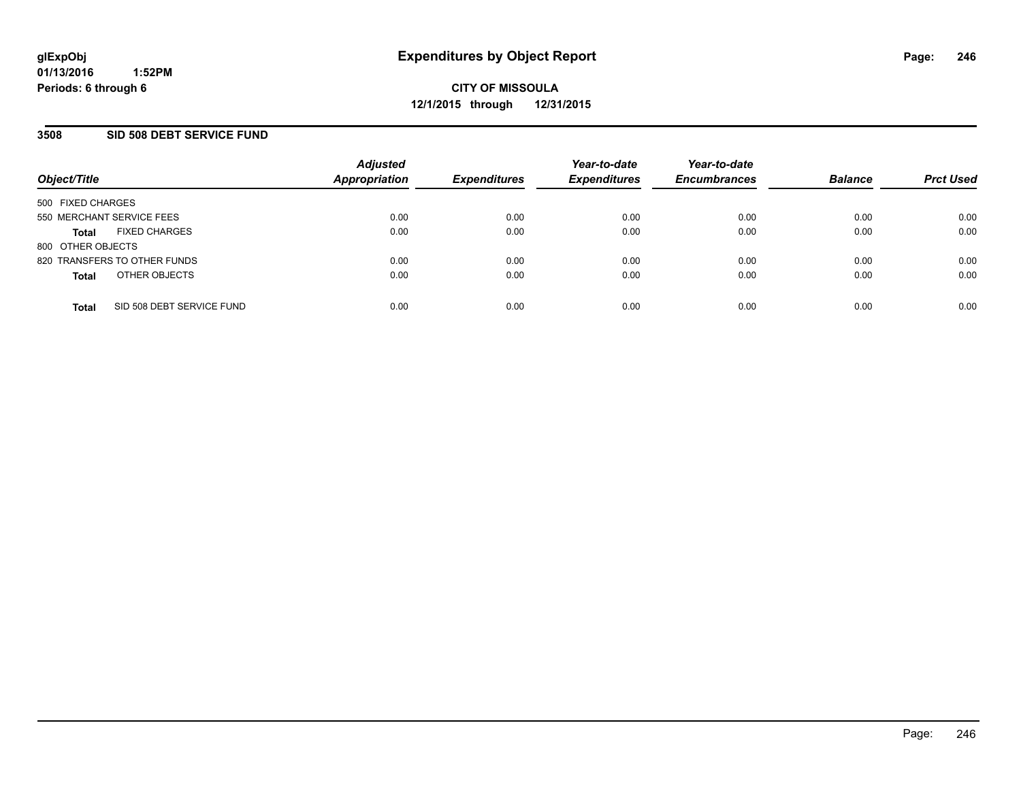#### **3508 SID 508 DEBT SERVICE FUND**

| Object/Title              |                              | <b>Adjusted</b><br><b>Appropriation</b> | <b>Expenditures</b> | Year-to-date<br><b>Expenditures</b> | Year-to-date<br><b>Encumbrances</b> | <b>Balance</b> | <b>Prct Used</b> |
|---------------------------|------------------------------|-----------------------------------------|---------------------|-------------------------------------|-------------------------------------|----------------|------------------|
| 500 FIXED CHARGES         |                              |                                         |                     |                                     |                                     |                |                  |
| 550 MERCHANT SERVICE FEES |                              | 0.00                                    | 0.00                | 0.00                                | 0.00                                | 0.00           | 0.00             |
| <b>Total</b>              | <b>FIXED CHARGES</b>         | 0.00                                    | 0.00                | 0.00                                | 0.00                                | 0.00           | 0.00             |
| 800 OTHER OBJECTS         |                              |                                         |                     |                                     |                                     |                |                  |
|                           | 820 TRANSFERS TO OTHER FUNDS | 0.00                                    | 0.00                | 0.00                                | 0.00                                | 0.00           | 0.00             |
| <b>Total</b>              | OTHER OBJECTS                | 0.00                                    | 0.00                | 0.00                                | 0.00                                | 0.00           | 0.00             |
| Total                     | SID 508 DEBT SERVICE FUND    | 0.00                                    | 0.00                | 0.00                                | 0.00                                | 0.00           | 0.00             |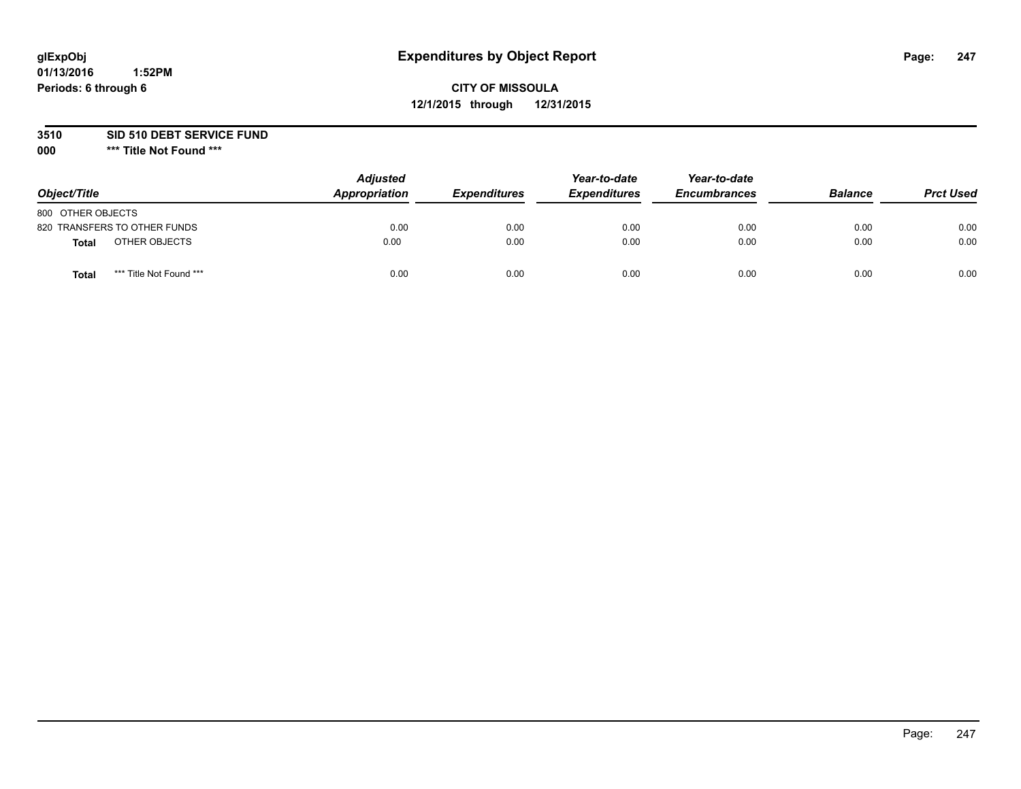## **CITY OF MISSOULA 12/1/2015 through 12/31/2015**

**3510 SID 510 DEBT SERVICE FUND**

| Object/Title                     | <b>Adjusted</b><br><b>Appropriation</b> | <i><b>Expenditures</b></i> | Year-to-date<br><b>Expenditures</b> | Year-to-date<br><b>Encumbrances</b> | <b>Balance</b> | <b>Prct Used</b> |
|----------------------------------|-----------------------------------------|----------------------------|-------------------------------------|-------------------------------------|----------------|------------------|
| 800 OTHER OBJECTS                |                                         |                            |                                     |                                     |                |                  |
| 820 TRANSFERS TO OTHER FUNDS     | 0.00                                    | 0.00                       | 0.00                                | 0.00                                | 0.00           | 0.00             |
| OTHER OBJECTS<br><b>Total</b>    | 0.00                                    | 0.00                       | 0.00                                | 0.00                                | 0.00           | 0.00             |
| *** Title Not Found ***<br>Total | 0.00                                    | 0.00                       | 0.00                                | 0.00                                | 0.00           | 0.00             |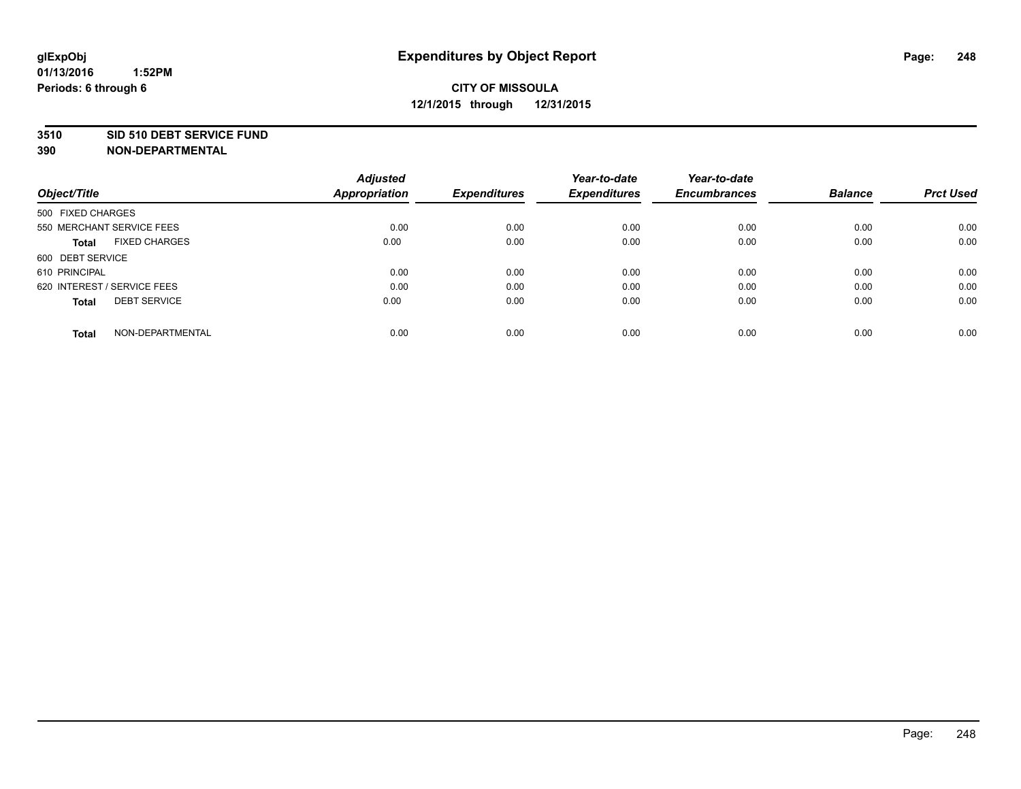#### **3510 SID 510 DEBT SERVICE FUND**

| Object/Title                         | <b>Adjusted</b><br><b>Appropriation</b> | <b>Expenditures</b> | Year-to-date<br><b>Expenditures</b> | Year-to-date<br><b>Encumbrances</b> | <b>Balance</b> | <b>Prct Used</b> |
|--------------------------------------|-----------------------------------------|---------------------|-------------------------------------|-------------------------------------|----------------|------------------|
|                                      |                                         |                     |                                     |                                     |                |                  |
| 500 FIXED CHARGES                    |                                         |                     |                                     |                                     |                |                  |
| 550 MERCHANT SERVICE FEES            | 0.00                                    | 0.00                | 0.00                                | 0.00                                | 0.00           | 0.00             |
| <b>FIXED CHARGES</b><br><b>Total</b> | 0.00                                    | 0.00                | 0.00                                | 0.00                                | 0.00           | 0.00             |
| 600 DEBT SERVICE                     |                                         |                     |                                     |                                     |                |                  |
| 610 PRINCIPAL                        | 0.00                                    | 0.00                | 0.00                                | 0.00                                | 0.00           | 0.00             |
| 620 INTEREST / SERVICE FEES          | 0.00                                    | 0.00                | 0.00                                | 0.00                                | 0.00           | 0.00             |
| <b>DEBT SERVICE</b><br>Total         | 0.00                                    | 0.00                | 0.00                                | 0.00                                | 0.00           | 0.00             |
|                                      |                                         |                     |                                     |                                     |                |                  |
| NON-DEPARTMENTAL<br><b>Total</b>     | 0.00                                    | 0.00                | 0.00                                | 0.00                                | 0.00           | 0.00             |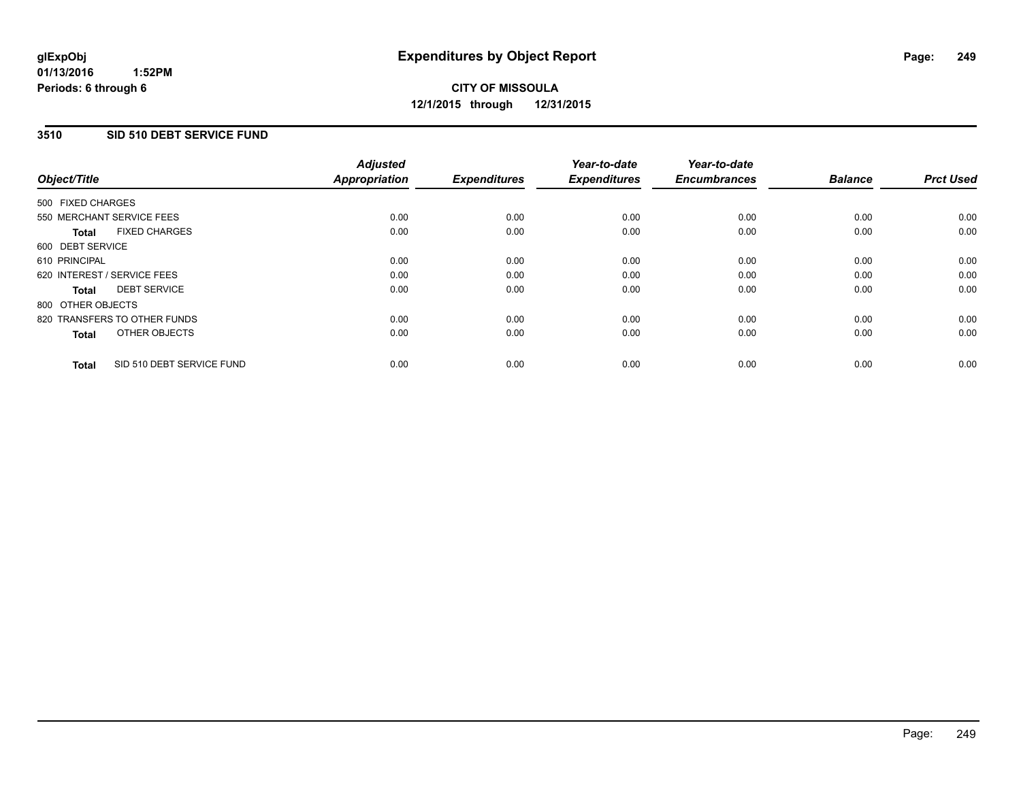#### **3510 SID 510 DEBT SERVICE FUND**

|                                           | <b>Adjusted</b>      | <b>Expenditures</b> | Year-to-date<br><b>Expenditures</b> | Year-to-date<br><b>Encumbrances</b> | <b>Balance</b> | <b>Prct Used</b> |
|-------------------------------------------|----------------------|---------------------|-------------------------------------|-------------------------------------|----------------|------------------|
| Object/Title                              | <b>Appropriation</b> |                     |                                     |                                     |                |                  |
| 500 FIXED CHARGES                         |                      |                     |                                     |                                     |                |                  |
| 550 MERCHANT SERVICE FEES                 | 0.00                 | 0.00                | 0.00                                | 0.00                                | 0.00           | 0.00             |
| <b>FIXED CHARGES</b><br>Total             | 0.00                 | 0.00                | 0.00                                | 0.00                                | 0.00           | 0.00             |
| 600 DEBT SERVICE                          |                      |                     |                                     |                                     |                |                  |
| 610 PRINCIPAL                             | 0.00                 | 0.00                | 0.00                                | 0.00                                | 0.00           | 0.00             |
| 620 INTEREST / SERVICE FEES               | 0.00                 | 0.00                | 0.00                                | 0.00                                | 0.00           | 0.00             |
| <b>DEBT SERVICE</b><br>Total              | 0.00                 | 0.00                | 0.00                                | 0.00                                | 0.00           | 0.00             |
| 800 OTHER OBJECTS                         |                      |                     |                                     |                                     |                |                  |
| 820 TRANSFERS TO OTHER FUNDS              | 0.00                 | 0.00                | 0.00                                | 0.00                                | 0.00           | 0.00             |
| OTHER OBJECTS<br><b>Total</b>             | 0.00                 | 0.00                | 0.00                                | 0.00                                | 0.00           | 0.00             |
| SID 510 DEBT SERVICE FUND<br><b>Total</b> | 0.00                 | 0.00                | 0.00                                | 0.00                                | 0.00           | 0.00             |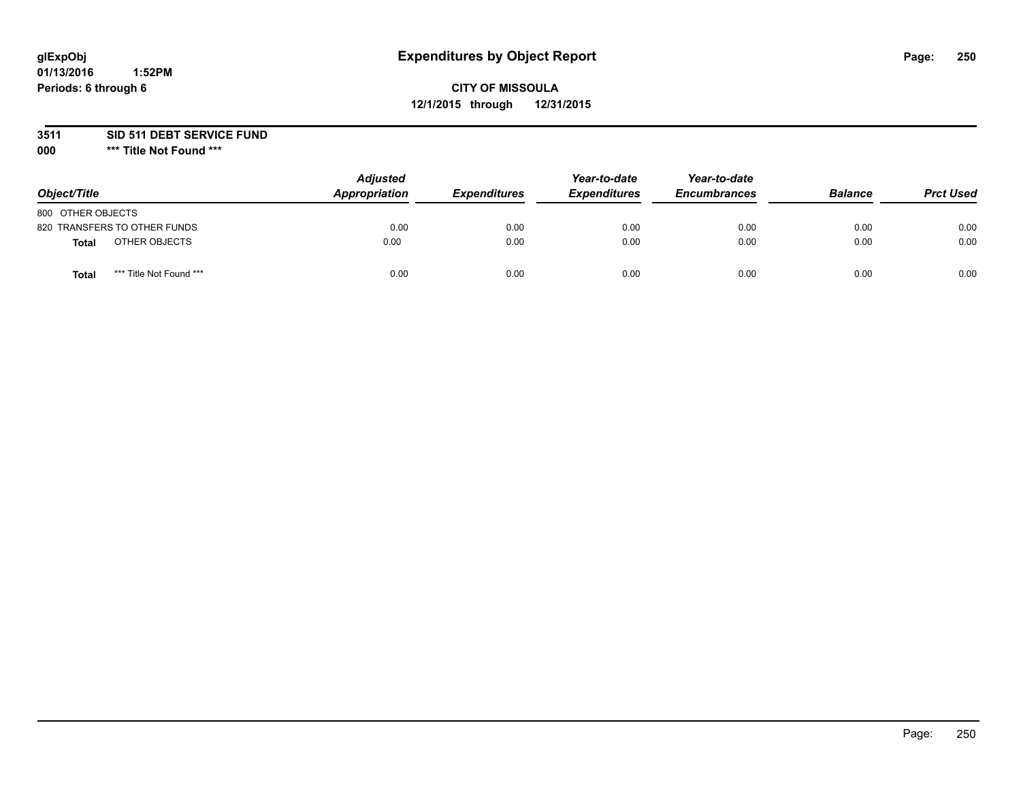## **CITY OF MISSOULA 12/1/2015 through 12/31/2015**

**3511 SID 511 DEBT SERVICE FUND**

| Object/Title                            | <b>Adjusted</b><br>Appropriation | <b>Expenditures</b> | Year-to-date<br><b>Expenditures</b> | Year-to-date<br><b>Encumbrances</b> | <b>Balance</b> | <b>Prct Used</b> |
|-----------------------------------------|----------------------------------|---------------------|-------------------------------------|-------------------------------------|----------------|------------------|
| 800 OTHER OBJECTS                       |                                  |                     |                                     |                                     |                |                  |
| 820 TRANSFERS TO OTHER FUNDS            | 0.00                             | 0.00                | 0.00                                | 0.00                                | 0.00           | 0.00             |
| OTHER OBJECTS<br><b>Total</b>           | 0.00                             | 0.00                | 0.00                                | 0.00                                | 0.00           | 0.00             |
| *** Title Not Found ***<br><b>Total</b> | 0.00                             | 0.00                | 0.00                                | 0.00                                | 0.00           | 0.00             |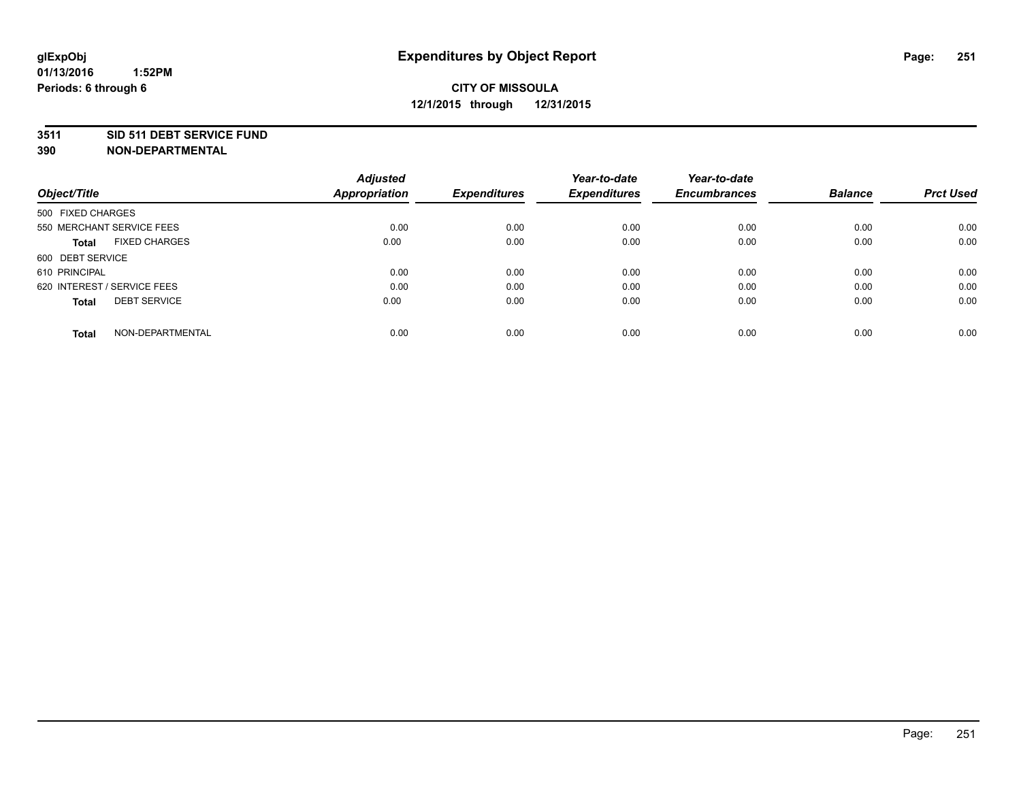#### **3511 SID 511 DEBT SERVICE FUND**

| Object/Title                        | <b>Adjusted</b><br><b>Appropriation</b> | <b>Expenditures</b> | Year-to-date<br><b>Expenditures</b> | Year-to-date<br><b>Encumbrances</b> | <b>Balance</b> | <b>Prct Used</b> |
|-------------------------------------|-----------------------------------------|---------------------|-------------------------------------|-------------------------------------|----------------|------------------|
|                                     |                                         |                     |                                     |                                     |                |                  |
| 500 FIXED CHARGES                   |                                         |                     |                                     |                                     |                |                  |
| 550 MERCHANT SERVICE FEES           | 0.00                                    | 0.00                | 0.00                                | 0.00                                | 0.00           | 0.00             |
| <b>FIXED CHARGES</b><br>Total       | 0.00                                    | 0.00                | 0.00                                | 0.00                                | 0.00           | 0.00             |
| 600 DEBT SERVICE                    |                                         |                     |                                     |                                     |                |                  |
| 610 PRINCIPAL                       | 0.00                                    | 0.00                | 0.00                                | 0.00                                | 0.00           | 0.00             |
| 620 INTEREST / SERVICE FEES         | 0.00                                    | 0.00                | 0.00                                | 0.00                                | 0.00           | 0.00             |
| <b>DEBT SERVICE</b><br><b>Total</b> | 0.00                                    | 0.00                | 0.00                                | 0.00                                | 0.00           | 0.00             |
| NON-DEPARTMENTAL<br><b>Total</b>    | 0.00                                    | 0.00                | 0.00                                | 0.00                                | 0.00           | 0.00             |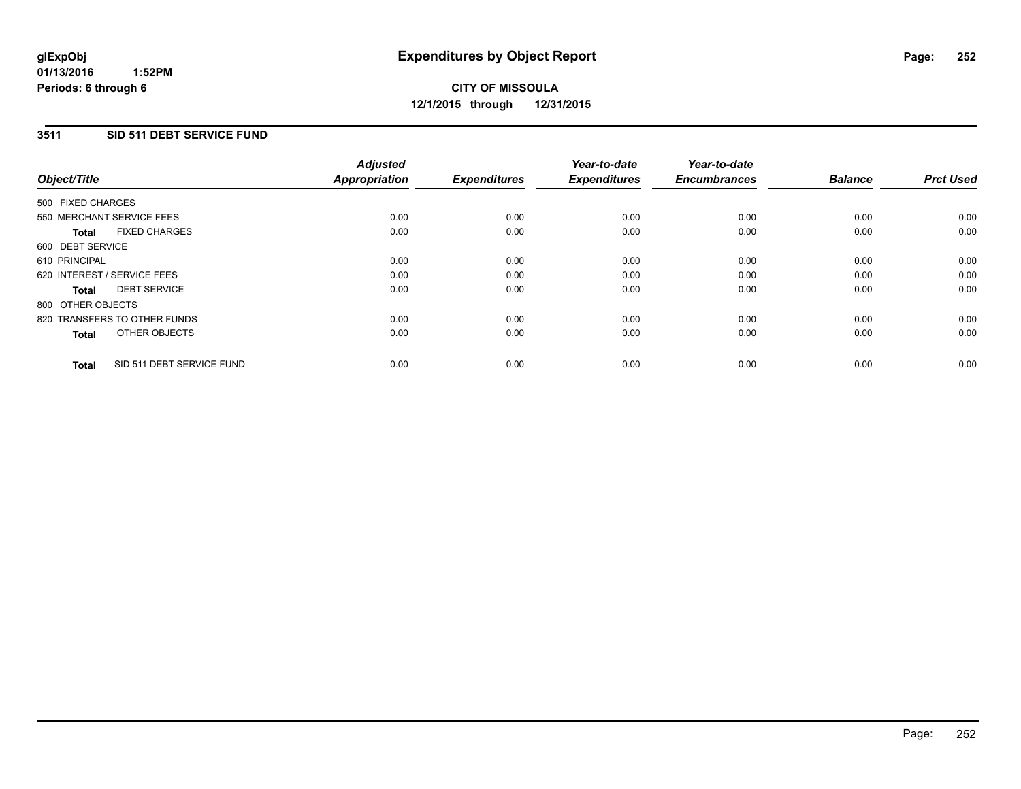#### **3511 SID 511 DEBT SERVICE FUND**

| Object/Title                              | <b>Adjusted</b><br><b>Appropriation</b> | <b>Expenditures</b> | Year-to-date<br><b>Expenditures</b> | Year-to-date<br><b>Encumbrances</b> | <b>Balance</b> | <b>Prct Used</b> |
|-------------------------------------------|-----------------------------------------|---------------------|-------------------------------------|-------------------------------------|----------------|------------------|
|                                           |                                         |                     |                                     |                                     |                |                  |
| 500 FIXED CHARGES                         |                                         |                     |                                     |                                     |                |                  |
| 550 MERCHANT SERVICE FEES                 | 0.00                                    | 0.00                | 0.00                                | 0.00                                | 0.00           | 0.00             |
| <b>FIXED CHARGES</b><br>Total             | 0.00                                    | 0.00                | 0.00                                | 0.00                                | 0.00           | 0.00             |
| 600 DEBT SERVICE                          |                                         |                     |                                     |                                     |                |                  |
| 610 PRINCIPAL                             | 0.00                                    | 0.00                | 0.00                                | 0.00                                | 0.00           | 0.00             |
| 620 INTEREST / SERVICE FEES               | 0.00                                    | 0.00                | 0.00                                | 0.00                                | 0.00           | 0.00             |
| <b>DEBT SERVICE</b><br><b>Total</b>       | 0.00                                    | 0.00                | 0.00                                | 0.00                                | 0.00           | 0.00             |
| 800 OTHER OBJECTS                         |                                         |                     |                                     |                                     |                |                  |
| 820 TRANSFERS TO OTHER FUNDS              | 0.00                                    | 0.00                | 0.00                                | 0.00                                | 0.00           | 0.00             |
| OTHER OBJECTS<br><b>Total</b>             | 0.00                                    | 0.00                | 0.00                                | 0.00                                | 0.00           | 0.00             |
|                                           |                                         |                     |                                     |                                     |                |                  |
| SID 511 DEBT SERVICE FUND<br><b>Total</b> | 0.00                                    | 0.00                | 0.00                                | 0.00                                | 0.00           | 0.00             |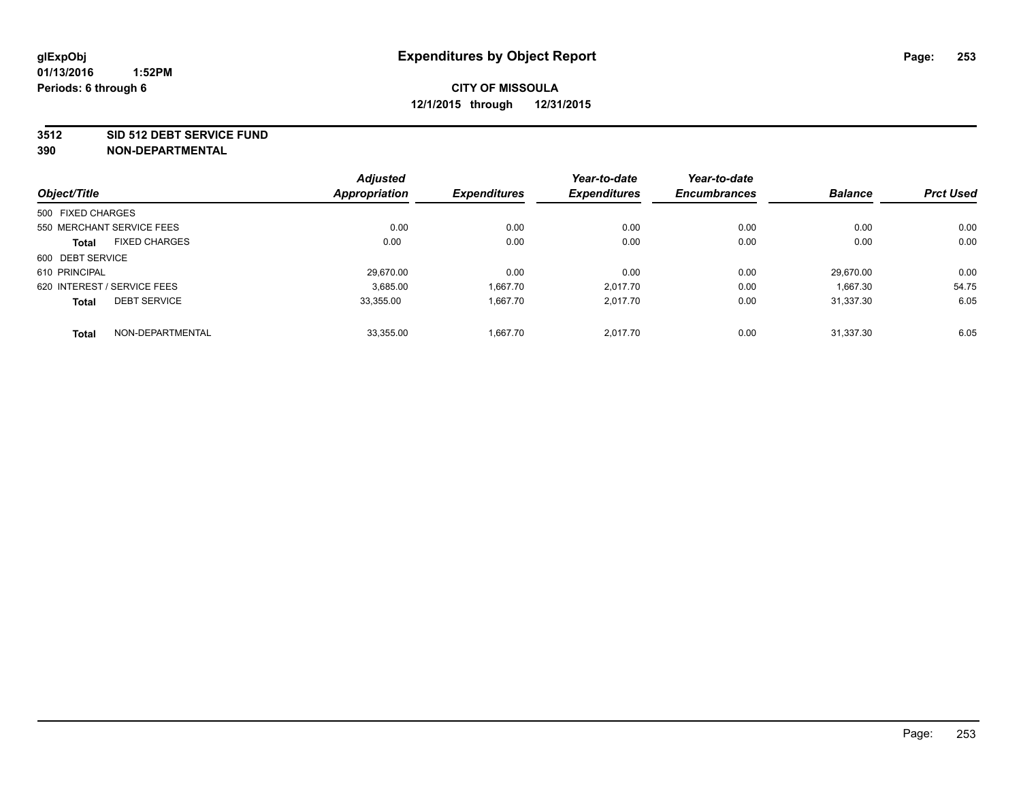#### **3512 SID 512 DEBT SERVICE FUND**

|                   |                             | <b>Adjusted</b>      |                     | Year-to-date        | Year-to-date        |                |                  |
|-------------------|-----------------------------|----------------------|---------------------|---------------------|---------------------|----------------|------------------|
| Object/Title      |                             | <b>Appropriation</b> | <b>Expenditures</b> | <b>Expenditures</b> | <b>Encumbrances</b> | <b>Balance</b> | <b>Prct Used</b> |
| 500 FIXED CHARGES |                             |                      |                     |                     |                     |                |                  |
|                   | 550 MERCHANT SERVICE FEES   | 0.00                 | 0.00                | 0.00                | 0.00                | 0.00           | 0.00             |
| <b>Total</b>      | <b>FIXED CHARGES</b>        | 0.00                 | 0.00                | 0.00                | 0.00                | 0.00           | 0.00             |
| 600 DEBT SERVICE  |                             |                      |                     |                     |                     |                |                  |
| 610 PRINCIPAL     |                             | 29.670.00            | 0.00                | 0.00                | 0.00                | 29.670.00      | 0.00             |
|                   | 620 INTEREST / SERVICE FEES | 3.685.00             | 1.667.70            | 2.017.70            | 0.00                | 1.667.30       | 54.75            |
| <b>Total</b>      | <b>DEBT SERVICE</b>         | 33.355.00            | 1,667.70            | 2,017.70            | 0.00                | 31.337.30      | 6.05             |
| <b>Total</b>      | NON-DEPARTMENTAL            | 33,355.00            | 1.667.70            | 2.017.70            | 0.00                | 31.337.30      | 6.05             |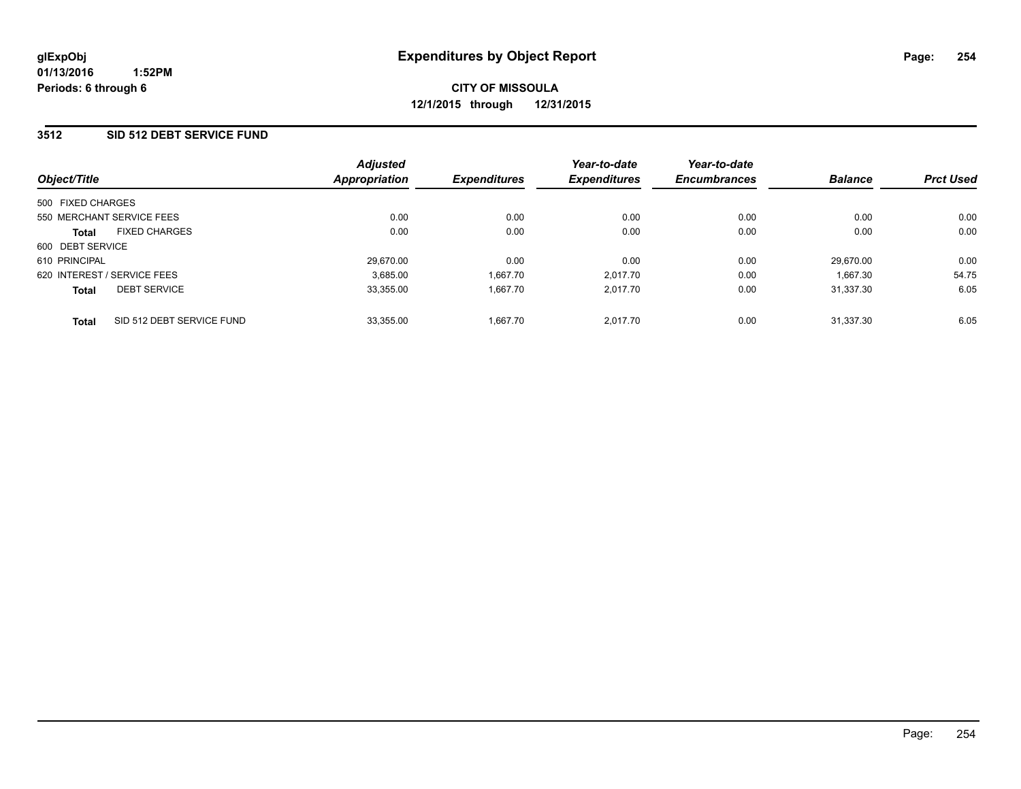#### **3512 SID 512 DEBT SERVICE FUND**

| Object/Title                         |                           | <b>Adjusted</b><br>Appropriation | <b>Expenditures</b> | Year-to-date<br><b>Expenditures</b> | Year-to-date<br><b>Encumbrances</b> | <b>Balance</b> | <b>Prct Used</b> |
|--------------------------------------|---------------------------|----------------------------------|---------------------|-------------------------------------|-------------------------------------|----------------|------------------|
| 500 FIXED CHARGES                    |                           |                                  |                     |                                     |                                     |                |                  |
| 550 MERCHANT SERVICE FEES            |                           | 0.00                             | 0.00                | 0.00                                | 0.00                                | 0.00           | 0.00             |
| <b>FIXED CHARGES</b><br><b>Total</b> |                           | 0.00                             | 0.00                | 0.00                                | 0.00                                | 0.00           | 0.00             |
| 600 DEBT SERVICE                     |                           |                                  |                     |                                     |                                     |                |                  |
| 610 PRINCIPAL                        |                           | 29.670.00                        | 0.00                | 0.00                                | 0.00                                | 29.670.00      | 0.00             |
| 620 INTEREST / SERVICE FEES          |                           | 3.685.00                         | 1,667.70            | 2.017.70                            | 0.00                                | 1.667.30       | 54.75            |
| <b>DEBT SERVICE</b><br><b>Total</b>  |                           | 33.355.00                        | 1.667.70            | 2.017.70                            | 0.00                                | 31.337.30      | 6.05             |
| <b>Total</b>                         | SID 512 DEBT SERVICE FUND | 33.355.00                        | 1.667.70            | 2.017.70                            | 0.00                                | 31.337.30      | 6.05             |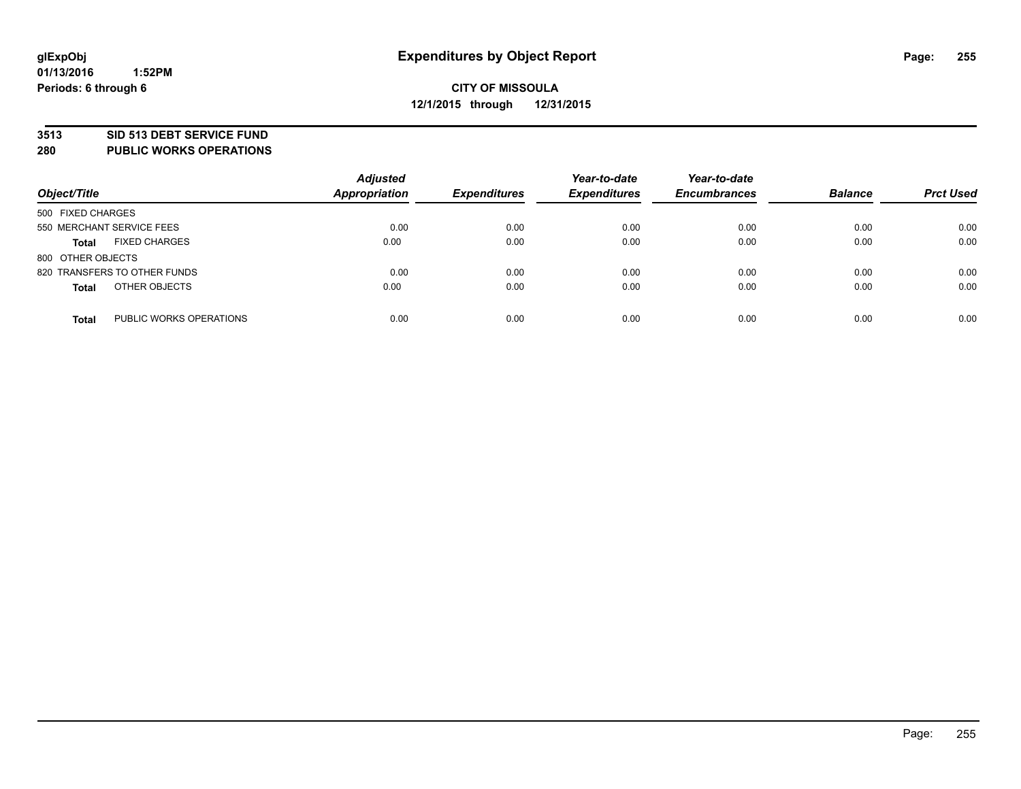#### **3513 SID 513 DEBT SERVICE FUND**

**280 PUBLIC WORKS OPERATIONS**

| Object/Title                            | <b>Adjusted</b><br><b>Appropriation</b> | <b>Expenditures</b> | Year-to-date<br><b>Expenditures</b> | Year-to-date<br><b>Encumbrances</b> | <b>Balance</b> | <b>Prct Used</b> |
|-----------------------------------------|-----------------------------------------|---------------------|-------------------------------------|-------------------------------------|----------------|------------------|
| 500 FIXED CHARGES                       |                                         |                     |                                     |                                     |                |                  |
| 550 MERCHANT SERVICE FEES               | 0.00                                    | 0.00                | 0.00                                | 0.00                                | 0.00           | 0.00             |
| <b>FIXED CHARGES</b><br><b>Total</b>    | 0.00                                    | 0.00                | 0.00                                | 0.00                                | 0.00           | 0.00             |
| 800 OTHER OBJECTS                       |                                         |                     |                                     |                                     |                |                  |
| 820 TRANSFERS TO OTHER FUNDS            | 0.00                                    | 0.00                | 0.00                                | 0.00                                | 0.00           | 0.00             |
| OTHER OBJECTS<br><b>Total</b>           | 0.00                                    | 0.00                | 0.00                                | 0.00                                | 0.00           | 0.00             |
| PUBLIC WORKS OPERATIONS<br><b>Total</b> | 0.00                                    | 0.00                | 0.00                                | 0.00                                | 0.00           | 0.00             |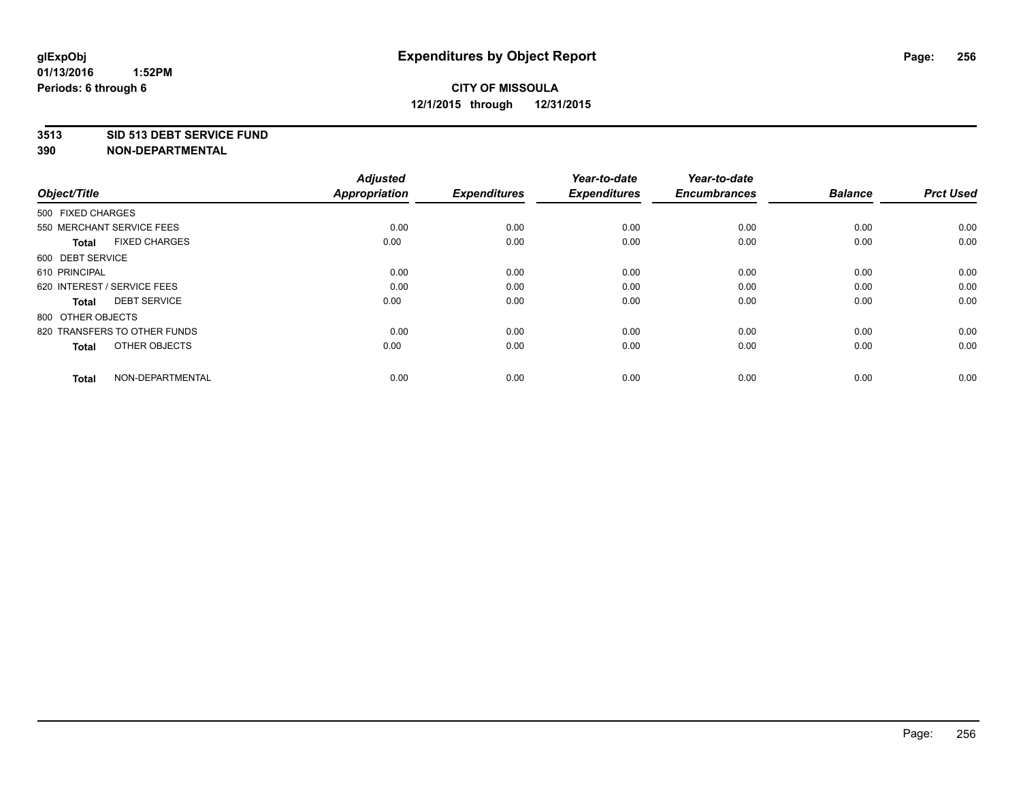#### **3513 SID 513 DEBT SERVICE FUND**

| Object/Title                         | <b>Adjusted</b><br><b>Appropriation</b> | <b>Expenditures</b> | Year-to-date<br><b>Expenditures</b> | Year-to-date<br><b>Encumbrances</b> | <b>Balance</b> | <b>Prct Used</b> |
|--------------------------------------|-----------------------------------------|---------------------|-------------------------------------|-------------------------------------|----------------|------------------|
| 500 FIXED CHARGES                    |                                         |                     |                                     |                                     |                |                  |
| 550 MERCHANT SERVICE FEES            | 0.00                                    | 0.00                | 0.00                                | 0.00                                | 0.00           | 0.00             |
| <b>FIXED CHARGES</b><br><b>Total</b> | 0.00                                    | 0.00                | 0.00                                | 0.00                                | 0.00           | 0.00             |
| 600 DEBT SERVICE                     |                                         |                     |                                     |                                     |                |                  |
| 610 PRINCIPAL                        | 0.00                                    | 0.00                | 0.00                                | 0.00                                | 0.00           | 0.00             |
| 620 INTEREST / SERVICE FEES          | 0.00                                    | 0.00                | 0.00                                | 0.00                                | 0.00           | 0.00             |
| <b>DEBT SERVICE</b><br><b>Total</b>  | 0.00                                    | 0.00                | 0.00                                | 0.00                                | 0.00           | 0.00             |
| 800 OTHER OBJECTS                    |                                         |                     |                                     |                                     |                |                  |
| 820 TRANSFERS TO OTHER FUNDS         | 0.00                                    | 0.00                | 0.00                                | 0.00                                | 0.00           | 0.00             |
| OTHER OBJECTS<br><b>Total</b>        | 0.00                                    | 0.00                | 0.00                                | 0.00                                | 0.00           | 0.00             |
|                                      |                                         |                     |                                     |                                     |                |                  |
| NON-DEPARTMENTAL<br><b>Total</b>     | 0.00                                    | 0.00                | 0.00                                | 0.00                                | 0.00           | 0.00             |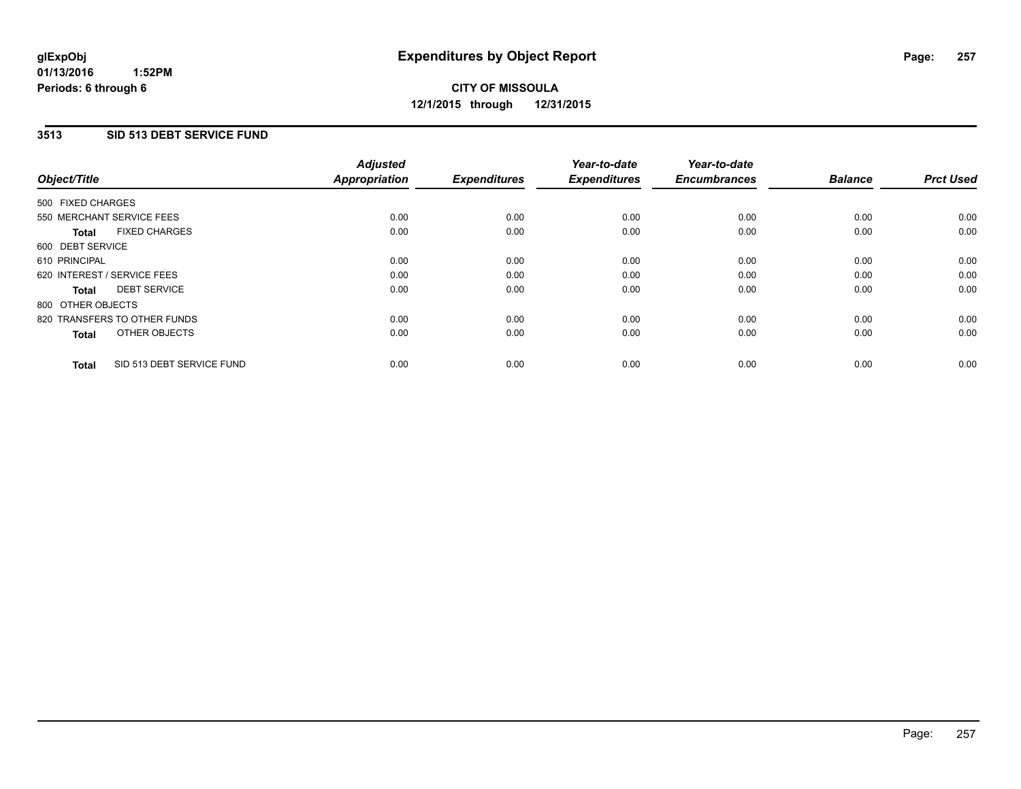#### **3513 SID 513 DEBT SERVICE FUND**

| Object/Title                              | <b>Adjusted</b><br><b>Appropriation</b> | <b>Expenditures</b> | Year-to-date<br><b>Expenditures</b> | Year-to-date<br><b>Encumbrances</b> | <b>Balance</b> | <b>Prct Used</b> |
|-------------------------------------------|-----------------------------------------|---------------------|-------------------------------------|-------------------------------------|----------------|------------------|
|                                           |                                         |                     |                                     |                                     |                |                  |
| 500 FIXED CHARGES                         |                                         |                     |                                     |                                     |                |                  |
| 550 MERCHANT SERVICE FEES                 | 0.00                                    | 0.00                | 0.00                                | 0.00                                | 0.00           | 0.00             |
| <b>FIXED CHARGES</b><br><b>Total</b>      | 0.00                                    | 0.00                | 0.00                                | 0.00                                | 0.00           | 0.00             |
| 600 DEBT SERVICE                          |                                         |                     |                                     |                                     |                |                  |
| 610 PRINCIPAL                             | 0.00                                    | 0.00                | 0.00                                | 0.00                                | 0.00           | 0.00             |
| 620 INTEREST / SERVICE FEES               | 0.00                                    | 0.00                | 0.00                                | 0.00                                | 0.00           | 0.00             |
| <b>DEBT SERVICE</b><br><b>Total</b>       | 0.00                                    | 0.00                | 0.00                                | 0.00                                | 0.00           | 0.00             |
| 800 OTHER OBJECTS                         |                                         |                     |                                     |                                     |                |                  |
| 820 TRANSFERS TO OTHER FUNDS              | 0.00                                    | 0.00                | 0.00                                | 0.00                                | 0.00           | 0.00             |
| OTHER OBJECTS<br><b>Total</b>             | 0.00                                    | 0.00                | 0.00                                | 0.00                                | 0.00           | 0.00             |
|                                           |                                         |                     |                                     |                                     |                |                  |
| SID 513 DEBT SERVICE FUND<br><b>Total</b> | 0.00                                    | 0.00                | 0.00                                | 0.00                                | 0.00           | 0.00             |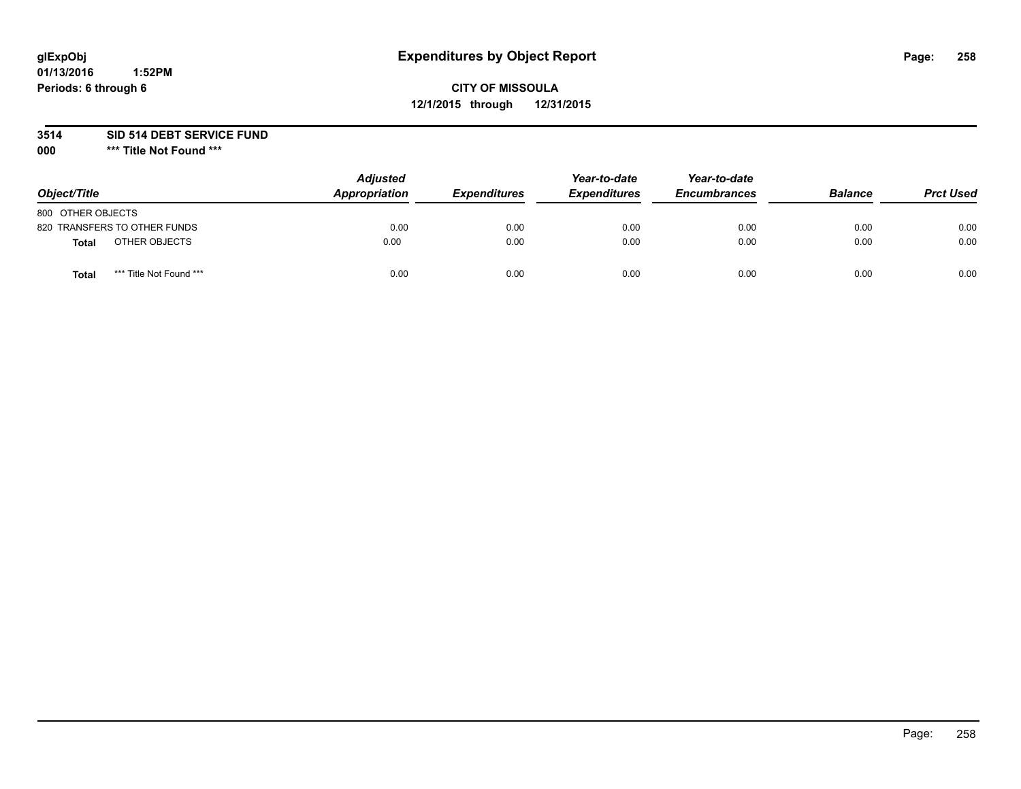# **glExpObj Expenditures by Object Report Page: 258**

## **CITY OF MISSOULA 12/1/2015 through 12/31/2015**

**3514 SID 514 DEBT SERVICE FUND**

**000 \*\*\* Title Not Found \*\*\***

| Object/Title                     | <b>Adjusted</b><br>Appropriation | <b>Expenditures</b> | Year-to-date<br><b>Expenditures</b> | Year-to-date<br><b>Encumbrances</b> | <b>Balance</b> | <b>Prct Used</b> |
|----------------------------------|----------------------------------|---------------------|-------------------------------------|-------------------------------------|----------------|------------------|
| 800 OTHER OBJECTS                |                                  |                     |                                     |                                     |                |                  |
| 820 TRANSFERS TO OTHER FUNDS     | 0.00                             | 0.00                | 0.00                                | 0.00                                | 0.00           | 0.00             |
| OTHER OBJECTS<br>Total           | 0.00                             | 0.00                | 0.00                                | 0.00                                | 0.00           | 0.00             |
| *** Title Not Found ***<br>Total | 0.00                             | 0.00                | 0.00                                | 0.00                                | 0.00           | 0.00             |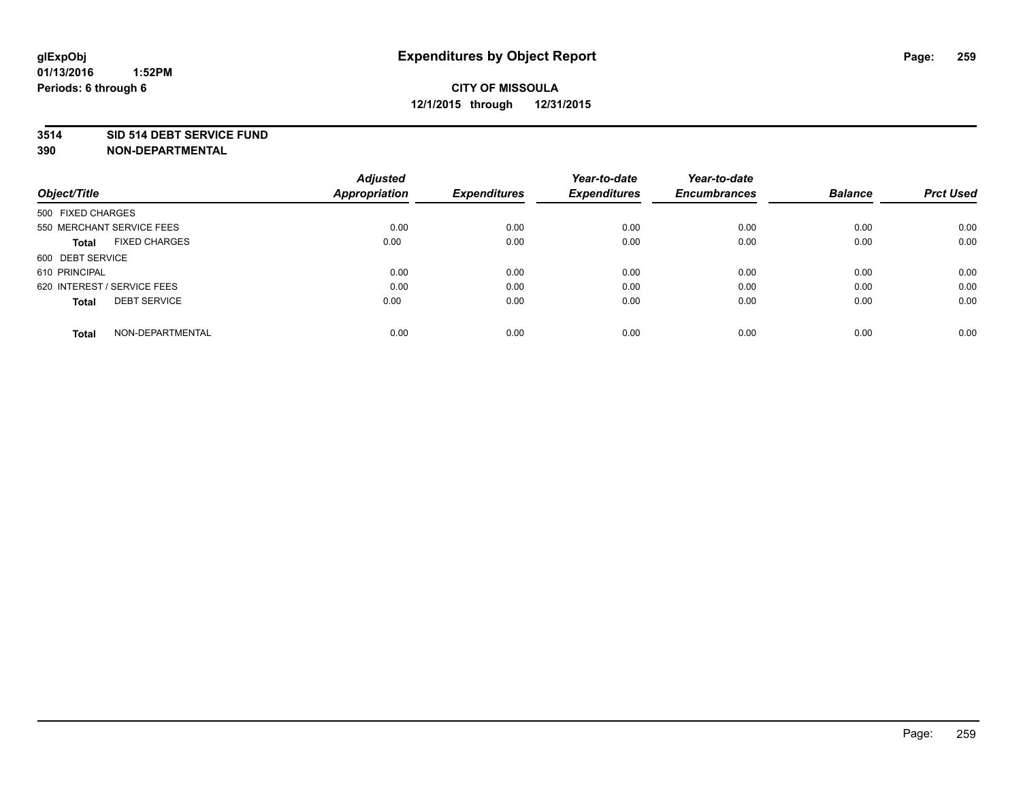#### **3514 SID 514 DEBT SERVICE FUND**

| Object/Title                         | <b>Adjusted</b><br><b>Appropriation</b> | <b>Expenditures</b> | Year-to-date<br><b>Expenditures</b> | Year-to-date<br><b>Encumbrances</b> | <b>Balance</b> | <b>Prct Used</b> |
|--------------------------------------|-----------------------------------------|---------------------|-------------------------------------|-------------------------------------|----------------|------------------|
|                                      |                                         |                     |                                     |                                     |                |                  |
| 500 FIXED CHARGES                    |                                         |                     |                                     |                                     |                |                  |
| 550 MERCHANT SERVICE FEES            | 0.00                                    | 0.00                | 0.00                                | 0.00                                | 0.00           | 0.00             |
| <b>FIXED CHARGES</b><br><b>Total</b> | 0.00                                    | 0.00                | 0.00                                | 0.00                                | 0.00           | 0.00             |
| 600 DEBT SERVICE                     |                                         |                     |                                     |                                     |                |                  |
| 610 PRINCIPAL                        | 0.00                                    | 0.00                | 0.00                                | 0.00                                | 0.00           | 0.00             |
| 620 INTEREST / SERVICE FEES          | 0.00                                    | 0.00                | 0.00                                | 0.00                                | 0.00           | 0.00             |
| <b>DEBT SERVICE</b><br><b>Total</b>  | 0.00                                    | 0.00                | 0.00                                | 0.00                                | 0.00           | 0.00             |
|                                      |                                         |                     |                                     |                                     |                |                  |
| NON-DEPARTMENTAL<br><b>Total</b>     | 0.00                                    | 0.00                | 0.00                                | 0.00                                | 0.00           | 0.00             |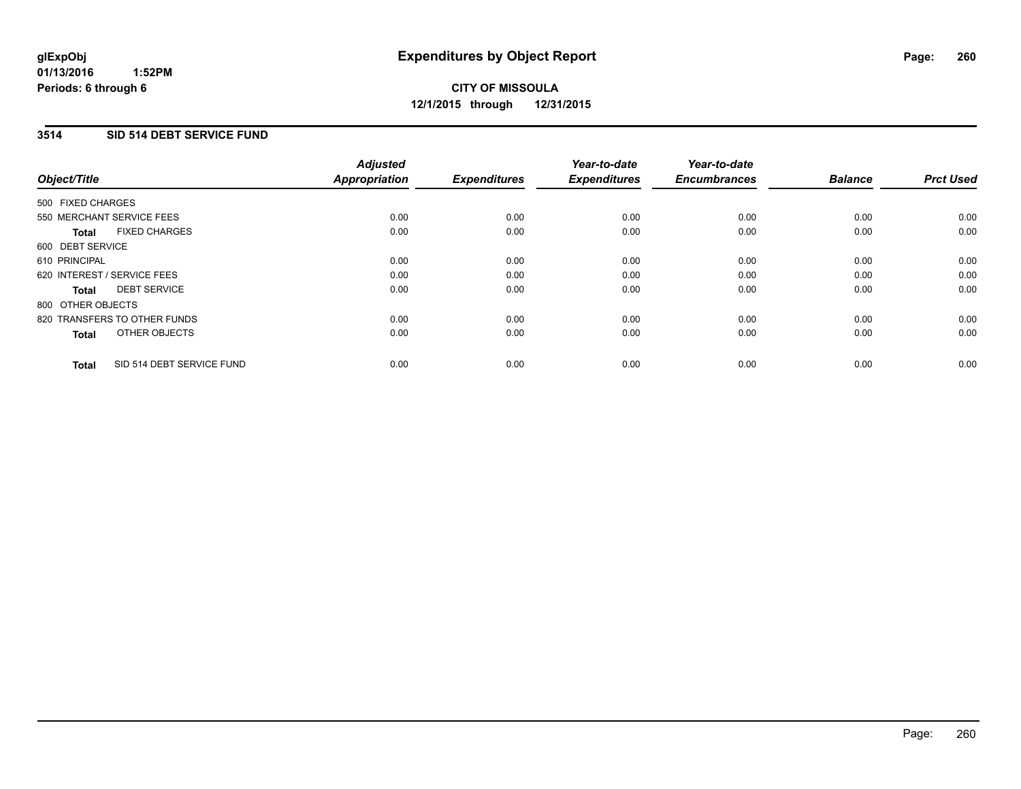## **3514 SID 514 DEBT SERVICE FUND**

| Object/Title      |                              | <b>Adjusted</b><br>Appropriation | <b>Expenditures</b> | Year-to-date<br><b>Expenditures</b> | Year-to-date<br><b>Encumbrances</b> | <b>Balance</b> | <b>Prct Used</b> |
|-------------------|------------------------------|----------------------------------|---------------------|-------------------------------------|-------------------------------------|----------------|------------------|
| 500 FIXED CHARGES |                              |                                  |                     |                                     |                                     |                |                  |
|                   | 550 MERCHANT SERVICE FEES    | 0.00                             | 0.00                | 0.00                                | 0.00                                | 0.00           | 0.00             |
| <b>Total</b>      | <b>FIXED CHARGES</b>         | 0.00                             | 0.00                | 0.00                                | 0.00                                | 0.00           | 0.00             |
| 600 DEBT SERVICE  |                              |                                  |                     |                                     |                                     |                |                  |
| 610 PRINCIPAL     |                              | 0.00                             | 0.00                | 0.00                                | 0.00                                | 0.00           | 0.00             |
|                   | 620 INTEREST / SERVICE FEES  | 0.00                             | 0.00                | 0.00                                | 0.00                                | 0.00           | 0.00             |
| <b>Total</b>      | <b>DEBT SERVICE</b>          | 0.00                             | 0.00                | 0.00                                | 0.00                                | 0.00           | 0.00             |
| 800 OTHER OBJECTS |                              |                                  |                     |                                     |                                     |                |                  |
|                   | 820 TRANSFERS TO OTHER FUNDS | 0.00                             | 0.00                | 0.00                                | 0.00                                | 0.00           | 0.00             |
| <b>Total</b>      | OTHER OBJECTS                | 0.00                             | 0.00                | 0.00                                | 0.00                                | 0.00           | 0.00             |
| <b>Total</b>      | SID 514 DEBT SERVICE FUND    | 0.00                             | 0.00                | 0.00                                | 0.00                                | 0.00           | 0.00             |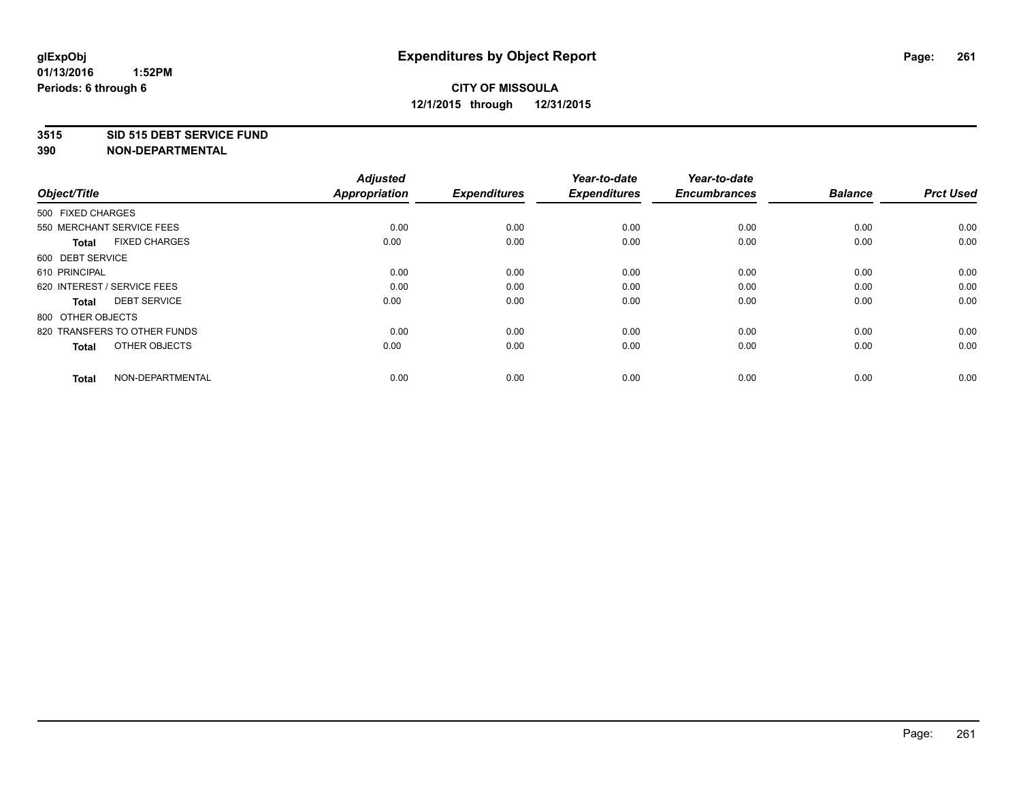#### **3515 SID 515 DEBT SERVICE FUND**

| Object/Title                         | <b>Adjusted</b><br><b>Appropriation</b> | <b>Expenditures</b> | Year-to-date<br><b>Expenditures</b> | Year-to-date<br><b>Encumbrances</b> | <b>Balance</b> | <b>Prct Used</b> |
|--------------------------------------|-----------------------------------------|---------------------|-------------------------------------|-------------------------------------|----------------|------------------|
| 500 FIXED CHARGES                    |                                         |                     |                                     |                                     |                |                  |
| 550 MERCHANT SERVICE FEES            | 0.00                                    | 0.00                | 0.00                                | 0.00                                | 0.00           | 0.00             |
| <b>FIXED CHARGES</b><br><b>Total</b> | 0.00                                    | 0.00                | 0.00                                | 0.00                                | 0.00           | 0.00             |
| 600 DEBT SERVICE                     |                                         |                     |                                     |                                     |                |                  |
| 610 PRINCIPAL                        | 0.00                                    | 0.00                | 0.00                                | 0.00                                | 0.00           | 0.00             |
| 620 INTEREST / SERVICE FEES          | 0.00                                    | 0.00                | 0.00                                | 0.00                                | 0.00           | 0.00             |
| <b>DEBT SERVICE</b><br><b>Total</b>  | 0.00                                    | 0.00                | 0.00                                | 0.00                                | 0.00           | 0.00             |
| 800 OTHER OBJECTS                    |                                         |                     |                                     |                                     |                |                  |
| 820 TRANSFERS TO OTHER FUNDS         | 0.00                                    | 0.00                | 0.00                                | 0.00                                | 0.00           | 0.00             |
| OTHER OBJECTS<br><b>Total</b>        | 0.00                                    | 0.00                | 0.00                                | 0.00                                | 0.00           | 0.00             |
|                                      |                                         |                     |                                     |                                     |                |                  |
| NON-DEPARTMENTAL<br><b>Total</b>     | 0.00                                    | 0.00                | 0.00                                | 0.00                                | 0.00           | 0.00             |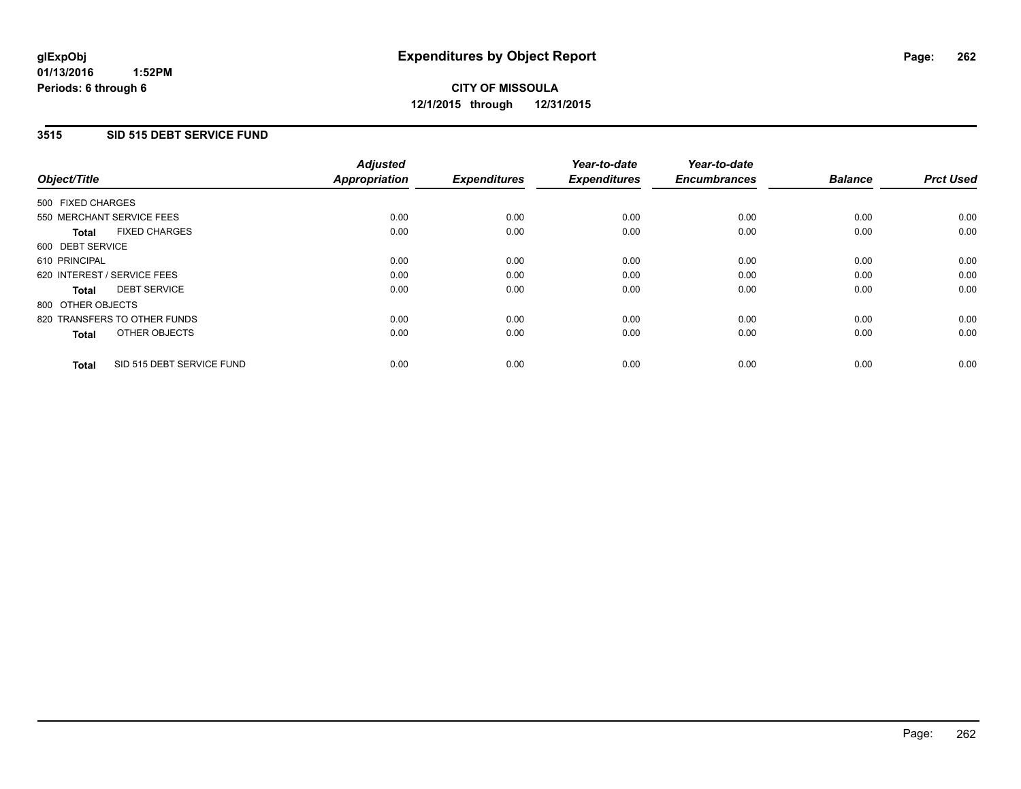#### **3515 SID 515 DEBT SERVICE FUND**

| Object/Title      |                              | <b>Adjusted</b><br>Appropriation | <b>Expenditures</b> | Year-to-date<br><b>Expenditures</b> | Year-to-date<br><b>Encumbrances</b> | <b>Balance</b> | <b>Prct Used</b> |
|-------------------|------------------------------|----------------------------------|---------------------|-------------------------------------|-------------------------------------|----------------|------------------|
| 500 FIXED CHARGES |                              |                                  |                     |                                     |                                     |                |                  |
|                   | 550 MERCHANT SERVICE FEES    | 0.00                             | 0.00                | 0.00                                | 0.00                                | 0.00           | 0.00             |
| <b>Total</b>      | <b>FIXED CHARGES</b>         | 0.00                             | 0.00                | 0.00                                | 0.00                                | 0.00           | 0.00             |
| 600 DEBT SERVICE  |                              |                                  |                     |                                     |                                     |                |                  |
| 610 PRINCIPAL     |                              | 0.00                             | 0.00                | 0.00                                | 0.00                                | 0.00           | 0.00             |
|                   | 620 INTEREST / SERVICE FEES  | 0.00                             | 0.00                | 0.00                                | 0.00                                | 0.00           | 0.00             |
| <b>Total</b>      | <b>DEBT SERVICE</b>          | 0.00                             | 0.00                | 0.00                                | 0.00                                | 0.00           | 0.00             |
| 800 OTHER OBJECTS |                              |                                  |                     |                                     |                                     |                |                  |
|                   | 820 TRANSFERS TO OTHER FUNDS | 0.00                             | 0.00                | 0.00                                | 0.00                                | 0.00           | 0.00             |
| <b>Total</b>      | OTHER OBJECTS                | 0.00                             | 0.00                | 0.00                                | 0.00                                | 0.00           | 0.00             |
| <b>Total</b>      | SID 515 DEBT SERVICE FUND    | 0.00                             | 0.00                | 0.00                                | 0.00                                | 0.00           | 0.00             |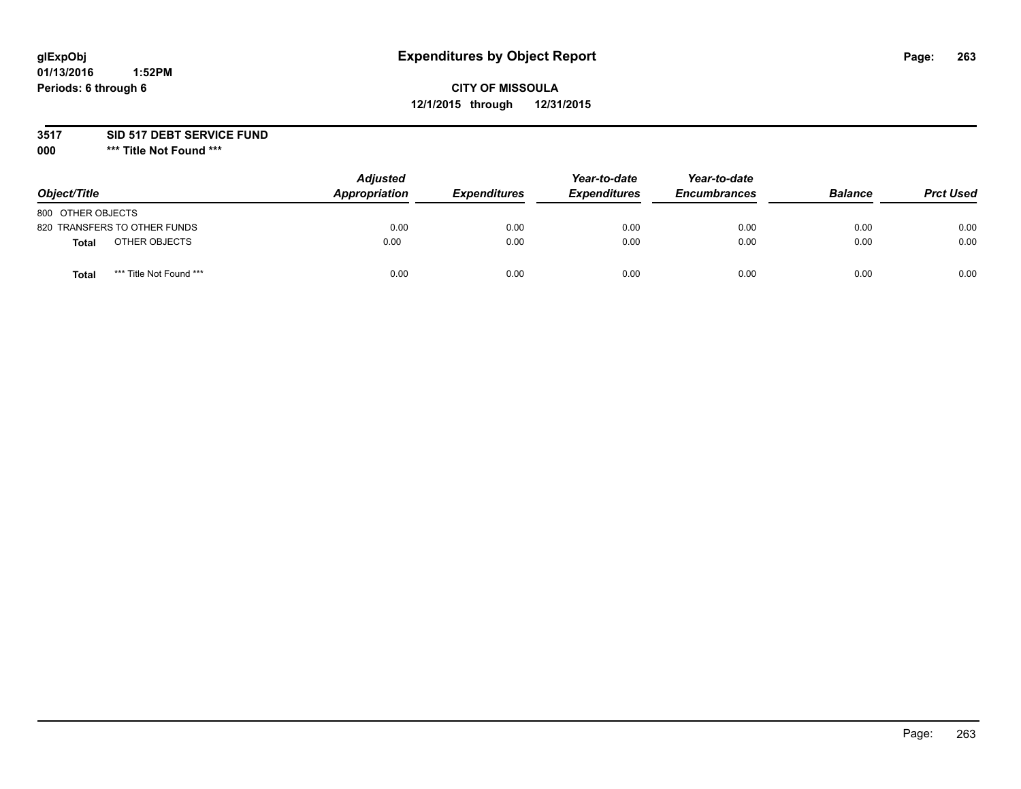# **glExpObj Expenditures by Object Report Page: 263**

## **CITY OF MISSOULA 12/1/2015 through 12/31/2015**

**3517 SID 517 DEBT SERVICE FUND**

**000 \*\*\* Title Not Found \*\*\***

| Object/Title                     | <b>Adjusted</b><br><b>Appropriation</b> | <i><b>Expenditures</b></i> | Year-to-date<br><b>Expenditures</b> | Year-to-date<br><b>Encumbrances</b> | <b>Balance</b> | <b>Prct Used</b> |
|----------------------------------|-----------------------------------------|----------------------------|-------------------------------------|-------------------------------------|----------------|------------------|
| 800 OTHER OBJECTS                |                                         |                            |                                     |                                     |                |                  |
| 820 TRANSFERS TO OTHER FUNDS     | 0.00                                    | 0.00                       | 0.00                                | 0.00                                | 0.00           | 0.00             |
| OTHER OBJECTS<br><b>Total</b>    | 0.00                                    | 0.00                       | 0.00                                | 0.00                                | 0.00           | 0.00             |
| *** Title Not Found ***<br>Total | 0.00                                    | 0.00                       | 0.00                                | 0.00                                | 0.00           | 0.00             |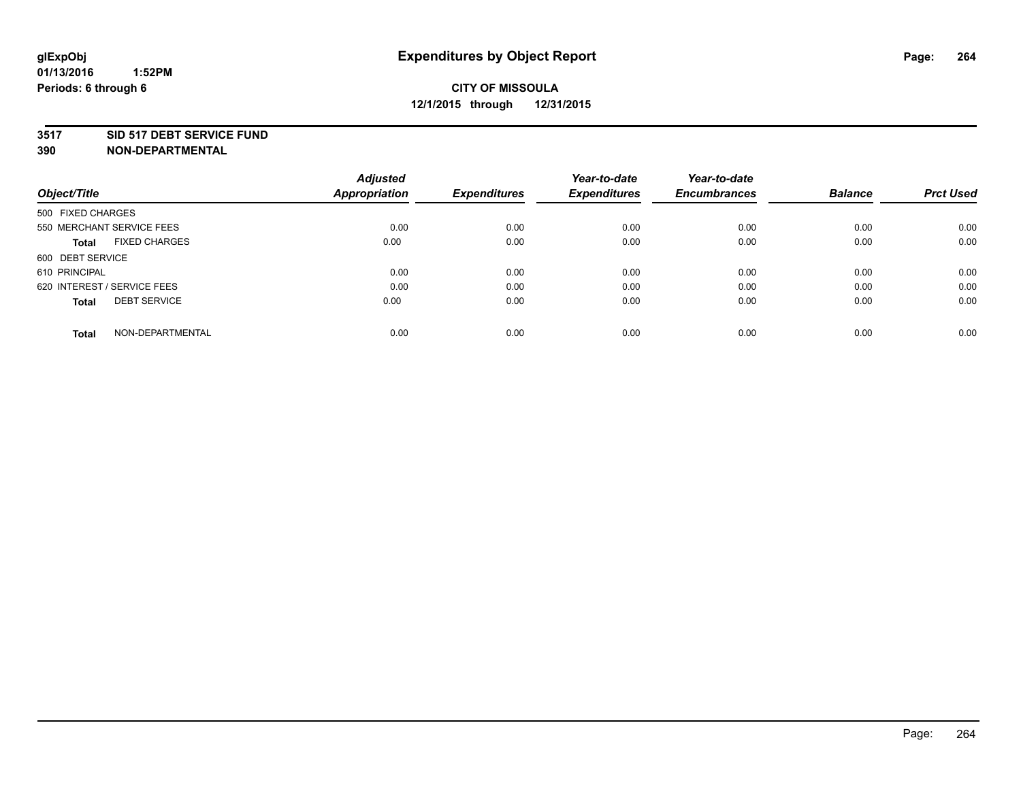#### **3517 SID 517 DEBT SERVICE FUND**

| Object/Title                         | <b>Adjusted</b><br><b>Appropriation</b> | <b>Expenditures</b> | Year-to-date<br><b>Expenditures</b> | Year-to-date<br><b>Encumbrances</b> | <b>Balance</b> | <b>Prct Used</b> |
|--------------------------------------|-----------------------------------------|---------------------|-------------------------------------|-------------------------------------|----------------|------------------|
|                                      |                                         |                     |                                     |                                     |                |                  |
| 500 FIXED CHARGES                    |                                         |                     |                                     |                                     |                |                  |
| 550 MERCHANT SERVICE FEES            | 0.00                                    | 0.00                | 0.00                                | 0.00                                | 0.00           | 0.00             |
| <b>FIXED CHARGES</b><br><b>Total</b> | 0.00                                    | 0.00                | 0.00                                | 0.00                                | 0.00           | 0.00             |
| 600 DEBT SERVICE                     |                                         |                     |                                     |                                     |                |                  |
| 610 PRINCIPAL                        | 0.00                                    | 0.00                | 0.00                                | 0.00                                | 0.00           | 0.00             |
| 620 INTEREST / SERVICE FEES          | 0.00                                    | 0.00                | 0.00                                | 0.00                                | 0.00           | 0.00             |
| <b>DEBT SERVICE</b><br><b>Total</b>  | 0.00                                    | 0.00                | 0.00                                | 0.00                                | 0.00           | 0.00             |
|                                      |                                         |                     |                                     |                                     |                |                  |
| NON-DEPARTMENTAL<br><b>Total</b>     | 0.00                                    | 0.00                | 0.00                                | 0.00                                | 0.00           | 0.00             |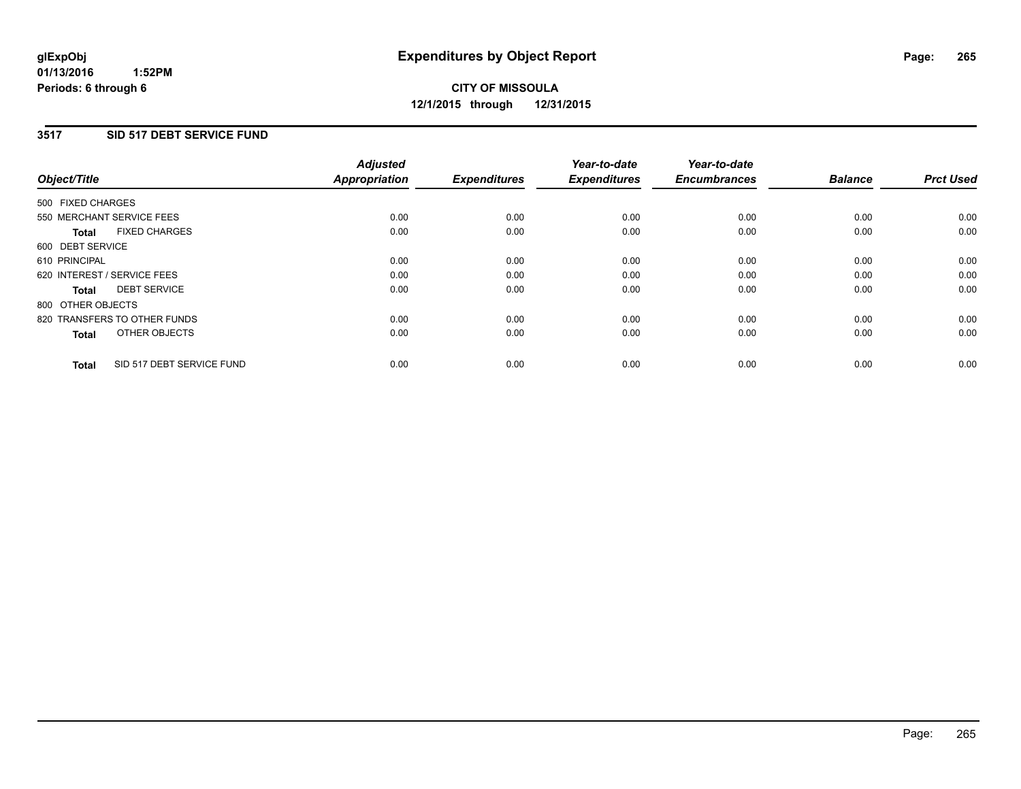#### **3517 SID 517 DEBT SERVICE FUND**

| Object/Title                              | <b>Adjusted</b><br><b>Appropriation</b> | <b>Expenditures</b> | Year-to-date<br><b>Expenditures</b> | Year-to-date<br><b>Encumbrances</b> | <b>Balance</b> | <b>Prct Used</b> |
|-------------------------------------------|-----------------------------------------|---------------------|-------------------------------------|-------------------------------------|----------------|------------------|
| 500 FIXED CHARGES                         |                                         |                     |                                     |                                     |                |                  |
| 550 MERCHANT SERVICE FEES                 | 0.00                                    | 0.00                | 0.00                                | 0.00                                | 0.00           | 0.00             |
| <b>FIXED CHARGES</b><br><b>Total</b>      | 0.00                                    | 0.00                | 0.00                                | 0.00                                | 0.00           | 0.00             |
| 600 DEBT SERVICE                          |                                         |                     |                                     |                                     |                |                  |
| 610 PRINCIPAL                             | 0.00                                    | 0.00                | 0.00                                | 0.00                                | 0.00           | 0.00             |
| 620 INTEREST / SERVICE FEES               | 0.00                                    | 0.00                | 0.00                                | 0.00                                | 0.00           | 0.00             |
| <b>DEBT SERVICE</b><br><b>Total</b>       | 0.00                                    | 0.00                | 0.00                                | 0.00                                | 0.00           | 0.00             |
| 800 OTHER OBJECTS                         |                                         |                     |                                     |                                     |                |                  |
| 820 TRANSFERS TO OTHER FUNDS              | 0.00                                    | 0.00                | 0.00                                | 0.00                                | 0.00           | 0.00             |
| OTHER OBJECTS<br><b>Total</b>             | 0.00                                    | 0.00                | 0.00                                | 0.00                                | 0.00           | 0.00             |
| SID 517 DEBT SERVICE FUND<br><b>Total</b> | 0.00                                    | 0.00                | 0.00                                | 0.00                                | 0.00           | 0.00             |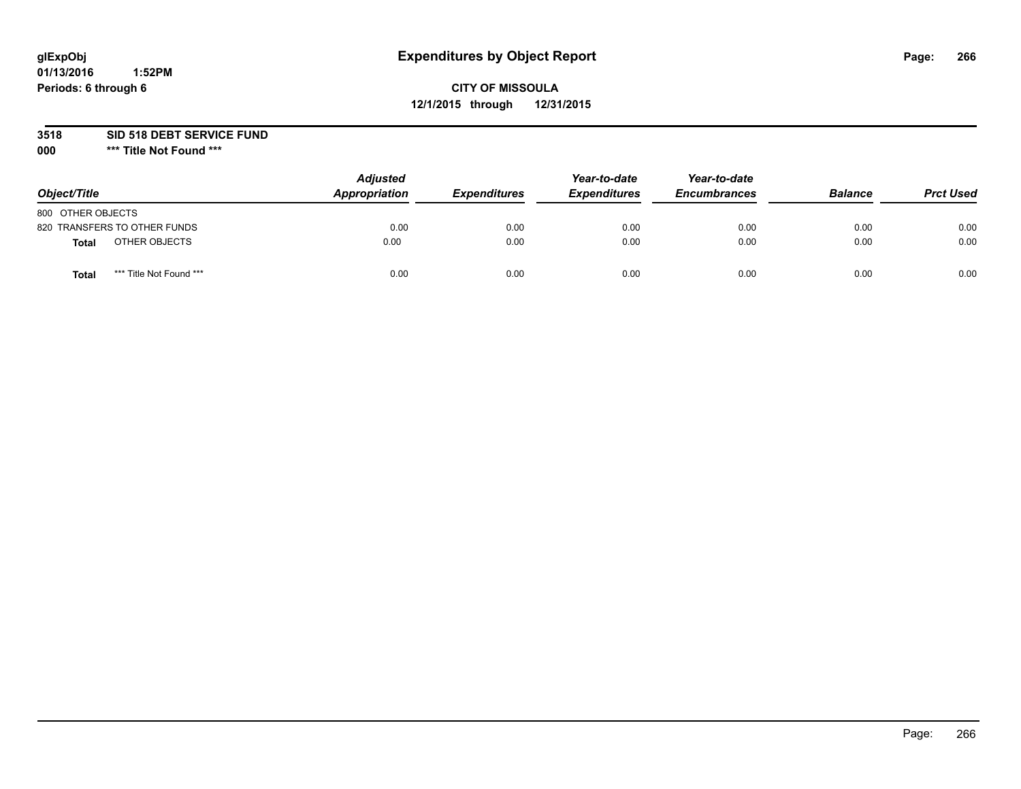# **glExpObj Expenditures by Object Report Page: 266**

## **CITY OF MISSOULA 12/1/2015 through 12/31/2015**

**3518 SID 518 DEBT SERVICE FUND**

**000 \*\*\* Title Not Found \*\*\***

| Object/Title                     | <b>Adjusted</b><br>Appropriation | <b>Expenditures</b> | Year-to-date<br><b>Expenditures</b> | Year-to-date<br><b>Encumbrances</b> | <b>Balance</b> | <b>Prct Used</b> |
|----------------------------------|----------------------------------|---------------------|-------------------------------------|-------------------------------------|----------------|------------------|
| 800 OTHER OBJECTS                |                                  |                     |                                     |                                     |                |                  |
| 820 TRANSFERS TO OTHER FUNDS     | 0.00                             | 0.00                | 0.00                                | 0.00                                | 0.00           | 0.00             |
| OTHER OBJECTS<br>Total           | 0.00                             | 0.00                | 0.00                                | 0.00                                | 0.00           | 0.00             |
| *** Title Not Found ***<br>Total | 0.00                             | 0.00                | 0.00                                | 0.00                                | 0.00           | 0.00             |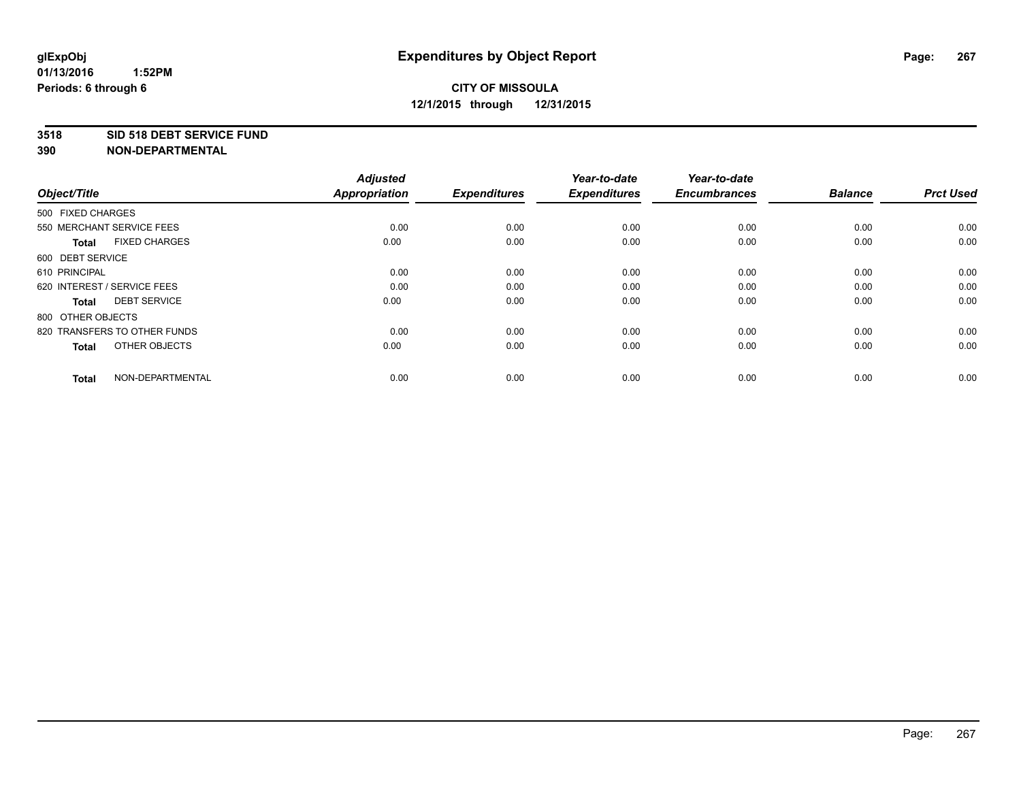#### **3518 SID 518 DEBT SERVICE FUND**

| Object/Title                         | <b>Adjusted</b><br><b>Appropriation</b> | <b>Expenditures</b> | Year-to-date<br><b>Expenditures</b> | Year-to-date<br><b>Encumbrances</b> | <b>Balance</b> | <b>Prct Used</b> |
|--------------------------------------|-----------------------------------------|---------------------|-------------------------------------|-------------------------------------|----------------|------------------|
| 500 FIXED CHARGES                    |                                         |                     |                                     |                                     |                |                  |
| 550 MERCHANT SERVICE FEES            | 0.00                                    | 0.00                | 0.00                                | 0.00                                | 0.00           | 0.00             |
| <b>FIXED CHARGES</b><br><b>Total</b> | 0.00                                    | 0.00                | 0.00                                | 0.00                                | 0.00           | 0.00             |
| 600 DEBT SERVICE                     |                                         |                     |                                     |                                     |                |                  |
| 610 PRINCIPAL                        | 0.00                                    | 0.00                | 0.00                                | 0.00                                | 0.00           | 0.00             |
| 620 INTEREST / SERVICE FEES          | 0.00                                    | 0.00                | 0.00                                | 0.00                                | 0.00           | 0.00             |
| <b>DEBT SERVICE</b><br><b>Total</b>  | 0.00                                    | 0.00                | 0.00                                | 0.00                                | 0.00           | 0.00             |
| 800 OTHER OBJECTS                    |                                         |                     |                                     |                                     |                |                  |
| 820 TRANSFERS TO OTHER FUNDS         | 0.00                                    | 0.00                | 0.00                                | 0.00                                | 0.00           | 0.00             |
| OTHER OBJECTS<br><b>Total</b>        | 0.00                                    | 0.00                | 0.00                                | 0.00                                | 0.00           | 0.00             |
|                                      |                                         |                     |                                     |                                     |                |                  |
| NON-DEPARTMENTAL<br><b>Total</b>     | 0.00                                    | 0.00                | 0.00                                | 0.00                                | 0.00           | 0.00             |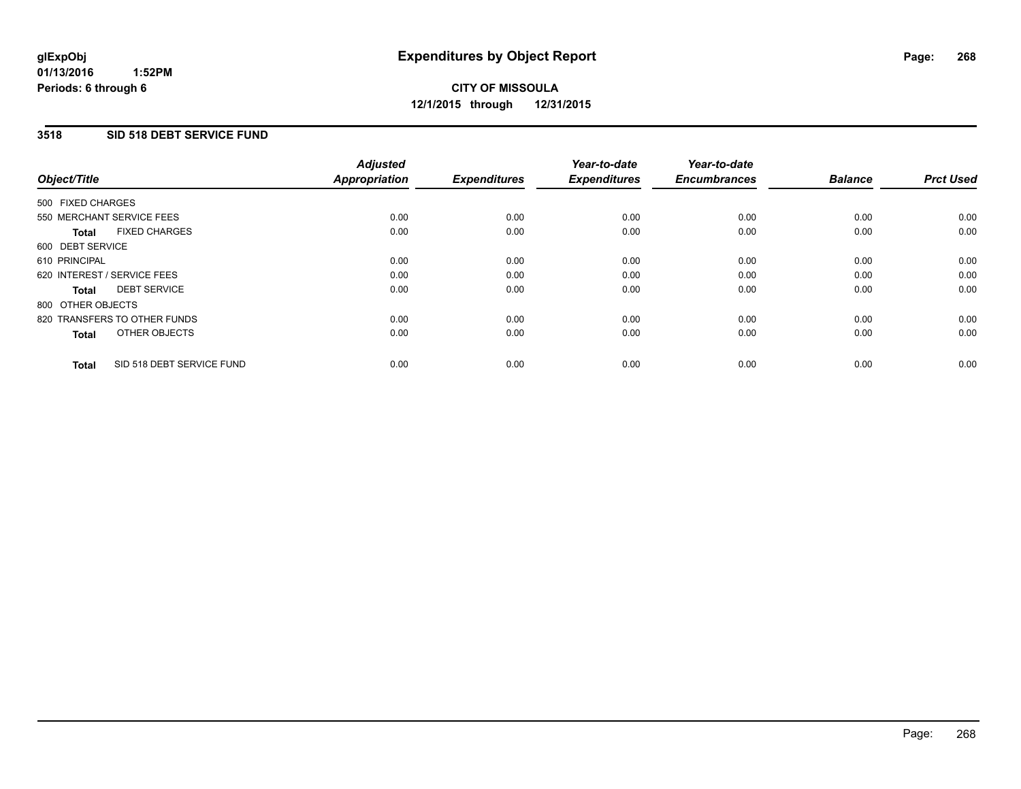#### **3518 SID 518 DEBT SERVICE FUND**

| Object/Title                              | <b>Adjusted</b><br><b>Appropriation</b> | <b>Expenditures</b> | Year-to-date<br><b>Expenditures</b> | Year-to-date<br><b>Encumbrances</b> | <b>Balance</b> | <b>Prct Used</b> |
|-------------------------------------------|-----------------------------------------|---------------------|-------------------------------------|-------------------------------------|----------------|------------------|
|                                           |                                         |                     |                                     |                                     |                |                  |
| 500 FIXED CHARGES                         |                                         |                     |                                     |                                     |                |                  |
| 550 MERCHANT SERVICE FEES                 | 0.00                                    | 0.00                | 0.00                                | 0.00                                | 0.00           | 0.00             |
| <b>FIXED CHARGES</b><br><b>Total</b>      | 0.00                                    | 0.00                | 0.00                                | 0.00                                | 0.00           | 0.00             |
| 600 DEBT SERVICE                          |                                         |                     |                                     |                                     |                |                  |
| 610 PRINCIPAL                             | 0.00                                    | 0.00                | 0.00                                | 0.00                                | 0.00           | 0.00             |
| 620 INTEREST / SERVICE FEES               | 0.00                                    | 0.00                | 0.00                                | 0.00                                | 0.00           | 0.00             |
| <b>DEBT SERVICE</b><br><b>Total</b>       | 0.00                                    | 0.00                | 0.00                                | 0.00                                | 0.00           | 0.00             |
| 800 OTHER OBJECTS                         |                                         |                     |                                     |                                     |                |                  |
| 820 TRANSFERS TO OTHER FUNDS              | 0.00                                    | 0.00                | 0.00                                | 0.00                                | 0.00           | 0.00             |
| OTHER OBJECTS<br><b>Total</b>             | 0.00                                    | 0.00                | 0.00                                | 0.00                                | 0.00           | 0.00             |
|                                           |                                         |                     |                                     |                                     |                |                  |
| SID 518 DEBT SERVICE FUND<br><b>Total</b> | 0.00                                    | 0.00                | 0.00                                | 0.00                                | 0.00           | 0.00             |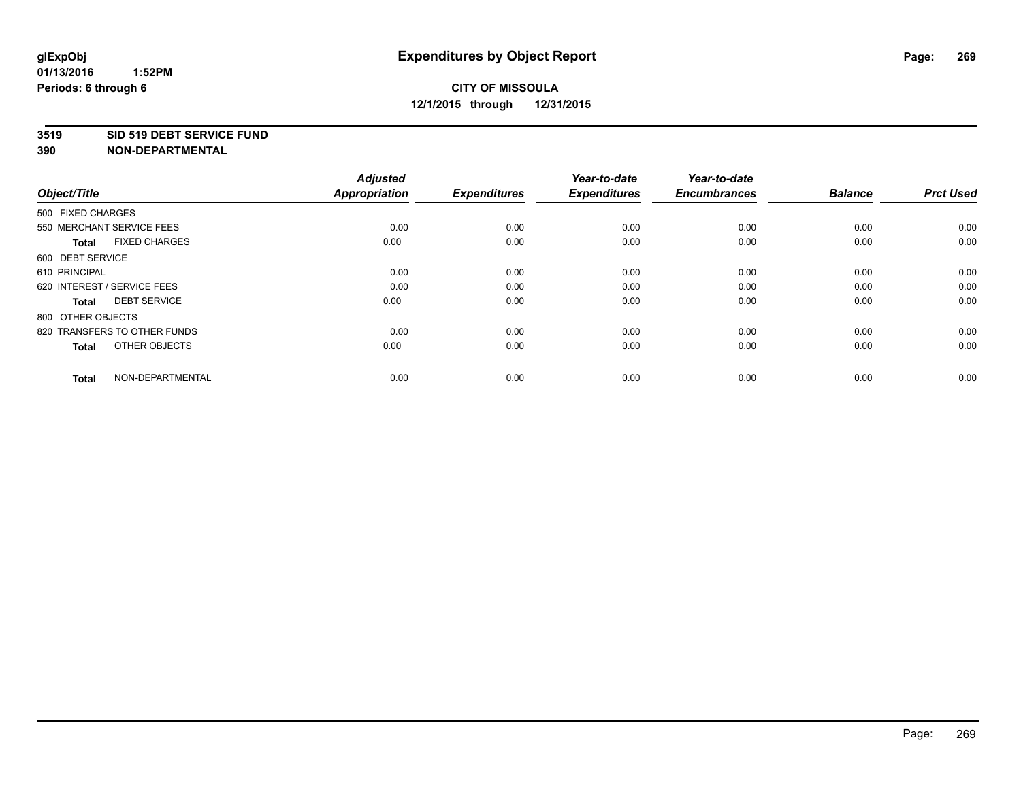#### **3519 SID 519 DEBT SERVICE FUND**

| Object/Title                         | <b>Adjusted</b><br><b>Appropriation</b> | <b>Expenditures</b> | Year-to-date<br><b>Expenditures</b> | Year-to-date<br><b>Encumbrances</b> | <b>Balance</b> | <b>Prct Used</b> |
|--------------------------------------|-----------------------------------------|---------------------|-------------------------------------|-------------------------------------|----------------|------------------|
| 500 FIXED CHARGES                    |                                         |                     |                                     |                                     |                |                  |
| 550 MERCHANT SERVICE FEES            | 0.00                                    | 0.00                | 0.00                                | 0.00                                | 0.00           | 0.00             |
| <b>FIXED CHARGES</b><br><b>Total</b> | 0.00                                    | 0.00                | 0.00                                | 0.00                                | 0.00           | 0.00             |
| 600 DEBT SERVICE                     |                                         |                     |                                     |                                     |                |                  |
| 610 PRINCIPAL                        | 0.00                                    | 0.00                | 0.00                                | 0.00                                | 0.00           | 0.00             |
| 620 INTEREST / SERVICE FEES          | 0.00                                    | 0.00                | 0.00                                | 0.00                                | 0.00           | 0.00             |
| <b>DEBT SERVICE</b><br><b>Total</b>  | 0.00                                    | 0.00                | 0.00                                | 0.00                                | 0.00           | 0.00             |
| 800 OTHER OBJECTS                    |                                         |                     |                                     |                                     |                |                  |
| 820 TRANSFERS TO OTHER FUNDS         | 0.00                                    | 0.00                | 0.00                                | 0.00                                | 0.00           | 0.00             |
| OTHER OBJECTS<br><b>Total</b>        | 0.00                                    | 0.00                | 0.00                                | 0.00                                | 0.00           | 0.00             |
|                                      |                                         |                     |                                     |                                     |                |                  |
| NON-DEPARTMENTAL<br><b>Total</b>     | 0.00                                    | 0.00                | 0.00                                | 0.00                                | 0.00           | 0.00             |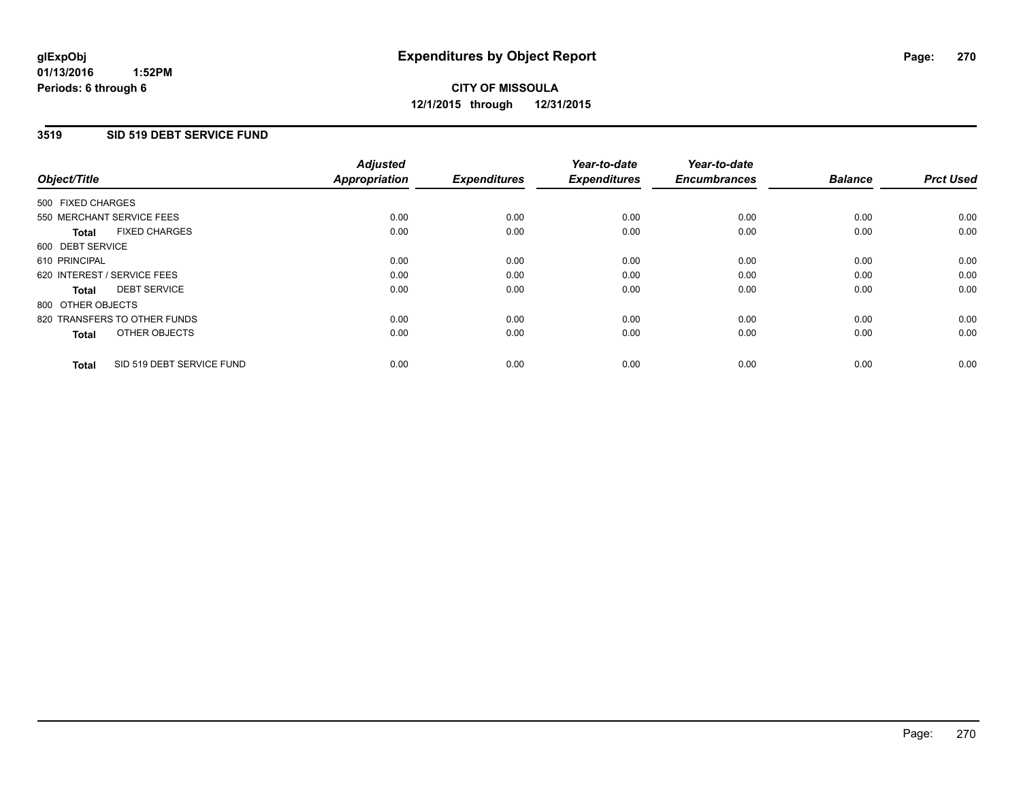#### **3519 SID 519 DEBT SERVICE FUND**

| Object/Title                              | <b>Adjusted</b><br><b>Appropriation</b> | <b>Expenditures</b> | Year-to-date<br><b>Expenditures</b> | Year-to-date<br><b>Encumbrances</b> | <b>Balance</b> | <b>Prct Used</b> |
|-------------------------------------------|-----------------------------------------|---------------------|-------------------------------------|-------------------------------------|----------------|------------------|
|                                           |                                         |                     |                                     |                                     |                |                  |
| 500 FIXED CHARGES                         |                                         |                     |                                     |                                     |                |                  |
| 550 MERCHANT SERVICE FEES                 | 0.00                                    | 0.00                | 0.00                                | 0.00                                | 0.00           | 0.00             |
| <b>FIXED CHARGES</b><br><b>Total</b>      | 0.00                                    | 0.00                | 0.00                                | 0.00                                | 0.00           | 0.00             |
| 600 DEBT SERVICE                          |                                         |                     |                                     |                                     |                |                  |
| 610 PRINCIPAL                             | 0.00                                    | 0.00                | 0.00                                | 0.00                                | 0.00           | 0.00             |
| 620 INTEREST / SERVICE FEES               | 0.00                                    | 0.00                | 0.00                                | 0.00                                | 0.00           | 0.00             |
| <b>DEBT SERVICE</b><br><b>Total</b>       | 0.00                                    | 0.00                | 0.00                                | 0.00                                | 0.00           | 0.00             |
| 800 OTHER OBJECTS                         |                                         |                     |                                     |                                     |                |                  |
| 820 TRANSFERS TO OTHER FUNDS              | 0.00                                    | 0.00                | 0.00                                | 0.00                                | 0.00           | 0.00             |
| OTHER OBJECTS<br><b>Total</b>             | 0.00                                    | 0.00                | 0.00                                | 0.00                                | 0.00           | 0.00             |
|                                           |                                         |                     |                                     |                                     |                |                  |
| SID 519 DEBT SERVICE FUND<br><b>Total</b> | 0.00                                    | 0.00                | 0.00                                | 0.00                                | 0.00           | 0.00             |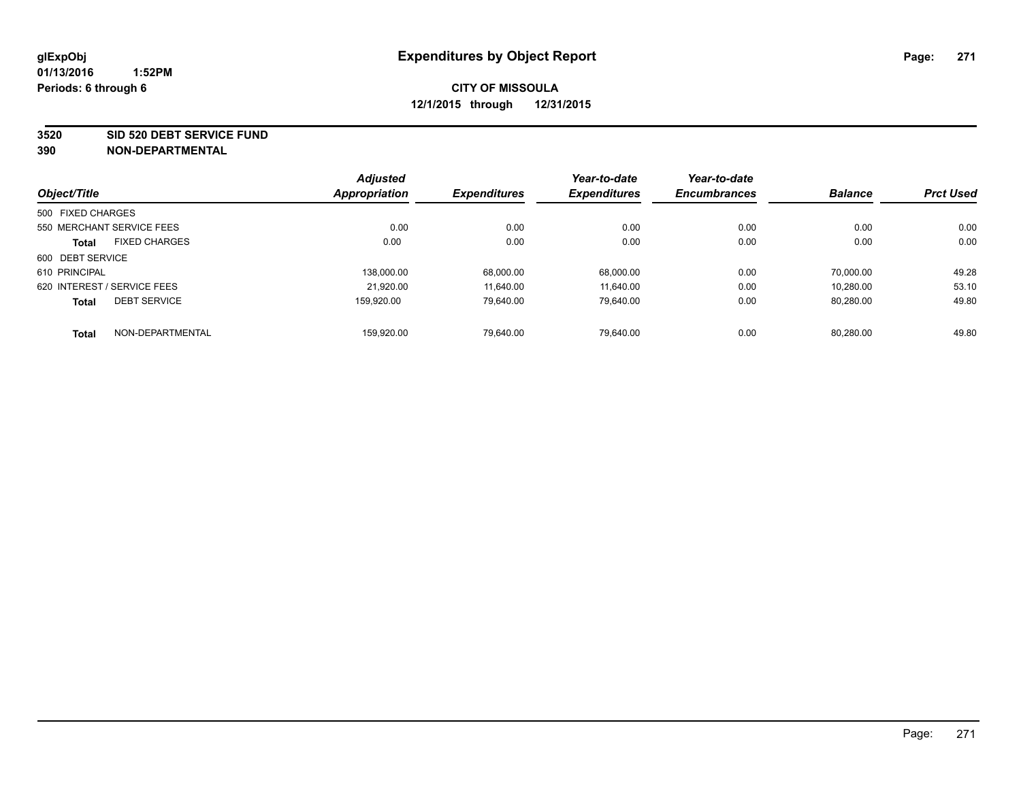**3520 SID 520 DEBT SERVICE FUND**

|                             |                      | <b>Adjusted</b>     |                     | Year-to-date        | Year-to-date | <b>Balance</b> | <b>Prct Used</b> |
|-----------------------------|----------------------|---------------------|---------------------|---------------------|--------------|----------------|------------------|
| Object/Title                | <b>Appropriation</b> | <b>Expenditures</b> | <b>Expenditures</b> | <b>Encumbrances</b> |              |                |                  |
| 500 FIXED CHARGES           |                      |                     |                     |                     |              |                |                  |
| 550 MERCHANT SERVICE FEES   |                      | 0.00                | 0.00                | 0.00                | 0.00         | 0.00           | 0.00             |
| <b>Total</b>                | <b>FIXED CHARGES</b> | 0.00                | 0.00                | 0.00                | 0.00         | 0.00           | 0.00             |
| 600 DEBT SERVICE            |                      |                     |                     |                     |              |                |                  |
| 610 PRINCIPAL               |                      | 138.000.00          | 68.000.00           | 68,000.00           | 0.00         | 70.000.00      | 49.28            |
| 620 INTEREST / SERVICE FEES |                      | 21.920.00           | 11.640.00           | 11.640.00           | 0.00         | 10.280.00      | 53.10            |
| <b>Total</b>                | <b>DEBT SERVICE</b>  | 159.920.00          | 79.640.00           | 79.640.00           | 0.00         | 80.280.00      | 49.80            |
| <b>Total</b>                | NON-DEPARTMENTAL     | 159.920.00          | 79.640.00           | 79.640.00           | 0.00         | 80.280.00      | 49.80            |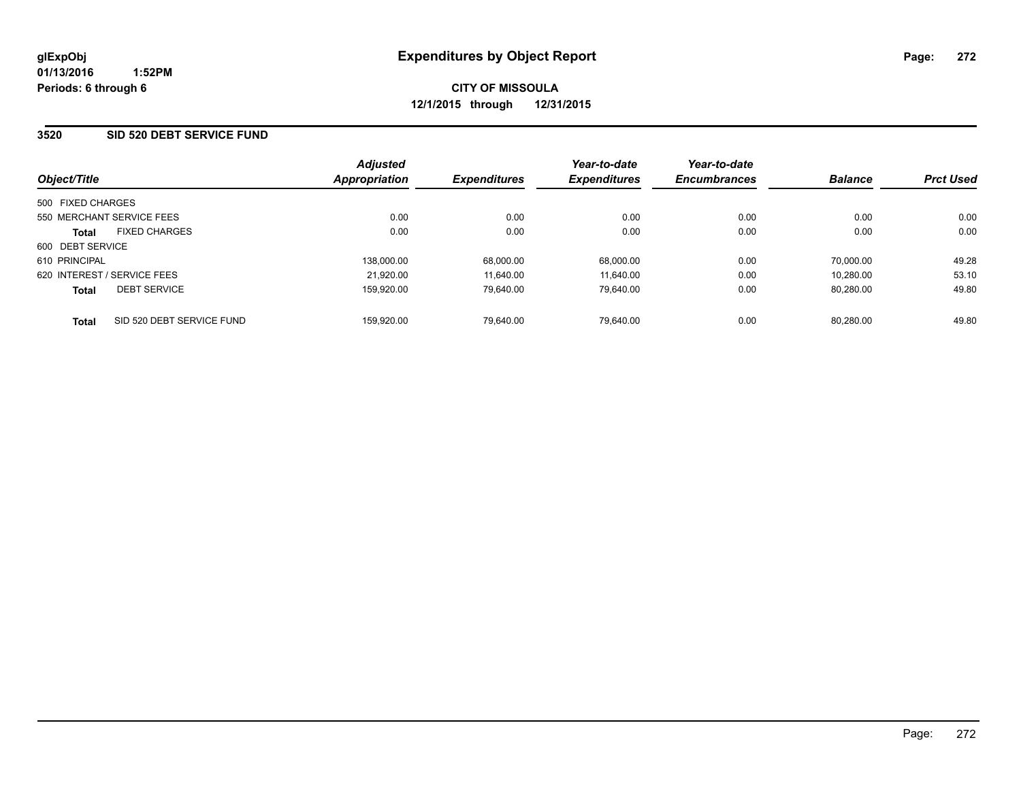#### **3520 SID 520 DEBT SERVICE FUND**

| Object/Title                              | <b>Adjusted</b><br><b>Appropriation</b> | <b>Expenditures</b> | Year-to-date<br><b>Expenditures</b> | Year-to-date<br><b>Encumbrances</b> | <b>Balance</b> | <b>Prct Used</b> |
|-------------------------------------------|-----------------------------------------|---------------------|-------------------------------------|-------------------------------------|----------------|------------------|
| 500 FIXED CHARGES                         |                                         |                     |                                     |                                     |                |                  |
| 550 MERCHANT SERVICE FEES                 | 0.00                                    | 0.00                | 0.00                                | 0.00                                | 0.00           | 0.00             |
| <b>FIXED CHARGES</b><br><b>Total</b>      | 0.00                                    | 0.00                | 0.00                                | 0.00                                | 0.00           | 0.00             |
| 600 DEBT SERVICE                          |                                         |                     |                                     |                                     |                |                  |
| 610 PRINCIPAL                             | 138,000.00                              | 68,000.00           | 68,000.00                           | 0.00                                | 70.000.00      | 49.28            |
| 620 INTEREST / SERVICE FEES               | 21,920.00                               | 11.640.00           | 11.640.00                           | 0.00                                | 10.280.00      | 53.10            |
| <b>DEBT SERVICE</b><br><b>Total</b>       | 159.920.00                              | 79.640.00           | 79.640.00                           | 0.00                                | 80.280.00      | 49.80            |
| SID 520 DEBT SERVICE FUND<br><b>Total</b> | 159.920.00                              | 79.640.00           | 79.640.00                           | 0.00                                | 80.280.00      | 49.80            |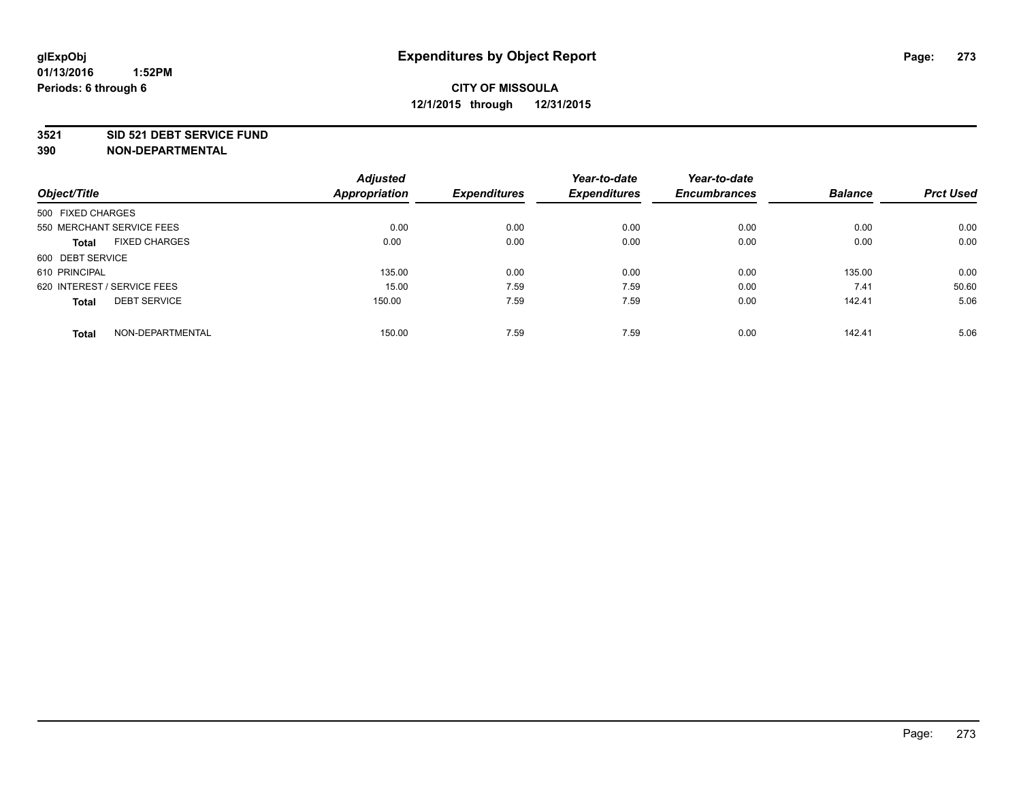#### **3521 SID 521 DEBT SERVICE FUND**

|                                      | <b>Adjusted</b>      |                     | Year-to-date        | Year-to-date        |                |                  |
|--------------------------------------|----------------------|---------------------|---------------------|---------------------|----------------|------------------|
| Object/Title                         | <b>Appropriation</b> | <b>Expenditures</b> | <b>Expenditures</b> | <b>Encumbrances</b> | <b>Balance</b> | <b>Prct Used</b> |
| 500 FIXED CHARGES                    |                      |                     |                     |                     |                |                  |
| 550 MERCHANT SERVICE FEES            | 0.00                 | 0.00                | 0.00                | 0.00                | 0.00           | 0.00             |
| <b>FIXED CHARGES</b><br><b>Total</b> | 0.00                 | 0.00                | 0.00                | 0.00                | 0.00           | 0.00             |
| 600 DEBT SERVICE                     |                      |                     |                     |                     |                |                  |
| 610 PRINCIPAL                        | 135.00               | 0.00                | 0.00                | 0.00                | 135.00         | 0.00             |
| 620 INTEREST / SERVICE FEES          | 15.00                | 7.59                | 7.59                | 0.00                | 7.41           | 50.60            |
| <b>DEBT SERVICE</b><br><b>Total</b>  | 150.00               | 7.59                | 7.59                | 0.00                | 142.41         | 5.06             |
| NON-DEPARTMENTAL<br><b>Total</b>     | 150.00               | 7.59                | 7.59                | 0.00                | 142.41         | 5.06             |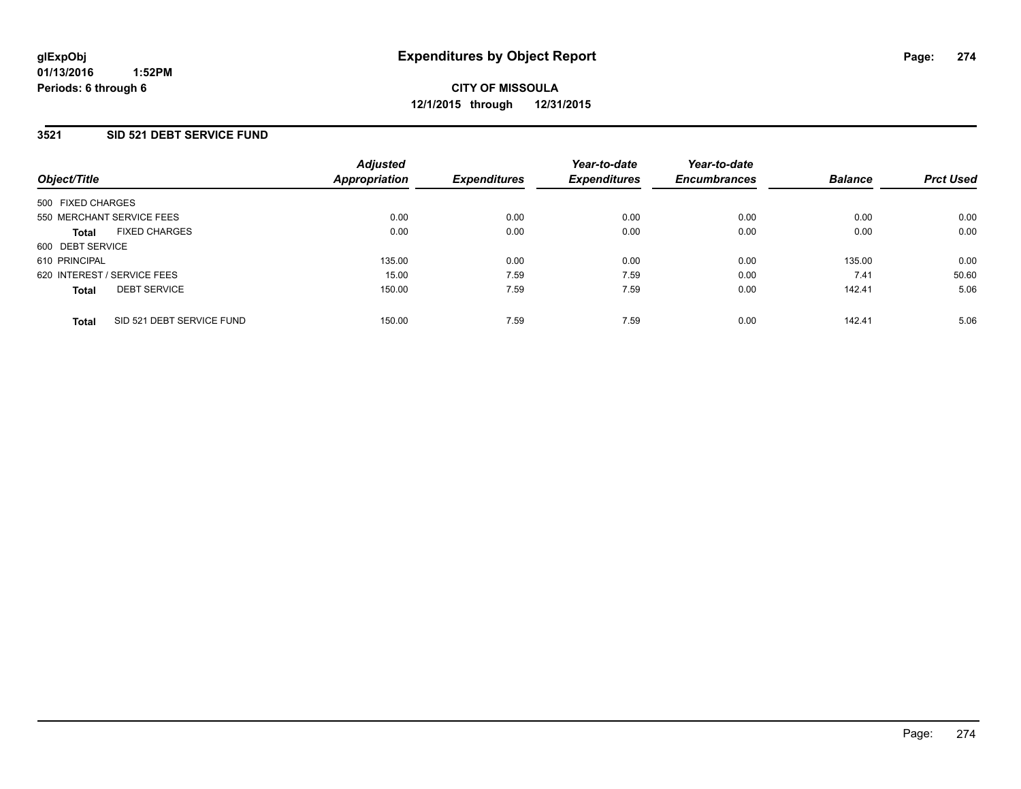#### **3521 SID 521 DEBT SERVICE FUND**

| Object/Title                              | <b>Adjusted</b><br><b>Appropriation</b> | <b>Expenditures</b> | Year-to-date<br><b>Expenditures</b> | Year-to-date<br><b>Encumbrances</b> | <b>Balance</b> | <b>Prct Used</b> |
|-------------------------------------------|-----------------------------------------|---------------------|-------------------------------------|-------------------------------------|----------------|------------------|
| 500 FIXED CHARGES                         |                                         |                     |                                     |                                     |                |                  |
| 550 MERCHANT SERVICE FEES                 | 0.00                                    | 0.00                | 0.00                                | 0.00                                | 0.00           | 0.00             |
| <b>FIXED CHARGES</b><br><b>Total</b>      | 0.00                                    | 0.00                | 0.00                                | 0.00                                | 0.00           | 0.00             |
| 600 DEBT SERVICE                          |                                         |                     |                                     |                                     |                |                  |
| 610 PRINCIPAL                             | 135.00                                  | 0.00                | 0.00                                | 0.00                                | 135.00         | 0.00             |
| 620 INTEREST / SERVICE FEES               | 15.00                                   | 7.59                | 7.59                                | 0.00                                | 7.41           | 50.60            |
| <b>DEBT SERVICE</b><br><b>Total</b>       | 150.00                                  | 7.59                | 7.59                                | 0.00                                | 142.41         | 5.06             |
| SID 521 DEBT SERVICE FUND<br><b>Total</b> | 150.00                                  | 7.59                | 7.59                                | 0.00                                | 142.41         | 5.06             |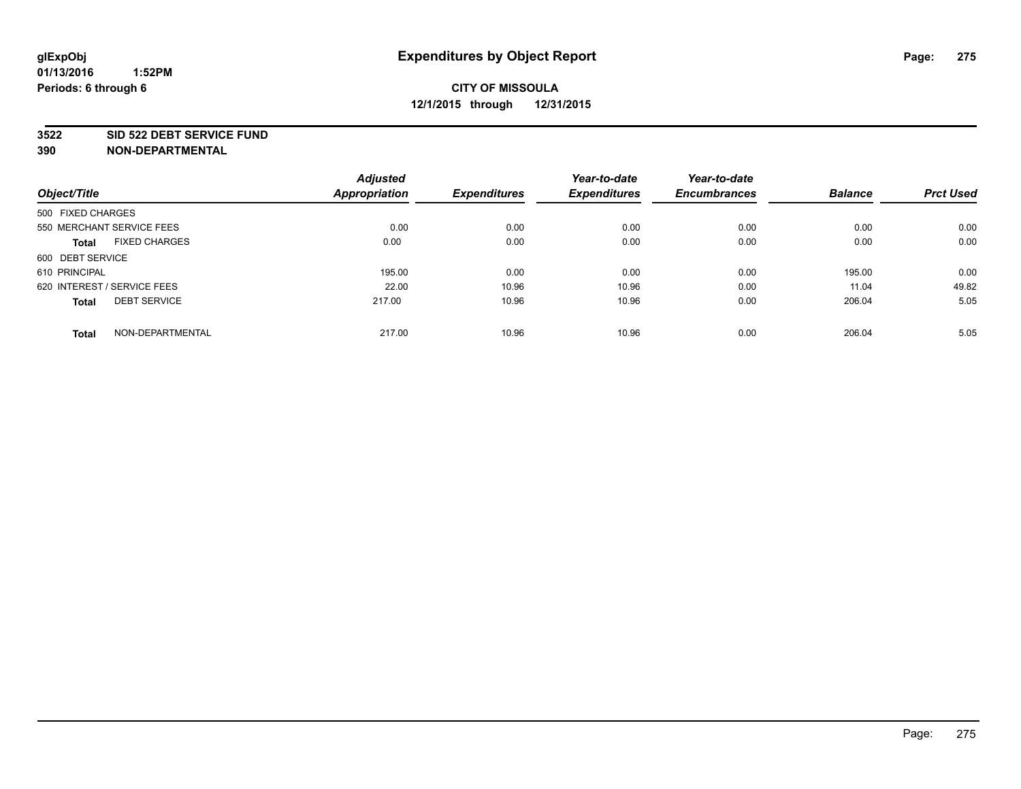#### **3522 SID 522 DEBT SERVICE FUND**

|                                      | <b>Adjusted</b>      |                     | Year-to-date        | Year-to-date        |                |                  |
|--------------------------------------|----------------------|---------------------|---------------------|---------------------|----------------|------------------|
| Object/Title                         | <b>Appropriation</b> | <b>Expenditures</b> | <b>Expenditures</b> | <b>Encumbrances</b> | <b>Balance</b> | <b>Prct Used</b> |
| 500 FIXED CHARGES                    |                      |                     |                     |                     |                |                  |
| 550 MERCHANT SERVICE FEES            | 0.00                 | 0.00                | 0.00                | 0.00                | 0.00           | 0.00             |
| <b>FIXED CHARGES</b><br><b>Total</b> | 0.00                 | 0.00                | 0.00                | 0.00                | 0.00           | 0.00             |
| 600 DEBT SERVICE                     |                      |                     |                     |                     |                |                  |
| 610 PRINCIPAL                        | 195.00               | 0.00                | 0.00                | 0.00                | 195.00         | 0.00             |
| 620 INTEREST / SERVICE FEES          | 22.00                | 10.96               | 10.96               | 0.00                | 11.04          | 49.82            |
| <b>DEBT SERVICE</b><br><b>Total</b>  | 217.00               | 10.96               | 10.96               | 0.00                | 206.04         | 5.05             |
| NON-DEPARTMENTAL<br><b>Total</b>     | 217.00               | 10.96               | 10.96               | 0.00                | 206.04         | 5.05             |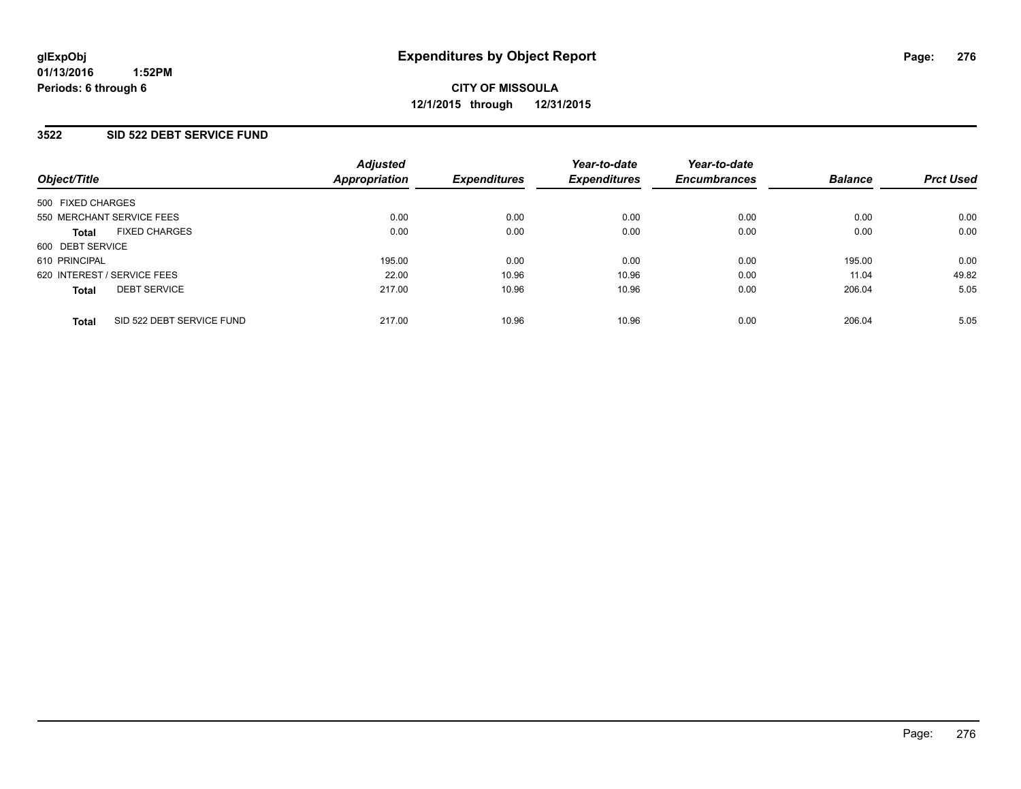#### **3522 SID 522 DEBT SERVICE FUND**

| Object/Title                              | <b>Adjusted</b><br><b>Appropriation</b> | <b>Expenditures</b> | Year-to-date<br><b>Expenditures</b> | Year-to-date<br><b>Encumbrances</b> | <b>Balance</b> | <b>Prct Used</b> |
|-------------------------------------------|-----------------------------------------|---------------------|-------------------------------------|-------------------------------------|----------------|------------------|
| 500 FIXED CHARGES                         |                                         |                     |                                     |                                     |                |                  |
| 550 MERCHANT SERVICE FEES                 | 0.00                                    | 0.00                | 0.00                                | 0.00                                | 0.00           | 0.00             |
| <b>FIXED CHARGES</b><br><b>Total</b>      | 0.00                                    | 0.00                | 0.00                                | 0.00                                | 0.00           | 0.00             |
| 600 DEBT SERVICE                          |                                         |                     |                                     |                                     |                |                  |
| 610 PRINCIPAL                             | 195.00                                  | 0.00                | 0.00                                | 0.00                                | 195.00         | 0.00             |
| 620 INTEREST / SERVICE FEES               | 22.00                                   | 10.96               | 10.96                               | 0.00                                | 11.04          | 49.82            |
| <b>DEBT SERVICE</b><br><b>Total</b>       | 217.00                                  | 10.96               | 10.96                               | 0.00                                | 206.04         | 5.05             |
| SID 522 DEBT SERVICE FUND<br><b>Total</b> | 217.00                                  | 10.96               | 10.96                               | 0.00                                | 206.04         | 5.05             |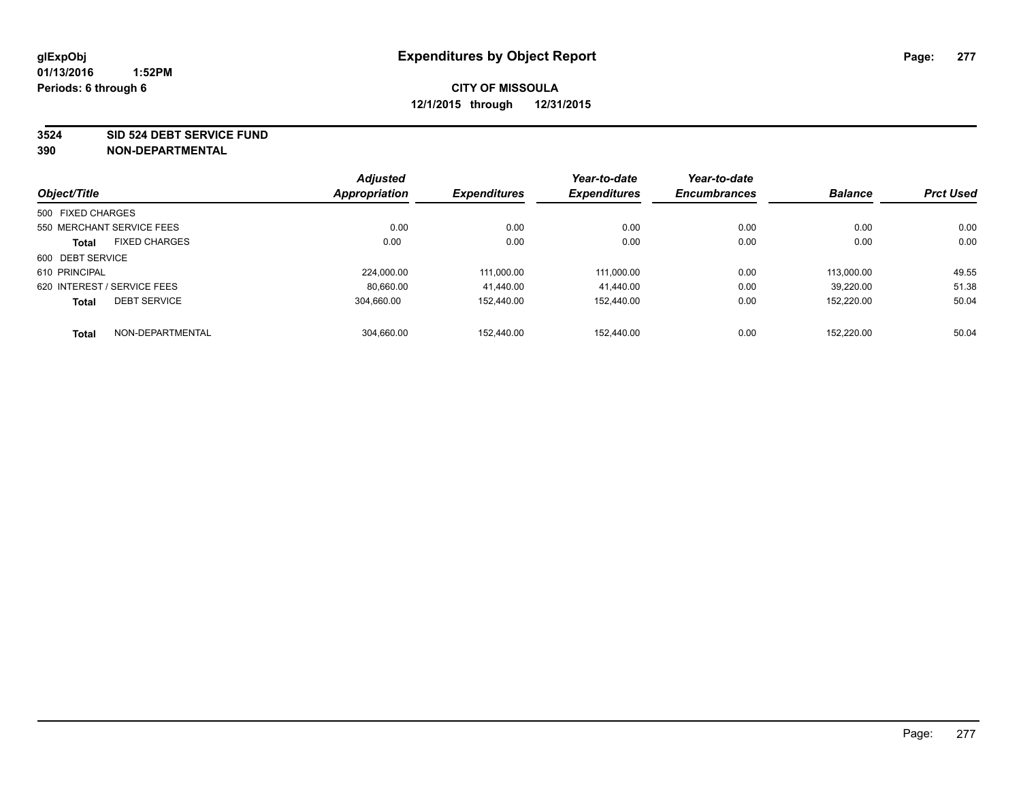**3524 SID 524 DEBT SERVICE FUND**

|                   |                             | <b>Adjusted</b>      |                     | Year-to-date        | Year-to-date        |                |                  |
|-------------------|-----------------------------|----------------------|---------------------|---------------------|---------------------|----------------|------------------|
| Object/Title      |                             | <b>Appropriation</b> | <b>Expenditures</b> | <b>Expenditures</b> | <b>Encumbrances</b> | <b>Balance</b> | <b>Prct Used</b> |
| 500 FIXED CHARGES |                             |                      |                     |                     |                     |                |                  |
|                   | 550 MERCHANT SERVICE FEES   | 0.00                 | 0.00                | 0.00                | 0.00                | 0.00           | 0.00             |
| <b>Total</b>      | <b>FIXED CHARGES</b>        | 0.00                 | 0.00                | 0.00                | 0.00                | 0.00           | 0.00             |
| 600 DEBT SERVICE  |                             |                      |                     |                     |                     |                |                  |
| 610 PRINCIPAL     |                             | 224.000.00           | 111.000.00          | 111,000.00          | 0.00                | 113.000.00     | 49.55            |
|                   | 620 INTEREST / SERVICE FEES | 80.660.00            | 41.440.00           | 41.440.00           | 0.00                | 39.220.00      | 51.38            |
| <b>Total</b>      | <b>DEBT SERVICE</b>         | 304.660.00           | 152.440.00          | 152.440.00          | 0.00                | 152.220.00     | 50.04            |
| <b>Total</b>      | NON-DEPARTMENTAL            | 304.660.00           | 152.440.00          | 152.440.00          | 0.00                | 152.220.00     | 50.04            |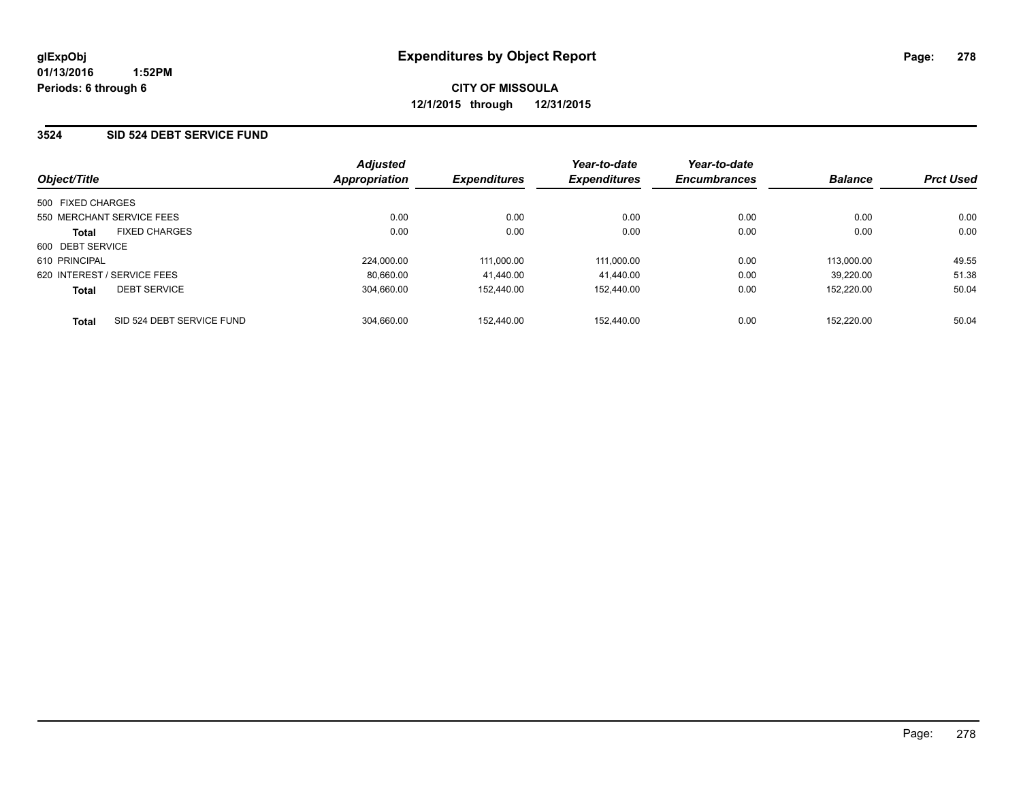#### **3524 SID 524 DEBT SERVICE FUND**

|                             |                           | <b>Adjusted</b>      |                            | Year-to-date        | Year-to-date        |                |                  |
|-----------------------------|---------------------------|----------------------|----------------------------|---------------------|---------------------|----------------|------------------|
| Object/Title                |                           | <b>Appropriation</b> | <i><b>Expenditures</b></i> | <b>Expenditures</b> | <b>Encumbrances</b> | <b>Balance</b> | <b>Prct Used</b> |
| 500 FIXED CHARGES           |                           |                      |                            |                     |                     |                |                  |
| 550 MERCHANT SERVICE FEES   |                           | 0.00                 | 0.00                       | 0.00                | 0.00                | 0.00           | 0.00             |
| <b>Total</b>                | <b>FIXED CHARGES</b>      | 0.00                 | 0.00                       | 0.00                | 0.00                | 0.00           | 0.00             |
| 600 DEBT SERVICE            |                           |                      |                            |                     |                     |                |                  |
| 610 PRINCIPAL               |                           | 224,000.00           | 111.000.00                 | 111,000.00          | 0.00                | 113.000.00     | 49.55            |
| 620 INTEREST / SERVICE FEES |                           | 80.660.00            | 41.440.00                  | 41.440.00           | 0.00                | 39.220.00      | 51.38            |
| <b>Total</b>                | <b>DEBT SERVICE</b>       | 304.660.00           | 152.440.00                 | 152.440.00          | 0.00                | 152.220.00     | 50.04            |
| <b>Total</b>                | SID 524 DEBT SERVICE FUND | 304.660.00           | 152.440.00                 | 152.440.00          | 0.00                | 152.220.00     | 50.04            |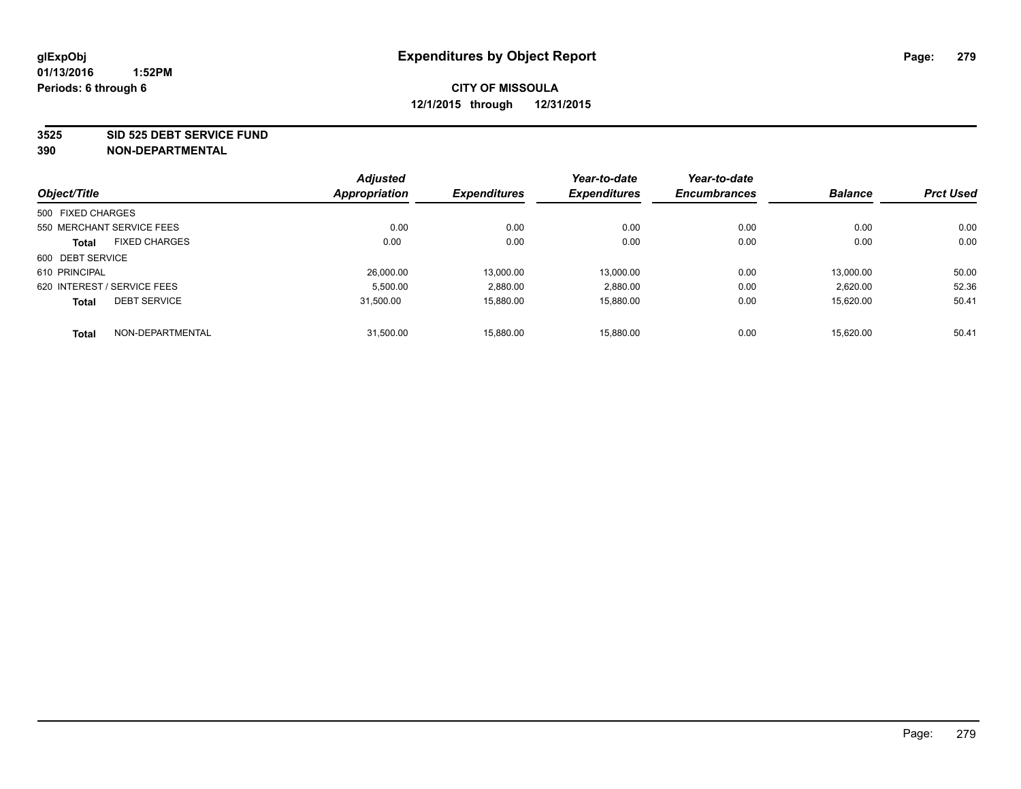**3525 SID 525 DEBT SERVICE FUND**

|                             |                           | <b>Adjusted</b> |                     | Year-to-date        | Year-to-date        |                |                  |
|-----------------------------|---------------------------|-----------------|---------------------|---------------------|---------------------|----------------|------------------|
| Object/Title                |                           | Appropriation   | <b>Expenditures</b> | <b>Expenditures</b> | <b>Encumbrances</b> | <b>Balance</b> | <b>Prct Used</b> |
| 500 FIXED CHARGES           |                           |                 |                     |                     |                     |                |                  |
|                             | 550 MERCHANT SERVICE FEES | 0.00            | 0.00                | 0.00                | 0.00                | 0.00           | 0.00             |
| <b>Total</b>                | <b>FIXED CHARGES</b>      | 0.00            | 0.00                | 0.00                | 0.00                | 0.00           | 0.00             |
| 600 DEBT SERVICE            |                           |                 |                     |                     |                     |                |                  |
| 610 PRINCIPAL               |                           | 26.000.00       | 13.000.00           | 13.000.00           | 0.00                | 13.000.00      | 50.00            |
| 620 INTEREST / SERVICE FEES |                           | 5.500.00        | 2,880.00            | 2.880.00            | 0.00                | 2,620.00       | 52.36            |
| <b>Total</b>                | <b>DEBT SERVICE</b>       | 31.500.00       | 15,880.00           | 15.880.00           | 0.00                | 15.620.00      | 50.41            |
| <b>Total</b>                | NON-DEPARTMENTAL          | 31.500.00       | 15.880.00           | 15.880.00           | 0.00                | 15.620.00      | 50.41            |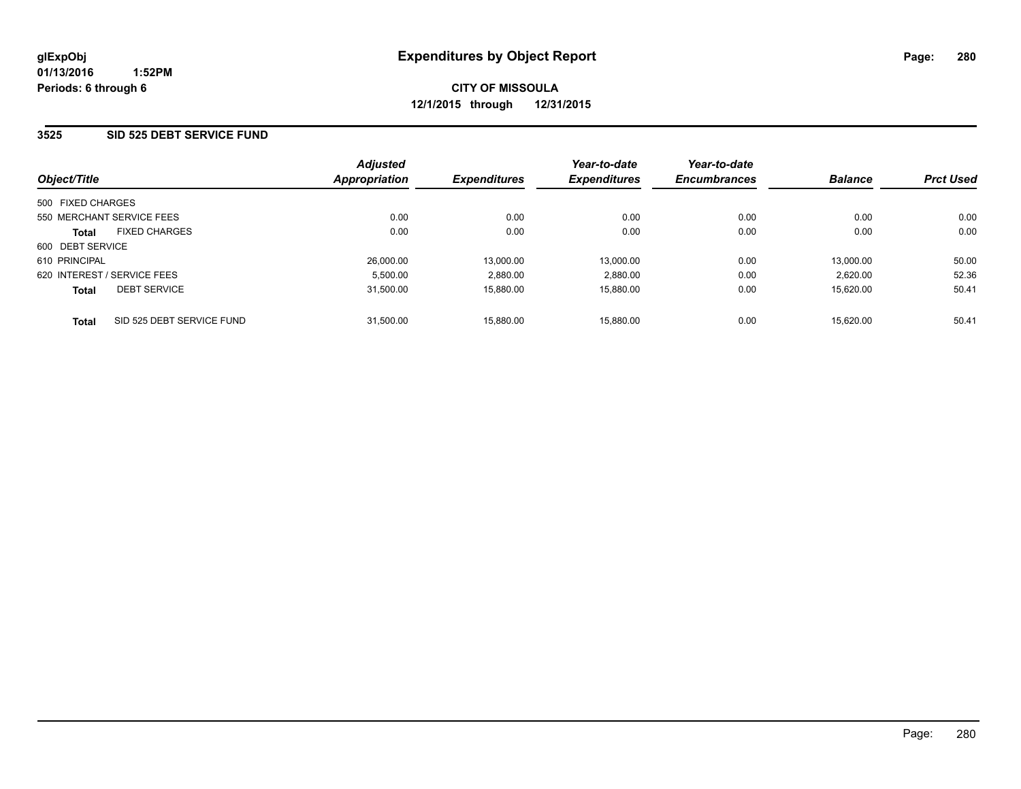#### **3525 SID 525 DEBT SERVICE FUND**

| Object/Title                              | <b>Adjusted</b><br><b>Appropriation</b> | <b>Expenditures</b> | Year-to-date<br><b>Expenditures</b> | Year-to-date<br><b>Encumbrances</b> | <b>Balance</b> | <b>Prct Used</b> |
|-------------------------------------------|-----------------------------------------|---------------------|-------------------------------------|-------------------------------------|----------------|------------------|
| 500 FIXED CHARGES                         |                                         |                     |                                     |                                     |                |                  |
| 550 MERCHANT SERVICE FEES                 | 0.00                                    | 0.00                | 0.00                                | 0.00                                | 0.00           | 0.00             |
| <b>FIXED CHARGES</b><br><b>Total</b>      | 0.00                                    | 0.00                | 0.00                                | 0.00                                | 0.00           | 0.00             |
| 600 DEBT SERVICE                          |                                         |                     |                                     |                                     |                |                  |
| 610 PRINCIPAL                             | 26,000.00                               | 13,000.00           | 13,000.00                           | 0.00                                | 13.000.00      | 50.00            |
| 620 INTEREST / SERVICE FEES               | 5.500.00                                | 2,880.00            | 2,880.00                            | 0.00                                | 2,620.00       | 52.36            |
| <b>DEBT SERVICE</b><br><b>Total</b>       | 31.500.00                               | 15.880.00           | 15,880.00                           | 0.00                                | 15.620.00      | 50.41            |
| SID 525 DEBT SERVICE FUND<br><b>Total</b> | 31.500.00                               | 15.880.00           | 15.880.00                           | 0.00                                | 15.620.00      | 50.41            |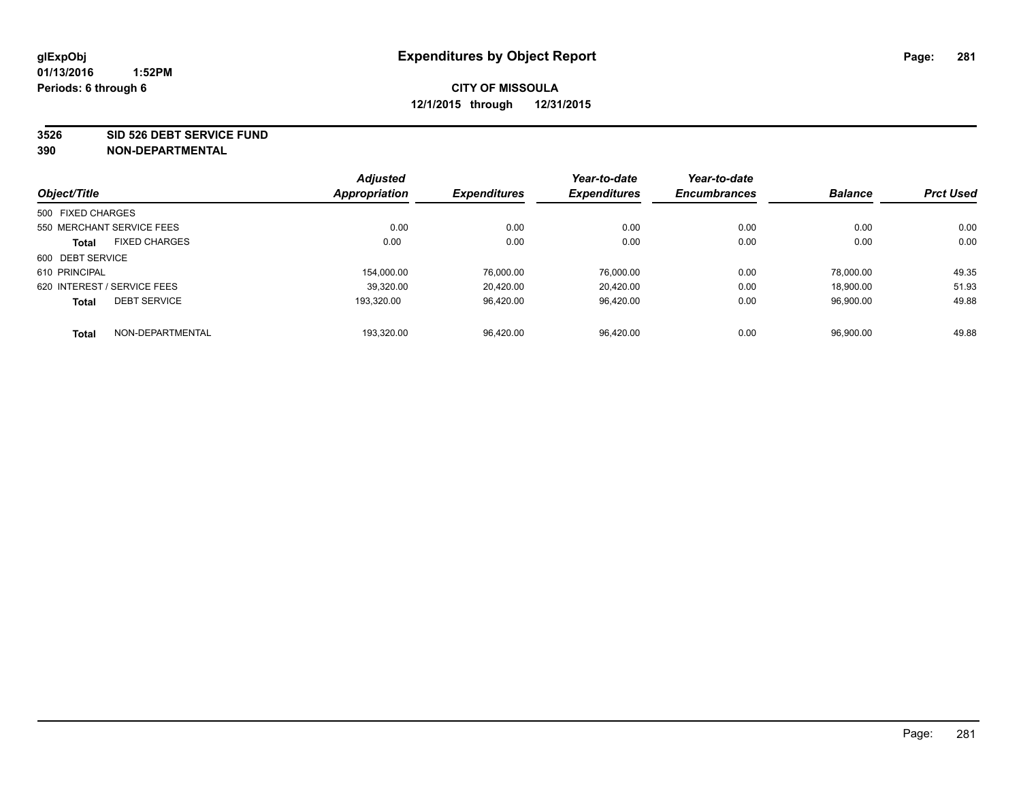**3526 SID 526 DEBT SERVICE FUND**

|                   |                             | <b>Adjusted</b> |                     | Year-to-date        | Year-to-date        |                |                  |
|-------------------|-----------------------------|-----------------|---------------------|---------------------|---------------------|----------------|------------------|
| Object/Title      |                             | Appropriation   | <b>Expenditures</b> | <b>Expenditures</b> | <b>Encumbrances</b> | <b>Balance</b> | <b>Prct Used</b> |
| 500 FIXED CHARGES |                             |                 |                     |                     |                     |                |                  |
|                   | 550 MERCHANT SERVICE FEES   | 0.00            | 0.00                | 0.00                | 0.00                | 0.00           | 0.00             |
| <b>Total</b>      | <b>FIXED CHARGES</b>        | 0.00            | 0.00                | 0.00                | 0.00                | 0.00           | 0.00             |
| 600 DEBT SERVICE  |                             |                 |                     |                     |                     |                |                  |
| 610 PRINCIPAL     |                             | 154.000.00      | 76.000.00           | 76,000.00           | 0.00                | 78.000.00      | 49.35            |
|                   | 620 INTEREST / SERVICE FEES | 39.320.00       | 20.420.00           | 20.420.00           | 0.00                | 18.900.00      | 51.93            |
| <b>Total</b>      | <b>DEBT SERVICE</b>         | 193.320.00      | 96.420.00           | 96.420.00           | 0.00                | 96.900.00      | 49.88            |
| <b>Total</b>      | NON-DEPARTMENTAL            | 193.320.00      | 96.420.00           | 96.420.00           | 0.00                | 96.900.00      | 49.88            |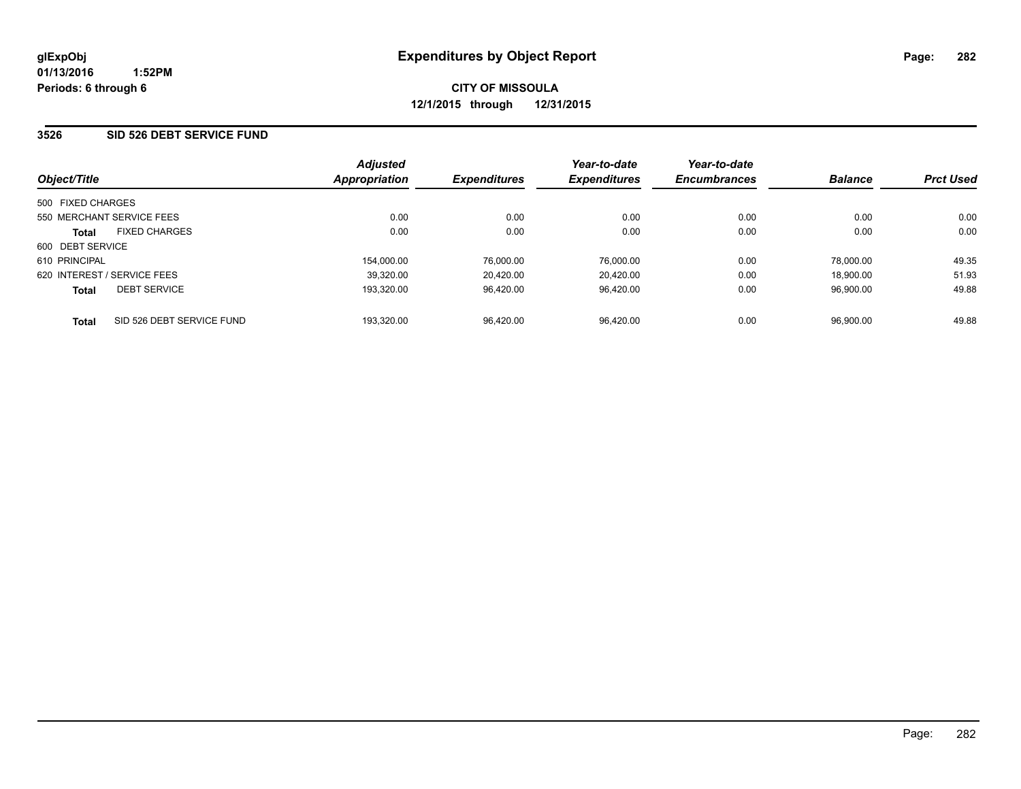#### **3526 SID 526 DEBT SERVICE FUND**

| Object/Title                              | <b>Adjusted</b><br><b>Appropriation</b> | <b>Expenditures</b> | Year-to-date<br><b>Expenditures</b> | Year-to-date<br><b>Encumbrances</b> | <b>Balance</b> | <b>Prct Used</b> |
|-------------------------------------------|-----------------------------------------|---------------------|-------------------------------------|-------------------------------------|----------------|------------------|
| 500 FIXED CHARGES                         |                                         |                     |                                     |                                     |                |                  |
| 550 MERCHANT SERVICE FEES                 | 0.00                                    | 0.00                | 0.00                                | 0.00                                | 0.00           | 0.00             |
| <b>FIXED CHARGES</b><br><b>Total</b>      | 0.00                                    | 0.00                | 0.00                                | 0.00                                | 0.00           | 0.00             |
| 600 DEBT SERVICE                          |                                         |                     |                                     |                                     |                |                  |
| 610 PRINCIPAL                             | 154,000.00                              | 76,000.00           | 76,000.00                           | 0.00                                | 78.000.00      | 49.35            |
| 620 INTEREST / SERVICE FEES               | 39.320.00                               | 20.420.00           | 20.420.00                           | 0.00                                | 18.900.00      | 51.93            |
| <b>DEBT SERVICE</b><br><b>Total</b>       | 193.320.00                              | 96.420.00           | 96.420.00                           | 0.00                                | 96,900.00      | 49.88            |
| SID 526 DEBT SERVICE FUND<br><b>Total</b> | 193,320.00                              | 96.420.00           | 96.420.00                           | 0.00                                | 96.900.00      | 49.88            |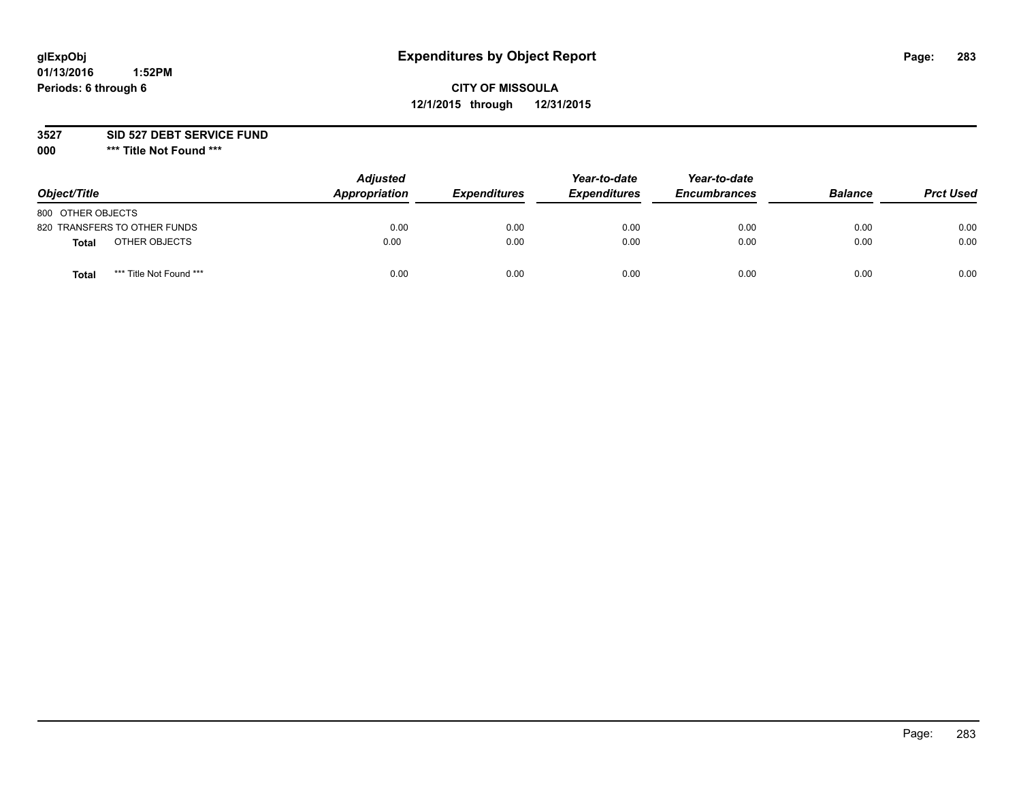# **glExpObj Expenditures by Object Report Page: 283**

## **CITY OF MISSOULA 12/1/2015 through 12/31/2015**

**3527 SID 527 DEBT SERVICE FUND**

**000 \*\*\* Title Not Found \*\*\***

| Object/Title                            | <b>Adjusted</b><br>Appropriation | <b>Expenditures</b> | Year-to-date<br><b>Expenditures</b> | Year-to-date<br><b>Encumbrances</b> | <b>Balance</b> | <b>Prct Used</b> |
|-----------------------------------------|----------------------------------|---------------------|-------------------------------------|-------------------------------------|----------------|------------------|
| 800 OTHER OBJECTS                       |                                  |                     |                                     |                                     |                |                  |
| 820 TRANSFERS TO OTHER FUNDS            | 0.00                             | 0.00                | 0.00                                | 0.00                                | 0.00           | 0.00             |
| OTHER OBJECTS<br><b>Total</b>           | 0.00                             | 0.00                | 0.00                                | 0.00                                | 0.00           | 0.00             |
| *** Title Not Found ***<br><b>Total</b> | 0.00                             | 0.00                | 0.00                                | 0.00                                | 0.00           | 0.00             |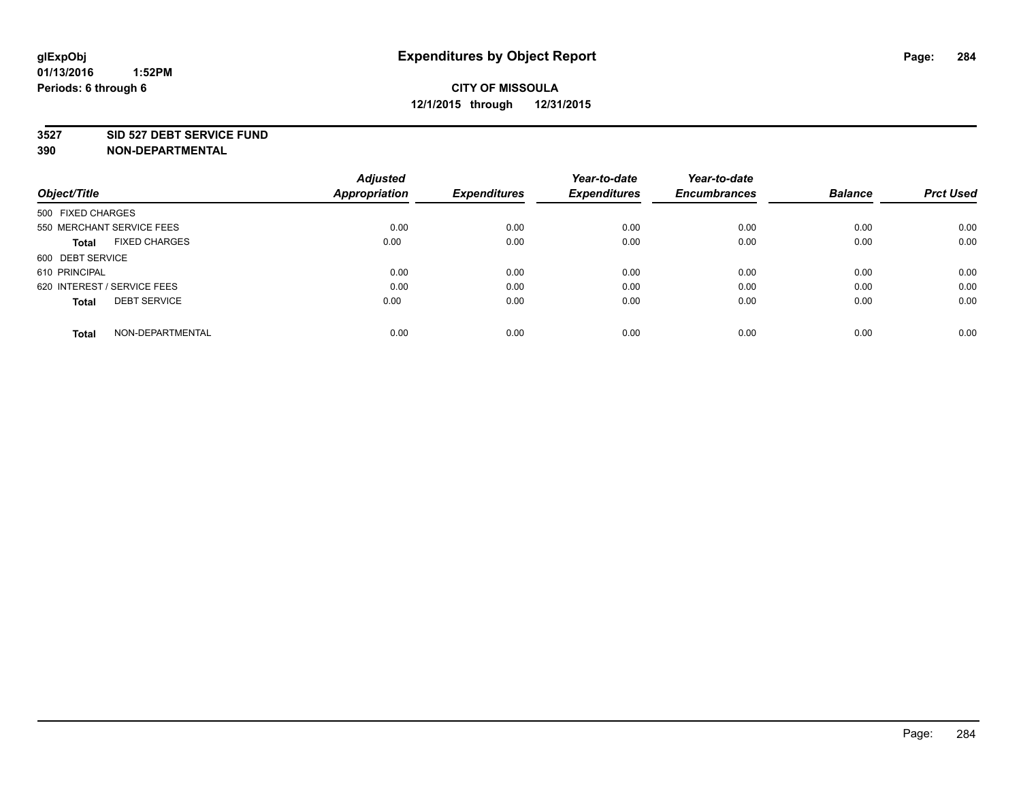#### **3527 SID 527 DEBT SERVICE FUND**

| Object/Title                         | <b>Adjusted</b><br><b>Appropriation</b> | <b>Expenditures</b> | Year-to-date<br><b>Expenditures</b> | Year-to-date<br><b>Encumbrances</b> | <b>Balance</b> | <b>Prct Used</b> |
|--------------------------------------|-----------------------------------------|---------------------|-------------------------------------|-------------------------------------|----------------|------------------|
|                                      |                                         |                     |                                     |                                     |                |                  |
| 500 FIXED CHARGES                    |                                         |                     |                                     |                                     |                |                  |
| 550 MERCHANT SERVICE FEES            | 0.00                                    | 0.00                | 0.00                                | 0.00                                | 0.00           | 0.00             |
| <b>FIXED CHARGES</b><br><b>Total</b> | 0.00                                    | 0.00                | 0.00                                | 0.00                                | 0.00           | 0.00             |
| 600 DEBT SERVICE                     |                                         |                     |                                     |                                     |                |                  |
| 610 PRINCIPAL                        | 0.00                                    | 0.00                | 0.00                                | 0.00                                | 0.00           | 0.00             |
| 620 INTEREST / SERVICE FEES          | 0.00                                    | 0.00                | 0.00                                | 0.00                                | 0.00           | 0.00             |
| <b>DEBT SERVICE</b><br>Total         | 0.00                                    | 0.00                | 0.00                                | 0.00                                | 0.00           | 0.00             |
|                                      |                                         |                     |                                     |                                     |                |                  |
| NON-DEPARTMENTAL<br><b>Total</b>     | 0.00                                    | 0.00                | 0.00                                | 0.00                                | 0.00           | 0.00             |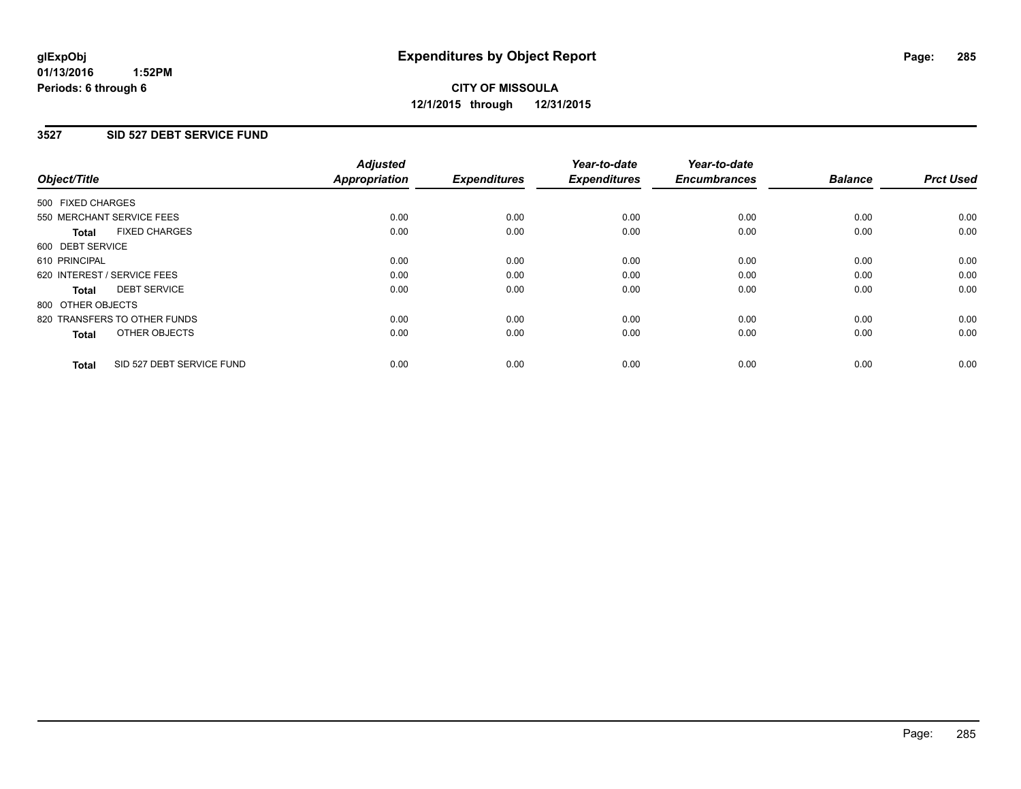#### **01/13/2016 1:52PM Periods: 6 through 6**

# **CITY OF MISSOULA 12/1/2015 through 12/31/2015**

#### **3527 SID 527 DEBT SERVICE FUND**

| Object/Title      |                              | <b>Adjusted</b><br>Appropriation | <b>Expenditures</b> | Year-to-date<br><b>Expenditures</b> | Year-to-date<br><b>Encumbrances</b> | <b>Balance</b> | <b>Prct Used</b> |
|-------------------|------------------------------|----------------------------------|---------------------|-------------------------------------|-------------------------------------|----------------|------------------|
| 500 FIXED CHARGES |                              |                                  |                     |                                     |                                     |                |                  |
|                   | 550 MERCHANT SERVICE FEES    | 0.00                             | 0.00                | 0.00                                | 0.00                                | 0.00           | 0.00             |
| <b>Total</b>      | <b>FIXED CHARGES</b>         | 0.00                             | 0.00                | 0.00                                | 0.00                                | 0.00           | 0.00             |
| 600 DEBT SERVICE  |                              |                                  |                     |                                     |                                     |                |                  |
| 610 PRINCIPAL     |                              | 0.00                             | 0.00                | 0.00                                | 0.00                                | 0.00           | 0.00             |
|                   | 620 INTEREST / SERVICE FEES  | 0.00                             | 0.00                | 0.00                                | 0.00                                | 0.00           | 0.00             |
| Total             | <b>DEBT SERVICE</b>          | 0.00                             | 0.00                | 0.00                                | 0.00                                | 0.00           | 0.00             |
| 800 OTHER OBJECTS |                              |                                  |                     |                                     |                                     |                |                  |
|                   | 820 TRANSFERS TO OTHER FUNDS | 0.00                             | 0.00                | 0.00                                | 0.00                                | 0.00           | 0.00             |
| <b>Total</b>      | OTHER OBJECTS                | 0.00                             | 0.00                | 0.00                                | 0.00                                | 0.00           | 0.00             |
| <b>Total</b>      | SID 527 DEBT SERVICE FUND    | 0.00                             | 0.00                | 0.00                                | 0.00                                | 0.00           | 0.00             |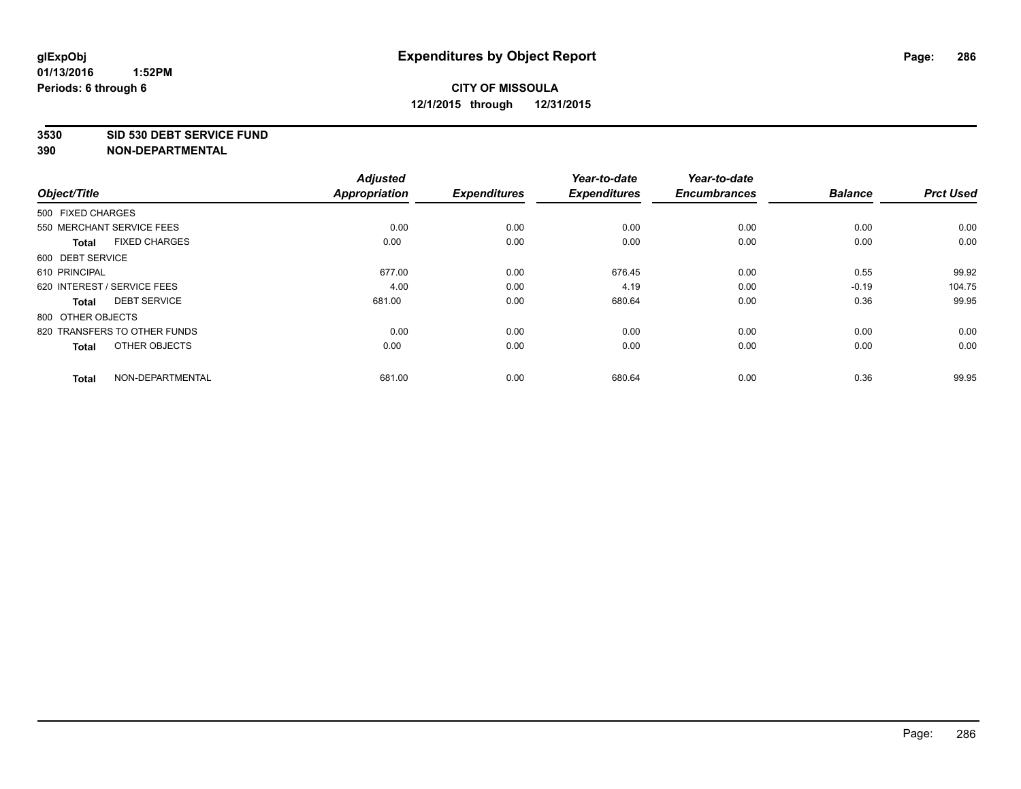#### **3530 SID 530 DEBT SERVICE FUND**

| Object/Title      |                              | <b>Adjusted</b><br><b>Appropriation</b> | <b>Expenditures</b> | Year-to-date<br><b>Expenditures</b> | Year-to-date<br><b>Encumbrances</b> | <b>Balance</b> | <b>Prct Used</b> |
|-------------------|------------------------------|-----------------------------------------|---------------------|-------------------------------------|-------------------------------------|----------------|------------------|
|                   |                              |                                         |                     |                                     |                                     |                |                  |
| 500 FIXED CHARGES |                              |                                         |                     |                                     |                                     |                |                  |
|                   | 550 MERCHANT SERVICE FEES    | 0.00                                    | 0.00                | 0.00                                | 0.00                                | 0.00           | 0.00             |
| <b>Total</b>      | <b>FIXED CHARGES</b>         | 0.00                                    | 0.00                | 0.00                                | 0.00                                | 0.00           | 0.00             |
| 600 DEBT SERVICE  |                              |                                         |                     |                                     |                                     |                |                  |
| 610 PRINCIPAL     |                              | 677.00                                  | 0.00                | 676.45                              | 0.00                                | 0.55           | 99.92            |
|                   | 620 INTEREST / SERVICE FEES  | 4.00                                    | 0.00                | 4.19                                | 0.00                                | $-0.19$        | 104.75           |
| <b>Total</b>      | <b>DEBT SERVICE</b>          | 681.00                                  | 0.00                | 680.64                              | 0.00                                | 0.36           | 99.95            |
| 800 OTHER OBJECTS |                              |                                         |                     |                                     |                                     |                |                  |
|                   | 820 TRANSFERS TO OTHER FUNDS | 0.00                                    | 0.00                | 0.00                                | 0.00                                | 0.00           | 0.00             |
| <b>Total</b>      | OTHER OBJECTS                | 0.00                                    | 0.00                | 0.00                                | 0.00                                | 0.00           | 0.00             |
| <b>Total</b>      | NON-DEPARTMENTAL             | 681.00                                  | 0.00                | 680.64                              | 0.00                                | 0.36           | 99.95            |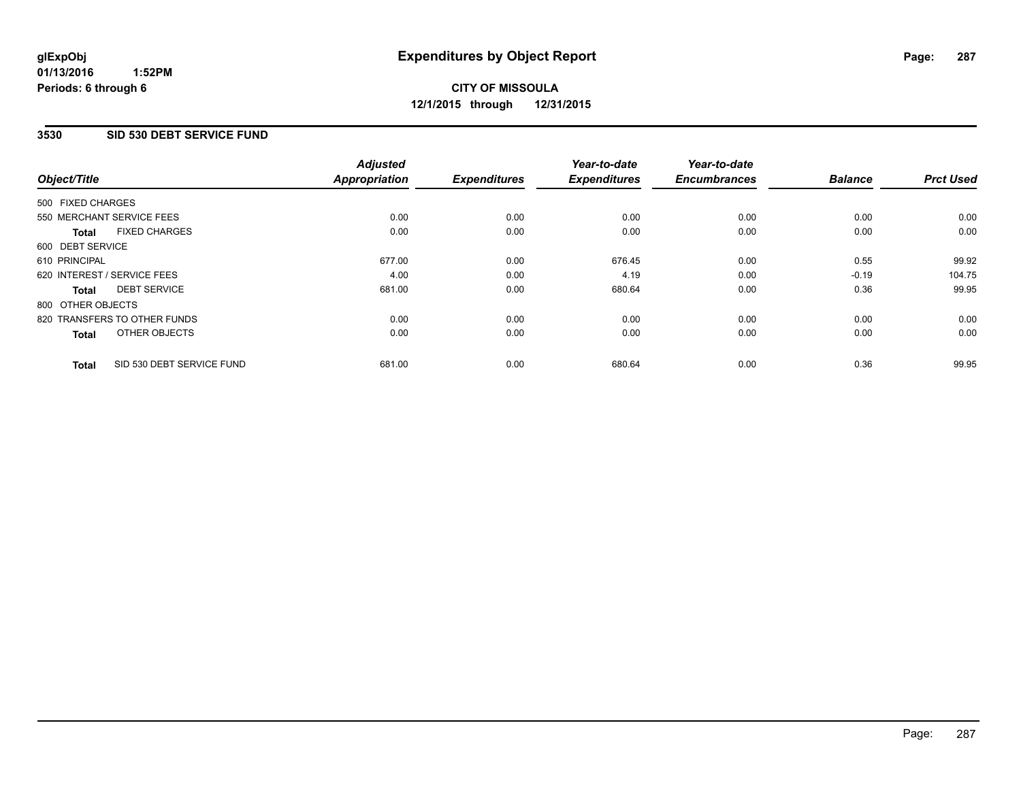#### **3530 SID 530 DEBT SERVICE FUND**

| Object/Title      |                              | <b>Adjusted</b><br><b>Appropriation</b> | <b>Expenditures</b> | Year-to-date<br><b>Expenditures</b> | Year-to-date<br><b>Encumbrances</b> | <b>Balance</b> | <b>Prct Used</b> |
|-------------------|------------------------------|-----------------------------------------|---------------------|-------------------------------------|-------------------------------------|----------------|------------------|
|                   |                              |                                         |                     |                                     |                                     |                |                  |
| 500 FIXED CHARGES |                              |                                         |                     |                                     |                                     |                |                  |
|                   | 550 MERCHANT SERVICE FEES    | 0.00                                    | 0.00                | 0.00                                | 0.00                                | 0.00           | 0.00             |
| <b>Total</b>      | <b>FIXED CHARGES</b>         | 0.00                                    | 0.00                | 0.00                                | 0.00                                | 0.00           | 0.00             |
| 600 DEBT SERVICE  |                              |                                         |                     |                                     |                                     |                |                  |
| 610 PRINCIPAL     |                              | 677.00                                  | 0.00                | 676.45                              | 0.00                                | 0.55           | 99.92            |
|                   | 620 INTEREST / SERVICE FEES  | 4.00                                    | 0.00                | 4.19                                | 0.00                                | $-0.19$        | 104.75           |
| Total             | <b>DEBT SERVICE</b>          | 681.00                                  | 0.00                | 680.64                              | 0.00                                | 0.36           | 99.95            |
| 800 OTHER OBJECTS |                              |                                         |                     |                                     |                                     |                |                  |
|                   | 820 TRANSFERS TO OTHER FUNDS | 0.00                                    | 0.00                | 0.00                                | 0.00                                | 0.00           | 0.00             |
| <b>Total</b>      | OTHER OBJECTS                | 0.00                                    | 0.00                | 0.00                                | 0.00                                | 0.00           | 0.00             |
| <b>Total</b>      | SID 530 DEBT SERVICE FUND    | 681.00                                  | 0.00                | 680.64                              | 0.00                                | 0.36           | 99.95            |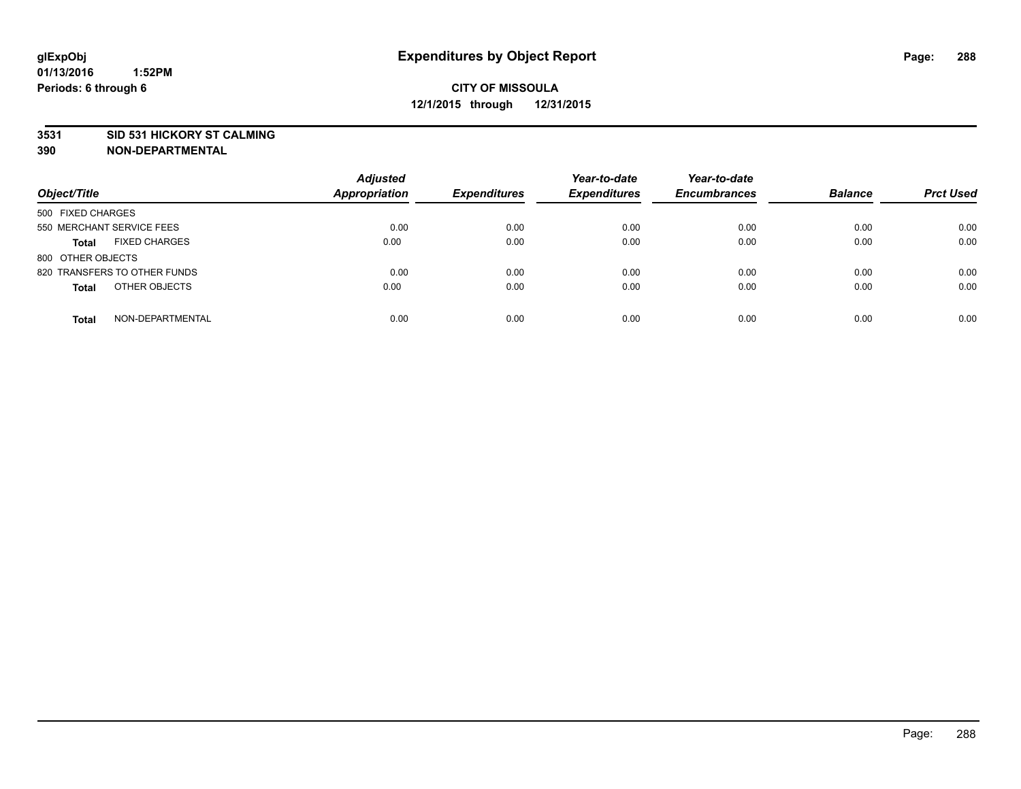#### **3531 SID 531 HICKORY ST CALMING**

| Object/Title                         | <b>Adjusted</b><br><b>Appropriation</b> | <b>Expenditures</b> | Year-to-date<br><b>Expenditures</b> | Year-to-date<br><b>Encumbrances</b> | <b>Balance</b> | <b>Prct Used</b> |
|--------------------------------------|-----------------------------------------|---------------------|-------------------------------------|-------------------------------------|----------------|------------------|
| 500 FIXED CHARGES                    |                                         |                     |                                     |                                     |                |                  |
| 550 MERCHANT SERVICE FEES            | 0.00                                    | 0.00                | 0.00                                | 0.00                                | 0.00           | 0.00             |
| <b>FIXED CHARGES</b><br><b>Total</b> | 0.00                                    | 0.00                | 0.00                                | 0.00                                | 0.00           | 0.00             |
| 800 OTHER OBJECTS                    |                                         |                     |                                     |                                     |                |                  |
| 820 TRANSFERS TO OTHER FUNDS         | 0.00                                    | 0.00                | 0.00                                | 0.00                                | 0.00           | 0.00             |
| OTHER OBJECTS<br><b>Total</b>        | 0.00                                    | 0.00                | 0.00                                | 0.00                                | 0.00           | 0.00             |
| NON-DEPARTMENTAL<br><b>Total</b>     | 0.00                                    | 0.00                | 0.00                                | 0.00                                | 0.00           | 0.00             |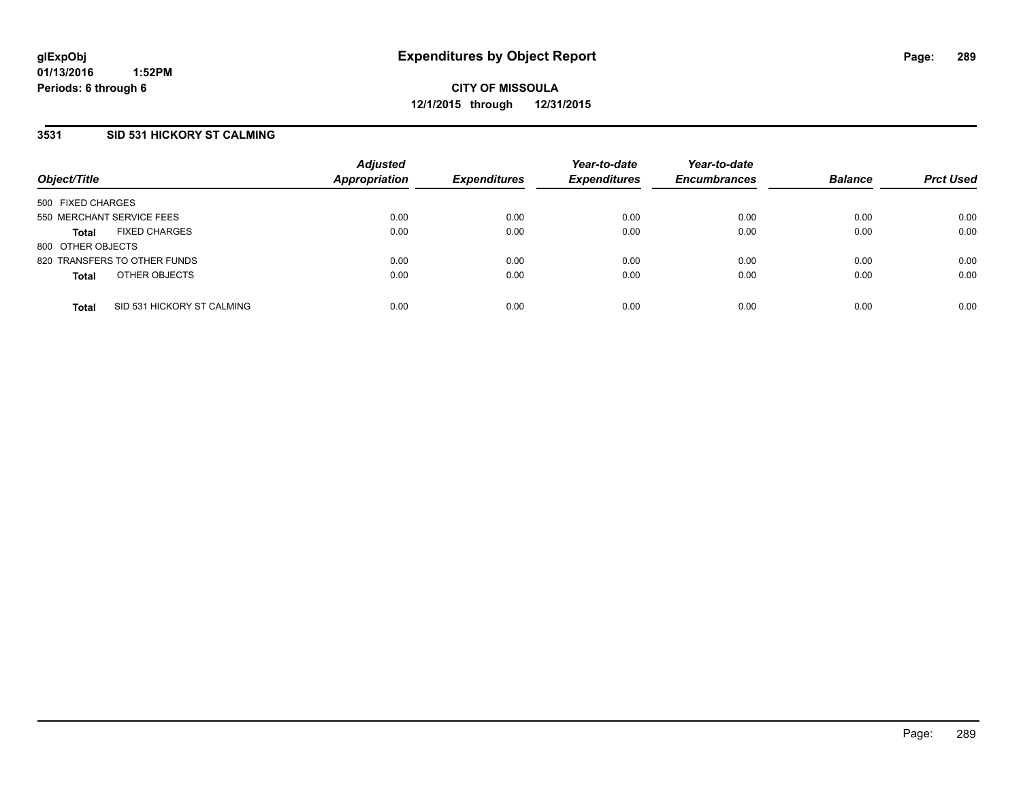## **3531 SID 531 HICKORY ST CALMING**

| Object/Title              |                              | <b>Adjusted</b><br>Appropriation | <b>Expenditures</b> | Year-to-date<br><b>Expenditures</b> | Year-to-date<br><b>Encumbrances</b> | <b>Balance</b> | <b>Prct Used</b> |
|---------------------------|------------------------------|----------------------------------|---------------------|-------------------------------------|-------------------------------------|----------------|------------------|
| 500 FIXED CHARGES         |                              |                                  |                     |                                     |                                     |                |                  |
| 550 MERCHANT SERVICE FEES |                              | 0.00                             | 0.00                | 0.00                                | 0.00                                | 0.00           | 0.00             |
| Total                     | <b>FIXED CHARGES</b>         | 0.00                             | 0.00                | 0.00                                | 0.00                                | 0.00           | 0.00             |
| 800 OTHER OBJECTS         |                              |                                  |                     |                                     |                                     |                |                  |
|                           | 820 TRANSFERS TO OTHER FUNDS | 0.00                             | 0.00                | 0.00                                | 0.00                                | 0.00           | 0.00             |
| <b>Total</b>              | OTHER OBJECTS                | 0.00                             | 0.00                | 0.00                                | 0.00                                | 0.00           | 0.00             |
| <b>Total</b>              | SID 531 HICKORY ST CALMING   | 0.00                             | 0.00                | 0.00                                | 0.00                                | 0.00           | 0.00             |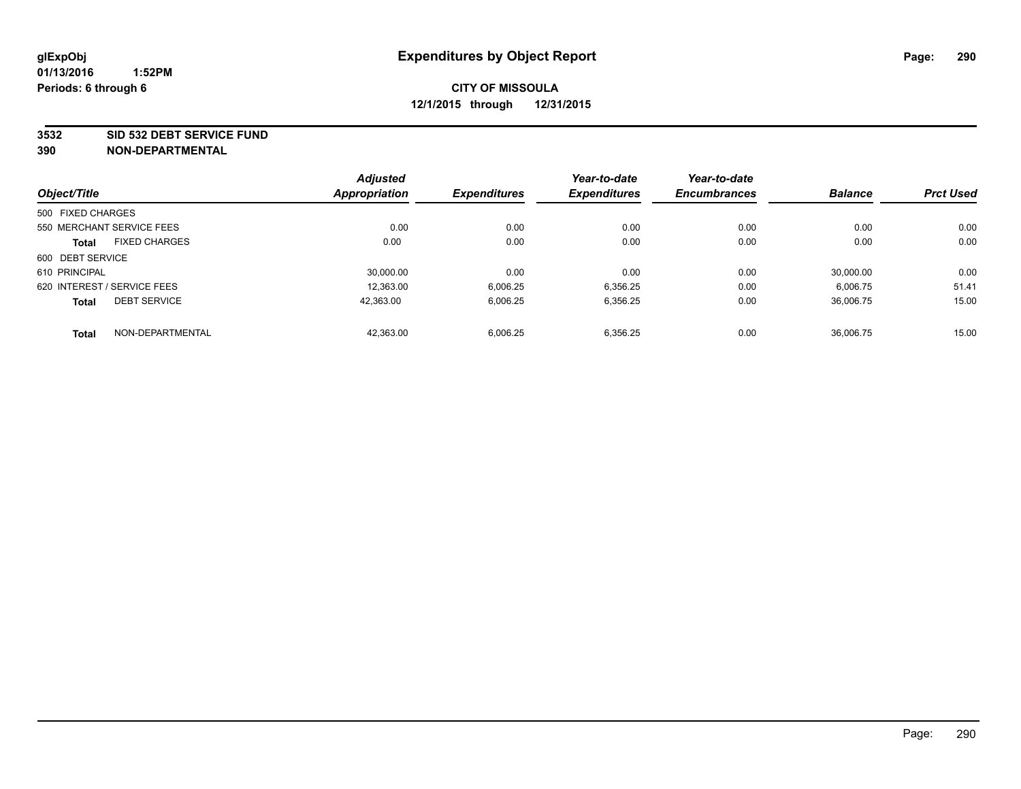#### **3532 SID 532 DEBT SERVICE FUND**

| Object/Title      |                             | <b>Adjusted</b><br><b>Appropriation</b> | <b>Expenditures</b> | Year-to-date<br><b>Expenditures</b> | Year-to-date<br><b>Encumbrances</b> | <b>Balance</b> | <b>Prct Used</b> |
|-------------------|-----------------------------|-----------------------------------------|---------------------|-------------------------------------|-------------------------------------|----------------|------------------|
|                   |                             |                                         |                     |                                     |                                     |                |                  |
| 500 FIXED CHARGES |                             |                                         |                     |                                     |                                     |                |                  |
|                   | 550 MERCHANT SERVICE FEES   | 0.00                                    | 0.00                | 0.00                                | 0.00                                | 0.00           | 0.00             |
| <b>Total</b>      | <b>FIXED CHARGES</b>        | 0.00                                    | 0.00                | 0.00                                | 0.00                                | 0.00           | 0.00             |
| 600 DEBT SERVICE  |                             |                                         |                     |                                     |                                     |                |                  |
| 610 PRINCIPAL     |                             | 30.000.00                               | 0.00                | 0.00                                | 0.00                                | 30.000.00      | 0.00             |
|                   | 620 INTEREST / SERVICE FEES | 12.363.00                               | 6,006.25            | 6,356.25                            | 0.00                                | 6,006.75       | 51.41            |
| <b>Total</b>      | <b>DEBT SERVICE</b>         | 42.363.00                               | 6,006.25            | 6,356.25                            | 0.00                                | 36.006.75      | 15.00            |
| <b>Total</b>      | NON-DEPARTMENTAL            | 42.363.00                               | 6,006.25            | 6.356.25                            | 0.00                                | 36.006.75      | 15.00            |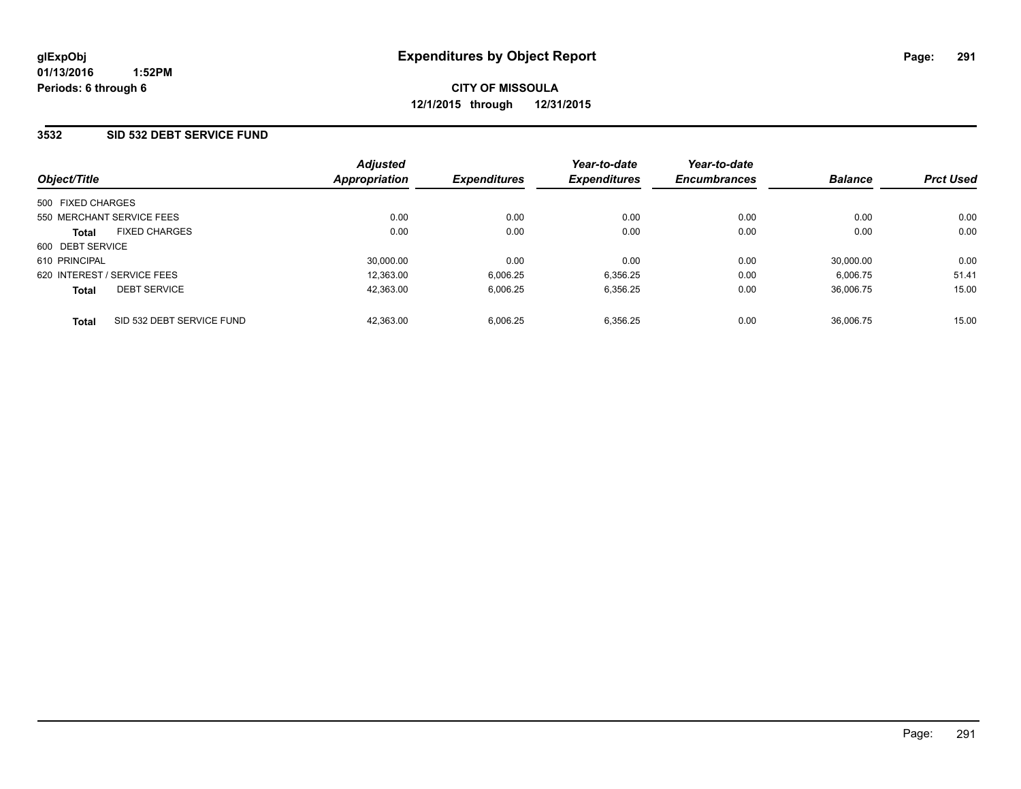## **3532 SID 532 DEBT SERVICE FUND**

| Object/Title                         |                           | <b>Adjusted</b><br><b>Appropriation</b> | <b>Expenditures</b> | Year-to-date<br><b>Expenditures</b> | Year-to-date<br><b>Encumbrances</b> | <b>Balance</b> | <b>Prct Used</b> |
|--------------------------------------|---------------------------|-----------------------------------------|---------------------|-------------------------------------|-------------------------------------|----------------|------------------|
|                                      |                           |                                         |                     |                                     |                                     |                |                  |
| 500 FIXED CHARGES                    |                           |                                         |                     |                                     |                                     |                |                  |
| 550 MERCHANT SERVICE FEES            |                           | 0.00                                    | 0.00                | 0.00                                | 0.00                                | 0.00           | 0.00             |
| <b>FIXED CHARGES</b><br><b>Total</b> |                           | 0.00                                    | 0.00                | 0.00                                | 0.00                                | 0.00           | 0.00             |
| 600 DEBT SERVICE                     |                           |                                         |                     |                                     |                                     |                |                  |
| 610 PRINCIPAL                        |                           | 30,000.00                               | 0.00                | 0.00                                | 0.00                                | 30,000.00      | 0.00             |
| 620 INTEREST / SERVICE FEES          |                           | 12,363.00                               | 6,006.25            | 6,356.25                            | 0.00                                | 6.006.75       | 51.41            |
| <b>DEBT SERVICE</b><br><b>Total</b>  |                           | 42.363.00                               | 6,006.25            | 6,356.25                            | 0.00                                | 36.006.75      | 15.00            |
| <b>Total</b>                         | SID 532 DEBT SERVICE FUND | 42.363.00                               | 6,006.25            | 6.356.25                            | 0.00                                | 36.006.75      | 15.00            |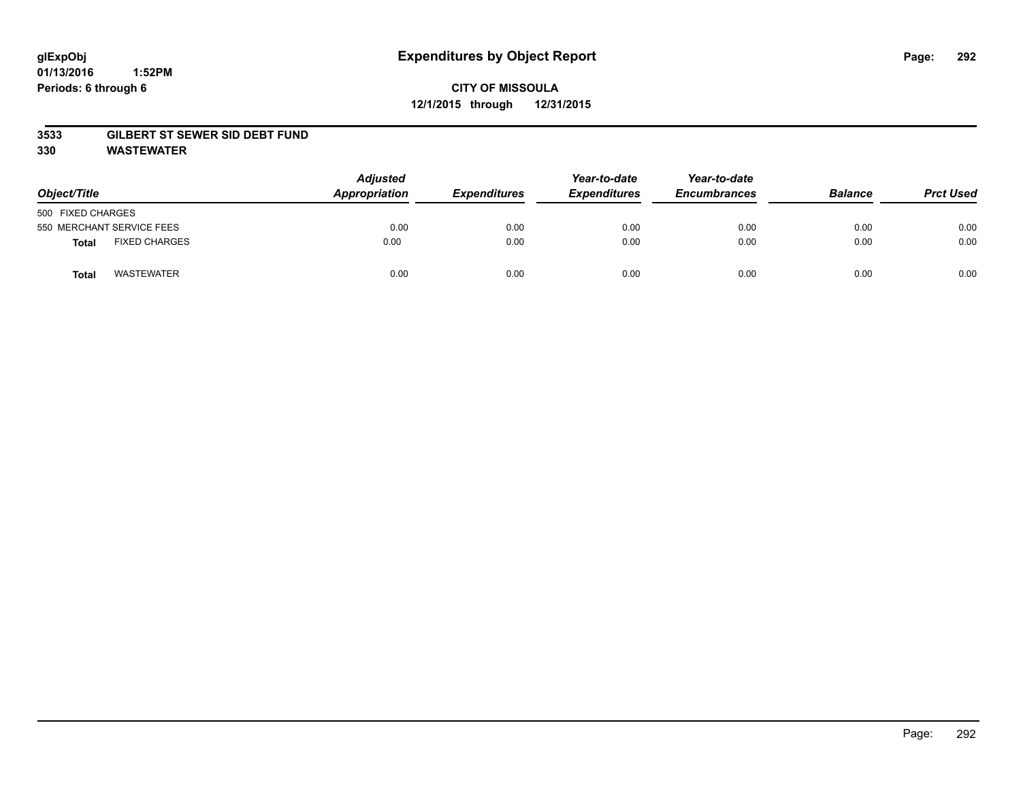#### **01/13/2016 1:52PM Periods: 6 through 6**

# **CITY OF MISSOULA 12/1/2015 through 12/31/2015**

#### **3533 GILBERT ST SEWER SID DEBT FUND**

**330 WASTEWATER**

| Object/Title                  | <b>Adjusted</b><br>Appropriation | <b>Expenditures</b> | Year-to-date<br><b>Expenditures</b> | Year-to-date<br><b>Encumbrances</b> | <b>Balance</b> | <b>Prct Used</b> |
|-------------------------------|----------------------------------|---------------------|-------------------------------------|-------------------------------------|----------------|------------------|
| 500 FIXED CHARGES             |                                  |                     |                                     |                                     |                |                  |
| 550 MERCHANT SERVICE FEES     | 0.00                             | 0.00                | 0.00                                | 0.00                                | 0.00           | 0.00             |
| <b>FIXED CHARGES</b><br>Total | 0.00                             | 0.00                | 0.00                                | 0.00                                | 0.00           | 0.00             |
| <b>WASTEWATER</b><br>Total    | 0.00                             | 0.00                | 0.00                                | 0.00                                | 0.00           | 0.00             |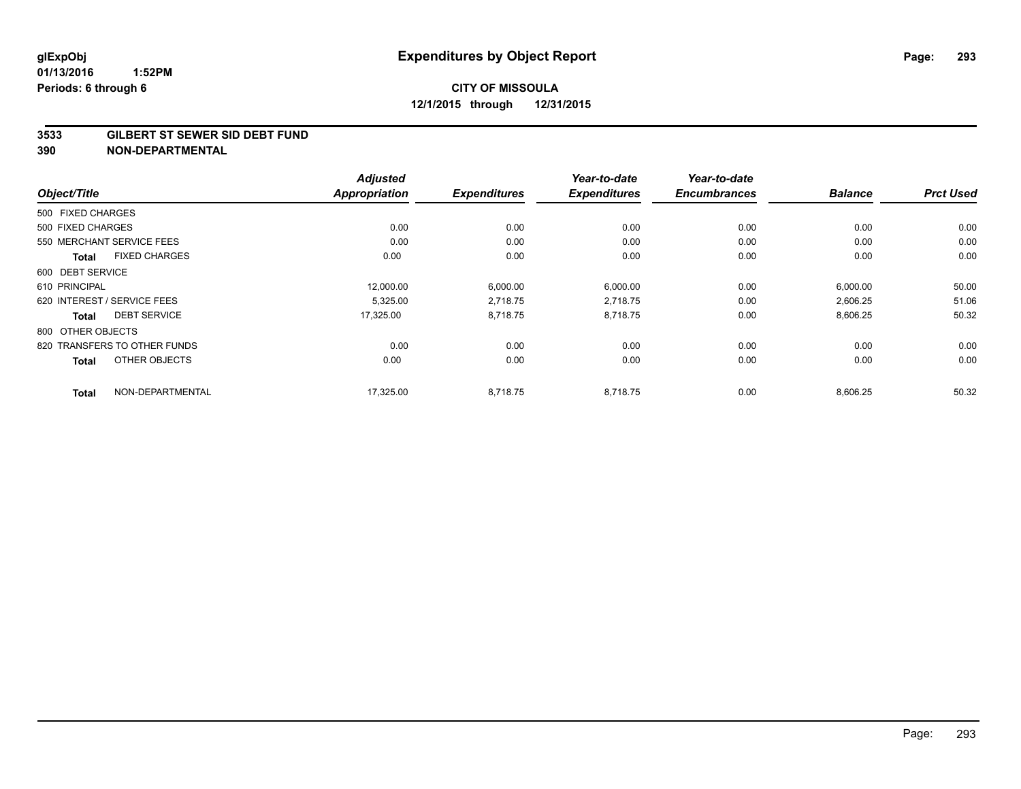#### **3533 GILBERT ST SEWER SID DEBT FUND**

|                                  | <b>Adjusted</b>      |                     | Year-to-date        | Year-to-date        |                |                  |
|----------------------------------|----------------------|---------------------|---------------------|---------------------|----------------|------------------|
| Object/Title                     | <b>Appropriation</b> | <b>Expenditures</b> | <b>Expenditures</b> | <b>Encumbrances</b> | <b>Balance</b> | <b>Prct Used</b> |
| 500 FIXED CHARGES                |                      |                     |                     |                     |                |                  |
| 500 FIXED CHARGES                | 0.00                 | 0.00                | 0.00                | 0.00                | 0.00           | 0.00             |
| 550 MERCHANT SERVICE FEES        | 0.00                 | 0.00                | 0.00                | 0.00                | 0.00           | 0.00             |
| <b>FIXED CHARGES</b><br>Total    | 0.00                 | 0.00                | 0.00                | 0.00                | 0.00           | 0.00             |
| 600 DEBT SERVICE                 |                      |                     |                     |                     |                |                  |
| 610 PRINCIPAL                    | 12,000.00            | 6,000.00            | 6,000.00            | 0.00                | 6,000.00       | 50.00            |
| 620 INTEREST / SERVICE FEES      | 5,325.00             | 2,718.75            | 2,718.75            | 0.00                | 2,606.25       | 51.06            |
| <b>DEBT SERVICE</b><br>Total     | 17,325.00            | 8,718.75            | 8,718.75            | 0.00                | 8,606.25       | 50.32            |
| 800 OTHER OBJECTS                |                      |                     |                     |                     |                |                  |
| 820 TRANSFERS TO OTHER FUNDS     | 0.00                 | 0.00                | 0.00                | 0.00                | 0.00           | 0.00             |
| OTHER OBJECTS<br><b>Total</b>    | 0.00                 | 0.00                | 0.00                | 0.00                | 0.00           | 0.00             |
| NON-DEPARTMENTAL<br><b>Total</b> | 17,325.00            | 8,718.75            | 8.718.75            | 0.00                | 8,606.25       | 50.32            |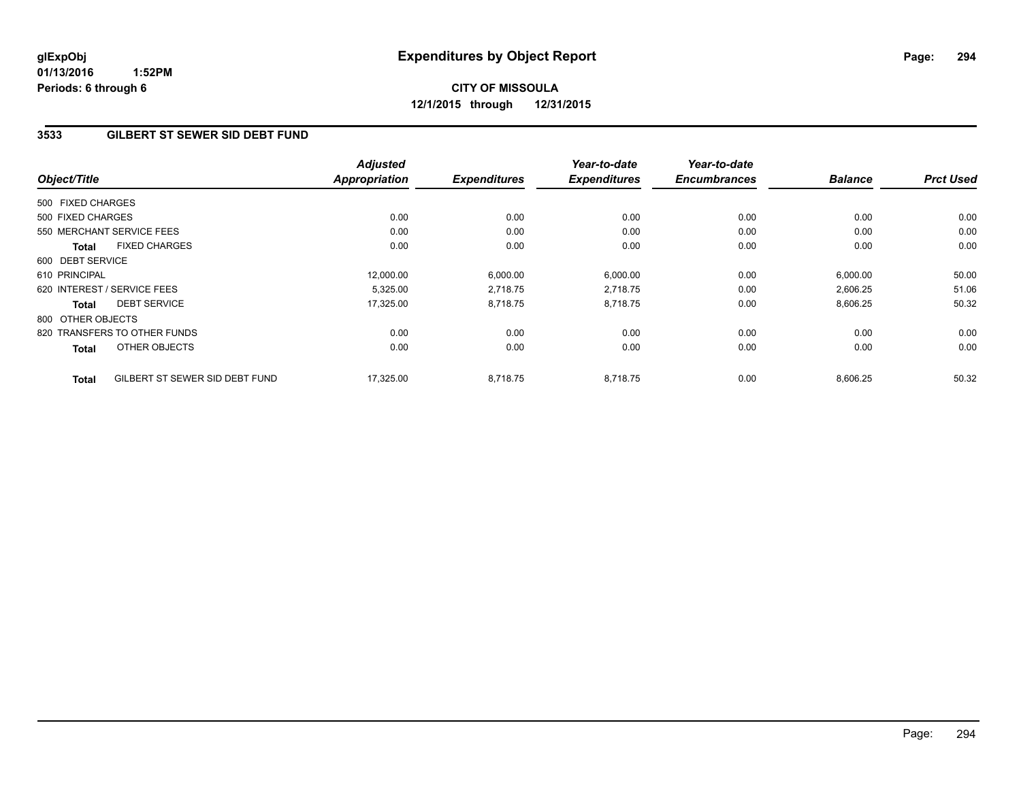**01/13/2016 1:52PM Periods: 6 through 6**

# **CITY OF MISSOULA 12/1/2015 through 12/31/2015**

## **3533 GILBERT ST SEWER SID DEBT FUND**

| Object/Title      |                                | <b>Adjusted</b><br><b>Appropriation</b> | <b>Expenditures</b> | Year-to-date<br><b>Expenditures</b> | Year-to-date<br><b>Encumbrances</b> | <b>Balance</b> | <b>Prct Used</b> |
|-------------------|--------------------------------|-----------------------------------------|---------------------|-------------------------------------|-------------------------------------|----------------|------------------|
|                   |                                |                                         |                     |                                     |                                     |                |                  |
| 500 FIXED CHARGES |                                |                                         |                     |                                     |                                     |                |                  |
| 500 FIXED CHARGES |                                | 0.00                                    | 0.00                | 0.00                                | 0.00                                | 0.00           | 0.00             |
|                   | 550 MERCHANT SERVICE FEES      | 0.00                                    | 0.00                | 0.00                                | 0.00                                | 0.00           | 0.00             |
| Total             | <b>FIXED CHARGES</b>           | 0.00                                    | 0.00                | 0.00                                | 0.00                                | 0.00           | 0.00             |
| 600 DEBT SERVICE  |                                |                                         |                     |                                     |                                     |                |                  |
| 610 PRINCIPAL     |                                | 12,000.00                               | 6,000.00            | 6,000.00                            | 0.00                                | 6,000.00       | 50.00            |
|                   | 620 INTEREST / SERVICE FEES    | 5,325.00                                | 2,718.75            | 2,718.75                            | 0.00                                | 2,606.25       | 51.06            |
| Total             | <b>DEBT SERVICE</b>            | 17,325.00                               | 8,718.75            | 8,718.75                            | 0.00                                | 8,606.25       | 50.32            |
| 800 OTHER OBJECTS |                                |                                         |                     |                                     |                                     |                |                  |
|                   | 820 TRANSFERS TO OTHER FUNDS   | 0.00                                    | 0.00                | 0.00                                | 0.00                                | 0.00           | 0.00             |
| <b>Total</b>      | OTHER OBJECTS                  | 0.00                                    | 0.00                | 0.00                                | 0.00                                | 0.00           | 0.00             |
| <b>Total</b>      | GILBERT ST SEWER SID DEBT FUND | 17,325.00                               | 8,718.75            | 8,718.75                            | 0.00                                | 8,606.25       | 50.32            |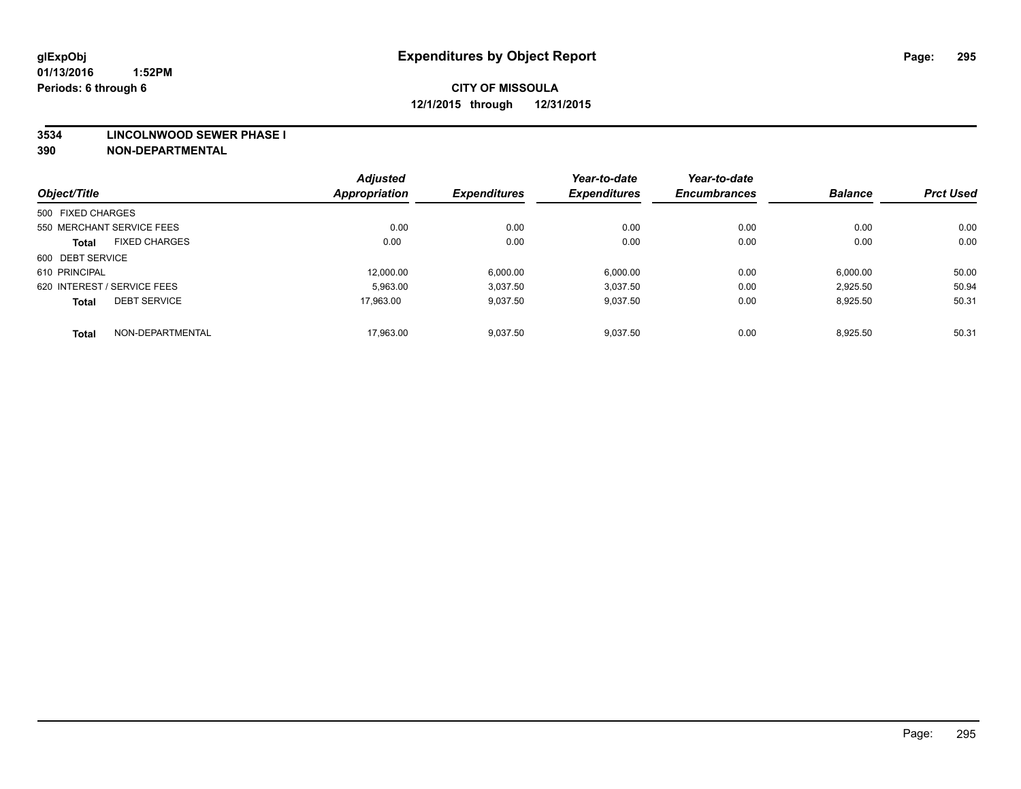#### **3534 LINCOLNWOOD SEWER PHASE I**

|                   |                             | <b>Adjusted</b>      |                     | Year-to-date        | Year-to-date        |                |                  |
|-------------------|-----------------------------|----------------------|---------------------|---------------------|---------------------|----------------|------------------|
| Object/Title      |                             | <b>Appropriation</b> | <b>Expenditures</b> | <b>Expenditures</b> | <b>Encumbrances</b> | <b>Balance</b> | <b>Prct Used</b> |
| 500 FIXED CHARGES |                             |                      |                     |                     |                     |                |                  |
|                   | 550 MERCHANT SERVICE FEES   | 0.00                 | 0.00                | 0.00                | 0.00                | 0.00           | 0.00             |
| <b>Total</b>      | <b>FIXED CHARGES</b>        | 0.00                 | 0.00                | 0.00                | 0.00                | 0.00           | 0.00             |
| 600 DEBT SERVICE  |                             |                      |                     |                     |                     |                |                  |
| 610 PRINCIPAL     |                             | 12.000.00            | 6.000.00            | 6,000.00            | 0.00                | 6,000.00       | 50.00            |
|                   | 620 INTEREST / SERVICE FEES | 5.963.00             | 3,037.50            | 3.037.50            | 0.00                | 2.925.50       | 50.94            |
| <b>Total</b>      | <b>DEBT SERVICE</b>         | 17.963.00            | 9,037.50            | 9,037.50            | 0.00                | 8,925.50       | 50.31            |
| <b>Total</b>      | NON-DEPARTMENTAL            | 17.963.00            | 9,037.50            | 9,037.50            | 0.00                | 8,925.50       | 50.31            |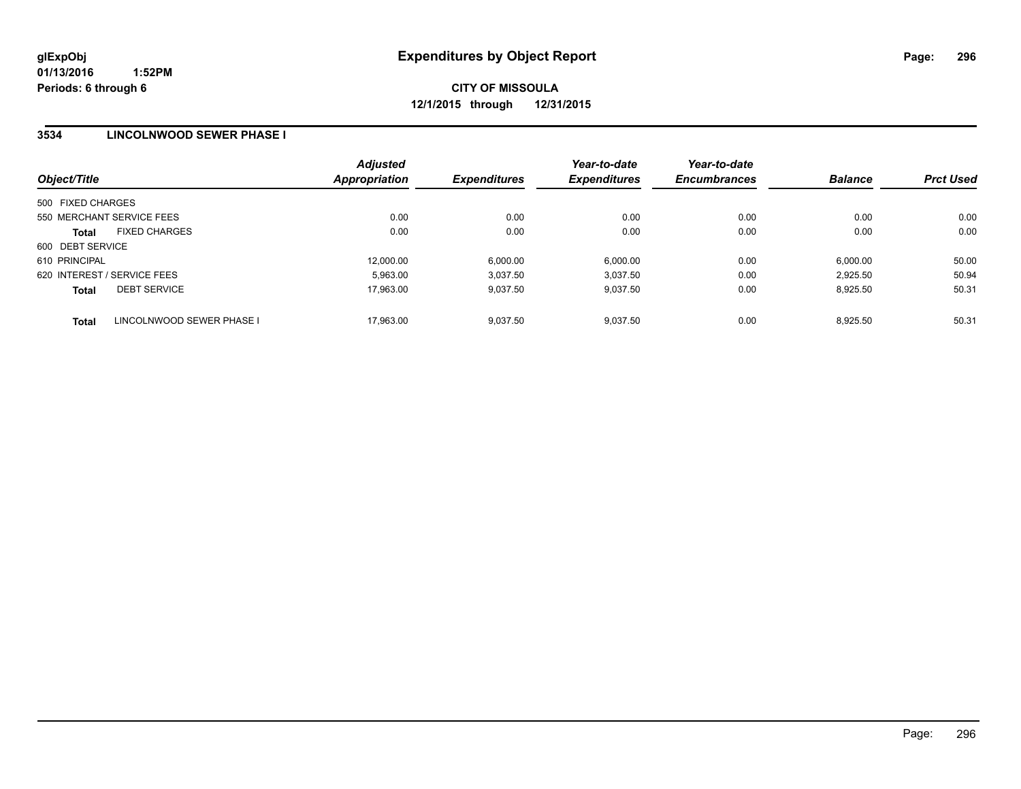### **3534 LINCOLNWOOD SEWER PHASE I**

| Object/Title                              | <b>Adjusted</b><br>Appropriation | <b>Expenditures</b> | Year-to-date<br><b>Expenditures</b> | Year-to-date<br><b>Encumbrances</b> | <b>Balance</b> | <b>Prct Used</b> |
|-------------------------------------------|----------------------------------|---------------------|-------------------------------------|-------------------------------------|----------------|------------------|
| 500 FIXED CHARGES                         |                                  |                     |                                     |                                     |                |                  |
| 550 MERCHANT SERVICE FEES                 | 0.00                             | 0.00                | 0.00                                | 0.00                                | 0.00           | 0.00             |
| <b>FIXED CHARGES</b><br><b>Total</b>      | 0.00                             | 0.00                | 0.00                                | 0.00                                | 0.00           | 0.00             |
| 600 DEBT SERVICE                          |                                  |                     |                                     |                                     |                |                  |
| 610 PRINCIPAL                             | 12,000.00                        | 6,000.00            | 6.000.00                            | 0.00                                | 6,000.00       | 50.00            |
| 620 INTEREST / SERVICE FEES               | 5.963.00                         | 3,037.50            | 3.037.50                            | 0.00                                | 2.925.50       | 50.94            |
| <b>DEBT SERVICE</b><br><b>Total</b>       | 17.963.00                        | 9.037.50            | 9.037.50                            | 0.00                                | 8.925.50       | 50.31            |
| LINCOLNWOOD SEWER PHASE I<br><b>Total</b> | 17.963.00                        | 9.037.50            | 9.037.50                            | 0.00                                | 8.925.50       | 50.31            |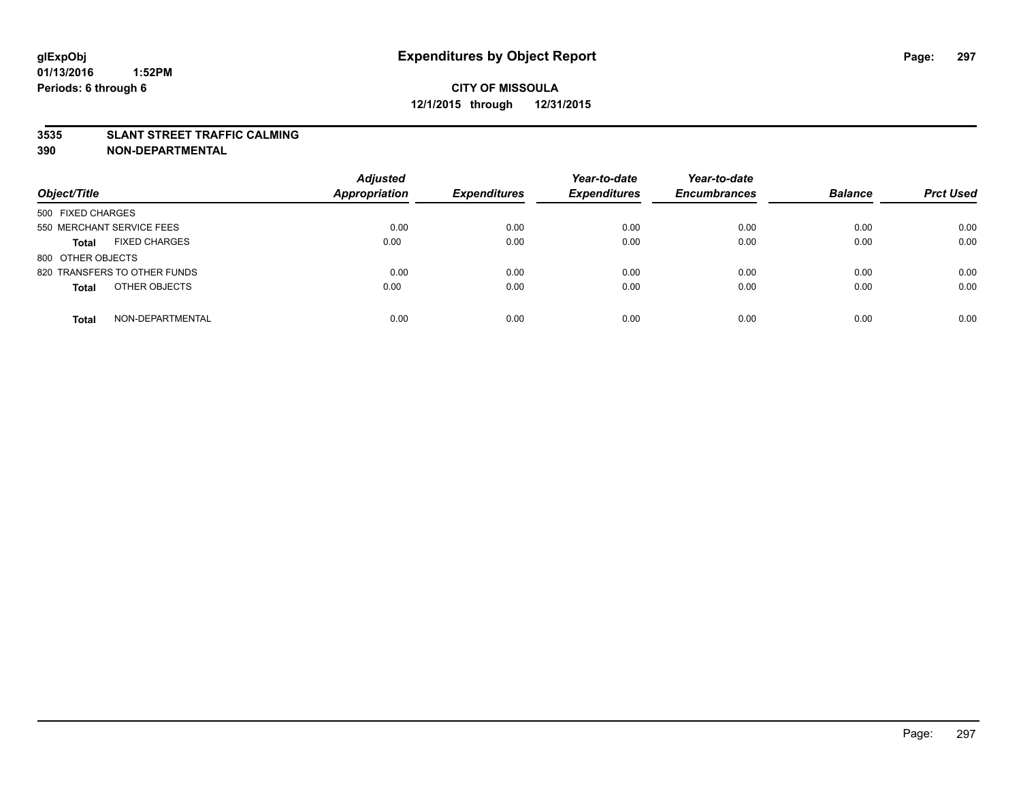#### **3535 SLANT STREET TRAFFIC CALMING**

| Object/Title                         | <b>Adjusted</b><br><b>Appropriation</b> | <b>Expenditures</b> | Year-to-date<br><b>Expenditures</b> | Year-to-date<br><b>Encumbrances</b> | <b>Balance</b> | <b>Prct Used</b> |
|--------------------------------------|-----------------------------------------|---------------------|-------------------------------------|-------------------------------------|----------------|------------------|
|                                      |                                         |                     |                                     |                                     |                |                  |
| 500 FIXED CHARGES                    |                                         |                     |                                     |                                     |                |                  |
| 550 MERCHANT SERVICE FEES            | 0.00                                    | 0.00                | 0.00                                | 0.00                                | 0.00           | 0.00             |
| <b>FIXED CHARGES</b><br><b>Total</b> | 0.00                                    | 0.00                | 0.00                                | 0.00                                | 0.00           | 0.00             |
| 800 OTHER OBJECTS                    |                                         |                     |                                     |                                     |                |                  |
| 820 TRANSFERS TO OTHER FUNDS         | 0.00                                    | 0.00                | 0.00                                | 0.00                                | 0.00           | 0.00             |
| OTHER OBJECTS<br><b>Total</b>        | 0.00                                    | 0.00                | 0.00                                | 0.00                                | 0.00           | 0.00             |
|                                      |                                         |                     |                                     |                                     |                |                  |
| NON-DEPARTMENTAL<br><b>Total</b>     | 0.00                                    | 0.00                | 0.00                                | 0.00                                | 0.00           | 0.00             |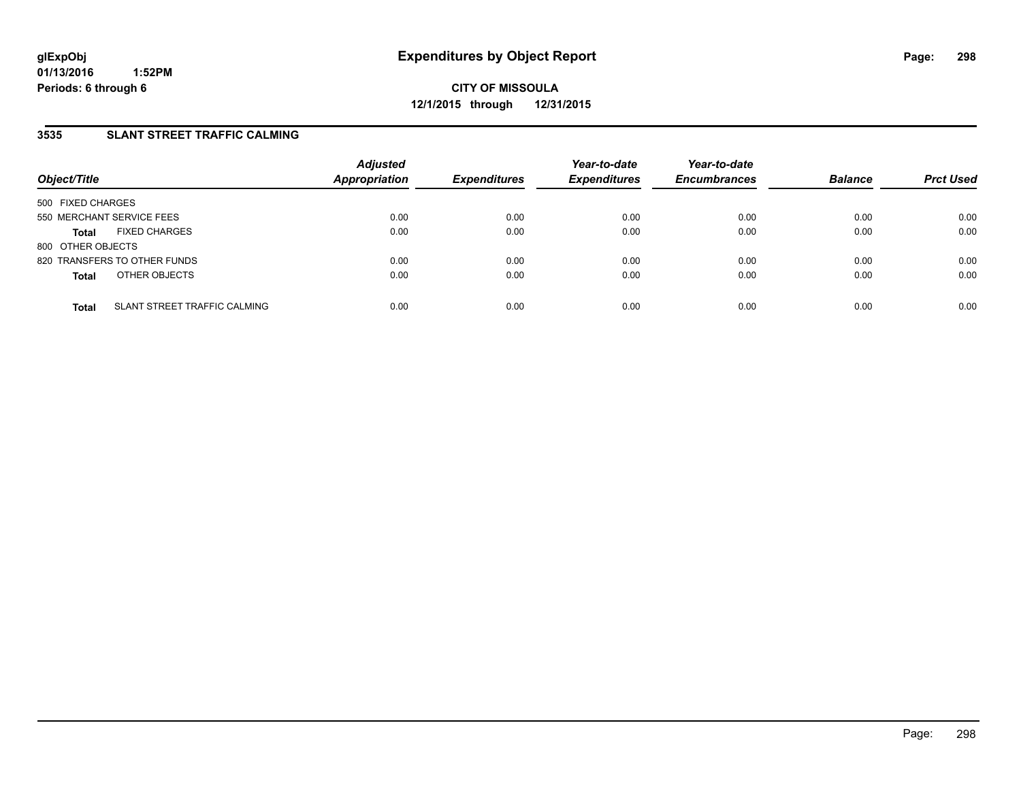## **3535 SLANT STREET TRAFFIC CALMING**

| Object/Title              |                              | <b>Adjusted</b><br>Appropriation | <b>Expenditures</b> | Year-to-date<br><b>Expenditures</b> | Year-to-date<br><b>Encumbrances</b> | <b>Balance</b> | <b>Prct Used</b> |
|---------------------------|------------------------------|----------------------------------|---------------------|-------------------------------------|-------------------------------------|----------------|------------------|
| 500 FIXED CHARGES         |                              |                                  |                     |                                     |                                     |                |                  |
| 550 MERCHANT SERVICE FEES |                              | 0.00                             | 0.00                | 0.00                                | 0.00                                | 0.00           | 0.00             |
| <b>Total</b>              | <b>FIXED CHARGES</b>         | 0.00                             | 0.00                | 0.00                                | 0.00                                | 0.00           | 0.00             |
| 800 OTHER OBJECTS         |                              |                                  |                     |                                     |                                     |                |                  |
|                           | 820 TRANSFERS TO OTHER FUNDS | 0.00                             | 0.00                | 0.00                                | 0.00                                | 0.00           | 0.00             |
| <b>Total</b>              | OTHER OBJECTS                | 0.00                             | 0.00                | 0.00                                | 0.00                                | 0.00           | 0.00             |
| <b>Total</b>              | SLANT STREET TRAFFIC CALMING | 0.00                             | 0.00                | 0.00                                | 0.00                                | 0.00           | 0.00             |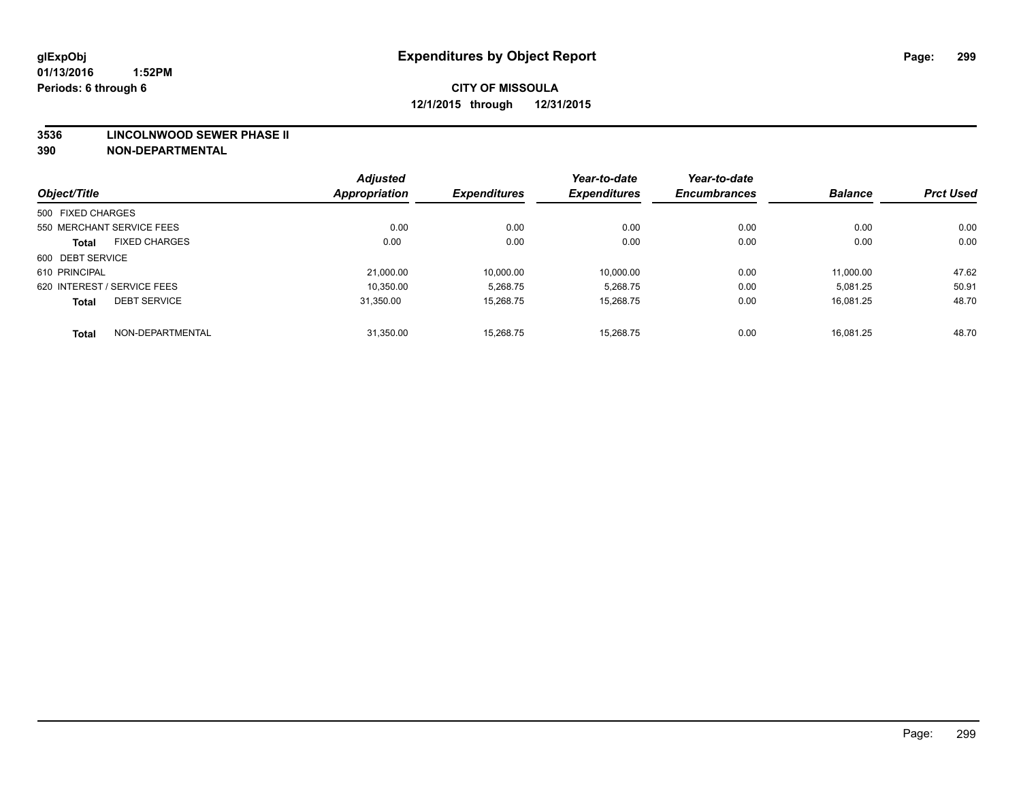#### **3536 LINCOLNWOOD SEWER PHASE II**

|                   |                             | <b>Adjusted</b> |                     | Year-to-date        | Year-to-date        |                |                  |
|-------------------|-----------------------------|-----------------|---------------------|---------------------|---------------------|----------------|------------------|
| Object/Title      |                             | Appropriation   | <b>Expenditures</b> | <b>Expenditures</b> | <b>Encumbrances</b> | <b>Balance</b> | <b>Prct Used</b> |
| 500 FIXED CHARGES |                             |                 |                     |                     |                     |                |                  |
|                   | 550 MERCHANT SERVICE FEES   | 0.00            | 0.00                | 0.00                | 0.00                | 0.00           | 0.00             |
| <b>Total</b>      | <b>FIXED CHARGES</b>        | 0.00            | 0.00                | 0.00                | 0.00                | 0.00           | 0.00             |
| 600 DEBT SERVICE  |                             |                 |                     |                     |                     |                |                  |
| 610 PRINCIPAL     |                             | 21,000.00       | 10.000.00           | 10,000.00           | 0.00                | 11,000.00      | 47.62            |
|                   | 620 INTEREST / SERVICE FEES | 10.350.00       | 5.268.75            | 5,268.75            | 0.00                | 5,081.25       | 50.91            |
| <b>Total</b>      | <b>DEBT SERVICE</b>         | 31.350.00       | 15.268.75           | 15,268.75           | 0.00                | 16.081.25      | 48.70            |
| <b>Total</b>      | NON-DEPARTMENTAL            | 31,350.00       | 15.268.75           | 15.268.75           | 0.00                | 16.081.25      | 48.70            |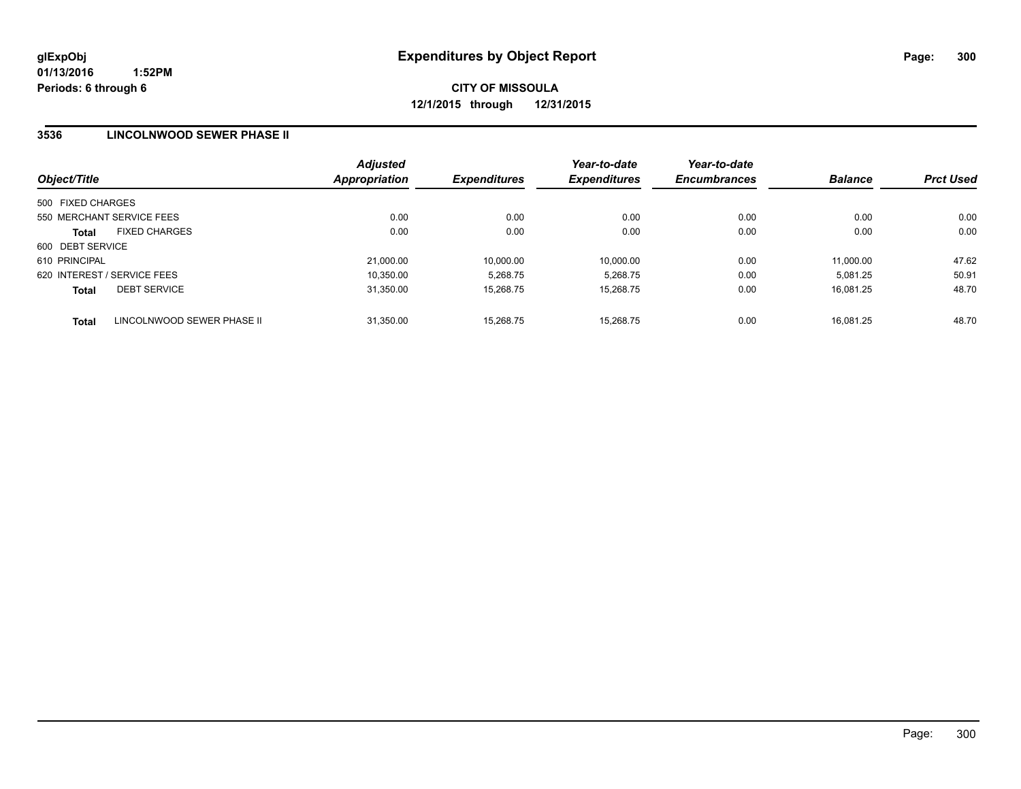### **3536 LINCOLNWOOD SEWER PHASE II**

| Object/Title                               | <b>Adjusted</b><br><b>Appropriation</b> | <b>Expenditures</b> | Year-to-date<br><b>Expenditures</b> | Year-to-date<br><b>Encumbrances</b> | <b>Balance</b> | <b>Prct Used</b> |
|--------------------------------------------|-----------------------------------------|---------------------|-------------------------------------|-------------------------------------|----------------|------------------|
| 500 FIXED CHARGES                          |                                         |                     |                                     |                                     |                |                  |
| 550 MERCHANT SERVICE FEES                  | 0.00                                    | 0.00                | 0.00                                | 0.00                                | 0.00           | 0.00             |
| <b>FIXED CHARGES</b><br><b>Total</b>       | 0.00                                    | 0.00                | 0.00                                | 0.00                                | 0.00           | 0.00             |
| 600 DEBT SERVICE                           |                                         |                     |                                     |                                     |                |                  |
| 610 PRINCIPAL                              | 21,000.00                               | 10,000.00           | 10.000.00                           | 0.00                                | 11,000.00      | 47.62            |
| 620 INTEREST / SERVICE FEES                | 10,350.00                               | 5.268.75            | 5,268.75                            | 0.00                                | 5.081.25       | 50.91            |
| <b>DEBT SERVICE</b><br><b>Total</b>        | 31,350.00                               | 15.268.75           | 15,268.75                           | 0.00                                | 16.081.25      | 48.70            |
| LINCOLNWOOD SEWER PHASE II<br><b>Total</b> | 31,350.00                               | 15.268.75           | 15.268.75                           | 0.00                                | 16.081.25      | 48.70            |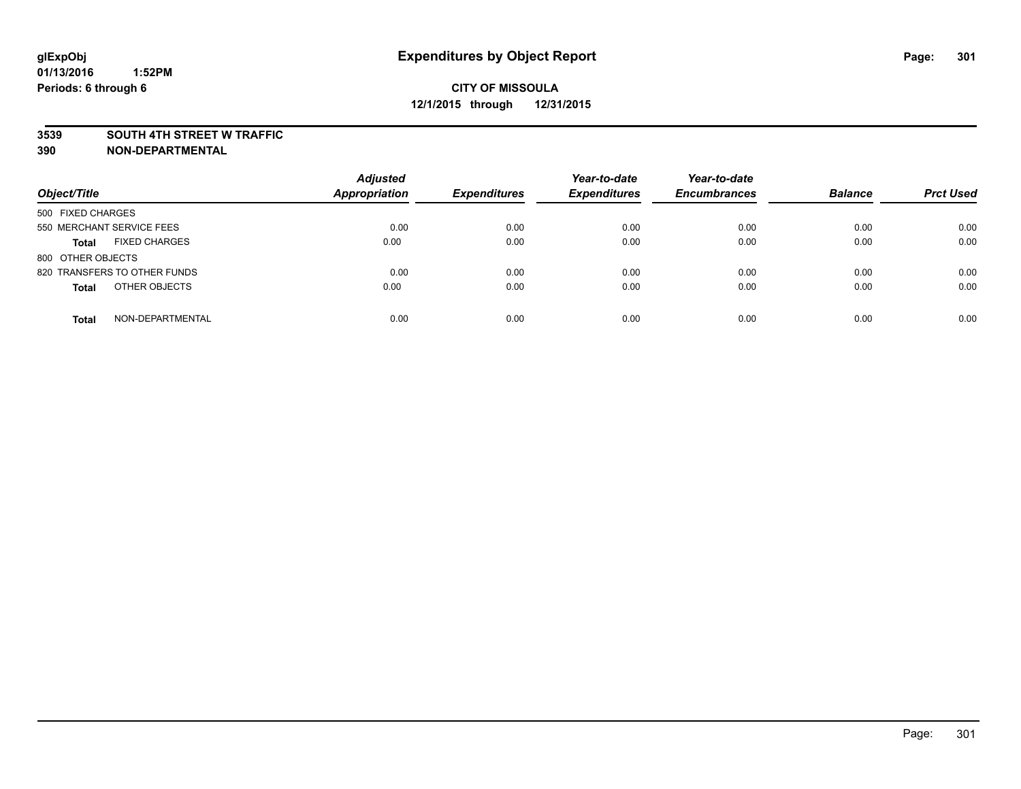#### **3539 SOUTH 4TH STREET W TRAFFIC**

| Object/Title                         | <b>Adjusted</b><br><b>Appropriation</b> | <b>Expenditures</b> | Year-to-date<br><b>Expenditures</b> | Year-to-date<br><b>Encumbrances</b> | <b>Balance</b> | <b>Prct Used</b> |
|--------------------------------------|-----------------------------------------|---------------------|-------------------------------------|-------------------------------------|----------------|------------------|
| 500 FIXED CHARGES                    |                                         |                     |                                     |                                     |                |                  |
| 550 MERCHANT SERVICE FEES            | 0.00                                    | 0.00                | 0.00                                | 0.00                                | 0.00           | 0.00             |
| <b>FIXED CHARGES</b><br><b>Total</b> | 0.00                                    | 0.00                | 0.00                                | 0.00                                | 0.00           | 0.00             |
| 800 OTHER OBJECTS                    |                                         |                     |                                     |                                     |                |                  |
| 820 TRANSFERS TO OTHER FUNDS         | 0.00                                    | 0.00                | 0.00                                | 0.00                                | 0.00           | 0.00             |
| OTHER OBJECTS<br><b>Total</b>        | 0.00                                    | 0.00                | 0.00                                | 0.00                                | 0.00           | 0.00             |
| NON-DEPARTMENTAL<br><b>Total</b>     | 0.00                                    | 0.00                | 0.00                                | 0.00                                | 0.00           | 0.00             |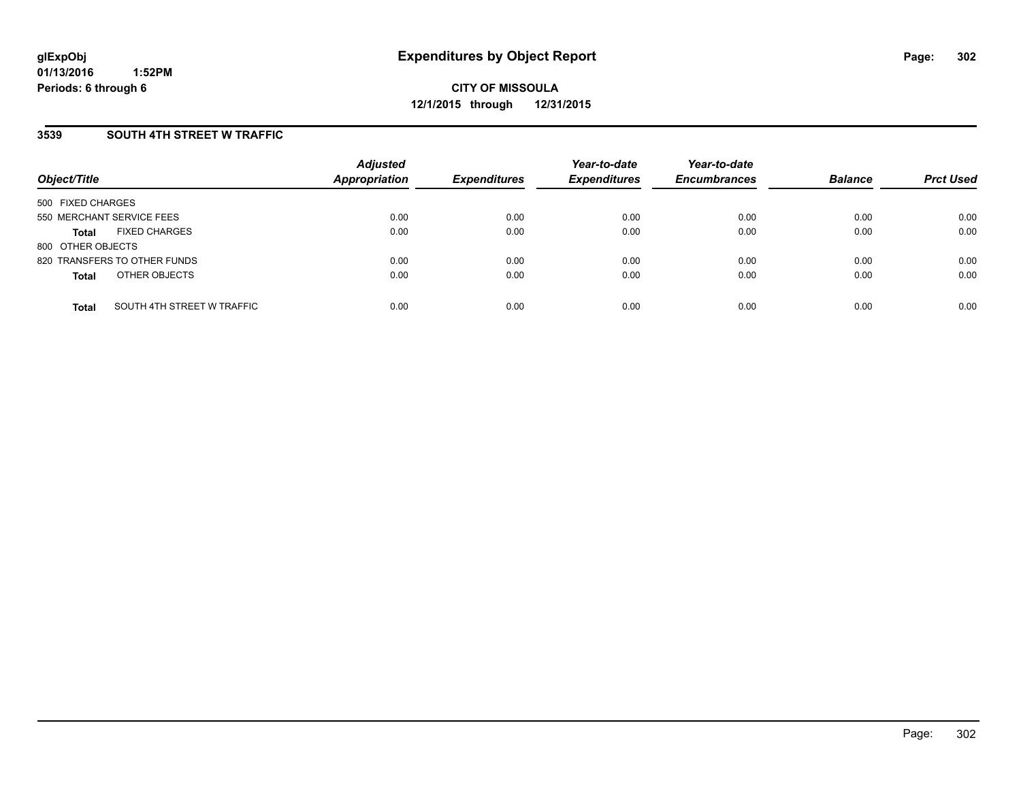### **3539 SOUTH 4TH STREET W TRAFFIC**

| Object/Title              |                              | <b>Adjusted</b><br>Appropriation | <b>Expenditures</b> | Year-to-date<br><b>Expenditures</b> | Year-to-date<br><b>Encumbrances</b> | <b>Balance</b> | <b>Prct Used</b> |
|---------------------------|------------------------------|----------------------------------|---------------------|-------------------------------------|-------------------------------------|----------------|------------------|
| 500 FIXED CHARGES         |                              |                                  |                     |                                     |                                     |                |                  |
| 550 MERCHANT SERVICE FEES |                              | 0.00                             | 0.00                | 0.00                                | 0.00                                | 0.00           | 0.00             |
| Total                     | <b>FIXED CHARGES</b>         | 0.00                             | 0.00                | 0.00                                | 0.00                                | 0.00           | 0.00             |
| 800 OTHER OBJECTS         |                              |                                  |                     |                                     |                                     |                |                  |
|                           | 820 TRANSFERS TO OTHER FUNDS | 0.00                             | 0.00                | 0.00                                | 0.00                                | 0.00           | 0.00             |
| <b>Total</b>              | OTHER OBJECTS                | 0.00                             | 0.00                | 0.00                                | 0.00                                | 0.00           | 0.00             |
| <b>Total</b>              | SOUTH 4TH STREET W TRAFFIC   | 0.00                             | 0.00                | 0.00                                | 0.00                                | 0.00           | 0.00             |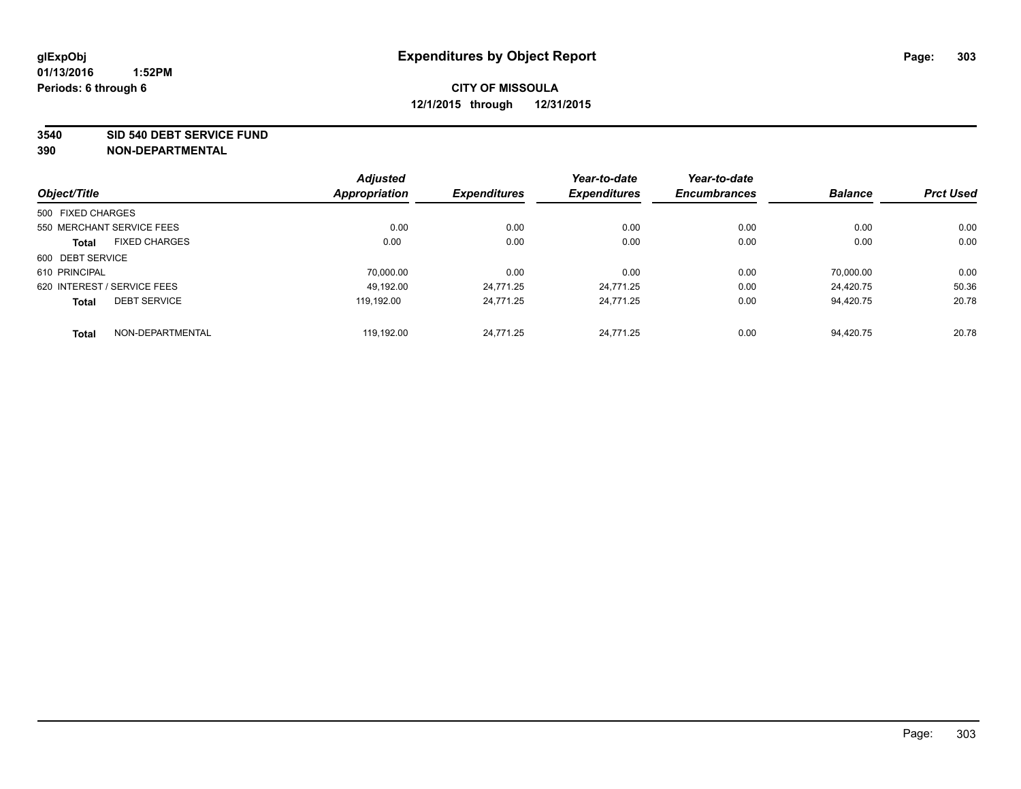**3540 SID 540 DEBT SERVICE FUND**

|                   |                             | <b>Adjusted</b> |                     | Year-to-date        | Year-to-date        |                |                  |
|-------------------|-----------------------------|-----------------|---------------------|---------------------|---------------------|----------------|------------------|
| Object/Title      |                             | Appropriation   | <b>Expenditures</b> | <b>Expenditures</b> | <b>Encumbrances</b> | <b>Balance</b> | <b>Prct Used</b> |
| 500 FIXED CHARGES |                             |                 |                     |                     |                     |                |                  |
|                   | 550 MERCHANT SERVICE FEES   | 0.00            | 0.00                | 0.00                | 0.00                | 0.00           | 0.00             |
| <b>Total</b>      | <b>FIXED CHARGES</b>        | 0.00            | 0.00                | 0.00                | 0.00                | 0.00           | 0.00             |
| 600 DEBT SERVICE  |                             |                 |                     |                     |                     |                |                  |
| 610 PRINCIPAL     |                             | 70,000.00       | 0.00                | 0.00                | 0.00                | 70,000.00      | 0.00             |
|                   | 620 INTEREST / SERVICE FEES | 49.192.00       | 24.771.25           | 24.771.25           | 0.00                | 24.420.75      | 50.36            |
| <b>Total</b>      | <b>DEBT SERVICE</b>         | 119.192.00      | 24.771.25           | 24.771.25           | 0.00                | 94.420.75      | 20.78            |
| <b>Total</b>      | NON-DEPARTMENTAL            | 119.192.00      | 24.771.25           | 24.771.25           | 0.00                | 94.420.75      | 20.78            |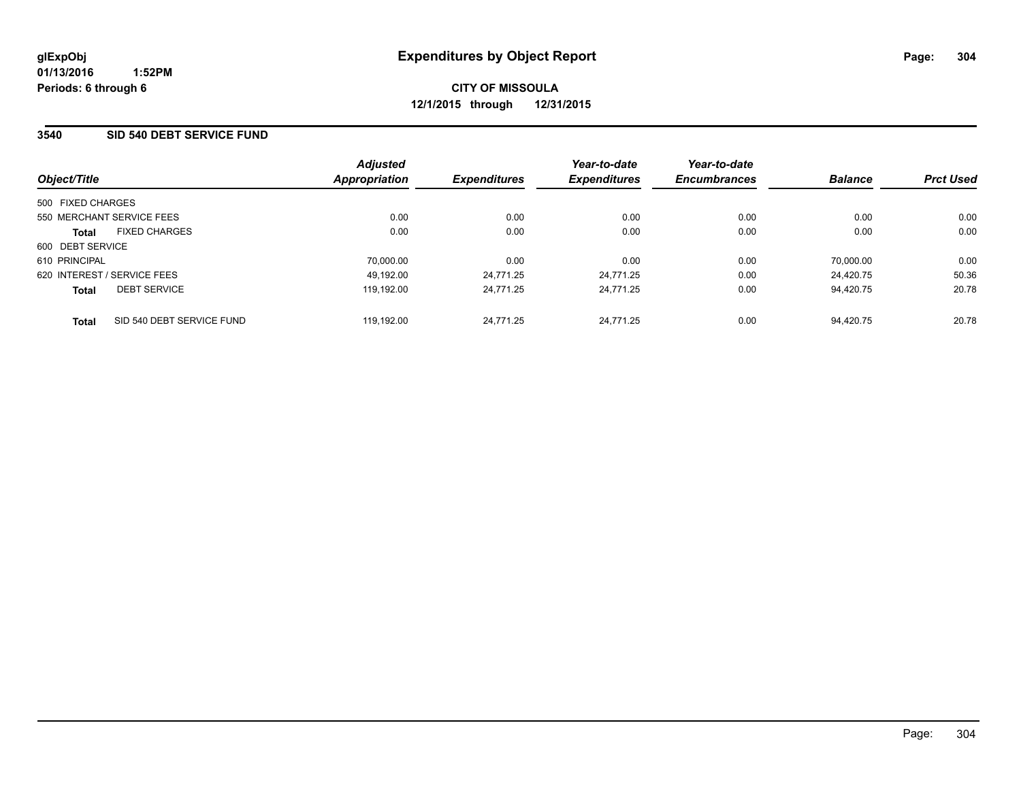### **3540 SID 540 DEBT SERVICE FUND**

| Object/Title                              | <b>Adjusted</b><br><b>Appropriation</b> | <b>Expenditures</b> | Year-to-date<br><b>Expenditures</b> | Year-to-date<br><b>Encumbrances</b> | <b>Balance</b> | <b>Prct Used</b> |
|-------------------------------------------|-----------------------------------------|---------------------|-------------------------------------|-------------------------------------|----------------|------------------|
| 500 FIXED CHARGES                         |                                         |                     |                                     |                                     |                |                  |
| 550 MERCHANT SERVICE FEES                 | 0.00                                    | 0.00                | 0.00                                | 0.00                                | 0.00           | 0.00             |
| <b>FIXED CHARGES</b><br><b>Total</b>      | 0.00                                    | 0.00                | 0.00                                | 0.00                                | 0.00           | 0.00             |
| 600 DEBT SERVICE                          |                                         |                     |                                     |                                     |                |                  |
| 610 PRINCIPAL                             | 70,000.00                               | 0.00                | 0.00                                | 0.00                                | 70.000.00      | 0.00             |
| 620 INTEREST / SERVICE FEES               | 49.192.00                               | 24.771.25           | 24.771.25                           | 0.00                                | 24.420.75      | 50.36            |
| <b>DEBT SERVICE</b><br><b>Total</b>       | 119.192.00                              | 24.771.25           | 24,771.25                           | 0.00                                | 94.420.75      | 20.78            |
| SID 540 DEBT SERVICE FUND<br><b>Total</b> | 119.192.00                              | 24.771.25           | 24.771.25                           | 0.00                                | 94.420.75      | 20.78            |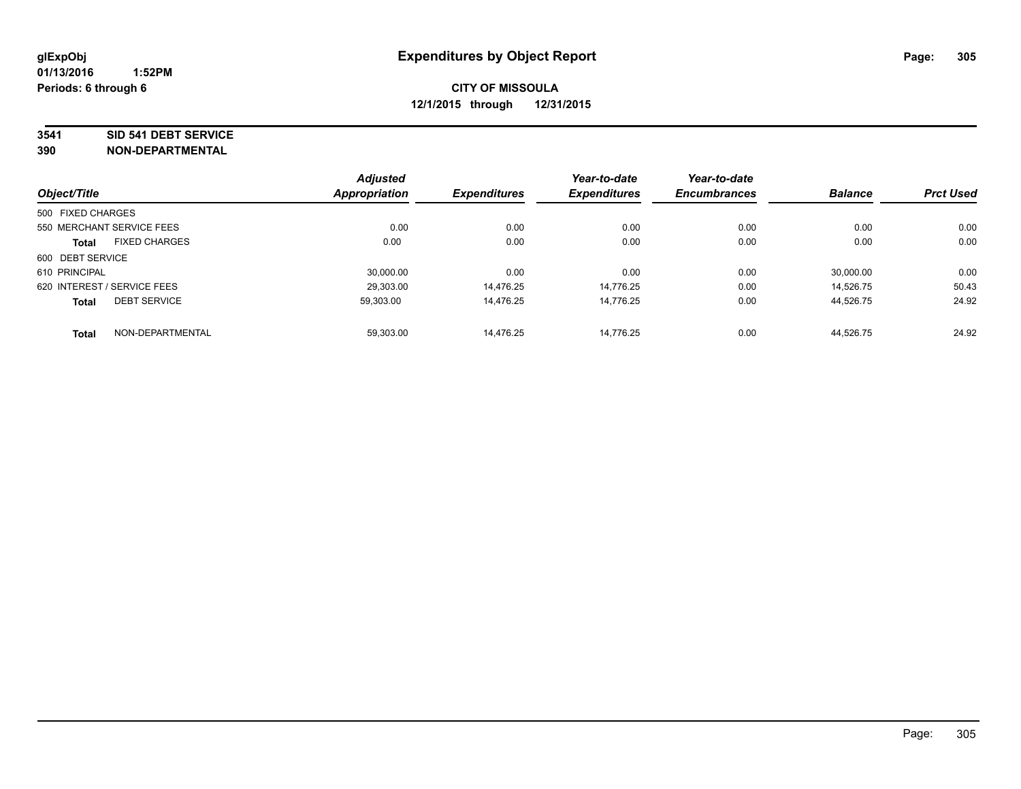#### **3541 SID 541 DEBT SERVICE**

|                             |                      | <b>Adjusted</b> |                     | Year-to-date        | Year-to-date        |                |                  |
|-----------------------------|----------------------|-----------------|---------------------|---------------------|---------------------|----------------|------------------|
| Object/Title                |                      | Appropriation   | <b>Expenditures</b> | <b>Expenditures</b> | <b>Encumbrances</b> | <b>Balance</b> | <b>Prct Used</b> |
| 500 FIXED CHARGES           |                      |                 |                     |                     |                     |                |                  |
| 550 MERCHANT SERVICE FEES   |                      | 0.00            | 0.00                | 0.00                | 0.00                | 0.00           | 0.00             |
| <b>Total</b>                | <b>FIXED CHARGES</b> | 0.00            | 0.00                | 0.00                | 0.00                | 0.00           | 0.00             |
| 600 DEBT SERVICE            |                      |                 |                     |                     |                     |                |                  |
| 610 PRINCIPAL               |                      | 30.000.00       | 0.00                | 0.00                | 0.00                | 30.000.00      | 0.00             |
| 620 INTEREST / SERVICE FEES |                      | 29.303.00       | 14.476.25           | 14.776.25           | 0.00                | 14.526.75      | 50.43            |
| <b>Total</b>                | <b>DEBT SERVICE</b>  | 59,303.00       | 14,476.25           | 14.776.25           | 0.00                | 44,526.75      | 24.92            |
| <b>Total</b>                | NON-DEPARTMENTAL     | 59,303.00       | 14,476.25           | 14.776.25           | 0.00                | 44.526.75      | 24.92            |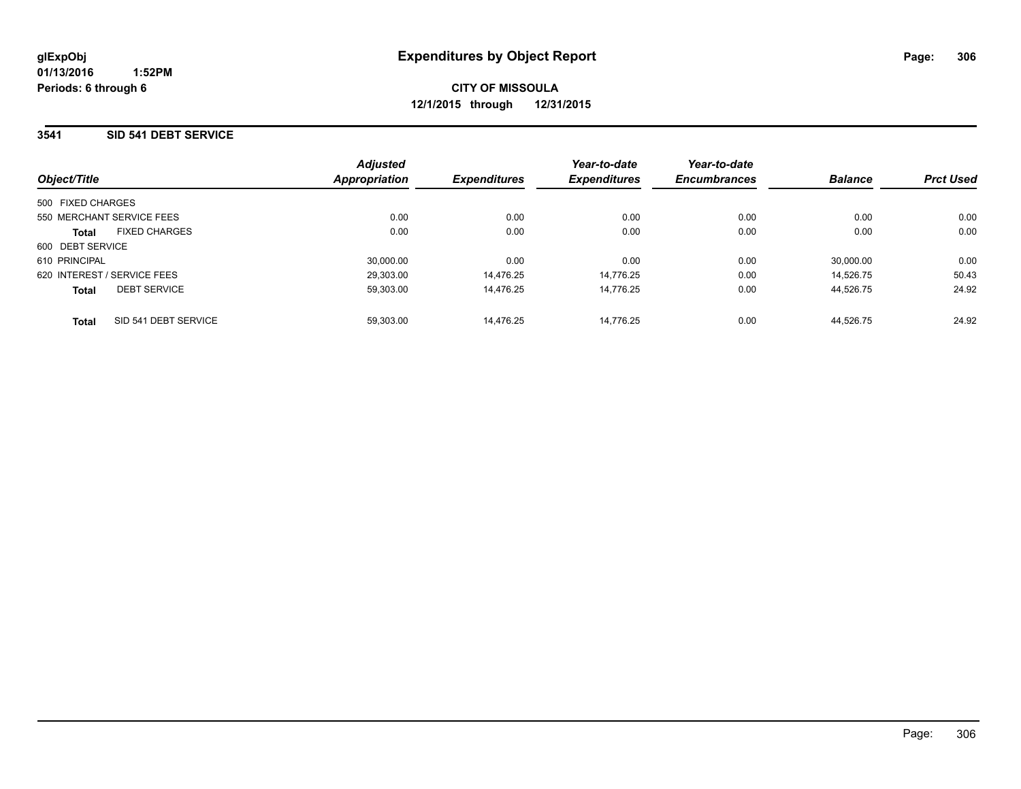#### **3541 SID 541 DEBT SERVICE**

| Object/Title                         | <b>Adjusted</b><br>Appropriation | <b>Expenditures</b> | Year-to-date<br><b>Expenditures</b> | Year-to-date<br><b>Encumbrances</b> | <b>Balance</b> | <b>Prct Used</b> |
|--------------------------------------|----------------------------------|---------------------|-------------------------------------|-------------------------------------|----------------|------------------|
|                                      |                                  |                     |                                     |                                     |                |                  |
| 500 FIXED CHARGES                    |                                  |                     |                                     |                                     |                |                  |
| 550 MERCHANT SERVICE FEES            | 0.00                             | 0.00                | 0.00                                | 0.00                                | 0.00           | 0.00             |
| <b>FIXED CHARGES</b><br><b>Total</b> | 0.00                             | 0.00                | 0.00                                | 0.00                                | 0.00           | 0.00             |
| 600 DEBT SERVICE                     |                                  |                     |                                     |                                     |                |                  |
| 610 PRINCIPAL                        | 30.000.00                        | 0.00                | 0.00                                | 0.00                                | 30.000.00      | 0.00             |
| 620 INTEREST / SERVICE FEES          | 29,303.00                        | 14.476.25           | 14.776.25                           | 0.00                                | 14.526.75      | 50.43            |
| <b>DEBT SERVICE</b><br><b>Total</b>  | 59.303.00                        | 14.476.25           | 14.776.25                           | 0.00                                | 44.526.75      | 24.92            |
| SID 541 DEBT SERVICE<br><b>Total</b> | 59.303.00                        | 14.476.25           | 14.776.25                           | 0.00                                | 44.526.75      | 24.92            |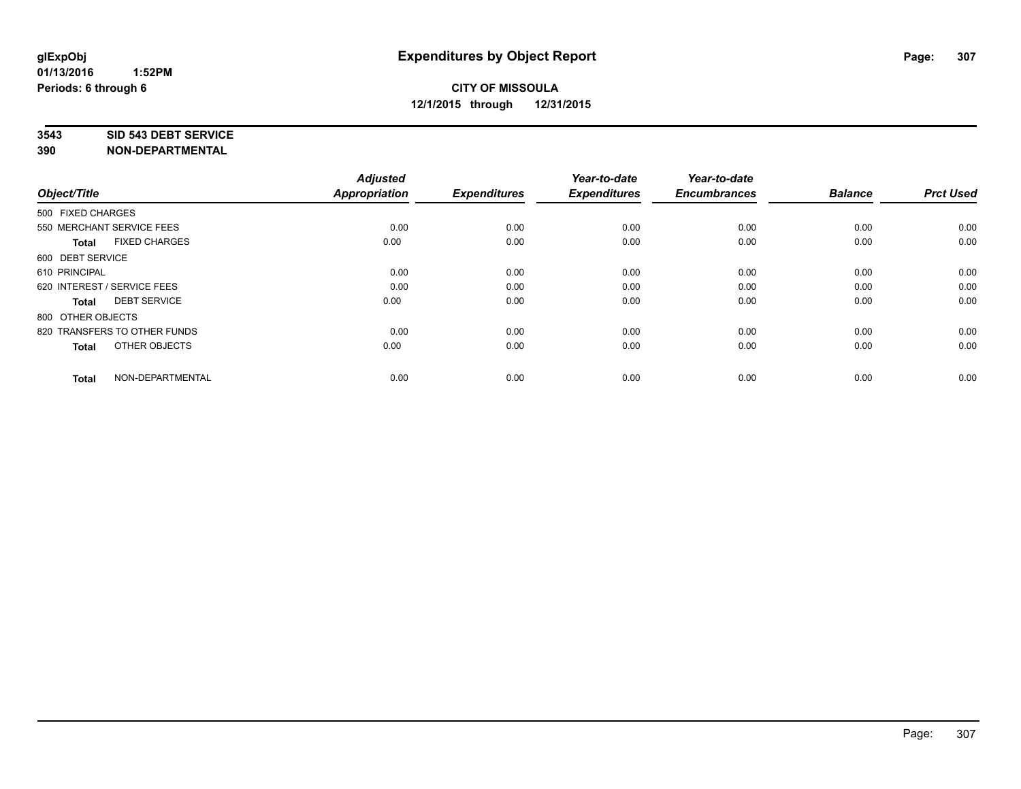#### **3543 SID 543 DEBT SERVICE**

| Object/Title                         | <b>Adjusted</b><br><b>Appropriation</b> | <b>Expenditures</b> | Year-to-date<br><b>Expenditures</b> | Year-to-date<br><b>Encumbrances</b> | <b>Balance</b> | <b>Prct Used</b> |
|--------------------------------------|-----------------------------------------|---------------------|-------------------------------------|-------------------------------------|----------------|------------------|
|                                      |                                         |                     |                                     |                                     |                |                  |
| 500 FIXED CHARGES                    |                                         |                     |                                     |                                     |                |                  |
| 550 MERCHANT SERVICE FEES            | 0.00                                    | 0.00                | 0.00                                | 0.00                                | 0.00           | 0.00             |
| <b>FIXED CHARGES</b><br><b>Total</b> | 0.00                                    | 0.00                | 0.00                                | 0.00                                | 0.00           | 0.00             |
| 600 DEBT SERVICE                     |                                         |                     |                                     |                                     |                |                  |
| 610 PRINCIPAL                        | 0.00                                    | 0.00                | 0.00                                | 0.00                                | 0.00           | 0.00             |
| 620 INTEREST / SERVICE FEES          | 0.00                                    | 0.00                | 0.00                                | 0.00                                | 0.00           | 0.00             |
| <b>DEBT SERVICE</b><br><b>Total</b>  | 0.00                                    | 0.00                | 0.00                                | 0.00                                | 0.00           | 0.00             |
| 800 OTHER OBJECTS                    |                                         |                     |                                     |                                     |                |                  |
| 820 TRANSFERS TO OTHER FUNDS         | 0.00                                    | 0.00                | 0.00                                | 0.00                                | 0.00           | 0.00             |
| OTHER OBJECTS<br><b>Total</b>        | 0.00                                    | 0.00                | 0.00                                | 0.00                                | 0.00           | 0.00             |
|                                      |                                         |                     |                                     |                                     |                |                  |
| NON-DEPARTMENTAL<br><b>Total</b>     | 0.00                                    | 0.00                | 0.00                                | 0.00                                | 0.00           | 0.00             |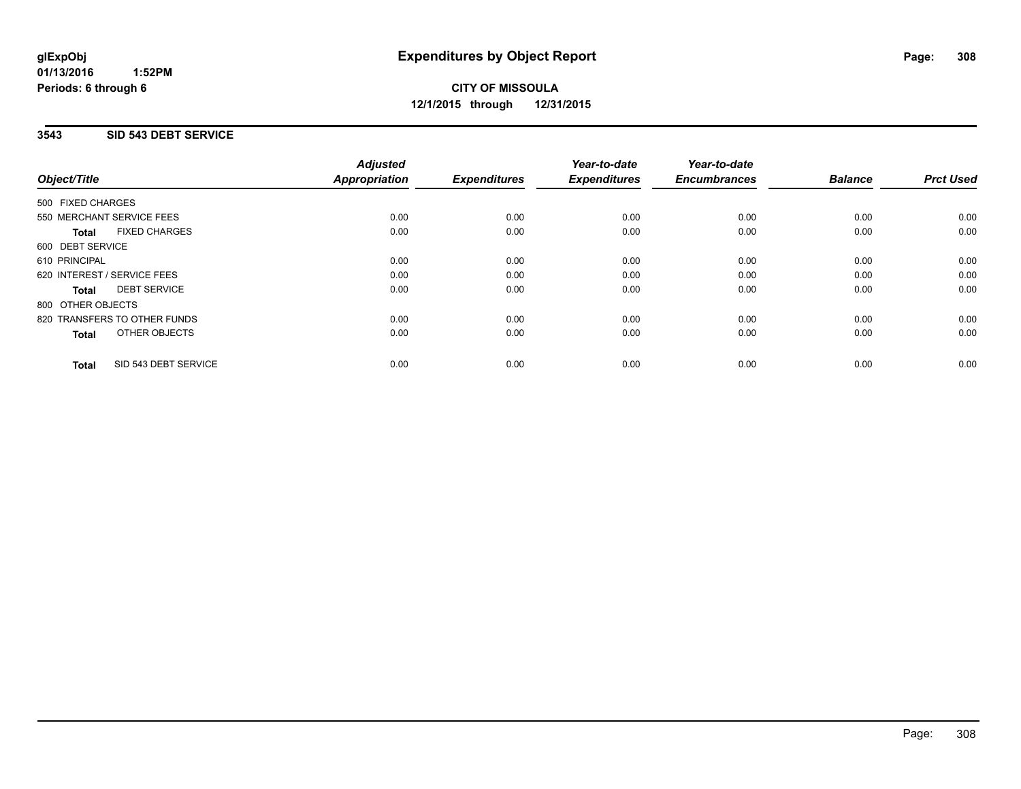#### **01/13/2016 1:52PM Periods: 6 through 6**

# **CITY OF MISSOULA 12/1/2015 through 12/31/2015**

## **3543 SID 543 DEBT SERVICE**

| Object/Title      |                              | <b>Adjusted</b><br>Appropriation | <b>Expenditures</b> | Year-to-date<br><b>Expenditures</b> | Year-to-date<br><b>Encumbrances</b> | <b>Balance</b> | <b>Prct Used</b> |
|-------------------|------------------------------|----------------------------------|---------------------|-------------------------------------|-------------------------------------|----------------|------------------|
| 500 FIXED CHARGES |                              |                                  |                     |                                     |                                     |                |                  |
|                   | 550 MERCHANT SERVICE FEES    | 0.00                             | 0.00                | 0.00                                | 0.00                                | 0.00           | 0.00             |
| <b>Total</b>      | <b>FIXED CHARGES</b>         | 0.00                             | 0.00                | 0.00                                | 0.00                                | 0.00           | 0.00             |
| 600 DEBT SERVICE  |                              |                                  |                     |                                     |                                     |                |                  |
| 610 PRINCIPAL     |                              | 0.00                             | 0.00                | 0.00                                | 0.00                                | 0.00           | 0.00             |
|                   | 620 INTEREST / SERVICE FEES  | 0.00                             | 0.00                | 0.00                                | 0.00                                | 0.00           | 0.00             |
| Total             | <b>DEBT SERVICE</b>          | 0.00                             | 0.00                | 0.00                                | 0.00                                | 0.00           | 0.00             |
| 800 OTHER OBJECTS |                              |                                  |                     |                                     |                                     |                |                  |
|                   | 820 TRANSFERS TO OTHER FUNDS | 0.00                             | 0.00                | 0.00                                | 0.00                                | 0.00           | 0.00             |
| <b>Total</b>      | <b>OTHER OBJECTS</b>         | 0.00                             | 0.00                | 0.00                                | 0.00                                | 0.00           | 0.00             |
| <b>Total</b>      | SID 543 DEBT SERVICE         | 0.00                             | 0.00                | 0.00                                | 0.00                                | 0.00           | 0.00             |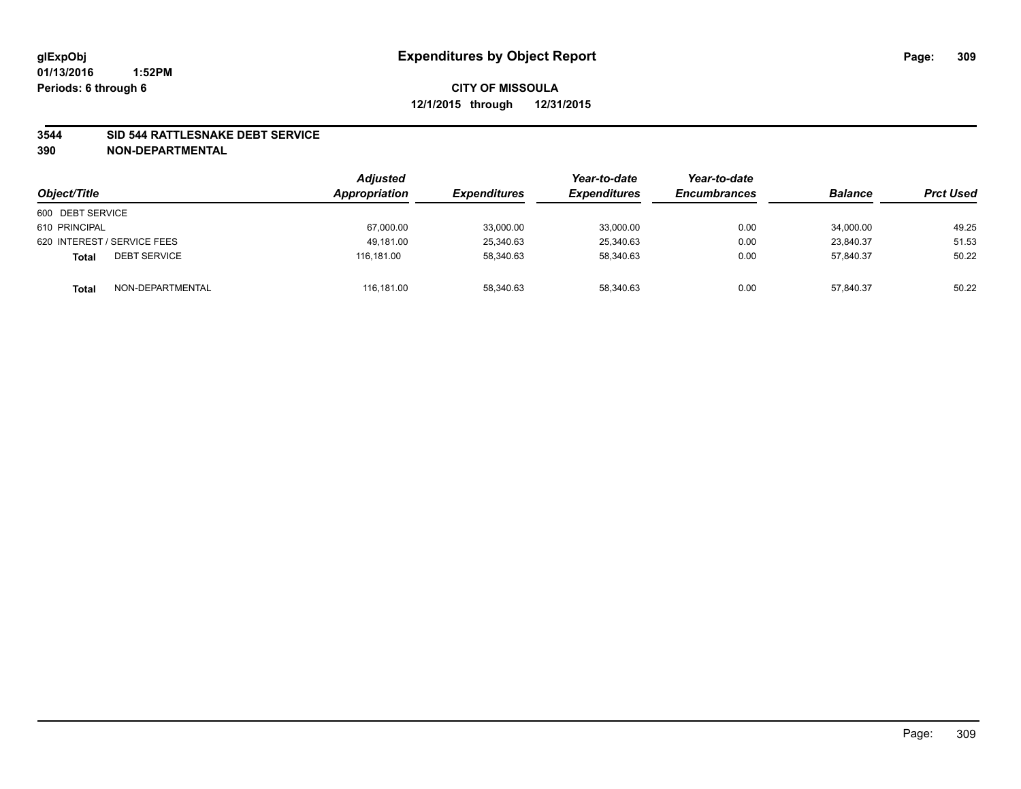#### **3544 SID 544 RATTLESNAKE DEBT SERVICE**

| Object/Title                        | <b>Adjusted</b><br>Appropriation | <i><b>Expenditures</b></i> | Year-to-date<br><b>Expenditures</b> | Year-to-date<br><b>Encumbrances</b> | <b>Balance</b> | <b>Prct Used</b> |
|-------------------------------------|----------------------------------|----------------------------|-------------------------------------|-------------------------------------|----------------|------------------|
| 600 DEBT SERVICE                    |                                  |                            |                                     |                                     |                |                  |
| 610 PRINCIPAL                       | 67,000.00                        | 33,000.00                  | 33,000.00                           | 0.00                                | 34,000.00      | 49.25            |
| 620 INTEREST / SERVICE FEES         | 49.181.00                        | 25,340.63                  | 25,340.63                           | 0.00                                | 23.840.37      | 51.53            |
| <b>DEBT SERVICE</b><br><b>Total</b> | 116.181.00                       | 58.340.63                  | 58.340.63                           | 0.00                                | 57.840.37      | 50.22            |
| NON-DEPARTMENTAL<br><b>Total</b>    | 116,181.00                       | 58,340.63                  | 58,340.63                           | 0.00                                | 57,840.37      | 50.22            |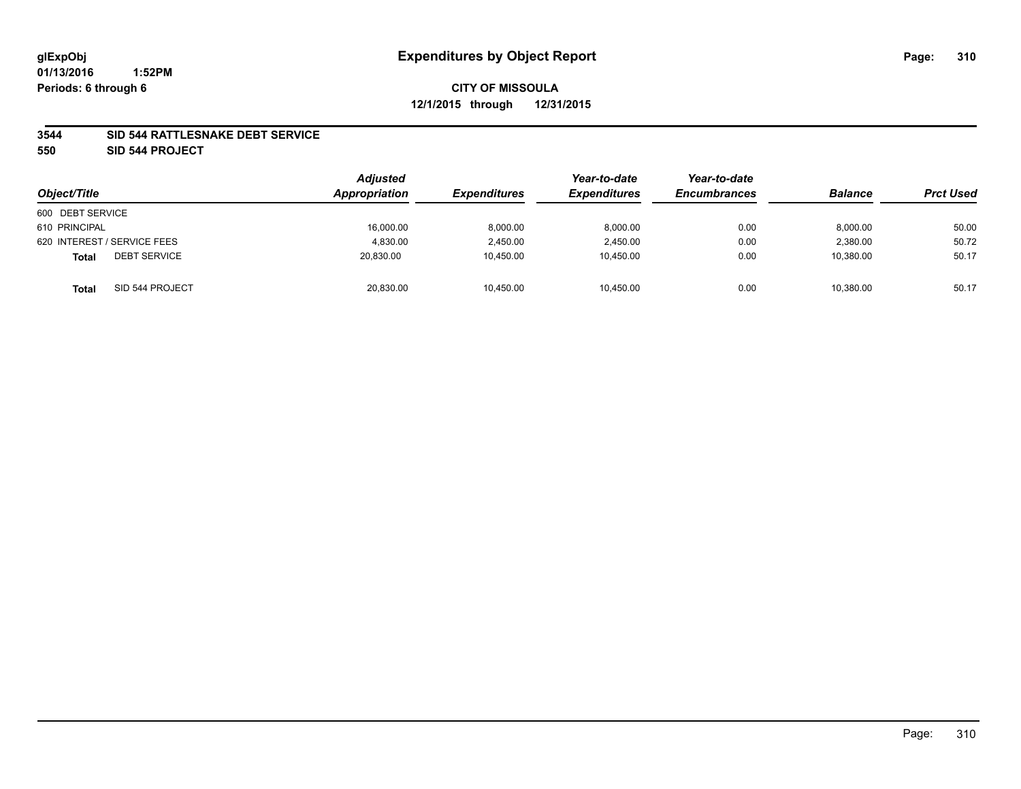#### **3544 SID 544 RATTLESNAKE DEBT SERVICE**

**550 SID 544 PROJECT**

| Object/Title                        | <b>Adjusted</b><br>Appropriation | <b>Expenditures</b> | Year-to-date<br><b>Expenditures</b> | Year-to-date<br><b>Encumbrances</b> | <b>Balance</b> | <b>Prct Used</b> |
|-------------------------------------|----------------------------------|---------------------|-------------------------------------|-------------------------------------|----------------|------------------|
| 600 DEBT SERVICE                    |                                  |                     |                                     |                                     |                |                  |
| 610 PRINCIPAL                       | 16,000.00                        | 8,000.00            | 8.000.00                            | 0.00                                | 8,000.00       | 50.00            |
| 620 INTEREST / SERVICE FEES         | 4,830.00                         | 2,450.00            | 2,450.00                            | 0.00                                | 2,380.00       | 50.72            |
| <b>DEBT SERVICE</b><br><b>Total</b> | 20,830.00                        | 10,450.00           | 10,450.00                           | 0.00                                | 10,380.00      | 50.17            |
| SID 544 PROJECT<br><b>Total</b>     | 20,830.00                        | 10,450.00           | 10,450.00                           | 0.00                                | 10,380.00      | 50.17            |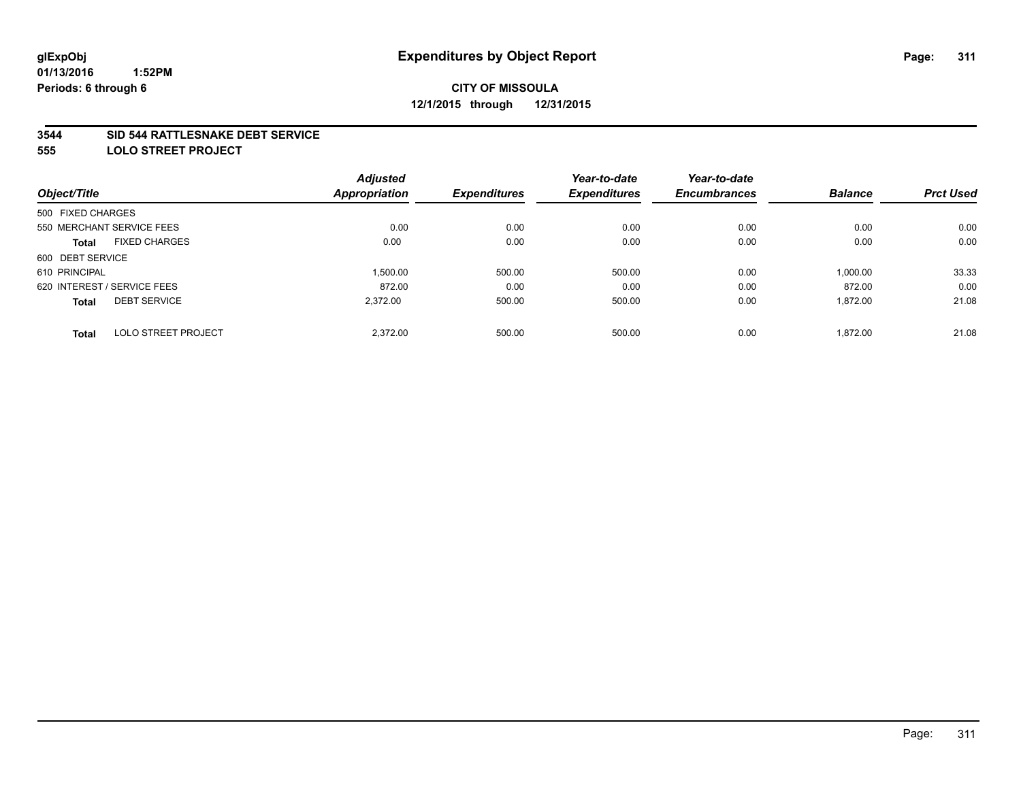#### **3544 SID 544 RATTLESNAKE DEBT SERVICE**

**555 LOLO STREET PROJECT**

|                             |                            | <b>Adjusted</b>      |                     | Year-to-date        | Year-to-date        |                |                  |
|-----------------------------|----------------------------|----------------------|---------------------|---------------------|---------------------|----------------|------------------|
| Object/Title                |                            | <b>Appropriation</b> | <b>Expenditures</b> | <b>Expenditures</b> | <b>Encumbrances</b> | <b>Balance</b> | <b>Prct Used</b> |
| 500 FIXED CHARGES           |                            |                      |                     |                     |                     |                |                  |
| 550 MERCHANT SERVICE FEES   |                            | 0.00                 | 0.00                | 0.00                | 0.00                | 0.00           | 0.00             |
| Total                       | <b>FIXED CHARGES</b>       | 0.00                 | 0.00                | 0.00                | 0.00                | 0.00           | 0.00             |
| 600 DEBT SERVICE            |                            |                      |                     |                     |                     |                |                  |
| 610 PRINCIPAL               |                            | 1.500.00             | 500.00              | 500.00              | 0.00                | 1,000.00       | 33.33            |
| 620 INTEREST / SERVICE FEES |                            | 872.00               | 0.00                | 0.00                | 0.00                | 872.00         | 0.00             |
| <b>Total</b>                | <b>DEBT SERVICE</b>        | 2,372.00             | 500.00              | 500.00              | 0.00                | 1,872.00       | 21.08            |
| <b>Total</b>                | <b>LOLO STREET PROJECT</b> | 2,372.00             | 500.00              | 500.00              | 0.00                | 1,872.00       | 21.08            |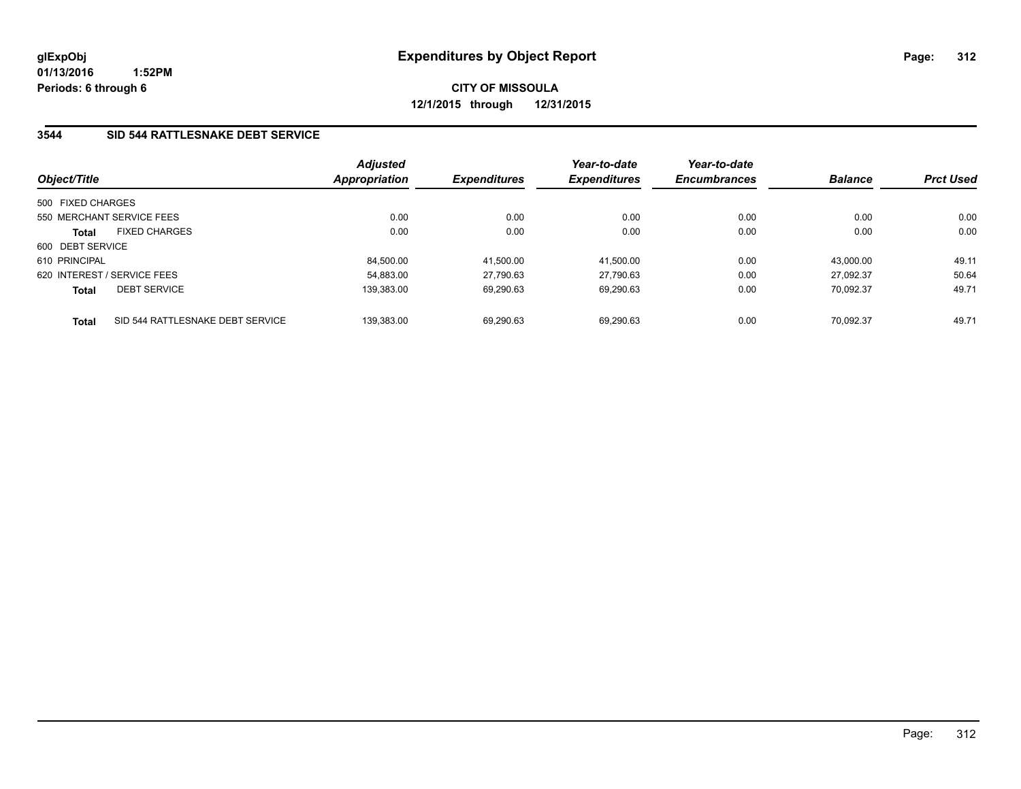**01/13/2016 1:52PM Periods: 6 through 6**

**CITY OF MISSOULA 12/1/2015 through 12/31/2015**

## **3544 SID 544 RATTLESNAKE DEBT SERVICE**

| Object/Title      |                                  | <b>Adjusted</b><br>Appropriation | <b>Expenditures</b> | Year-to-date<br><b>Expenditures</b> | Year-to-date<br><b>Encumbrances</b> | <b>Balance</b> | <b>Prct Used</b> |
|-------------------|----------------------------------|----------------------------------|---------------------|-------------------------------------|-------------------------------------|----------------|------------------|
| 500 FIXED CHARGES |                                  |                                  |                     |                                     |                                     |                |                  |
|                   | 550 MERCHANT SERVICE FEES        | 0.00                             | 0.00                | 0.00                                | 0.00                                | 0.00           | 0.00             |
| <b>Total</b>      | <b>FIXED CHARGES</b>             | 0.00                             | 0.00                | 0.00                                | 0.00                                | 0.00           | 0.00             |
| 600 DEBT SERVICE  |                                  |                                  |                     |                                     |                                     |                |                  |
| 610 PRINCIPAL     |                                  | 84.500.00                        | 41.500.00           | 41.500.00                           | 0.00                                | 43.000.00      | 49.11            |
|                   | 620 INTEREST / SERVICE FEES      | 54.883.00                        | 27.790.63           | 27.790.63                           | 0.00                                | 27.092.37      | 50.64            |
| <b>Total</b>      | <b>DEBT SERVICE</b>              | 139.383.00                       | 69,290.63           | 69,290.63                           | 0.00                                | 70.092.37      | 49.71            |
| <b>Total</b>      | SID 544 RATTLESNAKE DEBT SERVICE | 139.383.00                       | 69.290.63           | 69.290.63                           | 0.00                                | 70.092.37      | 49.71            |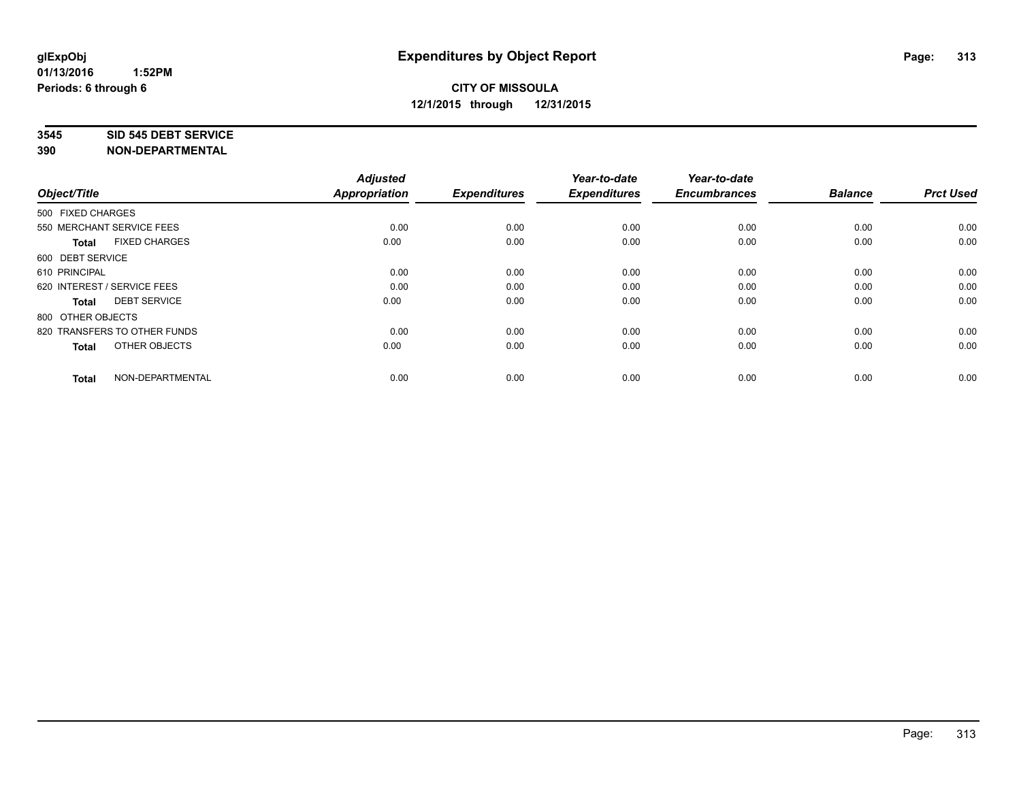#### **3545 SID 545 DEBT SERVICE**

| Object/Title                         | <b>Adjusted</b><br><b>Appropriation</b> | <b>Expenditures</b> | Year-to-date<br><b>Expenditures</b> | Year-to-date<br><b>Encumbrances</b> | <b>Balance</b> | <b>Prct Used</b> |
|--------------------------------------|-----------------------------------------|---------------------|-------------------------------------|-------------------------------------|----------------|------------------|
| 500 FIXED CHARGES                    |                                         |                     |                                     |                                     |                |                  |
| 550 MERCHANT SERVICE FEES            | 0.00                                    | 0.00                | 0.00                                | 0.00                                | 0.00           | 0.00             |
| <b>FIXED CHARGES</b><br><b>Total</b> | 0.00                                    | 0.00                | 0.00                                | 0.00                                | 0.00           | 0.00             |
| 600 DEBT SERVICE                     |                                         |                     |                                     |                                     |                |                  |
| 610 PRINCIPAL                        | 0.00                                    | 0.00                | 0.00                                | 0.00                                | 0.00           | 0.00             |
| 620 INTEREST / SERVICE FEES          | 0.00                                    | 0.00                | 0.00                                | 0.00                                | 0.00           | 0.00             |
| <b>DEBT SERVICE</b><br><b>Total</b>  | 0.00                                    | 0.00                | 0.00                                | 0.00                                | 0.00           | 0.00             |
| 800 OTHER OBJECTS                    |                                         |                     |                                     |                                     |                |                  |
| 820 TRANSFERS TO OTHER FUNDS         | 0.00                                    | 0.00                | 0.00                                | 0.00                                | 0.00           | 0.00             |
| OTHER OBJECTS<br><b>Total</b>        | 0.00                                    | 0.00                | 0.00                                | 0.00                                | 0.00           | 0.00             |
|                                      |                                         |                     |                                     |                                     |                |                  |
| NON-DEPARTMENTAL<br><b>Total</b>     | 0.00                                    | 0.00                | 0.00                                | 0.00                                | 0.00           | 0.00             |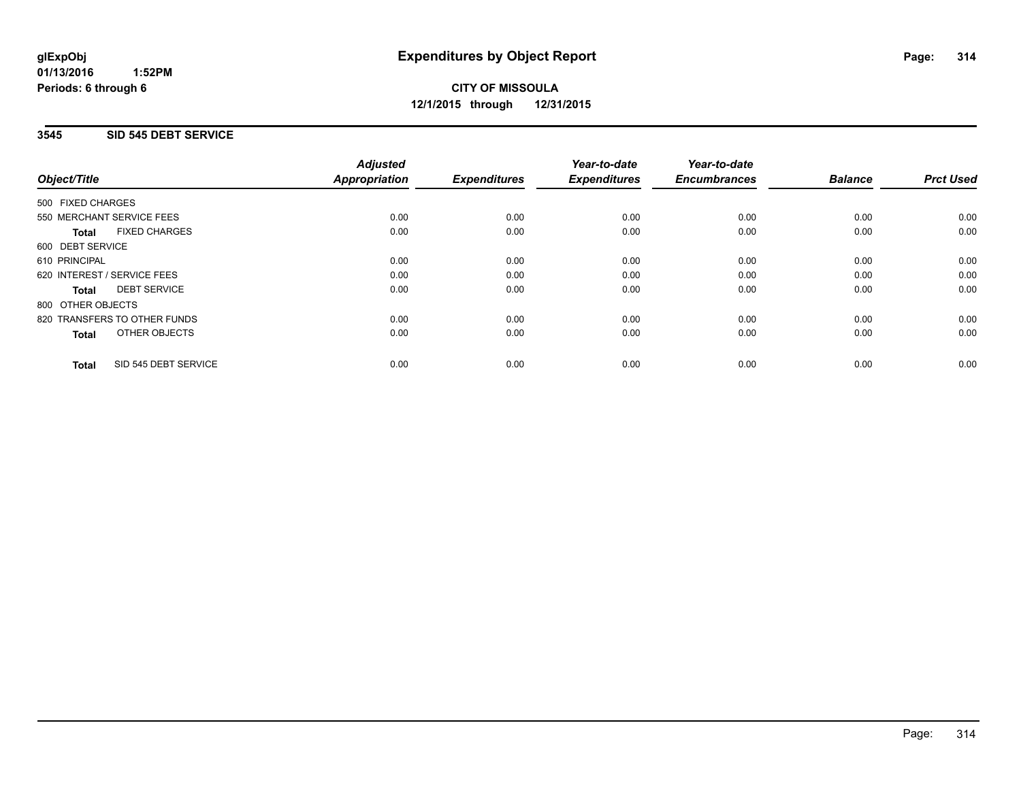#### **01/13/2016 1:52PM Periods: 6 through 6**

# **CITY OF MISSOULA 12/1/2015 through 12/31/2015**

## **3545 SID 545 DEBT SERVICE**

|                                      | <b>Adjusted</b>      |                     | Year-to-date        | Year-to-date        |                |                  |
|--------------------------------------|----------------------|---------------------|---------------------|---------------------|----------------|------------------|
| Object/Title                         | <b>Appropriation</b> | <b>Expenditures</b> | <b>Expenditures</b> | <b>Encumbrances</b> | <b>Balance</b> | <b>Prct Used</b> |
| 500 FIXED CHARGES                    |                      |                     |                     |                     |                |                  |
| 550 MERCHANT SERVICE FEES            | 0.00                 | 0.00                | 0.00                | 0.00                | 0.00           | 0.00             |
| <b>FIXED CHARGES</b><br>Total        | 0.00                 | 0.00                | 0.00                | 0.00                | 0.00           | 0.00             |
| 600 DEBT SERVICE                     |                      |                     |                     |                     |                |                  |
| 610 PRINCIPAL                        | 0.00                 | 0.00                | 0.00                | 0.00                | 0.00           | 0.00             |
| 620 INTEREST / SERVICE FEES          | 0.00                 | 0.00                | 0.00                | 0.00                | 0.00           | 0.00             |
| <b>DEBT SERVICE</b><br>Total         | 0.00                 | 0.00                | 0.00                | 0.00                | 0.00           | 0.00             |
| 800 OTHER OBJECTS                    |                      |                     |                     |                     |                |                  |
| 820 TRANSFERS TO OTHER FUNDS         | 0.00                 | 0.00                | 0.00                | 0.00                | 0.00           | 0.00             |
| <b>OTHER OBJECTS</b><br><b>Total</b> | 0.00                 | 0.00                | 0.00                | 0.00                | 0.00           | 0.00             |
| SID 545 DEBT SERVICE<br><b>Total</b> | 0.00                 | 0.00                | 0.00                | 0.00                | 0.00           | 0.00             |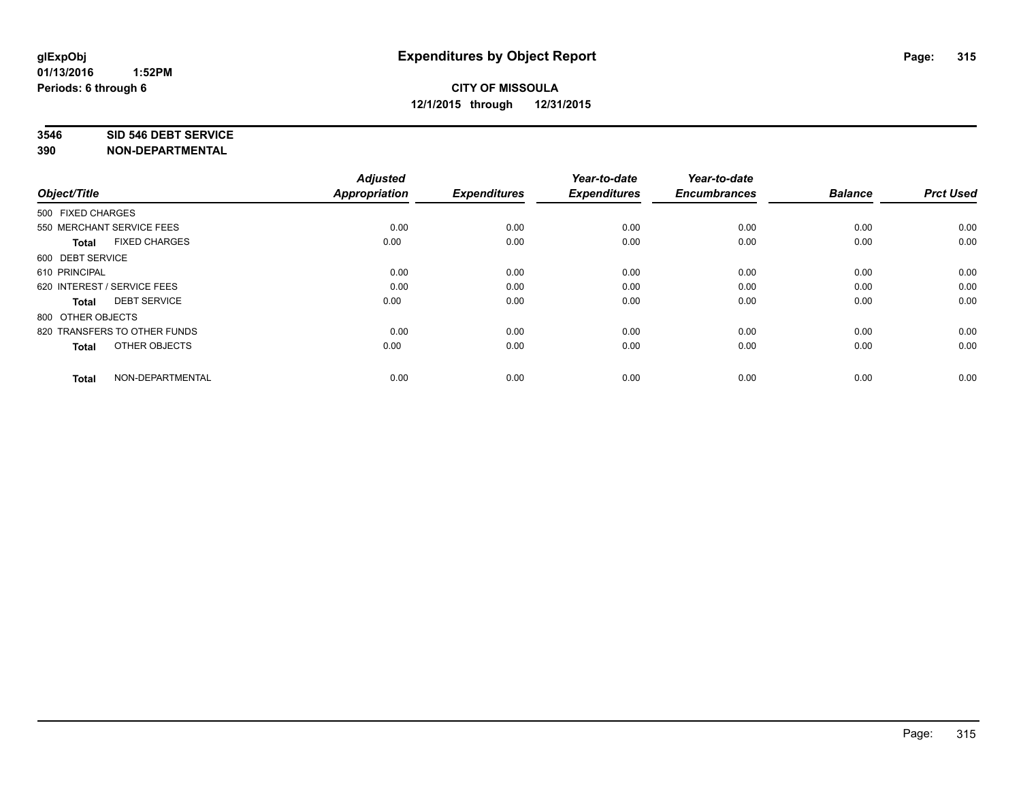#### **3546 SID 546 DEBT SERVICE**

| Object/Title                         | <b>Adjusted</b><br><b>Appropriation</b> | <b>Expenditures</b> | Year-to-date<br><b>Expenditures</b> | Year-to-date<br><b>Encumbrances</b> | <b>Balance</b> | <b>Prct Used</b> |
|--------------------------------------|-----------------------------------------|---------------------|-------------------------------------|-------------------------------------|----------------|------------------|
| 500 FIXED CHARGES                    |                                         |                     |                                     |                                     |                |                  |
| 550 MERCHANT SERVICE FEES            | 0.00                                    | 0.00                | 0.00                                | 0.00                                | 0.00           | 0.00             |
| <b>FIXED CHARGES</b><br><b>Total</b> | 0.00                                    | 0.00                | 0.00                                | 0.00                                | 0.00           | 0.00             |
| 600 DEBT SERVICE                     |                                         |                     |                                     |                                     |                |                  |
| 610 PRINCIPAL                        | 0.00                                    | 0.00                | 0.00                                | 0.00                                | 0.00           | 0.00             |
| 620 INTEREST / SERVICE FEES          | 0.00                                    | 0.00                | 0.00                                | 0.00                                | 0.00           | 0.00             |
| <b>DEBT SERVICE</b><br><b>Total</b>  | 0.00                                    | 0.00                | 0.00                                | 0.00                                | 0.00           | 0.00             |
| 800 OTHER OBJECTS                    |                                         |                     |                                     |                                     |                |                  |
| 820 TRANSFERS TO OTHER FUNDS         | 0.00                                    | 0.00                | 0.00                                | 0.00                                | 0.00           | 0.00             |
| OTHER OBJECTS<br><b>Total</b>        | 0.00                                    | 0.00                | 0.00                                | 0.00                                | 0.00           | 0.00             |
|                                      |                                         |                     |                                     |                                     |                |                  |
| NON-DEPARTMENTAL<br><b>Total</b>     | 0.00                                    | 0.00                | 0.00                                | 0.00                                | 0.00           | 0.00             |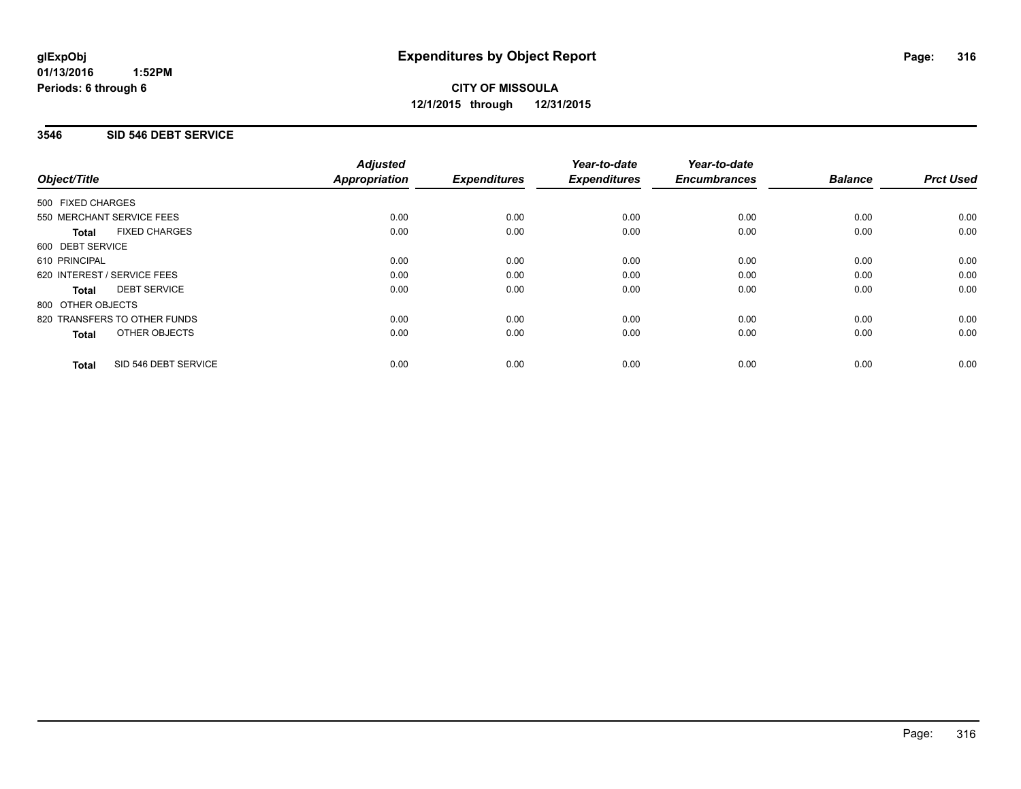#### **01/13/2016 1:52PM Periods: 6 through 6**

# **CITY OF MISSOULA 12/1/2015 through 12/31/2015**

## **3546 SID 546 DEBT SERVICE**

|                             |                              | <b>Adjusted</b>      |                     | Year-to-date        | Year-to-date<br><b>Encumbrances</b> | <b>Balance</b> | <b>Prct Used</b> |
|-----------------------------|------------------------------|----------------------|---------------------|---------------------|-------------------------------------|----------------|------------------|
| Object/Title                |                              | <b>Appropriation</b> | <b>Expenditures</b> | <b>Expenditures</b> |                                     |                |                  |
| 500 FIXED CHARGES           |                              |                      |                     |                     |                                     |                |                  |
| 550 MERCHANT SERVICE FEES   |                              | 0.00                 | 0.00                | 0.00                | 0.00                                | 0.00           | 0.00             |
| Total                       | <b>FIXED CHARGES</b>         | 0.00                 | 0.00                | 0.00                | 0.00                                | 0.00           | 0.00             |
| 600 DEBT SERVICE            |                              |                      |                     |                     |                                     |                |                  |
| 610 PRINCIPAL               |                              | 0.00                 | 0.00                | 0.00                | 0.00                                | 0.00           | 0.00             |
| 620 INTEREST / SERVICE FEES |                              | 0.00                 | 0.00                | 0.00                | 0.00                                | 0.00           | 0.00             |
| Total                       | <b>DEBT SERVICE</b>          | 0.00                 | 0.00                | 0.00                | 0.00                                | 0.00           | 0.00             |
| 800 OTHER OBJECTS           |                              |                      |                     |                     |                                     |                |                  |
|                             | 820 TRANSFERS TO OTHER FUNDS | 0.00                 | 0.00                | 0.00                | 0.00                                | 0.00           | 0.00             |
| <b>Total</b>                | OTHER OBJECTS                | 0.00                 | 0.00                | 0.00                | 0.00                                | 0.00           | 0.00             |
| <b>Total</b>                | SID 546 DEBT SERVICE         | 0.00                 | 0.00                | 0.00                | 0.00                                | 0.00           | 0.00             |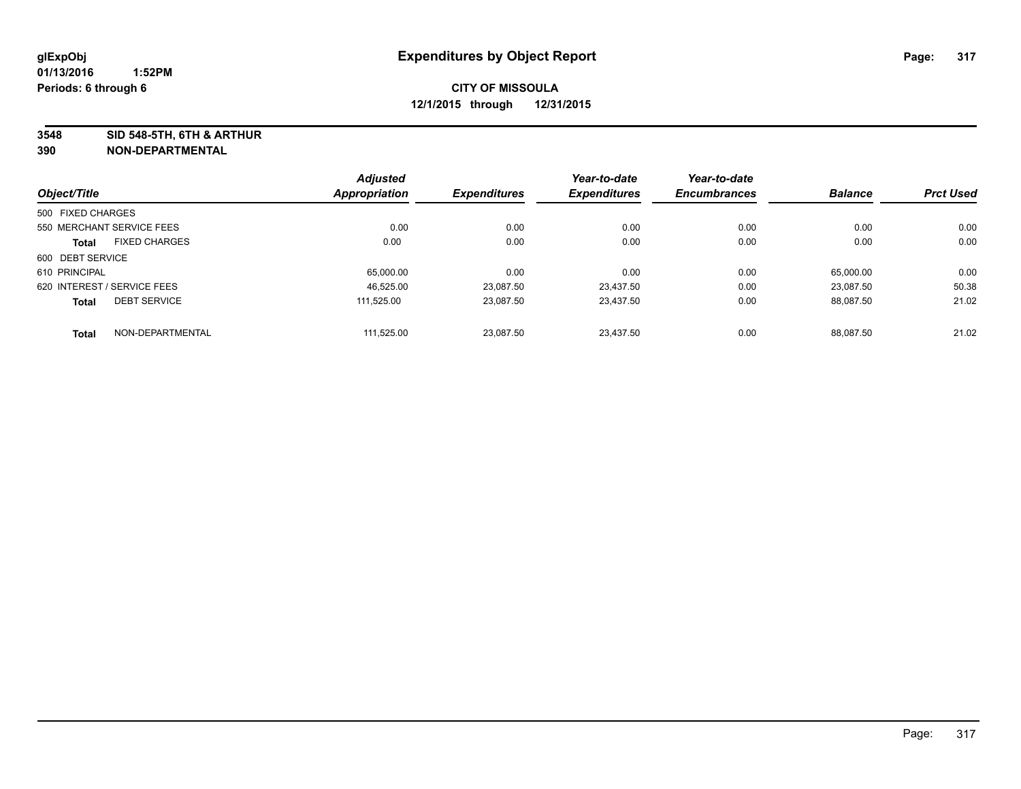**3548 SID 548-5TH, 6TH & ARTHUR**

|                   |                             | <b>Adjusted</b>      |                     | Year-to-date        | Year-to-date        |                |                  |
|-------------------|-----------------------------|----------------------|---------------------|---------------------|---------------------|----------------|------------------|
| Object/Title      |                             | <b>Appropriation</b> | <b>Expenditures</b> | <b>Expenditures</b> | <b>Encumbrances</b> | <b>Balance</b> | <b>Prct Used</b> |
| 500 FIXED CHARGES |                             |                      |                     |                     |                     |                |                  |
|                   | 550 MERCHANT SERVICE FEES   | 0.00                 | 0.00                | 0.00                | 0.00                | 0.00           | 0.00             |
| <b>Total</b>      | <b>FIXED CHARGES</b>        | 0.00                 | 0.00                | 0.00                | 0.00                | 0.00           | 0.00             |
| 600 DEBT SERVICE  |                             |                      |                     |                     |                     |                |                  |
| 610 PRINCIPAL     |                             | 65,000.00            | 0.00                | 0.00                | 0.00                | 65.000.00      | 0.00             |
|                   | 620 INTEREST / SERVICE FEES | 46.525.00            | 23.087.50           | 23.437.50           | 0.00                | 23.087.50      | 50.38            |
| <b>Total</b>      | <b>DEBT SERVICE</b>         | 111.525.00           | 23,087.50           | 23,437.50           | 0.00                | 88.087.50      | 21.02            |
| <b>Total</b>      | NON-DEPARTMENTAL            | 111.525.00           | 23,087.50           | 23.437.50           | 0.00                | 88.087.50      | 21.02            |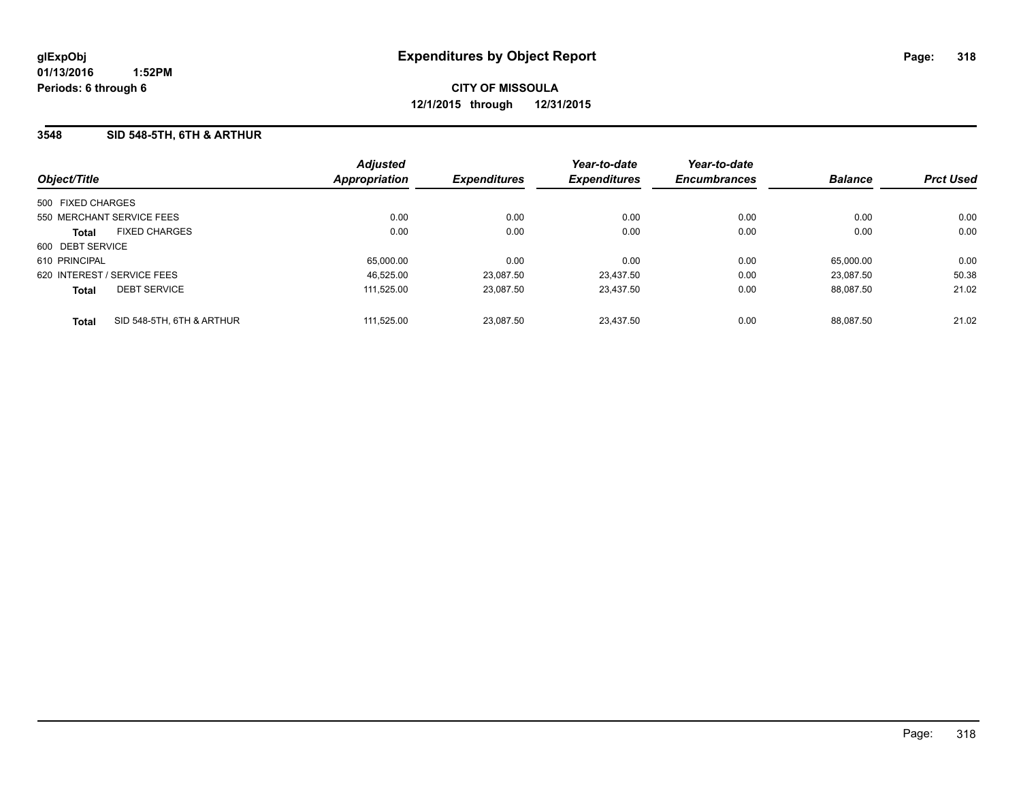### **3548 SID 548-5TH, 6TH & ARTHUR**

| Object/Title                              | <b>Adjusted</b><br><b>Appropriation</b> | <b>Expenditures</b> | Year-to-date<br><b>Expenditures</b> | Year-to-date<br><b>Encumbrances</b> | <b>Balance</b> | <b>Prct Used</b> |
|-------------------------------------------|-----------------------------------------|---------------------|-------------------------------------|-------------------------------------|----------------|------------------|
|                                           |                                         |                     |                                     |                                     |                |                  |
| 500 FIXED CHARGES                         |                                         |                     |                                     |                                     |                |                  |
| 550 MERCHANT SERVICE FEES                 | 0.00                                    | 0.00                | 0.00                                | 0.00                                | 0.00           | 0.00             |
| <b>FIXED CHARGES</b><br><b>Total</b>      | 0.00                                    | 0.00                | 0.00                                | 0.00                                | 0.00           | 0.00             |
| 600 DEBT SERVICE                          |                                         |                     |                                     |                                     |                |                  |
| 610 PRINCIPAL                             | 65,000.00                               | 0.00                | 0.00                                | 0.00                                | 65,000.00      | 0.00             |
| 620 INTEREST / SERVICE FEES               | 46,525.00                               | 23.087.50           | 23.437.50                           | 0.00                                | 23.087.50      | 50.38            |
| <b>DEBT SERVICE</b><br><b>Total</b>       | 111.525.00                              | 23.087.50           | 23.437.50                           | 0.00                                | 88.087.50      | 21.02            |
| SID 548-5TH, 6TH & ARTHUR<br><b>Total</b> | 111.525.00                              | 23.087.50           | 23.437.50                           | 0.00                                | 88.087.50      | 21.02            |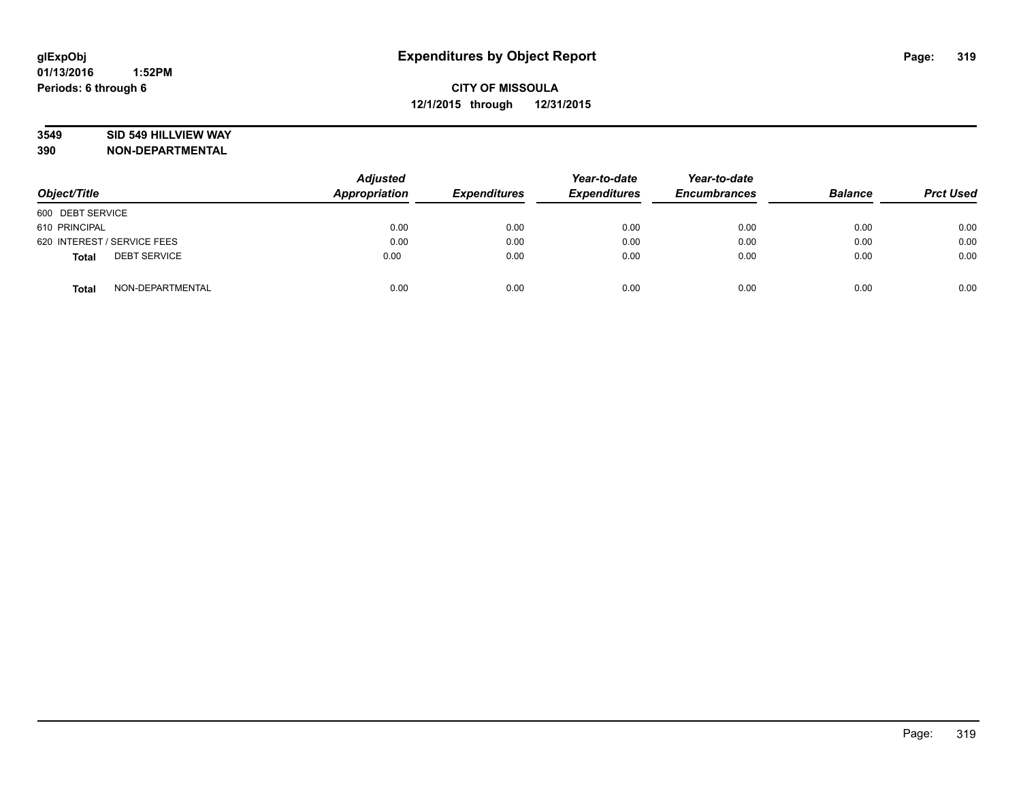### **3549 SID 549 HILLVIEW WAY**

| Object/Title                        | <b>Adjusted</b><br><b>Appropriation</b> | <b>Expenditures</b> | Year-to-date<br><b>Expenditures</b> | Year-to-date<br><b>Encumbrances</b> | <b>Balance</b> | <b>Prct Used</b> |
|-------------------------------------|-----------------------------------------|---------------------|-------------------------------------|-------------------------------------|----------------|------------------|
| 600 DEBT SERVICE                    |                                         |                     |                                     |                                     |                |                  |
| 610 PRINCIPAL                       | 0.00                                    | 0.00                | 0.00                                | 0.00                                | 0.00           | 0.00             |
| 620 INTEREST / SERVICE FEES         | 0.00                                    | 0.00                | 0.00                                | 0.00                                | 0.00           | 0.00             |
| <b>DEBT SERVICE</b><br><b>Total</b> | 0.00                                    | 0.00                | 0.00                                | 0.00                                | 0.00           | 0.00             |
| NON-DEPARTMENTAL<br><b>Total</b>    | 0.00                                    | 0.00                | 0.00                                | 0.00                                | 0.00           | 0.00             |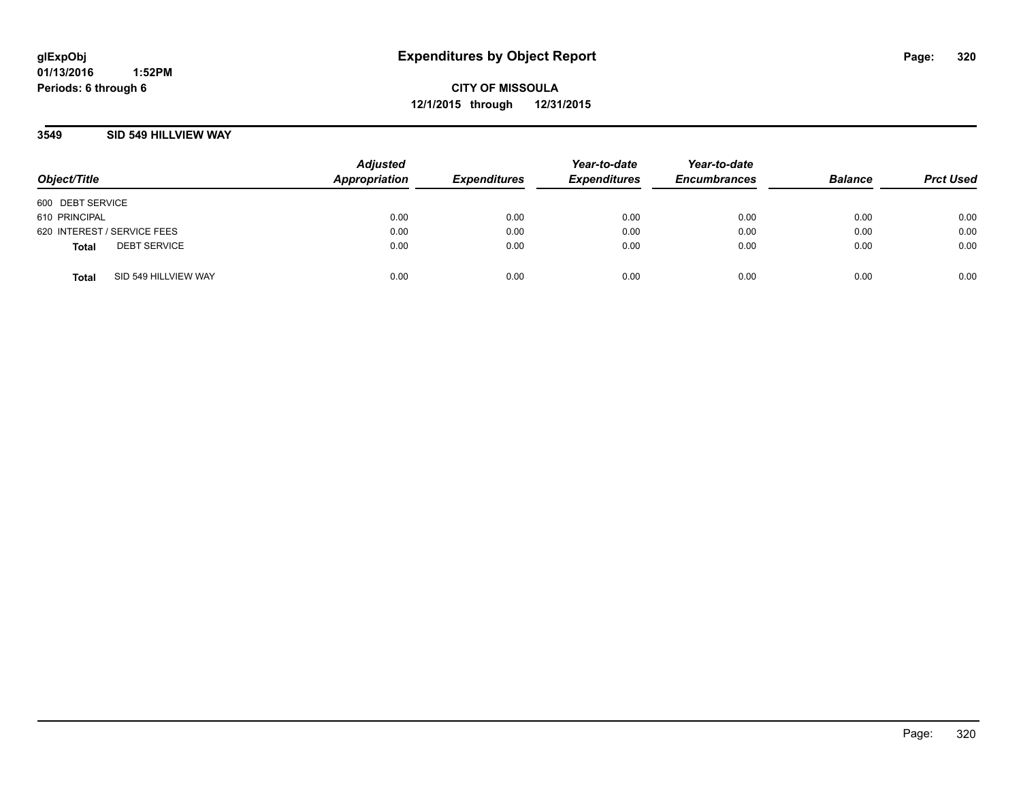### **3549 SID 549 HILLVIEW WAY**

| Object/Title                |                      | <b>Adjusted</b><br>Appropriation | <b>Expenditures</b> | Year-to-date<br><b>Expenditures</b> | Year-to-date<br><b>Encumbrances</b> | <b>Balance</b> | <b>Prct Used</b> |
|-----------------------------|----------------------|----------------------------------|---------------------|-------------------------------------|-------------------------------------|----------------|------------------|
| 600 DEBT SERVICE            |                      |                                  |                     |                                     |                                     |                |                  |
| 610 PRINCIPAL               |                      | 0.00                             | 0.00                | 0.00                                | 0.00                                | 0.00           | 0.00             |
| 620 INTEREST / SERVICE FEES |                      | 0.00                             | 0.00                | 0.00                                | 0.00                                | 0.00           | 0.00             |
| <b>Total</b>                | <b>DEBT SERVICE</b>  | 0.00                             | 0.00                | 0.00                                | 0.00                                | 0.00           | 0.00             |
| <b>Total</b>                | SID 549 HILLVIEW WAY | 0.00                             | 0.00                | 0.00                                | 0.00                                | 0.00           | 0.00             |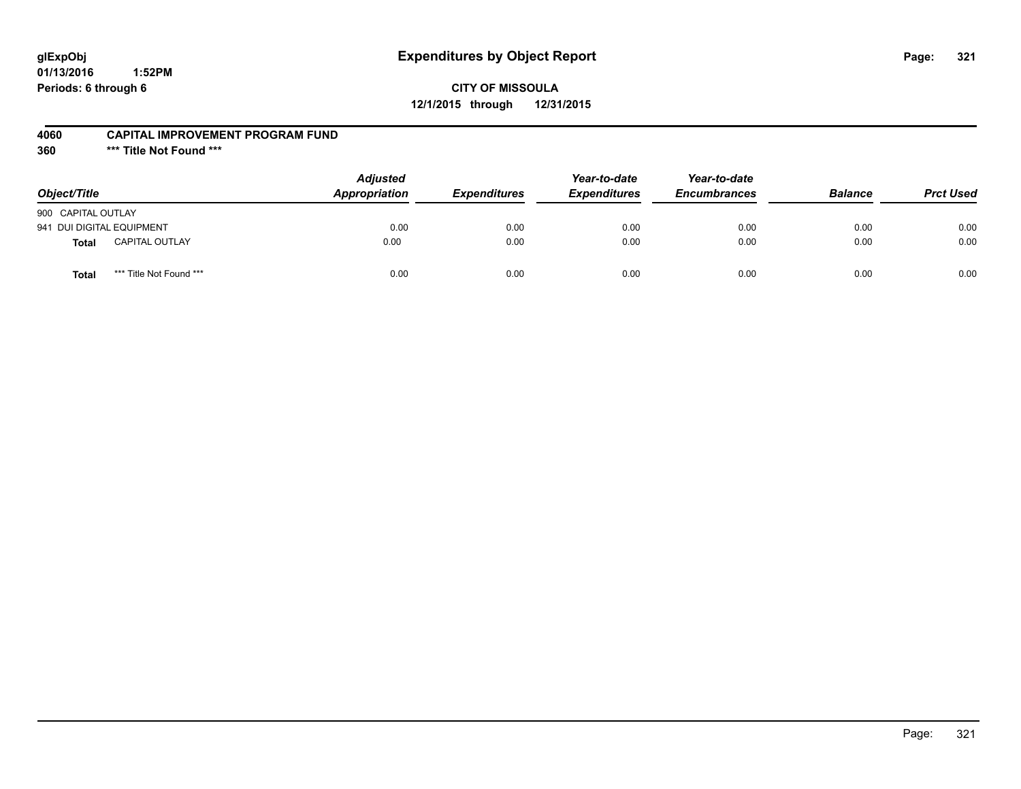# **glExpObj Expenditures by Object Report Page: 321**

# **CITY OF MISSOULA 12/1/2015 through 12/31/2015**

#### **4060 CAPITAL IMPROVEMENT PROGRAM FUND**

**360 \*\*\* Title Not Found \*\*\***

| Object/Title              |                         | <b>Adjusted</b><br><b>Appropriation</b> | <i><b>Expenditures</b></i> | Year-to-date<br><b>Expenditures</b> | Year-to-date<br><b>Encumbrances</b> | <b>Balance</b> | <b>Prct Used</b> |
|---------------------------|-------------------------|-----------------------------------------|----------------------------|-------------------------------------|-------------------------------------|----------------|------------------|
| 900 CAPITAL OUTLAY        |                         |                                         |                            |                                     |                                     |                |                  |
| 941 DUI DIGITAL EQUIPMENT |                         | 0.00                                    | 0.00                       | 0.00                                | 0.00                                | 0.00           | 0.00             |
| <b>Total</b>              | <b>CAPITAL OUTLAY</b>   | 0.00                                    | 0.00                       | 0.00                                | 0.00                                | 0.00           | 0.00             |
| Total                     | *** Title Not Found *** | 0.00                                    | 0.00                       | 0.00                                | 0.00                                | 0.00           | 0.00             |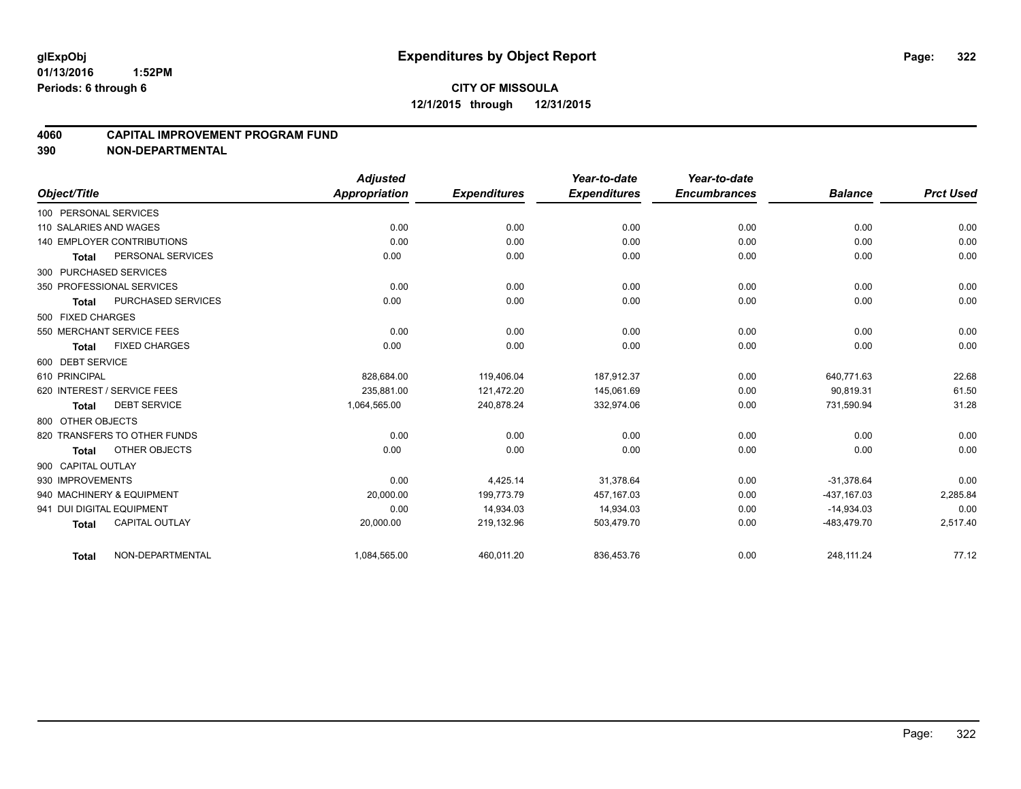### **4060 CAPITAL IMPROVEMENT PROGRAM FUND**

|                             |                              | <b>Adjusted</b>      |                     | Year-to-date        | Year-to-date        |                |                  |
|-----------------------------|------------------------------|----------------------|---------------------|---------------------|---------------------|----------------|------------------|
| Object/Title                |                              | <b>Appropriation</b> | <b>Expenditures</b> | <b>Expenditures</b> | <b>Encumbrances</b> | <b>Balance</b> | <b>Prct Used</b> |
| 100 PERSONAL SERVICES       |                              |                      |                     |                     |                     |                |                  |
| 110 SALARIES AND WAGES      |                              | 0.00                 | 0.00                | 0.00                | 0.00                | 0.00           | 0.00             |
| 140 EMPLOYER CONTRIBUTIONS  |                              | 0.00                 | 0.00                | 0.00                | 0.00                | 0.00           | 0.00             |
| Total                       | PERSONAL SERVICES            | 0.00                 | 0.00                | 0.00                | 0.00                | 0.00           | 0.00             |
| 300 PURCHASED SERVICES      |                              |                      |                     |                     |                     |                |                  |
| 350 PROFESSIONAL SERVICES   |                              | 0.00                 | 0.00                | 0.00                | 0.00                | 0.00           | 0.00             |
| Total                       | PURCHASED SERVICES           | 0.00                 | 0.00                | 0.00                | 0.00                | 0.00           | 0.00             |
| 500 FIXED CHARGES           |                              |                      |                     |                     |                     |                |                  |
| 550 MERCHANT SERVICE FEES   |                              | 0.00                 | 0.00                | 0.00                | 0.00                | 0.00           | 0.00             |
| Total                       | <b>FIXED CHARGES</b>         | 0.00                 | 0.00                | 0.00                | 0.00                | 0.00           | 0.00             |
| 600 DEBT SERVICE            |                              |                      |                     |                     |                     |                |                  |
| 610 PRINCIPAL               |                              | 828,684.00           | 119,406.04          | 187.912.37          | 0.00                | 640.771.63     | 22.68            |
| 620 INTEREST / SERVICE FEES |                              | 235.881.00           | 121,472.20          | 145,061.69          | 0.00                | 90.819.31      | 61.50            |
| <b>Total</b>                | <b>DEBT SERVICE</b>          | 1,064,565.00         | 240,878.24          | 332,974.06          | 0.00                | 731,590.94     | 31.28            |
| 800 OTHER OBJECTS           |                              |                      |                     |                     |                     |                |                  |
|                             | 820 TRANSFERS TO OTHER FUNDS | 0.00                 | 0.00                | 0.00                | 0.00                | 0.00           | 0.00             |
| <b>Total</b>                | OTHER OBJECTS                | 0.00                 | 0.00                | 0.00                | 0.00                | 0.00           | 0.00             |
| 900 CAPITAL OUTLAY          |                              |                      |                     |                     |                     |                |                  |
| 930 IMPROVEMENTS            |                              | 0.00                 | 4,425.14            | 31,378.64           | 0.00                | $-31,378.64$   | 0.00             |
| 940 MACHINERY & EQUIPMENT   |                              | 20,000.00            | 199,773.79          | 457,167.03          | 0.00                | -437.167.03    | 2,285.84         |
| 941 DUI DIGITAL EQUIPMENT   |                              | 0.00                 | 14,934.03           | 14,934.03           | 0.00                | $-14,934.03$   | 0.00             |
| <b>Total</b>                | <b>CAPITAL OUTLAY</b>        | 20,000.00            | 219,132.96          | 503,479.70          | 0.00                | -483,479.70    | 2,517.40         |
| Total                       | NON-DEPARTMENTAL             | 1,084,565.00         | 460,011.20          | 836,453.76          | 0.00                | 248,111.24     | 77.12            |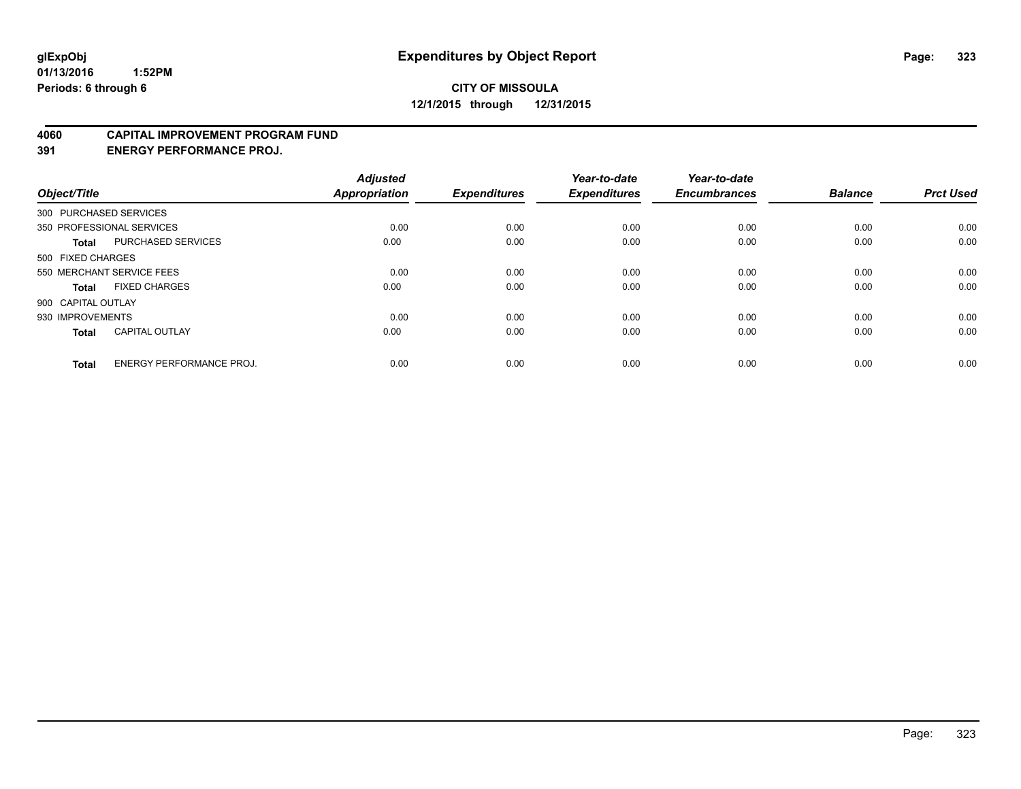#### **4060 CAPITAL IMPROVEMENT PROGRAM FUND**

**391 ENERGY PERFORMANCE PROJ.**

| Object/Title       |                                 | <b>Adjusted</b><br><b>Appropriation</b> | <b>Expenditures</b> | Year-to-date<br><b>Expenditures</b> | Year-to-date<br><b>Encumbrances</b> | <b>Balance</b> | <b>Prct Used</b> |
|--------------------|---------------------------------|-----------------------------------------|---------------------|-------------------------------------|-------------------------------------|----------------|------------------|
|                    | 300 PURCHASED SERVICES          |                                         |                     |                                     |                                     |                |                  |
|                    | 350 PROFESSIONAL SERVICES       | 0.00                                    | 0.00                | 0.00                                | 0.00                                | 0.00           | 0.00             |
| <b>Total</b>       | <b>PURCHASED SERVICES</b>       | 0.00                                    | 0.00                | 0.00                                | 0.00                                | 0.00           | 0.00             |
| 500 FIXED CHARGES  |                                 |                                         |                     |                                     |                                     |                |                  |
|                    | 550 MERCHANT SERVICE FEES       | 0.00                                    | 0.00                | 0.00                                | 0.00                                | 0.00           | 0.00             |
| Total              | <b>FIXED CHARGES</b>            | 0.00                                    | 0.00                | 0.00                                | 0.00                                | 0.00           | 0.00             |
| 900 CAPITAL OUTLAY |                                 |                                         |                     |                                     |                                     |                |                  |
| 930 IMPROVEMENTS   |                                 | 0.00                                    | 0.00                | 0.00                                | 0.00                                | 0.00           | 0.00             |
| Total              | <b>CAPITAL OUTLAY</b>           | 0.00                                    | 0.00                | 0.00                                | 0.00                                | 0.00           | 0.00             |
| <b>Total</b>       | <b>ENERGY PERFORMANCE PROJ.</b> | 0.00                                    | 0.00                | 0.00                                | 0.00                                | 0.00           | 0.00             |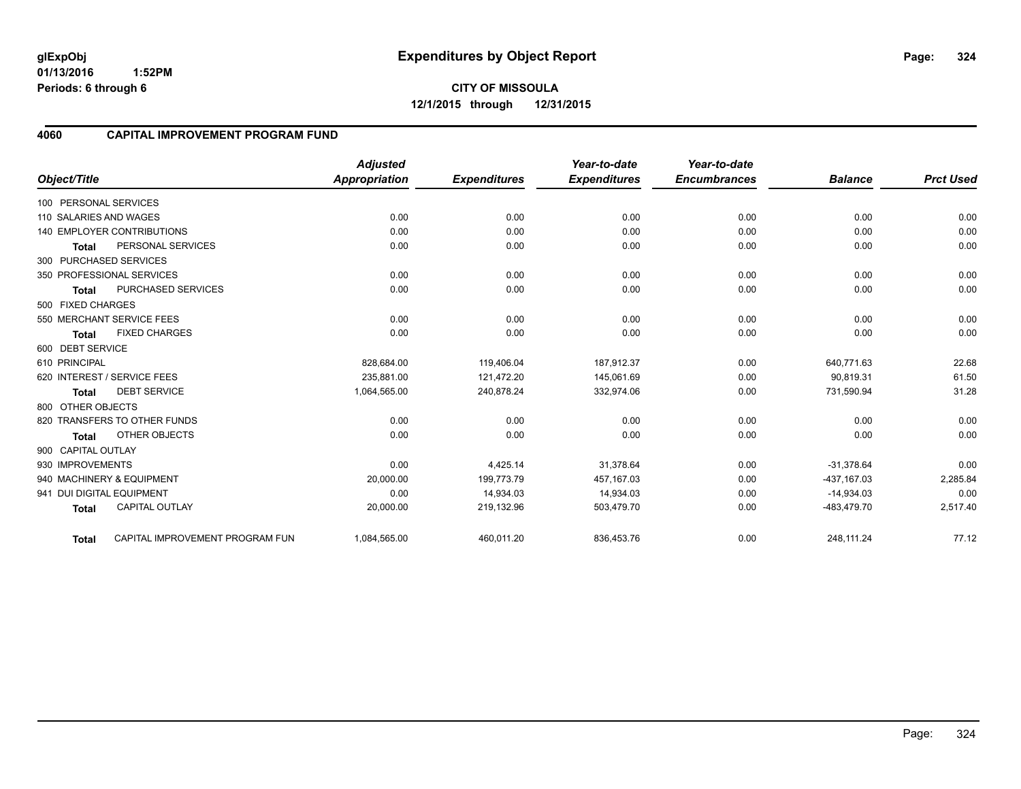**01/13/2016 1:52PM Periods: 6 through 6**

**CITY OF MISSOULA 12/1/2015 through 12/31/2015**

## **4060 CAPITAL IMPROVEMENT PROGRAM FUND**

|                           |                                   | <b>Adjusted</b>      |                     | Year-to-date        | Year-to-date        |                |                  |
|---------------------------|-----------------------------------|----------------------|---------------------|---------------------|---------------------|----------------|------------------|
| Object/Title              |                                   | <b>Appropriation</b> | <b>Expenditures</b> | <b>Expenditures</b> | <b>Encumbrances</b> | <b>Balance</b> | <b>Prct Used</b> |
| 100 PERSONAL SERVICES     |                                   |                      |                     |                     |                     |                |                  |
| 110 SALARIES AND WAGES    |                                   | 0.00                 | 0.00                | 0.00                | 0.00                | 0.00           | 0.00             |
|                           | <b>140 EMPLOYER CONTRIBUTIONS</b> | 0.00                 | 0.00                | 0.00                | 0.00                | 0.00           | 0.00             |
| <b>Total</b>              | PERSONAL SERVICES                 | 0.00                 | 0.00                | 0.00                | 0.00                | 0.00           | 0.00             |
| 300 PURCHASED SERVICES    |                                   |                      |                     |                     |                     |                |                  |
|                           | 350 PROFESSIONAL SERVICES         | 0.00                 | 0.00                | 0.00                | 0.00                | 0.00           | 0.00             |
| <b>Total</b>              | PURCHASED SERVICES                | 0.00                 | 0.00                | 0.00                | 0.00                | 0.00           | 0.00             |
| 500 FIXED CHARGES         |                                   |                      |                     |                     |                     |                |                  |
|                           | 550 MERCHANT SERVICE FEES         | 0.00                 | 0.00                | 0.00                | 0.00                | 0.00           | 0.00             |
| <b>Total</b>              | <b>FIXED CHARGES</b>              | 0.00                 | 0.00                | 0.00                | 0.00                | 0.00           | 0.00             |
| 600 DEBT SERVICE          |                                   |                      |                     |                     |                     |                |                  |
| 610 PRINCIPAL             |                                   | 828,684.00           | 119,406.04          | 187,912.37          | 0.00                | 640,771.63     | 22.68            |
|                           | 620 INTEREST / SERVICE FEES       | 235,881.00           | 121,472.20          | 145,061.69          | 0.00                | 90,819.31      | 61.50            |
| <b>Total</b>              | <b>DEBT SERVICE</b>               | 1,064,565.00         | 240,878.24          | 332,974.06          | 0.00                | 731,590.94     | 31.28            |
| 800 OTHER OBJECTS         |                                   |                      |                     |                     |                     |                |                  |
|                           | 820 TRANSFERS TO OTHER FUNDS      | 0.00                 | 0.00                | 0.00                | 0.00                | 0.00           | 0.00             |
| <b>Total</b>              | <b>OTHER OBJECTS</b>              | 0.00                 | 0.00                | 0.00                | 0.00                | 0.00           | 0.00             |
| 900 CAPITAL OUTLAY        |                                   |                      |                     |                     |                     |                |                  |
| 930 IMPROVEMENTS          |                                   | 0.00                 | 4,425.14            | 31,378.64           | 0.00                | $-31,378.64$   | 0.00             |
|                           | 940 MACHINERY & EQUIPMENT         | 20,000.00            | 199,773.79          | 457, 167.03         | 0.00                | -437,167.03    | 2,285.84         |
| 941 DUI DIGITAL EQUIPMENT |                                   | 0.00                 | 14,934.03           | 14,934.03           | 0.00                | $-14,934.03$   | 0.00             |
| <b>Total</b>              | <b>CAPITAL OUTLAY</b>             | 20,000.00            | 219,132.96          | 503,479.70          | 0.00                | -483,479.70    | 2,517.40         |
| <b>Total</b>              | CAPITAL IMPROVEMENT PROGRAM FUN   | 1,084,565.00         | 460,011.20          | 836,453.76          | 0.00                | 248,111.24     | 77.12            |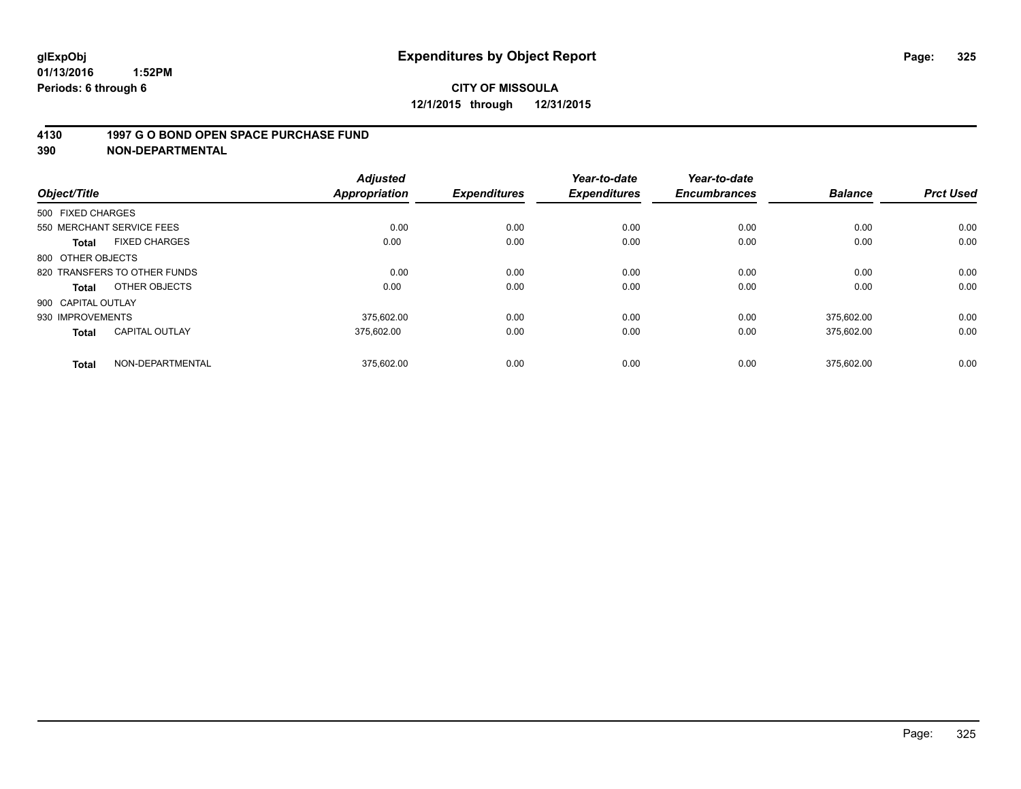### **4130 1997 G O BOND OPEN SPACE PURCHASE FUND**

**390 NON-DEPARTMENTAL**

| Object/Title                          | <b>Adjusted</b><br><b>Appropriation</b> | <b>Expenditures</b> | Year-to-date<br><b>Expenditures</b> | Year-to-date<br><b>Encumbrances</b> | <b>Balance</b> | <b>Prct Used</b> |
|---------------------------------------|-----------------------------------------|---------------------|-------------------------------------|-------------------------------------|----------------|------------------|
| 500 FIXED CHARGES                     |                                         |                     |                                     |                                     |                |                  |
| 550 MERCHANT SERVICE FEES             |                                         | 0.00<br>0.00        | 0.00                                | 0.00                                | 0.00           | 0.00             |
| <b>FIXED CHARGES</b><br><b>Total</b>  | 0.00                                    | 0.00                | 0.00                                | 0.00                                | 0.00           | 0.00             |
| 800 OTHER OBJECTS                     |                                         |                     |                                     |                                     |                |                  |
| 820 TRANSFERS TO OTHER FUNDS          |                                         | 0.00<br>0.00        | 0.00                                | 0.00                                | 0.00           | 0.00             |
| OTHER OBJECTS<br>Total                | 0.00                                    | 0.00                | 0.00                                | 0.00                                | 0.00           | 0.00             |
| 900 CAPITAL OUTLAY                    |                                         |                     |                                     |                                     |                |                  |
| 930 IMPROVEMENTS                      | 375.602.00                              | 0.00                | 0.00                                | 0.00                                | 375.602.00     | 0.00             |
| <b>CAPITAL OUTLAY</b><br><b>Total</b> | 375.602.00                              | 0.00                | 0.00                                | 0.00                                | 375,602.00     | 0.00             |
| NON-DEPARTMENTAL<br><b>Total</b>      | 375,602.00                              | 0.00                | 0.00                                | 0.00                                | 375.602.00     | 0.00             |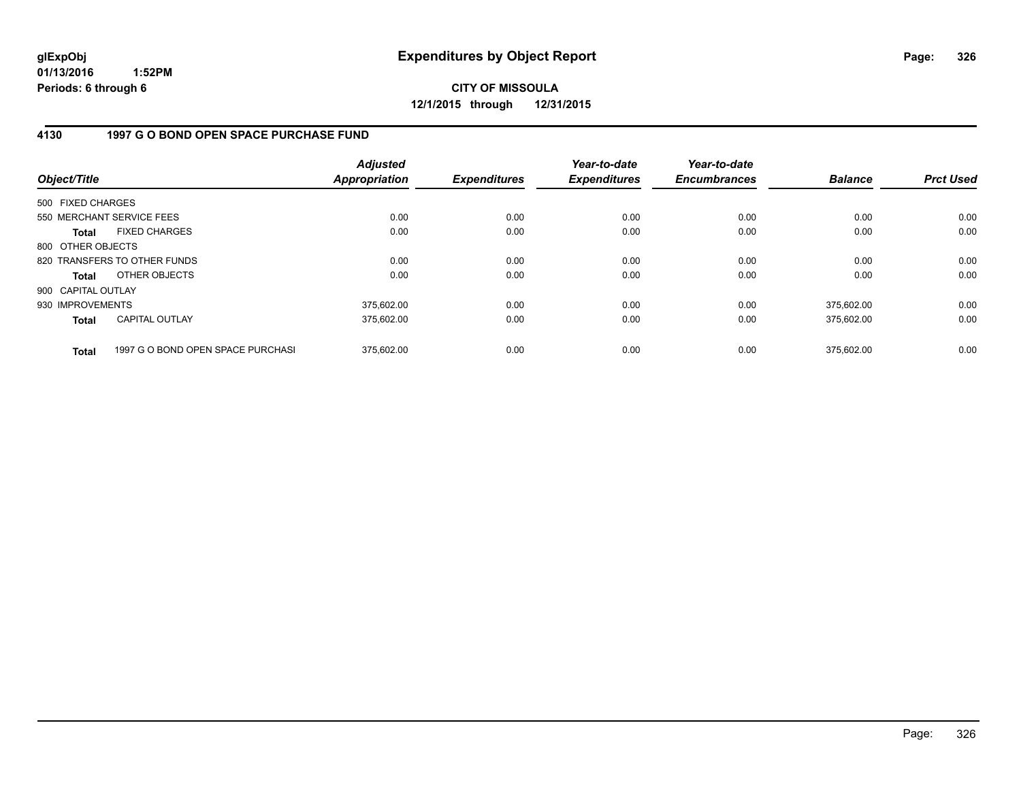**CITY OF MISSOULA 12/1/2015 through 12/31/2015**

### **4130 1997 G O BOND OPEN SPACE PURCHASE FUND**

| Object/Title       |                                   | <b>Adjusted</b><br><b>Appropriation</b> | <b>Expenditures</b> | Year-to-date<br><b>Expenditures</b> | Year-to-date<br><b>Encumbrances</b> | <b>Balance</b> | <b>Prct Used</b> |
|--------------------|-----------------------------------|-----------------------------------------|---------------------|-------------------------------------|-------------------------------------|----------------|------------------|
| 500 FIXED CHARGES  |                                   |                                         |                     |                                     |                                     |                |                  |
|                    | 550 MERCHANT SERVICE FEES         | 0.00                                    | 0.00                | 0.00                                | 0.00                                | 0.00           | 0.00             |
| Total              | <b>FIXED CHARGES</b>              | 0.00                                    | 0.00                | 0.00                                | 0.00                                | 0.00           | 0.00             |
| 800 OTHER OBJECTS  |                                   |                                         |                     |                                     |                                     |                |                  |
|                    | 820 TRANSFERS TO OTHER FUNDS      | 0.00                                    | 0.00                | 0.00                                | 0.00                                | 0.00           | 0.00             |
| Total              | OTHER OBJECTS                     | 0.00                                    | 0.00                | 0.00                                | 0.00                                | 0.00           | 0.00             |
| 900 CAPITAL OUTLAY |                                   |                                         |                     |                                     |                                     |                |                  |
| 930 IMPROVEMENTS   |                                   | 375,602.00                              | 0.00                | 0.00                                | 0.00                                | 375.602.00     | 0.00             |
| <b>Total</b>       | <b>CAPITAL OUTLAY</b>             | 375,602.00                              | 0.00                | 0.00                                | 0.00                                | 375,602.00     | 0.00             |
| <b>Total</b>       | 1997 G O BOND OPEN SPACE PURCHASI | 375.602.00                              | 0.00                | 0.00                                | 0.00                                | 375.602.00     | 0.00             |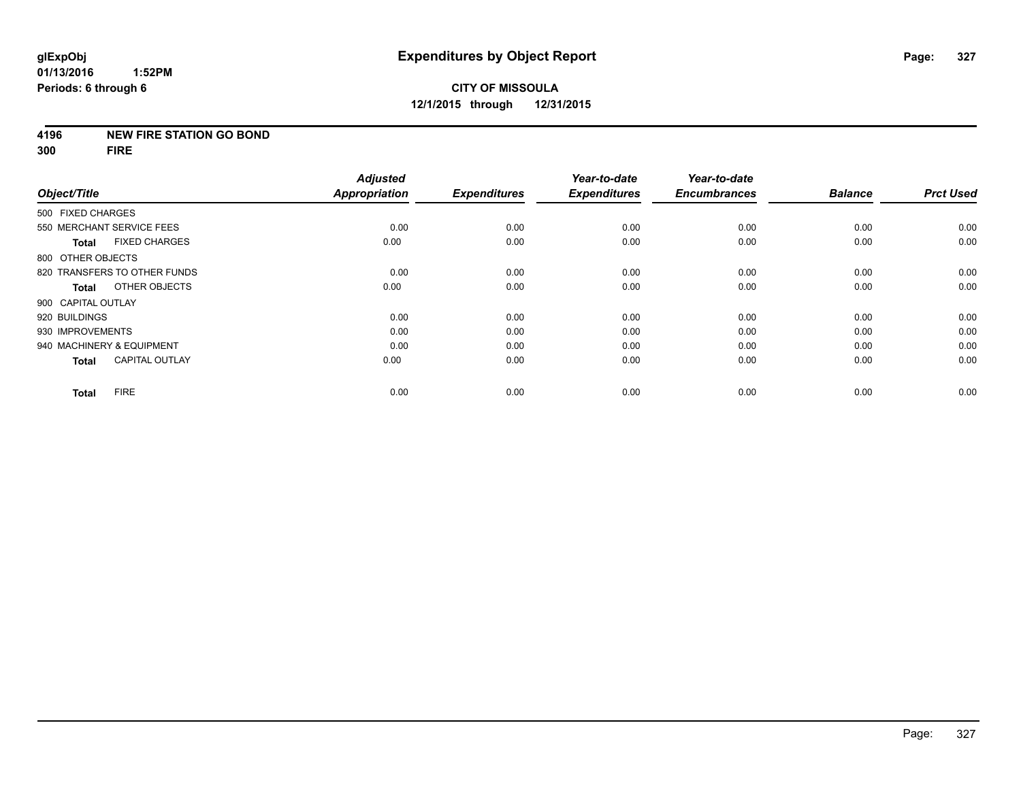### **4196 NEW FIRE STATION GO BOND**

**300 FIRE**

|                    |                              | <b>Adjusted</b>      |                     | Year-to-date        | Year-to-date        |                |                  |
|--------------------|------------------------------|----------------------|---------------------|---------------------|---------------------|----------------|------------------|
| Object/Title       |                              | <b>Appropriation</b> | <b>Expenditures</b> | <b>Expenditures</b> | <b>Encumbrances</b> | <b>Balance</b> | <b>Prct Used</b> |
| 500 FIXED CHARGES  |                              |                      |                     |                     |                     |                |                  |
|                    | 550 MERCHANT SERVICE FEES    | 0.00                 | 0.00                | 0.00                | 0.00                | 0.00           | 0.00             |
| <b>Total</b>       | <b>FIXED CHARGES</b>         | 0.00                 | 0.00                | 0.00                | 0.00                | 0.00           | 0.00             |
| 800 OTHER OBJECTS  |                              |                      |                     |                     |                     |                |                  |
|                    | 820 TRANSFERS TO OTHER FUNDS | 0.00                 | 0.00                | 0.00                | 0.00                | 0.00           | 0.00             |
| <b>Total</b>       | OTHER OBJECTS                | 0.00                 | 0.00                | 0.00                | 0.00                | 0.00           | 0.00             |
| 900 CAPITAL OUTLAY |                              |                      |                     |                     |                     |                |                  |
| 920 BUILDINGS      |                              | 0.00                 | 0.00                | 0.00                | 0.00                | 0.00           | 0.00             |
| 930 IMPROVEMENTS   |                              | 0.00                 | 0.00                | 0.00                | 0.00                | 0.00           | 0.00             |
|                    | 940 MACHINERY & EQUIPMENT    | 0.00                 | 0.00                | 0.00                | 0.00                | 0.00           | 0.00             |
| <b>Total</b>       | <b>CAPITAL OUTLAY</b>        | 0.00                 | 0.00                | 0.00                | 0.00                | 0.00           | 0.00             |
| <b>Total</b>       | <b>FIRE</b>                  | 0.00                 | 0.00                | 0.00                | 0.00                | 0.00           | 0.00             |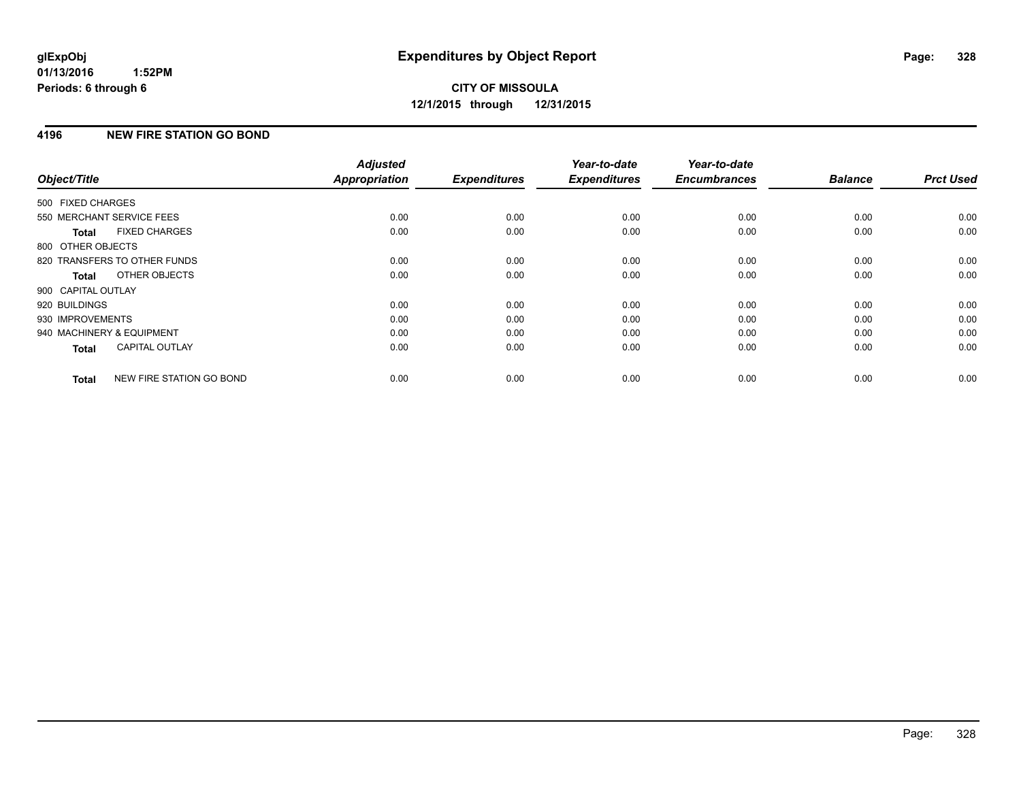## **4196 NEW FIRE STATION GO BOND**

| Object/Title              |                              | <b>Adjusted</b><br><b>Appropriation</b> | <b>Expenditures</b> | Year-to-date<br><b>Expenditures</b> | Year-to-date<br><b>Encumbrances</b> | <b>Balance</b> | <b>Prct Used</b> |
|---------------------------|------------------------------|-----------------------------------------|---------------------|-------------------------------------|-------------------------------------|----------------|------------------|
|                           |                              |                                         |                     |                                     |                                     |                |                  |
| 500 FIXED CHARGES         |                              |                                         |                     |                                     |                                     |                |                  |
| 550 MERCHANT SERVICE FEES |                              | 0.00                                    | 0.00                | 0.00                                | 0.00                                | 0.00           | 0.00             |
| Total                     | <b>FIXED CHARGES</b>         | 0.00                                    | 0.00                | 0.00                                | 0.00                                | 0.00           | 0.00             |
| 800 OTHER OBJECTS         |                              |                                         |                     |                                     |                                     |                |                  |
|                           | 820 TRANSFERS TO OTHER FUNDS | 0.00                                    | 0.00                | 0.00                                | 0.00                                | 0.00           | 0.00             |
| Total                     | OTHER OBJECTS                | 0.00                                    | 0.00                | 0.00                                | 0.00                                | 0.00           | 0.00             |
| 900 CAPITAL OUTLAY        |                              |                                         |                     |                                     |                                     |                |                  |
| 920 BUILDINGS             |                              | 0.00                                    | 0.00                | 0.00                                | 0.00                                | 0.00           | 0.00             |
| 930 IMPROVEMENTS          |                              | 0.00                                    | 0.00                | 0.00                                | 0.00                                | 0.00           | 0.00             |
| 940 MACHINERY & EQUIPMENT |                              | 0.00                                    | 0.00                | 0.00                                | 0.00                                | 0.00           | 0.00             |
| <b>Total</b>              | <b>CAPITAL OUTLAY</b>        | 0.00                                    | 0.00                | 0.00                                | 0.00                                | 0.00           | 0.00             |
| <b>Total</b>              | NEW FIRE STATION GO BOND     | 0.00                                    | 0.00                | 0.00                                | 0.00                                | 0.00           | 0.00             |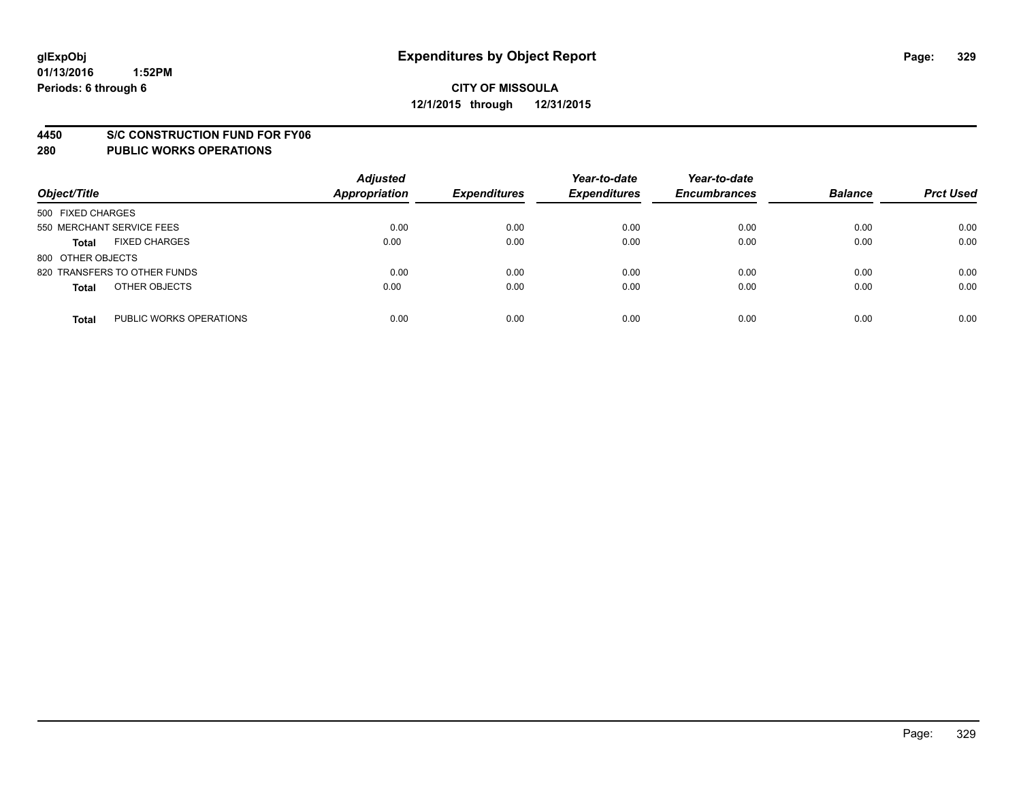#### **4450 S/C CONSTRUCTION FUND FOR FY06**

| Object/Title                            | <b>Adjusted</b><br><b>Appropriation</b> | <b>Expenditures</b> | Year-to-date<br><b>Expenditures</b> | Year-to-date<br><b>Encumbrances</b> | <b>Balance</b> | <b>Prct Used</b> |
|-----------------------------------------|-----------------------------------------|---------------------|-------------------------------------|-------------------------------------|----------------|------------------|
| 500 FIXED CHARGES                       |                                         |                     |                                     |                                     |                |                  |
| 550 MERCHANT SERVICE FEES               | 0.00                                    | 0.00                | 0.00                                | 0.00                                | 0.00           | 0.00             |
| <b>FIXED CHARGES</b><br><b>Total</b>    | 0.00                                    | 0.00                | 0.00                                | 0.00                                | 0.00           | 0.00             |
| 800 OTHER OBJECTS                       |                                         |                     |                                     |                                     |                |                  |
| 820 TRANSFERS TO OTHER FUNDS            | 0.00                                    | 0.00                | 0.00                                | 0.00                                | 0.00           | 0.00             |
| OTHER OBJECTS<br><b>Total</b>           | 0.00                                    | 0.00                | 0.00                                | 0.00                                | 0.00           | 0.00             |
| PUBLIC WORKS OPERATIONS<br><b>Total</b> | 0.00                                    | 0.00                | 0.00                                | 0.00                                | 0.00           | 0.00             |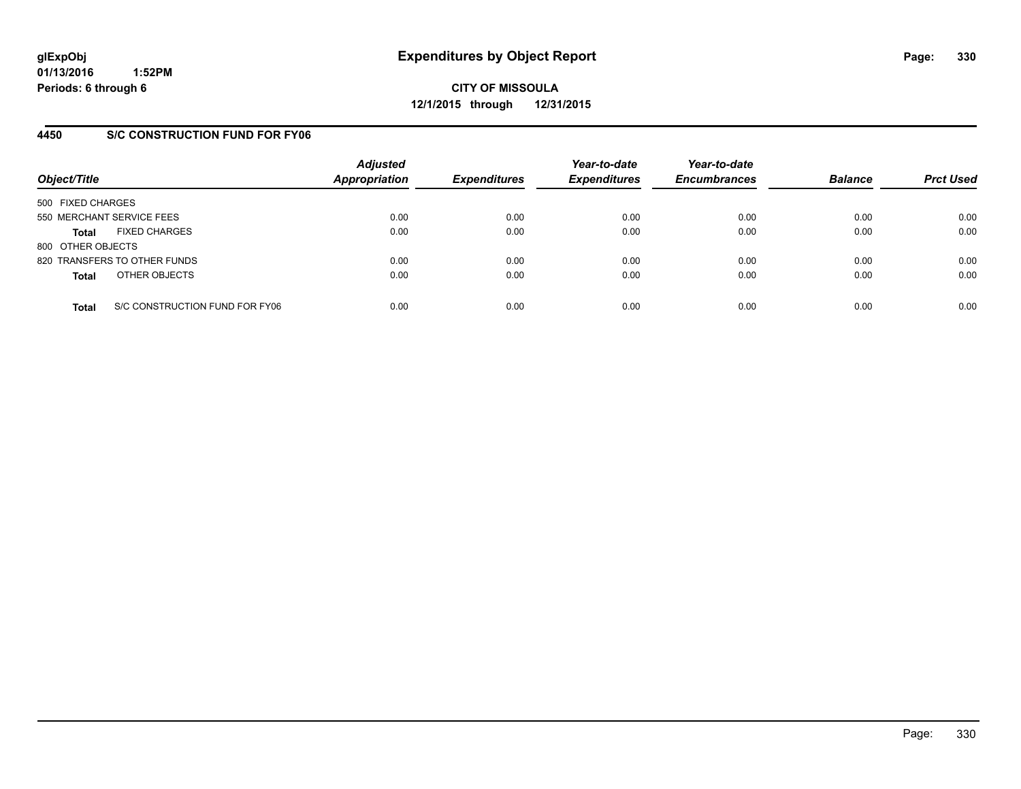**CITY OF MISSOULA 12/1/2015 through 12/31/2015**

## **4450 S/C CONSTRUCTION FUND FOR FY06**

| Object/Title                                   | <b>Adjusted</b><br>Appropriation | <b>Expenditures</b> | Year-to-date<br><b>Expenditures</b> | Year-to-date<br><b>Encumbrances</b> | <b>Balance</b> | <b>Prct Used</b> |
|------------------------------------------------|----------------------------------|---------------------|-------------------------------------|-------------------------------------|----------------|------------------|
| 500 FIXED CHARGES                              |                                  |                     |                                     |                                     |                |                  |
| 550 MERCHANT SERVICE FEES                      | 0.00                             | 0.00                | 0.00                                | 0.00                                | 0.00           | 0.00             |
| <b>FIXED CHARGES</b><br><b>Total</b>           | 0.00                             | 0.00                | 0.00                                | 0.00                                | 0.00           | 0.00             |
| 800 OTHER OBJECTS                              |                                  |                     |                                     |                                     |                |                  |
| 820 TRANSFERS TO OTHER FUNDS                   | 0.00                             | 0.00                | 0.00                                | 0.00                                | 0.00           | 0.00             |
| OTHER OBJECTS<br><b>Total</b>                  | 0.00                             | 0.00                | 0.00                                | 0.00                                | 0.00           | 0.00             |
| S/C CONSTRUCTION FUND FOR FY06<br><b>Total</b> | 0.00                             | 0.00                | 0.00                                | 0.00                                | 0.00           | 0.00             |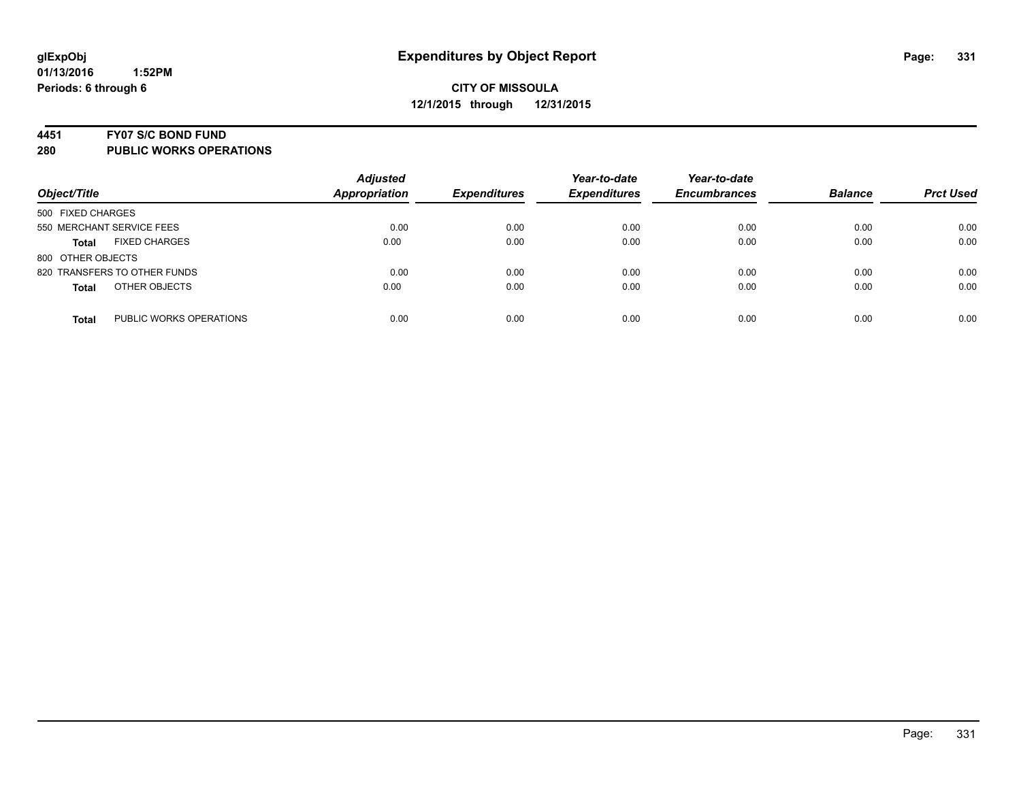#### **4451 FY07 S/C BOND FUND**

| Object/Title                            | <b>Adjusted</b><br><b>Appropriation</b> | <b>Expenditures</b> | Year-to-date<br><b>Expenditures</b> | Year-to-date<br><b>Encumbrances</b> | <b>Balance</b> | <b>Prct Used</b> |
|-----------------------------------------|-----------------------------------------|---------------------|-------------------------------------|-------------------------------------|----------------|------------------|
| 500 FIXED CHARGES                       |                                         |                     |                                     |                                     |                |                  |
| 550 MERCHANT SERVICE FEES               | 0.00                                    | 0.00                | 0.00                                | 0.00                                | 0.00           | 0.00             |
| <b>FIXED CHARGES</b><br><b>Total</b>    | 0.00                                    | 0.00                | 0.00                                | 0.00                                | 0.00           | 0.00             |
| 800 OTHER OBJECTS                       |                                         |                     |                                     |                                     |                |                  |
| 820 TRANSFERS TO OTHER FUNDS            | 0.00                                    | 0.00                | 0.00                                | 0.00                                | 0.00           | 0.00             |
| OTHER OBJECTS<br><b>Total</b>           | 0.00                                    | 0.00                | 0.00                                | 0.00                                | 0.00           | 0.00             |
| PUBLIC WORKS OPERATIONS<br><b>Total</b> | 0.00                                    | 0.00                | 0.00                                | 0.00                                | 0.00           | 0.00             |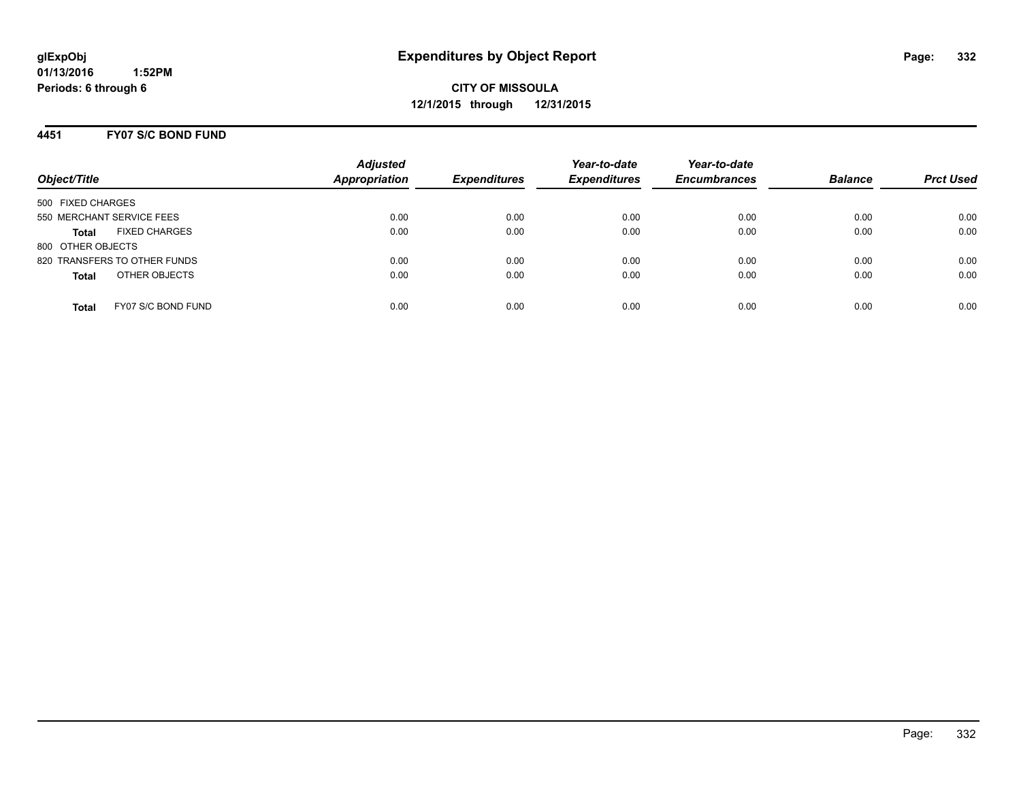### **4451 FY07 S/C BOND FUND**

| Object/Title                         | <b>Adjusted</b><br><b>Appropriation</b> | <b>Expenditures</b> | Year-to-date<br><b>Expenditures</b> | Year-to-date<br><b>Encumbrances</b> | <b>Balance</b> | <b>Prct Used</b> |
|--------------------------------------|-----------------------------------------|---------------------|-------------------------------------|-------------------------------------|----------------|------------------|
| 500 FIXED CHARGES                    |                                         |                     |                                     |                                     |                |                  |
| 550 MERCHANT SERVICE FEES            | 0.00                                    | 0.00                | 0.00                                | 0.00                                | 0.00           | 0.00             |
| <b>FIXED CHARGES</b><br><b>Total</b> | 0.00                                    | 0.00                | 0.00                                | 0.00                                | 0.00           | 0.00             |
| 800 OTHER OBJECTS                    |                                         |                     |                                     |                                     |                |                  |
| 820 TRANSFERS TO OTHER FUNDS         | 0.00                                    | 0.00                | 0.00                                | 0.00                                | 0.00           | 0.00             |
| OTHER OBJECTS<br><b>Total</b>        | 0.00                                    | 0.00                | 0.00                                | 0.00                                | 0.00           | 0.00             |
| FY07 S/C BOND FUND<br><b>Total</b>   | 0.00                                    | 0.00                | 0.00                                | 0.00                                | 0.00           | 0.00             |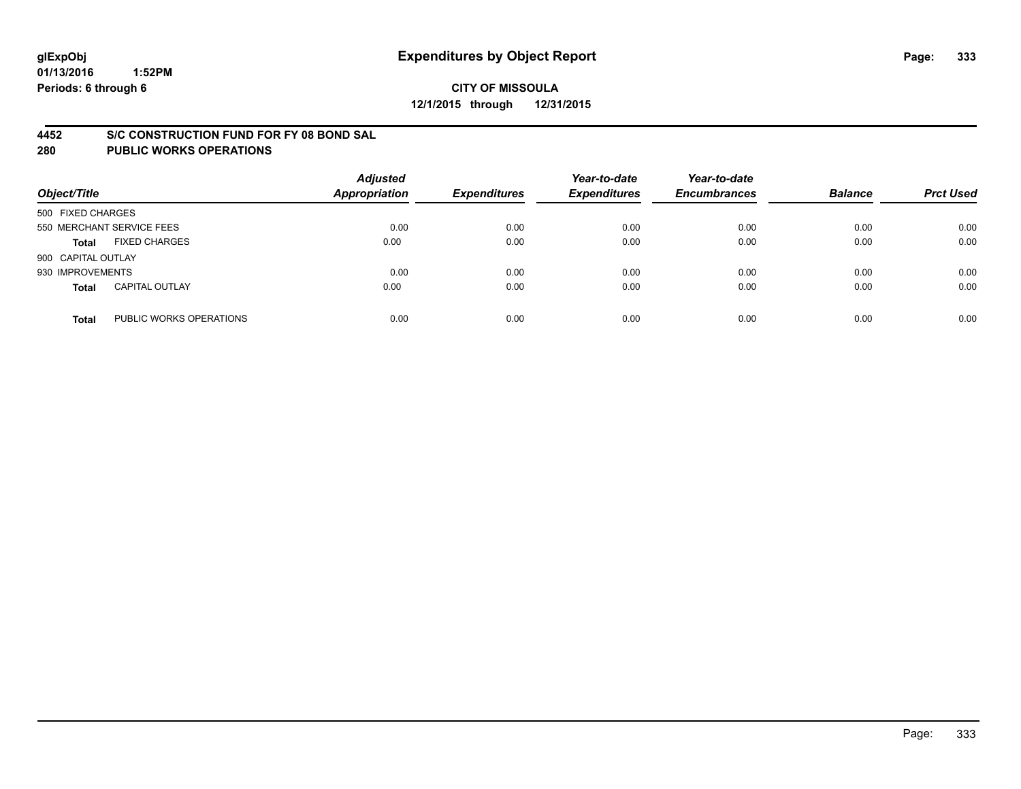### **4452 S/C CONSTRUCTION FUND FOR FY 08 BOND SAL**

| Object/Title       |                           | <b>Adjusted</b><br><b>Appropriation</b> | <b>Expenditures</b> | Year-to-date<br><b>Expenditures</b> | Year-to-date<br><b>Encumbrances</b> | <b>Balance</b> | <b>Prct Used</b> |
|--------------------|---------------------------|-----------------------------------------|---------------------|-------------------------------------|-------------------------------------|----------------|------------------|
| 500 FIXED CHARGES  |                           |                                         |                     |                                     |                                     |                |                  |
|                    | 550 MERCHANT SERVICE FEES | 0.00                                    | 0.00                | 0.00                                | 0.00                                | 0.00           | 0.00             |
| <b>Total</b>       | <b>FIXED CHARGES</b>      | 0.00                                    | 0.00                | 0.00                                | 0.00                                | 0.00           | 0.00             |
| 900 CAPITAL OUTLAY |                           |                                         |                     |                                     |                                     |                |                  |
| 930 IMPROVEMENTS   |                           | 0.00                                    | 0.00                | 0.00                                | 0.00                                | 0.00           | 0.00             |
| <b>Total</b>       | <b>CAPITAL OUTLAY</b>     | 0.00                                    | 0.00                | 0.00                                | 0.00                                | 0.00           | 0.00             |
| <b>Total</b>       | PUBLIC WORKS OPERATIONS   | 0.00                                    | 0.00                | 0.00                                | 0.00                                | 0.00           | 0.00             |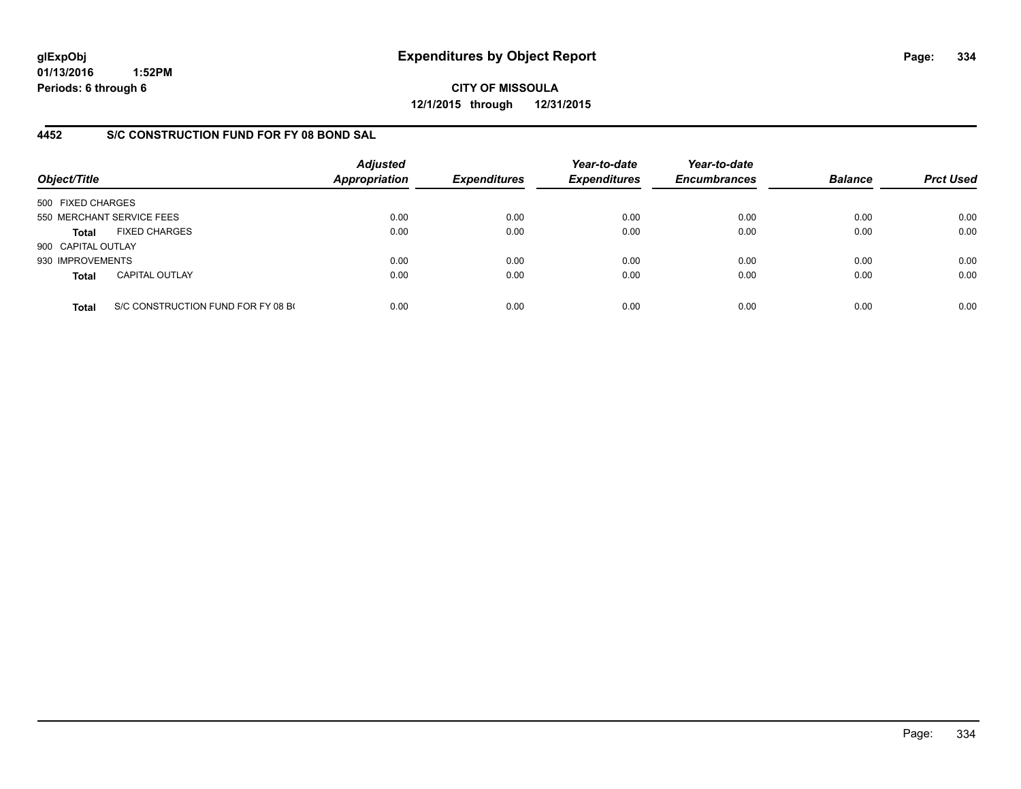**CITY OF MISSOULA 12/1/2015 through 12/31/2015**

## **4452 S/C CONSTRUCTION FUND FOR FY 08 BOND SAL**

| Object/Title       |                                    | <b>Adjusted</b><br><b>Appropriation</b> | <b>Expenditures</b> | Year-to-date<br><b>Expenditures</b> | Year-to-date<br><b>Encumbrances</b> | <b>Balance</b> | <b>Prct Used</b> |
|--------------------|------------------------------------|-----------------------------------------|---------------------|-------------------------------------|-------------------------------------|----------------|------------------|
| 500 FIXED CHARGES  |                                    |                                         |                     |                                     |                                     |                |                  |
|                    | 550 MERCHANT SERVICE FEES          | 0.00                                    | 0.00                | 0.00                                | 0.00                                | 0.00           | 0.00             |
| Total              | <b>FIXED CHARGES</b>               | 0.00                                    | 0.00                | 0.00                                | 0.00                                | 0.00           | 0.00             |
| 900 CAPITAL OUTLAY |                                    |                                         |                     |                                     |                                     |                |                  |
| 930 IMPROVEMENTS   |                                    | 0.00                                    | 0.00                | 0.00                                | 0.00                                | 0.00           | 0.00             |
| <b>Total</b>       | <b>CAPITAL OUTLAY</b>              | 0.00                                    | 0.00                | 0.00                                | 0.00                                | 0.00           | 0.00             |
| <b>Total</b>       | S/C CONSTRUCTION FUND FOR FY 08 BO | 0.00                                    | 0.00                | 0.00                                | 0.00                                | 0.00           | 0.00             |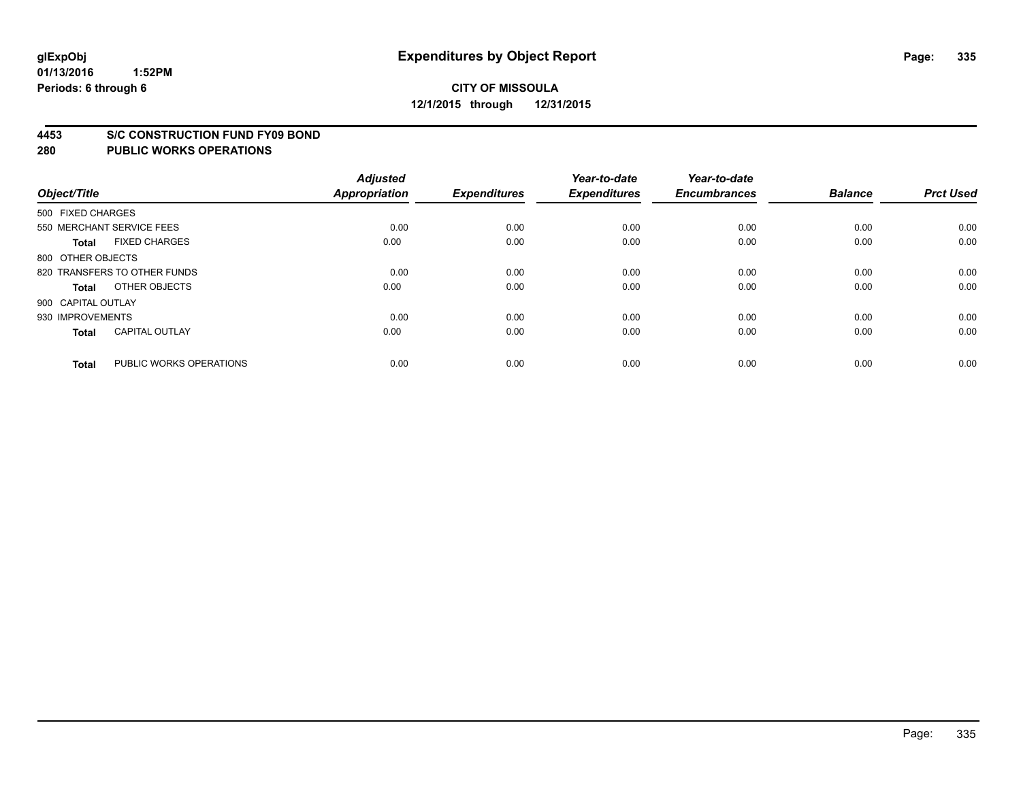#### **4453 S/C CONSTRUCTION FUND FY09 BOND**

| Object/Title       |                              | <b>Adjusted</b><br><b>Appropriation</b> | <b>Expenditures</b> | Year-to-date<br><b>Expenditures</b> | Year-to-date<br><b>Encumbrances</b> | <b>Balance</b> | <b>Prct Used</b> |
|--------------------|------------------------------|-----------------------------------------|---------------------|-------------------------------------|-------------------------------------|----------------|------------------|
| 500 FIXED CHARGES  |                              |                                         |                     |                                     |                                     |                |                  |
|                    | 550 MERCHANT SERVICE FEES    | 0.00                                    | 0.00                | 0.00                                | 0.00                                | 0.00           | 0.00             |
| <b>Total</b>       | <b>FIXED CHARGES</b>         | 0.00                                    | 0.00                | 0.00                                | 0.00                                | 0.00           | 0.00             |
| 800 OTHER OBJECTS  |                              |                                         |                     |                                     |                                     |                |                  |
|                    | 820 TRANSFERS TO OTHER FUNDS | 0.00                                    | 0.00                | 0.00                                | 0.00                                | 0.00           | 0.00             |
| <b>Total</b>       | OTHER OBJECTS                | 0.00                                    | 0.00                | 0.00                                | 0.00                                | 0.00           | 0.00             |
| 900 CAPITAL OUTLAY |                              |                                         |                     |                                     |                                     |                |                  |
| 930 IMPROVEMENTS   |                              | 0.00                                    | 0.00                | 0.00                                | 0.00                                | 0.00           | 0.00             |
| <b>Total</b>       | <b>CAPITAL OUTLAY</b>        | 0.00                                    | 0.00                | 0.00                                | 0.00                                | 0.00           | 0.00             |
| <b>Total</b>       | PUBLIC WORKS OPERATIONS      | 0.00                                    | 0.00                | 0.00                                | 0.00                                | 0.00           | 0.00             |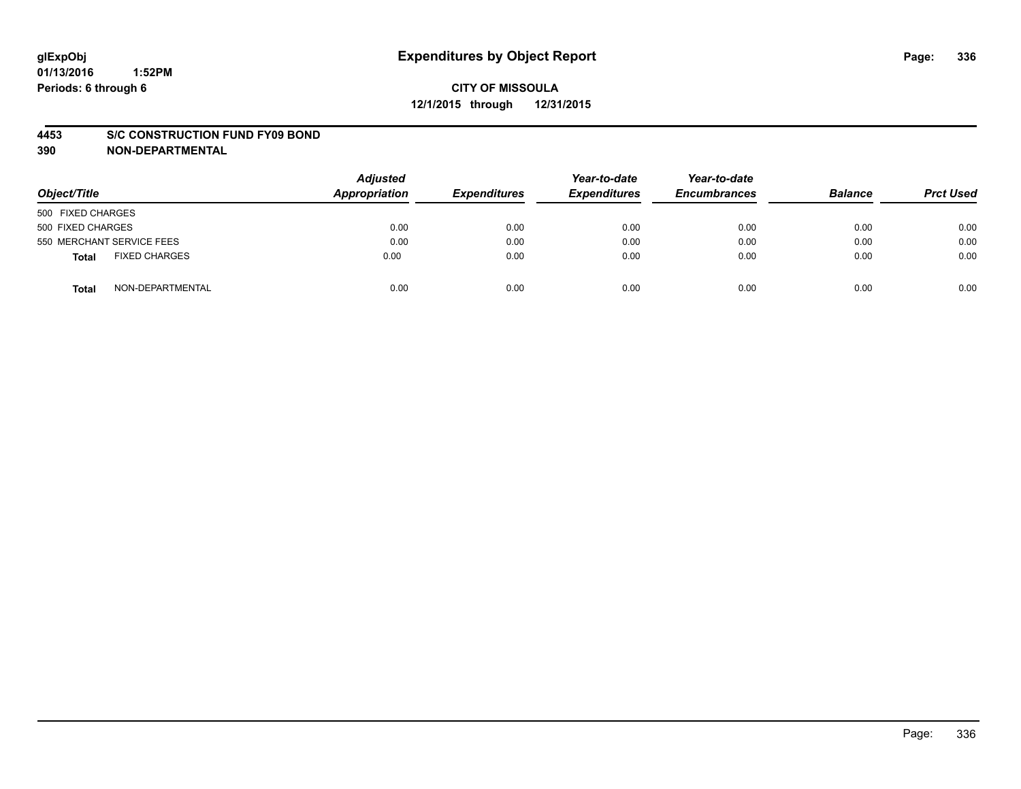### **4453 S/C CONSTRUCTION FUND FY09 BOND**

**390 NON-DEPARTMENTAL**

| Object/Title                  | <b>Adjusted</b><br>Appropriation | <b>Expenditures</b> | Year-to-date<br><b>Expenditures</b> | Year-to-date<br><b>Encumbrances</b> | <b>Balance</b> | <b>Prct Used</b> |
|-------------------------------|----------------------------------|---------------------|-------------------------------------|-------------------------------------|----------------|------------------|
| 500 FIXED CHARGES             |                                  |                     |                                     |                                     |                |                  |
| 500 FIXED CHARGES             | 0.00                             | 0.00                | 0.00                                | 0.00                                | 0.00           | 0.00             |
| 550 MERCHANT SERVICE FEES     | 0.00                             | 0.00                | 0.00                                | 0.00                                | 0.00           | 0.00             |
| <b>FIXED CHARGES</b><br>Total | 0.00                             | 0.00                | 0.00                                | 0.00                                | 0.00           | 0.00             |
| NON-DEPARTMENTAL<br>Total     | 0.00                             | 0.00                | 0.00                                | 0.00                                | 0.00           | 0.00             |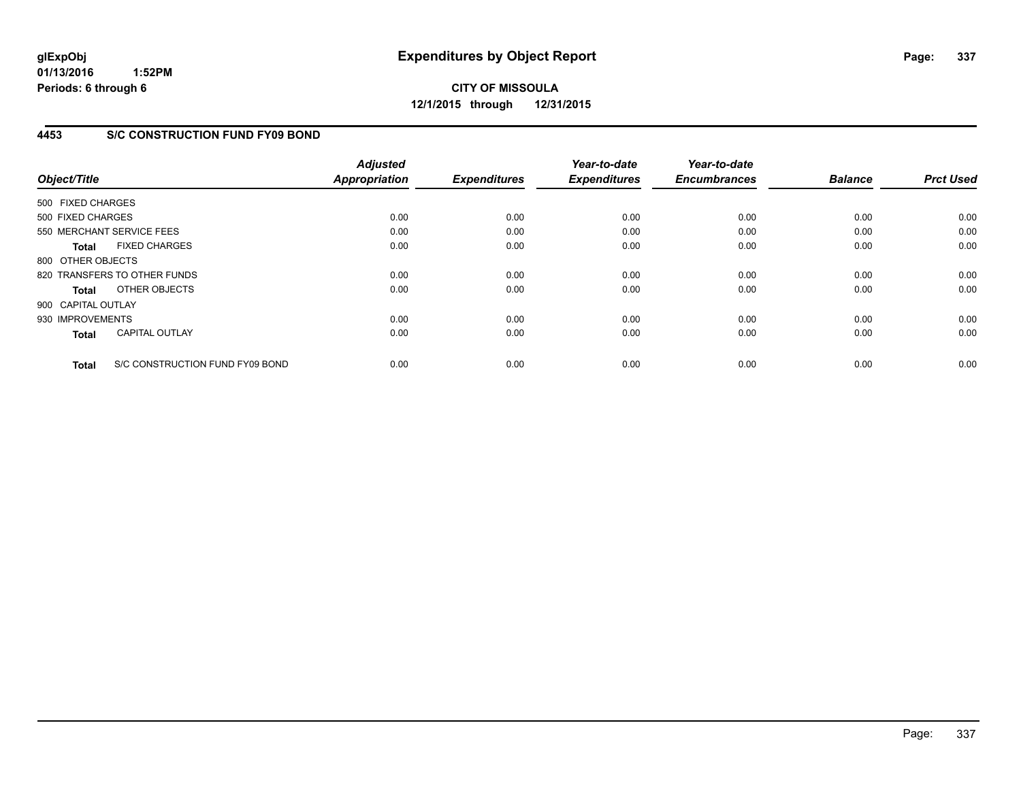**CITY OF MISSOULA 12/1/2015 through 12/31/2015**

## **4453 S/C CONSTRUCTION FUND FY09 BOND**

| Object/Title       |                                 | <b>Adjusted</b><br><b>Appropriation</b> | <b>Expenditures</b> | Year-to-date<br><b>Expenditures</b> | Year-to-date<br><b>Encumbrances</b> | <b>Balance</b> | <b>Prct Used</b> |
|--------------------|---------------------------------|-----------------------------------------|---------------------|-------------------------------------|-------------------------------------|----------------|------------------|
| 500 FIXED CHARGES  |                                 |                                         |                     |                                     |                                     |                |                  |
|                    |                                 |                                         |                     |                                     |                                     |                |                  |
| 500 FIXED CHARGES  |                                 | 0.00                                    | 0.00                | 0.00                                | 0.00                                | 0.00           | 0.00             |
|                    | 550 MERCHANT SERVICE FEES       | 0.00                                    | 0.00                | 0.00                                | 0.00                                | 0.00           | 0.00             |
| <b>Total</b>       | <b>FIXED CHARGES</b>            | 0.00                                    | 0.00                | 0.00                                | 0.00                                | 0.00           | 0.00             |
| 800 OTHER OBJECTS  |                                 |                                         |                     |                                     |                                     |                |                  |
|                    | 820 TRANSFERS TO OTHER FUNDS    | 0.00                                    | 0.00                | 0.00                                | 0.00                                | 0.00           | 0.00             |
| Total              | OTHER OBJECTS                   | 0.00                                    | 0.00                | 0.00                                | 0.00                                | 0.00           | 0.00             |
| 900 CAPITAL OUTLAY |                                 |                                         |                     |                                     |                                     |                |                  |
| 930 IMPROVEMENTS   |                                 | 0.00                                    | 0.00                | 0.00                                | 0.00                                | 0.00           | 0.00             |
| <b>Total</b>       | <b>CAPITAL OUTLAY</b>           | 0.00                                    | 0.00                | 0.00                                | 0.00                                | 0.00           | 0.00             |
|                    |                                 |                                         |                     |                                     |                                     |                |                  |
| <b>Total</b>       | S/C CONSTRUCTION FUND FY09 BOND | 0.00                                    | 0.00                | 0.00                                | 0.00                                | 0.00           | 0.00             |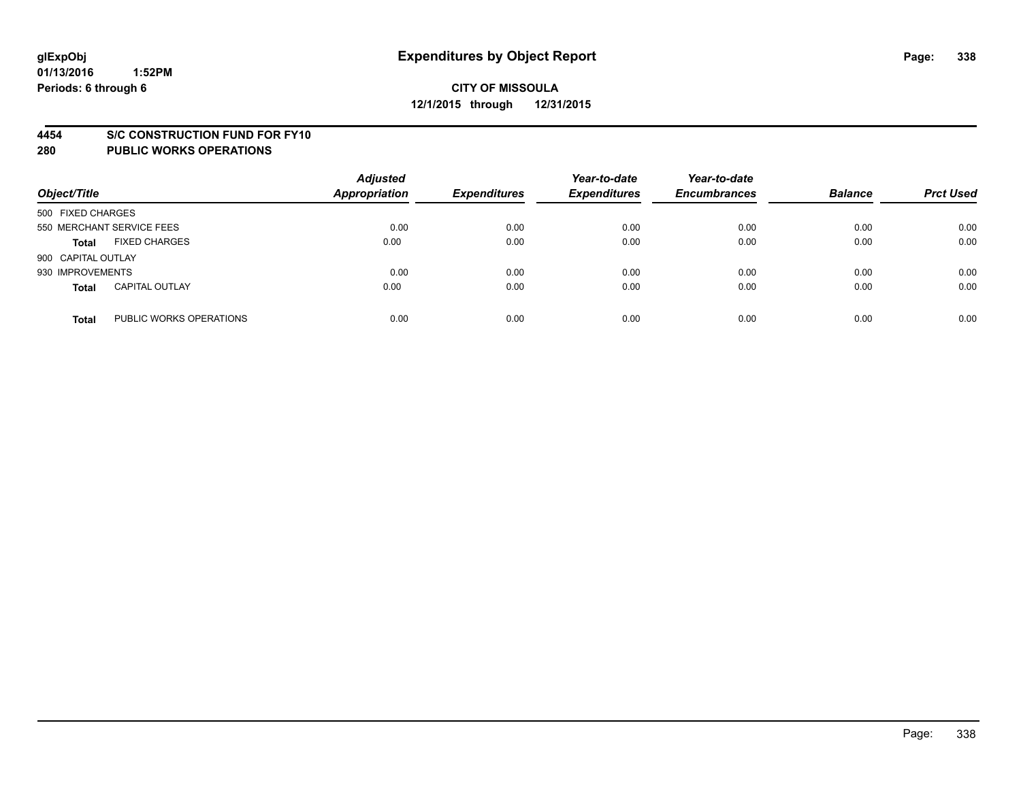### **4454 S/C CONSTRUCTION FUND FOR FY10**

| Object/Title       |                           | <b>Adjusted</b><br><b>Appropriation</b> | <b>Expenditures</b> | Year-to-date<br><b>Expenditures</b> | Year-to-date<br><b>Encumbrances</b> | <b>Balance</b> | <b>Prct Used</b> |
|--------------------|---------------------------|-----------------------------------------|---------------------|-------------------------------------|-------------------------------------|----------------|------------------|
| 500 FIXED CHARGES  |                           |                                         |                     |                                     |                                     |                |                  |
|                    | 550 MERCHANT SERVICE FEES | 0.00                                    | 0.00                | 0.00                                | 0.00                                | 0.00           | 0.00             |
| <b>Total</b>       | <b>FIXED CHARGES</b>      | 0.00                                    | 0.00                | 0.00                                | 0.00                                | 0.00           | 0.00             |
| 900 CAPITAL OUTLAY |                           |                                         |                     |                                     |                                     |                |                  |
| 930 IMPROVEMENTS   |                           | 0.00                                    | 0.00                | 0.00                                | 0.00                                | 0.00           | 0.00             |
| <b>Total</b>       | <b>CAPITAL OUTLAY</b>     | 0.00                                    | 0.00                | 0.00                                | 0.00                                | 0.00           | 0.00             |
| <b>Total</b>       | PUBLIC WORKS OPERATIONS   | 0.00                                    | 0.00                | 0.00                                | 0.00                                | 0.00           | 0.00             |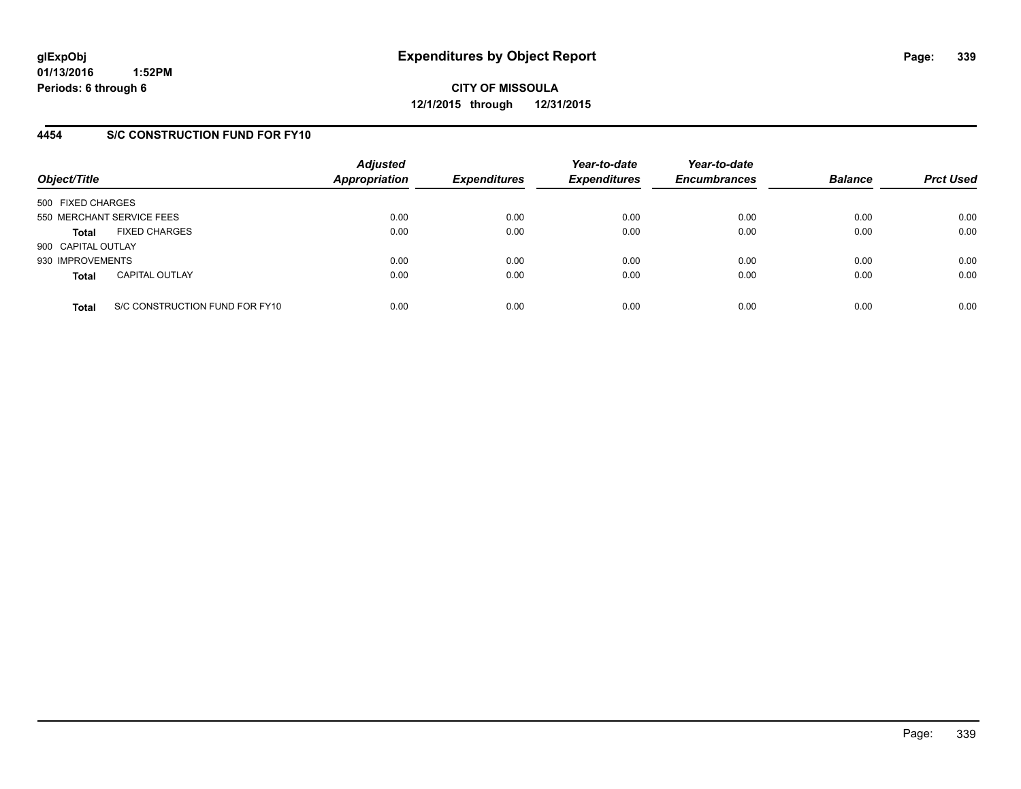## **4454 S/C CONSTRUCTION FUND FOR FY10**

| Object/Title       |                                | <b>Adjusted</b><br><b>Appropriation</b> | <b>Expenditures</b> | Year-to-date<br><b>Expenditures</b> | Year-to-date<br><b>Encumbrances</b> | <b>Balance</b> | <b>Prct Used</b> |
|--------------------|--------------------------------|-----------------------------------------|---------------------|-------------------------------------|-------------------------------------|----------------|------------------|
| 500 FIXED CHARGES  |                                |                                         |                     |                                     |                                     |                |                  |
|                    | 550 MERCHANT SERVICE FEES      | 0.00                                    | 0.00                | 0.00                                | 0.00                                | 0.00           | 0.00             |
| <b>Total</b>       | <b>FIXED CHARGES</b>           | 0.00                                    | 0.00                | 0.00                                | 0.00                                | 0.00           | 0.00             |
| 900 CAPITAL OUTLAY |                                |                                         |                     |                                     |                                     |                |                  |
| 930 IMPROVEMENTS   |                                | 0.00                                    | 0.00                | 0.00                                | 0.00                                | 0.00           | 0.00             |
| <b>Total</b>       | <b>CAPITAL OUTLAY</b>          | 0.00                                    | 0.00                | 0.00                                | 0.00                                | 0.00           | 0.00             |
| <b>Total</b>       | S/C CONSTRUCTION FUND FOR FY10 | 0.00                                    | 0.00                | 0.00                                | 0.00                                | 0.00           | 0.00             |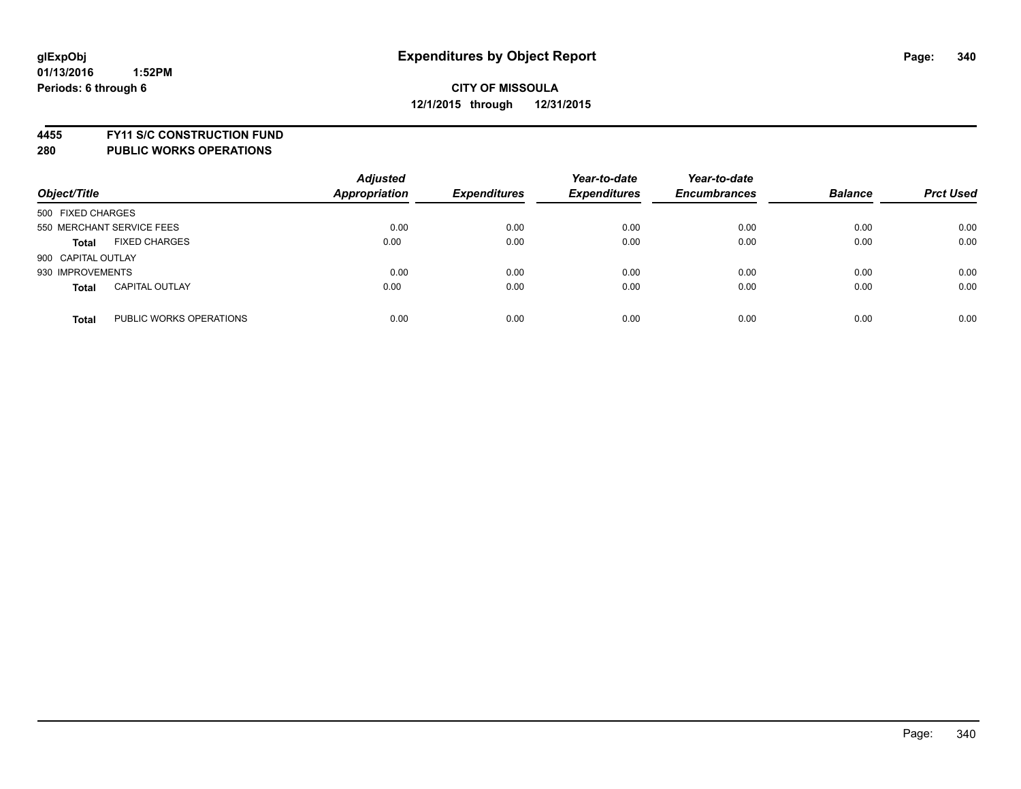**4455 FY11 S/C CONSTRUCTION FUND**

| Object/Title                            | <b>Adjusted</b><br><b>Appropriation</b> | <b>Expenditures</b> | Year-to-date<br><b>Expenditures</b> | Year-to-date<br><b>Encumbrances</b> | <b>Balance</b> | <b>Prct Used</b> |
|-----------------------------------------|-----------------------------------------|---------------------|-------------------------------------|-------------------------------------|----------------|------------------|
| 500 FIXED CHARGES                       |                                         |                     |                                     |                                     |                |                  |
| 550 MERCHANT SERVICE FEES               | 0.00                                    | 0.00                | 0.00                                | 0.00                                | 0.00           | 0.00             |
| <b>FIXED CHARGES</b><br><b>Total</b>    | 0.00                                    | 0.00                | 0.00                                | 0.00                                | 0.00           | 0.00             |
| 900 CAPITAL OUTLAY                      |                                         |                     |                                     |                                     |                |                  |
| 930 IMPROVEMENTS                        | 0.00                                    | 0.00                | 0.00                                | 0.00                                | 0.00           | 0.00             |
| <b>CAPITAL OUTLAY</b><br><b>Total</b>   | 0.00                                    | 0.00                | 0.00                                | 0.00                                | 0.00           | 0.00             |
| PUBLIC WORKS OPERATIONS<br><b>Total</b> | 0.00                                    | 0.00                | 0.00                                | 0.00                                | 0.00           | 0.00             |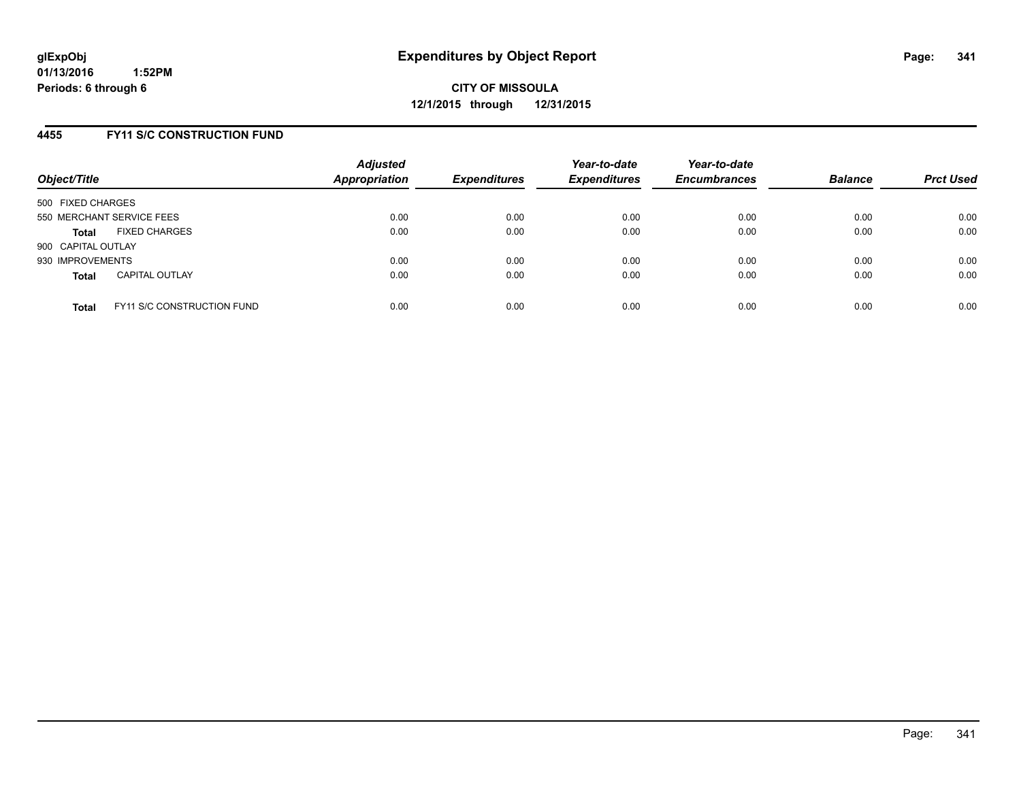## **4455 FY11 S/C CONSTRUCTION FUND**

| Object/Title       |                                   | <b>Adjusted</b><br><b>Appropriation</b> | <b>Expenditures</b> | Year-to-date<br><b>Expenditures</b> | Year-to-date<br><b>Encumbrances</b> | <b>Balance</b> | <b>Prct Used</b> |
|--------------------|-----------------------------------|-----------------------------------------|---------------------|-------------------------------------|-------------------------------------|----------------|------------------|
| 500 FIXED CHARGES  |                                   |                                         |                     |                                     |                                     |                |                  |
|                    | 550 MERCHANT SERVICE FEES         | 0.00                                    | 0.00                | 0.00                                | 0.00                                | 0.00           | 0.00             |
| <b>Total</b>       | <b>FIXED CHARGES</b>              | 0.00                                    | 0.00                | 0.00                                | 0.00                                | 0.00           | 0.00             |
| 900 CAPITAL OUTLAY |                                   |                                         |                     |                                     |                                     |                |                  |
| 930 IMPROVEMENTS   |                                   | 0.00                                    | 0.00                | 0.00                                | 0.00                                | 0.00           | 0.00             |
| <b>Total</b>       | <b>CAPITAL OUTLAY</b>             | 0.00                                    | 0.00                | 0.00                                | 0.00                                | 0.00           | 0.00             |
| <b>Total</b>       | <b>FY11 S/C CONSTRUCTION FUND</b> | 0.00                                    | 0.00                | 0.00                                | 0.00                                | 0.00           | 0.00             |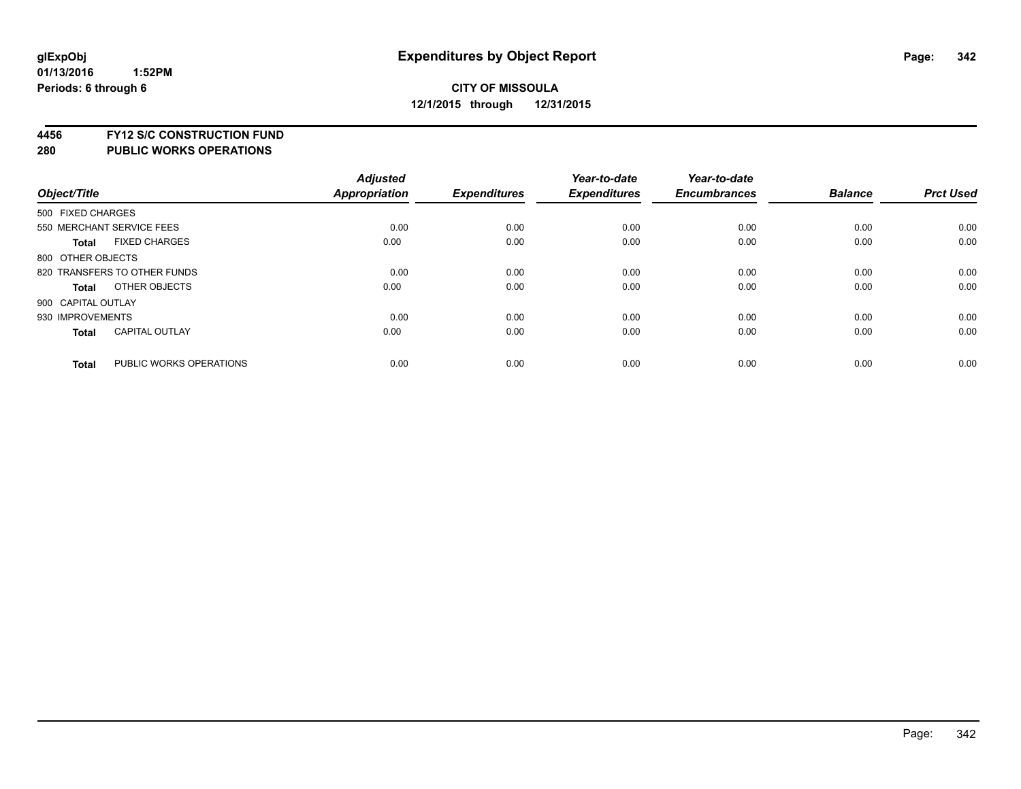**4456 FY12 S/C CONSTRUCTION FUND**

|                    |                              | <b>Adjusted</b> |                     | Year-to-date        | Year-to-date        |                |                  |
|--------------------|------------------------------|-----------------|---------------------|---------------------|---------------------|----------------|------------------|
| Object/Title       |                              | Appropriation   | <b>Expenditures</b> | <b>Expenditures</b> | <b>Encumbrances</b> | <b>Balance</b> | <b>Prct Used</b> |
| 500 FIXED CHARGES  |                              |                 |                     |                     |                     |                |                  |
|                    | 550 MERCHANT SERVICE FEES    | 0.00            | 0.00                | 0.00                | 0.00                | 0.00           | 0.00             |
| <b>Total</b>       | <b>FIXED CHARGES</b>         | 0.00            | 0.00                | 0.00                | 0.00                | 0.00           | 0.00             |
| 800 OTHER OBJECTS  |                              |                 |                     |                     |                     |                |                  |
|                    | 820 TRANSFERS TO OTHER FUNDS | 0.00            | 0.00                | 0.00                | 0.00                | 0.00           | 0.00             |
| <b>Total</b>       | OTHER OBJECTS                | 0.00            | 0.00                | 0.00                | 0.00                | 0.00           | 0.00             |
| 900 CAPITAL OUTLAY |                              |                 |                     |                     |                     |                |                  |
| 930 IMPROVEMENTS   |                              | 0.00            | 0.00                | 0.00                | 0.00                | 0.00           | 0.00             |
| Total              | <b>CAPITAL OUTLAY</b>        | 0.00            | 0.00                | 0.00                | 0.00                | 0.00           | 0.00             |
| <b>Total</b>       | PUBLIC WORKS OPERATIONS      | 0.00            | 0.00                | 0.00                | 0.00                | 0.00           | 0.00             |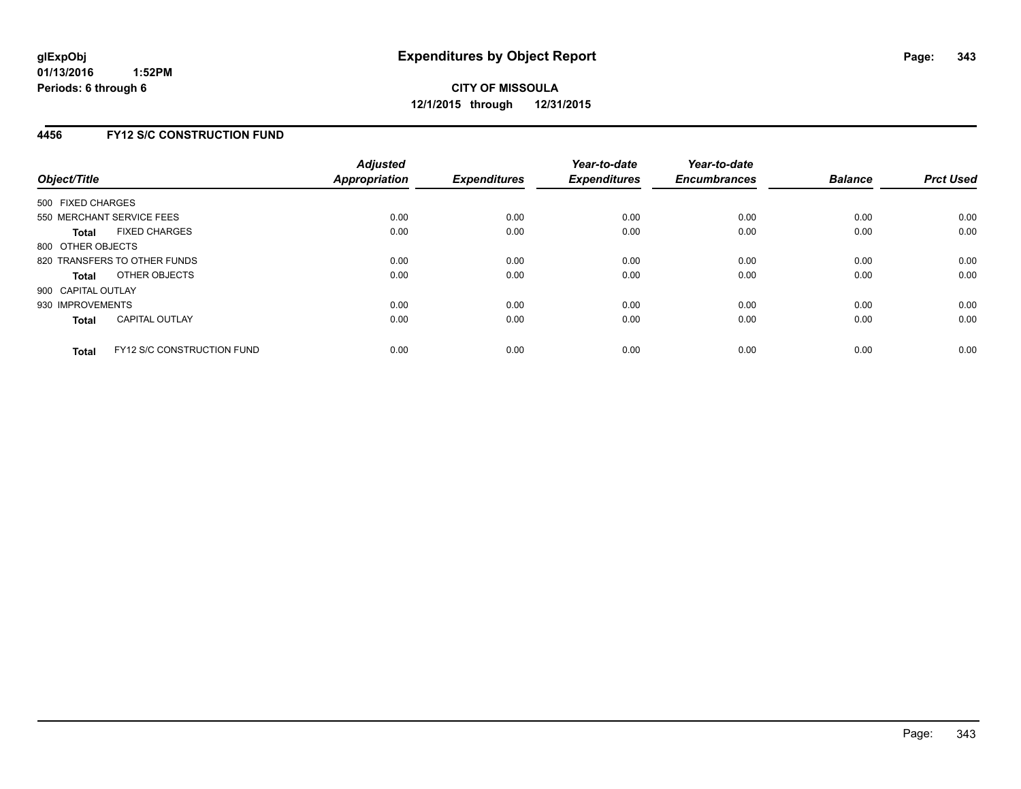## **4456 FY12 S/C CONSTRUCTION FUND**

| Object/Title       |                                   | <b>Adjusted</b><br><b>Appropriation</b> | <b>Expenditures</b> | Year-to-date<br><b>Expenditures</b> | Year-to-date<br><b>Encumbrances</b> | <b>Balance</b> | <b>Prct Used</b> |
|--------------------|-----------------------------------|-----------------------------------------|---------------------|-------------------------------------|-------------------------------------|----------------|------------------|
| 500 FIXED CHARGES  |                                   |                                         |                     |                                     |                                     |                |                  |
|                    | 550 MERCHANT SERVICE FEES         | 0.00                                    | 0.00                | 0.00                                | 0.00                                | 0.00           | 0.00             |
| <b>Total</b>       | <b>FIXED CHARGES</b>              | 0.00                                    | 0.00                | 0.00                                | 0.00                                | 0.00           | 0.00             |
| 800 OTHER OBJECTS  |                                   |                                         |                     |                                     |                                     |                |                  |
|                    | 820 TRANSFERS TO OTHER FUNDS      | 0.00                                    | 0.00                | 0.00                                | 0.00                                | 0.00           | 0.00             |
| <b>Total</b>       | OTHER OBJECTS                     | 0.00                                    | 0.00                | 0.00                                | 0.00                                | 0.00           | 0.00             |
| 900 CAPITAL OUTLAY |                                   |                                         |                     |                                     |                                     |                |                  |
| 930 IMPROVEMENTS   |                                   | 0.00                                    | 0.00                | 0.00                                | 0.00                                | 0.00           | 0.00             |
| Total              | <b>CAPITAL OUTLAY</b>             | 0.00                                    | 0.00                | 0.00                                | 0.00                                | 0.00           | 0.00             |
| <b>Total</b>       | <b>FY12 S/C CONSTRUCTION FUND</b> | 0.00                                    | 0.00                | 0.00                                | 0.00                                | 0.00           | 0.00             |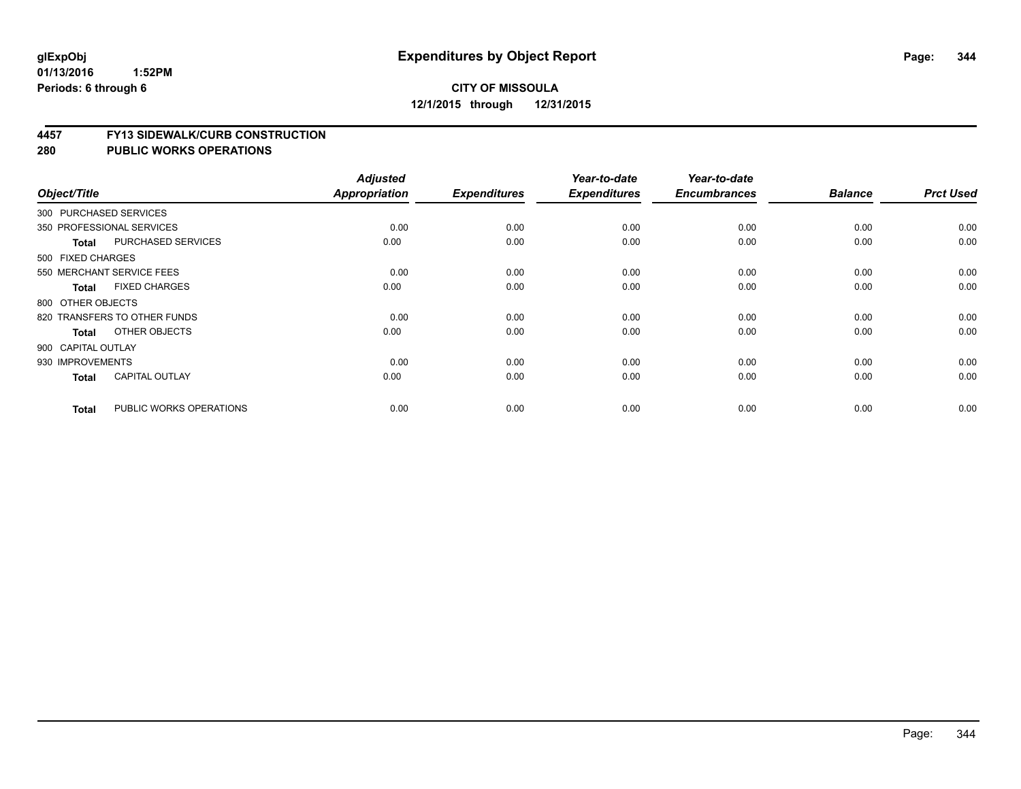#### **4457 FY13 SIDEWALK/CURB CONSTRUCTION**

| Object/Title       |                              | <b>Adjusted</b><br>Appropriation | <b>Expenditures</b> | Year-to-date<br><b>Expenditures</b> | Year-to-date<br><b>Encumbrances</b> | <b>Balance</b> | <b>Prct Used</b> |
|--------------------|------------------------------|----------------------------------|---------------------|-------------------------------------|-------------------------------------|----------------|------------------|
|                    |                              |                                  |                     |                                     |                                     |                |                  |
|                    | 300 PURCHASED SERVICES       |                                  |                     |                                     |                                     |                |                  |
|                    | 350 PROFESSIONAL SERVICES    | 0.00                             | 0.00                | 0.00                                | 0.00                                | 0.00           | 0.00             |
| <b>Total</b>       | PURCHASED SERVICES           | 0.00                             | 0.00                | 0.00                                | 0.00                                | 0.00           | 0.00             |
| 500 FIXED CHARGES  |                              |                                  |                     |                                     |                                     |                |                  |
|                    | 550 MERCHANT SERVICE FEES    | 0.00                             | 0.00                | 0.00                                | 0.00                                | 0.00           | 0.00             |
| <b>Total</b>       | <b>FIXED CHARGES</b>         | 0.00                             | 0.00                | 0.00                                | 0.00                                | 0.00           | 0.00             |
| 800 OTHER OBJECTS  |                              |                                  |                     |                                     |                                     |                |                  |
|                    | 820 TRANSFERS TO OTHER FUNDS | 0.00                             | 0.00                | 0.00                                | 0.00                                | 0.00           | 0.00             |
| <b>Total</b>       | OTHER OBJECTS                | 0.00                             | 0.00                | 0.00                                | 0.00                                | 0.00           | 0.00             |
| 900 CAPITAL OUTLAY |                              |                                  |                     |                                     |                                     |                |                  |
| 930 IMPROVEMENTS   |                              | 0.00                             | 0.00                | 0.00                                | 0.00                                | 0.00           | 0.00             |
| <b>Total</b>       | <b>CAPITAL OUTLAY</b>        | 0.00                             | 0.00                | 0.00                                | 0.00                                | 0.00           | 0.00             |
| <b>Total</b>       | PUBLIC WORKS OPERATIONS      | 0.00                             | 0.00                | 0.00                                | 0.00                                | 0.00           | 0.00             |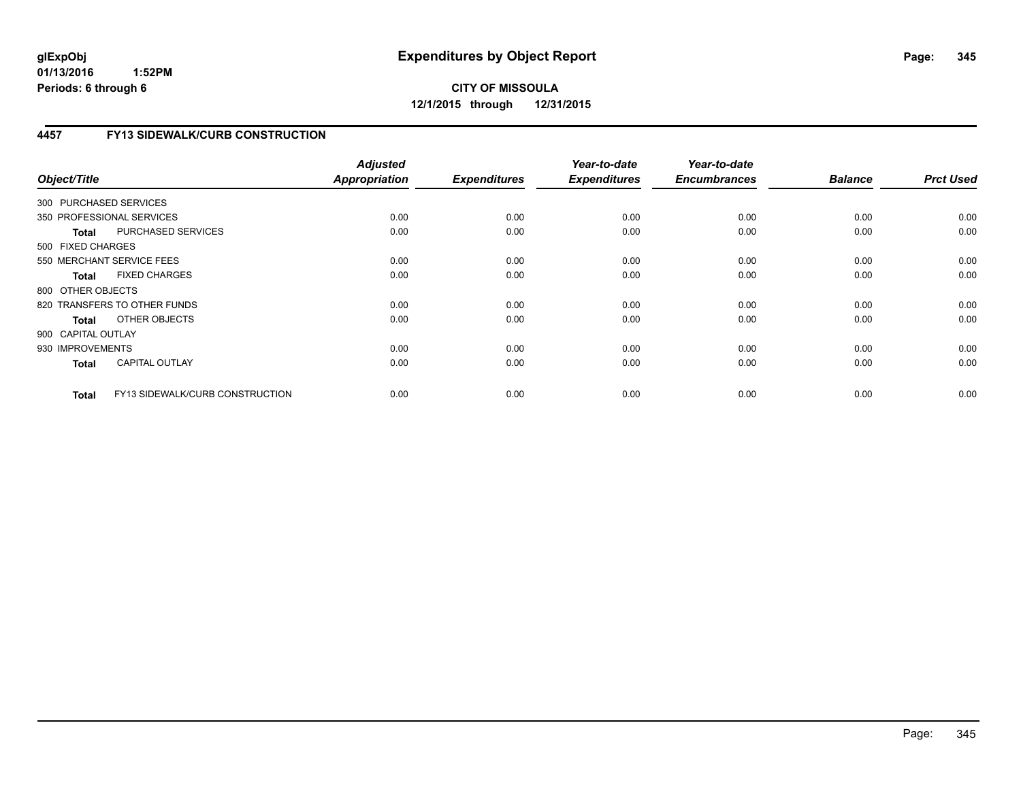# **CITY OF MISSOULA 12/1/2015 through 12/31/2015**

# **4457 FY13 SIDEWALK/CURB CONSTRUCTION**

| Object/Title              |                                 | <b>Adjusted</b><br><b>Appropriation</b> | <b>Expenditures</b> | Year-to-date<br><b>Expenditures</b> | Year-to-date<br><b>Encumbrances</b> | <b>Balance</b> | <b>Prct Used</b> |
|---------------------------|---------------------------------|-----------------------------------------|---------------------|-------------------------------------|-------------------------------------|----------------|------------------|
| 300 PURCHASED SERVICES    |                                 |                                         |                     |                                     |                                     |                |                  |
| 350 PROFESSIONAL SERVICES |                                 | 0.00                                    | 0.00                | 0.00                                | 0.00                                | 0.00           | 0.00             |
| <b>Total</b>              | PURCHASED SERVICES              | 0.00                                    | 0.00                | 0.00                                | 0.00                                | 0.00           | 0.00             |
| 500 FIXED CHARGES         |                                 |                                         |                     |                                     |                                     |                |                  |
| 550 MERCHANT SERVICE FEES |                                 | 0.00                                    | 0.00                | 0.00                                | 0.00                                | 0.00           | 0.00             |
| <b>Total</b>              | <b>FIXED CHARGES</b>            | 0.00                                    | 0.00                | 0.00                                | 0.00                                | 0.00           | 0.00             |
| 800 OTHER OBJECTS         |                                 |                                         |                     |                                     |                                     |                |                  |
|                           | 820 TRANSFERS TO OTHER FUNDS    | 0.00                                    | 0.00                | 0.00                                | 0.00                                | 0.00           | 0.00             |
| Total                     | OTHER OBJECTS                   | 0.00                                    | 0.00                | 0.00                                | 0.00                                | 0.00           | 0.00             |
| 900 CAPITAL OUTLAY        |                                 |                                         |                     |                                     |                                     |                |                  |
| 930 IMPROVEMENTS          |                                 | 0.00                                    | 0.00                | 0.00                                | 0.00                                | 0.00           | 0.00             |
| <b>Total</b>              | <b>CAPITAL OUTLAY</b>           | 0.00                                    | 0.00                | 0.00                                | 0.00                                | 0.00           | 0.00             |
| <b>Total</b>              | FY13 SIDEWALK/CURB CONSTRUCTION | 0.00                                    | 0.00                | 0.00                                | 0.00                                | 0.00           | 0.00             |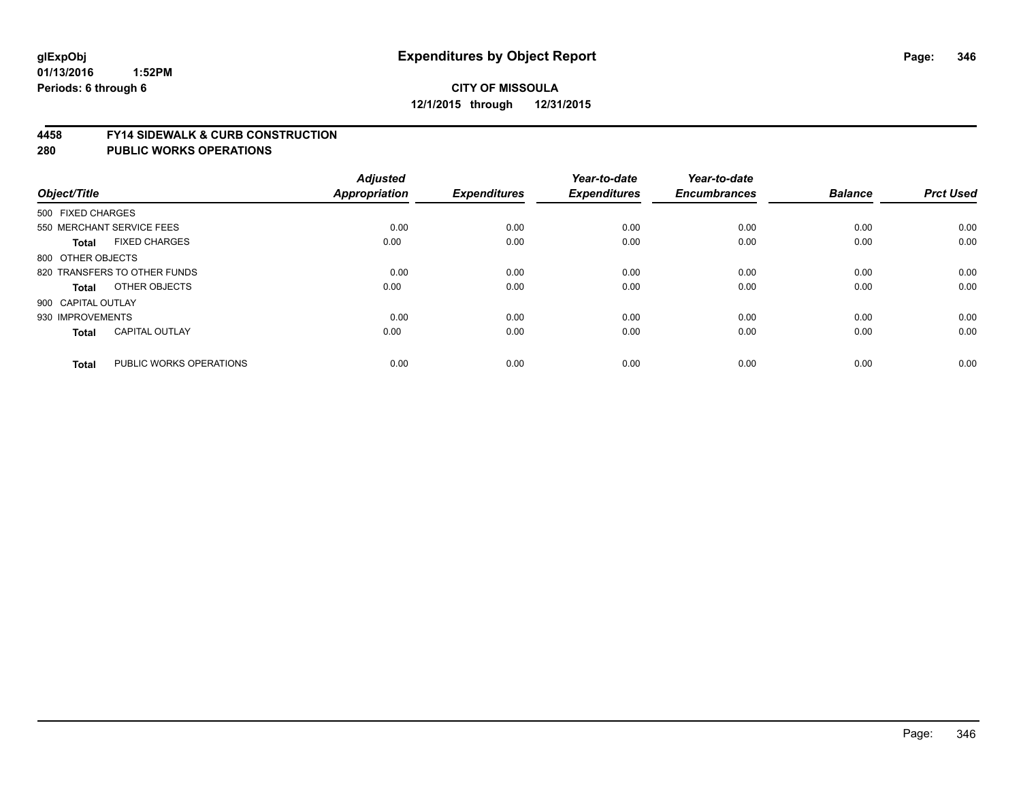#### **4458 FY14 SIDEWALK & CURB CONSTRUCTION**

| Object/Title       |                              | <b>Adjusted</b><br><b>Appropriation</b> | <b>Expenditures</b> | Year-to-date<br><b>Expenditures</b> | Year-to-date<br><b>Encumbrances</b> | <b>Balance</b> | <b>Prct Used</b> |
|--------------------|------------------------------|-----------------------------------------|---------------------|-------------------------------------|-------------------------------------|----------------|------------------|
| 500 FIXED CHARGES  |                              |                                         |                     |                                     |                                     |                |                  |
|                    | 550 MERCHANT SERVICE FEES    | 0.00                                    | 0.00                | 0.00                                | 0.00                                | 0.00           | 0.00             |
| <b>Total</b>       | <b>FIXED CHARGES</b>         | 0.00                                    | 0.00                | 0.00                                | 0.00                                | 0.00           | 0.00             |
| 800 OTHER OBJECTS  |                              |                                         |                     |                                     |                                     |                |                  |
|                    | 820 TRANSFERS TO OTHER FUNDS | 0.00                                    | 0.00                | 0.00                                | 0.00                                | 0.00           | 0.00             |
| Total              | OTHER OBJECTS                | 0.00                                    | 0.00                | 0.00                                | 0.00                                | 0.00           | 0.00             |
| 900 CAPITAL OUTLAY |                              |                                         |                     |                                     |                                     |                |                  |
| 930 IMPROVEMENTS   |                              | 0.00                                    | 0.00                | 0.00                                | 0.00                                | 0.00           | 0.00             |
| <b>Total</b>       | <b>CAPITAL OUTLAY</b>        | 0.00                                    | 0.00                | 0.00                                | 0.00                                | 0.00           | 0.00             |
| <b>Total</b>       | PUBLIC WORKS OPERATIONS      | 0.00                                    | 0.00                | 0.00                                | 0.00                                | 0.00           | 0.00             |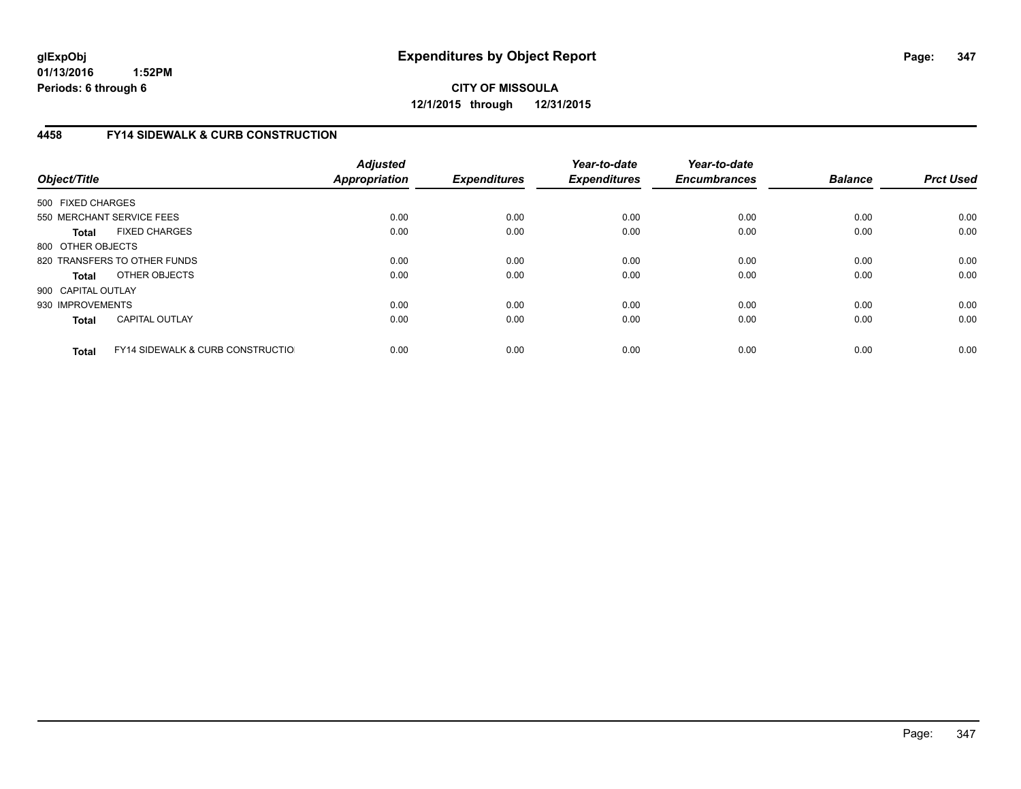**CITY OF MISSOULA 12/1/2015 through 12/31/2015**

## **4458 FY14 SIDEWALK & CURB CONSTRUCTION**

| Object/Title       |                                              | <b>Adjusted</b><br>Appropriation | <b>Expenditures</b> | Year-to-date<br><b>Expenditures</b> | Year-to-date<br><b>Encumbrances</b> | <b>Balance</b> | <b>Prct Used</b> |
|--------------------|----------------------------------------------|----------------------------------|---------------------|-------------------------------------|-------------------------------------|----------------|------------------|
| 500 FIXED CHARGES  |                                              |                                  |                     |                                     |                                     |                |                  |
|                    | 550 MERCHANT SERVICE FEES                    | 0.00                             | 0.00                | 0.00                                | 0.00                                | 0.00           | 0.00             |
| <b>Total</b>       | <b>FIXED CHARGES</b>                         | 0.00                             | 0.00                | 0.00                                | 0.00                                | 0.00           | 0.00             |
| 800 OTHER OBJECTS  |                                              |                                  |                     |                                     |                                     |                |                  |
|                    | 820 TRANSFERS TO OTHER FUNDS                 | 0.00                             | 0.00                | 0.00                                | 0.00                                | 0.00           | 0.00             |
| <b>Total</b>       | OTHER OBJECTS                                | 0.00                             | 0.00                | 0.00                                | 0.00                                | 0.00           | 0.00             |
| 900 CAPITAL OUTLAY |                                              |                                  |                     |                                     |                                     |                |                  |
| 930 IMPROVEMENTS   |                                              | 0.00                             | 0.00                | 0.00                                | 0.00                                | 0.00           | 0.00             |
| <b>Total</b>       | <b>CAPITAL OUTLAY</b>                        | 0.00                             | 0.00                | 0.00                                | 0.00                                | 0.00           | 0.00             |
| <b>Total</b>       | <b>FY14 SIDEWALK &amp; CURB CONSTRUCTIOL</b> | 0.00                             | 0.00                | 0.00                                | 0.00                                | 0.00           | 0.00             |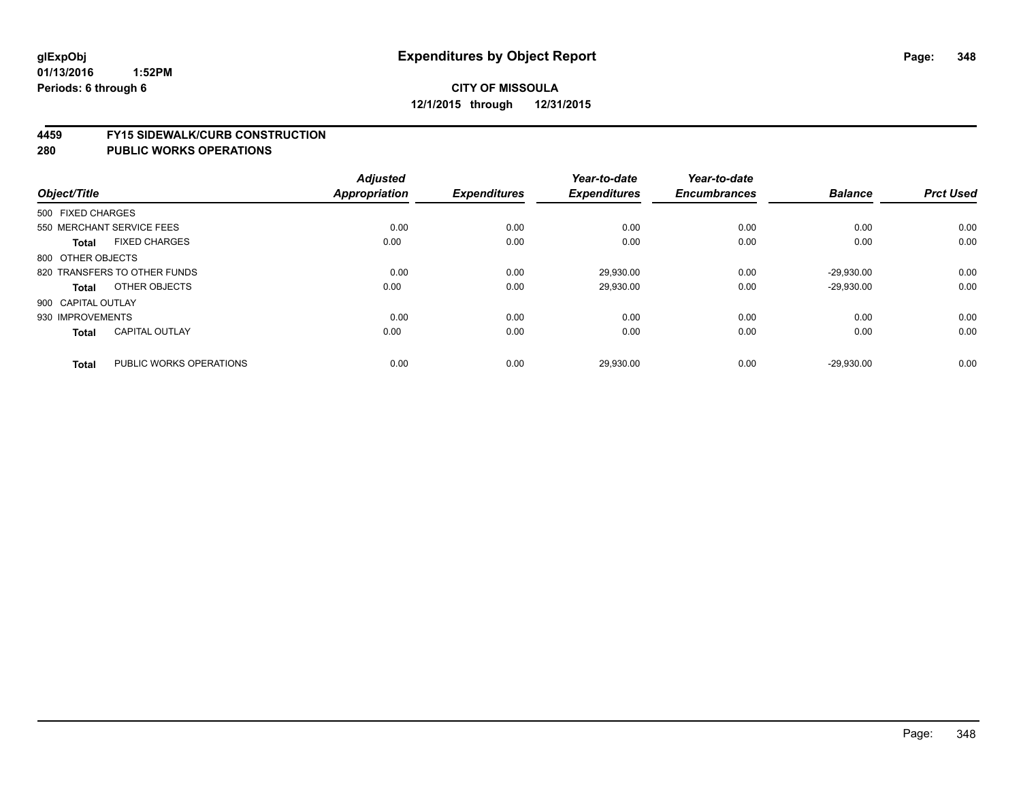#### **4459 FY15 SIDEWALK/CURB CONSTRUCTION**

|                    |                              | <b>Adjusted</b>      |                     | Year-to-date        | Year-to-date        |                |                  |
|--------------------|------------------------------|----------------------|---------------------|---------------------|---------------------|----------------|------------------|
| Object/Title       |                              | <b>Appropriation</b> | <b>Expenditures</b> | <b>Expenditures</b> | <b>Encumbrances</b> | <b>Balance</b> | <b>Prct Used</b> |
| 500 FIXED CHARGES  |                              |                      |                     |                     |                     |                |                  |
|                    | 550 MERCHANT SERVICE FEES    | 0.00                 | 0.00                | 0.00                | 0.00                | 0.00           | 0.00             |
| <b>Total</b>       | <b>FIXED CHARGES</b>         | 0.00                 | 0.00                | 0.00                | 0.00                | 0.00           | 0.00             |
| 800 OTHER OBJECTS  |                              |                      |                     |                     |                     |                |                  |
|                    | 820 TRANSFERS TO OTHER FUNDS | 0.00                 | 0.00                | 29,930.00           | 0.00                | $-29,930.00$   | 0.00             |
| Total              | OTHER OBJECTS                | 0.00                 | 0.00                | 29,930.00           | 0.00                | $-29,930.00$   | 0.00             |
| 900 CAPITAL OUTLAY |                              |                      |                     |                     |                     |                |                  |
| 930 IMPROVEMENTS   |                              | 0.00                 | 0.00                | 0.00                | 0.00                | 0.00           | 0.00             |
| <b>Total</b>       | <b>CAPITAL OUTLAY</b>        | 0.00                 | 0.00                | 0.00                | 0.00                | 0.00           | 0.00             |
| <b>Total</b>       | PUBLIC WORKS OPERATIONS      | 0.00                 | 0.00                | 29,930.00           | 0.00                | $-29,930.00$   | 0.00             |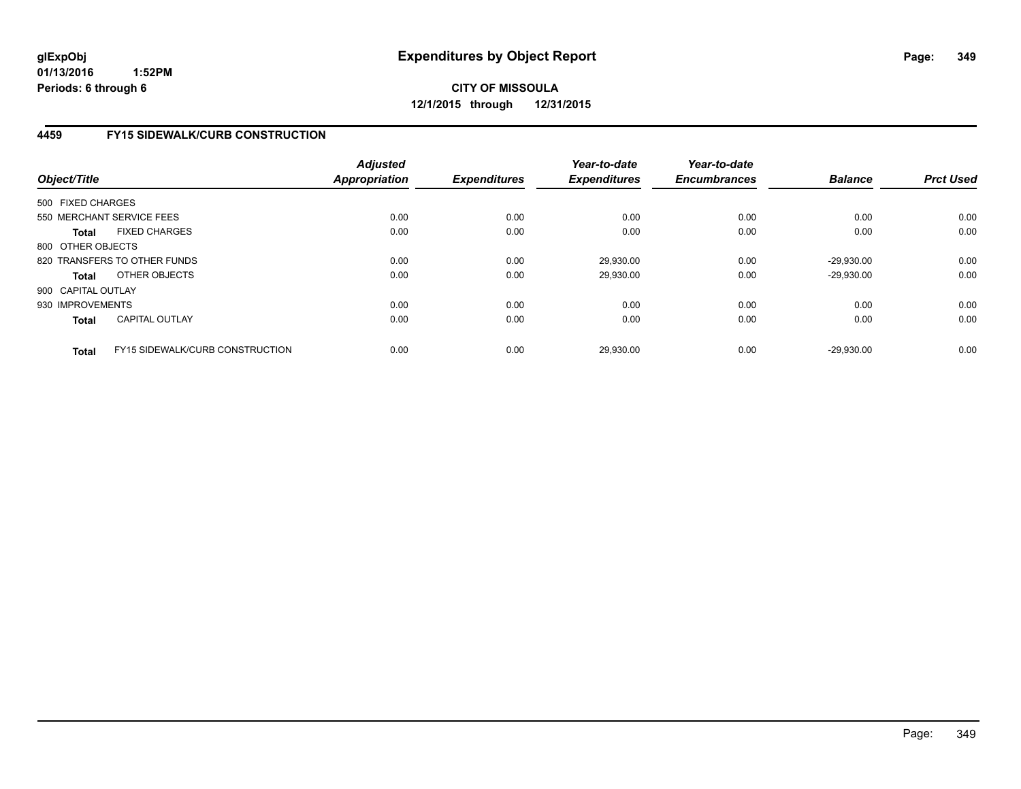## **4459 FY15 SIDEWALK/CURB CONSTRUCTION**

| Object/Title       |                                        | <b>Adjusted</b><br><b>Appropriation</b> | <b>Expenditures</b> | Year-to-date<br><b>Expenditures</b> | Year-to-date<br><b>Encumbrances</b> | <b>Balance</b> | <b>Prct Used</b> |
|--------------------|----------------------------------------|-----------------------------------------|---------------------|-------------------------------------|-------------------------------------|----------------|------------------|
| 500 FIXED CHARGES  |                                        |                                         |                     |                                     |                                     |                |                  |
|                    | 550 MERCHANT SERVICE FEES              | 0.00                                    | 0.00                | 0.00                                | 0.00                                | 0.00           | 0.00             |
| <b>Total</b>       | <b>FIXED CHARGES</b>                   | 0.00                                    | 0.00                | 0.00                                | 0.00                                | 0.00           | 0.00             |
| 800 OTHER OBJECTS  |                                        |                                         |                     |                                     |                                     |                |                  |
|                    | 820 TRANSFERS TO OTHER FUNDS           | 0.00                                    | 0.00                | 29,930.00                           | 0.00                                | $-29,930.00$   | 0.00             |
| <b>Total</b>       | OTHER OBJECTS                          | 0.00                                    | 0.00                | 29,930.00                           | 0.00                                | $-29.930.00$   | 0.00             |
| 900 CAPITAL OUTLAY |                                        |                                         |                     |                                     |                                     |                |                  |
| 930 IMPROVEMENTS   |                                        | 0.00                                    | 0.00                | 0.00                                | 0.00                                | 0.00           | 0.00             |
| <b>Total</b>       | <b>CAPITAL OUTLAY</b>                  | 0.00                                    | 0.00                | 0.00                                | 0.00                                | 0.00           | 0.00             |
| <b>Total</b>       | <b>FY15 SIDEWALK/CURB CONSTRUCTION</b> | 0.00                                    | 0.00                | 29,930.00                           | 0.00                                | $-29.930.00$   | 0.00             |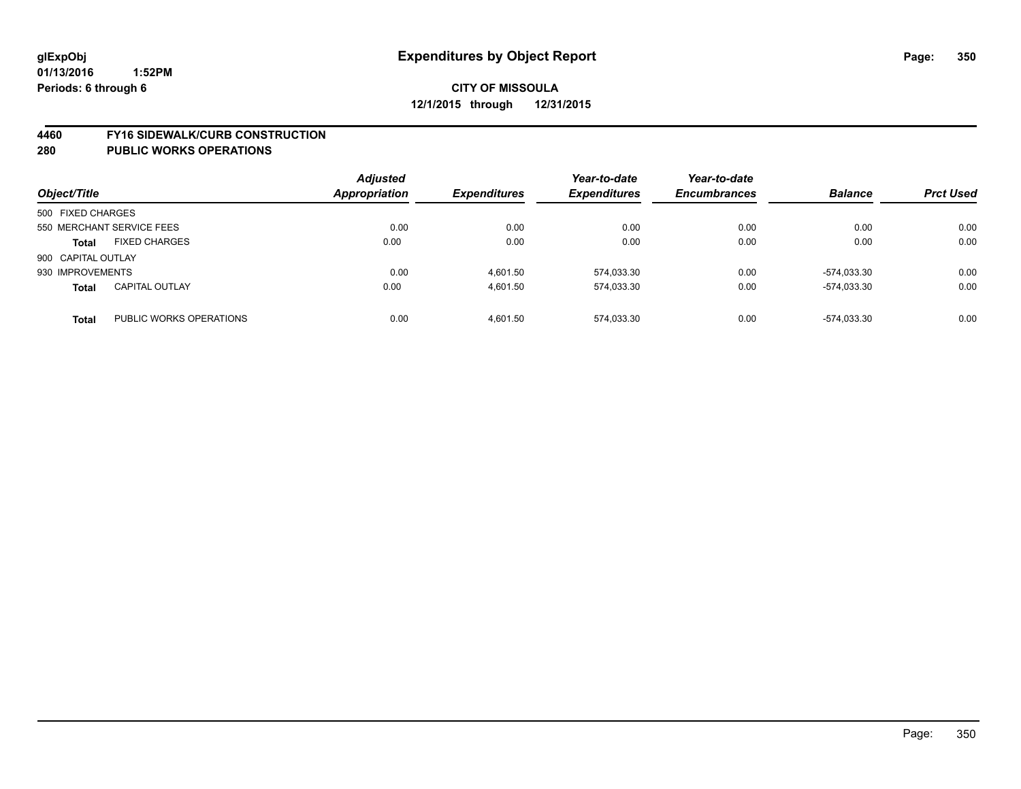#### **4460 FY16 SIDEWALK/CURB CONSTRUCTION**

| Object/Title              |                         | <b>Adjusted</b><br>Appropriation | <b>Expenditures</b> | Year-to-date<br><b>Expenditures</b> | Year-to-date<br><b>Encumbrances</b> | <b>Balance</b> | <b>Prct Used</b> |
|---------------------------|-------------------------|----------------------------------|---------------------|-------------------------------------|-------------------------------------|----------------|------------------|
| 500 FIXED CHARGES         |                         |                                  |                     |                                     |                                     |                |                  |
| 550 MERCHANT SERVICE FEES |                         | 0.00                             | 0.00                | 0.00                                | 0.00                                | 0.00           | 0.00             |
| <b>Total</b>              | <b>FIXED CHARGES</b>    | 0.00                             | 0.00                | 0.00                                | 0.00                                | 0.00           | 0.00             |
| 900 CAPITAL OUTLAY        |                         |                                  |                     |                                     |                                     |                |                  |
| 930 IMPROVEMENTS          |                         | 0.00                             | 4.601.50            | 574,033.30                          | 0.00                                | -574,033.30    | 0.00             |
| <b>Total</b>              | <b>CAPITAL OUTLAY</b>   | 0.00                             | 4.601.50            | 574,033.30                          | 0.00                                | -574.033.30    | 0.00             |
| <b>Total</b>              | PUBLIC WORKS OPERATIONS | 0.00                             | 4.601.50            | 574.033.30                          | 0.00                                | -574.033.30    | 0.00             |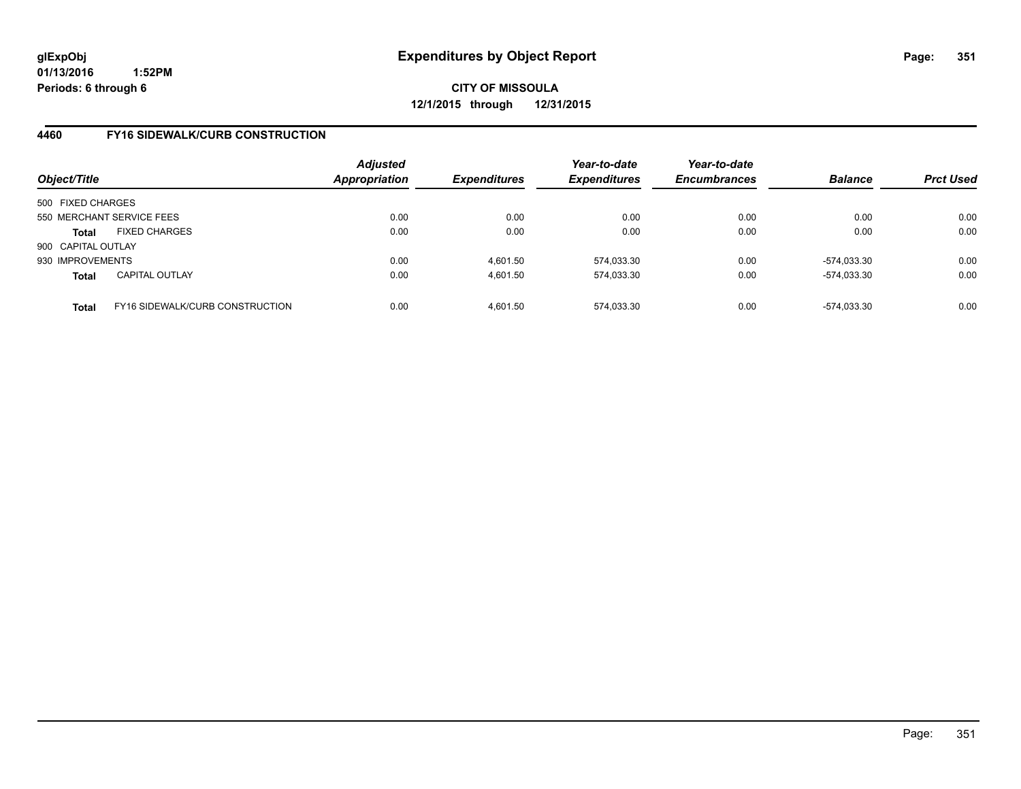**CITY OF MISSOULA 12/1/2015 through 12/31/2015**

## **4460 FY16 SIDEWALK/CURB CONSTRUCTION**

| Object/Title       |                                        | <b>Adjusted</b><br>Appropriation | <b>Expenditures</b> | Year-to-date<br><b>Expenditures</b> | Year-to-date<br><b>Encumbrances</b> | <b>Balance</b> | <b>Prct Used</b> |
|--------------------|----------------------------------------|----------------------------------|---------------------|-------------------------------------|-------------------------------------|----------------|------------------|
| 500 FIXED CHARGES  |                                        |                                  |                     |                                     |                                     |                |                  |
|                    | 550 MERCHANT SERVICE FEES              | 0.00                             | 0.00                | 0.00                                | 0.00                                | 0.00           | 0.00             |
| Total              | <b>FIXED CHARGES</b>                   | 0.00                             | 0.00                | 0.00                                | 0.00                                | 0.00           | 0.00             |
| 900 CAPITAL OUTLAY |                                        |                                  |                     |                                     |                                     |                |                  |
| 930 IMPROVEMENTS   |                                        | 0.00                             | 4.601.50            | 574.033.30                          | 0.00                                | -574.033.30    | 0.00             |
| <b>Total</b>       | <b>CAPITAL OUTLAY</b>                  | 0.00                             | 4.601.50            | 574,033.30                          | 0.00                                | -574,033.30    | 0.00             |
| <b>Total</b>       | <b>FY16 SIDEWALK/CURB CONSTRUCTION</b> | 0.00                             | 4.601.50            | 574.033.30                          | 0.00                                | -574.033.30    | 0.00             |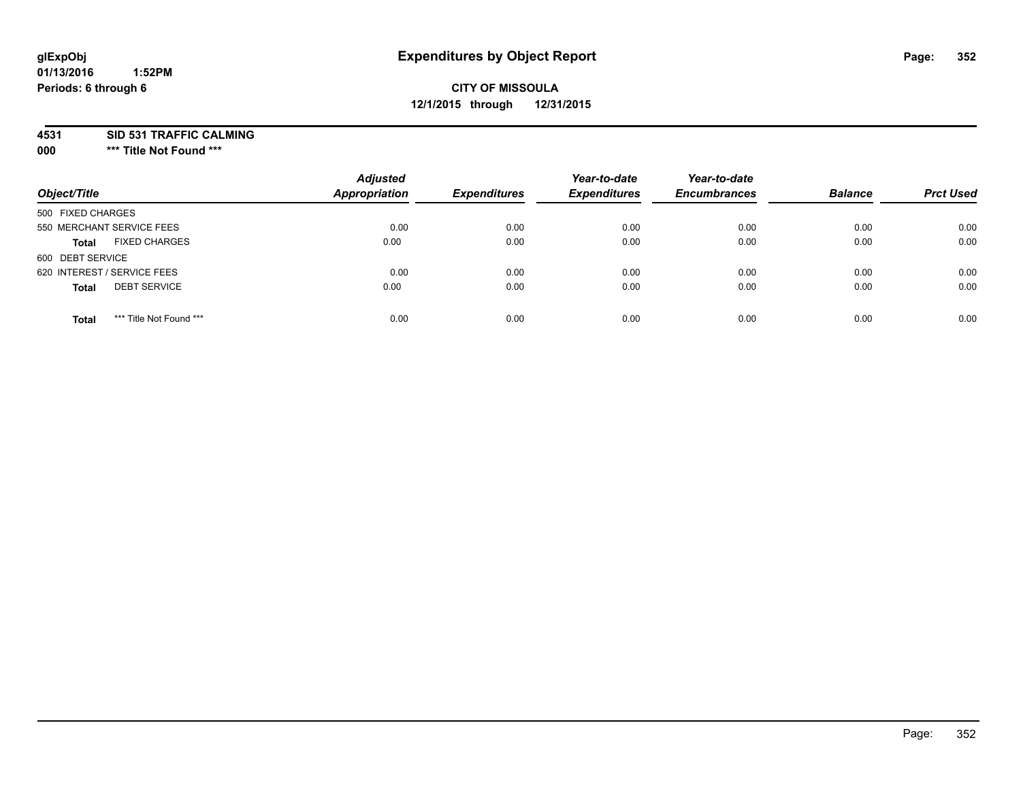# **CITY OF MISSOULA 12/1/2015 through 12/31/2015**

**4531 SID 531 TRAFFIC CALMING**

**000 \*\*\* Title Not Found \*\*\***

| Object/Title                            | <b>Adjusted</b><br>Appropriation | <b>Expenditures</b> | Year-to-date<br><b>Expenditures</b> | Year-to-date<br><b>Encumbrances</b> | <b>Balance</b> | <b>Prct Used</b> |
|-----------------------------------------|----------------------------------|---------------------|-------------------------------------|-------------------------------------|----------------|------------------|
| 500 FIXED CHARGES                       |                                  |                     |                                     |                                     |                |                  |
| 550 MERCHANT SERVICE FEES               | 0.00                             | 0.00                | 0.00                                | 0.00                                | 0.00           | 0.00             |
| <b>FIXED CHARGES</b><br><b>Total</b>    | 0.00                             | 0.00                | 0.00                                | 0.00                                | 0.00           | 0.00             |
| 600 DEBT SERVICE                        |                                  |                     |                                     |                                     |                |                  |
| 620 INTEREST / SERVICE FEES             | 0.00                             | 0.00                | 0.00                                | 0.00                                | 0.00           | 0.00             |
| <b>DEBT SERVICE</b><br><b>Total</b>     | 0.00                             | 0.00                | 0.00                                | 0.00                                | 0.00           | 0.00             |
| *** Title Not Found ***<br><b>Total</b> | 0.00                             | 0.00                | 0.00                                | 0.00                                | 0.00           | 0.00             |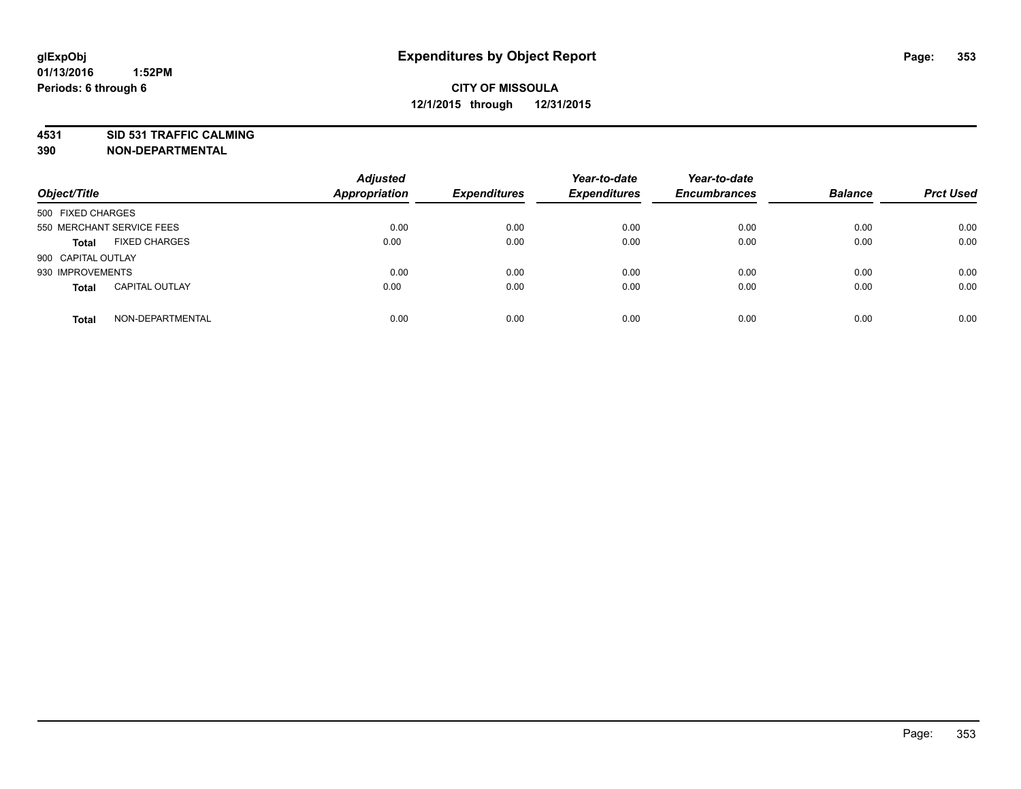**4531 SID 531 TRAFFIC CALMING**

**390 NON-DEPARTMENTAL**

| Object/Title              |                       | <b>Adjusted</b><br><b>Appropriation</b> | <b>Expenditures</b> | Year-to-date<br><b>Expenditures</b> | Year-to-date<br><b>Encumbrances</b> | <b>Balance</b> | <b>Prct Used</b> |
|---------------------------|-----------------------|-----------------------------------------|---------------------|-------------------------------------|-------------------------------------|----------------|------------------|
| 500 FIXED CHARGES         |                       |                                         |                     |                                     |                                     |                |                  |
| 550 MERCHANT SERVICE FEES |                       | 0.00                                    | 0.00                | 0.00                                | 0.00                                | 0.00           | 0.00             |
| <b>Total</b>              | <b>FIXED CHARGES</b>  | 0.00                                    | 0.00                | 0.00                                | 0.00                                | 0.00           | 0.00             |
| 900 CAPITAL OUTLAY        |                       |                                         |                     |                                     |                                     |                |                  |
| 930 IMPROVEMENTS          |                       | 0.00                                    | 0.00                | 0.00                                | 0.00                                | 0.00           | 0.00             |
| Total                     | <b>CAPITAL OUTLAY</b> | 0.00                                    | 0.00                | 0.00                                | 0.00                                | 0.00           | 0.00             |
| <b>Total</b>              | NON-DEPARTMENTAL      | 0.00                                    | 0.00                | 0.00                                | 0.00                                | 0.00           | 0.00             |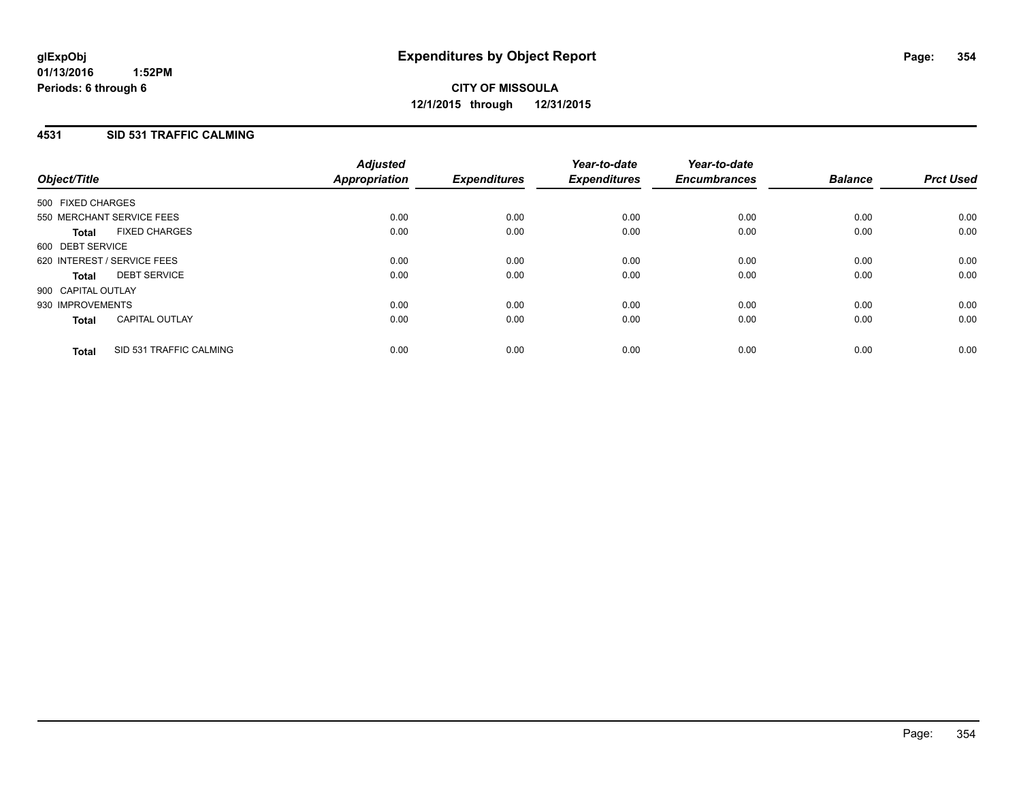## **4531 SID 531 TRAFFIC CALMING**

| Object/Title       |                             | <b>Adjusted</b><br>Appropriation | <b>Expenditures</b> | Year-to-date<br><b>Expenditures</b> | Year-to-date<br><b>Encumbrances</b> | <b>Balance</b> | <b>Prct Used</b> |
|--------------------|-----------------------------|----------------------------------|---------------------|-------------------------------------|-------------------------------------|----------------|------------------|
| 500 FIXED CHARGES  |                             |                                  |                     |                                     |                                     |                |                  |
|                    | 550 MERCHANT SERVICE FEES   | 0.00                             | 0.00                | 0.00                                | 0.00                                | 0.00           | 0.00             |
| <b>Total</b>       | <b>FIXED CHARGES</b>        | 0.00                             | 0.00                | 0.00                                | 0.00                                | 0.00           | 0.00             |
| 600 DEBT SERVICE   |                             |                                  |                     |                                     |                                     |                |                  |
|                    | 620 INTEREST / SERVICE FEES | 0.00                             | 0.00                | 0.00                                | 0.00                                | 0.00           | 0.00             |
| <b>Total</b>       | <b>DEBT SERVICE</b>         | 0.00                             | 0.00                | 0.00                                | 0.00                                | 0.00           | 0.00             |
| 900 CAPITAL OUTLAY |                             |                                  |                     |                                     |                                     |                |                  |
| 930 IMPROVEMENTS   |                             | 0.00                             | 0.00                | 0.00                                | 0.00                                | 0.00           | 0.00             |
| <b>Total</b>       | <b>CAPITAL OUTLAY</b>       | 0.00                             | 0.00                | 0.00                                | 0.00                                | 0.00           | 0.00             |
| <b>Total</b>       | SID 531 TRAFFIC CALMING     | 0.00                             | 0.00                | 0.00                                | 0.00                                | 0.00           | 0.00             |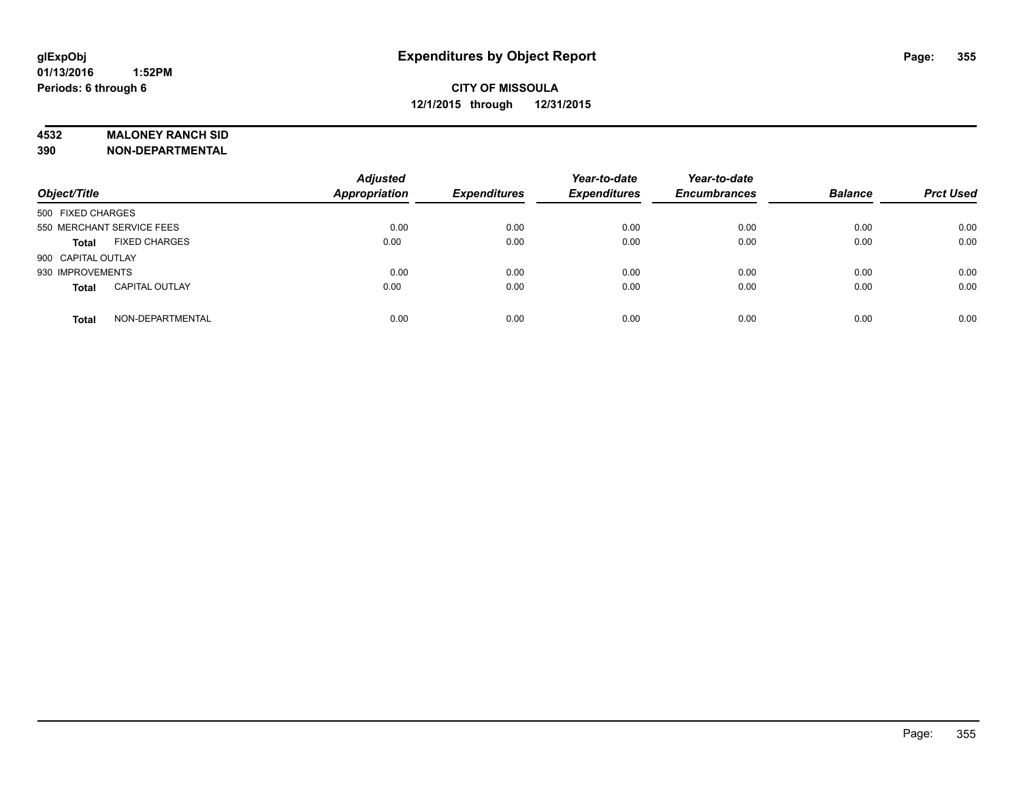### **4532 MALONEY RANCH SID**

**390 NON-DEPARTMENTAL**

| Object/Title                          | <b>Adjusted</b><br><b>Appropriation</b> | <b>Expenditures</b> | Year-to-date<br><b>Expenditures</b> | Year-to-date<br><b>Encumbrances</b> | <b>Balance</b> | <b>Prct Used</b> |
|---------------------------------------|-----------------------------------------|---------------------|-------------------------------------|-------------------------------------|----------------|------------------|
| 500 FIXED CHARGES                     |                                         |                     |                                     |                                     |                |                  |
| 550 MERCHANT SERVICE FEES             | 0.00                                    | 0.00                | 0.00                                | 0.00                                | 0.00           | 0.00             |
| <b>FIXED CHARGES</b><br><b>Total</b>  | 0.00                                    | 0.00                | 0.00                                | 0.00                                | 0.00           | 0.00             |
| 900 CAPITAL OUTLAY                    |                                         |                     |                                     |                                     |                |                  |
| 930 IMPROVEMENTS                      | 0.00                                    | 0.00                | 0.00                                | 0.00                                | 0.00           | 0.00             |
| <b>CAPITAL OUTLAY</b><br><b>Total</b> | 0.00                                    | 0.00                | 0.00                                | 0.00                                | 0.00           | 0.00             |
| NON-DEPARTMENTAL<br><b>Total</b>      | 0.00                                    | 0.00                | 0.00                                | 0.00                                | 0.00           | 0.00             |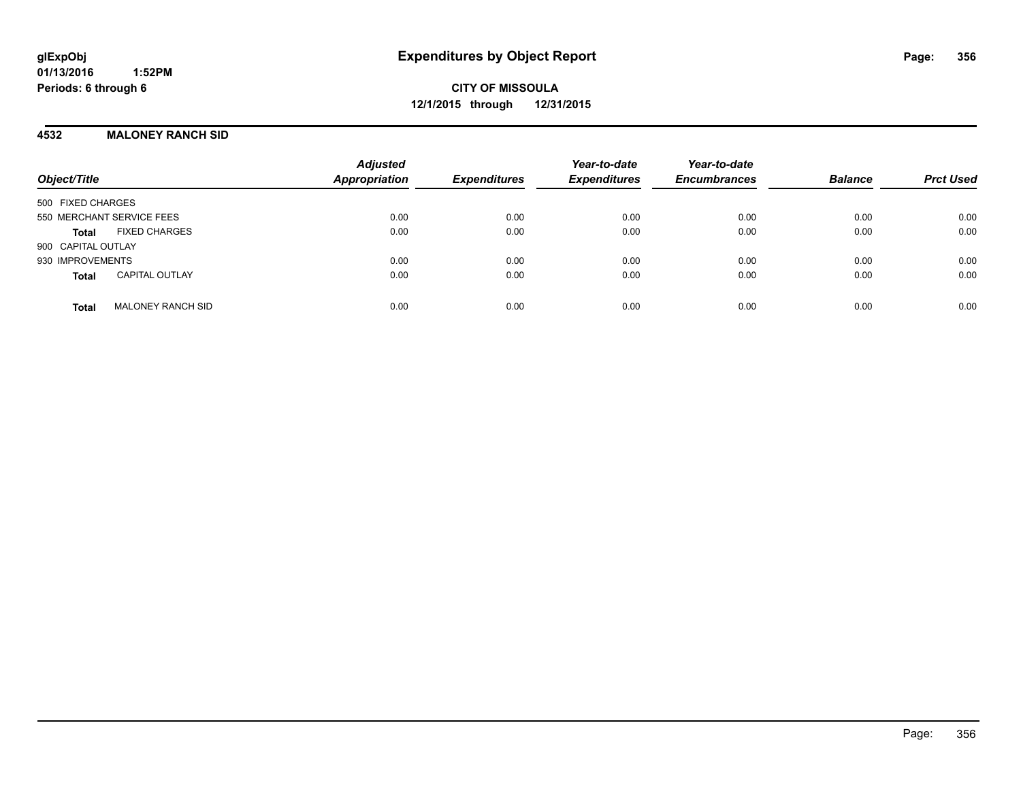### **4532 MALONEY RANCH SID**

| Object/Title                             | <b>Adjusted</b><br><b>Appropriation</b> | <b>Expenditures</b> | Year-to-date<br><b>Expenditures</b> | Year-to-date<br><b>Encumbrances</b> | <b>Balance</b> | <b>Prct Used</b> |
|------------------------------------------|-----------------------------------------|---------------------|-------------------------------------|-------------------------------------|----------------|------------------|
| 500 FIXED CHARGES                        |                                         |                     |                                     |                                     |                |                  |
| 550 MERCHANT SERVICE FEES                | 0.00                                    | 0.00                | 0.00                                | 0.00                                | 0.00           | 0.00             |
| <b>FIXED CHARGES</b><br>Total            | 0.00                                    | 0.00                | 0.00                                | 0.00                                | 0.00           | 0.00             |
| 900 CAPITAL OUTLAY                       |                                         |                     |                                     |                                     |                |                  |
| 930 IMPROVEMENTS                         | 0.00                                    | 0.00                | 0.00                                | 0.00                                | 0.00           | 0.00             |
| <b>CAPITAL OUTLAY</b><br><b>Total</b>    | 0.00                                    | 0.00                | 0.00                                | 0.00                                | 0.00           | 0.00             |
| <b>MALONEY RANCH SID</b><br><b>Total</b> | 0.00                                    | 0.00                | 0.00                                | 0.00                                | 0.00           | 0.00             |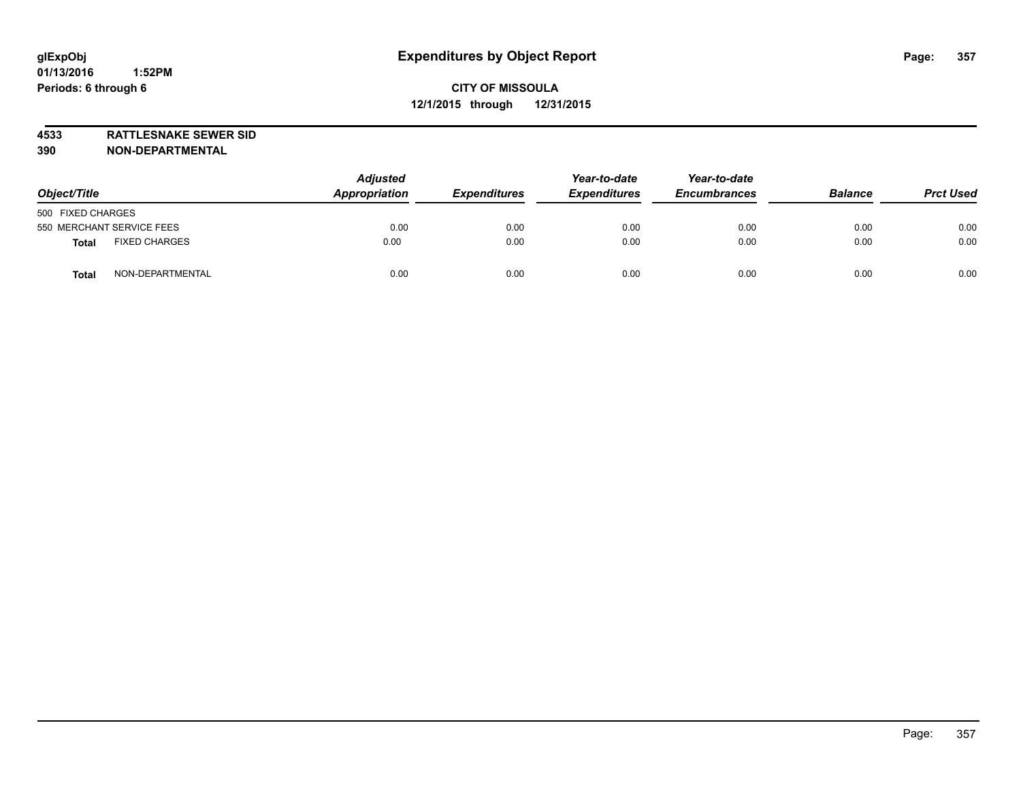**4533 RATTLESNAKE SEWER SID 390 NON-DEPARTMENTAL**

| Object/Title                         | <b>Adjusted</b><br>Appropriation | <b>Expenditures</b> | Year-to-date<br><b>Expenditures</b> | Year-to-date<br><b>Encumbrances</b> | <b>Balance</b> | <b>Prct Used</b> |
|--------------------------------------|----------------------------------|---------------------|-------------------------------------|-------------------------------------|----------------|------------------|
| 500 FIXED CHARGES                    |                                  |                     |                                     |                                     |                |                  |
| 550 MERCHANT SERVICE FEES            | 0.00                             | 0.00                | 0.00                                | 0.00                                | 0.00           | 0.00             |
| <b>FIXED CHARGES</b><br><b>Total</b> | 0.00                             | 0.00                | 0.00                                | 0.00                                | 0.00           | 0.00             |
| NON-DEPARTMENTAL<br>Total            | 0.00                             | 0.00                | 0.00                                | 0.00                                | 0.00           | 0.00             |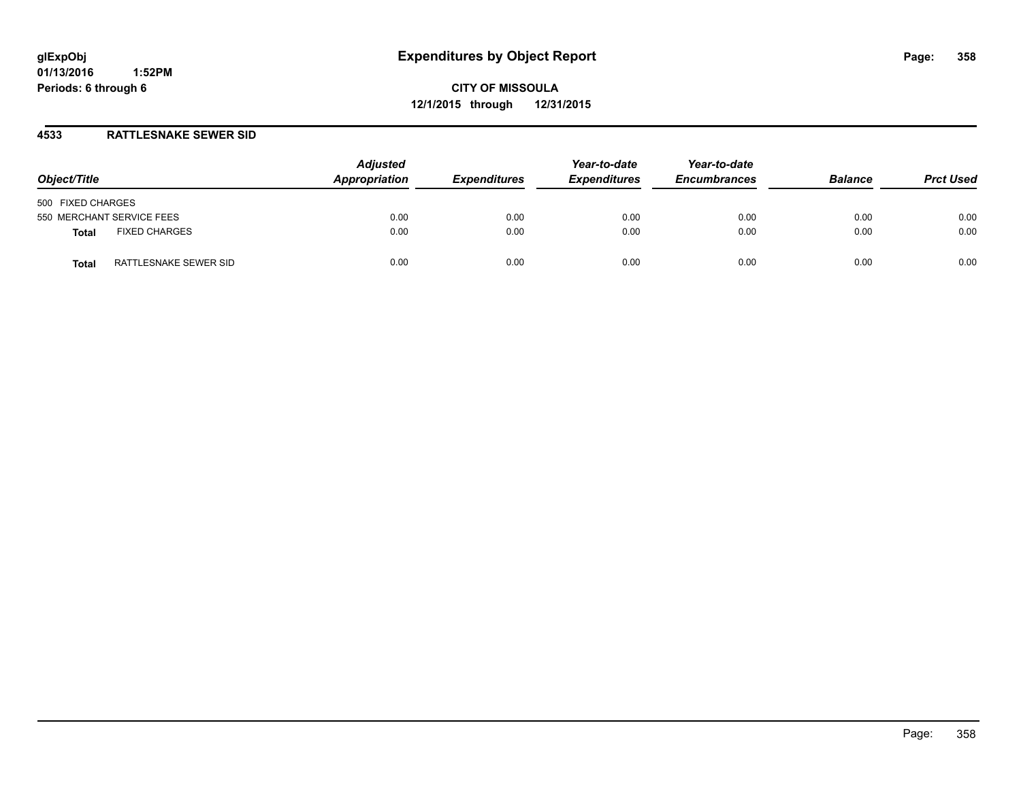**CITY OF MISSOULA 12/1/2015 through 12/31/2015**

## **4533 RATTLESNAKE SEWER SID**

| Object/Title                         | <b>Adjusted</b><br>Appropriation | <b>Expenditures</b> | Year-to-date<br><b>Expenditures</b> | Year-to-date<br><b>Encumbrances</b> | <b>Balance</b> | <b>Prct Used</b> |
|--------------------------------------|----------------------------------|---------------------|-------------------------------------|-------------------------------------|----------------|------------------|
| 500 FIXED CHARGES                    |                                  |                     |                                     |                                     |                |                  |
| 550 MERCHANT SERVICE FEES            | 0.00                             | 0.00                | 0.00                                | 0.00                                | 0.00           | 0.00             |
| <b>FIXED CHARGES</b><br><b>Total</b> | 0.00                             | 0.00                | 0.00                                | 0.00                                | 0.00           | 0.00             |
| RATTLESNAKE SEWER SID<br>Total       | 0.00                             | 0.00                | 0.00                                | 0.00                                | 0.00           | 0.00             |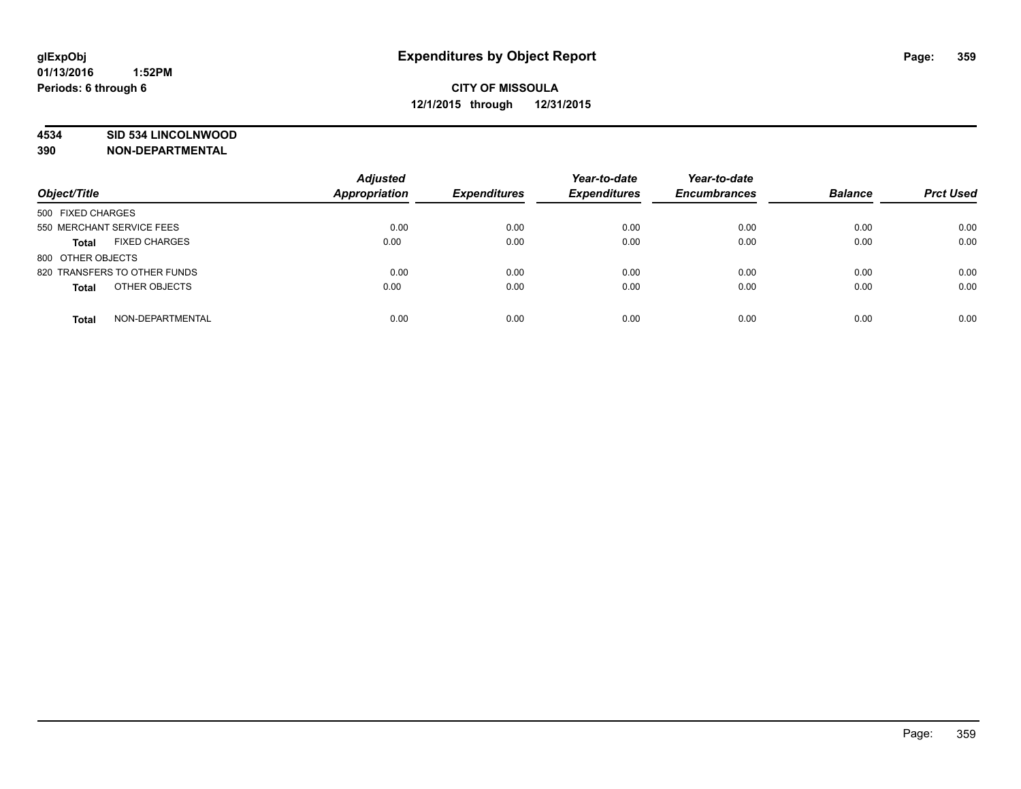### **4534 SID 534 LINCOLNWOOD**

**390 NON-DEPARTMENTAL**

| Object/Title                         | <b>Adjusted</b><br><b>Appropriation</b> | <b>Expenditures</b> | Year-to-date<br><b>Expenditures</b> | Year-to-date<br><b>Encumbrances</b> | <b>Balance</b> | <b>Prct Used</b> |
|--------------------------------------|-----------------------------------------|---------------------|-------------------------------------|-------------------------------------|----------------|------------------|
| 500 FIXED CHARGES                    |                                         |                     |                                     |                                     |                |                  |
| 550 MERCHANT SERVICE FEES            | 0.00                                    | 0.00                | 0.00                                | 0.00                                | 0.00           | 0.00             |
| <b>FIXED CHARGES</b><br><b>Total</b> | 0.00                                    | 0.00                | 0.00                                | 0.00                                | 0.00           | 0.00             |
| 800 OTHER OBJECTS                    |                                         |                     |                                     |                                     |                |                  |
| 820 TRANSFERS TO OTHER FUNDS         | 0.00                                    | 0.00                | 0.00                                | 0.00                                | 0.00           | 0.00             |
| OTHER OBJECTS<br><b>Total</b>        | 0.00                                    | 0.00                | 0.00                                | 0.00                                | 0.00           | 0.00             |
| NON-DEPARTMENTAL<br><b>Total</b>     | 0.00                                    | 0.00                | 0.00                                | 0.00                                | 0.00           | 0.00             |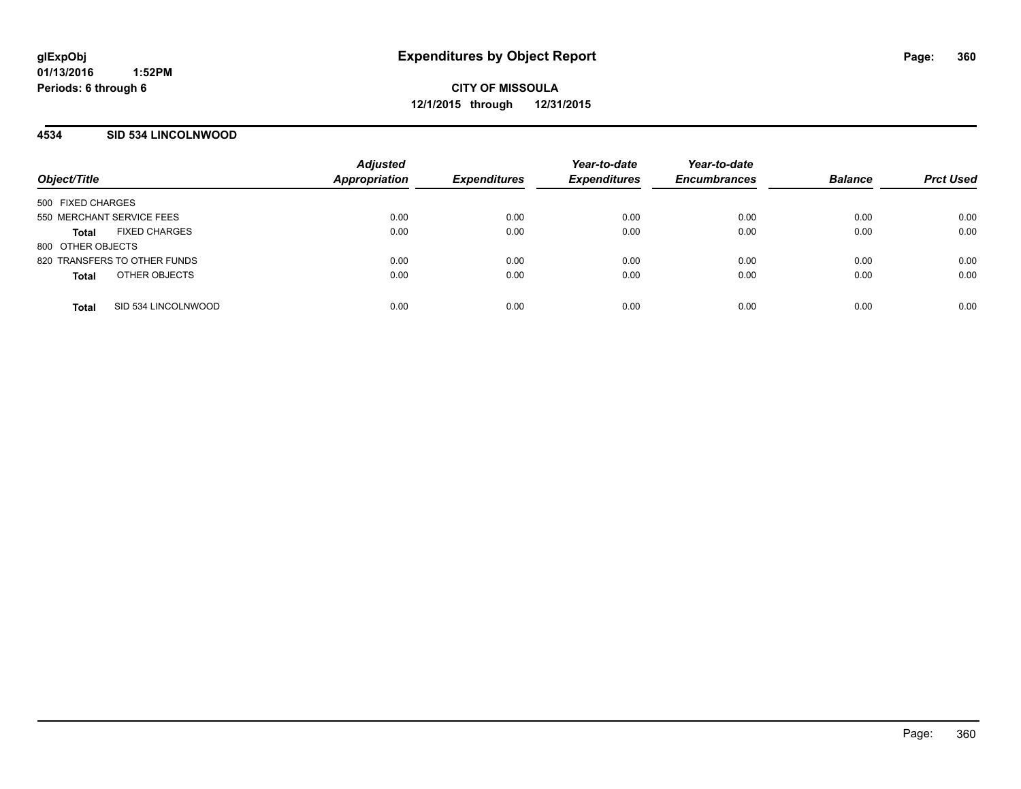### **4534 SID 534 LINCOLNWOOD**

| Object/Title                         | <b>Adjusted</b><br>Appropriation | <b>Expenditures</b> | Year-to-date<br><b>Expenditures</b> | Year-to-date<br><b>Encumbrances</b> | <b>Balance</b> | <b>Prct Used</b> |
|--------------------------------------|----------------------------------|---------------------|-------------------------------------|-------------------------------------|----------------|------------------|
| 500 FIXED CHARGES                    |                                  |                     |                                     |                                     |                |                  |
| 550 MERCHANT SERVICE FEES            | 0.00                             | 0.00                | 0.00                                | 0.00                                | 0.00           | 0.00             |
| <b>FIXED CHARGES</b><br><b>Total</b> | 0.00                             | 0.00                | 0.00                                | 0.00                                | 0.00           | 0.00             |
| 800 OTHER OBJECTS                    |                                  |                     |                                     |                                     |                |                  |
| 820 TRANSFERS TO OTHER FUNDS         | 0.00                             | 0.00                | 0.00                                | 0.00                                | 0.00           | 0.00             |
| OTHER OBJECTS<br><b>Total</b>        | 0.00                             | 0.00                | 0.00                                | 0.00                                | 0.00           | 0.00             |
| SID 534 LINCOLNWOOD<br><b>Total</b>  | 0.00                             | 0.00                | 0.00                                | 0.00                                | 0.00           | 0.00             |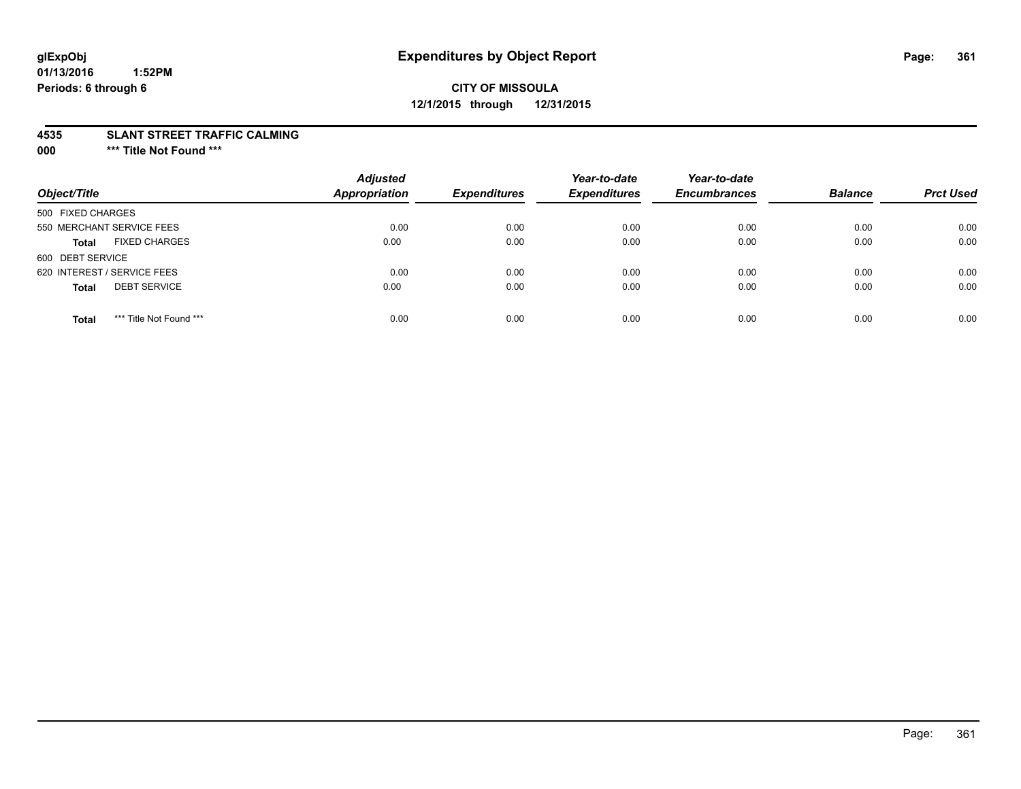## **CITY OF MISSOULA 12/1/2015 through 12/31/2015**

#### **4535 SLANT STREET TRAFFIC CALMING**

**000 \*\*\* Title Not Found \*\*\***

| Object/Title                            | <b>Adjusted</b><br><b>Appropriation</b> | <b>Expenditures</b> | Year-to-date<br><b>Expenditures</b> | Year-to-date<br><b>Encumbrances</b> | <b>Balance</b> | <b>Prct Used</b> |
|-----------------------------------------|-----------------------------------------|---------------------|-------------------------------------|-------------------------------------|----------------|------------------|
| 500 FIXED CHARGES                       |                                         |                     |                                     |                                     |                |                  |
| 550 MERCHANT SERVICE FEES               | 0.00                                    | 0.00                | 0.00                                | 0.00                                | 0.00           | 0.00             |
| <b>FIXED CHARGES</b><br><b>Total</b>    | 0.00                                    | 0.00                | 0.00                                | 0.00                                | 0.00           | 0.00             |
| 600 DEBT SERVICE                        |                                         |                     |                                     |                                     |                |                  |
| 620 INTEREST / SERVICE FEES             | 0.00                                    | 0.00                | 0.00                                | 0.00                                | 0.00           | 0.00             |
| <b>DEBT SERVICE</b><br><b>Total</b>     | 0.00                                    | 0.00                | 0.00                                | 0.00                                | 0.00           | 0.00             |
| *** Title Not Found ***<br><b>Total</b> | 0.00                                    | 0.00                | 0.00                                | 0.00                                | 0.00           | 0.00             |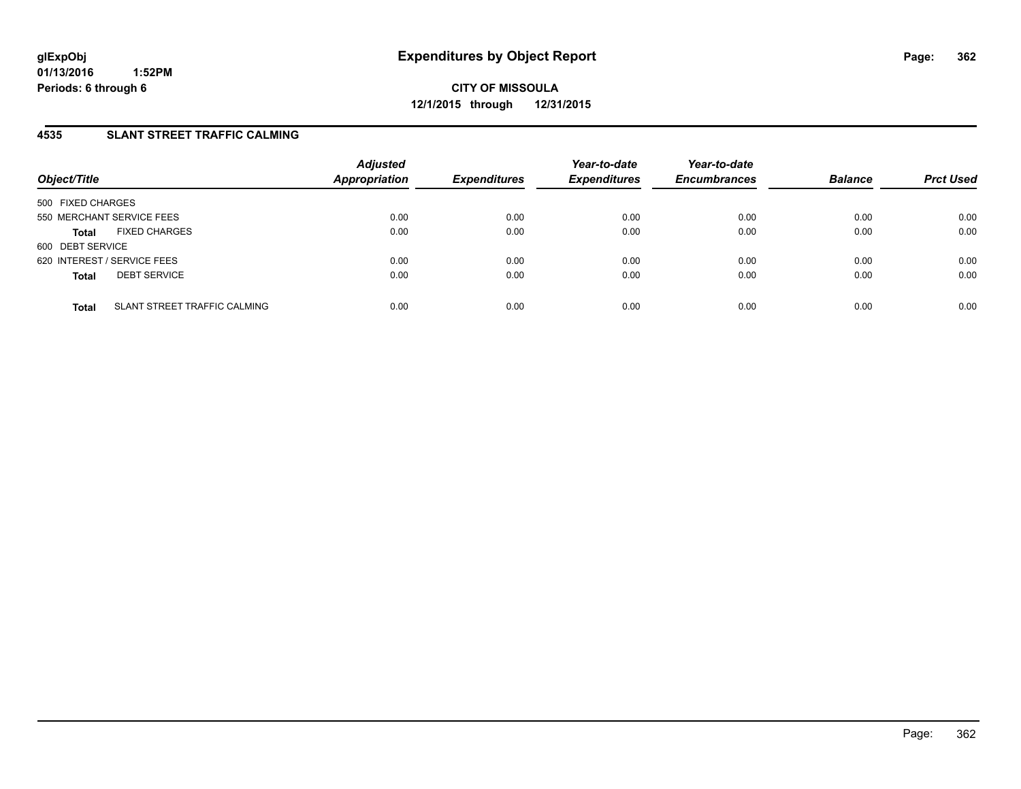### **4535 SLANT STREET TRAFFIC CALMING**

| Object/Title                |                                     | <b>Adjusted</b><br><b>Appropriation</b> | <b>Expenditures</b> | Year-to-date<br><b>Expenditures</b> | Year-to-date<br><b>Encumbrances</b> | <b>Balance</b> | <b>Prct Used</b> |
|-----------------------------|-------------------------------------|-----------------------------------------|---------------------|-------------------------------------|-------------------------------------|----------------|------------------|
| 500 FIXED CHARGES           |                                     |                                         |                     |                                     |                                     |                |                  |
| 550 MERCHANT SERVICE FEES   |                                     | 0.00                                    | 0.00                | 0.00                                | 0.00                                | 0.00           | 0.00             |
| <b>Total</b>                | <b>FIXED CHARGES</b>                | 0.00                                    | 0.00                | 0.00                                | 0.00                                | 0.00           | 0.00             |
| 600 DEBT SERVICE            |                                     |                                         |                     |                                     |                                     |                |                  |
| 620 INTEREST / SERVICE FEES |                                     | 0.00                                    | 0.00                | 0.00                                | 0.00                                | 0.00           | 0.00             |
| <b>Total</b>                | <b>DEBT SERVICE</b>                 | 0.00                                    | 0.00                | 0.00                                | 0.00                                | 0.00           | 0.00             |
| <b>Total</b>                | <b>SLANT STREET TRAFFIC CALMING</b> | 0.00                                    | 0.00                | 0.00                                | 0.00                                | 0.00           | 0.00             |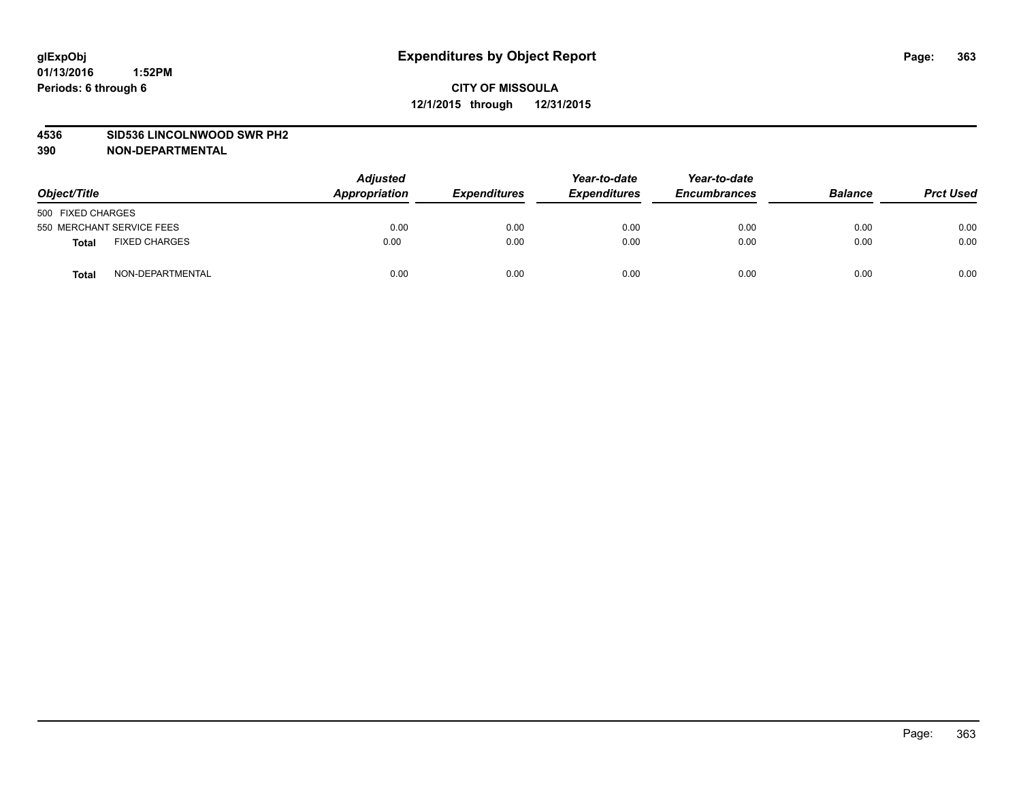#### **4536 SID536 LINCOLNWOOD SWR PH2**

| Object/Title                         | <b>Adjusted</b><br>Appropriation | <b>Expenditures</b> | Year-to-date<br><b>Expenditures</b> | Year-to-date<br><b>Encumbrances</b> | <b>Balance</b> | <b>Prct Used</b> |
|--------------------------------------|----------------------------------|---------------------|-------------------------------------|-------------------------------------|----------------|------------------|
| 500 FIXED CHARGES                    |                                  |                     |                                     |                                     |                |                  |
| 550 MERCHANT SERVICE FEES            | 0.00                             | 0.00                | 0.00                                | 0.00                                | 0.00           | 0.00             |
| <b>FIXED CHARGES</b><br><b>Total</b> | 0.00                             | 0.00                | 0.00                                | 0.00                                | 0.00           | 0.00             |
| NON-DEPARTMENTAL<br><b>Total</b>     | 0.00                             | 0.00                | 0.00                                | 0.00                                | 0.00           | 0.00             |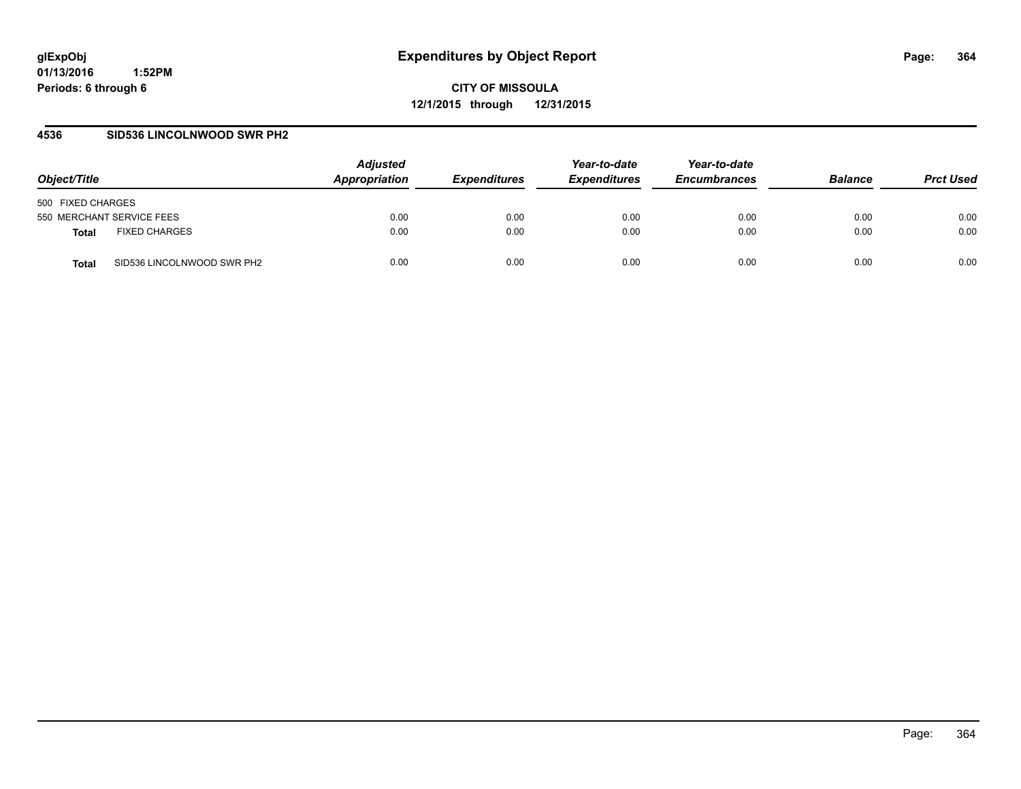**CITY OF MISSOULA 12/1/2015 through 12/31/2015**

#### **4536 SID536 LINCOLNWOOD SWR PH2**

| Object/Title                         | <b>Adjusted</b><br>Appropriation | <i><b>Expenditures</b></i> | Year-to-date<br><i><b>Expenditures</b></i> | Year-to-date<br><b>Encumbrances</b> | <b>Balance</b> | <b>Prct Used</b> |
|--------------------------------------|----------------------------------|----------------------------|--------------------------------------------|-------------------------------------|----------------|------------------|
| 500 FIXED CHARGES                    |                                  |                            |                                            |                                     |                |                  |
| 550 MERCHANT SERVICE FEES            | 0.00                             | 0.00                       | 0.00                                       | 0.00                                | 0.00           | 0.00             |
| <b>FIXED CHARGES</b><br><b>Total</b> | 0.00                             | 0.00                       | 0.00                                       | 0.00                                | 0.00           | 0.00             |
| SID536 LINCOLNWOOD SWR PH2<br>Total  | 0.00                             | 0.00                       | 0.00                                       | 0.00                                | 0.00           | 0.00             |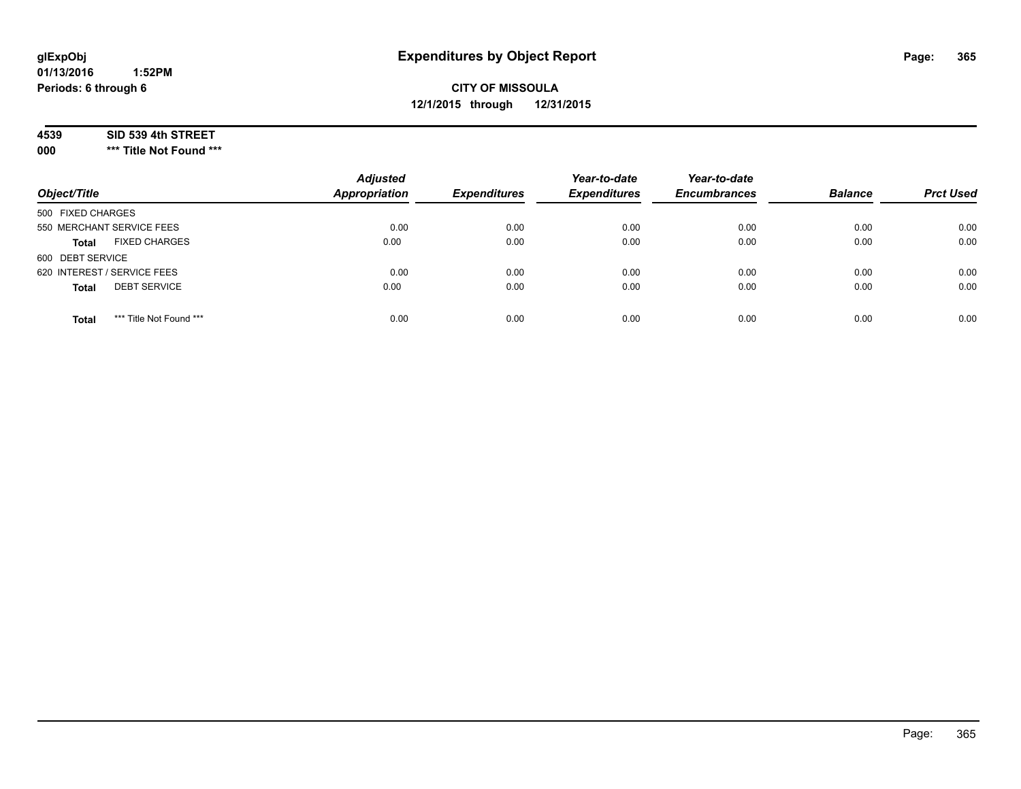## **CITY OF MISSOULA 12/1/2015 through 12/31/2015**

#### **4539 SID 539 4th STREET**

**000 \*\*\* Title Not Found \*\*\***

| Object/Title                            | <b>Adjusted</b><br><b>Appropriation</b> | <b>Expenditures</b> | Year-to-date<br><b>Expenditures</b> | Year-to-date<br><b>Encumbrances</b> | <b>Balance</b> | <b>Prct Used</b> |
|-----------------------------------------|-----------------------------------------|---------------------|-------------------------------------|-------------------------------------|----------------|------------------|
| 500 FIXED CHARGES                       |                                         |                     |                                     |                                     |                |                  |
| 550 MERCHANT SERVICE FEES               | 0.00                                    | 0.00                | 0.00                                | 0.00                                | 0.00           | 0.00             |
| <b>FIXED CHARGES</b><br><b>Total</b>    | 0.00                                    | 0.00                | 0.00                                | 0.00                                | 0.00           | 0.00             |
| 600 DEBT SERVICE                        |                                         |                     |                                     |                                     |                |                  |
| 620 INTEREST / SERVICE FEES             | 0.00                                    | 0.00                | 0.00                                | 0.00                                | 0.00           | 0.00             |
| <b>DEBT SERVICE</b><br><b>Total</b>     | 0.00                                    | 0.00                | 0.00                                | 0.00                                | 0.00           | 0.00             |
| *** Title Not Found ***<br><b>Total</b> | 0.00                                    | 0.00                | 0.00                                | 0.00                                | 0.00           | 0.00             |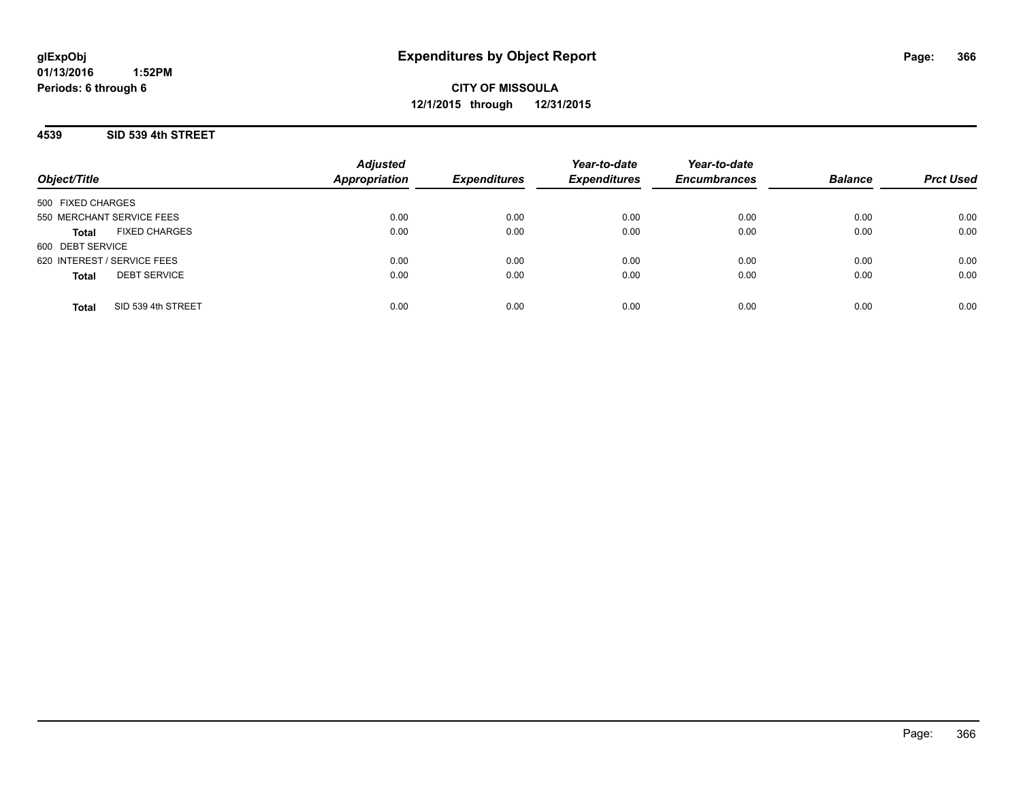**CITY OF MISSOULA 12/1/2015 through 12/31/2015**

**4539 SID 539 4th STREET**

| Object/Title                         | <b>Adjusted</b><br><b>Appropriation</b> | <b>Expenditures</b> | Year-to-date<br><b>Expenditures</b> | Year-to-date<br><b>Encumbrances</b> | <b>Balance</b> | <b>Prct Used</b> |
|--------------------------------------|-----------------------------------------|---------------------|-------------------------------------|-------------------------------------|----------------|------------------|
| 500 FIXED CHARGES                    |                                         |                     |                                     |                                     |                |                  |
| 550 MERCHANT SERVICE FEES            | 0.00                                    | 0.00                | 0.00                                | 0.00                                | 0.00           | 0.00             |
| <b>FIXED CHARGES</b><br><b>Total</b> | 0.00                                    | 0.00                | 0.00                                | 0.00                                | 0.00           | 0.00             |
| 600 DEBT SERVICE                     |                                         |                     |                                     |                                     |                |                  |
| 620 INTEREST / SERVICE FEES          | 0.00                                    | 0.00                | 0.00                                | 0.00                                | 0.00           | 0.00             |
| <b>DEBT SERVICE</b><br><b>Total</b>  | 0.00                                    | 0.00                | 0.00                                | 0.00                                | 0.00           | 0.00             |
| SID 539 4th STREET<br>Total          | 0.00                                    | 0.00                | 0.00                                | 0.00                                | 0.00           | 0.00             |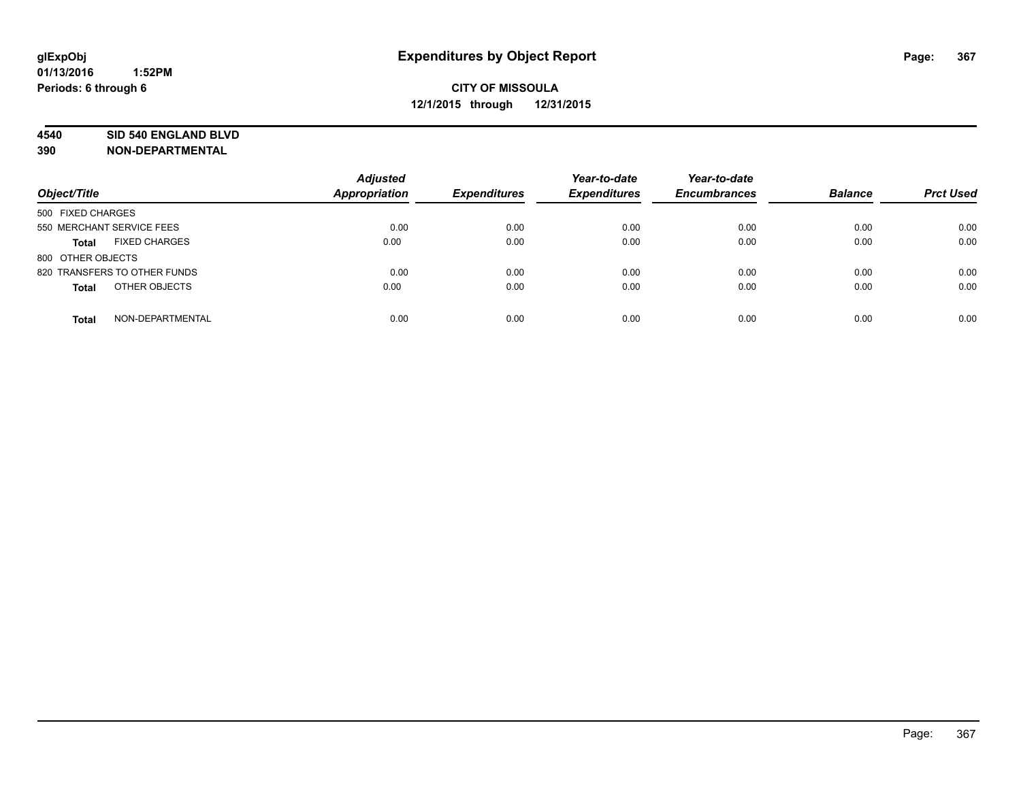#### **4540 SID 540 ENGLAND BLVD**

| Object/Title                         | <b>Adjusted</b><br>Appropriation | <b>Expenditures</b> | Year-to-date<br><b>Expenditures</b> | Year-to-date<br><b>Encumbrances</b> | <b>Balance</b> | <b>Prct Used</b> |
|--------------------------------------|----------------------------------|---------------------|-------------------------------------|-------------------------------------|----------------|------------------|
| 500 FIXED CHARGES                    |                                  |                     |                                     |                                     |                |                  |
| 550 MERCHANT SERVICE FEES            | 0.00                             | 0.00                | 0.00                                | 0.00                                | 0.00           | 0.00             |
| <b>FIXED CHARGES</b><br><b>Total</b> | 0.00                             | 0.00                | 0.00                                | 0.00                                | 0.00           | 0.00             |
| 800 OTHER OBJECTS                    |                                  |                     |                                     |                                     |                |                  |
| 820 TRANSFERS TO OTHER FUNDS         | 0.00                             | 0.00                | 0.00                                | 0.00                                | 0.00           | 0.00             |
| OTHER OBJECTS<br><b>Total</b>        | 0.00                             | 0.00                | 0.00                                | 0.00                                | 0.00           | 0.00             |
| NON-DEPARTMENTAL<br><b>Total</b>     | 0.00                             | 0.00                | 0.00                                | 0.00                                | 0.00           | 0.00             |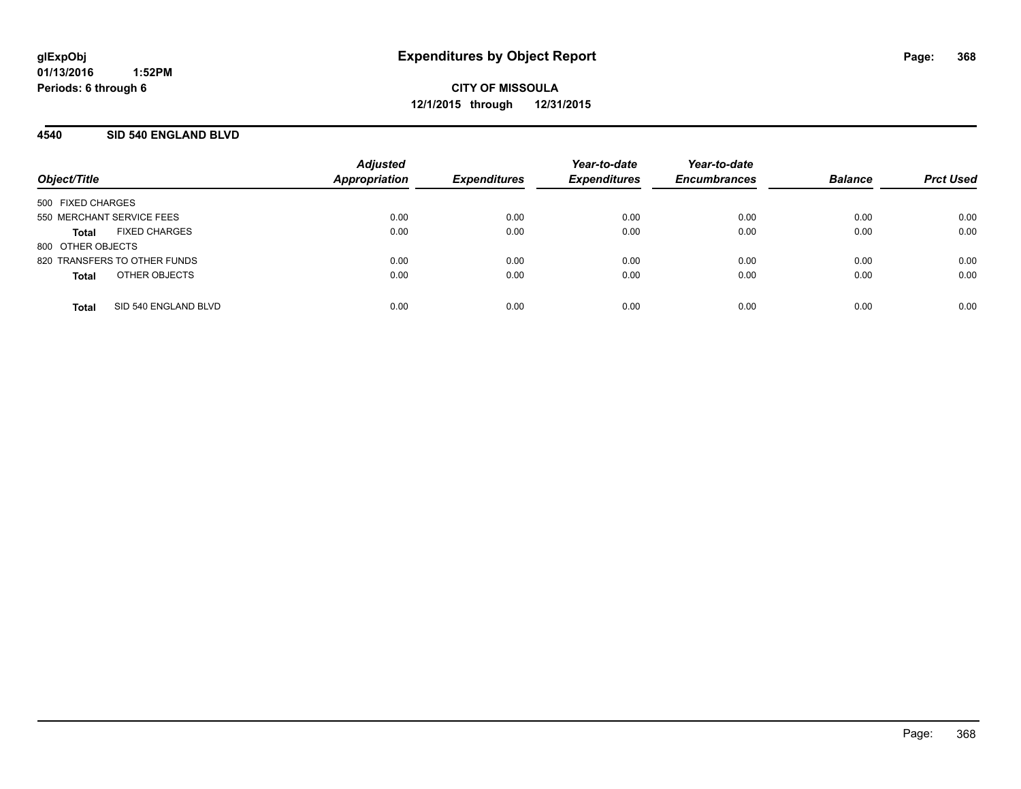#### **4540 SID 540 ENGLAND BLVD**

| Object/Title                 |                      | <b>Adjusted</b><br>Appropriation | <b>Expenditures</b> | Year-to-date<br><b>Expenditures</b> | Year-to-date<br><b>Encumbrances</b> | <b>Balance</b> | <b>Prct Used</b> |
|------------------------------|----------------------|----------------------------------|---------------------|-------------------------------------|-------------------------------------|----------------|------------------|
|                              |                      |                                  |                     |                                     |                                     |                |                  |
| 500 FIXED CHARGES            |                      |                                  |                     |                                     |                                     |                |                  |
| 550 MERCHANT SERVICE FEES    |                      | 0.00                             | 0.00                | 0.00                                | 0.00                                | 0.00           | 0.00             |
| Total                        | <b>FIXED CHARGES</b> | 0.00                             | 0.00                | 0.00                                | 0.00                                | 0.00           | 0.00             |
| 800 OTHER OBJECTS            |                      |                                  |                     |                                     |                                     |                |                  |
| 820 TRANSFERS TO OTHER FUNDS |                      | 0.00                             | 0.00                | 0.00                                | 0.00                                | 0.00           | 0.00             |
| <b>Total</b>                 | OTHER OBJECTS        | 0.00                             | 0.00                | 0.00                                | 0.00                                | 0.00           | 0.00             |
|                              |                      |                                  |                     |                                     |                                     |                |                  |
| <b>Total</b>                 | SID 540 ENGLAND BLVD | 0.00                             | 0.00                | 0.00                                | 0.00                                | 0.00           | 0.00             |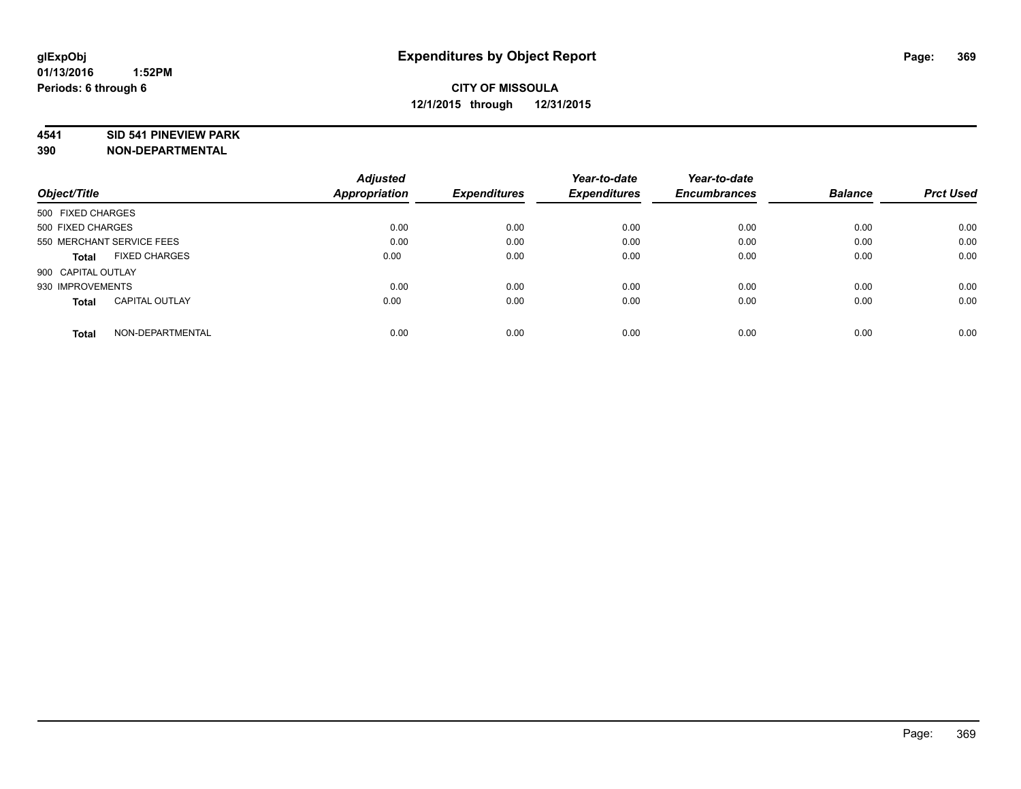#### **4541 SID 541 PINEVIEW PARK**

|                                       | <b>Adjusted</b> |                     | Year-to-date        | Year-to-date        |                |                  |
|---------------------------------------|-----------------|---------------------|---------------------|---------------------|----------------|------------------|
| Object/Title                          | Appropriation   | <b>Expenditures</b> | <b>Expenditures</b> | <b>Encumbrances</b> | <b>Balance</b> | <b>Prct Used</b> |
| 500 FIXED CHARGES                     |                 |                     |                     |                     |                |                  |
| 500 FIXED CHARGES                     | 0.00            | 0.00                | 0.00                | 0.00                | 0.00           | 0.00             |
| 550 MERCHANT SERVICE FEES             | 0.00            | 0.00                | 0.00                | 0.00                | 0.00           | 0.00             |
| <b>FIXED CHARGES</b><br>Total         | 0.00            | 0.00                | 0.00                | 0.00                | 0.00           | 0.00             |
| 900 CAPITAL OUTLAY                    |                 |                     |                     |                     |                |                  |
| 930 IMPROVEMENTS                      | 0.00            | 0.00                | 0.00                | 0.00                | 0.00           | 0.00             |
| <b>CAPITAL OUTLAY</b><br><b>Total</b> | 0.00            | 0.00                | 0.00                | 0.00                | 0.00           | 0.00             |
| NON-DEPARTMENTAL<br><b>Total</b>      | 0.00            | 0.00                | 0.00                | 0.00                | 0.00           | 0.00             |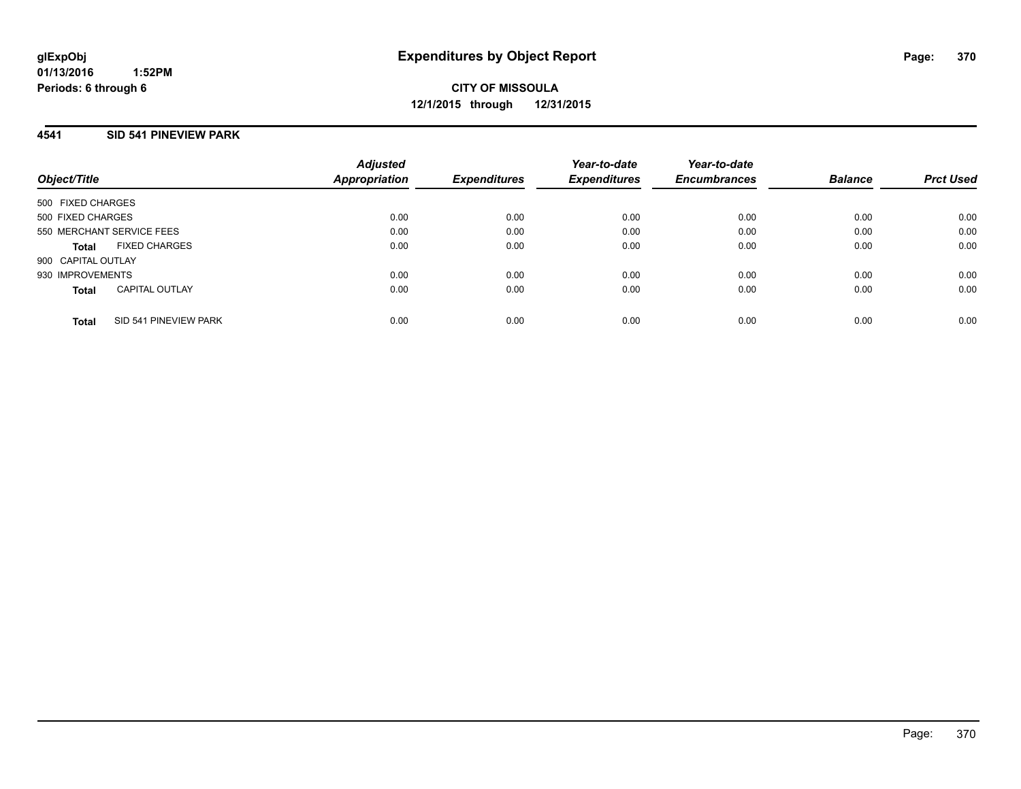#### **4541 SID 541 PINEVIEW PARK**

| Object/Title              |                       | <b>Adjusted</b><br><b>Appropriation</b> | <b>Expenditures</b> | Year-to-date<br><b>Expenditures</b> | Year-to-date<br><b>Encumbrances</b> | <b>Balance</b> | <b>Prct Used</b> |
|---------------------------|-----------------------|-----------------------------------------|---------------------|-------------------------------------|-------------------------------------|----------------|------------------|
| 500 FIXED CHARGES         |                       |                                         |                     |                                     |                                     |                |                  |
| 500 FIXED CHARGES         |                       | 0.00                                    | 0.00                | 0.00                                | 0.00                                | 0.00           | 0.00             |
| 550 MERCHANT SERVICE FEES |                       | 0.00                                    | 0.00                | 0.00                                | 0.00                                | 0.00           | 0.00             |
| Total                     | <b>FIXED CHARGES</b>  | 0.00                                    | 0.00                | 0.00                                | 0.00                                | 0.00           | 0.00             |
| 900 CAPITAL OUTLAY        |                       |                                         |                     |                                     |                                     |                |                  |
| 930 IMPROVEMENTS          |                       | 0.00                                    | 0.00                | 0.00                                | 0.00                                | 0.00           | 0.00             |
| <b>Total</b>              | <b>CAPITAL OUTLAY</b> | 0.00                                    | 0.00                | 0.00                                | 0.00                                | 0.00           | 0.00             |
| <b>Total</b>              | SID 541 PINEVIEW PARK | 0.00                                    | 0.00                | 0.00                                | 0.00                                | 0.00           | 0.00             |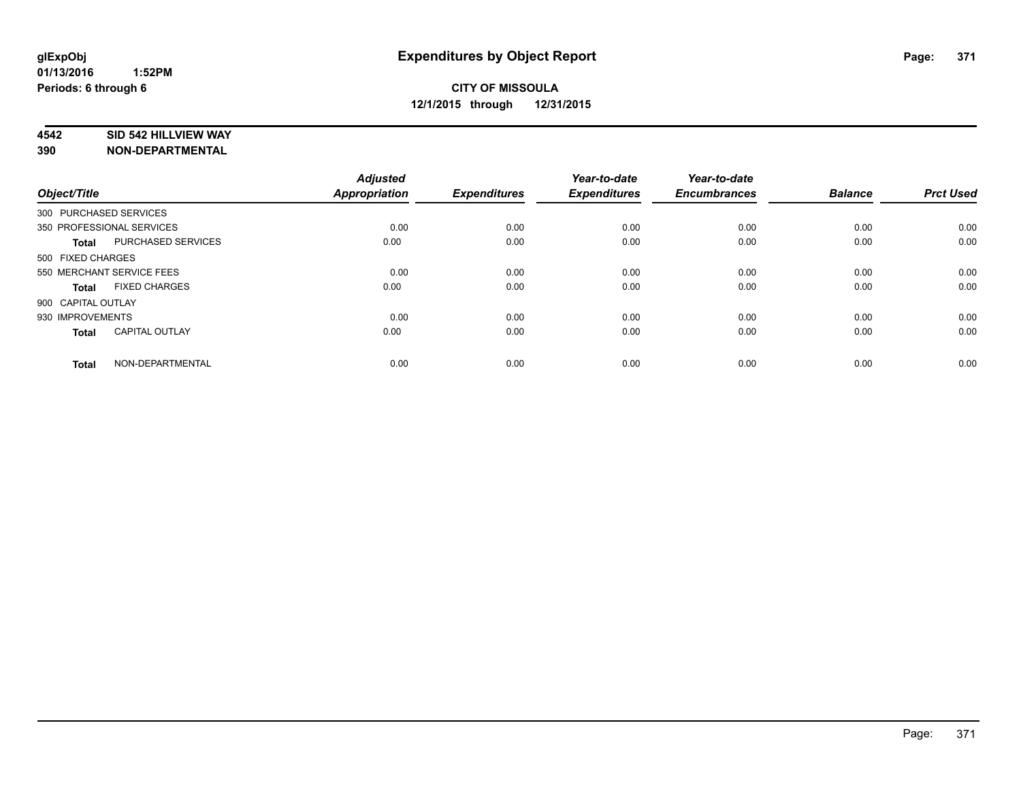#### **4542 SID 542 HILLVIEW WAY**

| Object/Title              |                           | <b>Adjusted</b><br><b>Appropriation</b> | <b>Expenditures</b> | Year-to-date<br><b>Expenditures</b> | Year-to-date<br><b>Encumbrances</b> | <b>Balance</b> | <b>Prct Used</b> |
|---------------------------|---------------------------|-----------------------------------------|---------------------|-------------------------------------|-------------------------------------|----------------|------------------|
| 300 PURCHASED SERVICES    |                           |                                         |                     |                                     |                                     |                |                  |
| 350 PROFESSIONAL SERVICES |                           | 0.00                                    | 0.00                | 0.00                                | 0.00                                | 0.00           | 0.00             |
| <b>Total</b>              | <b>PURCHASED SERVICES</b> | 0.00                                    | 0.00                | 0.00                                | 0.00                                | 0.00           | 0.00             |
| 500 FIXED CHARGES         |                           |                                         |                     |                                     |                                     |                |                  |
| 550 MERCHANT SERVICE FEES |                           | 0.00                                    | 0.00                | 0.00                                | 0.00                                | 0.00           | 0.00             |
| <b>Total</b>              | <b>FIXED CHARGES</b>      | 0.00                                    | 0.00                | 0.00                                | 0.00                                | 0.00           | 0.00             |
| 900 CAPITAL OUTLAY        |                           |                                         |                     |                                     |                                     |                |                  |
| 930 IMPROVEMENTS          |                           | 0.00                                    | 0.00                | 0.00                                | 0.00                                | 0.00           | 0.00             |
| <b>Total</b>              | <b>CAPITAL OUTLAY</b>     | 0.00                                    | 0.00                | 0.00                                | 0.00                                | 0.00           | 0.00             |
| <b>Total</b>              | NON-DEPARTMENTAL          | 0.00                                    | 0.00                | 0.00                                | 0.00                                | 0.00           | 0.00             |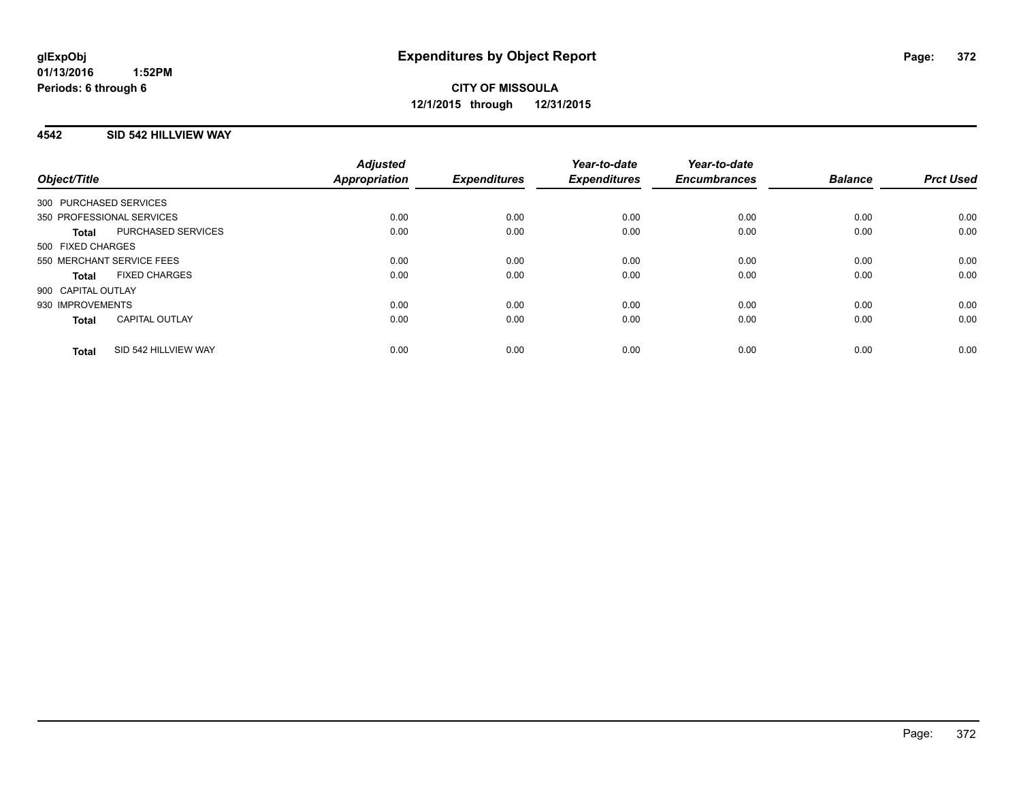### **4542 SID 542 HILLVIEW WAY**

| Object/Title                          |                      | <b>Adjusted</b><br>Appropriation | <b>Expenditures</b> | Year-to-date<br><b>Expenditures</b> | Year-to-date<br><b>Encumbrances</b> | <b>Balance</b> | <b>Prct Used</b> |
|---------------------------------------|----------------------|----------------------------------|---------------------|-------------------------------------|-------------------------------------|----------------|------------------|
|                                       |                      |                                  |                     |                                     |                                     |                |                  |
| 300 PURCHASED SERVICES                |                      |                                  |                     |                                     |                                     |                |                  |
| 350 PROFESSIONAL SERVICES             |                      | 0.00                             | 0.00                | 0.00                                | 0.00                                | 0.00           | 0.00             |
| <b>Total</b>                          | PURCHASED SERVICES   | 0.00                             | 0.00                | 0.00                                | 0.00                                | 0.00           | 0.00             |
| 500 FIXED CHARGES                     |                      |                                  |                     |                                     |                                     |                |                  |
| 550 MERCHANT SERVICE FEES             |                      | 0.00                             | 0.00                | 0.00                                | 0.00                                | 0.00           | 0.00             |
| <b>FIXED CHARGES</b><br><b>Total</b>  |                      | 0.00                             | 0.00                | 0.00                                | 0.00                                | 0.00           | 0.00             |
| 900 CAPITAL OUTLAY                    |                      |                                  |                     |                                     |                                     |                |                  |
| 930 IMPROVEMENTS                      |                      | 0.00                             | 0.00                | 0.00                                | 0.00                                | 0.00           | 0.00             |
| <b>CAPITAL OUTLAY</b><br><b>Total</b> |                      | 0.00                             | 0.00                | 0.00                                | 0.00                                | 0.00           | 0.00             |
| <b>Total</b>                          | SID 542 HILLVIEW WAY | 0.00                             | 0.00                | 0.00                                | 0.00                                | 0.00           | 0.00             |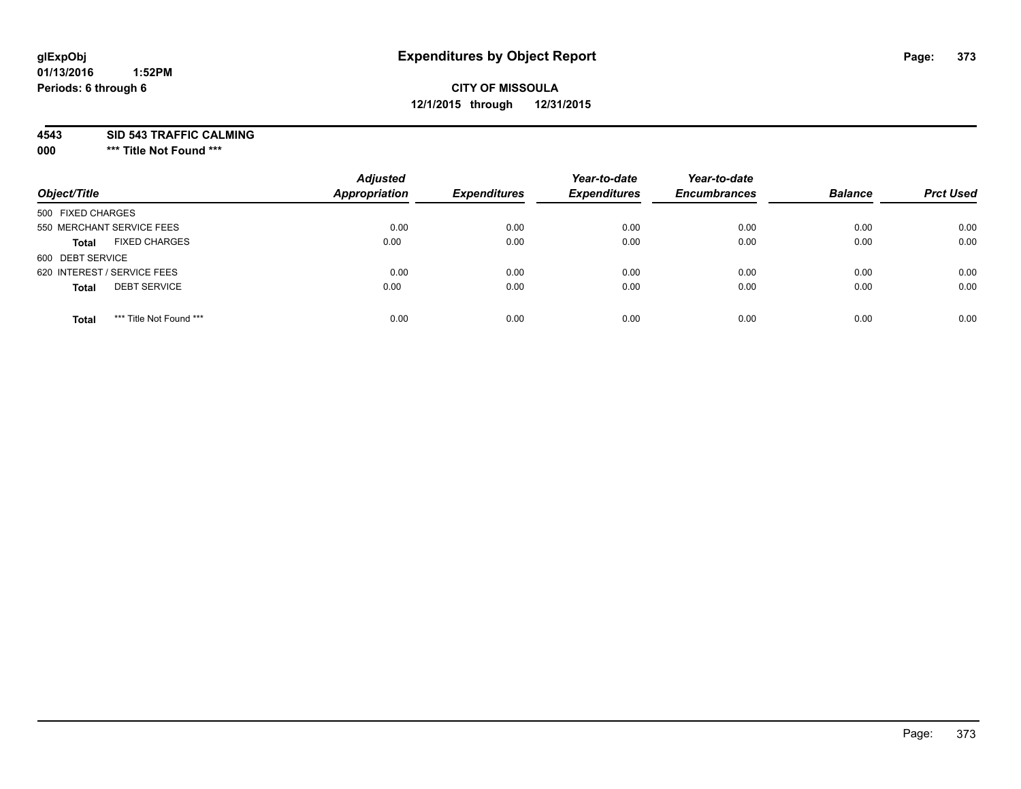## **CITY OF MISSOULA 12/1/2015 through 12/31/2015**

**4543 SID 543 TRAFFIC CALMING**

**000 \*\*\* Title Not Found \*\*\***

| Object/Title                            | <b>Adjusted</b><br><b>Appropriation</b> | <b>Expenditures</b> | Year-to-date<br><b>Expenditures</b> | Year-to-date<br><b>Encumbrances</b> | <b>Balance</b> | <b>Prct Used</b> |
|-----------------------------------------|-----------------------------------------|---------------------|-------------------------------------|-------------------------------------|----------------|------------------|
| 500 FIXED CHARGES                       |                                         |                     |                                     |                                     |                |                  |
| 550 MERCHANT SERVICE FEES               | 0.00                                    | 0.00                | 0.00                                | 0.00                                | 0.00           | 0.00             |
| <b>FIXED CHARGES</b><br><b>Total</b>    | 0.00                                    | 0.00                | 0.00                                | 0.00                                | 0.00           | 0.00             |
| 600 DEBT SERVICE                        |                                         |                     |                                     |                                     |                |                  |
| 620 INTEREST / SERVICE FEES             | 0.00                                    | 0.00                | 0.00                                | 0.00                                | 0.00           | 0.00             |
| <b>DEBT SERVICE</b><br><b>Total</b>     | 0.00                                    | 0.00                | 0.00                                | 0.00                                | 0.00           | 0.00             |
| *** Title Not Found ***<br><b>Total</b> | 0.00                                    | 0.00                | 0.00                                | 0.00                                | 0.00           | 0.00             |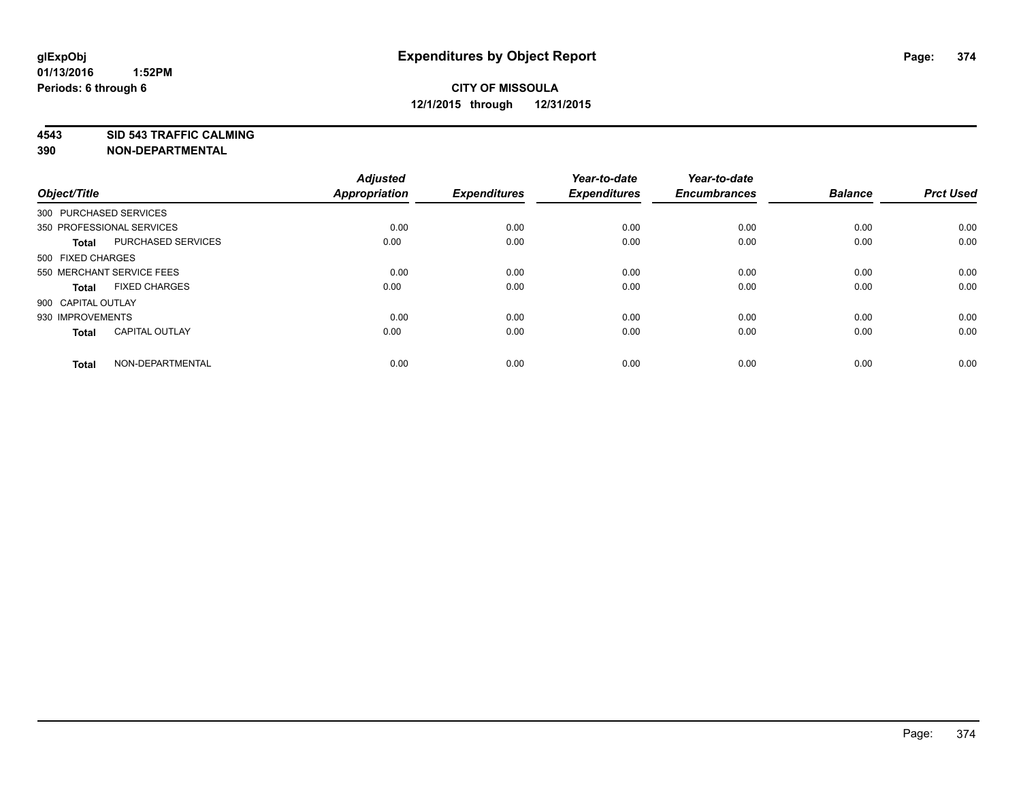**4543 SID 543 TRAFFIC CALMING**

| Object/Title           |                           | <b>Adjusted</b><br><b>Appropriation</b> | <b>Expenditures</b> | Year-to-date<br><b>Expenditures</b> | Year-to-date<br><b>Encumbrances</b> | <b>Balance</b> | <b>Prct Used</b> |
|------------------------|---------------------------|-----------------------------------------|---------------------|-------------------------------------|-------------------------------------|----------------|------------------|
| 300 PURCHASED SERVICES |                           |                                         |                     |                                     |                                     |                |                  |
|                        | 350 PROFESSIONAL SERVICES | 0.00                                    | 0.00                | 0.00                                | 0.00                                | 0.00           | 0.00             |
| <b>Total</b>           | PURCHASED SERVICES        | 0.00                                    | 0.00                | 0.00                                | 0.00                                | 0.00           | 0.00             |
| 500 FIXED CHARGES      |                           |                                         |                     |                                     |                                     |                |                  |
|                        | 550 MERCHANT SERVICE FEES | 0.00                                    | 0.00                | 0.00                                | 0.00                                | 0.00           | 0.00             |
| <b>Total</b>           | <b>FIXED CHARGES</b>      | 0.00                                    | 0.00                | 0.00                                | 0.00                                | 0.00           | 0.00             |
| 900 CAPITAL OUTLAY     |                           |                                         |                     |                                     |                                     |                |                  |
| 930 IMPROVEMENTS       |                           | 0.00                                    | 0.00                | 0.00                                | 0.00                                | 0.00           | 0.00             |
| <b>Total</b>           | <b>CAPITAL OUTLAY</b>     | 0.00                                    | 0.00                | 0.00                                | 0.00                                | 0.00           | 0.00             |
| <b>Total</b>           | NON-DEPARTMENTAL          | 0.00                                    | 0.00                | 0.00                                | 0.00                                | 0.00           | 0.00             |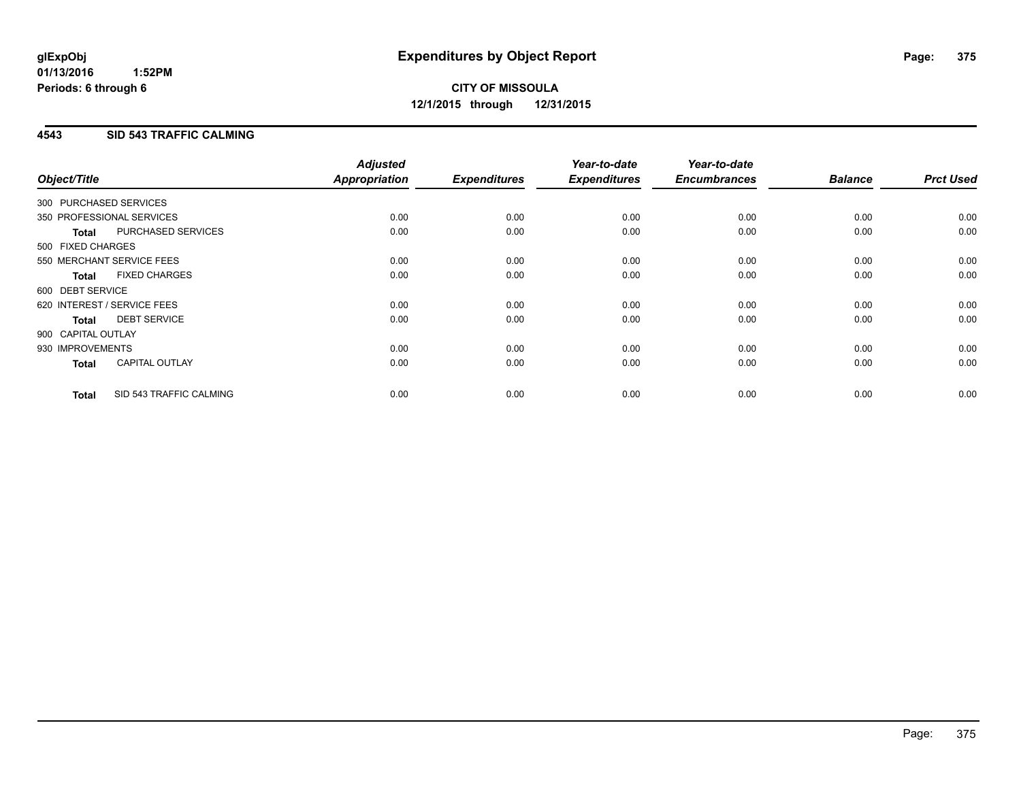# **CITY OF MISSOULA 12/1/2015 through 12/31/2015**

### **4543 SID 543 TRAFFIC CALMING**

| Object/Title           |                             | <b>Adjusted</b><br>Appropriation | <b>Expenditures</b> | Year-to-date<br><b>Expenditures</b> | Year-to-date<br><b>Encumbrances</b> | <b>Balance</b> | <b>Prct Used</b> |
|------------------------|-----------------------------|----------------------------------|---------------------|-------------------------------------|-------------------------------------|----------------|------------------|
| 300 PURCHASED SERVICES |                             |                                  |                     |                                     |                                     |                |                  |
|                        |                             |                                  |                     |                                     |                                     |                |                  |
|                        | 350 PROFESSIONAL SERVICES   | 0.00                             | 0.00                | 0.00                                | 0.00                                | 0.00           | 0.00             |
| <b>Total</b>           | PURCHASED SERVICES          | 0.00                             | 0.00                | 0.00                                | 0.00                                | 0.00           | 0.00             |
| 500 FIXED CHARGES      |                             |                                  |                     |                                     |                                     |                |                  |
|                        | 550 MERCHANT SERVICE FEES   | 0.00                             | 0.00                | 0.00                                | 0.00                                | 0.00           | 0.00             |
| <b>Total</b>           | <b>FIXED CHARGES</b>        | 0.00                             | 0.00                | 0.00                                | 0.00                                | 0.00           | 0.00             |
| 600 DEBT SERVICE       |                             |                                  |                     |                                     |                                     |                |                  |
|                        | 620 INTEREST / SERVICE FEES | 0.00                             | 0.00                | 0.00                                | 0.00                                | 0.00           | 0.00             |
| Total                  | <b>DEBT SERVICE</b>         | 0.00                             | 0.00                | 0.00                                | 0.00                                | 0.00           | 0.00             |
| 900 CAPITAL OUTLAY     |                             |                                  |                     |                                     |                                     |                |                  |
| 930 IMPROVEMENTS       |                             | 0.00                             | 0.00                | 0.00                                | 0.00                                | 0.00           | 0.00             |
| <b>Total</b>           | CAPITAL OUTLAY              | 0.00                             | 0.00                | 0.00                                | 0.00                                | 0.00           | 0.00             |
| <b>Total</b>           | SID 543 TRAFFIC CALMING     | 0.00                             | 0.00                | 0.00                                | 0.00                                | 0.00           | 0.00             |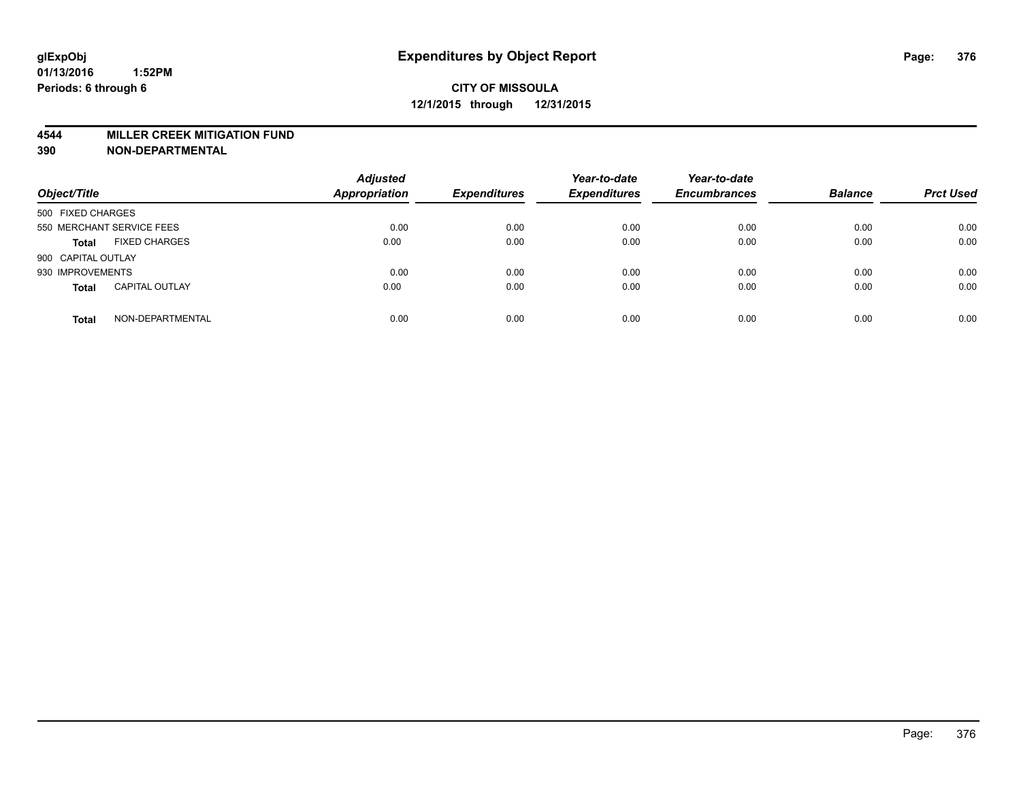#### **4544 MILLER CREEK MITIGATION FUND**

| Object/Title                          | <b>Adjusted</b><br><b>Appropriation</b> | <b>Expenditures</b> | Year-to-date<br><b>Expenditures</b> | Year-to-date<br><b>Encumbrances</b> | <b>Balance</b> | <b>Prct Used</b> |
|---------------------------------------|-----------------------------------------|---------------------|-------------------------------------|-------------------------------------|----------------|------------------|
| 500 FIXED CHARGES                     |                                         |                     |                                     |                                     |                |                  |
| 550 MERCHANT SERVICE FEES             | 0.00                                    | 0.00                | 0.00                                | 0.00                                | 0.00           | 0.00             |
| <b>FIXED CHARGES</b><br><b>Total</b>  | 0.00                                    | 0.00                | 0.00                                | 0.00                                | 0.00           | 0.00             |
| 900 CAPITAL OUTLAY                    |                                         |                     |                                     |                                     |                |                  |
| 930 IMPROVEMENTS                      | 0.00                                    | 0.00                | 0.00                                | 0.00                                | 0.00           | 0.00             |
| <b>CAPITAL OUTLAY</b><br><b>Total</b> | 0.00                                    | 0.00                | 0.00                                | 0.00                                | 0.00           | 0.00             |
| NON-DEPARTMENTAL<br><b>Total</b>      | 0.00                                    | 0.00                | 0.00                                | 0.00                                | 0.00           | 0.00             |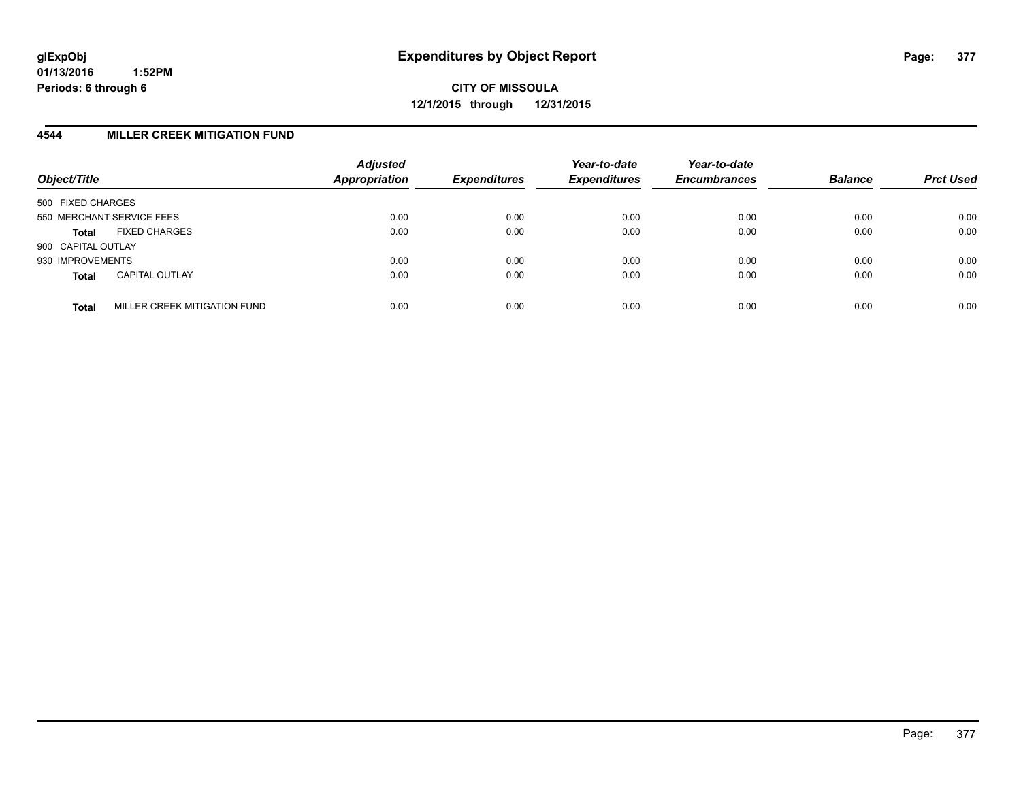#### **4544 MILLER CREEK MITIGATION FUND**

| Object/Title              |                              | <b>Adjusted</b><br>Appropriation | <b>Expenditures</b> | Year-to-date<br><b>Expenditures</b> | Year-to-date<br><b>Encumbrances</b> | <b>Balance</b> | <b>Prct Used</b> |
|---------------------------|------------------------------|----------------------------------|---------------------|-------------------------------------|-------------------------------------|----------------|------------------|
| 500 FIXED CHARGES         |                              |                                  |                     |                                     |                                     |                |                  |
| 550 MERCHANT SERVICE FEES |                              | 0.00                             | 0.00                | 0.00                                | 0.00                                | 0.00           | 0.00             |
| <b>Total</b>              | <b>FIXED CHARGES</b>         | 0.00                             | 0.00                | 0.00                                | 0.00                                | 0.00           | 0.00             |
| 900 CAPITAL OUTLAY        |                              |                                  |                     |                                     |                                     |                |                  |
| 930 IMPROVEMENTS          |                              | 0.00                             | 0.00                | 0.00                                | 0.00                                | 0.00           | 0.00             |
| <b>Total</b>              | <b>CAPITAL OUTLAY</b>        | 0.00                             | 0.00                | 0.00                                | 0.00                                | 0.00           | 0.00             |
| <b>Total</b>              | MILLER CREEK MITIGATION FUND | 0.00                             | 0.00                | 0.00                                | 0.00                                | 0.00           | 0.00             |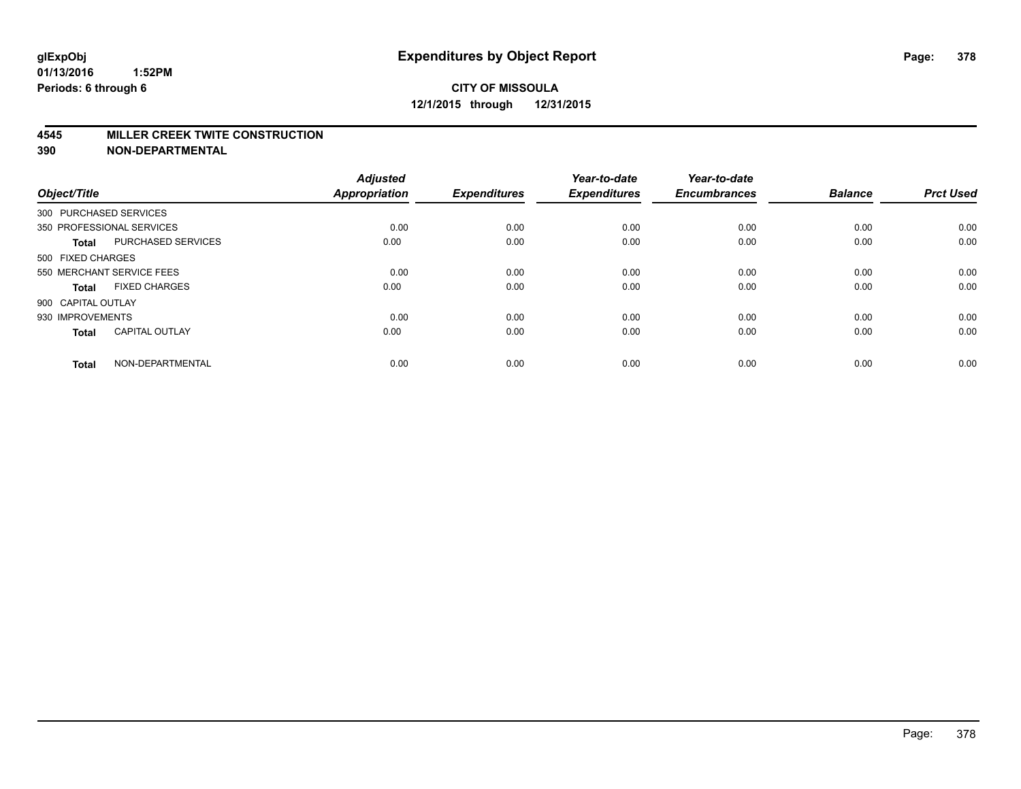#### **4545 MILLER CREEK TWITE CONSTRUCTION**

| Object/Title       |                           | <b>Adjusted</b><br><b>Appropriation</b> | <b>Expenditures</b> | Year-to-date<br><b>Expenditures</b> | Year-to-date<br><b>Encumbrances</b> | <b>Balance</b> | <b>Prct Used</b> |
|--------------------|---------------------------|-----------------------------------------|---------------------|-------------------------------------|-------------------------------------|----------------|------------------|
|                    | 300 PURCHASED SERVICES    |                                         |                     |                                     |                                     |                |                  |
|                    | 350 PROFESSIONAL SERVICES | 0.00                                    | 0.00                | 0.00                                | 0.00                                | 0.00           | 0.00             |
| <b>Total</b>       | <b>PURCHASED SERVICES</b> | 0.00                                    | 0.00                | 0.00                                | 0.00                                | 0.00           | 0.00             |
| 500 FIXED CHARGES  |                           |                                         |                     |                                     |                                     |                |                  |
|                    | 550 MERCHANT SERVICE FEES | 0.00                                    | 0.00                | 0.00                                | 0.00                                | 0.00           | 0.00             |
| Total              | <b>FIXED CHARGES</b>      | 0.00                                    | 0.00                | 0.00                                | 0.00                                | 0.00           | 0.00             |
| 900 CAPITAL OUTLAY |                           |                                         |                     |                                     |                                     |                |                  |
| 930 IMPROVEMENTS   |                           | 0.00                                    | 0.00                | 0.00                                | 0.00                                | 0.00           | 0.00             |
| Total              | <b>CAPITAL OUTLAY</b>     | 0.00                                    | 0.00                | 0.00                                | 0.00                                | 0.00           | 0.00             |
| <b>Total</b>       | NON-DEPARTMENTAL          | 0.00                                    | 0.00                | 0.00                                | 0.00                                | 0.00           | 0.00             |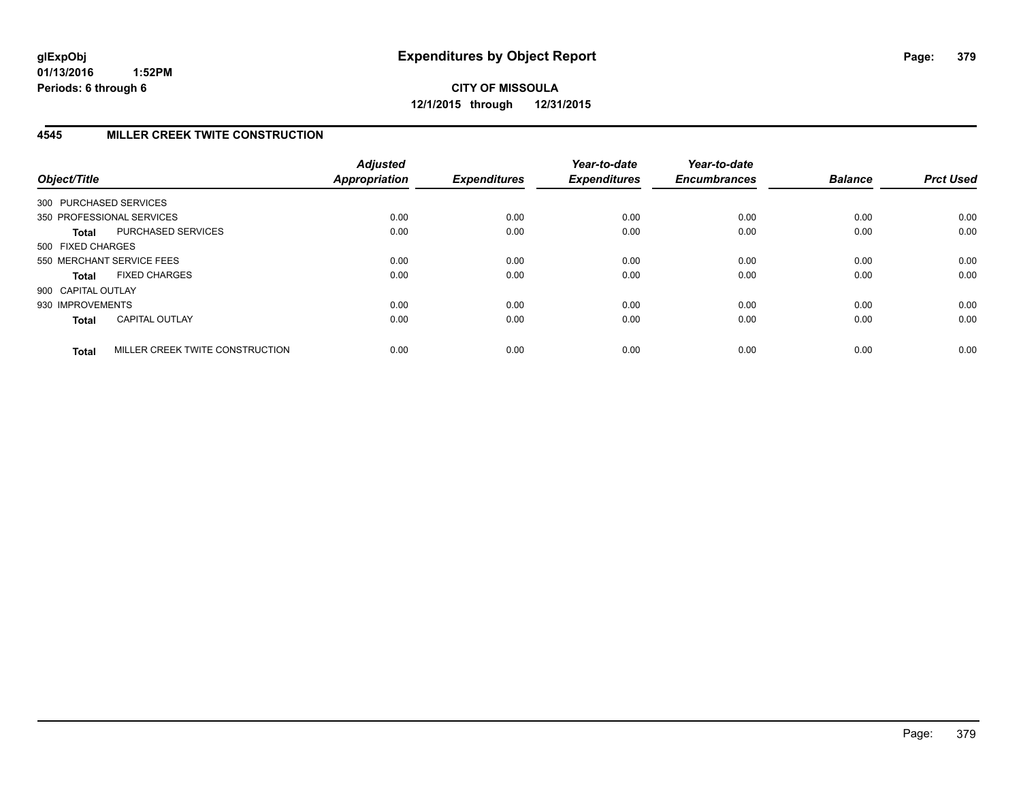# **4545 MILLER CREEK TWITE CONSTRUCTION**

| Object/Title           |                                 | <b>Adjusted</b><br><b>Appropriation</b> | <b>Expenditures</b> | Year-to-date<br><b>Expenditures</b> | Year-to-date<br><b>Encumbrances</b> | <b>Balance</b> | <b>Prct Used</b> |
|------------------------|---------------------------------|-----------------------------------------|---------------------|-------------------------------------|-------------------------------------|----------------|------------------|
| 300 PURCHASED SERVICES |                                 |                                         |                     |                                     |                                     |                |                  |
|                        | 350 PROFESSIONAL SERVICES       | 0.00                                    | 0.00                | 0.00                                | 0.00                                | 0.00           | 0.00             |
| <b>Total</b>           | <b>PURCHASED SERVICES</b>       | 0.00                                    | 0.00                | 0.00                                | 0.00                                | 0.00           | 0.00             |
| 500 FIXED CHARGES      |                                 |                                         |                     |                                     |                                     |                |                  |
|                        | 550 MERCHANT SERVICE FEES       | 0.00                                    | 0.00                | 0.00                                | 0.00                                | 0.00           | 0.00             |
| <b>Total</b>           | <b>FIXED CHARGES</b>            | 0.00                                    | 0.00                | 0.00                                | 0.00                                | 0.00           | 0.00             |
| 900 CAPITAL OUTLAY     |                                 |                                         |                     |                                     |                                     |                |                  |
| 930 IMPROVEMENTS       |                                 | 0.00                                    | 0.00                | 0.00                                | 0.00                                | 0.00           | 0.00             |
| <b>Total</b>           | <b>CAPITAL OUTLAY</b>           | 0.00                                    | 0.00                | 0.00                                | 0.00                                | 0.00           | 0.00             |
| <b>Total</b>           | MILLER CREEK TWITE CONSTRUCTION | 0.00                                    | 0.00                | 0.00                                | 0.00                                | 0.00           | 0.00             |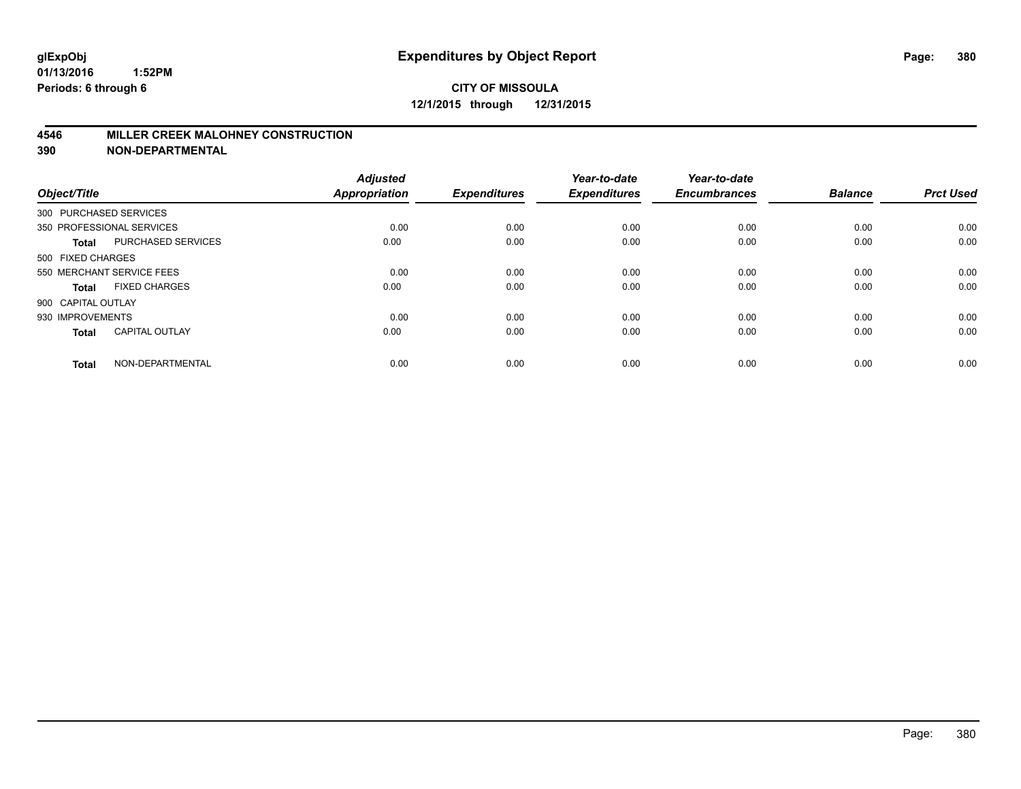#### **4546 MILLER CREEK MALOHNEY CONSTRUCTION**

| Object/Title       |                           | <b>Adjusted</b><br><b>Appropriation</b> | <b>Expenditures</b> | Year-to-date<br><b>Expenditures</b> | Year-to-date<br><b>Encumbrances</b> | <b>Balance</b> | <b>Prct Used</b> |
|--------------------|---------------------------|-----------------------------------------|---------------------|-------------------------------------|-------------------------------------|----------------|------------------|
|                    | 300 PURCHASED SERVICES    |                                         |                     |                                     |                                     |                |                  |
|                    | 350 PROFESSIONAL SERVICES | 0.00                                    | 0.00                | 0.00                                | 0.00                                | 0.00           | 0.00             |
| <b>Total</b>       | <b>PURCHASED SERVICES</b> | 0.00                                    | 0.00                | 0.00                                | 0.00                                | 0.00           | 0.00             |
| 500 FIXED CHARGES  |                           |                                         |                     |                                     |                                     |                |                  |
|                    | 550 MERCHANT SERVICE FEES | 0.00                                    | 0.00                | 0.00                                | 0.00                                | 0.00           | 0.00             |
| Total              | <b>FIXED CHARGES</b>      | 0.00                                    | 0.00                | 0.00                                | 0.00                                | 0.00           | 0.00             |
| 900 CAPITAL OUTLAY |                           |                                         |                     |                                     |                                     |                |                  |
| 930 IMPROVEMENTS   |                           | 0.00                                    | 0.00                | 0.00                                | 0.00                                | 0.00           | 0.00             |
| <b>Total</b>       | <b>CAPITAL OUTLAY</b>     | 0.00                                    | 0.00                | 0.00                                | 0.00                                | 0.00           | 0.00             |
| <b>Total</b>       | NON-DEPARTMENTAL          | 0.00                                    | 0.00                | 0.00                                | 0.00                                | 0.00           | 0.00             |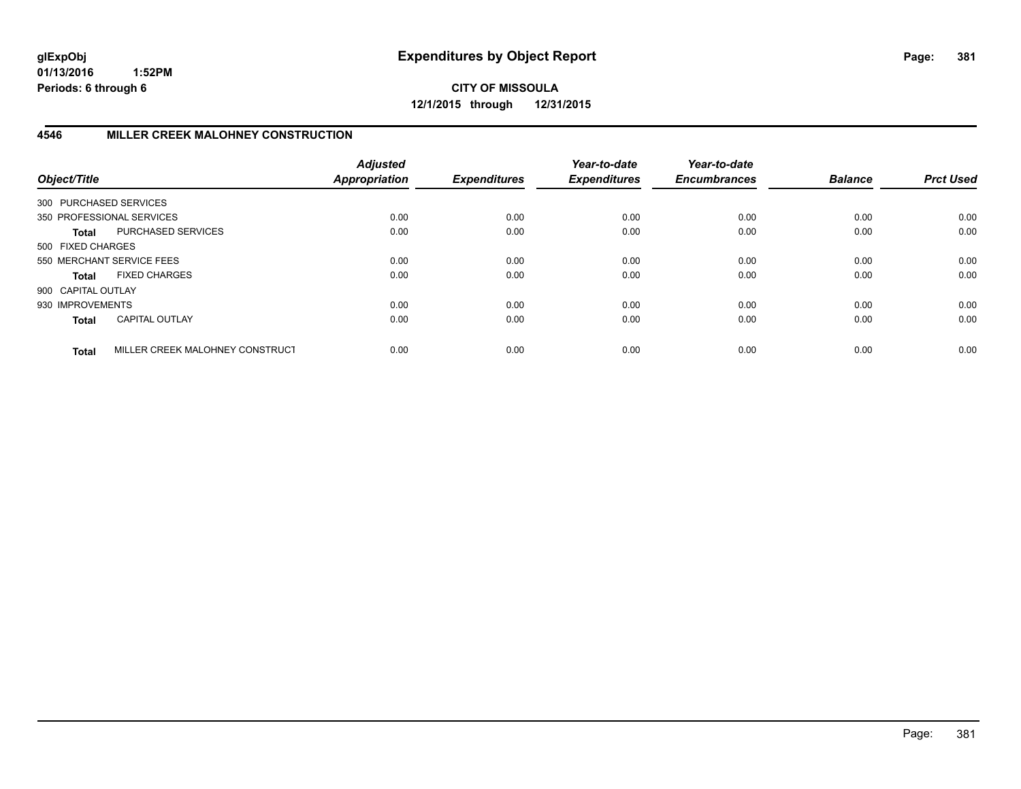**CITY OF MISSOULA 12/1/2015 through 12/31/2015**

## **4546 MILLER CREEK MALOHNEY CONSTRUCTION**

| Object/Title           |                                 | <b>Adjusted</b><br><b>Appropriation</b> | <b>Expenditures</b> | Year-to-date<br><b>Expenditures</b> | Year-to-date<br><b>Encumbrances</b> | <b>Balance</b> | <b>Prct Used</b> |
|------------------------|---------------------------------|-----------------------------------------|---------------------|-------------------------------------|-------------------------------------|----------------|------------------|
| 300 PURCHASED SERVICES |                                 |                                         |                     |                                     |                                     |                |                  |
|                        | 350 PROFESSIONAL SERVICES       | 0.00                                    | 0.00                | 0.00                                | 0.00                                | 0.00           | 0.00             |
| <b>Total</b>           | PURCHASED SERVICES              | 0.00                                    | 0.00                | 0.00                                | 0.00                                | 0.00           | 0.00             |
| 500 FIXED CHARGES      |                                 |                                         |                     |                                     |                                     |                |                  |
|                        | 550 MERCHANT SERVICE FEES       | 0.00                                    | 0.00                | 0.00                                | 0.00                                | 0.00           | 0.00             |
| <b>Total</b>           | <b>FIXED CHARGES</b>            | 0.00                                    | 0.00                | 0.00                                | 0.00                                | 0.00           | 0.00             |
| 900 CAPITAL OUTLAY     |                                 |                                         |                     |                                     |                                     |                |                  |
| 930 IMPROVEMENTS       |                                 | 0.00                                    | 0.00                | 0.00                                | 0.00                                | 0.00           | 0.00             |
| <b>Total</b>           | <b>CAPITAL OUTLAY</b>           | 0.00                                    | 0.00                | 0.00                                | 0.00                                | 0.00           | 0.00             |
| <b>Total</b>           | MILLER CREEK MALOHNEY CONSTRUCT | 0.00                                    | 0.00                | 0.00                                | 0.00                                | 0.00           | 0.00             |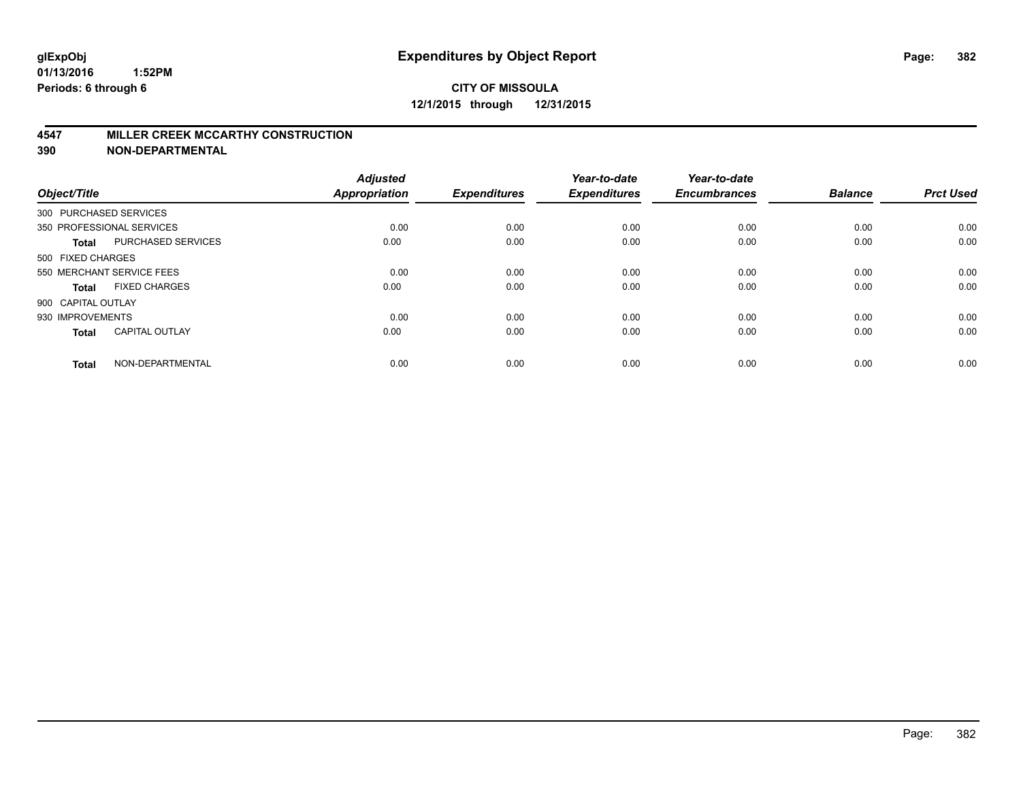#### **4547 MILLER CREEK MCCARTHY CONSTRUCTION**

| Object/Title       |                           | <b>Adjusted</b><br><b>Appropriation</b> | <b>Expenditures</b> | Year-to-date<br><b>Expenditures</b> | Year-to-date<br><b>Encumbrances</b> | <b>Balance</b> | <b>Prct Used</b> |
|--------------------|---------------------------|-----------------------------------------|---------------------|-------------------------------------|-------------------------------------|----------------|------------------|
|                    | 300 PURCHASED SERVICES    |                                         |                     |                                     |                                     |                |                  |
|                    | 350 PROFESSIONAL SERVICES | 0.00                                    | 0.00                | 0.00                                | 0.00                                | 0.00           | 0.00             |
| <b>Total</b>       | <b>PURCHASED SERVICES</b> | 0.00                                    | 0.00                | 0.00                                | 0.00                                | 0.00           | 0.00             |
| 500 FIXED CHARGES  |                           |                                         |                     |                                     |                                     |                |                  |
|                    | 550 MERCHANT SERVICE FEES | 0.00                                    | 0.00                | 0.00                                | 0.00                                | 0.00           | 0.00             |
| Total              | <b>FIXED CHARGES</b>      | 0.00                                    | 0.00                | 0.00                                | 0.00                                | 0.00           | 0.00             |
| 900 CAPITAL OUTLAY |                           |                                         |                     |                                     |                                     |                |                  |
| 930 IMPROVEMENTS   |                           | 0.00                                    | 0.00                | 0.00                                | 0.00                                | 0.00           | 0.00             |
| Total              | <b>CAPITAL OUTLAY</b>     | 0.00                                    | 0.00                | 0.00                                | 0.00                                | 0.00           | 0.00             |
| <b>Total</b>       | NON-DEPARTMENTAL          | 0.00                                    | 0.00                | 0.00                                | 0.00                                | 0.00           | 0.00             |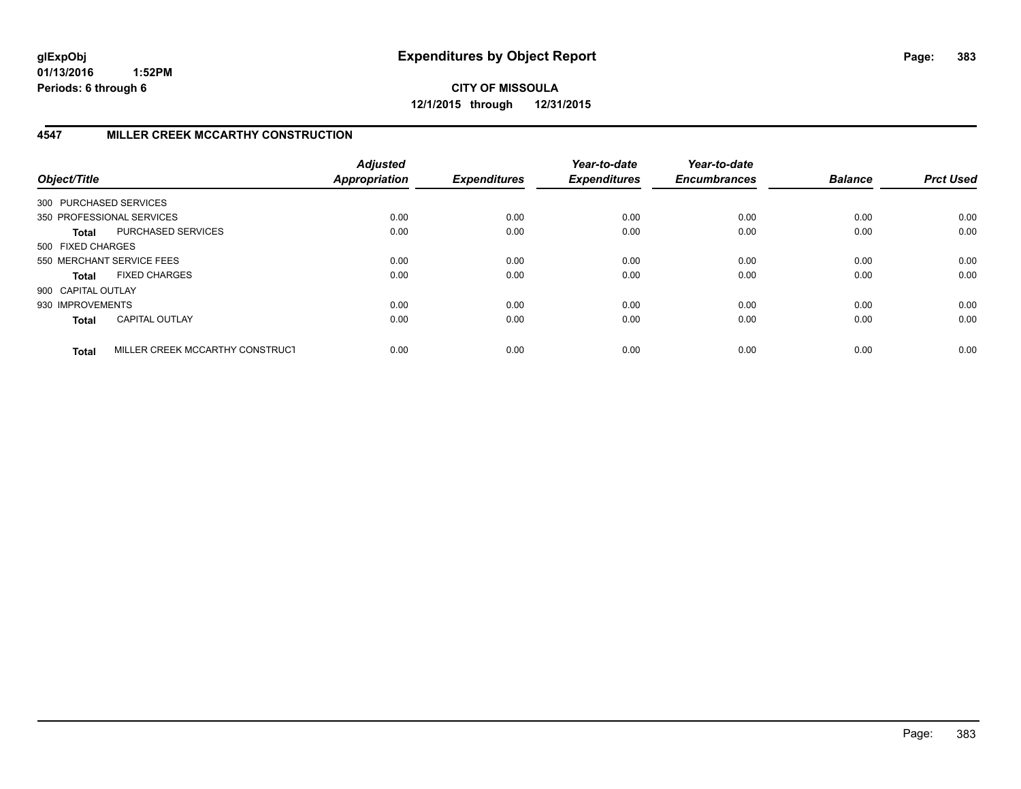**CITY OF MISSOULA 12/1/2015 through 12/31/2015**

## **4547 MILLER CREEK MCCARTHY CONSTRUCTION**

| Object/Title           |                                 | <b>Adjusted</b><br><b>Appropriation</b> | <b>Expenditures</b> | Year-to-date<br><b>Expenditures</b> | Year-to-date<br><b>Encumbrances</b> | <b>Balance</b> | <b>Prct Used</b> |
|------------------------|---------------------------------|-----------------------------------------|---------------------|-------------------------------------|-------------------------------------|----------------|------------------|
| 300 PURCHASED SERVICES |                                 |                                         |                     |                                     |                                     |                |                  |
|                        | 350 PROFESSIONAL SERVICES       | 0.00                                    | 0.00                | 0.00                                | 0.00                                | 0.00           | 0.00             |
| <b>Total</b>           | PURCHASED SERVICES              | 0.00                                    | 0.00                | 0.00                                | 0.00                                | 0.00           | 0.00             |
| 500 FIXED CHARGES      |                                 |                                         |                     |                                     |                                     |                |                  |
|                        | 550 MERCHANT SERVICE FEES       | 0.00                                    | 0.00                | 0.00                                | 0.00                                | 0.00           | 0.00             |
| <b>Total</b>           | <b>FIXED CHARGES</b>            | 0.00                                    | 0.00                | 0.00                                | 0.00                                | 0.00           | 0.00             |
| 900 CAPITAL OUTLAY     |                                 |                                         |                     |                                     |                                     |                |                  |
| 930 IMPROVEMENTS       |                                 | 0.00                                    | 0.00                | 0.00                                | 0.00                                | 0.00           | 0.00             |
| <b>Total</b>           | <b>CAPITAL OUTLAY</b>           | 0.00                                    | 0.00                | 0.00                                | 0.00                                | 0.00           | 0.00             |
| <b>Total</b>           | MILLER CREEK MCCARTHY CONSTRUCT | 0.00                                    | 0.00                | 0.00                                | 0.00                                | 0.00           | 0.00             |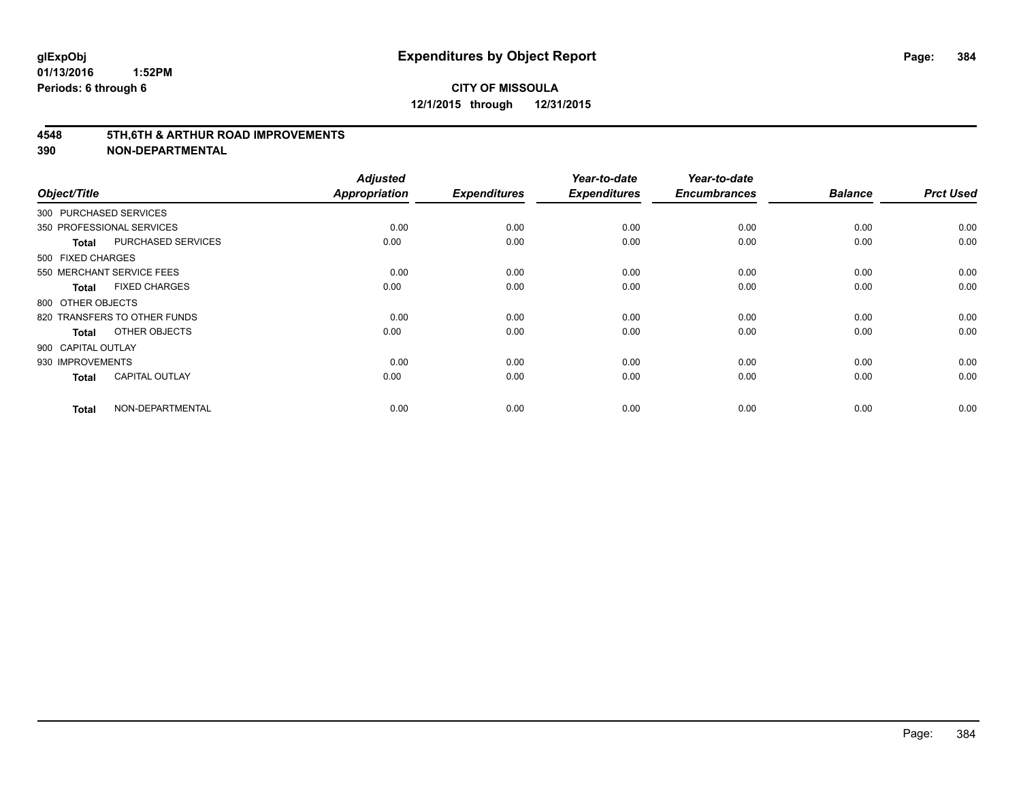#### **4548 5TH,6TH & ARTHUR ROAD IMPROVEMENTS**

| Object/Title           |                              | <b>Adjusted</b><br>Appropriation | <b>Expenditures</b> | Year-to-date<br><b>Expenditures</b> | Year-to-date<br><b>Encumbrances</b> | <b>Balance</b> | <b>Prct Used</b> |
|------------------------|------------------------------|----------------------------------|---------------------|-------------------------------------|-------------------------------------|----------------|------------------|
| 300 PURCHASED SERVICES |                              |                                  |                     |                                     |                                     |                |                  |
|                        | 350 PROFESSIONAL SERVICES    | 0.00                             | 0.00                | 0.00                                | 0.00                                | 0.00           | 0.00             |
| <b>Total</b>           | PURCHASED SERVICES           | 0.00                             | 0.00                | 0.00                                | 0.00                                | 0.00           | 0.00             |
| 500 FIXED CHARGES      |                              |                                  |                     |                                     |                                     |                |                  |
|                        | 550 MERCHANT SERVICE FEES    | 0.00                             | 0.00                | 0.00                                | 0.00                                | 0.00           | 0.00             |
| <b>Total</b>           | <b>FIXED CHARGES</b>         | 0.00                             | 0.00                | 0.00                                | 0.00                                | 0.00           | 0.00             |
| 800 OTHER OBJECTS      |                              |                                  |                     |                                     |                                     |                |                  |
|                        | 820 TRANSFERS TO OTHER FUNDS | 0.00                             | 0.00                | 0.00                                | 0.00                                | 0.00           | 0.00             |
| <b>Total</b>           | OTHER OBJECTS                | 0.00                             | 0.00                | 0.00                                | 0.00                                | 0.00           | 0.00             |
| 900 CAPITAL OUTLAY     |                              |                                  |                     |                                     |                                     |                |                  |
| 930 IMPROVEMENTS       |                              | 0.00                             | 0.00                | 0.00                                | 0.00                                | 0.00           | 0.00             |
| <b>Total</b>           | <b>CAPITAL OUTLAY</b>        | 0.00                             | 0.00                | 0.00                                | 0.00                                | 0.00           | 0.00             |
| <b>Total</b>           | NON-DEPARTMENTAL             | 0.00                             | 0.00                | 0.00                                | 0.00                                | 0.00           | 0.00             |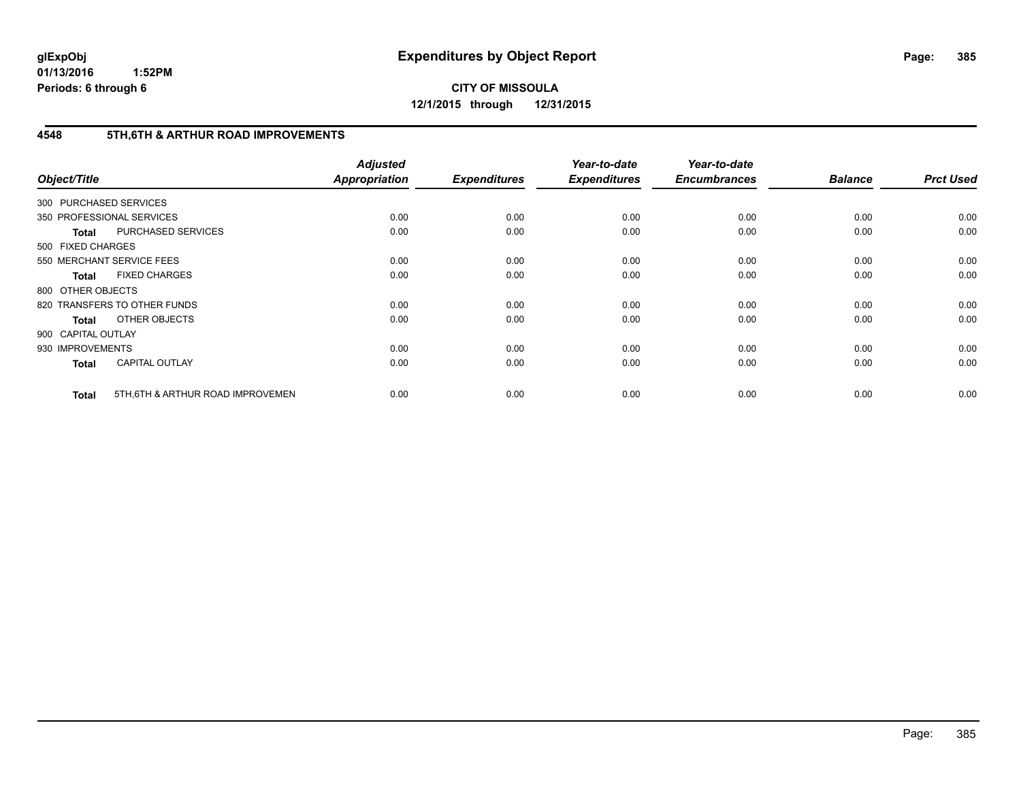**CITY OF MISSOULA 12/1/2015 through 12/31/2015**

### **4548 5TH,6TH & ARTHUR ROAD IMPROVEMENTS**

| Object/Title           |                                   | <b>Adjusted</b><br>Appropriation | <b>Expenditures</b> | Year-to-date<br><b>Expenditures</b> | Year-to-date<br><b>Encumbrances</b> | <b>Balance</b> | <b>Prct Used</b> |
|------------------------|-----------------------------------|----------------------------------|---------------------|-------------------------------------|-------------------------------------|----------------|------------------|
| 300 PURCHASED SERVICES |                                   |                                  |                     |                                     |                                     |                |                  |
|                        | 350 PROFESSIONAL SERVICES         | 0.00                             | 0.00                | 0.00                                | 0.00                                | 0.00           | 0.00             |
| <b>Total</b>           | PURCHASED SERVICES                | 0.00                             | 0.00                | 0.00                                | 0.00                                | 0.00           | 0.00             |
| 500 FIXED CHARGES      |                                   |                                  |                     |                                     |                                     |                |                  |
|                        | 550 MERCHANT SERVICE FEES         | 0.00                             | 0.00                | 0.00                                | 0.00                                | 0.00           | 0.00             |
| <b>Total</b>           | <b>FIXED CHARGES</b>              | 0.00                             | 0.00                | 0.00                                | 0.00                                | 0.00           | 0.00             |
| 800 OTHER OBJECTS      |                                   |                                  |                     |                                     |                                     |                |                  |
|                        | 820 TRANSFERS TO OTHER FUNDS      | 0.00                             | 0.00                | 0.00                                | 0.00                                | 0.00           | 0.00             |
| Total                  | OTHER OBJECTS                     | 0.00                             | 0.00                | 0.00                                | 0.00                                | 0.00           | 0.00             |
| 900 CAPITAL OUTLAY     |                                   |                                  |                     |                                     |                                     |                |                  |
| 930 IMPROVEMENTS       |                                   | 0.00                             | 0.00                | 0.00                                | 0.00                                | 0.00           | 0.00             |
| <b>Total</b>           | <b>CAPITAL OUTLAY</b>             | 0.00                             | 0.00                | 0.00                                | 0.00                                | 0.00           | 0.00             |
| <b>Total</b>           | 5TH, 6TH & ARTHUR ROAD IMPROVEMEN | 0.00                             | 0.00                | 0.00                                | 0.00                                | 0.00           | 0.00             |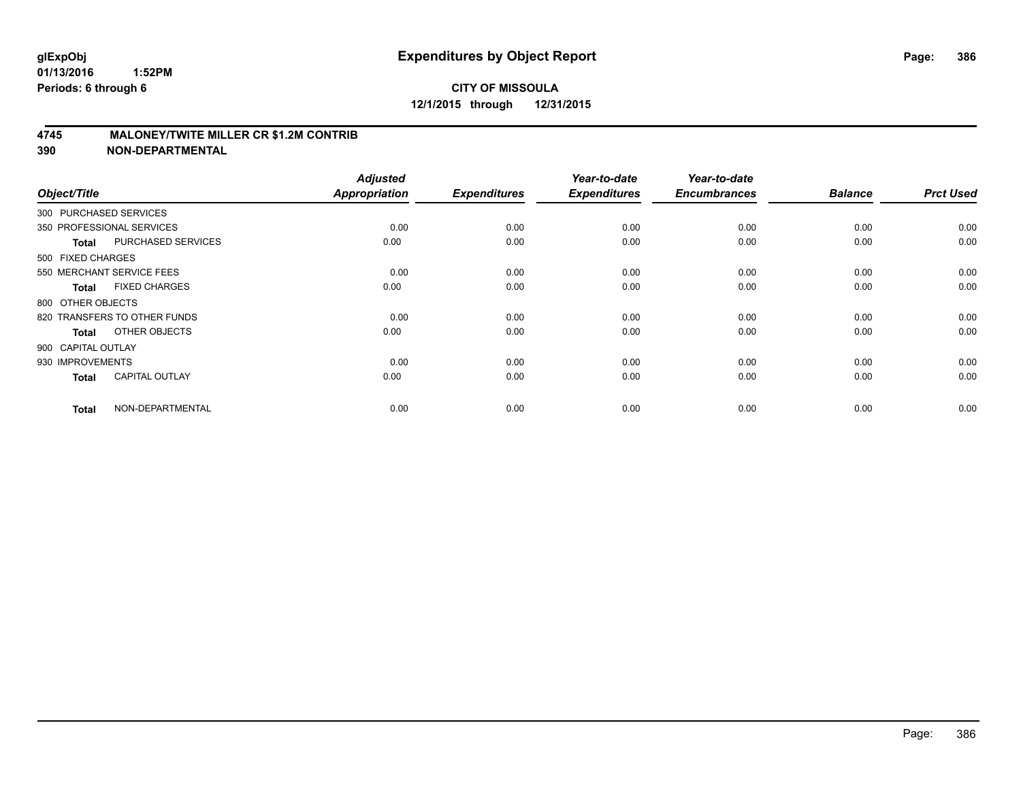#### **4745 MALONEY/TWITE MILLER CR \$1.2M CONTRIB**

| Object/Title       |                              | <b>Adjusted</b><br><b>Appropriation</b> | <b>Expenditures</b> | Year-to-date<br><b>Expenditures</b> | Year-to-date<br><b>Encumbrances</b> | <b>Balance</b> | <b>Prct Used</b> |
|--------------------|------------------------------|-----------------------------------------|---------------------|-------------------------------------|-------------------------------------|----------------|------------------|
|                    | 300 PURCHASED SERVICES       |                                         |                     |                                     |                                     |                |                  |
|                    | 350 PROFESSIONAL SERVICES    | 0.00                                    | 0.00                | 0.00                                | 0.00                                | 0.00           | 0.00             |
| <b>Total</b>       | PURCHASED SERVICES           | 0.00                                    | 0.00                | 0.00                                | 0.00                                | 0.00           | 0.00             |
| 500 FIXED CHARGES  |                              |                                         |                     |                                     |                                     |                |                  |
|                    | 550 MERCHANT SERVICE FEES    | 0.00                                    | 0.00                | 0.00                                | 0.00                                | 0.00           | 0.00             |
| <b>Total</b>       | <b>FIXED CHARGES</b>         | 0.00                                    | 0.00                | 0.00                                | 0.00                                | 0.00           | 0.00             |
| 800 OTHER OBJECTS  |                              |                                         |                     |                                     |                                     |                |                  |
|                    | 820 TRANSFERS TO OTHER FUNDS | 0.00                                    | 0.00                | 0.00                                | 0.00                                | 0.00           | 0.00             |
| <b>Total</b>       | OTHER OBJECTS                | 0.00                                    | 0.00                | 0.00                                | 0.00                                | 0.00           | 0.00             |
| 900 CAPITAL OUTLAY |                              |                                         |                     |                                     |                                     |                |                  |
| 930 IMPROVEMENTS   |                              | 0.00                                    | 0.00                | 0.00                                | 0.00                                | 0.00           | 0.00             |
| <b>Total</b>       | <b>CAPITAL OUTLAY</b>        | 0.00                                    | 0.00                | 0.00                                | 0.00                                | 0.00           | 0.00             |
| <b>Total</b>       | NON-DEPARTMENTAL             | 0.00                                    | 0.00                | 0.00                                | 0.00                                | 0.00           | 0.00             |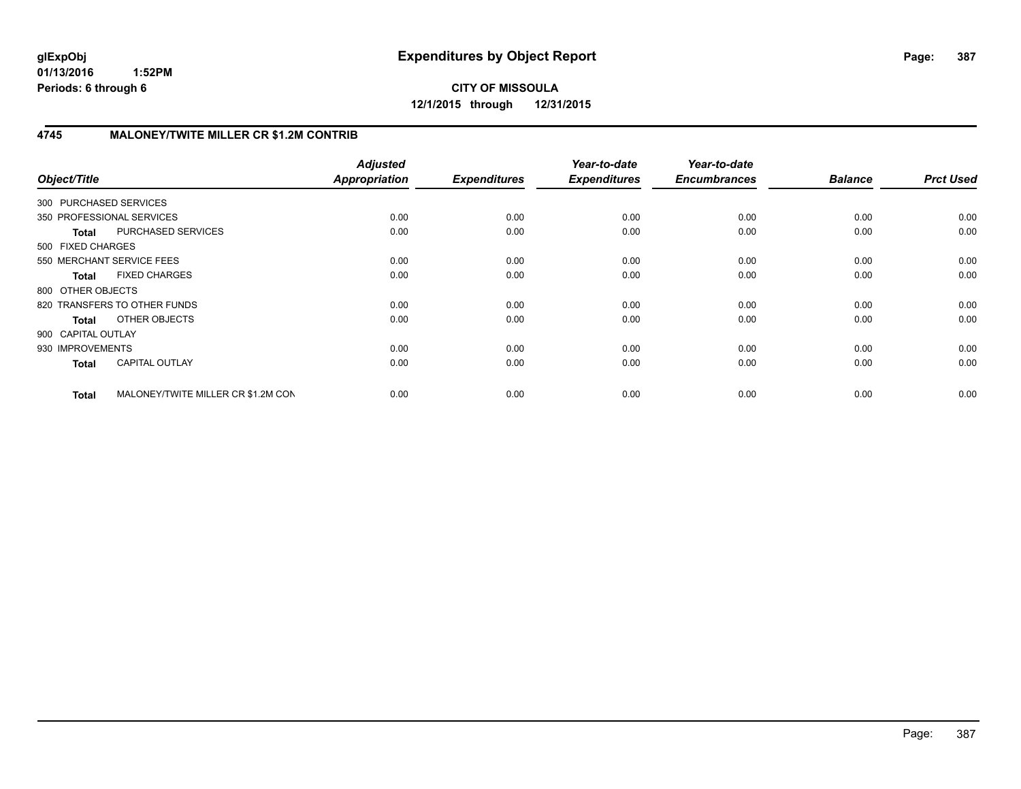# **4745 MALONEY/TWITE MILLER CR \$1.2M CONTRIB**

| Object/Title           |                                    | <b>Adjusted</b><br>Appropriation | <b>Expenditures</b> | Year-to-date<br><b>Expenditures</b> | Year-to-date<br><b>Encumbrances</b> | <b>Balance</b> | <b>Prct Used</b> |
|------------------------|------------------------------------|----------------------------------|---------------------|-------------------------------------|-------------------------------------|----------------|------------------|
| 300 PURCHASED SERVICES |                                    |                                  |                     |                                     |                                     |                |                  |
|                        | 350 PROFESSIONAL SERVICES          | 0.00                             | 0.00                | 0.00                                | 0.00                                | 0.00           | 0.00             |
| <b>Total</b>           | PURCHASED SERVICES                 | 0.00                             | 0.00                | 0.00                                | 0.00                                | 0.00           | 0.00             |
| 500 FIXED CHARGES      |                                    |                                  |                     |                                     |                                     |                |                  |
|                        | 550 MERCHANT SERVICE FEES          | 0.00                             | 0.00                | 0.00                                | 0.00                                | 0.00           | 0.00             |
| <b>Total</b>           | <b>FIXED CHARGES</b>               | 0.00                             | 0.00                | 0.00                                | 0.00                                | 0.00           | 0.00             |
| 800 OTHER OBJECTS      |                                    |                                  |                     |                                     |                                     |                |                  |
|                        | 820 TRANSFERS TO OTHER FUNDS       | 0.00                             | 0.00                | 0.00                                | 0.00                                | 0.00           | 0.00             |
| <b>Total</b>           | OTHER OBJECTS                      | 0.00                             | 0.00                | 0.00                                | 0.00                                | 0.00           | 0.00             |
| 900 CAPITAL OUTLAY     |                                    |                                  |                     |                                     |                                     |                |                  |
| 930 IMPROVEMENTS       |                                    | 0.00                             | 0.00                | 0.00                                | 0.00                                | 0.00           | 0.00             |
| <b>Total</b>           | <b>CAPITAL OUTLAY</b>              | 0.00                             | 0.00                | 0.00                                | 0.00                                | 0.00           | 0.00             |
| <b>Total</b>           | MALONEY/TWITE MILLER CR \$1.2M CON | 0.00                             | 0.00                | 0.00                                | 0.00                                | 0.00           | 0.00             |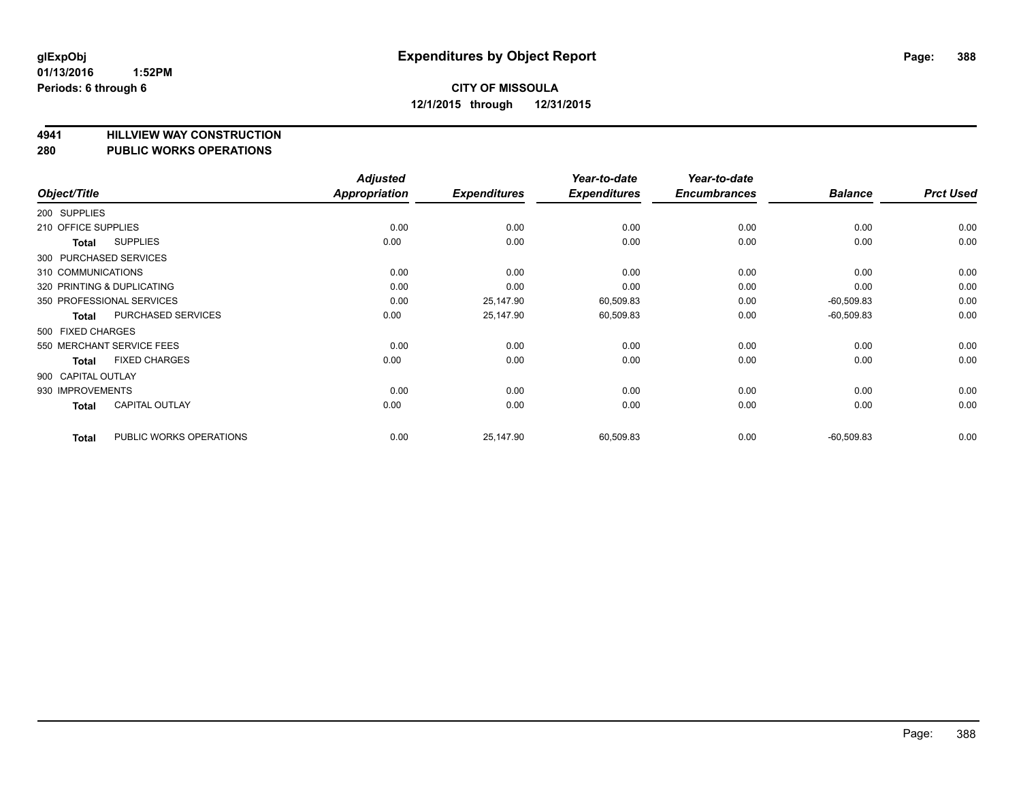# **4941 HILLVIEW WAY CONSTRUCTION**

#### **280 PUBLIC WORKS OPERATIONS**

| Object/Title        |                            | <b>Adjusted</b><br><b>Appropriation</b> | <b>Expenditures</b> | Year-to-date<br><b>Expenditures</b> | Year-to-date<br><b>Encumbrances</b> | <b>Balance</b> | <b>Prct Used</b> |
|---------------------|----------------------------|-----------------------------------------|---------------------|-------------------------------------|-------------------------------------|----------------|------------------|
| 200 SUPPLIES        |                            |                                         |                     |                                     |                                     |                |                  |
| 210 OFFICE SUPPLIES |                            | 0.00                                    | 0.00                | 0.00                                | 0.00                                | 0.00           | 0.00             |
| Total               | <b>SUPPLIES</b>            | 0.00                                    | 0.00                | 0.00                                | 0.00                                | 0.00           | 0.00             |
|                     | 300 PURCHASED SERVICES     |                                         |                     |                                     |                                     |                |                  |
| 310 COMMUNICATIONS  |                            | 0.00                                    | 0.00                | 0.00                                | 0.00                                | 0.00           | 0.00             |
|                     | 320 PRINTING & DUPLICATING | 0.00                                    | 0.00                | 0.00                                | 0.00                                | 0.00           | 0.00             |
|                     | 350 PROFESSIONAL SERVICES  | 0.00                                    | 25,147.90           | 60,509.83                           | 0.00                                | $-60,509.83$   | 0.00             |
| Total               | <b>PURCHASED SERVICES</b>  | 0.00                                    | 25,147.90           | 60,509.83                           | 0.00                                | $-60,509.83$   | 0.00             |
| 500 FIXED CHARGES   |                            |                                         |                     |                                     |                                     |                |                  |
|                     | 550 MERCHANT SERVICE FEES  | 0.00                                    | 0.00                | 0.00                                | 0.00                                | 0.00           | 0.00             |
| Total               | <b>FIXED CHARGES</b>       | 0.00                                    | 0.00                | 0.00                                | 0.00                                | 0.00           | 0.00             |
| 900 CAPITAL OUTLAY  |                            |                                         |                     |                                     |                                     |                |                  |
| 930 IMPROVEMENTS    |                            | 0.00                                    | 0.00                | 0.00                                | 0.00                                | 0.00           | 0.00             |
| <b>Total</b>        | <b>CAPITAL OUTLAY</b>      | 0.00                                    | 0.00                | 0.00                                | 0.00                                | 0.00           | 0.00             |
| <b>Total</b>        | PUBLIC WORKS OPERATIONS    | 0.00                                    | 25,147.90           | 60,509.83                           | 0.00                                | $-60,509.83$   | 0.00             |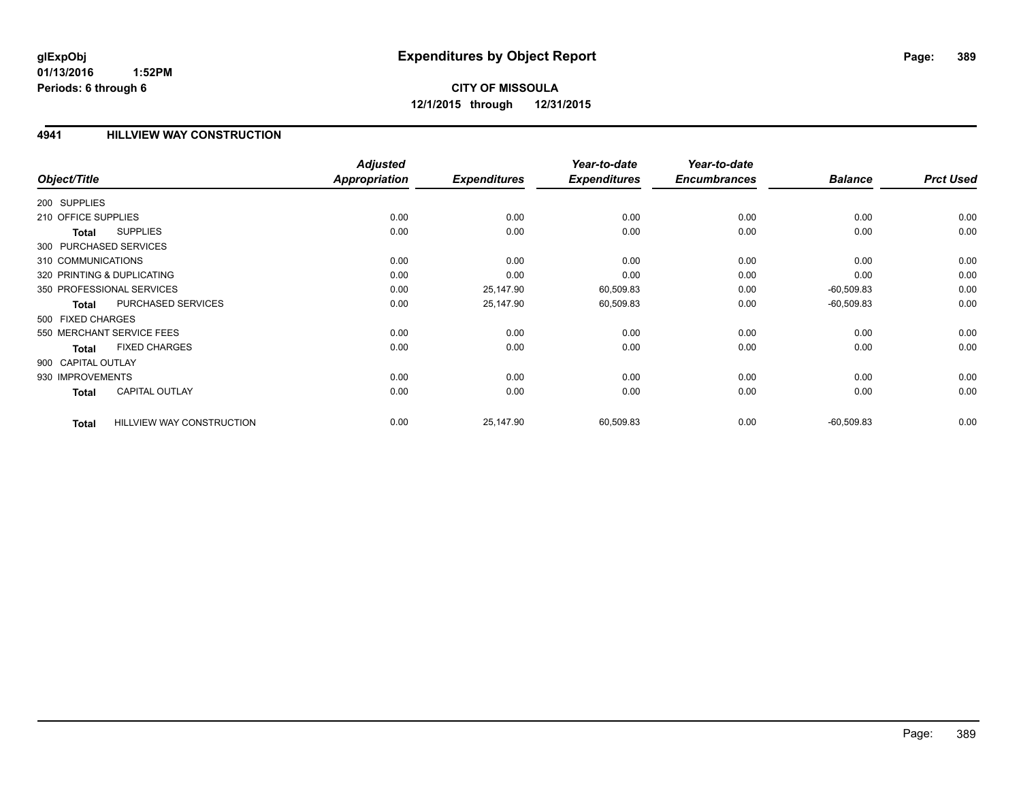# **CITY OF MISSOULA 12/1/2015 through 12/31/2015**

#### **4941 HILLVIEW WAY CONSTRUCTION**

|                     |                                  | <b>Adjusted</b>      |                     | Year-to-date        | Year-to-date        |                |                  |
|---------------------|----------------------------------|----------------------|---------------------|---------------------|---------------------|----------------|------------------|
| Object/Title        |                                  | <b>Appropriation</b> | <b>Expenditures</b> | <b>Expenditures</b> | <b>Encumbrances</b> | <b>Balance</b> | <b>Prct Used</b> |
| 200 SUPPLIES        |                                  |                      |                     |                     |                     |                |                  |
| 210 OFFICE SUPPLIES |                                  | 0.00                 | 0.00                | 0.00                | 0.00                | 0.00           | 0.00             |
| Total               | <b>SUPPLIES</b>                  | 0.00                 | 0.00                | 0.00                | 0.00                | 0.00           | 0.00             |
|                     | 300 PURCHASED SERVICES           |                      |                     |                     |                     |                |                  |
| 310 COMMUNICATIONS  |                                  | 0.00                 | 0.00                | 0.00                | 0.00                | 0.00           | 0.00             |
|                     | 320 PRINTING & DUPLICATING       | 0.00                 | 0.00                | 0.00                | 0.00                | 0.00           | 0.00             |
|                     | 350 PROFESSIONAL SERVICES        | 0.00                 | 25,147.90           | 60,509.83           | 0.00                | $-60,509.83$   | 0.00             |
| <b>Total</b>        | PURCHASED SERVICES               | 0.00                 | 25,147.90           | 60,509.83           | 0.00                | $-60,509.83$   | 0.00             |
| 500 FIXED CHARGES   |                                  |                      |                     |                     |                     |                |                  |
|                     | 550 MERCHANT SERVICE FEES        | 0.00                 | 0.00                | 0.00                | 0.00                | 0.00           | 0.00             |
| <b>Total</b>        | <b>FIXED CHARGES</b>             | 0.00                 | 0.00                | 0.00                | 0.00                | 0.00           | 0.00             |
| 900 CAPITAL OUTLAY  |                                  |                      |                     |                     |                     |                |                  |
| 930 IMPROVEMENTS    |                                  | 0.00                 | 0.00                | 0.00                | 0.00                | 0.00           | 0.00             |
| <b>Total</b>        | <b>CAPITAL OUTLAY</b>            | 0.00                 | 0.00                | 0.00                | 0.00                | 0.00           | 0.00             |
| <b>Total</b>        | <b>HILLVIEW WAY CONSTRUCTION</b> | 0.00                 | 25,147.90           | 60,509.83           | 0.00                | $-60,509.83$   | 0.00             |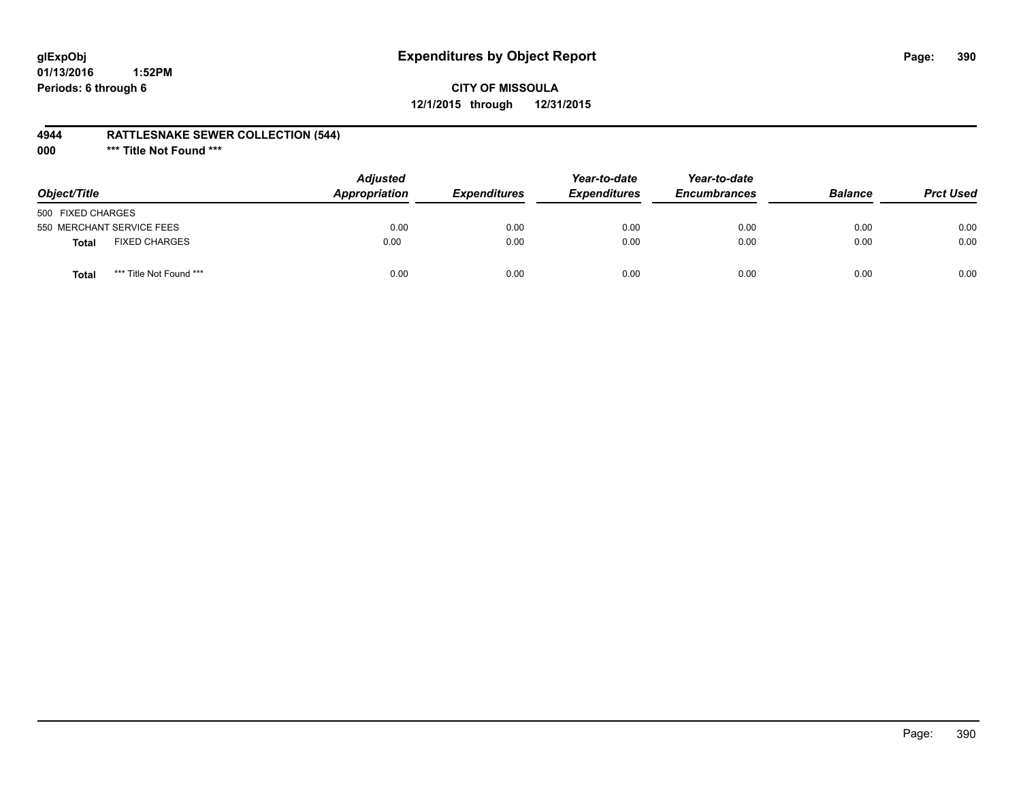# **glExpObj Expenditures by Object Report Page: 390**

## **CITY OF MISSOULA 12/1/2015 through 12/31/2015**

#### **4944 RATTLESNAKE SEWER COLLECTION (544)**

**000 \*\*\* Title Not Found \*\*\***

| Object/Title              |                         | <b>Adjusted</b><br><b>Appropriation</b> | <i><b>Expenditures</b></i> | Year-to-date<br><b>Expenditures</b> | Year-to-date<br><b>Encumbrances</b> | <b>Balance</b> | <b>Prct Used</b> |
|---------------------------|-------------------------|-----------------------------------------|----------------------------|-------------------------------------|-------------------------------------|----------------|------------------|
| 500 FIXED CHARGES         |                         |                                         |                            |                                     |                                     |                |                  |
| 550 MERCHANT SERVICE FEES |                         | 0.00                                    | 0.00                       | 0.00                                | 0.00                                | 0.00           | 0.00             |
| <b>Total</b>              | <b>FIXED CHARGES</b>    | 0.00                                    | 0.00                       | 0.00                                | 0.00                                | 0.00           | 0.00             |
| Total                     | *** Title Not Found *** | 0.00                                    | 0.00                       | 0.00                                | 0.00                                | 0.00           | 0.00             |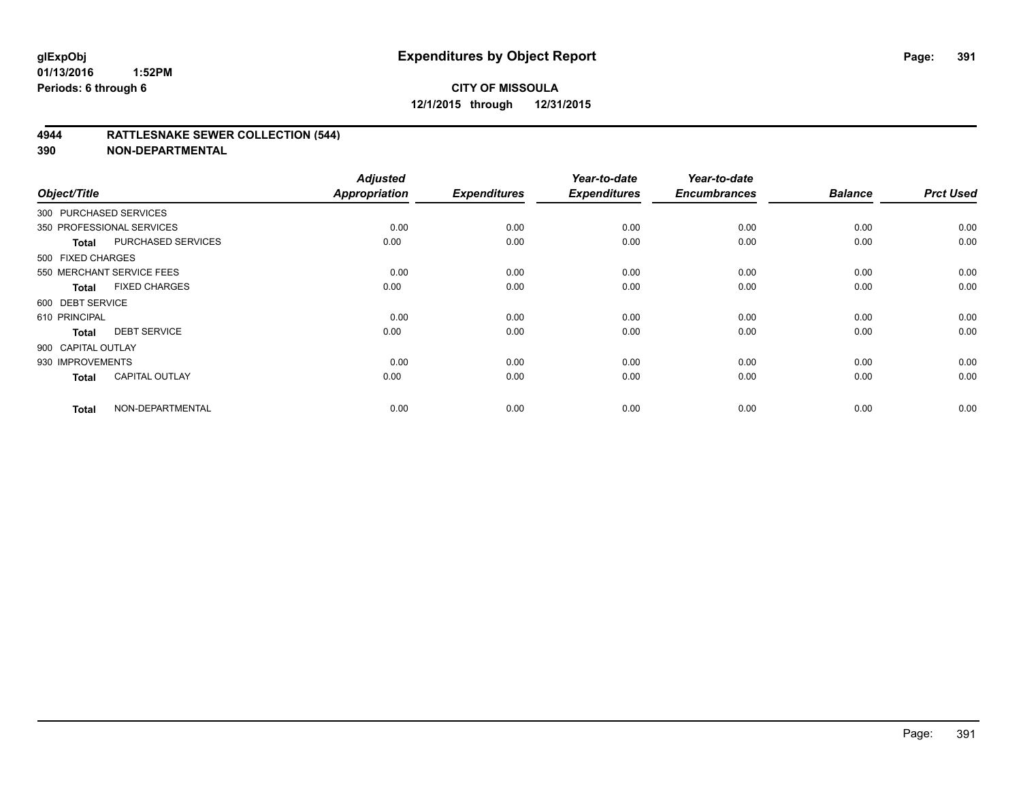#### **4944 RATTLESNAKE SEWER COLLECTION (544)**

| Object/Title           |                           | <b>Adjusted</b><br><b>Appropriation</b> | <b>Expenditures</b> | Year-to-date<br><b>Expenditures</b> | Year-to-date<br><b>Encumbrances</b> | <b>Balance</b> | <b>Prct Used</b> |
|------------------------|---------------------------|-----------------------------------------|---------------------|-------------------------------------|-------------------------------------|----------------|------------------|
| 300 PURCHASED SERVICES |                           |                                         |                     |                                     |                                     |                |                  |
|                        | 350 PROFESSIONAL SERVICES | 0.00                                    | 0.00                | 0.00                                | 0.00                                | 0.00           | 0.00             |
| <b>Total</b>           | <b>PURCHASED SERVICES</b> | 0.00                                    | 0.00                | 0.00                                | 0.00                                | 0.00           | 0.00             |
| 500 FIXED CHARGES      |                           |                                         |                     |                                     |                                     |                |                  |
|                        | 550 MERCHANT SERVICE FEES | 0.00                                    | 0.00                | 0.00                                | 0.00                                | 0.00           | 0.00             |
| <b>Total</b>           | <b>FIXED CHARGES</b>      | 0.00                                    | 0.00                | 0.00                                | 0.00                                | 0.00           | 0.00             |
| 600 DEBT SERVICE       |                           |                                         |                     |                                     |                                     |                |                  |
| 610 PRINCIPAL          |                           | 0.00                                    | 0.00                | 0.00                                | 0.00                                | 0.00           | 0.00             |
| <b>Total</b>           | <b>DEBT SERVICE</b>       | 0.00                                    | 0.00                | 0.00                                | 0.00                                | 0.00           | 0.00             |
| 900 CAPITAL OUTLAY     |                           |                                         |                     |                                     |                                     |                |                  |
| 930 IMPROVEMENTS       |                           | 0.00                                    | 0.00                | 0.00                                | 0.00                                | 0.00           | 0.00             |
| <b>Total</b>           | <b>CAPITAL OUTLAY</b>     | 0.00                                    | 0.00                | 0.00                                | 0.00                                | 0.00           | 0.00             |
| <b>Total</b>           | NON-DEPARTMENTAL          | 0.00                                    | 0.00                | 0.00                                | 0.00                                | 0.00           | 0.00             |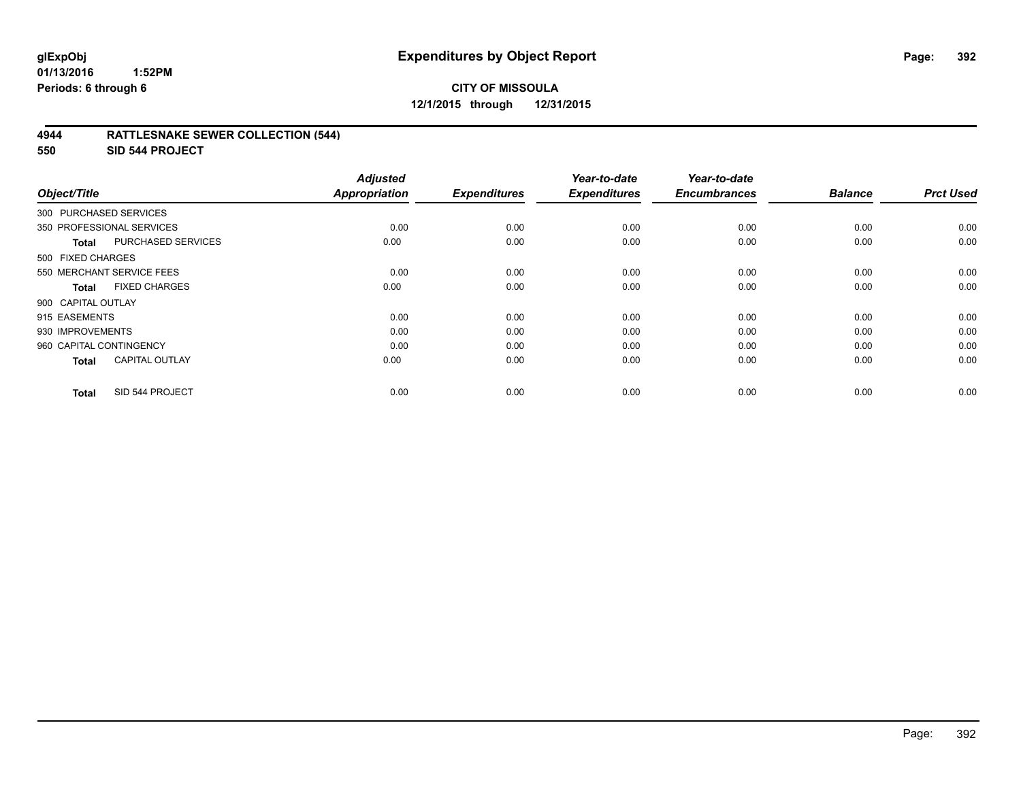# **CITY OF MISSOULA 12/1/2015 through 12/31/2015**

#### **4944 RATTLESNAKE SEWER COLLECTION (544)**

**550 SID 544 PROJECT**

| Object/Title            |                           | <b>Adjusted</b><br><b>Appropriation</b> | <b>Expenditures</b> | Year-to-date<br><b>Expenditures</b> | Year-to-date<br><b>Encumbrances</b> | <b>Balance</b> | <b>Prct Used</b> |
|-------------------------|---------------------------|-----------------------------------------|---------------------|-------------------------------------|-------------------------------------|----------------|------------------|
| 300 PURCHASED SERVICES  |                           |                                         |                     |                                     |                                     |                |                  |
|                         | 350 PROFESSIONAL SERVICES | 0.00                                    | 0.00                | 0.00                                | 0.00                                | 0.00           | 0.00             |
| Total                   | PURCHASED SERVICES        | 0.00                                    | 0.00                | 0.00                                | 0.00                                | 0.00           | 0.00             |
| 500 FIXED CHARGES       |                           |                                         |                     |                                     |                                     |                |                  |
|                         | 550 MERCHANT SERVICE FEES | 0.00                                    | 0.00                | 0.00                                | 0.00                                | 0.00           | 0.00             |
| <b>Total</b>            | <b>FIXED CHARGES</b>      | 0.00                                    | 0.00                | 0.00                                | 0.00                                | 0.00           | 0.00             |
| 900 CAPITAL OUTLAY      |                           |                                         |                     |                                     |                                     |                |                  |
| 915 EASEMENTS           |                           | 0.00                                    | 0.00                | 0.00                                | 0.00                                | 0.00           | 0.00             |
| 930 IMPROVEMENTS        |                           | 0.00                                    | 0.00                | 0.00                                | 0.00                                | 0.00           | 0.00             |
| 960 CAPITAL CONTINGENCY |                           | 0.00                                    | 0.00                | 0.00                                | 0.00                                | 0.00           | 0.00             |
| Total                   | <b>CAPITAL OUTLAY</b>     | 0.00                                    | 0.00                | 0.00                                | 0.00                                | 0.00           | 0.00             |
| <b>Total</b>            | SID 544 PROJECT           | 0.00                                    | 0.00                | 0.00                                | 0.00                                | 0.00           | 0.00             |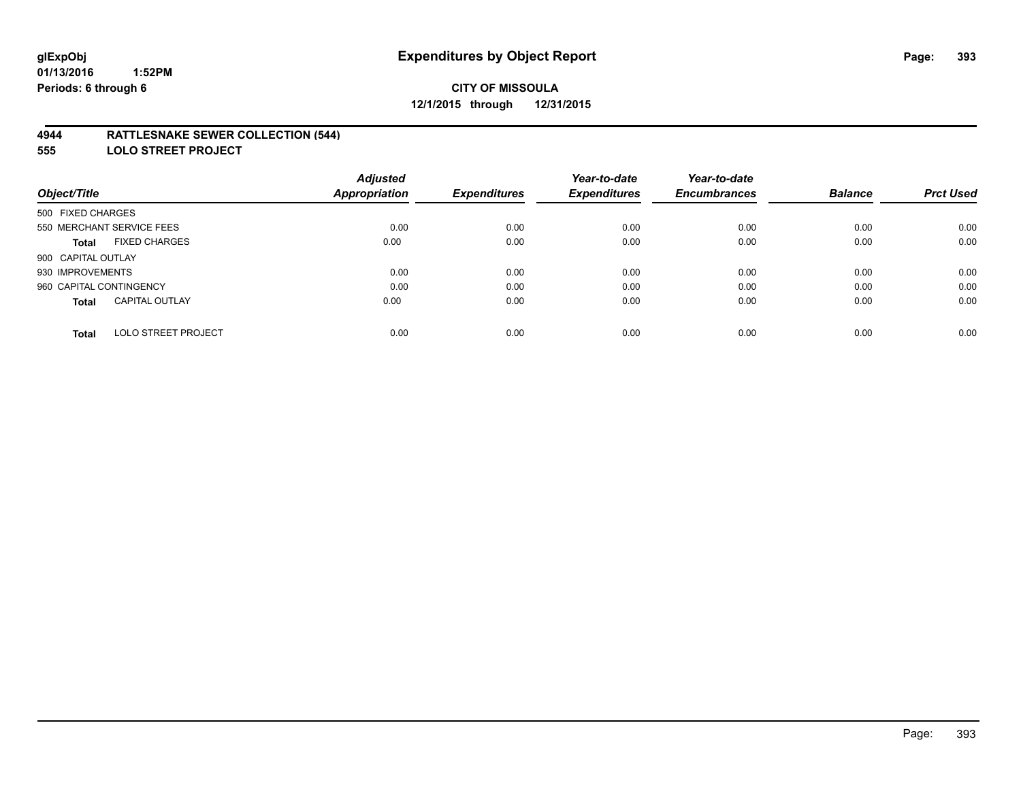#### **4944 RATTLESNAKE SEWER COLLECTION (544)**

**555 LOLO STREET PROJECT**

|                                            | <b>Adjusted</b>      |                     | Year-to-date        | Year-to-date        |                |                  |
|--------------------------------------------|----------------------|---------------------|---------------------|---------------------|----------------|------------------|
| Object/Title                               | <b>Appropriation</b> | <b>Expenditures</b> | <b>Expenditures</b> | <b>Encumbrances</b> | <b>Balance</b> | <b>Prct Used</b> |
| 500 FIXED CHARGES                          |                      |                     |                     |                     |                |                  |
| 550 MERCHANT SERVICE FEES                  | 0.00                 | 0.00                | 0.00                | 0.00                | 0.00           | 0.00             |
| <b>FIXED CHARGES</b><br>Total              | 0.00                 | 0.00                | 0.00                | 0.00                | 0.00           | 0.00             |
| 900 CAPITAL OUTLAY                         |                      |                     |                     |                     |                |                  |
| 930 IMPROVEMENTS                           | 0.00                 | 0.00                | 0.00                | 0.00                | 0.00           | 0.00             |
| 960 CAPITAL CONTINGENCY                    | 0.00                 | 0.00                | 0.00                | 0.00                | 0.00           | 0.00             |
| <b>CAPITAL OUTLAY</b><br><b>Total</b>      | 0.00                 | 0.00                | 0.00                | 0.00                | 0.00           | 0.00             |
| <b>LOLO STREET PROJECT</b><br><b>Total</b> | 0.00                 | 0.00                | 0.00                | 0.00                | 0.00           | 0.00             |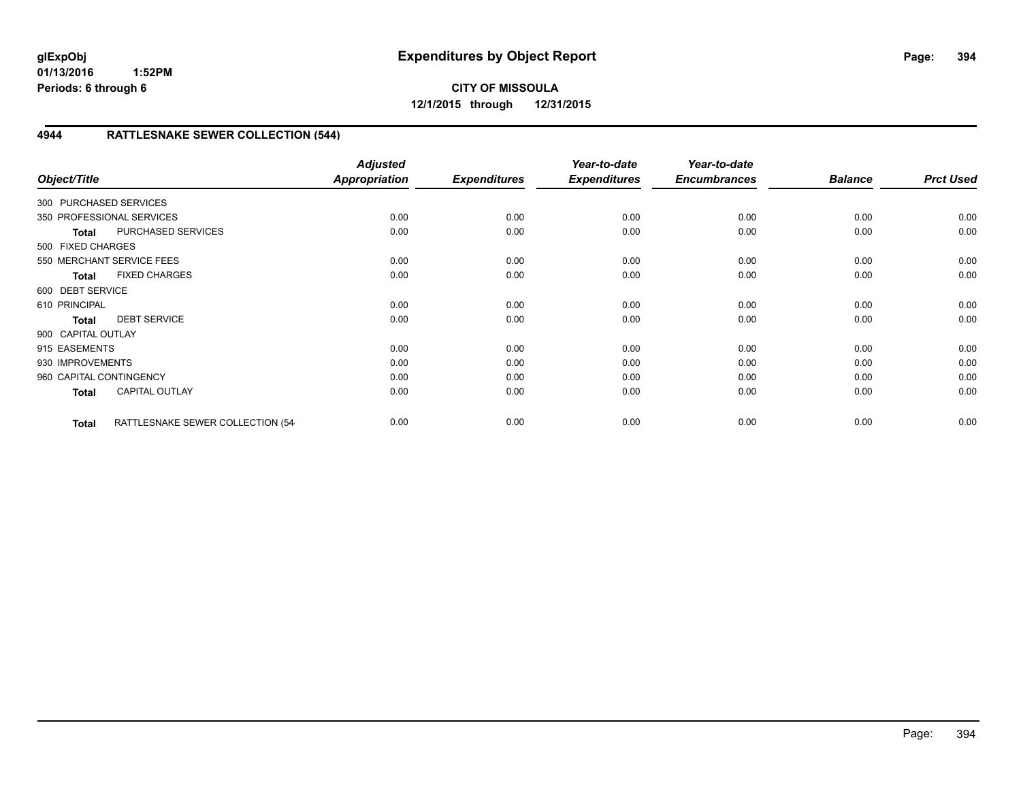# **CITY OF MISSOULA 12/1/2015 through 12/31/2015**

# **4944 RATTLESNAKE SEWER COLLECTION (544)**

| Object/Title            |                                  | <b>Adjusted</b><br><b>Appropriation</b> | <b>Expenditures</b> | Year-to-date<br><b>Expenditures</b> | Year-to-date<br><b>Encumbrances</b> | <b>Balance</b> | <b>Prct Used</b> |
|-------------------------|----------------------------------|-----------------------------------------|---------------------|-------------------------------------|-------------------------------------|----------------|------------------|
| 300 PURCHASED SERVICES  |                                  |                                         |                     |                                     |                                     |                |                  |
|                         | 350 PROFESSIONAL SERVICES        | 0.00                                    | 0.00                | 0.00                                | 0.00                                | 0.00           | 0.00             |
| <b>Total</b>            | PURCHASED SERVICES               | 0.00                                    | 0.00                | 0.00                                | 0.00                                | 0.00           | 0.00             |
| 500 FIXED CHARGES       |                                  |                                         |                     |                                     |                                     |                |                  |
|                         | 550 MERCHANT SERVICE FEES        | 0.00                                    | 0.00                | 0.00                                | 0.00                                | 0.00           | 0.00             |
| <b>Total</b>            | <b>FIXED CHARGES</b>             | 0.00                                    | 0.00                | 0.00                                | 0.00                                | 0.00           | 0.00             |
| 600 DEBT SERVICE        |                                  |                                         |                     |                                     |                                     |                |                  |
| 610 PRINCIPAL           |                                  | 0.00                                    | 0.00                | 0.00                                | 0.00                                | 0.00           | 0.00             |
| <b>Total</b>            | <b>DEBT SERVICE</b>              | 0.00                                    | 0.00                | 0.00                                | 0.00                                | 0.00           | 0.00             |
| 900 CAPITAL OUTLAY      |                                  |                                         |                     |                                     |                                     |                |                  |
| 915 EASEMENTS           |                                  | 0.00                                    | 0.00                | 0.00                                | 0.00                                | 0.00           | 0.00             |
| 930 IMPROVEMENTS        |                                  | 0.00                                    | 0.00                | 0.00                                | 0.00                                | 0.00           | 0.00             |
| 960 CAPITAL CONTINGENCY |                                  | 0.00                                    | 0.00                | 0.00                                | 0.00                                | 0.00           | 0.00             |
| <b>Total</b>            | <b>CAPITAL OUTLAY</b>            | 0.00                                    | 0.00                | 0.00                                | 0.00                                | 0.00           | 0.00             |
| <b>Total</b>            | RATTLESNAKE SEWER COLLECTION (54 | 0.00                                    | 0.00                | 0.00                                | 0.00                                | 0.00           | 0.00             |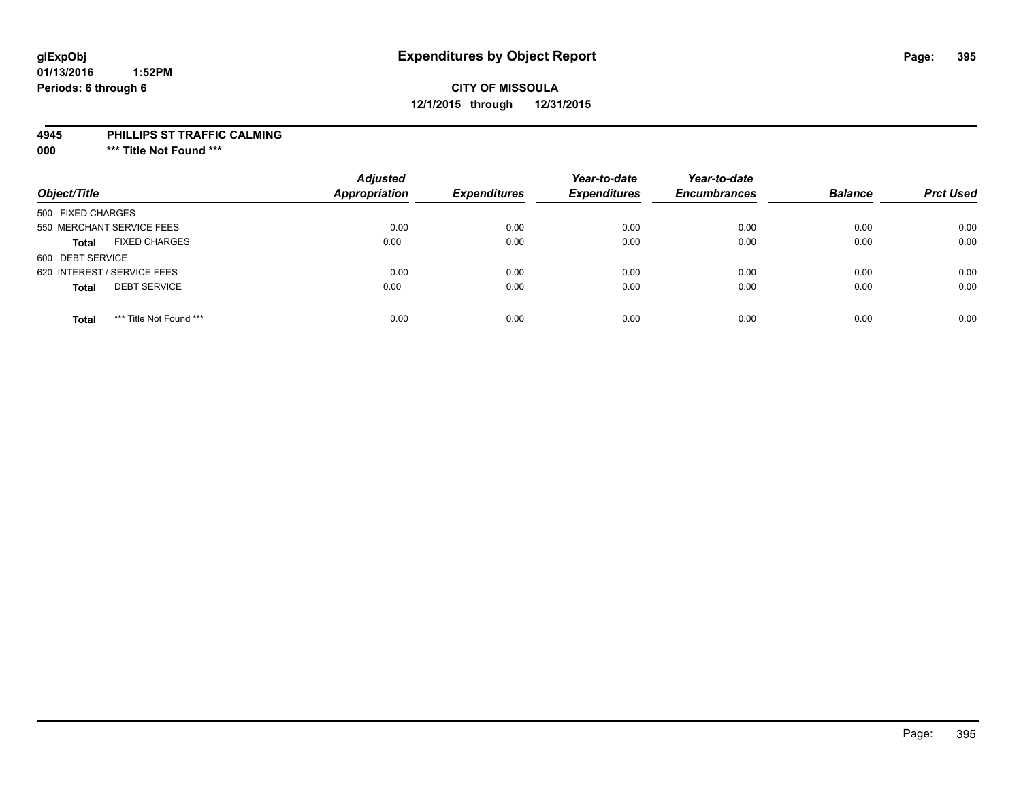## **CITY OF MISSOULA 12/1/2015 through 12/31/2015**

#### **4945 PHILLIPS ST TRAFFIC CALMING**

**000 \*\*\* Title Not Found \*\*\***

| Object/Title                            | <b>Adjusted</b><br><b>Appropriation</b> | <b>Expenditures</b> | Year-to-date<br><b>Expenditures</b> | Year-to-date<br><b>Encumbrances</b> | <b>Balance</b> | <b>Prct Used</b> |
|-----------------------------------------|-----------------------------------------|---------------------|-------------------------------------|-------------------------------------|----------------|------------------|
| 500 FIXED CHARGES                       |                                         |                     |                                     |                                     |                |                  |
| 550 MERCHANT SERVICE FEES               | 0.00                                    | 0.00                | 0.00                                | 0.00                                | 0.00           | 0.00             |
| <b>FIXED CHARGES</b><br><b>Total</b>    | 0.00                                    | 0.00                | 0.00                                | 0.00                                | 0.00           | 0.00             |
| 600 DEBT SERVICE                        |                                         |                     |                                     |                                     |                |                  |
| 620 INTEREST / SERVICE FEES             | 0.00                                    | 0.00                | 0.00                                | 0.00                                | 0.00           | 0.00             |
| <b>DEBT SERVICE</b><br><b>Total</b>     | 0.00                                    | 0.00                | 0.00                                | 0.00                                | 0.00           | 0.00             |
| *** Title Not Found ***<br><b>Total</b> | 0.00                                    | 0.00                | 0.00                                | 0.00                                | 0.00           | 0.00             |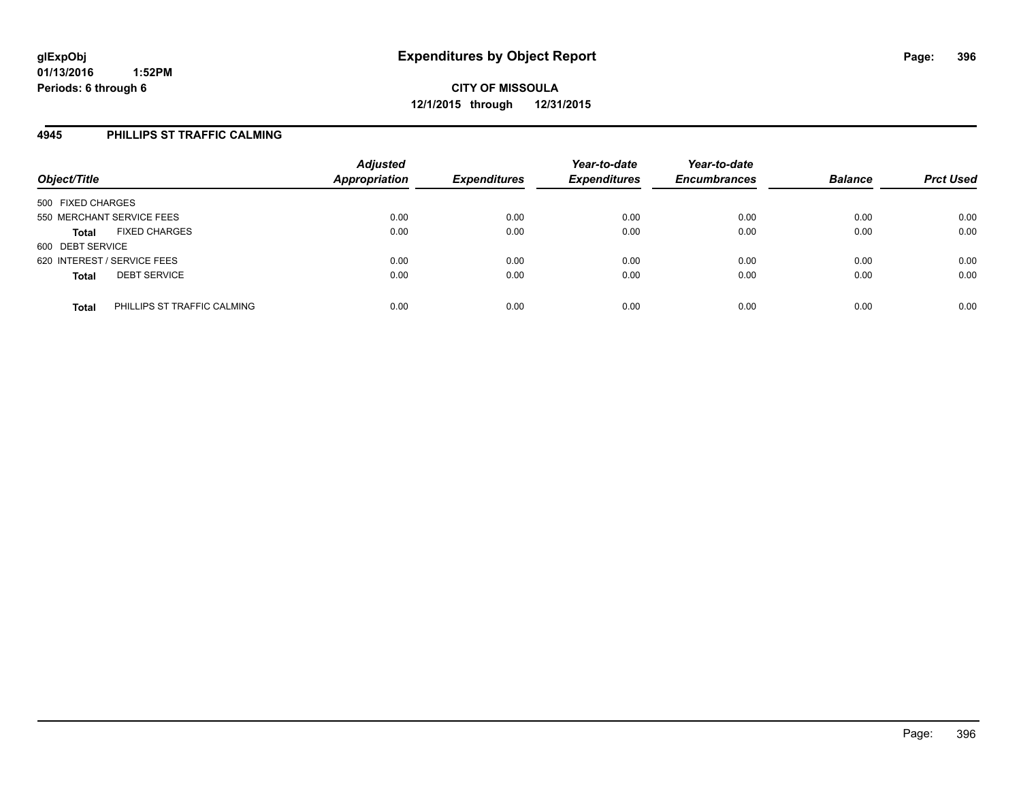#### **4945 PHILLIPS ST TRAFFIC CALMING**

| Object/Title                                | <b>Adjusted</b><br><b>Appropriation</b> | <b>Expenditures</b> | Year-to-date<br><b>Expenditures</b> | Year-to-date<br><b>Encumbrances</b> | <b>Balance</b> | <b>Prct Used</b> |
|---------------------------------------------|-----------------------------------------|---------------------|-------------------------------------|-------------------------------------|----------------|------------------|
| 500 FIXED CHARGES                           |                                         |                     |                                     |                                     |                |                  |
| 550 MERCHANT SERVICE FEES                   | 0.00                                    | 0.00                | 0.00                                | 0.00                                | 0.00           | 0.00             |
| <b>FIXED CHARGES</b><br><b>Total</b>        | 0.00                                    | 0.00                | 0.00                                | 0.00                                | 0.00           | 0.00             |
| 600 DEBT SERVICE                            |                                         |                     |                                     |                                     |                |                  |
| 620 INTEREST / SERVICE FEES                 | 0.00                                    | 0.00                | 0.00                                | 0.00                                | 0.00           | 0.00             |
| <b>DEBT SERVICE</b><br><b>Total</b>         | 0.00                                    | 0.00                | 0.00                                | 0.00                                | 0.00           | 0.00             |
| PHILLIPS ST TRAFFIC CALMING<br><b>Total</b> | 0.00                                    | 0.00                | 0.00                                | 0.00                                | 0.00           | 0.00             |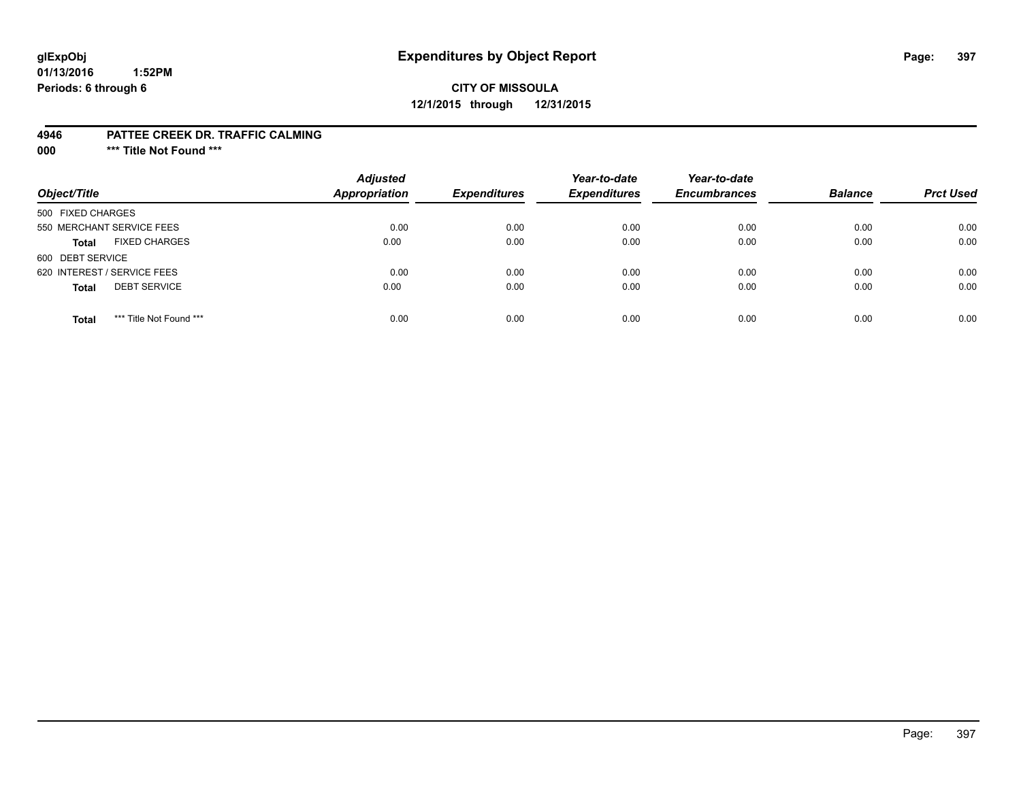# **glExpObj Expenditures by Object Report Page: 397**

#### **01/13/2016 1:52PM Periods: 6 through 6**

# **CITY OF MISSOULA 12/1/2015 through 12/31/2015**

#### **4946 PATTEE CREEK DR. TRAFFIC CALMING**

**000 \*\*\* Title Not Found \*\*\***

| Object/Title                            | <b>Adjusted</b><br><b>Appropriation</b> | <b>Expenditures</b> | Year-to-date<br><b>Expenditures</b> | Year-to-date<br><b>Encumbrances</b> | <b>Balance</b> | <b>Prct Used</b> |
|-----------------------------------------|-----------------------------------------|---------------------|-------------------------------------|-------------------------------------|----------------|------------------|
| 500 FIXED CHARGES                       |                                         |                     |                                     |                                     |                |                  |
| 550 MERCHANT SERVICE FEES               | 0.00                                    | 0.00                | 0.00                                | 0.00                                | 0.00           | 0.00             |
| <b>FIXED CHARGES</b><br><b>Total</b>    | 0.00                                    | 0.00                | 0.00                                | 0.00                                | 0.00           | 0.00             |
| 600 DEBT SERVICE                        |                                         |                     |                                     |                                     |                |                  |
| 620 INTEREST / SERVICE FEES             | 0.00                                    | 0.00                | 0.00                                | 0.00                                | 0.00           | 0.00             |
| <b>DEBT SERVICE</b><br><b>Total</b>     | 0.00                                    | 0.00                | 0.00                                | 0.00                                | 0.00           | 0.00             |
| *** Title Not Found ***<br><b>Total</b> | 0.00                                    | 0.00                | 0.00                                | 0.00                                | 0.00           | 0.00             |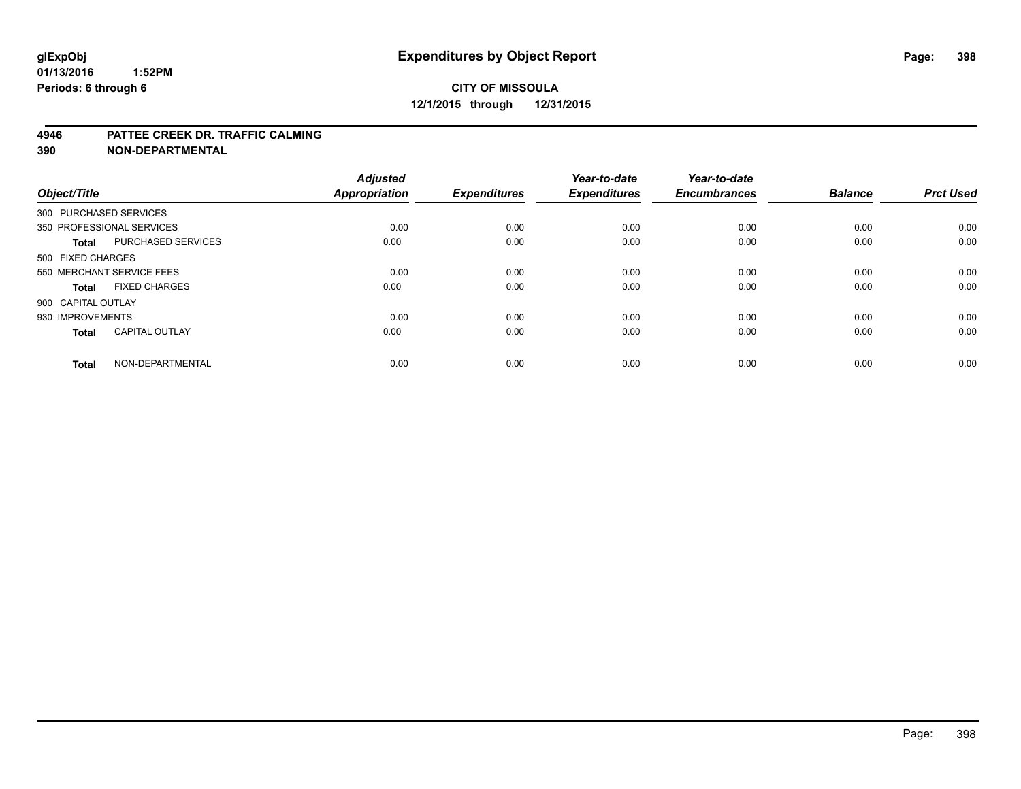#### **4946 PATTEE CREEK DR. TRAFFIC CALMING**

**390 NON-DEPARTMENTAL**

| Object/Title           |                           | <b>Adjusted</b><br><b>Appropriation</b> | <b>Expenditures</b> | Year-to-date<br><b>Expenditures</b> | Year-to-date<br><b>Encumbrances</b> | <b>Balance</b> | <b>Prct Used</b> |
|------------------------|---------------------------|-----------------------------------------|---------------------|-------------------------------------|-------------------------------------|----------------|------------------|
| 300 PURCHASED SERVICES |                           |                                         |                     |                                     |                                     |                |                  |
|                        | 350 PROFESSIONAL SERVICES | 0.00                                    | 0.00                | 0.00                                | 0.00                                | 0.00           | 0.00             |
| <b>Total</b>           | <b>PURCHASED SERVICES</b> | 0.00                                    | 0.00                | 0.00                                | 0.00                                | 0.00           | 0.00             |
| 500 FIXED CHARGES      |                           |                                         |                     |                                     |                                     |                |                  |
|                        | 550 MERCHANT SERVICE FEES | 0.00                                    | 0.00                | 0.00                                | 0.00                                | 0.00           | 0.00             |
| Total                  | <b>FIXED CHARGES</b>      | 0.00                                    | 0.00                | 0.00                                | 0.00                                | 0.00           | 0.00             |
| 900 CAPITAL OUTLAY     |                           |                                         |                     |                                     |                                     |                |                  |
| 930 IMPROVEMENTS       |                           | 0.00                                    | 0.00                | 0.00                                | 0.00                                | 0.00           | 0.00             |
| Total                  | <b>CAPITAL OUTLAY</b>     | 0.00                                    | 0.00                | 0.00                                | 0.00                                | 0.00           | 0.00             |
| <b>Total</b>           | NON-DEPARTMENTAL          | 0.00                                    | 0.00                | 0.00                                | 0.00                                | 0.00           | 0.00             |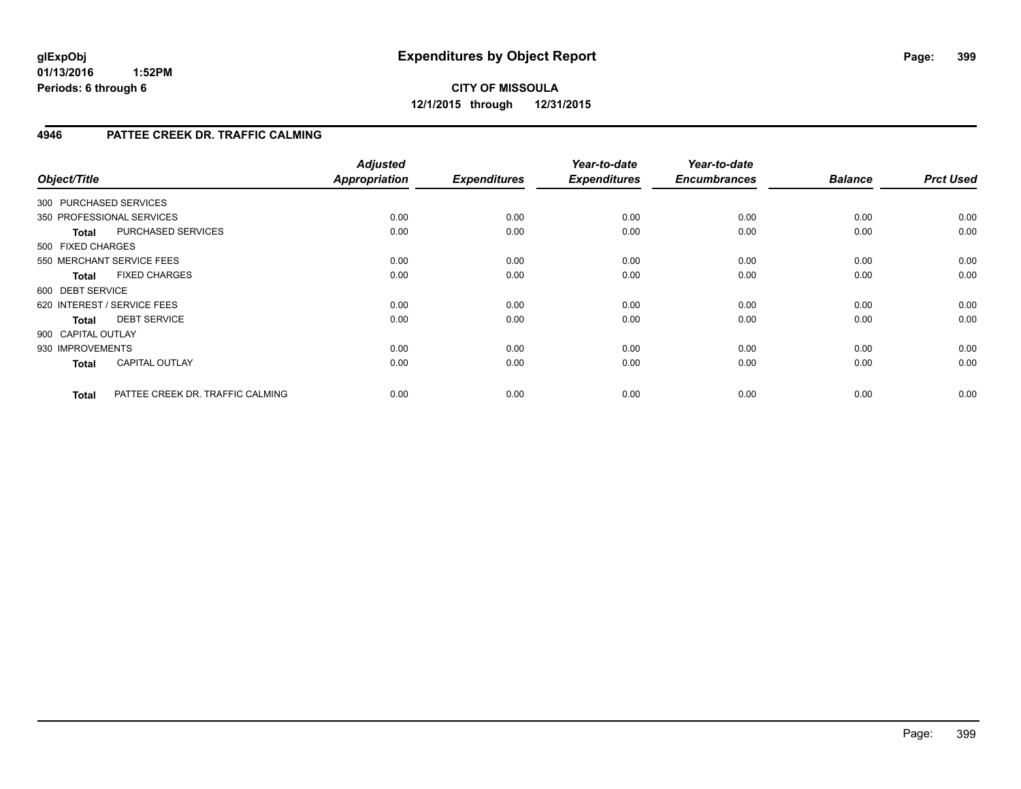**CITY OF MISSOULA 12/1/2015 through 12/31/2015**

### **4946 PATTEE CREEK DR. TRAFFIC CALMING**

| Object/Title       |                                  | <b>Adjusted</b><br><b>Appropriation</b> | <b>Expenditures</b> | Year-to-date<br><b>Expenditures</b> | Year-to-date<br><b>Encumbrances</b> | <b>Balance</b> | <b>Prct Used</b> |
|--------------------|----------------------------------|-----------------------------------------|---------------------|-------------------------------------|-------------------------------------|----------------|------------------|
|                    | 300 PURCHASED SERVICES           |                                         |                     |                                     |                                     |                |                  |
|                    | 350 PROFESSIONAL SERVICES        | 0.00                                    | 0.00                | 0.00                                | 0.00                                | 0.00           | 0.00             |
| <b>Total</b>       | <b>PURCHASED SERVICES</b>        | 0.00                                    | 0.00                | 0.00                                | 0.00                                | 0.00           | 0.00             |
| 500 FIXED CHARGES  |                                  |                                         |                     |                                     |                                     |                |                  |
|                    | 550 MERCHANT SERVICE FEES        | 0.00                                    | 0.00                | 0.00                                | 0.00                                | 0.00           | 0.00             |
| <b>Total</b>       | <b>FIXED CHARGES</b>             | 0.00                                    | 0.00                | 0.00                                | 0.00                                | 0.00           | 0.00             |
| 600 DEBT SERVICE   |                                  |                                         |                     |                                     |                                     |                |                  |
|                    | 620 INTEREST / SERVICE FEES      | 0.00                                    | 0.00                | 0.00                                | 0.00                                | 0.00           | 0.00             |
| Total              | <b>DEBT SERVICE</b>              | 0.00                                    | 0.00                | 0.00                                | 0.00                                | 0.00           | 0.00             |
| 900 CAPITAL OUTLAY |                                  |                                         |                     |                                     |                                     |                |                  |
| 930 IMPROVEMENTS   |                                  | 0.00                                    | 0.00                | 0.00                                | 0.00                                | 0.00           | 0.00             |
| <b>Total</b>       | <b>CAPITAL OUTLAY</b>            | 0.00                                    | 0.00                | 0.00                                | 0.00                                | 0.00           | 0.00             |
| <b>Total</b>       | PATTEE CREEK DR. TRAFFIC CALMING | 0.00                                    | 0.00                | 0.00                                | 0.00                                | 0.00           | 0.00             |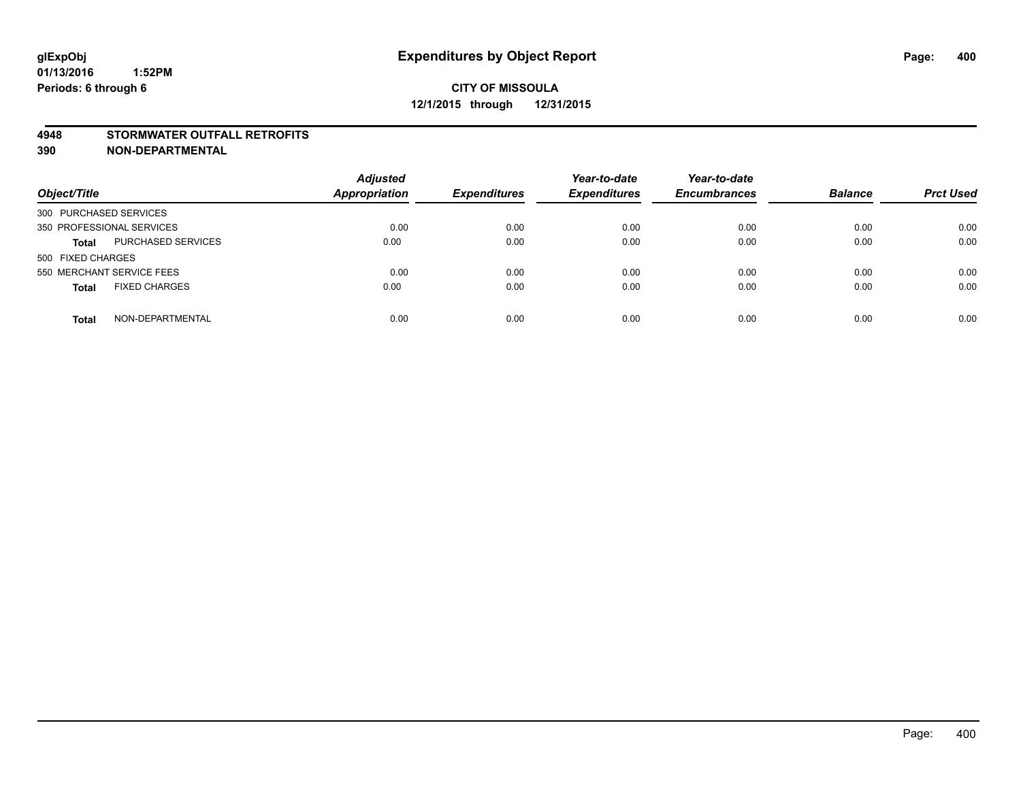#### **4948 STORMWATER OUTFALL RETROFITS**

**390 NON-DEPARTMENTAL**

| Object/Title                         | <b>Adjusted</b><br><b>Appropriation</b> | <b>Expenditures</b> | Year-to-date<br><b>Expenditures</b> | Year-to-date<br><b>Encumbrances</b> | <b>Balance</b> | <b>Prct Used</b> |
|--------------------------------------|-----------------------------------------|---------------------|-------------------------------------|-------------------------------------|----------------|------------------|
| 300 PURCHASED SERVICES               |                                         |                     |                                     |                                     |                |                  |
| 350 PROFESSIONAL SERVICES            | 0.00                                    | 0.00                | 0.00                                | 0.00                                | 0.00           | 0.00             |
| PURCHASED SERVICES<br><b>Total</b>   | 0.00                                    | 0.00                | 0.00                                | 0.00                                | 0.00           | 0.00             |
| 500 FIXED CHARGES                    |                                         |                     |                                     |                                     |                |                  |
| 550 MERCHANT SERVICE FEES            | 0.00                                    | 0.00                | 0.00                                | 0.00                                | 0.00           | 0.00             |
| <b>FIXED CHARGES</b><br><b>Total</b> | 0.00                                    | 0.00                | 0.00                                | 0.00                                | 0.00           | 0.00             |
| NON-DEPARTMENTAL<br><b>Total</b>     | 0.00                                    | 0.00                | 0.00                                | 0.00                                | 0.00           | 0.00             |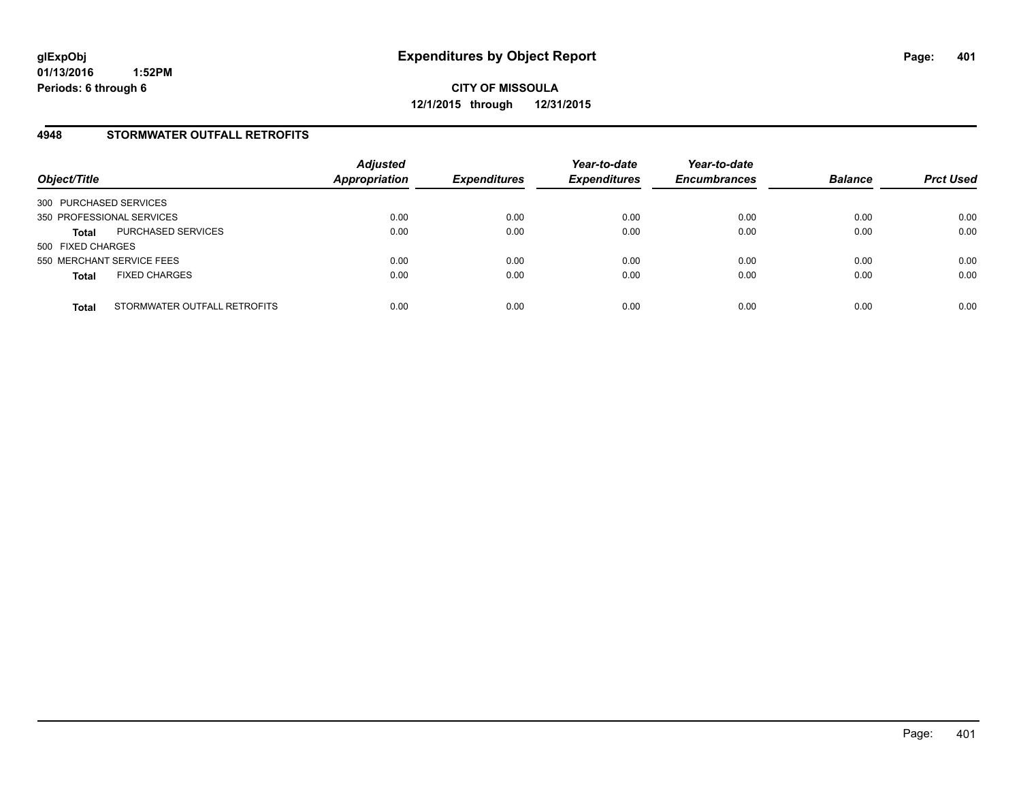### **4948 STORMWATER OUTFALL RETROFITS**

| Object/Title              |                              | <b>Adjusted</b><br><b>Appropriation</b> | <b>Expenditures</b> | Year-to-date<br><b>Expenditures</b> | Year-to-date<br><b>Encumbrances</b> | <b>Balance</b> | <b>Prct Used</b> |
|---------------------------|------------------------------|-----------------------------------------|---------------------|-------------------------------------|-------------------------------------|----------------|------------------|
| 300 PURCHASED SERVICES    |                              |                                         |                     |                                     |                                     |                |                  |
| 350 PROFESSIONAL SERVICES |                              | 0.00                                    | 0.00                | 0.00                                | 0.00                                | 0.00           | 0.00             |
| <b>Total</b>              | PURCHASED SERVICES           | 0.00                                    | 0.00                | 0.00                                | 0.00                                | 0.00           | 0.00             |
| 500 FIXED CHARGES         |                              |                                         |                     |                                     |                                     |                |                  |
| 550 MERCHANT SERVICE FEES |                              | 0.00                                    | 0.00                | 0.00                                | 0.00                                | 0.00           | 0.00             |
| <b>Total</b>              | <b>FIXED CHARGES</b>         | 0.00                                    | 0.00                | 0.00                                | 0.00                                | 0.00           | 0.00             |
| <b>Total</b>              | STORMWATER OUTFALL RETROFITS | 0.00                                    | 0.00                | 0.00                                | 0.00                                | 0.00           | 0.00             |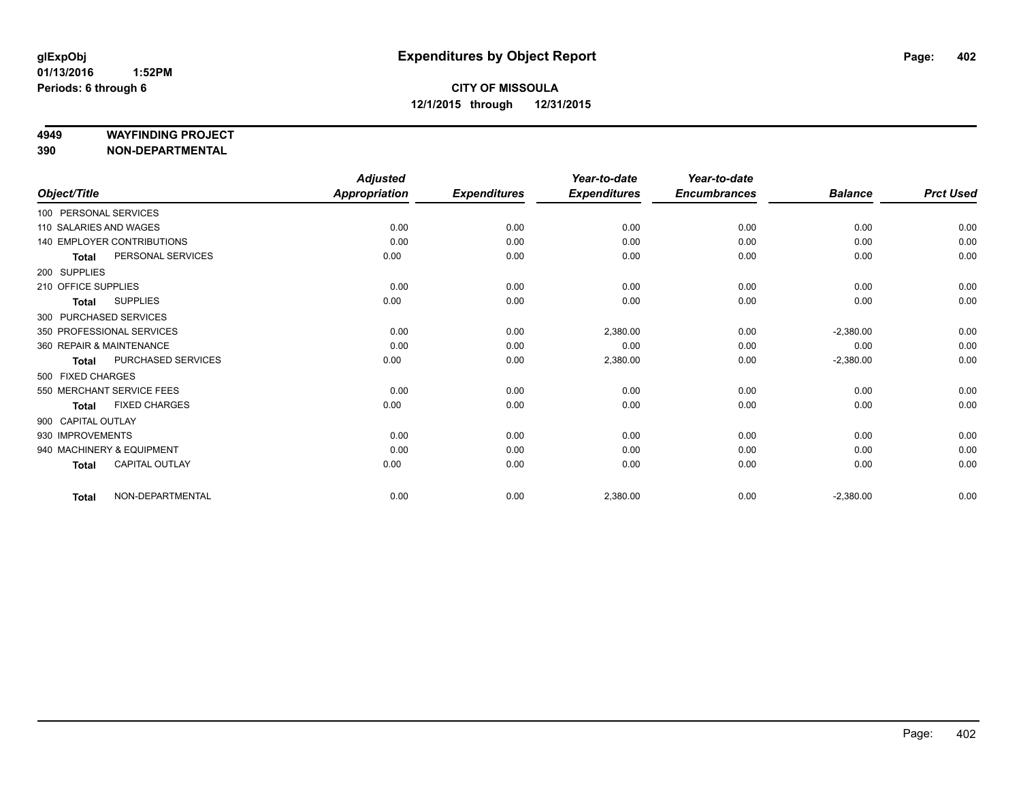#### **4949 WAYFINDING PROJECT**

**390 NON-DEPARTMENTAL**

|                          |                                   | <b>Adjusted</b>      |                     | Year-to-date        | Year-to-date        |                |                  |
|--------------------------|-----------------------------------|----------------------|---------------------|---------------------|---------------------|----------------|------------------|
| Object/Title             |                                   | <b>Appropriation</b> | <b>Expenditures</b> | <b>Expenditures</b> | <b>Encumbrances</b> | <b>Balance</b> | <b>Prct Used</b> |
| 100 PERSONAL SERVICES    |                                   |                      |                     |                     |                     |                |                  |
| 110 SALARIES AND WAGES   |                                   | 0.00                 | 0.00                | 0.00                | 0.00                | 0.00           | 0.00             |
|                          | <b>140 EMPLOYER CONTRIBUTIONS</b> | 0.00                 | 0.00                | 0.00                | 0.00                | 0.00           | 0.00             |
| <b>Total</b>             | PERSONAL SERVICES                 | 0.00                 | 0.00                | 0.00                | 0.00                | 0.00           | 0.00             |
| 200 SUPPLIES             |                                   |                      |                     |                     |                     |                |                  |
| 210 OFFICE SUPPLIES      |                                   | 0.00                 | 0.00                | 0.00                | 0.00                | 0.00           | 0.00             |
| <b>Total</b>             | <b>SUPPLIES</b>                   | 0.00                 | 0.00                | 0.00                | 0.00                | 0.00           | 0.00             |
| 300 PURCHASED SERVICES   |                                   |                      |                     |                     |                     |                |                  |
|                          | 350 PROFESSIONAL SERVICES         | 0.00                 | 0.00                | 2,380.00            | 0.00                | $-2,380.00$    | 0.00             |
| 360 REPAIR & MAINTENANCE |                                   | 0.00                 | 0.00                | 0.00                | 0.00                | 0.00           | 0.00             |
| <b>Total</b>             | PURCHASED SERVICES                | 0.00                 | 0.00                | 2,380.00            | 0.00                | $-2,380.00$    | 0.00             |
| 500 FIXED CHARGES        |                                   |                      |                     |                     |                     |                |                  |
|                          | 550 MERCHANT SERVICE FEES         | 0.00                 | 0.00                | 0.00                | 0.00                | 0.00           | 0.00             |
| <b>Total</b>             | <b>FIXED CHARGES</b>              | 0.00                 | 0.00                | 0.00                | 0.00                | 0.00           | 0.00             |
| 900 CAPITAL OUTLAY       |                                   |                      |                     |                     |                     |                |                  |
| 930 IMPROVEMENTS         |                                   | 0.00                 | 0.00                | 0.00                | 0.00                | 0.00           | 0.00             |
|                          | 940 MACHINERY & EQUIPMENT         | 0.00                 | 0.00                | 0.00                | 0.00                | 0.00           | 0.00             |
| <b>Total</b>             | CAPITAL OUTLAY                    | 0.00                 | 0.00                | 0.00                | 0.00                | 0.00           | 0.00             |
| <b>Total</b>             | NON-DEPARTMENTAL                  | 0.00                 | 0.00                | 2,380.00            | 0.00                | $-2,380.00$    | 0.00             |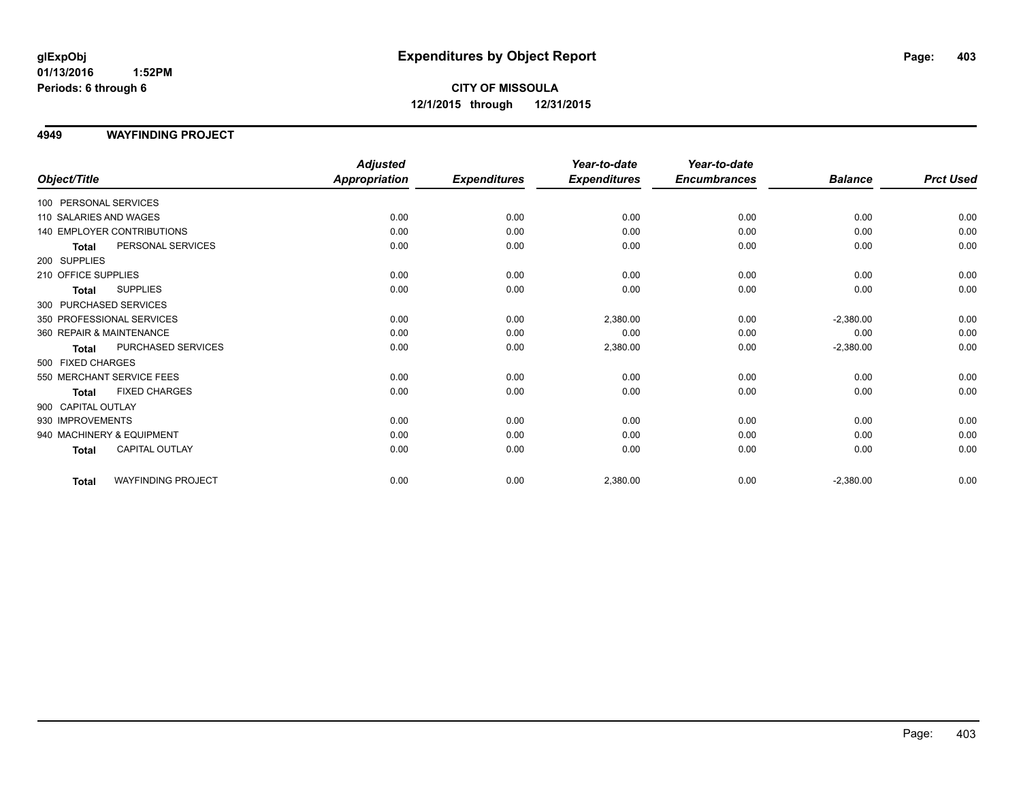# **CITY OF MISSOULA 12/1/2015 through 12/31/2015**

### **4949 WAYFINDING PROJECT**

|                                 |                           | <b>Adjusted</b>      |                     | Year-to-date        | Year-to-date        |                |                  |
|---------------------------------|---------------------------|----------------------|---------------------|---------------------|---------------------|----------------|------------------|
| Object/Title                    |                           | <b>Appropriation</b> | <b>Expenditures</b> | <b>Expenditures</b> | <b>Encumbrances</b> | <b>Balance</b> | <b>Prct Used</b> |
| 100 PERSONAL SERVICES           |                           |                      |                     |                     |                     |                |                  |
| 110 SALARIES AND WAGES          |                           | 0.00                 | 0.00                | 0.00                | 0.00                | 0.00           | 0.00             |
| 140 EMPLOYER CONTRIBUTIONS      |                           | 0.00                 | 0.00                | 0.00                | 0.00                | 0.00           | 0.00             |
| <b>Total</b>                    | PERSONAL SERVICES         | 0.00                 | 0.00                | 0.00                | 0.00                | 0.00           | 0.00             |
| 200 SUPPLIES                    |                           |                      |                     |                     |                     |                |                  |
| 210 OFFICE SUPPLIES             |                           | 0.00                 | 0.00                | 0.00                | 0.00                | 0.00           | 0.00             |
| <b>SUPPLIES</b><br><b>Total</b> |                           | 0.00                 | 0.00                | 0.00                | 0.00                | 0.00           | 0.00             |
| 300 PURCHASED SERVICES          |                           |                      |                     |                     |                     |                |                  |
| 350 PROFESSIONAL SERVICES       |                           | 0.00                 | 0.00                | 2,380.00            | 0.00                | $-2,380.00$    | 0.00             |
| 360 REPAIR & MAINTENANCE        |                           | 0.00                 | 0.00                | 0.00                | 0.00                | 0.00           | 0.00             |
| <b>Total</b>                    | PURCHASED SERVICES        | 0.00                 | 0.00                | 2,380.00            | 0.00                | $-2,380.00$    | 0.00             |
| 500 FIXED CHARGES               |                           |                      |                     |                     |                     |                |                  |
| 550 MERCHANT SERVICE FEES       |                           | 0.00                 | 0.00                | 0.00                | 0.00                | 0.00           | 0.00             |
| <b>Total</b>                    | <b>FIXED CHARGES</b>      | 0.00                 | 0.00                | 0.00                | 0.00                | 0.00           | 0.00             |
| 900 CAPITAL OUTLAY              |                           |                      |                     |                     |                     |                |                  |
| 930 IMPROVEMENTS                |                           | 0.00                 | 0.00                | 0.00                | 0.00                | 0.00           | 0.00             |
| 940 MACHINERY & EQUIPMENT       |                           | 0.00                 | 0.00                | 0.00                | 0.00                | 0.00           | 0.00             |
| <b>Total</b>                    | <b>CAPITAL OUTLAY</b>     | 0.00                 | 0.00                | 0.00                | 0.00                | 0.00           | 0.00             |
| <b>Total</b>                    | <b>WAYFINDING PROJECT</b> | 0.00                 | 0.00                | 2,380.00            | 0.00                | $-2,380.00$    | 0.00             |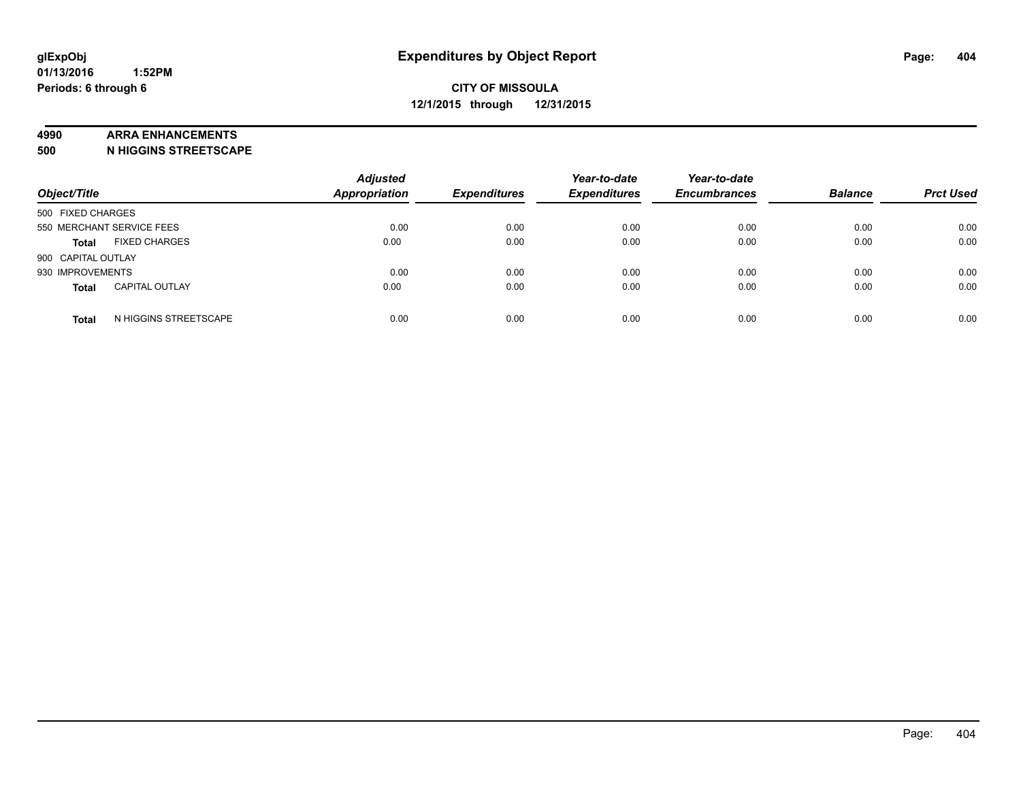#### **4990 ARRA ENHANCEMENTS**

**500 N HIGGINS STREETSCAPE**

| Object/Title              |                       | <b>Adjusted</b><br><b>Appropriation</b> | <b>Expenditures</b> | Year-to-date<br><b>Expenditures</b> | Year-to-date<br><b>Encumbrances</b> | <b>Balance</b> | <b>Prct Used</b> |
|---------------------------|-----------------------|-----------------------------------------|---------------------|-------------------------------------|-------------------------------------|----------------|------------------|
| 500 FIXED CHARGES         |                       |                                         |                     |                                     |                                     |                |                  |
| 550 MERCHANT SERVICE FEES |                       | 0.00                                    | 0.00                | 0.00                                | 0.00                                | 0.00           | 0.00             |
| <b>Total</b>              | <b>FIXED CHARGES</b>  | 0.00                                    | 0.00                | 0.00                                | 0.00                                | 0.00           | 0.00             |
| 900 CAPITAL OUTLAY        |                       |                                         |                     |                                     |                                     |                |                  |
| 930 IMPROVEMENTS          |                       | 0.00                                    | 0.00                | 0.00                                | 0.00                                | 0.00           | 0.00             |
| <b>Total</b>              | <b>CAPITAL OUTLAY</b> | 0.00                                    | 0.00                | 0.00                                | 0.00                                | 0.00           | 0.00             |
| <b>Total</b>              | N HIGGINS STREETSCAPE | 0.00                                    | 0.00                | 0.00                                | 0.00                                | 0.00           | 0.00             |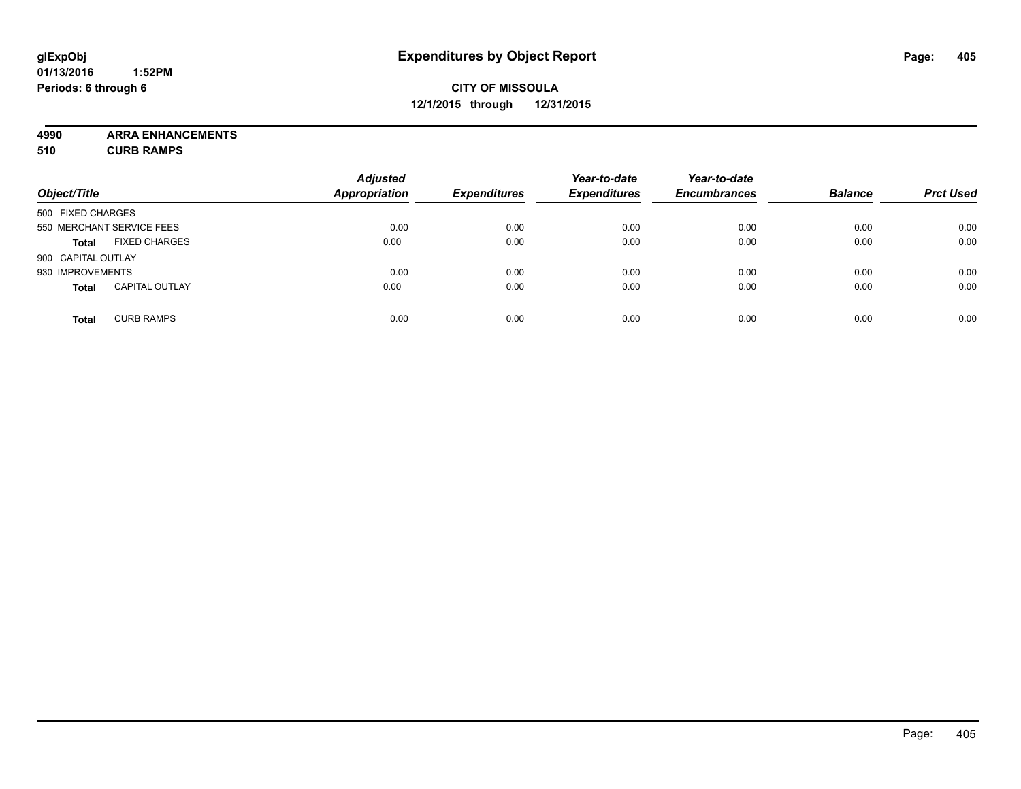# **CITY OF MISSOULA 12/1/2015 through 12/31/2015**

**4990 ARRA ENHANCEMENTS 510 CURB RAMPS**

| Object/Title       |                           | <b>Adjusted</b><br><b>Appropriation</b> | <b>Expenditures</b> | Year-to-date<br><b>Expenditures</b> | Year-to-date<br><b>Encumbrances</b> | <b>Balance</b> | <b>Prct Used</b> |
|--------------------|---------------------------|-----------------------------------------|---------------------|-------------------------------------|-------------------------------------|----------------|------------------|
| 500 FIXED CHARGES  |                           |                                         |                     |                                     |                                     |                |                  |
|                    | 550 MERCHANT SERVICE FEES | 0.00                                    | 0.00                | 0.00                                | 0.00                                | 0.00           | 0.00             |
| <b>Total</b>       | <b>FIXED CHARGES</b>      | 0.00                                    | 0.00                | 0.00                                | 0.00                                | 0.00           | 0.00             |
| 900 CAPITAL OUTLAY |                           |                                         |                     |                                     |                                     |                |                  |
| 930 IMPROVEMENTS   |                           | 0.00                                    | 0.00                | 0.00                                | 0.00                                | 0.00           | 0.00             |
| <b>Total</b>       | <b>CAPITAL OUTLAY</b>     | 0.00                                    | 0.00                | 0.00                                | 0.00                                | 0.00           | 0.00             |
| <b>Total</b>       | <b>CURB RAMPS</b>         | 0.00                                    | 0.00                | 0.00                                | 0.00                                | 0.00           | 0.00             |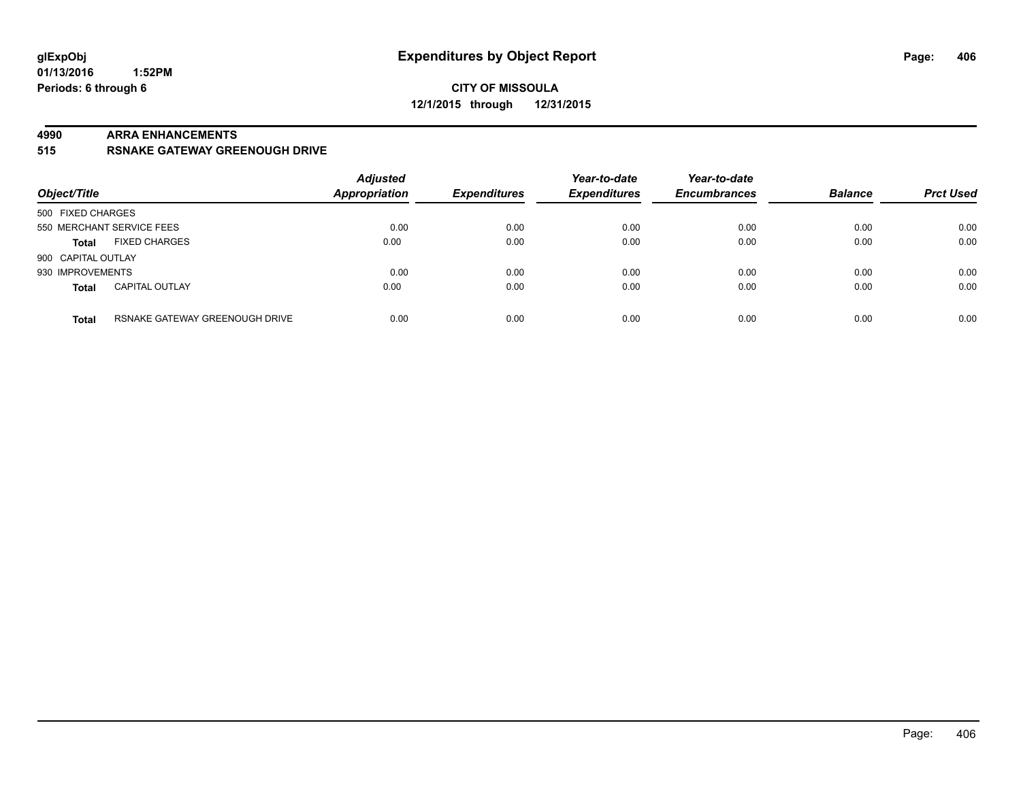#### **4990 ARRA ENHANCEMENTS**

#### **515 RSNAKE GATEWAY GREENOUGH DRIVE**

| Object/Title       |                                | <b>Adjusted</b><br><b>Appropriation</b> | <b>Expenditures</b> | Year-to-date<br><b>Expenditures</b> | Year-to-date<br><b>Encumbrances</b> | <b>Balance</b> | <b>Prct Used</b> |
|--------------------|--------------------------------|-----------------------------------------|---------------------|-------------------------------------|-------------------------------------|----------------|------------------|
| 500 FIXED CHARGES  |                                |                                         |                     |                                     |                                     |                |                  |
|                    | 550 MERCHANT SERVICE FEES      | 0.00                                    | 0.00                | 0.00                                | 0.00                                | 0.00           | 0.00             |
| <b>Total</b>       | <b>FIXED CHARGES</b>           | 0.00                                    | 0.00                | 0.00                                | 0.00                                | 0.00           | 0.00             |
| 900 CAPITAL OUTLAY |                                |                                         |                     |                                     |                                     |                |                  |
| 930 IMPROVEMENTS   |                                | 0.00                                    | 0.00                | 0.00                                | 0.00                                | 0.00           | 0.00             |
| <b>Total</b>       | <b>CAPITAL OUTLAY</b>          | 0.00                                    | 0.00                | 0.00                                | 0.00                                | 0.00           | 0.00             |
| <b>Total</b>       | RSNAKE GATEWAY GREENOUGH DRIVE | 0.00                                    | 0.00                | 0.00                                | 0.00                                | 0.00           | 0.00             |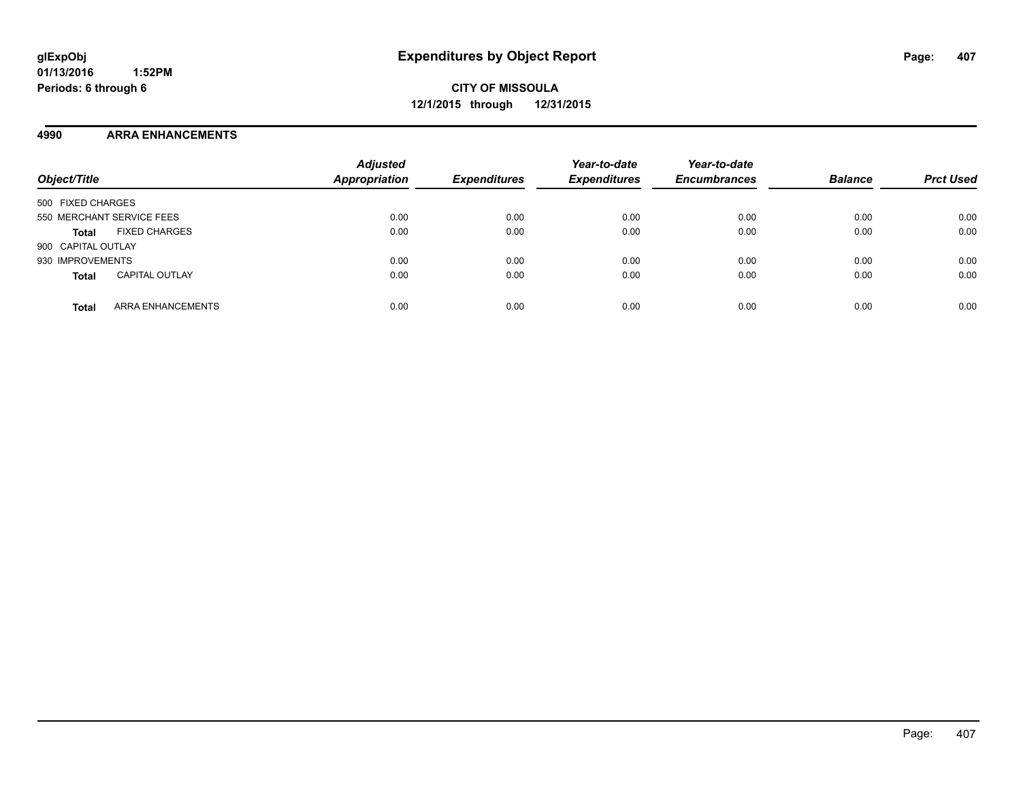**CITY OF MISSOULA 12/1/2015 through 12/31/2015**

#### **4990 ARRA ENHANCEMENTS**

| Object/Title                          | <b>Adjusted</b><br><b>Appropriation</b> | <b>Expenditures</b> | Year-to-date<br><b>Expenditures</b> | Year-to-date<br><b>Encumbrances</b> | <b>Balance</b> | <b>Prct Used</b> |
|---------------------------------------|-----------------------------------------|---------------------|-------------------------------------|-------------------------------------|----------------|------------------|
| 500 FIXED CHARGES                     |                                         |                     |                                     |                                     |                |                  |
| 550 MERCHANT SERVICE FEES             | 0.00                                    | 0.00                | 0.00                                | 0.00                                | 0.00           | 0.00             |
| <b>FIXED CHARGES</b><br><b>Total</b>  | 0.00                                    | 0.00                | 0.00                                | 0.00                                | 0.00           | 0.00             |
| 900 CAPITAL OUTLAY                    |                                         |                     |                                     |                                     |                |                  |
| 930 IMPROVEMENTS                      | 0.00                                    | 0.00                | 0.00                                | 0.00                                | 0.00           | 0.00             |
| <b>CAPITAL OUTLAY</b><br><b>Total</b> | 0.00                                    | 0.00                | 0.00                                | 0.00                                | 0.00           | 0.00             |
| ARRA ENHANCEMENTS<br><b>Total</b>     | 0.00                                    | 0.00                | 0.00                                | 0.00                                | 0.00           | 0.00             |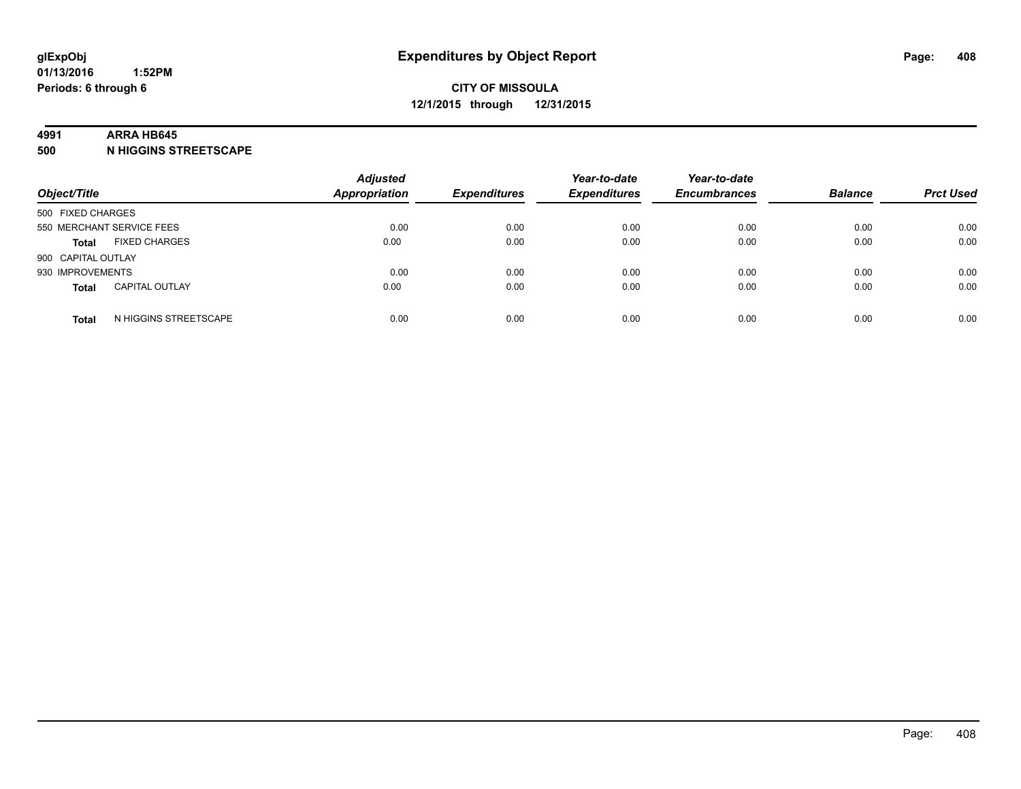#### **4991 ARRA HB645**

**500 N HIGGINS STREETSCAPE**

| Object/Title       |                           | <b>Adjusted</b><br><b>Appropriation</b> | <b>Expenditures</b> | Year-to-date<br><b>Expenditures</b> | Year-to-date<br><b>Encumbrances</b> | <b>Balance</b> | <b>Prct Used</b> |
|--------------------|---------------------------|-----------------------------------------|---------------------|-------------------------------------|-------------------------------------|----------------|------------------|
| 500 FIXED CHARGES  |                           |                                         |                     |                                     |                                     |                |                  |
|                    | 550 MERCHANT SERVICE FEES | 0.00                                    | 0.00                | 0.00                                | 0.00                                | 0.00           | 0.00             |
| <b>Total</b>       | <b>FIXED CHARGES</b>      | 0.00                                    | 0.00                | 0.00                                | 0.00                                | 0.00           | 0.00             |
| 900 CAPITAL OUTLAY |                           |                                         |                     |                                     |                                     |                |                  |
| 930 IMPROVEMENTS   |                           | 0.00                                    | 0.00                | 0.00                                | 0.00                                | 0.00           | 0.00             |
| <b>Total</b>       | <b>CAPITAL OUTLAY</b>     | 0.00                                    | 0.00                | 0.00                                | 0.00                                | 0.00           | 0.00             |
| <b>Total</b>       | N HIGGINS STREETSCAPE     | 0.00                                    | 0.00                | 0.00                                | 0.00                                | 0.00           | 0.00             |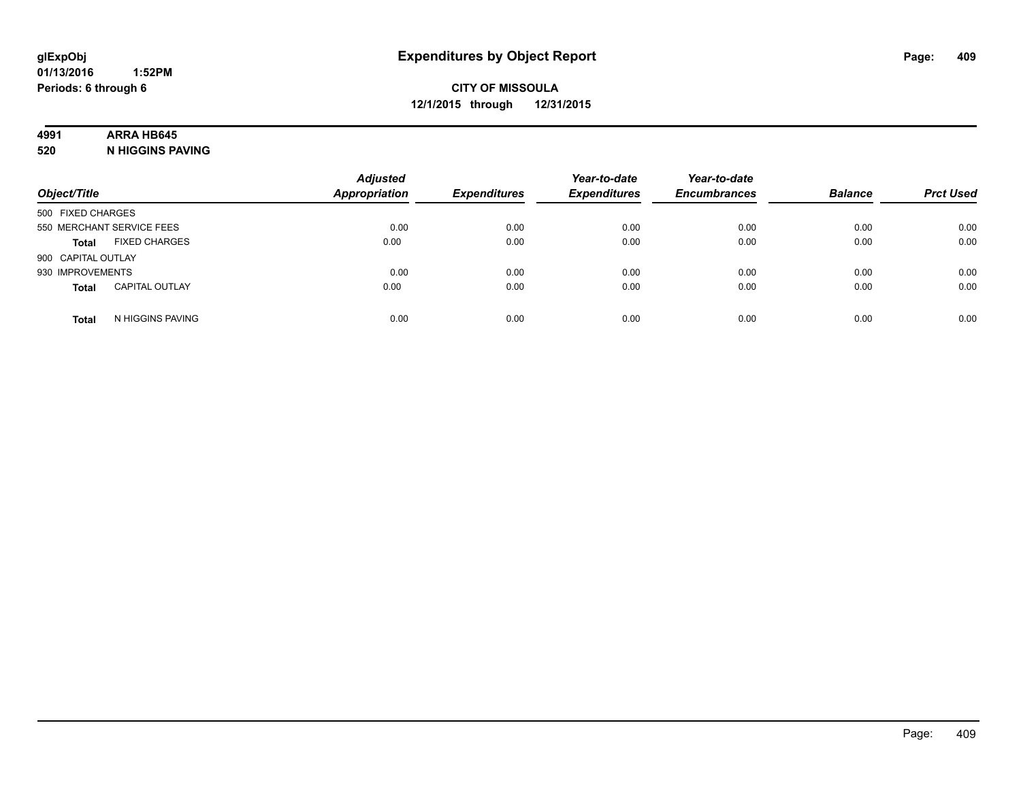# **4991 ARRA HB645**

**520 N HIGGINS PAVING**

| Object/Title       |                           | <b>Adjusted</b><br><b>Appropriation</b> | <b>Expenditures</b> | Year-to-date<br><b>Expenditures</b> | Year-to-date<br><b>Encumbrances</b> | <b>Balance</b> | <b>Prct Used</b> |
|--------------------|---------------------------|-----------------------------------------|---------------------|-------------------------------------|-------------------------------------|----------------|------------------|
| 500 FIXED CHARGES  |                           |                                         |                     |                                     |                                     |                |                  |
|                    | 550 MERCHANT SERVICE FEES | 0.00                                    | 0.00                | 0.00                                | 0.00                                | 0.00           | 0.00             |
| <b>Total</b>       | <b>FIXED CHARGES</b>      | 0.00                                    | 0.00                | 0.00                                | 0.00                                | 0.00           | 0.00             |
| 900 CAPITAL OUTLAY |                           |                                         |                     |                                     |                                     |                |                  |
| 930 IMPROVEMENTS   |                           | 0.00                                    | 0.00                | 0.00                                | 0.00                                | 0.00           | 0.00             |
| <b>Total</b>       | <b>CAPITAL OUTLAY</b>     | 0.00                                    | 0.00                | 0.00                                | 0.00                                | 0.00           | 0.00             |
| <b>Total</b>       | N HIGGINS PAVING          | 0.00                                    | 0.00                | 0.00                                | 0.00                                | 0.00           | 0.00             |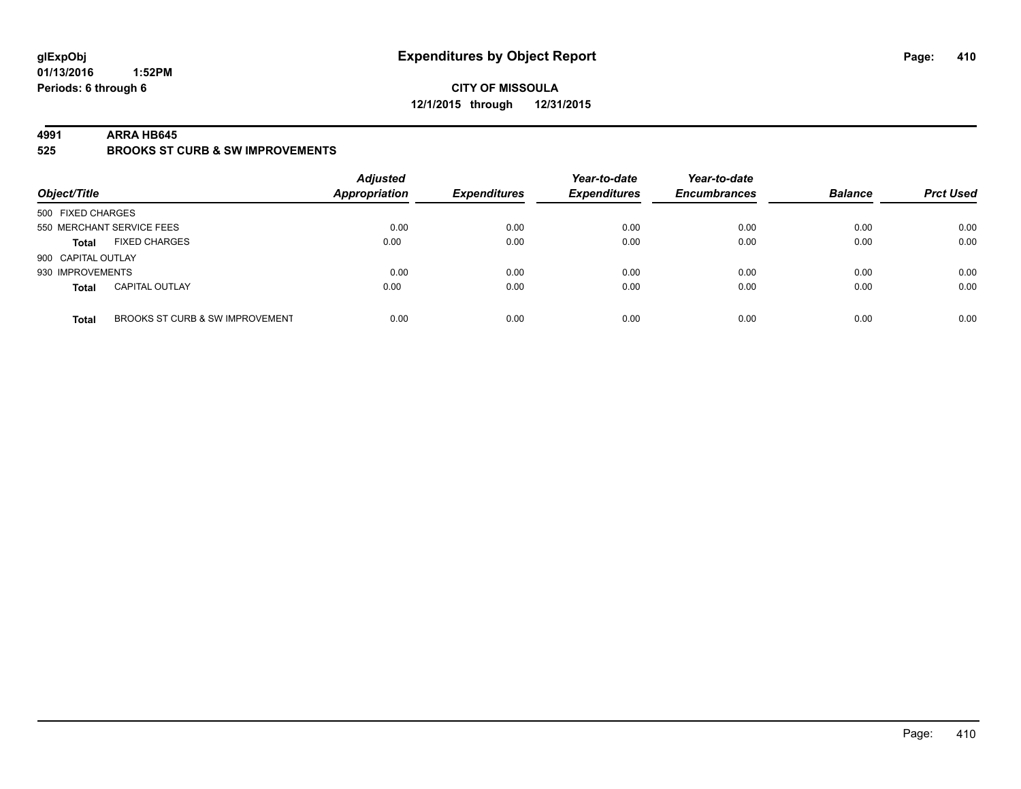# **CITY OF MISSOULA 12/1/2015 through 12/31/2015**

#### **4991 ARRA HB645**

**525 BROOKS ST CURB & SW IMPROVEMENTS**

| Object/Title                                    | <b>Adjusted</b><br><b>Appropriation</b> | <b>Expenditures</b> | Year-to-date<br><b>Expenditures</b> | Year-to-date<br><b>Encumbrances</b> | <b>Balance</b> | <b>Prct Used</b> |
|-------------------------------------------------|-----------------------------------------|---------------------|-------------------------------------|-------------------------------------|----------------|------------------|
| 500 FIXED CHARGES                               |                                         |                     |                                     |                                     |                |                  |
| 550 MERCHANT SERVICE FEES                       | 0.00                                    | 0.00                | 0.00                                | 0.00                                | 0.00           | 0.00             |
| <b>FIXED CHARGES</b><br><b>Total</b>            | 0.00                                    | 0.00                | 0.00                                | 0.00                                | 0.00           | 0.00             |
| 900 CAPITAL OUTLAY                              |                                         |                     |                                     |                                     |                |                  |
| 930 IMPROVEMENTS                                | 0.00                                    | 0.00                | 0.00                                | 0.00                                | 0.00           | 0.00             |
| <b>CAPITAL OUTLAY</b><br><b>Total</b>           | 0.00                                    | 0.00                | 0.00                                | 0.00                                | 0.00           | 0.00             |
| BROOKS ST CURB & SW IMPROVEMENT<br><b>Total</b> | 0.00                                    | 0.00                | 0.00                                | 0.00                                | 0.00           | 0.00             |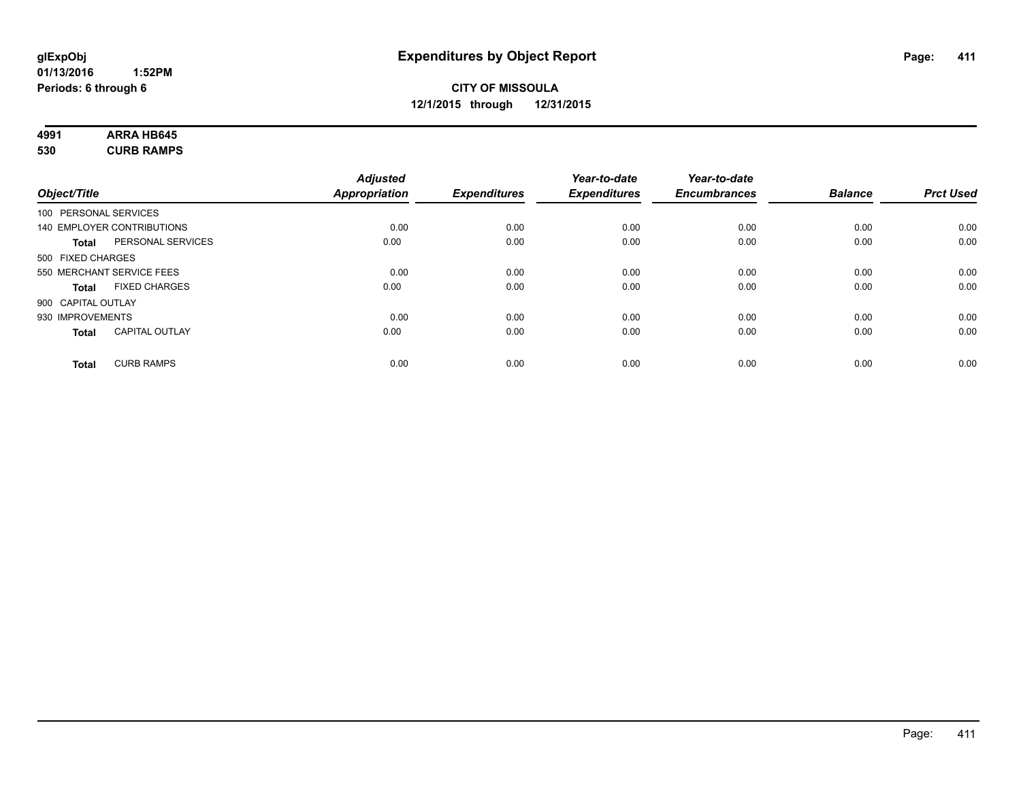#### **4991 ARRA HB645 530 CURB RAMPS**

|                       |                            | <b>Adjusted</b>      |                     | Year-to-date        | Year-to-date        |                |                  |
|-----------------------|----------------------------|----------------------|---------------------|---------------------|---------------------|----------------|------------------|
| Object/Title          |                            | <b>Appropriation</b> | <b>Expenditures</b> | <b>Expenditures</b> | <b>Encumbrances</b> | <b>Balance</b> | <b>Prct Used</b> |
| 100 PERSONAL SERVICES |                            |                      |                     |                     |                     |                |                  |
|                       | 140 EMPLOYER CONTRIBUTIONS | 0.00                 | 0.00                | 0.00                | 0.00                | 0.00           | 0.00             |
| <b>Total</b>          | PERSONAL SERVICES          | 0.00                 | 0.00                | 0.00                | 0.00                | 0.00           | 0.00             |
| 500 FIXED CHARGES     |                            |                      |                     |                     |                     |                |                  |
|                       | 550 MERCHANT SERVICE FEES  | 0.00                 | 0.00                | 0.00                | 0.00                | 0.00           | 0.00             |
| <b>Total</b>          | <b>FIXED CHARGES</b>       | 0.00                 | 0.00                | 0.00                | 0.00                | 0.00           | 0.00             |
| 900 CAPITAL OUTLAY    |                            |                      |                     |                     |                     |                |                  |
| 930 IMPROVEMENTS      |                            | 0.00                 | 0.00                | 0.00                | 0.00                | 0.00           | 0.00             |
| <b>Total</b>          | <b>CAPITAL OUTLAY</b>      | 0.00                 | 0.00                | 0.00                | 0.00                | 0.00           | 0.00             |
| <b>Total</b>          | <b>CURB RAMPS</b>          | 0.00                 | 0.00                | 0.00                | 0.00                | 0.00           | 0.00             |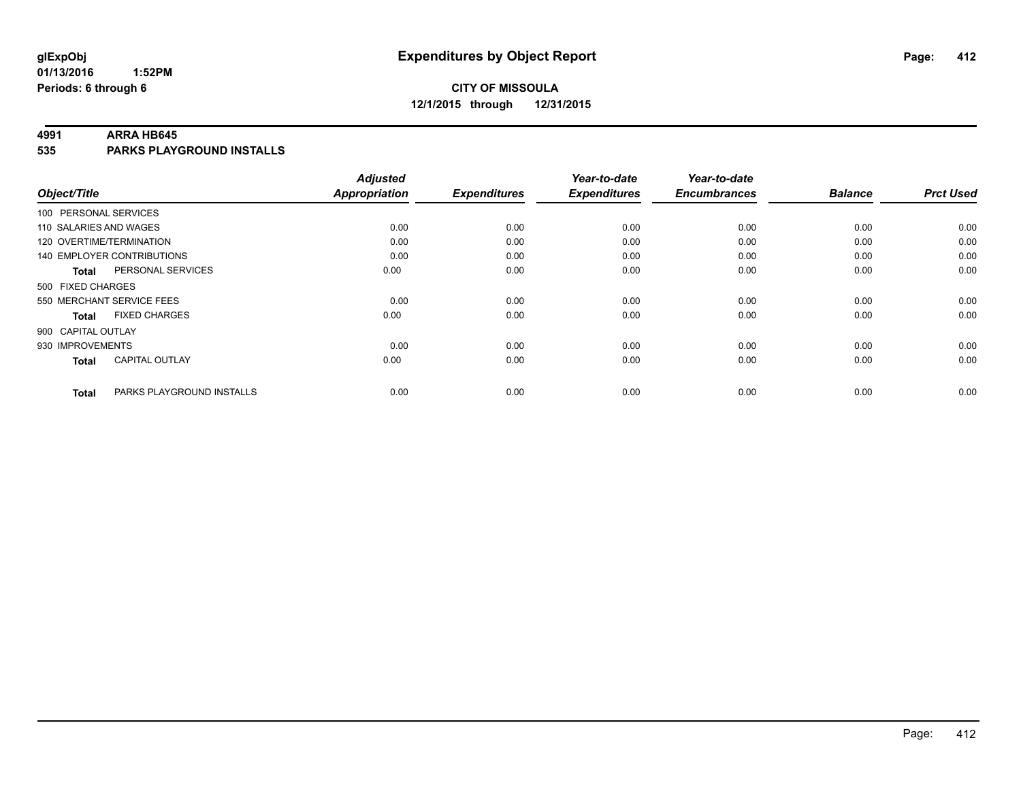#### **4991 ARRA HB645**

**535 PARKS PLAYGROUND INSTALLS**

|                                           | <b>Adjusted</b>      |                     | Year-to-date        | Year-to-date        |                |                  |
|-------------------------------------------|----------------------|---------------------|---------------------|---------------------|----------------|------------------|
| Object/Title                              | <b>Appropriation</b> | <b>Expenditures</b> | <b>Expenditures</b> | <b>Encumbrances</b> | <b>Balance</b> | <b>Prct Used</b> |
| 100 PERSONAL SERVICES                     |                      |                     |                     |                     |                |                  |
| 110 SALARIES AND WAGES                    | 0.00                 | 0.00                | 0.00                | 0.00                | 0.00           | 0.00             |
| 120 OVERTIME/TERMINATION                  | 0.00                 | 0.00                | 0.00                | 0.00                | 0.00           | 0.00             |
| 140 EMPLOYER CONTRIBUTIONS                | 0.00                 | 0.00                | 0.00                | 0.00                | 0.00           | 0.00             |
| PERSONAL SERVICES<br><b>Total</b>         | 0.00                 | 0.00                | 0.00                | 0.00                | 0.00           | 0.00             |
| 500 FIXED CHARGES                         |                      |                     |                     |                     |                |                  |
| 550 MERCHANT SERVICE FEES                 | 0.00                 | 0.00                | 0.00                | 0.00                | 0.00           | 0.00             |
| <b>FIXED CHARGES</b><br><b>Total</b>      | 0.00                 | 0.00                | 0.00                | 0.00                | 0.00           | 0.00             |
| 900 CAPITAL OUTLAY                        |                      |                     |                     |                     |                |                  |
| 930 IMPROVEMENTS                          | 0.00                 | 0.00                | 0.00                | 0.00                | 0.00           | 0.00             |
| <b>CAPITAL OUTLAY</b><br>Total            | 0.00                 | 0.00                | 0.00                | 0.00                | 0.00           | 0.00             |
| PARKS PLAYGROUND INSTALLS<br><b>Total</b> | 0.00                 | 0.00                | 0.00                | 0.00                | 0.00           | 0.00             |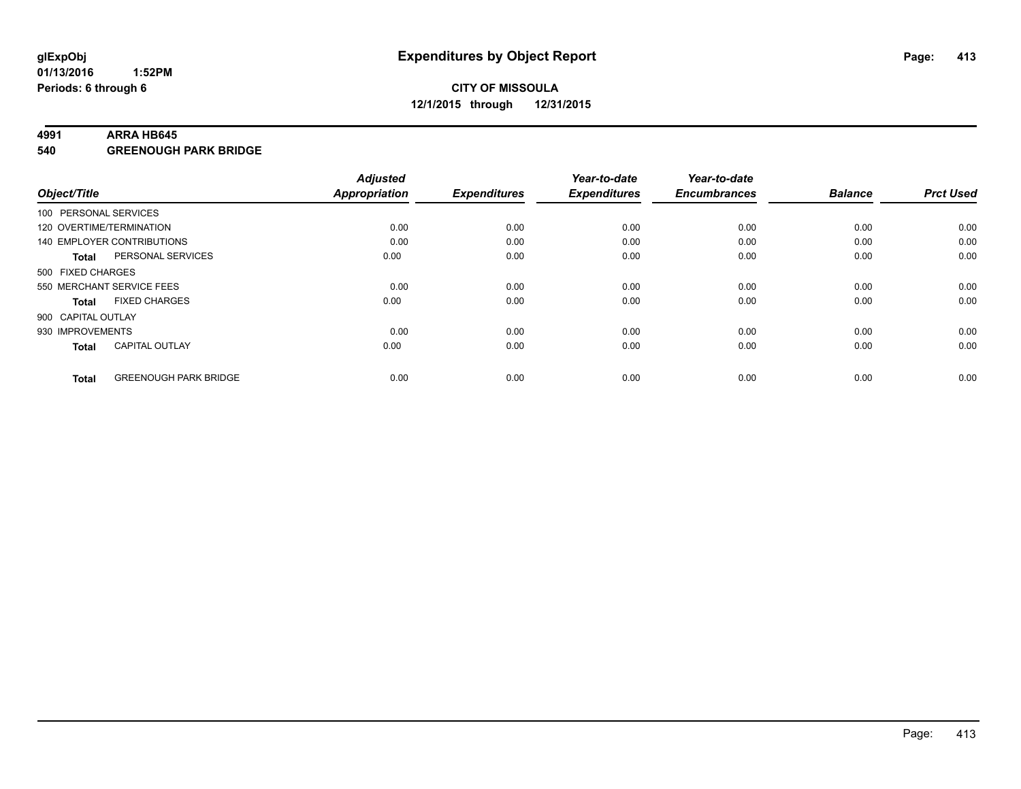#### **4991 ARRA HB645**

**540 GREENOUGH PARK BRIDGE**

| Object/Title       |                              | <b>Adjusted</b><br><b>Appropriation</b> | <b>Expenditures</b> | Year-to-date<br><b>Expenditures</b> | Year-to-date<br><b>Encumbrances</b> | <b>Balance</b> | <b>Prct Used</b> |
|--------------------|------------------------------|-----------------------------------------|---------------------|-------------------------------------|-------------------------------------|----------------|------------------|
|                    | 100 PERSONAL SERVICES        |                                         |                     |                                     |                                     |                |                  |
|                    | 120 OVERTIME/TERMINATION     | 0.00                                    | 0.00                | 0.00                                | 0.00                                | 0.00           | 0.00             |
|                    | 140 EMPLOYER CONTRIBUTIONS   | 0.00                                    | 0.00                | 0.00                                | 0.00                                | 0.00           | 0.00             |
| Total              | PERSONAL SERVICES            | 0.00                                    | 0.00                | 0.00                                | 0.00                                | 0.00           | 0.00             |
| 500 FIXED CHARGES  |                              |                                         |                     |                                     |                                     |                |                  |
|                    | 550 MERCHANT SERVICE FEES    | 0.00                                    | 0.00                | 0.00                                | 0.00                                | 0.00           | 0.00             |
| <b>Total</b>       | <b>FIXED CHARGES</b>         | 0.00                                    | 0.00                | 0.00                                | 0.00                                | 0.00           | 0.00             |
| 900 CAPITAL OUTLAY |                              |                                         |                     |                                     |                                     |                |                  |
| 930 IMPROVEMENTS   |                              | 0.00                                    | 0.00                | 0.00                                | 0.00                                | 0.00           | 0.00             |
| <b>Total</b>       | <b>CAPITAL OUTLAY</b>        | 0.00                                    | 0.00                | 0.00                                | 0.00                                | 0.00           | 0.00             |
| <b>Total</b>       | <b>GREENOUGH PARK BRIDGE</b> | 0.00                                    | 0.00                | 0.00                                | 0.00                                | 0.00           | 0.00             |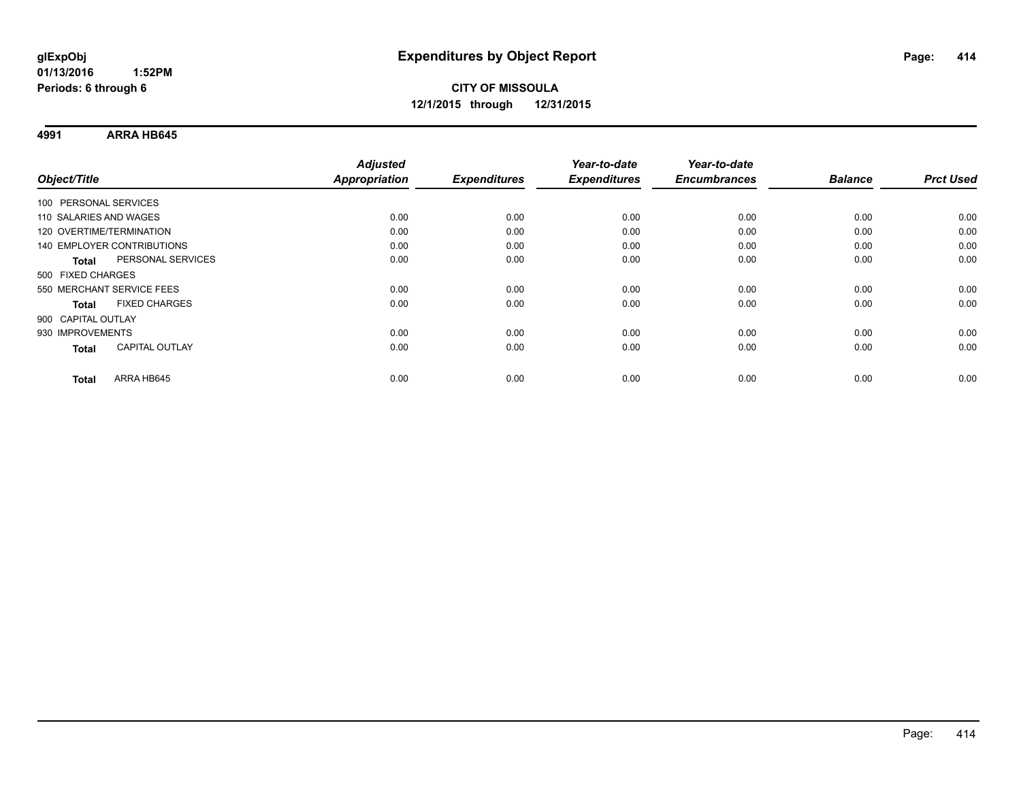**4991 ARRA HB645**

|                           |                                   | <b>Adjusted</b>      |                     | Year-to-date        | Year-to-date        |                |                  |
|---------------------------|-----------------------------------|----------------------|---------------------|---------------------|---------------------|----------------|------------------|
| Object/Title              |                                   | <b>Appropriation</b> | <b>Expenditures</b> | <b>Expenditures</b> | <b>Encumbrances</b> | <b>Balance</b> | <b>Prct Used</b> |
| 100 PERSONAL SERVICES     |                                   |                      |                     |                     |                     |                |                  |
| 110 SALARIES AND WAGES    |                                   | 0.00                 | 0.00                | 0.00                | 0.00                | 0.00           | 0.00             |
| 120 OVERTIME/TERMINATION  |                                   | 0.00                 | 0.00                | 0.00                | 0.00                | 0.00           | 0.00             |
|                           | <b>140 EMPLOYER CONTRIBUTIONS</b> | 0.00                 | 0.00                | 0.00                | 0.00                | 0.00           | 0.00             |
| <b>Total</b>              | PERSONAL SERVICES                 | 0.00                 | 0.00                | 0.00                | 0.00                | 0.00           | 0.00             |
| 500 FIXED CHARGES         |                                   |                      |                     |                     |                     |                |                  |
| 550 MERCHANT SERVICE FEES |                                   | 0.00                 | 0.00                | 0.00                | 0.00                | 0.00           | 0.00             |
| Total                     | <b>FIXED CHARGES</b>              | 0.00                 | 0.00                | 0.00                | 0.00                | 0.00           | 0.00             |
| 900 CAPITAL OUTLAY        |                                   |                      |                     |                     |                     |                |                  |
| 930 IMPROVEMENTS          |                                   | 0.00                 | 0.00                | 0.00                | 0.00                | 0.00           | 0.00             |
| Total                     | <b>CAPITAL OUTLAY</b>             | 0.00                 | 0.00                | 0.00                | 0.00                | 0.00           | 0.00             |
| <b>Total</b>              | ARRA HB645                        | 0.00                 | 0.00                | 0.00                | 0.00                | 0.00           | 0.00             |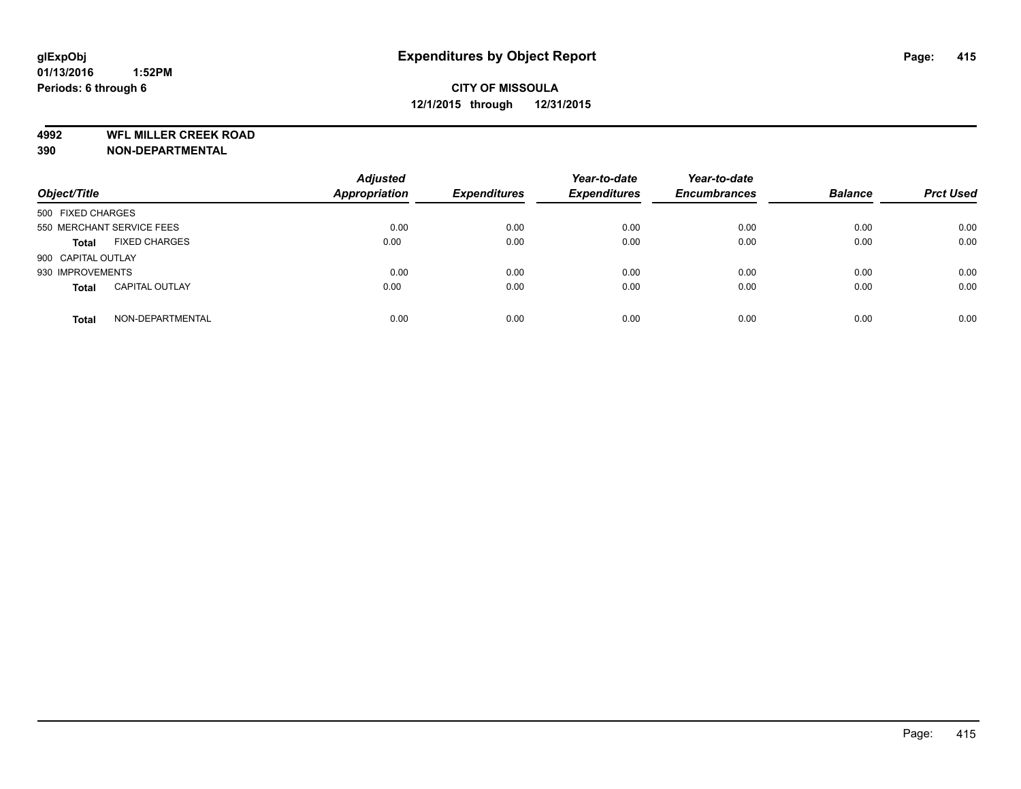**4992 WFL MILLER CREEK ROAD**

**390 NON-DEPARTMENTAL**

| Object/Title       |                           | <b>Adjusted</b><br>Appropriation | <b>Expenditures</b> | Year-to-date<br><b>Expenditures</b> | Year-to-date<br><b>Encumbrances</b> | <b>Balance</b> | <b>Prct Used</b> |
|--------------------|---------------------------|----------------------------------|---------------------|-------------------------------------|-------------------------------------|----------------|------------------|
| 500 FIXED CHARGES  |                           |                                  |                     |                                     |                                     |                |                  |
|                    | 550 MERCHANT SERVICE FEES | 0.00                             | 0.00                | 0.00                                | 0.00                                | 0.00           | 0.00             |
| <b>Total</b>       | <b>FIXED CHARGES</b>      | 0.00                             | 0.00                | 0.00                                | 0.00                                | 0.00           | 0.00             |
| 900 CAPITAL OUTLAY |                           |                                  |                     |                                     |                                     |                |                  |
| 930 IMPROVEMENTS   |                           | 0.00                             | 0.00                | 0.00                                | 0.00                                | 0.00           | 0.00             |
| <b>Total</b>       | <b>CAPITAL OUTLAY</b>     | 0.00                             | 0.00                | 0.00                                | 0.00                                | 0.00           | 0.00             |
| <b>Total</b>       | NON-DEPARTMENTAL          | 0.00                             | 0.00                | 0.00                                | 0.00                                | 0.00           | 0.00             |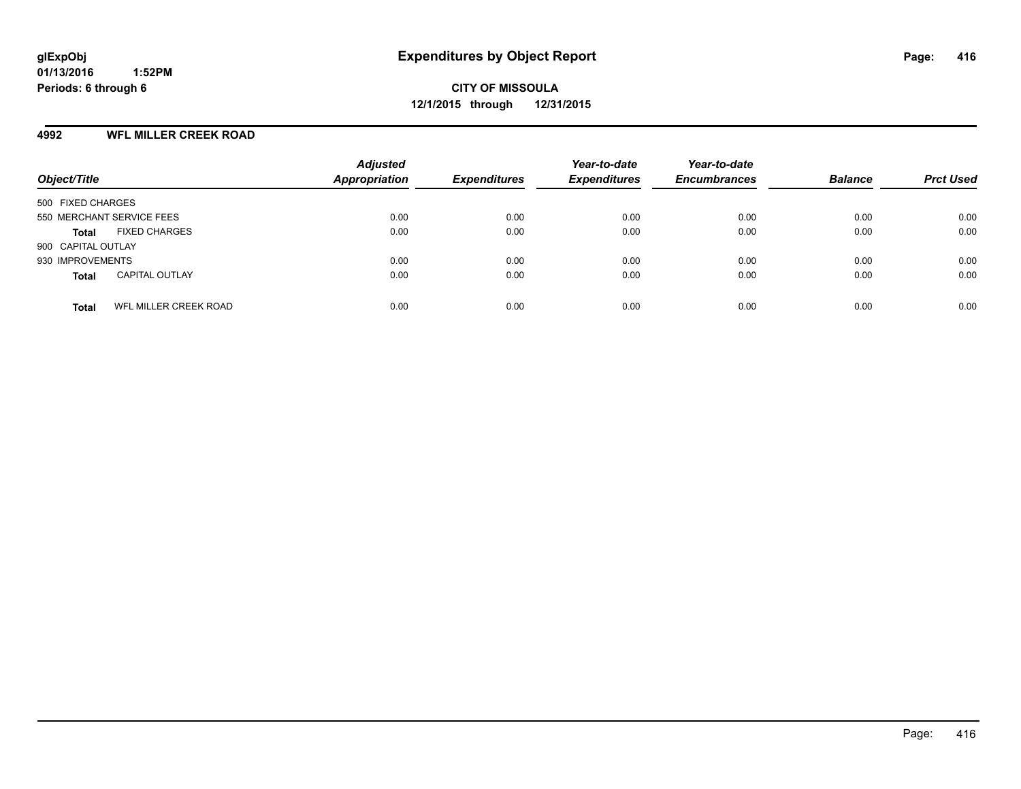#### **4992 WFL MILLER CREEK ROAD**

| Object/Title                          | <b>Adjusted</b><br><b>Appropriation</b> | <b>Expenditures</b> | Year-to-date<br><b>Expenditures</b> | Year-to-date<br><b>Encumbrances</b> | <b>Balance</b> | <b>Prct Used</b> |
|---------------------------------------|-----------------------------------------|---------------------|-------------------------------------|-------------------------------------|----------------|------------------|
| 500 FIXED CHARGES                     |                                         |                     |                                     |                                     |                |                  |
| 550 MERCHANT SERVICE FEES             | 0.00                                    | 0.00                | 0.00                                | 0.00                                | 0.00           | 0.00             |
| <b>FIXED CHARGES</b><br>Total         | 0.00                                    | 0.00                | 0.00                                | 0.00                                | 0.00           | 0.00             |
| 900 CAPITAL OUTLAY                    |                                         |                     |                                     |                                     |                |                  |
| 930 IMPROVEMENTS                      | 0.00                                    | 0.00                | 0.00                                | 0.00                                | 0.00           | 0.00             |
| <b>CAPITAL OUTLAY</b><br><b>Total</b> | 0.00                                    | 0.00                | 0.00                                | 0.00                                | 0.00           | 0.00             |
| WFL MILLER CREEK ROAD<br><b>Total</b> | 0.00                                    | 0.00                | 0.00                                | 0.00                                | 0.00           | 0.00             |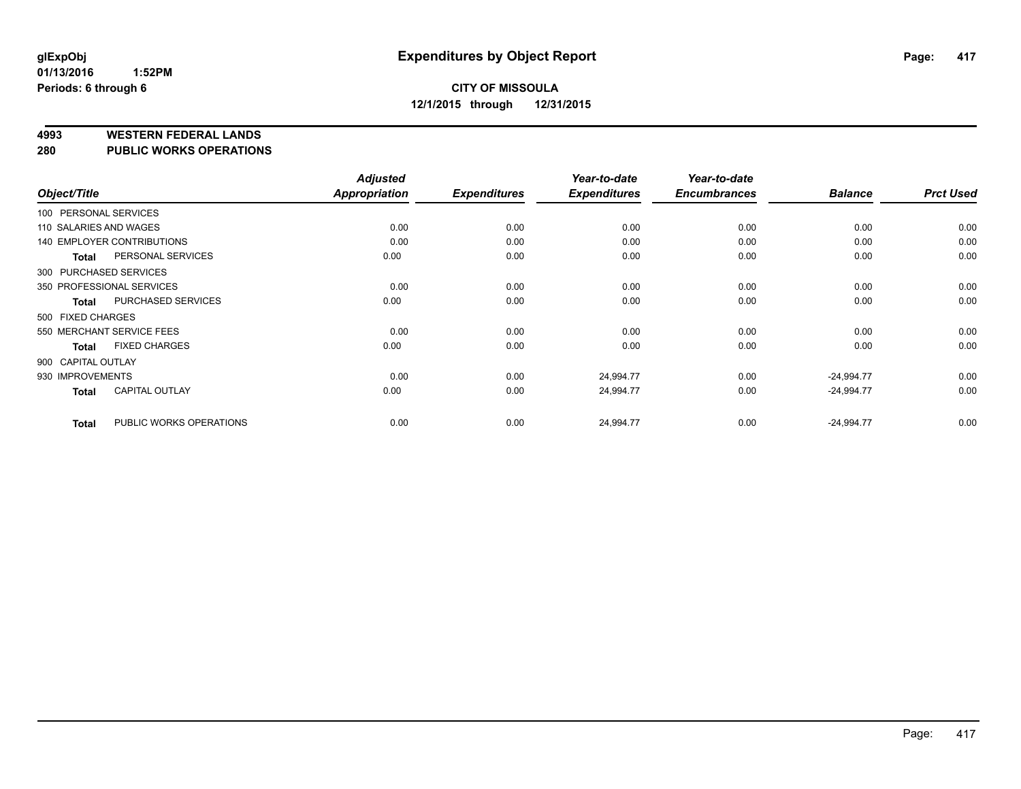**4993 WESTERN FEDERAL LANDS**

**280 PUBLIC WORKS OPERATIONS**

|                        |                            | <b>Adjusted</b> |                     | Year-to-date        | Year-to-date        |                |                  |
|------------------------|----------------------------|-----------------|---------------------|---------------------|---------------------|----------------|------------------|
| Object/Title           |                            | Appropriation   | <b>Expenditures</b> | <b>Expenditures</b> | <b>Encumbrances</b> | <b>Balance</b> | <b>Prct Used</b> |
| 100 PERSONAL SERVICES  |                            |                 |                     |                     |                     |                |                  |
| 110 SALARIES AND WAGES |                            | 0.00            | 0.00                | 0.00                | 0.00                | 0.00           | 0.00             |
|                        | 140 EMPLOYER CONTRIBUTIONS | 0.00            | 0.00                | 0.00                | 0.00                | 0.00           | 0.00             |
| <b>Total</b>           | PERSONAL SERVICES          | 0.00            | 0.00                | 0.00                | 0.00                | 0.00           | 0.00             |
| 300 PURCHASED SERVICES |                            |                 |                     |                     |                     |                |                  |
|                        | 350 PROFESSIONAL SERVICES  | 0.00            | 0.00                | 0.00                | 0.00                | 0.00           | 0.00             |
| <b>Total</b>           | PURCHASED SERVICES         | 0.00            | 0.00                | 0.00                | 0.00                | 0.00           | 0.00             |
| 500 FIXED CHARGES      |                            |                 |                     |                     |                     |                |                  |
|                        | 550 MERCHANT SERVICE FEES  | 0.00            | 0.00                | 0.00                | 0.00                | 0.00           | 0.00             |
| <b>Total</b>           | <b>FIXED CHARGES</b>       | 0.00            | 0.00                | 0.00                | 0.00                | 0.00           | 0.00             |
| 900 CAPITAL OUTLAY     |                            |                 |                     |                     |                     |                |                  |
| 930 IMPROVEMENTS       |                            | 0.00            | 0.00                | 24,994.77           | 0.00                | $-24,994.77$   | 0.00             |
| <b>Total</b>           | <b>CAPITAL OUTLAY</b>      | 0.00            | 0.00                | 24,994.77           | 0.00                | $-24,994.77$   | 0.00             |
| <b>Total</b>           | PUBLIC WORKS OPERATIONS    | 0.00            | 0.00                | 24,994.77           | 0.00                | $-24,994.77$   | 0.00             |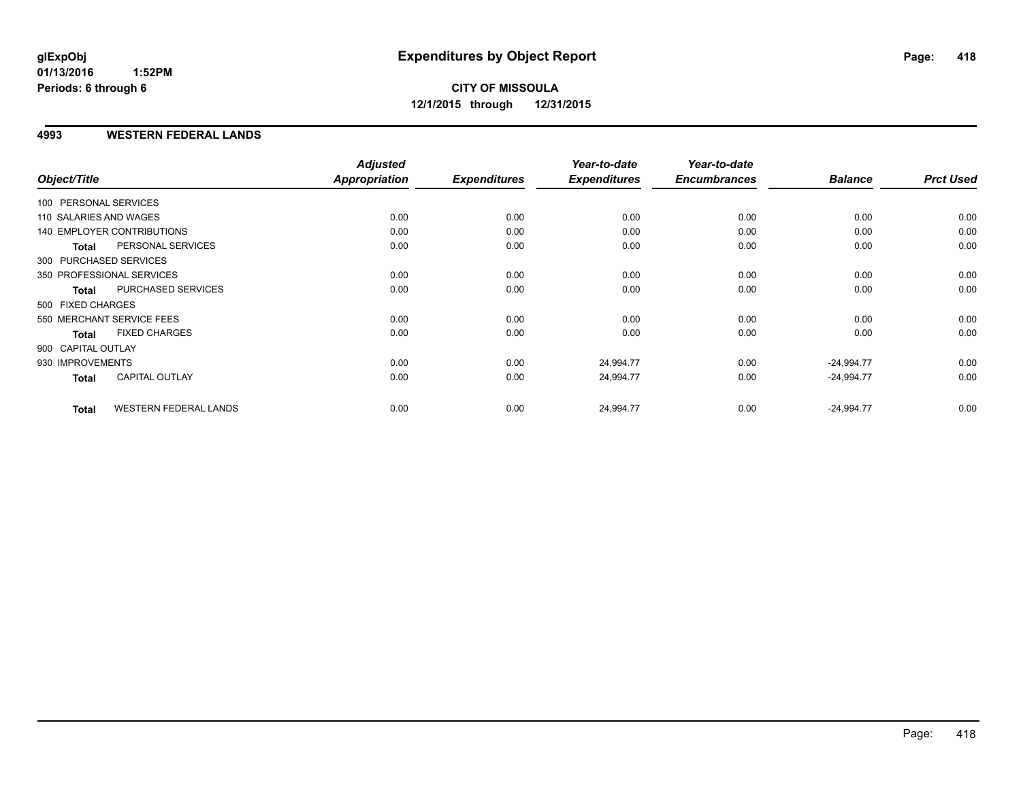# **CITY OF MISSOULA 12/1/2015 through 12/31/2015**

#### **4993 WESTERN FEDERAL LANDS**

|                        |                                   | <b>Adjusted</b> |                     | Year-to-date        | Year-to-date        |                |                  |
|------------------------|-----------------------------------|-----------------|---------------------|---------------------|---------------------|----------------|------------------|
| Object/Title           |                                   | Appropriation   | <b>Expenditures</b> | <b>Expenditures</b> | <b>Encumbrances</b> | <b>Balance</b> | <b>Prct Used</b> |
| 100 PERSONAL SERVICES  |                                   |                 |                     |                     |                     |                |                  |
| 110 SALARIES AND WAGES |                                   | 0.00            | 0.00                | 0.00                | 0.00                | 0.00           | 0.00             |
|                        | <b>140 EMPLOYER CONTRIBUTIONS</b> | 0.00            | 0.00                | 0.00                | 0.00                | 0.00           | 0.00             |
| <b>Total</b>           | PERSONAL SERVICES                 | 0.00            | 0.00                | 0.00                | 0.00                | 0.00           | 0.00             |
|                        | 300 PURCHASED SERVICES            |                 |                     |                     |                     |                |                  |
|                        | 350 PROFESSIONAL SERVICES         | 0.00            | 0.00                | 0.00                | 0.00                | 0.00           | 0.00             |
| <b>Total</b>           | PURCHASED SERVICES                | 0.00            | 0.00                | 0.00                | 0.00                | 0.00           | 0.00             |
| 500 FIXED CHARGES      |                                   |                 |                     |                     |                     |                |                  |
|                        | 550 MERCHANT SERVICE FEES         | 0.00            | 0.00                | 0.00                | 0.00                | 0.00           | 0.00             |
| <b>Total</b>           | <b>FIXED CHARGES</b>              | 0.00            | 0.00                | 0.00                | 0.00                | 0.00           | 0.00             |
| 900 CAPITAL OUTLAY     |                                   |                 |                     |                     |                     |                |                  |
| 930 IMPROVEMENTS       |                                   | 0.00            | 0.00                | 24,994.77           | 0.00                | $-24,994.77$   | 0.00             |
| <b>Total</b>           | <b>CAPITAL OUTLAY</b>             | 0.00            | 0.00                | 24,994.77           | 0.00                | $-24,994.77$   | 0.00             |
| <b>Total</b>           | <b>WESTERN FEDERAL LANDS</b>      | 0.00            | 0.00                | 24,994.77           | 0.00                | $-24,994.77$   | 0.00             |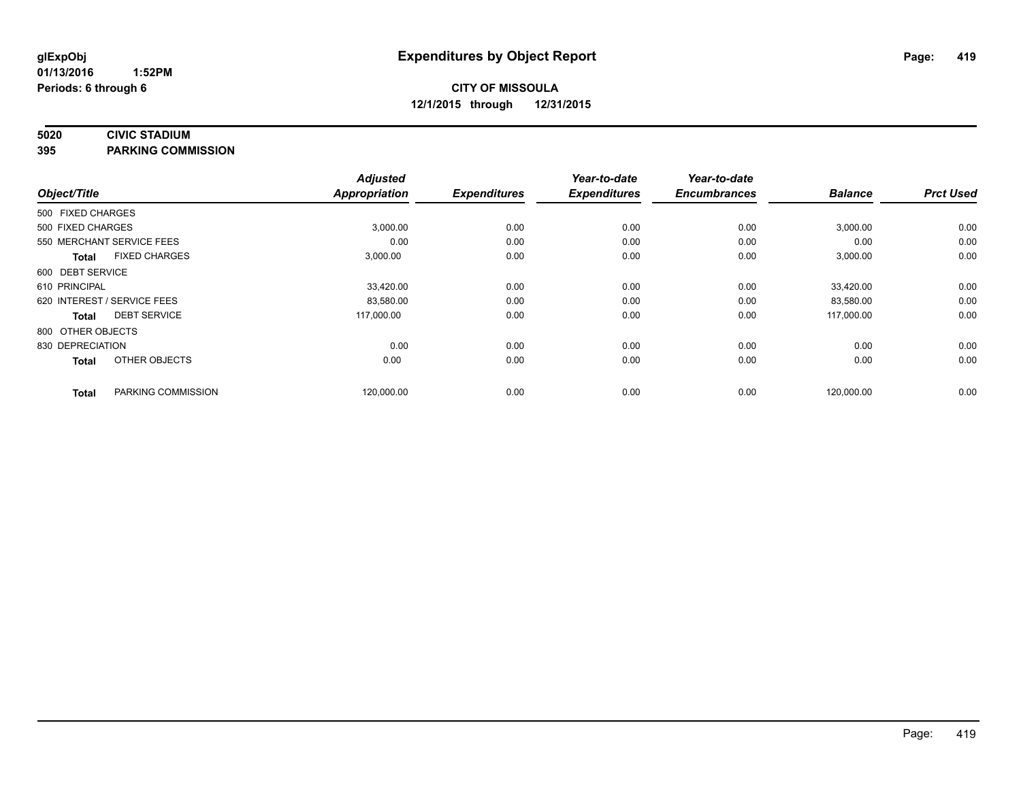#### **5020 CIVIC STADIUM**

**395 PARKING COMMISSION**

|                   |                             | <b>Adjusted</b>      |                     | Year-to-date        | Year-to-date        |                |                  |
|-------------------|-----------------------------|----------------------|---------------------|---------------------|---------------------|----------------|------------------|
| Object/Title      |                             | <b>Appropriation</b> | <b>Expenditures</b> | <b>Expenditures</b> | <b>Encumbrances</b> | <b>Balance</b> | <b>Prct Used</b> |
| 500 FIXED CHARGES |                             |                      |                     |                     |                     |                |                  |
| 500 FIXED CHARGES |                             | 3,000.00             | 0.00                | 0.00                | 0.00                | 3,000.00       | 0.00             |
|                   | 550 MERCHANT SERVICE FEES   | 0.00                 | 0.00                | 0.00                | 0.00                | 0.00           | 0.00             |
| <b>Total</b>      | <b>FIXED CHARGES</b>        | 3,000.00             | 0.00                | 0.00                | 0.00                | 3,000.00       | 0.00             |
| 600 DEBT SERVICE  |                             |                      |                     |                     |                     |                |                  |
| 610 PRINCIPAL     |                             | 33,420.00            | 0.00                | 0.00                | 0.00                | 33,420.00      | 0.00             |
|                   | 620 INTEREST / SERVICE FEES | 83,580.00            | 0.00                | 0.00                | 0.00                | 83,580.00      | 0.00             |
| <b>Total</b>      | <b>DEBT SERVICE</b>         | 117,000.00           | 0.00                | 0.00                | 0.00                | 117,000.00     | 0.00             |
| 800 OTHER OBJECTS |                             |                      |                     |                     |                     |                |                  |
| 830 DEPRECIATION  |                             | 0.00                 | 0.00                | 0.00                | 0.00                | 0.00           | 0.00             |
| <b>Total</b>      | OTHER OBJECTS               | 0.00                 | 0.00                | 0.00                | 0.00                | 0.00           | 0.00             |
| <b>Total</b>      | PARKING COMMISSION          | 120,000.00           | 0.00                | 0.00                | 0.00                | 120,000.00     | 0.00             |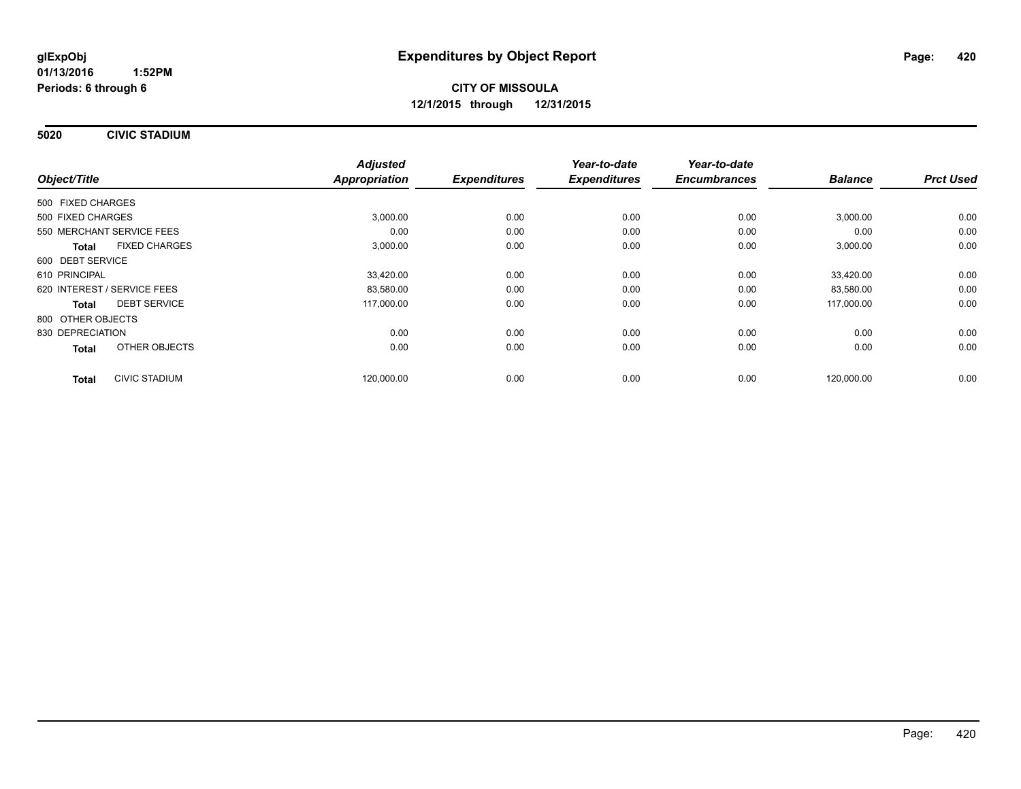**5020 CIVIC STADIUM**

|                                      | <b>Adjusted</b> |                     | Year-to-date        | Year-to-date        |                |                  |
|--------------------------------------|-----------------|---------------------|---------------------|---------------------|----------------|------------------|
| Object/Title                         | Appropriation   | <b>Expenditures</b> | <b>Expenditures</b> | <b>Encumbrances</b> | <b>Balance</b> | <b>Prct Used</b> |
| 500 FIXED CHARGES                    |                 |                     |                     |                     |                |                  |
| 500 FIXED CHARGES                    | 3,000.00        | 0.00                | 0.00                | 0.00                | 3,000.00       | 0.00             |
| 550 MERCHANT SERVICE FEES            | 0.00            | 0.00                | 0.00                | 0.00                | 0.00           | 0.00             |
| <b>FIXED CHARGES</b><br><b>Total</b> | 3,000.00        | 0.00                | 0.00                | 0.00                | 3,000.00       | 0.00             |
| 600 DEBT SERVICE                     |                 |                     |                     |                     |                |                  |
| 610 PRINCIPAL                        | 33,420.00       | 0.00                | 0.00                | 0.00                | 33.420.00      | 0.00             |
| 620 INTEREST / SERVICE FEES          | 83,580.00       | 0.00                | 0.00                | 0.00                | 83,580.00      | 0.00             |
| <b>DEBT SERVICE</b><br><b>Total</b>  | 117,000.00      | 0.00                | 0.00                | 0.00                | 117,000.00     | 0.00             |
| 800 OTHER OBJECTS                    |                 |                     |                     |                     |                |                  |
| 830 DEPRECIATION                     | 0.00            | 0.00                | 0.00                | 0.00                | 0.00           | 0.00             |
| OTHER OBJECTS<br><b>Total</b>        | 0.00            | 0.00                | 0.00                | 0.00                | 0.00           | 0.00             |
| <b>CIVIC STADIUM</b><br><b>Total</b> | 120,000.00      | 0.00                | 0.00                | 0.00                | 120,000.00     | 0.00             |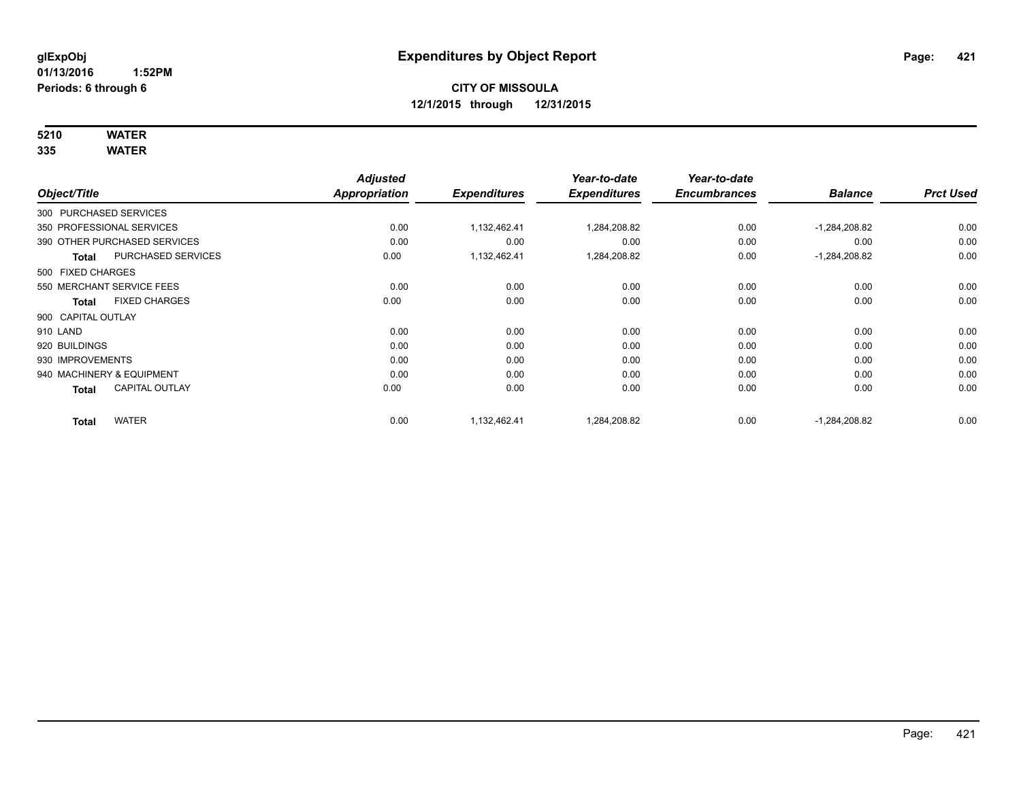# **5210 WATER**

|                        |                              | <b>Adjusted</b>      |                     | Year-to-date        | Year-to-date        |                 |                  |
|------------------------|------------------------------|----------------------|---------------------|---------------------|---------------------|-----------------|------------------|
| Object/Title           |                              | <b>Appropriation</b> | <b>Expenditures</b> | <b>Expenditures</b> | <b>Encumbrances</b> | <b>Balance</b>  | <b>Prct Used</b> |
| 300 PURCHASED SERVICES |                              |                      |                     |                     |                     |                 |                  |
|                        | 350 PROFESSIONAL SERVICES    | 0.00                 | 1,132,462.41        | 1,284,208.82        | 0.00                | $-1,284,208.82$ | 0.00             |
|                        | 390 OTHER PURCHASED SERVICES | 0.00                 | 0.00                | 0.00                | 0.00                | 0.00            | 0.00             |
| Total                  | PURCHASED SERVICES           | 0.00                 | 1,132,462.41        | 1,284,208.82        | 0.00                | $-1,284,208.82$ | 0.00             |
| 500 FIXED CHARGES      |                              |                      |                     |                     |                     |                 |                  |
|                        | 550 MERCHANT SERVICE FEES    | 0.00                 | 0.00                | 0.00                | 0.00                | 0.00            | 0.00             |
| <b>Total</b>           | <b>FIXED CHARGES</b>         | 0.00                 | 0.00                | 0.00                | 0.00                | 0.00            | 0.00             |
| 900 CAPITAL OUTLAY     |                              |                      |                     |                     |                     |                 |                  |
| 910 LAND               |                              | 0.00                 | 0.00                | 0.00                | 0.00                | 0.00            | 0.00             |
| 920 BUILDINGS          |                              | 0.00                 | 0.00                | 0.00                | 0.00                | 0.00            | 0.00             |
| 930 IMPROVEMENTS       |                              | 0.00                 | 0.00                | 0.00                | 0.00                | 0.00            | 0.00             |
|                        | 940 MACHINERY & EQUIPMENT    | 0.00                 | 0.00                | 0.00                | 0.00                | 0.00            | 0.00             |
| <b>Total</b>           | <b>CAPITAL OUTLAY</b>        | 0.00                 | 0.00                | 0.00                | 0.00                | 0.00            | 0.00             |
| <b>Total</b>           | <b>WATER</b>                 | 0.00                 | 1.132.462.41        | 1,284,208.82        | 0.00                | $-1,284,208.82$ | 0.00             |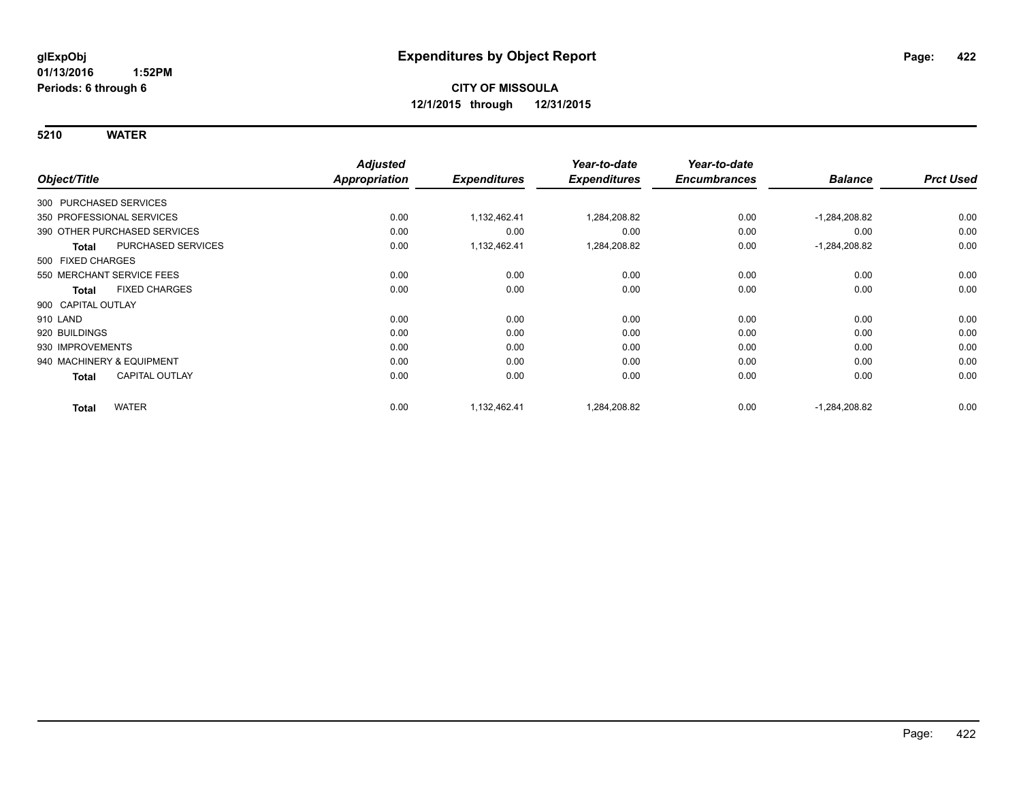|                        |                              | <b>Adjusted</b>      |                     | Year-to-date        | Year-to-date        |                 |                  |
|------------------------|------------------------------|----------------------|---------------------|---------------------|---------------------|-----------------|------------------|
| Object/Title           |                              | <b>Appropriation</b> | <b>Expenditures</b> | <b>Expenditures</b> | <b>Encumbrances</b> | <b>Balance</b>  | <b>Prct Used</b> |
| 300 PURCHASED SERVICES |                              |                      |                     |                     |                     |                 |                  |
|                        | 350 PROFESSIONAL SERVICES    | 0.00                 | 1,132,462.41        | 1,284,208.82        | 0.00                | $-1,284,208.82$ | 0.00             |
|                        | 390 OTHER PURCHASED SERVICES | 0.00                 | 0.00                | 0.00                | 0.00                | 0.00            | 0.00             |
| <b>Total</b>           | PURCHASED SERVICES           | 0.00                 | 1,132,462.41        | 1,284,208.82        | 0.00                | $-1,284,208.82$ | 0.00             |
| 500 FIXED CHARGES      |                              |                      |                     |                     |                     |                 |                  |
|                        | 550 MERCHANT SERVICE FEES    | 0.00                 | 0.00                | 0.00                | 0.00                | 0.00            | 0.00             |
| <b>Total</b>           | <b>FIXED CHARGES</b>         | 0.00                 | 0.00                | 0.00                | 0.00                | 0.00            | 0.00             |
| 900 CAPITAL OUTLAY     |                              |                      |                     |                     |                     |                 |                  |
| 910 LAND               |                              | 0.00                 | 0.00                | 0.00                | 0.00                | 0.00            | 0.00             |
| 920 BUILDINGS          |                              | 0.00                 | 0.00                | 0.00                | 0.00                | 0.00            | 0.00             |
| 930 IMPROVEMENTS       |                              | 0.00                 | 0.00                | 0.00                | 0.00                | 0.00            | 0.00             |
|                        | 940 MACHINERY & EQUIPMENT    | 0.00                 | 0.00                | 0.00                | 0.00                | 0.00            | 0.00             |
| <b>Total</b>           | CAPITAL OUTLAY               | 0.00                 | 0.00                | 0.00                | 0.00                | 0.00            | 0.00             |
| <b>Total</b>           | <b>WATER</b>                 | 0.00                 | 1,132,462.41        | 1,284,208.82        | 0.00                | $-1,284,208.82$ | 0.00             |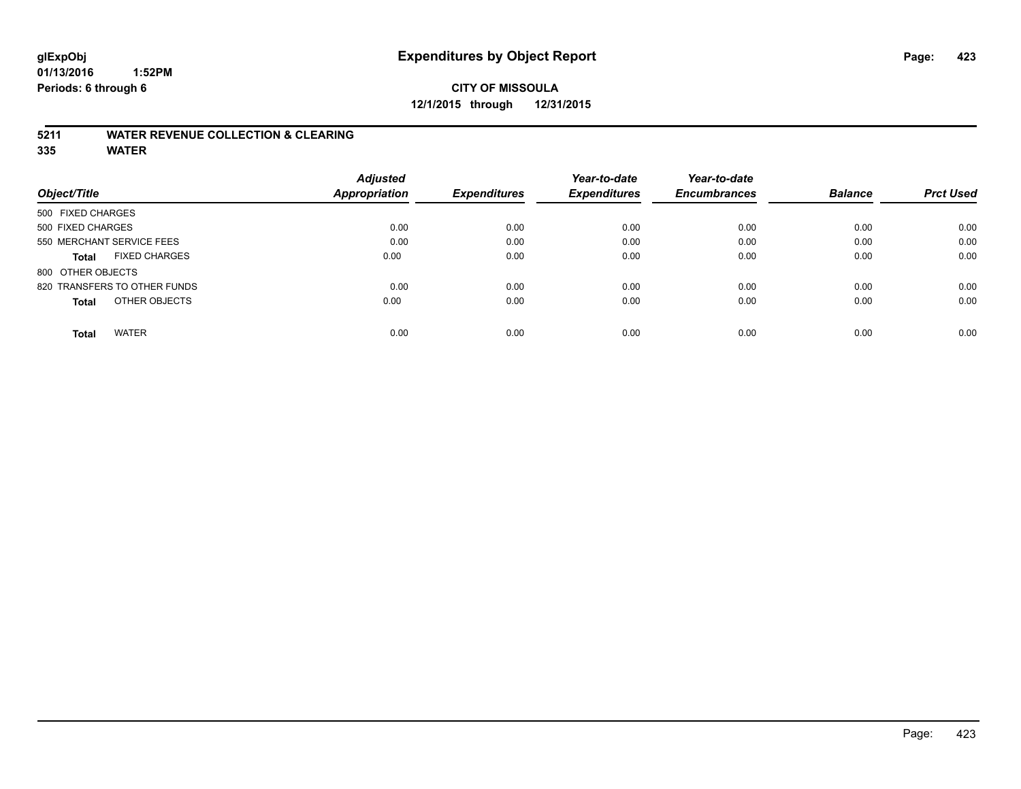# **CITY OF MISSOULA 12/1/2015 through 12/31/2015**

#### **5211 WATER REVENUE COLLECTION & CLEARING**

|                                      | <b>Adjusted</b>      |                     | Year-to-date        | Year-to-date        |                |                  |
|--------------------------------------|----------------------|---------------------|---------------------|---------------------|----------------|------------------|
| Object/Title                         | <b>Appropriation</b> | <b>Expenditures</b> | <b>Expenditures</b> | <b>Encumbrances</b> | <b>Balance</b> | <b>Prct Used</b> |
| 500 FIXED CHARGES                    |                      |                     |                     |                     |                |                  |
| 500 FIXED CHARGES                    | 0.00                 | 0.00                | 0.00                | 0.00                | 0.00           | 0.00             |
| 550 MERCHANT SERVICE FEES            | 0.00                 | 0.00                | 0.00                | 0.00                | 0.00           | 0.00             |
| <b>FIXED CHARGES</b><br><b>Total</b> | 0.00                 | 0.00                | 0.00                | 0.00                | 0.00           | 0.00             |
| 800 OTHER OBJECTS                    |                      |                     |                     |                     |                |                  |
| 820 TRANSFERS TO OTHER FUNDS         | 0.00                 | 0.00                | 0.00                | 0.00                | 0.00           | 0.00             |
| OTHER OBJECTS<br><b>Total</b>        | 0.00                 | 0.00                | 0.00                | 0.00                | 0.00           | 0.00             |
| <b>WATER</b><br><b>Total</b>         | 0.00                 | 0.00                | 0.00                | 0.00                | 0.00           | 0.00             |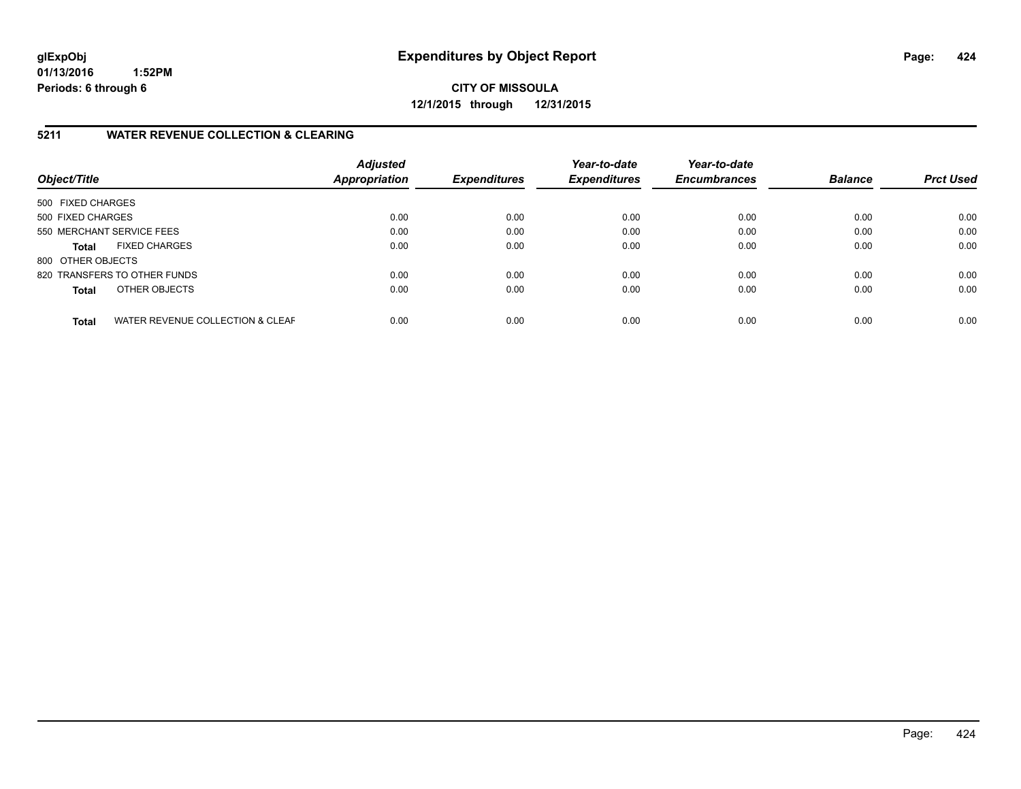**CITY OF MISSOULA 12/1/2015 through 12/31/2015**

### **5211 WATER REVENUE COLLECTION & CLEARING**

| Object/Title              |                                  | <b>Adjusted</b><br>Appropriation | <b>Expenditures</b> | Year-to-date<br><b>Expenditures</b> | Year-to-date<br><b>Encumbrances</b> | <b>Balance</b> | <b>Prct Used</b> |
|---------------------------|----------------------------------|----------------------------------|---------------------|-------------------------------------|-------------------------------------|----------------|------------------|
| 500 FIXED CHARGES         |                                  |                                  |                     |                                     |                                     |                |                  |
| 500 FIXED CHARGES         |                                  | 0.00                             | 0.00                | 0.00                                | 0.00                                | 0.00           | 0.00             |
| 550 MERCHANT SERVICE FEES |                                  | 0.00                             | 0.00                | 0.00                                | 0.00                                | 0.00           | 0.00             |
| <b>Total</b>              | <b>FIXED CHARGES</b>             | 0.00                             | 0.00                | 0.00                                | 0.00                                | 0.00           | 0.00             |
| 800 OTHER OBJECTS         |                                  |                                  |                     |                                     |                                     |                |                  |
|                           | 820 TRANSFERS TO OTHER FUNDS     | 0.00                             | 0.00                | 0.00                                | 0.00                                | 0.00           | 0.00             |
| <b>Total</b>              | OTHER OBJECTS                    | 0.00                             | 0.00                | 0.00                                | 0.00                                | 0.00           | 0.00             |
| <b>Total</b>              | WATER REVENUE COLLECTION & CLEAF | 0.00                             | 0.00                | 0.00                                | 0.00                                | 0.00           | 0.00             |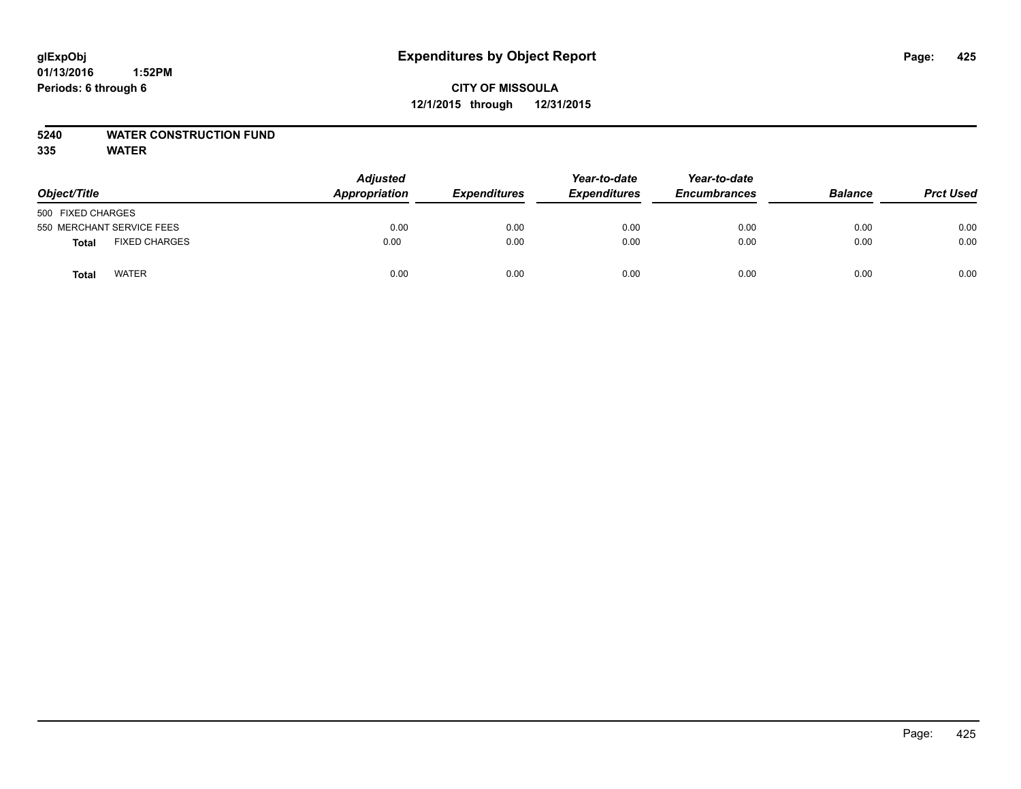# **CITY OF MISSOULA 12/1/2015 through 12/31/2015**

### **5240 WATER CONSTRUCTION FUND**

| Object/Title              |                      | <b>Adjusted</b><br>Appropriation | <b>Expenditures</b> | Year-to-date<br><b>Expenditures</b> | Year-to-date<br><b>Encumbrances</b> | <b>Balance</b> | <b>Prct Used</b> |
|---------------------------|----------------------|----------------------------------|---------------------|-------------------------------------|-------------------------------------|----------------|------------------|
| 500 FIXED CHARGES         |                      |                                  |                     |                                     |                                     |                |                  |
| 550 MERCHANT SERVICE FEES |                      | 0.00                             | 0.00                | 0.00                                | 0.00                                | 0.00           | 0.00             |
| Total                     | <b>FIXED CHARGES</b> | 0.00                             | 0.00                | 0.00                                | 0.00                                | 0.00           | 0.00             |
| Total                     | <b>WATER</b>         | 0.00                             | 0.00                | 0.00                                | 0.00                                | 0.00           | 0.00             |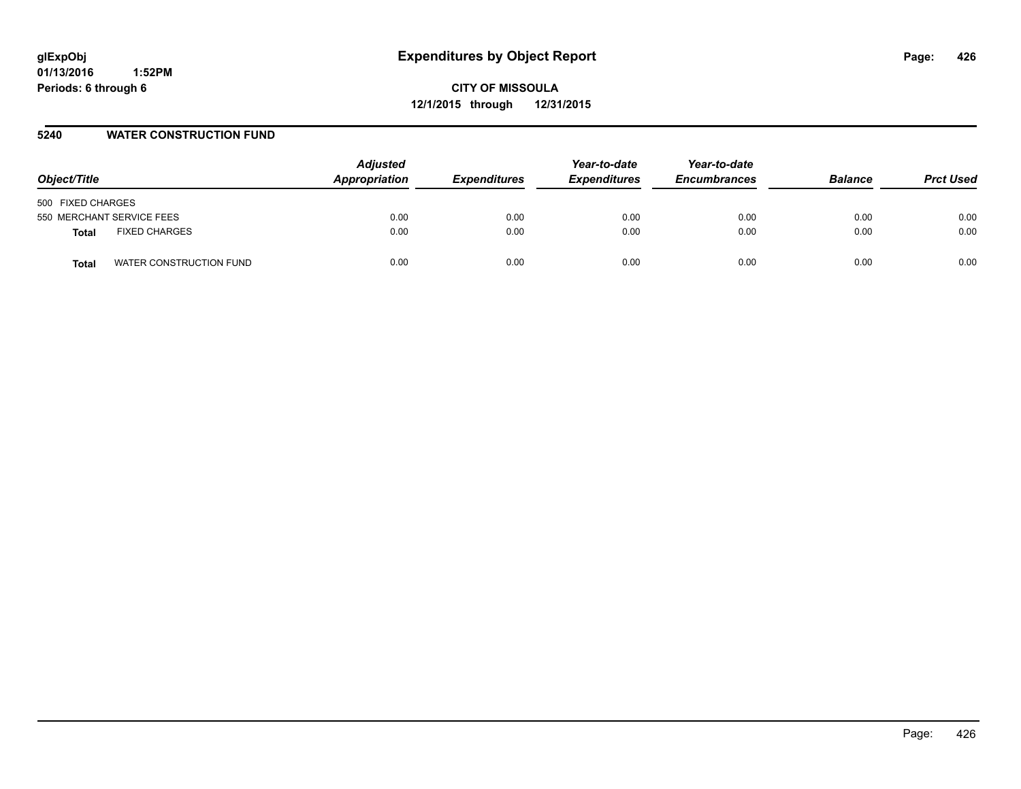### **5240 WATER CONSTRUCTION FUND**

| Object/Title                     | <b>Adjusted</b><br>Appropriation | <b>Expenditures</b> | Year-to-date<br><b>Expenditures</b> | Year-to-date<br><b>Encumbrances</b> | <b>Balance</b> | <b>Prct Used</b> |
|----------------------------------|----------------------------------|---------------------|-------------------------------------|-------------------------------------|----------------|------------------|
| 500 FIXED CHARGES                |                                  |                     |                                     |                                     |                |                  |
| 550 MERCHANT SERVICE FEES        | 0.00                             | 0.00                | 0.00                                | 0.00                                | 0.00           | 0.00             |
| <b>FIXED CHARGES</b><br>Total    | 0.00                             | 0.00                | 0.00                                | 0.00                                | 0.00           | 0.00             |
| WATER CONSTRUCTION FUND<br>Total | 0.00                             | 0.00                | 0.00                                | 0.00                                | 0.00           | 0.00             |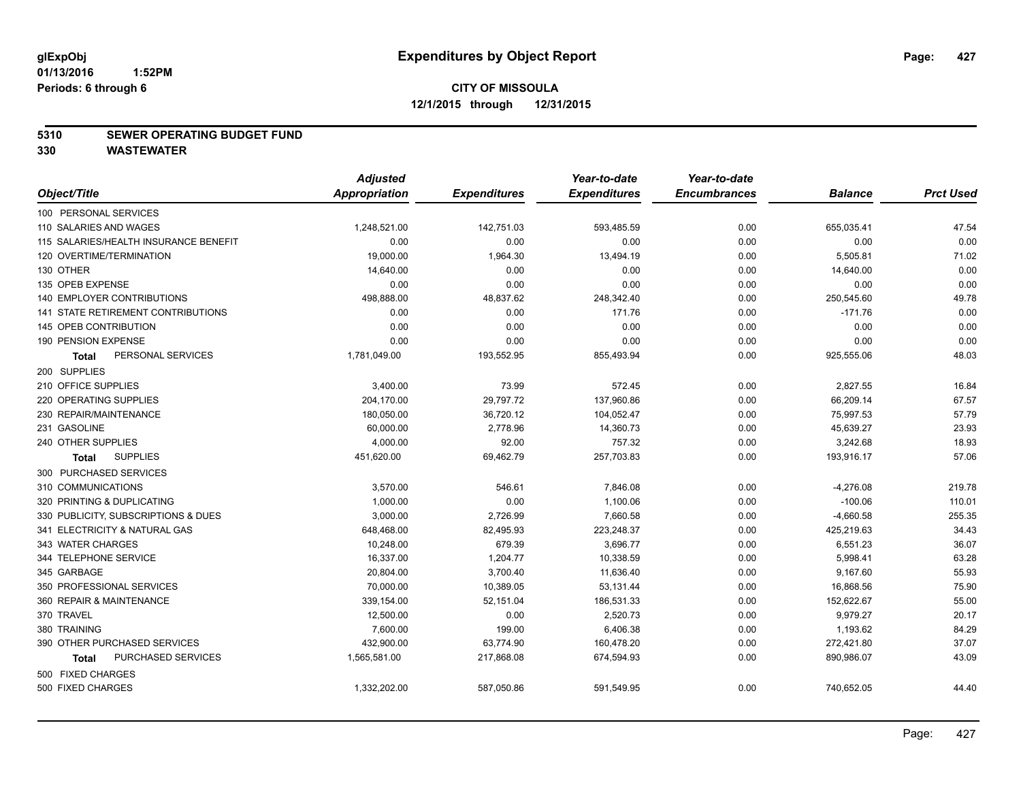#### **5310 SEWER OPERATING BUDGET FUND**

**330 WASTEWATER**

|                                       | <b>Adjusted</b> |                     | Year-to-date        | Year-to-date        |                |                  |
|---------------------------------------|-----------------|---------------------|---------------------|---------------------|----------------|------------------|
| Object/Title                          | Appropriation   | <b>Expenditures</b> | <b>Expenditures</b> | <b>Encumbrances</b> | <b>Balance</b> | <b>Prct Used</b> |
| 100 PERSONAL SERVICES                 |                 |                     |                     |                     |                |                  |
| 110 SALARIES AND WAGES                | 1,248,521.00    | 142,751.03          | 593,485.59          | 0.00                | 655,035.41     | 47.54            |
| 115 SALARIES/HEALTH INSURANCE BENEFIT | 0.00            | 0.00                | 0.00                | 0.00                | 0.00           | 0.00             |
| 120 OVERTIME/TERMINATION              | 19,000.00       | 1,964.30            | 13,494.19           | 0.00                | 5,505.81       | 71.02            |
| 130 OTHER                             | 14,640.00       | 0.00                | 0.00                | 0.00                | 14,640.00      | 0.00             |
| 135 OPEB EXPENSE                      | 0.00            | 0.00                | 0.00                | 0.00                | 0.00           | 0.00             |
| 140 EMPLOYER CONTRIBUTIONS            | 498,888.00      | 48,837.62           | 248,342.40          | 0.00                | 250,545.60     | 49.78            |
| 141 STATE RETIREMENT CONTRIBUTIONS    | 0.00            | 0.00                | 171.76              | 0.00                | $-171.76$      | 0.00             |
| 145 OPEB CONTRIBUTION                 | 0.00            | 0.00                | 0.00                | 0.00                | 0.00           | 0.00             |
| 190 PENSION EXPENSE                   | 0.00            | 0.00                | 0.00                | 0.00                | 0.00           | 0.00             |
| PERSONAL SERVICES<br><b>Total</b>     | 1,781,049.00    | 193,552.95          | 855,493.94          | 0.00                | 925,555.06     | 48.03            |
| 200 SUPPLIES                          |                 |                     |                     |                     |                |                  |
| 210 OFFICE SUPPLIES                   | 3,400.00        | 73.99               | 572.45              | 0.00                | 2,827.55       | 16.84            |
| 220 OPERATING SUPPLIES                | 204,170.00      | 29,797.72           | 137,960.86          | 0.00                | 66,209.14      | 67.57            |
| 230 REPAIR/MAINTENANCE                | 180,050.00      | 36,720.12           | 104,052.47          | 0.00                | 75,997.53      | 57.79            |
| 231 GASOLINE                          | 60,000.00       | 2,778.96            | 14,360.73           | 0.00                | 45,639.27      | 23.93            |
| 240 OTHER SUPPLIES                    | 4,000.00        | 92.00               | 757.32              | 0.00                | 3,242.68       | 18.93            |
| <b>SUPPLIES</b><br>Total              | 451,620.00      | 69,462.79           | 257,703.83          | 0.00                | 193,916.17     | 57.06            |
| 300 PURCHASED SERVICES                |                 |                     |                     |                     |                |                  |
| 310 COMMUNICATIONS                    | 3,570.00        | 546.61              | 7,846.08            | 0.00                | $-4,276.08$    | 219.78           |
| 320 PRINTING & DUPLICATING            | 1,000.00        | 0.00                | 1,100.06            | 0.00                | $-100.06$      | 110.01           |
| 330 PUBLICITY, SUBSCRIPTIONS & DUES   | 3,000.00        | 2,726.99            | 7,660.58            | 0.00                | $-4,660.58$    | 255.35           |
| 341 ELECTRICITY & NATURAL GAS         | 648,468.00      | 82,495.93           | 223,248.37          | 0.00                | 425,219.63     | 34.43            |
| 343 WATER CHARGES                     | 10,248.00       | 679.39              | 3,696.77            | 0.00                | 6,551.23       | 36.07            |
| 344 TELEPHONE SERVICE                 | 16,337.00       | 1,204.77            | 10,338.59           | 0.00                | 5,998.41       | 63.28            |
| 345 GARBAGE                           | 20,804.00       | 3,700.40            | 11,636.40           | 0.00                | 9,167.60       | 55.93            |
| 350 PROFESSIONAL SERVICES             | 70,000.00       | 10,389.05           | 53,131.44           | 0.00                | 16,868.56      | 75.90            |
| 360 REPAIR & MAINTENANCE              | 339,154.00      | 52,151.04           | 186,531.33          | 0.00                | 152,622.67     | 55.00            |
| 370 TRAVEL                            | 12,500.00       | 0.00                | 2,520.73            | 0.00                | 9,979.27       | 20.17            |
| 380 TRAINING                          | 7,600.00        | 199.00              | 6,406.38            | 0.00                | 1,193.62       | 84.29            |
| 390 OTHER PURCHASED SERVICES          | 432,900.00      | 63,774.90           | 160,478.20          | 0.00                | 272,421.80     | 37.07            |
| PURCHASED SERVICES<br><b>Total</b>    | 1,565,581.00    | 217,868.08          | 674,594.93          | 0.00                | 890,986.07     | 43.09            |
| 500 FIXED CHARGES                     |                 |                     |                     |                     |                |                  |
| 500 FIXED CHARGES                     | 1,332,202.00    | 587,050.86          | 591,549.95          | 0.00                | 740,652.05     | 44.40            |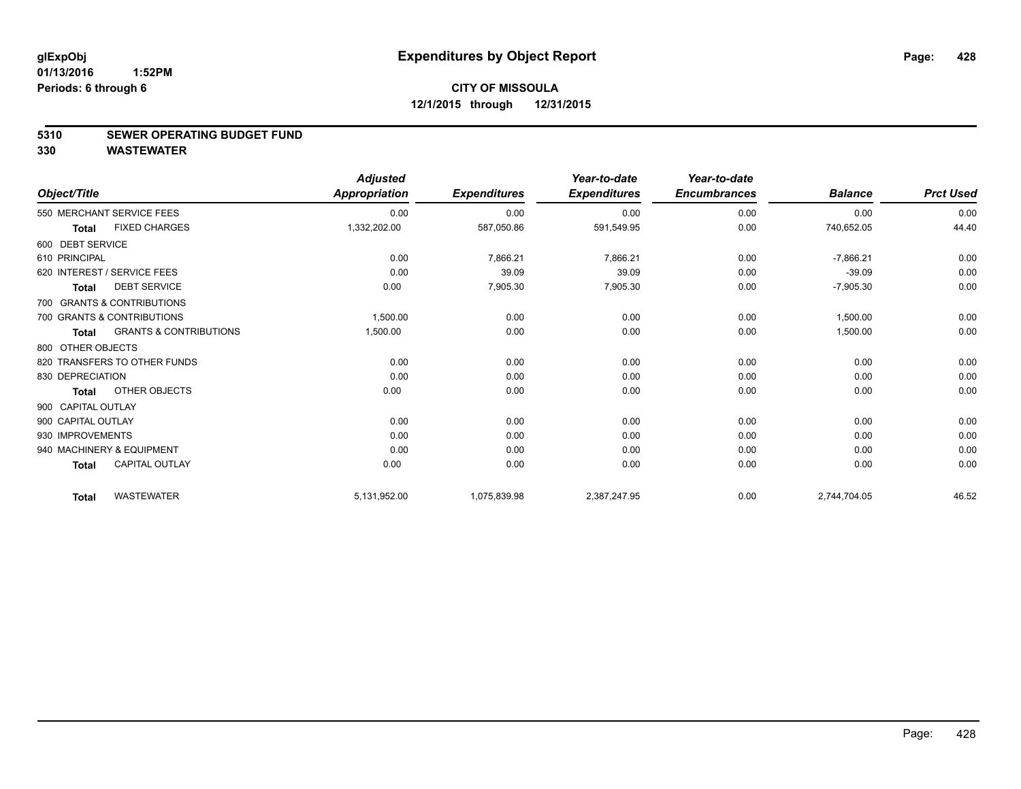#### **5310 SEWER OPERATING BUDGET FUND**

**330 WASTEWATER**

|                    |                                   | <b>Adjusted</b>      |                     | Year-to-date        | Year-to-date        |                |                  |
|--------------------|-----------------------------------|----------------------|---------------------|---------------------|---------------------|----------------|------------------|
| Object/Title       |                                   | <b>Appropriation</b> | <b>Expenditures</b> | <b>Expenditures</b> | <b>Encumbrances</b> | <b>Balance</b> | <b>Prct Used</b> |
|                    | 550 MERCHANT SERVICE FEES         | 0.00                 | 0.00                | 0.00                | 0.00                | 0.00           | 0.00             |
| <b>Total</b>       | <b>FIXED CHARGES</b>              | 1,332,202.00         | 587,050.86          | 591,549.95          | 0.00                | 740,652.05     | 44.40            |
| 600 DEBT SERVICE   |                                   |                      |                     |                     |                     |                |                  |
| 610 PRINCIPAL      |                                   | 0.00                 | 7,866.21            | 7,866.21            | 0.00                | $-7,866.21$    | 0.00             |
|                    | 620 INTEREST / SERVICE FEES       | 0.00                 | 39.09               | 39.09               | 0.00                | $-39.09$       | 0.00             |
| <b>Total</b>       | <b>DEBT SERVICE</b>               | 0.00                 | 7,905.30            | 7,905.30            | 0.00                | $-7,905.30$    | 0.00             |
|                    | 700 GRANTS & CONTRIBUTIONS        |                      |                     |                     |                     |                |                  |
|                    | 700 GRANTS & CONTRIBUTIONS        | 1,500.00             | 0.00                | 0.00                | 0.00                | 1,500.00       | 0.00             |
| <b>Total</b>       | <b>GRANTS &amp; CONTRIBUTIONS</b> | 1,500.00             | 0.00                | 0.00                | 0.00                | 1,500.00       | 0.00             |
| 800 OTHER OBJECTS  |                                   |                      |                     |                     |                     |                |                  |
|                    | 820 TRANSFERS TO OTHER FUNDS      | 0.00                 | 0.00                | 0.00                | 0.00                | 0.00           | 0.00             |
| 830 DEPRECIATION   |                                   | 0.00                 | 0.00                | 0.00                | 0.00                | 0.00           | 0.00             |
| <b>Total</b>       | OTHER OBJECTS                     | 0.00                 | 0.00                | 0.00                | 0.00                | 0.00           | 0.00             |
| 900 CAPITAL OUTLAY |                                   |                      |                     |                     |                     |                |                  |
| 900 CAPITAL OUTLAY |                                   | 0.00                 | 0.00                | 0.00                | 0.00                | 0.00           | 0.00             |
| 930 IMPROVEMENTS   |                                   | 0.00                 | 0.00                | 0.00                | 0.00                | 0.00           | 0.00             |
|                    | 940 MACHINERY & EQUIPMENT         | 0.00                 | 0.00                | 0.00                | 0.00                | 0.00           | 0.00             |
| <b>Total</b>       | <b>CAPITAL OUTLAY</b>             | 0.00                 | 0.00                | 0.00                | 0.00                | 0.00           | 0.00             |
| <b>Total</b>       | <b>WASTEWATER</b>                 | 5,131,952.00         | 1,075,839.98        | 2,387,247.95        | 0.00                | 2,744,704.05   | 46.52            |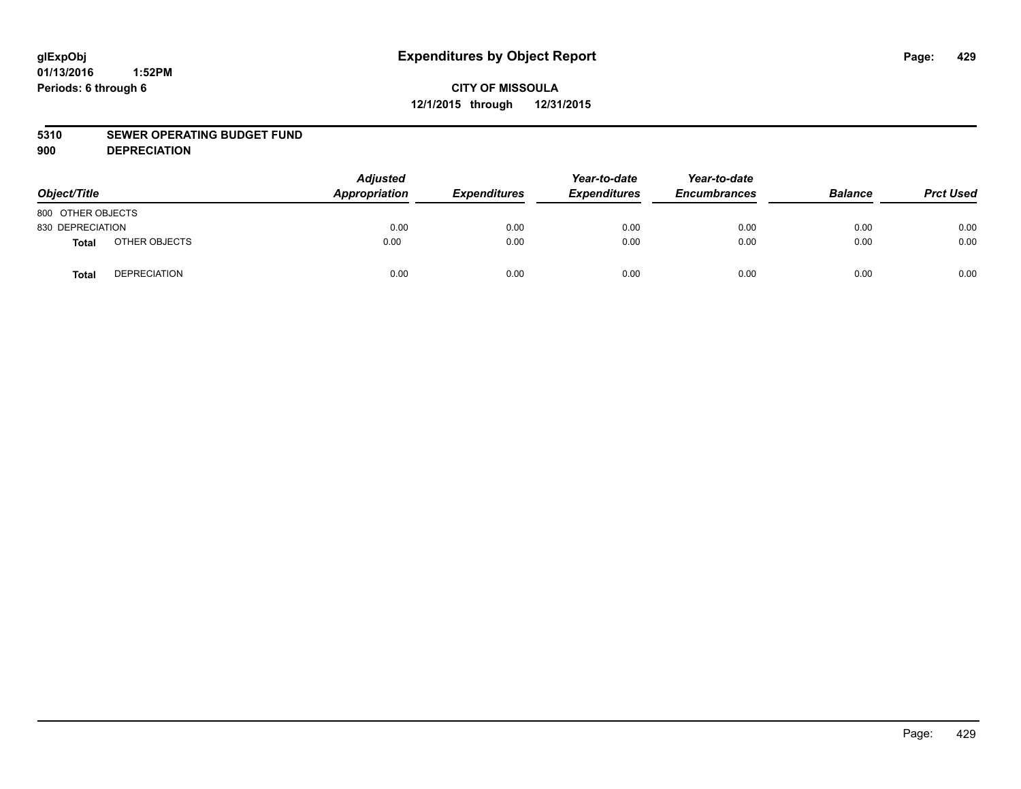# **CITY OF MISSOULA 12/1/2015 through 12/31/2015**

#### **5310 SEWER OPERATING BUDGET FUND**

**900 DEPRECIATION**

| Object/Title      |                     | <b>Adjusted</b><br>Appropriation | <b>Expenditures</b> | Year-to-date<br><b>Expenditures</b> | Year-to-date<br><b>Encumbrances</b> | <b>Balance</b> | <b>Prct Used</b> |
|-------------------|---------------------|----------------------------------|---------------------|-------------------------------------|-------------------------------------|----------------|------------------|
| 800 OTHER OBJECTS |                     |                                  |                     |                                     |                                     |                |                  |
| 830 DEPRECIATION  |                     | 0.00                             | 0.00                | 0.00                                | 0.00                                | 0.00           | 0.00             |
| Total             | OTHER OBJECTS       | 0.00                             | 0.00                | 0.00                                | 0.00                                | 0.00           | 0.00             |
| <b>Total</b>      | <b>DEPRECIATION</b> | 0.00                             | 0.00                | 0.00                                | 0.00                                | 0.00           | 0.00             |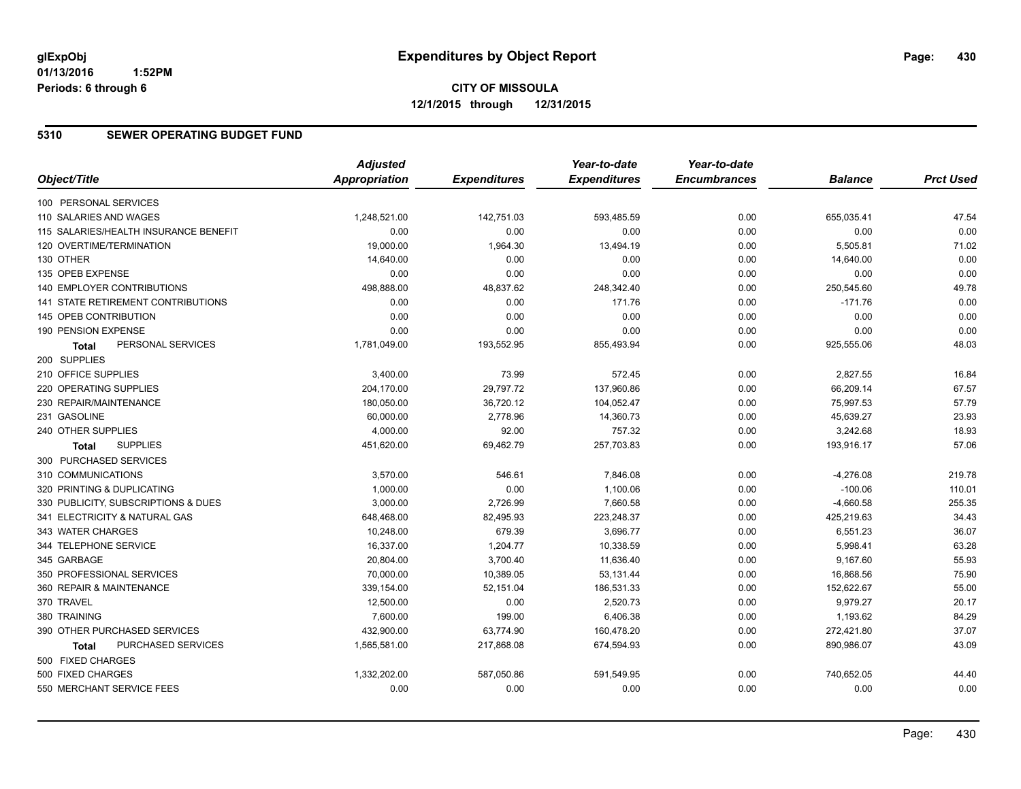### **5310 SEWER OPERATING BUDGET FUND**

|                                       | <b>Adjusted</b>      |                     | Year-to-date        | Year-to-date        |                |                  |
|---------------------------------------|----------------------|---------------------|---------------------|---------------------|----------------|------------------|
| Object/Title                          | <b>Appropriation</b> | <b>Expenditures</b> | <b>Expenditures</b> | <b>Encumbrances</b> | <b>Balance</b> | <b>Prct Used</b> |
| 100 PERSONAL SERVICES                 |                      |                     |                     |                     |                |                  |
| 110 SALARIES AND WAGES                | 1,248,521.00         | 142,751.03          | 593,485.59          | 0.00                | 655,035.41     | 47.54            |
| 115 SALARIES/HEALTH INSURANCE BENEFIT | 0.00                 | 0.00                | 0.00                | 0.00                | 0.00           | 0.00             |
| 120 OVERTIME/TERMINATION              | 19,000.00            | 1,964.30            | 13,494.19           | 0.00                | 5,505.81       | 71.02            |
| 130 OTHER                             | 14,640.00            | 0.00                | 0.00                | 0.00                | 14,640.00      | 0.00             |
| 135 OPEB EXPENSE                      | 0.00                 | 0.00                | 0.00                | 0.00                | 0.00           | 0.00             |
| 140 EMPLOYER CONTRIBUTIONS            | 498,888.00           | 48,837.62           | 248,342.40          | 0.00                | 250,545.60     | 49.78            |
| 141 STATE RETIREMENT CONTRIBUTIONS    | 0.00                 | 0.00                | 171.76              | 0.00                | $-171.76$      | 0.00             |
| 145 OPEB CONTRIBUTION                 | 0.00                 | 0.00                | 0.00                | 0.00                | 0.00           | 0.00             |
| 190 PENSION EXPENSE                   | 0.00                 | 0.00                | 0.00                | 0.00                | 0.00           | 0.00             |
| PERSONAL SERVICES<br><b>Total</b>     | 1,781,049.00         | 193,552.95          | 855,493.94          | 0.00                | 925,555.06     | 48.03            |
| 200 SUPPLIES                          |                      |                     |                     |                     |                |                  |
| 210 OFFICE SUPPLIES                   | 3,400.00             | 73.99               | 572.45              | 0.00                | 2,827.55       | 16.84            |
| 220 OPERATING SUPPLIES                | 204,170.00           | 29,797.72           | 137,960.86          | 0.00                | 66,209.14      | 67.57            |
| 230 REPAIR/MAINTENANCE                | 180,050.00           | 36,720.12           | 104,052.47          | 0.00                | 75,997.53      | 57.79            |
| 231 GASOLINE                          | 60,000.00            | 2,778.96            | 14,360.73           | 0.00                | 45,639.27      | 23.93            |
| 240 OTHER SUPPLIES                    | 4,000.00             | 92.00               | 757.32              | 0.00                | 3,242.68       | 18.93            |
| <b>SUPPLIES</b><br>Total              | 451,620.00           | 69,462.79           | 257,703.83          | 0.00                | 193,916.17     | 57.06            |
| 300 PURCHASED SERVICES                |                      |                     |                     |                     |                |                  |
| 310 COMMUNICATIONS                    | 3,570.00             | 546.61              | 7,846.08            | 0.00                | $-4,276.08$    | 219.78           |
| 320 PRINTING & DUPLICATING            | 1,000.00             | 0.00                | 1,100.06            | 0.00                | $-100.06$      | 110.01           |
| 330 PUBLICITY, SUBSCRIPTIONS & DUES   | 3,000.00             | 2,726.99            | 7,660.58            | 0.00                | $-4,660.58$    | 255.35           |
| 341 ELECTRICITY & NATURAL GAS         | 648,468.00           | 82,495.93           | 223,248.37          | 0.00                | 425,219.63     | 34.43            |
| 343 WATER CHARGES                     | 10,248.00            | 679.39              | 3.696.77            | 0.00                | 6,551.23       | 36.07            |
| 344 TELEPHONE SERVICE                 | 16,337.00            | 1,204.77            | 10,338.59           | 0.00                | 5,998.41       | 63.28            |
| 345 GARBAGE                           | 20,804.00            | 3,700.40            | 11,636.40           | 0.00                | 9,167.60       | 55.93            |
| 350 PROFESSIONAL SERVICES             | 70,000.00            | 10,389.05           | 53,131.44           | 0.00                | 16,868.56      | 75.90            |
| 360 REPAIR & MAINTENANCE              | 339,154.00           | 52,151.04           | 186,531.33          | 0.00                | 152,622.67     | 55.00            |
| 370 TRAVEL                            | 12,500.00            | 0.00                | 2,520.73            | 0.00                | 9,979.27       | 20.17            |
| 380 TRAINING                          | 7,600.00             | 199.00              | 6,406.38            | 0.00                | 1,193.62       | 84.29            |
| 390 OTHER PURCHASED SERVICES          | 432,900.00           | 63,774.90           | 160,478.20          | 0.00                | 272,421.80     | 37.07            |
| PURCHASED SERVICES<br>Total           | 1,565,581.00         | 217,868.08          | 674,594.93          | 0.00                | 890,986.07     | 43.09            |
| 500 FIXED CHARGES                     |                      |                     |                     |                     |                |                  |
| 500 FIXED CHARGES                     | 1,332,202.00         | 587,050.86          | 591,549.95          | 0.00                | 740,652.05     | 44.40            |
| 550 MERCHANT SERVICE FEES             | 0.00                 | 0.00                | 0.00                | 0.00                | 0.00           | 0.00             |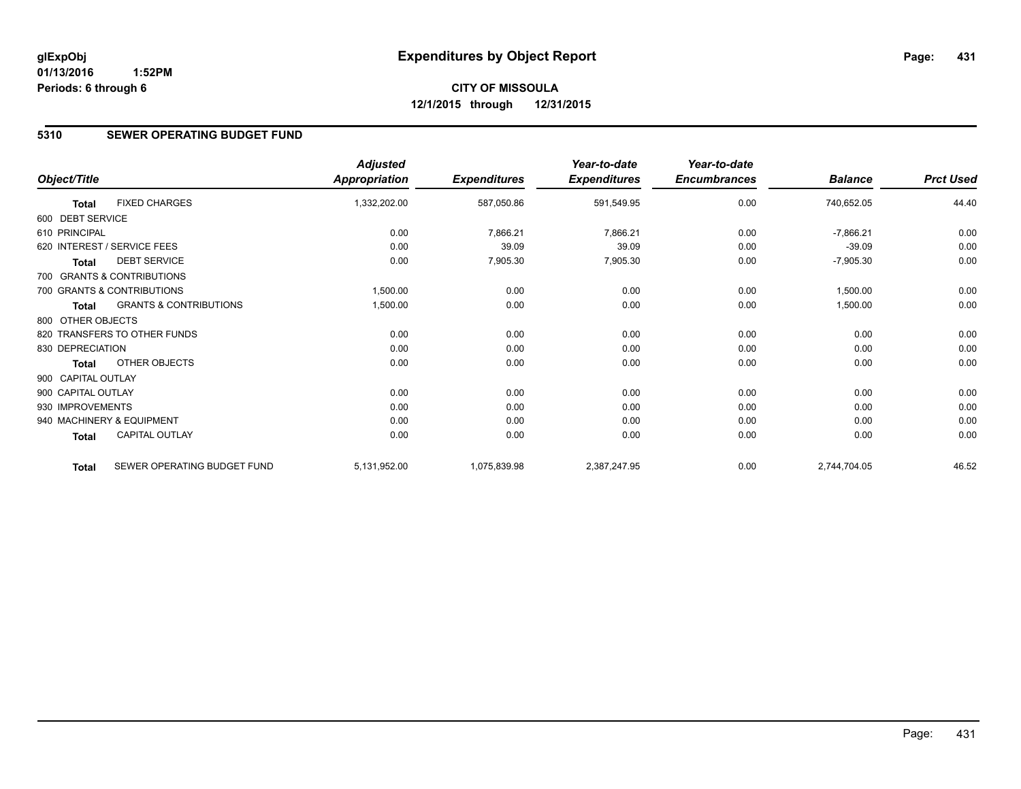# **CITY OF MISSOULA 12/1/2015 through 12/31/2015**

### **5310 SEWER OPERATING BUDGET FUND**

|                    |                                   | <b>Adjusted</b>      |                     | Year-to-date        | Year-to-date        |                |                  |
|--------------------|-----------------------------------|----------------------|---------------------|---------------------|---------------------|----------------|------------------|
| Object/Title       |                                   | <b>Appropriation</b> | <b>Expenditures</b> | <b>Expenditures</b> | <b>Encumbrances</b> | <b>Balance</b> | <b>Prct Used</b> |
| <b>Total</b>       | <b>FIXED CHARGES</b>              | 1,332,202.00         | 587,050.86          | 591,549.95          | 0.00                | 740,652.05     | 44.40            |
| 600 DEBT SERVICE   |                                   |                      |                     |                     |                     |                |                  |
| 610 PRINCIPAL      |                                   | 0.00                 | 7,866.21            | 7,866.21            | 0.00                | $-7,866.21$    | 0.00             |
|                    | 620 INTEREST / SERVICE FEES       | 0.00                 | 39.09               | 39.09               | 0.00                | $-39.09$       | 0.00             |
| <b>Total</b>       | <b>DEBT SERVICE</b>               | 0.00                 | 7,905.30            | 7,905.30            | 0.00                | $-7,905.30$    | 0.00             |
|                    | 700 GRANTS & CONTRIBUTIONS        |                      |                     |                     |                     |                |                  |
|                    | 700 GRANTS & CONTRIBUTIONS        | 1,500.00             | 0.00                | 0.00                | 0.00                | 1,500.00       | 0.00             |
| <b>Total</b>       | <b>GRANTS &amp; CONTRIBUTIONS</b> | 1,500.00             | 0.00                | 0.00                | 0.00                | 1,500.00       | 0.00             |
| 800 OTHER OBJECTS  |                                   |                      |                     |                     |                     |                |                  |
|                    | 820 TRANSFERS TO OTHER FUNDS      | 0.00                 | 0.00                | 0.00                | 0.00                | 0.00           | 0.00             |
| 830 DEPRECIATION   |                                   | 0.00                 | 0.00                | 0.00                | 0.00                | 0.00           | 0.00             |
| <b>Total</b>       | OTHER OBJECTS                     | 0.00                 | 0.00                | 0.00                | 0.00                | 0.00           | 0.00             |
| 900 CAPITAL OUTLAY |                                   |                      |                     |                     |                     |                |                  |
| 900 CAPITAL OUTLAY |                                   | 0.00                 | 0.00                | 0.00                | 0.00                | 0.00           | 0.00             |
| 930 IMPROVEMENTS   |                                   | 0.00                 | 0.00                | 0.00                | 0.00                | 0.00           | 0.00             |
|                    | 940 MACHINERY & EQUIPMENT         | 0.00                 | 0.00                | 0.00                | 0.00                | 0.00           | 0.00             |
| Total              | <b>CAPITAL OUTLAY</b>             | 0.00                 | 0.00                | 0.00                | 0.00                | 0.00           | 0.00             |
| <b>Total</b>       | SEWER OPERATING BUDGET FUND       | 5,131,952.00         | 1,075,839.98        | 2,387,247.95        | 0.00                | 2,744,704.05   | 46.52            |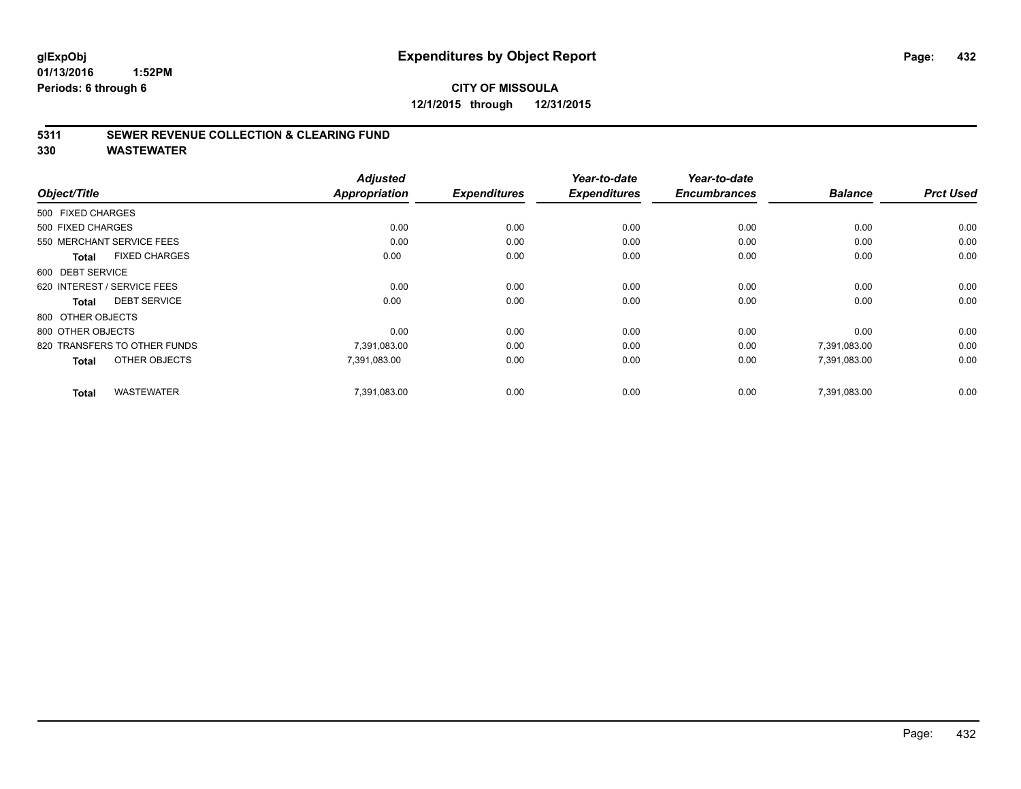# **CITY OF MISSOULA 12/1/2015 through 12/31/2015**

### **5311 SEWER REVENUE COLLECTION & CLEARING FUND**

**330 WASTEWATER**

|                                      | <b>Adjusted</b>      | <b>Expenditures</b> | Year-to-date<br><b>Expenditures</b> | Year-to-date<br><b>Encumbrances</b> | <b>Balance</b> | <b>Prct Used</b> |
|--------------------------------------|----------------------|---------------------|-------------------------------------|-------------------------------------|----------------|------------------|
| Object/Title                         | <b>Appropriation</b> |                     |                                     |                                     |                |                  |
| 500 FIXED CHARGES                    |                      |                     |                                     |                                     |                |                  |
| 500 FIXED CHARGES                    | 0.00                 | 0.00                | 0.00                                | 0.00                                | 0.00           | 0.00             |
| 550 MERCHANT SERVICE FEES            | 0.00                 | 0.00                | 0.00                                | 0.00                                | 0.00           | 0.00             |
| <b>FIXED CHARGES</b><br><b>Total</b> | 0.00                 | 0.00                | 0.00                                | 0.00                                | 0.00           | 0.00             |
| 600 DEBT SERVICE                     |                      |                     |                                     |                                     |                |                  |
| 620 INTEREST / SERVICE FEES          | 0.00                 | 0.00                | 0.00                                | 0.00                                | 0.00           | 0.00             |
| <b>DEBT SERVICE</b><br><b>Total</b>  | 0.00                 | 0.00                | 0.00                                | 0.00                                | 0.00           | 0.00             |
| 800 OTHER OBJECTS                    |                      |                     |                                     |                                     |                |                  |
| 800 OTHER OBJECTS                    | 0.00                 | 0.00                | 0.00                                | 0.00                                | 0.00           | 0.00             |
| 820 TRANSFERS TO OTHER FUNDS         | 7,391,083.00         | 0.00                | 0.00                                | 0.00                                | 7,391,083.00   | 0.00             |
| OTHER OBJECTS<br><b>Total</b>        | 7,391,083.00         | 0.00                | 0.00                                | 0.00                                | 7,391,083.00   | 0.00             |
| <b>WASTEWATER</b><br><b>Total</b>    | 7,391,083.00         | 0.00                | 0.00                                | 0.00                                | 7.391.083.00   | 0.00             |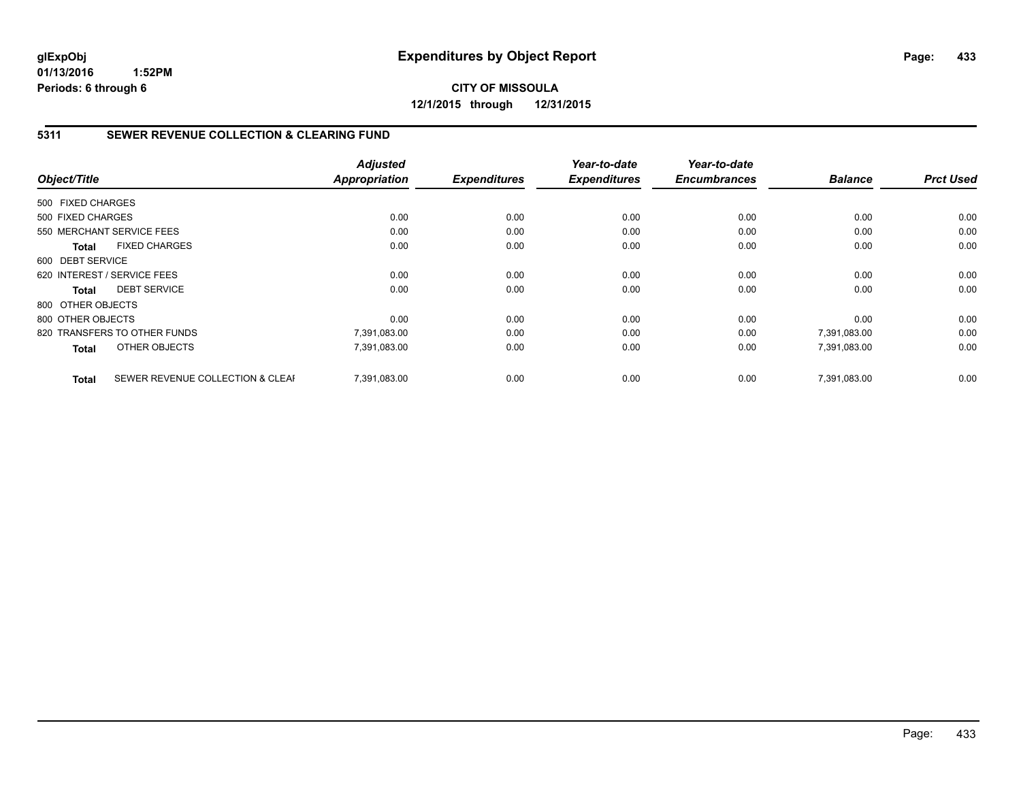#### **5311 SEWER REVENUE COLLECTION & CLEARING FUND**

|                   |                                  | <b>Adjusted</b> |                     | Year-to-date        | Year-to-date        |                |                  |
|-------------------|----------------------------------|-----------------|---------------------|---------------------|---------------------|----------------|------------------|
| Object/Title      |                                  | Appropriation   | <b>Expenditures</b> | <b>Expenditures</b> | <b>Encumbrances</b> | <b>Balance</b> | <b>Prct Used</b> |
| 500 FIXED CHARGES |                                  |                 |                     |                     |                     |                |                  |
| 500 FIXED CHARGES |                                  | 0.00            | 0.00                | 0.00                | 0.00                | 0.00           | 0.00             |
|                   | 550 MERCHANT SERVICE FEES        | 0.00            | 0.00                | 0.00                | 0.00                | 0.00           | 0.00             |
| <b>Total</b>      | <b>FIXED CHARGES</b>             | 0.00            | 0.00                | 0.00                | 0.00                | 0.00           | 0.00             |
| 600 DEBT SERVICE  |                                  |                 |                     |                     |                     |                |                  |
|                   | 620 INTEREST / SERVICE FEES      | 0.00            | 0.00                | 0.00                | 0.00                | 0.00           | 0.00             |
| Total             | <b>DEBT SERVICE</b>              | 0.00            | 0.00                | 0.00                | 0.00                | 0.00           | 0.00             |
| 800 OTHER OBJECTS |                                  |                 |                     |                     |                     |                |                  |
| 800 OTHER OBJECTS |                                  | 0.00            | 0.00                | 0.00                | 0.00                | 0.00           | 0.00             |
|                   | 820 TRANSFERS TO OTHER FUNDS     | 7,391,083.00    | 0.00                | 0.00                | 0.00                | 7,391,083.00   | 0.00             |
| <b>Total</b>      | OTHER OBJECTS                    | 7,391,083.00    | 0.00                | 0.00                | 0.00                | 7,391,083.00   | 0.00             |
| <b>Total</b>      | SEWER REVENUE COLLECTION & CLEAF | 7.391.083.00    | 0.00                | 0.00                | 0.00                | 7.391.083.00   | 0.00             |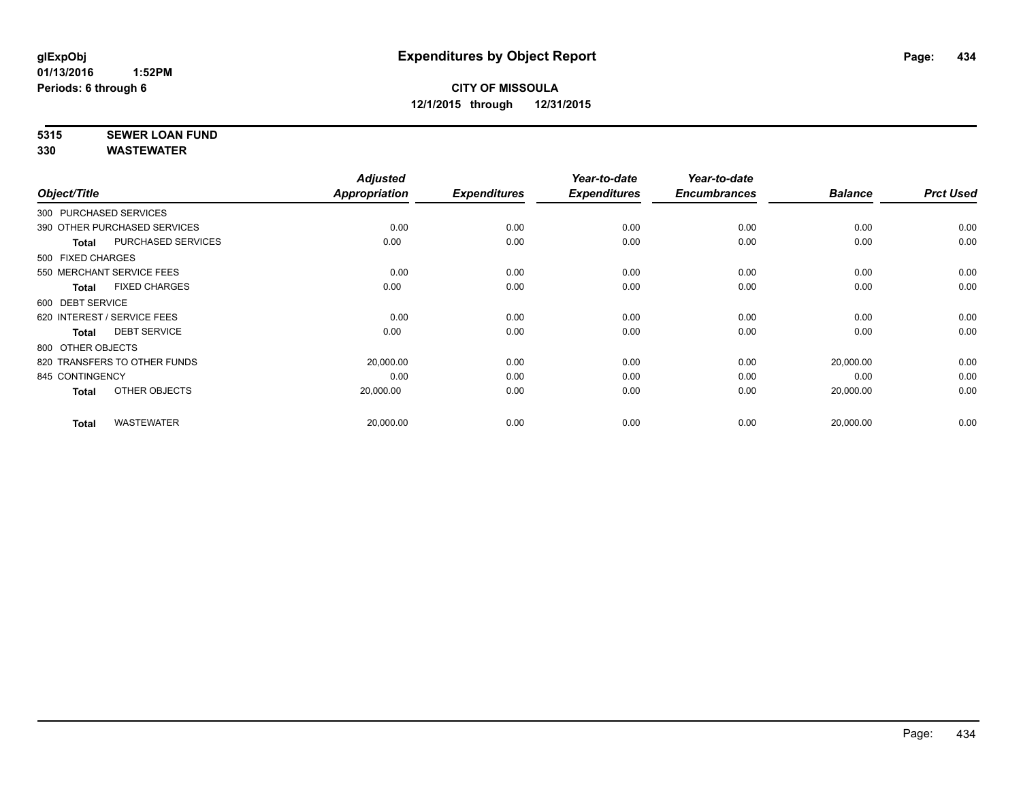# **5315 SEWER LOAN FUND**

|                        |                              | <b>Adjusted</b> |                     | Year-to-date        | Year-to-date        |                |                  |
|------------------------|------------------------------|-----------------|---------------------|---------------------|---------------------|----------------|------------------|
| Object/Title           |                              | Appropriation   | <b>Expenditures</b> | <b>Expenditures</b> | <b>Encumbrances</b> | <b>Balance</b> | <b>Prct Used</b> |
| 300 PURCHASED SERVICES |                              |                 |                     |                     |                     |                |                  |
|                        | 390 OTHER PURCHASED SERVICES | 0.00            | 0.00                | 0.00                | 0.00                | 0.00           | 0.00             |
| Total                  | PURCHASED SERVICES           | 0.00            | 0.00                | 0.00                | 0.00                | 0.00           | 0.00             |
| 500 FIXED CHARGES      |                              |                 |                     |                     |                     |                |                  |
|                        | 550 MERCHANT SERVICE FEES    | 0.00            | 0.00                | 0.00                | 0.00                | 0.00           | 0.00             |
| Total                  | <b>FIXED CHARGES</b>         | 0.00            | 0.00                | 0.00                | 0.00                | 0.00           | 0.00             |
| 600 DEBT SERVICE       |                              |                 |                     |                     |                     |                |                  |
|                        | 620 INTEREST / SERVICE FEES  | 0.00            | 0.00                | 0.00                | 0.00                | 0.00           | 0.00             |
| <b>Total</b>           | <b>DEBT SERVICE</b>          | 0.00            | 0.00                | 0.00                | 0.00                | 0.00           | 0.00             |
| 800 OTHER OBJECTS      |                              |                 |                     |                     |                     |                |                  |
|                        | 820 TRANSFERS TO OTHER FUNDS | 20,000.00       | 0.00                | 0.00                | 0.00                | 20,000.00      | 0.00             |
| 845 CONTINGENCY        |                              | 0.00            | 0.00                | 0.00                | 0.00                | 0.00           | 0.00             |
| Total                  | OTHER OBJECTS                | 20,000.00       | 0.00                | 0.00                | 0.00                | 20,000.00      | 0.00             |
| <b>Total</b>           | <b>WASTEWATER</b>            | 20,000.00       | 0.00                | 0.00                | 0.00                | 20,000.00      | 0.00             |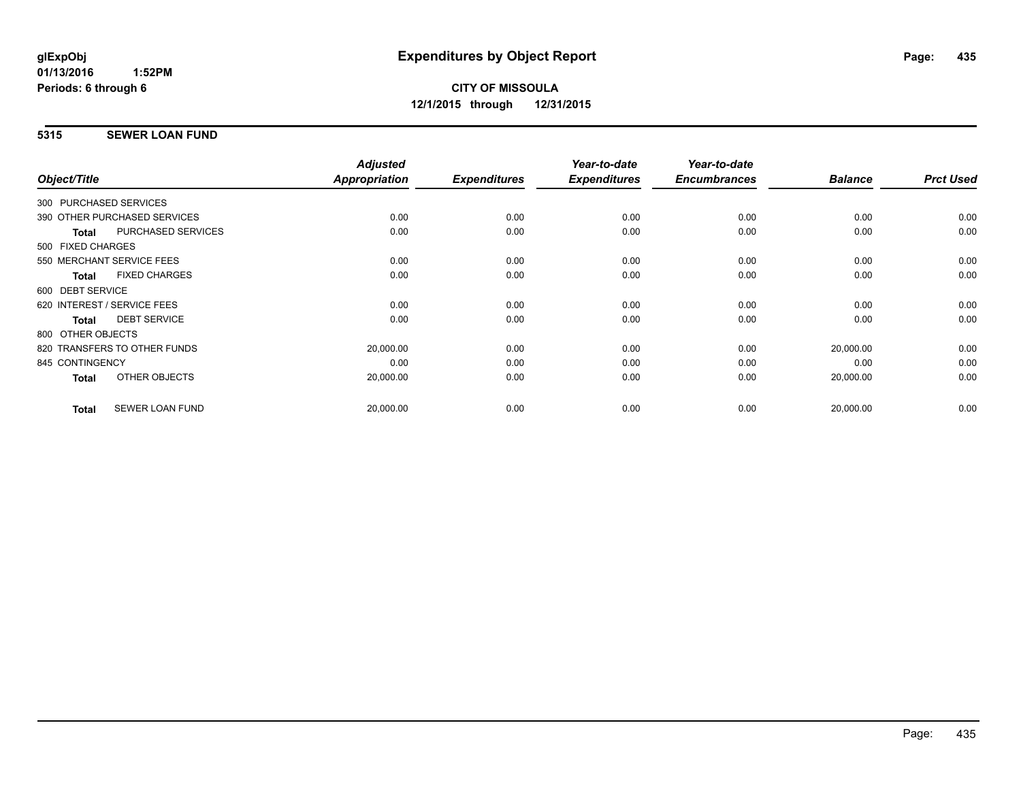#### **5315 SEWER LOAN FUND**

|                        |                              | <b>Adjusted</b>      |                     | Year-to-date        | Year-to-date        |                |                  |
|------------------------|------------------------------|----------------------|---------------------|---------------------|---------------------|----------------|------------------|
| Object/Title           |                              | <b>Appropriation</b> | <b>Expenditures</b> | <b>Expenditures</b> | <b>Encumbrances</b> | <b>Balance</b> | <b>Prct Used</b> |
| 300 PURCHASED SERVICES |                              |                      |                     |                     |                     |                |                  |
|                        | 390 OTHER PURCHASED SERVICES | 0.00                 | 0.00                | 0.00                | 0.00                | 0.00           | 0.00             |
| Total                  | PURCHASED SERVICES           | 0.00                 | 0.00                | 0.00                | 0.00                | 0.00           | 0.00             |
| 500 FIXED CHARGES      |                              |                      |                     |                     |                     |                |                  |
|                        | 550 MERCHANT SERVICE FEES    | 0.00                 | 0.00                | 0.00                | 0.00                | 0.00           | 0.00             |
| <b>Total</b>           | <b>FIXED CHARGES</b>         | 0.00                 | 0.00                | 0.00                | 0.00                | 0.00           | 0.00             |
| 600 DEBT SERVICE       |                              |                      |                     |                     |                     |                |                  |
|                        | 620 INTEREST / SERVICE FEES  | 0.00                 | 0.00                | 0.00                | 0.00                | 0.00           | 0.00             |
| <b>Total</b>           | <b>DEBT SERVICE</b>          | 0.00                 | 0.00                | 0.00                | 0.00                | 0.00           | 0.00             |
| 800 OTHER OBJECTS      |                              |                      |                     |                     |                     |                |                  |
|                        | 820 TRANSFERS TO OTHER FUNDS | 20,000.00            | 0.00                | 0.00                | 0.00                | 20,000.00      | 0.00             |
| 845 CONTINGENCY        |                              | 0.00                 | 0.00                | 0.00                | 0.00                | 0.00           | 0.00             |
| Total                  | OTHER OBJECTS                | 20,000.00            | 0.00                | 0.00                | 0.00                | 20,000.00      | 0.00             |
| <b>Total</b>           | <b>SEWER LOAN FUND</b>       | 20,000.00            | 0.00                | 0.00                | 0.00                | 20,000.00      | 0.00             |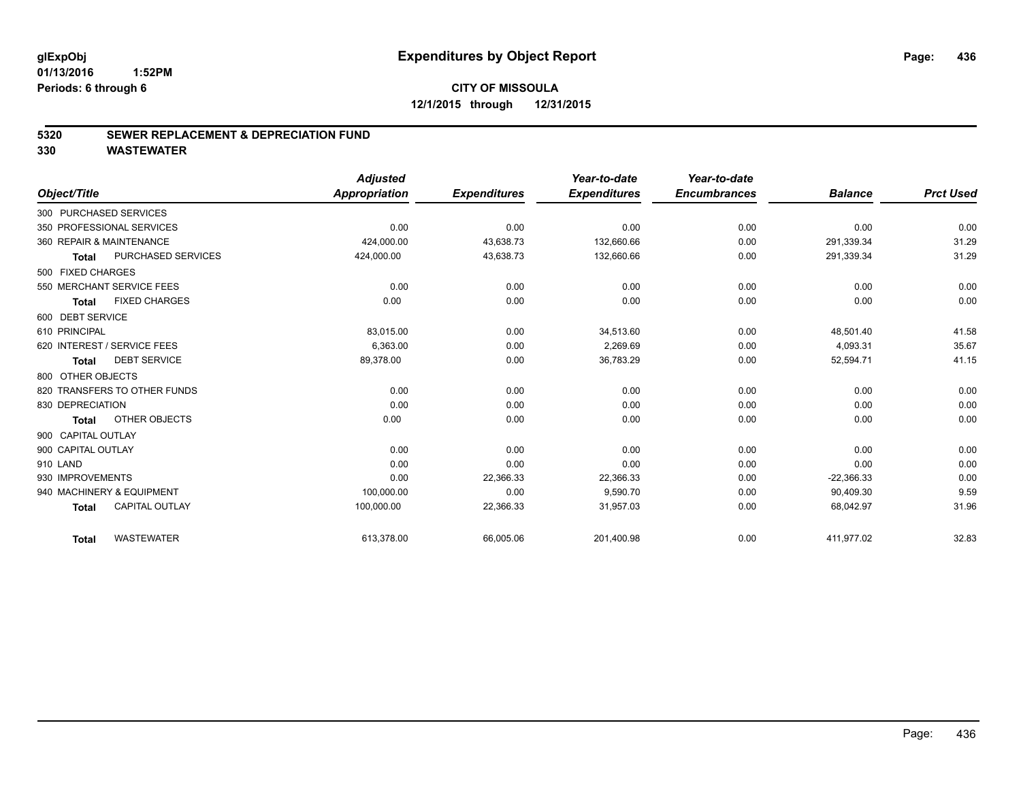#### **5320 SEWER REPLACEMENT & DEPRECIATION FUND**

|                                       | <b>Adjusted</b>      |                     | Year-to-date        | Year-to-date        |                |                  |
|---------------------------------------|----------------------|---------------------|---------------------|---------------------|----------------|------------------|
| Object/Title                          | <b>Appropriation</b> | <b>Expenditures</b> | <b>Expenditures</b> | <b>Encumbrances</b> | <b>Balance</b> | <b>Prct Used</b> |
| 300 PURCHASED SERVICES                |                      |                     |                     |                     |                |                  |
| 350 PROFESSIONAL SERVICES             | 0.00                 | 0.00                | 0.00                | 0.00                | 0.00           | 0.00             |
| 360 REPAIR & MAINTENANCE              | 424,000.00           | 43,638.73           | 132,660.66          | 0.00                | 291,339.34     | 31.29            |
| PURCHASED SERVICES<br><b>Total</b>    | 424,000.00           | 43,638.73           | 132,660.66          | 0.00                | 291,339.34     | 31.29            |
| 500 FIXED CHARGES                     |                      |                     |                     |                     |                |                  |
| 550 MERCHANT SERVICE FEES             | 0.00                 | 0.00                | 0.00                | 0.00                | 0.00           | 0.00             |
| <b>FIXED CHARGES</b><br><b>Total</b>  | 0.00                 | 0.00                | 0.00                | 0.00                | 0.00           | 0.00             |
| 600 DEBT SERVICE                      |                      |                     |                     |                     |                |                  |
| 610 PRINCIPAL                         | 83,015.00            | 0.00                | 34,513.60           | 0.00                | 48,501.40      | 41.58            |
| 620 INTEREST / SERVICE FEES           | 6,363.00             | 0.00                | 2,269.69            | 0.00                | 4,093.31       | 35.67            |
| <b>DEBT SERVICE</b><br><b>Total</b>   | 89,378.00            | 0.00                | 36,783.29           | 0.00                | 52,594.71      | 41.15            |
| 800 OTHER OBJECTS                     |                      |                     |                     |                     |                |                  |
| 820 TRANSFERS TO OTHER FUNDS          | 0.00                 | 0.00                | 0.00                | 0.00                | 0.00           | 0.00             |
| 830 DEPRECIATION                      | 0.00                 | 0.00                | 0.00                | 0.00                | 0.00           | 0.00             |
| OTHER OBJECTS<br>Total                | 0.00                 | 0.00                | 0.00                | 0.00                | 0.00           | 0.00             |
| 900 CAPITAL OUTLAY                    |                      |                     |                     |                     |                |                  |
| 900 CAPITAL OUTLAY                    | 0.00                 | 0.00                | 0.00                | 0.00                | 0.00           | 0.00             |
| 910 LAND                              | 0.00                 | 0.00                | 0.00                | 0.00                | 0.00           | 0.00             |
| 930 IMPROVEMENTS                      | 0.00                 | 22,366.33           | 22,366.33           | 0.00                | $-22,366.33$   | 0.00             |
| 940 MACHINERY & EQUIPMENT             | 100,000.00           | 0.00                | 9,590.70            | 0.00                | 90,409.30      | 9.59             |
| <b>CAPITAL OUTLAY</b><br><b>Total</b> | 100,000.00           | 22,366.33           | 31,957.03           | 0.00                | 68,042.97      | 31.96            |
| <b>WASTEWATER</b><br><b>Total</b>     | 613,378.00           | 66,005.06           | 201,400.98          | 0.00                | 411,977.02     | 32.83            |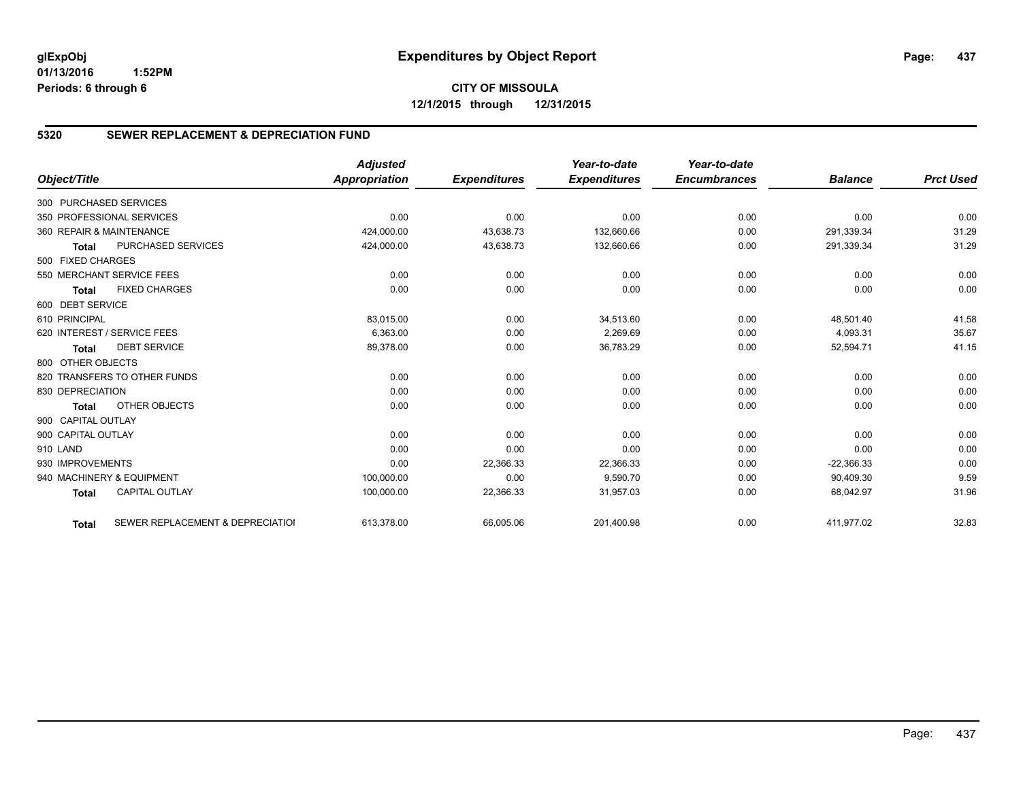#### **5320 SEWER REPLACEMENT & DEPRECIATION FUND**

|                        |                                  | <b>Adjusted</b>      |                     | Year-to-date        | Year-to-date        |                |                  |
|------------------------|----------------------------------|----------------------|---------------------|---------------------|---------------------|----------------|------------------|
| Object/Title           |                                  | <b>Appropriation</b> | <b>Expenditures</b> | <b>Expenditures</b> | <b>Encumbrances</b> | <b>Balance</b> | <b>Prct Used</b> |
| 300 PURCHASED SERVICES |                                  |                      |                     |                     |                     |                |                  |
|                        | 350 PROFESSIONAL SERVICES        | 0.00                 | 0.00                | 0.00                | 0.00                | 0.00           | 0.00             |
|                        | 360 REPAIR & MAINTENANCE         | 424,000.00           | 43,638.73           | 132,660.66          | 0.00                | 291.339.34     | 31.29            |
| <b>Total</b>           | <b>PURCHASED SERVICES</b>        | 424,000.00           | 43,638.73           | 132,660.66          | 0.00                | 291,339.34     | 31.29            |
| 500 FIXED CHARGES      |                                  |                      |                     |                     |                     |                |                  |
|                        | 550 MERCHANT SERVICE FEES        | 0.00                 | 0.00                | 0.00                | 0.00                | 0.00           | 0.00             |
| <b>Total</b>           | <b>FIXED CHARGES</b>             | 0.00                 | 0.00                | 0.00                | 0.00                | 0.00           | 0.00             |
| 600 DEBT SERVICE       |                                  |                      |                     |                     |                     |                |                  |
| 610 PRINCIPAL          |                                  | 83,015.00            | 0.00                | 34,513.60           | 0.00                | 48,501.40      | 41.58            |
|                        | 620 INTEREST / SERVICE FEES      | 6,363.00             | 0.00                | 2,269.69            | 0.00                | 4,093.31       | 35.67            |
| <b>Total</b>           | <b>DEBT SERVICE</b>              | 89,378.00            | 0.00                | 36,783.29           | 0.00                | 52,594.71      | 41.15            |
| 800 OTHER OBJECTS      |                                  |                      |                     |                     |                     |                |                  |
|                        | 820 TRANSFERS TO OTHER FUNDS     | 0.00                 | 0.00                | 0.00                | 0.00                | 0.00           | 0.00             |
| 830 DEPRECIATION       |                                  | 0.00                 | 0.00                | 0.00                | 0.00                | 0.00           | 0.00             |
| <b>Total</b>           | OTHER OBJECTS                    | 0.00                 | 0.00                | 0.00                | 0.00                | 0.00           | 0.00             |
| 900 CAPITAL OUTLAY     |                                  |                      |                     |                     |                     |                |                  |
| 900 CAPITAL OUTLAY     |                                  | 0.00                 | 0.00                | 0.00                | 0.00                | 0.00           | 0.00             |
| 910 LAND               |                                  | 0.00                 | 0.00                | 0.00                | 0.00                | 0.00           | 0.00             |
| 930 IMPROVEMENTS       |                                  | 0.00                 | 22,366.33           | 22,366.33           | 0.00                | $-22,366.33$   | 0.00             |
|                        | 940 MACHINERY & EQUIPMENT        | 100,000.00           | 0.00                | 9,590.70            | 0.00                | 90,409.30      | 9.59             |
| <b>Total</b>           | <b>CAPITAL OUTLAY</b>            | 100,000.00           | 22,366.33           | 31,957.03           | 0.00                | 68,042.97      | 31.96            |
| <b>Total</b>           | SEWER REPLACEMENT & DEPRECIATION | 613,378.00           | 66,005.06           | 201,400.98          | 0.00                | 411,977.02     | 32.83            |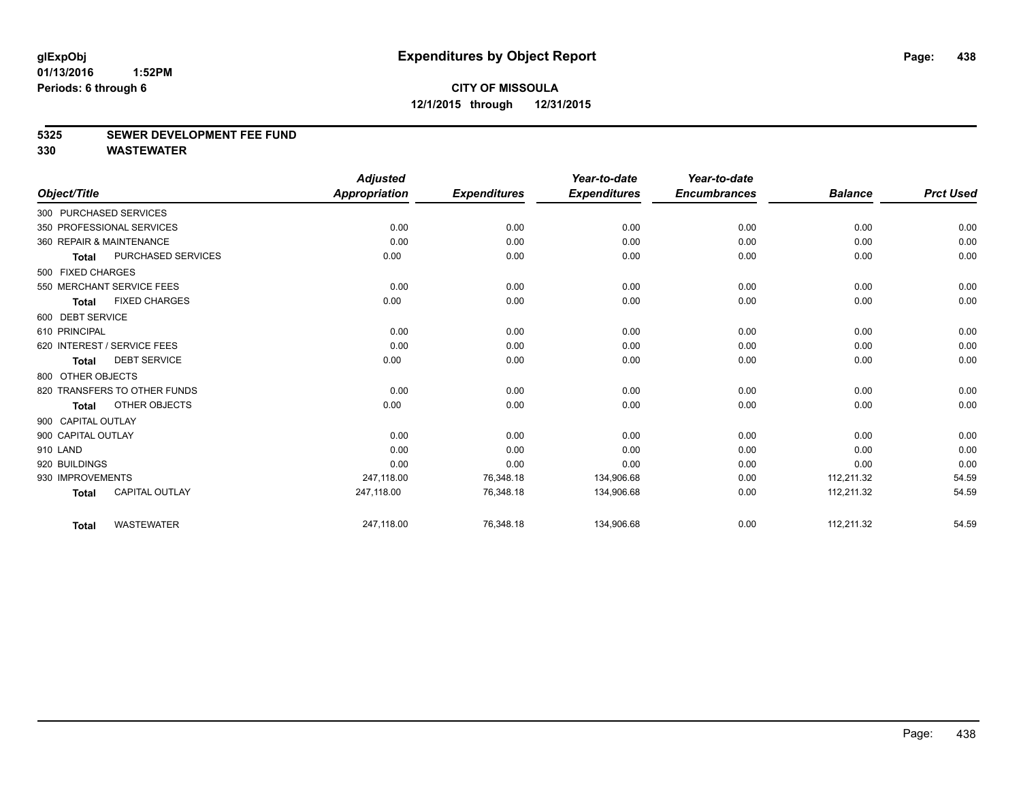#### **5325 SEWER DEVELOPMENT FEE FUND**

|                    |                              | <b>Adjusted</b>      |                     | Year-to-date        | Year-to-date        |                |                  |
|--------------------|------------------------------|----------------------|---------------------|---------------------|---------------------|----------------|------------------|
| Object/Title       |                              | <b>Appropriation</b> | <b>Expenditures</b> | <b>Expenditures</b> | <b>Encumbrances</b> | <b>Balance</b> | <b>Prct Used</b> |
|                    | 300 PURCHASED SERVICES       |                      |                     |                     |                     |                |                  |
|                    | 350 PROFESSIONAL SERVICES    | 0.00                 | 0.00                | 0.00                | 0.00                | 0.00           | 0.00             |
|                    | 360 REPAIR & MAINTENANCE     | 0.00                 | 0.00                | 0.00                | 0.00                | 0.00           | 0.00             |
| <b>Total</b>       | PURCHASED SERVICES           | 0.00                 | 0.00                | 0.00                | 0.00                | 0.00           | 0.00             |
| 500 FIXED CHARGES  |                              |                      |                     |                     |                     |                |                  |
|                    | 550 MERCHANT SERVICE FEES    | 0.00                 | 0.00                | 0.00                | 0.00                | 0.00           | 0.00             |
| <b>Total</b>       | <b>FIXED CHARGES</b>         | 0.00                 | 0.00                | 0.00                | 0.00                | 0.00           | 0.00             |
| 600 DEBT SERVICE   |                              |                      |                     |                     |                     |                |                  |
| 610 PRINCIPAL      |                              | 0.00                 | 0.00                | 0.00                | 0.00                | 0.00           | 0.00             |
|                    | 620 INTEREST / SERVICE FEES  | 0.00                 | 0.00                | 0.00                | 0.00                | 0.00           | 0.00             |
| <b>Total</b>       | <b>DEBT SERVICE</b>          | 0.00                 | 0.00                | 0.00                | 0.00                | 0.00           | 0.00             |
| 800 OTHER OBJECTS  |                              |                      |                     |                     |                     |                |                  |
|                    | 820 TRANSFERS TO OTHER FUNDS | 0.00                 | 0.00                | 0.00                | 0.00                | 0.00           | 0.00             |
| Total              | OTHER OBJECTS                | 0.00                 | 0.00                | 0.00                | 0.00                | 0.00           | 0.00             |
| 900 CAPITAL OUTLAY |                              |                      |                     |                     |                     |                |                  |
| 900 CAPITAL OUTLAY |                              | 0.00                 | 0.00                | 0.00                | 0.00                | 0.00           | 0.00             |
| 910 LAND           |                              | 0.00                 | 0.00                | 0.00                | 0.00                | 0.00           | 0.00             |
| 920 BUILDINGS      |                              | 0.00                 | 0.00                | 0.00                | 0.00                | 0.00           | 0.00             |
| 930 IMPROVEMENTS   |                              | 247,118.00           | 76,348.18           | 134,906.68          | 0.00                | 112,211.32     | 54.59            |
| <b>Total</b>       | <b>CAPITAL OUTLAY</b>        | 247,118.00           | 76,348.18           | 134,906.68          | 0.00                | 112,211.32     | 54.59            |
| <b>Total</b>       | <b>WASTEWATER</b>            | 247,118.00           | 76,348.18           | 134,906.68          | 0.00                | 112,211.32     | 54.59            |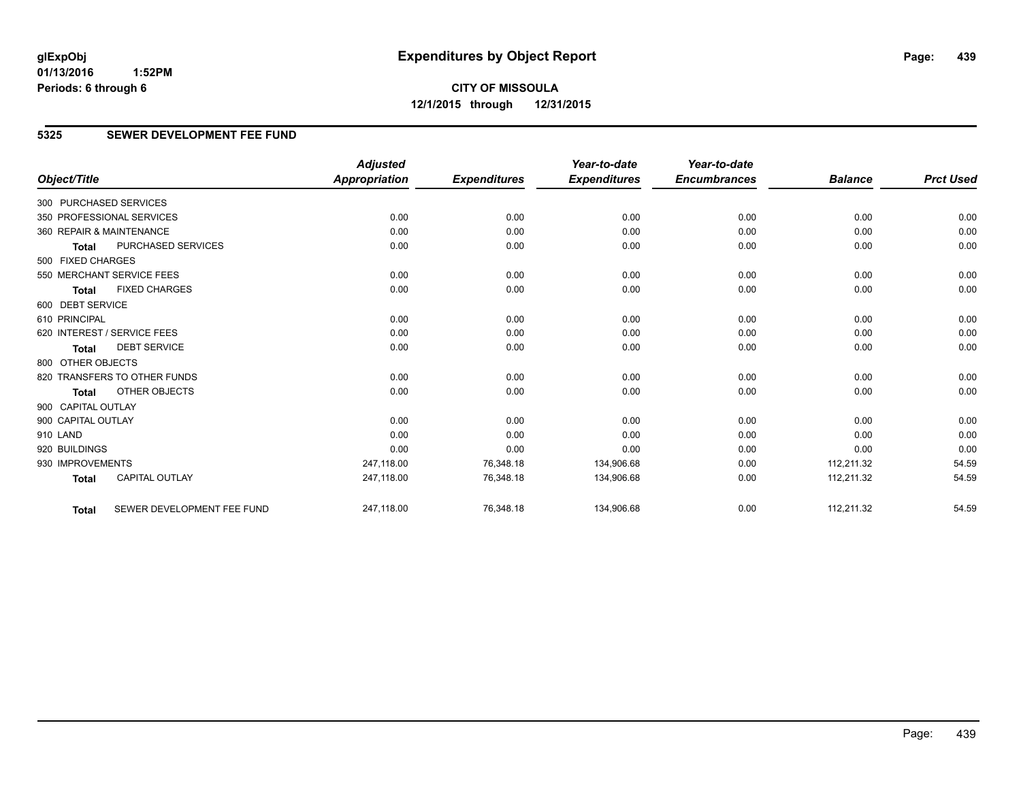#### **5325 SEWER DEVELOPMENT FEE FUND**

|                        |                              | <b>Adjusted</b>      |                     | Year-to-date        | Year-to-date        |                |                  |
|------------------------|------------------------------|----------------------|---------------------|---------------------|---------------------|----------------|------------------|
| Object/Title           |                              | <b>Appropriation</b> | <b>Expenditures</b> | <b>Expenditures</b> | <b>Encumbrances</b> | <b>Balance</b> | <b>Prct Used</b> |
| 300 PURCHASED SERVICES |                              |                      |                     |                     |                     |                |                  |
|                        | 350 PROFESSIONAL SERVICES    | 0.00                 | 0.00                | 0.00                | 0.00                | 0.00           | 0.00             |
|                        | 360 REPAIR & MAINTENANCE     | 0.00                 | 0.00                | 0.00                | 0.00                | 0.00           | 0.00             |
| <b>Total</b>           | <b>PURCHASED SERVICES</b>    | 0.00                 | 0.00                | 0.00                | 0.00                | 0.00           | 0.00             |
| 500 FIXED CHARGES      |                              |                      |                     |                     |                     |                |                  |
|                        | 550 MERCHANT SERVICE FEES    | 0.00                 | 0.00                | 0.00                | 0.00                | 0.00           | 0.00             |
| <b>Total</b>           | <b>FIXED CHARGES</b>         | 0.00                 | 0.00                | 0.00                | 0.00                | 0.00           | 0.00             |
| 600 DEBT SERVICE       |                              |                      |                     |                     |                     |                |                  |
| 610 PRINCIPAL          |                              | 0.00                 | 0.00                | 0.00                | 0.00                | 0.00           | 0.00             |
|                        | 620 INTEREST / SERVICE FEES  | 0.00                 | 0.00                | 0.00                | 0.00                | 0.00           | 0.00             |
| <b>Total</b>           | <b>DEBT SERVICE</b>          | 0.00                 | 0.00                | 0.00                | 0.00                | 0.00           | 0.00             |
| 800 OTHER OBJECTS      |                              |                      |                     |                     |                     |                |                  |
|                        | 820 TRANSFERS TO OTHER FUNDS | 0.00                 | 0.00                | 0.00                | 0.00                | 0.00           | 0.00             |
| <b>Total</b>           | <b>OTHER OBJECTS</b>         | 0.00                 | 0.00                | 0.00                | 0.00                | 0.00           | 0.00             |
| 900 CAPITAL OUTLAY     |                              |                      |                     |                     |                     |                |                  |
| 900 CAPITAL OUTLAY     |                              | 0.00                 | 0.00                | 0.00                | 0.00                | 0.00           | 0.00             |
| 910 LAND               |                              | 0.00                 | 0.00                | 0.00                | 0.00                | 0.00           | 0.00             |
| 920 BUILDINGS          |                              | 0.00                 | 0.00                | 0.00                | 0.00                | 0.00           | 0.00             |
| 930 IMPROVEMENTS       |                              | 247.118.00           | 76,348.18           | 134,906.68          | 0.00                | 112,211.32     | 54.59            |
| <b>Total</b>           | <b>CAPITAL OUTLAY</b>        | 247,118.00           | 76,348.18           | 134,906.68          | 0.00                | 112,211.32     | 54.59            |
| <b>Total</b>           | SEWER DEVELOPMENT FEE FUND   | 247,118.00           | 76,348.18           | 134,906.68          | 0.00                | 112,211.32     | 54.59            |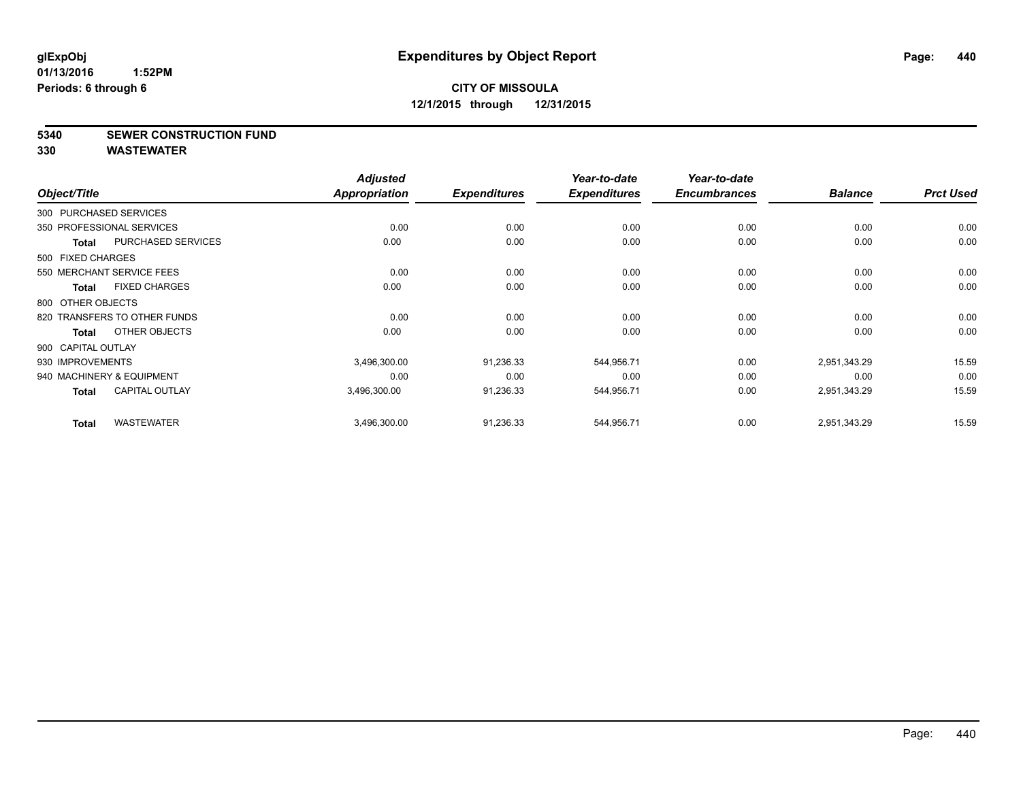**5340 SEWER CONSTRUCTION FUND**

| Object/Title           |                              | <b>Adjusted</b><br><b>Appropriation</b> | <b>Expenditures</b> | Year-to-date<br><b>Expenditures</b> | Year-to-date<br><b>Encumbrances</b> | <b>Balance</b> | <b>Prct Used</b> |
|------------------------|------------------------------|-----------------------------------------|---------------------|-------------------------------------|-------------------------------------|----------------|------------------|
|                        |                              |                                         |                     |                                     |                                     |                |                  |
| 300 PURCHASED SERVICES |                              |                                         |                     |                                     |                                     |                |                  |
|                        | 350 PROFESSIONAL SERVICES    | 0.00                                    | 0.00                | 0.00                                | 0.00                                | 0.00           | 0.00             |
| <b>Total</b>           | PURCHASED SERVICES           | 0.00                                    | 0.00                | 0.00                                | 0.00                                | 0.00           | 0.00             |
| 500 FIXED CHARGES      |                              |                                         |                     |                                     |                                     |                |                  |
|                        | 550 MERCHANT SERVICE FEES    | 0.00                                    | 0.00                | 0.00                                | 0.00                                | 0.00           | 0.00             |
| Total                  | <b>FIXED CHARGES</b>         | 0.00                                    | 0.00                | 0.00                                | 0.00                                | 0.00           | 0.00             |
| 800 OTHER OBJECTS      |                              |                                         |                     |                                     |                                     |                |                  |
|                        | 820 TRANSFERS TO OTHER FUNDS | 0.00                                    | 0.00                | 0.00                                | 0.00                                | 0.00           | 0.00             |
| Total                  | OTHER OBJECTS                | 0.00                                    | 0.00                | 0.00                                | 0.00                                | 0.00           | 0.00             |
| 900 CAPITAL OUTLAY     |                              |                                         |                     |                                     |                                     |                |                  |
| 930 IMPROVEMENTS       |                              | 3,496,300.00                            | 91,236.33           | 544,956.71                          | 0.00                                | 2,951,343.29   | 15.59            |
|                        | 940 MACHINERY & EQUIPMENT    | 0.00                                    | 0.00                | 0.00                                | 0.00                                | 0.00           | 0.00             |
| Total                  | <b>CAPITAL OUTLAY</b>        | 3,496,300.00                            | 91,236.33           | 544,956.71                          | 0.00                                | 2,951,343.29   | 15.59            |
| <b>Total</b>           | <b>WASTEWATER</b>            | 3,496,300.00                            | 91,236.33           | 544,956.71                          | 0.00                                | 2,951,343.29   | 15.59            |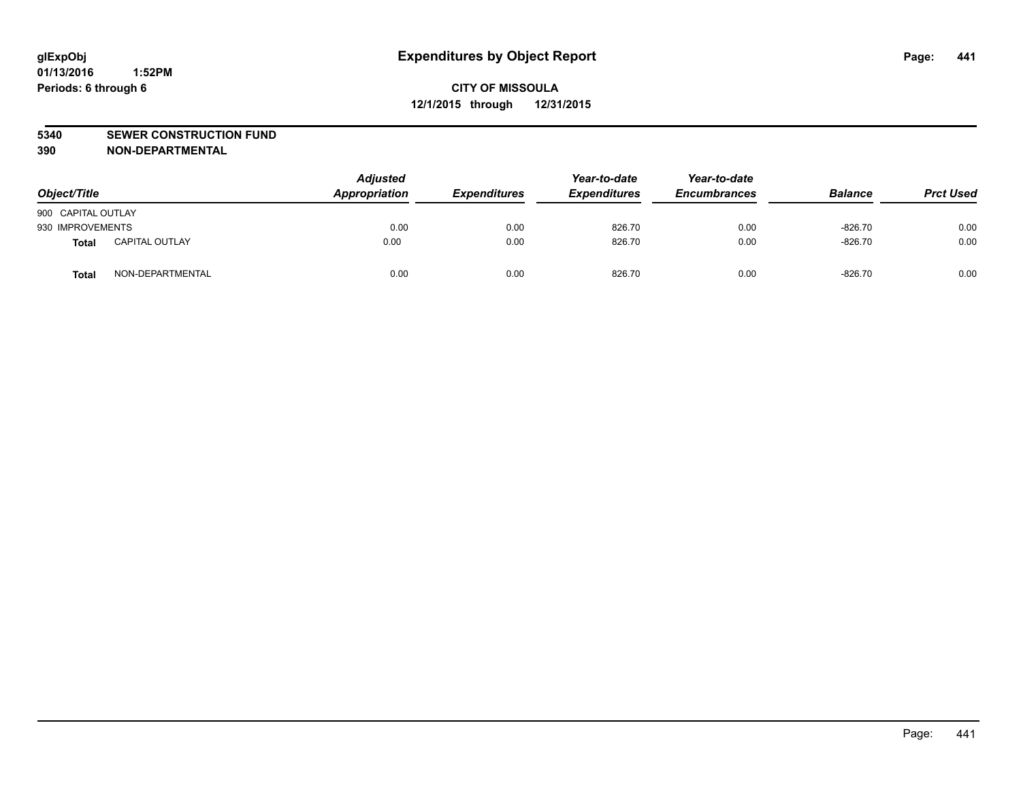#### **5340 SEWER CONSTRUCTION FUND**

**390 NON-DEPARTMENTAL**

| Object/Title       |                       | <b>Adjusted</b><br>Appropriation | <b>Expenditures</b> | Year-to-date<br><b>Expenditures</b> | Year-to-date<br><b>Encumbrances</b> | <b>Balance</b> | <b>Prct Used</b> |
|--------------------|-----------------------|----------------------------------|---------------------|-------------------------------------|-------------------------------------|----------------|------------------|
| 900 CAPITAL OUTLAY |                       |                                  |                     |                                     |                                     |                |                  |
| 930 IMPROVEMENTS   |                       | 0.00                             | 0.00                | 826.70                              | 0.00                                | $-826.70$      | 0.00             |
| <b>Total</b>       | <b>CAPITAL OUTLAY</b> | 0.00                             | 0.00                | 826.70                              | 0.00                                | $-826.70$      | 0.00             |
| <b>Total</b>       | NON-DEPARTMENTAL      | 0.00                             | 0.00                | 826.70                              | 0.00                                | $-826.70$      | 0.00             |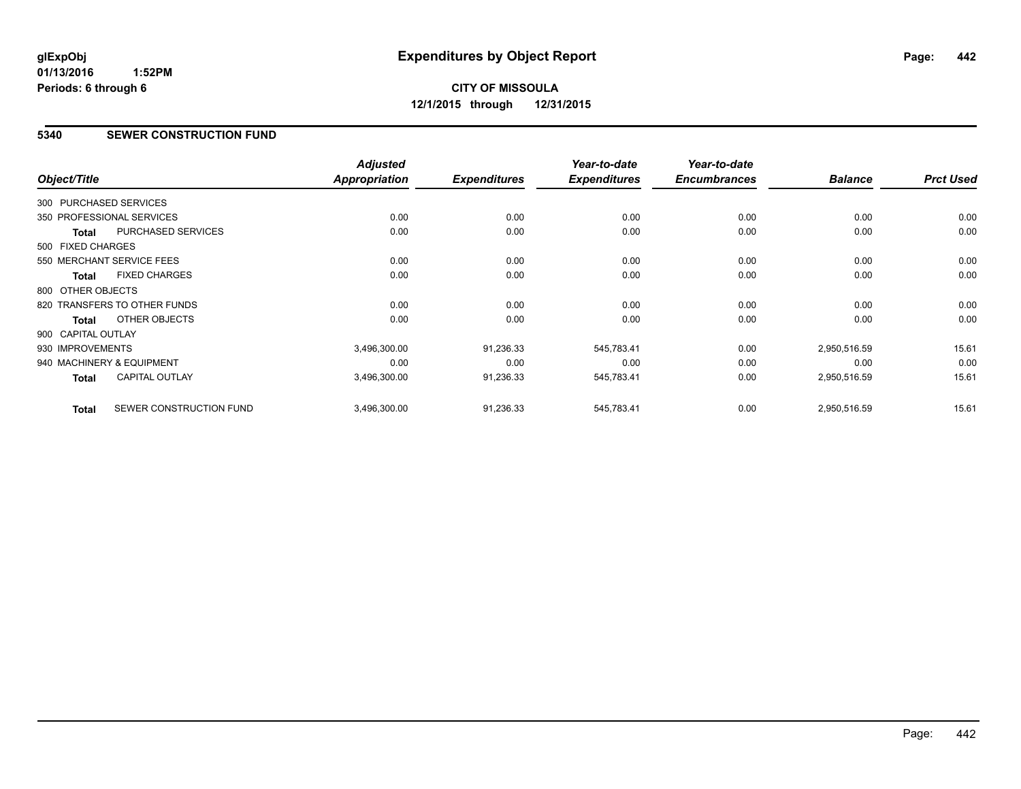# **CITY OF MISSOULA 12/1/2015 through 12/31/2015**

#### **5340 SEWER CONSTRUCTION FUND**

|                    |                              | <b>Adjusted</b> |                     | Year-to-date        | Year-to-date        |                |                  |
|--------------------|------------------------------|-----------------|---------------------|---------------------|---------------------|----------------|------------------|
| Object/Title       |                              | Appropriation   | <b>Expenditures</b> | <b>Expenditures</b> | <b>Encumbrances</b> | <b>Balance</b> | <b>Prct Used</b> |
|                    | 300 PURCHASED SERVICES       |                 |                     |                     |                     |                |                  |
|                    | 350 PROFESSIONAL SERVICES    | 0.00            | 0.00                | 0.00                | 0.00                | 0.00           | 0.00             |
| <b>Total</b>       | <b>PURCHASED SERVICES</b>    | 0.00            | 0.00                | 0.00                | 0.00                | 0.00           | 0.00             |
| 500 FIXED CHARGES  |                              |                 |                     |                     |                     |                |                  |
|                    | 550 MERCHANT SERVICE FEES    | 0.00            | 0.00                | 0.00                | 0.00                | 0.00           | 0.00             |
| <b>Total</b>       | <b>FIXED CHARGES</b>         | 0.00            | 0.00                | 0.00                | 0.00                | 0.00           | 0.00             |
| 800 OTHER OBJECTS  |                              |                 |                     |                     |                     |                |                  |
|                    | 820 TRANSFERS TO OTHER FUNDS | 0.00            | 0.00                | 0.00                | 0.00                | 0.00           | 0.00             |
| Total              | <b>OTHER OBJECTS</b>         | 0.00            | 0.00                | 0.00                | 0.00                | 0.00           | 0.00             |
| 900 CAPITAL OUTLAY |                              |                 |                     |                     |                     |                |                  |
| 930 IMPROVEMENTS   |                              | 3,496,300.00    | 91,236.33           | 545,783.41          | 0.00                | 2,950,516.59   | 15.61            |
|                    | 940 MACHINERY & EQUIPMENT    | 0.00            | 0.00                | 0.00                | 0.00                | 0.00           | 0.00             |
| <b>Total</b>       | <b>CAPITAL OUTLAY</b>        | 3,496,300.00    | 91,236.33           | 545,783.41          | 0.00                | 2,950,516.59   | 15.61            |
| <b>Total</b>       | SEWER CONSTRUCTION FUND      | 3,496,300.00    | 91,236.33           | 545,783.41          | 0.00                | 2,950,516.59   | 15.61            |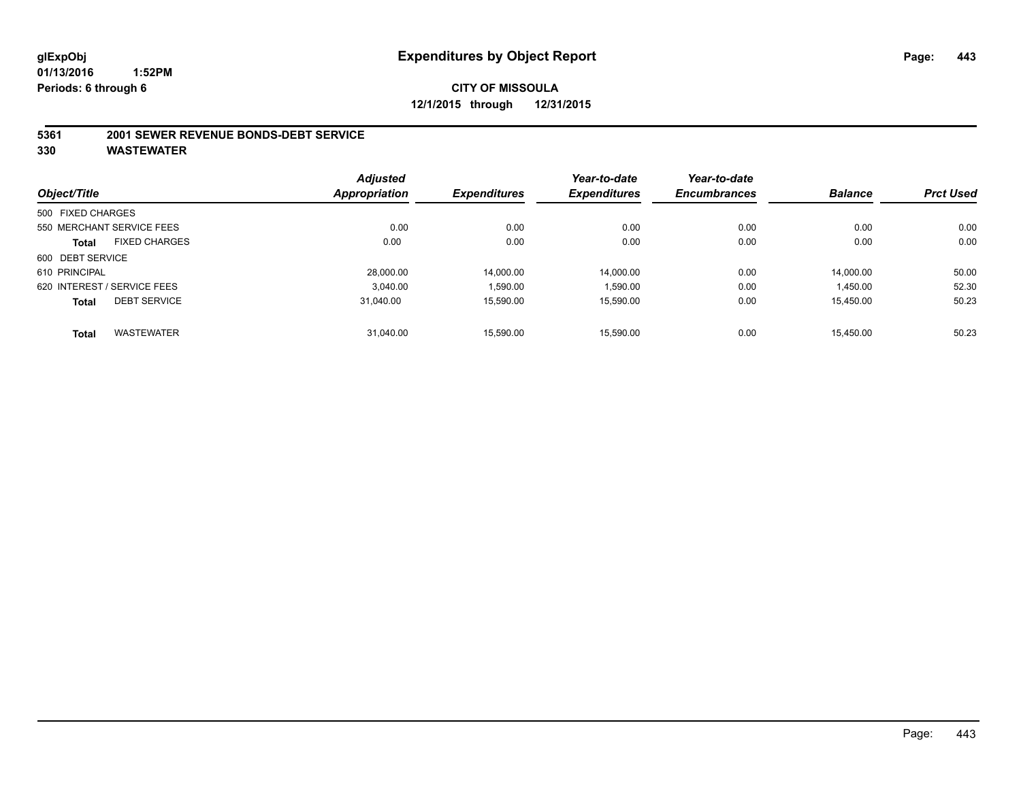#### **5361 2001 SEWER REVENUE BONDS-DEBT SERVICE**

|                   |                             | <b>Adjusted</b>      |                     | Year-to-date        | Year-to-date        |                |                  |
|-------------------|-----------------------------|----------------------|---------------------|---------------------|---------------------|----------------|------------------|
| Object/Title      |                             | <b>Appropriation</b> | <b>Expenditures</b> | <b>Expenditures</b> | <b>Encumbrances</b> | <b>Balance</b> | <b>Prct Used</b> |
| 500 FIXED CHARGES |                             |                      |                     |                     |                     |                |                  |
|                   | 550 MERCHANT SERVICE FEES   | 0.00                 | 0.00                | 0.00                | 0.00                | 0.00           | 0.00             |
| <b>Total</b>      | <b>FIXED CHARGES</b>        | 0.00                 | 0.00                | 0.00                | 0.00                | 0.00           | 0.00             |
| 600 DEBT SERVICE  |                             |                      |                     |                     |                     |                |                  |
| 610 PRINCIPAL     |                             | 28.000.00            | 14,000.00           | 14.000.00           | 0.00                | 14.000.00      | 50.00            |
|                   | 620 INTEREST / SERVICE FEES | 3.040.00             | 1,590.00            | 1,590.00            | 0.00                | 1,450.00       | 52.30            |
| <b>Total</b>      | <b>DEBT SERVICE</b>         | 31.040.00            | 15.590.00           | 15,590.00           | 0.00                | 15.450.00      | 50.23            |
| <b>Total</b>      | <b>WASTEWATER</b>           | 31.040.00            | 15.590.00           | 15.590.00           | 0.00                | 15.450.00      | 50.23            |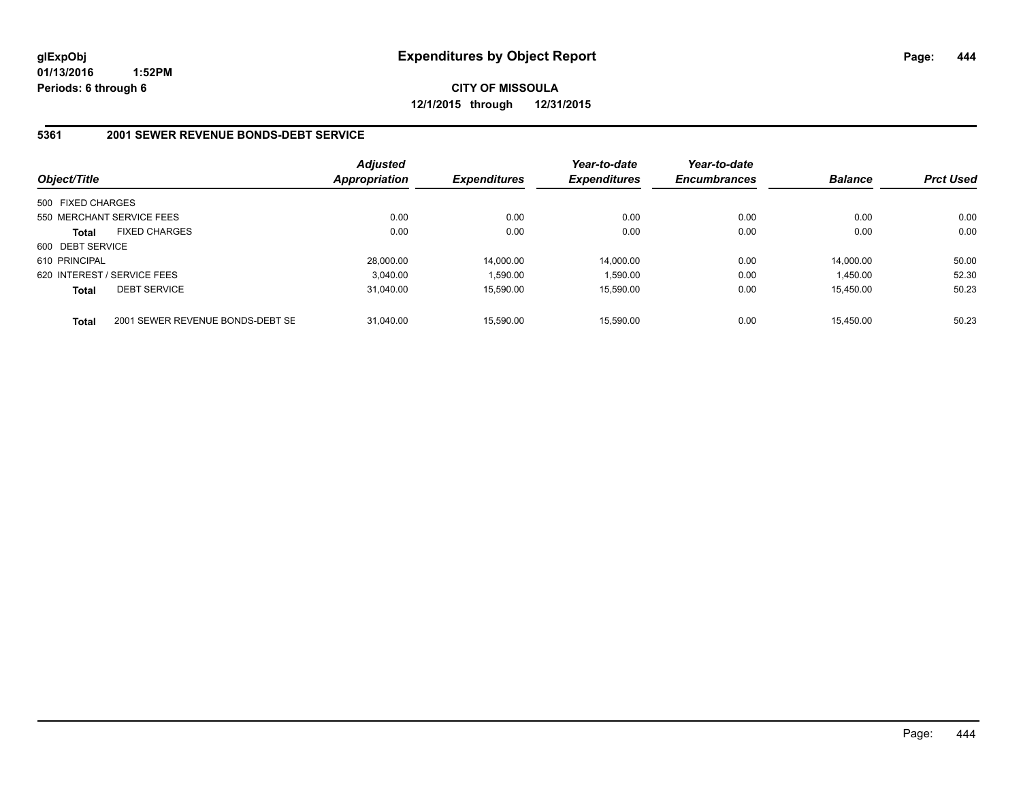**CITY OF MISSOULA 12/1/2015 through 12/31/2015**

#### **5361 2001 SEWER REVENUE BONDS-DEBT SERVICE**

| Object/Title      |                                  | <b>Adjusted</b><br>Appropriation | <b>Expenditures</b> | Year-to-date<br><b>Expenditures</b> | Year-to-date<br><b>Encumbrances</b> | <b>Balance</b> | <b>Prct Used</b> |
|-------------------|----------------------------------|----------------------------------|---------------------|-------------------------------------|-------------------------------------|----------------|------------------|
| 500 FIXED CHARGES |                                  |                                  |                     |                                     |                                     |                |                  |
|                   | 550 MERCHANT SERVICE FEES        | 0.00                             | 0.00                | 0.00                                | 0.00                                | 0.00           | 0.00             |
| <b>Total</b>      | <b>FIXED CHARGES</b>             | 0.00                             | 0.00                | 0.00                                | 0.00                                | 0.00           | 0.00             |
| 600 DEBT SERVICE  |                                  |                                  |                     |                                     |                                     |                |                  |
| 610 PRINCIPAL     |                                  | 28,000.00                        | 14.000.00           | 14.000.00                           | 0.00                                | 14.000.00      | 50.00            |
|                   | 620 INTEREST / SERVICE FEES      | 3.040.00                         | 1.590.00            | 1.590.00                            | 0.00                                | 1.450.00       | 52.30            |
| <b>Total</b>      | <b>DEBT SERVICE</b>              | 31.040.00                        | 15.590.00           | 15.590.00                           | 0.00                                | 15.450.00      | 50.23            |
| <b>Total</b>      | 2001 SEWER REVENUE BONDS-DEBT SE | 31.040.00                        | 15,590.00           | 15.590.00                           | 0.00                                | 15.450.00      | 50.23            |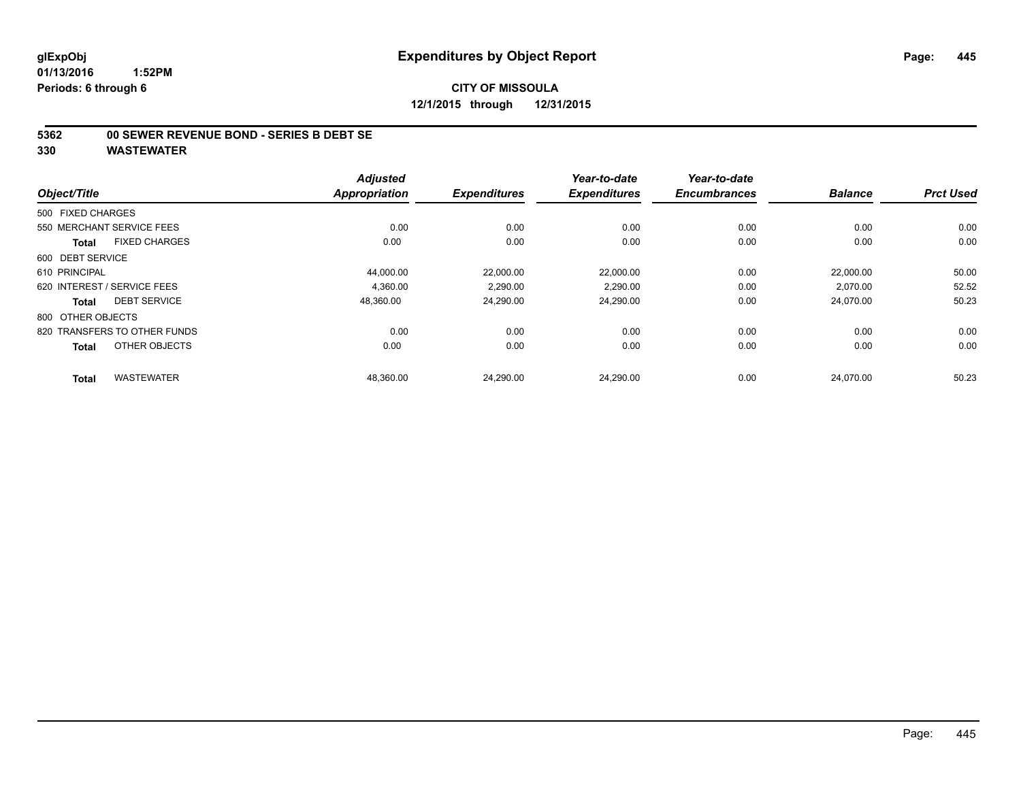#### **5362 00 SEWER REVENUE BOND - SERIES B DEBT SE**

| Object/Title                         | <b>Adjusted</b><br><b>Appropriation</b> | <b>Expenditures</b> | Year-to-date<br><b>Expenditures</b> | Year-to-date<br><b>Encumbrances</b> | <b>Balance</b> | <b>Prct Used</b> |
|--------------------------------------|-----------------------------------------|---------------------|-------------------------------------|-------------------------------------|----------------|------------------|
|                                      |                                         |                     |                                     |                                     |                |                  |
| 500 FIXED CHARGES                    |                                         |                     |                                     |                                     |                |                  |
| 550 MERCHANT SERVICE FEES            | 0.00                                    | 0.00                | 0.00                                | 0.00                                | 0.00           | 0.00             |
| <b>FIXED CHARGES</b><br><b>Total</b> | 0.00                                    | 0.00                | 0.00                                | 0.00                                | 0.00           | 0.00             |
| 600 DEBT SERVICE                     |                                         |                     |                                     |                                     |                |                  |
| 610 PRINCIPAL                        | 44,000.00                               | 22,000.00           | 22,000.00                           | 0.00                                | 22,000.00      | 50.00            |
| 620 INTEREST / SERVICE FEES          | 4.360.00                                | 2.290.00            | 2.290.00                            | 0.00                                | 2.070.00       | 52.52            |
| <b>DEBT SERVICE</b><br><b>Total</b>  | 48,360.00                               | 24,290.00           | 24,290.00                           | 0.00                                | 24,070.00      | 50.23            |
| 800 OTHER OBJECTS                    |                                         |                     |                                     |                                     |                |                  |
| 820 TRANSFERS TO OTHER FUNDS         | 0.00                                    | 0.00                | 0.00                                | 0.00                                | 0.00           | 0.00             |
| OTHER OBJECTS<br><b>Total</b>        | 0.00                                    | 0.00                | 0.00                                | 0.00                                | 0.00           | 0.00             |
| <b>WASTEWATER</b><br><b>Total</b>    | 48,360.00                               | 24,290.00           | 24,290.00                           | 0.00                                | 24,070.00      | 50.23            |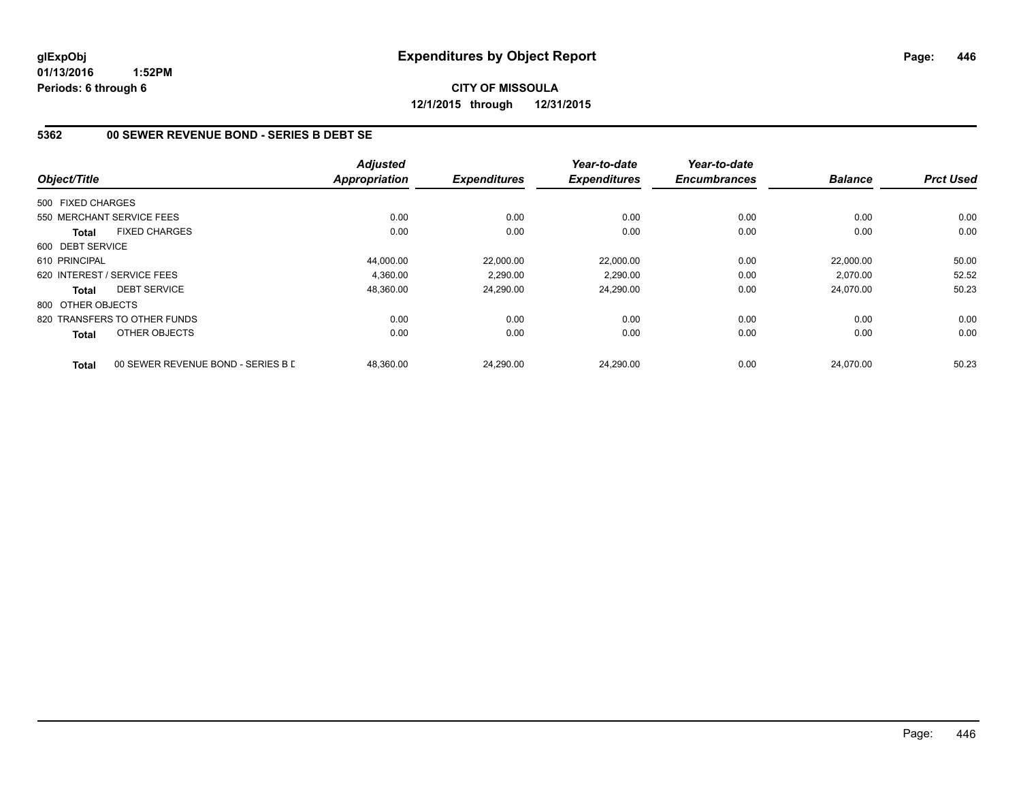# **CITY OF MISSOULA 12/1/2015 through 12/31/2015**

#### **5362 00 SEWER REVENUE BOND - SERIES B DEBT SE**

| Object/Title      |                                    | <b>Adjusted</b><br><b>Appropriation</b> | <b>Expenditures</b> | Year-to-date<br><b>Expenditures</b> | Year-to-date<br><b>Encumbrances</b> | <b>Balance</b> | <b>Prct Used</b> |
|-------------------|------------------------------------|-----------------------------------------|---------------------|-------------------------------------|-------------------------------------|----------------|------------------|
|                   |                                    |                                         |                     |                                     |                                     |                |                  |
| 500 FIXED CHARGES |                                    |                                         |                     |                                     |                                     |                |                  |
|                   | 550 MERCHANT SERVICE FEES          | 0.00                                    | 0.00                | 0.00                                | 0.00                                | 0.00           | 0.00             |
| <b>Total</b>      | <b>FIXED CHARGES</b>               | 0.00                                    | 0.00                | 0.00                                | 0.00                                | 0.00           | 0.00             |
| 600 DEBT SERVICE  |                                    |                                         |                     |                                     |                                     |                |                  |
| 610 PRINCIPAL     |                                    | 44,000.00                               | 22,000.00           | 22.000.00                           | 0.00                                | 22,000.00      | 50.00            |
|                   | 620 INTEREST / SERVICE FEES        | 4.360.00                                | 2,290.00            | 2,290.00                            | 0.00                                | 2,070.00       | 52.52            |
| <b>Total</b>      | <b>DEBT SERVICE</b>                | 48,360.00                               | 24,290.00           | 24,290.00                           | 0.00                                | 24,070.00      | 50.23            |
| 800 OTHER OBJECTS |                                    |                                         |                     |                                     |                                     |                |                  |
|                   | 820 TRANSFERS TO OTHER FUNDS       | 0.00                                    | 0.00                | 0.00                                | 0.00                                | 0.00           | 0.00             |
| <b>Total</b>      | OTHER OBJECTS                      | 0.00                                    | 0.00                | 0.00                                | 0.00                                | 0.00           | 0.00             |
| <b>Total</b>      | 00 SEWER REVENUE BOND - SERIES B E | 48.360.00                               | 24.290.00           | 24.290.00                           | 0.00                                | 24.070.00      | 50.23            |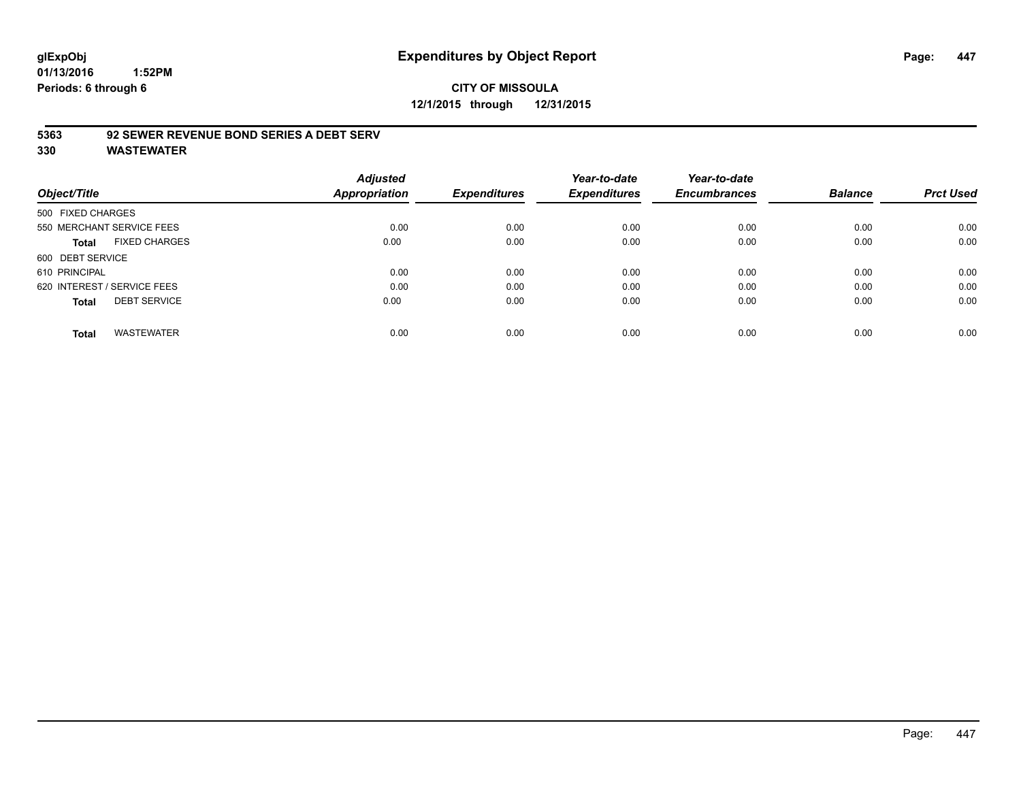# **glExpObj Expenditures by Object Report Page: 447**

**01/13/2016 1:52PM Periods: 6 through 6**

# **CITY OF MISSOULA 12/1/2015 through 12/31/2015**

#### **5363 92 SEWER REVENUE BOND SERIES A DEBT SERV**

| Object/Title                         | <b>Adjusted</b><br><b>Appropriation</b> | <b>Expenditures</b> | Year-to-date<br><b>Expenditures</b> | Year-to-date<br><b>Encumbrances</b> | <b>Balance</b> | <b>Prct Used</b> |
|--------------------------------------|-----------------------------------------|---------------------|-------------------------------------|-------------------------------------|----------------|------------------|
|                                      |                                         |                     |                                     |                                     |                |                  |
| 500 FIXED CHARGES                    |                                         |                     |                                     |                                     |                |                  |
| 550 MERCHANT SERVICE FEES            | 0.00                                    | 0.00                | 0.00                                | 0.00                                | 0.00           | 0.00             |
| <b>FIXED CHARGES</b><br><b>Total</b> | 0.00                                    | 0.00                | 0.00                                | 0.00                                | 0.00           | 0.00             |
| 600 DEBT SERVICE                     |                                         |                     |                                     |                                     |                |                  |
| 610 PRINCIPAL                        | 0.00                                    | 0.00                | 0.00                                | 0.00                                | 0.00           | 0.00             |
| 620 INTEREST / SERVICE FEES          | 0.00                                    | 0.00                | 0.00                                | 0.00                                | 0.00           | 0.00             |
| <b>DEBT SERVICE</b><br><b>Total</b>  | 0.00                                    | 0.00                | 0.00                                | 0.00                                | 0.00           | 0.00             |
| <b>WASTEWATER</b><br><b>Total</b>    | 0.00                                    | 0.00                | 0.00                                | 0.00                                | 0.00           | 0.00             |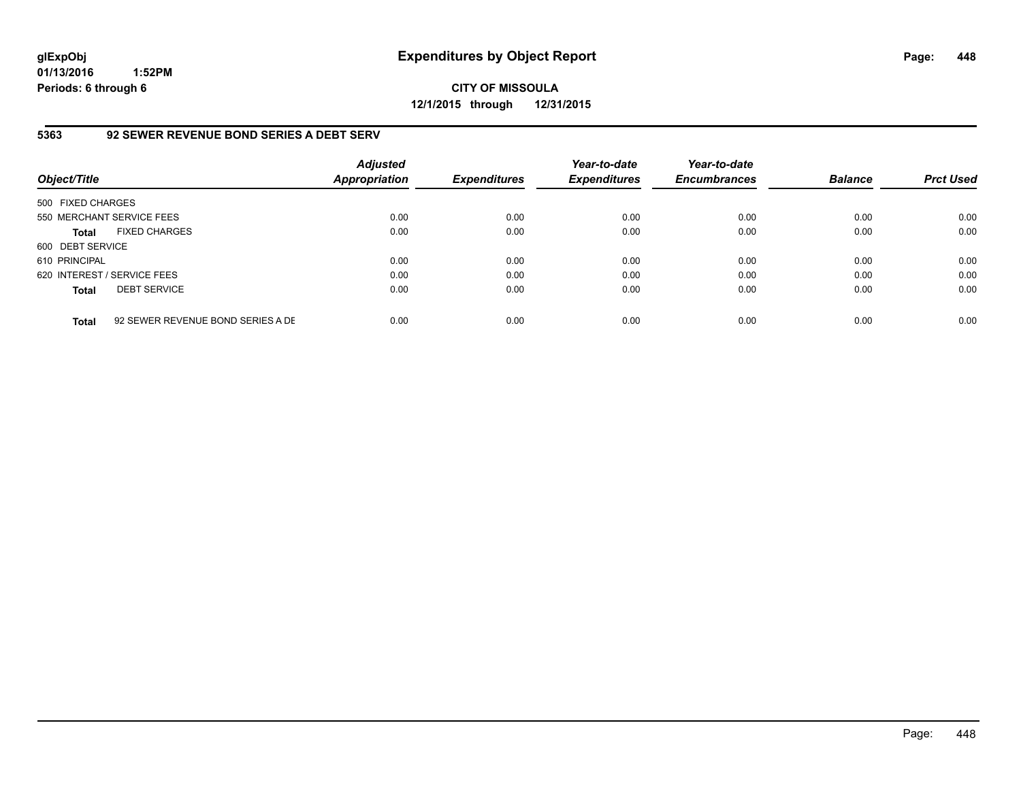**CITY OF MISSOULA 12/1/2015 through 12/31/2015**

#### **5363 92 SEWER REVENUE BOND SERIES A DEBT SERV**

| Object/Title                |                                   | <b>Adjusted</b><br><b>Appropriation</b> | <b>Expenditures</b> | Year-to-date<br><b>Expenditures</b> | Year-to-date<br><b>Encumbrances</b> | <b>Balance</b> | <b>Prct Used</b> |
|-----------------------------|-----------------------------------|-----------------------------------------|---------------------|-------------------------------------|-------------------------------------|----------------|------------------|
| 500 FIXED CHARGES           |                                   |                                         |                     |                                     |                                     |                |                  |
| 550 MERCHANT SERVICE FEES   |                                   | 0.00                                    | 0.00                | 0.00                                | 0.00                                | 0.00           | 0.00             |
| <b>Total</b>                | <b>FIXED CHARGES</b>              | 0.00                                    | 0.00                | 0.00                                | 0.00                                | 0.00           | 0.00             |
| 600 DEBT SERVICE            |                                   |                                         |                     |                                     |                                     |                |                  |
| 610 PRINCIPAL               |                                   | 0.00                                    | 0.00                | 0.00                                | 0.00                                | 0.00           | 0.00             |
| 620 INTEREST / SERVICE FEES |                                   | 0.00                                    | 0.00                | 0.00                                | 0.00                                | 0.00           | 0.00             |
| <b>Total</b>                | <b>DEBT SERVICE</b>               | 0.00                                    | 0.00                | 0.00                                | 0.00                                | 0.00           | 0.00             |
| <b>Total</b>                | 92 SEWER REVENUE BOND SERIES A DE | 0.00                                    | 0.00                | 0.00                                | 0.00                                | 0.00           | 0.00             |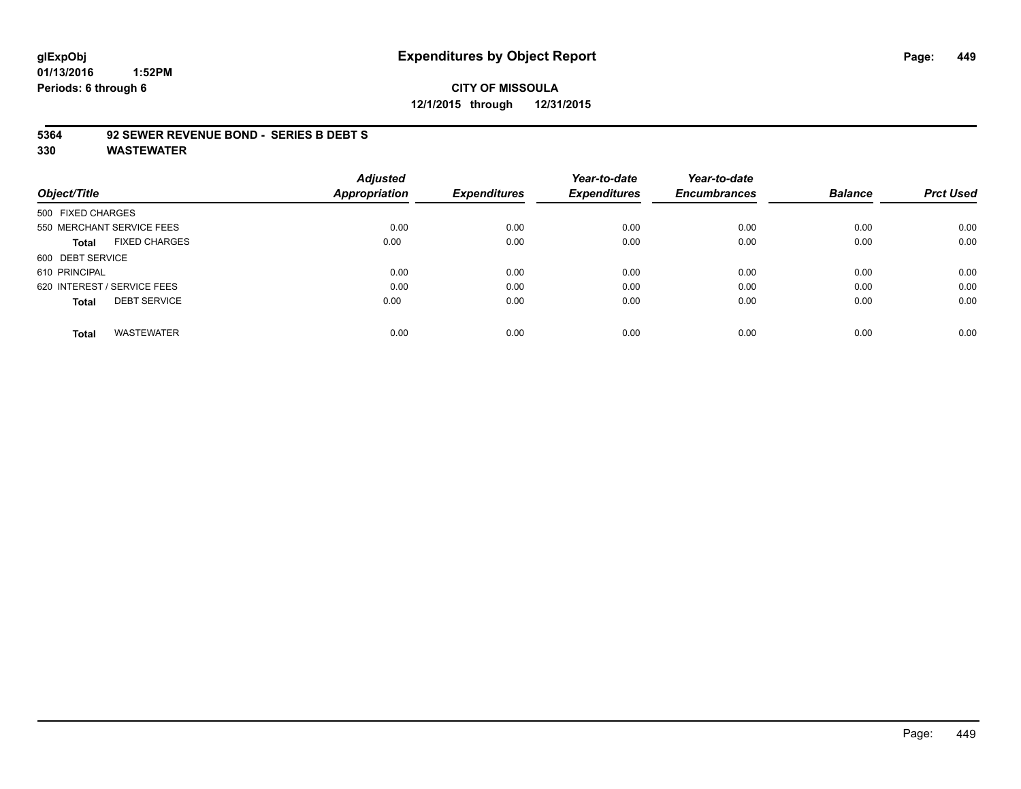# **glExpObj Expenditures by Object Report Page: 449**

**01/13/2016 1:52PM Periods: 6 through 6**

### **CITY OF MISSOULA 12/1/2015 through 12/31/2015**

#### **5364 92 SEWER REVENUE BOND - SERIES B DEBT S**

|                                     | <b>Adjusted</b>      |                     | Year-to-date        | Year-to-date        |                |                  |
|-------------------------------------|----------------------|---------------------|---------------------|---------------------|----------------|------------------|
| Object/Title                        | <b>Appropriation</b> | <b>Expenditures</b> | <b>Expenditures</b> | <b>Encumbrances</b> | <b>Balance</b> | <b>Prct Used</b> |
| 500 FIXED CHARGES                   |                      |                     |                     |                     |                |                  |
| 550 MERCHANT SERVICE FEES           | 0.00                 | 0.00                | 0.00                | 0.00                | 0.00           | 0.00             |
| <b>FIXED CHARGES</b><br>Total       | 0.00                 | 0.00                | 0.00                | 0.00                | 0.00           | 0.00             |
| 600 DEBT SERVICE                    |                      |                     |                     |                     |                |                  |
| 610 PRINCIPAL                       | 0.00                 | 0.00                | 0.00                | 0.00                | 0.00           | 0.00             |
| 620 INTEREST / SERVICE FEES         | 0.00                 | 0.00                | 0.00                | 0.00                | 0.00           | 0.00             |
| <b>DEBT SERVICE</b><br><b>Total</b> | 0.00                 | 0.00                | 0.00                | 0.00                | 0.00           | 0.00             |
| <b>WASTEWATER</b><br><b>Total</b>   | 0.00                 | 0.00                | 0.00                | 0.00                | 0.00           | 0.00             |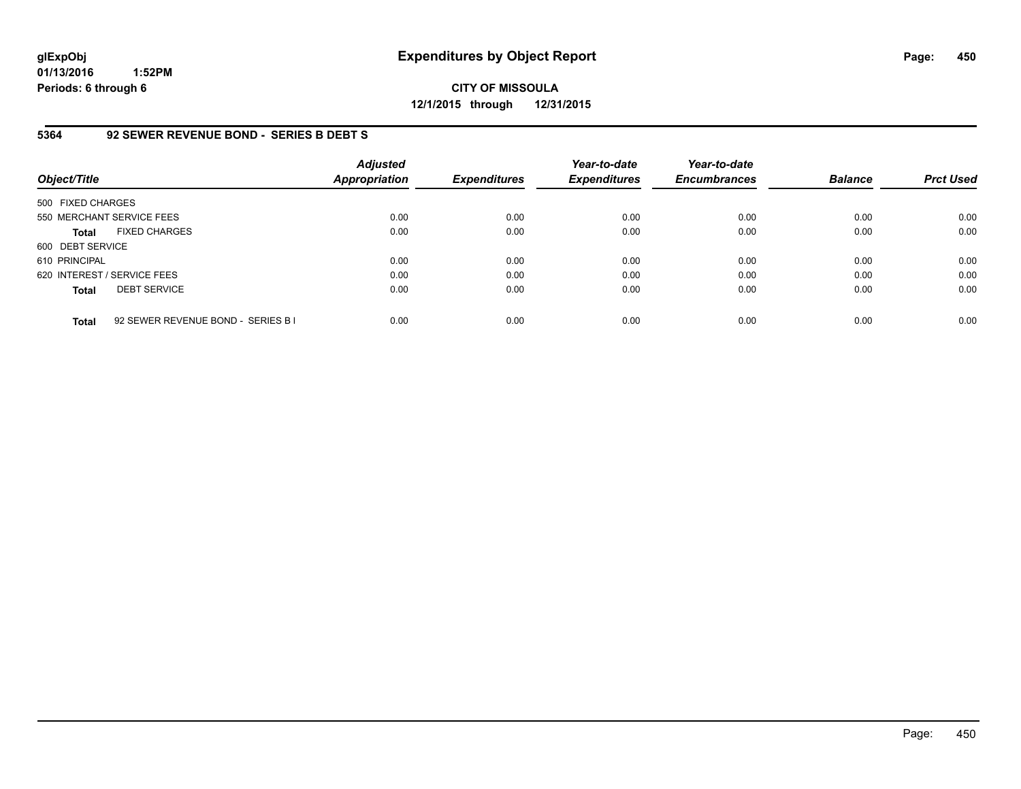**CITY OF MISSOULA 12/1/2015 through 12/31/2015**

#### **5364 92 SEWER REVENUE BOND - SERIES B DEBT S**

| Object/Title                |                                    | <b>Adjusted</b><br><b>Appropriation</b> | <b>Expenditures</b> | Year-to-date<br><b>Expenditures</b> | Year-to-date<br><b>Encumbrances</b> | <b>Balance</b> | <b>Prct Used</b> |
|-----------------------------|------------------------------------|-----------------------------------------|---------------------|-------------------------------------|-------------------------------------|----------------|------------------|
| 500 FIXED CHARGES           |                                    |                                         |                     |                                     |                                     |                |                  |
|                             | 550 MERCHANT SERVICE FEES          | 0.00                                    | 0.00                | 0.00                                | 0.00                                | 0.00           | 0.00             |
| <b>Total</b>                | <b>FIXED CHARGES</b>               | 0.00                                    | 0.00                | 0.00                                | 0.00                                | 0.00           | 0.00             |
| 600 DEBT SERVICE            |                                    |                                         |                     |                                     |                                     |                |                  |
| 610 PRINCIPAL               |                                    | 0.00                                    | 0.00                | 0.00                                | 0.00                                | 0.00           | 0.00             |
| 620 INTEREST / SERVICE FEES |                                    | 0.00                                    | 0.00                | 0.00                                | 0.00                                | 0.00           | 0.00             |
| <b>Total</b>                | <b>DEBT SERVICE</b>                | 0.00                                    | 0.00                | 0.00                                | 0.00                                | 0.00           | 0.00             |
| <b>Total</b>                | 92 SEWER REVENUE BOND - SERIES B I | 0.00                                    | 0.00                | 0.00                                | 0.00                                | 0.00           | 0.00             |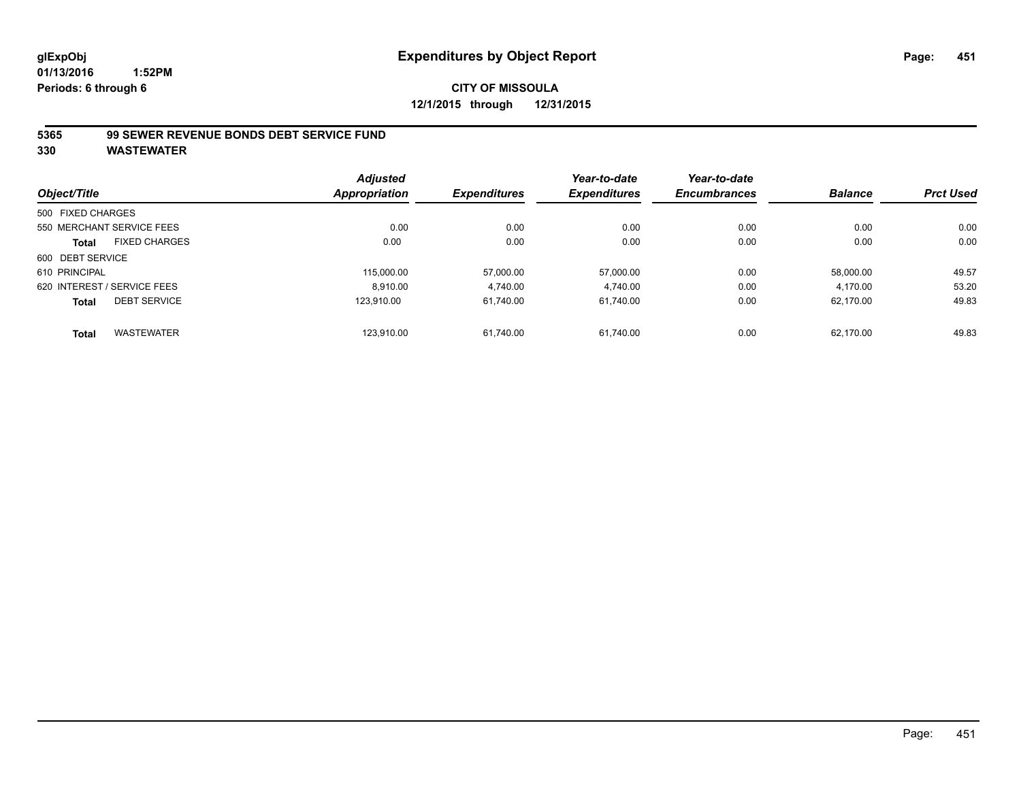#### **5365 99 SEWER REVENUE BONDS DEBT SERVICE FUND**

|                             |                      | <b>Adjusted</b>      |                     | Year-to-date        | Year-to-date        |                |                  |
|-----------------------------|----------------------|----------------------|---------------------|---------------------|---------------------|----------------|------------------|
| Object/Title                |                      | <b>Appropriation</b> | <b>Expenditures</b> | <b>Expenditures</b> | <b>Encumbrances</b> | <b>Balance</b> | <b>Prct Used</b> |
| 500 FIXED CHARGES           |                      |                      |                     |                     |                     |                |                  |
| 550 MERCHANT SERVICE FEES   |                      | 0.00                 | 0.00                | 0.00                | 0.00                | 0.00           | 0.00             |
| <b>Total</b>                | <b>FIXED CHARGES</b> | 0.00                 | 0.00                | 0.00                | 0.00                | 0.00           | 0.00             |
| 600 DEBT SERVICE            |                      |                      |                     |                     |                     |                |                  |
| 610 PRINCIPAL               |                      | 115,000.00           | 57,000.00           | 57.000.00           | 0.00                | 58.000.00      | 49.57            |
| 620 INTEREST / SERVICE FEES |                      | 8,910.00             | 4,740.00            | 4,740.00            | 0.00                | 4,170.00       | 53.20            |
| <b>Total</b>                | <b>DEBT SERVICE</b>  | 123.910.00           | 61.740.00           | 61.740.00           | 0.00                | 62.170.00      | 49.83            |
| <b>Total</b>                | <b>WASTEWATER</b>    | 123,910.00           | 61.740.00           | 61.740.00           | 0.00                | 62.170.00      | 49.83            |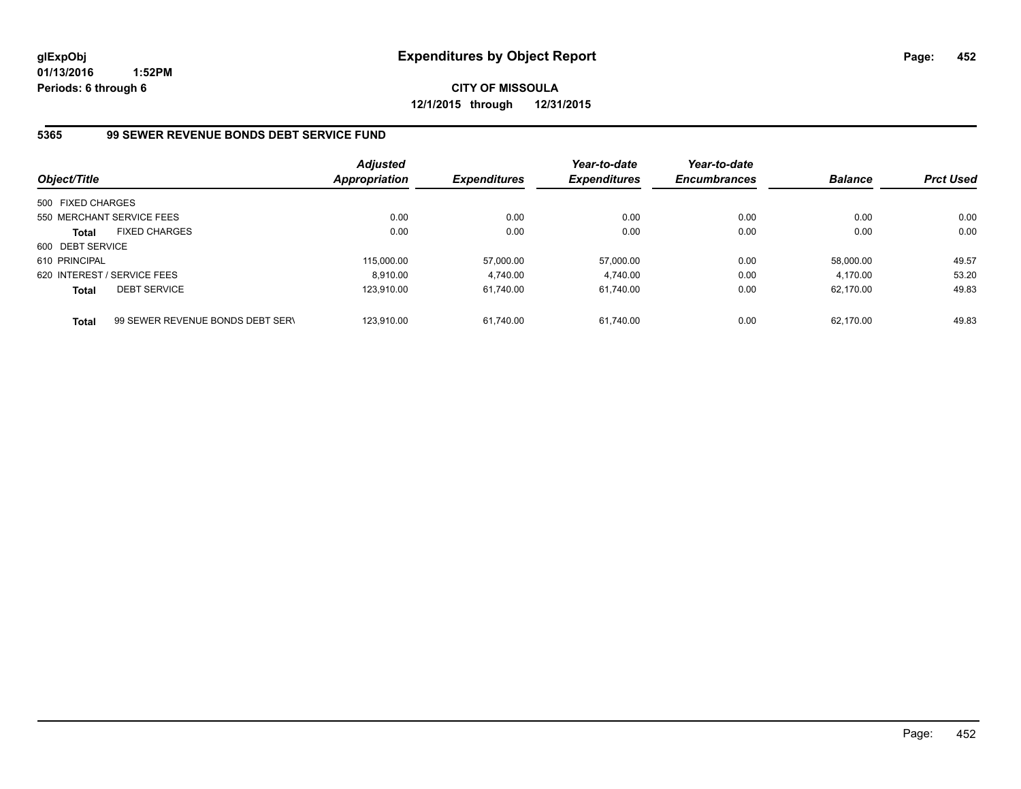**CITY OF MISSOULA 12/1/2015 through 12/31/2015**

#### **5365 99 SEWER REVENUE BONDS DEBT SERVICE FUND**

| Object/Title      |                                  | <b>Adjusted</b><br>Appropriation | <b>Expenditures</b> | Year-to-date<br><b>Expenditures</b> | Year-to-date<br><b>Encumbrances</b> | <b>Balance</b> | <b>Prct Used</b> |
|-------------------|----------------------------------|----------------------------------|---------------------|-------------------------------------|-------------------------------------|----------------|------------------|
| 500 FIXED CHARGES |                                  |                                  |                     |                                     |                                     |                |                  |
|                   | 550 MERCHANT SERVICE FEES        | 0.00                             | 0.00                | 0.00                                | 0.00                                | 0.00           | 0.00             |
| <b>Total</b>      | <b>FIXED CHARGES</b>             | 0.00                             | 0.00                | 0.00                                | 0.00                                | 0.00           | 0.00             |
| 600 DEBT SERVICE  |                                  |                                  |                     |                                     |                                     |                |                  |
| 610 PRINCIPAL     |                                  | 115,000.00                       | 57,000.00           | 57.000.00                           | 0.00                                | 58.000.00      | 49.57            |
|                   | 620 INTEREST / SERVICE FEES      | 8.910.00                         | 4.740.00            | 4.740.00                            | 0.00                                | 4.170.00       | 53.20            |
| <b>Total</b>      | <b>DEBT SERVICE</b>              | 123.910.00                       | 61.740.00           | 61.740.00                           | 0.00                                | 62.170.00      | 49.83            |
| <b>Total</b>      | 99 SEWER REVENUE BONDS DEBT SERV | 123.910.00                       | 61.740.00           | 61.740.00                           | 0.00                                | 62.170.00      | 49.83            |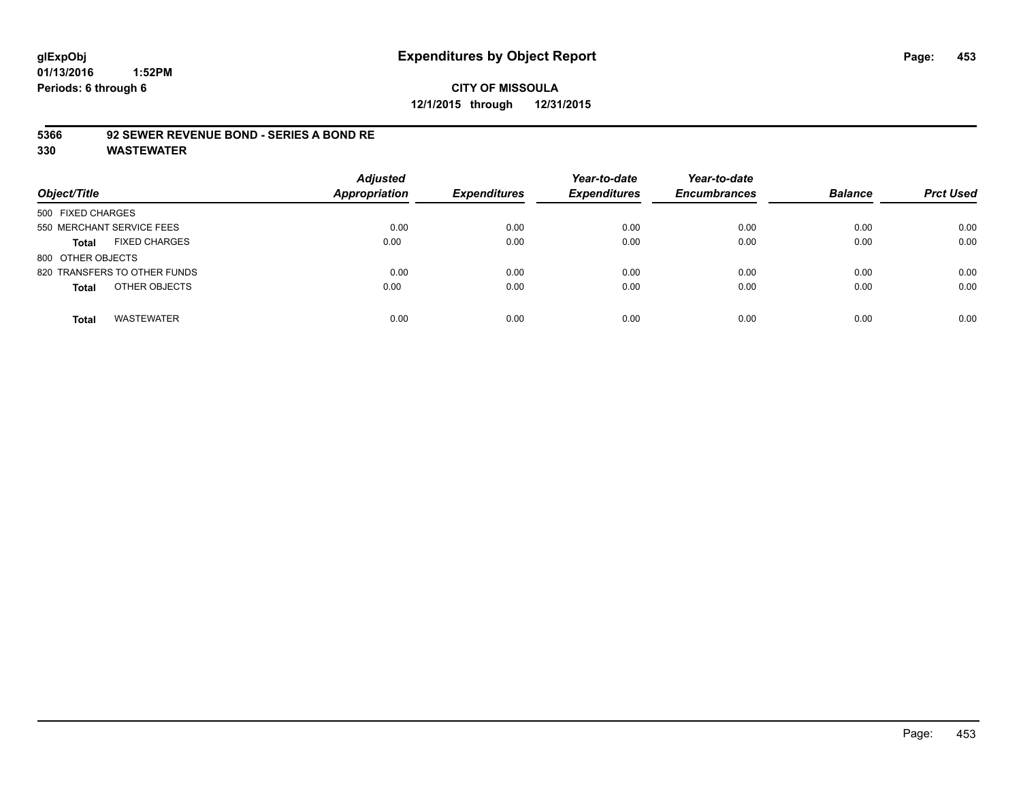# **CITY OF MISSOULA 12/1/2015 through 12/31/2015**

#### **5366 92 SEWER REVENUE BOND - SERIES A BOND RE**

| Object/Title                         | <b>Adjusted</b><br>Appropriation | <b>Expenditures</b> | Year-to-date<br><b>Expenditures</b> | Year-to-date<br><b>Encumbrances</b> | <b>Balance</b> | <b>Prct Used</b> |
|--------------------------------------|----------------------------------|---------------------|-------------------------------------|-------------------------------------|----------------|------------------|
| 500 FIXED CHARGES                    |                                  |                     |                                     |                                     |                |                  |
| 550 MERCHANT SERVICE FEES            | 0.00                             | 0.00                | 0.00                                | 0.00                                | 0.00           | 0.00             |
| <b>FIXED CHARGES</b><br><b>Total</b> | 0.00                             | 0.00                | 0.00                                | 0.00                                | 0.00           | 0.00             |
| 800 OTHER OBJECTS                    |                                  |                     |                                     |                                     |                |                  |
| 820 TRANSFERS TO OTHER FUNDS         | 0.00                             | 0.00                | 0.00                                | 0.00                                | 0.00           | 0.00             |
| OTHER OBJECTS<br><b>Total</b>        | 0.00                             | 0.00                | 0.00                                | 0.00                                | 0.00           | 0.00             |
| <b>WASTEWATER</b><br><b>Total</b>    | 0.00                             | 0.00                | 0.00                                | 0.00                                | 0.00           | 0.00             |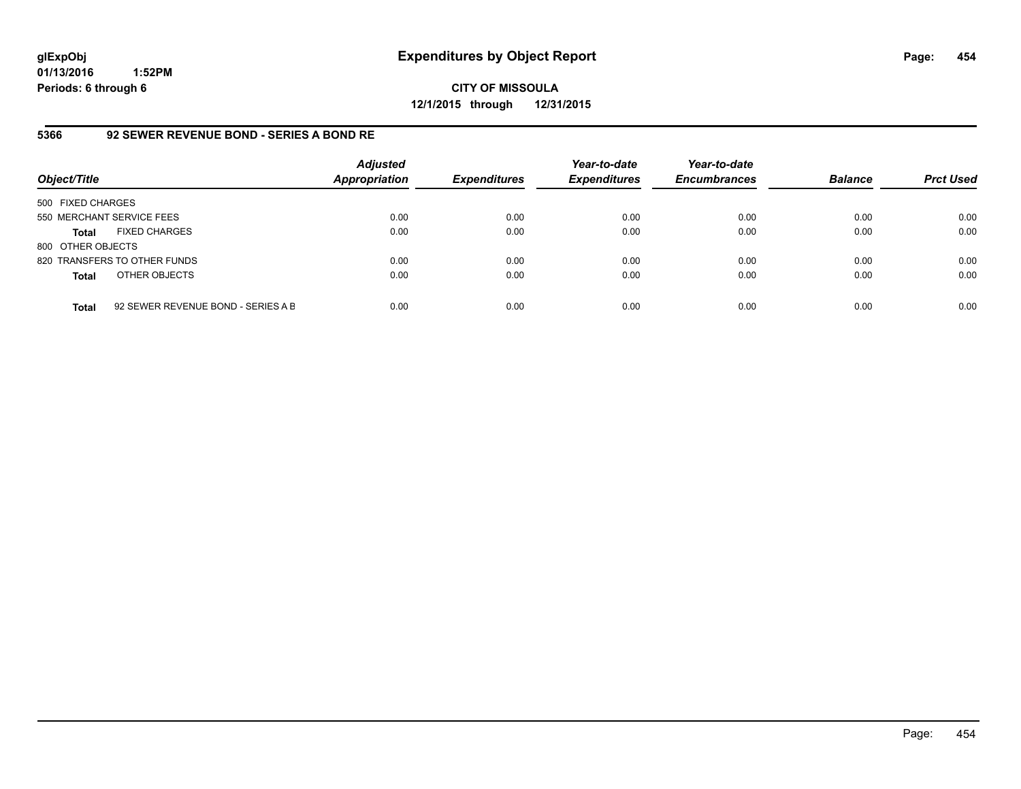**CITY OF MISSOULA 12/1/2015 through 12/31/2015**

#### **5366 92 SEWER REVENUE BOND - SERIES A BOND RE**

| Object/Title              |                                    | <b>Adjusted</b><br><b>Appropriation</b> | <b>Expenditures</b> | Year-to-date<br><b>Expenditures</b> | Year-to-date<br><b>Encumbrances</b> | <b>Balance</b> | <b>Prct Used</b> |
|---------------------------|------------------------------------|-----------------------------------------|---------------------|-------------------------------------|-------------------------------------|----------------|------------------|
| 500 FIXED CHARGES         |                                    |                                         |                     |                                     |                                     |                |                  |
| 550 MERCHANT SERVICE FEES |                                    | 0.00                                    | 0.00                | 0.00                                | 0.00                                | 0.00           | 0.00             |
| <b>Total</b>              | <b>FIXED CHARGES</b>               | 0.00                                    | 0.00                | 0.00                                | 0.00                                | 0.00           | 0.00             |
| 800 OTHER OBJECTS         |                                    |                                         |                     |                                     |                                     |                |                  |
|                           | 820 TRANSFERS TO OTHER FUNDS       | 0.00                                    | 0.00                | 0.00                                | 0.00                                | 0.00           | 0.00             |
| <b>Total</b>              | OTHER OBJECTS                      | 0.00                                    | 0.00                | 0.00                                | 0.00                                | 0.00           | 0.00             |
| <b>Total</b>              | 92 SEWER REVENUE BOND - SERIES A B | 0.00                                    | 0.00                | 0.00                                | 0.00                                | 0.00           | 0.00             |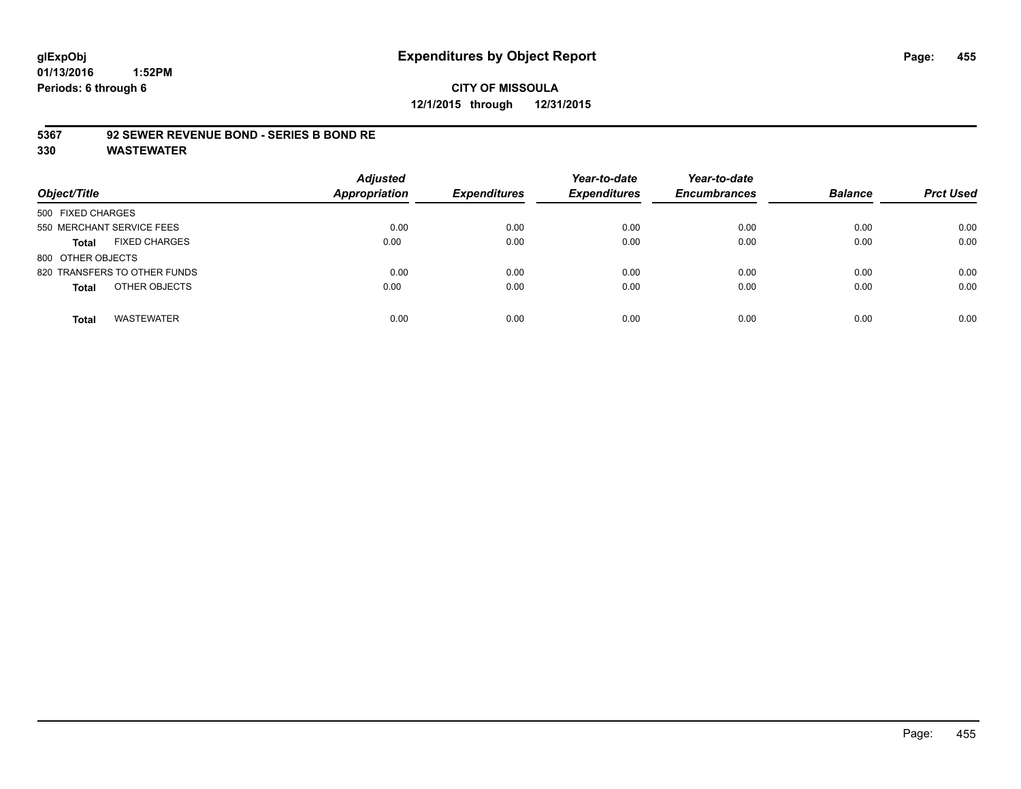# **CITY OF MISSOULA 12/1/2015 through 12/31/2015**

#### **5367 92 SEWER REVENUE BOND - SERIES B BOND RE**

| Object/Title                         | <b>Adjusted</b><br><b>Appropriation</b> | <b>Expenditures</b> | Year-to-date<br><b>Expenditures</b> | Year-to-date<br><b>Encumbrances</b> | <b>Balance</b> | <b>Prct Used</b> |
|--------------------------------------|-----------------------------------------|---------------------|-------------------------------------|-------------------------------------|----------------|------------------|
| 500 FIXED CHARGES                    |                                         |                     |                                     |                                     |                |                  |
| 550 MERCHANT SERVICE FEES            | 0.00                                    | 0.00                | 0.00                                | 0.00                                | 0.00           | 0.00             |
| <b>FIXED CHARGES</b><br><b>Total</b> | 0.00                                    | 0.00                | 0.00                                | 0.00                                | 0.00           | 0.00             |
| 800 OTHER OBJECTS                    |                                         |                     |                                     |                                     |                |                  |
| 820 TRANSFERS TO OTHER FUNDS         | 0.00                                    | 0.00                | 0.00                                | 0.00                                | 0.00           | 0.00             |
| OTHER OBJECTS<br><b>Total</b>        | 0.00                                    | 0.00                | 0.00                                | 0.00                                | 0.00           | 0.00             |
| <b>WASTEWATER</b><br><b>Total</b>    | 0.00                                    | 0.00                | 0.00                                | 0.00                                | 0.00           | 0.00             |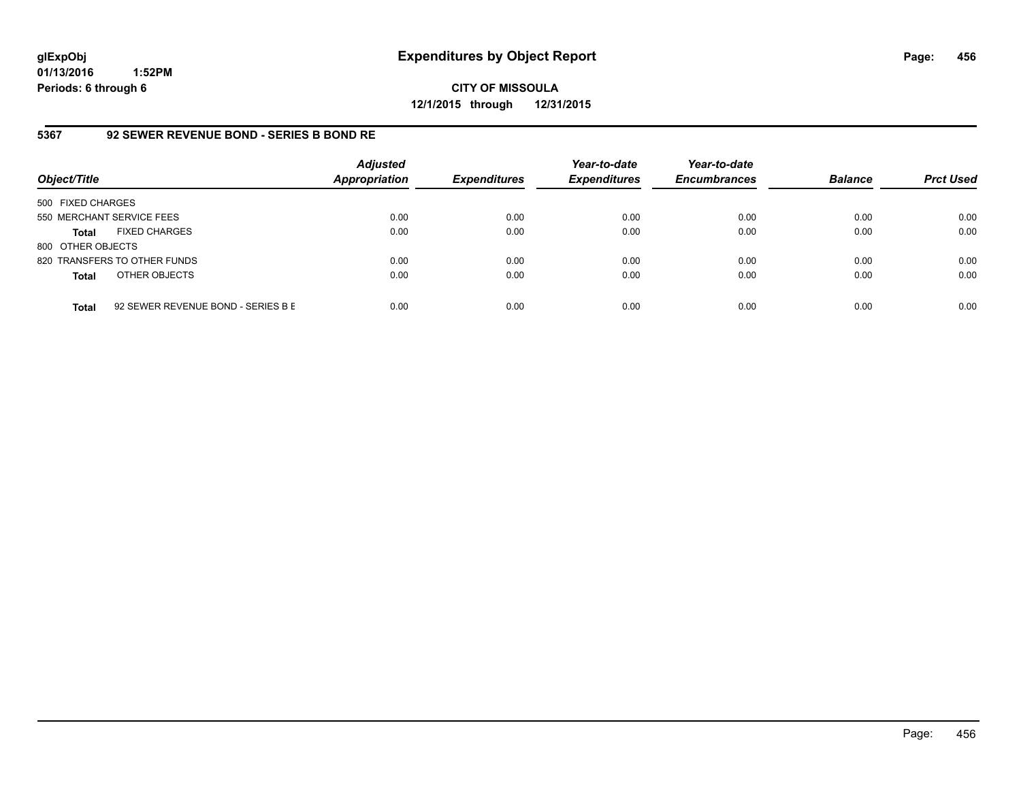**CITY OF MISSOULA 12/1/2015 through 12/31/2015**

#### **5367 92 SEWER REVENUE BOND - SERIES B BOND RE**

| Object/Title              |                                    | <b>Adjusted</b><br><b>Appropriation</b> | <b>Expenditures</b> | Year-to-date<br><b>Expenditures</b> | Year-to-date<br><b>Encumbrances</b> | <b>Balance</b> | <b>Prct Used</b> |
|---------------------------|------------------------------------|-----------------------------------------|---------------------|-------------------------------------|-------------------------------------|----------------|------------------|
| 500 FIXED CHARGES         |                                    |                                         |                     |                                     |                                     |                |                  |
| 550 MERCHANT SERVICE FEES |                                    | 0.00                                    | 0.00                | 0.00                                | 0.00                                | 0.00           | 0.00             |
| Total                     | <b>FIXED CHARGES</b>               | 0.00                                    | 0.00                | 0.00                                | 0.00                                | 0.00           | 0.00             |
| 800 OTHER OBJECTS         |                                    |                                         |                     |                                     |                                     |                |                  |
|                           | 820 TRANSFERS TO OTHER FUNDS       | 0.00                                    | 0.00                | 0.00                                | 0.00                                | 0.00           | 0.00             |
| <b>Total</b>              | OTHER OBJECTS                      | 0.00                                    | 0.00                | 0.00                                | 0.00                                | 0.00           | 0.00             |
| <b>Total</b>              | 92 SEWER REVENUE BOND - SERIES B E | 0.00                                    | 0.00                | 0.00                                | 0.00                                | 0.00           | 0.00             |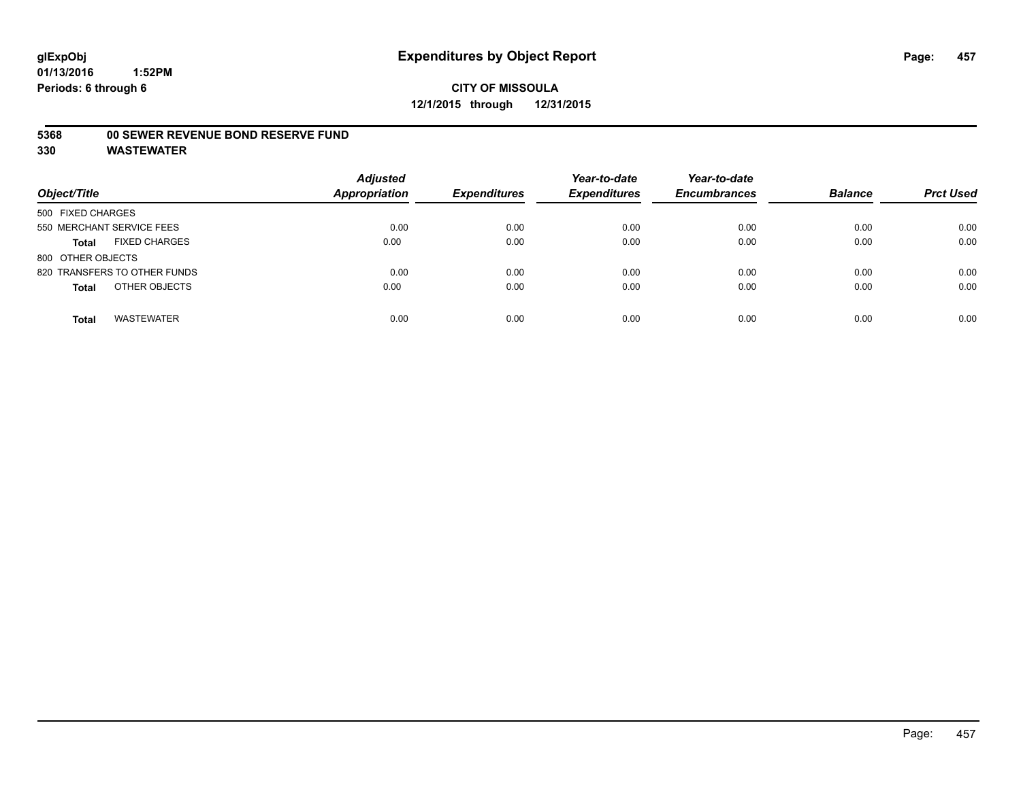# **CITY OF MISSOULA 12/1/2015 through 12/31/2015**

#### **5368 00 SEWER REVENUE BOND RESERVE FUND**

| Object/Title                         | <b>Adjusted</b><br><b>Appropriation</b> | <b>Expenditures</b> | Year-to-date<br><b>Expenditures</b> | Year-to-date<br><b>Encumbrances</b> | <b>Balance</b> | <b>Prct Used</b> |
|--------------------------------------|-----------------------------------------|---------------------|-------------------------------------|-------------------------------------|----------------|------------------|
| 500 FIXED CHARGES                    |                                         |                     |                                     |                                     |                |                  |
| 550 MERCHANT SERVICE FEES            | 0.00                                    | 0.00                | 0.00                                | 0.00                                | 0.00           | 0.00             |
| <b>FIXED CHARGES</b><br><b>Total</b> | 0.00                                    | 0.00                | 0.00                                | 0.00                                | 0.00           | 0.00             |
| 800 OTHER OBJECTS                    |                                         |                     |                                     |                                     |                |                  |
| 820 TRANSFERS TO OTHER FUNDS         | 0.00                                    | 0.00                | 0.00                                | 0.00                                | 0.00           | 0.00             |
| OTHER OBJECTS<br><b>Total</b>        | 0.00                                    | 0.00                | 0.00                                | 0.00                                | 0.00           | 0.00             |
| <b>WASTEWATER</b><br><b>Total</b>    | 0.00                                    | 0.00                | 0.00                                | 0.00                                | 0.00           | 0.00             |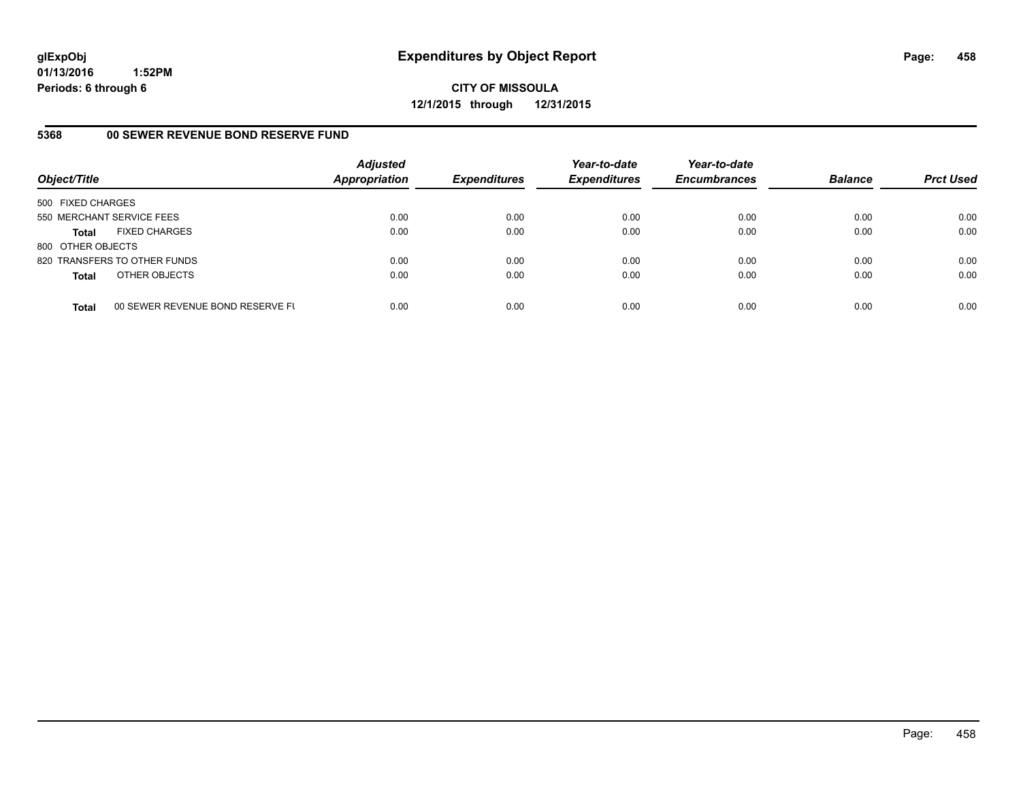**CITY OF MISSOULA 12/1/2015 through 12/31/2015**

#### **5368 00 SEWER REVENUE BOND RESERVE FUND**

| Object/Title              |                                  | <b>Adjusted</b><br>Appropriation | <b>Expenditures</b> | Year-to-date<br><b>Expenditures</b> | Year-to-date<br><b>Encumbrances</b> | <b>Balance</b> | <b>Prct Used</b> |
|---------------------------|----------------------------------|----------------------------------|---------------------|-------------------------------------|-------------------------------------|----------------|------------------|
| 500 FIXED CHARGES         |                                  |                                  |                     |                                     |                                     |                |                  |
| 550 MERCHANT SERVICE FEES |                                  | 0.00                             | 0.00                | 0.00                                | 0.00                                | 0.00           | 0.00             |
| <b>Total</b>              | <b>FIXED CHARGES</b>             | 0.00                             | 0.00                | 0.00                                | 0.00                                | 0.00           | 0.00             |
| 800 OTHER OBJECTS         |                                  |                                  |                     |                                     |                                     |                |                  |
|                           | 820 TRANSFERS TO OTHER FUNDS     | 0.00                             | 0.00                | 0.00                                | 0.00                                | 0.00           | 0.00             |
| <b>Total</b>              | OTHER OBJECTS                    | 0.00                             | 0.00                | 0.00                                | 0.00                                | 0.00           | 0.00             |
| <b>Total</b>              | 00 SEWER REVENUE BOND RESERVE FL | 0.00                             | 0.00                | 0.00                                | 0.00                                | 0.00           | 0.00             |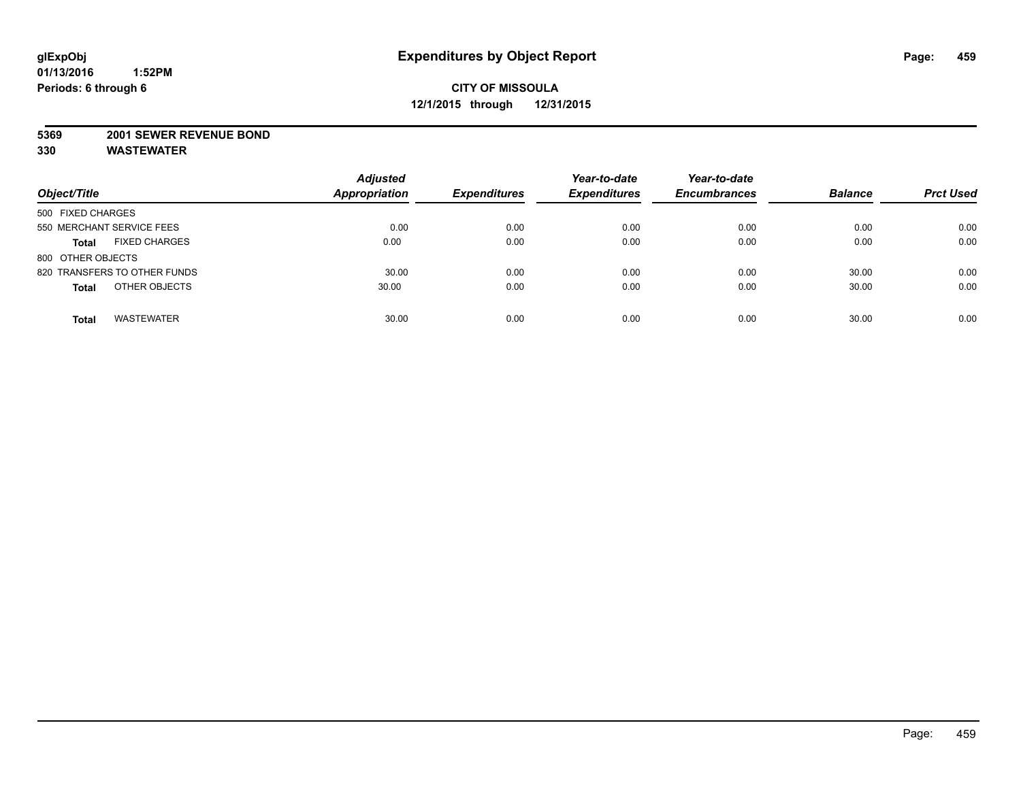#### **5369 2001 SEWER REVENUE BOND**

| Object/Title                         | <b>Adjusted</b><br><b>Appropriation</b> | <b>Expenditures</b> | Year-to-date<br><b>Expenditures</b> | Year-to-date<br><b>Encumbrances</b> | <b>Balance</b> | <b>Prct Used</b> |
|--------------------------------------|-----------------------------------------|---------------------|-------------------------------------|-------------------------------------|----------------|------------------|
| 500 FIXED CHARGES                    |                                         |                     |                                     |                                     |                |                  |
| 550 MERCHANT SERVICE FEES            | 0.00                                    | 0.00                | 0.00                                | 0.00                                | 0.00           | 0.00             |
| <b>FIXED CHARGES</b><br><b>Total</b> | 0.00                                    | 0.00                | 0.00                                | 0.00                                | 0.00           | 0.00             |
| 800 OTHER OBJECTS                    |                                         |                     |                                     |                                     |                |                  |
| 820 TRANSFERS TO OTHER FUNDS         | 30.00                                   | 0.00                | 0.00                                | 0.00                                | 30.00          | 0.00             |
| OTHER OBJECTS<br><b>Total</b>        | 30.00                                   | 0.00                | 0.00                                | 0.00                                | 30.00          | 0.00             |
| <b>WASTEWATER</b><br><b>Total</b>    | 30.00                                   | 0.00                | 0.00                                | 0.00                                | 30.00          | 0.00             |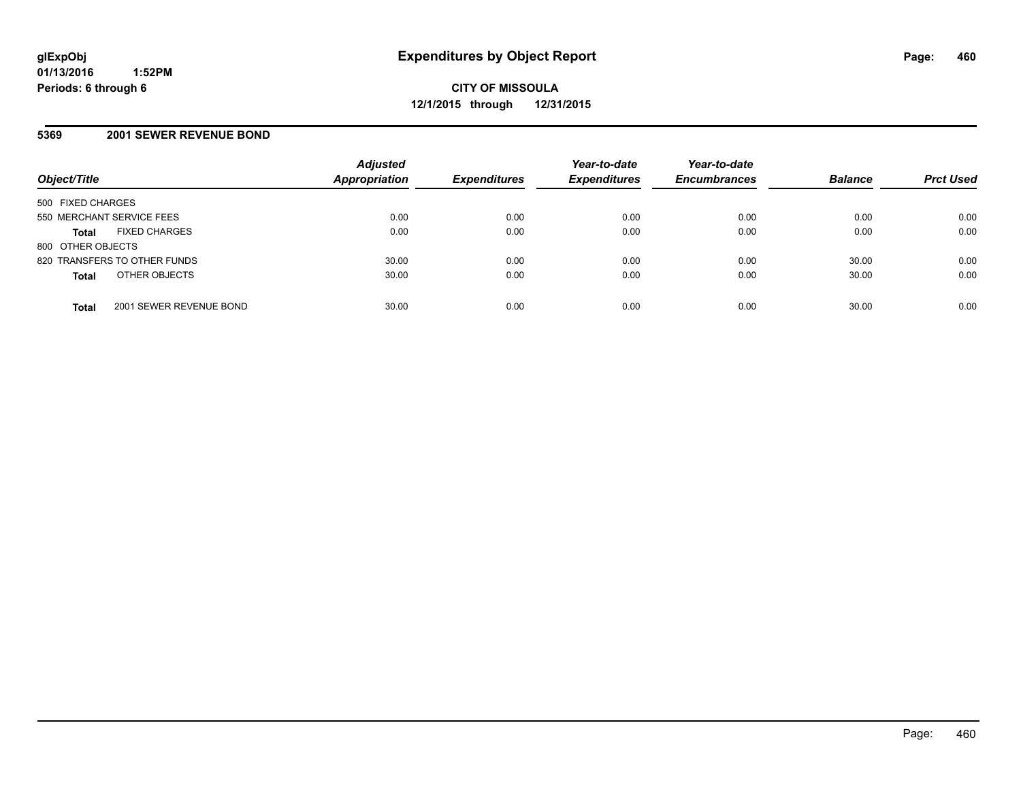#### **5369 2001 SEWER REVENUE BOND**

| Object/Title                            | <b>Adjusted</b><br><b>Appropriation</b> | <b>Expenditures</b> | Year-to-date<br><b>Expenditures</b> | Year-to-date<br><b>Encumbrances</b> | <b>Balance</b> | <b>Prct Used</b> |
|-----------------------------------------|-----------------------------------------|---------------------|-------------------------------------|-------------------------------------|----------------|------------------|
| 500 FIXED CHARGES                       |                                         |                     |                                     |                                     |                |                  |
| 550 MERCHANT SERVICE FEES               | 0.00                                    | 0.00                | 0.00                                | 0.00                                | 0.00           | 0.00             |
| <b>FIXED CHARGES</b><br><b>Total</b>    | 0.00                                    | 0.00                | 0.00                                | 0.00                                | 0.00           | 0.00             |
| 800 OTHER OBJECTS                       |                                         |                     |                                     |                                     |                |                  |
| 820 TRANSFERS TO OTHER FUNDS            | 30.00                                   | 0.00                | 0.00                                | 0.00                                | 30.00          | 0.00             |
| OTHER OBJECTS<br><b>Total</b>           | 30.00                                   | 0.00                | 0.00                                | 0.00                                | 30.00          | 0.00             |
| 2001 SEWER REVENUE BOND<br><b>Total</b> | 30.00                                   | 0.00                | 0.00                                | 0.00                                | 30.00          | 0.00             |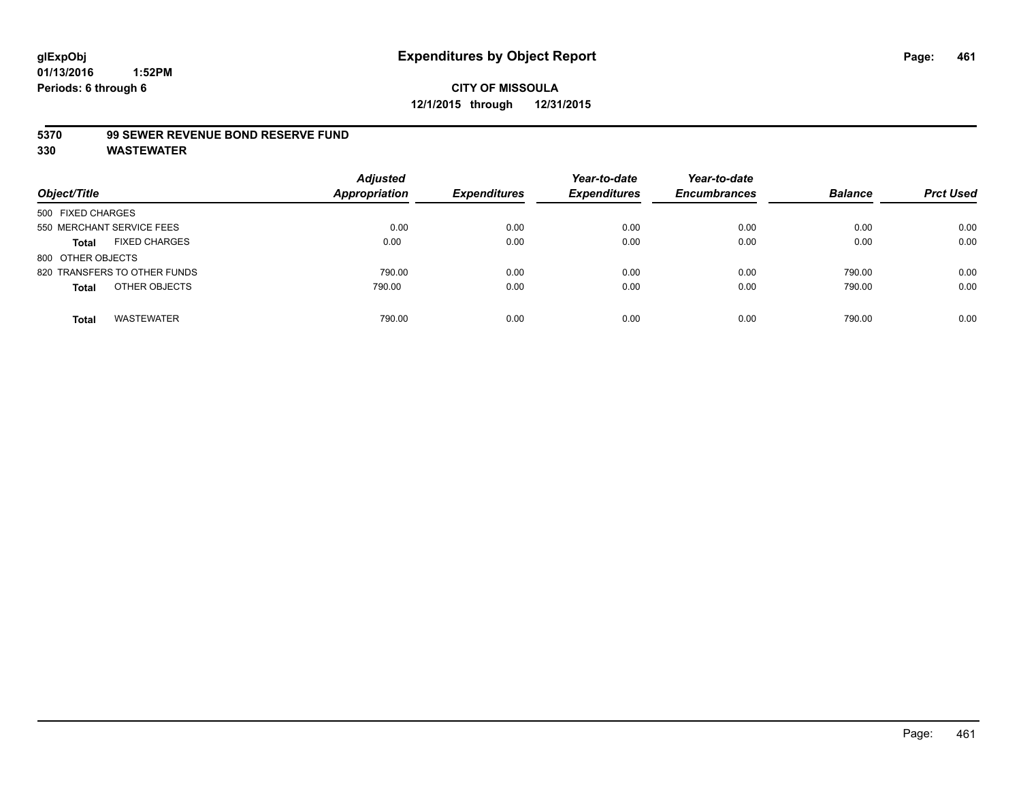#### **5370 99 SEWER REVENUE BOND RESERVE FUND**

| Object/Title                         | <b>Adjusted</b><br><b>Appropriation</b> | <b>Expenditures</b> | Year-to-date<br><b>Expenditures</b> | Year-to-date<br><b>Encumbrances</b> | <b>Balance</b> | <b>Prct Used</b> |
|--------------------------------------|-----------------------------------------|---------------------|-------------------------------------|-------------------------------------|----------------|------------------|
| 500 FIXED CHARGES                    |                                         |                     |                                     |                                     |                |                  |
| 550 MERCHANT SERVICE FEES            | 0.00                                    | 0.00                | 0.00                                | 0.00                                | 0.00           | 0.00             |
| <b>FIXED CHARGES</b><br><b>Total</b> | 0.00                                    | 0.00                | 0.00                                | 0.00                                | 0.00           | 0.00             |
| 800 OTHER OBJECTS                    |                                         |                     |                                     |                                     |                |                  |
| 820 TRANSFERS TO OTHER FUNDS         | 790.00                                  | 0.00                | 0.00                                | 0.00                                | 790.00         | 0.00             |
| OTHER OBJECTS<br><b>Total</b>        | 790.00                                  | 0.00                | 0.00                                | 0.00                                | 790.00         | 0.00             |
| <b>WASTEWATER</b><br>Total           | 790.00                                  | 0.00                | 0.00                                | 0.00                                | 790.00         | 0.00             |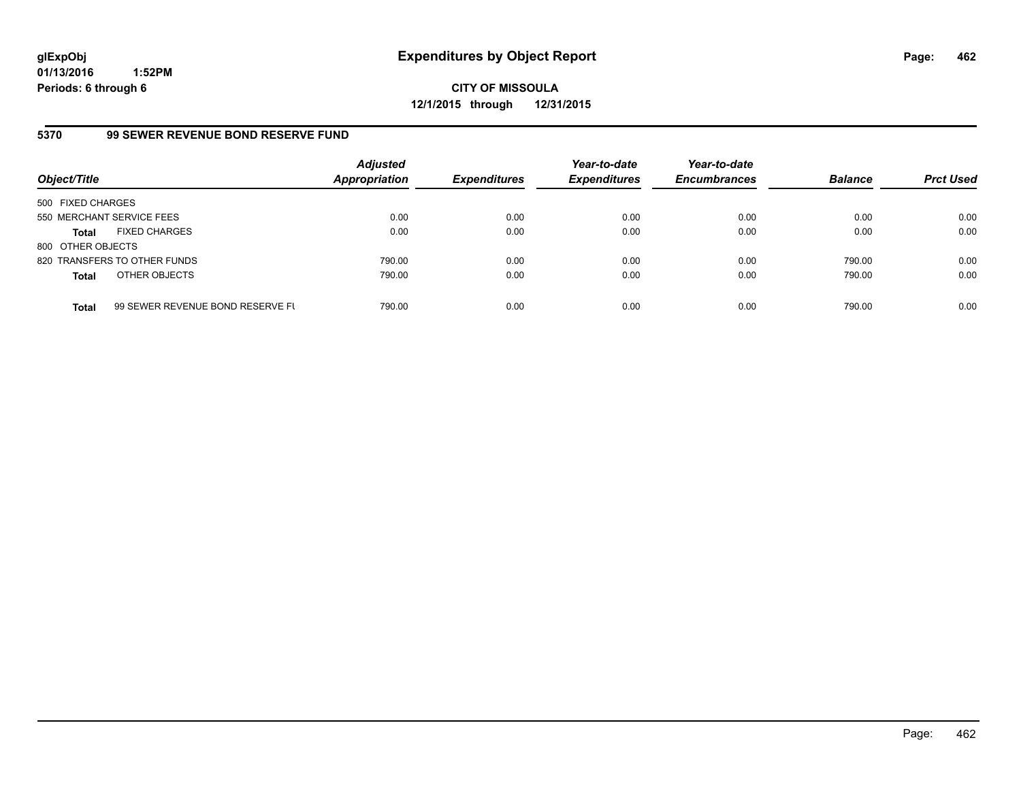**CITY OF MISSOULA 12/1/2015 through 12/31/2015**

#### **5370 99 SEWER REVENUE BOND RESERVE FUND**

| Object/Title              |                                  | <b>Adjusted</b><br><b>Appropriation</b> | <b>Expenditures</b> | Year-to-date<br><b>Expenditures</b> | Year-to-date<br><b>Encumbrances</b> | <b>Balance</b> | <b>Prct Used</b> |
|---------------------------|----------------------------------|-----------------------------------------|---------------------|-------------------------------------|-------------------------------------|----------------|------------------|
| 500 FIXED CHARGES         |                                  |                                         |                     |                                     |                                     |                |                  |
| 550 MERCHANT SERVICE FEES |                                  | 0.00                                    | 0.00                | 0.00                                | 0.00                                | 0.00           | 0.00             |
| <b>Total</b>              | <b>FIXED CHARGES</b>             | 0.00                                    | 0.00                | 0.00                                | 0.00                                | 0.00           | 0.00             |
| 800 OTHER OBJECTS         |                                  |                                         |                     |                                     |                                     |                |                  |
|                           | 820 TRANSFERS TO OTHER FUNDS     | 790.00                                  | 0.00                | 0.00                                | 0.00                                | 790.00         | 0.00             |
| <b>Total</b>              | OTHER OBJECTS                    | 790.00                                  | 0.00                | 0.00                                | 0.00                                | 790.00         | 0.00             |
| <b>Total</b>              | 99 SEWER REVENUE BOND RESERVE FL | 790.00                                  | 0.00                | 0.00                                | 0.00                                | 790.00         | 0.00             |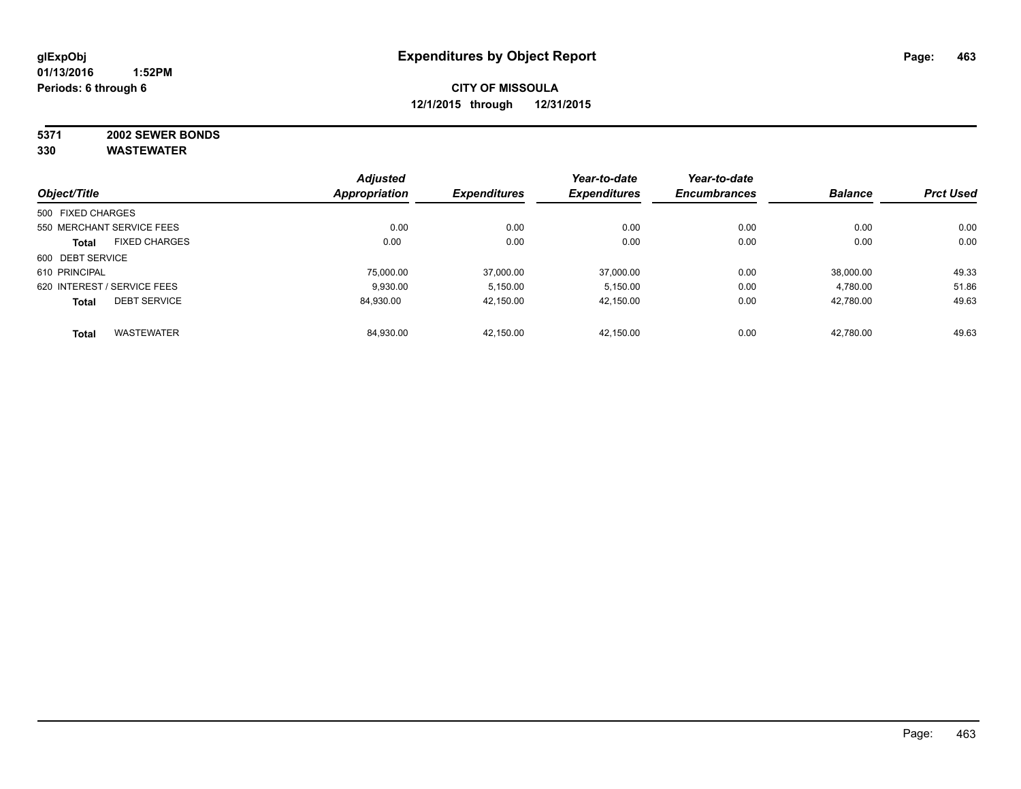# **5371 2002 SEWER BONDS**

| Object/Title      |                             | <b>Adjusted</b><br>Appropriation | <b>Expenditures</b> | Year-to-date<br><b>Expenditures</b> | Year-to-date        | <b>Balance</b> | <b>Prct Used</b> |
|-------------------|-----------------------------|----------------------------------|---------------------|-------------------------------------|---------------------|----------------|------------------|
|                   |                             |                                  |                     |                                     | <b>Encumbrances</b> |                |                  |
| 500 FIXED CHARGES |                             |                                  |                     |                                     |                     |                |                  |
|                   | 550 MERCHANT SERVICE FEES   | 0.00                             | 0.00                | 0.00                                | 0.00                | 0.00           | 0.00             |
| <b>Total</b>      | <b>FIXED CHARGES</b>        | 0.00                             | 0.00                | 0.00                                | 0.00                | 0.00           | 0.00             |
| 600 DEBT SERVICE  |                             |                                  |                     |                                     |                     |                |                  |
| 610 PRINCIPAL     |                             | 75,000.00                        | 37.000.00           | 37.000.00                           | 0.00                | 38.000.00      | 49.33            |
|                   | 620 INTEREST / SERVICE FEES | 9.930.00                         | 5.150.00            | 5,150.00                            | 0.00                | 4,780.00       | 51.86            |
| <b>Total</b>      | <b>DEBT SERVICE</b>         | 84.930.00                        | 42.150.00           | 42,150.00                           | 0.00                | 42.780.00      | 49.63            |
| <b>Total</b>      | <b>WASTEWATER</b>           | 84.930.00                        | 42.150.00           | 42.150.00                           | 0.00                | 42.780.00      | 49.63            |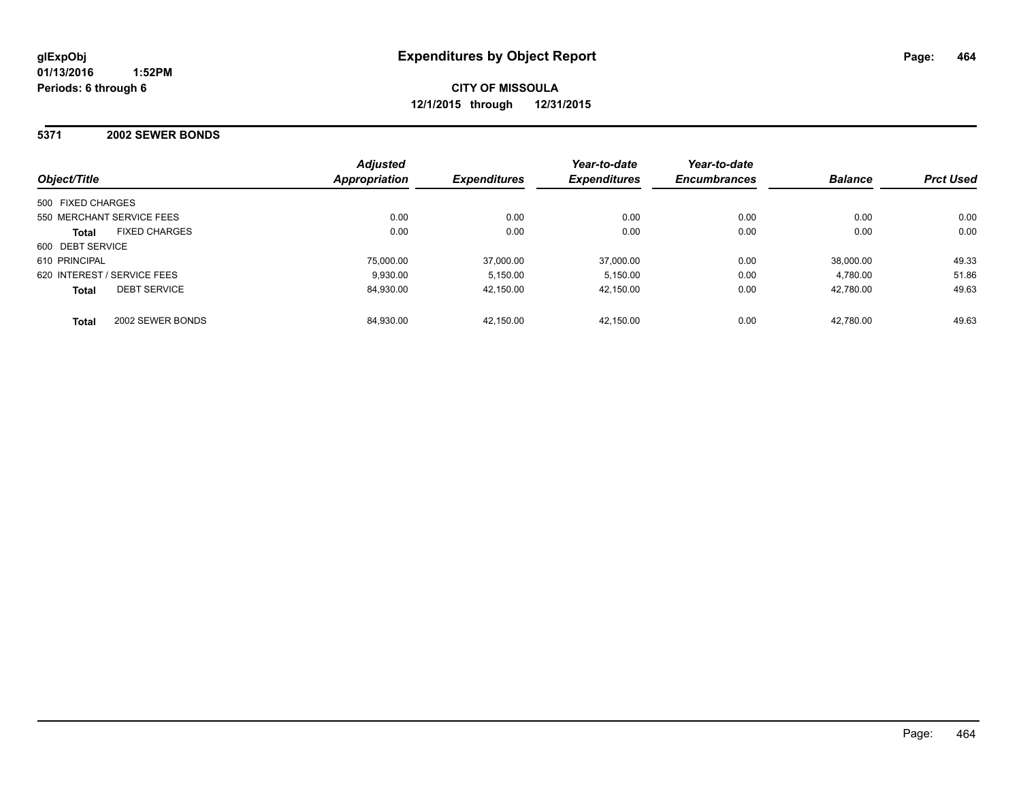#### **5371 2002 SEWER BONDS**

| Object/Title                         | <b>Adjusted</b><br>Appropriation | <b>Expenditures</b> | Year-to-date<br><b>Expenditures</b> | Year-to-date<br><b>Encumbrances</b> | <b>Balance</b> | <b>Prct Used</b> |
|--------------------------------------|----------------------------------|---------------------|-------------------------------------|-------------------------------------|----------------|------------------|
| 500 FIXED CHARGES                    |                                  |                     |                                     |                                     |                |                  |
| 550 MERCHANT SERVICE FEES            | 0.00                             | 0.00                | 0.00                                | 0.00                                | 0.00           | 0.00             |
| <b>FIXED CHARGES</b><br><b>Total</b> | 0.00                             | 0.00                | 0.00                                | 0.00                                | 0.00           | 0.00             |
| 600 DEBT SERVICE                     |                                  |                     |                                     |                                     |                |                  |
| 610 PRINCIPAL                        | 75,000.00                        | 37.000.00           | 37,000.00                           | 0.00                                | 38.000.00      | 49.33            |
| 620 INTEREST / SERVICE FEES          | 9.930.00                         | 5.150.00            | 5.150.00                            | 0.00                                | 4.780.00       | 51.86            |
| <b>DEBT SERVICE</b><br><b>Total</b>  | 84.930.00                        | 42.150.00           | 42.150.00                           | 0.00                                | 42.780.00      | 49.63            |
| 2002 SEWER BONDS<br><b>Total</b>     | 84.930.00                        | 42.150.00           | 42.150.00                           | 0.00                                | 42.780.00      | 49.63            |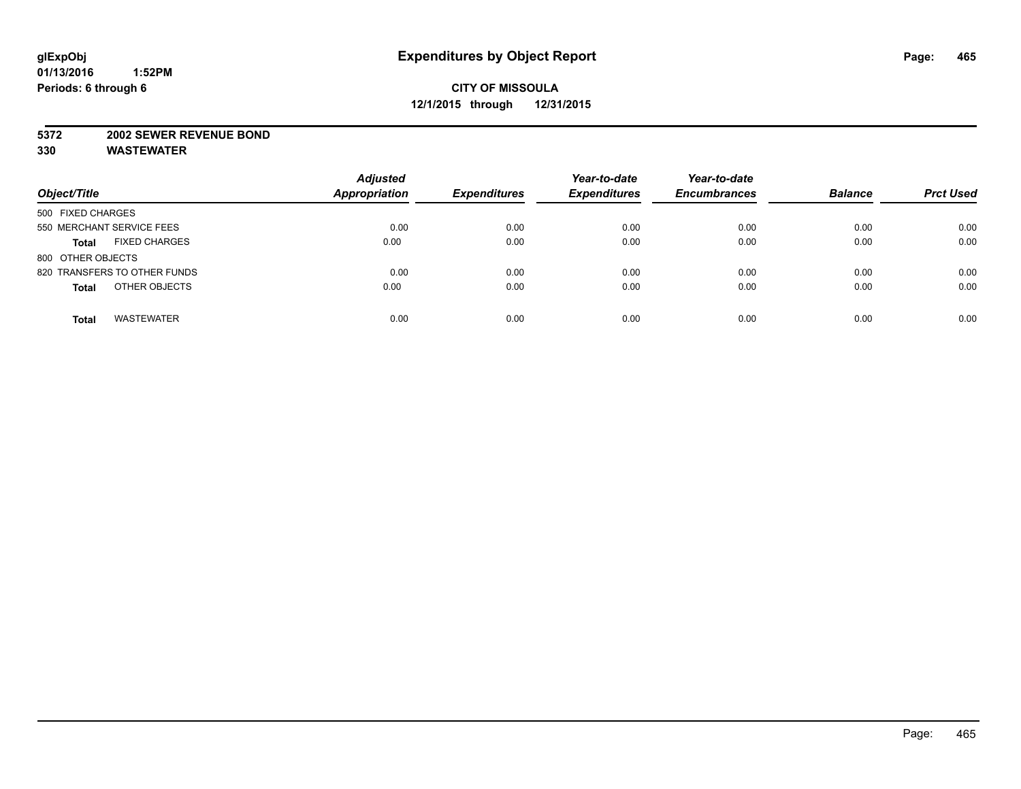#### **5372 2002 SEWER REVENUE BOND**

| Object/Title                         | <b>Adjusted</b><br><b>Appropriation</b> | <b>Expenditures</b> | Year-to-date<br><b>Expenditures</b> | Year-to-date<br><b>Encumbrances</b> | <b>Balance</b> | <b>Prct Used</b> |
|--------------------------------------|-----------------------------------------|---------------------|-------------------------------------|-------------------------------------|----------------|------------------|
| 500 FIXED CHARGES                    |                                         |                     |                                     |                                     |                |                  |
| 550 MERCHANT SERVICE FEES            | 0.00                                    | 0.00                | 0.00                                | 0.00                                | 0.00           | 0.00             |
| <b>FIXED CHARGES</b><br><b>Total</b> | 0.00                                    | 0.00                | 0.00                                | 0.00                                | 0.00           | 0.00             |
| 800 OTHER OBJECTS                    |                                         |                     |                                     |                                     |                |                  |
| 820 TRANSFERS TO OTHER FUNDS         | 0.00                                    | 0.00                | 0.00                                | 0.00                                | 0.00           | 0.00             |
| OTHER OBJECTS<br><b>Total</b>        | 0.00                                    | 0.00                | 0.00                                | 0.00                                | 0.00           | 0.00             |
| <b>WASTEWATER</b><br><b>Total</b>    | 0.00                                    | 0.00                | 0.00                                | 0.00                                | 0.00           | 0.00             |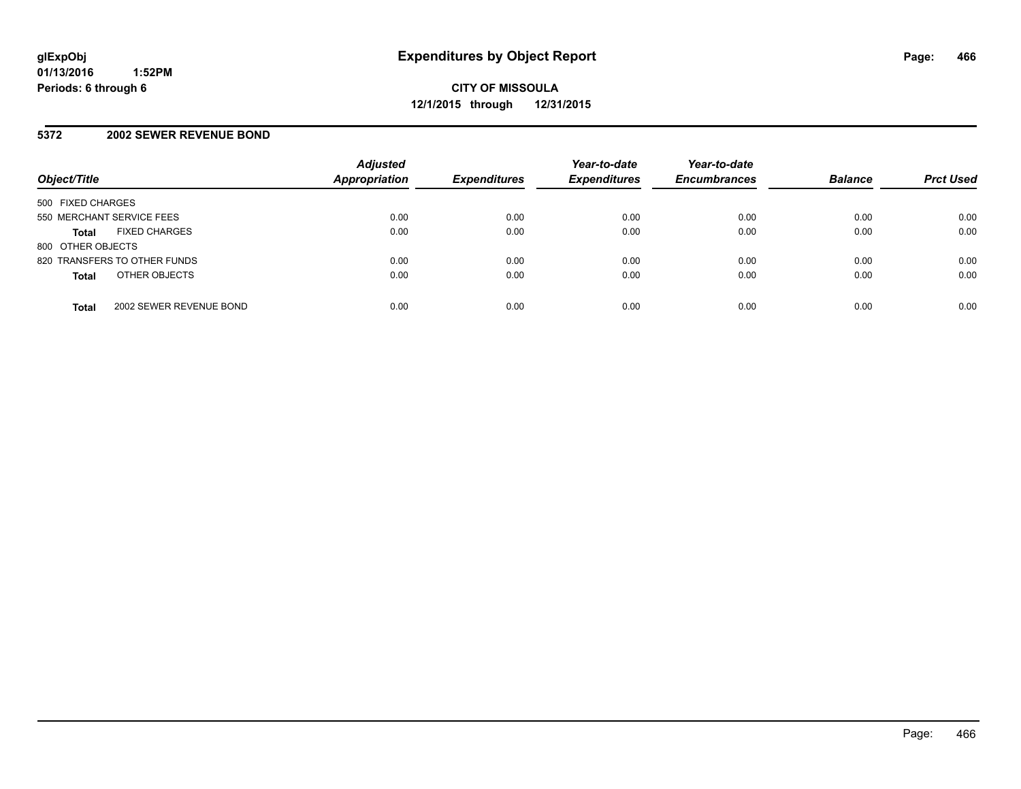#### **5372 2002 SEWER REVENUE BOND**

| Object/Title                            | <b>Adjusted</b><br>Appropriation | <b>Expenditures</b> | Year-to-date<br><b>Expenditures</b> | Year-to-date<br><b>Encumbrances</b> | <b>Balance</b> | <b>Prct Used</b> |
|-----------------------------------------|----------------------------------|---------------------|-------------------------------------|-------------------------------------|----------------|------------------|
| 500 FIXED CHARGES                       |                                  |                     |                                     |                                     |                |                  |
| 550 MERCHANT SERVICE FEES               | 0.00                             | 0.00                | 0.00                                | 0.00                                | 0.00           | 0.00             |
| <b>FIXED CHARGES</b><br><b>Total</b>    | 0.00                             | 0.00                | 0.00                                | 0.00                                | 0.00           | 0.00             |
| 800 OTHER OBJECTS                       |                                  |                     |                                     |                                     |                |                  |
| 820 TRANSFERS TO OTHER FUNDS            | 0.00                             | 0.00                | 0.00                                | 0.00                                | 0.00           | 0.00             |
| OTHER OBJECTS<br><b>Total</b>           | 0.00                             | 0.00                | 0.00                                | 0.00                                | 0.00           | 0.00             |
| 2002 SEWER REVENUE BOND<br><b>Total</b> | 0.00                             | 0.00                | 0.00                                | 0.00                                | 0.00           | 0.00             |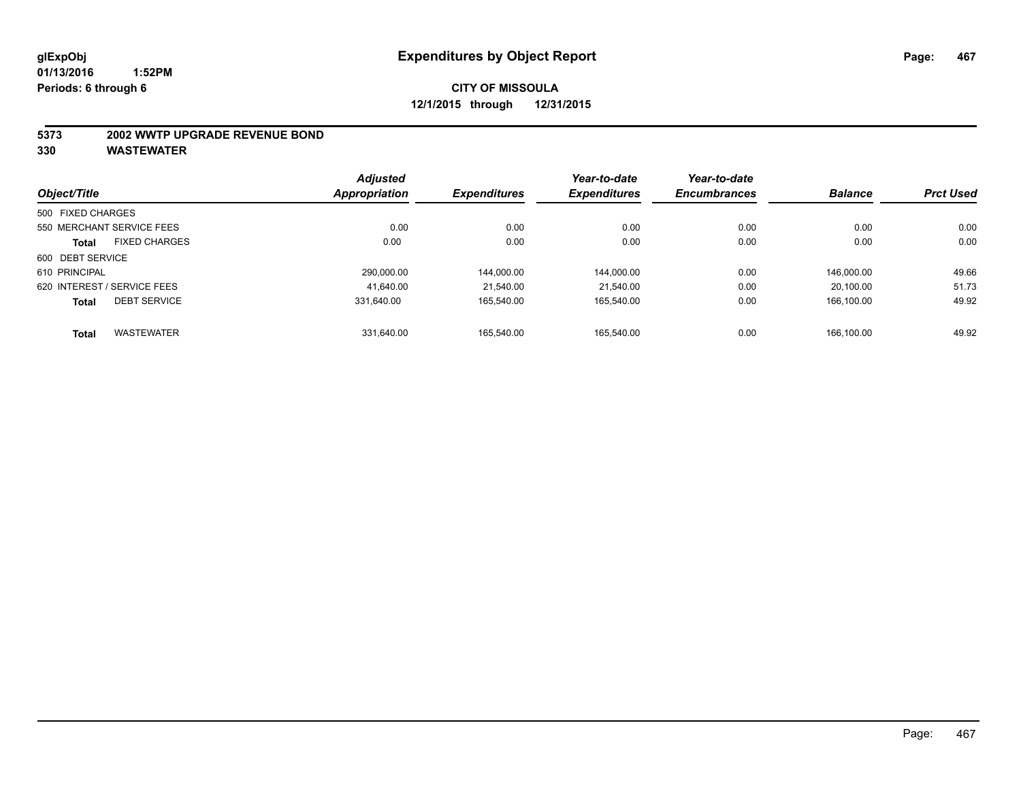#### **5373 2002 WWTP UPGRADE REVENUE BOND**

| Object/Title      |                             | <b>Adjusted</b><br><b>Appropriation</b> | <b>Expenditures</b> | Year-to-date<br><b>Expenditures</b> | Year-to-date        | <b>Balance</b> | <b>Prct Used</b> |
|-------------------|-----------------------------|-----------------------------------------|---------------------|-------------------------------------|---------------------|----------------|------------------|
|                   |                             |                                         |                     |                                     | <b>Encumbrances</b> |                |                  |
| 500 FIXED CHARGES |                             |                                         |                     |                                     |                     |                |                  |
|                   | 550 MERCHANT SERVICE FEES   | 0.00                                    | 0.00                | 0.00                                | 0.00                | 0.00           | 0.00             |
| <b>Total</b>      | <b>FIXED CHARGES</b>        | 0.00                                    | 0.00                | 0.00                                | 0.00                | 0.00           | 0.00             |
| 600 DEBT SERVICE  |                             |                                         |                     |                                     |                     |                |                  |
| 610 PRINCIPAL     |                             | 290.000.00                              | 144.000.00          | 144.000.00                          | 0.00                | 146.000.00     | 49.66            |
|                   | 620 INTEREST / SERVICE FEES | 41.640.00                               | 21.540.00           | 21.540.00                           | 0.00                | 20.100.00      | 51.73            |
| <b>Total</b>      | <b>DEBT SERVICE</b>         | 331.640.00                              | 165.540.00          | 165.540.00                          | 0.00                | 166.100.00     | 49.92            |
| <b>Total</b>      | <b>WASTEWATER</b>           | 331.640.00                              | 165.540.00          | 165.540.00                          | 0.00                | 166.100.00     | 49.92            |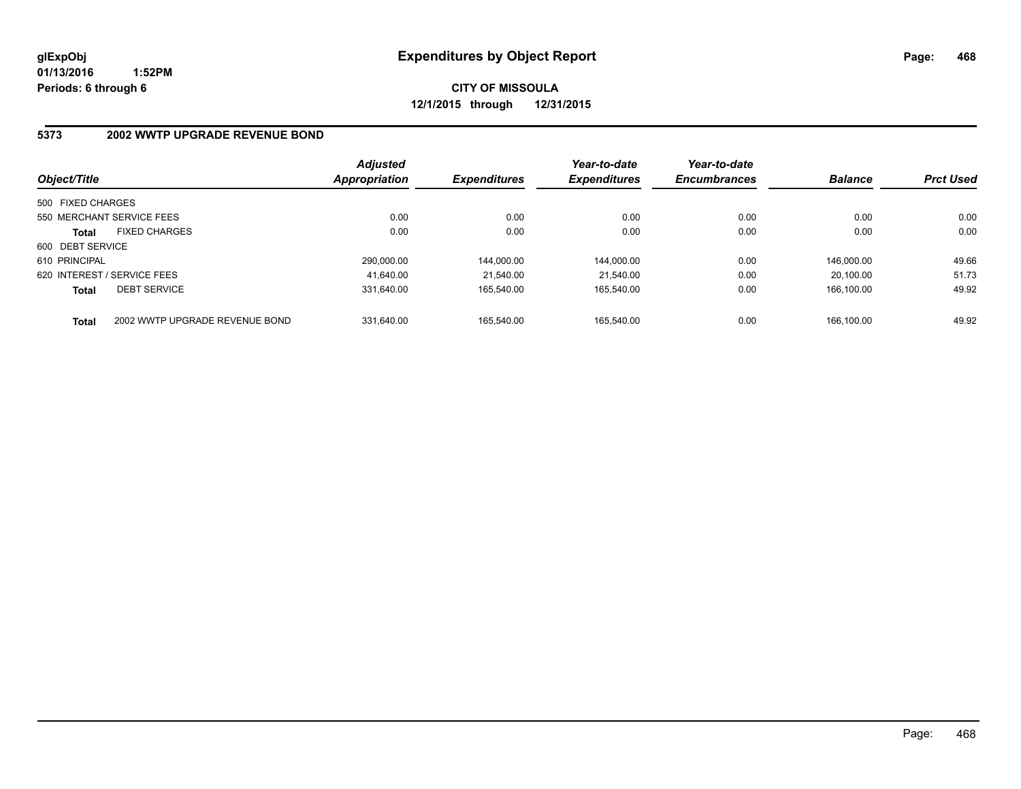**CITY OF MISSOULA 12/1/2015 through 12/31/2015**

#### **5373 2002 WWTP UPGRADE REVENUE BOND**

| Object/Title      |                                | <b>Adjusted</b><br>Appropriation | <b>Expenditures</b> | Year-to-date<br><b>Expenditures</b> | Year-to-date<br><b>Encumbrances</b> | <b>Balance</b> | <b>Prct Used</b> |
|-------------------|--------------------------------|----------------------------------|---------------------|-------------------------------------|-------------------------------------|----------------|------------------|
| 500 FIXED CHARGES |                                |                                  |                     |                                     |                                     |                |                  |
|                   | 550 MERCHANT SERVICE FEES      | 0.00                             | 0.00                | 0.00                                | 0.00                                | 0.00           | 0.00             |
| <b>Total</b>      | <b>FIXED CHARGES</b>           | 0.00                             | 0.00                | 0.00                                | 0.00                                | 0.00           | 0.00             |
| 600 DEBT SERVICE  |                                |                                  |                     |                                     |                                     |                |                  |
| 610 PRINCIPAL     |                                | 290.000.00                       | 144.000.00          | 144.000.00                          | 0.00                                | 146.000.00     | 49.66            |
|                   | 620 INTEREST / SERVICE FEES    | 41.640.00                        | 21.540.00           | 21.540.00                           | 0.00                                | 20.100.00      | 51.73            |
| <b>Total</b>      | <b>DEBT SERVICE</b>            | 331.640.00                       | 165.540.00          | 165.540.00                          | 0.00                                | 166.100.00     | 49.92            |
| <b>Total</b>      | 2002 WWTP UPGRADE REVENUE BOND | 331.640.00                       | 165.540.00          | 165.540.00                          | 0.00                                | 166.100.00     | 49.92            |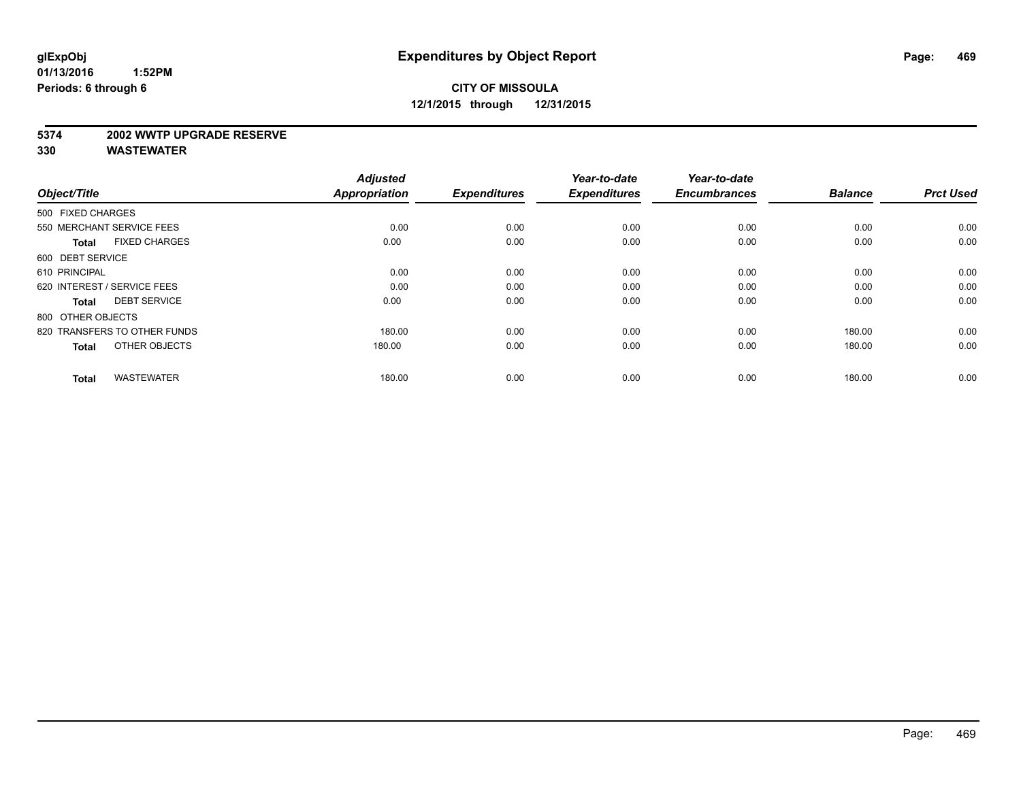#### **5374 2002 WWTP UPGRADE RESERVE**

| Object/Title                         | <b>Adjusted</b><br><b>Appropriation</b> | <b>Expenditures</b> | Year-to-date<br><b>Expenditures</b> | Year-to-date<br><b>Encumbrances</b> | <b>Balance</b> | <b>Prct Used</b> |
|--------------------------------------|-----------------------------------------|---------------------|-------------------------------------|-------------------------------------|----------------|------------------|
| 500 FIXED CHARGES                    |                                         |                     |                                     |                                     |                |                  |
| 550 MERCHANT SERVICE FEES            | 0.00                                    | 0.00                | 0.00                                | 0.00                                | 0.00           | 0.00             |
| <b>FIXED CHARGES</b><br><b>Total</b> | 0.00                                    | 0.00                | 0.00                                | 0.00                                | 0.00           | 0.00             |
| 600 DEBT SERVICE                     |                                         |                     |                                     |                                     |                |                  |
| 610 PRINCIPAL                        | 0.00                                    | 0.00                | 0.00                                | 0.00                                | 0.00           | 0.00             |
| 620 INTEREST / SERVICE FEES          | 0.00                                    | 0.00                | 0.00                                | 0.00                                | 0.00           | 0.00             |
| <b>DEBT SERVICE</b><br><b>Total</b>  | 0.00                                    | 0.00                | 0.00                                | 0.00                                | 0.00           | 0.00             |
| 800 OTHER OBJECTS                    |                                         |                     |                                     |                                     |                |                  |
| 820 TRANSFERS TO OTHER FUNDS         | 180.00                                  | 0.00                | 0.00                                | 0.00                                | 180.00         | 0.00             |
| OTHER OBJECTS<br><b>Total</b>        | 180.00                                  | 0.00                | 0.00                                | 0.00                                | 180.00         | 0.00             |
|                                      |                                         |                     |                                     |                                     |                |                  |
| <b>WASTEWATER</b><br><b>Total</b>    | 180.00                                  | 0.00                | 0.00                                | 0.00                                | 180.00         | 0.00             |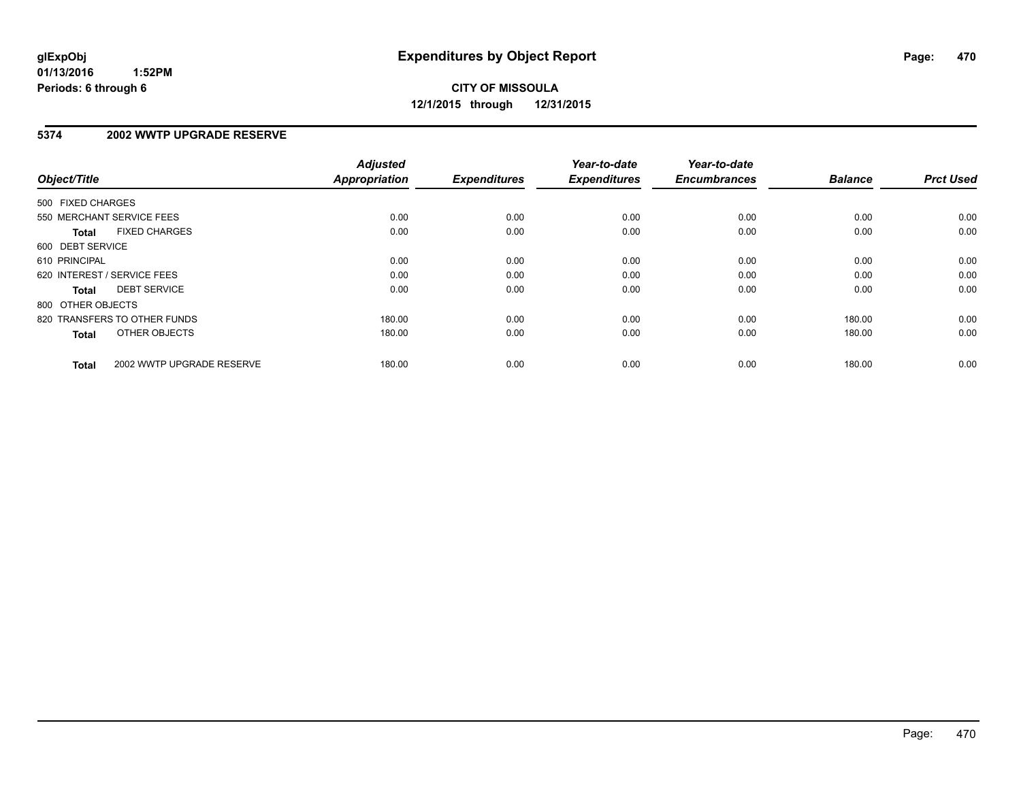### **5374 2002 WWTP UPGRADE RESERVE**

| Object/Title      |                              | <b>Adjusted</b><br><b>Appropriation</b> | <b>Expenditures</b> | Year-to-date<br><b>Expenditures</b> | Year-to-date<br><b>Encumbrances</b> | <b>Balance</b> | <b>Prct Used</b> |
|-------------------|------------------------------|-----------------------------------------|---------------------|-------------------------------------|-------------------------------------|----------------|------------------|
| 500 FIXED CHARGES |                              |                                         |                     |                                     |                                     |                |                  |
|                   | 550 MERCHANT SERVICE FEES    | 0.00                                    | 0.00                | 0.00                                | 0.00                                | 0.00           | 0.00             |
| <b>Total</b>      | <b>FIXED CHARGES</b>         | 0.00                                    | 0.00                | 0.00                                | 0.00                                | 0.00           | 0.00             |
| 600 DEBT SERVICE  |                              |                                         |                     |                                     |                                     |                |                  |
| 610 PRINCIPAL     |                              | 0.00                                    | 0.00                | 0.00                                | 0.00                                | 0.00           | 0.00             |
|                   | 620 INTEREST / SERVICE FEES  | 0.00                                    | 0.00                | 0.00                                | 0.00                                | 0.00           | 0.00             |
| Total             | <b>DEBT SERVICE</b>          | 0.00                                    | 0.00                | 0.00                                | 0.00                                | 0.00           | 0.00             |
| 800 OTHER OBJECTS |                              |                                         |                     |                                     |                                     |                |                  |
|                   | 820 TRANSFERS TO OTHER FUNDS | 180.00                                  | 0.00                | 0.00                                | 0.00                                | 180.00         | 0.00             |
| <b>Total</b>      | OTHER OBJECTS                | 180.00                                  | 0.00                | 0.00                                | 0.00                                | 180.00         | 0.00             |
| <b>Total</b>      | 2002 WWTP UPGRADE RESERVE    | 180.00                                  | 0.00                | 0.00                                | 0.00                                | 180.00         | 0.00             |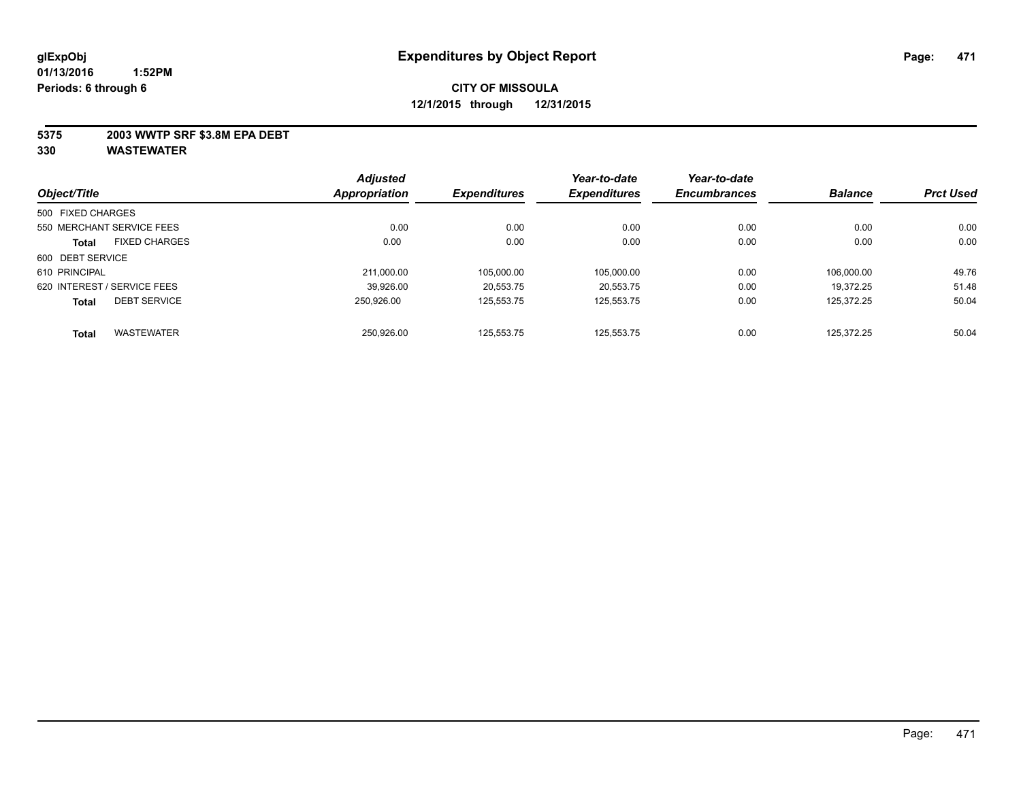### **5375 2003 WWTP SRF \$3.8M EPA DEBT**

| Object/Title      |                             | <b>Adjusted</b> |                     | Year-to-date        | Year-to-date<br><b>Encumbrances</b> | <b>Balance</b> | <b>Prct Used</b> |
|-------------------|-----------------------------|-----------------|---------------------|---------------------|-------------------------------------|----------------|------------------|
|                   |                             | Appropriation   | <b>Expenditures</b> | <b>Expenditures</b> |                                     |                |                  |
| 500 FIXED CHARGES |                             |                 |                     |                     |                                     |                |                  |
|                   | 550 MERCHANT SERVICE FEES   | 0.00            | 0.00                | 0.00                | 0.00                                | 0.00           | 0.00             |
| <b>Total</b>      | <b>FIXED CHARGES</b>        | 0.00            | 0.00                | 0.00                | 0.00                                | 0.00           | 0.00             |
| 600 DEBT SERVICE  |                             |                 |                     |                     |                                     |                |                  |
| 610 PRINCIPAL     |                             | 211.000.00      | 105.000.00          | 105,000.00          | 0.00                                | 106.000.00     | 49.76            |
|                   | 620 INTEREST / SERVICE FEES | 39.926.00       | 20.553.75           | 20.553.75           | 0.00                                | 19.372.25      | 51.48            |
| <b>Total</b>      | <b>DEBT SERVICE</b>         | 250.926.00      | 125.553.75          | 125.553.75          | 0.00                                | 125.372.25     | 50.04            |
| <b>Total</b>      | <b>WASTEWATER</b>           | 250.926.00      | 125.553.75          | 125.553.75          | 0.00                                | 125.372.25     | 50.04            |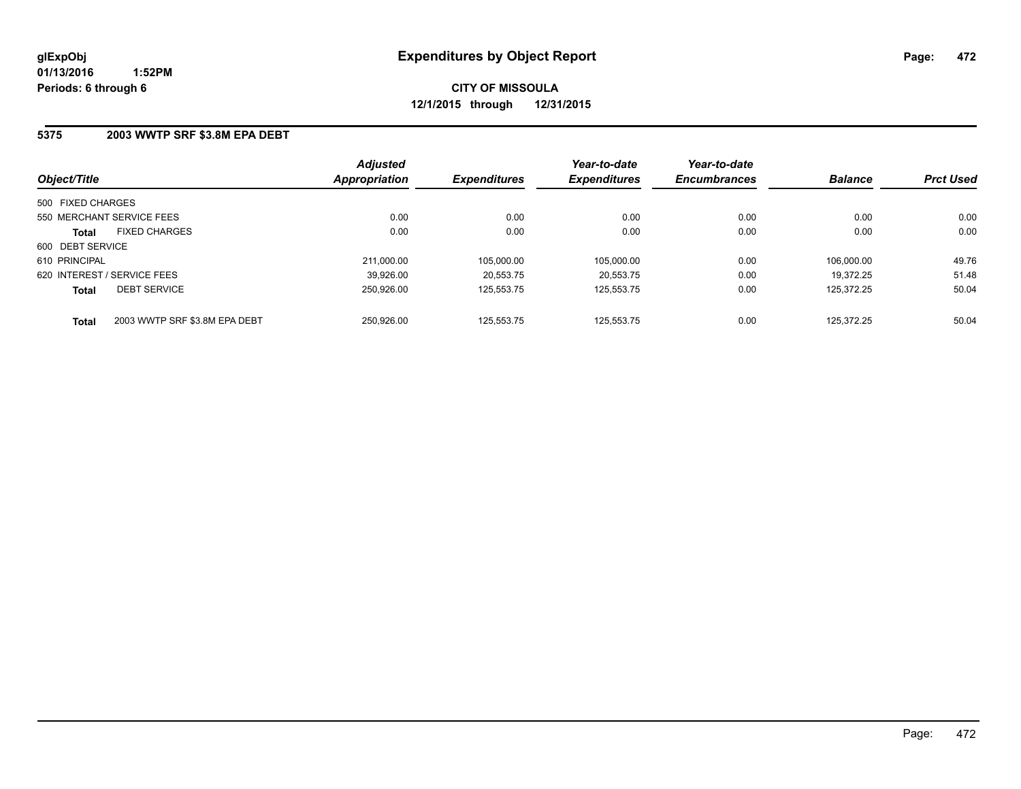### **5375 2003 WWTP SRF \$3.8M EPA DEBT**

| Object/Title                |                               | <b>Adjusted</b><br><b>Appropriation</b> | <b>Expenditures</b> | Year-to-date<br><b>Expenditures</b> | Year-to-date<br><b>Encumbrances</b> | <b>Balance</b> | <b>Prct Used</b> |
|-----------------------------|-------------------------------|-----------------------------------------|---------------------|-------------------------------------|-------------------------------------|----------------|------------------|
| 500 FIXED CHARGES           |                               |                                         |                     |                                     |                                     |                |                  |
| 550 MERCHANT SERVICE FEES   |                               | 0.00                                    | 0.00                | 0.00                                | 0.00                                | 0.00           | 0.00             |
| <b>Total</b>                | <b>FIXED CHARGES</b>          | 0.00                                    | 0.00                | 0.00                                | 0.00                                | 0.00           | 0.00             |
| 600 DEBT SERVICE            |                               |                                         |                     |                                     |                                     |                |                  |
| 610 PRINCIPAL               |                               | 211.000.00                              | 105.000.00          | 105.000.00                          | 0.00                                | 106.000.00     | 49.76            |
| 620 INTEREST / SERVICE FEES |                               | 39,926.00                               | 20.553.75           | 20,553.75                           | 0.00                                | 19.372.25      | 51.48            |
| <b>Total</b>                | <b>DEBT SERVICE</b>           | 250.926.00                              | 125.553.75          | 125.553.75                          | 0.00                                | 125.372.25     | 50.04            |
| <b>Total</b>                | 2003 WWTP SRF \$3.8M EPA DEBT | 250.926.00                              | 125.553.75          | 125.553.75                          | 0.00                                | 125.372.25     | 50.04            |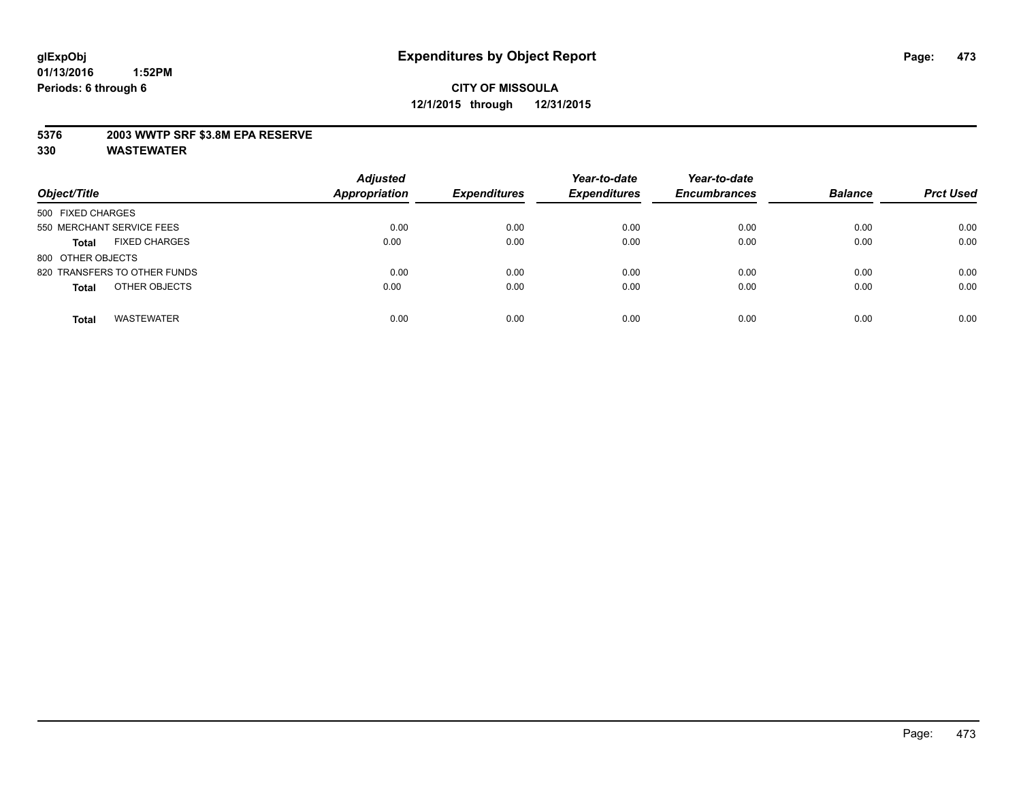### **5376 2003 WWTP SRF \$3.8M EPA RESERVE**

| Object/Title                         | <b>Adjusted</b><br><b>Appropriation</b> | <b>Expenditures</b> | Year-to-date<br><b>Expenditures</b> | Year-to-date<br><b>Encumbrances</b> | <b>Balance</b> | <b>Prct Used</b> |
|--------------------------------------|-----------------------------------------|---------------------|-------------------------------------|-------------------------------------|----------------|------------------|
| 500 FIXED CHARGES                    |                                         |                     |                                     |                                     |                |                  |
| 550 MERCHANT SERVICE FEES            | 0.00                                    | 0.00                | 0.00                                | 0.00                                | 0.00           | 0.00             |
| <b>FIXED CHARGES</b><br><b>Total</b> | 0.00                                    | 0.00                | 0.00                                | 0.00                                | 0.00           | 0.00             |
| 800 OTHER OBJECTS                    |                                         |                     |                                     |                                     |                |                  |
| 820 TRANSFERS TO OTHER FUNDS         | 0.00                                    | 0.00                | 0.00                                | 0.00                                | 0.00           | 0.00             |
| OTHER OBJECTS<br><b>Total</b>        | 0.00                                    | 0.00                | 0.00                                | 0.00                                | 0.00           | 0.00             |
| <b>WASTEWATER</b><br><b>Total</b>    | 0.00                                    | 0.00                | 0.00                                | 0.00                                | 0.00           | 0.00             |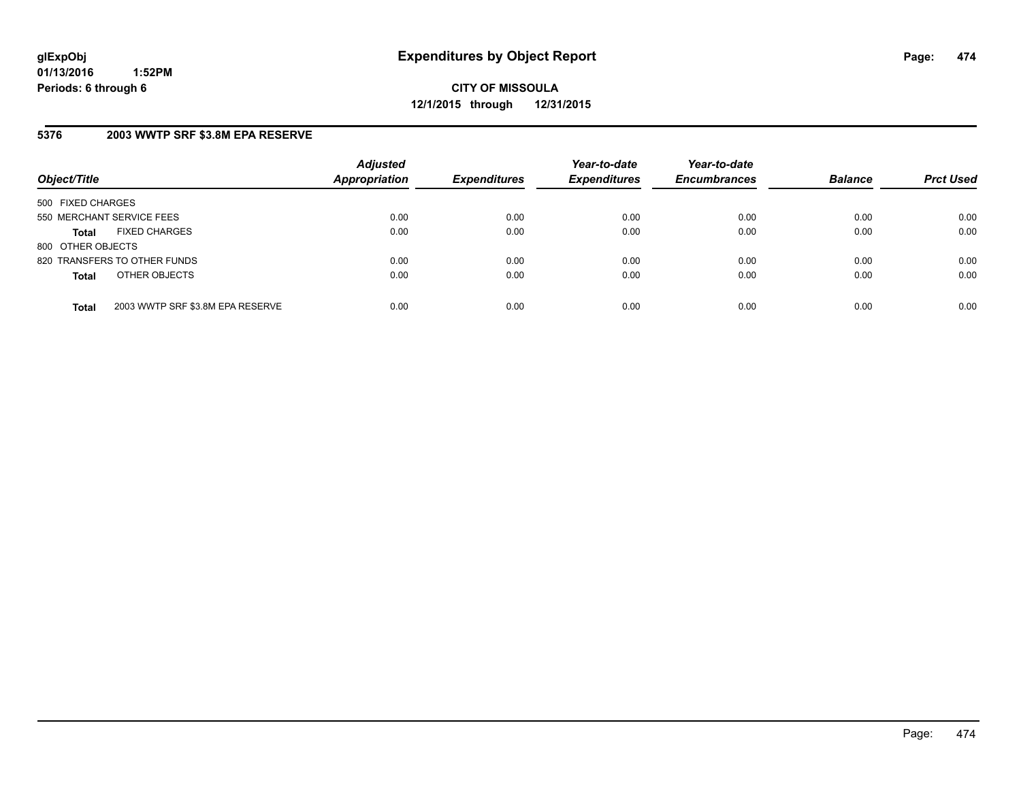**CITY OF MISSOULA 12/1/2015 through 12/31/2015**

### **5376 2003 WWTP SRF \$3.8M EPA RESERVE**

| Object/Title              |                                  | <b>Adjusted</b><br>Appropriation | <b>Expenditures</b> | Year-to-date<br><b>Expenditures</b> | Year-to-date<br><b>Encumbrances</b> | <b>Balance</b> | <b>Prct Used</b> |
|---------------------------|----------------------------------|----------------------------------|---------------------|-------------------------------------|-------------------------------------|----------------|------------------|
| 500 FIXED CHARGES         |                                  |                                  |                     |                                     |                                     |                |                  |
| 550 MERCHANT SERVICE FEES |                                  | 0.00                             | 0.00                | 0.00                                | 0.00                                | 0.00           | 0.00             |
| <b>Total</b>              | <b>FIXED CHARGES</b>             | 0.00                             | 0.00                | 0.00                                | 0.00                                | 0.00           | 0.00             |
| 800 OTHER OBJECTS         |                                  |                                  |                     |                                     |                                     |                |                  |
|                           | 820 TRANSFERS TO OTHER FUNDS     | 0.00                             | 0.00                | 0.00                                | 0.00                                | 0.00           | 0.00             |
| <b>Total</b>              | OTHER OBJECTS                    | 0.00                             | 0.00                | 0.00                                | 0.00                                | 0.00           | 0.00             |
| <b>Total</b>              | 2003 WWTP SRF \$3.8M EPA RESERVE | 0.00                             | 0.00                | 0.00                                | 0.00                                | 0.00           | 0.00             |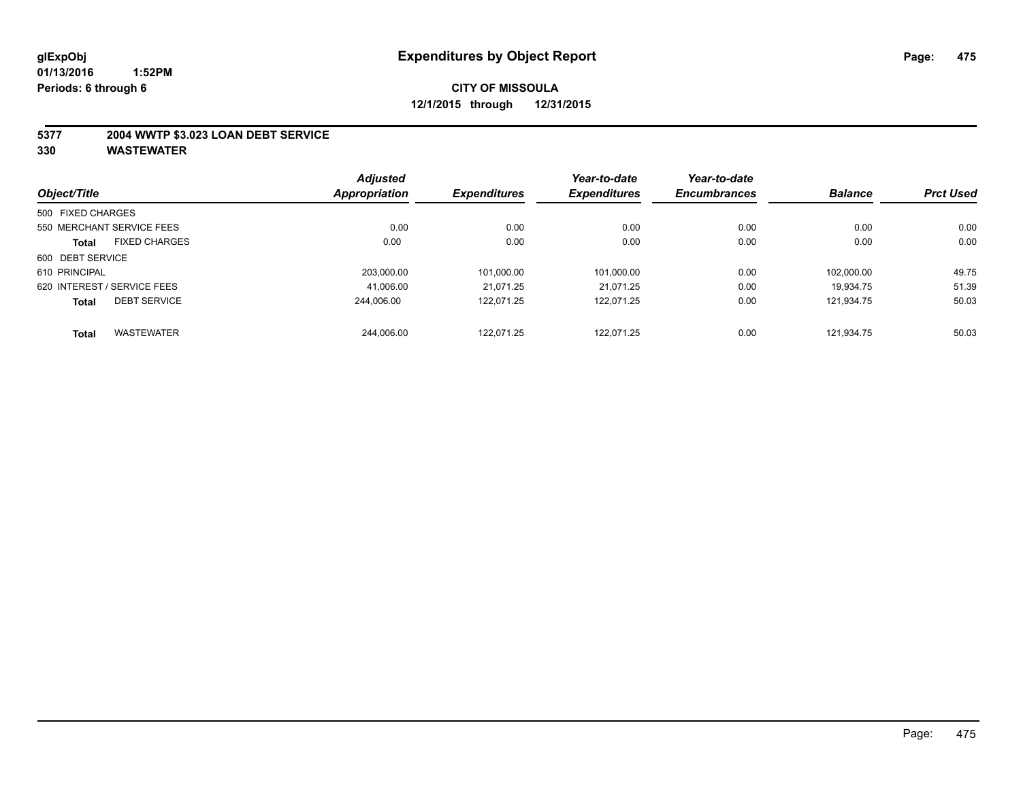### **5377 2004 WWTP \$3.023 LOAN DEBT SERVICE**

| Object/Title      |                             | <b>Adjusted</b> |                     | Year-to-date        | Year-to-date<br><b>Encumbrances</b> | <b>Balance</b> | <b>Prct Used</b> |
|-------------------|-----------------------------|-----------------|---------------------|---------------------|-------------------------------------|----------------|------------------|
|                   |                             | Appropriation   | <b>Expenditures</b> | <b>Expenditures</b> |                                     |                |                  |
| 500 FIXED CHARGES |                             |                 |                     |                     |                                     |                |                  |
|                   | 550 MERCHANT SERVICE FEES   | 0.00            | 0.00                | 0.00                | 0.00                                | 0.00           | 0.00             |
| <b>Total</b>      | <b>FIXED CHARGES</b>        | 0.00            | 0.00                | 0.00                | 0.00                                | 0.00           | 0.00             |
| 600 DEBT SERVICE  |                             |                 |                     |                     |                                     |                |                  |
| 610 PRINCIPAL     |                             | 203.000.00      | 101,000.00          | 101,000.00          | 0.00                                | 102.000.00     | 49.75            |
|                   | 620 INTEREST / SERVICE FEES | 41.006.00       | 21.071.25           | 21.071.25           | 0.00                                | 19.934.75      | 51.39            |
| <b>Total</b>      | <b>DEBT SERVICE</b>         | 244.006.00      | 122.071.25          | 122.071.25          | 0.00                                | 121.934.75     | 50.03            |
| <b>Total</b>      | <b>WASTEWATER</b>           | 244.006.00      | 122.071.25          | 122.071.25          | 0.00                                | 121.934.75     | 50.03            |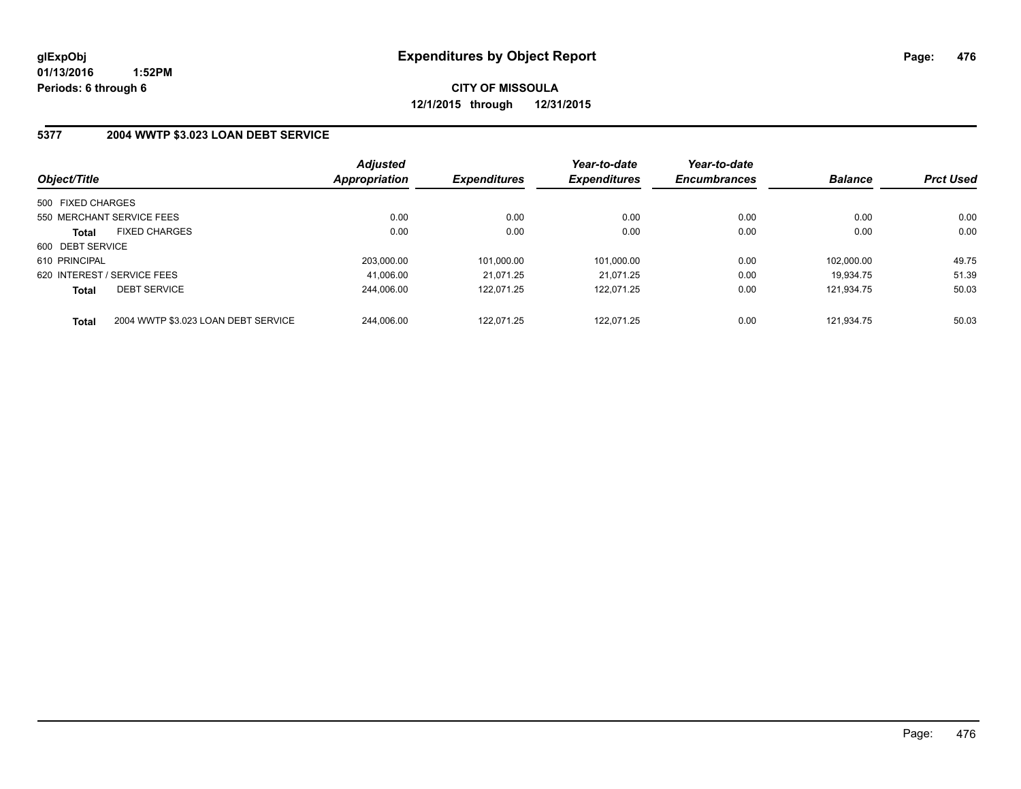**CITY OF MISSOULA 12/1/2015 through 12/31/2015**

### **5377 2004 WWTP \$3.023 LOAN DEBT SERVICE**

| Object/Title                |                                     | <b>Adjusted</b><br><b>Appropriation</b> | <b>Expenditures</b> | Year-to-date<br><b>Expenditures</b> | Year-to-date<br><b>Encumbrances</b> | <b>Balance</b> | <b>Prct Used</b> |
|-----------------------------|-------------------------------------|-----------------------------------------|---------------------|-------------------------------------|-------------------------------------|----------------|------------------|
|                             |                                     |                                         |                     |                                     |                                     |                |                  |
| 500 FIXED CHARGES           |                                     |                                         |                     |                                     |                                     |                |                  |
|                             | 550 MERCHANT SERVICE FEES           | 0.00                                    | 0.00                | 0.00                                | 0.00                                | 0.00           | 0.00             |
| <b>Total</b>                | <b>FIXED CHARGES</b>                | 0.00                                    | 0.00                | 0.00                                | 0.00                                | 0.00           | 0.00             |
| 600 DEBT SERVICE            |                                     |                                         |                     |                                     |                                     |                |                  |
| 610 PRINCIPAL               |                                     | 203,000.00                              | 101.000.00          | 101,000.00                          | 0.00                                | 102.000.00     | 49.75            |
| 620 INTEREST / SERVICE FEES |                                     | 41.006.00                               | 21.071.25           | 21.071.25                           | 0.00                                | 19.934.75      | 51.39            |
| Total                       | <b>DEBT SERVICE</b>                 | 244.006.00                              | 122.071.25          | 122.071.25                          | 0.00                                | 121.934.75     | 50.03            |
| <b>Total</b>                | 2004 WWTP \$3.023 LOAN DEBT SERVICE | 244.006.00                              | 122.071.25          | 122.071.25                          | 0.00                                | 121.934.75     | 50.03            |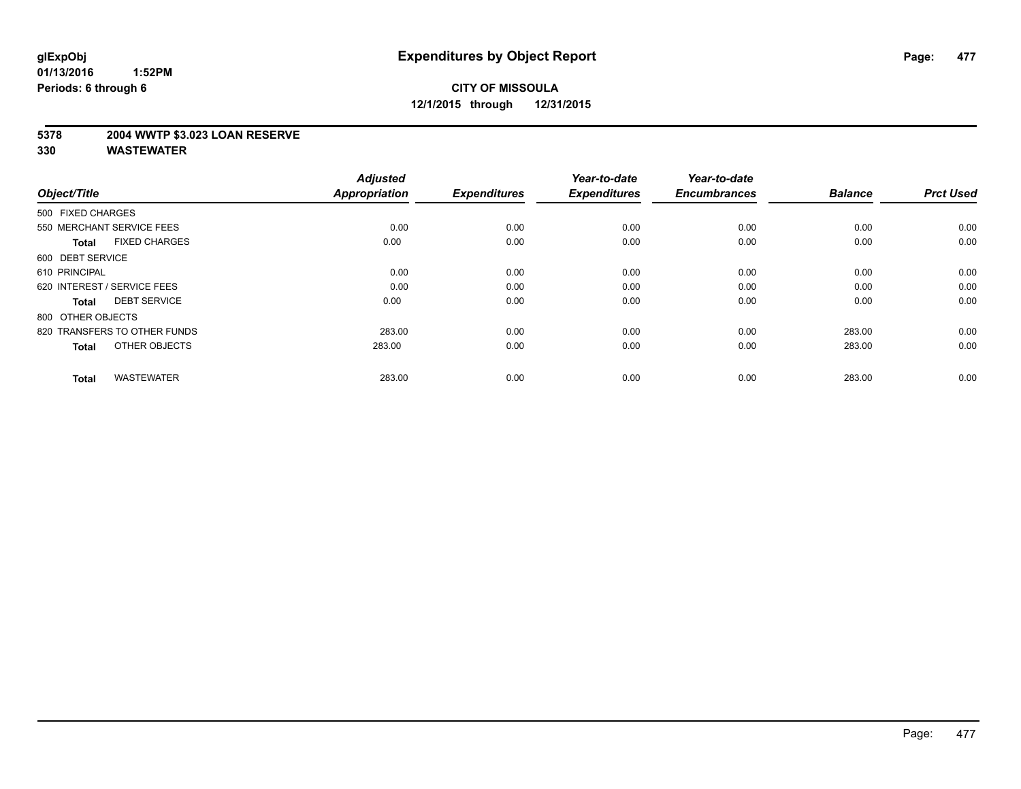### **5378 2004 WWTP \$3.023 LOAN RESERVE**

| Object/Title                         | <b>Adjusted</b><br><b>Appropriation</b> | <b>Expenditures</b> | Year-to-date<br><b>Expenditures</b> | Year-to-date<br><b>Encumbrances</b> | <b>Balance</b> | <b>Prct Used</b> |
|--------------------------------------|-----------------------------------------|---------------------|-------------------------------------|-------------------------------------|----------------|------------------|
| 500 FIXED CHARGES                    |                                         |                     |                                     |                                     |                |                  |
| 550 MERCHANT SERVICE FEES            | 0.00                                    | 0.00                | 0.00                                | 0.00                                | 0.00           | 0.00             |
| <b>FIXED CHARGES</b><br><b>Total</b> | 0.00                                    | 0.00                | 0.00                                | 0.00                                | 0.00           | 0.00             |
| 600 DEBT SERVICE                     |                                         |                     |                                     |                                     |                |                  |
| 610 PRINCIPAL                        | 0.00                                    | 0.00                | 0.00                                | 0.00                                | 0.00           | 0.00             |
| 620 INTEREST / SERVICE FEES          | 0.00                                    | 0.00                | 0.00                                | 0.00                                | 0.00           | 0.00             |
| <b>DEBT SERVICE</b><br><b>Total</b>  | 0.00                                    | 0.00                | 0.00                                | 0.00                                | 0.00           | 0.00             |
| 800 OTHER OBJECTS                    |                                         |                     |                                     |                                     |                |                  |
| 820 TRANSFERS TO OTHER FUNDS         | 283.00                                  | 0.00                | 0.00                                | 0.00                                | 283.00         | 0.00             |
| OTHER OBJECTS<br><b>Total</b>        | 283.00                                  | 0.00                | 0.00                                | 0.00                                | 283.00         | 0.00             |
|                                      |                                         |                     |                                     |                                     |                |                  |
| <b>WASTEWATER</b><br><b>Total</b>    | 283.00                                  | 0.00                | 0.00                                | 0.00                                | 283.00         | 0.00             |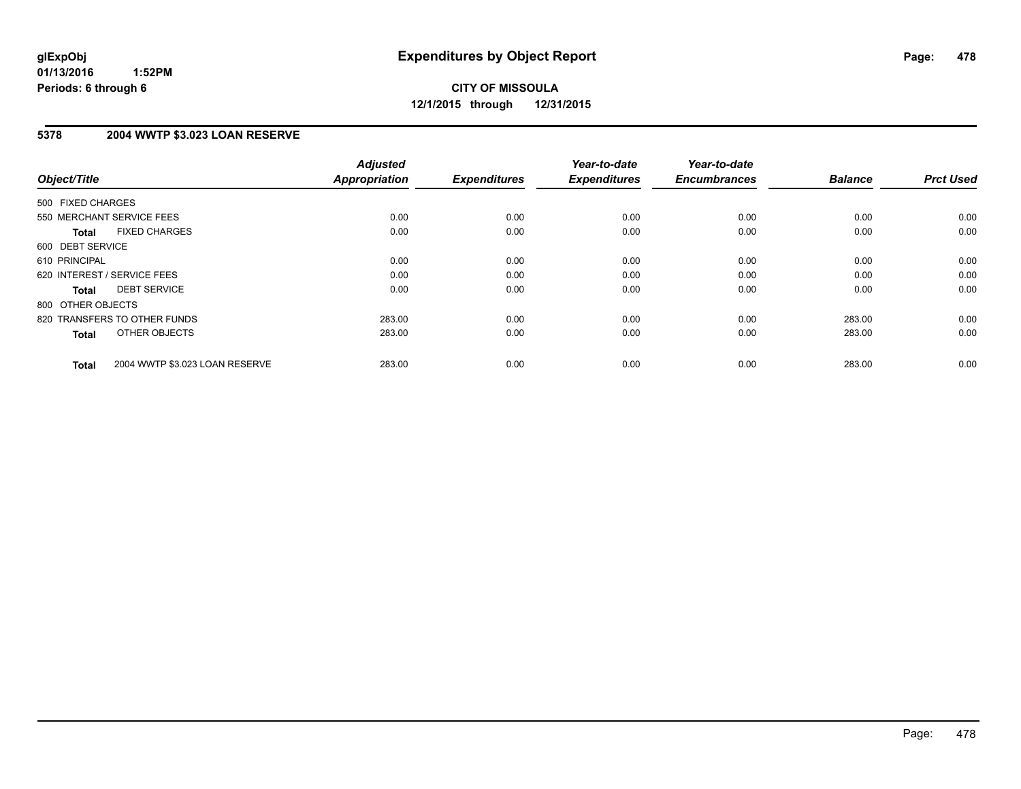### **5378 2004 WWTP \$3.023 LOAN RESERVE**

| Object/Title                                   | <b>Adjusted</b><br><b>Appropriation</b> | <b>Expenditures</b> | Year-to-date<br><b>Expenditures</b> | Year-to-date<br><b>Encumbrances</b> | <b>Balance</b> | <b>Prct Used</b> |
|------------------------------------------------|-----------------------------------------|---------------------|-------------------------------------|-------------------------------------|----------------|------------------|
|                                                |                                         |                     |                                     |                                     |                |                  |
| 500 FIXED CHARGES                              |                                         |                     |                                     |                                     |                |                  |
| 550 MERCHANT SERVICE FEES                      | 0.00                                    | 0.00                | 0.00                                | 0.00                                | 0.00           | 0.00             |
| <b>FIXED CHARGES</b><br>Total                  | 0.00                                    | 0.00                | 0.00                                | 0.00                                | 0.00           | 0.00             |
| 600 DEBT SERVICE                               |                                         |                     |                                     |                                     |                |                  |
| 610 PRINCIPAL                                  | 0.00                                    | 0.00                | 0.00                                | 0.00                                | 0.00           | 0.00             |
| 620 INTEREST / SERVICE FEES                    | 0.00                                    | 0.00                | 0.00                                | 0.00                                | 0.00           | 0.00             |
| <b>DEBT SERVICE</b><br><b>Total</b>            | 0.00                                    | 0.00                | 0.00                                | 0.00                                | 0.00           | 0.00             |
| 800 OTHER OBJECTS                              |                                         |                     |                                     |                                     |                |                  |
| 820 TRANSFERS TO OTHER FUNDS                   | 283.00                                  | 0.00                | 0.00                                | 0.00                                | 283.00         | 0.00             |
| OTHER OBJECTS<br><b>Total</b>                  | 283.00                                  | 0.00                | 0.00                                | 0.00                                | 283.00         | 0.00             |
|                                                |                                         |                     |                                     |                                     |                |                  |
| 2004 WWTP \$3.023 LOAN RESERVE<br><b>Total</b> | 283.00                                  | 0.00                | 0.00                                | 0.00                                | 283.00         | 0.00             |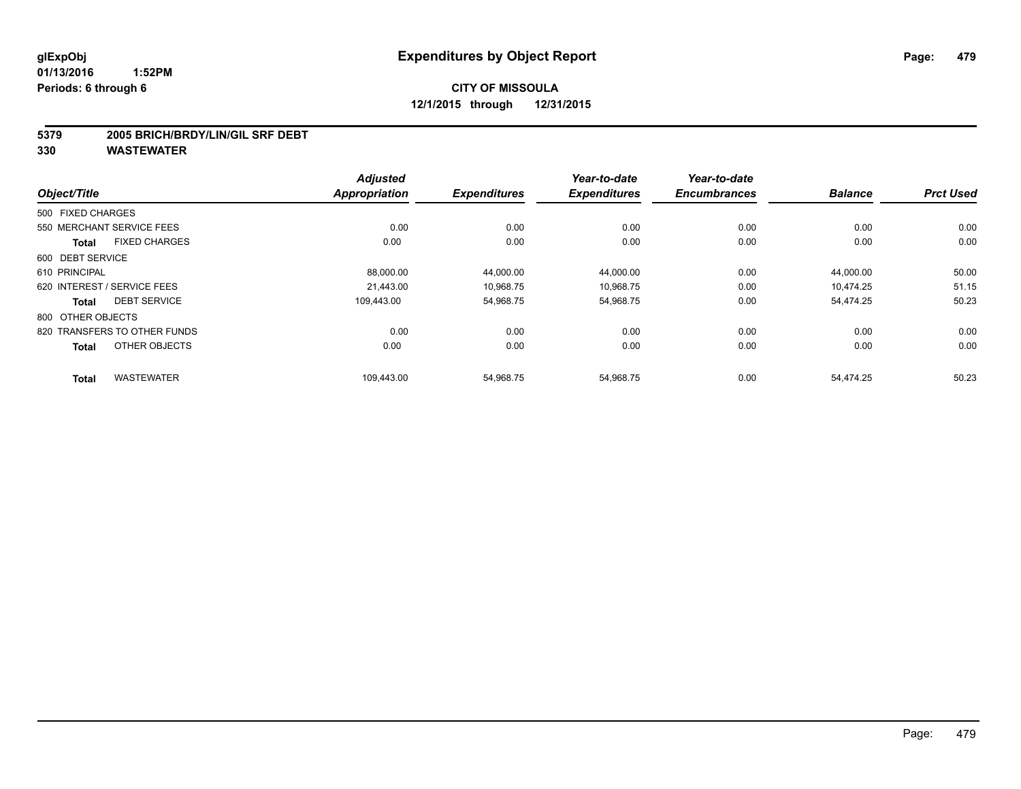#### **5379 2005 BRICH/BRDY/LIN/GIL SRF DEBT**

|                   |                              | <b>Adjusted</b>      |                     | Year-to-date        | Year-to-date        |                |                  |
|-------------------|------------------------------|----------------------|---------------------|---------------------|---------------------|----------------|------------------|
| Object/Title      |                              | <b>Appropriation</b> | <b>Expenditures</b> | <b>Expenditures</b> | <b>Encumbrances</b> | <b>Balance</b> | <b>Prct Used</b> |
| 500 FIXED CHARGES |                              |                      |                     |                     |                     |                |                  |
|                   | 550 MERCHANT SERVICE FEES    | 0.00                 | 0.00                | 0.00                | 0.00                | 0.00           | 0.00             |
| <b>Total</b>      | <b>FIXED CHARGES</b>         | 0.00                 | 0.00                | 0.00                | 0.00                | 0.00           | 0.00             |
| 600 DEBT SERVICE  |                              |                      |                     |                     |                     |                |                  |
| 610 PRINCIPAL     |                              | 88,000.00            | 44,000.00           | 44,000.00           | 0.00                | 44,000.00      | 50.00            |
|                   | 620 INTEREST / SERVICE FEES  | 21.443.00            | 10,968.75           | 10,968.75           | 0.00                | 10,474.25      | 51.15            |
| <b>Total</b>      | <b>DEBT SERVICE</b>          | 109.443.00           | 54,968.75           | 54,968.75           | 0.00                | 54,474.25      | 50.23            |
| 800 OTHER OBJECTS |                              |                      |                     |                     |                     |                |                  |
|                   | 820 TRANSFERS TO OTHER FUNDS | 0.00                 | 0.00                | 0.00                | 0.00                | 0.00           | 0.00             |
| <b>Total</b>      | OTHER OBJECTS                | 0.00                 | 0.00                | 0.00                | 0.00                | 0.00           | 0.00             |
| <b>Total</b>      | <b>WASTEWATER</b>            | 109,443.00           | 54,968.75           | 54,968.75           | 0.00                | 54,474.25      | 50.23            |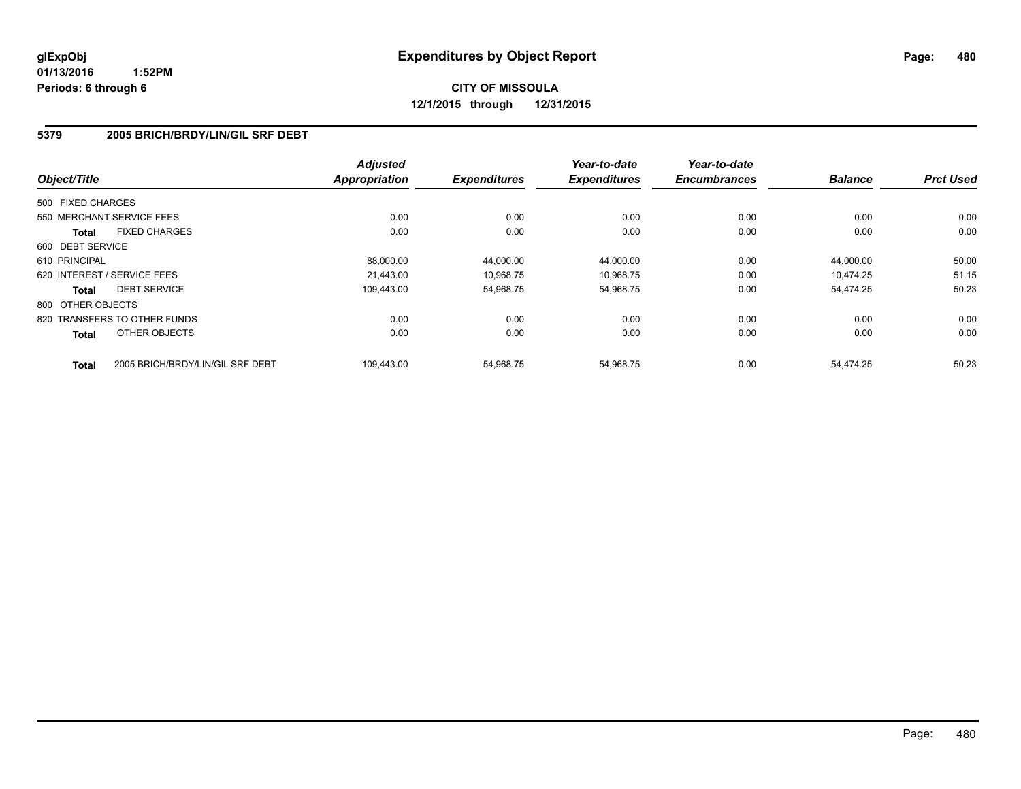# **CITY OF MISSOULA 12/1/2015 through 12/31/2015**

### **5379 2005 BRICH/BRDY/LIN/GIL SRF DEBT**

| Object/Title      |                                  | <b>Adjusted</b><br><b>Appropriation</b> | <b>Expenditures</b> | Year-to-date<br><b>Expenditures</b> | Year-to-date<br><b>Encumbrances</b> | <b>Balance</b> | <b>Prct Used</b> |
|-------------------|----------------------------------|-----------------------------------------|---------------------|-------------------------------------|-------------------------------------|----------------|------------------|
|                   |                                  |                                         |                     |                                     |                                     |                |                  |
| 500 FIXED CHARGES |                                  |                                         |                     |                                     |                                     |                |                  |
|                   | 550 MERCHANT SERVICE FEES        | 0.00                                    | 0.00                | 0.00                                | 0.00                                | 0.00           | 0.00             |
| <b>Total</b>      | <b>FIXED CHARGES</b>             | 0.00                                    | 0.00                | 0.00                                | 0.00                                | 0.00           | 0.00             |
| 600 DEBT SERVICE  |                                  |                                         |                     |                                     |                                     |                |                  |
| 610 PRINCIPAL     |                                  | 88.000.00                               | 44,000.00           | 44,000.00                           | 0.00                                | 44.000.00      | 50.00            |
|                   | 620 INTEREST / SERVICE FEES      | 21.443.00                               | 10,968.75           | 10,968.75                           | 0.00                                | 10.474.25      | 51.15            |
| <b>Total</b>      | <b>DEBT SERVICE</b>              | 109.443.00                              | 54,968.75           | 54,968.75                           | 0.00                                | 54.474.25      | 50.23            |
| 800 OTHER OBJECTS |                                  |                                         |                     |                                     |                                     |                |                  |
|                   | 820 TRANSFERS TO OTHER FUNDS     | 0.00                                    | 0.00                | 0.00                                | 0.00                                | 0.00           | 0.00             |
| <b>Total</b>      | OTHER OBJECTS                    | 0.00                                    | 0.00                | 0.00                                | 0.00                                | 0.00           | 0.00             |
| <b>Total</b>      | 2005 BRICH/BRDY/LIN/GIL SRF DEBT | 109.443.00                              | 54.968.75           | 54.968.75                           | 0.00                                | 54.474.25      | 50.23            |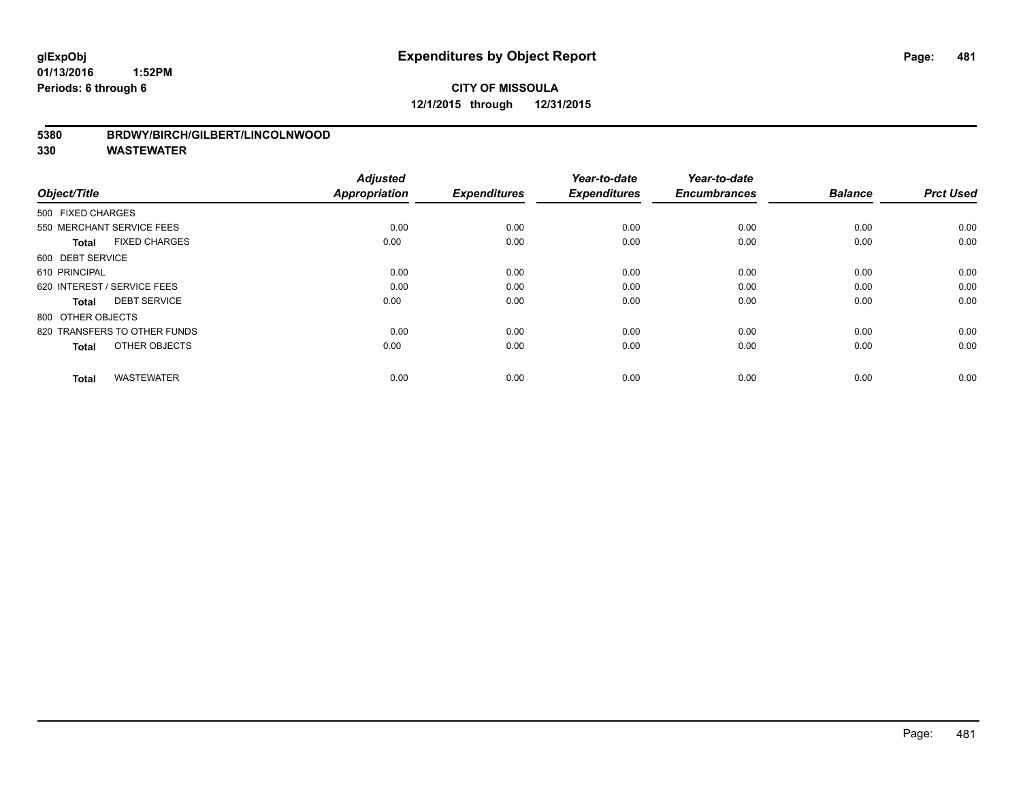# **CITY OF MISSOULA 12/1/2015 through 12/31/2015**

### **5380 BRDWY/BIRCH/GILBERT/LINCOLNWOOD**

| Object/Title                         | <b>Adjusted</b><br>Appropriation | <b>Expenditures</b> | Year-to-date<br><b>Expenditures</b> | Year-to-date<br><b>Encumbrances</b> | <b>Balance</b> | <b>Prct Used</b> |
|--------------------------------------|----------------------------------|---------------------|-------------------------------------|-------------------------------------|----------------|------------------|
| 500 FIXED CHARGES                    |                                  |                     |                                     |                                     |                |                  |
| 550 MERCHANT SERVICE FEES            | 0.00                             | 0.00                | 0.00                                | 0.00                                | 0.00           | 0.00             |
| <b>FIXED CHARGES</b><br><b>Total</b> | 0.00                             | 0.00                | 0.00                                | 0.00                                | 0.00           | 0.00             |
| 600 DEBT SERVICE                     |                                  |                     |                                     |                                     |                |                  |
| 610 PRINCIPAL                        | 0.00                             | 0.00                | 0.00                                | 0.00                                | 0.00           | 0.00             |
| 620 INTEREST / SERVICE FEES          | 0.00                             | 0.00                | 0.00                                | 0.00                                | 0.00           | 0.00             |
| <b>DEBT SERVICE</b><br><b>Total</b>  | 0.00                             | 0.00                | 0.00                                | 0.00                                | 0.00           | 0.00             |
| 800 OTHER OBJECTS                    |                                  |                     |                                     |                                     |                |                  |
| 820 TRANSFERS TO OTHER FUNDS         | 0.00                             | 0.00                | 0.00                                | 0.00                                | 0.00           | 0.00             |
| OTHER OBJECTS<br><b>Total</b>        | 0.00                             | 0.00                | 0.00                                | 0.00                                | 0.00           | 0.00             |
|                                      |                                  |                     |                                     |                                     |                |                  |
| <b>WASTEWATER</b><br><b>Total</b>    | 0.00                             | 0.00                | 0.00                                | 0.00                                | 0.00           | 0.00             |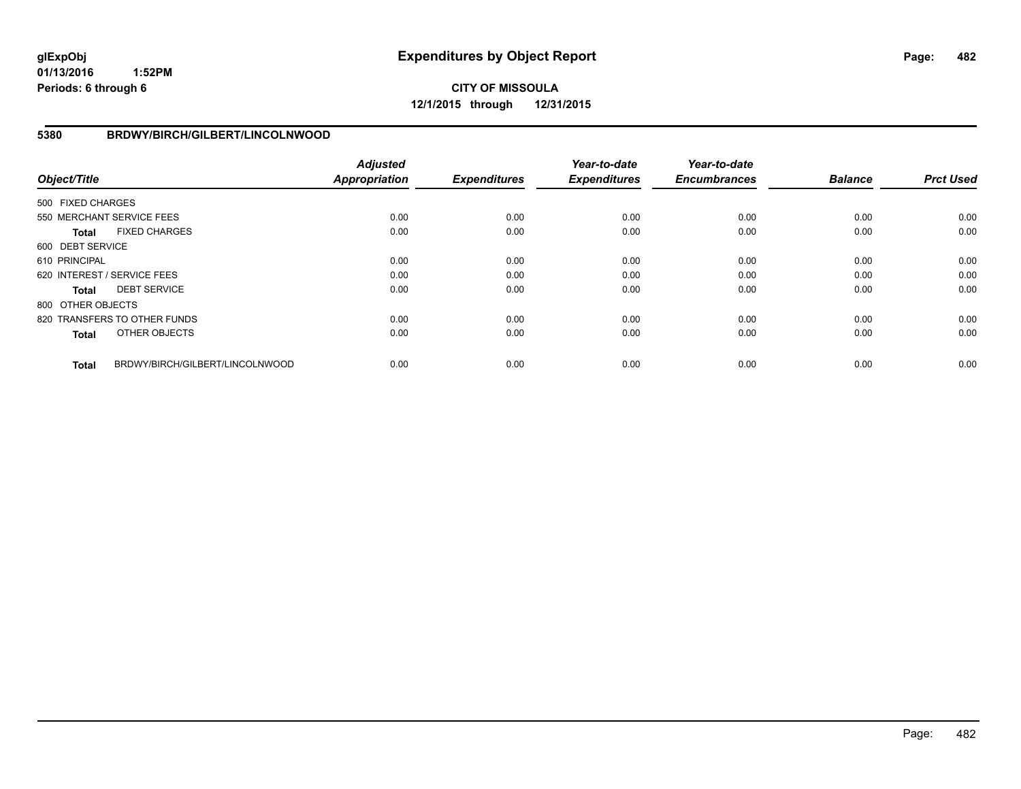# **CITY OF MISSOULA 12/1/2015 through 12/31/2015**

### **5380 BRDWY/BIRCH/GILBERT/LINCOLNWOOD**

| Object/Title      |                                 | <b>Adjusted</b><br><b>Appropriation</b> | <b>Expenditures</b> | Year-to-date<br><b>Expenditures</b> | Year-to-date<br><b>Encumbrances</b> | <b>Balance</b> | <b>Prct Used</b> |
|-------------------|---------------------------------|-----------------------------------------|---------------------|-------------------------------------|-------------------------------------|----------------|------------------|
| 500 FIXED CHARGES |                                 |                                         |                     |                                     |                                     |                |                  |
|                   | 550 MERCHANT SERVICE FEES       | 0.00                                    | 0.00                | 0.00                                | 0.00                                | 0.00           | 0.00             |
| <b>Total</b>      | <b>FIXED CHARGES</b>            | 0.00                                    | 0.00                | 0.00                                | 0.00                                | 0.00           | 0.00             |
| 600 DEBT SERVICE  |                                 |                                         |                     |                                     |                                     |                |                  |
| 610 PRINCIPAL     |                                 | 0.00                                    | 0.00                | 0.00                                | 0.00                                | 0.00           | 0.00             |
|                   | 620 INTEREST / SERVICE FEES     | 0.00                                    | 0.00                | 0.00                                | 0.00                                | 0.00           | 0.00             |
| <b>Total</b>      | <b>DEBT SERVICE</b>             | 0.00                                    | 0.00                | 0.00                                | 0.00                                | 0.00           | 0.00             |
| 800 OTHER OBJECTS |                                 |                                         |                     |                                     |                                     |                |                  |
|                   | 820 TRANSFERS TO OTHER FUNDS    | 0.00                                    | 0.00                | 0.00                                | 0.00                                | 0.00           | 0.00             |
| <b>Total</b>      | OTHER OBJECTS                   | 0.00                                    | 0.00                | 0.00                                | 0.00                                | 0.00           | 0.00             |
| <b>Total</b>      | BRDWY/BIRCH/GILBERT/LINCOLNWOOD | 0.00                                    | 0.00                | 0.00                                | 0.00                                | 0.00           | 0.00             |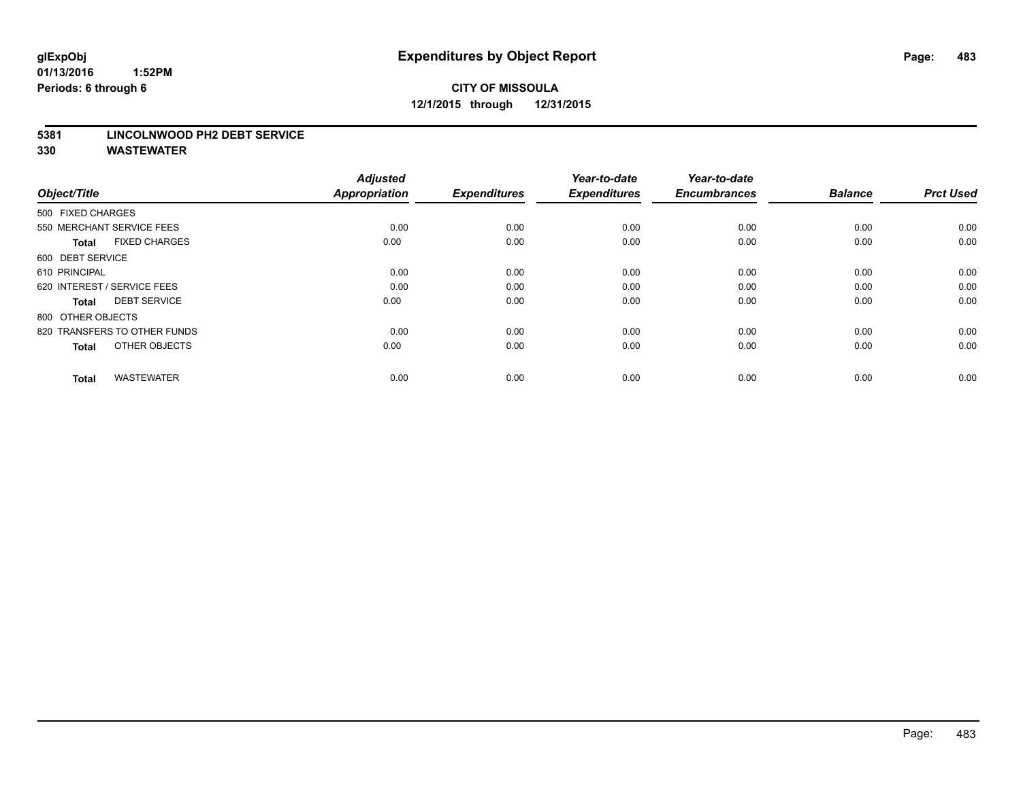# **CITY OF MISSOULA 12/1/2015 through 12/31/2015**

#### **5381 LINCOLNWOOD PH2 DEBT SERVICE**

| Object/Title                         | <b>Adjusted</b><br><b>Appropriation</b> | <b>Expenditures</b> | Year-to-date<br><b>Expenditures</b> | Year-to-date<br><b>Encumbrances</b> | <b>Balance</b> | <b>Prct Used</b> |
|--------------------------------------|-----------------------------------------|---------------------|-------------------------------------|-------------------------------------|----------------|------------------|
| 500 FIXED CHARGES                    |                                         |                     |                                     |                                     |                |                  |
| 550 MERCHANT SERVICE FEES            | 0.00                                    | 0.00                | 0.00                                | 0.00                                | 0.00           | 0.00             |
| <b>FIXED CHARGES</b><br><b>Total</b> | 0.00                                    | 0.00                | 0.00                                | 0.00                                | 0.00           | 0.00             |
| 600 DEBT SERVICE                     |                                         |                     |                                     |                                     |                |                  |
| 610 PRINCIPAL                        | 0.00                                    | 0.00                | 0.00                                | 0.00                                | 0.00           | 0.00             |
| 620 INTEREST / SERVICE FEES          | 0.00                                    | 0.00                | 0.00                                | 0.00                                | 0.00           | 0.00             |
| <b>DEBT SERVICE</b><br><b>Total</b>  | 0.00                                    | 0.00                | 0.00                                | 0.00                                | 0.00           | 0.00             |
| 800 OTHER OBJECTS                    |                                         |                     |                                     |                                     |                |                  |
| 820 TRANSFERS TO OTHER FUNDS         | 0.00                                    | 0.00                | 0.00                                | 0.00                                | 0.00           | 0.00             |
| OTHER OBJECTS<br><b>Total</b>        | 0.00                                    | 0.00                | 0.00                                | 0.00                                | 0.00           | 0.00             |
|                                      |                                         |                     |                                     |                                     |                |                  |
| <b>WASTEWATER</b><br><b>Total</b>    | 0.00                                    | 0.00                | 0.00                                | 0.00                                | 0.00           | 0.00             |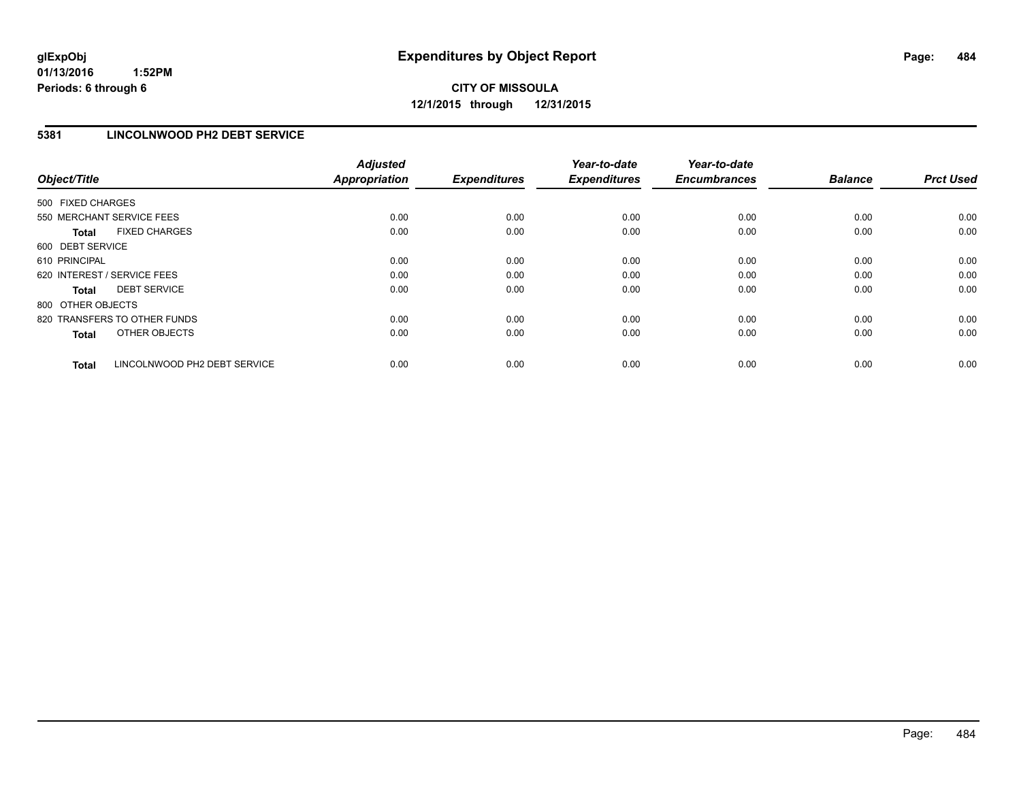## **5381 LINCOLNWOOD PH2 DEBT SERVICE**

| Object/Title                 |                              | <b>Adjusted</b><br><b>Appropriation</b> | <b>Expenditures</b> | Year-to-date<br><b>Expenditures</b> | Year-to-date<br><b>Encumbrances</b> | <b>Balance</b> | <b>Prct Used</b> |
|------------------------------|------------------------------|-----------------------------------------|---------------------|-------------------------------------|-------------------------------------|----------------|------------------|
| 500 FIXED CHARGES            |                              |                                         |                     |                                     |                                     |                |                  |
| 550 MERCHANT SERVICE FEES    |                              | 0.00                                    | 0.00                | 0.00                                | 0.00                                | 0.00           | 0.00             |
| <b>Total</b>                 | <b>FIXED CHARGES</b>         | 0.00                                    | 0.00                | 0.00                                | 0.00                                | 0.00           | 0.00             |
| 600 DEBT SERVICE             |                              |                                         |                     |                                     |                                     |                |                  |
| 610 PRINCIPAL                |                              | 0.00                                    | 0.00                | 0.00                                | 0.00                                | 0.00           | 0.00             |
| 620 INTEREST / SERVICE FEES  |                              | 0.00                                    | 0.00                | 0.00                                | 0.00                                | 0.00           | 0.00             |
| Total                        | <b>DEBT SERVICE</b>          | 0.00                                    | 0.00                | 0.00                                | 0.00                                | 0.00           | 0.00             |
| 800 OTHER OBJECTS            |                              |                                         |                     |                                     |                                     |                |                  |
| 820 TRANSFERS TO OTHER FUNDS |                              | 0.00                                    | 0.00                | 0.00                                | 0.00                                | 0.00           | 0.00             |
| <b>Total</b>                 | OTHER OBJECTS                | 0.00                                    | 0.00                | 0.00                                | 0.00                                | 0.00           | 0.00             |
| <b>Total</b>                 | LINCOLNWOOD PH2 DEBT SERVICE | 0.00                                    | 0.00                | 0.00                                | 0.00                                | 0.00           | 0.00             |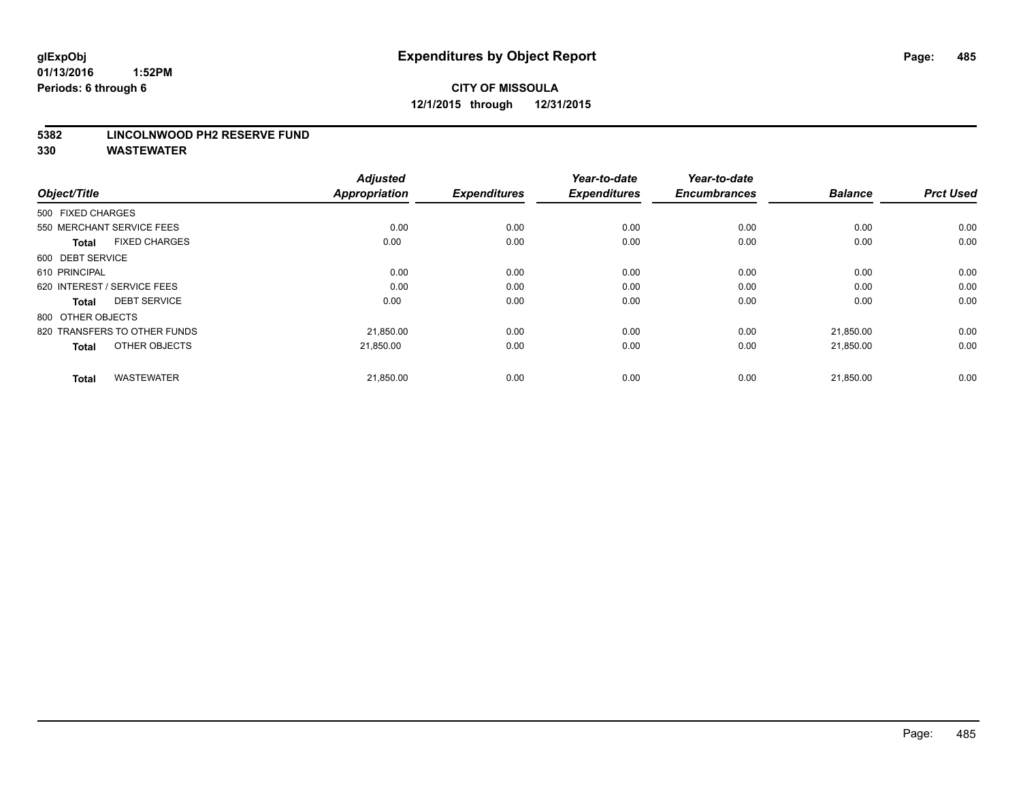#### **5382 LINCOLNWOOD PH2 RESERVE FUND**

| Object/Title                         | <b>Adjusted</b><br><b>Appropriation</b> | <b>Expenditures</b> | Year-to-date<br><b>Expenditures</b> | Year-to-date<br><b>Encumbrances</b> | <b>Balance</b> | <b>Prct Used</b> |
|--------------------------------------|-----------------------------------------|---------------------|-------------------------------------|-------------------------------------|----------------|------------------|
| 500 FIXED CHARGES                    |                                         |                     |                                     |                                     |                |                  |
| 550 MERCHANT SERVICE FEES            | 0.00                                    | 0.00                | 0.00                                | 0.00                                | 0.00           | 0.00             |
| <b>FIXED CHARGES</b><br><b>Total</b> | 0.00                                    | 0.00                | 0.00                                | 0.00                                | 0.00           | 0.00             |
| 600 DEBT SERVICE                     |                                         |                     |                                     |                                     |                |                  |
| 610 PRINCIPAL                        | 0.00                                    | 0.00                | 0.00                                | 0.00                                | 0.00           | 0.00             |
| 620 INTEREST / SERVICE FEES          | 0.00                                    | 0.00                | 0.00                                | 0.00                                | 0.00           | 0.00             |
| <b>DEBT SERVICE</b><br><b>Total</b>  | 0.00                                    | 0.00                | 0.00                                | 0.00                                | 0.00           | 0.00             |
| 800 OTHER OBJECTS                    |                                         |                     |                                     |                                     |                |                  |
| 820 TRANSFERS TO OTHER FUNDS         | 21,850.00                               | 0.00                | 0.00                                | 0.00                                | 21,850.00      | 0.00             |
| OTHER OBJECTS<br><b>Total</b>        | 21.850.00                               | 0.00                | 0.00                                | 0.00                                | 21,850.00      | 0.00             |
|                                      |                                         |                     |                                     |                                     |                |                  |
| <b>WASTEWATER</b><br><b>Total</b>    | 21,850.00                               | 0.00                | 0.00                                | 0.00                                | 21,850.00      | 0.00             |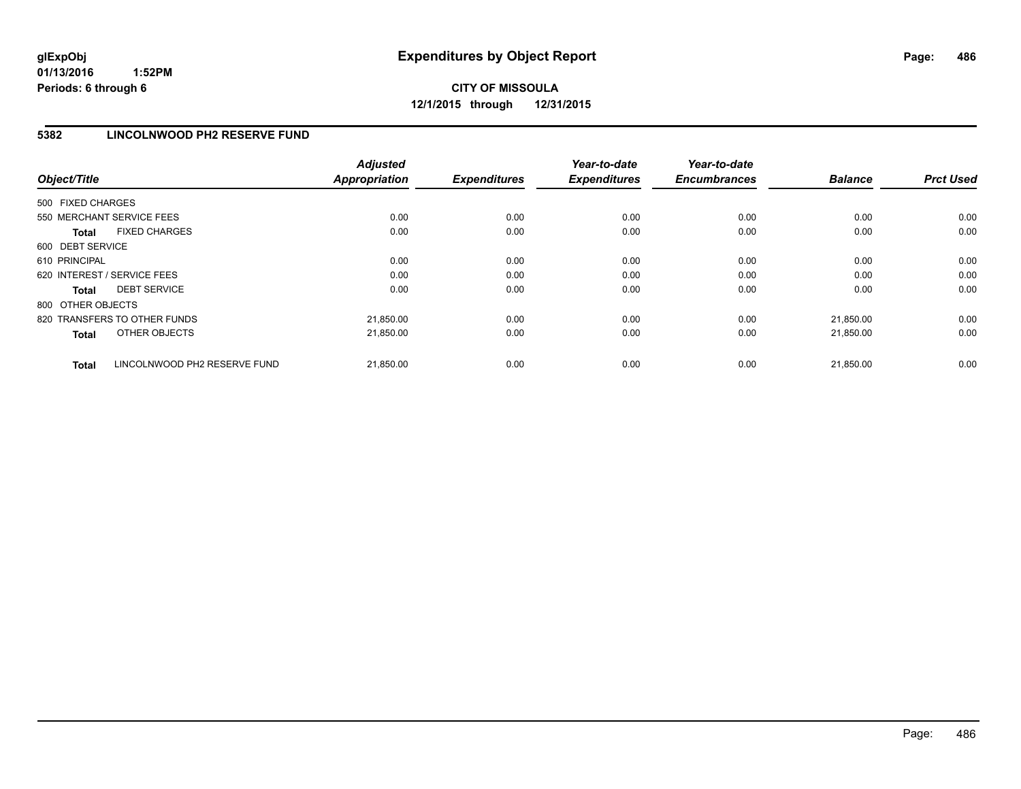### **5382 LINCOLNWOOD PH2 RESERVE FUND**

| Object/Title                          | <b>Adjusted</b><br>Appropriation | <b>Expenditures</b> | Year-to-date<br><b>Expenditures</b> | Year-to-date<br><b>Encumbrances</b> | <b>Balance</b> | <b>Prct Used</b> |
|---------------------------------------|----------------------------------|---------------------|-------------------------------------|-------------------------------------|----------------|------------------|
| 500 FIXED CHARGES                     |                                  |                     |                                     |                                     |                |                  |
| 550 MERCHANT SERVICE FEES             | 0.00                             | 0.00                | 0.00                                | 0.00                                | 0.00           | 0.00             |
| <b>FIXED CHARGES</b><br><b>Total</b>  | 0.00                             | 0.00                | 0.00                                | 0.00                                | 0.00           | 0.00             |
| 600 DEBT SERVICE                      |                                  |                     |                                     |                                     |                |                  |
| 610 PRINCIPAL                         | 0.00                             | 0.00                | 0.00                                | 0.00                                | 0.00           | 0.00             |
| 620 INTEREST / SERVICE FEES           | 0.00                             | 0.00                | 0.00                                | 0.00                                | 0.00           | 0.00             |
| <b>DEBT SERVICE</b><br><b>Total</b>   | 0.00                             | 0.00                | 0.00                                | 0.00                                | 0.00           | 0.00             |
| 800 OTHER OBJECTS                     |                                  |                     |                                     |                                     |                |                  |
| 820 TRANSFERS TO OTHER FUNDS          | 21,850.00                        | 0.00                | 0.00                                | 0.00                                | 21.850.00      | 0.00             |
| OTHER OBJECTS<br><b>Total</b>         | 21,850.00                        | 0.00                | 0.00                                | 0.00                                | 21,850.00      | 0.00             |
| LINCOLNWOOD PH2 RESERVE FUND<br>Total | 21,850.00                        | 0.00                | 0.00                                | 0.00                                | 21.850.00      | 0.00             |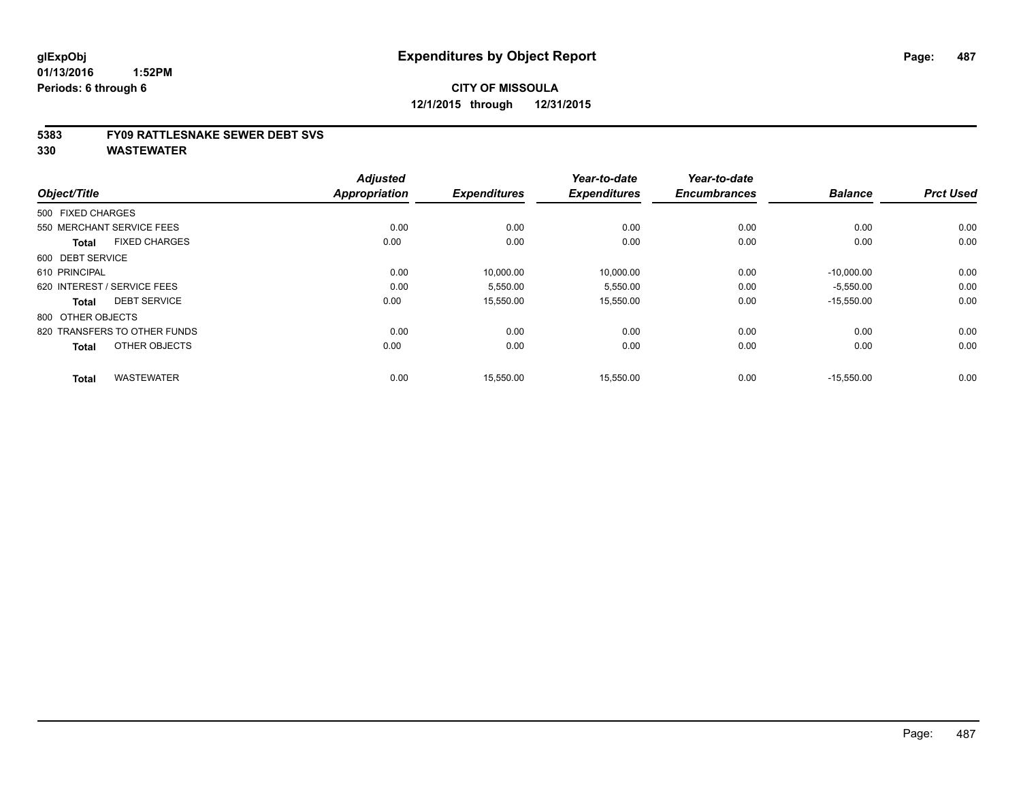#### **5383 FY09 RATTLESNAKE SEWER DEBT SVS**

| Object/Title                         | <b>Adjusted</b><br><b>Appropriation</b> | <b>Expenditures</b> | Year-to-date<br><b>Expenditures</b> | Year-to-date<br><b>Encumbrances</b> | <b>Balance</b> | <b>Prct Used</b> |
|--------------------------------------|-----------------------------------------|---------------------|-------------------------------------|-------------------------------------|----------------|------------------|
| 500 FIXED CHARGES                    |                                         |                     |                                     |                                     |                |                  |
|                                      |                                         |                     |                                     |                                     |                |                  |
| 550 MERCHANT SERVICE FEES            | 0.00                                    | 0.00                | 0.00                                | 0.00                                | 0.00           | 0.00             |
| <b>FIXED CHARGES</b><br><b>Total</b> | 0.00                                    | 0.00                | 0.00                                | 0.00                                | 0.00           | 0.00             |
| 600 DEBT SERVICE                     |                                         |                     |                                     |                                     |                |                  |
| 610 PRINCIPAL                        | 0.00                                    | 10,000.00           | 10,000.00                           | 0.00                                | $-10,000.00$   | 0.00             |
| 620 INTEREST / SERVICE FEES          | 0.00                                    | 5,550.00            | 5,550.00                            | 0.00                                | $-5,550.00$    | 0.00             |
| <b>DEBT SERVICE</b><br><b>Total</b>  | 0.00                                    | 15,550.00           | 15,550.00                           | 0.00                                | $-15,550.00$   | 0.00             |
| 800 OTHER OBJECTS                    |                                         |                     |                                     |                                     |                |                  |
| 820 TRANSFERS TO OTHER FUNDS         | 0.00                                    | 0.00                | 0.00                                | 0.00                                | 0.00           | 0.00             |
| OTHER OBJECTS<br><b>Total</b>        | 0.00                                    | 0.00                | 0.00                                | 0.00                                | 0.00           | 0.00             |
| <b>WASTEWATER</b><br><b>Total</b>    | 0.00                                    | 15,550.00           | 15,550.00                           | 0.00                                | $-15,550.00$   | 0.00             |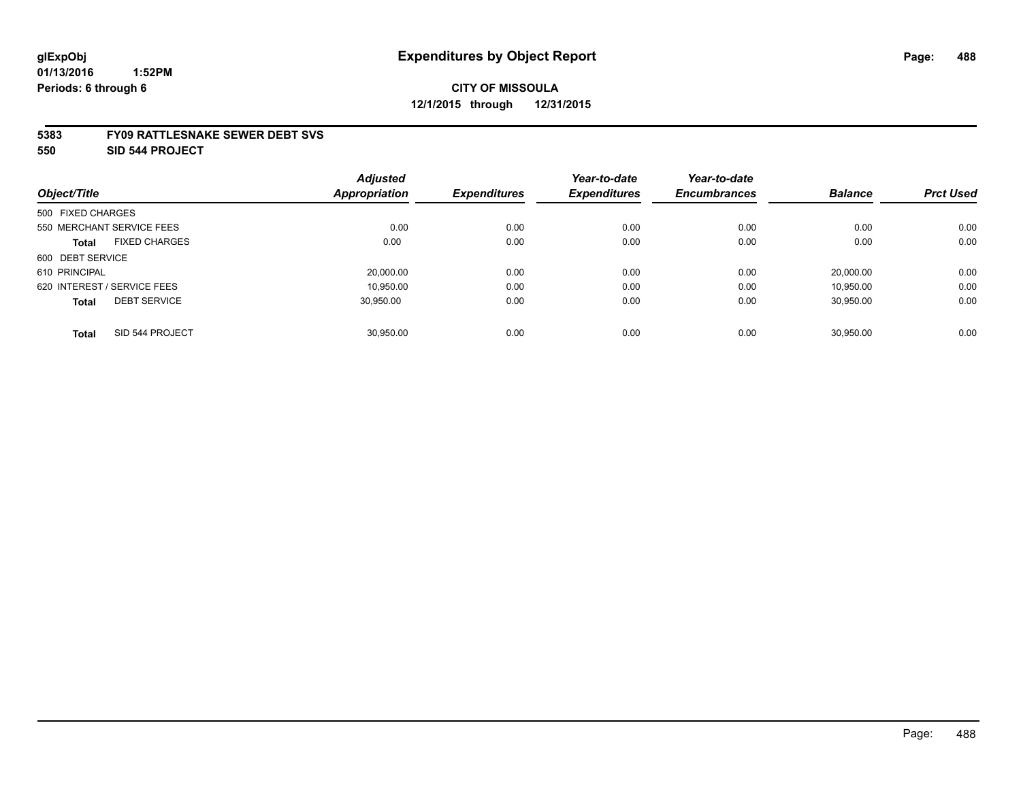#### **5383 FY09 RATTLESNAKE SEWER DEBT SVS**

**550 SID 544 PROJECT**

|                                      | <b>Adjusted</b>      |                     | Year-to-date        | Year-to-date        |                |                  |
|--------------------------------------|----------------------|---------------------|---------------------|---------------------|----------------|------------------|
| Object/Title                         | <b>Appropriation</b> | <b>Expenditures</b> | <b>Expenditures</b> | <b>Encumbrances</b> | <b>Balance</b> | <b>Prct Used</b> |
| 500 FIXED CHARGES                    |                      |                     |                     |                     |                |                  |
| 550 MERCHANT SERVICE FEES            | 0.00                 | 0.00                | 0.00                | 0.00                | 0.00           | 0.00             |
| <b>FIXED CHARGES</b><br><b>Total</b> | 0.00                 | 0.00                | 0.00                | 0.00                | 0.00           | 0.00             |
| 600 DEBT SERVICE                     |                      |                     |                     |                     |                |                  |
| 610 PRINCIPAL                        | 20,000.00            | 0.00                | 0.00                | 0.00                | 20.000.00      | 0.00             |
| 620 INTEREST / SERVICE FEES          | 10.950.00            | 0.00                | 0.00                | 0.00                | 10.950.00      | 0.00             |
| <b>DEBT SERVICE</b><br><b>Total</b>  | 30.950.00            | 0.00                | 0.00                | 0.00                | 30.950.00      | 0.00             |
|                                      |                      |                     |                     |                     |                |                  |
| SID 544 PROJECT<br><b>Total</b>      | 30.950.00            | 0.00                | 0.00                | 0.00                | 30.950.00      | 0.00             |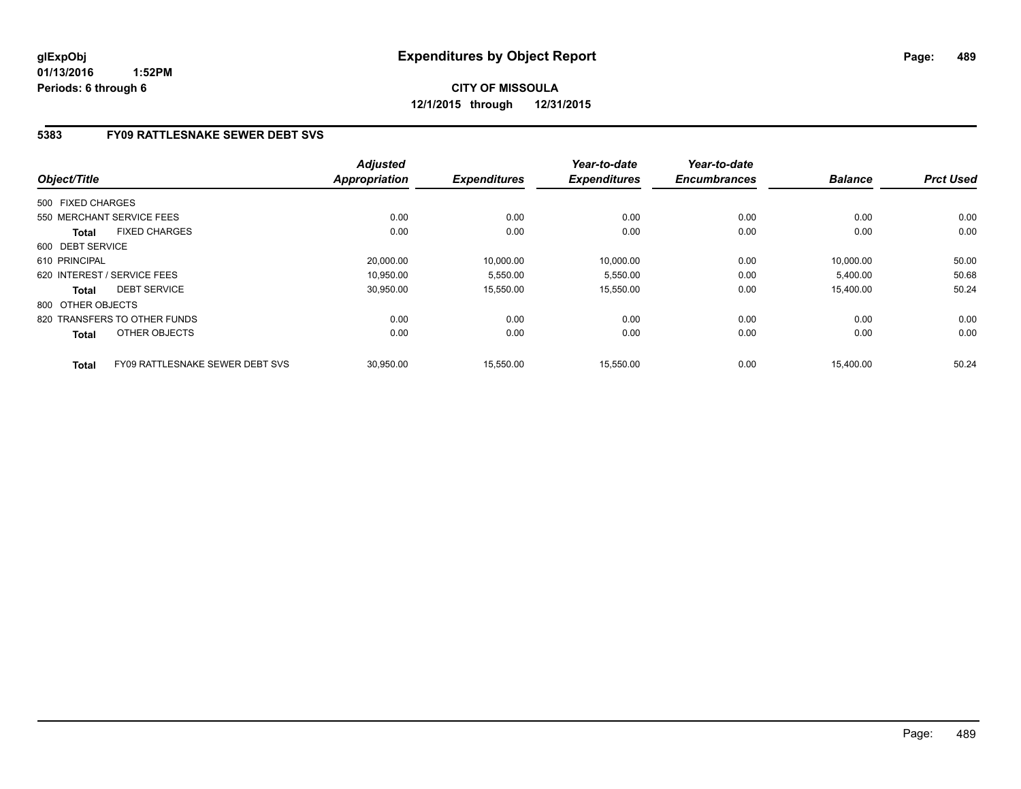# **CITY OF MISSOULA 12/1/2015 through 12/31/2015**

## **5383 FY09 RATTLESNAKE SEWER DEBT SVS**

| Object/Title      |                                        | <b>Adjusted</b><br>Appropriation | <b>Expenditures</b> | Year-to-date<br><b>Expenditures</b> | Year-to-date<br><b>Encumbrances</b> | <b>Balance</b> | <b>Prct Used</b> |
|-------------------|----------------------------------------|----------------------------------|---------------------|-------------------------------------|-------------------------------------|----------------|------------------|
|                   |                                        |                                  |                     |                                     |                                     |                |                  |
| 500 FIXED CHARGES |                                        |                                  |                     |                                     |                                     |                |                  |
|                   | 550 MERCHANT SERVICE FEES              | 0.00                             | 0.00                | 0.00                                | 0.00                                | 0.00           | 0.00             |
| <b>Total</b>      | <b>FIXED CHARGES</b>                   | 0.00                             | 0.00                | 0.00                                | 0.00                                | 0.00           | 0.00             |
| 600 DEBT SERVICE  |                                        |                                  |                     |                                     |                                     |                |                  |
| 610 PRINCIPAL     |                                        | 20.000.00                        | 10,000.00           | 10,000.00                           | 0.00                                | 10.000.00      | 50.00            |
|                   | 620 INTEREST / SERVICE FEES            | 10.950.00                        | 5,550.00            | 5,550.00                            | 0.00                                | 5,400.00       | 50.68            |
| <b>Total</b>      | <b>DEBT SERVICE</b>                    | 30,950.00                        | 15,550.00           | 15,550.00                           | 0.00                                | 15,400.00      | 50.24            |
| 800 OTHER OBJECTS |                                        |                                  |                     |                                     |                                     |                |                  |
|                   | 820 TRANSFERS TO OTHER FUNDS           | 0.00                             | 0.00                | 0.00                                | 0.00                                | 0.00           | 0.00             |
| <b>Total</b>      | OTHER OBJECTS                          | 0.00                             | 0.00                | 0.00                                | 0.00                                | 0.00           | 0.00             |
| <b>Total</b>      | <b>FY09 RATTLESNAKE SEWER DEBT SVS</b> | 30,950.00                        | 15.550.00           | 15,550.00                           | 0.00                                | 15.400.00      | 50.24            |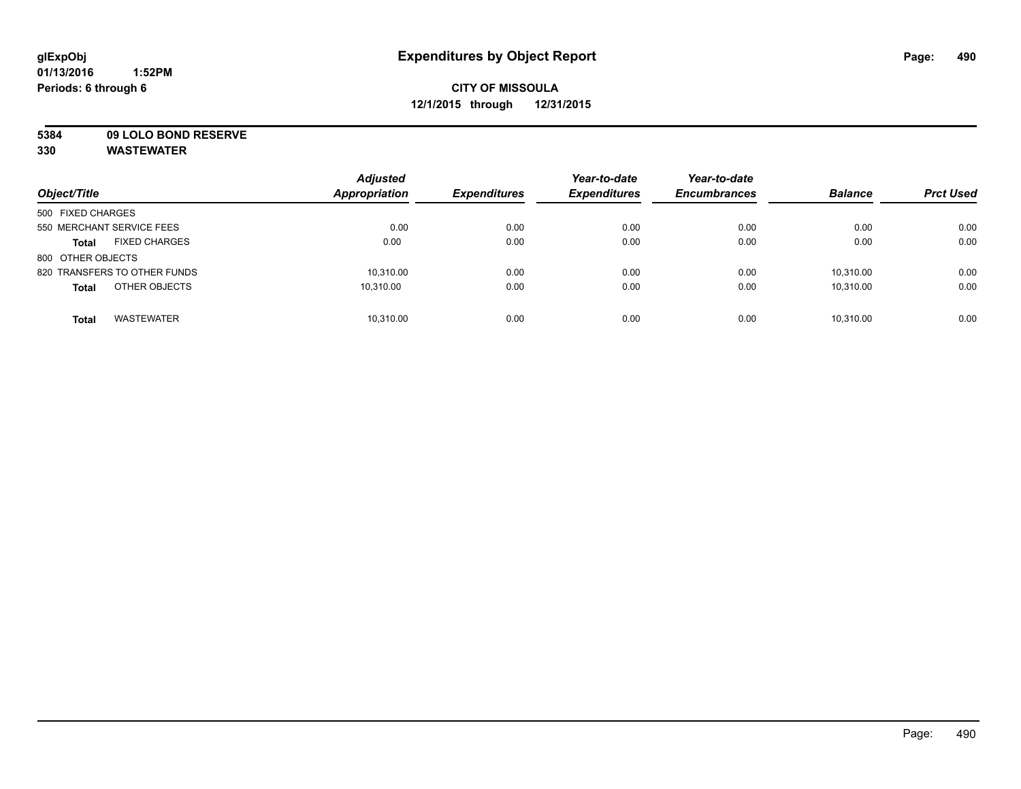**5384 09 LOLO BOND RESERVE**

| Object/Title                         | <b>Adjusted</b><br><b>Appropriation</b> | <b>Expenditures</b> | Year-to-date<br><b>Expenditures</b> | Year-to-date<br><b>Encumbrances</b> | <b>Balance</b> | <b>Prct Used</b> |
|--------------------------------------|-----------------------------------------|---------------------|-------------------------------------|-------------------------------------|----------------|------------------|
| 500 FIXED CHARGES                    |                                         |                     |                                     |                                     |                |                  |
| 550 MERCHANT SERVICE FEES            | 0.00                                    | 0.00                | 0.00                                | 0.00                                | 0.00           | 0.00             |
| <b>FIXED CHARGES</b><br><b>Total</b> | 0.00                                    | 0.00                | 0.00                                | 0.00                                | 0.00           | 0.00             |
| 800 OTHER OBJECTS                    |                                         |                     |                                     |                                     |                |                  |
| 820 TRANSFERS TO OTHER FUNDS         | 10.310.00                               | 0.00                | 0.00                                | 0.00                                | 10.310.00      | 0.00             |
| OTHER OBJECTS<br><b>Total</b>        | 10.310.00                               | 0.00                | 0.00                                | 0.00                                | 10.310.00      | 0.00             |
| <b>WASTEWATER</b><br><b>Total</b>    | 10.310.00                               | 0.00                | 0.00                                | 0.00                                | 10.310.00      | 0.00             |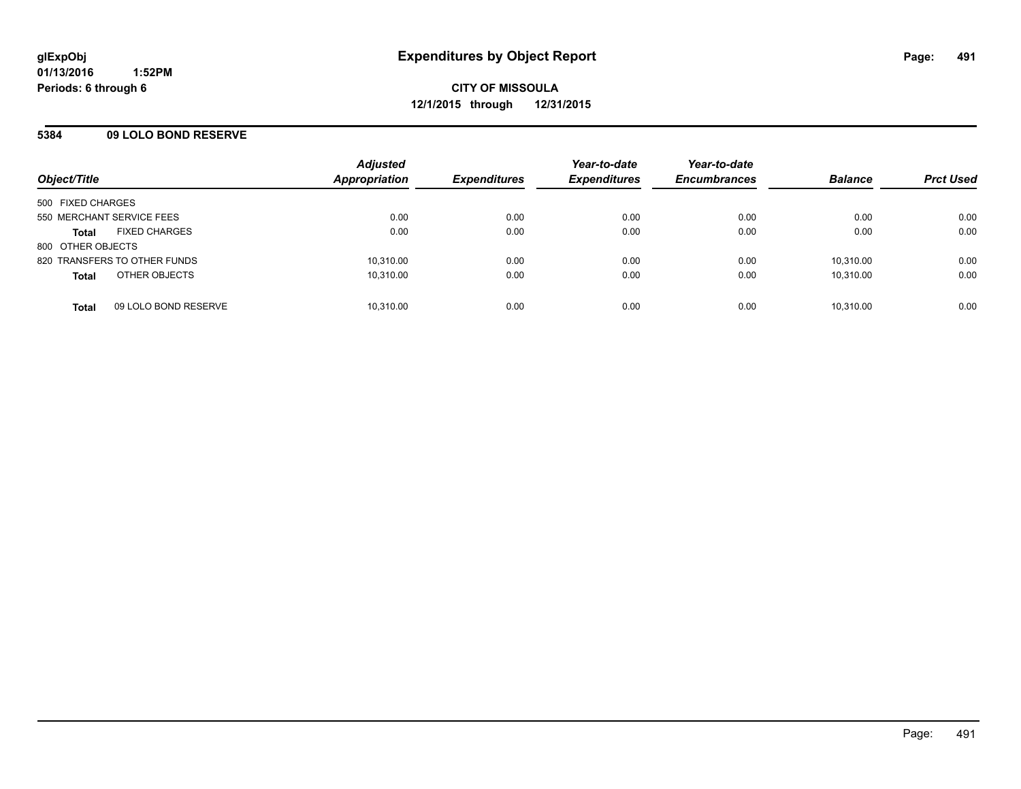### **5384 09 LOLO BOND RESERVE**

| Object/Title                         | <b>Adjusted</b><br>Appropriation | <b>Expenditures</b> | Year-to-date<br><b>Expenditures</b> | Year-to-date<br><b>Encumbrances</b> | <b>Balance</b> | <b>Prct Used</b> |
|--------------------------------------|----------------------------------|---------------------|-------------------------------------|-------------------------------------|----------------|------------------|
| 500 FIXED CHARGES                    |                                  |                     |                                     |                                     |                |                  |
| 550 MERCHANT SERVICE FEES            | 0.00                             | 0.00                | 0.00                                | 0.00                                | 0.00           | 0.00             |
| <b>FIXED CHARGES</b><br><b>Total</b> | 0.00                             | 0.00                | 0.00                                | 0.00                                | 0.00           | 0.00             |
| 800 OTHER OBJECTS                    |                                  |                     |                                     |                                     |                |                  |
| 820 TRANSFERS TO OTHER FUNDS         | 10,310.00                        | 0.00                | 0.00                                | 0.00                                | 10.310.00      | 0.00             |
| OTHER OBJECTS<br><b>Total</b>        | 10,310.00                        | 0.00                | 0.00                                | 0.00                                | 10,310.00      | 0.00             |
| 09 LOLO BOND RESERVE<br><b>Total</b> | 10,310.00                        | 0.00                | 0.00                                | 0.00                                | 10,310.00      | 0.00             |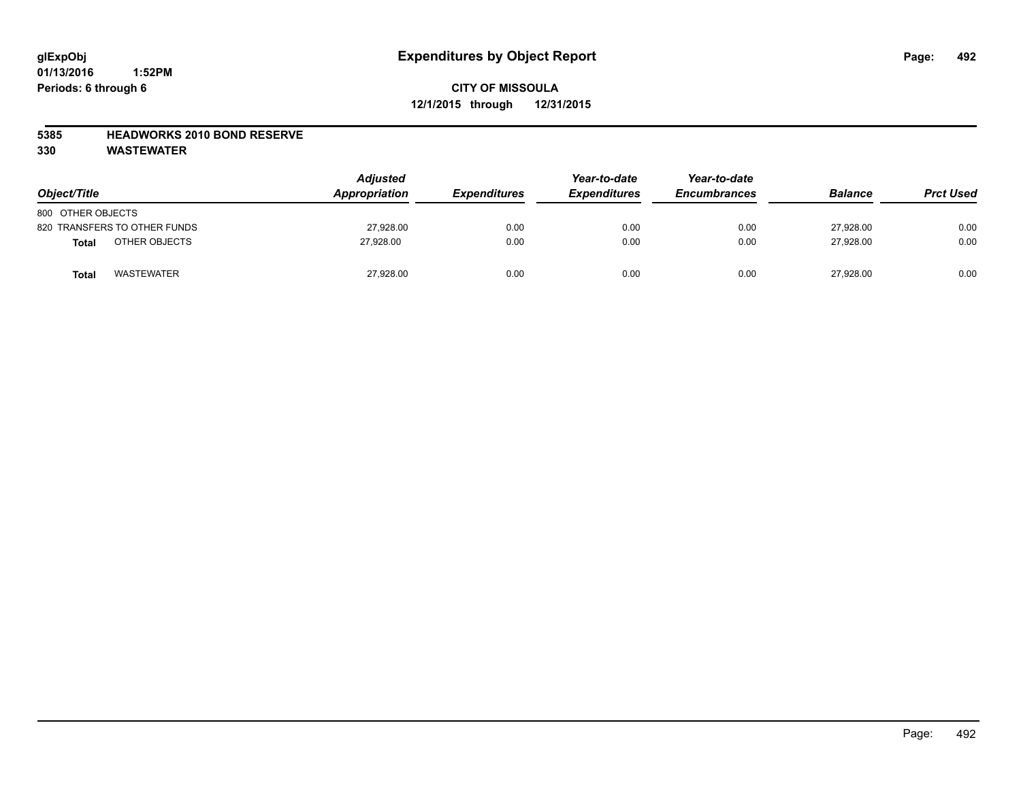### **5385 HEADWORKS 2010 BOND RESERVE**

| Object/Title                 | <b>Adjusted</b><br>Appropriation | <b>Expenditures</b> | Year-to-date<br><b>Expenditures</b> | Year-to-date<br><b>Encumbrances</b> | <b>Balance</b> | <b>Prct Used</b> |
|------------------------------|----------------------------------|---------------------|-------------------------------------|-------------------------------------|----------------|------------------|
| 800 OTHER OBJECTS            |                                  |                     |                                     |                                     |                |                  |
| 820 TRANSFERS TO OTHER FUNDS | 27,928.00                        | 0.00                | 0.00                                | 0.00                                | 27,928.00      | 0.00             |
| OTHER OBJECTS<br>Total       | 27.928.00                        | 0.00                | 0.00                                | 0.00                                | 27,928.00      | 0.00             |
| <b>WASTEWATER</b><br>Total   | 27,928.00                        | 0.00                | 0.00                                | 0.00                                | 27,928.00      | 0.00             |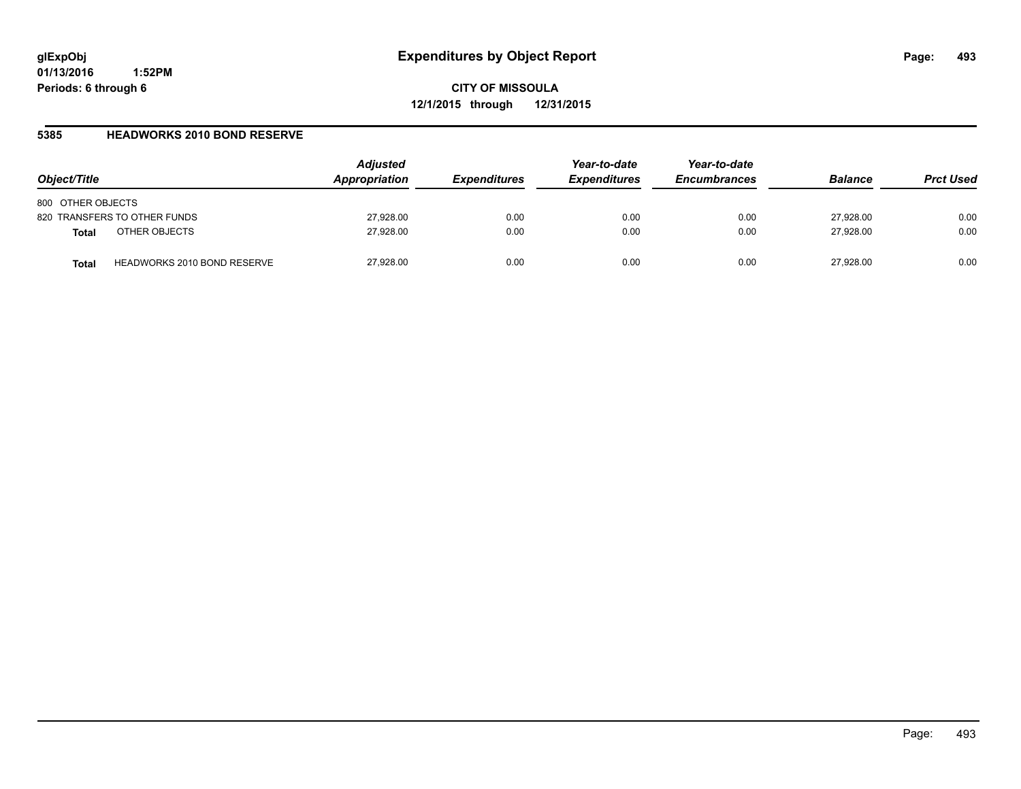**CITY OF MISSOULA 12/1/2015 through 12/31/2015**

### **5385 HEADWORKS 2010 BOND RESERVE**

| Object/Title                                       | <b>Adjusted</b><br>Appropriation | <b>Expenditures</b> | Year-to-date<br><b>Expenditures</b> | Year-to-date<br><b>Encumbrances</b> | <b>Balance</b> | <b>Prct Used</b> |
|----------------------------------------------------|----------------------------------|---------------------|-------------------------------------|-------------------------------------|----------------|------------------|
| 800 OTHER OBJECTS                                  |                                  |                     |                                     |                                     |                |                  |
| 820 TRANSFERS TO OTHER FUNDS                       | 27,928.00                        | 0.00                | 0.00                                | 0.00                                | 27,928.00      | 0.00             |
| OTHER OBJECTS<br><b>Total</b>                      | 27,928.00                        | 0.00                | 0.00                                | 0.00                                | 27.928.00      | 0.00             |
| <b>HEADWORKS 2010 BOND RESERVE</b><br><b>Total</b> | 27,928.00                        | 0.00                | 0.00                                | 0.00                                | 27.928.00      | 0.00             |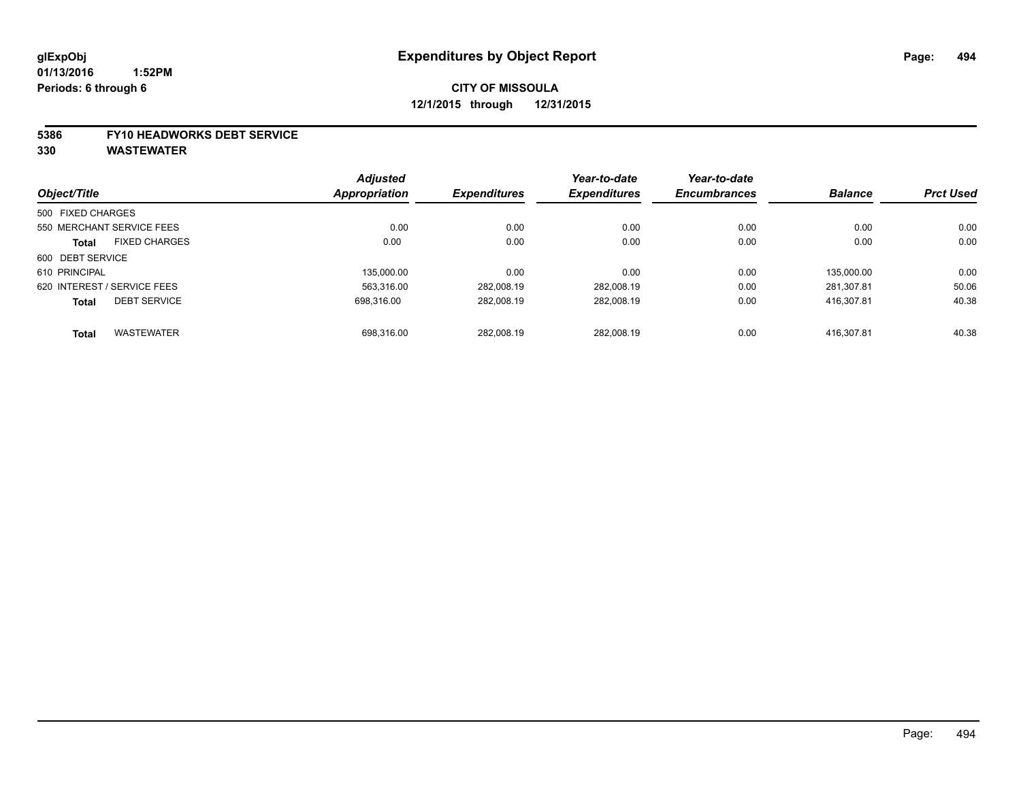# **CITY OF MISSOULA 12/1/2015 through 12/31/2015**

#### **5386 FY10 HEADWORKS DEBT SERVICE**

|                   |                             | <b>Adjusted</b>     |                     | Year-to-date        | Year-to-date   |                  |       |
|-------------------|-----------------------------|---------------------|---------------------|---------------------|----------------|------------------|-------|
| Object/Title      | <b>Appropriation</b>        | <b>Expenditures</b> | <b>Expenditures</b> | <b>Encumbrances</b> | <b>Balance</b> | <b>Prct Used</b> |       |
| 500 FIXED CHARGES |                             |                     |                     |                     |                |                  |       |
|                   | 550 MERCHANT SERVICE FEES   | 0.00                | 0.00                | 0.00                | 0.00           | 0.00             | 0.00  |
| <b>Total</b>      | <b>FIXED CHARGES</b>        | 0.00                | 0.00                | 0.00                | 0.00           | 0.00             | 0.00  |
| 600 DEBT SERVICE  |                             |                     |                     |                     |                |                  |       |
| 610 PRINCIPAL     |                             | 135,000.00          | 0.00                | 0.00                | 0.00           | 135.000.00       | 0.00  |
|                   | 620 INTEREST / SERVICE FEES | 563.316.00          | 282.008.19          | 282.008.19          | 0.00           | 281.307.81       | 50.06 |
| <b>Total</b>      | <b>DEBT SERVICE</b>         | 698.316.00          | 282.008.19          | 282.008.19          | 0.00           | 416.307.81       | 40.38 |
| <b>Total</b>      | <b>WASTEWATER</b>           | 698.316.00          | 282.008.19          | 282.008.19          | 0.00           | 416.307.81       | 40.38 |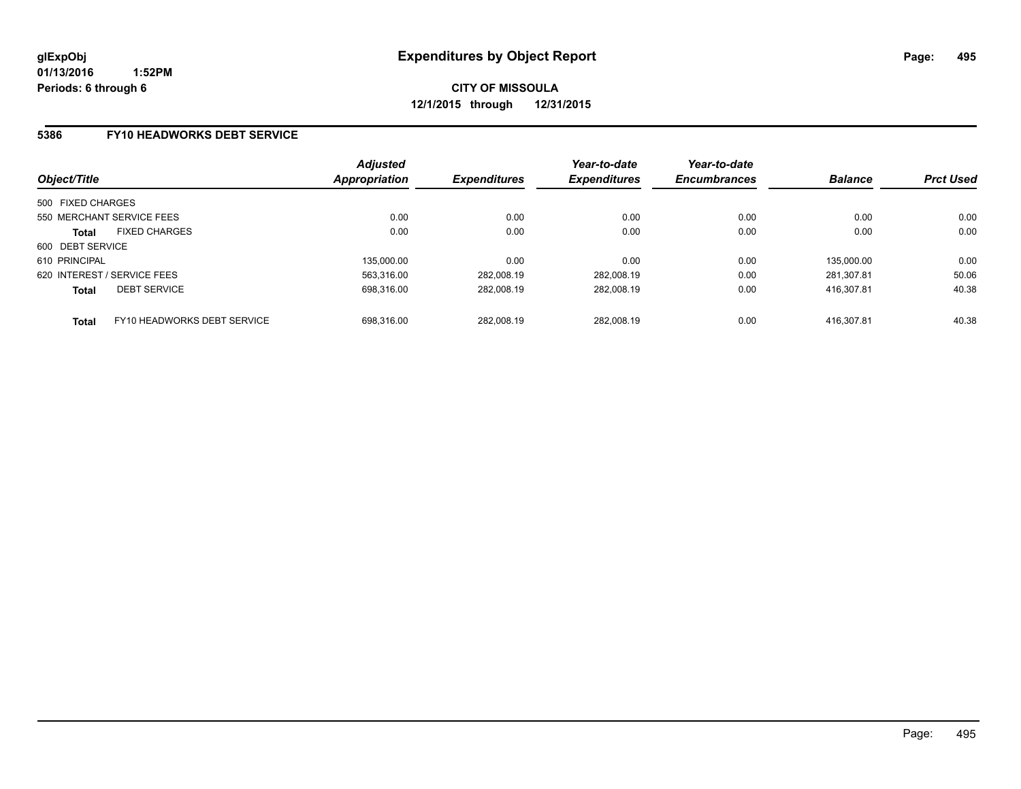### **5386 FY10 HEADWORKS DEBT SERVICE**

| Object/Title                                | <b>Adjusted</b><br>Appropriation | <b>Expenditures</b> | Year-to-date<br><b>Expenditures</b> | Year-to-date<br><b>Encumbrances</b> | <b>Balance</b> | <b>Prct Used</b> |
|---------------------------------------------|----------------------------------|---------------------|-------------------------------------|-------------------------------------|----------------|------------------|
| 500 FIXED CHARGES                           |                                  |                     |                                     |                                     |                |                  |
| 550 MERCHANT SERVICE FEES                   | 0.00                             | 0.00                | 0.00                                | 0.00                                | 0.00           | 0.00             |
| <b>FIXED CHARGES</b><br><b>Total</b>        | 0.00                             | 0.00                | 0.00                                | 0.00                                | 0.00           | 0.00             |
| 600 DEBT SERVICE                            |                                  |                     |                                     |                                     |                |                  |
| 610 PRINCIPAL                               | 135.000.00                       | 0.00                | 0.00                                | 0.00                                | 135.000.00     | 0.00             |
| 620 INTEREST / SERVICE FEES                 | 563.316.00                       | 282.008.19          | 282.008.19                          | 0.00                                | 281.307.81     | 50.06            |
| <b>DEBT SERVICE</b><br><b>Total</b>         | 698.316.00                       | 282.008.19          | 282.008.19                          | 0.00                                | 416.307.81     | 40.38            |
| FY10 HEADWORKS DEBT SERVICE<br><b>Total</b> | 698.316.00                       | 282.008.19          | 282.008.19                          | 0.00                                | 416.307.81     | 40.38            |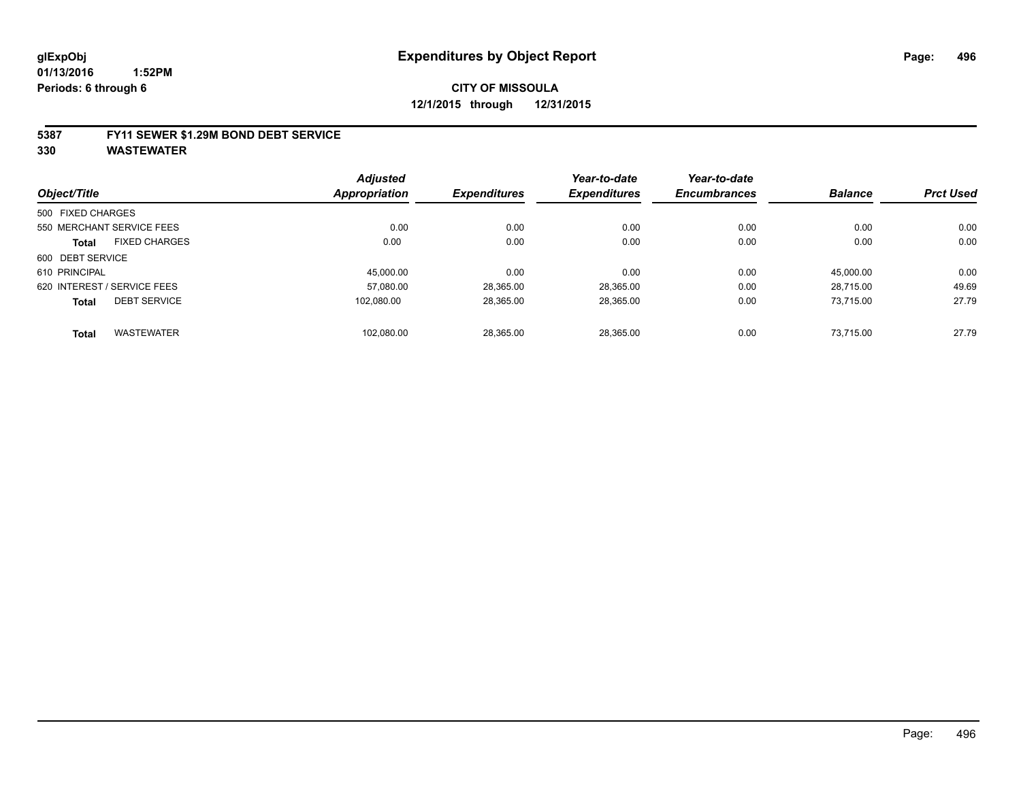# **CITY OF MISSOULA 12/1/2015 through 12/31/2015**

#### **5387 FY11 SEWER \$1.29M BOND DEBT SERVICE**

|                   |                             | <b>Adjusted</b>      |                     | Year-to-date        | Year-to-date        |                |                  |
|-------------------|-----------------------------|----------------------|---------------------|---------------------|---------------------|----------------|------------------|
| Object/Title      |                             | <b>Appropriation</b> | <b>Expenditures</b> | <b>Expenditures</b> | <b>Encumbrances</b> | <b>Balance</b> | <b>Prct Used</b> |
| 500 FIXED CHARGES |                             |                      |                     |                     |                     |                |                  |
|                   | 550 MERCHANT SERVICE FEES   | 0.00                 | 0.00                | 0.00                | 0.00                | 0.00           | 0.00             |
| <b>Total</b>      | <b>FIXED CHARGES</b>        | 0.00                 | 0.00                | 0.00                | 0.00                | 0.00           | 0.00             |
| 600 DEBT SERVICE  |                             |                      |                     |                     |                     |                |                  |
| 610 PRINCIPAL     |                             | 45.000.00            | 0.00                | 0.00                | 0.00                | 45.000.00      | 0.00             |
|                   | 620 INTEREST / SERVICE FEES | 57,080.00            | 28,365.00           | 28,365.00           | 0.00                | 28.715.00      | 49.69            |
| <b>Total</b>      | <b>DEBT SERVICE</b>         | 102.080.00           | 28,365.00           | 28,365.00           | 0.00                | 73.715.00      | 27.79            |
| <b>Total</b>      | <b>WASTEWATER</b>           | 102,080.00           | 28.365.00           | 28.365.00           | 0.00                | 73.715.00      | 27.79            |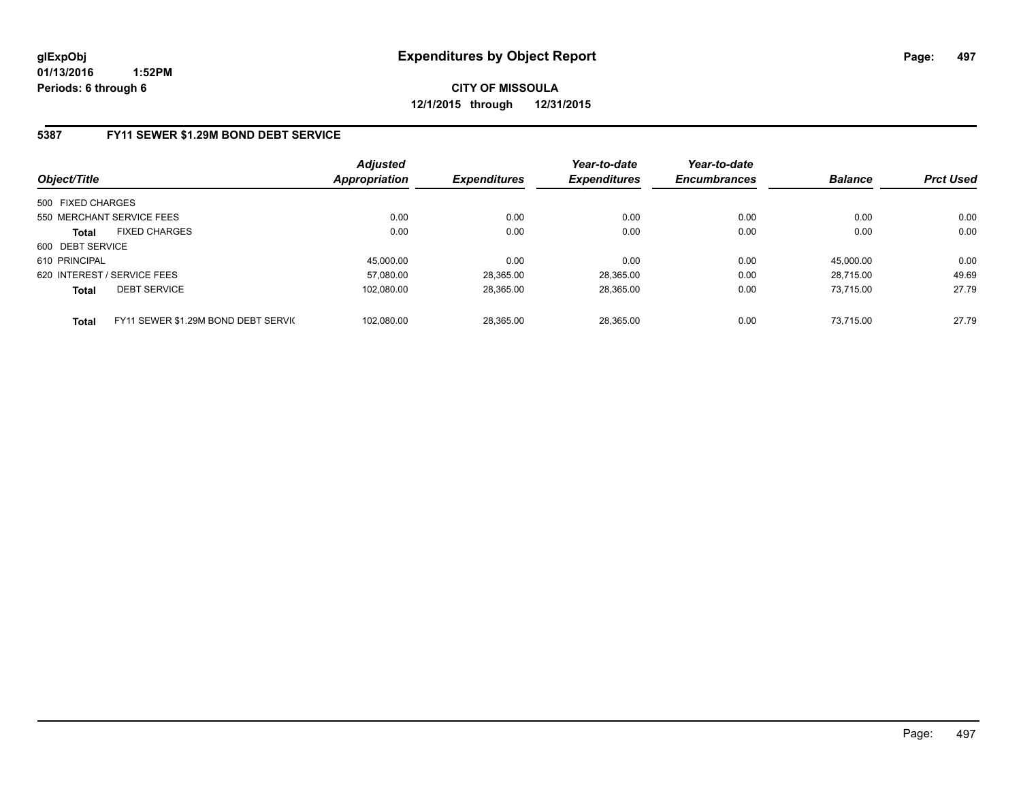**CITY OF MISSOULA 12/1/2015 through 12/31/2015**

### **5387 FY11 SEWER \$1.29M BOND DEBT SERVICE**

| Object/Title      |                                     | <b>Adjusted</b><br>Appropriation | <b>Expenditures</b> | Year-to-date<br><b>Expenditures</b> | Year-to-date<br><b>Encumbrances</b> | <b>Balance</b> | <b>Prct Used</b> |
|-------------------|-------------------------------------|----------------------------------|---------------------|-------------------------------------|-------------------------------------|----------------|------------------|
| 500 FIXED CHARGES |                                     |                                  |                     |                                     |                                     |                |                  |
|                   | 550 MERCHANT SERVICE FEES           | 0.00                             | 0.00                | 0.00                                | 0.00                                | 0.00           | 0.00             |
| <b>Total</b>      | <b>FIXED CHARGES</b>                | 0.00                             | 0.00                | 0.00                                | 0.00                                | 0.00           | 0.00             |
| 600 DEBT SERVICE  |                                     |                                  |                     |                                     |                                     |                |                  |
| 610 PRINCIPAL     |                                     | 45,000.00                        | 0.00                | 0.00                                | 0.00                                | 45,000.00      | 0.00             |
|                   | 620 INTEREST / SERVICE FEES         | 57.080.00                        | 28,365.00           | 28.365.00                           | 0.00                                | 28.715.00      | 49.69            |
| <b>Total</b>      | <b>DEBT SERVICE</b>                 | 102.080.00                       | 28,365.00           | 28.365.00                           | 0.00                                | 73.715.00      | 27.79            |
| <b>Total</b>      | FY11 SEWER \$1.29M BOND DEBT SERVIC | 102.080.00                       | 28.365.00           | 28.365.00                           | 0.00                                | 73.715.00      | 27.79            |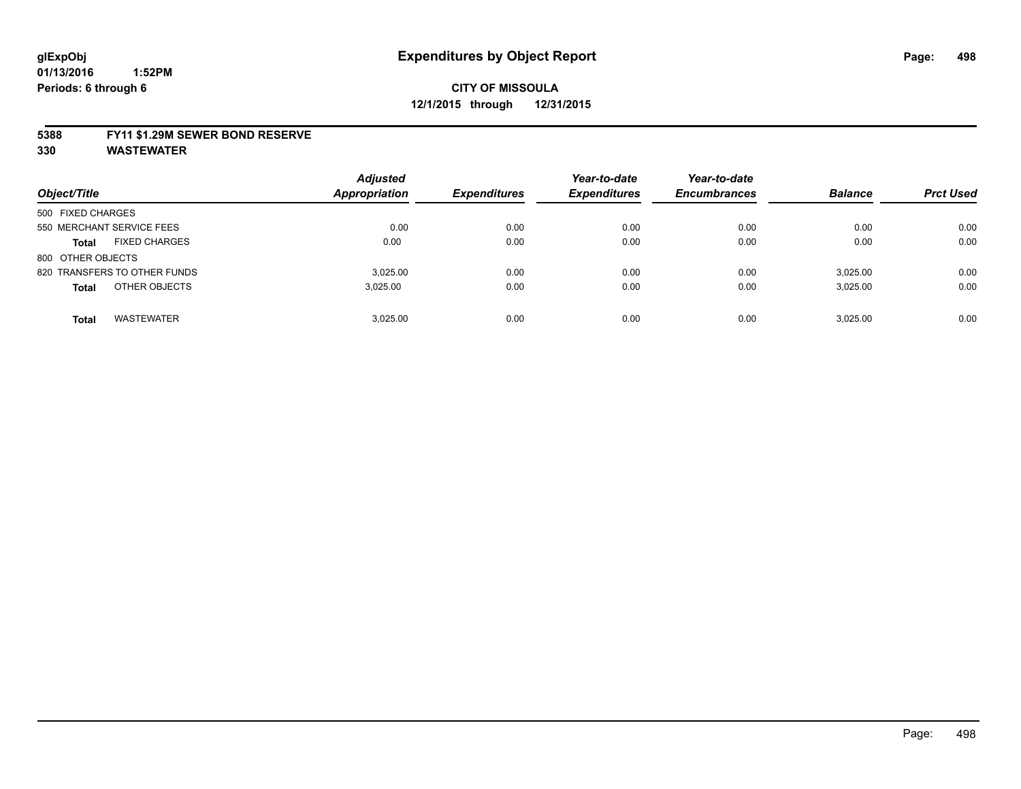#### **5388 FY11 \$1.29M SEWER BOND RESERVE**

| Object/Title                         | <b>Adjusted</b><br><b>Appropriation</b> | <b>Expenditures</b> | Year-to-date<br><b>Expenditures</b> | Year-to-date<br><b>Encumbrances</b> | <b>Balance</b> | <b>Prct Used</b> |
|--------------------------------------|-----------------------------------------|---------------------|-------------------------------------|-------------------------------------|----------------|------------------|
| 500 FIXED CHARGES                    |                                         |                     |                                     |                                     |                |                  |
| 550 MERCHANT SERVICE FEES            | 0.00                                    | 0.00                | 0.00                                | 0.00                                | 0.00           | 0.00             |
| <b>FIXED CHARGES</b><br><b>Total</b> | 0.00                                    | 0.00                | 0.00                                | 0.00                                | 0.00           | 0.00             |
| 800 OTHER OBJECTS                    |                                         |                     |                                     |                                     |                |                  |
| 820 TRANSFERS TO OTHER FUNDS         | 3.025.00                                | 0.00                | 0.00                                | 0.00                                | 3.025.00       | 0.00             |
| OTHER OBJECTS<br><b>Total</b>        | 3,025.00                                | 0.00                | 0.00                                | 0.00                                | 3.025.00       | 0.00             |
| <b>WASTEWATER</b><br>Total           | 3.025.00                                | 0.00                | 0.00                                | 0.00                                | 3.025.00       | 0.00             |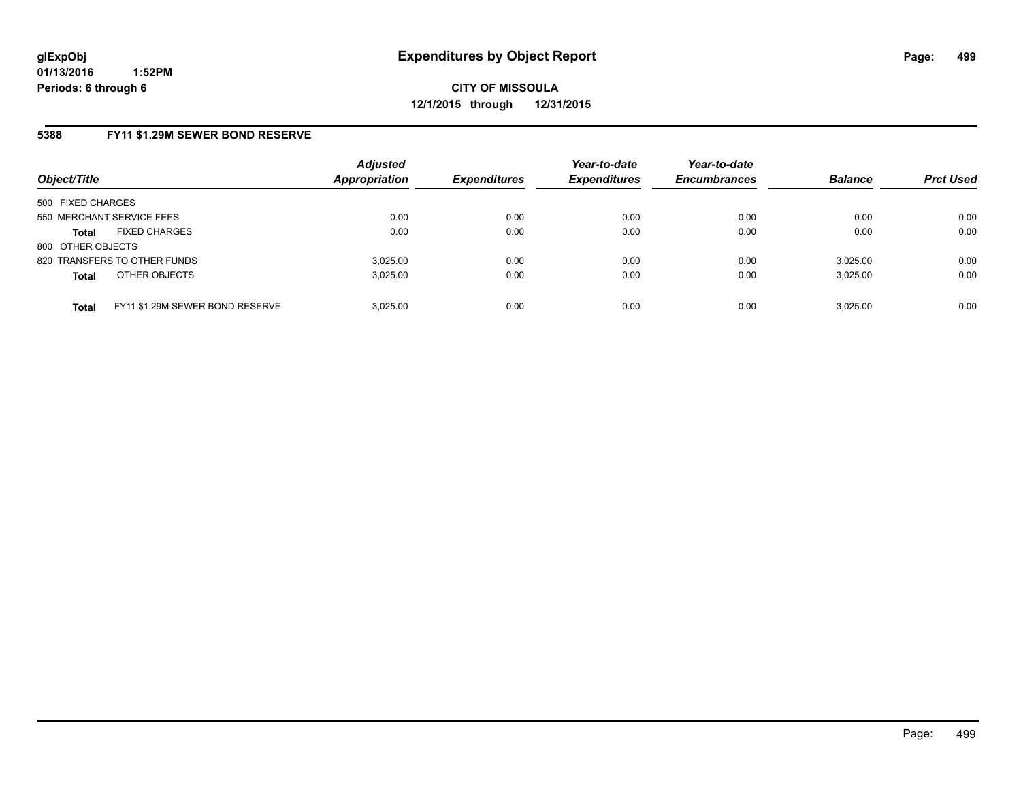# **5388 FY11 \$1.29M SEWER BOND RESERVE**

| Object/Title                                    | <b>Adjusted</b><br><b>Appropriation</b> | <b>Expenditures</b> | Year-to-date<br><b>Expenditures</b> | Year-to-date<br><b>Encumbrances</b> | <b>Balance</b> | <b>Prct Used</b> |
|-------------------------------------------------|-----------------------------------------|---------------------|-------------------------------------|-------------------------------------|----------------|------------------|
| 500 FIXED CHARGES                               |                                         |                     |                                     |                                     |                |                  |
| 550 MERCHANT SERVICE FEES                       | 0.00                                    | 0.00                | 0.00                                | 0.00                                | 0.00           | 0.00             |
| <b>FIXED CHARGES</b><br><b>Total</b>            | 0.00                                    | 0.00                | 0.00                                | 0.00                                | 0.00           | 0.00             |
| 800 OTHER OBJECTS                               |                                         |                     |                                     |                                     |                |                  |
| 820 TRANSFERS TO OTHER FUNDS                    | 3.025.00                                | 0.00                | 0.00                                | 0.00                                | 3,025.00       | 0.00             |
| OTHER OBJECTS<br><b>Total</b>                   | 3,025.00                                | 0.00                | 0.00                                | 0.00                                | 3,025.00       | 0.00             |
| FY11 \$1.29M SEWER BOND RESERVE<br><b>Total</b> | 3.025.00                                | 0.00                | 0.00                                | 0.00                                | 3,025.00       | 0.00             |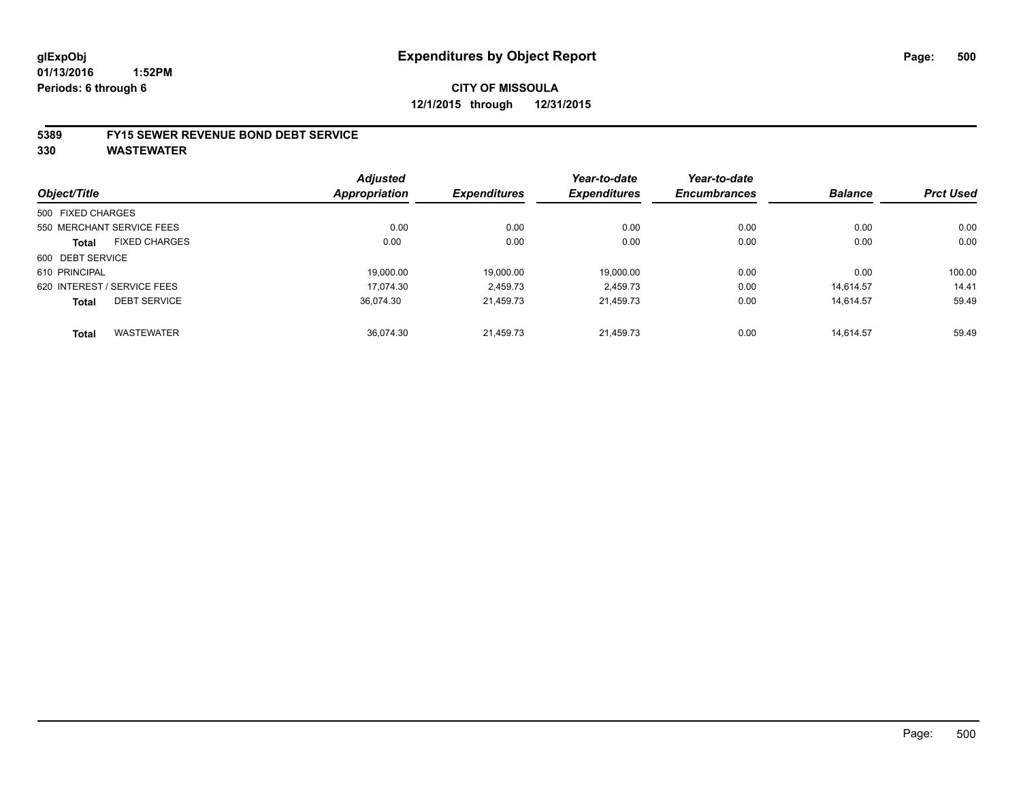# **CITY OF MISSOULA 12/1/2015 through 12/31/2015**

#### **5389 FY15 SEWER REVENUE BOND DEBT SERVICE**

|                   |                             | <b>Adjusted</b>      |                     | Year-to-date        | Year-to-date        |                |                  |
|-------------------|-----------------------------|----------------------|---------------------|---------------------|---------------------|----------------|------------------|
| Object/Title      |                             | <b>Appropriation</b> | <b>Expenditures</b> | <b>Expenditures</b> | <b>Encumbrances</b> | <b>Balance</b> | <b>Prct Used</b> |
| 500 FIXED CHARGES |                             |                      |                     |                     |                     |                |                  |
|                   | 550 MERCHANT SERVICE FEES   | 0.00                 | 0.00                | 0.00                | 0.00                | 0.00           | 0.00             |
| <b>Total</b>      | <b>FIXED CHARGES</b>        | 0.00                 | 0.00                | 0.00                | 0.00                | 0.00           | 0.00             |
| 600 DEBT SERVICE  |                             |                      |                     |                     |                     |                |                  |
| 610 PRINCIPAL     |                             | 19.000.00            | 19.000.00           | 19.000.00           | 0.00                | 0.00           | 100.00           |
|                   | 620 INTEREST / SERVICE FEES | 17.074.30            | 2,459.73            | 2,459.73            | 0.00                | 14.614.57      | 14.41            |
| <b>Total</b>      | <b>DEBT SERVICE</b>         | 36.074.30            | 21.459.73           | 21.459.73           | 0.00                | 14.614.57      | 59.49            |
| <b>Total</b>      | <b>WASTEWATER</b>           | 36.074.30            | 21.459.73           | 21.459.73           | 0.00                | 14.614.57      | 59.49            |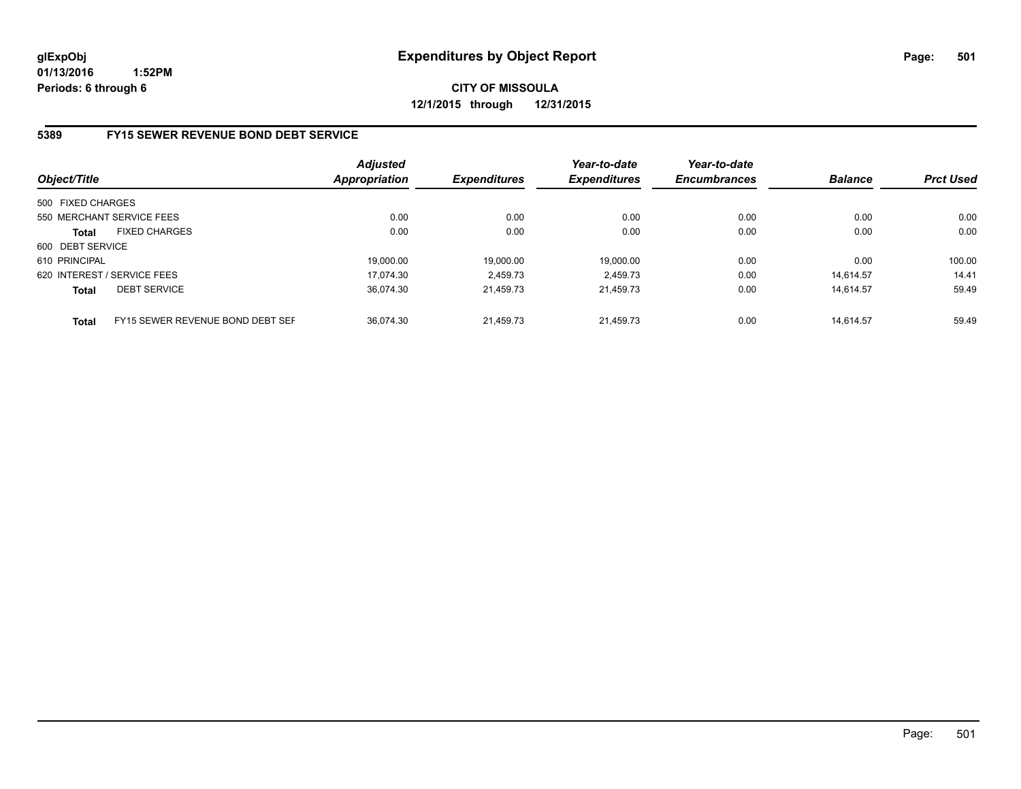**CITY OF MISSOULA 12/1/2015 through 12/31/2015**

### **5389 FY15 SEWER REVENUE BOND DEBT SERVICE**

| Object/Title                |                                  | <b>Adjusted</b><br><b>Appropriation</b> | <b>Expenditures</b> | Year-to-date<br><b>Expenditures</b> | Year-to-date<br><b>Encumbrances</b> | <b>Balance</b> | <b>Prct Used</b> |
|-----------------------------|----------------------------------|-----------------------------------------|---------------------|-------------------------------------|-------------------------------------|----------------|------------------|
| 500 FIXED CHARGES           |                                  |                                         |                     |                                     |                                     |                |                  |
|                             | 550 MERCHANT SERVICE FEES        | 0.00                                    | 0.00                | 0.00                                | 0.00                                | 0.00           | 0.00             |
| <b>Total</b>                | <b>FIXED CHARGES</b>             | 0.00                                    | 0.00                | 0.00                                | 0.00                                | 0.00           | 0.00             |
| 600 DEBT SERVICE            |                                  |                                         |                     |                                     |                                     |                |                  |
| 610 PRINCIPAL               |                                  | 19.000.00                               | 19.000.00           | 19.000.00                           | 0.00                                | 0.00           | 100.00           |
| 620 INTEREST / SERVICE FEES |                                  | 17.074.30                               | 2.459.73            | 2.459.73                            | 0.00                                | 14.614.57      | 14.41            |
| <b>Total</b>                | <b>DEBT SERVICE</b>              | 36.074.30                               | 21.459.73           | 21.459.73                           | 0.00                                | 14.614.57      | 59.49            |
| <b>Total</b>                | FY15 SEWER REVENUE BOND DEBT SEF | 36.074.30                               | 21.459.73           | 21.459.73                           | 0.00                                | 14.614.57      | 59.49            |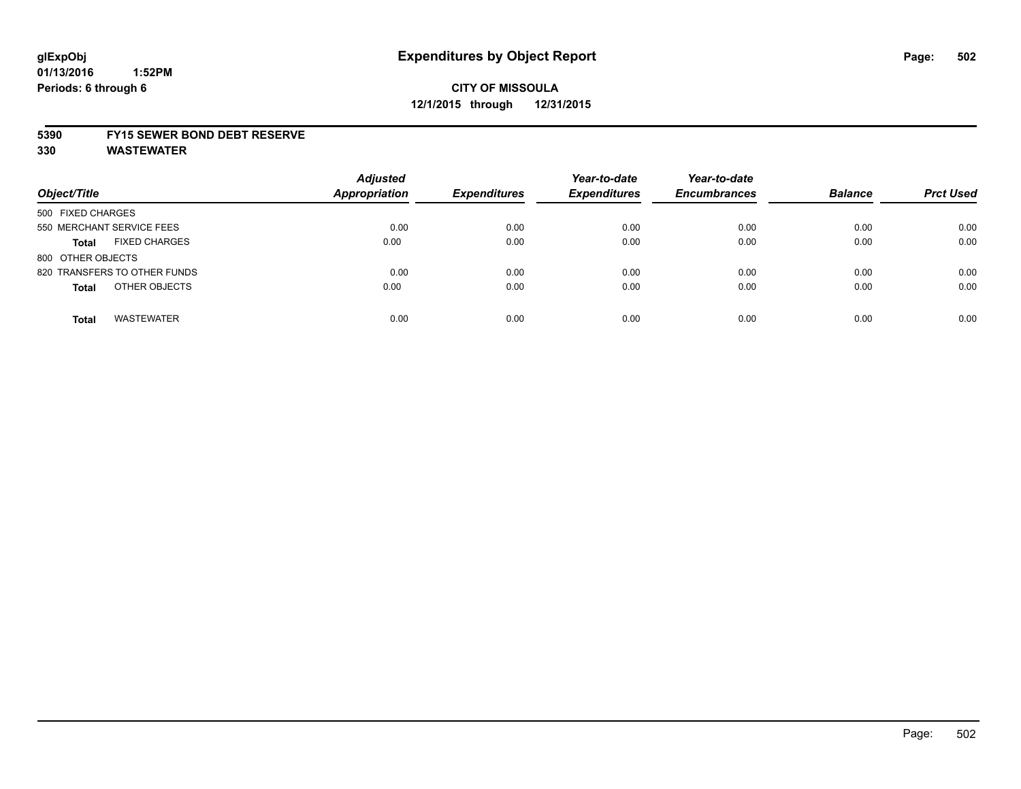# **CITY OF MISSOULA 12/1/2015 through 12/31/2015**

#### **5390 FY15 SEWER BOND DEBT RESERVE**

| Object/Title                         | <b>Adjusted</b><br><b>Appropriation</b> | <b>Expenditures</b> | Year-to-date<br><b>Expenditures</b> | Year-to-date<br><b>Encumbrances</b> | <b>Balance</b> | <b>Prct Used</b> |
|--------------------------------------|-----------------------------------------|---------------------|-------------------------------------|-------------------------------------|----------------|------------------|
| 500 FIXED CHARGES                    |                                         |                     |                                     |                                     |                |                  |
| 550 MERCHANT SERVICE FEES            | 0.00                                    | 0.00                | 0.00                                | 0.00                                | 0.00           | 0.00             |
| <b>FIXED CHARGES</b><br><b>Total</b> | 0.00                                    | 0.00                | 0.00                                | 0.00                                | 0.00           | 0.00             |
| 800 OTHER OBJECTS                    |                                         |                     |                                     |                                     |                |                  |
| 820 TRANSFERS TO OTHER FUNDS         | 0.00                                    | 0.00                | 0.00                                | 0.00                                | 0.00           | 0.00             |
| OTHER OBJECTS<br><b>Total</b>        | 0.00                                    | 0.00                | 0.00                                | 0.00                                | 0.00           | 0.00             |
| <b>WASTEWATER</b><br><b>Total</b>    | 0.00                                    | 0.00                | 0.00                                | 0.00                                | 0.00           | 0.00             |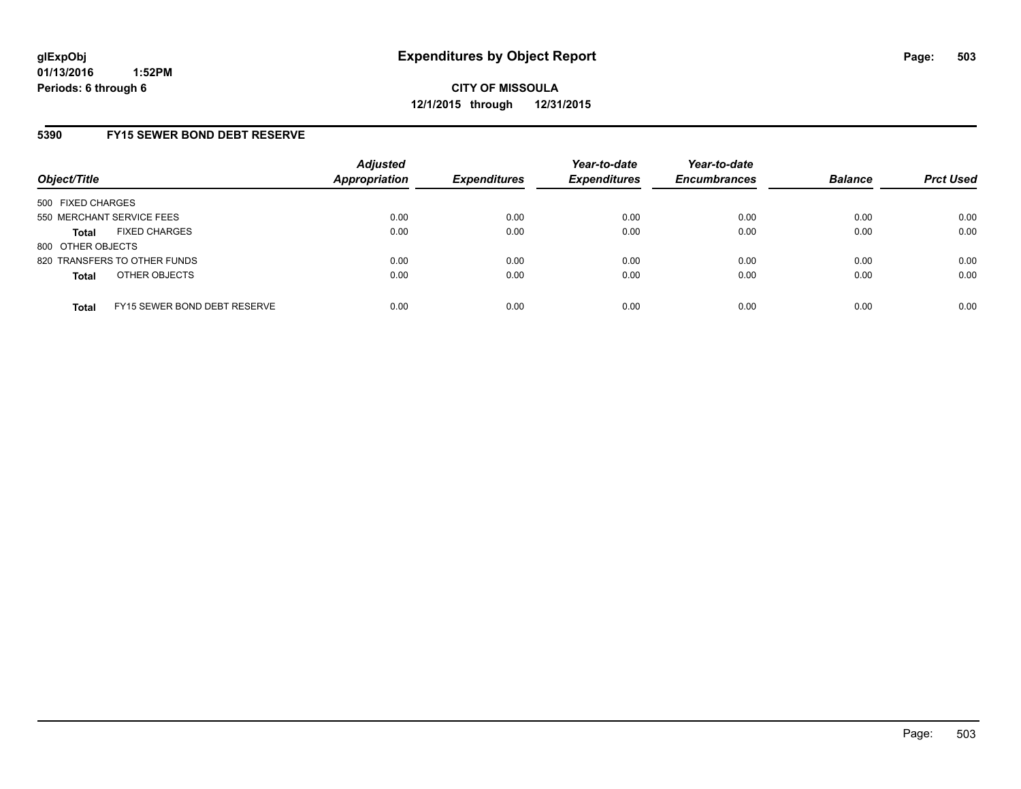## **5390 FY15 SEWER BOND DEBT RESERVE**

| Object/Title              |                              | <b>Adjusted</b><br>Appropriation | <b>Expenditures</b> | Year-to-date<br><b>Expenditures</b> | Year-to-date<br><b>Encumbrances</b> | <b>Balance</b> | <b>Prct Used</b> |
|---------------------------|------------------------------|----------------------------------|---------------------|-------------------------------------|-------------------------------------|----------------|------------------|
| 500 FIXED CHARGES         |                              |                                  |                     |                                     |                                     |                |                  |
| 550 MERCHANT SERVICE FEES |                              | 0.00                             | 0.00                | 0.00                                | 0.00                                | 0.00           | 0.00             |
| Total                     | <b>FIXED CHARGES</b>         | 0.00                             | 0.00                | 0.00                                | 0.00                                | 0.00           | 0.00             |
| 800 OTHER OBJECTS         |                              |                                  |                     |                                     |                                     |                |                  |
|                           | 820 TRANSFERS TO OTHER FUNDS | 0.00                             | 0.00                | 0.00                                | 0.00                                | 0.00           | 0.00             |
| <b>Total</b>              | OTHER OBJECTS                | 0.00                             | 0.00                | 0.00                                | 0.00                                | 0.00           | 0.00             |
| <b>Total</b>              | FY15 SEWER BOND DEBT RESERVE | 0.00                             | 0.00                | 0.00                                | 0.00                                | 0.00           | 0.00             |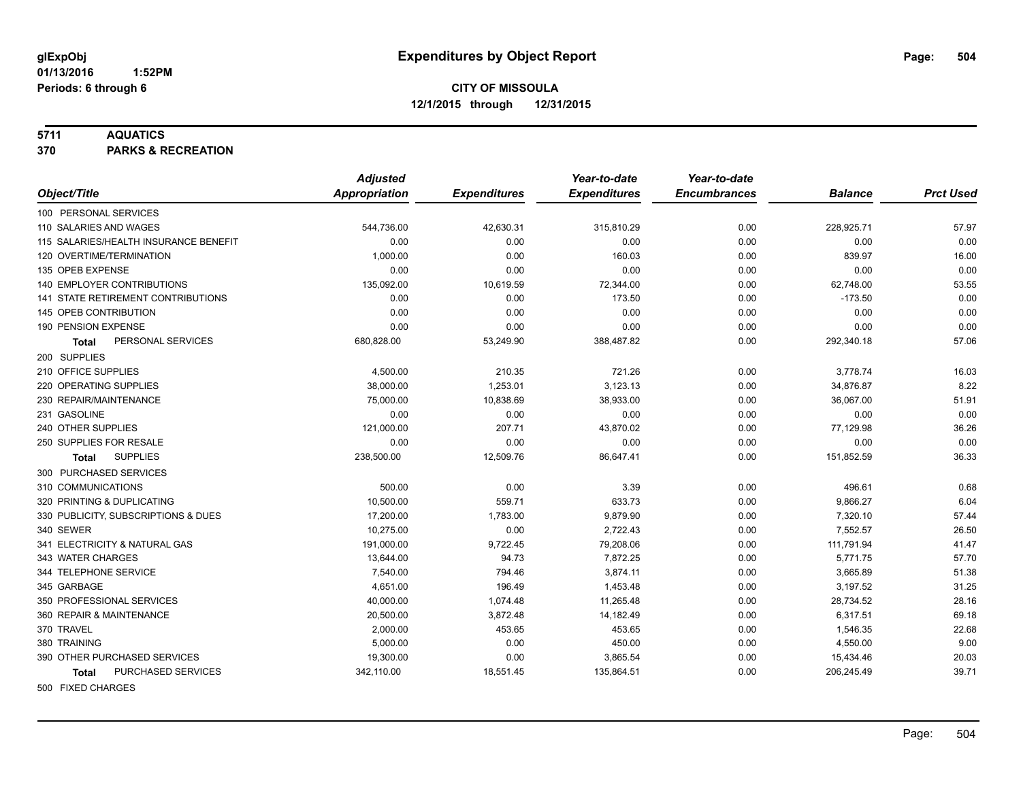#### **5711 AQUATICS**

**370 PARKS & RECREATION**

|                                           | <b>Adjusted</b>      |                     | Year-to-date        | Year-to-date        |                |                  |
|-------------------------------------------|----------------------|---------------------|---------------------|---------------------|----------------|------------------|
| Object/Title                              | <b>Appropriation</b> | <b>Expenditures</b> | <b>Expenditures</b> | <b>Encumbrances</b> | <b>Balance</b> | <b>Prct Used</b> |
| 100 PERSONAL SERVICES                     |                      |                     |                     |                     |                |                  |
| 110 SALARIES AND WAGES                    | 544,736.00           | 42,630.31           | 315,810.29          | 0.00                | 228,925.71     | 57.97            |
| 115 SALARIES/HEALTH INSURANCE BENEFIT     | 0.00                 | 0.00                | 0.00                | 0.00                | 0.00           | 0.00             |
| 120 OVERTIME/TERMINATION                  | 1,000.00             | 0.00                | 160.03              | 0.00                | 839.97         | 16.00            |
| 135 OPEB EXPENSE                          | 0.00                 | 0.00                | 0.00                | 0.00                | 0.00           | 0.00             |
| 140 EMPLOYER CONTRIBUTIONS                | 135,092.00           | 10,619.59           | 72,344.00           | 0.00                | 62,748.00      | 53.55            |
| <b>141 STATE RETIREMENT CONTRIBUTIONS</b> | 0.00                 | 0.00                | 173.50              | 0.00                | $-173.50$      | 0.00             |
| 145 OPEB CONTRIBUTION                     | 0.00                 | 0.00                | 0.00                | 0.00                | 0.00           | 0.00             |
| 190 PENSION EXPENSE                       | 0.00                 | 0.00                | 0.00                | 0.00                | 0.00           | 0.00             |
| PERSONAL SERVICES<br>Total                | 680,828.00           | 53,249.90           | 388,487.82          | 0.00                | 292,340.18     | 57.06            |
| 200 SUPPLIES                              |                      |                     |                     |                     |                |                  |
| 210 OFFICE SUPPLIES                       | 4,500.00             | 210.35              | 721.26              | 0.00                | 3,778.74       | 16.03            |
| 220 OPERATING SUPPLIES                    | 38,000.00            | 1,253.01            | 3,123.13            | 0.00                | 34,876.87      | 8.22             |
| 230 REPAIR/MAINTENANCE                    | 75,000.00            | 10,838.69           | 38,933.00           | 0.00                | 36,067.00      | 51.91            |
| 231 GASOLINE                              | 0.00                 | 0.00                | 0.00                | 0.00                | 0.00           | 0.00             |
| 240 OTHER SUPPLIES                        | 121,000.00           | 207.71              | 43,870.02           | 0.00                | 77,129.98      | 36.26            |
| 250 SUPPLIES FOR RESALE                   | 0.00                 | 0.00                | 0.00                | 0.00                | 0.00           | 0.00             |
| <b>SUPPLIES</b><br>Total                  | 238,500.00           | 12,509.76           | 86,647.41           | 0.00                | 151,852.59     | 36.33            |
| 300 PURCHASED SERVICES                    |                      |                     |                     |                     |                |                  |
| 310 COMMUNICATIONS                        | 500.00               | 0.00                | 3.39                | 0.00                | 496.61         | 0.68             |
| 320 PRINTING & DUPLICATING                | 10,500.00            | 559.71              | 633.73              | 0.00                | 9,866.27       | 6.04             |
| 330 PUBLICITY, SUBSCRIPTIONS & DUES       | 17,200.00            | 1,783.00            | 9,879.90            | 0.00                | 7,320.10       | 57.44            |
| 340 SEWER                                 | 10,275.00            | 0.00                | 2,722.43            | 0.00                | 7,552.57       | 26.50            |
| 341 ELECTRICITY & NATURAL GAS             | 191,000.00           | 9,722.45            | 79,208.06           | 0.00                | 111,791.94     | 41.47            |
| 343 WATER CHARGES                         | 13,644.00            | 94.73               | 7,872.25            | 0.00                | 5,771.75       | 57.70            |
| 344 TELEPHONE SERVICE                     | 7,540.00             | 794.46              | 3,874.11            | 0.00                | 3,665.89       | 51.38            |
| 345 GARBAGE                               | 4,651.00             | 196.49              | 1,453.48            | 0.00                | 3,197.52       | 31.25            |
| 350 PROFESSIONAL SERVICES                 | 40,000.00            | 1,074.48            | 11,265.48           | 0.00                | 28,734.52      | 28.16            |
| 360 REPAIR & MAINTENANCE                  | 20,500.00            | 3,872.48            | 14,182.49           | 0.00                | 6,317.51       | 69.18            |
| 370 TRAVEL                                | 2,000.00             | 453.65              | 453.65              | 0.00                | 1,546.35       | 22.68            |
| 380 TRAINING                              | 5,000.00             | 0.00                | 450.00              | 0.00                | 4,550.00       | 9.00             |
| 390 OTHER PURCHASED SERVICES              | 19,300.00            | 0.00                | 3,865.54            | 0.00                | 15,434.46      | 20.03            |
| PURCHASED SERVICES<br><b>Total</b>        | 342,110.00           | 18,551.45           | 135,864.51          | 0.00                | 206,245.49     | 39.71            |
| 500 FIXED CHARGES                         |                      |                     |                     |                     |                |                  |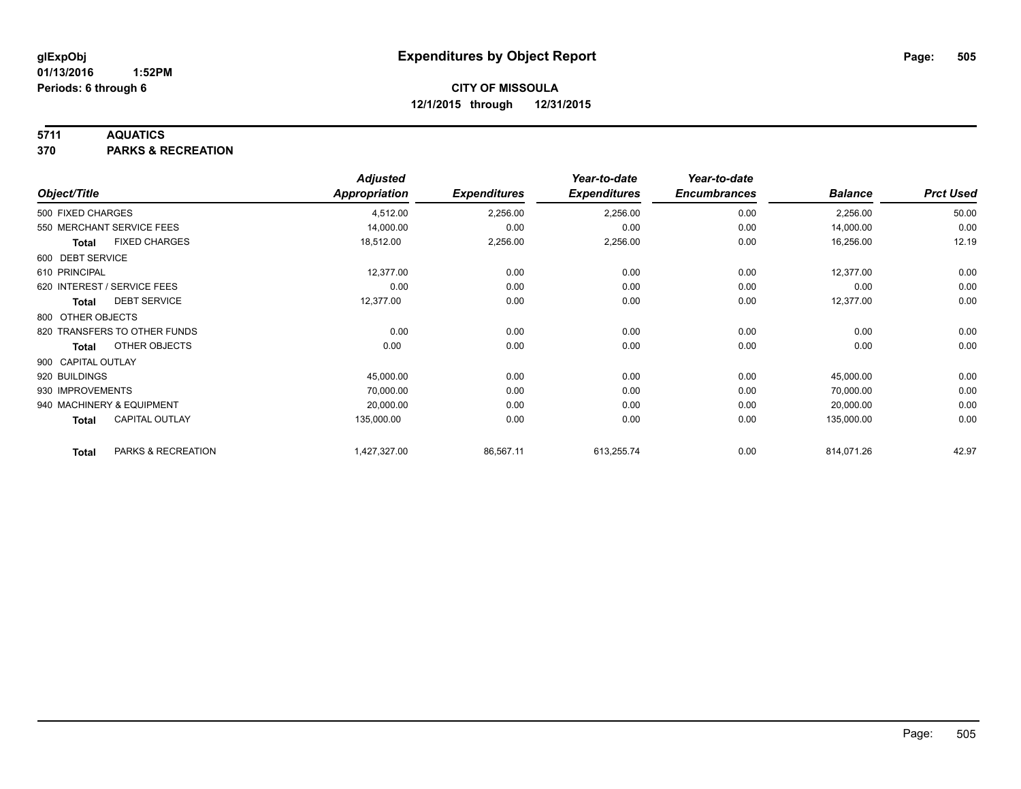#### **5711 AQUATICS**

**370 PARKS & RECREATION**

|                    |                              | <b>Adjusted</b>      |                     | Year-to-date        | Year-to-date        |                |                  |
|--------------------|------------------------------|----------------------|---------------------|---------------------|---------------------|----------------|------------------|
| Object/Title       |                              | <b>Appropriation</b> | <b>Expenditures</b> | <b>Expenditures</b> | <b>Encumbrances</b> | <b>Balance</b> | <b>Prct Used</b> |
| 500 FIXED CHARGES  |                              | 4,512.00             | 2,256.00            | 2,256.00            | 0.00                | 2,256.00       | 50.00            |
|                    | 550 MERCHANT SERVICE FEES    | 14,000.00            | 0.00                | 0.00                | 0.00                | 14,000.00      | 0.00             |
| <b>Total</b>       | <b>FIXED CHARGES</b>         | 18,512.00            | 2,256.00            | 2,256.00            | 0.00                | 16,256.00      | 12.19            |
| 600 DEBT SERVICE   |                              |                      |                     |                     |                     |                |                  |
| 610 PRINCIPAL      |                              | 12,377.00            | 0.00                | 0.00                | 0.00                | 12,377.00      | 0.00             |
|                    | 620 INTEREST / SERVICE FEES  | 0.00                 | 0.00                | 0.00                | 0.00                | 0.00           | 0.00             |
| Total              | <b>DEBT SERVICE</b>          | 12,377.00            | 0.00                | 0.00                | 0.00                | 12,377.00      | 0.00             |
| 800 OTHER OBJECTS  |                              |                      |                     |                     |                     |                |                  |
|                    | 820 TRANSFERS TO OTHER FUNDS | 0.00                 | 0.00                | 0.00                | 0.00                | 0.00           | 0.00             |
| Total              | OTHER OBJECTS                | 0.00                 | 0.00                | 0.00                | 0.00                | 0.00           | 0.00             |
| 900 CAPITAL OUTLAY |                              |                      |                     |                     |                     |                |                  |
| 920 BUILDINGS      |                              | 45,000.00            | 0.00                | 0.00                | 0.00                | 45,000.00      | 0.00             |
| 930 IMPROVEMENTS   |                              | 70,000.00            | 0.00                | 0.00                | 0.00                | 70,000.00      | 0.00             |
|                    | 940 MACHINERY & EQUIPMENT    | 20,000.00            | 0.00                | 0.00                | 0.00                | 20,000.00      | 0.00             |
| <b>Total</b>       | <b>CAPITAL OUTLAY</b>        | 135,000.00           | 0.00                | 0.00                | 0.00                | 135,000.00     | 0.00             |
| <b>Total</b>       | PARKS & RECREATION           | 1,427,327.00         | 86,567.11           | 613,255.74          | 0.00                | 814,071.26     | 42.97            |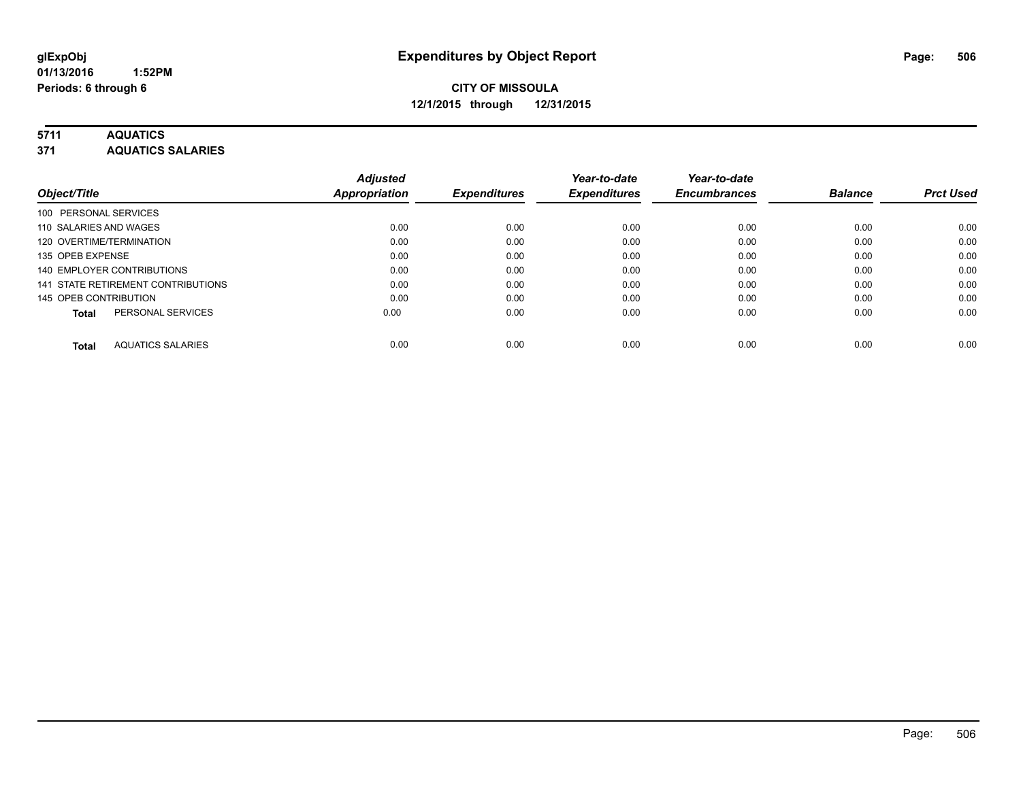# **5711 AQUATICS**

**371 AQUATICS SALARIES**

|                                          | <b>Adjusted</b>      |                     | Year-to-date        | Year-to-date        |                |                  |
|------------------------------------------|----------------------|---------------------|---------------------|---------------------|----------------|------------------|
| Object/Title                             | <b>Appropriation</b> | <b>Expenditures</b> | <b>Expenditures</b> | <b>Encumbrances</b> | <b>Balance</b> | <b>Prct Used</b> |
| 100 PERSONAL SERVICES                    |                      |                     |                     |                     |                |                  |
| 110 SALARIES AND WAGES                   | 0.00                 | 0.00                | 0.00                | 0.00                | 0.00           | 0.00             |
| 120 OVERTIME/TERMINATION                 | 0.00                 | 0.00                | 0.00                | 0.00                | 0.00           | 0.00             |
| 135 OPEB EXPENSE                         | 0.00                 | 0.00                | 0.00                | 0.00                | 0.00           | 0.00             |
| 140 EMPLOYER CONTRIBUTIONS               | 0.00                 | 0.00                | 0.00                | 0.00                | 0.00           | 0.00             |
| 141 STATE RETIREMENT CONTRIBUTIONS       | 0.00                 | 0.00                | 0.00                | 0.00                | 0.00           | 0.00             |
| 145 OPEB CONTRIBUTION                    | 0.00                 | 0.00                | 0.00                | 0.00                | 0.00           | 0.00             |
| PERSONAL SERVICES<br>Total               | 0.00                 | 0.00                | 0.00                | 0.00                | 0.00           | 0.00             |
| <b>AQUATICS SALARIES</b><br><b>Total</b> | 0.00                 | 0.00                | 0.00                | 0.00                | 0.00           | 0.00             |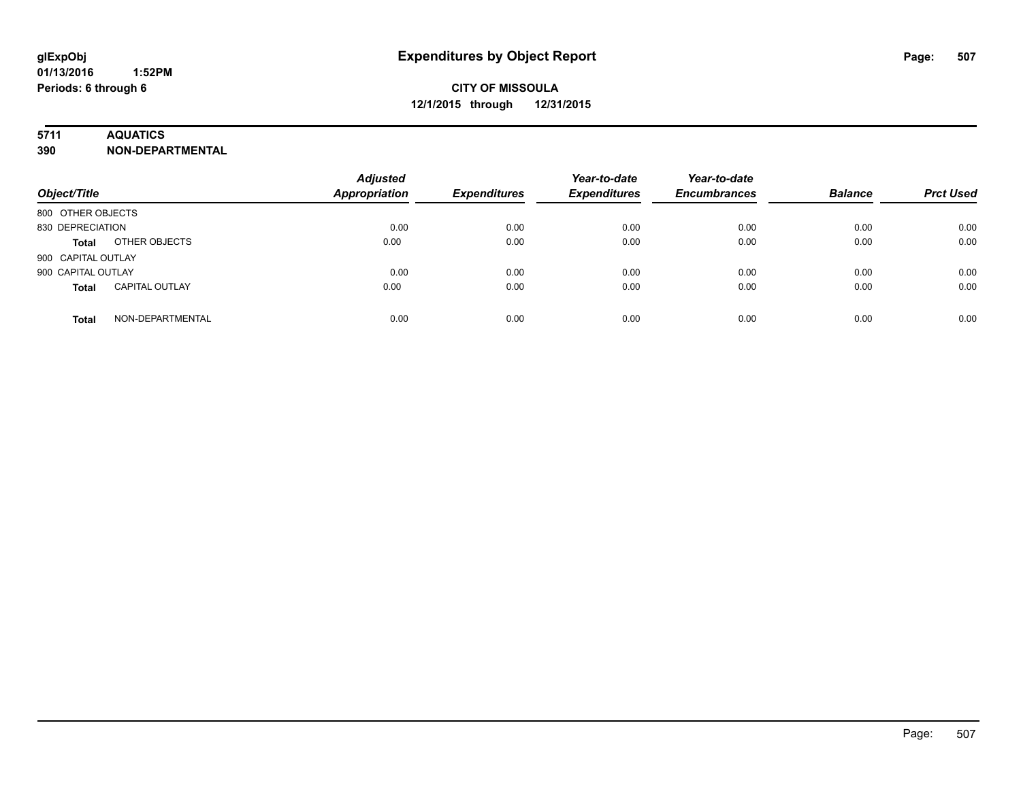### **5711 AQUATICS**

**390 NON-DEPARTMENTAL**

| Object/Title                          | <b>Adjusted</b><br><b>Appropriation</b> | <b>Expenditures</b> | Year-to-date<br><b>Expenditures</b> | Year-to-date<br><b>Encumbrances</b> | <b>Balance</b> | <b>Prct Used</b> |
|---------------------------------------|-----------------------------------------|---------------------|-------------------------------------|-------------------------------------|----------------|------------------|
| 800 OTHER OBJECTS                     |                                         |                     |                                     |                                     |                |                  |
| 830 DEPRECIATION                      | 0.00                                    | 0.00                | 0.00                                | 0.00                                | 0.00           | 0.00             |
| OTHER OBJECTS<br><b>Total</b>         | 0.00                                    | 0.00                | 0.00                                | 0.00                                | 0.00           | 0.00             |
| 900 CAPITAL OUTLAY                    |                                         |                     |                                     |                                     |                |                  |
| 900 CAPITAL OUTLAY                    | 0.00                                    | 0.00                | 0.00                                | 0.00                                | 0.00           | 0.00             |
| <b>CAPITAL OUTLAY</b><br><b>Total</b> | 0.00                                    | 0.00                | 0.00                                | 0.00                                | 0.00           | 0.00             |
| NON-DEPARTMENTAL<br><b>Total</b>      | 0.00                                    | 0.00                | 0.00                                | 0.00                                | 0.00           | 0.00             |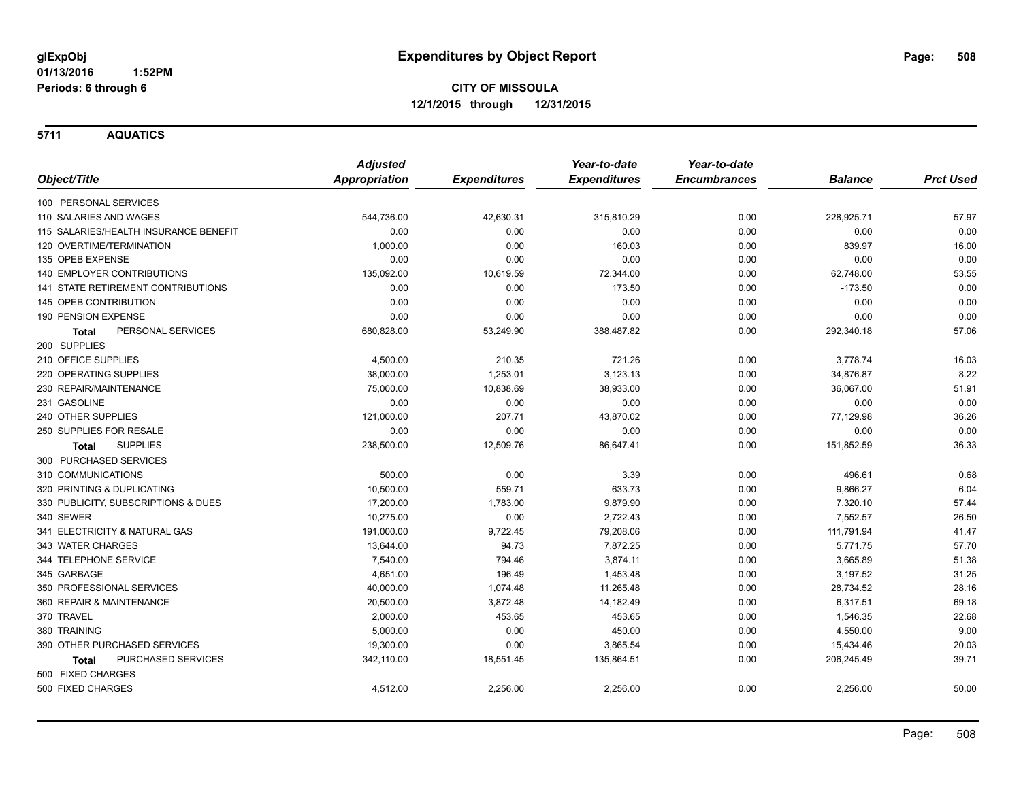**5711 AQUATICS**

|                                       | <b>Adjusted</b>      |                     | Year-to-date        | Year-to-date        |                |                  |
|---------------------------------------|----------------------|---------------------|---------------------|---------------------|----------------|------------------|
| Object/Title                          | <b>Appropriation</b> | <b>Expenditures</b> | <b>Expenditures</b> | <b>Encumbrances</b> | <b>Balance</b> | <b>Prct Used</b> |
| 100 PERSONAL SERVICES                 |                      |                     |                     |                     |                |                  |
| 110 SALARIES AND WAGES                | 544,736.00           | 42,630.31           | 315,810.29          | 0.00                | 228,925.71     | 57.97            |
| 115 SALARIES/HEALTH INSURANCE BENEFIT | 0.00                 | 0.00                | 0.00                | 0.00                | 0.00           | 0.00             |
| 120 OVERTIME/TERMINATION              | 1,000.00             | 0.00                | 160.03              | 0.00                | 839.97         | 16.00            |
| 135 OPEB EXPENSE                      | 0.00                 | 0.00                | 0.00                | 0.00                | 0.00           | 0.00             |
| 140 EMPLOYER CONTRIBUTIONS            | 135,092.00           | 10,619.59           | 72,344.00           | 0.00                | 62,748.00      | 53.55            |
| 141 STATE RETIREMENT CONTRIBUTIONS    | 0.00                 | 0.00                | 173.50              | 0.00                | $-173.50$      | 0.00             |
| 145 OPEB CONTRIBUTION                 | 0.00                 | 0.00                | 0.00                | 0.00                | 0.00           | 0.00             |
| 190 PENSION EXPENSE                   | 0.00                 | 0.00                | 0.00                | 0.00                | 0.00           | 0.00             |
| PERSONAL SERVICES<br><b>Total</b>     | 680,828.00           | 53,249.90           | 388,487.82          | 0.00                | 292,340.18     | 57.06            |
| 200 SUPPLIES                          |                      |                     |                     |                     |                |                  |
| 210 OFFICE SUPPLIES                   | 4,500.00             | 210.35              | 721.26              | 0.00                | 3,778.74       | 16.03            |
| 220 OPERATING SUPPLIES                | 38,000.00            | 1,253.01            | 3,123.13            | 0.00                | 34,876.87      | 8.22             |
| 230 REPAIR/MAINTENANCE                | 75,000.00            | 10,838.69           | 38,933.00           | 0.00                | 36,067.00      | 51.91            |
| 231 GASOLINE                          | 0.00                 | 0.00                | 0.00                | 0.00                | 0.00           | 0.00             |
| 240 OTHER SUPPLIES                    | 121,000.00           | 207.71              | 43,870.02           | 0.00                | 77,129.98      | 36.26            |
| 250 SUPPLIES FOR RESALE               | 0.00                 | 0.00                | 0.00                | 0.00                | 0.00           | 0.00             |
| <b>SUPPLIES</b><br><b>Total</b>       | 238,500.00           | 12,509.76           | 86,647.41           | 0.00                | 151,852.59     | 36.33            |
| 300 PURCHASED SERVICES                |                      |                     |                     |                     |                |                  |
| 310 COMMUNICATIONS                    | 500.00               | 0.00                | 3.39                | 0.00                | 496.61         | 0.68             |
| 320 PRINTING & DUPLICATING            | 10,500.00            | 559.71              | 633.73              | 0.00                | 9,866.27       | 6.04             |
| 330 PUBLICITY, SUBSCRIPTIONS & DUES   | 17,200.00            | 1,783.00            | 9,879.90            | 0.00                | 7,320.10       | 57.44            |
| 340 SEWER                             | 10,275.00            | 0.00                | 2,722.43            | 0.00                | 7,552.57       | 26.50            |
| 341 ELECTRICITY & NATURAL GAS         | 191,000.00           | 9,722.45            | 79,208.06           | 0.00                | 111,791.94     | 41.47            |
| 343 WATER CHARGES                     | 13,644.00            | 94.73               | 7,872.25            | 0.00                | 5,771.75       | 57.70            |
| 344 TELEPHONE SERVICE                 | 7,540.00             | 794.46              | 3,874.11            | 0.00                | 3,665.89       | 51.38            |
| 345 GARBAGE                           | 4,651.00             | 196.49              | 1,453.48            | 0.00                | 3,197.52       | 31.25            |
| 350 PROFESSIONAL SERVICES             | 40,000.00            | 1,074.48            | 11,265.48           | 0.00                | 28,734.52      | 28.16            |
| 360 REPAIR & MAINTENANCE              | 20,500.00            | 3,872.48            | 14,182.49           | 0.00                | 6,317.51       | 69.18            |
| 370 TRAVEL                            | 2,000.00             | 453.65              | 453.65              | 0.00                | 1,546.35       | 22.68            |
| 380 TRAINING                          | 5,000.00             | 0.00                | 450.00              | 0.00                | 4,550.00       | 9.00             |
| 390 OTHER PURCHASED SERVICES          | 19,300.00            | 0.00                | 3,865.54            | 0.00                | 15,434.46      | 20.03            |
| PURCHASED SERVICES<br>Total           | 342,110.00           | 18,551.45           | 135,864.51          | 0.00                | 206,245.49     | 39.71            |
| 500 FIXED CHARGES                     |                      |                     |                     |                     |                |                  |
| 500 FIXED CHARGES                     | 4,512.00             | 2,256.00            | 2,256.00            | 0.00                | 2,256.00       | 50.00            |
|                                       |                      |                     |                     |                     |                |                  |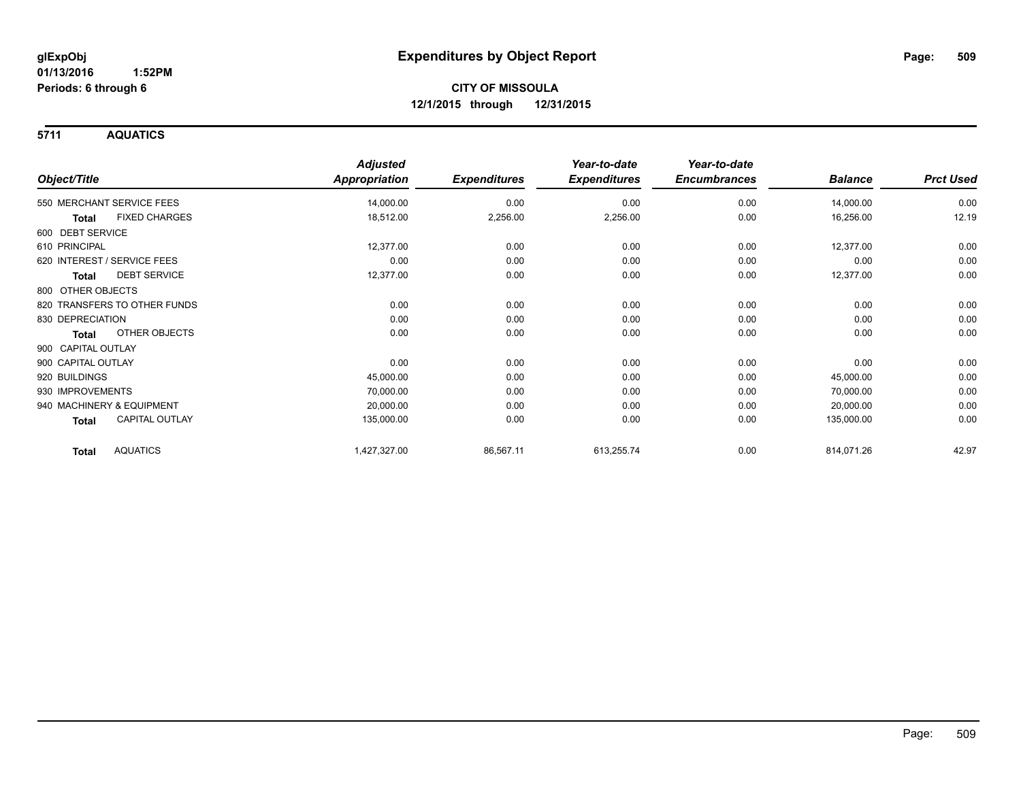**5711 AQUATICS**

|                                 | <b>Adjusted</b>      |                     | Year-to-date        | Year-to-date        |                |                  |
|---------------------------------|----------------------|---------------------|---------------------|---------------------|----------------|------------------|
| Object/Title                    | <b>Appropriation</b> | <b>Expenditures</b> | <b>Expenditures</b> | <b>Encumbrances</b> | <b>Balance</b> | <b>Prct Used</b> |
| 550 MERCHANT SERVICE FEES       | 14,000.00            | 0.00                | 0.00                | 0.00                | 14,000.00      | 0.00             |
| <b>FIXED CHARGES</b><br>Total   | 18,512.00            | 2,256.00            | 2,256.00            | 0.00                | 16,256.00      | 12.19            |
| 600 DEBT SERVICE                |                      |                     |                     |                     |                |                  |
| 610 PRINCIPAL                   | 12,377.00            | 0.00                | 0.00                | 0.00                | 12,377.00      | 0.00             |
| 620 INTEREST / SERVICE FEES     | 0.00                 | 0.00                | 0.00                | 0.00                | 0.00           | 0.00             |
| <b>DEBT SERVICE</b><br>Total    | 12,377.00            | 0.00                | 0.00                | 0.00                | 12,377.00      | 0.00             |
| 800 OTHER OBJECTS               |                      |                     |                     |                     |                |                  |
| 820 TRANSFERS TO OTHER FUNDS    | 0.00                 | 0.00                | 0.00                | 0.00                | 0.00           | 0.00             |
| 830 DEPRECIATION                | 0.00                 | 0.00                | 0.00                | 0.00                | 0.00           | 0.00             |
| OTHER OBJECTS<br>Total          | 0.00                 | 0.00                | 0.00                | 0.00                | 0.00           | 0.00             |
| 900 CAPITAL OUTLAY              |                      |                     |                     |                     |                |                  |
| 900 CAPITAL OUTLAY              | 0.00                 | 0.00                | 0.00                | 0.00                | 0.00           | 0.00             |
| 920 BUILDINGS                   | 45,000.00            | 0.00                | 0.00                | 0.00                | 45,000.00      | 0.00             |
| 930 IMPROVEMENTS                | 70,000.00            | 0.00                | 0.00                | 0.00                | 70,000.00      | 0.00             |
| 940 MACHINERY & EQUIPMENT       | 20,000.00            | 0.00                | 0.00                | 0.00                | 20,000.00      | 0.00             |
| <b>CAPITAL OUTLAY</b><br>Total  | 135,000.00           | 0.00                | 0.00                | 0.00                | 135,000.00     | 0.00             |
| <b>AQUATICS</b><br><b>Total</b> | 1,427,327.00         | 86,567.11           | 613,255.74          | 0.00                | 814,071.26     | 42.97            |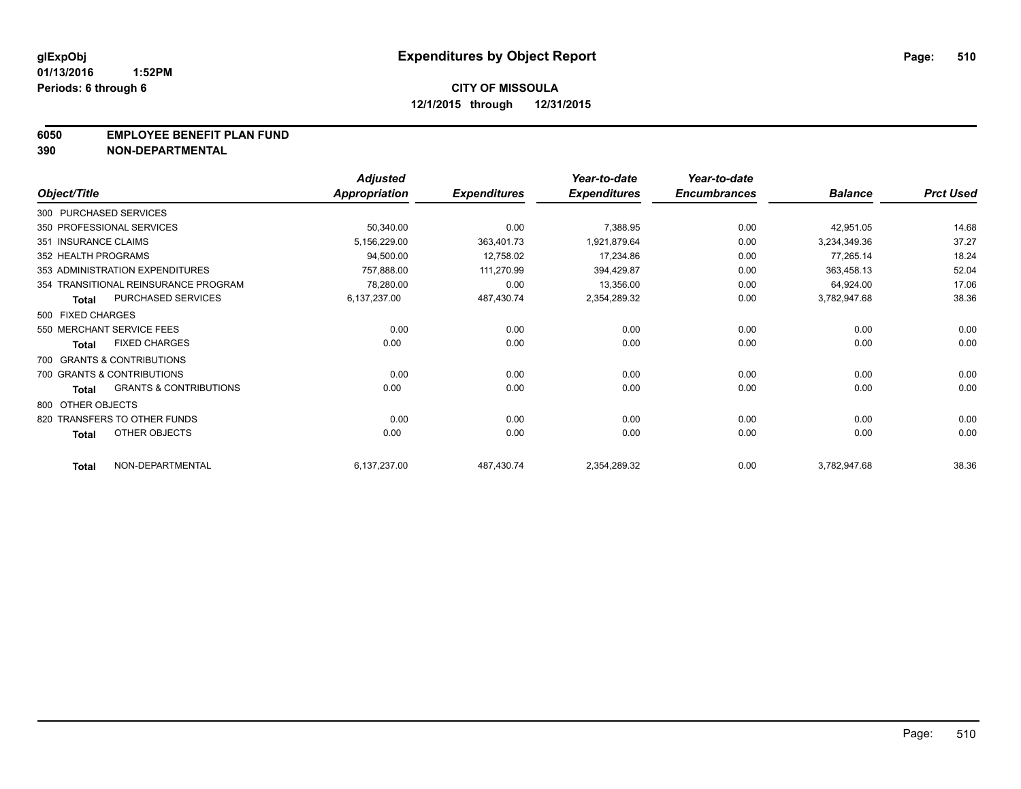#### **6050 EMPLOYEE BENEFIT PLAN FUND**

**390 NON-DEPARTMENTAL**

|                      |                                      | <b>Adjusted</b> |                     | Year-to-date        | Year-to-date        |                |                  |
|----------------------|--------------------------------------|-----------------|---------------------|---------------------|---------------------|----------------|------------------|
| Object/Title         |                                      | Appropriation   | <b>Expenditures</b> | <b>Expenditures</b> | <b>Encumbrances</b> | <b>Balance</b> | <b>Prct Used</b> |
|                      | 300 PURCHASED SERVICES               |                 |                     |                     |                     |                |                  |
|                      | 350 PROFESSIONAL SERVICES            | 50,340.00       | 0.00                | 7,388.95            | 0.00                | 42,951.05      | 14.68            |
| 351 INSURANCE CLAIMS |                                      | 5,156,229.00    | 363,401.73          | 1,921,879.64        | 0.00                | 3,234,349.36   | 37.27            |
| 352 HEALTH PROGRAMS  |                                      | 94,500.00       | 12,758.02           | 17,234.86           | 0.00                | 77,265.14      | 18.24            |
|                      | 353 ADMINISTRATION EXPENDITURES      | 757,888.00      | 111,270.99          | 394,429.87          | 0.00                | 363,458.13     | 52.04            |
|                      | 354 TRANSITIONAL REINSURANCE PROGRAM | 78,280.00       | 0.00                | 13,356.00           | 0.00                | 64,924.00      | 17.06            |
| <b>Total</b>         | PURCHASED SERVICES                   | 6,137,237.00    | 487,430.74          | 2,354,289.32        | 0.00                | 3,782,947.68   | 38.36            |
| 500 FIXED CHARGES    |                                      |                 |                     |                     |                     |                |                  |
|                      | 550 MERCHANT SERVICE FEES            | 0.00            | 0.00                | 0.00                | 0.00                | 0.00           | 0.00             |
| <b>Total</b>         | <b>FIXED CHARGES</b>                 | 0.00            | 0.00                | 0.00                | 0.00                | 0.00           | 0.00             |
|                      | 700 GRANTS & CONTRIBUTIONS           |                 |                     |                     |                     |                |                  |
|                      | 700 GRANTS & CONTRIBUTIONS           | 0.00            | 0.00                | 0.00                | 0.00                | 0.00           | 0.00             |
| <b>Total</b>         | <b>GRANTS &amp; CONTRIBUTIONS</b>    | 0.00            | 0.00                | 0.00                | 0.00                | 0.00           | 0.00             |
| 800 OTHER OBJECTS    |                                      |                 |                     |                     |                     |                |                  |
|                      | 820 TRANSFERS TO OTHER FUNDS         | 0.00            | 0.00                | 0.00                | 0.00                | 0.00           | 0.00             |
| <b>Total</b>         | <b>OTHER OBJECTS</b>                 | 0.00            | 0.00                | 0.00                | 0.00                | 0.00           | 0.00             |
| <b>Total</b>         | NON-DEPARTMENTAL                     | 6,137,237.00    | 487,430.74          | 2,354,289.32        | 0.00                | 3,782,947.68   | 38.36            |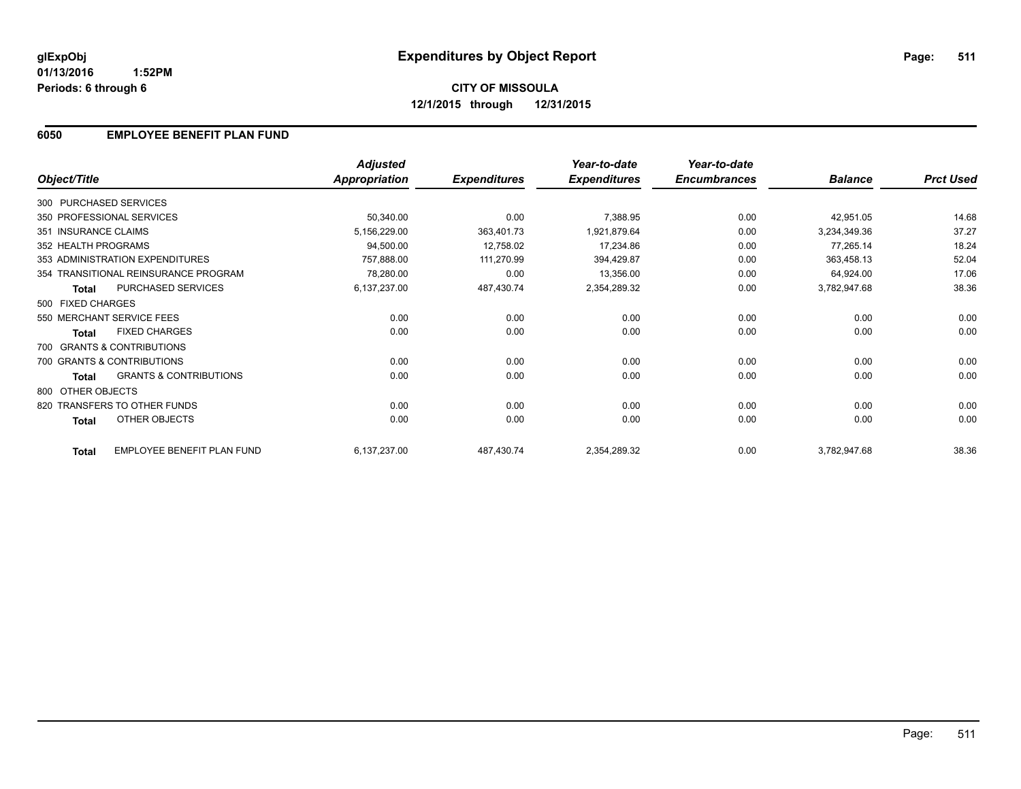#### **01/13/2016 1:52PM Periods: 6 through 6**

# **CITY OF MISSOULA 12/1/2015 through 12/31/2015**

### **6050 EMPLOYEE BENEFIT PLAN FUND**

|                        |                                      | <b>Adjusted</b>      |                     | Year-to-date        | Year-to-date        |                |                  |
|------------------------|--------------------------------------|----------------------|---------------------|---------------------|---------------------|----------------|------------------|
| Object/Title           |                                      | <b>Appropriation</b> | <b>Expenditures</b> | <b>Expenditures</b> | <b>Encumbrances</b> | <b>Balance</b> | <b>Prct Used</b> |
| 300 PURCHASED SERVICES |                                      |                      |                     |                     |                     |                |                  |
|                        | 350 PROFESSIONAL SERVICES            | 50,340.00            | 0.00                | 7,388.95            | 0.00                | 42,951.05      | 14.68            |
| 351 INSURANCE CLAIMS   |                                      | 5,156,229.00         | 363,401.73          | 1,921,879.64        | 0.00                | 3,234,349.36   | 37.27            |
| 352 HEALTH PROGRAMS    |                                      | 94,500.00            | 12,758.02           | 17,234.86           | 0.00                | 77,265.14      | 18.24            |
|                        | 353 ADMINISTRATION EXPENDITURES      | 757,888.00           | 111,270.99          | 394,429.87          | 0.00                | 363,458.13     | 52.04            |
|                        | 354 TRANSITIONAL REINSURANCE PROGRAM | 78,280.00            | 0.00                | 13,356.00           | 0.00                | 64,924.00      | 17.06            |
| <b>Total</b>           | PURCHASED SERVICES                   | 6,137,237.00         | 487,430.74          | 2,354,289.32        | 0.00                | 3,782,947.68   | 38.36            |
| 500 FIXED CHARGES      |                                      |                      |                     |                     |                     |                |                  |
|                        | 550 MERCHANT SERVICE FEES            | 0.00                 | 0.00                | 0.00                | 0.00                | 0.00           | 0.00             |
| <b>Total</b>           | <b>FIXED CHARGES</b>                 | 0.00                 | 0.00                | 0.00                | 0.00                | 0.00           | 0.00             |
|                        | 700 GRANTS & CONTRIBUTIONS           |                      |                     |                     |                     |                |                  |
|                        | 700 GRANTS & CONTRIBUTIONS           | 0.00                 | 0.00                | 0.00                | 0.00                | 0.00           | 0.00             |
| Total                  | <b>GRANTS &amp; CONTRIBUTIONS</b>    | 0.00                 | 0.00                | 0.00                | 0.00                | 0.00           | 0.00             |
| 800 OTHER OBJECTS      |                                      |                      |                     |                     |                     |                |                  |
|                        | 820 TRANSFERS TO OTHER FUNDS         | 0.00                 | 0.00                | 0.00                | 0.00                | 0.00           | 0.00             |
| <b>Total</b>           | OTHER OBJECTS                        | 0.00                 | 0.00                | 0.00                | 0.00                | 0.00           | 0.00             |
| <b>Total</b>           | EMPLOYEE BENEFIT PLAN FUND           | 6,137,237.00         | 487,430.74          | 2,354,289.32        | 0.00                | 3,782,947.68   | 38.36            |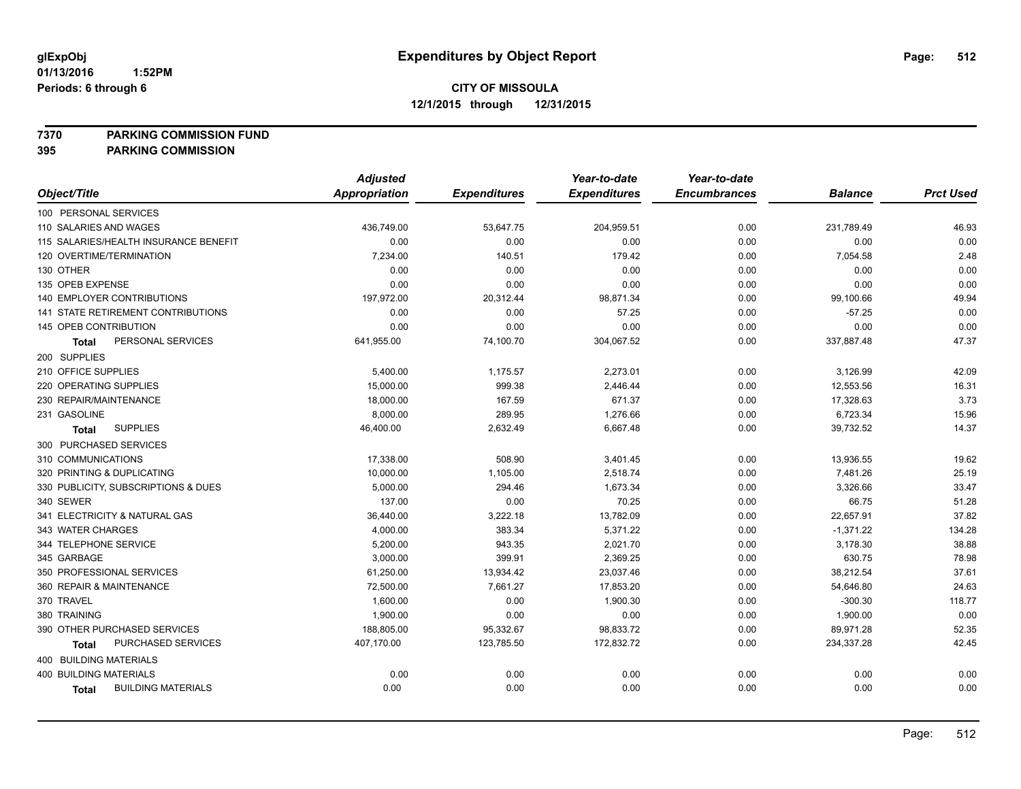**7370 PARKING COMMISSION FUND**

|                                           | <b>Adjusted</b> |                     | Year-to-date        | Year-to-date        |                |                  |
|-------------------------------------------|-----------------|---------------------|---------------------|---------------------|----------------|------------------|
| Object/Title                              | Appropriation   | <b>Expenditures</b> | <b>Expenditures</b> | <b>Encumbrances</b> | <b>Balance</b> | <b>Prct Used</b> |
| 100 PERSONAL SERVICES                     |                 |                     |                     |                     |                |                  |
| 110 SALARIES AND WAGES                    | 436,749.00      | 53,647.75           | 204,959.51          | 0.00                | 231,789.49     | 46.93            |
| 115 SALARIES/HEALTH INSURANCE BENEFIT     | 0.00            | 0.00                | 0.00                | 0.00                | 0.00           | 0.00             |
| 120 OVERTIME/TERMINATION                  | 7,234.00        | 140.51              | 179.42              | 0.00                | 7,054.58       | 2.48             |
| 130 OTHER                                 | 0.00            | 0.00                | 0.00                | 0.00                | 0.00           | 0.00             |
| 135 OPEB EXPENSE                          | 0.00            | 0.00                | 0.00                | 0.00                | 0.00           | 0.00             |
| 140 EMPLOYER CONTRIBUTIONS                | 197,972.00      | 20,312.44           | 98,871.34           | 0.00                | 99,100.66      | 49.94            |
| <b>141 STATE RETIREMENT CONTRIBUTIONS</b> | 0.00            | 0.00                | 57.25               | 0.00                | $-57.25$       | 0.00             |
| 145 OPEB CONTRIBUTION                     | 0.00            | 0.00                | 0.00                | 0.00                | 0.00           | 0.00             |
| PERSONAL SERVICES<br><b>Total</b>         | 641,955.00      | 74,100.70           | 304,067.52          | 0.00                | 337,887.48     | 47.37            |
| 200 SUPPLIES                              |                 |                     |                     |                     |                |                  |
| 210 OFFICE SUPPLIES                       | 5,400.00        | 1,175.57            | 2,273.01            | 0.00                | 3,126.99       | 42.09            |
| 220 OPERATING SUPPLIES                    | 15,000.00       | 999.38              | 2,446.44            | 0.00                | 12,553.56      | 16.31            |
| 230 REPAIR/MAINTENANCE                    | 18,000.00       | 167.59              | 671.37              | 0.00                | 17,328.63      | 3.73             |
| 231 GASOLINE                              | 8,000.00        | 289.95              | 1,276.66            | 0.00                | 6,723.34       | 15.96            |
| <b>SUPPLIES</b><br><b>Total</b>           | 46,400.00       | 2,632.49            | 6,667.48            | 0.00                | 39,732.52      | 14.37            |
| 300 PURCHASED SERVICES                    |                 |                     |                     |                     |                |                  |
| 310 COMMUNICATIONS                        | 17,338.00       | 508.90              | 3,401.45            | 0.00                | 13,936.55      | 19.62            |
| 320 PRINTING & DUPLICATING                | 10,000.00       | 1,105.00            | 2,518.74            | 0.00                | 7,481.26       | 25.19            |
| 330 PUBLICITY, SUBSCRIPTIONS & DUES       | 5,000.00        | 294.46              | 1,673.34            | 0.00                | 3,326.66       | 33.47            |
| 340 SEWER                                 | 137.00          | 0.00                | 70.25               | 0.00                | 66.75          | 51.28            |
| 341 ELECTRICITY & NATURAL GAS             | 36,440.00       | 3,222.18            | 13,782.09           | 0.00                | 22,657.91      | 37.82            |
| 343 WATER CHARGES                         | 4,000.00        | 383.34              | 5,371.22            | 0.00                | $-1,371.22$    | 134.28           |
| 344 TELEPHONE SERVICE                     | 5,200.00        | 943.35              | 2,021.70            | 0.00                | 3,178.30       | 38.88            |
| 345 GARBAGE                               | 3,000.00        | 399.91              | 2,369.25            | 0.00                | 630.75         | 78.98            |
| 350 PROFESSIONAL SERVICES                 | 61,250.00       | 13,934.42           | 23,037.46           | 0.00                | 38,212.54      | 37.61            |
| 360 REPAIR & MAINTENANCE                  | 72,500.00       | 7,661.27            | 17,853.20           | 0.00                | 54,646.80      | 24.63            |
| 370 TRAVEL                                | 1,600.00        | 0.00                | 1,900.30            | 0.00                | $-300.30$      | 118.77           |
| 380 TRAINING                              | 1,900.00        | 0.00                | 0.00                | 0.00                | 1,900.00       | 0.00             |
| 390 OTHER PURCHASED SERVICES              | 188,805.00      | 95,332.67           | 98,833.72           | 0.00                | 89,971.28      | 52.35            |
| PURCHASED SERVICES<br>Total               | 407,170.00      | 123,785.50          | 172,832.72          | 0.00                | 234,337.28     | 42.45            |
| 400 BUILDING MATERIALS                    |                 |                     |                     |                     |                |                  |
| <b>400 BUILDING MATERIALS</b>             | 0.00            | 0.00                | 0.00                | 0.00                | 0.00           | 0.00             |
| <b>BUILDING MATERIALS</b><br><b>Total</b> | 0.00            | 0.00                | 0.00                | 0.00                | 0.00           | 0.00             |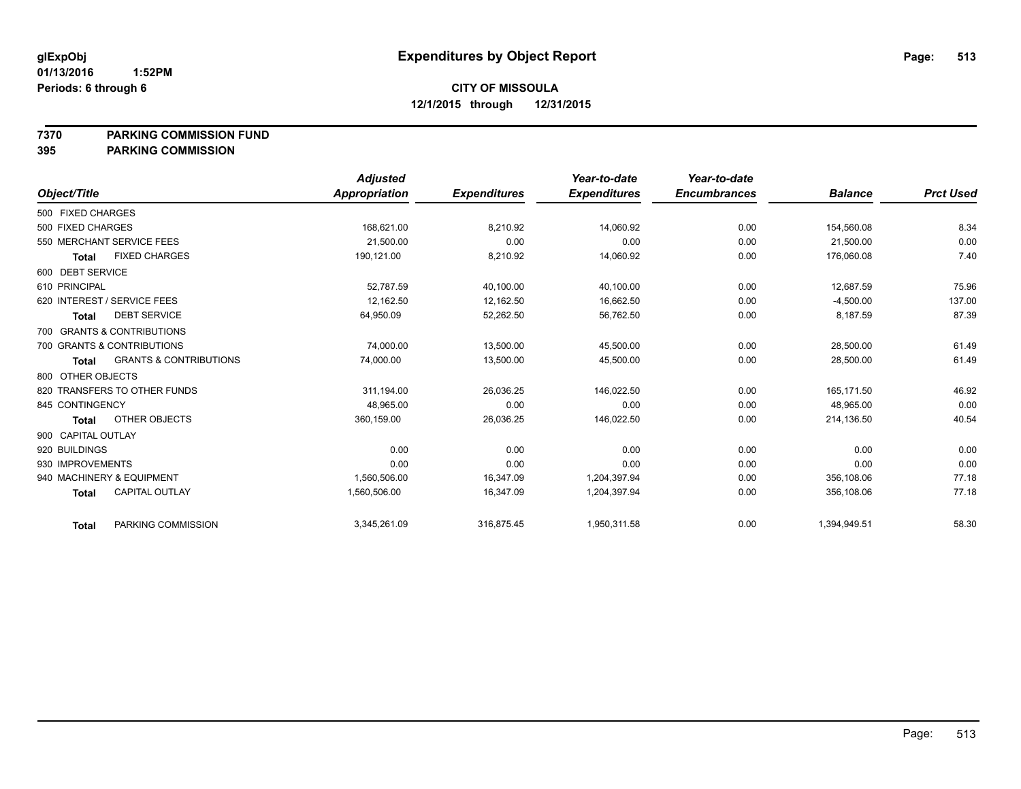**7370 PARKING COMMISSION FUND**

|                    |                                   | <b>Adjusted</b> |                     | Year-to-date        | Year-to-date        |                |                  |
|--------------------|-----------------------------------|-----------------|---------------------|---------------------|---------------------|----------------|------------------|
| Object/Title       |                                   | Appropriation   | <b>Expenditures</b> | <b>Expenditures</b> | <b>Encumbrances</b> | <b>Balance</b> | <b>Prct Used</b> |
| 500 FIXED CHARGES  |                                   |                 |                     |                     |                     |                |                  |
| 500 FIXED CHARGES  |                                   | 168,621.00      | 8,210.92            | 14,060.92           | 0.00                | 154,560.08     | 8.34             |
|                    | 550 MERCHANT SERVICE FEES         | 21,500.00       | 0.00                | 0.00                | 0.00                | 21,500.00      | 0.00             |
| <b>Total</b>       | <b>FIXED CHARGES</b>              | 190.121.00      | 8,210.92            | 14,060.92           | 0.00                | 176.060.08     | 7.40             |
| 600 DEBT SERVICE   |                                   |                 |                     |                     |                     |                |                  |
| 610 PRINCIPAL      |                                   | 52.787.59       | 40,100.00           | 40,100.00           | 0.00                | 12.687.59      | 75.96            |
|                    | 620 INTEREST / SERVICE FEES       | 12,162.50       | 12,162.50           | 16,662.50           | 0.00                | $-4,500.00$    | 137.00           |
| <b>Total</b>       | <b>DEBT SERVICE</b>               | 64,950.09       | 52,262.50           | 56,762.50           | 0.00                | 8,187.59       | 87.39            |
|                    | 700 GRANTS & CONTRIBUTIONS        |                 |                     |                     |                     |                |                  |
|                    | 700 GRANTS & CONTRIBUTIONS        | 74,000.00       | 13,500.00           | 45,500.00           | 0.00                | 28,500.00      | 61.49            |
| Total              | <b>GRANTS &amp; CONTRIBUTIONS</b> | 74,000.00       | 13,500.00           | 45,500.00           | 0.00                | 28,500.00      | 61.49            |
| 800 OTHER OBJECTS  |                                   |                 |                     |                     |                     |                |                  |
|                    | 820 TRANSFERS TO OTHER FUNDS      | 311,194.00      | 26,036.25           | 146,022.50          | 0.00                | 165,171.50     | 46.92            |
| 845 CONTINGENCY    |                                   | 48,965.00       | 0.00                | 0.00                | 0.00                | 48,965.00      | 0.00             |
| <b>Total</b>       | OTHER OBJECTS                     | 360,159.00      | 26,036.25           | 146,022.50          | 0.00                | 214,136.50     | 40.54            |
| 900 CAPITAL OUTLAY |                                   |                 |                     |                     |                     |                |                  |
| 920 BUILDINGS      |                                   | 0.00            | 0.00                | 0.00                | 0.00                | 0.00           | 0.00             |
| 930 IMPROVEMENTS   |                                   | 0.00            | 0.00                | 0.00                | 0.00                | 0.00           | 0.00             |
|                    | 940 MACHINERY & EQUIPMENT         | 1,560,506.00    | 16.347.09           | 1,204,397.94        | 0.00                | 356.108.06     | 77.18            |
| <b>Total</b>       | CAPITAL OUTLAY                    | 1,560,506.00    | 16,347.09           | 1,204,397.94        | 0.00                | 356,108.06     | 77.18            |
| <b>Total</b>       | PARKING COMMISSION                | 3,345,261.09    | 316,875.45          | 1,950,311.58        | 0.00                | 1,394,949.51   | 58.30            |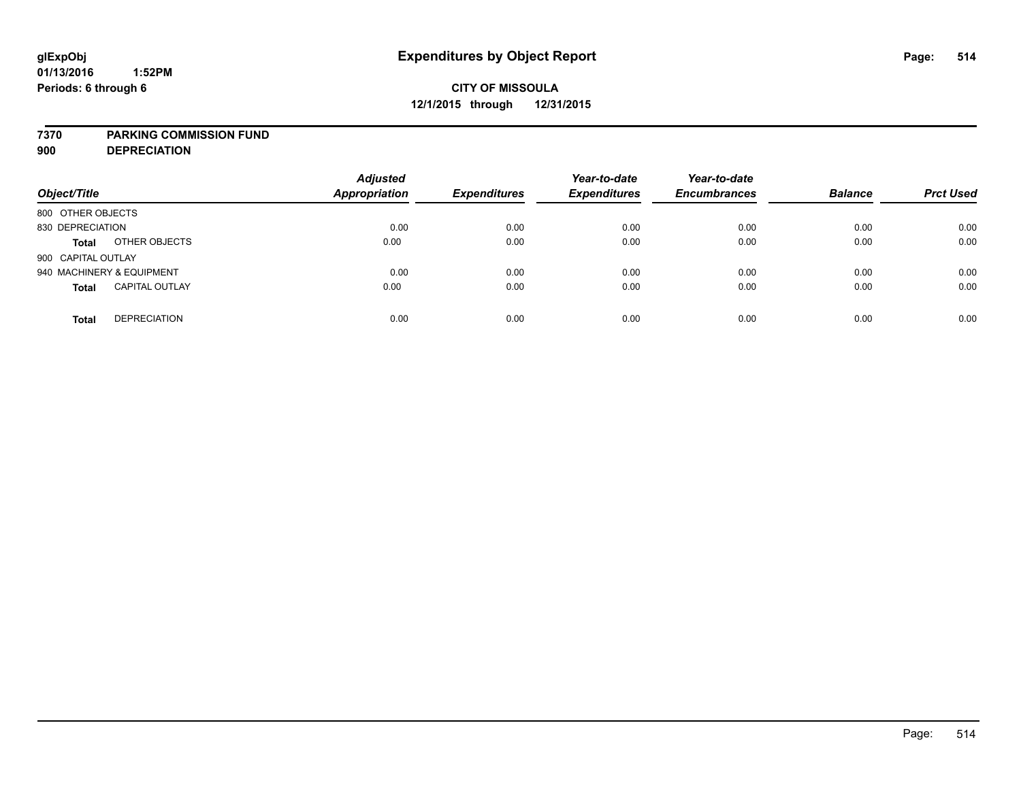#### **7370 PARKING COMMISSION FUND**

**900 DEPRECIATION**

| Object/Title                          | <b>Adjusted</b><br><b>Appropriation</b> | <b>Expenditures</b> | Year-to-date<br><b>Expenditures</b> | Year-to-date<br><b>Encumbrances</b> | <b>Balance</b> | <b>Prct Used</b> |
|---------------------------------------|-----------------------------------------|---------------------|-------------------------------------|-------------------------------------|----------------|------------------|
| 800 OTHER OBJECTS                     |                                         |                     |                                     |                                     |                |                  |
| 830 DEPRECIATION                      | 0.00                                    | 0.00                | 0.00                                | 0.00                                | 0.00           | 0.00             |
| OTHER OBJECTS<br><b>Total</b>         | 0.00                                    | 0.00                | 0.00                                | 0.00                                | 0.00           | 0.00             |
| 900 CAPITAL OUTLAY                    |                                         |                     |                                     |                                     |                |                  |
| 940 MACHINERY & EQUIPMENT             | 0.00                                    | 0.00                | 0.00                                | 0.00                                | 0.00           | 0.00             |
| <b>CAPITAL OUTLAY</b><br><b>Total</b> | 0.00                                    | 0.00                | 0.00                                | 0.00                                | 0.00           | 0.00             |
| <b>DEPRECIATION</b><br><b>Total</b>   | 0.00                                    | 0.00                | 0.00                                | 0.00                                | 0.00           | 0.00             |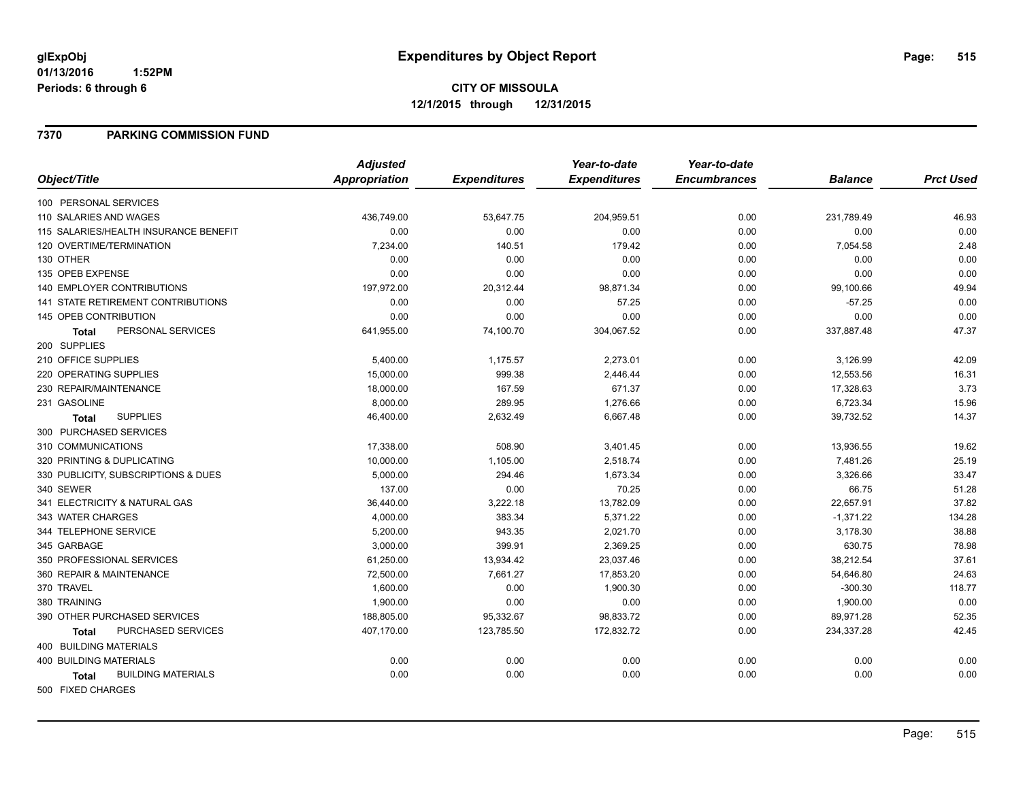#### **7370 PARKING COMMISSION FUND**

|                                       | <b>Adjusted</b> |                     | Year-to-date        | Year-to-date        |                |                  |
|---------------------------------------|-----------------|---------------------|---------------------|---------------------|----------------|------------------|
| Object/Title                          | Appropriation   | <b>Expenditures</b> | <b>Expenditures</b> | <b>Encumbrances</b> | <b>Balance</b> | <b>Prct Used</b> |
| 100 PERSONAL SERVICES                 |                 |                     |                     |                     |                |                  |
| 110 SALARIES AND WAGES                | 436,749.00      | 53,647.75           | 204,959.51          | 0.00                | 231,789.49     | 46.93            |
| 115 SALARIES/HEALTH INSURANCE BENEFIT | 0.00            | 0.00                | 0.00                | 0.00                | 0.00           | 0.00             |
| 120 OVERTIME/TERMINATION              | 7,234.00        | 140.51              | 179.42              | 0.00                | 7,054.58       | 2.48             |
| 130 OTHER                             | 0.00            | 0.00                | 0.00                | 0.00                | 0.00           | 0.00             |
| 135 OPEB EXPENSE                      | 0.00            | 0.00                | 0.00                | 0.00                | 0.00           | 0.00             |
| 140 EMPLOYER CONTRIBUTIONS            | 197,972.00      | 20,312.44           | 98,871.34           | 0.00                | 99,100.66      | 49.94            |
| 141 STATE RETIREMENT CONTRIBUTIONS    | 0.00            | 0.00                | 57.25               | 0.00                | $-57.25$       | 0.00             |
| 145 OPEB CONTRIBUTION                 | 0.00            | 0.00                | 0.00                | 0.00                | 0.00           | 0.00             |
| PERSONAL SERVICES<br><b>Total</b>     | 641,955.00      | 74,100.70           | 304,067.52          | 0.00                | 337,887.48     | 47.37            |
| 200 SUPPLIES                          |                 |                     |                     |                     |                |                  |
| 210 OFFICE SUPPLIES                   | 5,400.00        | 1,175.57            | 2,273.01            | 0.00                | 3,126.99       | 42.09            |
| 220 OPERATING SUPPLIES                | 15,000.00       | 999.38              | 2,446.44            | 0.00                | 12,553.56      | 16.31            |
| 230 REPAIR/MAINTENANCE                | 18,000.00       | 167.59              | 671.37              | 0.00                | 17,328.63      | 3.73             |
| 231 GASOLINE                          | 8,000.00        | 289.95              | 1,276.66            | 0.00                | 6,723.34       | 15.96            |
| <b>SUPPLIES</b><br>Total              | 46,400.00       | 2,632.49            | 6,667.48            | 0.00                | 39,732.52      | 14.37            |
| 300 PURCHASED SERVICES                |                 |                     |                     |                     |                |                  |
| 310 COMMUNICATIONS                    | 17,338.00       | 508.90              | 3,401.45            | 0.00                | 13,936.55      | 19.62            |
| 320 PRINTING & DUPLICATING            | 10,000.00       | 1,105.00            | 2,518.74            | 0.00                | 7,481.26       | 25.19            |
| 330 PUBLICITY, SUBSCRIPTIONS & DUES   | 5,000.00        | 294.46              | 1,673.34            | 0.00                | 3,326.66       | 33.47            |
| 340 SEWER                             | 137.00          | 0.00                | 70.25               | 0.00                | 66.75          | 51.28            |
| 341 ELECTRICITY & NATURAL GAS         | 36,440.00       | 3,222.18            | 13,782.09           | 0.00                | 22,657.91      | 37.82            |
| 343 WATER CHARGES                     | 4,000.00        | 383.34              | 5,371.22            | 0.00                | $-1,371.22$    | 134.28           |
| 344 TELEPHONE SERVICE                 | 5,200.00        | 943.35              | 2,021.70            | 0.00                | 3,178.30       | 38.88            |
| 345 GARBAGE                           | 3,000.00        | 399.91              | 2,369.25            | 0.00                | 630.75         | 78.98            |
| 350 PROFESSIONAL SERVICES             | 61,250.00       | 13,934.42           | 23,037.46           | 0.00                | 38,212.54      | 37.61            |
| 360 REPAIR & MAINTENANCE              | 72,500.00       | 7,661.27            | 17,853.20           | 0.00                | 54,646.80      | 24.63            |
| 370 TRAVEL                            | 1,600.00        | 0.00                | 1,900.30            | 0.00                | $-300.30$      | 118.77           |
| 380 TRAINING                          | 1,900.00        | 0.00                | 0.00                | 0.00                | 1,900.00       | 0.00             |
| 390 OTHER PURCHASED SERVICES          | 188,805.00      | 95,332.67           | 98,833.72           | 0.00                | 89,971.28      | 52.35            |
| PURCHASED SERVICES<br>Total           | 407,170.00      | 123,785.50          | 172,832.72          | 0.00                | 234,337.28     | 42.45            |
| 400 BUILDING MATERIALS                |                 |                     |                     |                     |                |                  |
| <b>400 BUILDING MATERIALS</b>         | 0.00            | 0.00                | 0.00                | 0.00                | 0.00           | 0.00             |
| <b>BUILDING MATERIALS</b><br>Total    | 0.00            | 0.00                | 0.00                | 0.00                | 0.00           | 0.00             |
| 500 FIXED CHARGES                     |                 |                     |                     |                     |                |                  |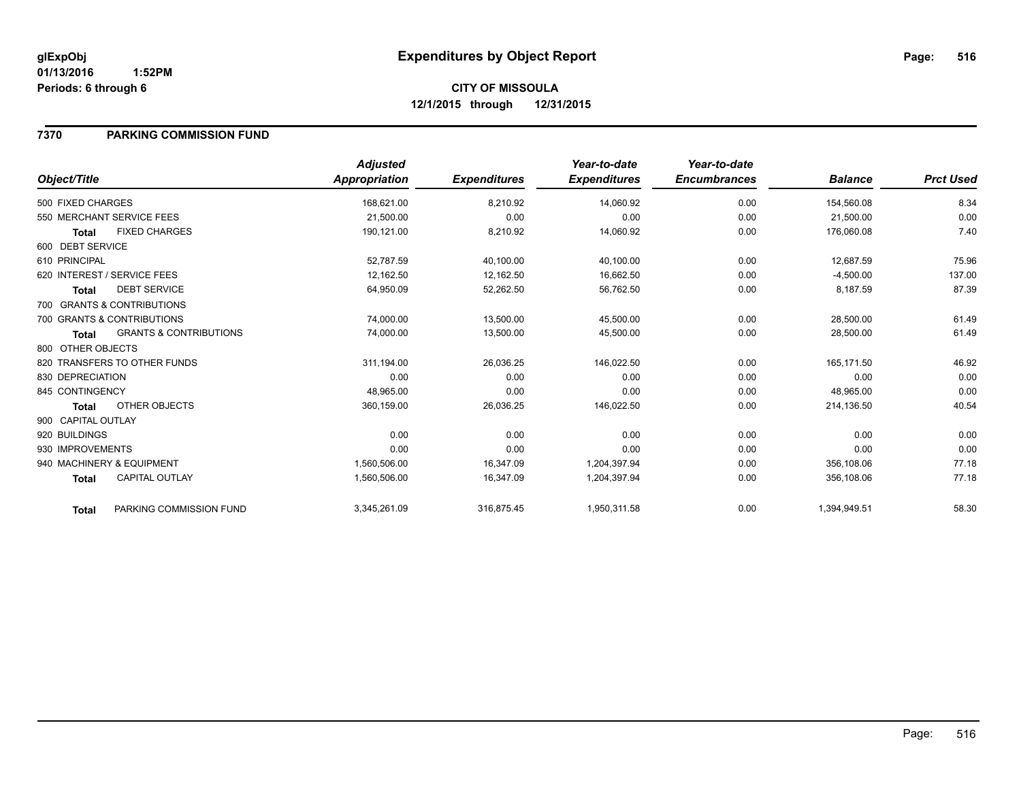**12/1/2015 through 12/31/2015**

#### **7370 PARKING COMMISSION FUND**

|                    |                                   | <b>Adjusted</b>      |                     | Year-to-date        | Year-to-date        |                |                  |
|--------------------|-----------------------------------|----------------------|---------------------|---------------------|---------------------|----------------|------------------|
| Object/Title       |                                   | <b>Appropriation</b> | <b>Expenditures</b> | <b>Expenditures</b> | <b>Encumbrances</b> | <b>Balance</b> | <b>Prct Used</b> |
| 500 FIXED CHARGES  |                                   | 168,621.00           | 8,210.92            | 14,060.92           | 0.00                | 154,560.08     | 8.34             |
|                    | 550 MERCHANT SERVICE FEES         | 21,500.00            | 0.00                | 0.00                | 0.00                | 21,500.00      | 0.00             |
| <b>Total</b>       | <b>FIXED CHARGES</b>              | 190,121.00           | 8,210.92            | 14,060.92           | 0.00                | 176,060.08     | 7.40             |
| 600 DEBT SERVICE   |                                   |                      |                     |                     |                     |                |                  |
| 610 PRINCIPAL      |                                   | 52,787.59            | 40,100.00           | 40,100.00           | 0.00                | 12,687.59      | 75.96            |
|                    | 620 INTEREST / SERVICE FEES       | 12,162.50            | 12,162.50           | 16,662.50           | 0.00                | $-4,500.00$    | 137.00           |
| Total              | <b>DEBT SERVICE</b>               | 64,950.09            | 52,262.50           | 56,762.50           | 0.00                | 8,187.59       | 87.39            |
|                    | 700 GRANTS & CONTRIBUTIONS        |                      |                     |                     |                     |                |                  |
|                    | 700 GRANTS & CONTRIBUTIONS        | 74,000.00            | 13,500.00           | 45,500.00           | 0.00                | 28,500.00      | 61.49            |
| Total              | <b>GRANTS &amp; CONTRIBUTIONS</b> | 74,000.00            | 13,500.00           | 45,500.00           | 0.00                | 28,500.00      | 61.49            |
| 800 OTHER OBJECTS  |                                   |                      |                     |                     |                     |                |                  |
|                    | 820 TRANSFERS TO OTHER FUNDS      | 311,194.00           | 26,036.25           | 146,022.50          | 0.00                | 165,171.50     | 46.92            |
| 830 DEPRECIATION   |                                   | 0.00                 | 0.00                | 0.00                | 0.00                | 0.00           | 0.00             |
| 845 CONTINGENCY    |                                   | 48,965.00            | 0.00                | 0.00                | 0.00                | 48,965.00      | 0.00             |
| <b>Total</b>       | OTHER OBJECTS                     | 360,159.00           | 26,036.25           | 146,022.50          | 0.00                | 214,136.50     | 40.54            |
| 900 CAPITAL OUTLAY |                                   |                      |                     |                     |                     |                |                  |
| 920 BUILDINGS      |                                   | 0.00                 | 0.00                | 0.00                | 0.00                | 0.00           | 0.00             |
| 930 IMPROVEMENTS   |                                   | 0.00                 | 0.00                | 0.00                | 0.00                | 0.00           | 0.00             |
|                    | 940 MACHINERY & EQUIPMENT         | 1,560,506.00         | 16,347.09           | 1,204,397.94        | 0.00                | 356,108.06     | 77.18            |
| <b>Total</b>       | <b>CAPITAL OUTLAY</b>             | 1,560,506.00         | 16,347.09           | 1,204,397.94        | 0.00                | 356,108.06     | 77.18            |
| <b>Total</b>       | PARKING COMMISSION FUND           | 3,345,261.09         | 316,875.45          | 1,950,311.58        | 0.00                | 1,394,949.51   | 58.30            |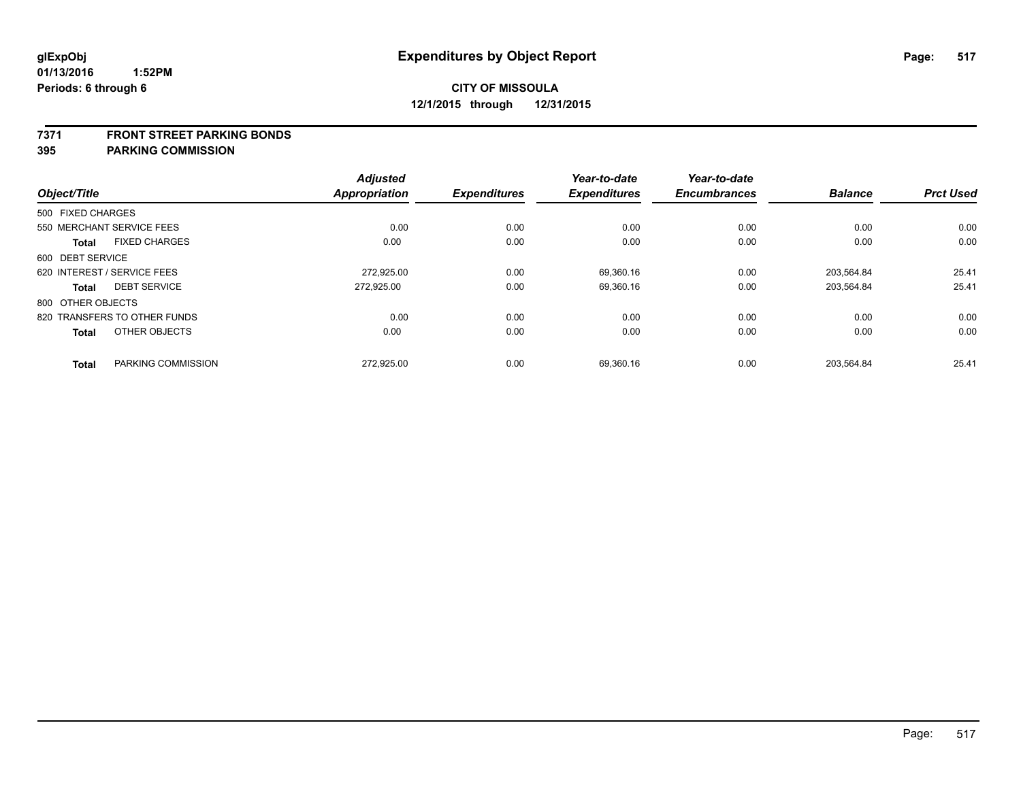#### **7371 FRONT STREET PARKING BONDS**

|                   |                              | <b>Adjusted</b>      |                     | Year-to-date        | Year-to-date        |                |                  |
|-------------------|------------------------------|----------------------|---------------------|---------------------|---------------------|----------------|------------------|
| Object/Title      |                              | <b>Appropriation</b> | <b>Expenditures</b> | <b>Expenditures</b> | <b>Encumbrances</b> | <b>Balance</b> | <b>Prct Used</b> |
| 500 FIXED CHARGES |                              |                      |                     |                     |                     |                |                  |
|                   | 550 MERCHANT SERVICE FEES    | 0.00                 | 0.00                | 0.00                | 0.00                | 0.00           | 0.00             |
| <b>Total</b>      | <b>FIXED CHARGES</b>         | 0.00                 | 0.00                | 0.00                | 0.00                | 0.00           | 0.00             |
| 600 DEBT SERVICE  |                              |                      |                     |                     |                     |                |                  |
|                   | 620 INTEREST / SERVICE FEES  | 272.925.00           | 0.00                | 69.360.16           | 0.00                | 203.564.84     | 25.41            |
| <b>Total</b>      | <b>DEBT SERVICE</b>          | 272.925.00           | 0.00                | 69,360.16           | 0.00                | 203,564.84     | 25.41            |
| 800 OTHER OBJECTS |                              |                      |                     |                     |                     |                |                  |
|                   | 820 TRANSFERS TO OTHER FUNDS | 0.00                 | 0.00                | 0.00                | 0.00                | 0.00           | 0.00             |
| <b>Total</b>      | OTHER OBJECTS                | 0.00                 | 0.00                | 0.00                | 0.00                | 0.00           | 0.00             |
| <b>Total</b>      | PARKING COMMISSION           | 272,925.00           | 0.00                | 69,360.16           | 0.00                | 203,564.84     | 25.41            |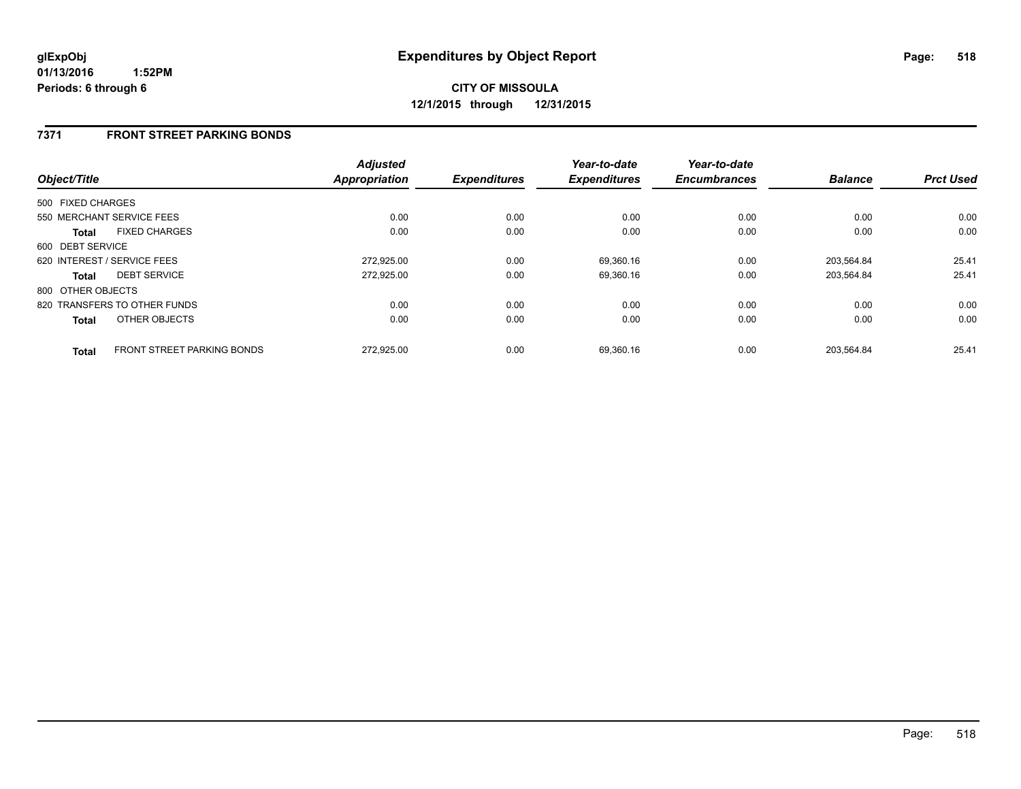#### **7371 FRONT STREET PARKING BONDS**

| Object/Title      |                              | <b>Adjusted</b><br><b>Appropriation</b> | <b>Expenditures</b> | Year-to-date<br><b>Expenditures</b> | Year-to-date<br><b>Encumbrances</b> | <b>Balance</b> | <b>Prct Used</b> |
|-------------------|------------------------------|-----------------------------------------|---------------------|-------------------------------------|-------------------------------------|----------------|------------------|
| 500 FIXED CHARGES |                              |                                         |                     |                                     |                                     |                |                  |
|                   | 550 MERCHANT SERVICE FEES    | 0.00                                    | 0.00                | 0.00                                | 0.00                                | 0.00           | 0.00             |
| Total             | <b>FIXED CHARGES</b>         | 0.00                                    | 0.00                | 0.00                                | 0.00                                | 0.00           | 0.00             |
| 600 DEBT SERVICE  |                              |                                         |                     |                                     |                                     |                |                  |
|                   | 620 INTEREST / SERVICE FEES  | 272.925.00                              | 0.00                | 69,360.16                           | 0.00                                | 203.564.84     | 25.41            |
| <b>Total</b>      | <b>DEBT SERVICE</b>          | 272.925.00                              | 0.00                | 69,360.16                           | 0.00                                | 203.564.84     | 25.41            |
| 800 OTHER OBJECTS |                              |                                         |                     |                                     |                                     |                |                  |
|                   | 820 TRANSFERS TO OTHER FUNDS | 0.00                                    | 0.00                | 0.00                                | 0.00                                | 0.00           | 0.00             |
| <b>Total</b>      | OTHER OBJECTS                | 0.00                                    | 0.00                | 0.00                                | 0.00                                | 0.00           | 0.00             |
| <b>Total</b>      | FRONT STREET PARKING BONDS   | 272.925.00                              | 0.00                | 69.360.16                           | 0.00                                | 203.564.84     | 25.41            |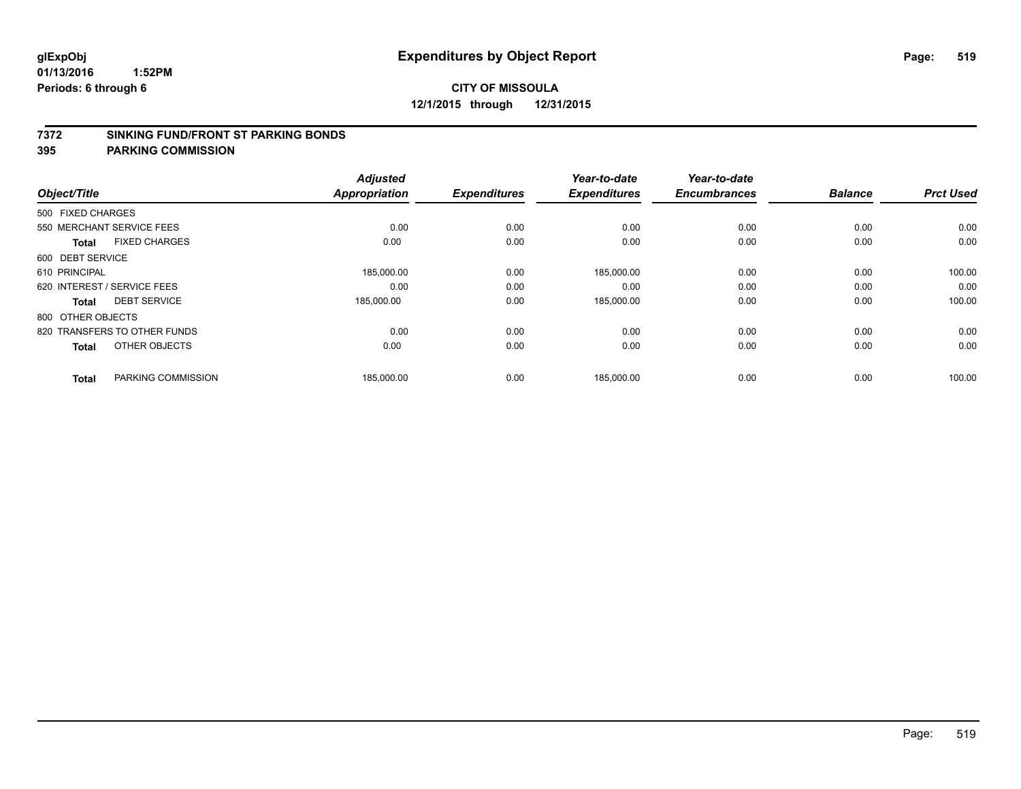#### **7372 SINKING FUND/FRONT ST PARKING BONDS**

| Object/Title                |                              | <b>Adjusted</b><br><b>Appropriation</b> | <b>Expenditures</b> | Year-to-date<br><b>Expenditures</b> | Year-to-date<br><b>Encumbrances</b> | <b>Balance</b> | <b>Prct Used</b> |
|-----------------------------|------------------------------|-----------------------------------------|---------------------|-------------------------------------|-------------------------------------|----------------|------------------|
|                             |                              |                                         |                     |                                     |                                     |                |                  |
| 500 FIXED CHARGES           |                              |                                         |                     |                                     |                                     |                |                  |
| 550 MERCHANT SERVICE FEES   |                              | 0.00                                    | 0.00                | 0.00                                | 0.00                                | 0.00           | 0.00             |
| <b>Total</b>                | <b>FIXED CHARGES</b>         | 0.00                                    | 0.00                | 0.00                                | 0.00                                | 0.00           | 0.00             |
| 600 DEBT SERVICE            |                              |                                         |                     |                                     |                                     |                |                  |
| 610 PRINCIPAL               |                              | 185,000.00                              | 0.00                | 185,000.00                          | 0.00                                | 0.00           | 100.00           |
| 620 INTEREST / SERVICE FEES |                              | 0.00                                    | 0.00                | 0.00                                | 0.00                                | 0.00           | 0.00             |
| Total                       | <b>DEBT SERVICE</b>          | 185,000.00                              | 0.00                | 185,000.00                          | 0.00                                | 0.00           | 100.00           |
| 800 OTHER OBJECTS           |                              |                                         |                     |                                     |                                     |                |                  |
|                             | 820 TRANSFERS TO OTHER FUNDS | 0.00                                    | 0.00                | 0.00                                | 0.00                                | 0.00           | 0.00             |
| <b>Total</b>                | OTHER OBJECTS                | 0.00                                    | 0.00                | 0.00                                | 0.00                                | 0.00           | 0.00             |
|                             |                              |                                         |                     |                                     |                                     |                |                  |
| <b>Total</b>                | PARKING COMMISSION           | 185,000.00                              | 0.00                | 185,000.00                          | 0.00                                | 0.00           | 100.00           |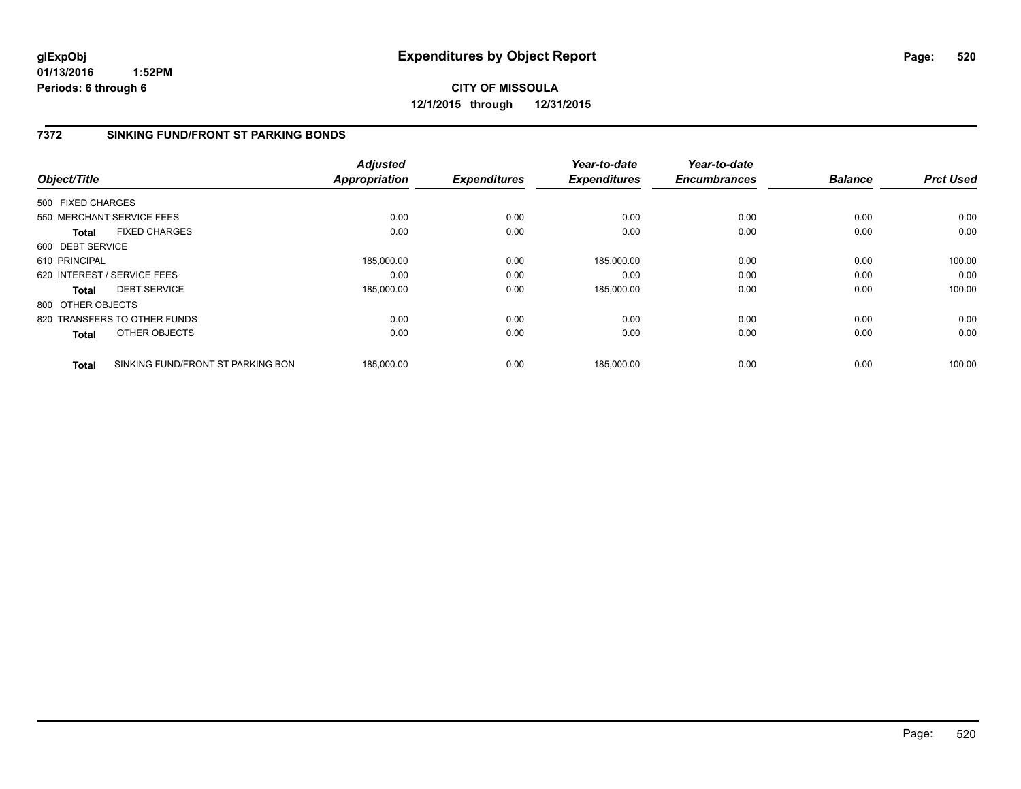**01/13/2016 1:52PM Periods: 6 through 6**

# **CITY OF MISSOULA 12/1/2015 through 12/31/2015**

#### **7372 SINKING FUND/FRONT ST PARKING BONDS**

| Object/Title      |                                   | <b>Adjusted</b><br><b>Appropriation</b> | <b>Expenditures</b> | Year-to-date<br><b>Expenditures</b> | Year-to-date<br><b>Encumbrances</b> | <b>Balance</b> | <b>Prct Used</b> |
|-------------------|-----------------------------------|-----------------------------------------|---------------------|-------------------------------------|-------------------------------------|----------------|------------------|
|                   |                                   |                                         |                     |                                     |                                     |                |                  |
| 500 FIXED CHARGES |                                   |                                         |                     |                                     |                                     |                |                  |
|                   | 550 MERCHANT SERVICE FEES         | 0.00                                    | 0.00                | 0.00                                | 0.00                                | 0.00           | 0.00             |
| Total             | <b>FIXED CHARGES</b>              | 0.00                                    | 0.00                | 0.00                                | 0.00                                | 0.00           | 0.00             |
| 600 DEBT SERVICE  |                                   |                                         |                     |                                     |                                     |                |                  |
| 610 PRINCIPAL     |                                   | 185,000.00                              | 0.00                | 185.000.00                          | 0.00                                | 0.00           | 100.00           |
|                   | 620 INTEREST / SERVICE FEES       | 0.00                                    | 0.00                | 0.00                                | 0.00                                | 0.00           | 0.00             |
| Total             | <b>DEBT SERVICE</b>               | 185,000.00                              | 0.00                | 185,000.00                          | 0.00                                | 0.00           | 100.00           |
| 800 OTHER OBJECTS |                                   |                                         |                     |                                     |                                     |                |                  |
|                   | 820 TRANSFERS TO OTHER FUNDS      | 0.00                                    | 0.00                | 0.00                                | 0.00                                | 0.00           | 0.00             |
| <b>Total</b>      | OTHER OBJECTS                     | 0.00                                    | 0.00                | 0.00                                | 0.00                                | 0.00           | 0.00             |
| <b>Total</b>      | SINKING FUND/FRONT ST PARKING BON | 185.000.00                              | 0.00                | 185,000.00                          | 0.00                                | 0.00           | 100.00           |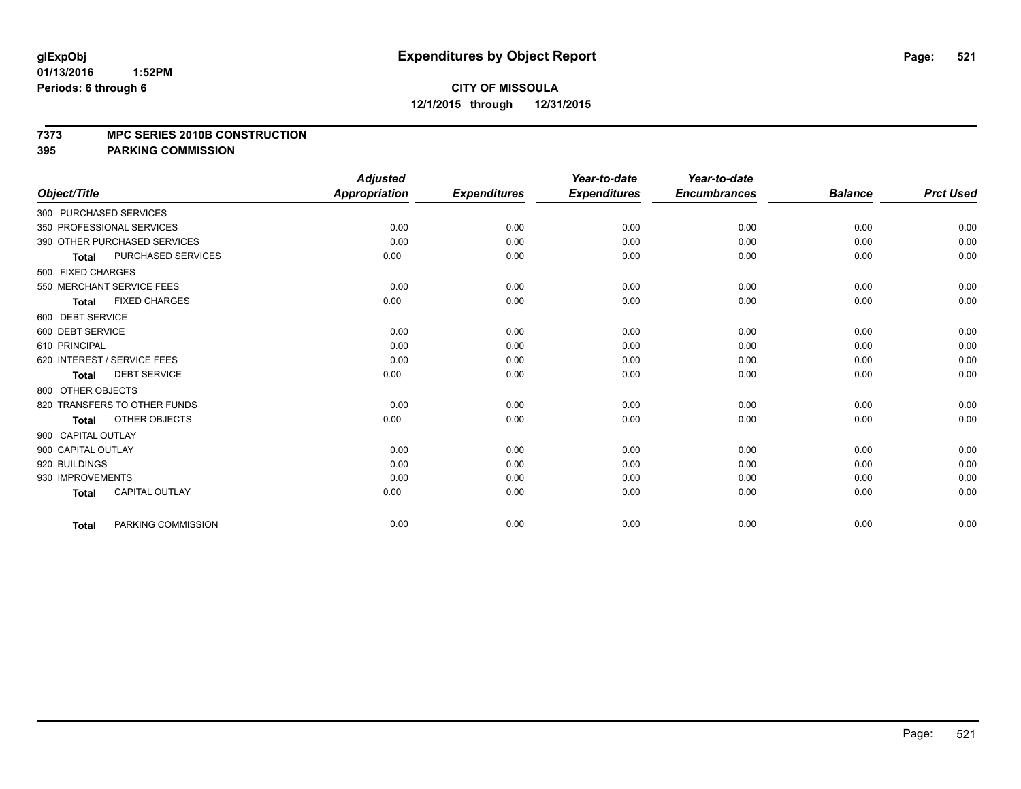#### **7373 MPC SERIES 2010B CONSTRUCTION**

|                                           | <b>Adjusted</b>      |                     | Year-to-date        | Year-to-date        |                |                  |
|-------------------------------------------|----------------------|---------------------|---------------------|---------------------|----------------|------------------|
| Object/Title                              | <b>Appropriation</b> | <b>Expenditures</b> | <b>Expenditures</b> | <b>Encumbrances</b> | <b>Balance</b> | <b>Prct Used</b> |
| 300 PURCHASED SERVICES                    |                      |                     |                     |                     |                |                  |
| 350 PROFESSIONAL SERVICES                 | 0.00                 | 0.00                | 0.00                | 0.00                | 0.00           | 0.00             |
| 390 OTHER PURCHASED SERVICES              | 0.00                 | 0.00                | 0.00                | 0.00                | 0.00           | 0.00             |
| <b>PURCHASED SERVICES</b><br><b>Total</b> | 0.00                 | 0.00                | 0.00                | 0.00                | 0.00           | 0.00             |
| 500 FIXED CHARGES                         |                      |                     |                     |                     |                |                  |
| 550 MERCHANT SERVICE FEES                 | 0.00                 | 0.00                | 0.00                | 0.00                | 0.00           | 0.00             |
| <b>FIXED CHARGES</b><br><b>Total</b>      | 0.00                 | 0.00                | 0.00                | 0.00                | 0.00           | 0.00             |
| 600 DEBT SERVICE                          |                      |                     |                     |                     |                |                  |
| 600 DEBT SERVICE                          | 0.00                 | 0.00                | 0.00                | 0.00                | 0.00           | 0.00             |
| 610 PRINCIPAL                             | 0.00                 | 0.00                | 0.00                | 0.00                | 0.00           | 0.00             |
| 620 INTEREST / SERVICE FEES               | 0.00                 | 0.00                | 0.00                | 0.00                | 0.00           | 0.00             |
| <b>DEBT SERVICE</b><br><b>Total</b>       | 0.00                 | 0.00                | 0.00                | 0.00                | 0.00           | 0.00             |
| 800 OTHER OBJECTS                         |                      |                     |                     |                     |                |                  |
| 820 TRANSFERS TO OTHER FUNDS              | 0.00                 | 0.00                | 0.00                | 0.00                | 0.00           | 0.00             |
| OTHER OBJECTS<br><b>Total</b>             | 0.00                 | 0.00                | 0.00                | 0.00                | 0.00           | 0.00             |
| 900 CAPITAL OUTLAY                        |                      |                     |                     |                     |                |                  |
| 900 CAPITAL OUTLAY                        | 0.00                 | 0.00                | 0.00                | 0.00                | 0.00           | 0.00             |
| 920 BUILDINGS                             | 0.00                 | 0.00                | 0.00                | 0.00                | 0.00           | 0.00             |
| 930 IMPROVEMENTS                          | 0.00                 | 0.00                | 0.00                | 0.00                | 0.00           | 0.00             |
| <b>CAPITAL OUTLAY</b><br><b>Total</b>     | 0.00                 | 0.00                | 0.00                | 0.00                | 0.00           | 0.00             |
| PARKING COMMISSION<br><b>Total</b>        | 0.00                 | 0.00                | 0.00                | 0.00                | 0.00           | 0.00             |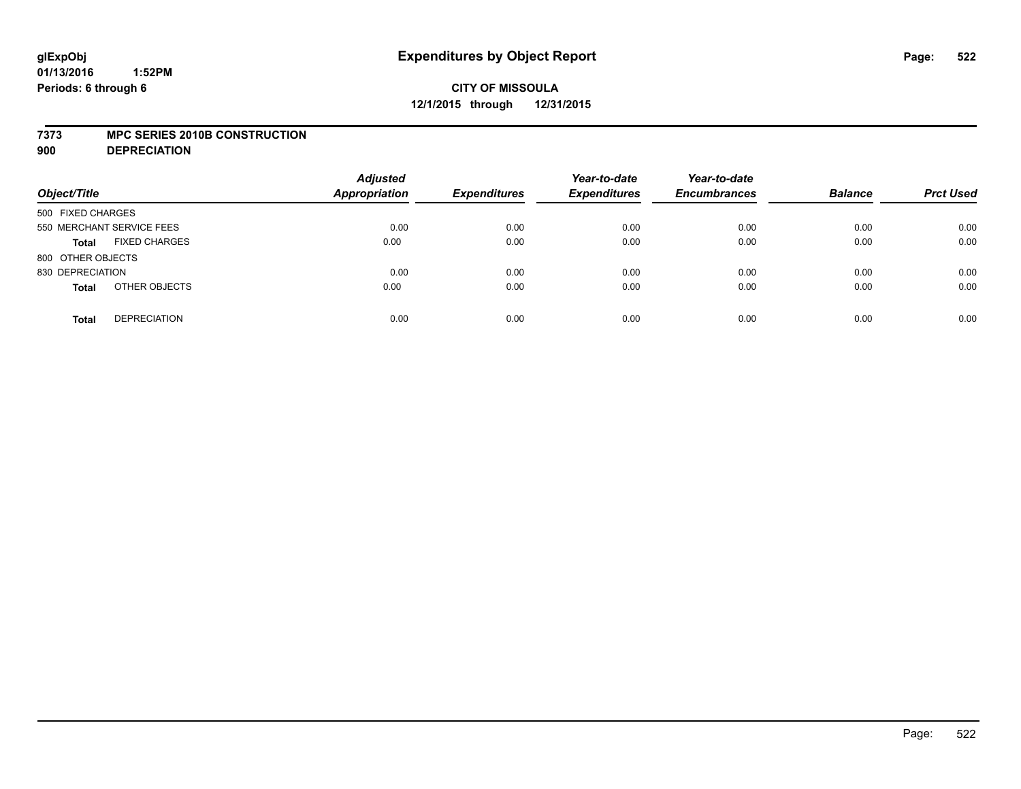#### **7373 MPC SERIES 2010B CONSTRUCTION**

**900 DEPRECIATION**

| Object/Title                         | <b>Adjusted</b><br><b>Appropriation</b> | <b>Expenditures</b> | Year-to-date<br><b>Expenditures</b> | Year-to-date<br><b>Encumbrances</b> | <b>Balance</b> | <b>Prct Used</b> |
|--------------------------------------|-----------------------------------------|---------------------|-------------------------------------|-------------------------------------|----------------|------------------|
| 500 FIXED CHARGES                    |                                         |                     |                                     |                                     |                |                  |
| 550 MERCHANT SERVICE FEES            | 0.00                                    | 0.00                | 0.00                                | 0.00                                | 0.00           | 0.00             |
| <b>FIXED CHARGES</b><br><b>Total</b> | 0.00                                    | 0.00                | 0.00                                | 0.00                                | 0.00           | 0.00             |
| 800 OTHER OBJECTS                    |                                         |                     |                                     |                                     |                |                  |
| 830 DEPRECIATION                     | 0.00                                    | 0.00                | 0.00                                | 0.00                                | 0.00           | 0.00             |
| OTHER OBJECTS<br><b>Total</b>        | 0.00                                    | 0.00                | 0.00                                | 0.00                                | 0.00           | 0.00             |
| <b>DEPRECIATION</b><br><b>Total</b>  | 0.00                                    | 0.00                | 0.00                                | 0.00                                | 0.00           | 0.00             |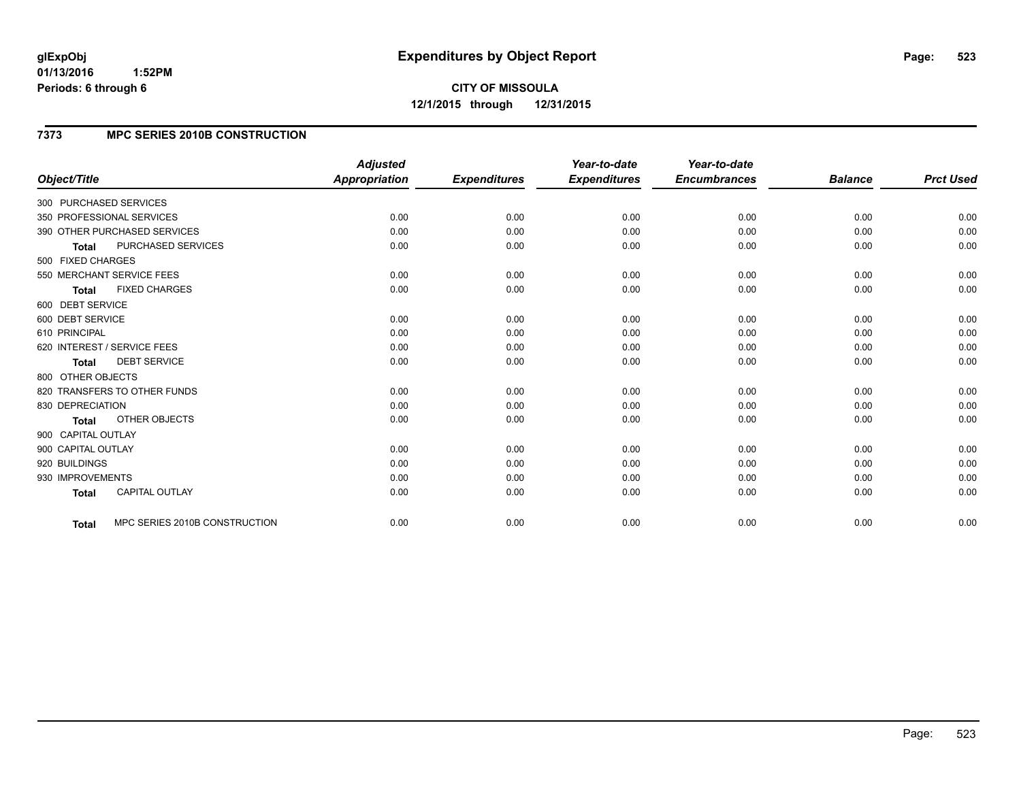#### **01/13/2016 1:52PM Periods: 6 through 6**

# **CITY OF MISSOULA 12/1/2015 through 12/31/2015**

# **7373 MPC SERIES 2010B CONSTRUCTION**

| Object/Title           |                               | <b>Adjusted</b><br>Appropriation | <b>Expenditures</b> | Year-to-date<br><b>Expenditures</b> | Year-to-date<br><b>Encumbrances</b> | <b>Balance</b> | <b>Prct Used</b> |
|------------------------|-------------------------------|----------------------------------|---------------------|-------------------------------------|-------------------------------------|----------------|------------------|
| 300 PURCHASED SERVICES |                               |                                  |                     |                                     |                                     |                |                  |
|                        | 350 PROFESSIONAL SERVICES     | 0.00                             | 0.00                | 0.00                                | 0.00                                | 0.00           | 0.00             |
|                        | 390 OTHER PURCHASED SERVICES  | 0.00                             | 0.00                | 0.00                                | 0.00                                | 0.00           | 0.00             |
| <b>Total</b>           | <b>PURCHASED SERVICES</b>     | 0.00                             | 0.00                | 0.00                                | 0.00                                | 0.00           | 0.00             |
| 500 FIXED CHARGES      |                               |                                  |                     |                                     |                                     |                |                  |
|                        | 550 MERCHANT SERVICE FEES     | 0.00                             | 0.00                | 0.00                                | 0.00                                | 0.00           | 0.00             |
| <b>Total</b>           | <b>FIXED CHARGES</b>          | 0.00                             | 0.00                | 0.00                                | 0.00                                | 0.00           | 0.00             |
| 600 DEBT SERVICE       |                               |                                  |                     |                                     |                                     |                |                  |
| 600 DEBT SERVICE       |                               | 0.00                             | 0.00                | 0.00                                | 0.00                                | 0.00           | 0.00             |
| 610 PRINCIPAL          |                               | 0.00                             | 0.00                | 0.00                                | 0.00                                | 0.00           | 0.00             |
|                        | 620 INTEREST / SERVICE FEES   | 0.00                             | 0.00                | 0.00                                | 0.00                                | 0.00           | 0.00             |
| <b>Total</b>           | <b>DEBT SERVICE</b>           | 0.00                             | 0.00                | 0.00                                | 0.00                                | 0.00           | 0.00             |
| 800 OTHER OBJECTS      |                               |                                  |                     |                                     |                                     |                |                  |
|                        | 820 TRANSFERS TO OTHER FUNDS  | 0.00                             | 0.00                | 0.00                                | 0.00                                | 0.00           | 0.00             |
| 830 DEPRECIATION       |                               | 0.00                             | 0.00                | 0.00                                | 0.00                                | 0.00           | 0.00             |
| <b>Total</b>           | <b>OTHER OBJECTS</b>          | 0.00                             | 0.00                | 0.00                                | 0.00                                | 0.00           | 0.00             |
| 900 CAPITAL OUTLAY     |                               |                                  |                     |                                     |                                     |                |                  |
| 900 CAPITAL OUTLAY     |                               | 0.00                             | 0.00                | 0.00                                | 0.00                                | 0.00           | 0.00             |
| 920 BUILDINGS          |                               | 0.00                             | 0.00                | 0.00                                | 0.00                                | 0.00           | 0.00             |
| 930 IMPROVEMENTS       |                               | 0.00                             | 0.00                | 0.00                                | 0.00                                | 0.00           | 0.00             |
| <b>Total</b>           | <b>CAPITAL OUTLAY</b>         | 0.00                             | 0.00                | 0.00                                | 0.00                                | 0.00           | 0.00             |
| Total                  | MPC SERIES 2010B CONSTRUCTION | 0.00                             | 0.00                | 0.00                                | 0.00                                | 0.00           | 0.00             |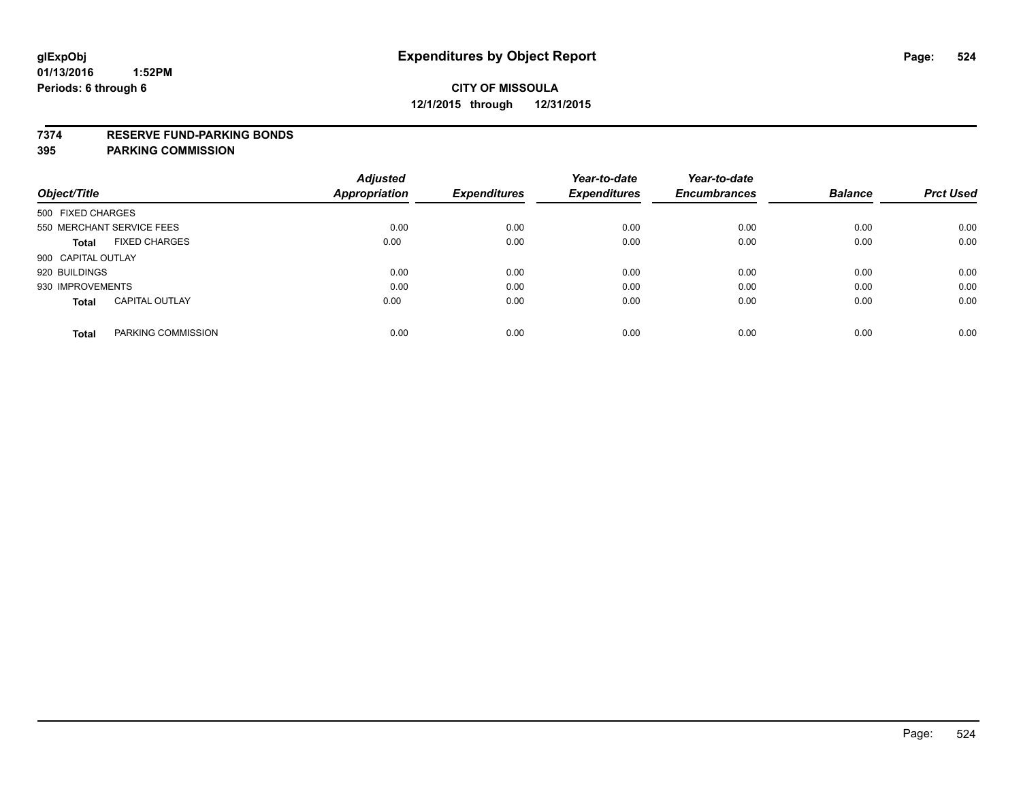#### **7374 RESERVE FUND-PARKING BONDS**

|                                       | <b>Adjusted</b> |                     | Year-to-date        | Year-to-date        |                |                  |
|---------------------------------------|-----------------|---------------------|---------------------|---------------------|----------------|------------------|
| Object/Title                          | Appropriation   | <b>Expenditures</b> | <b>Expenditures</b> | <b>Encumbrances</b> | <b>Balance</b> | <b>Prct Used</b> |
| 500 FIXED CHARGES                     |                 |                     |                     |                     |                |                  |
| 550 MERCHANT SERVICE FEES             | 0.00            | 0.00                | 0.00                | 0.00                | 0.00           | 0.00             |
| <b>FIXED CHARGES</b><br><b>Total</b>  | 0.00            | 0.00                | 0.00                | 0.00                | 0.00           | 0.00             |
| 900 CAPITAL OUTLAY                    |                 |                     |                     |                     |                |                  |
| 920 BUILDINGS                         | 0.00            | 0.00                | 0.00                | 0.00                | 0.00           | 0.00             |
| 930 IMPROVEMENTS                      | 0.00            | 0.00                | 0.00                | 0.00                | 0.00           | 0.00             |
| <b>CAPITAL OUTLAY</b><br><b>Total</b> | 0.00            | 0.00                | 0.00                | 0.00                | 0.00           | 0.00             |
| PARKING COMMISSION<br><b>Total</b>    | 0.00            | 0.00                | 0.00                | 0.00                | 0.00           | 0.00             |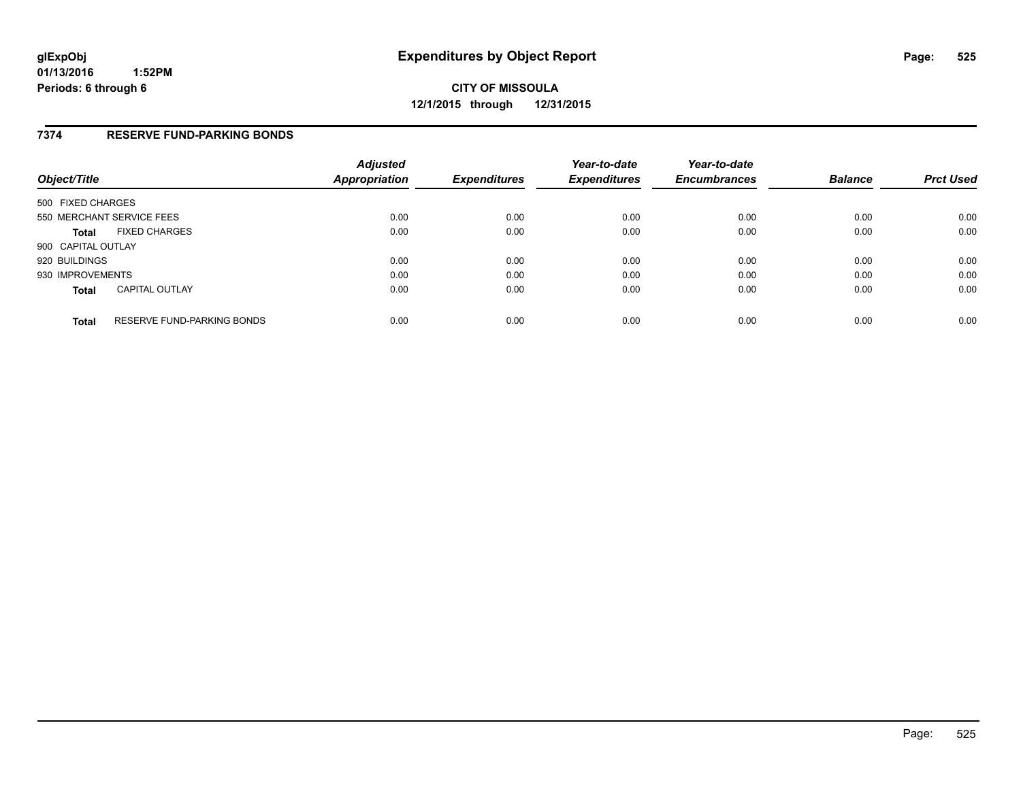#### **7374 RESERVE FUND-PARKING BONDS**

| Object/Title              |                                   | <b>Adjusted</b><br>Appropriation | <b>Expenditures</b> | Year-to-date<br><b>Expenditures</b> | Year-to-date<br><b>Encumbrances</b> | <b>Balance</b> | <b>Prct Used</b> |
|---------------------------|-----------------------------------|----------------------------------|---------------------|-------------------------------------|-------------------------------------|----------------|------------------|
| 500 FIXED CHARGES         |                                   |                                  |                     |                                     |                                     |                |                  |
| 550 MERCHANT SERVICE FEES |                                   | 0.00                             | 0.00                | 0.00                                | 0.00                                | 0.00           | 0.00             |
| <b>Total</b>              | <b>FIXED CHARGES</b>              | 0.00                             | 0.00                | 0.00                                | 0.00                                | 0.00           | 0.00             |
| 900 CAPITAL OUTLAY        |                                   |                                  |                     |                                     |                                     |                |                  |
| 920 BUILDINGS             |                                   | 0.00                             | 0.00                | 0.00                                | 0.00                                | 0.00           | 0.00             |
| 930 IMPROVEMENTS          |                                   | 0.00                             | 0.00                | 0.00                                | 0.00                                | 0.00           | 0.00             |
| <b>Total</b>              | <b>CAPITAL OUTLAY</b>             | 0.00                             | 0.00                | 0.00                                | 0.00                                | 0.00           | 0.00             |
| <b>Total</b>              | <b>RESERVE FUND-PARKING BONDS</b> | 0.00                             | 0.00                | 0.00                                | 0.00                                | 0.00           | 0.00             |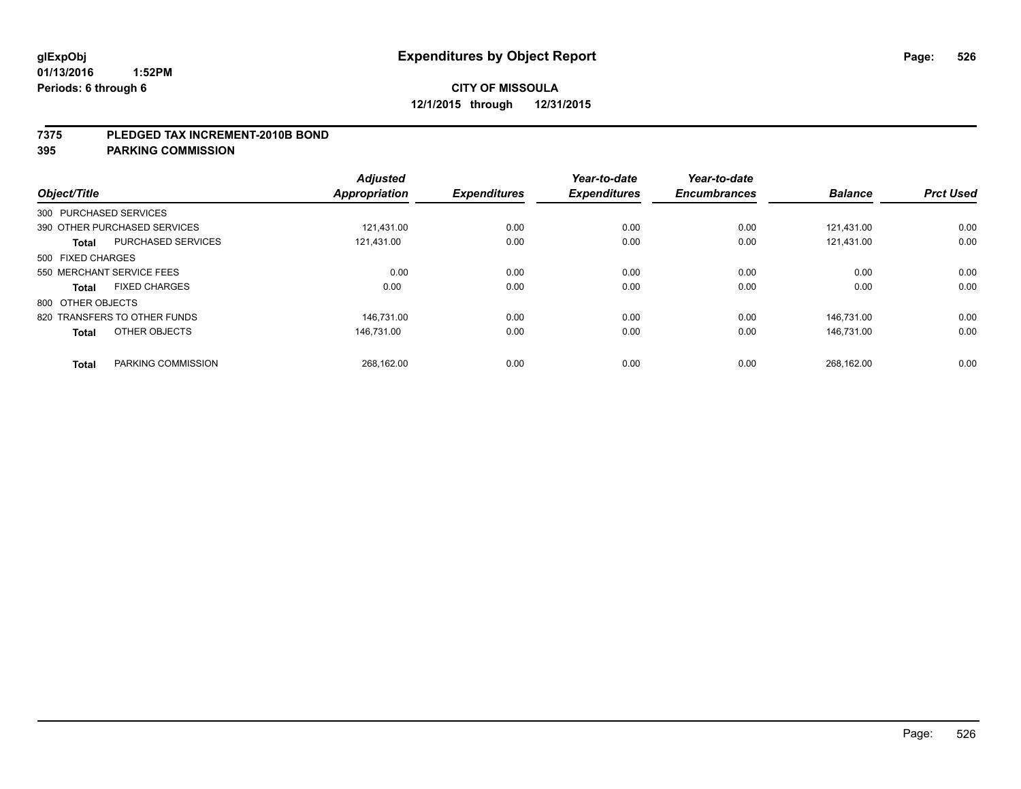#### **7375 PLEDGED TAX INCREMENT-2010B BOND**

| Object/Title           |                              | <b>Adjusted</b><br><b>Appropriation</b> | <b>Expenditures</b> | Year-to-date<br><b>Expenditures</b> | Year-to-date<br><b>Encumbrances</b> | <b>Balance</b> | <b>Prct Used</b> |
|------------------------|------------------------------|-----------------------------------------|---------------------|-------------------------------------|-------------------------------------|----------------|------------------|
| 300 PURCHASED SERVICES |                              |                                         |                     |                                     |                                     |                |                  |
|                        | 390 OTHER PURCHASED SERVICES | 121.431.00                              | 0.00                | 0.00                                | 0.00                                | 121.431.00     | 0.00             |
| <b>Total</b>           | <b>PURCHASED SERVICES</b>    | 121,431.00                              | 0.00                | 0.00                                | 0.00                                | 121,431.00     | 0.00             |
| 500 FIXED CHARGES      |                              |                                         |                     |                                     |                                     |                |                  |
|                        | 550 MERCHANT SERVICE FEES    | 0.00                                    | 0.00                | 0.00                                | 0.00                                | 0.00           | 0.00             |
| Total                  | <b>FIXED CHARGES</b>         | 0.00                                    | 0.00                | 0.00                                | 0.00                                | 0.00           | 0.00             |
| 800 OTHER OBJECTS      |                              |                                         |                     |                                     |                                     |                |                  |
|                        | 820 TRANSFERS TO OTHER FUNDS | 146.731.00                              | 0.00                | 0.00                                | 0.00                                | 146.731.00     | 0.00             |
| <b>Total</b>           | OTHER OBJECTS                | 146.731.00                              | 0.00                | 0.00                                | 0.00                                | 146.731.00     | 0.00             |
|                        |                              |                                         |                     |                                     |                                     |                |                  |
| <b>Total</b>           | PARKING COMMISSION           | 268.162.00                              | 0.00                | 0.00                                | 0.00                                | 268,162.00     | 0.00             |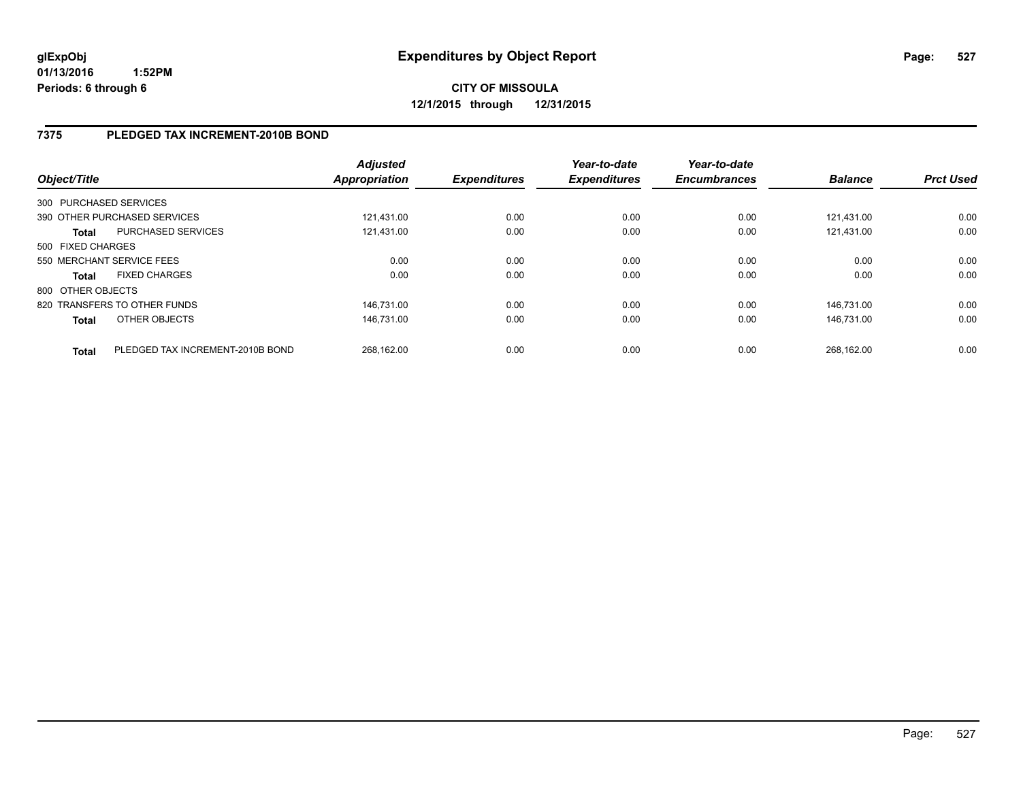### **7375 PLEDGED TAX INCREMENT-2010B BOND**

| Object/Title      |                                  | <b>Adjusted</b><br><b>Appropriation</b> | <b>Expenditures</b> | Year-to-date<br><b>Expenditures</b> | Year-to-date<br><b>Encumbrances</b> | <b>Balance</b> | <b>Prct Used</b> |
|-------------------|----------------------------------|-----------------------------------------|---------------------|-------------------------------------|-------------------------------------|----------------|------------------|
|                   | 300 PURCHASED SERVICES           |                                         |                     |                                     |                                     |                |                  |
|                   | 390 OTHER PURCHASED SERVICES     | 121.431.00                              | 0.00                | 0.00                                | 0.00                                | 121.431.00     | 0.00             |
| <b>Total</b>      | PURCHASED SERVICES               | 121.431.00                              | 0.00                | 0.00                                | 0.00                                | 121.431.00     | 0.00             |
| 500 FIXED CHARGES |                                  |                                         |                     |                                     |                                     |                |                  |
|                   | 550 MERCHANT SERVICE FEES        | 0.00                                    | 0.00                | 0.00                                | 0.00                                | 0.00           | 0.00             |
| <b>Total</b>      | <b>FIXED CHARGES</b>             | 0.00                                    | 0.00                | 0.00                                | 0.00                                | 0.00           | 0.00             |
| 800 OTHER OBJECTS |                                  |                                         |                     |                                     |                                     |                |                  |
|                   | 820 TRANSFERS TO OTHER FUNDS     | 146.731.00                              | 0.00                | 0.00                                | 0.00                                | 146.731.00     | 0.00             |
| <b>Total</b>      | OTHER OBJECTS                    | 146.731.00                              | 0.00                | 0.00                                | 0.00                                | 146.731.00     | 0.00             |
| <b>Total</b>      | PLEDGED TAX INCREMENT-2010B BOND | 268.162.00                              | 0.00                | 0.00                                | 0.00                                | 268.162.00     | 0.00             |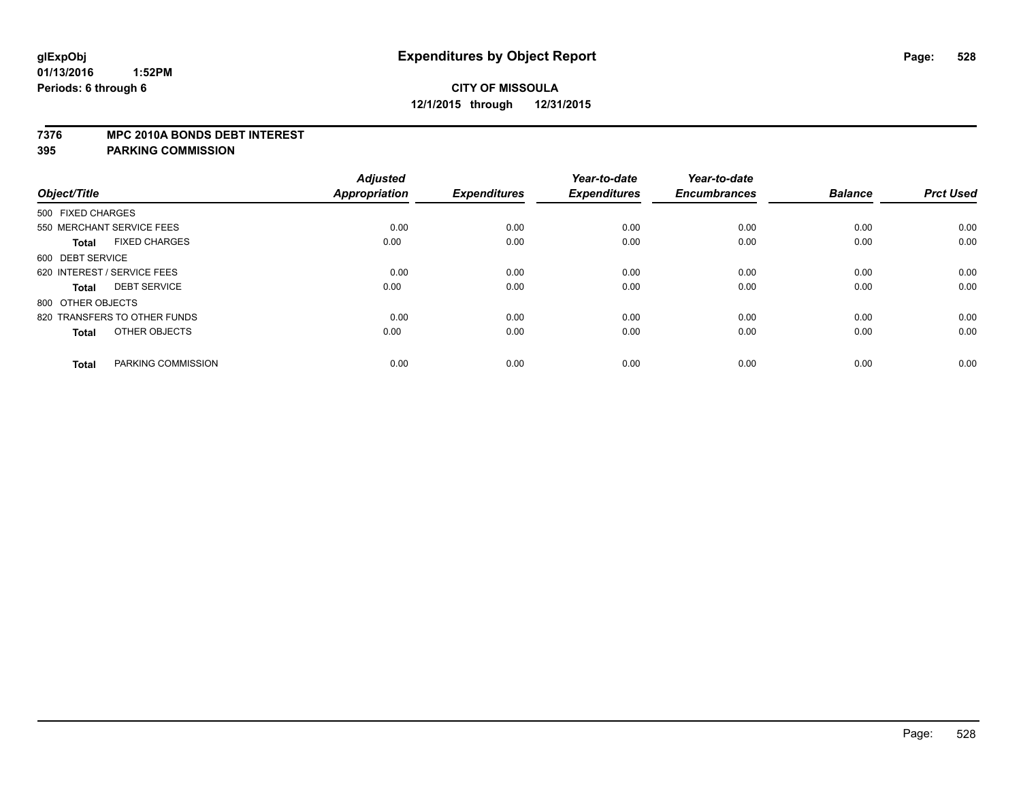#### **7376 MPC 2010A BONDS DEBT INTEREST**

| Object/Title                         | <b>Adjusted</b><br>Appropriation | <b>Expenditures</b> | Year-to-date<br><b>Expenditures</b> | Year-to-date<br><b>Encumbrances</b> | <b>Balance</b> | <b>Prct Used</b> |
|--------------------------------------|----------------------------------|---------------------|-------------------------------------|-------------------------------------|----------------|------------------|
|                                      |                                  |                     |                                     |                                     |                |                  |
| 500 FIXED CHARGES                    |                                  |                     |                                     |                                     |                |                  |
| 550 MERCHANT SERVICE FEES            | 0.00                             | 0.00                | 0.00                                | 0.00                                | 0.00           | 0.00             |
| <b>FIXED CHARGES</b><br><b>Total</b> | 0.00                             | 0.00                | 0.00                                | 0.00                                | 0.00           | 0.00             |
| 600 DEBT SERVICE                     |                                  |                     |                                     |                                     |                |                  |
| 620 INTEREST / SERVICE FEES          | 0.00                             | 0.00                | 0.00                                | 0.00                                | 0.00           | 0.00             |
| <b>DEBT SERVICE</b><br><b>Total</b>  | 0.00                             | 0.00                | 0.00                                | 0.00                                | 0.00           | 0.00             |
| 800 OTHER OBJECTS                    |                                  |                     |                                     |                                     |                |                  |
| 820 TRANSFERS TO OTHER FUNDS         | 0.00                             | 0.00                | 0.00                                | 0.00                                | 0.00           | 0.00             |
| OTHER OBJECTS<br><b>Total</b>        | 0.00                             | 0.00                | 0.00                                | 0.00                                | 0.00           | 0.00             |
| PARKING COMMISSION<br><b>Total</b>   | 0.00                             | 0.00                | 0.00                                | 0.00                                | 0.00           | 0.00             |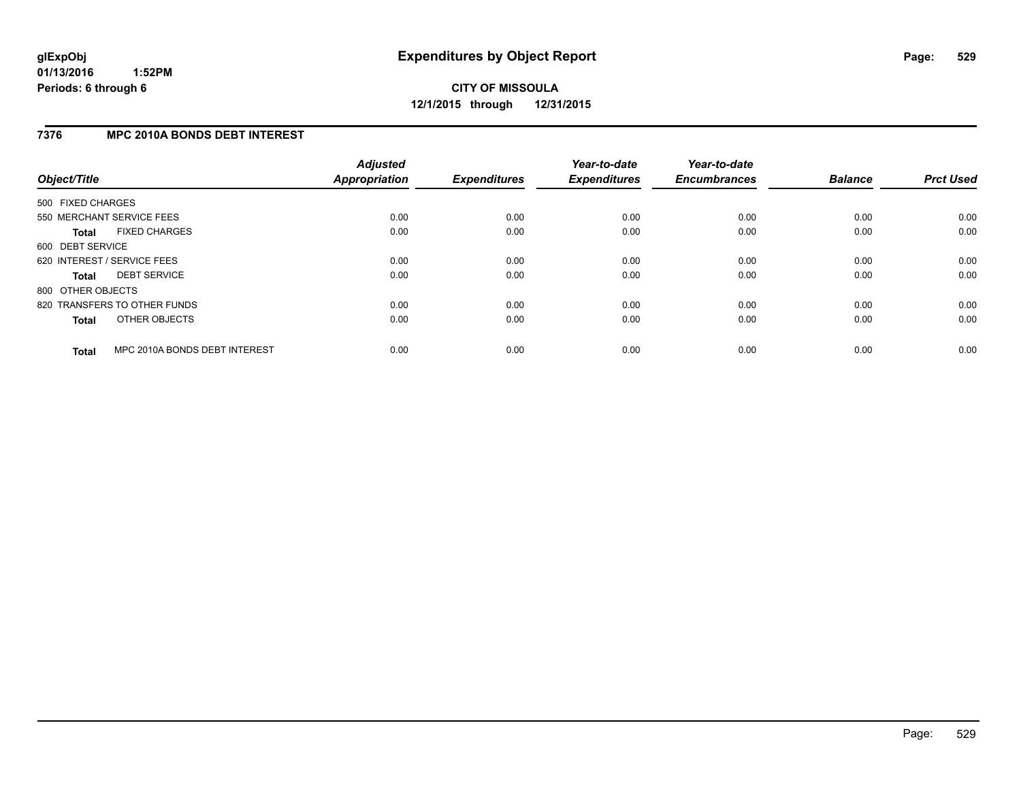#### **7376 MPC 2010A BONDS DEBT INTEREST**

| Object/Title      |                               | <b>Adjusted</b><br><b>Appropriation</b> | <b>Expenditures</b> | Year-to-date<br><b>Expenditures</b> | Year-to-date<br><b>Encumbrances</b> | <b>Balance</b> | <b>Prct Used</b> |
|-------------------|-------------------------------|-----------------------------------------|---------------------|-------------------------------------|-------------------------------------|----------------|------------------|
| 500 FIXED CHARGES |                               |                                         |                     |                                     |                                     |                |                  |
|                   | 550 MERCHANT SERVICE FEES     | 0.00                                    | 0.00                | 0.00                                | 0.00                                | 0.00           | 0.00             |
| <b>Total</b>      | <b>FIXED CHARGES</b>          | 0.00                                    | 0.00                | 0.00                                | 0.00                                | 0.00           | 0.00             |
| 600 DEBT SERVICE  |                               |                                         |                     |                                     |                                     |                |                  |
|                   | 620 INTEREST / SERVICE FEES   | 0.00                                    | 0.00                | 0.00                                | 0.00                                | 0.00           | 0.00             |
| <b>Total</b>      | <b>DEBT SERVICE</b>           | 0.00                                    | 0.00                | 0.00                                | 0.00                                | 0.00           | 0.00             |
| 800 OTHER OBJECTS |                               |                                         |                     |                                     |                                     |                |                  |
|                   | 820 TRANSFERS TO OTHER FUNDS  | 0.00                                    | 0.00                | 0.00                                | 0.00                                | 0.00           | 0.00             |
| <b>Total</b>      | OTHER OBJECTS                 | 0.00                                    | 0.00                | 0.00                                | 0.00                                | 0.00           | 0.00             |
| <b>Total</b>      | MPC 2010A BONDS DEBT INTEREST | 0.00                                    | 0.00                | 0.00                                | 0.00                                | 0.00           | 0.00             |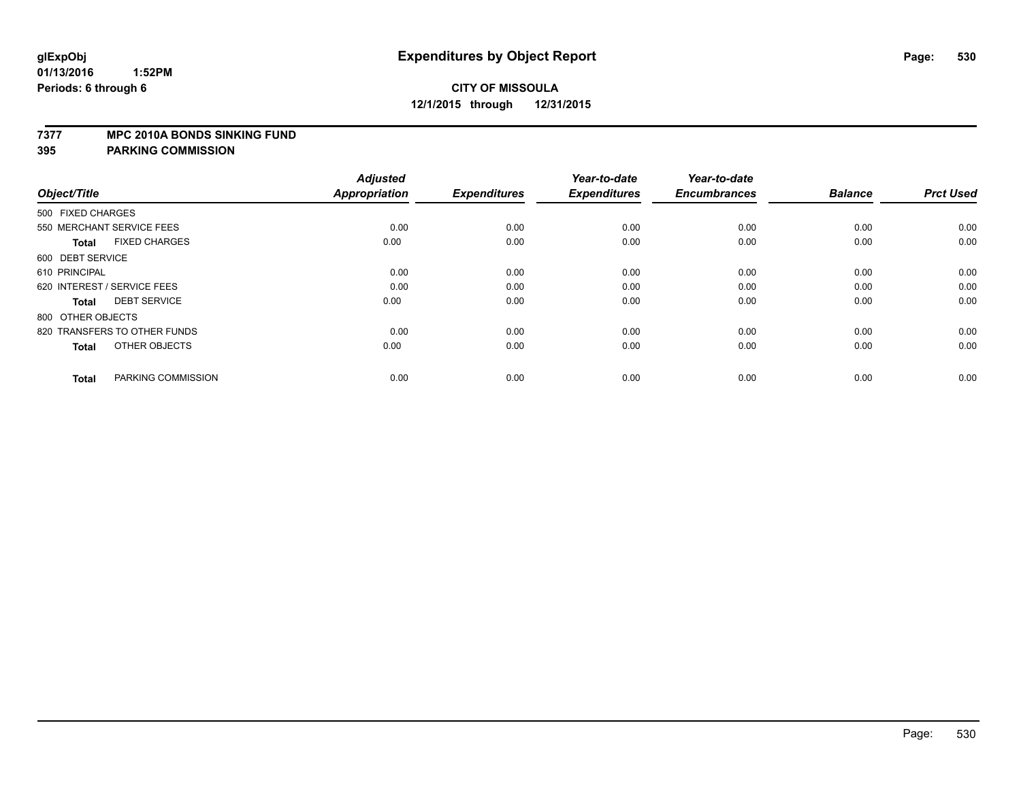#### **7377 MPC 2010A BONDS SINKING FUND**

| Object/Title                         | <b>Adjusted</b><br><b>Appropriation</b> | <b>Expenditures</b> | Year-to-date<br><b>Expenditures</b> | Year-to-date<br><b>Encumbrances</b> | <b>Balance</b> | <b>Prct Used</b> |
|--------------------------------------|-----------------------------------------|---------------------|-------------------------------------|-------------------------------------|----------------|------------------|
| 500 FIXED CHARGES                    |                                         |                     |                                     |                                     |                |                  |
| 550 MERCHANT SERVICE FEES            | 0.00                                    | 0.00                | 0.00                                | 0.00                                | 0.00           | 0.00             |
| <b>FIXED CHARGES</b><br><b>Total</b> | 0.00                                    | 0.00                | 0.00                                | 0.00                                | 0.00           | 0.00             |
| 600 DEBT SERVICE                     |                                         |                     |                                     |                                     |                |                  |
| 610 PRINCIPAL                        | 0.00                                    | 0.00                | 0.00                                | 0.00                                | 0.00           | 0.00             |
| 620 INTEREST / SERVICE FEES          | 0.00                                    | 0.00                | 0.00                                | 0.00                                | 0.00           | 0.00             |
| <b>DEBT SERVICE</b><br><b>Total</b>  | 0.00                                    | 0.00                | 0.00                                | 0.00                                | 0.00           | 0.00             |
| 800 OTHER OBJECTS                    |                                         |                     |                                     |                                     |                |                  |
| 820 TRANSFERS TO OTHER FUNDS         | 0.00                                    | 0.00                | 0.00                                | 0.00                                | 0.00           | 0.00             |
| OTHER OBJECTS<br><b>Total</b>        | 0.00                                    | 0.00                | 0.00                                | 0.00                                | 0.00           | 0.00             |
|                                      |                                         |                     |                                     |                                     |                |                  |
| PARKING COMMISSION<br><b>Total</b>   | 0.00                                    | 0.00                | 0.00                                | 0.00                                | 0.00           | 0.00             |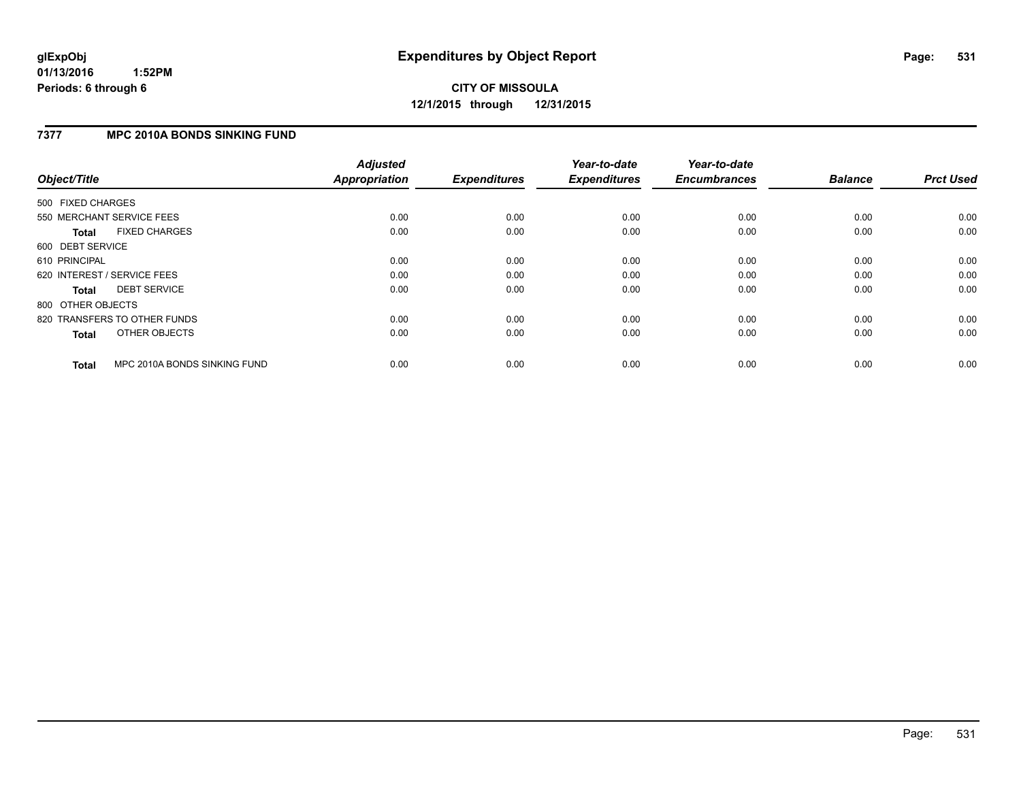#### **01/13/2016 1:52PM Periods: 6 through 6**

## **CITY OF MISSOULA 12/1/2015 through 12/31/2015**

#### **7377 MPC 2010A BONDS SINKING FUND**

| Object/Title      |                              | <b>Adjusted</b><br><b>Appropriation</b> | <b>Expenditures</b> | Year-to-date<br><b>Expenditures</b> | Year-to-date<br><b>Encumbrances</b> | <b>Balance</b> | <b>Prct Used</b> |
|-------------------|------------------------------|-----------------------------------------|---------------------|-------------------------------------|-------------------------------------|----------------|------------------|
| 500 FIXED CHARGES |                              |                                         |                     |                                     |                                     |                |                  |
|                   | 550 MERCHANT SERVICE FEES    | 0.00                                    | 0.00                | 0.00                                | 0.00                                | 0.00           | 0.00             |
| <b>Total</b>      | <b>FIXED CHARGES</b>         | 0.00                                    | 0.00                | 0.00                                | 0.00                                | 0.00           | 0.00             |
| 600 DEBT SERVICE  |                              |                                         |                     |                                     |                                     |                |                  |
| 610 PRINCIPAL     |                              | 0.00                                    | 0.00                | 0.00                                | 0.00                                | 0.00           | 0.00             |
|                   | 620 INTEREST / SERVICE FEES  | 0.00                                    | 0.00                | 0.00                                | 0.00                                | 0.00           | 0.00             |
| <b>Total</b>      | <b>DEBT SERVICE</b>          | 0.00                                    | 0.00                | 0.00                                | 0.00                                | 0.00           | 0.00             |
| 800 OTHER OBJECTS |                              |                                         |                     |                                     |                                     |                |                  |
|                   | 820 TRANSFERS TO OTHER FUNDS | 0.00                                    | 0.00                | 0.00                                | 0.00                                | 0.00           | 0.00             |
| <b>Total</b>      | OTHER OBJECTS                | 0.00                                    | 0.00                | 0.00                                | 0.00                                | 0.00           | 0.00             |
| <b>Total</b>      | MPC 2010A BONDS SINKING FUND | 0.00                                    | 0.00                | 0.00                                | 0.00                                | 0.00           | 0.00             |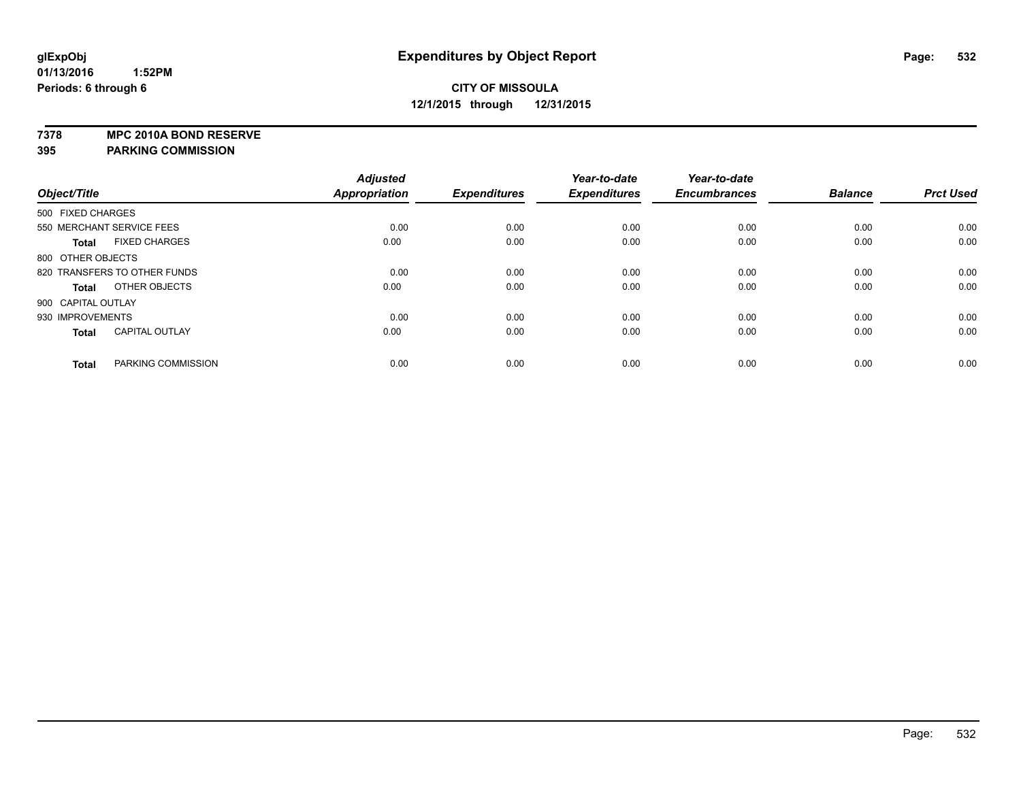**7378 MPC 2010A BOND RESERVE**

|                              |                       | <b>Adjusted</b>      |                     | Year-to-date        | Year-to-date        |                |                  |
|------------------------------|-----------------------|----------------------|---------------------|---------------------|---------------------|----------------|------------------|
| Object/Title                 |                       | <b>Appropriation</b> | <b>Expenditures</b> | <b>Expenditures</b> | <b>Encumbrances</b> | <b>Balance</b> | <b>Prct Used</b> |
| 500 FIXED CHARGES            |                       |                      |                     |                     |                     |                |                  |
| 550 MERCHANT SERVICE FEES    |                       | 0.00                 | 0.00                | 0.00                | 0.00                | 0.00           | 0.00             |
| <b>Total</b>                 | <b>FIXED CHARGES</b>  | 0.00                 | 0.00                | 0.00                | 0.00                | 0.00           | 0.00             |
| 800 OTHER OBJECTS            |                       |                      |                     |                     |                     |                |                  |
| 820 TRANSFERS TO OTHER FUNDS |                       | 0.00                 | 0.00                | 0.00                | 0.00                | 0.00           | 0.00             |
| <b>Total</b>                 | OTHER OBJECTS         | 0.00                 | 0.00                | 0.00                | 0.00                | 0.00           | 0.00             |
| 900 CAPITAL OUTLAY           |                       |                      |                     |                     |                     |                |                  |
| 930 IMPROVEMENTS             |                       | 0.00                 | 0.00                | 0.00                | 0.00                | 0.00           | 0.00             |
| <b>Total</b>                 | <b>CAPITAL OUTLAY</b> | 0.00                 | 0.00                | 0.00                | 0.00                | 0.00           | 0.00             |
| <b>Total</b>                 | PARKING COMMISSION    | 0.00                 | 0.00                | 0.00                | 0.00                | 0.00           | 0.00             |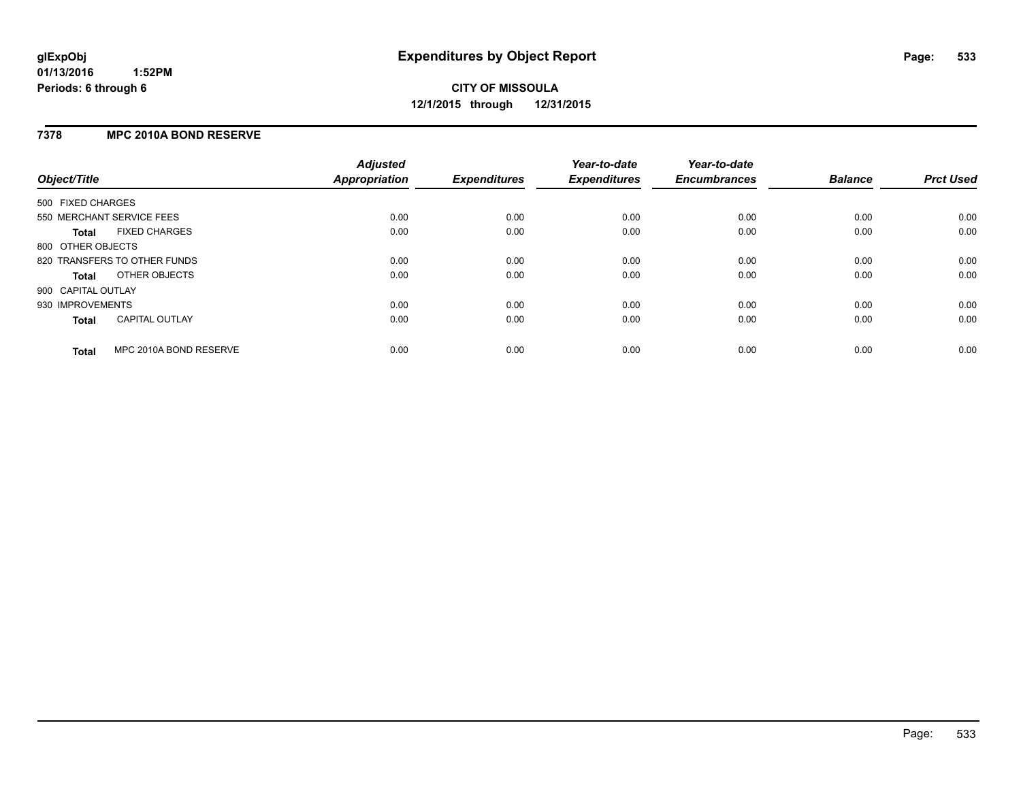#### **7378 MPC 2010A BOND RESERVE**

| Object/Title              |                              | <b>Adjusted</b><br><b>Appropriation</b> | <b>Expenditures</b> | Year-to-date<br><b>Expenditures</b> | Year-to-date<br><b>Encumbrances</b> | <b>Balance</b> | <b>Prct Used</b> |
|---------------------------|------------------------------|-----------------------------------------|---------------------|-------------------------------------|-------------------------------------|----------------|------------------|
| 500 FIXED CHARGES         |                              |                                         |                     |                                     |                                     |                |                  |
| 550 MERCHANT SERVICE FEES |                              | 0.00                                    | 0.00                | 0.00                                | 0.00                                | 0.00           | 0.00             |
| Total                     | <b>FIXED CHARGES</b>         | 0.00                                    | 0.00                | 0.00                                | 0.00                                | 0.00           | 0.00             |
| 800 OTHER OBJECTS         |                              |                                         |                     |                                     |                                     |                |                  |
|                           | 820 TRANSFERS TO OTHER FUNDS | 0.00                                    | 0.00                | 0.00                                | 0.00                                | 0.00           | 0.00             |
| Total                     | OTHER OBJECTS                | 0.00                                    | 0.00                | 0.00                                | 0.00                                | 0.00           | 0.00             |
| 900 CAPITAL OUTLAY        |                              |                                         |                     |                                     |                                     |                |                  |
| 930 IMPROVEMENTS          |                              | 0.00                                    | 0.00                | 0.00                                | 0.00                                | 0.00           | 0.00             |
| Total                     | <b>CAPITAL OUTLAY</b>        | 0.00                                    | 0.00                | 0.00                                | 0.00                                | 0.00           | 0.00             |
| <b>Total</b>              | MPC 2010A BOND RESERVE       | 0.00                                    | 0.00                | 0.00                                | 0.00                                | 0.00           | 0.00             |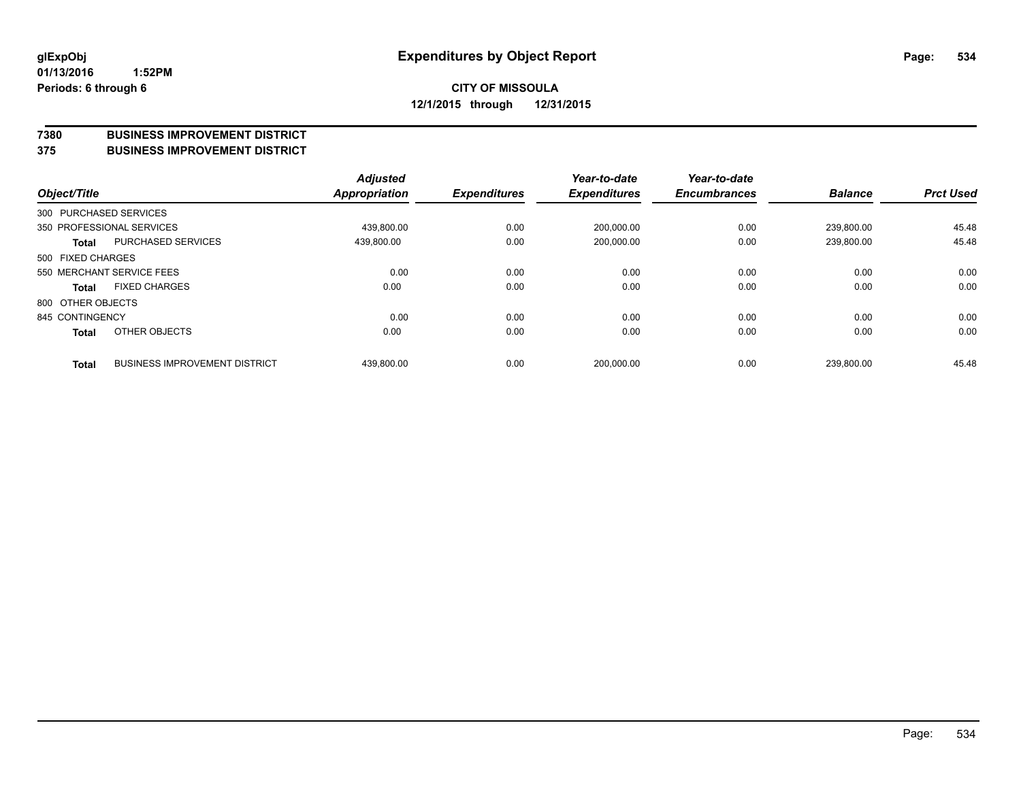#### **7380 BUSINESS IMPROVEMENT DISTRICT**

**375 BUSINESS IMPROVEMENT DISTRICT**

| Object/Title      |                                      | <b>Adjusted</b><br>Appropriation | <b>Expenditures</b> | Year-to-date<br><b>Expenditures</b> | Year-to-date<br><b>Encumbrances</b> | <b>Balance</b> | <b>Prct Used</b> |
|-------------------|--------------------------------------|----------------------------------|---------------------|-------------------------------------|-------------------------------------|----------------|------------------|
|                   | 300 PURCHASED SERVICES               |                                  |                     |                                     |                                     |                |                  |
|                   | 350 PROFESSIONAL SERVICES            | 439.800.00                       | 0.00                | 200,000.00                          | 0.00                                | 239.800.00     | 45.48            |
| <b>Total</b>      | PURCHASED SERVICES                   | 439,800.00                       | 0.00                | 200,000.00                          | 0.00                                | 239,800.00     | 45.48            |
| 500 FIXED CHARGES |                                      |                                  |                     |                                     |                                     |                |                  |
|                   | 550 MERCHANT SERVICE FEES            | 0.00                             | 0.00                | 0.00                                | 0.00                                | 0.00           | 0.00             |
| <b>Total</b>      | <b>FIXED CHARGES</b>                 | 0.00                             | 0.00                | 0.00                                | 0.00                                | 0.00           | 0.00             |
| 800 OTHER OBJECTS |                                      |                                  |                     |                                     |                                     |                |                  |
| 845 CONTINGENCY   |                                      | 0.00                             | 0.00                | 0.00                                | 0.00                                | 0.00           | 0.00             |
| <b>Total</b>      | OTHER OBJECTS                        | 0.00                             | 0.00                | 0.00                                | 0.00                                | 0.00           | 0.00             |
| <b>Total</b>      | <b>BUSINESS IMPROVEMENT DISTRICT</b> | 439.800.00                       | 0.00                | 200.000.00                          | 0.00                                | 239.800.00     | 45.48            |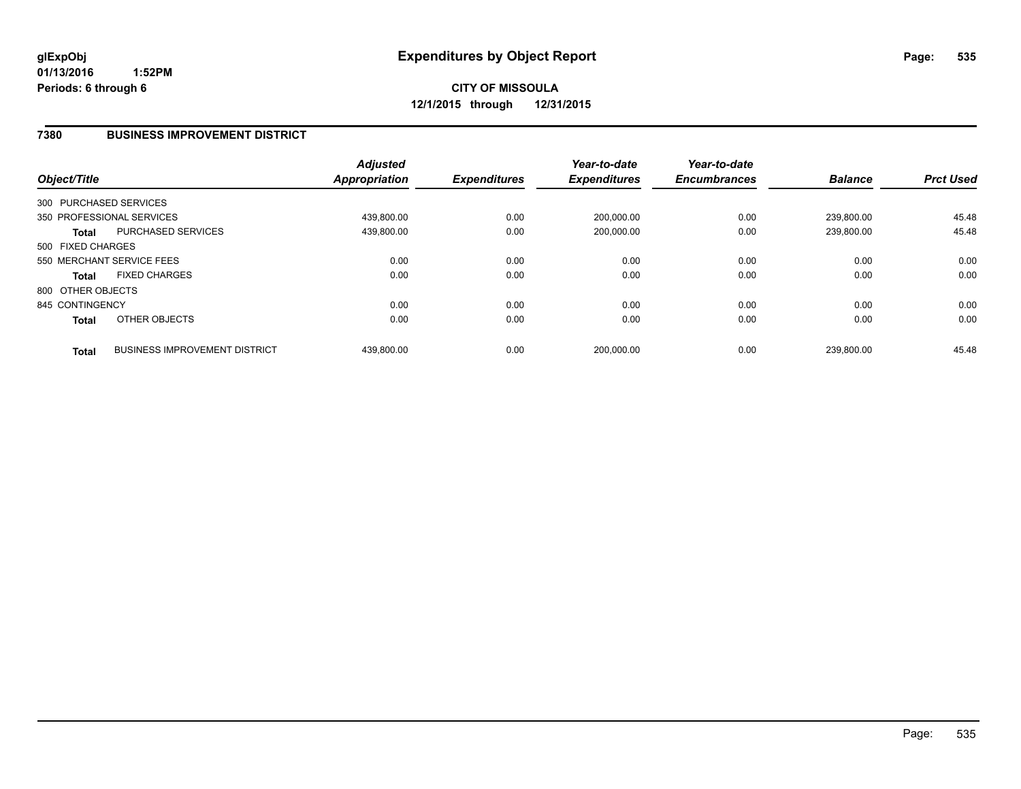#### **7380 BUSINESS IMPROVEMENT DISTRICT**

| Object/Title      |                                      | <b>Adjusted</b><br><b>Appropriation</b> | <b>Expenditures</b> | Year-to-date<br><b>Expenditures</b> | Year-to-date<br><b>Encumbrances</b> | <b>Balance</b> | <b>Prct Used</b> |
|-------------------|--------------------------------------|-----------------------------------------|---------------------|-------------------------------------|-------------------------------------|----------------|------------------|
|                   | 300 PURCHASED SERVICES               |                                         |                     |                                     |                                     |                |                  |
|                   | 350 PROFESSIONAL SERVICES            | 439,800.00                              | 0.00                | 200,000.00                          | 0.00                                | 239.800.00     | 45.48            |
| <b>Total</b>      | PURCHASED SERVICES                   | 439.800.00                              | 0.00                | 200.000.00                          | 0.00                                | 239.800.00     | 45.48            |
| 500 FIXED CHARGES |                                      |                                         |                     |                                     |                                     |                |                  |
|                   | 550 MERCHANT SERVICE FEES            | 0.00                                    | 0.00                | 0.00                                | 0.00                                | 0.00           | 0.00             |
| <b>Total</b>      | <b>FIXED CHARGES</b>                 | 0.00                                    | 0.00                | 0.00                                | 0.00                                | 0.00           | 0.00             |
| 800 OTHER OBJECTS |                                      |                                         |                     |                                     |                                     |                |                  |
| 845 CONTINGENCY   |                                      | 0.00                                    | 0.00                | 0.00                                | 0.00                                | 0.00           | 0.00             |
| <b>Total</b>      | OTHER OBJECTS                        | 0.00                                    | 0.00                | 0.00                                | 0.00                                | 0.00           | 0.00             |
| <b>Total</b>      | <b>BUSINESS IMPROVEMENT DISTRICT</b> | 439.800.00                              | 0.00                | 200.000.00                          | 0.00                                | 239.800.00     | 45.48            |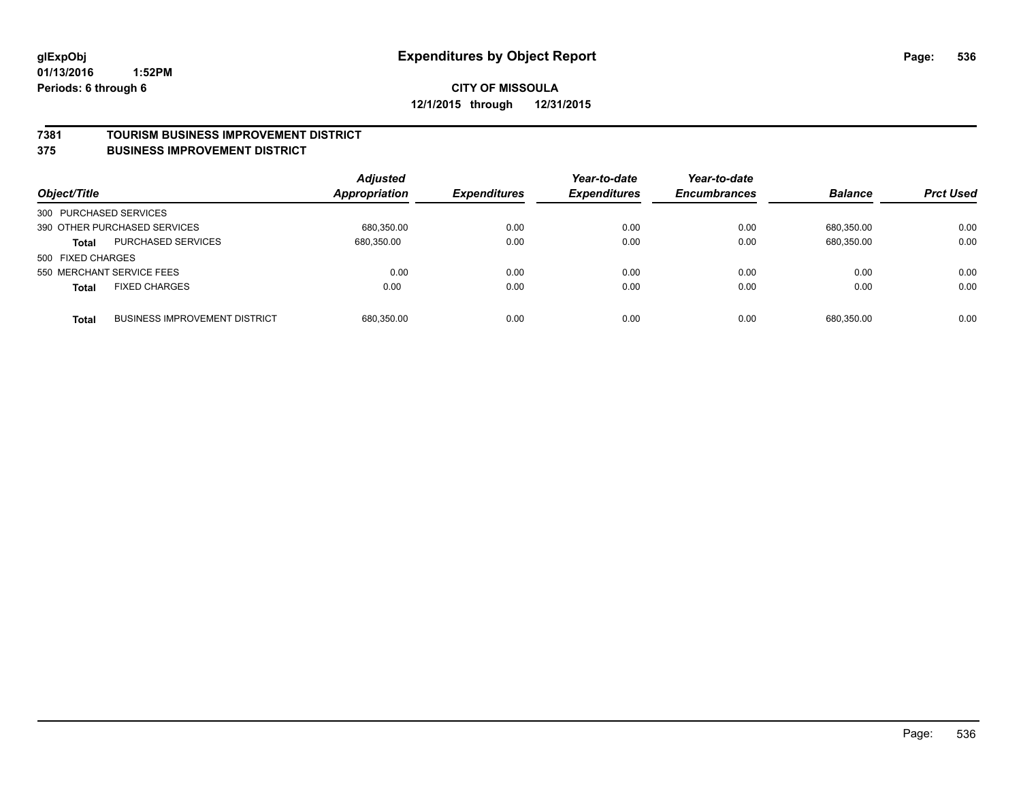#### **7381 TOURISM BUSINESS IMPROVEMENT DISTRICT**

#### **375 BUSINESS IMPROVEMENT DISTRICT**

| Object/Title           |                                      | <b>Adjusted</b><br><b>Appropriation</b> | <b>Expenditures</b> | Year-to-date<br><b>Expenditures</b> | Year-to-date<br><b>Encumbrances</b> | <b>Balance</b> | <b>Prct Used</b> |
|------------------------|--------------------------------------|-----------------------------------------|---------------------|-------------------------------------|-------------------------------------|----------------|------------------|
| 300 PURCHASED SERVICES |                                      |                                         |                     |                                     |                                     |                |                  |
|                        | 390 OTHER PURCHASED SERVICES         | 680.350.00                              | 0.00                | 0.00                                | 0.00                                | 680.350.00     | 0.00             |
| <b>Total</b>           | PURCHASED SERVICES                   | 680,350.00                              | 0.00                | 0.00                                | 0.00                                | 680,350.00     | 0.00             |
| 500 FIXED CHARGES      |                                      |                                         |                     |                                     |                                     |                |                  |
|                        | 550 MERCHANT SERVICE FEES            | 0.00                                    | 0.00                | 0.00                                | 0.00                                | 0.00           | 0.00             |
| <b>Total</b>           | <b>FIXED CHARGES</b>                 | 0.00                                    | 0.00                | 0.00                                | 0.00                                | 0.00           | 0.00             |
| <b>Total</b>           | <b>BUSINESS IMPROVEMENT DISTRICT</b> | 680,350.00                              | 0.00                | 0.00                                | 0.00                                | 680.350.00     | 0.00             |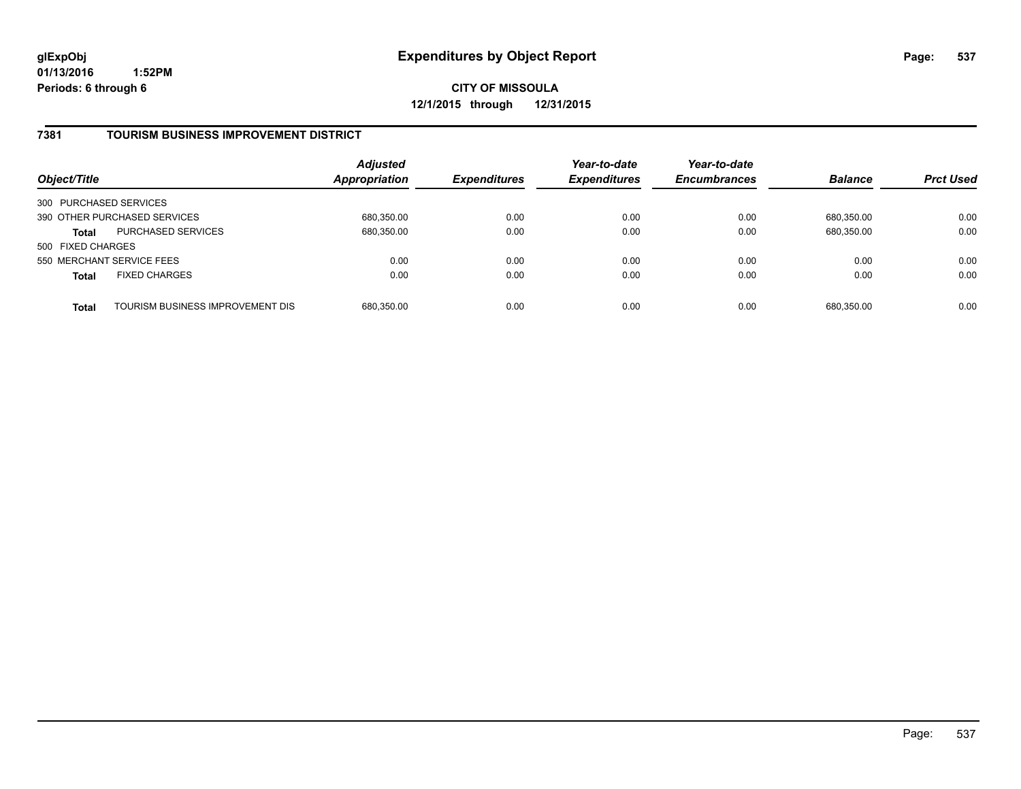**01/13/2016 1:52PM Periods: 6 through 6**

**CITY OF MISSOULA 12/1/2015 through 12/31/2015**

#### **7381 TOURISM BUSINESS IMPROVEMENT DISTRICT**

| Object/Title           |                                  | <b>Adjusted</b><br><b>Appropriation</b> | <b>Expenditures</b> | Year-to-date<br><b>Expenditures</b> | Year-to-date<br><b>Encumbrances</b> | <b>Balance</b> | <b>Prct Used</b> |
|------------------------|----------------------------------|-----------------------------------------|---------------------|-------------------------------------|-------------------------------------|----------------|------------------|
| 300 PURCHASED SERVICES |                                  |                                         |                     |                                     |                                     |                |                  |
|                        | 390 OTHER PURCHASED SERVICES     | 680,350.00                              | 0.00                | 0.00                                | 0.00                                | 680.350.00     | 0.00             |
| Total                  | <b>PURCHASED SERVICES</b>        | 680,350.00                              | 0.00                | 0.00                                | 0.00                                | 680,350.00     | 0.00             |
| 500 FIXED CHARGES      |                                  |                                         |                     |                                     |                                     |                |                  |
|                        | 550 MERCHANT SERVICE FEES        | 0.00                                    | 0.00                | 0.00                                | 0.00                                | 0.00           | 0.00             |
| <b>Total</b>           | <b>FIXED CHARGES</b>             | 0.00                                    | 0.00                | 0.00                                | 0.00                                | 0.00           | 0.00             |
| <b>Total</b>           | TOURISM BUSINESS IMPROVEMENT DIS | 680,350.00                              | 0.00                | 0.00                                | 0.00                                | 680,350.00     | 0.00             |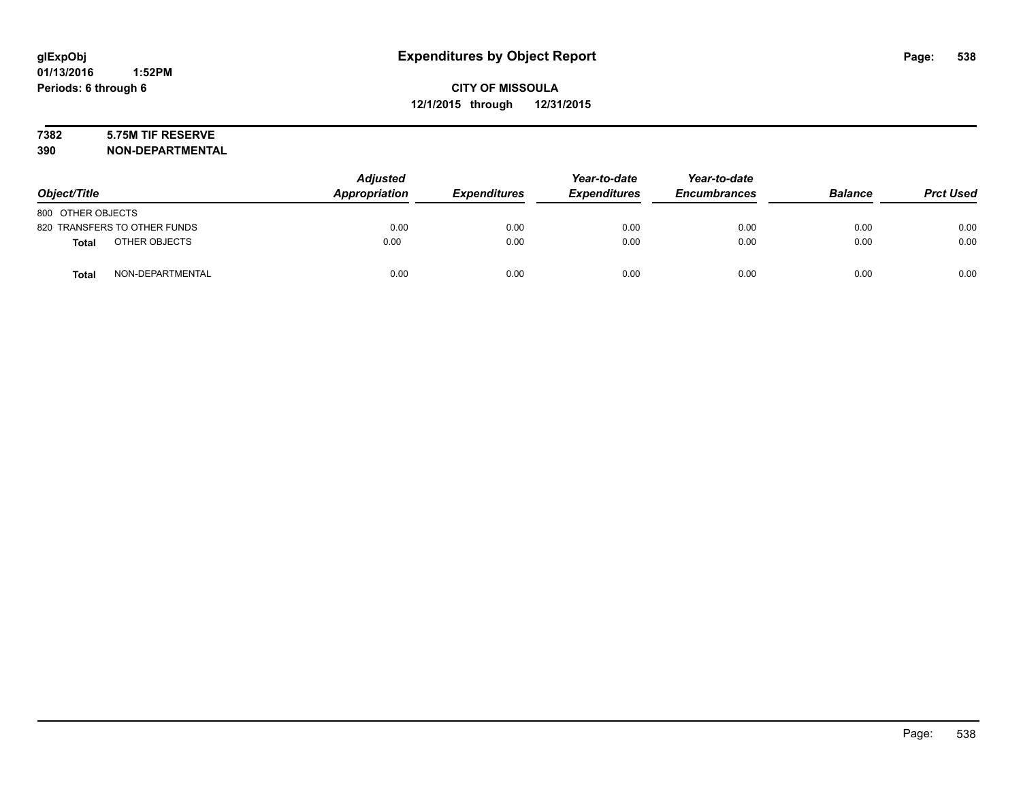# **7382 5.75M TIF RESERVE**

**390 NON-DEPARTMENTAL**

| Object/Title                     | <b>Adjusted</b><br>Appropriation | <b>Expenditures</b> | Year-to-date<br><b>Expenditures</b> | Year-to-date<br><b>Encumbrances</b> | <b>Balance</b> | <b>Prct Used</b> |
|----------------------------------|----------------------------------|---------------------|-------------------------------------|-------------------------------------|----------------|------------------|
| 800 OTHER OBJECTS                |                                  |                     |                                     |                                     |                |                  |
| 820 TRANSFERS TO OTHER FUNDS     | 0.00                             | 0.00                | 0.00                                | 0.00                                | 0.00           | 0.00             |
| OTHER OBJECTS<br><b>Total</b>    | 0.00                             | 0.00                | 0.00                                | 0.00                                | 0.00           | 0.00             |
| NON-DEPARTMENTAL<br><b>Total</b> | 0.00                             | 0.00                | 0.00                                | 0.00                                | 0.00           | 0.00             |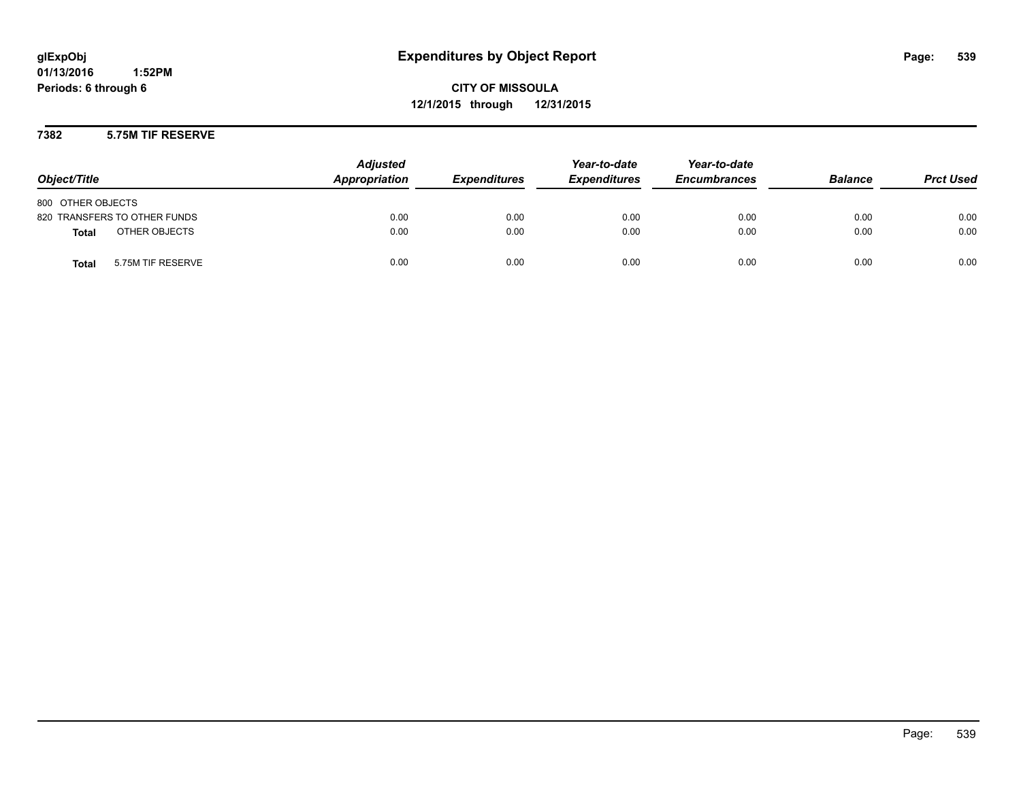**01/13/2016 1:52PM Periods: 6 through 6**

**CITY OF MISSOULA 12/1/2015 through 12/31/2015**

#### **7382 5.75M TIF RESERVE**

| Object/Title                      | <b>Adjusted</b><br>Appropriation | <b>Expenditures</b> | Year-to-date<br><b>Expenditures</b> | Year-to-date<br><b>Encumbrances</b> | <b>Balance</b> | <b>Prct Used</b> |
|-----------------------------------|----------------------------------|---------------------|-------------------------------------|-------------------------------------|----------------|------------------|
| 800 OTHER OBJECTS                 |                                  |                     |                                     |                                     |                |                  |
| 820 TRANSFERS TO OTHER FUNDS      | 0.00                             | 0.00                | 0.00                                | 0.00                                | 0.00           | 0.00             |
| OTHER OBJECTS<br><b>Total</b>     | 0.00                             | 0.00                | 0.00                                | 0.00                                | 0.00           | 0.00             |
| 5.75M TIF RESERVE<br><b>Total</b> | 0.00                             | 0.00                | 0.00                                | 0.00                                | 0.00           | 0.00             |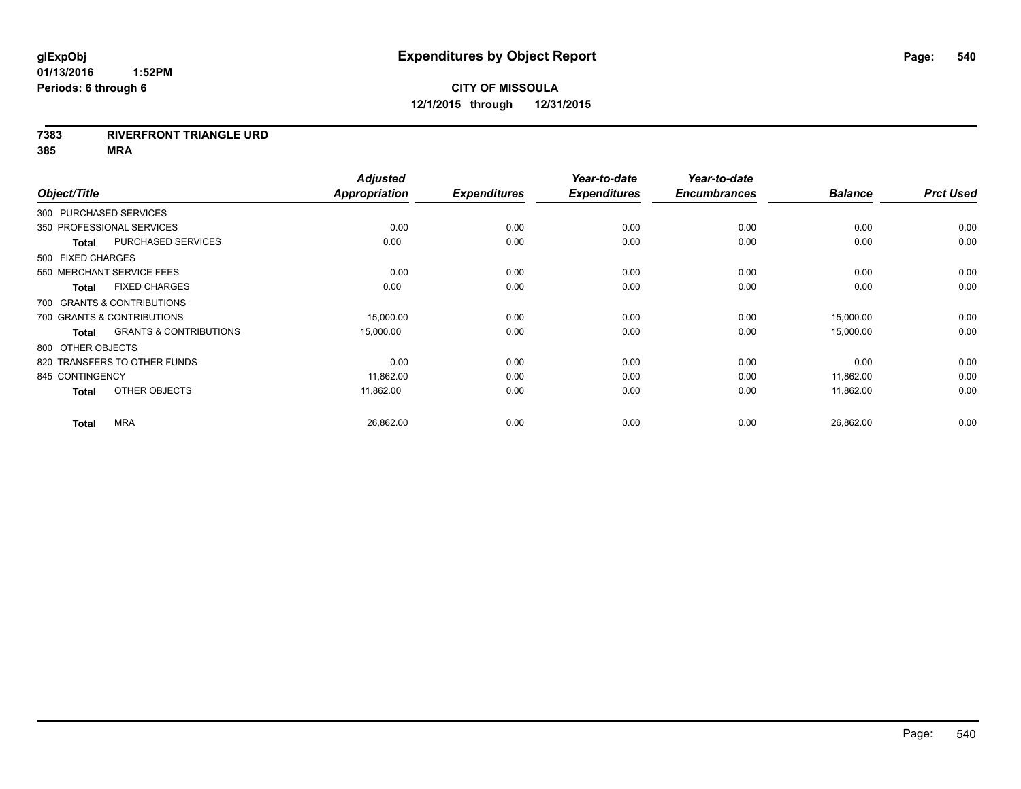#### **7383 RIVERFRONT TRIANGLE URD**

**385 MRA**

| Object/Title           |                                   | <b>Adjusted</b><br>Appropriation | <b>Expenditures</b> | Year-to-date<br><b>Expenditures</b> | Year-to-date<br><b>Encumbrances</b> | <b>Balance</b> | <b>Prct Used</b> |
|------------------------|-----------------------------------|----------------------------------|---------------------|-------------------------------------|-------------------------------------|----------------|------------------|
| 300 PURCHASED SERVICES |                                   |                                  |                     |                                     |                                     |                |                  |
|                        | 350 PROFESSIONAL SERVICES         | 0.00                             | 0.00                | 0.00                                | 0.00                                | 0.00           | 0.00             |
| <b>Total</b>           | PURCHASED SERVICES                | 0.00                             | 0.00                | 0.00                                | 0.00                                | 0.00           | 0.00             |
| 500 FIXED CHARGES      |                                   |                                  |                     |                                     |                                     |                |                  |
|                        | 550 MERCHANT SERVICE FEES         | 0.00                             | 0.00                | 0.00                                | 0.00                                | 0.00           | 0.00             |
| <b>Total</b>           | <b>FIXED CHARGES</b>              | 0.00                             | 0.00                | 0.00                                | 0.00                                | 0.00           | 0.00             |
|                        | 700 GRANTS & CONTRIBUTIONS        |                                  |                     |                                     |                                     |                |                  |
|                        | 700 GRANTS & CONTRIBUTIONS        | 15,000.00                        | 0.00                | 0.00                                | 0.00                                | 15,000.00      | 0.00             |
| <b>Total</b>           | <b>GRANTS &amp; CONTRIBUTIONS</b> | 15,000.00                        | 0.00                | 0.00                                | 0.00                                | 15,000.00      | 0.00             |
| 800 OTHER OBJECTS      |                                   |                                  |                     |                                     |                                     |                |                  |
|                        | 820 TRANSFERS TO OTHER FUNDS      | 0.00                             | 0.00                | 0.00                                | 0.00                                | 0.00           | 0.00             |
| 845 CONTINGENCY        |                                   | 11,862.00                        | 0.00                | 0.00                                | 0.00                                | 11,862.00      | 0.00             |
| <b>Total</b>           | OTHER OBJECTS                     | 11.862.00                        | 0.00                | 0.00                                | 0.00                                | 11,862.00      | 0.00             |
| <b>Total</b>           | <b>MRA</b>                        | 26,862.00                        | 0.00                | 0.00                                | 0.00                                | 26,862.00      | 0.00             |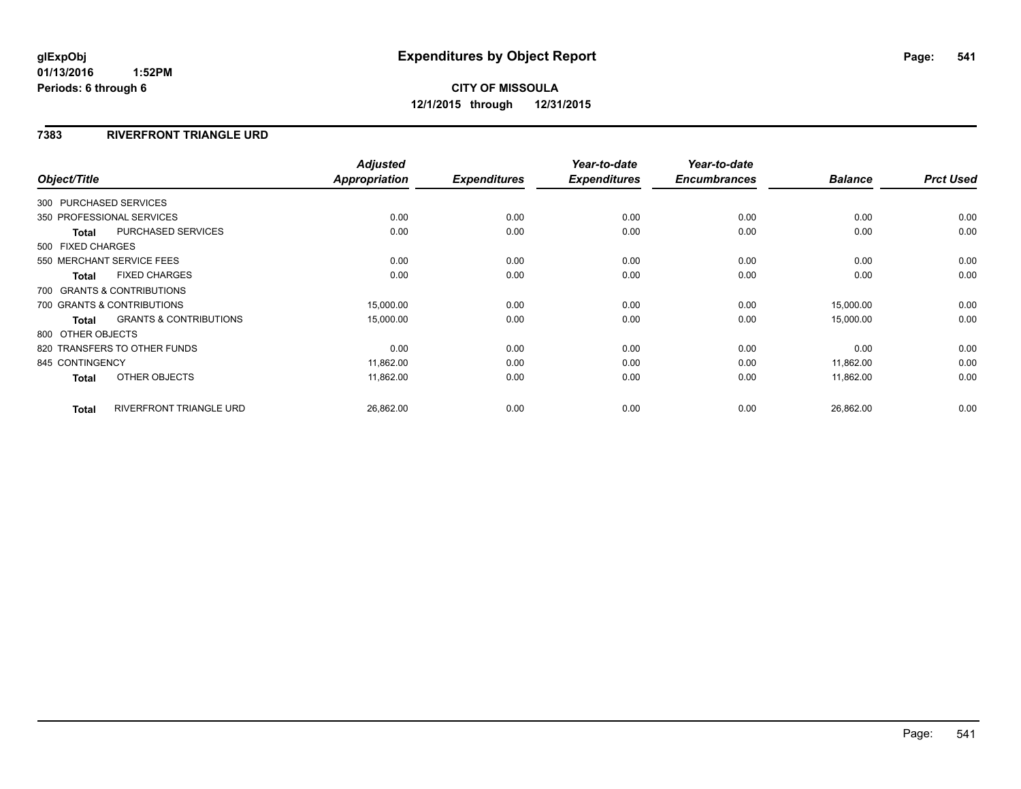# **CITY OF MISSOULA 12/1/2015 through 12/31/2015**

#### **7383 RIVERFRONT TRIANGLE URD**

| Object/Title           |                                   | <b>Adjusted</b><br><b>Appropriation</b> | <b>Expenditures</b> | Year-to-date<br><b>Expenditures</b> | Year-to-date<br><b>Encumbrances</b> | <b>Balance</b> | <b>Prct Used</b> |
|------------------------|-----------------------------------|-----------------------------------------|---------------------|-------------------------------------|-------------------------------------|----------------|------------------|
|                        |                                   |                                         |                     |                                     |                                     |                |                  |
| 300 PURCHASED SERVICES |                                   |                                         |                     |                                     |                                     |                |                  |
|                        | 350 PROFESSIONAL SERVICES         | 0.00                                    | 0.00                | 0.00                                | 0.00                                | 0.00           | 0.00             |
| <b>Total</b>           | <b>PURCHASED SERVICES</b>         | 0.00                                    | 0.00                | 0.00                                | 0.00                                | 0.00           | 0.00             |
| 500 FIXED CHARGES      |                                   |                                         |                     |                                     |                                     |                |                  |
|                        | 550 MERCHANT SERVICE FEES         | 0.00                                    | 0.00                | 0.00                                | 0.00                                | 0.00           | 0.00             |
| <b>Total</b>           | <b>FIXED CHARGES</b>              | 0.00                                    | 0.00                | 0.00                                | 0.00                                | 0.00           | 0.00             |
|                        | 700 GRANTS & CONTRIBUTIONS        |                                         |                     |                                     |                                     |                |                  |
|                        | 700 GRANTS & CONTRIBUTIONS        | 15,000.00                               | 0.00                | 0.00                                | 0.00                                | 15,000.00      | 0.00             |
| Total                  | <b>GRANTS &amp; CONTRIBUTIONS</b> | 15,000.00                               | 0.00                | 0.00                                | 0.00                                | 15,000.00      | 0.00             |
| 800 OTHER OBJECTS      |                                   |                                         |                     |                                     |                                     |                |                  |
|                        | 820 TRANSFERS TO OTHER FUNDS      | 0.00                                    | 0.00                | 0.00                                | 0.00                                | 0.00           | 0.00             |
| 845 CONTINGENCY        |                                   | 11,862.00                               | 0.00                | 0.00                                | 0.00                                | 11,862.00      | 0.00             |
| Total                  | OTHER OBJECTS                     | 11,862.00                               | 0.00                | 0.00                                | 0.00                                | 11,862.00      | 0.00             |
| <b>Total</b>           | <b>RIVERFRONT TRIANGLE URD</b>    | 26,862.00                               | 0.00                | 0.00                                | 0.00                                | 26,862.00      | 0.00             |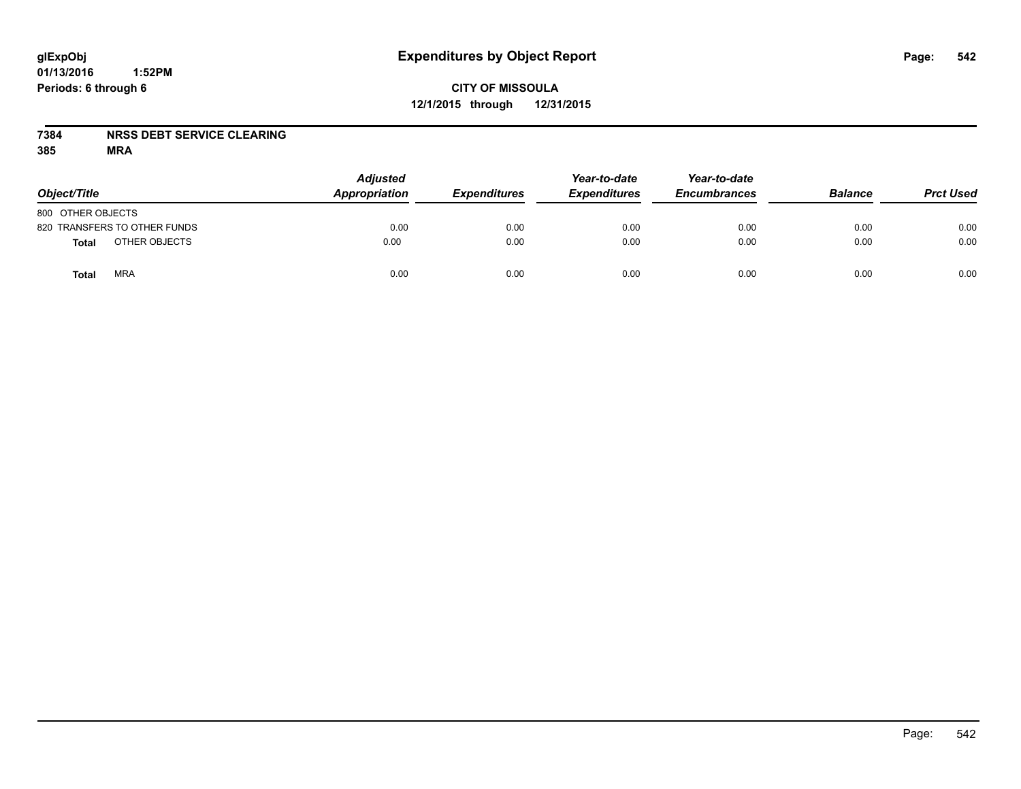## **CITY OF MISSOULA 12/1/2015 through 12/31/2015**

#### **7384 NRSS DEBT SERVICE CLEARING**

| Object/Title                 | <b>Adjusted</b><br>Appropriation | <b>Expenditures</b> | Year-to-date<br><b>Expenditures</b> | Year-to-date<br><b>Encumbrances</b> | <b>Balance</b> | <b>Prct Used</b> |
|------------------------------|----------------------------------|---------------------|-------------------------------------|-------------------------------------|----------------|------------------|
| 800 OTHER OBJECTS            |                                  |                     |                                     |                                     |                |                  |
| 820 TRANSFERS TO OTHER FUNDS | 0.00                             | 0.00                | 0.00                                | 0.00                                | 0.00           | 0.00             |
| OTHER OBJECTS<br>Total       | 0.00                             | 0.00                | 0.00                                | 0.00                                | 0.00           | 0.00             |
| <b>MRA</b><br>Total          | 0.00                             | 0.00                | 0.00                                | 0.00                                | 0.00           | 0.00             |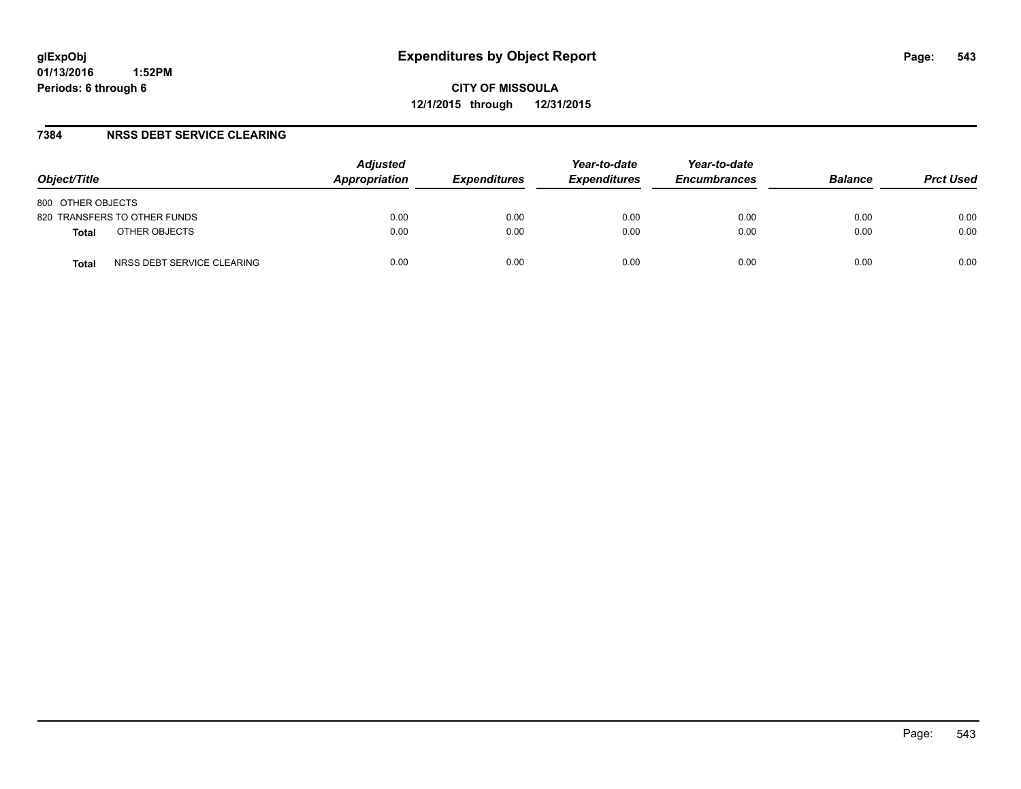#### **7384 NRSS DEBT SERVICE CLEARING**

| Object/Title                        | <b>Adjusted</b><br>Appropriation | <i><b>Expenditures</b></i> | Year-to-date<br><b>Expenditures</b> | Year-to-date<br><b>Encumbrances</b> | <b>Balance</b> | <b>Prct Used</b> |
|-------------------------------------|----------------------------------|----------------------------|-------------------------------------|-------------------------------------|----------------|------------------|
| 800 OTHER OBJECTS                   |                                  |                            |                                     |                                     |                |                  |
| 820 TRANSFERS TO OTHER FUNDS        | 0.00                             | 0.00                       | 0.00                                | 0.00                                | 0.00           | 0.00             |
| OTHER OBJECTS<br><b>Total</b>       | 0.00                             | 0.00                       | 0.00                                | 0.00                                | 0.00           | 0.00             |
| NRSS DEBT SERVICE CLEARING<br>Total | 0.00                             | 0.00                       | 0.00                                | 0.00                                | 0.00           | 0.00             |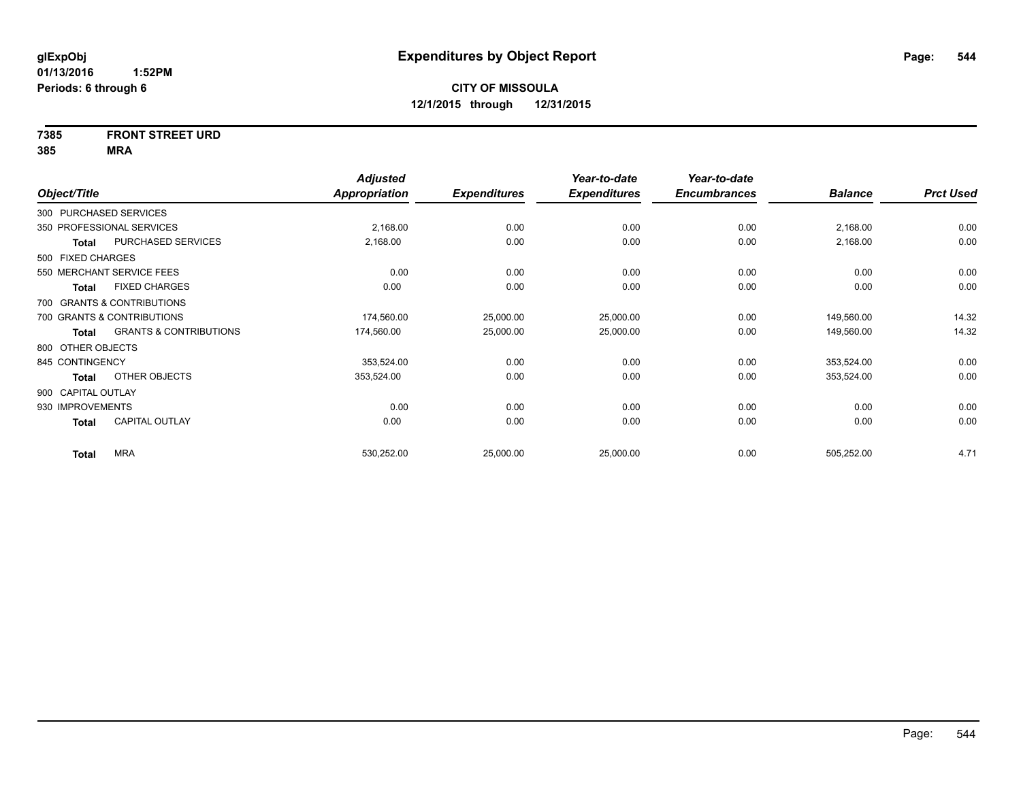# **7385 FRONT STREET URD**

|                        |                                   | <b>Adjusted</b>      |                     | Year-to-date        | Year-to-date        |                |                  |
|------------------------|-----------------------------------|----------------------|---------------------|---------------------|---------------------|----------------|------------------|
| Object/Title           |                                   | <b>Appropriation</b> | <b>Expenditures</b> | <b>Expenditures</b> | <b>Encumbrances</b> | <b>Balance</b> | <b>Prct Used</b> |
| 300 PURCHASED SERVICES |                                   |                      |                     |                     |                     |                |                  |
|                        | 350 PROFESSIONAL SERVICES         | 2,168.00             | 0.00                | 0.00                | 0.00                | 2,168.00       | 0.00             |
| Total                  | PURCHASED SERVICES                | 2,168.00             | 0.00                | 0.00                | 0.00                | 2,168.00       | 0.00             |
| 500 FIXED CHARGES      |                                   |                      |                     |                     |                     |                |                  |
|                        | 550 MERCHANT SERVICE FEES         | 0.00                 | 0.00                | 0.00                | 0.00                | 0.00           | 0.00             |
| Total                  | <b>FIXED CHARGES</b>              | 0.00                 | 0.00                | 0.00                | 0.00                | 0.00           | 0.00             |
|                        | 700 GRANTS & CONTRIBUTIONS        |                      |                     |                     |                     |                |                  |
|                        | 700 GRANTS & CONTRIBUTIONS        | 174,560.00           | 25,000.00           | 25,000.00           | 0.00                | 149,560.00     | 14.32            |
| Total                  | <b>GRANTS &amp; CONTRIBUTIONS</b> | 174,560.00           | 25,000.00           | 25,000.00           | 0.00                | 149,560.00     | 14.32            |
| 800 OTHER OBJECTS      |                                   |                      |                     |                     |                     |                |                  |
| 845 CONTINGENCY        |                                   | 353,524.00           | 0.00                | 0.00                | 0.00                | 353,524.00     | 0.00             |
| Total                  | OTHER OBJECTS                     | 353,524.00           | 0.00                | 0.00                | 0.00                | 353,524.00     | 0.00             |
| 900 CAPITAL OUTLAY     |                                   |                      |                     |                     |                     |                |                  |
| 930 IMPROVEMENTS       |                                   | 0.00                 | 0.00                | 0.00                | 0.00                | 0.00           | 0.00             |
| Total                  | <b>CAPITAL OUTLAY</b>             | 0.00                 | 0.00                | 0.00                | 0.00                | 0.00           | 0.00             |
| <b>Total</b>           | <b>MRA</b>                        | 530,252.00           | 25,000.00           | 25,000.00           | 0.00                | 505,252.00     | 4.71             |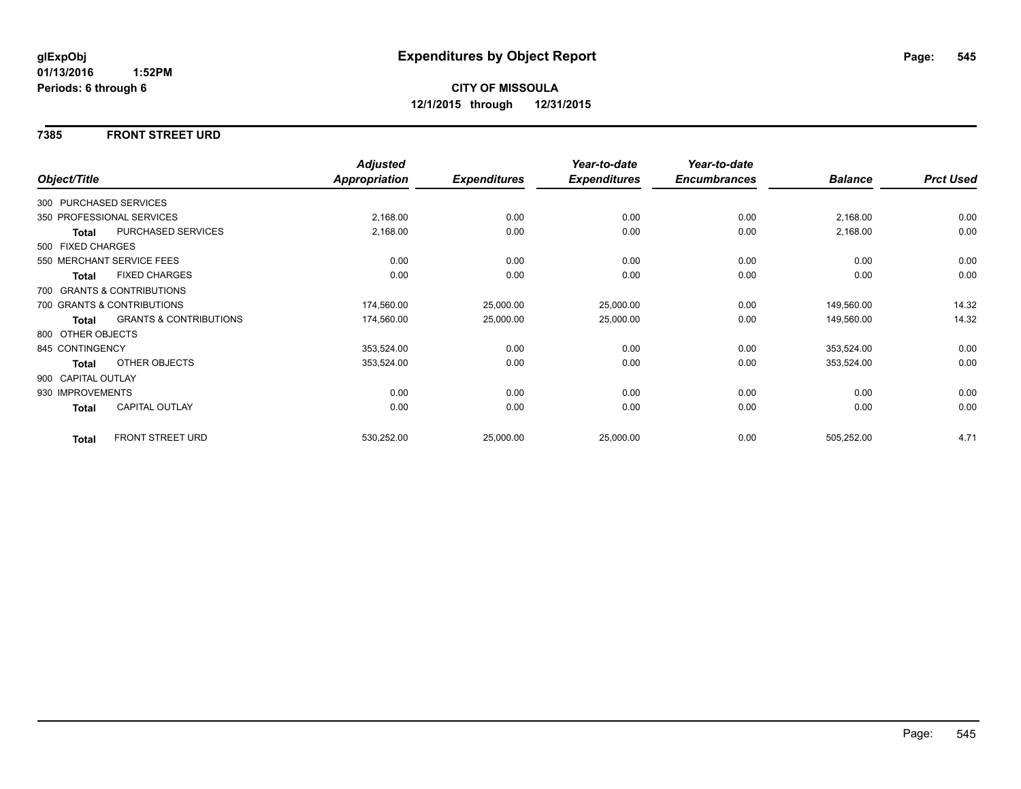#### **7385 FRONT STREET URD**

|                    |                                   | <b>Adjusted</b> |                     | Year-to-date        | Year-to-date        |                |                  |
|--------------------|-----------------------------------|-----------------|---------------------|---------------------|---------------------|----------------|------------------|
| Object/Title       |                                   | Appropriation   | <b>Expenditures</b> | <b>Expenditures</b> | <b>Encumbrances</b> | <b>Balance</b> | <b>Prct Used</b> |
|                    | 300 PURCHASED SERVICES            |                 |                     |                     |                     |                |                  |
|                    | 350 PROFESSIONAL SERVICES         | 2,168.00        | 0.00                | 0.00                | 0.00                | 2,168.00       | 0.00             |
| <b>Total</b>       | <b>PURCHASED SERVICES</b>         | 2,168.00        | 0.00                | 0.00                | 0.00                | 2,168.00       | 0.00             |
| 500 FIXED CHARGES  |                                   |                 |                     |                     |                     |                |                  |
|                    | 550 MERCHANT SERVICE FEES         | 0.00            | 0.00                | 0.00                | 0.00                | 0.00           | 0.00             |
| <b>Total</b>       | <b>FIXED CHARGES</b>              | 0.00            | 0.00                | 0.00                | 0.00                | 0.00           | 0.00             |
|                    | 700 GRANTS & CONTRIBUTIONS        |                 |                     |                     |                     |                |                  |
|                    | 700 GRANTS & CONTRIBUTIONS        | 174,560.00      | 25,000.00           | 25,000.00           | 0.00                | 149,560.00     | 14.32            |
| <b>Total</b>       | <b>GRANTS &amp; CONTRIBUTIONS</b> | 174,560.00      | 25,000.00           | 25,000.00           | 0.00                | 149,560.00     | 14.32            |
| 800 OTHER OBJECTS  |                                   |                 |                     |                     |                     |                |                  |
| 845 CONTINGENCY    |                                   | 353,524.00      | 0.00                | 0.00                | 0.00                | 353,524.00     | 0.00             |
| <b>Total</b>       | OTHER OBJECTS                     | 353,524.00      | 0.00                | 0.00                | 0.00                | 353,524.00     | 0.00             |
| 900 CAPITAL OUTLAY |                                   |                 |                     |                     |                     |                |                  |
| 930 IMPROVEMENTS   |                                   | 0.00            | 0.00                | 0.00                | 0.00                | 0.00           | 0.00             |
| Total              | CAPITAL OUTLAY                    | 0.00            | 0.00                | 0.00                | 0.00                | 0.00           | 0.00             |
| <b>Total</b>       | <b>FRONT STREET URD</b>           | 530,252.00      | 25,000.00           | 25,000.00           | 0.00                | 505,252.00     | 4.71             |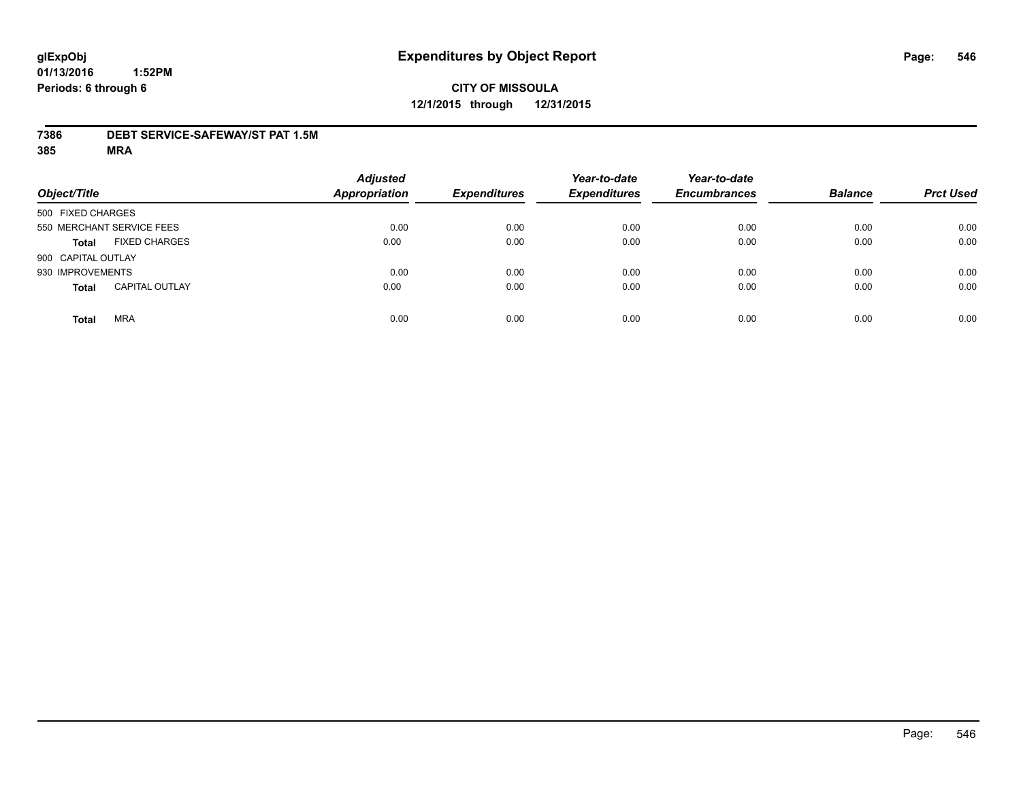#### **7386 DEBT SERVICE-SAFEWAY/ST PAT 1.5M**

| Object/Title                          | <b>Adjusted</b><br><b>Appropriation</b> | <b>Expenditures</b> | Year-to-date<br><b>Expenditures</b> | Year-to-date<br><b>Encumbrances</b> | <b>Balance</b> | <b>Prct Used</b> |
|---------------------------------------|-----------------------------------------|---------------------|-------------------------------------|-------------------------------------|----------------|------------------|
| 500 FIXED CHARGES                     |                                         |                     |                                     |                                     |                |                  |
| 550 MERCHANT SERVICE FEES             | 0.00                                    | 0.00                | 0.00                                | 0.00                                | 0.00           | 0.00             |
| <b>FIXED CHARGES</b><br><b>Total</b>  | 0.00                                    | 0.00                | 0.00                                | 0.00                                | 0.00           | 0.00             |
| 900 CAPITAL OUTLAY                    |                                         |                     |                                     |                                     |                |                  |
| 930 IMPROVEMENTS                      | 0.00                                    | 0.00                | 0.00                                | 0.00                                | 0.00           | 0.00             |
| <b>CAPITAL OUTLAY</b><br><b>Total</b> | 0.00                                    | 0.00                | 0.00                                | 0.00                                | 0.00           | 0.00             |
| <b>MRA</b><br><b>Total</b>            | 0.00                                    | 0.00                | 0.00                                | 0.00                                | 0.00           | 0.00             |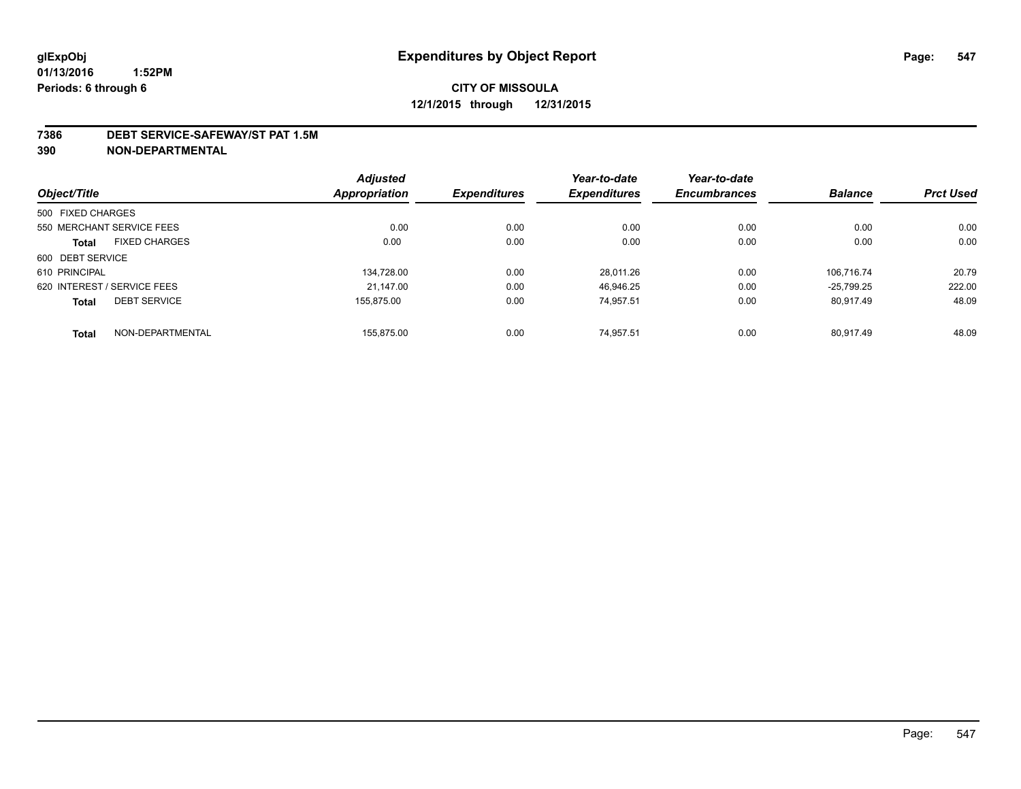#### **7386 DEBT SERVICE-SAFEWAY/ST PAT 1.5M**

**390 NON-DEPARTMENTAL**

|                                      | <b>Adjusted</b>      |                     | Year-to-date        | Year-to-date        |                |                  |
|--------------------------------------|----------------------|---------------------|---------------------|---------------------|----------------|------------------|
| Object/Title                         | <b>Appropriation</b> | <b>Expenditures</b> | <b>Expenditures</b> | <b>Encumbrances</b> | <b>Balance</b> | <b>Prct Used</b> |
| 500 FIXED CHARGES                    |                      |                     |                     |                     |                |                  |
| 550 MERCHANT SERVICE FEES            | 0.00                 | 0.00                | 0.00                | 0.00                | 0.00           | 0.00             |
| <b>FIXED CHARGES</b><br><b>Total</b> | 0.00                 | 0.00                | 0.00                | 0.00                | 0.00           | 0.00             |
| 600 DEBT SERVICE                     |                      |                     |                     |                     |                |                  |
| 610 PRINCIPAL                        | 134.728.00           | 0.00                | 28.011.26           | 0.00                | 106.716.74     | 20.79            |
| 620 INTEREST / SERVICE FEES          | 21.147.00            | 0.00                | 46.946.25           | 0.00                | $-25.799.25$   | 222.00           |
| <b>DEBT SERVICE</b><br><b>Total</b>  | 155.875.00           | 0.00                | 74.957.51           | 0.00                | 80.917.49      | 48.09            |
| NON-DEPARTMENTAL<br><b>Total</b>     | 155.875.00           | 0.00                | 74.957.51           | 0.00                | 80.917.49      | 48.09            |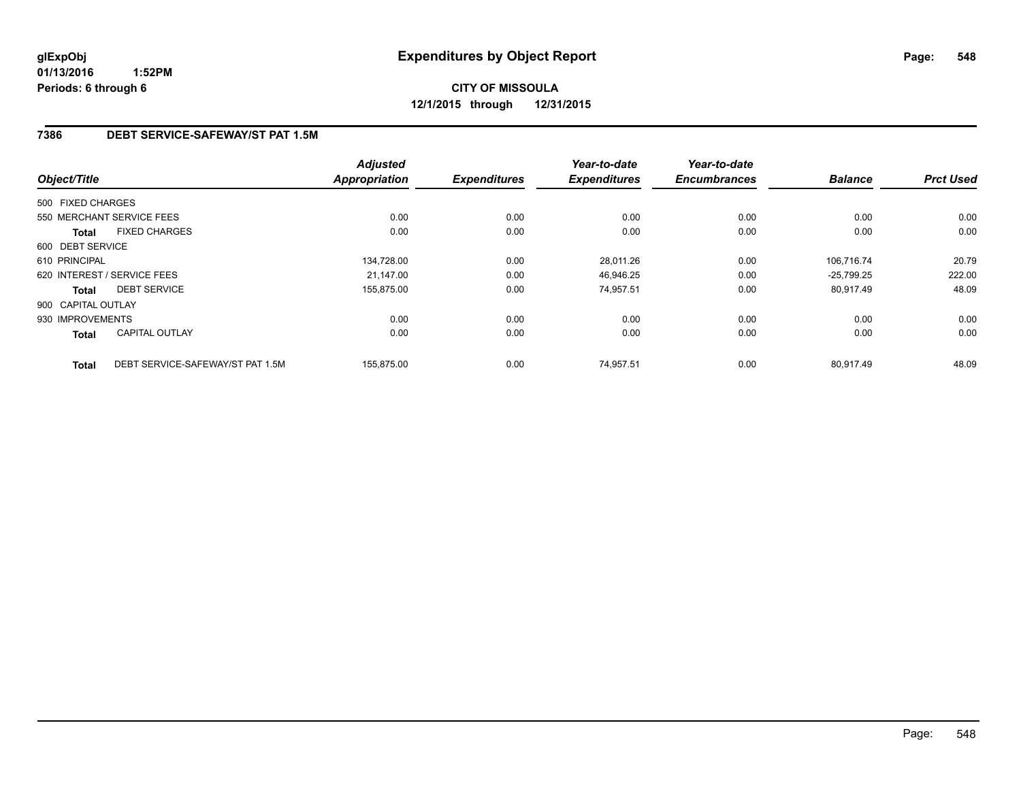**CITY OF MISSOULA 12/1/2015 through 12/31/2015**

#### **7386 DEBT SERVICE-SAFEWAY/ST PAT 1.5M**

| Object/Title       |                                  | <b>Adjusted</b><br><b>Appropriation</b> | <b>Expenditures</b> | Year-to-date<br><b>Expenditures</b> | Year-to-date<br><b>Encumbrances</b> | <b>Balance</b> | <b>Prct Used</b> |
|--------------------|----------------------------------|-----------------------------------------|---------------------|-------------------------------------|-------------------------------------|----------------|------------------|
|                    |                                  |                                         |                     |                                     |                                     |                |                  |
| 500 FIXED CHARGES  |                                  |                                         |                     |                                     |                                     |                |                  |
|                    | 550 MERCHANT SERVICE FEES        | 0.00                                    | 0.00                | 0.00                                | 0.00                                | 0.00           | 0.00             |
| <b>Total</b>       | <b>FIXED CHARGES</b>             | 0.00                                    | 0.00                | 0.00                                | 0.00                                | 0.00           | 0.00             |
| 600 DEBT SERVICE   |                                  |                                         |                     |                                     |                                     |                |                  |
| 610 PRINCIPAL      |                                  | 134,728.00                              | 0.00                | 28,011.26                           | 0.00                                | 106,716.74     | 20.79            |
|                    | 620 INTEREST / SERVICE FEES      | 21.147.00                               | 0.00                | 46,946.25                           | 0.00                                | $-25,799.25$   | 222.00           |
| <b>Total</b>       | <b>DEBT SERVICE</b>              | 155,875.00                              | 0.00                | 74.957.51                           | 0.00                                | 80,917.49      | 48.09            |
| 900 CAPITAL OUTLAY |                                  |                                         |                     |                                     |                                     |                |                  |
| 930 IMPROVEMENTS   |                                  | 0.00                                    | 0.00                | 0.00                                | 0.00                                | 0.00           | 0.00             |
| Total              | <b>CAPITAL OUTLAY</b>            | 0.00                                    | 0.00                | 0.00                                | 0.00                                | 0.00           | 0.00             |
| <b>Total</b>       | DEBT SERVICE-SAFEWAY/ST PAT 1.5M | 155,875.00                              | 0.00                | 74,957.51                           | 0.00                                | 80.917.49      | 48.09            |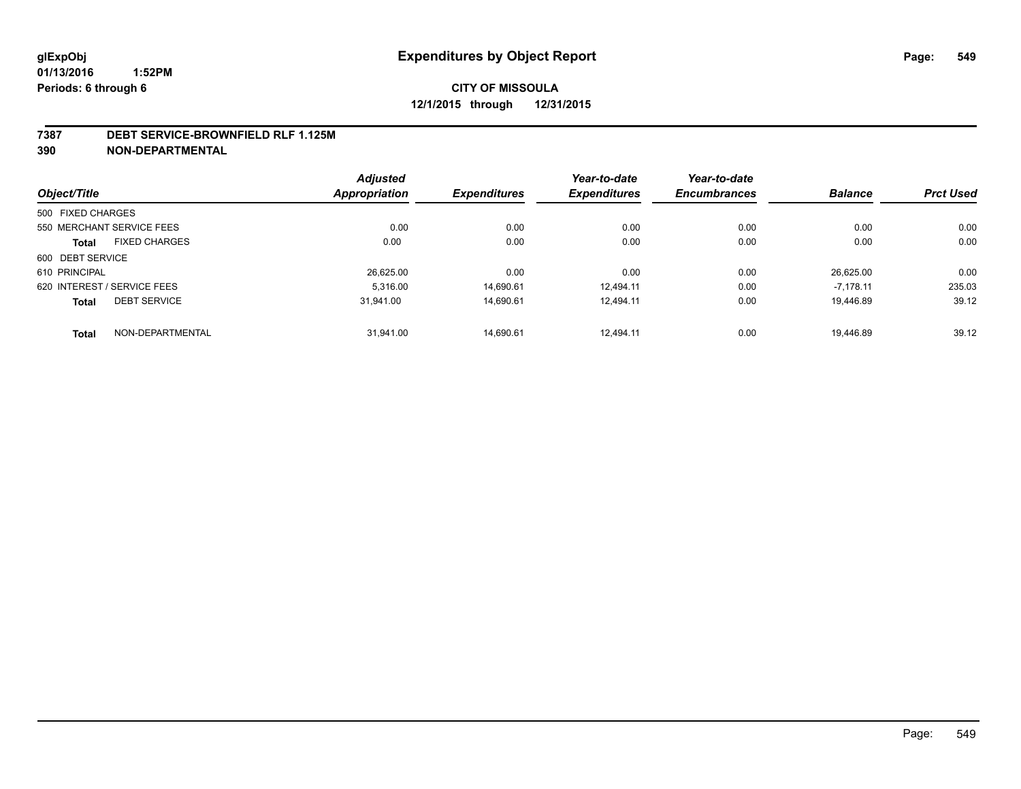#### **7387 DEBT SERVICE-BROWNFIELD RLF 1.125M**

**390 NON-DEPARTMENTAL**

|                             |                           | <b>Adjusted</b> |                     | Year-to-date        | Year-to-date        |                |                  |
|-----------------------------|---------------------------|-----------------|---------------------|---------------------|---------------------|----------------|------------------|
| Object/Title                |                           | Appropriation   | <b>Expenditures</b> | <b>Expenditures</b> | <b>Encumbrances</b> | <b>Balance</b> | <b>Prct Used</b> |
| 500 FIXED CHARGES           |                           |                 |                     |                     |                     |                |                  |
|                             | 550 MERCHANT SERVICE FEES | 0.00            | 0.00                | 0.00                | 0.00                | 0.00           | 0.00             |
| <b>Total</b>                | <b>FIXED CHARGES</b>      | 0.00            | 0.00                | 0.00                | 0.00                | 0.00           | 0.00             |
| 600 DEBT SERVICE            |                           |                 |                     |                     |                     |                |                  |
| 610 PRINCIPAL               |                           | 26,625.00       | 0.00                | 0.00                | 0.00                | 26.625.00      | 0.00             |
| 620 INTEREST / SERVICE FEES |                           | 5.316.00        | 14,690.61           | 12.494.11           | 0.00                | $-7.178.11$    | 235.03           |
| <b>Total</b>                | <b>DEBT SERVICE</b>       | 31.941.00       | 14.690.61           | 12.494.11           | 0.00                | 19.446.89      | 39.12            |
| <b>Total</b>                | NON-DEPARTMENTAL          | 31.941.00       | 14.690.61           | 12.494.11           | 0.00                | 19.446.89      | 39.12            |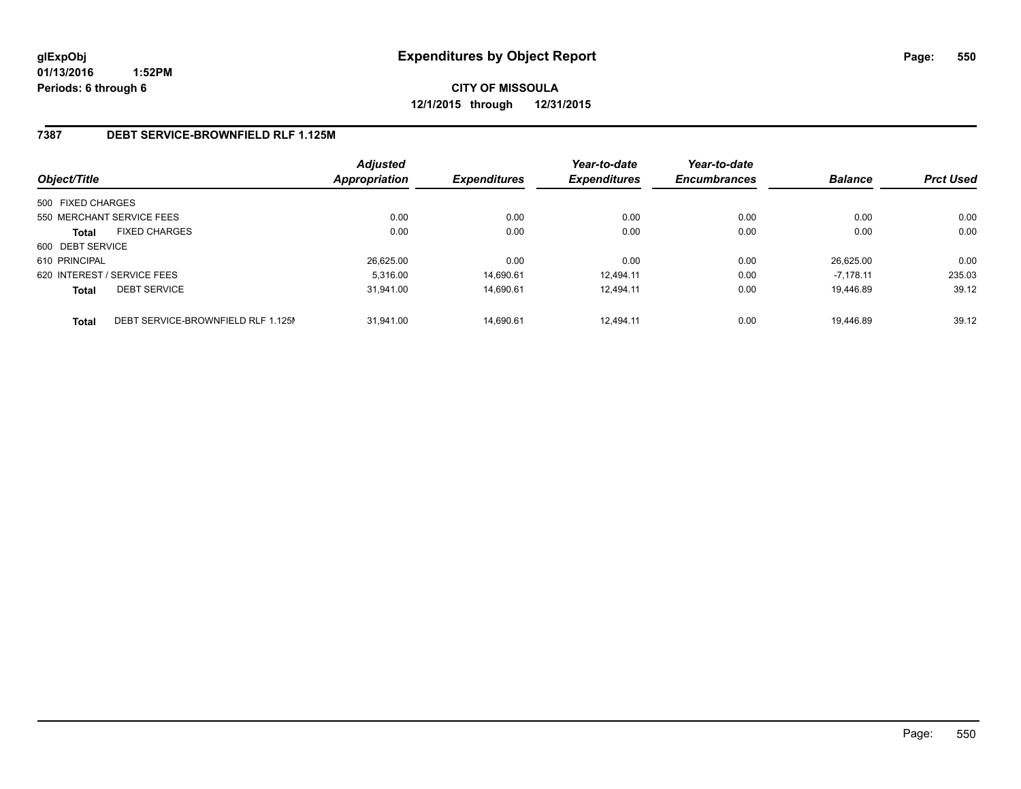**CITY OF MISSOULA 12/1/2015 through 12/31/2015**

#### **7387 DEBT SERVICE-BROWNFIELD RLF 1.125M**

| Object/Title                |                                    | <b>Adjusted</b><br><b>Appropriation</b> | <b>Expenditures</b> | Year-to-date<br><b>Expenditures</b> | Year-to-date<br><b>Encumbrances</b> | <b>Balance</b> | <b>Prct Used</b> |
|-----------------------------|------------------------------------|-----------------------------------------|---------------------|-------------------------------------|-------------------------------------|----------------|------------------|
| 500 FIXED CHARGES           |                                    |                                         |                     |                                     |                                     |                |                  |
| 550 MERCHANT SERVICE FEES   |                                    | 0.00                                    | 0.00                | 0.00                                | 0.00                                | 0.00           | 0.00             |
| <b>Total</b>                | <b>FIXED CHARGES</b>               | 0.00                                    | 0.00                | 0.00                                | 0.00                                | 0.00           | 0.00             |
| 600 DEBT SERVICE            |                                    |                                         |                     |                                     |                                     |                |                  |
| 610 PRINCIPAL               |                                    | 26.625.00                               | 0.00                | 0.00                                | 0.00                                | 26.625.00      | 0.00             |
| 620 INTEREST / SERVICE FEES |                                    | 5.316.00                                | 14.690.61           | 12.494.11                           | 0.00                                | $-7.178.11$    | 235.03           |
| <b>Total</b>                | <b>DEBT SERVICE</b>                | 31.941.00                               | 14.690.61           | 12.494.11                           | 0.00                                | 19.446.89      | 39.12            |
| <b>Total</b>                | DEBT SERVICE-BROWNFIELD RLF 1.125M | 31.941.00                               | 14.690.61           | 12.494.11                           | 0.00                                | 19.446.89      | 39.12            |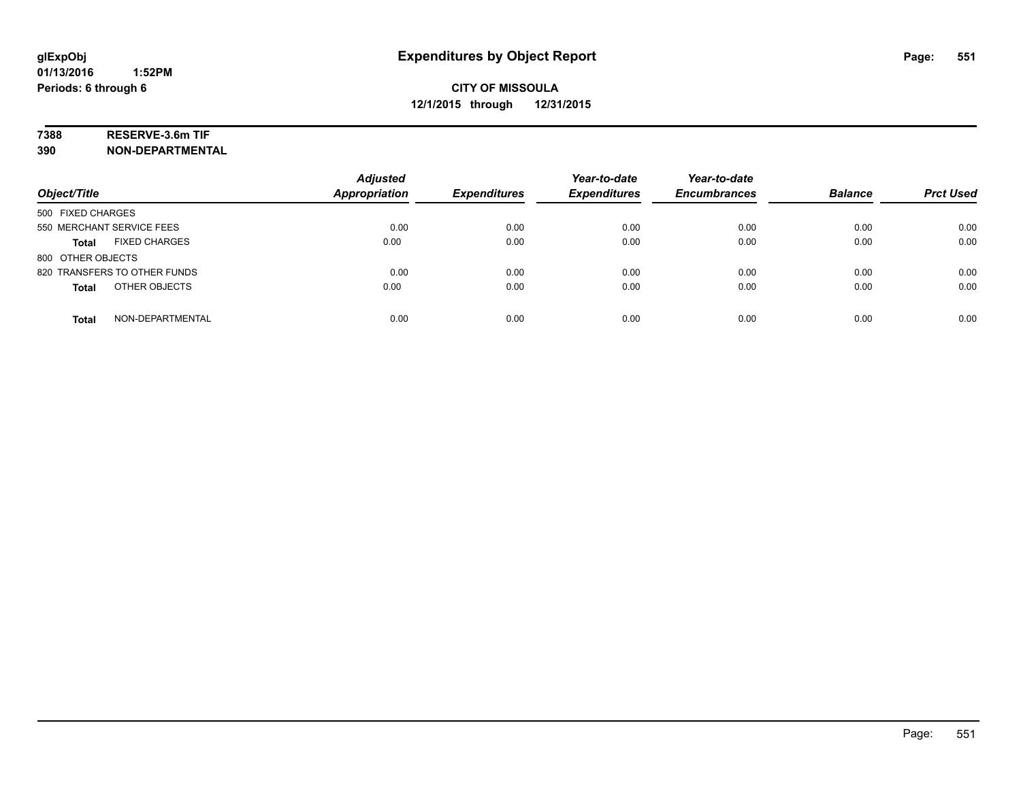# **7388 RESERVE-3.6m TIF**

**390 NON-DEPARTMENTAL**

| Object/Title                         | <b>Adjusted</b><br><b>Appropriation</b> | <b>Expenditures</b> | Year-to-date<br><b>Expenditures</b> | Year-to-date<br><b>Encumbrances</b> | <b>Balance</b> | <b>Prct Used</b> |
|--------------------------------------|-----------------------------------------|---------------------|-------------------------------------|-------------------------------------|----------------|------------------|
| 500 FIXED CHARGES                    |                                         |                     |                                     |                                     |                |                  |
| 550 MERCHANT SERVICE FEES            | 0.00                                    | 0.00                | 0.00                                | 0.00                                | 0.00           | 0.00             |
| <b>FIXED CHARGES</b><br><b>Total</b> | 0.00                                    | 0.00                | 0.00                                | 0.00                                | 0.00           | 0.00             |
| 800 OTHER OBJECTS                    |                                         |                     |                                     |                                     |                |                  |
| 820 TRANSFERS TO OTHER FUNDS         | 0.00                                    | 0.00                | 0.00                                | 0.00                                | 0.00           | 0.00             |
| OTHER OBJECTS<br><b>Total</b>        | 0.00                                    | 0.00                | 0.00                                | 0.00                                | 0.00           | 0.00             |
| NON-DEPARTMENTAL<br><b>Total</b>     | 0.00                                    | 0.00                | 0.00                                | 0.00                                | 0.00           | 0.00             |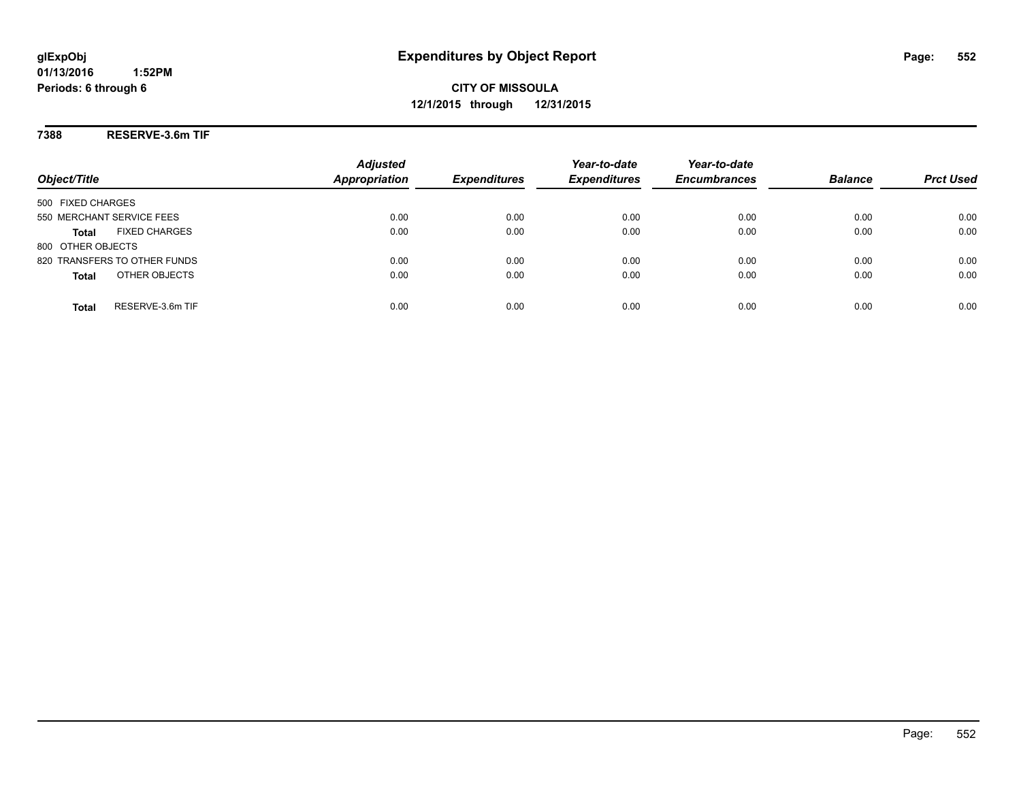**CITY OF MISSOULA 12/1/2015 through 12/31/2015**

**7388 RESERVE-3.6m TIF**

|                                      | <b>Adjusted</b>      |                     | Year-to-date        | Year-to-date        |                |                  |
|--------------------------------------|----------------------|---------------------|---------------------|---------------------|----------------|------------------|
| Object/Title                         | <b>Appropriation</b> | <b>Expenditures</b> | <b>Expenditures</b> | <b>Encumbrances</b> | <b>Balance</b> | <b>Prct Used</b> |
| 500 FIXED CHARGES                    |                      |                     |                     |                     |                |                  |
| 550 MERCHANT SERVICE FEES            | 0.00                 | 0.00                | 0.00                | 0.00                | 0.00           | 0.00             |
| <b>FIXED CHARGES</b><br><b>Total</b> | 0.00                 | 0.00                | 0.00                | 0.00                | 0.00           | 0.00             |
| 800 OTHER OBJECTS                    |                      |                     |                     |                     |                |                  |
| 820 TRANSFERS TO OTHER FUNDS         | 0.00                 | 0.00                | 0.00                | 0.00                | 0.00           | 0.00             |
| OTHER OBJECTS<br><b>Total</b>        | 0.00                 | 0.00                | 0.00                | 0.00                | 0.00           | 0.00             |
| RESERVE-3.6m TIF<br>Total            | 0.00                 | 0.00                | 0.00                | 0.00                | 0.00           | 0.00             |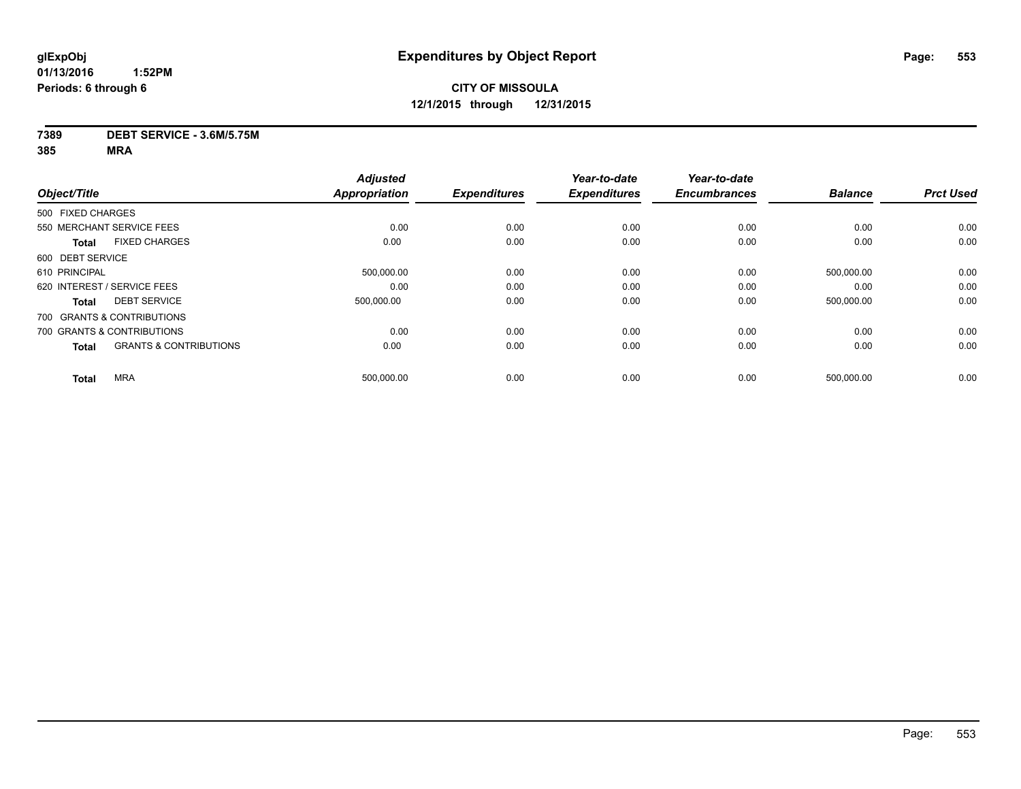#### **7389 DEBT SERVICE - 3.6M/5.75M**

|                  |                                   | <b>Adjusted</b>      |                     | Year-to-date        | Year-to-date        |                |                  |
|------------------|-----------------------------------|----------------------|---------------------|---------------------|---------------------|----------------|------------------|
| Object/Title     |                                   | <b>Appropriation</b> | <b>Expenditures</b> | <b>Expenditures</b> | <b>Encumbrances</b> | <b>Balance</b> | <b>Prct Used</b> |
|                  | 500 FIXED CHARGES                 |                      |                     |                     |                     |                |                  |
|                  | 550 MERCHANT SERVICE FEES         | 0.00                 | 0.00                | 0.00                | 0.00                | 0.00           | 0.00             |
| <b>Total</b>     | <b>FIXED CHARGES</b>              | 0.00                 | 0.00                | 0.00                | 0.00                | 0.00           | 0.00             |
| 600 DEBT SERVICE |                                   |                      |                     |                     |                     |                |                  |
| 610 PRINCIPAL    |                                   | 500,000.00           | 0.00                | 0.00                | 0.00                | 500,000.00     | 0.00             |
|                  | 620 INTEREST / SERVICE FEES       | 0.00                 | 0.00                | 0.00                | 0.00                | 0.00           | 0.00             |
| <b>Total</b>     | <b>DEBT SERVICE</b>               | 500.000.00           | 0.00                | 0.00                | 0.00                | 500,000.00     | 0.00             |
|                  | 700 GRANTS & CONTRIBUTIONS        |                      |                     |                     |                     |                |                  |
|                  | 700 GRANTS & CONTRIBUTIONS        | 0.00                 | 0.00                | 0.00                | 0.00                | 0.00           | 0.00             |
| <b>Total</b>     | <b>GRANTS &amp; CONTRIBUTIONS</b> | 0.00                 | 0.00                | 0.00                | 0.00                | 0.00           | 0.00             |
| <b>Total</b>     | <b>MRA</b>                        | 500,000.00           | 0.00                | 0.00                | 0.00                | 500,000.00     | 0.00             |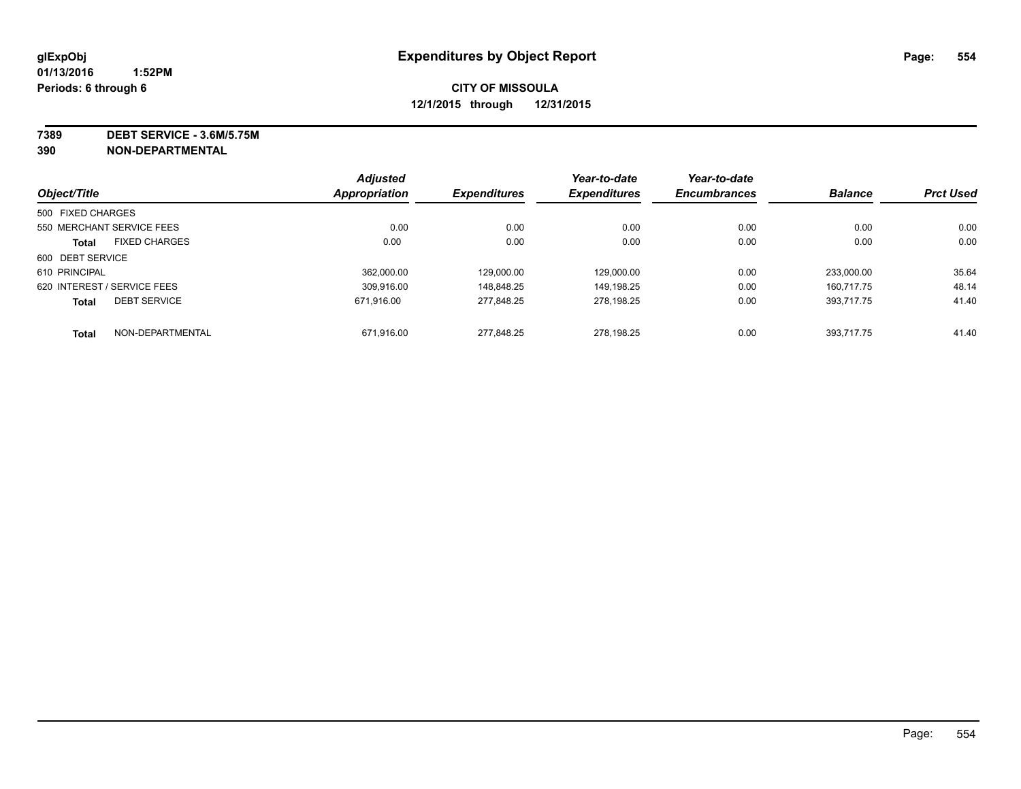**7389 DEBT SERVICE - 3.6M/5.75M**

**390 NON-DEPARTMENTAL**

|                   |                             | <b>Adjusted</b>      |                     | Year-to-date        | Year-to-date        |                |                  |
|-------------------|-----------------------------|----------------------|---------------------|---------------------|---------------------|----------------|------------------|
| Object/Title      |                             | <b>Appropriation</b> | <b>Expenditures</b> | <b>Expenditures</b> | <b>Encumbrances</b> | <b>Balance</b> | <b>Prct Used</b> |
| 500 FIXED CHARGES |                             |                      |                     |                     |                     |                |                  |
|                   | 550 MERCHANT SERVICE FEES   | 0.00                 | 0.00                | 0.00                | 0.00                | 0.00           | 0.00             |
| <b>Total</b>      | <b>FIXED CHARGES</b>        | 0.00                 | 0.00                | 0.00                | 0.00                | 0.00           | 0.00             |
| 600 DEBT SERVICE  |                             |                      |                     |                     |                     |                |                  |
| 610 PRINCIPAL     |                             | 362.000.00           | 129.000.00          | 129.000.00          | 0.00                | 233.000.00     | 35.64            |
|                   | 620 INTEREST / SERVICE FEES | 309.916.00           | 148.848.25          | 149.198.25          | 0.00                | 160.717.75     | 48.14            |
| <b>Total</b>      | <b>DEBT SERVICE</b>         | 671.916.00           | 277.848.25          | 278.198.25          | 0.00                | 393.717.75     | 41.40            |
| <b>Total</b>      | NON-DEPARTMENTAL            | 671,916.00           | 277.848.25          | 278.198.25          | 0.00                | 393.717.75     | 41.40            |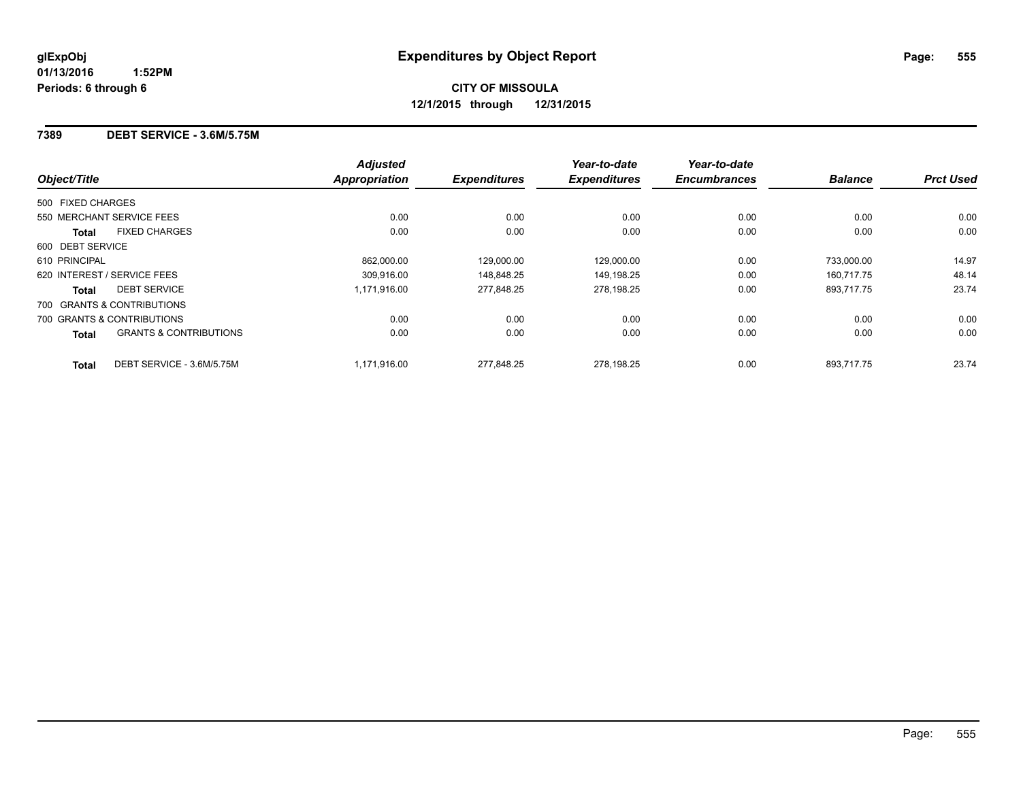#### **7389 DEBT SERVICE - 3.6M/5.75M**

|                             |                                   | <b>Adjusted</b>      |                     | Year-to-date        | Year-to-date        |                |                  |
|-----------------------------|-----------------------------------|----------------------|---------------------|---------------------|---------------------|----------------|------------------|
| Object/Title                |                                   | <b>Appropriation</b> | <b>Expenditures</b> | <b>Expenditures</b> | <b>Encumbrances</b> | <b>Balance</b> | <b>Prct Used</b> |
| 500 FIXED CHARGES           |                                   |                      |                     |                     |                     |                |                  |
| 550 MERCHANT SERVICE FEES   |                                   | 0.00                 | 0.00                | 0.00                | 0.00                | 0.00           | 0.00             |
| Total                       | <b>FIXED CHARGES</b>              | 0.00                 | 0.00                | 0.00                | 0.00                | 0.00           | 0.00             |
| 600 DEBT SERVICE            |                                   |                      |                     |                     |                     |                |                  |
| 610 PRINCIPAL               |                                   | 862.000.00           | 129.000.00          | 129,000.00          | 0.00                | 733.000.00     | 14.97            |
| 620 INTEREST / SERVICE FEES |                                   | 309.916.00           | 148.848.25          | 149,198.25          | 0.00                | 160.717.75     | 48.14            |
| Total                       | <b>DEBT SERVICE</b>               | 1.171.916.00         | 277,848.25          | 278,198.25          | 0.00                | 893,717.75     | 23.74            |
|                             | 700 GRANTS & CONTRIBUTIONS        |                      |                     |                     |                     |                |                  |
|                             | 700 GRANTS & CONTRIBUTIONS        | 0.00                 | 0.00                | 0.00                | 0.00                | 0.00           | 0.00             |
| <b>Total</b>                | <b>GRANTS &amp; CONTRIBUTIONS</b> | 0.00                 | 0.00                | 0.00                | 0.00                | 0.00           | 0.00             |
| <b>Total</b>                | DEBT SERVICE - 3.6M/5.75M         | 1.171.916.00         | 277.848.25          | 278.198.25          | 0.00                | 893.717.75     | 23.74            |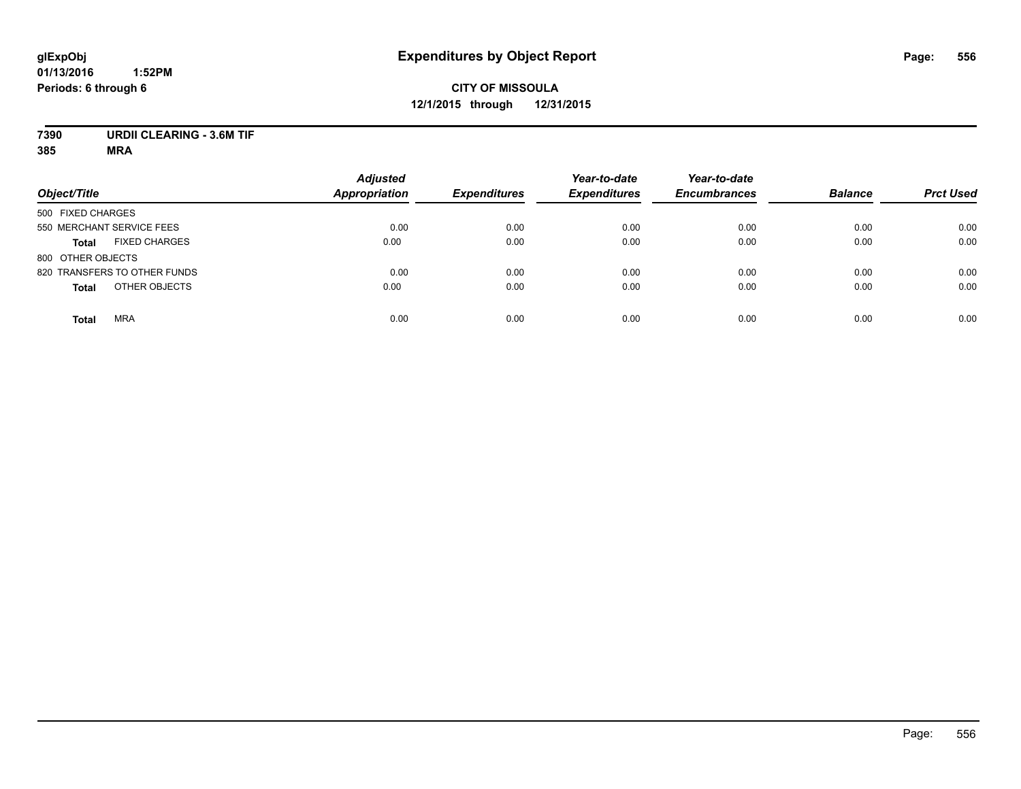# **CITY OF MISSOULA 12/1/2015 through 12/31/2015**

## **7390 URDII CLEARING - 3.6M TIF**

|                                      | <b>Adjusted</b>      |                     | Year-to-date        | Year-to-date        |                |                  |
|--------------------------------------|----------------------|---------------------|---------------------|---------------------|----------------|------------------|
| Object/Title                         | <b>Appropriation</b> | <b>Expenditures</b> | <b>Expenditures</b> | <b>Encumbrances</b> | <b>Balance</b> | <b>Prct Used</b> |
| 500 FIXED CHARGES                    |                      |                     |                     |                     |                |                  |
| 550 MERCHANT SERVICE FEES            | 0.00                 | 0.00                | 0.00                | 0.00                | 0.00           | 0.00             |
| <b>FIXED CHARGES</b><br><b>Total</b> | 0.00                 | 0.00                | 0.00                | 0.00                | 0.00           | 0.00             |
| 800 OTHER OBJECTS                    |                      |                     |                     |                     |                |                  |
| 820 TRANSFERS TO OTHER FUNDS         | 0.00                 | 0.00                | 0.00                | 0.00                | 0.00           | 0.00             |
| OTHER OBJECTS<br><b>Total</b>        | 0.00                 | 0.00                | 0.00                | 0.00                | 0.00           | 0.00             |
| <b>MRA</b><br><b>Total</b>           | 0.00                 | 0.00                | 0.00                | 0.00                | 0.00           | 0.00             |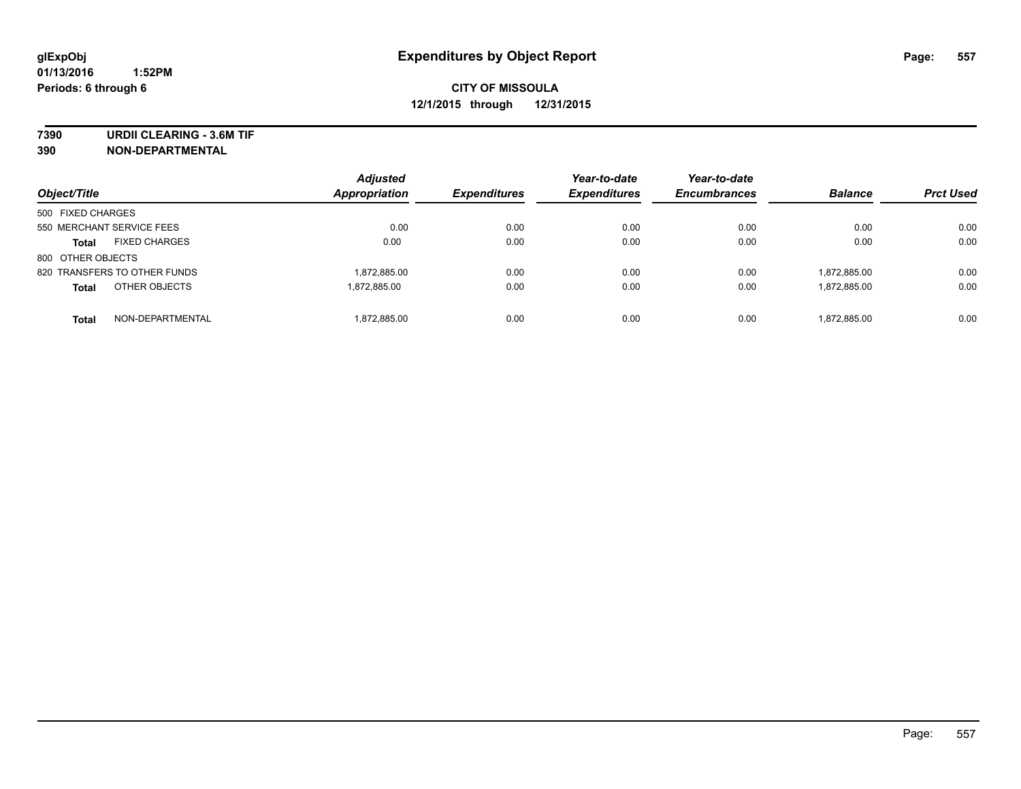**7390 URDII CLEARING - 3.6M TIF**

**390 NON-DEPARTMENTAL**

| Object/Title                         | <b>Adjusted</b><br>Appropriation | <b>Expenditures</b> | Year-to-date<br><b>Expenditures</b> | Year-to-date<br><b>Encumbrances</b> | <b>Balance</b> | <b>Prct Used</b> |
|--------------------------------------|----------------------------------|---------------------|-------------------------------------|-------------------------------------|----------------|------------------|
| 500 FIXED CHARGES                    |                                  |                     |                                     |                                     |                |                  |
| 550 MERCHANT SERVICE FEES            | 0.00                             | 0.00                | 0.00                                | 0.00                                | 0.00           | 0.00             |
| <b>FIXED CHARGES</b><br><b>Total</b> | 0.00                             | 0.00                | 0.00                                | 0.00                                | 0.00           | 0.00             |
| 800 OTHER OBJECTS                    |                                  |                     |                                     |                                     |                |                  |
| 820 TRANSFERS TO OTHER FUNDS         | 1,872,885.00                     | 0.00                | 0.00                                | 0.00                                | 1.872.885.00   | 0.00             |
| OTHER OBJECTS<br><b>Total</b>        | 1.872.885.00                     | 0.00                | 0.00                                | 0.00                                | 1.872.885.00   | 0.00             |
| NON-DEPARTMENTAL<br><b>Total</b>     | 1.872.885.00                     | 0.00                | 0.00                                | 0.00                                | 1.872.885.00   | 0.00             |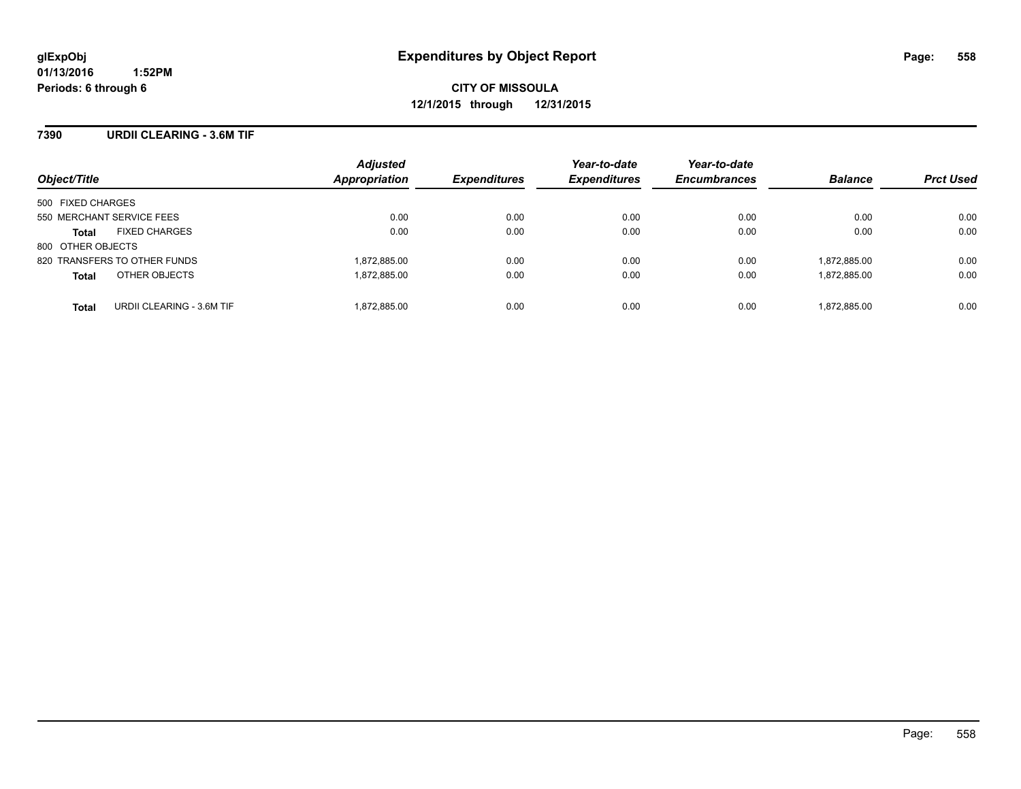#### **7390 URDII CLEARING - 3.6M TIF**

| Object/Title                              | <b>Adjusted</b><br>Appropriation | <b>Expenditures</b> | Year-to-date<br><b>Expenditures</b> | Year-to-date<br><b>Encumbrances</b> | <b>Balance</b> | <b>Prct Used</b> |
|-------------------------------------------|----------------------------------|---------------------|-------------------------------------|-------------------------------------|----------------|------------------|
| 500 FIXED CHARGES                         |                                  |                     |                                     |                                     |                |                  |
| 550 MERCHANT SERVICE FEES                 | 0.00                             | 0.00                | 0.00                                | 0.00                                | 0.00           | 0.00             |
| <b>FIXED CHARGES</b><br><b>Total</b>      | 0.00                             | 0.00                | 0.00                                | 0.00                                | 0.00           | 0.00             |
| 800 OTHER OBJECTS                         |                                  |                     |                                     |                                     |                |                  |
| 820 TRANSFERS TO OTHER FUNDS              | 1,872,885.00                     | 0.00                | 0.00                                | 0.00                                | 1,872,885.00   | 0.00             |
| OTHER OBJECTS<br><b>Total</b>             | 1,872,885.00                     | 0.00                | 0.00                                | 0.00                                | 1,872,885.00   | 0.00             |
| URDII CLEARING - 3.6M TIF<br><b>Total</b> | 1,872,885.00                     | 0.00                | 0.00                                | 0.00                                | 1,872,885.00   | 0.00             |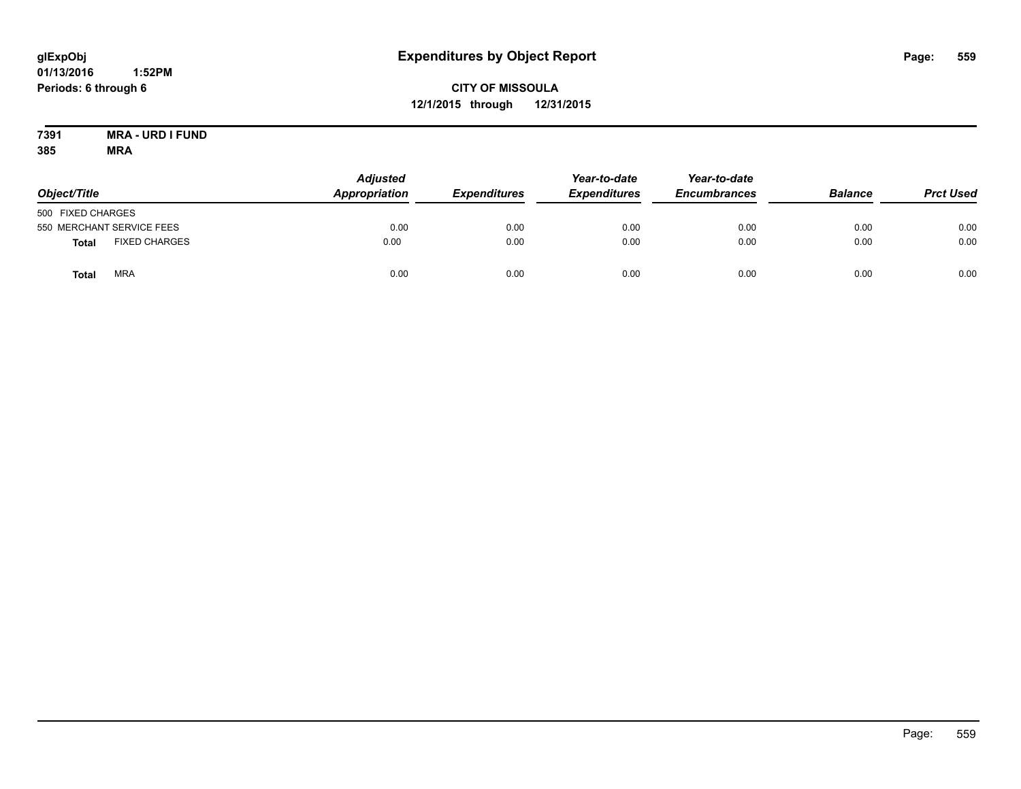## **CITY OF MISSOULA 12/1/2015 through 12/31/2015**

#### **7391 MRA - URD I FUND 385 MRA**

| Object/Title      |                           | <b>Adjusted</b><br>Appropriation | <b>Expenditures</b> | Year-to-date<br><b>Expenditures</b> | Year-to-date<br><b>Encumbrances</b> | <b>Balance</b> | <b>Prct Used</b> |
|-------------------|---------------------------|----------------------------------|---------------------|-------------------------------------|-------------------------------------|----------------|------------------|
| 500 FIXED CHARGES |                           |                                  |                     |                                     |                                     |                |                  |
|                   | 550 MERCHANT SERVICE FEES | 0.00                             | 0.00                | 0.00                                | 0.00                                | 0.00           | 0.00             |
| <b>Total</b>      | <b>FIXED CHARGES</b>      | 0.00                             | 0.00                | 0.00                                | 0.00                                | 0.00           | 0.00             |
| Total             | <b>MRA</b>                | 0.00                             | 0.00                | 0.00                                | 0.00                                | 0.00           | 0.00             |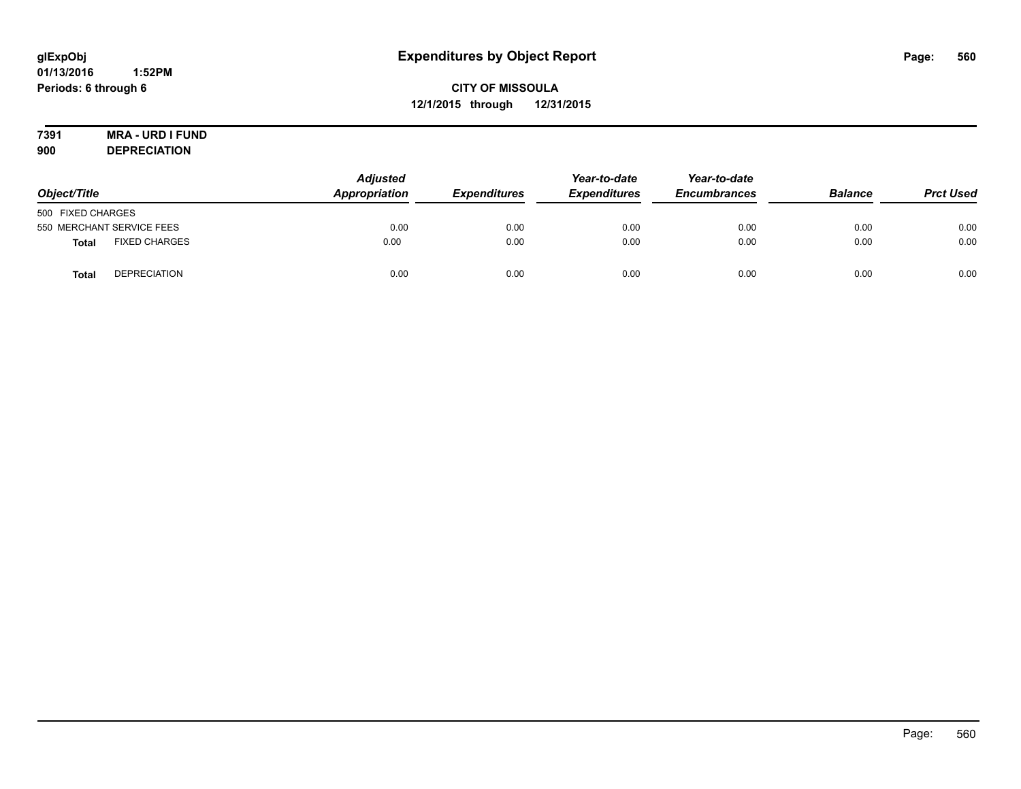# **7391 MRA - URD I FUND**

**900 DEPRECIATION**

| Object/Title                         | <b>Adjusted</b><br>Appropriation<br><b>Expenditures</b> |      | Year-to-date<br><b>Expenditures</b> | Year-to-date<br><b>Encumbrances</b> | <b>Balance</b> | <b>Prct Used</b> |
|--------------------------------------|---------------------------------------------------------|------|-------------------------------------|-------------------------------------|----------------|------------------|
| 500 FIXED CHARGES                    |                                                         |      |                                     |                                     |                |                  |
| 550 MERCHANT SERVICE FEES            | 0.00                                                    | 0.00 | 0.00                                | 0.00                                | 0.00           | 0.00             |
| <b>FIXED CHARGES</b><br><b>Total</b> | 0.00                                                    | 0.00 | 0.00                                | 0.00                                | 0.00           | 0.00             |
| <b>DEPRECIATION</b><br><b>Total</b>  | 0.00                                                    | 0.00 | 0.00                                | 0.00                                | 0.00           | 0.00             |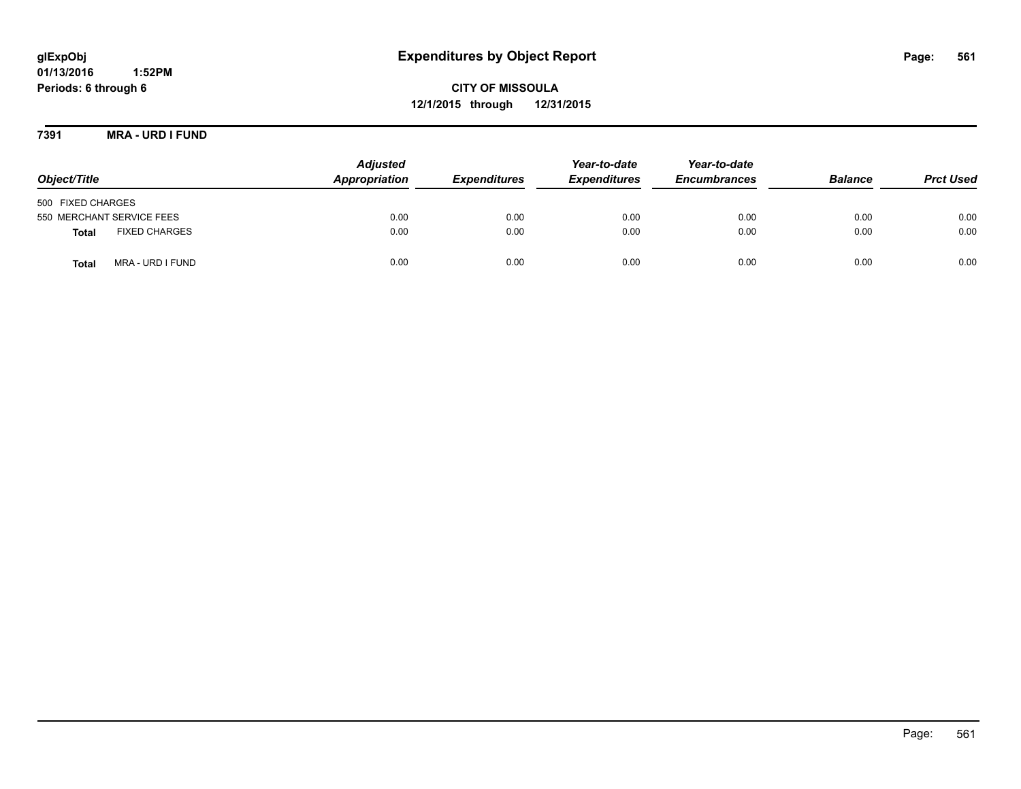# **glExpObj Expenditures by Object Report Page: 561**

**01/13/2016 1:52PM Periods: 6 through 6**

**12/1/2015 through 12/31/2015**

**7391 MRA - URD I FUND**

| Object/Title                         | <b>Adjusted</b><br>Appropriation | <b>Expenditures</b> | Year-to-date<br><b>Expenditures</b> | Year-to-date<br><b>Encumbrances</b> | <b>Balance</b> | <b>Prct Used</b> |
|--------------------------------------|----------------------------------|---------------------|-------------------------------------|-------------------------------------|----------------|------------------|
| 500 FIXED CHARGES                    |                                  |                     |                                     |                                     |                |                  |
| 550 MERCHANT SERVICE FEES            | 0.00                             | 0.00                | 0.00                                | 0.00                                | 0.00           | 0.00             |
| <b>FIXED CHARGES</b><br><b>Total</b> | 0.00                             | 0.00                | 0.00                                | 0.00                                | 0.00           | 0.00             |
| MRA - URD I FUND<br><b>Total</b>     | 0.00                             | 0.00                | 0.00                                | 0.00                                | 0.00           | 0.00             |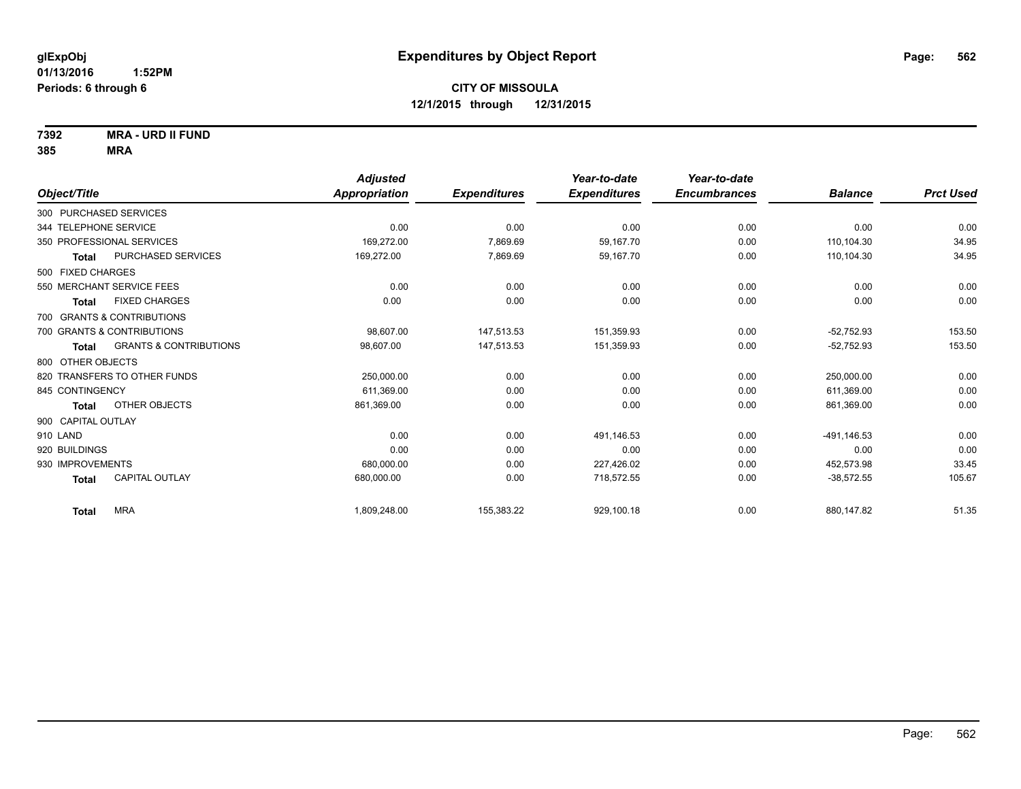**7392 MRA - URD II FUND**

|                                            | <b>Adjusted</b>      |                     | Year-to-date        | Year-to-date        |                |                  |
|--------------------------------------------|----------------------|---------------------|---------------------|---------------------|----------------|------------------|
| Object/Title                               | <b>Appropriation</b> | <b>Expenditures</b> | <b>Expenditures</b> | <b>Encumbrances</b> | <b>Balance</b> | <b>Prct Used</b> |
| 300 PURCHASED SERVICES                     |                      |                     |                     |                     |                |                  |
| 344 TELEPHONE SERVICE                      | 0.00                 | 0.00                | 0.00                | 0.00                | 0.00           | 0.00             |
| 350 PROFESSIONAL SERVICES                  | 169.272.00           | 7,869.69            | 59,167.70           | 0.00                | 110.104.30     | 34.95            |
| <b>PURCHASED SERVICES</b><br><b>Total</b>  | 169,272.00           | 7,869.69            | 59,167.70           | 0.00                | 110,104.30     | 34.95            |
| 500 FIXED CHARGES                          |                      |                     |                     |                     |                |                  |
| 550 MERCHANT SERVICE FEES                  | 0.00                 | 0.00                | 0.00                | 0.00                | 0.00           | 0.00             |
| <b>FIXED CHARGES</b><br>Total              | 0.00                 | 0.00                | 0.00                | 0.00                | 0.00           | 0.00             |
| 700 GRANTS & CONTRIBUTIONS                 |                      |                     |                     |                     |                |                  |
| 700 GRANTS & CONTRIBUTIONS                 | 98,607.00            | 147,513.53          | 151,359.93          | 0.00                | $-52,752.93$   | 153.50           |
| <b>GRANTS &amp; CONTRIBUTIONS</b><br>Total | 98,607.00            | 147.513.53          | 151,359.93          | 0.00                | $-52.752.93$   | 153.50           |
| 800 OTHER OBJECTS                          |                      |                     |                     |                     |                |                  |
| 820 TRANSFERS TO OTHER FUNDS               | 250,000.00           | 0.00                | 0.00                | 0.00                | 250,000.00     | 0.00             |
| 845 CONTINGENCY                            | 611,369.00           | 0.00                | 0.00                | 0.00                | 611,369.00     | 0.00             |
| OTHER OBJECTS<br>Total                     | 861,369.00           | 0.00                | 0.00                | 0.00                | 861,369.00     | 0.00             |
| 900 CAPITAL OUTLAY                         |                      |                     |                     |                     |                |                  |
| 910 LAND                                   | 0.00                 | 0.00                | 491,146.53          | 0.00                | $-491, 146.53$ | 0.00             |
| 920 BUILDINGS                              | 0.00                 | 0.00                | 0.00                | 0.00                | 0.00           | 0.00             |
| 930 IMPROVEMENTS                           | 680,000.00           | 0.00                | 227,426.02          | 0.00                | 452,573.98     | 33.45            |
| <b>CAPITAL OUTLAY</b><br><b>Total</b>      | 680,000.00           | 0.00                | 718,572.55          | 0.00                | $-38,572.55$   | 105.67           |
| <b>MRA</b><br><b>Total</b>                 | 1,809,248.00         | 155,383.22          | 929,100.18          | 0.00                | 880,147.82     | 51.35            |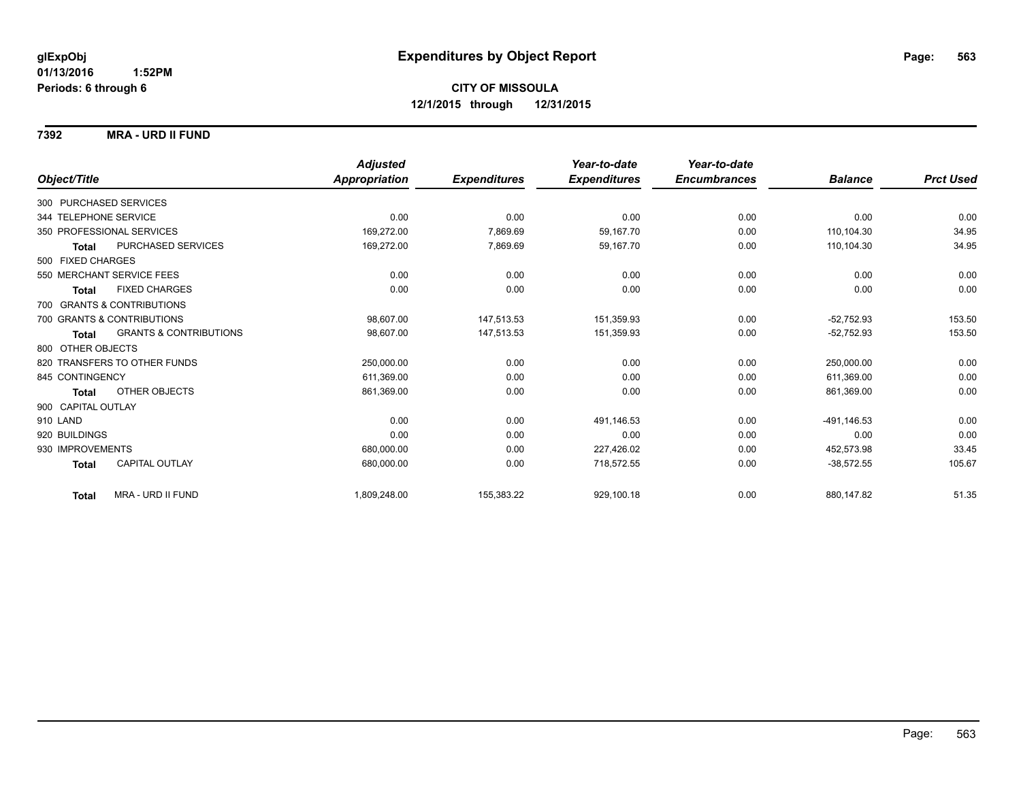**7392 MRA - URD II FUND**

|                        |                                   | <b>Adjusted</b> |                     | Year-to-date        | Year-to-date        |                |                  |
|------------------------|-----------------------------------|-----------------|---------------------|---------------------|---------------------|----------------|------------------|
| Object/Title           |                                   | Appropriation   | <b>Expenditures</b> | <b>Expenditures</b> | <b>Encumbrances</b> | <b>Balance</b> | <b>Prct Used</b> |
| 300 PURCHASED SERVICES |                                   |                 |                     |                     |                     |                |                  |
| 344 TELEPHONE SERVICE  |                                   | 0.00            | 0.00                | 0.00                | 0.00                | 0.00           | 0.00             |
|                        | 350 PROFESSIONAL SERVICES         | 169,272.00      | 7,869.69            | 59.167.70           | 0.00                | 110,104.30     | 34.95            |
| <b>Total</b>           | PURCHASED SERVICES                | 169,272.00      | 7,869.69            | 59,167.70           | 0.00                | 110,104.30     | 34.95            |
| 500 FIXED CHARGES      |                                   |                 |                     |                     |                     |                |                  |
|                        | 550 MERCHANT SERVICE FEES         | 0.00            | 0.00                | 0.00                | 0.00                | 0.00           | 0.00             |
| <b>Total</b>           | <b>FIXED CHARGES</b>              | 0.00            | 0.00                | 0.00                | 0.00                | 0.00           | 0.00             |
|                        | 700 GRANTS & CONTRIBUTIONS        |                 |                     |                     |                     |                |                  |
|                        | 700 GRANTS & CONTRIBUTIONS        | 98,607.00       | 147.513.53          | 151,359.93          | 0.00                | $-52.752.93$   | 153.50           |
| <b>Total</b>           | <b>GRANTS &amp; CONTRIBUTIONS</b> | 98,607.00       | 147,513.53          | 151,359.93          | 0.00                | $-52,752.93$   | 153.50           |
| 800 OTHER OBJECTS      |                                   |                 |                     |                     |                     |                |                  |
|                        | 820 TRANSFERS TO OTHER FUNDS      | 250,000.00      | 0.00                | 0.00                | 0.00                | 250,000.00     | 0.00             |
| 845 CONTINGENCY        |                                   | 611,369.00      | 0.00                | 0.00                | 0.00                | 611,369.00     | 0.00             |
| <b>Total</b>           | OTHER OBJECTS                     | 861,369.00      | 0.00                | 0.00                | 0.00                | 861,369.00     | 0.00             |
| 900 CAPITAL OUTLAY     |                                   |                 |                     |                     |                     |                |                  |
| 910 LAND               |                                   | 0.00            | 0.00                | 491,146.53          | 0.00                | -491.146.53    | 0.00             |
| 920 BUILDINGS          |                                   | 0.00            | 0.00                | 0.00                | 0.00                | 0.00           | 0.00             |
| 930 IMPROVEMENTS       |                                   | 680,000.00      | 0.00                | 227,426.02          | 0.00                | 452,573.98     | 33.45            |
| Total                  | CAPITAL OUTLAY                    | 680,000.00      | 0.00                | 718,572.55          | 0.00                | $-38,572.55$   | 105.67           |
| <b>Total</b>           | MRA - URD II FUND                 | 1,809,248.00    | 155,383.22          | 929,100.18          | 0.00                | 880,147.82     | 51.35            |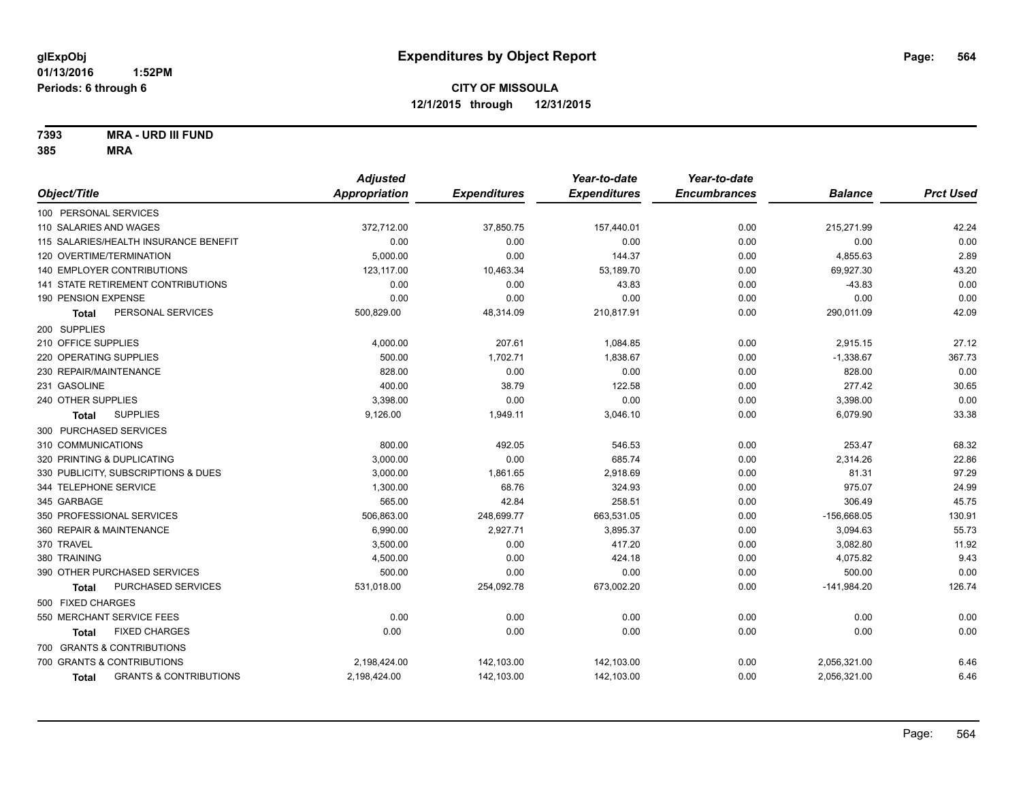**7393 MRA - URD III FUND**

|                                                   | <b>Adjusted</b> |                     | Year-to-date        | Year-to-date        |                |                  |
|---------------------------------------------------|-----------------|---------------------|---------------------|---------------------|----------------|------------------|
| Object/Title                                      | Appropriation   | <b>Expenditures</b> | <b>Expenditures</b> | <b>Encumbrances</b> | <b>Balance</b> | <b>Prct Used</b> |
| 100 PERSONAL SERVICES                             |                 |                     |                     |                     |                |                  |
| 110 SALARIES AND WAGES                            | 372,712.00      | 37,850.75           | 157,440.01          | 0.00                | 215,271.99     | 42.24            |
| 115 SALARIES/HEALTH INSURANCE BENEFIT             | 0.00            | 0.00                | 0.00                | 0.00                | 0.00           | 0.00             |
| 120 OVERTIME/TERMINATION                          | 5,000.00        | 0.00                | 144.37              | 0.00                | 4,855.63       | 2.89             |
| <b>140 EMPLOYER CONTRIBUTIONS</b>                 | 123,117.00      | 10,463.34           | 53,189.70           | 0.00                | 69,927.30      | 43.20            |
| 141 STATE RETIREMENT CONTRIBUTIONS                | 0.00            | 0.00                | 43.83               | 0.00                | $-43.83$       | 0.00             |
| 190 PENSION EXPENSE                               | 0.00            | 0.00                | 0.00                | 0.00                | 0.00           | 0.00             |
| PERSONAL SERVICES<br>Total                        | 500,829.00      | 48,314.09           | 210,817.91          | 0.00                | 290,011.09     | 42.09            |
| 200 SUPPLIES                                      |                 |                     |                     |                     |                |                  |
| 210 OFFICE SUPPLIES                               | 4,000.00        | 207.61              | 1,084.85            | 0.00                | 2,915.15       | 27.12            |
| 220 OPERATING SUPPLIES                            | 500.00          | 1,702.71            | 1,838.67            | 0.00                | $-1,338.67$    | 367.73           |
| 230 REPAIR/MAINTENANCE                            | 828.00          | 0.00                | 0.00                | 0.00                | 828.00         | 0.00             |
| 231 GASOLINE                                      | 400.00          | 38.79               | 122.58              | 0.00                | 277.42         | 30.65            |
| 240 OTHER SUPPLIES                                | 3,398.00        | 0.00                | 0.00                | 0.00                | 3,398.00       | 0.00             |
| <b>SUPPLIES</b><br>Total                          | 9,126.00        | 1,949.11            | 3,046.10            | 0.00                | 6,079.90       | 33.38            |
| 300 PURCHASED SERVICES                            |                 |                     |                     |                     |                |                  |
| 310 COMMUNICATIONS                                | 800.00          | 492.05              | 546.53              | 0.00                | 253.47         | 68.32            |
| 320 PRINTING & DUPLICATING                        | 3,000.00        | 0.00                | 685.74              | 0.00                | 2,314.26       | 22.86            |
| 330 PUBLICITY, SUBSCRIPTIONS & DUES               | 3,000.00        | 1,861.65            | 2,918.69            | 0.00                | 81.31          | 97.29            |
| 344 TELEPHONE SERVICE                             | 1,300.00        | 68.76               | 324.93              | 0.00                | 975.07         | 24.99            |
| 345 GARBAGE                                       | 565.00          | 42.84               | 258.51              | 0.00                | 306.49         | 45.75            |
| 350 PROFESSIONAL SERVICES                         | 506,863.00      | 248,699.77          | 663,531.05          | 0.00                | $-156,668.05$  | 130.91           |
| 360 REPAIR & MAINTENANCE                          | 6,990.00        | 2,927.71            | 3,895.37            | 0.00                | 3,094.63       | 55.73            |
| 370 TRAVEL                                        | 3,500.00        | 0.00                | 417.20              | 0.00                | 3,082.80       | 11.92            |
| 380 TRAINING                                      | 4,500.00        | 0.00                | 424.18              | 0.00                | 4,075.82       | 9.43             |
| 390 OTHER PURCHASED SERVICES                      | 500.00          | 0.00                | 0.00                | 0.00                | 500.00         | 0.00             |
| PURCHASED SERVICES<br><b>Total</b>                | 531,018.00      | 254,092.78          | 673,002.20          | 0.00                | $-141,984.20$  | 126.74           |
| 500 FIXED CHARGES                                 |                 |                     |                     |                     |                |                  |
| 550 MERCHANT SERVICE FEES                         | 0.00            | 0.00                | 0.00                | 0.00                | 0.00           | 0.00             |
| <b>FIXED CHARGES</b><br>Total                     | 0.00            | 0.00                | 0.00                | 0.00                | 0.00           | 0.00             |
| 700 GRANTS & CONTRIBUTIONS                        |                 |                     |                     |                     |                |                  |
| 700 GRANTS & CONTRIBUTIONS                        | 2,198,424.00    | 142,103.00          | 142,103.00          | 0.00                | 2,056,321.00   | 6.46             |
| <b>GRANTS &amp; CONTRIBUTIONS</b><br><b>Total</b> | 2,198,424.00    | 142,103.00          | 142,103.00          | 0.00                | 2,056,321.00   | 6.46             |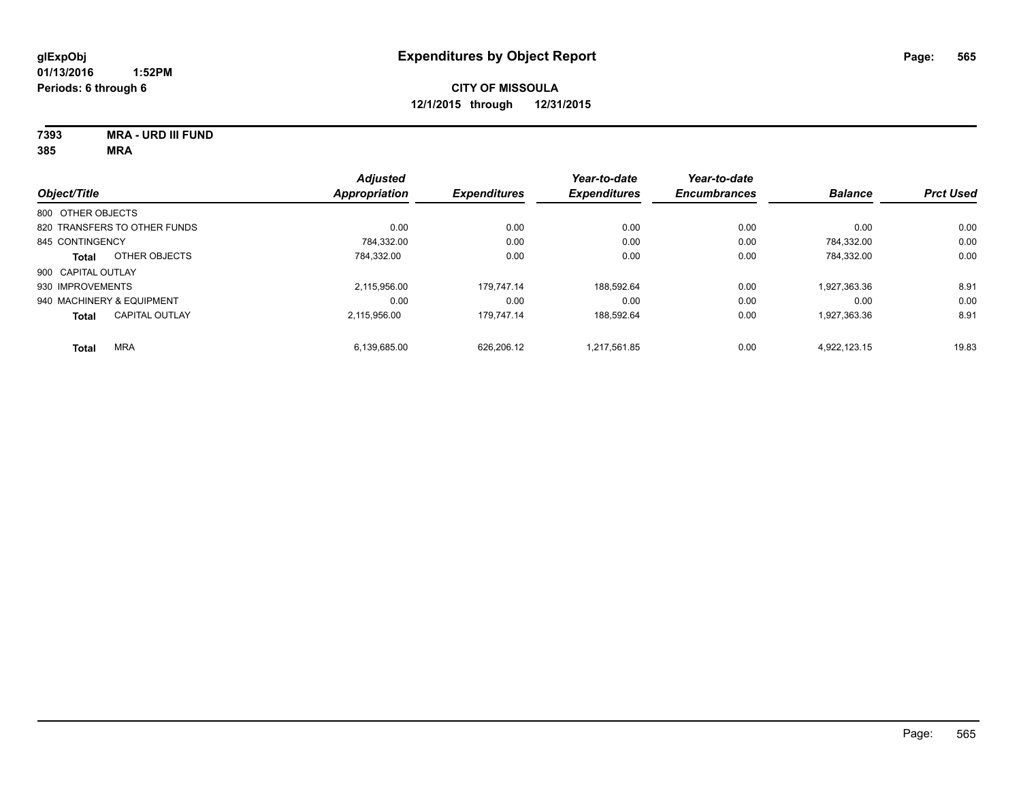**7393 MRA - URD III FUND**

|                           |                              | <b>Adjusted</b>      |                     | Year-to-date        | Year-to-date        |                |                  |
|---------------------------|------------------------------|----------------------|---------------------|---------------------|---------------------|----------------|------------------|
| Object/Title              |                              | <b>Appropriation</b> | <b>Expenditures</b> | <b>Expenditures</b> | <b>Encumbrances</b> | <b>Balance</b> | <b>Prct Used</b> |
| 800 OTHER OBJECTS         |                              |                      |                     |                     |                     |                |                  |
|                           | 820 TRANSFERS TO OTHER FUNDS | 0.00                 | 0.00                | 0.00                | 0.00                | 0.00           | 0.00             |
| 845 CONTINGENCY           |                              | 784,332.00           | 0.00                | 0.00                | 0.00                | 784.332.00     | 0.00             |
| <b>Total</b>              | OTHER OBJECTS                | 784.332.00           | 0.00                | 0.00                | 0.00                | 784,332.00     | 0.00             |
| 900 CAPITAL OUTLAY        |                              |                      |                     |                     |                     |                |                  |
| 930 IMPROVEMENTS          |                              | 2.115.956.00         | 179.747.14          | 188.592.64          | 0.00                | 1.927.363.36   | 8.91             |
| 940 MACHINERY & EQUIPMENT |                              | 0.00                 | 0.00                | 0.00                | 0.00                | 0.00           | 0.00             |
| <b>Total</b>              | <b>CAPITAL OUTLAY</b>        | 2.115.956.00         | 179.747.14          | 188.592.64          | 0.00                | 1,927,363.36   | 8.91             |
| <b>Total</b>              | <b>MRA</b>                   | 6,139,685.00         | 626.206.12          | 1,217,561.85        | 0.00                | 4.922.123.15   | 19.83            |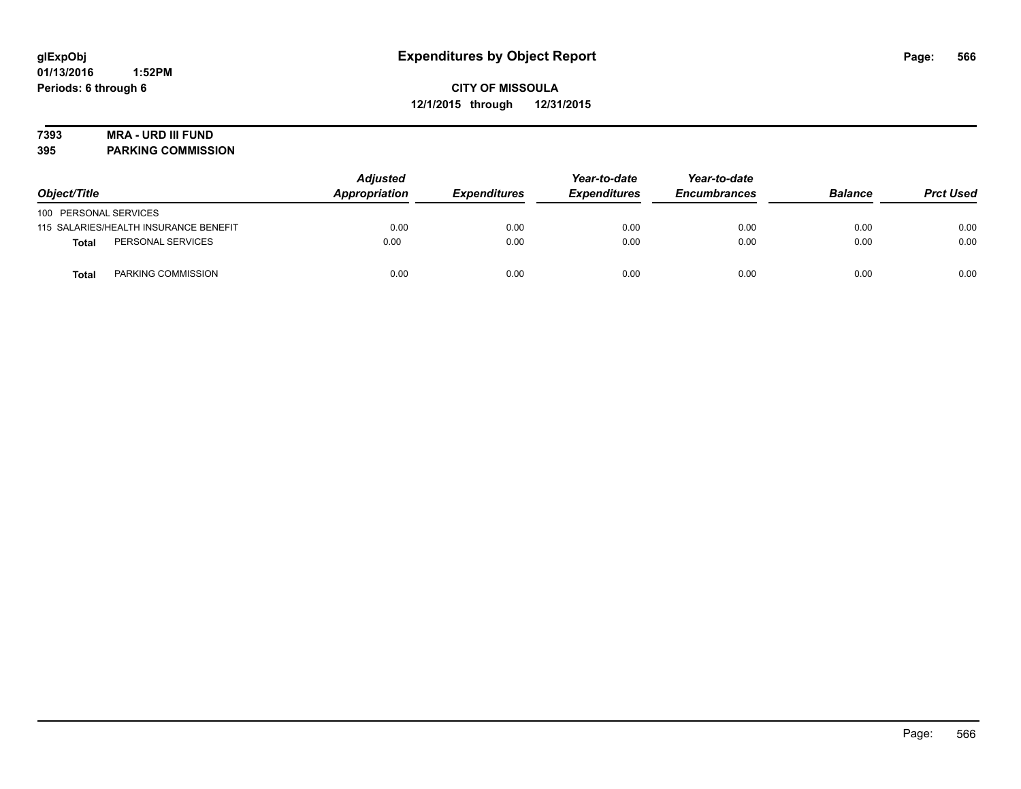# **7393 MRA - URD III FUND**

**395 PARKING COMMISSION**

| Object/Title                          | <b>Adjusted</b><br>Appropriation | <b>Expenditures</b> | Year-to-date<br><b>Expenditures</b> | Year-to-date<br><b>Encumbrances</b> | <b>Balance</b> | <b>Prct Used</b> |
|---------------------------------------|----------------------------------|---------------------|-------------------------------------|-------------------------------------|----------------|------------------|
| 100 PERSONAL SERVICES                 |                                  |                     |                                     |                                     |                |                  |
| 115 SALARIES/HEALTH INSURANCE BENEFIT | 0.00                             | 0.00                | 0.00                                | 0.00                                | 0.00           | 0.00             |
| PERSONAL SERVICES<br>Total            | 0.00                             | 0.00                | 0.00                                | 0.00                                | 0.00           | 0.00             |
| PARKING COMMISSION<br>Total           | 0.00                             | 0.00                | 0.00                                | 0.00                                | 0.00           | 0.00             |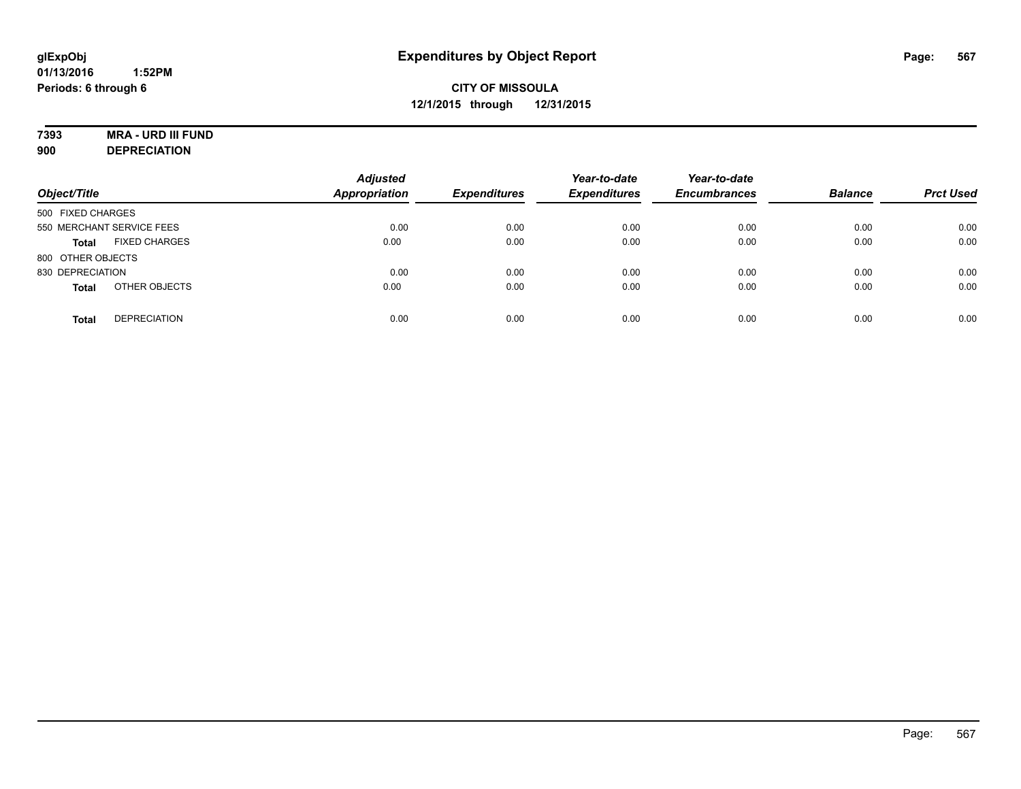# **7393 MRA - URD III FUND**

**900 DEPRECIATION**

| Object/Title                         | <b>Adjusted</b><br><b>Appropriation</b> | <b>Expenditures</b> | Year-to-date<br><b>Expenditures</b> | Year-to-date<br><b>Encumbrances</b> | <b>Balance</b> | <b>Prct Used</b> |
|--------------------------------------|-----------------------------------------|---------------------|-------------------------------------|-------------------------------------|----------------|------------------|
| 500 FIXED CHARGES                    |                                         |                     |                                     |                                     |                |                  |
| 550 MERCHANT SERVICE FEES            | 0.00                                    | 0.00                | 0.00                                | 0.00                                | 0.00           | 0.00             |
| <b>FIXED CHARGES</b><br><b>Total</b> | 0.00                                    | 0.00                | 0.00                                | 0.00                                | 0.00           | 0.00             |
| 800 OTHER OBJECTS                    |                                         |                     |                                     |                                     |                |                  |
| 830 DEPRECIATION                     | 0.00                                    | 0.00                | 0.00                                | 0.00                                | 0.00           | 0.00             |
| OTHER OBJECTS<br><b>Total</b>        | 0.00                                    | 0.00                | 0.00                                | 0.00                                | 0.00           | 0.00             |
| <b>DEPRECIATION</b><br><b>Total</b>  | 0.00                                    | 0.00                | 0.00                                | 0.00                                | 0.00           | 0.00             |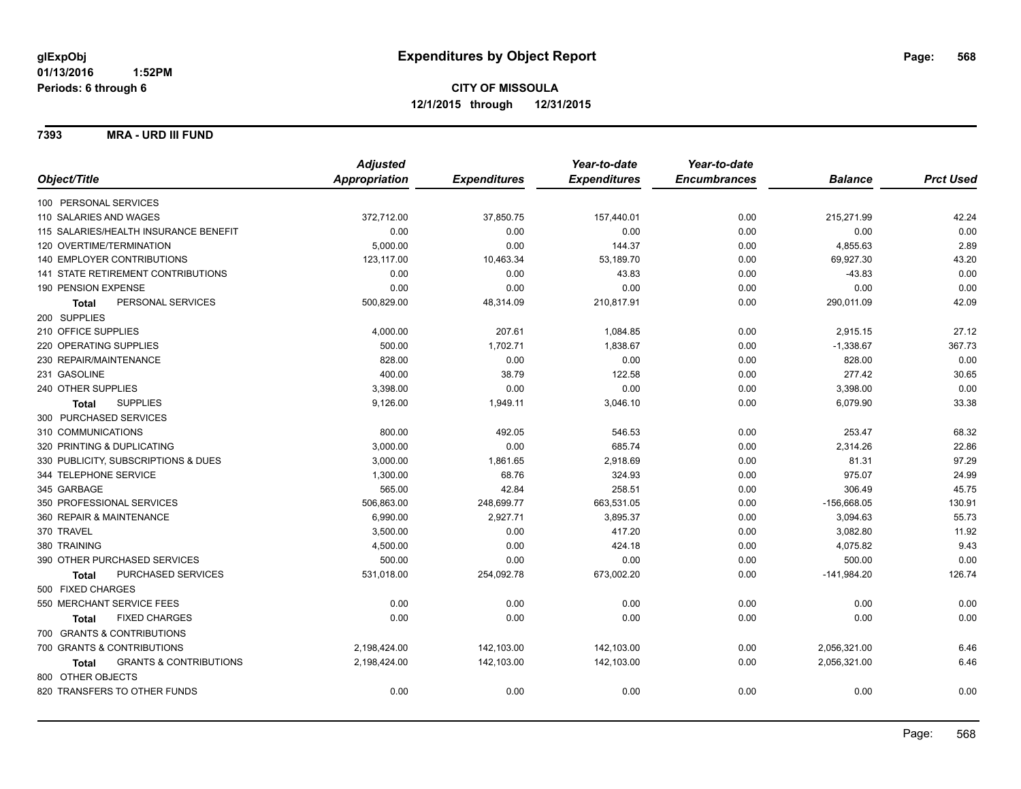**7393 MRA - URD III FUND**

|                                                   | <b>Adjusted</b> |                     | Year-to-date        | Year-to-date        |                |                  |
|---------------------------------------------------|-----------------|---------------------|---------------------|---------------------|----------------|------------------|
| Object/Title                                      | Appropriation   | <b>Expenditures</b> | <b>Expenditures</b> | <b>Encumbrances</b> | <b>Balance</b> | <b>Prct Used</b> |
| 100 PERSONAL SERVICES                             |                 |                     |                     |                     |                |                  |
| 110 SALARIES AND WAGES                            | 372,712.00      | 37,850.75           | 157,440.01          | 0.00                | 215,271.99     | 42.24            |
| 115 SALARIES/HEALTH INSURANCE BENEFIT             | 0.00            | 0.00                | 0.00                | 0.00                | 0.00           | 0.00             |
| 120 OVERTIME/TERMINATION                          | 5,000.00        | 0.00                | 144.37              | 0.00                | 4,855.63       | 2.89             |
| <b>140 EMPLOYER CONTRIBUTIONS</b>                 | 123,117.00      | 10,463.34           | 53,189.70           | 0.00                | 69,927.30      | 43.20            |
| 141 STATE RETIREMENT CONTRIBUTIONS                | 0.00            | 0.00                | 43.83               | 0.00                | $-43.83$       | 0.00             |
| 190 PENSION EXPENSE                               | 0.00            | 0.00                | 0.00                | 0.00                | 0.00           | 0.00             |
| PERSONAL SERVICES<br><b>Total</b>                 | 500,829.00      | 48,314.09           | 210,817.91          | 0.00                | 290,011.09     | 42.09            |
| 200 SUPPLIES                                      |                 |                     |                     |                     |                |                  |
| 210 OFFICE SUPPLIES                               | 4,000.00        | 207.61              | 1,084.85            | 0.00                | 2,915.15       | 27.12            |
| 220 OPERATING SUPPLIES                            | 500.00          | 1,702.71            | 1,838.67            | 0.00                | $-1,338.67$    | 367.73           |
| 230 REPAIR/MAINTENANCE                            | 828.00          | 0.00                | 0.00                | 0.00                | 828.00         | 0.00             |
| 231 GASOLINE                                      | 400.00          | 38.79               | 122.58              | 0.00                | 277.42         | 30.65            |
| 240 OTHER SUPPLIES                                | 3,398.00        | 0.00                | 0.00                | 0.00                | 3,398.00       | 0.00             |
| <b>SUPPLIES</b><br>Total                          | 9,126.00        | 1,949.11            | 3,046.10            | 0.00                | 6,079.90       | 33.38            |
| 300 PURCHASED SERVICES                            |                 |                     |                     |                     |                |                  |
| 310 COMMUNICATIONS                                | 800.00          | 492.05              | 546.53              | 0.00                | 253.47         | 68.32            |
| 320 PRINTING & DUPLICATING                        | 3,000.00        | 0.00                | 685.74              | 0.00                | 2,314.26       | 22.86            |
| 330 PUBLICITY, SUBSCRIPTIONS & DUES               | 3,000.00        | 1,861.65            | 2,918.69            | 0.00                | 81.31          | 97.29            |
| 344 TELEPHONE SERVICE                             | 1,300.00        | 68.76               | 324.93              | 0.00                | 975.07         | 24.99            |
| 345 GARBAGE                                       | 565.00          | 42.84               | 258.51              | 0.00                | 306.49         | 45.75            |
| 350 PROFESSIONAL SERVICES                         | 506,863.00      | 248,699.77          | 663,531.05          | 0.00                | $-156,668.05$  | 130.91           |
| 360 REPAIR & MAINTENANCE                          | 6,990.00        | 2,927.71            | 3,895.37            | 0.00                | 3,094.63       | 55.73            |
| 370 TRAVEL                                        | 3,500.00        | 0.00                | 417.20              | 0.00                | 3,082.80       | 11.92            |
| 380 TRAINING                                      | 4,500.00        | 0.00                | 424.18              | 0.00                | 4,075.82       | 9.43             |
| 390 OTHER PURCHASED SERVICES                      | 500.00          | 0.00                | 0.00                | 0.00                | 500.00         | 0.00             |
| PURCHASED SERVICES<br><b>Total</b>                | 531,018.00      | 254,092.78          | 673,002.20          | 0.00                | $-141,984.20$  | 126.74           |
| 500 FIXED CHARGES                                 |                 |                     |                     |                     |                |                  |
| 550 MERCHANT SERVICE FEES                         | 0.00            | 0.00                | 0.00                | 0.00                | 0.00           | 0.00             |
| <b>FIXED CHARGES</b><br><b>Total</b>              | 0.00            | 0.00                | 0.00                | 0.00                | 0.00           | 0.00             |
| 700 GRANTS & CONTRIBUTIONS                        |                 |                     |                     |                     |                |                  |
| 700 GRANTS & CONTRIBUTIONS                        | 2,198,424.00    | 142,103.00          | 142,103.00          | 0.00                | 2,056,321.00   | 6.46             |
| <b>GRANTS &amp; CONTRIBUTIONS</b><br><b>Total</b> | 2,198,424.00    | 142,103.00          | 142,103.00          | 0.00                | 2,056,321.00   | 6.46             |
| 800 OTHER OBJECTS                                 |                 |                     |                     |                     |                |                  |
| 820 TRANSFERS TO OTHER FUNDS                      | 0.00            | 0.00                | 0.00                | 0.00                | 0.00           | 0.00             |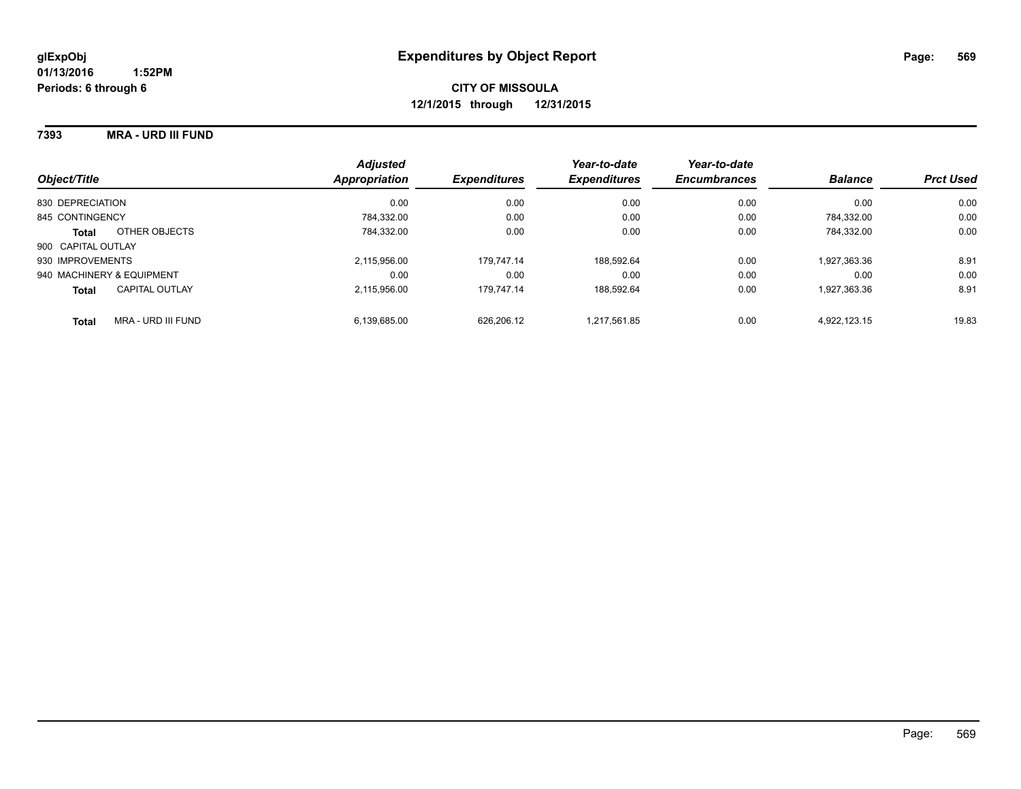#### **7393 MRA - URD III FUND**

| Object/Title                       | <b>Adjusted</b><br>Appropriation | <b>Expenditures</b> | Year-to-date<br><b>Expenditures</b> | Year-to-date<br><b>Encumbrances</b> | <b>Balance</b> | <b>Prct Used</b> |
|------------------------------------|----------------------------------|---------------------|-------------------------------------|-------------------------------------|----------------|------------------|
| 830 DEPRECIATION                   | 0.00                             | 0.00                | 0.00                                | 0.00                                | 0.00           | 0.00             |
| 845 CONTINGENCY                    | 784.332.00                       | 0.00                | 0.00                                | 0.00                                | 784.332.00     | 0.00             |
| OTHER OBJECTS<br><b>Total</b>      | 784.332.00                       | 0.00                | 0.00                                | 0.00                                | 784.332.00     | 0.00             |
| 900 CAPITAL OUTLAY                 |                                  |                     |                                     |                                     |                |                  |
| 930 IMPROVEMENTS                   | 2.115.956.00                     | 179.747.14          | 188.592.64                          | 0.00                                | 1,927,363.36   | 8.91             |
| 940 MACHINERY & EQUIPMENT          | 0.00                             | 0.00                | 0.00                                | 0.00                                | 0.00           | 0.00             |
| CAPITAL OUTLAY<br><b>Total</b>     | 2.115.956.00                     | 179.747.14          | 188.592.64                          | 0.00                                | 1,927,363.36   | 8.91             |
| MRA - URD III FUND<br><b>Total</b> | 6.139.685.00                     | 626.206.12          | 1.217.561.85                        | 0.00                                | 4.922.123.15   | 19.83            |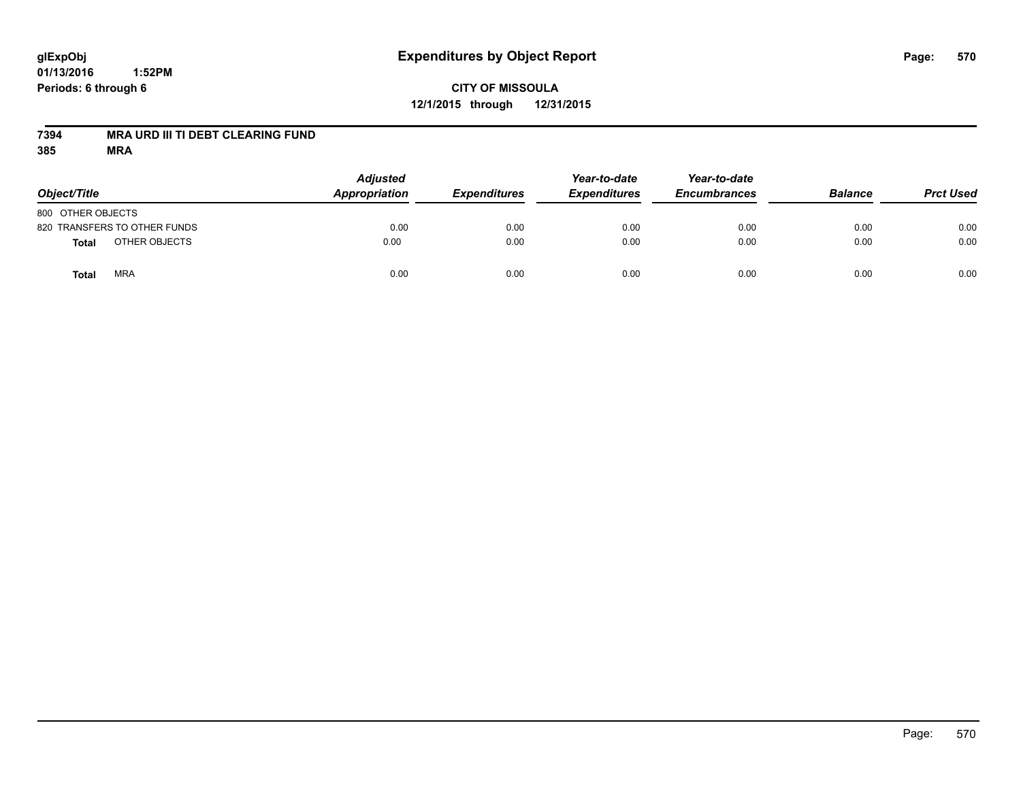## **CITY OF MISSOULA 12/1/2015 through 12/31/2015**

#### **7394 MRA URD III TI DEBT CLEARING FUND**

| Object/Title                 | <b>Adjusted</b><br>Appropriation | <b>Expenditures</b> | Year-to-date<br><b>Expenditures</b> | Year-to-date<br><b>Encumbrances</b> | <b>Balance</b> | <b>Prct Used</b> |
|------------------------------|----------------------------------|---------------------|-------------------------------------|-------------------------------------|----------------|------------------|
| 800 OTHER OBJECTS            |                                  |                     |                                     |                                     |                |                  |
| 820 TRANSFERS TO OTHER FUNDS | 0.00                             | 0.00                | 0.00                                | 0.00                                | 0.00           | 0.00             |
| OTHER OBJECTS<br>Total       | 0.00                             | 0.00                | 0.00                                | 0.00                                | 0.00           | 0.00             |
| <b>MRA</b><br>Total          | 0.00                             | 0.00                | 0.00                                | 0.00                                | 0.00           | 0.00             |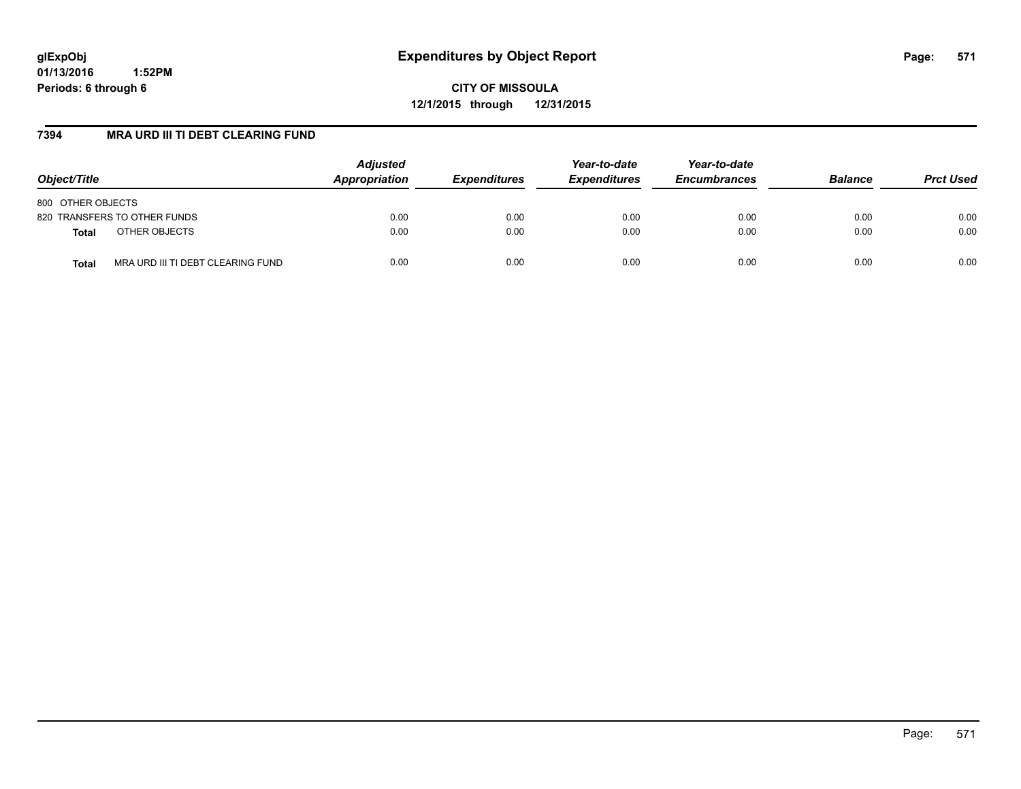**CITY OF MISSOULA 12/1/2015 through 12/31/2015**

#### **7394 MRA URD III TI DEBT CLEARING FUND**

| Object/Title                               | <b>Adjusted</b><br>Appropriation | <b>Expenditures</b> | Year-to-date<br><b>Expenditures</b> | Year-to-date<br><b>Encumbrances</b> | <b>Balance</b> | <b>Prct Used</b> |
|--------------------------------------------|----------------------------------|---------------------|-------------------------------------|-------------------------------------|----------------|------------------|
| 800 OTHER OBJECTS                          |                                  |                     |                                     |                                     |                |                  |
| 820 TRANSFERS TO OTHER FUNDS               | 0.00                             | 0.00                | 0.00                                | 0.00                                | 0.00           | 0.00             |
| OTHER OBJECTS<br><b>Total</b>              | 0.00                             | 0.00                | 0.00                                | 0.00                                | 0.00           | 0.00             |
| MRA URD III TI DEBT CLEARING FUND<br>Total | 0.00                             | 0.00                | 0.00                                | 0.00                                | 0.00           | 0.00             |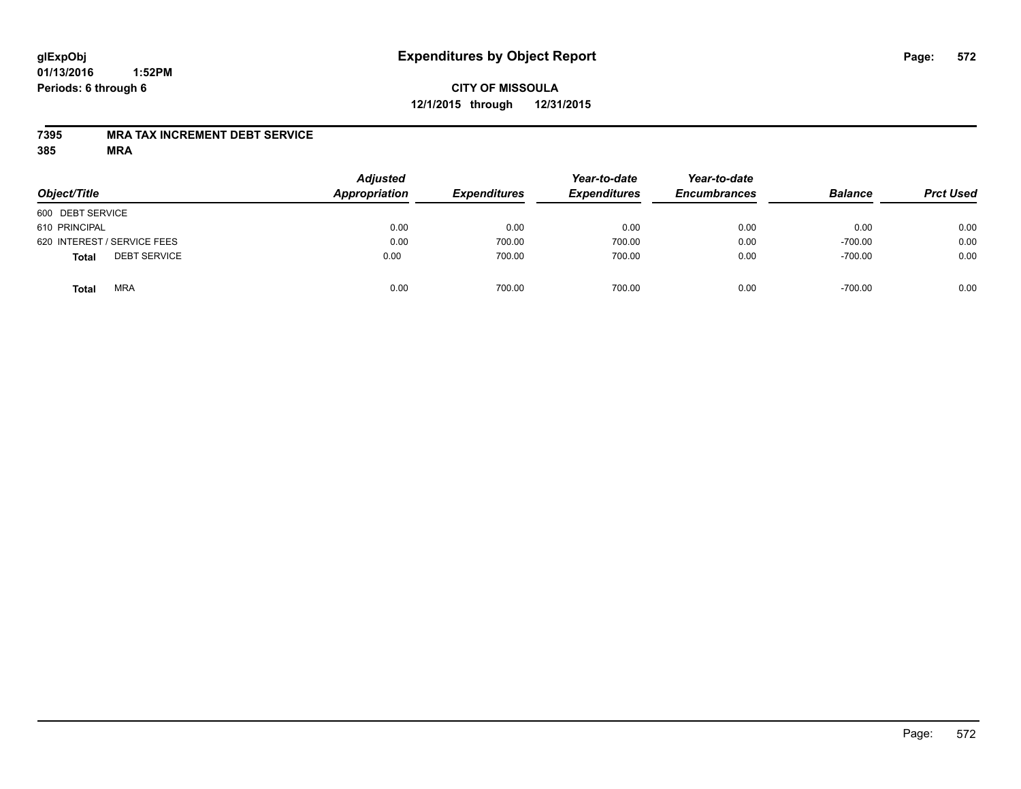## **CITY OF MISSOULA 12/1/2015 through 12/31/2015**

#### **7395 MRA TAX INCREMENT DEBT SERVICE**

| Object/Title                        | <b>Adjusted</b><br>Appropriation | <b>Expenditures</b> | Year-to-date<br><b>Expenditures</b> | Year-to-date<br><b>Encumbrances</b> | <b>Balance</b> | <b>Prct Used</b> |
|-------------------------------------|----------------------------------|---------------------|-------------------------------------|-------------------------------------|----------------|------------------|
| 600 DEBT SERVICE                    |                                  |                     |                                     |                                     |                |                  |
| 610 PRINCIPAL                       | 0.00                             | 0.00                | 0.00                                | 0.00                                | 0.00           | 0.00             |
| 620 INTEREST / SERVICE FEES         | 0.00                             | 700.00              | 700.00                              | 0.00                                | $-700.00$      | 0.00             |
| <b>DEBT SERVICE</b><br><b>Total</b> | 0.00                             | 700.00              | 700.00                              | 0.00                                | $-700.00$      | 0.00             |
| <b>MRA</b><br><b>Total</b>          | 0.00                             | 700.00              | 700.00                              | 0.00                                | $-700.00$      | 0.00             |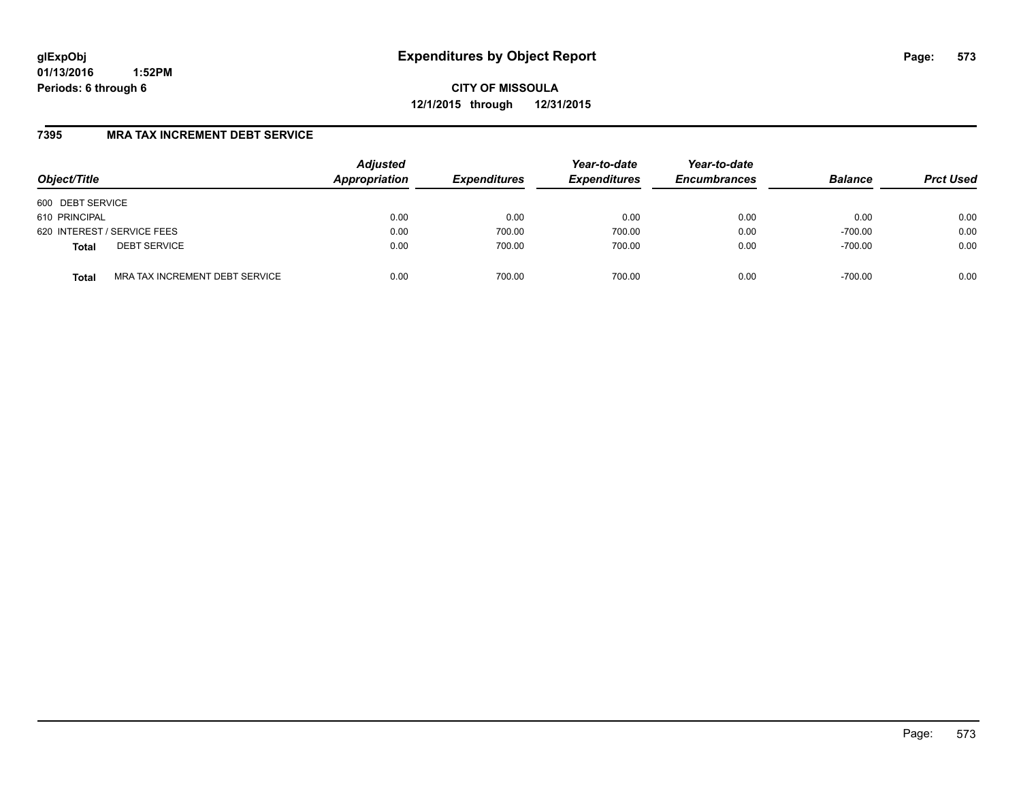**CITY OF MISSOULA 12/1/2015 through 12/31/2015**

#### **7395 MRA TAX INCREMENT DEBT SERVICE**

| Object/Title                                   | <b>Adjusted</b><br>Appropriation | <b>Expenditures</b> | Year-to-date<br><b>Expenditures</b> | Year-to-date<br><b>Encumbrances</b> | <b>Balance</b> | <b>Prct Used</b> |
|------------------------------------------------|----------------------------------|---------------------|-------------------------------------|-------------------------------------|----------------|------------------|
| 600 DEBT SERVICE                               |                                  |                     |                                     |                                     |                |                  |
| 610 PRINCIPAL                                  | 0.00                             | 0.00                | 0.00                                | 0.00                                | 0.00           | 0.00             |
| 620 INTEREST / SERVICE FEES                    | 0.00                             | 700.00              | 700.00                              | 0.00                                | $-700.00$      | 0.00             |
| <b>DEBT SERVICE</b><br><b>Total</b>            | 0.00                             | 700.00              | 700.00                              | 0.00                                | $-700.00$      | 0.00             |
| MRA TAX INCREMENT DEBT SERVICE<br><b>Total</b> | 0.00                             | 700.00              | 700.00                              | 0.00                                | $-700.00$      | 0.00             |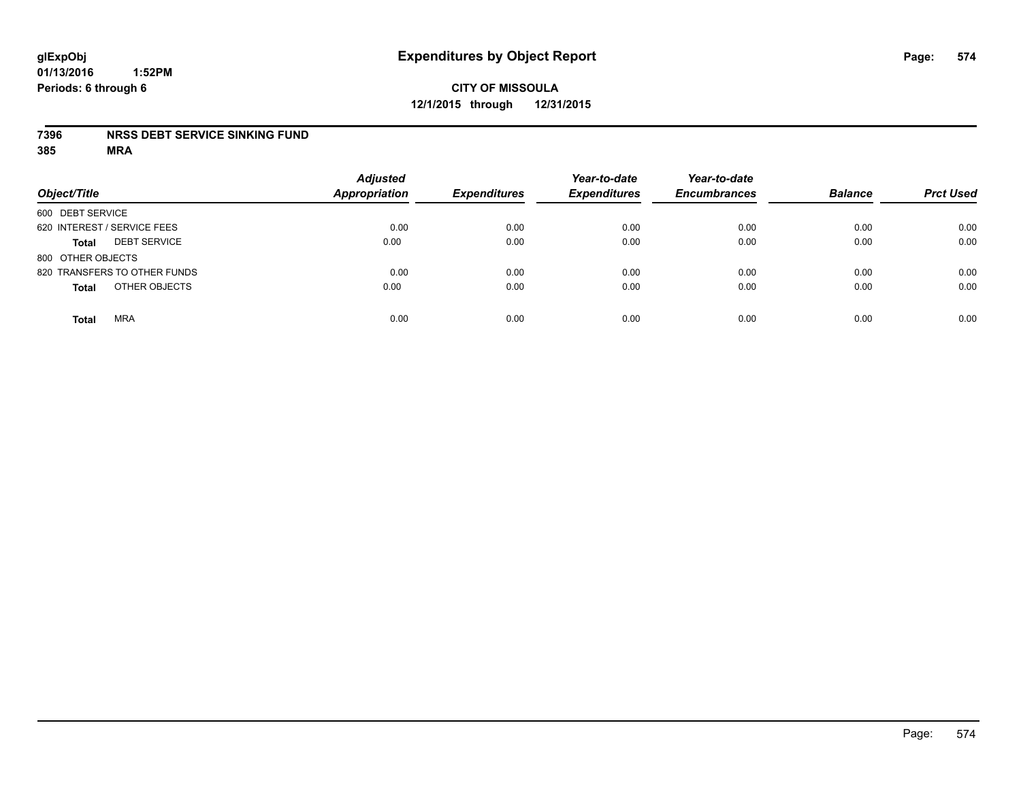# **CITY OF MISSOULA 12/1/2015 through 12/31/2015**

#### **7396 NRSS DEBT SERVICE SINKING FUND**

| Object/Title                        | <b>Adjusted</b><br><b>Appropriation</b> | <b>Expenditures</b> | Year-to-date<br><b>Expenditures</b> | Year-to-date<br><b>Encumbrances</b> | <b>Balance</b> | <b>Prct Used</b> |
|-------------------------------------|-----------------------------------------|---------------------|-------------------------------------|-------------------------------------|----------------|------------------|
| 600 DEBT SERVICE                    |                                         |                     |                                     |                                     |                |                  |
| 620 INTEREST / SERVICE FEES         | 0.00                                    | 0.00                | 0.00                                | 0.00                                | 0.00           | 0.00             |
| <b>DEBT SERVICE</b><br><b>Total</b> | 0.00                                    | 0.00                | 0.00                                | 0.00                                | 0.00           | 0.00             |
| 800 OTHER OBJECTS                   |                                         |                     |                                     |                                     |                |                  |
| 820 TRANSFERS TO OTHER FUNDS        | 0.00                                    | 0.00                | 0.00                                | 0.00                                | 0.00           | 0.00             |
| OTHER OBJECTS<br><b>Total</b>       | 0.00                                    | 0.00                | 0.00                                | 0.00                                | 0.00           | 0.00             |
| <b>MRA</b><br><b>Total</b>          | 0.00                                    | 0.00                | 0.00                                | 0.00                                | 0.00           | 0.00             |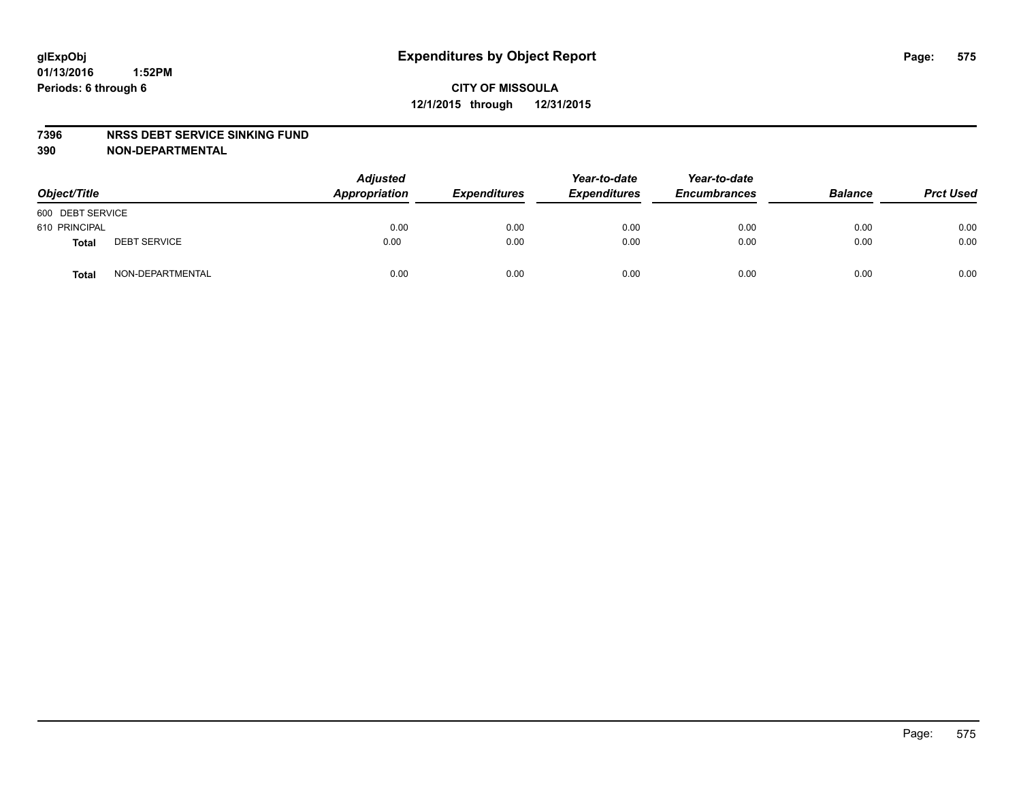#### **7396 NRSS DEBT SERVICE SINKING FUND**

**390 NON-DEPARTMENTAL**

| Object/Title     |                     | <b>Adjusted</b><br>Appropriation | <b>Expenditures</b> | Year-to-date<br><b>Expenditures</b> | Year-to-date<br><b>Encumbrances</b> | <b>Balance</b> | <b>Prct Used</b> |
|------------------|---------------------|----------------------------------|---------------------|-------------------------------------|-------------------------------------|----------------|------------------|
| 600 DEBT SERVICE |                     |                                  |                     |                                     |                                     |                |                  |
| 610 PRINCIPAL    |                     | 0.00                             | 0.00                | 0.00                                | 0.00                                | 0.00           | 0.00             |
| <b>Total</b>     | <b>DEBT SERVICE</b> | 0.00                             | 0.00                | 0.00                                | 0.00                                | 0.00           | 0.00             |
| <b>Total</b>     | NON-DEPARTMENTAL    | 0.00                             | 0.00                | 0.00                                | 0.00                                | 0.00           | 0.00             |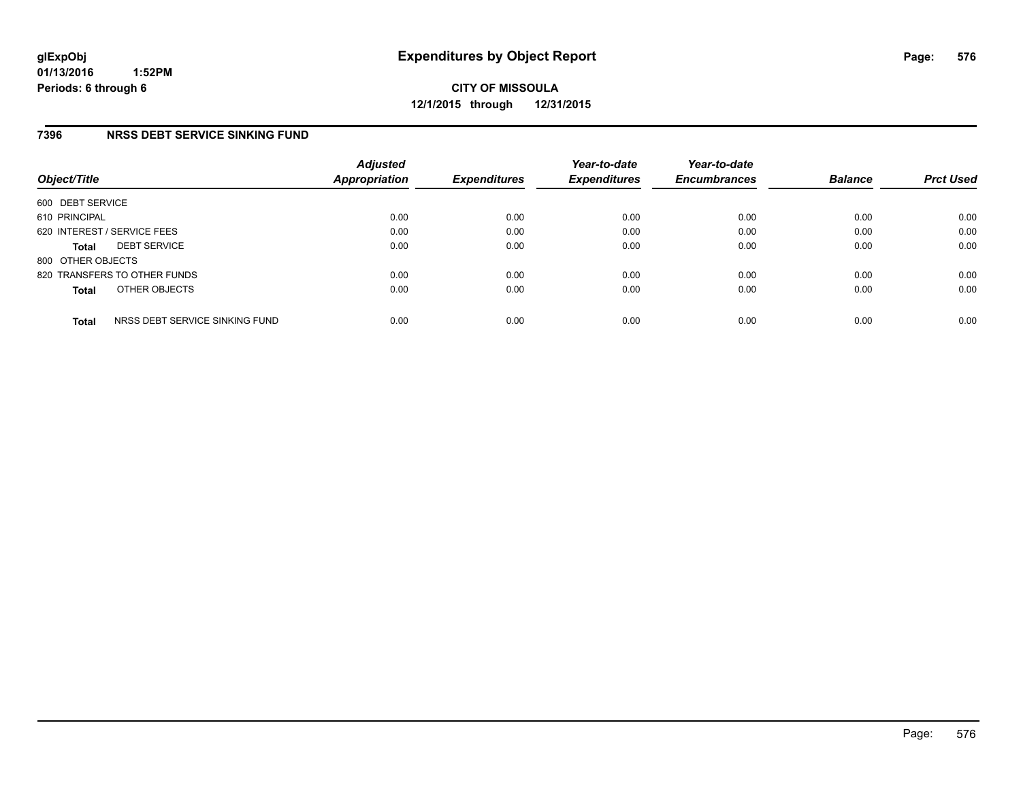#### **7396 NRSS DEBT SERVICE SINKING FUND**

| Object/Title                |                                | <b>Adjusted</b><br><b>Appropriation</b> | <b>Expenditures</b> | Year-to-date<br><b>Expenditures</b> | Year-to-date<br><b>Encumbrances</b> | <b>Balance</b> | <b>Prct Used</b> |
|-----------------------------|--------------------------------|-----------------------------------------|---------------------|-------------------------------------|-------------------------------------|----------------|------------------|
| 600 DEBT SERVICE            |                                |                                         |                     |                                     |                                     |                |                  |
| 610 PRINCIPAL               |                                | 0.00                                    | 0.00                | 0.00                                | 0.00                                | 0.00           | 0.00             |
| 620 INTEREST / SERVICE FEES |                                | 0.00                                    | 0.00                | 0.00                                | 0.00                                | 0.00           | 0.00             |
| <b>Total</b>                | <b>DEBT SERVICE</b>            | 0.00                                    | 0.00                | 0.00                                | 0.00                                | 0.00           | 0.00             |
| 800 OTHER OBJECTS           |                                |                                         |                     |                                     |                                     |                |                  |
|                             | 820 TRANSFERS TO OTHER FUNDS   | 0.00                                    | 0.00                | 0.00                                | 0.00                                | 0.00           | 0.00             |
| <b>Total</b>                | OTHER OBJECTS                  | 0.00                                    | 0.00                | 0.00                                | 0.00                                | 0.00           | 0.00             |
| <b>Total</b>                | NRSS DEBT SERVICE SINKING FUND | 0.00                                    | 0.00                | 0.00                                | 0.00                                | 0.00           | 0.00             |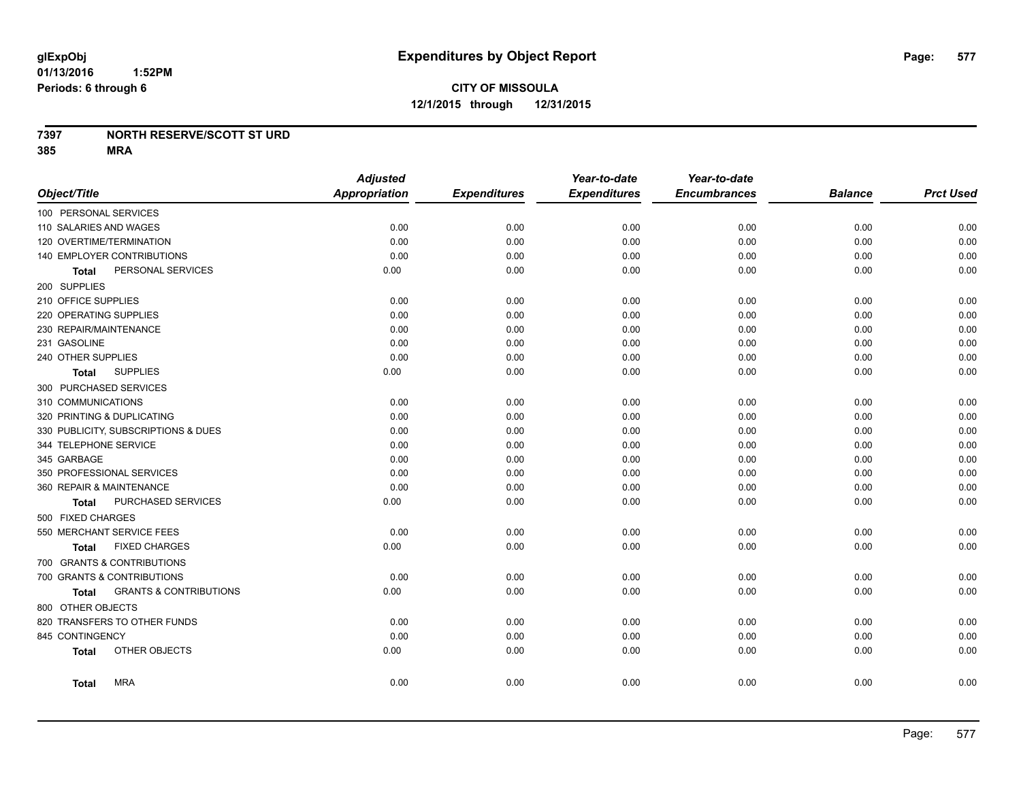#### **7397 NORTH RESERVE/SCOTT ST URD**

**385 MRA**

|                                                   | <b>Adjusted</b>      |                     | Year-to-date        | Year-to-date        |                |                  |
|---------------------------------------------------|----------------------|---------------------|---------------------|---------------------|----------------|------------------|
| Object/Title                                      | <b>Appropriation</b> | <b>Expenditures</b> | <b>Expenditures</b> | <b>Encumbrances</b> | <b>Balance</b> | <b>Prct Used</b> |
| 100 PERSONAL SERVICES                             |                      |                     |                     |                     |                |                  |
| 110 SALARIES AND WAGES                            | 0.00                 | 0.00                | 0.00                | 0.00                | 0.00           | 0.00             |
| 120 OVERTIME/TERMINATION                          | 0.00                 | 0.00                | 0.00                | 0.00                | 0.00           | 0.00             |
| 140 EMPLOYER CONTRIBUTIONS                        | 0.00                 | 0.00                | 0.00                | 0.00                | 0.00           | 0.00             |
| PERSONAL SERVICES<br>Total                        | 0.00                 | 0.00                | 0.00                | 0.00                | 0.00           | 0.00             |
| 200 SUPPLIES                                      |                      |                     |                     |                     |                |                  |
| 210 OFFICE SUPPLIES                               | 0.00                 | 0.00                | 0.00                | 0.00                | 0.00           | 0.00             |
| 220 OPERATING SUPPLIES                            | 0.00                 | 0.00                | 0.00                | 0.00                | 0.00           | 0.00             |
| 230 REPAIR/MAINTENANCE                            | 0.00                 | 0.00                | 0.00                | 0.00                | 0.00           | 0.00             |
| 231 GASOLINE                                      | 0.00                 | 0.00                | 0.00                | 0.00                | 0.00           | 0.00             |
| 240 OTHER SUPPLIES                                | 0.00                 | 0.00                | 0.00                | 0.00                | 0.00           | 0.00             |
| <b>SUPPLIES</b><br>Total                          | 0.00                 | 0.00                | 0.00                | 0.00                | 0.00           | 0.00             |
| 300 PURCHASED SERVICES                            |                      |                     |                     |                     |                |                  |
| 310 COMMUNICATIONS                                | 0.00                 | 0.00                | 0.00                | 0.00                | 0.00           | 0.00             |
| 320 PRINTING & DUPLICATING                        | 0.00                 | 0.00                | 0.00                | 0.00                | 0.00           | 0.00             |
| 330 PUBLICITY, SUBSCRIPTIONS & DUES               | 0.00                 | 0.00                | 0.00                | 0.00                | 0.00           | 0.00             |
| 344 TELEPHONE SERVICE                             | 0.00                 | 0.00                | 0.00                | 0.00                | 0.00           | 0.00             |
| 345 GARBAGE                                       | 0.00                 | 0.00                | 0.00                | 0.00                | 0.00           | 0.00             |
| 350 PROFESSIONAL SERVICES                         | 0.00                 | 0.00                | 0.00                | 0.00                | 0.00           | 0.00             |
| 360 REPAIR & MAINTENANCE                          | 0.00                 | 0.00                | 0.00                | 0.00                | 0.00           | 0.00             |
| PURCHASED SERVICES<br><b>Total</b>                | 0.00                 | 0.00                | 0.00                | 0.00                | 0.00           | 0.00             |
| 500 FIXED CHARGES                                 |                      |                     |                     |                     |                |                  |
| 550 MERCHANT SERVICE FEES                         | 0.00                 | 0.00                | 0.00                | 0.00                | 0.00           | 0.00             |
| <b>FIXED CHARGES</b><br>Total                     | 0.00                 | 0.00                | 0.00                | 0.00                | 0.00           | 0.00             |
| 700 GRANTS & CONTRIBUTIONS                        |                      |                     |                     |                     |                |                  |
| 700 GRANTS & CONTRIBUTIONS                        | 0.00                 | 0.00                | 0.00                | 0.00                | 0.00           | 0.00             |
| <b>GRANTS &amp; CONTRIBUTIONS</b><br><b>Total</b> | 0.00                 | 0.00                | 0.00                | 0.00                | 0.00           | 0.00             |
| 800 OTHER OBJECTS                                 |                      |                     |                     |                     |                |                  |
| 820 TRANSFERS TO OTHER FUNDS                      | 0.00                 | 0.00                | 0.00                | 0.00                | 0.00           | 0.00             |
| 845 CONTINGENCY                                   | 0.00                 | 0.00                | 0.00                | 0.00                | 0.00           | 0.00             |
| OTHER OBJECTS<br><b>Total</b>                     | 0.00                 | 0.00                | 0.00                | 0.00                | 0.00           | 0.00             |
| <b>MRA</b><br><b>Total</b>                        | 0.00                 | 0.00                | 0.00                | 0.00                | 0.00           | 0.00             |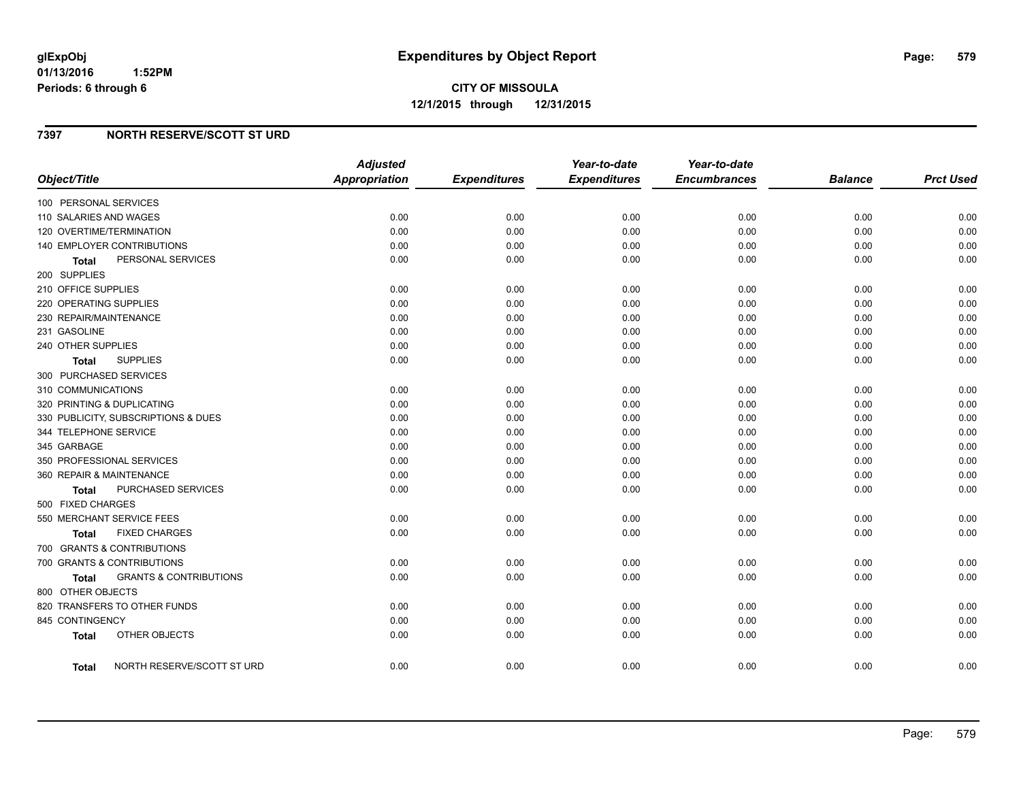## **7397 NORTH RESERVE/SCOTT ST URD**

| Object/Title                        |                                   | <b>Adjusted</b><br><b>Appropriation</b> | <b>Expenditures</b> | Year-to-date<br><b>Expenditures</b> | Year-to-date<br><b>Encumbrances</b> | <b>Balance</b> | <b>Prct Used</b> |
|-------------------------------------|-----------------------------------|-----------------------------------------|---------------------|-------------------------------------|-------------------------------------|----------------|------------------|
| 100 PERSONAL SERVICES               |                                   |                                         |                     |                                     |                                     |                |                  |
| 110 SALARIES AND WAGES              |                                   | 0.00                                    | 0.00                | 0.00                                | 0.00                                | 0.00           | 0.00             |
| 120 OVERTIME/TERMINATION            |                                   | 0.00                                    | 0.00                | 0.00                                | 0.00                                | 0.00           | 0.00             |
| 140 EMPLOYER CONTRIBUTIONS          |                                   | 0.00                                    | 0.00                | 0.00                                | 0.00                                | 0.00           | 0.00             |
| <b>Total</b>                        | PERSONAL SERVICES                 | 0.00                                    | 0.00                | 0.00                                | 0.00                                | 0.00           | 0.00             |
| 200 SUPPLIES                        |                                   |                                         |                     |                                     |                                     |                |                  |
| 210 OFFICE SUPPLIES                 |                                   | 0.00                                    | 0.00                | 0.00                                | 0.00                                | 0.00           | 0.00             |
| 220 OPERATING SUPPLIES              |                                   | 0.00                                    | 0.00                | 0.00                                | 0.00                                | 0.00           | 0.00             |
| 230 REPAIR/MAINTENANCE              |                                   | 0.00                                    | 0.00                | 0.00                                | 0.00                                | 0.00           | 0.00             |
| 231 GASOLINE                        |                                   | 0.00                                    | 0.00                | 0.00                                | 0.00                                | 0.00           | 0.00             |
| 240 OTHER SUPPLIES                  |                                   | 0.00                                    | 0.00                | 0.00                                | 0.00                                | 0.00           | 0.00             |
| <b>SUPPLIES</b><br>Total            |                                   | 0.00                                    | 0.00                | 0.00                                | 0.00                                | 0.00           | 0.00             |
| 300 PURCHASED SERVICES              |                                   |                                         |                     |                                     |                                     |                |                  |
| 310 COMMUNICATIONS                  |                                   | 0.00                                    | 0.00                | 0.00                                | 0.00                                | 0.00           | 0.00             |
| 320 PRINTING & DUPLICATING          |                                   | 0.00                                    | 0.00                | 0.00                                | 0.00                                | 0.00           | 0.00             |
| 330 PUBLICITY, SUBSCRIPTIONS & DUES |                                   | 0.00                                    | 0.00                | 0.00                                | 0.00                                | 0.00           | 0.00             |
| 344 TELEPHONE SERVICE               |                                   | 0.00                                    | 0.00                | 0.00                                | 0.00                                | 0.00           | 0.00             |
| 345 GARBAGE                         |                                   | 0.00                                    | 0.00                | 0.00                                | 0.00                                | 0.00           | 0.00             |
| 350 PROFESSIONAL SERVICES           |                                   | 0.00                                    | 0.00                | 0.00                                | 0.00                                | 0.00           | 0.00             |
| 360 REPAIR & MAINTENANCE            |                                   | 0.00                                    | 0.00                | 0.00                                | 0.00                                | 0.00           | 0.00             |
| Total                               | <b>PURCHASED SERVICES</b>         | 0.00                                    | 0.00                | 0.00                                | 0.00                                | 0.00           | 0.00             |
| 500 FIXED CHARGES                   |                                   |                                         |                     |                                     |                                     |                |                  |
| 550 MERCHANT SERVICE FEES           |                                   | 0.00                                    | 0.00                | 0.00                                | 0.00                                | 0.00           | 0.00             |
| Total                               | <b>FIXED CHARGES</b>              | 0.00                                    | 0.00                | 0.00                                | 0.00                                | 0.00           | 0.00             |
| 700 GRANTS & CONTRIBUTIONS          |                                   |                                         |                     |                                     |                                     |                |                  |
| 700 GRANTS & CONTRIBUTIONS          |                                   | 0.00                                    | 0.00                | 0.00                                | 0.00                                | 0.00           | 0.00             |
| <b>Total</b>                        | <b>GRANTS &amp; CONTRIBUTIONS</b> | 0.00                                    | 0.00                | 0.00                                | 0.00                                | 0.00           | 0.00             |
| 800 OTHER OBJECTS                   |                                   |                                         |                     |                                     |                                     |                |                  |
| 820 TRANSFERS TO OTHER FUNDS        |                                   | 0.00                                    | 0.00                | 0.00                                | 0.00                                | 0.00           | 0.00             |
| 845 CONTINGENCY                     |                                   | 0.00                                    | 0.00                | 0.00                                | 0.00                                | 0.00           | 0.00             |
| <b>Total</b>                        | OTHER OBJECTS                     | 0.00                                    | 0.00                | 0.00                                | 0.00                                | 0.00           | 0.00             |
| Total                               | NORTH RESERVE/SCOTT ST URD        | 0.00                                    | 0.00                | 0.00                                | 0.00                                | 0.00           | 0.00             |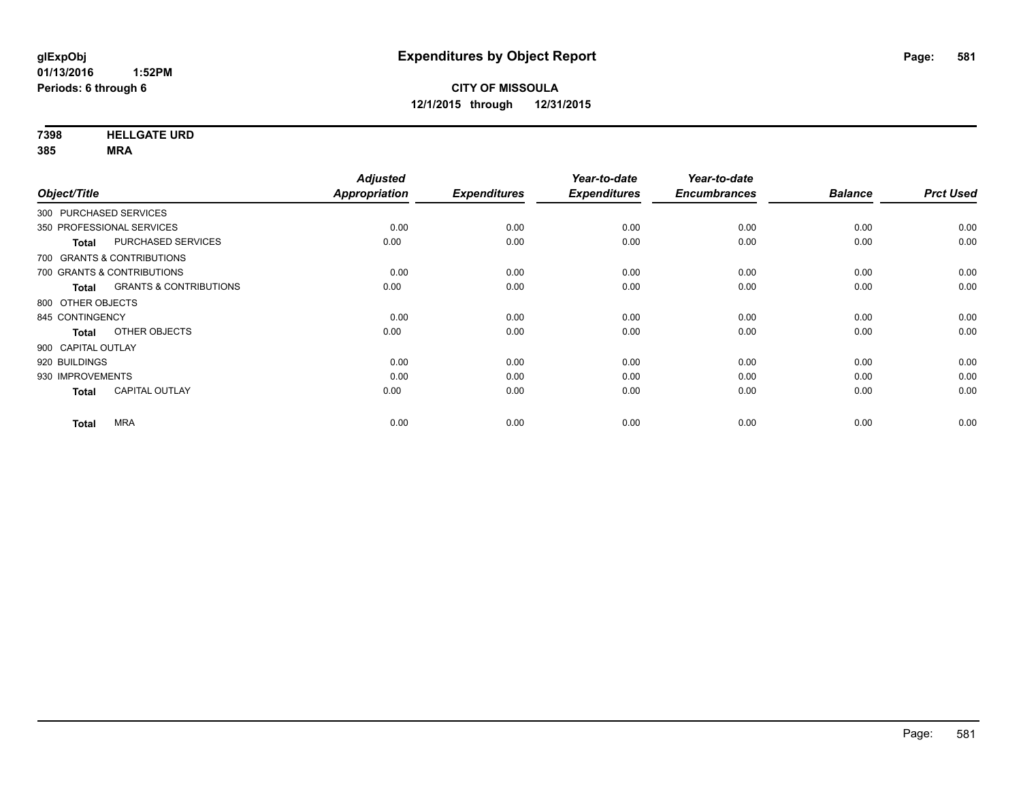**7398 HELLGATE URD**

**385 MRA**

| <b>Prct Used</b> |
|------------------|
|                  |
| 0.00             |
| 0.00             |
|                  |
| 0.00             |
| 0.00             |
|                  |
| 0.00             |
| 0.00             |
|                  |
| 0.00             |
| 0.00             |
| 0.00             |
| 0.00             |
|                  |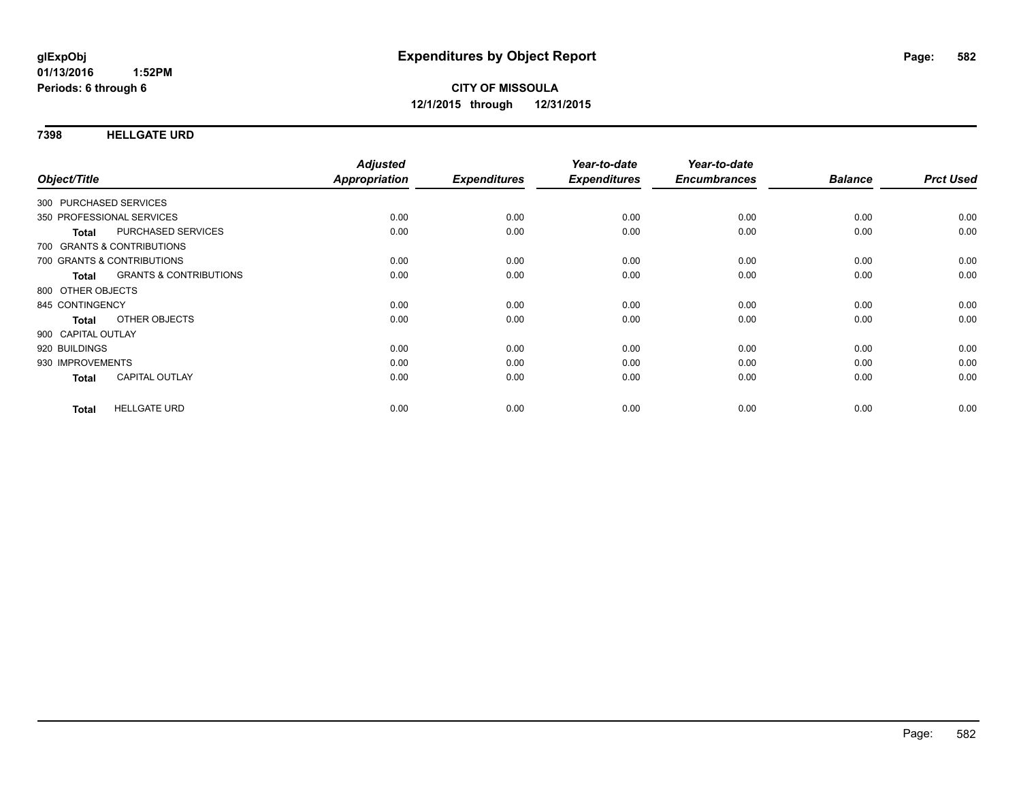#### **7398 HELLGATE URD**

| Object/Title                                      | <b>Adjusted</b><br><b>Appropriation</b> | <b>Expenditures</b> | Year-to-date<br><b>Expenditures</b> | Year-to-date<br><b>Encumbrances</b> | <b>Balance</b> | <b>Prct Used</b> |
|---------------------------------------------------|-----------------------------------------|---------------------|-------------------------------------|-------------------------------------|----------------|------------------|
| 300 PURCHASED SERVICES                            |                                         |                     |                                     |                                     |                |                  |
|                                                   |                                         |                     |                                     |                                     |                |                  |
| 350 PROFESSIONAL SERVICES                         | 0.00                                    | 0.00                | 0.00                                | 0.00                                | 0.00           | 0.00             |
| <b>PURCHASED SERVICES</b><br><b>Total</b>         | 0.00                                    | 0.00                | 0.00                                | 0.00                                | 0.00           | 0.00             |
| 700 GRANTS & CONTRIBUTIONS                        |                                         |                     |                                     |                                     |                |                  |
| 700 GRANTS & CONTRIBUTIONS                        | 0.00                                    | 0.00                | 0.00                                | 0.00                                | 0.00           | 0.00             |
| <b>GRANTS &amp; CONTRIBUTIONS</b><br><b>Total</b> | 0.00                                    | 0.00                | 0.00                                | 0.00                                | 0.00           | 0.00             |
| 800 OTHER OBJECTS                                 |                                         |                     |                                     |                                     |                |                  |
| 845 CONTINGENCY                                   | 0.00                                    | 0.00                | 0.00                                | 0.00                                | 0.00           | 0.00             |
| OTHER OBJECTS<br><b>Total</b>                     | 0.00                                    | 0.00                | 0.00                                | 0.00                                | 0.00           | 0.00             |
| 900 CAPITAL OUTLAY                                |                                         |                     |                                     |                                     |                |                  |
| 920 BUILDINGS                                     | 0.00                                    | 0.00                | 0.00                                | 0.00                                | 0.00           | 0.00             |
| 930 IMPROVEMENTS                                  | 0.00                                    | 0.00                | 0.00                                | 0.00                                | 0.00           | 0.00             |
| <b>CAPITAL OUTLAY</b><br>Total                    | 0.00                                    | 0.00                | 0.00                                | 0.00                                | 0.00           | 0.00             |
| <b>HELLGATE URD</b>                               | 0.00                                    | 0.00                | 0.00                                | 0.00                                | 0.00           | 0.00             |
| <b>Total</b>                                      |                                         |                     |                                     |                                     |                |                  |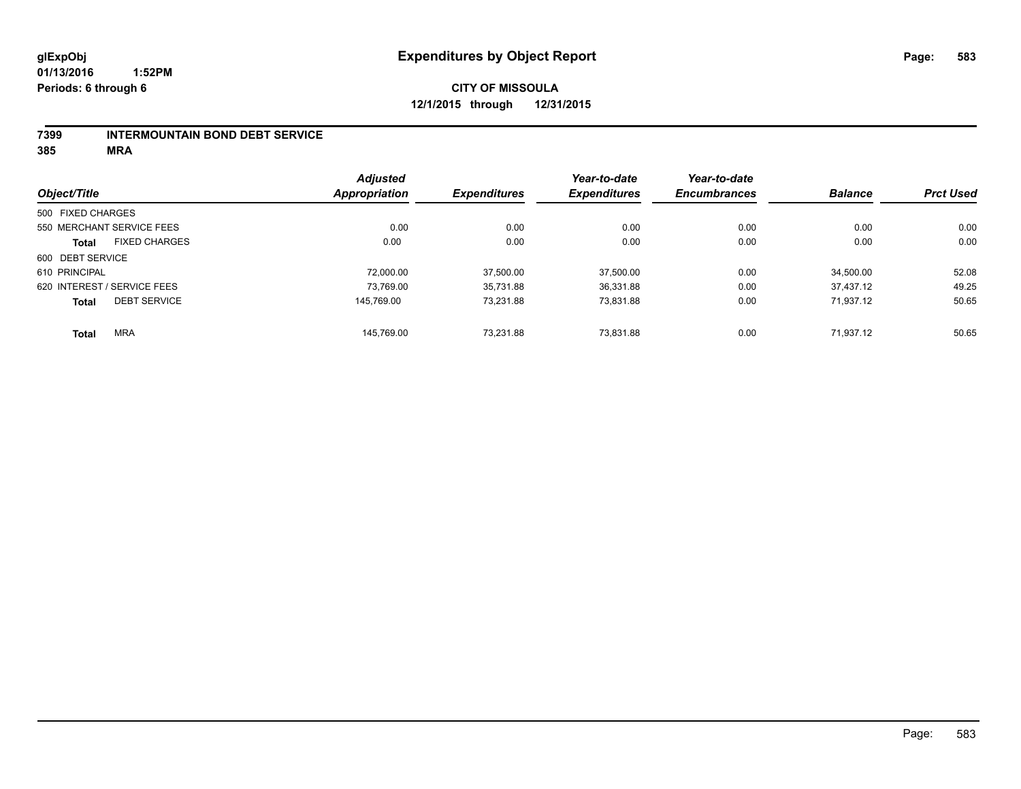## **CITY OF MISSOULA 12/1/2015 through 12/31/2015**

#### **7399 INTERMOUNTAIN BOND DEBT SERVICE**

**385 MRA**

|                   |                             | <b>Adjusted</b> |                     | Year-to-date        | Year-to-date        |                |                  |
|-------------------|-----------------------------|-----------------|---------------------|---------------------|---------------------|----------------|------------------|
| Object/Title      |                             | Appropriation   | <b>Expenditures</b> | <b>Expenditures</b> | <b>Encumbrances</b> | <b>Balance</b> | <b>Prct Used</b> |
| 500 FIXED CHARGES |                             |                 |                     |                     |                     |                |                  |
|                   | 550 MERCHANT SERVICE FEES   | 0.00            | 0.00                | 0.00                | 0.00                | 0.00           | 0.00             |
| <b>Total</b>      | <b>FIXED CHARGES</b>        | 0.00            | 0.00                | 0.00                | 0.00                | 0.00           | 0.00             |
| 600 DEBT SERVICE  |                             |                 |                     |                     |                     |                |                  |
| 610 PRINCIPAL     |                             | 72.000.00       | 37.500.00           | 37,500.00           | 0.00                | 34.500.00      | 52.08            |
|                   | 620 INTEREST / SERVICE FEES | 73,769.00       | 35.731.88           | 36,331.88           | 0.00                | 37.437.12      | 49.25            |
| <b>Total</b>      | <b>DEBT SERVICE</b>         | 145.769.00      | 73.231.88           | 73,831.88           | 0.00                | 71.937.12      | 50.65            |
| <b>Total</b>      | <b>MRA</b>                  | 145.769.00      | 73.231.88           | 73.831.88           | 0.00                | 71.937.12      | 50.65            |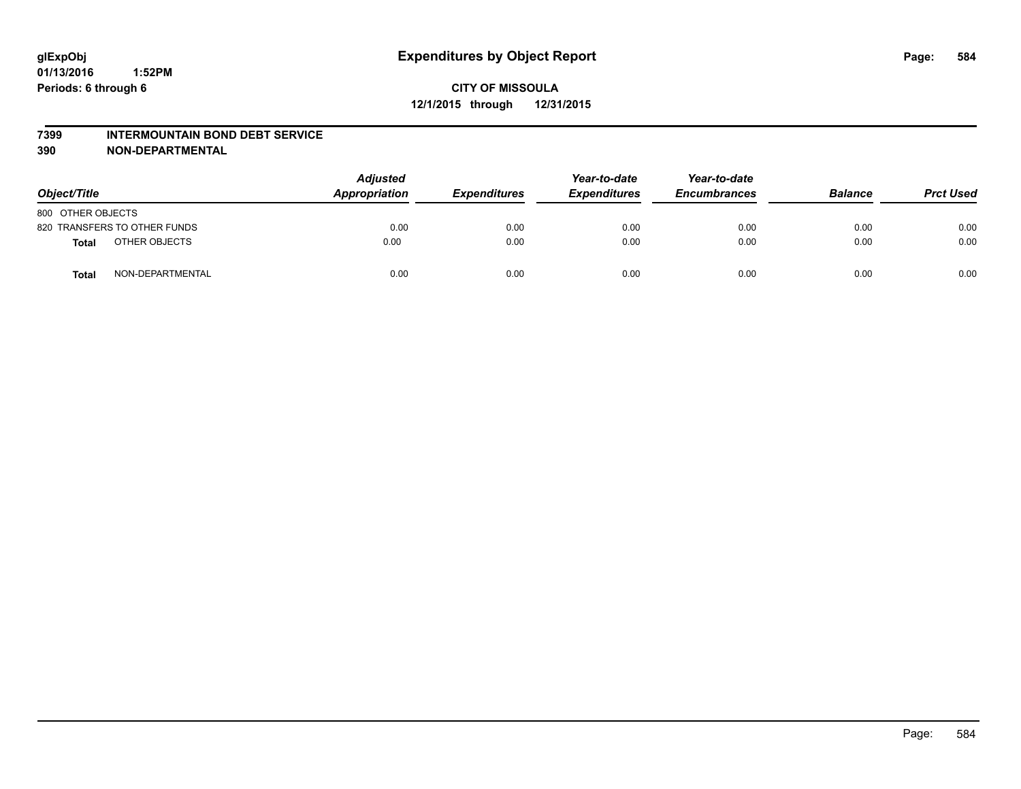#### **7399 INTERMOUNTAIN BOND DEBT SERVICE**

**390 NON-DEPARTMENTAL**

| Object/Title                     | <b>Adjusted</b><br>Appropriation | <b>Expenditures</b> | Year-to-date<br><b>Expenditures</b> | Year-to-date<br><b>Encumbrances</b> | <b>Balance</b> | <b>Prct Used</b> |
|----------------------------------|----------------------------------|---------------------|-------------------------------------|-------------------------------------|----------------|------------------|
| 800 OTHER OBJECTS                |                                  |                     |                                     |                                     |                |                  |
| 820 TRANSFERS TO OTHER FUNDS     | 0.00                             | 0.00                | 0.00                                | 0.00                                | 0.00           | 0.00             |
| OTHER OBJECTS<br>Total           | 0.00                             | 0.00                | 0.00                                | 0.00                                | 0.00           | 0.00             |
| NON-DEPARTMENTAL<br><b>Total</b> | 0.00                             | 0.00                | 0.00                                | 0.00                                | 0.00           | 0.00             |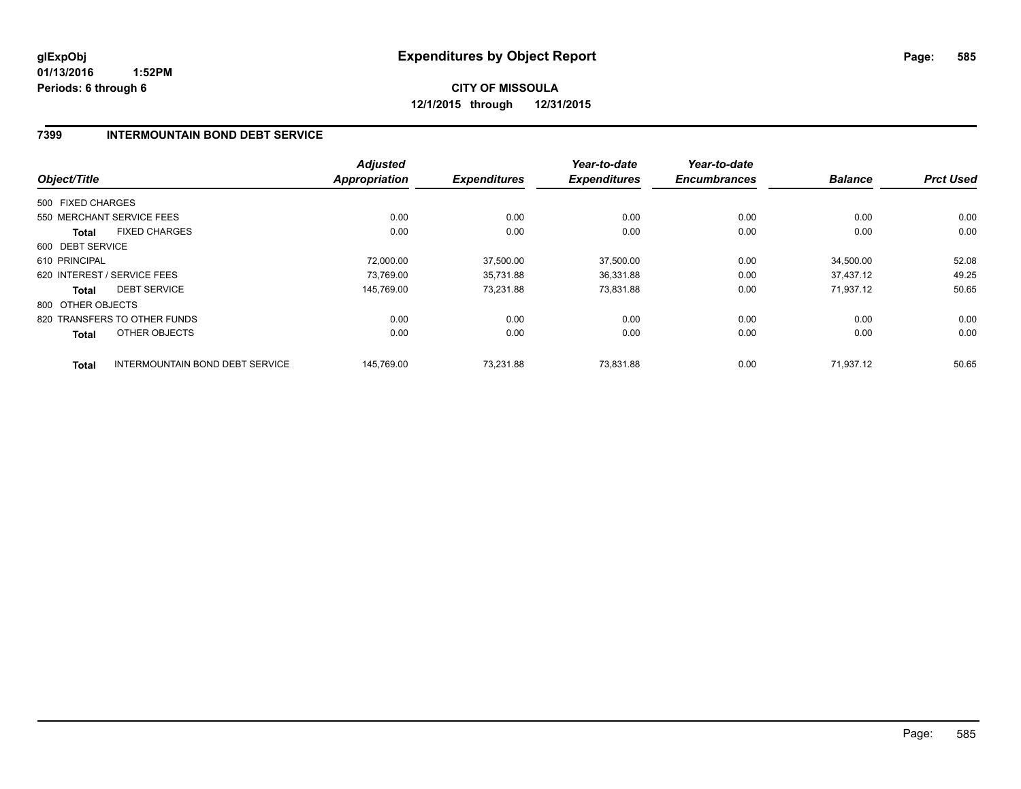**CITY OF MISSOULA 12/1/2015 through 12/31/2015**

### **7399 INTERMOUNTAIN BOND DEBT SERVICE**

| Object/Title      |                                 | <b>Adjusted</b><br><b>Appropriation</b> | <b>Expenditures</b> | Year-to-date<br><b>Expenditures</b> | Year-to-date<br><b>Encumbrances</b> | <b>Balance</b> | <b>Prct Used</b> |
|-------------------|---------------------------------|-----------------------------------------|---------------------|-------------------------------------|-------------------------------------|----------------|------------------|
|                   |                                 |                                         |                     |                                     |                                     |                |                  |
| 500 FIXED CHARGES |                                 |                                         |                     |                                     |                                     |                |                  |
|                   | 550 MERCHANT SERVICE FEES       | 0.00                                    | 0.00                | 0.00                                | 0.00                                | 0.00           | 0.00             |
| <b>Total</b>      | <b>FIXED CHARGES</b>            | 0.00                                    | 0.00                | 0.00                                | 0.00                                | 0.00           | 0.00             |
| 600 DEBT SERVICE  |                                 |                                         |                     |                                     |                                     |                |                  |
| 610 PRINCIPAL     |                                 | 72,000.00                               | 37,500.00           | 37,500.00                           | 0.00                                | 34,500.00      | 52.08            |
|                   | 620 INTEREST / SERVICE FEES     | 73,769.00                               | 35,731.88           | 36,331.88                           | 0.00                                | 37.437.12      | 49.25            |
| <b>Total</b>      | <b>DEBT SERVICE</b>             | 145.769.00                              | 73,231.88           | 73,831.88                           | 0.00                                | 71.937.12      | 50.65            |
| 800 OTHER OBJECTS |                                 |                                         |                     |                                     |                                     |                |                  |
|                   | 820 TRANSFERS TO OTHER FUNDS    | 0.00                                    | 0.00                | 0.00                                | 0.00                                | 0.00           | 0.00             |
| <b>Total</b>      | OTHER OBJECTS                   | 0.00                                    | 0.00                | 0.00                                | 0.00                                | 0.00           | 0.00             |
| <b>Total</b>      | INTERMOUNTAIN BOND DEBT SERVICE | 145.769.00                              | 73.231.88           | 73.831.88                           | 0.00                                | 71.937.12      | 50.65            |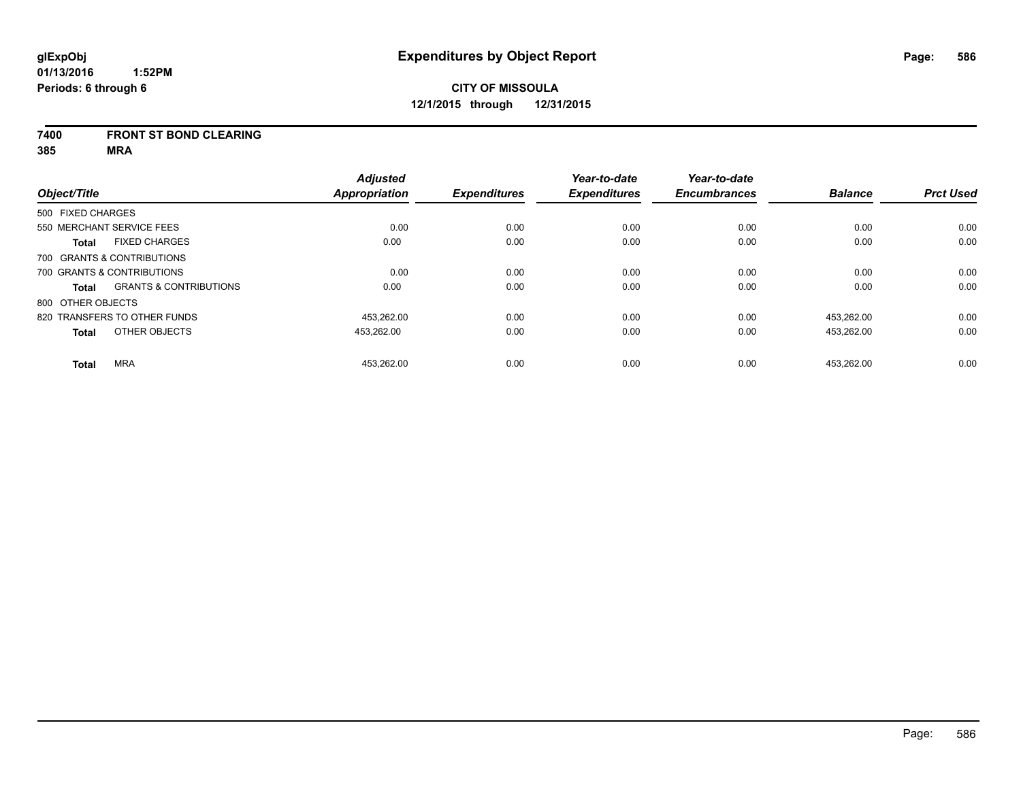#### **7400 FRONT ST BOND CLEARING**

**385 MRA**

|                   |                                   | <b>Adjusted</b>      |                     | Year-to-date        | Year-to-date        |                |                  |
|-------------------|-----------------------------------|----------------------|---------------------|---------------------|---------------------|----------------|------------------|
| Object/Title      |                                   | <b>Appropriation</b> | <b>Expenditures</b> | <b>Expenditures</b> | <b>Encumbrances</b> | <b>Balance</b> | <b>Prct Used</b> |
| 500 FIXED CHARGES |                                   |                      |                     |                     |                     |                |                  |
|                   | 550 MERCHANT SERVICE FEES         | 0.00                 | 0.00                | 0.00                | 0.00                | 0.00           | 0.00             |
| <b>Total</b>      | <b>FIXED CHARGES</b>              | 0.00                 | 0.00                | 0.00                | 0.00                | 0.00           | 0.00             |
|                   | 700 GRANTS & CONTRIBUTIONS        |                      |                     |                     |                     |                |                  |
|                   | 700 GRANTS & CONTRIBUTIONS        | 0.00                 | 0.00                | 0.00                | 0.00                | 0.00           | 0.00             |
| Total             | <b>GRANTS &amp; CONTRIBUTIONS</b> | 0.00                 | 0.00                | 0.00                | 0.00                | 0.00           | 0.00             |
| 800 OTHER OBJECTS |                                   |                      |                     |                     |                     |                |                  |
|                   | 820 TRANSFERS TO OTHER FUNDS      | 453.262.00           | 0.00                | 0.00                | 0.00                | 453.262.00     | 0.00             |
| <b>Total</b>      | OTHER OBJECTS                     | 453,262.00           | 0.00                | 0.00                | 0.00                | 453,262.00     | 0.00             |
| <b>Total</b>      | <b>MRA</b>                        | 453.262.00           | 0.00                | 0.00                | 0.00                | 453.262.00     | 0.00             |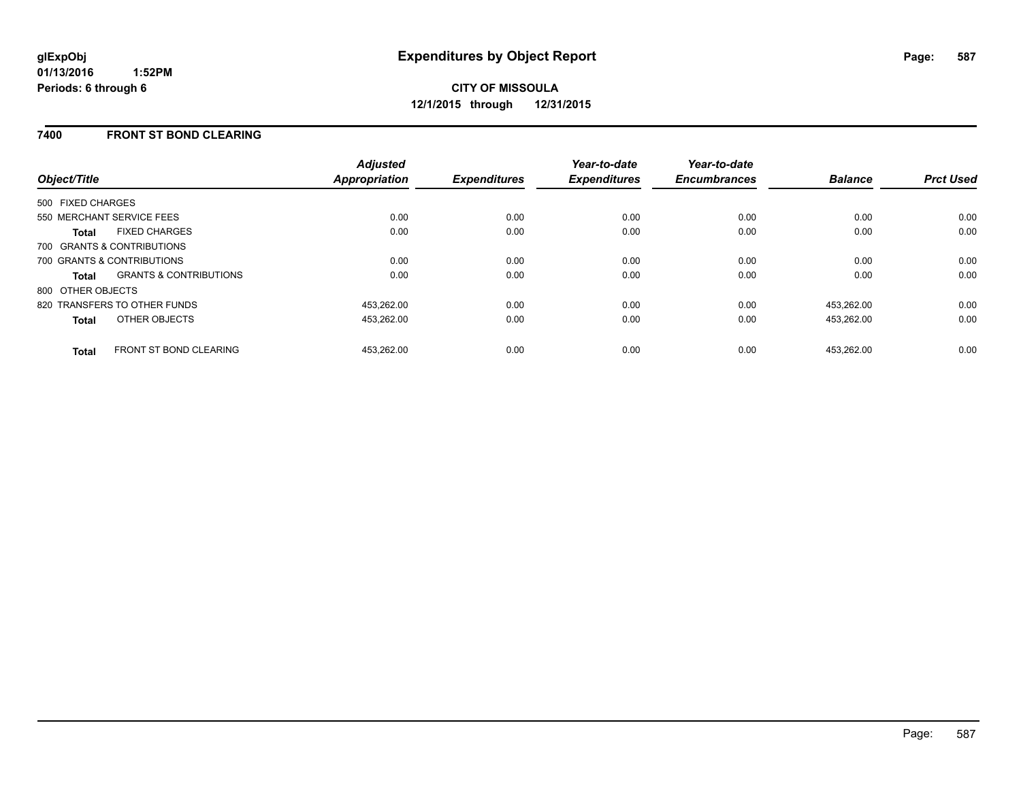### **7400 FRONT ST BOND CLEARING**

| Object/Title                                      | <b>Adjusted</b><br><b>Appropriation</b> | <b>Expenditures</b> | Year-to-date<br><b>Expenditures</b> | Year-to-date<br><b>Encumbrances</b> | <b>Balance</b> | <b>Prct Used</b> |
|---------------------------------------------------|-----------------------------------------|---------------------|-------------------------------------|-------------------------------------|----------------|------------------|
| 500 FIXED CHARGES                                 |                                         |                     |                                     |                                     |                |                  |
| 550 MERCHANT SERVICE FEES                         | 0.00                                    | 0.00                | 0.00                                | 0.00                                | 0.00           | 0.00             |
| <b>FIXED CHARGES</b><br><b>Total</b>              | 0.00                                    | 0.00                | 0.00                                | 0.00                                | 0.00           | 0.00             |
| 700 GRANTS & CONTRIBUTIONS                        |                                         |                     |                                     |                                     |                |                  |
| 700 GRANTS & CONTRIBUTIONS                        | 0.00                                    | 0.00                | 0.00                                | 0.00                                | 0.00           | 0.00             |
| <b>GRANTS &amp; CONTRIBUTIONS</b><br><b>Total</b> | 0.00                                    | 0.00                | 0.00                                | 0.00                                | 0.00           | 0.00             |
| 800 OTHER OBJECTS                                 |                                         |                     |                                     |                                     |                |                  |
| 820 TRANSFERS TO OTHER FUNDS                      | 453.262.00                              | 0.00                | 0.00                                | 0.00                                | 453.262.00     | 0.00             |
| OTHER OBJECTS<br><b>Total</b>                     | 453.262.00                              | 0.00                | 0.00                                | 0.00                                | 453.262.00     | 0.00             |
| <b>FRONT ST BOND CLEARING</b><br><b>Total</b>     | 453.262.00                              | 0.00                | 0.00                                | 0.00                                | 453.262.00     | 0.00             |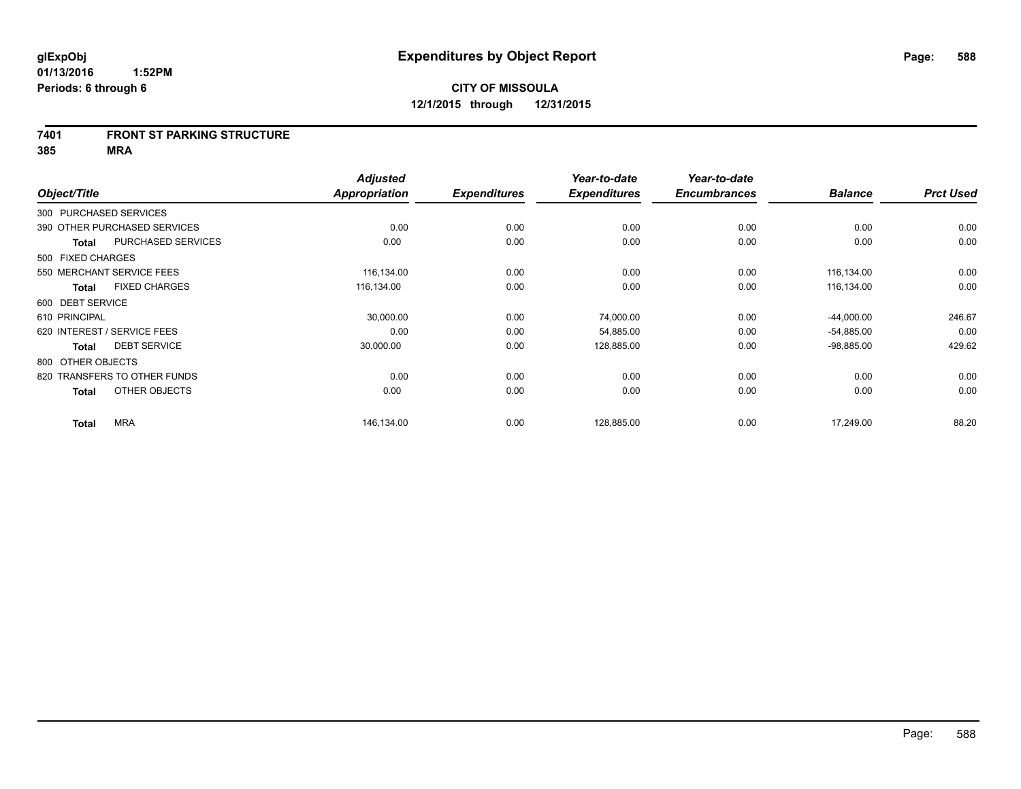#### **7401 FRONT ST PARKING STRUCTURE**

**385 MRA**

|                        |                              | <b>Adjusted</b> |                     | Year-to-date        | Year-to-date        |                |                  |
|------------------------|------------------------------|-----------------|---------------------|---------------------|---------------------|----------------|------------------|
| Object/Title           |                              | Appropriation   | <b>Expenditures</b> | <b>Expenditures</b> | <b>Encumbrances</b> | <b>Balance</b> | <b>Prct Used</b> |
| 300 PURCHASED SERVICES |                              |                 |                     |                     |                     |                |                  |
|                        | 390 OTHER PURCHASED SERVICES | 0.00            | 0.00                | 0.00                | 0.00                | 0.00           | 0.00             |
| <b>Total</b>           | PURCHASED SERVICES           | 0.00            | 0.00                | 0.00                | 0.00                | 0.00           | 0.00             |
| 500 FIXED CHARGES      |                              |                 |                     |                     |                     |                |                  |
|                        | 550 MERCHANT SERVICE FEES    | 116,134.00      | 0.00                | 0.00                | 0.00                | 116,134.00     | 0.00             |
| <b>Total</b>           | <b>FIXED CHARGES</b>         | 116,134.00      | 0.00                | 0.00                | 0.00                | 116,134.00     | 0.00             |
| 600 DEBT SERVICE       |                              |                 |                     |                     |                     |                |                  |
| 610 PRINCIPAL          |                              | 30,000.00       | 0.00                | 74,000.00           | 0.00                | $-44,000.00$   | 246.67           |
|                        | 620 INTEREST / SERVICE FEES  | 0.00            | 0.00                | 54,885.00           | 0.00                | $-54,885.00$   | 0.00             |
| <b>Total</b>           | <b>DEBT SERVICE</b>          | 30,000.00       | 0.00                | 128,885.00          | 0.00                | $-98,885.00$   | 429.62           |
| 800 OTHER OBJECTS      |                              |                 |                     |                     |                     |                |                  |
|                        | 820 TRANSFERS TO OTHER FUNDS | 0.00            | 0.00                | 0.00                | 0.00                | 0.00           | 0.00             |
| <b>Total</b>           | OTHER OBJECTS                | 0.00            | 0.00                | 0.00                | 0.00                | 0.00           | 0.00             |
| <b>Total</b>           | <b>MRA</b>                   | 146,134.00      | 0.00                | 128,885.00          | 0.00                | 17,249.00      | 88.20            |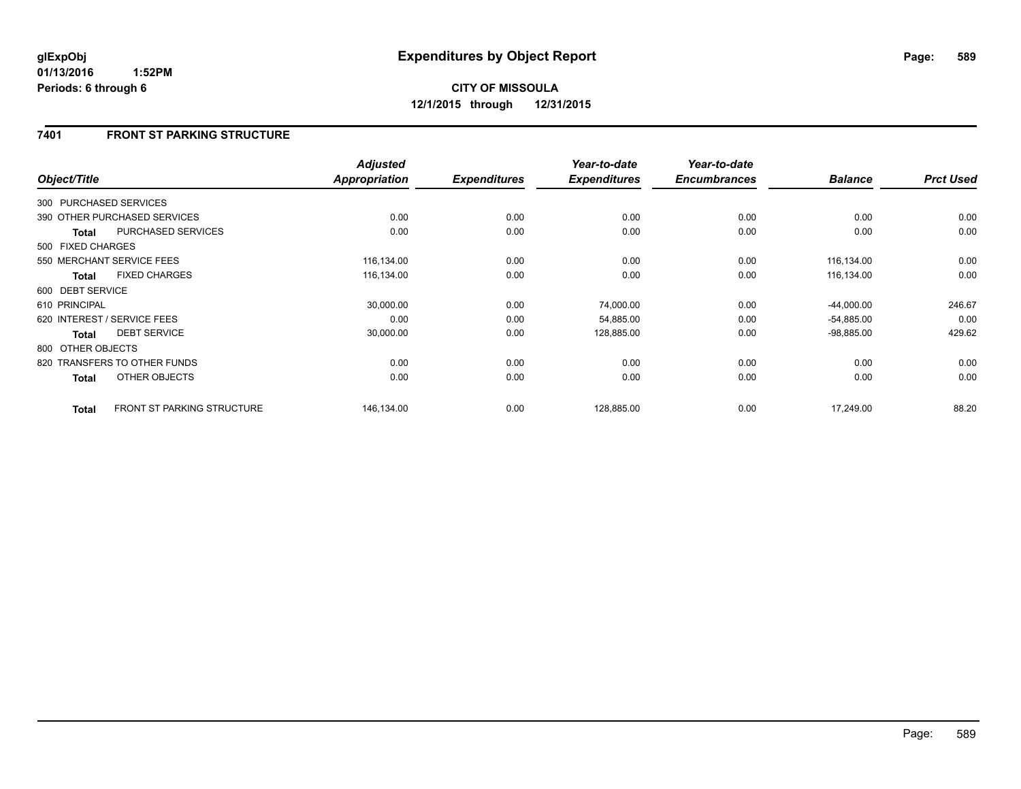## **7401 FRONT ST PARKING STRUCTURE**

| Object/Title           |                                   | <b>Adjusted</b><br><b>Appropriation</b> | <b>Expenditures</b> | Year-to-date<br><b>Expenditures</b> | Year-to-date<br><b>Encumbrances</b> | <b>Balance</b> | <b>Prct Used</b> |
|------------------------|-----------------------------------|-----------------------------------------|---------------------|-------------------------------------|-------------------------------------|----------------|------------------|
| 300 PURCHASED SERVICES |                                   |                                         |                     |                                     |                                     |                |                  |
|                        | 390 OTHER PURCHASED SERVICES      | 0.00                                    | 0.00                | 0.00                                | 0.00                                | 0.00           | 0.00             |
| <b>Total</b>           | <b>PURCHASED SERVICES</b>         | 0.00                                    | 0.00                | 0.00                                | 0.00                                | 0.00           | 0.00             |
| 500 FIXED CHARGES      |                                   |                                         |                     |                                     |                                     |                |                  |
|                        | 550 MERCHANT SERVICE FEES         | 116,134.00                              | 0.00                | 0.00                                | 0.00                                | 116,134.00     | 0.00             |
| <b>Total</b>           | <b>FIXED CHARGES</b>              | 116,134.00                              | 0.00                | 0.00                                | 0.00                                | 116,134.00     | 0.00             |
| 600 DEBT SERVICE       |                                   |                                         |                     |                                     |                                     |                |                  |
| 610 PRINCIPAL          |                                   | 30,000.00                               | 0.00                | 74,000.00                           | 0.00                                | $-44,000.00$   | 246.67           |
|                        | 620 INTEREST / SERVICE FEES       | 0.00                                    | 0.00                | 54,885.00                           | 0.00                                | $-54,885.00$   | 0.00             |
| <b>Total</b>           | <b>DEBT SERVICE</b>               | 30,000.00                               | 0.00                | 128,885.00                          | 0.00                                | $-98,885.00$   | 429.62           |
| 800 OTHER OBJECTS      |                                   |                                         |                     |                                     |                                     |                |                  |
|                        | 820 TRANSFERS TO OTHER FUNDS      | 0.00                                    | 0.00                | 0.00                                | 0.00                                | 0.00           | 0.00             |
| <b>Total</b>           | OTHER OBJECTS                     | 0.00                                    | 0.00                | 0.00                                | 0.00                                | 0.00           | 0.00             |
| <b>Total</b>           | <b>FRONT ST PARKING STRUCTURE</b> | 146,134.00                              | 0.00                | 128,885.00                          | 0.00                                | 17,249.00      | 88.20            |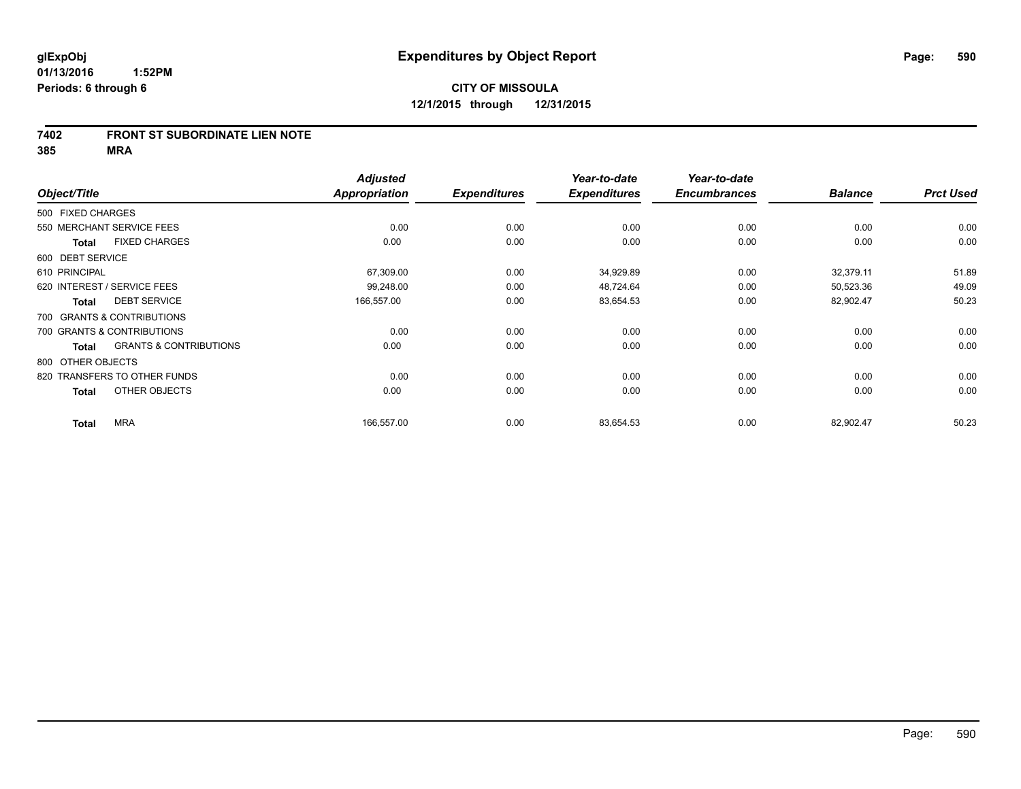#### **7402 FRONT ST SUBORDINATE LIEN NOTE**

**385 MRA**

|                   |                                   | <b>Adjusted</b>      |                     | Year-to-date        | Year-to-date        |                |                  |
|-------------------|-----------------------------------|----------------------|---------------------|---------------------|---------------------|----------------|------------------|
| Object/Title      |                                   | <b>Appropriation</b> | <b>Expenditures</b> | <b>Expenditures</b> | <b>Encumbrances</b> | <b>Balance</b> | <b>Prct Used</b> |
| 500 FIXED CHARGES |                                   |                      |                     |                     |                     |                |                  |
|                   | 550 MERCHANT SERVICE FEES         | 0.00                 | 0.00                | 0.00                | 0.00                | 0.00           | 0.00             |
| <b>Total</b>      | <b>FIXED CHARGES</b>              | 0.00                 | 0.00                | 0.00                | 0.00                | 0.00           | 0.00             |
| 600 DEBT SERVICE  |                                   |                      |                     |                     |                     |                |                  |
| 610 PRINCIPAL     |                                   | 67,309.00            | 0.00                | 34,929.89           | 0.00                | 32,379.11      | 51.89            |
|                   | 620 INTEREST / SERVICE FEES       | 99,248.00            | 0.00                | 48,724.64           | 0.00                | 50,523.36      | 49.09            |
| <b>Total</b>      | <b>DEBT SERVICE</b>               | 166,557.00           | 0.00                | 83,654.53           | 0.00                | 82,902.47      | 50.23            |
|                   | 700 GRANTS & CONTRIBUTIONS        |                      |                     |                     |                     |                |                  |
|                   | 700 GRANTS & CONTRIBUTIONS        | 0.00                 | 0.00                | 0.00                | 0.00                | 0.00           | 0.00             |
| <b>Total</b>      | <b>GRANTS &amp; CONTRIBUTIONS</b> | 0.00                 | 0.00                | 0.00                | 0.00                | 0.00           | 0.00             |
| 800 OTHER OBJECTS |                                   |                      |                     |                     |                     |                |                  |
|                   | 820 TRANSFERS TO OTHER FUNDS      | 0.00                 | 0.00                | 0.00                | 0.00                | 0.00           | 0.00             |
| <b>Total</b>      | OTHER OBJECTS                     | 0.00                 | 0.00                | 0.00                | 0.00                | 0.00           | 0.00             |
| <b>Total</b>      | <b>MRA</b>                        | 166,557.00           | 0.00                | 83,654.53           | 0.00                | 82,902.47      | 50.23            |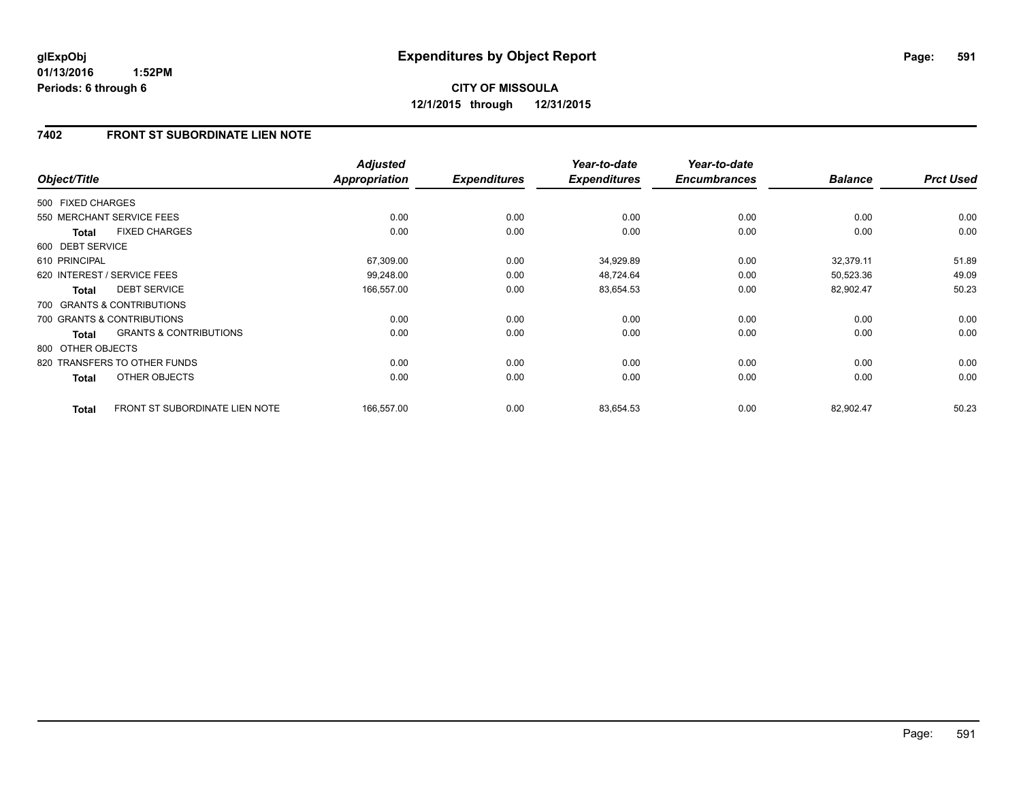### **7402 FRONT ST SUBORDINATE LIEN NOTE**

| Object/Title      |                                       | <b>Adjusted</b><br><b>Appropriation</b> | <b>Expenditures</b> | Year-to-date<br><b>Expenditures</b> | Year-to-date<br><b>Encumbrances</b> | <b>Balance</b> | <b>Prct Used</b> |
|-------------------|---------------------------------------|-----------------------------------------|---------------------|-------------------------------------|-------------------------------------|----------------|------------------|
| 500 FIXED CHARGES |                                       |                                         |                     |                                     |                                     |                |                  |
|                   | 550 MERCHANT SERVICE FEES             | 0.00                                    | 0.00                | 0.00                                | 0.00                                | 0.00           | 0.00             |
| <b>Total</b>      | <b>FIXED CHARGES</b>                  | 0.00                                    | 0.00                | 0.00                                | 0.00                                | 0.00           | 0.00             |
| 600 DEBT SERVICE  |                                       |                                         |                     |                                     |                                     |                |                  |
| 610 PRINCIPAL     |                                       | 67,309.00                               | 0.00                | 34,929.89                           | 0.00                                | 32,379.11      | 51.89            |
|                   | 620 INTEREST / SERVICE FEES           | 99.248.00                               | 0.00                | 48,724.64                           | 0.00                                | 50,523.36      | 49.09            |
| <b>Total</b>      | <b>DEBT SERVICE</b>                   | 166,557.00                              | 0.00                | 83,654.53                           | 0.00                                | 82,902.47      | 50.23            |
|                   | 700 GRANTS & CONTRIBUTIONS            |                                         |                     |                                     |                                     |                |                  |
|                   | 700 GRANTS & CONTRIBUTIONS            | 0.00                                    | 0.00                | 0.00                                | 0.00                                | 0.00           | 0.00             |
| <b>Total</b>      | <b>GRANTS &amp; CONTRIBUTIONS</b>     | 0.00                                    | 0.00                | 0.00                                | 0.00                                | 0.00           | 0.00             |
| 800 OTHER OBJECTS |                                       |                                         |                     |                                     |                                     |                |                  |
|                   | 820 TRANSFERS TO OTHER FUNDS          | 0.00                                    | 0.00                | 0.00                                | 0.00                                | 0.00           | 0.00             |
| <b>Total</b>      | OTHER OBJECTS                         | 0.00                                    | 0.00                | 0.00                                | 0.00                                | 0.00           | 0.00             |
| <b>Total</b>      | <b>FRONT ST SUBORDINATE LIEN NOTE</b> | 166,557.00                              | 0.00                | 83,654.53                           | 0.00                                | 82,902.47      | 50.23            |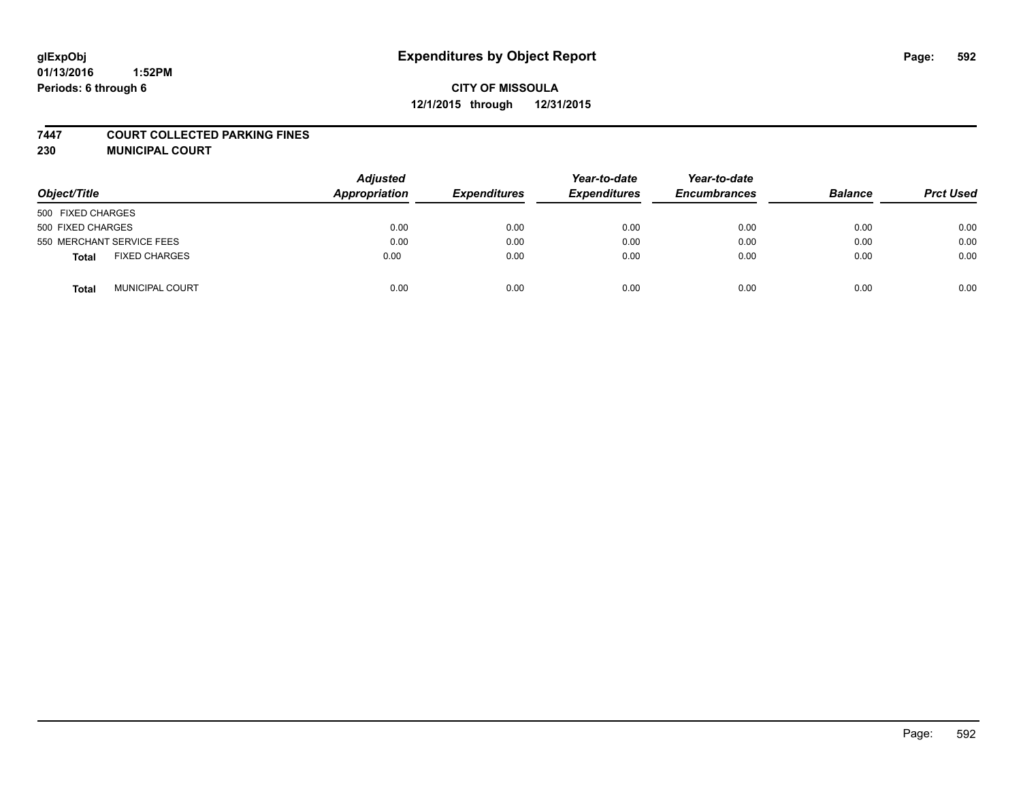#### **7447 COURT COLLECTED PARKING FINES**

**230 MUNICIPAL COURT**

| Object/Title                         | <b>Adjusted</b><br>Appropriation | <b>Expenditures</b> | Year-to-date<br><b>Expenditures</b> | Year-to-date<br><b>Encumbrances</b> | <b>Balance</b> | <b>Prct Used</b> |
|--------------------------------------|----------------------------------|---------------------|-------------------------------------|-------------------------------------|----------------|------------------|
| 500 FIXED CHARGES                    |                                  |                     |                                     |                                     |                |                  |
| 500 FIXED CHARGES                    | 0.00                             | 0.00                | 0.00                                | 0.00                                | 0.00           | 0.00             |
| 550 MERCHANT SERVICE FEES            | 0.00                             | 0.00                | 0.00                                | 0.00                                | 0.00           | 0.00             |
| <b>FIXED CHARGES</b><br><b>Total</b> | 0.00                             | 0.00                | 0.00                                | 0.00                                | 0.00           | 0.00             |
| <b>MUNICIPAL COURT</b><br>Total      | 0.00                             | 0.00                | 0.00                                | 0.00                                | 0.00           | 0.00             |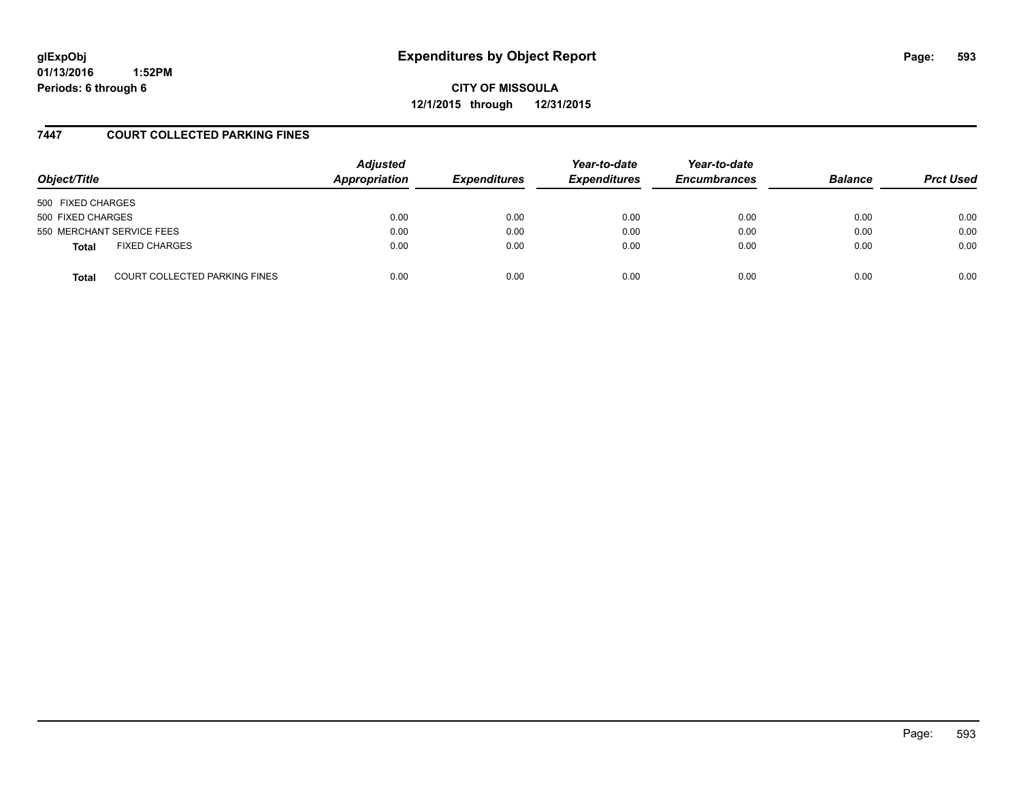# **glExpObj Expenditures by Object Report Page: 593**

**01/13/2016 1:52PM Periods: 6 through 6**

**CITY OF MISSOULA 12/1/2015 through 12/31/2015**

### **7447 COURT COLLECTED PARKING FINES**

| Object/Title      |                                      | <b>Adjusted</b><br>Appropriation | <b>Expenditures</b> | Year-to-date<br><b>Expenditures</b> | Year-to-date<br><b>Encumbrances</b> | <b>Balance</b> | <b>Prct Used</b> |
|-------------------|--------------------------------------|----------------------------------|---------------------|-------------------------------------|-------------------------------------|----------------|------------------|
| 500 FIXED CHARGES |                                      |                                  |                     |                                     |                                     |                |                  |
| 500 FIXED CHARGES |                                      | 0.00                             | 0.00                | 0.00                                | 0.00                                | 0.00           | 0.00             |
|                   | 550 MERCHANT SERVICE FEES            | 0.00                             | 0.00                | 0.00                                | 0.00                                | 0.00           | 0.00             |
| <b>Total</b>      | <b>FIXED CHARGES</b>                 | 0.00                             | 0.00                | 0.00                                | 0.00                                | 0.00           | 0.00             |
| <b>Total</b>      | <b>COURT COLLECTED PARKING FINES</b> | 0.00                             | 0.00                | 0.00                                | 0.00                                | 0.00           | 0.00             |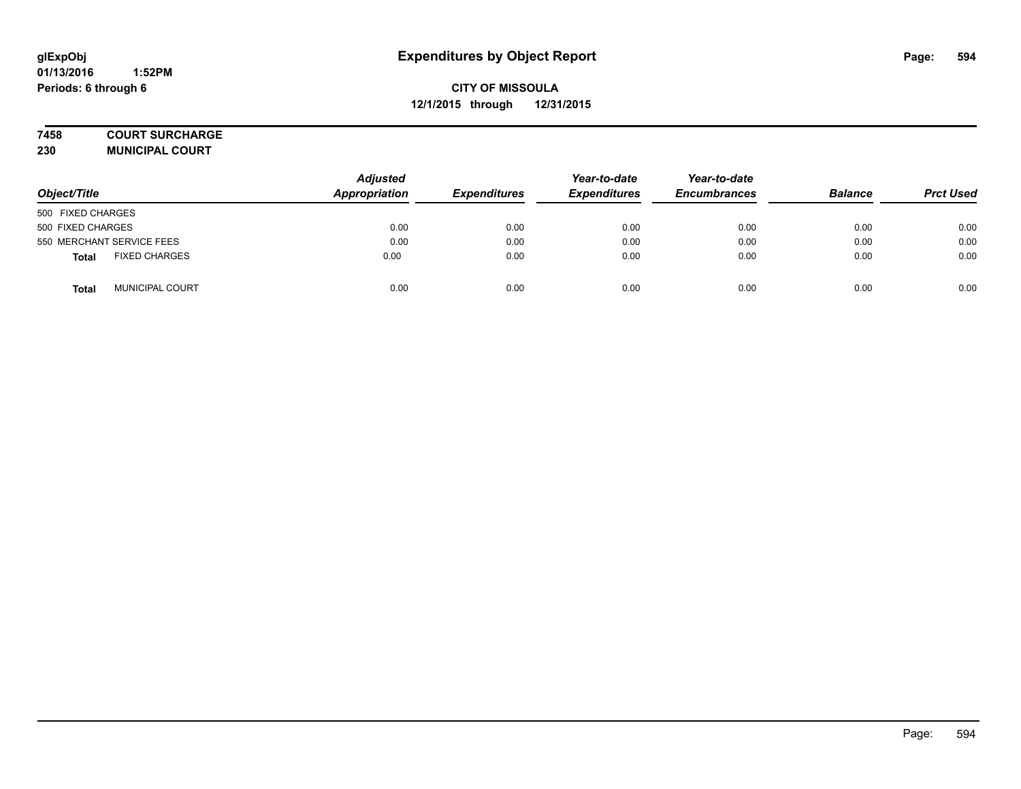#### **7458 COURT SURCHARGE**

**230 MUNICIPAL COURT**

| Object/Title                         | <b>Adjusted</b><br>Appropriation | <b>Expenditures</b> | Year-to-date<br><b>Expenditures</b> | Year-to-date<br><b>Encumbrances</b> | <b>Balance</b> | <b>Prct Used</b> |
|--------------------------------------|----------------------------------|---------------------|-------------------------------------|-------------------------------------|----------------|------------------|
| 500 FIXED CHARGES                    |                                  |                     |                                     |                                     |                |                  |
| 500 FIXED CHARGES                    | 0.00                             | 0.00                | 0.00                                | 0.00                                | 0.00           | 0.00             |
| 550 MERCHANT SERVICE FEES            | 0.00                             | 0.00                | 0.00                                | 0.00                                | 0.00           | 0.00             |
| <b>FIXED CHARGES</b><br><b>Total</b> | 0.00                             | 0.00                | 0.00                                | 0.00                                | 0.00           | 0.00             |
| <b>MUNICIPAL COURT</b><br>Total      | 0.00                             | 0.00                | 0.00                                | 0.00                                | 0.00           | 0.00             |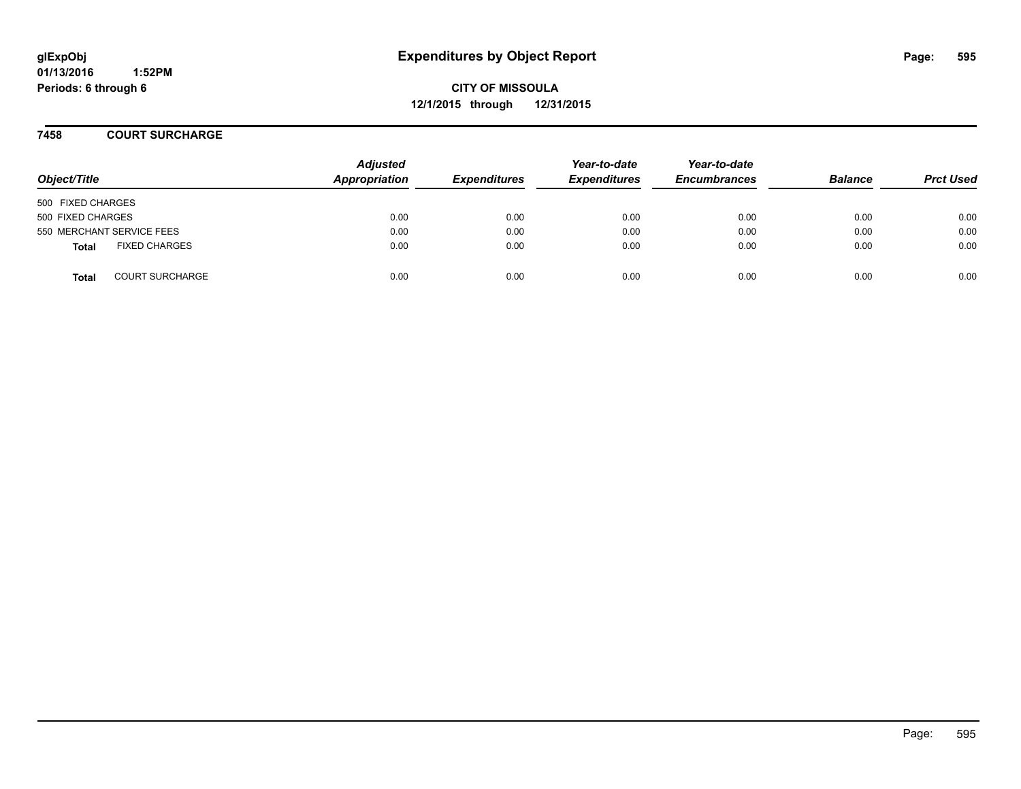**CITY OF MISSOULA 12/1/2015 through 12/31/2015**

**7458 COURT SURCHARGE**

| Object/Title              |                        | <b>Adjusted</b><br>Appropriation | <b>Expenditures</b> | Year-to-date<br><b>Expenditures</b> | Year-to-date<br><b>Encumbrances</b> | <b>Balance</b> | <b>Prct Used</b> |
|---------------------------|------------------------|----------------------------------|---------------------|-------------------------------------|-------------------------------------|----------------|------------------|
| 500 FIXED CHARGES         |                        |                                  |                     |                                     |                                     |                |                  |
| 500 FIXED CHARGES         |                        | 0.00                             | 0.00                | 0.00                                | 0.00                                | 0.00           | 0.00             |
| 550 MERCHANT SERVICE FEES |                        | 0.00                             | 0.00                | 0.00                                | 0.00                                | 0.00           | 0.00             |
| <b>Total</b>              | <b>FIXED CHARGES</b>   | 0.00                             | 0.00                | 0.00                                | 0.00                                | 0.00           | 0.00             |
| <b>Total</b>              | <b>COURT SURCHARGE</b> | 0.00                             | 0.00                | 0.00                                | 0.00                                | 0.00           | 0.00             |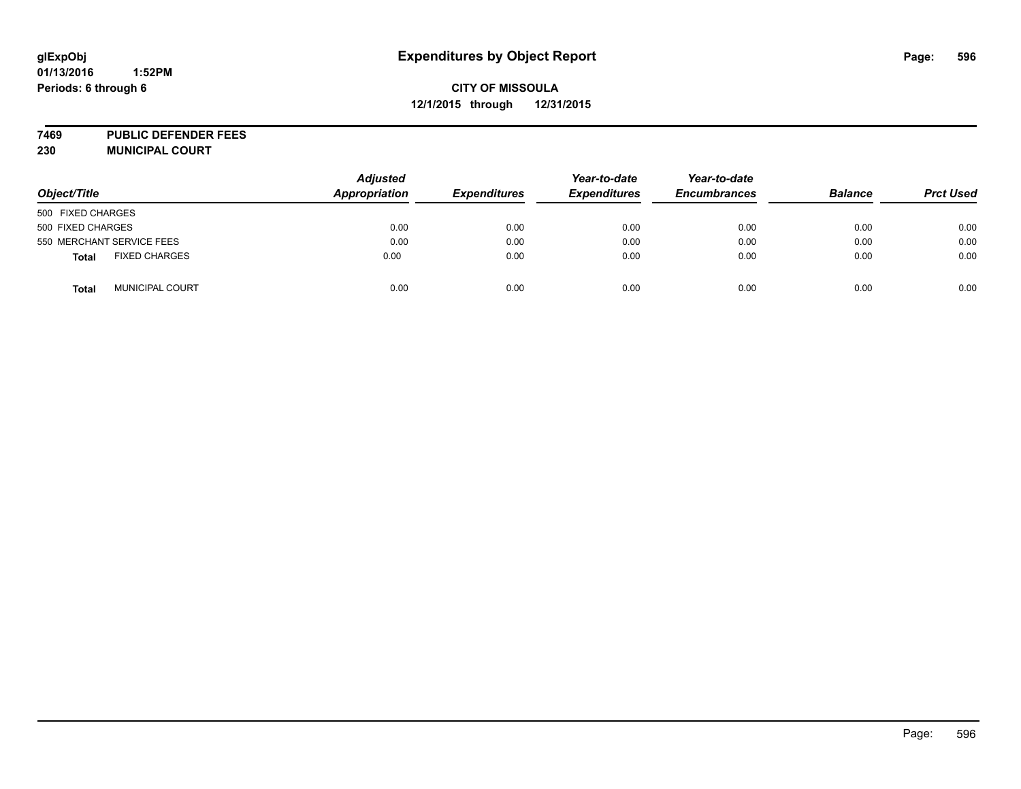## **CITY OF MISSOULA 12/1/2015 through 12/31/2015**

**7469 PUBLIC DEFENDER FEES 230 MUNICIPAL COURT**

| Object/Title              |                        | <b>Adjusted</b><br><b>Appropriation</b> | <b>Expenditures</b> | Year-to-date<br><b>Expenditures</b> | Year-to-date<br><b>Encumbrances</b> | <b>Balance</b> | <b>Prct Used</b> |
|---------------------------|------------------------|-----------------------------------------|---------------------|-------------------------------------|-------------------------------------|----------------|------------------|
| 500 FIXED CHARGES         |                        |                                         |                     |                                     |                                     |                |                  |
| 500 FIXED CHARGES         |                        | 0.00                                    | 0.00                | 0.00                                | 0.00                                | 0.00           | 0.00             |
| 550 MERCHANT SERVICE FEES |                        | 0.00                                    | 0.00                | 0.00                                | 0.00                                | 0.00           | 0.00             |
| <b>Total</b>              | <b>FIXED CHARGES</b>   | 0.00                                    | 0.00                | 0.00                                | 0.00                                | 0.00           | 0.00             |
| <b>Total</b>              | <b>MUNICIPAL COURT</b> | 0.00                                    | 0.00                | 0.00                                | 0.00                                | 0.00           | 0.00             |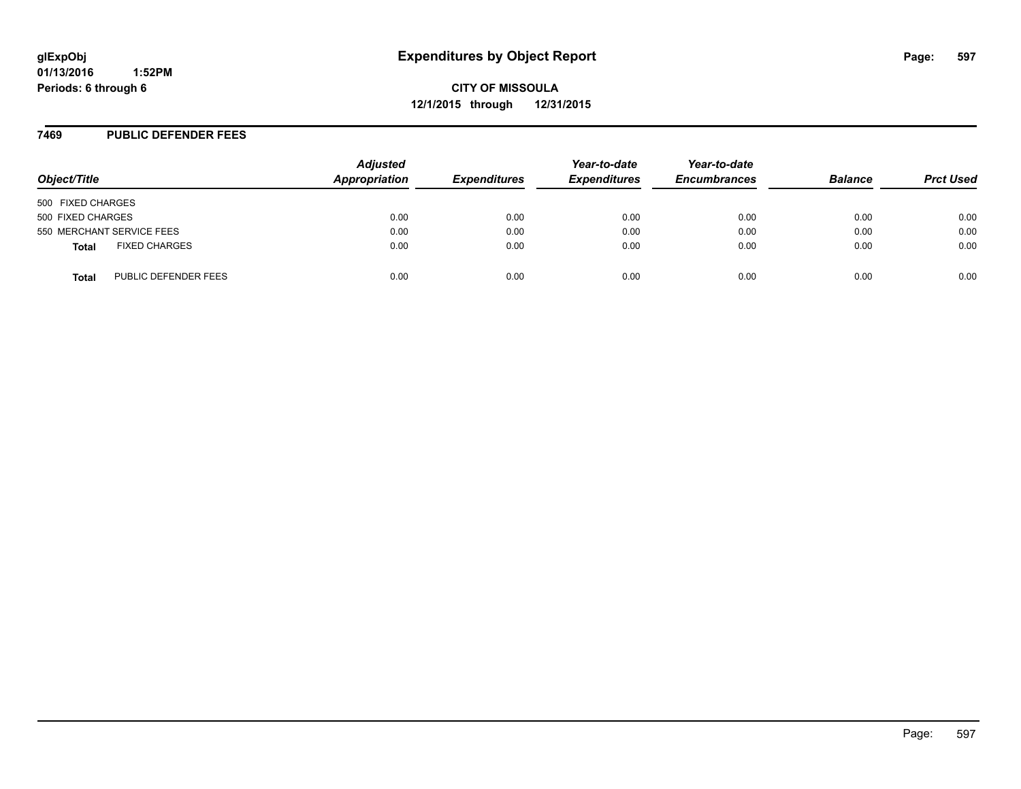**CITY OF MISSOULA 12/1/2015 through 12/31/2015**

#### **7469 PUBLIC DEFENDER FEES**

| Object/Title                         | <b>Adjusted</b><br>Appropriation | <b>Expenditures</b> | Year-to-date<br><b>Expenditures</b> | Year-to-date<br><b>Encumbrances</b> | <b>Balance</b> | <b>Prct Used</b> |
|--------------------------------------|----------------------------------|---------------------|-------------------------------------|-------------------------------------|----------------|------------------|
| 500 FIXED CHARGES                    |                                  |                     |                                     |                                     |                |                  |
| 500 FIXED CHARGES                    | 0.00                             | 0.00                | 0.00                                | 0.00                                | 0.00           | 0.00             |
| 550 MERCHANT SERVICE FEES            | 0.00                             | 0.00                | 0.00                                | 0.00                                | 0.00           | 0.00             |
| <b>FIXED CHARGES</b><br><b>Total</b> | 0.00                             | 0.00                | 0.00                                | 0.00                                | 0.00           | 0.00             |
| PUBLIC DEFENDER FEES<br><b>Total</b> | 0.00                             | 0.00                | 0.00                                | 0.00                                | 0.00           | 0.00             |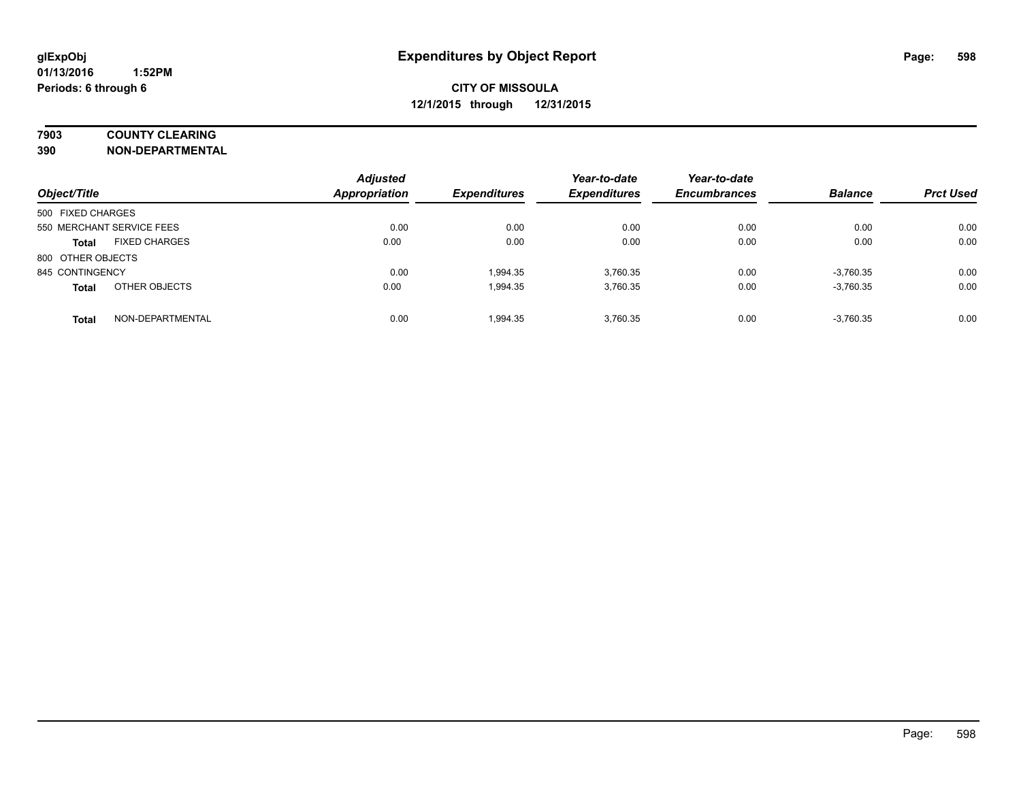## **7903 COUNTY CLEARING**

**390 NON-DEPARTMENTAL**

| Object/Title      |                           | <b>Adjusted</b><br><b>Appropriation</b> | <b>Expenditures</b> | Year-to-date<br><b>Expenditures</b> | Year-to-date<br><b>Encumbrances</b> | <b>Balance</b> | <b>Prct Used</b> |
|-------------------|---------------------------|-----------------------------------------|---------------------|-------------------------------------|-------------------------------------|----------------|------------------|
| 500 FIXED CHARGES |                           |                                         |                     |                                     |                                     |                |                  |
|                   | 550 MERCHANT SERVICE FEES | 0.00                                    | 0.00                | 0.00                                | 0.00                                | 0.00           | 0.00             |
| <b>Total</b>      | <b>FIXED CHARGES</b>      | 0.00                                    | 0.00                | 0.00                                | 0.00                                | 0.00           | 0.00             |
| 800 OTHER OBJECTS |                           |                                         |                     |                                     |                                     |                |                  |
| 845 CONTINGENCY   |                           | 0.00                                    | 1.994.35            | 3.760.35                            | 0.00                                | $-3,760.35$    | 0.00             |
| <b>Total</b>      | OTHER OBJECTS             | 0.00                                    | 1,994.35            | 3.760.35                            | 0.00                                | $-3,760.35$    | 0.00             |
| <b>Total</b>      | NON-DEPARTMENTAL          | 0.00                                    | 1.994.35            | 3.760.35                            | 0.00                                | $-3,760.35$    | 0.00             |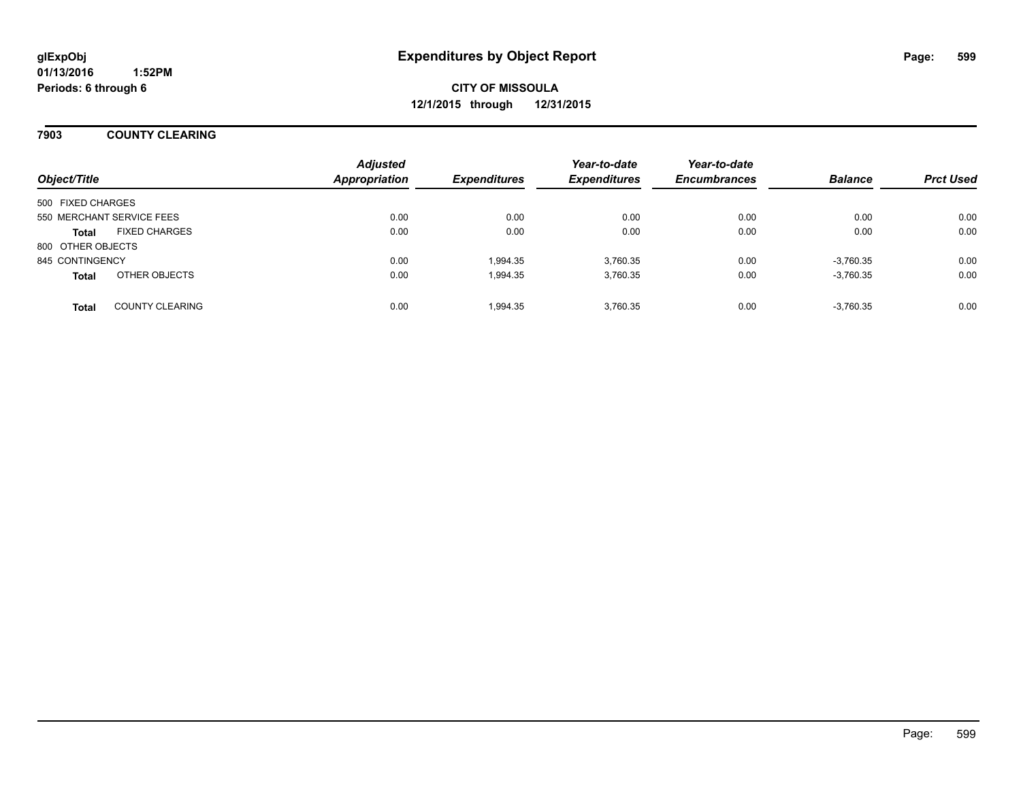### **7903 COUNTY CLEARING**

| Object/Title      |                           | <b>Adjusted</b><br><b>Appropriation</b> | <b>Expenditures</b> | Year-to-date<br><b>Expenditures</b> | Year-to-date<br><b>Encumbrances</b> | <b>Balance</b> | <b>Prct Used</b> |
|-------------------|---------------------------|-----------------------------------------|---------------------|-------------------------------------|-------------------------------------|----------------|------------------|
| 500 FIXED CHARGES |                           |                                         |                     |                                     |                                     |                |                  |
|                   | 550 MERCHANT SERVICE FEES | 0.00                                    | 0.00                | 0.00                                | 0.00                                | 0.00           | 0.00             |
| <b>Total</b>      | <b>FIXED CHARGES</b>      | 0.00                                    | 0.00                | 0.00                                | 0.00                                | 0.00           | 0.00             |
| 800 OTHER OBJECTS |                           |                                         |                     |                                     |                                     |                |                  |
| 845 CONTINGENCY   |                           | 0.00                                    | 1.994.35            | 3.760.35                            | 0.00                                | $-3,760.35$    | 0.00             |
| <b>Total</b>      | OTHER OBJECTS             | 0.00                                    | 1,994.35            | 3,760.35                            | 0.00                                | $-3,760.35$    | 0.00             |
| <b>Total</b>      | <b>COUNTY CLEARING</b>    | 0.00                                    | 1.994.35            | 3.760.35                            | 0.00                                | $-3,760.35$    | 0.00             |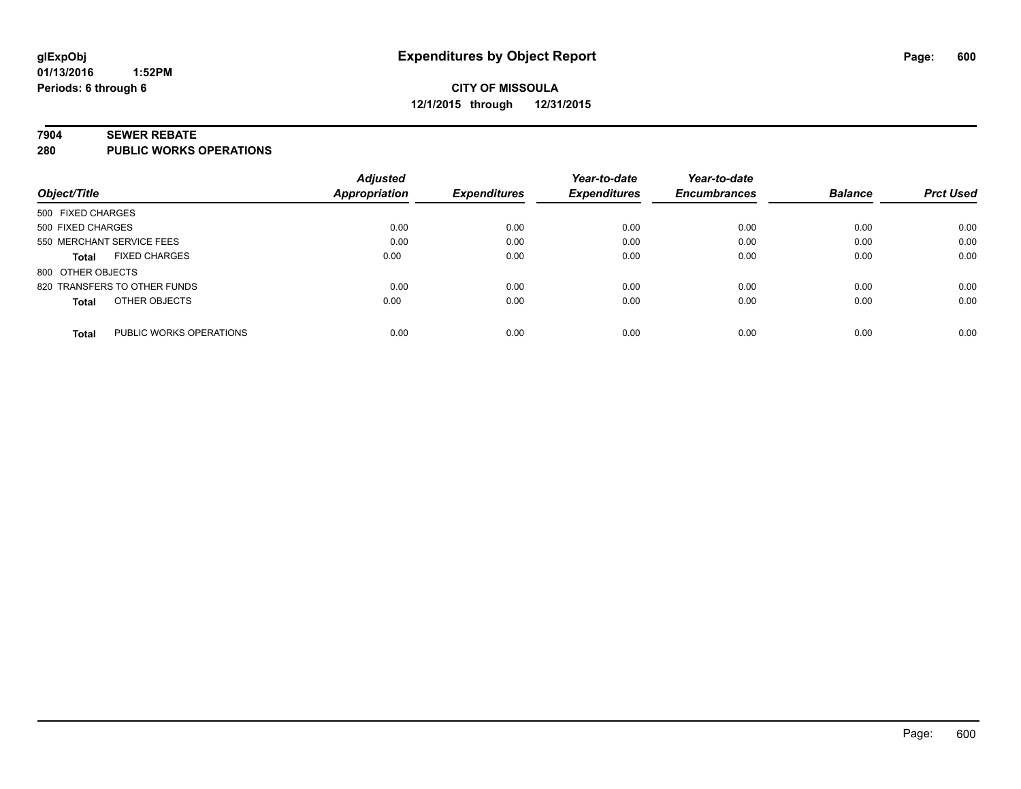#### **7904 SEWER REBATE**

**280 PUBLIC WORKS OPERATIONS**

| <b>Balance</b><br><b>Prct Used</b> |
|------------------------------------|
|                                    |
| 0.00<br>0.00                       |
| 0.00<br>0.00                       |
| 0.00<br>0.00                       |
|                                    |
| 0.00<br>0.00                       |
| 0.00<br>0.00                       |
| 0.00<br>0.00                       |
|                                    |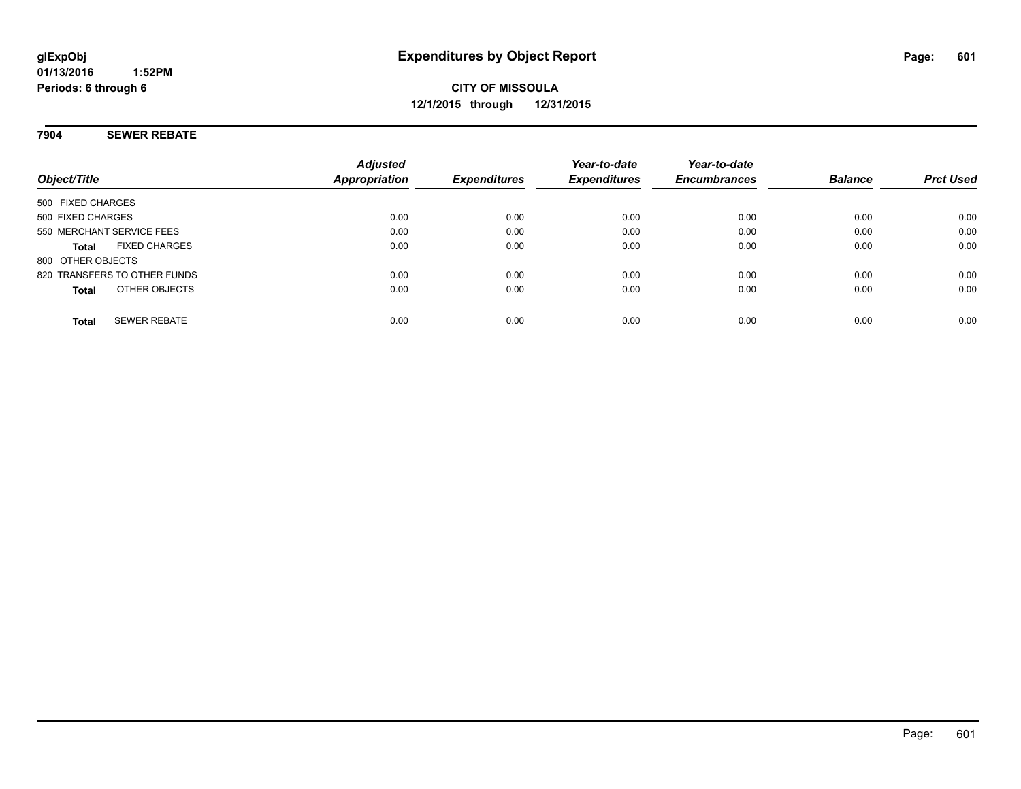#### **7904 SEWER REBATE**

| Object/Title                         | <b>Adjusted</b><br>Appropriation | <b>Expenditures</b> | Year-to-date<br><b>Expenditures</b> | Year-to-date<br><b>Encumbrances</b> | <b>Balance</b> | <b>Prct Used</b> |
|--------------------------------------|----------------------------------|---------------------|-------------------------------------|-------------------------------------|----------------|------------------|
| 500 FIXED CHARGES                    |                                  |                     |                                     |                                     |                |                  |
| 500 FIXED CHARGES                    | 0.00                             | 0.00                | 0.00                                | 0.00                                | 0.00           | 0.00             |
| 550 MERCHANT SERVICE FEES            | 0.00                             | 0.00                | 0.00                                | 0.00                                | 0.00           | 0.00             |
| <b>FIXED CHARGES</b><br><b>Total</b> | 0.00                             | 0.00                | 0.00                                | 0.00                                | 0.00           | 0.00             |
| 800 OTHER OBJECTS                    |                                  |                     |                                     |                                     |                |                  |
| 820 TRANSFERS TO OTHER FUNDS         | 0.00                             | 0.00                | 0.00                                | 0.00                                | 0.00           | 0.00             |
| OTHER OBJECTS<br><b>Total</b>        | 0.00                             | 0.00                | 0.00                                | 0.00                                | 0.00           | 0.00             |
| <b>SEWER REBATE</b><br><b>Total</b>  | 0.00                             | 0.00                | 0.00                                | 0.00                                | 0.00           | 0.00             |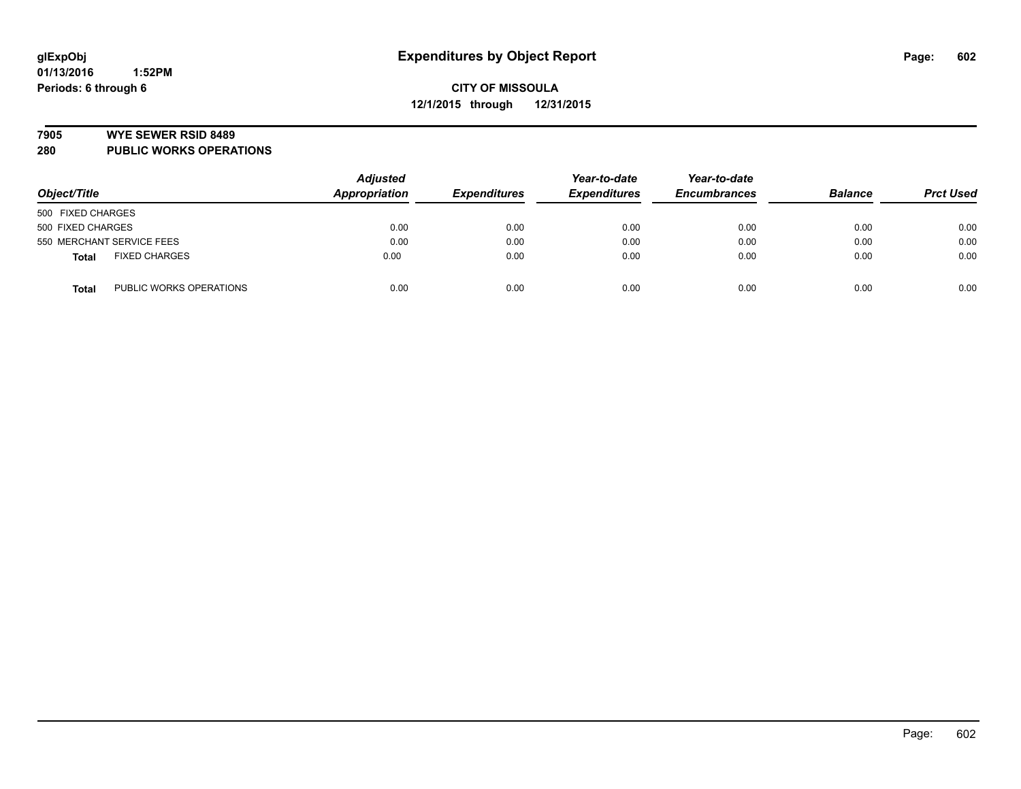#### **7905 WYE SEWER RSID 8489**

**280 PUBLIC WORKS OPERATIONS**

| Object/Title                            | <b>Adjusted</b><br>Appropriation | <b>Expenditures</b> | Year-to-date<br><b>Expenditures</b> | Year-to-date<br><b>Encumbrances</b> | <b>Balance</b> | <b>Prct Used</b> |
|-----------------------------------------|----------------------------------|---------------------|-------------------------------------|-------------------------------------|----------------|------------------|
| 500 FIXED CHARGES                       |                                  |                     |                                     |                                     |                |                  |
| 500 FIXED CHARGES                       | 0.00                             | 0.00                | 0.00                                | 0.00                                | 0.00           | 0.00             |
| 550 MERCHANT SERVICE FEES               | 0.00                             | 0.00                | 0.00                                | 0.00                                | 0.00           | 0.00             |
| <b>FIXED CHARGES</b><br><b>Total</b>    | 0.00                             | 0.00                | 0.00                                | 0.00                                | 0.00           | 0.00             |
| PUBLIC WORKS OPERATIONS<br><b>Total</b> | 0.00                             | 0.00                | 0.00                                | 0.00                                | 0.00           | 0.00             |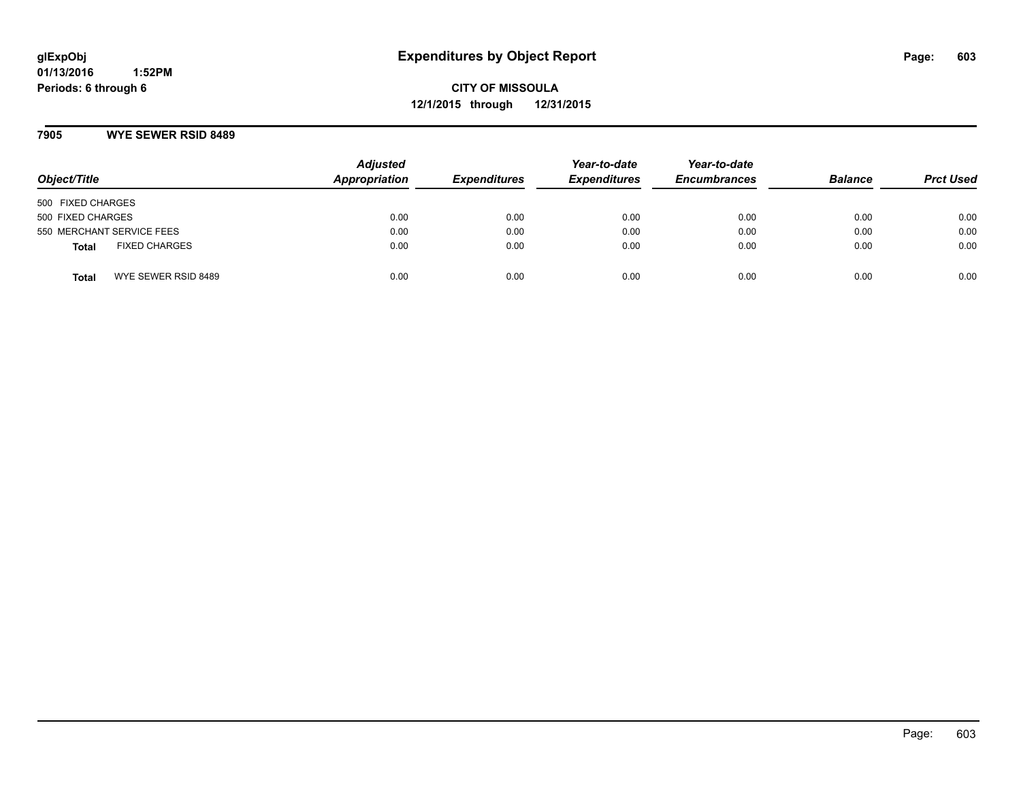**CITY OF MISSOULA 12/1/2015 through 12/31/2015**

#### **7905 WYE SEWER RSID 8489**

| Object/Title                         | <b>Adjusted</b><br>Appropriation | <b>Expenditures</b> | Year-to-date<br><b>Expenditures</b> | Year-to-date<br><b>Encumbrances</b> | <b>Balance</b> | <b>Prct Used</b> |
|--------------------------------------|----------------------------------|---------------------|-------------------------------------|-------------------------------------|----------------|------------------|
| 500 FIXED CHARGES                    |                                  |                     |                                     |                                     |                |                  |
| 500 FIXED CHARGES                    | 0.00                             | 0.00                | 0.00                                | 0.00                                | 0.00           | 0.00             |
| 550 MERCHANT SERVICE FEES            | 0.00                             | 0.00                | 0.00                                | 0.00                                | 0.00           | 0.00             |
| <b>FIXED CHARGES</b><br><b>Total</b> | 0.00                             | 0.00                | 0.00                                | 0.00                                | 0.00           | 0.00             |
| WYE SEWER RSID 8489<br>Total         | 0.00                             | 0.00                | 0.00                                | 0.00                                | 0.00           | 0.00             |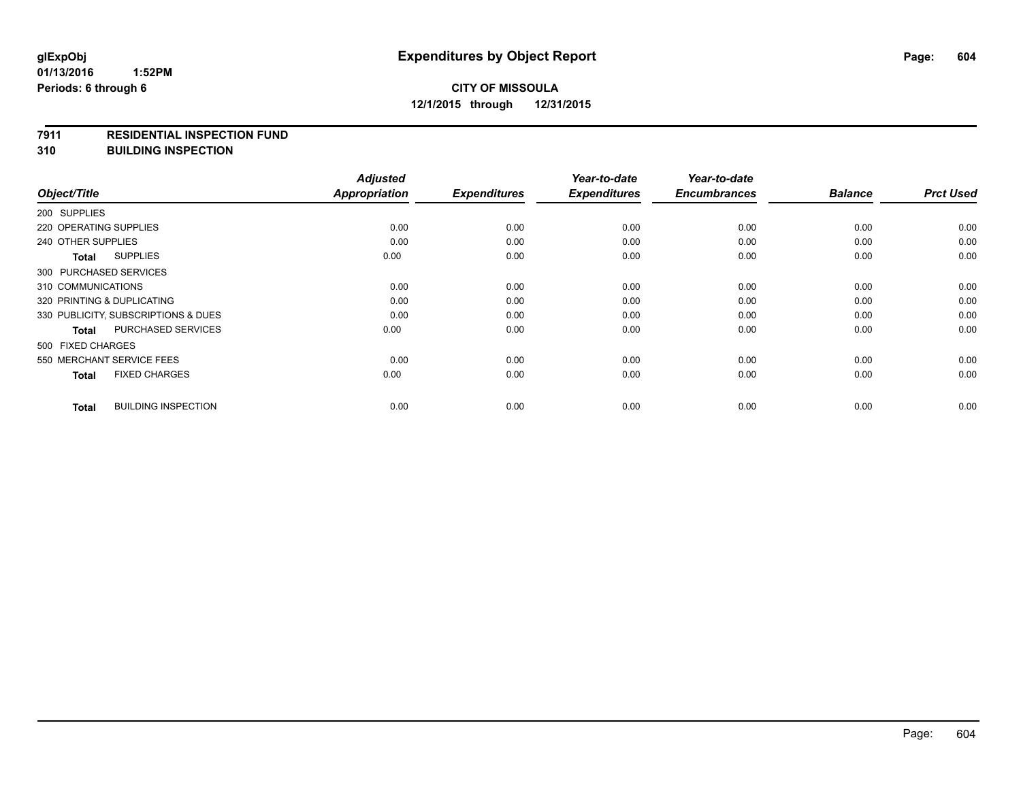#### **7911 RESIDENTIAL INSPECTION FUND**

**310 BUILDING INSPECTION**

| Object/Title                               | <b>Adjusted</b><br><b>Appropriation</b> | <b>Expenditures</b> | Year-to-date<br><b>Expenditures</b> | Year-to-date<br><b>Encumbrances</b> | <b>Balance</b> | <b>Prct Used</b> |
|--------------------------------------------|-----------------------------------------|---------------------|-------------------------------------|-------------------------------------|----------------|------------------|
| 200 SUPPLIES                               |                                         |                     |                                     |                                     |                |                  |
| 220 OPERATING SUPPLIES                     | 0.00                                    | 0.00                | 0.00                                | 0.00                                | 0.00           | 0.00             |
|                                            |                                         |                     |                                     |                                     |                |                  |
| 240 OTHER SUPPLIES                         | 0.00                                    | 0.00                | 0.00                                | 0.00                                | 0.00           | 0.00             |
| <b>SUPPLIES</b><br><b>Total</b>            | 0.00                                    | 0.00                | 0.00                                | 0.00                                | 0.00           | 0.00             |
| 300 PURCHASED SERVICES                     |                                         |                     |                                     |                                     |                |                  |
| 310 COMMUNICATIONS                         | 0.00                                    | 0.00                | 0.00                                | 0.00                                | 0.00           | 0.00             |
| 320 PRINTING & DUPLICATING                 | 0.00                                    | 0.00                | 0.00                                | 0.00                                | 0.00           | 0.00             |
| 330 PUBLICITY, SUBSCRIPTIONS & DUES        | 0.00                                    | 0.00                | 0.00                                | 0.00                                | 0.00           | 0.00             |
| <b>PURCHASED SERVICES</b><br><b>Total</b>  | 0.00                                    | 0.00                | 0.00                                | 0.00                                | 0.00           | 0.00             |
| 500 FIXED CHARGES                          |                                         |                     |                                     |                                     |                |                  |
| 550 MERCHANT SERVICE FEES                  | 0.00                                    | 0.00                | 0.00                                | 0.00                                | 0.00           | 0.00             |
| <b>FIXED CHARGES</b><br><b>Total</b>       | 0.00                                    | 0.00                | 0.00                                | 0.00                                | 0.00           | 0.00             |
| <b>BUILDING INSPECTION</b><br><b>Total</b> | 0.00                                    | 0.00                | 0.00                                | 0.00                                | 0.00           | 0.00             |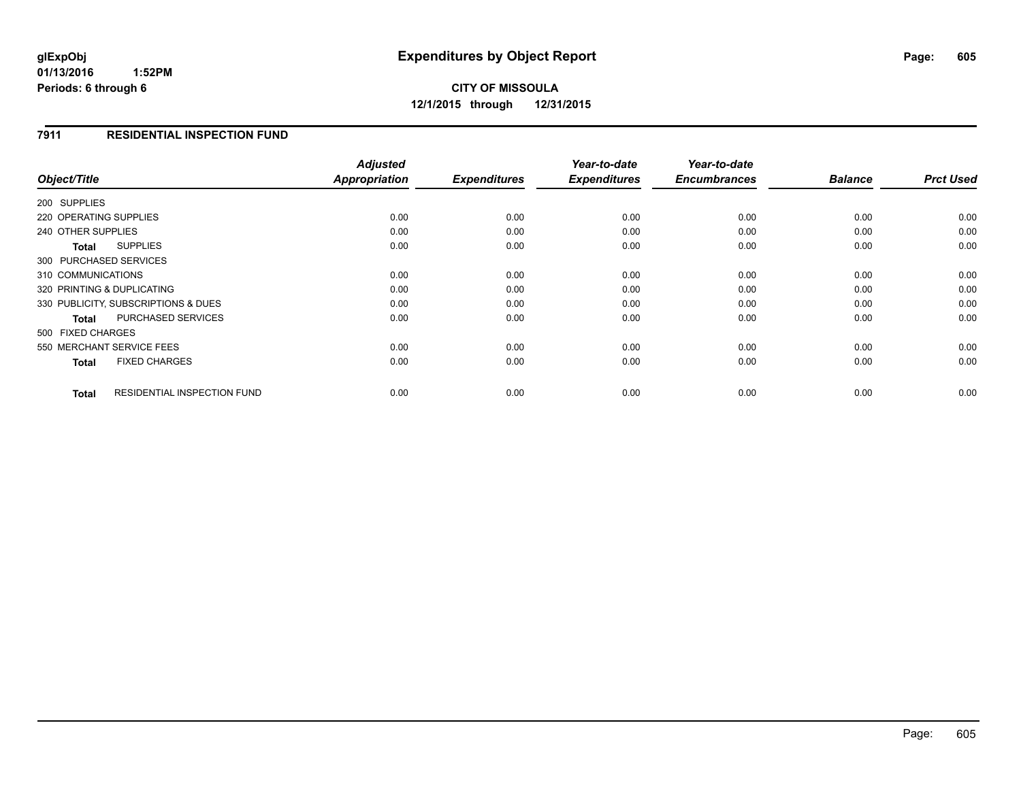## **CITY OF MISSOULA 12/1/2015 through 12/31/2015**

#### **7911 RESIDENTIAL INSPECTION FUND**

|                            |                                     | <b>Adjusted</b> |                     | Year-to-date        | Year-to-date        |                |                  |
|----------------------------|-------------------------------------|-----------------|---------------------|---------------------|---------------------|----------------|------------------|
| Object/Title               |                                     | Appropriation   | <b>Expenditures</b> | <b>Expenditures</b> | <b>Encumbrances</b> | <b>Balance</b> | <b>Prct Used</b> |
| 200 SUPPLIES               |                                     |                 |                     |                     |                     |                |                  |
| 220 OPERATING SUPPLIES     |                                     | 0.00            | 0.00                | 0.00                | 0.00                | 0.00           | 0.00             |
| 240 OTHER SUPPLIES         |                                     | 0.00            | 0.00                | 0.00                | 0.00                | 0.00           | 0.00             |
| Total                      | <b>SUPPLIES</b>                     | 0.00            | 0.00                | 0.00                | 0.00                | 0.00           | 0.00             |
| 300 PURCHASED SERVICES     |                                     |                 |                     |                     |                     |                |                  |
| 310 COMMUNICATIONS         |                                     | 0.00            | 0.00                | 0.00                | 0.00                | 0.00           | 0.00             |
| 320 PRINTING & DUPLICATING |                                     | 0.00            | 0.00                | 0.00                | 0.00                | 0.00           | 0.00             |
|                            | 330 PUBLICITY, SUBSCRIPTIONS & DUES | 0.00            | 0.00                | 0.00                | 0.00                | 0.00           | 0.00             |
| <b>Total</b>               | <b>PURCHASED SERVICES</b>           | 0.00            | 0.00                | 0.00                | 0.00                | 0.00           | 0.00             |
| 500 FIXED CHARGES          |                                     |                 |                     |                     |                     |                |                  |
| 550 MERCHANT SERVICE FEES  |                                     | 0.00            | 0.00                | 0.00                | 0.00                | 0.00           | 0.00             |
| <b>Total</b>               | <b>FIXED CHARGES</b>                | 0.00            | 0.00                | 0.00                | 0.00                | 0.00           | 0.00             |
| <b>Total</b>               | <b>RESIDENTIAL INSPECTION FUND</b>  | 0.00            | 0.00                | 0.00                | 0.00                | 0.00           | 0.00             |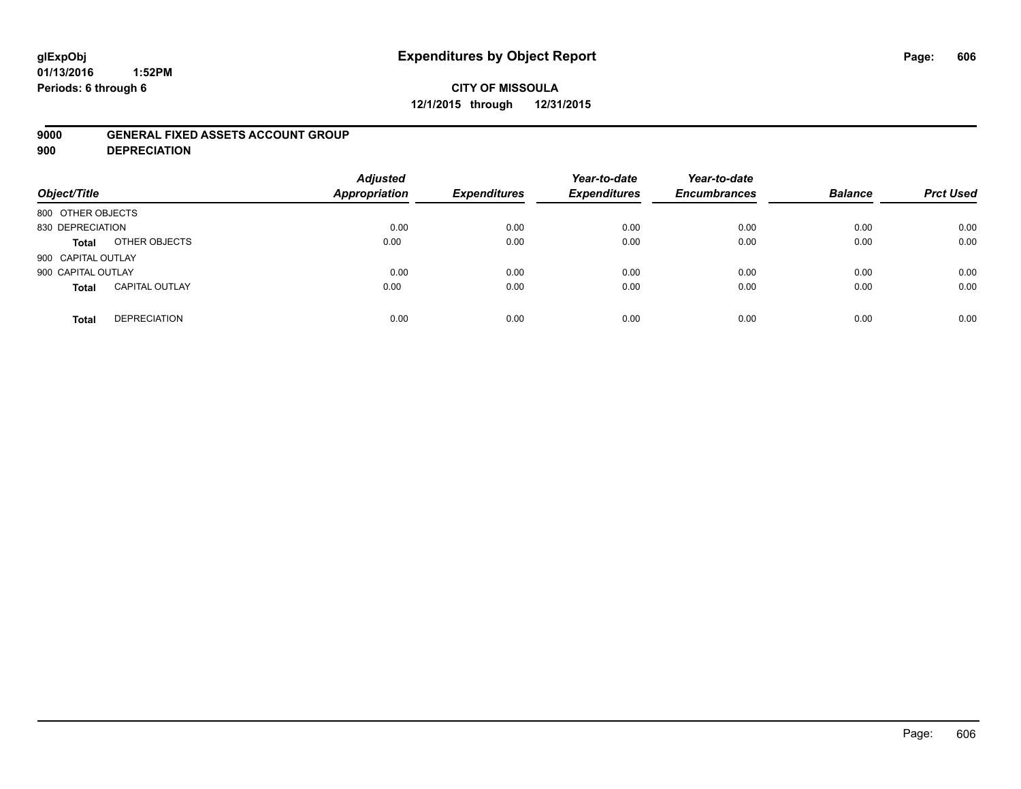# **glExpObj Expenditures by Object Report Page: 606**

#### **01/13/2016 1:52PM Periods: 6 through 6**

## **CITY OF MISSOULA 12/1/2015 through 12/31/2015**

#### **9000 GENERAL FIXED ASSETS ACCOUNT GROUP**

**900 DEPRECIATION**

| Object/Title                          | <b>Adjusted</b><br>Appropriation | <b>Expenditures</b> | Year-to-date<br><b>Expenditures</b> | Year-to-date<br><b>Encumbrances</b> | <b>Balance</b> | <b>Prct Used</b> |
|---------------------------------------|----------------------------------|---------------------|-------------------------------------|-------------------------------------|----------------|------------------|
| 800 OTHER OBJECTS                     |                                  |                     |                                     |                                     |                |                  |
| 830 DEPRECIATION                      | 0.00                             | 0.00                | 0.00                                | 0.00                                | 0.00           | 0.00             |
| OTHER OBJECTS<br><b>Total</b>         | 0.00                             | 0.00                | 0.00                                | 0.00                                | 0.00           | 0.00             |
| 900 CAPITAL OUTLAY                    |                                  |                     |                                     |                                     |                |                  |
| 900 CAPITAL OUTLAY                    | 0.00                             | 0.00                | 0.00                                | 0.00                                | 0.00           | 0.00             |
| <b>CAPITAL OUTLAY</b><br><b>Total</b> | 0.00                             | 0.00                | 0.00                                | 0.00                                | 0.00           | 0.00             |
| <b>DEPRECIATION</b><br><b>Total</b>   | 0.00                             | 0.00                | 0.00                                | 0.00                                | 0.00           | 0.00             |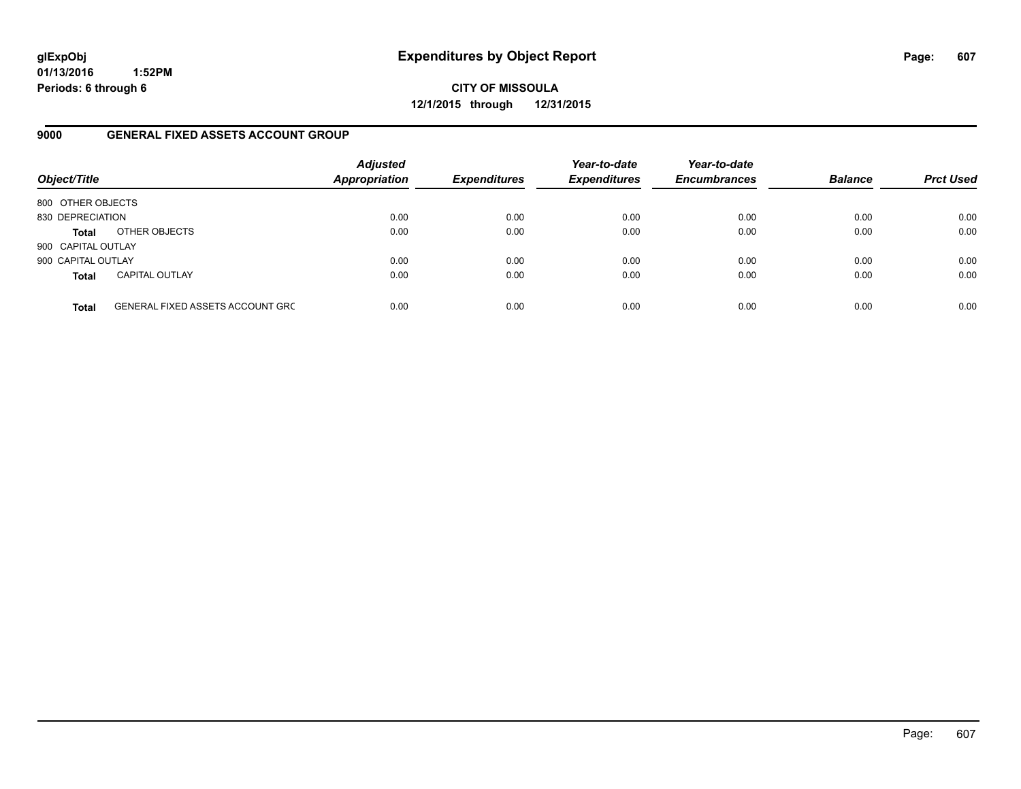**CITY OF MISSOULA 12/1/2015 through 12/31/2015**

#### **9000 GENERAL FIXED ASSETS ACCOUNT GROUP**

| Object/Title       |                                         | <b>Adjusted</b><br><b>Appropriation</b> | <b>Expenditures</b> | Year-to-date<br><b>Expenditures</b> | Year-to-date<br><b>Encumbrances</b> | <b>Balance</b> | <b>Prct Used</b> |
|--------------------|-----------------------------------------|-----------------------------------------|---------------------|-------------------------------------|-------------------------------------|----------------|------------------|
| 800 OTHER OBJECTS  |                                         |                                         |                     |                                     |                                     |                |                  |
| 830 DEPRECIATION   |                                         | 0.00                                    | 0.00                | 0.00                                | 0.00                                | 0.00           | 0.00             |
| <b>Total</b>       | OTHER OBJECTS                           | 0.00                                    | 0.00                | 0.00                                | 0.00                                | 0.00           | 0.00             |
| 900 CAPITAL OUTLAY |                                         |                                         |                     |                                     |                                     |                |                  |
| 900 CAPITAL OUTLAY |                                         | 0.00                                    | 0.00                | 0.00                                | 0.00                                | 0.00           | 0.00             |
| <b>Total</b>       | <b>CAPITAL OUTLAY</b>                   | 0.00                                    | 0.00                | 0.00                                | 0.00                                | 0.00           | 0.00             |
| <b>Total</b>       | <b>GENERAL FIXED ASSETS ACCOUNT GRC</b> | 0.00                                    | 0.00                | 0.00                                | 0.00                                | 0.00           | 0.00             |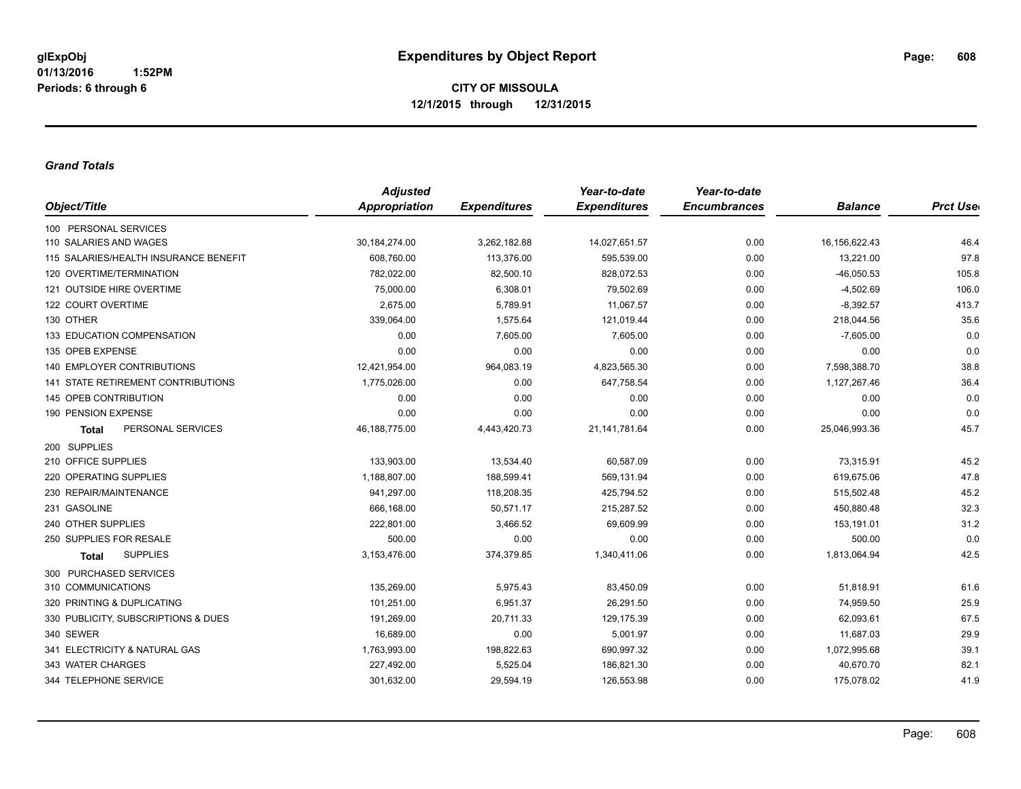#### *Grand Totals*

|                                           | <b>Adjusted</b> |                     | Year-to-date        | Year-to-date        |                |                  |
|-------------------------------------------|-----------------|---------------------|---------------------|---------------------|----------------|------------------|
| Object/Title                              | Appropriation   | <b>Expenditures</b> | <b>Expenditures</b> | <b>Encumbrances</b> | <b>Balance</b> | <b>Prct User</b> |
| 100 PERSONAL SERVICES                     |                 |                     |                     |                     |                |                  |
| 110 SALARIES AND WAGES                    | 30, 184, 274.00 | 3,262,182.88        | 14,027,651.57       | 0.00                | 16,156,622.43  | 46.4             |
| 115 SALARIES/HEALTH INSURANCE BENEFIT     | 608,760.00      | 113,376.00          | 595,539.00          | 0.00                | 13,221.00      | 97.8             |
| 120 OVERTIME/TERMINATION                  | 782,022.00      | 82,500.10           | 828,072.53          | 0.00                | $-46,050.53$   | 105.8            |
| 121 OUTSIDE HIRE OVERTIME                 | 75,000.00       | 6,308.01            | 79,502.69           | 0.00                | $-4,502.69$    | 106.0            |
| 122 COURT OVERTIME                        | 2,675.00        | 5,789.91            | 11,067.57           | 0.00                | $-8,392.57$    | 413.7            |
| 130 OTHER                                 | 339,064.00      | 1,575.64            | 121,019.44          | 0.00                | 218,044.56     | 35.6             |
| 133 EDUCATION COMPENSATION                | 0.00            | 7,605.00            | 7,605.00            | 0.00                | $-7,605.00$    | 0.0              |
| 135 OPEB EXPENSE                          | 0.00            | 0.00                | 0.00                | 0.00                | 0.00           | 0.0              |
| <b>140 EMPLOYER CONTRIBUTIONS</b>         | 12,421,954.00   | 964,083.19          | 4,823,565.30        | 0.00                | 7,598,388.70   | 38.8             |
| <b>141 STATE RETIREMENT CONTRIBUTIONS</b> | 1,775,026.00    | 0.00                | 647,758.54          | 0.00                | 1,127,267.46   | 36.4             |
| <b>145 OPEB CONTRIBUTION</b>              | 0.00            | 0.00                | 0.00                | 0.00                | 0.00           | 0.0              |
| 190 PENSION EXPENSE                       | 0.00            | 0.00                | 0.00                | 0.00                | 0.00           | 0.0              |
| PERSONAL SERVICES<br><b>Total</b>         | 46,188,775.00   | 4,443,420.73        | 21, 141, 781. 64    | 0.00                | 25,046,993.36  | 45.7             |
| 200 SUPPLIES                              |                 |                     |                     |                     |                |                  |
| 210 OFFICE SUPPLIES                       | 133,903.00      | 13,534.40           | 60,587.09           | 0.00                | 73,315.91      | 45.2             |
| 220 OPERATING SUPPLIES                    | 1,188,807.00    | 188,599.41          | 569,131.94          | 0.00                | 619,675.06     | 47.8             |
| 230 REPAIR/MAINTENANCE                    | 941,297.00      | 118,208.35          | 425,794.52          | 0.00                | 515,502.48     | 45.2             |
| 231 GASOLINE                              | 666,168.00      | 50,571.17           | 215,287.52          | 0.00                | 450,880.48     | 32.3             |
| 240 OTHER SUPPLIES                        | 222,801.00      | 3,466.52            | 69,609.99           | 0.00                | 153,191.01     | 31.2             |
| 250 SUPPLIES FOR RESALE                   | 500.00          | 0.00                | 0.00                | 0.00                | 500.00         | 0.0              |
| <b>SUPPLIES</b><br>Total                  | 3,153,476.00    | 374,379.85          | 1,340,411.06        | 0.00                | 1,813,064.94   | 42.5             |
| 300 PURCHASED SERVICES                    |                 |                     |                     |                     |                |                  |
| 310 COMMUNICATIONS                        | 135,269.00      | 5,975.43            | 83,450.09           | 0.00                | 51,818.91      | 61.6             |
| 320 PRINTING & DUPLICATING                | 101,251.00      | 6,951.37            | 26,291.50           | 0.00                | 74,959.50      | 25.9             |
| 330 PUBLICITY, SUBSCRIPTIONS & DUES       | 191,269.00      | 20,711.33           | 129,175.39          | 0.00                | 62,093.61      | 67.5             |
| 340 SEWER                                 | 16,689.00       | 0.00                | 5,001.97            | 0.00                | 11,687.03      | 29.9             |
| 341 ELECTRICITY & NATURAL GAS             | 1,763,993.00    | 198,822.63          | 690,997.32          | 0.00                | 1,072,995.68   | 39.1             |
| 343 WATER CHARGES                         | 227,492.00      | 5,525.04            | 186,821.30          | 0.00                | 40,670.70      | 82.1             |
| 344 TELEPHONE SERVICE                     | 301,632.00      | 29,594.19           | 126,553.98          | 0.00                | 175,078.02     | 41.9             |
|                                           |                 |                     |                     |                     |                |                  |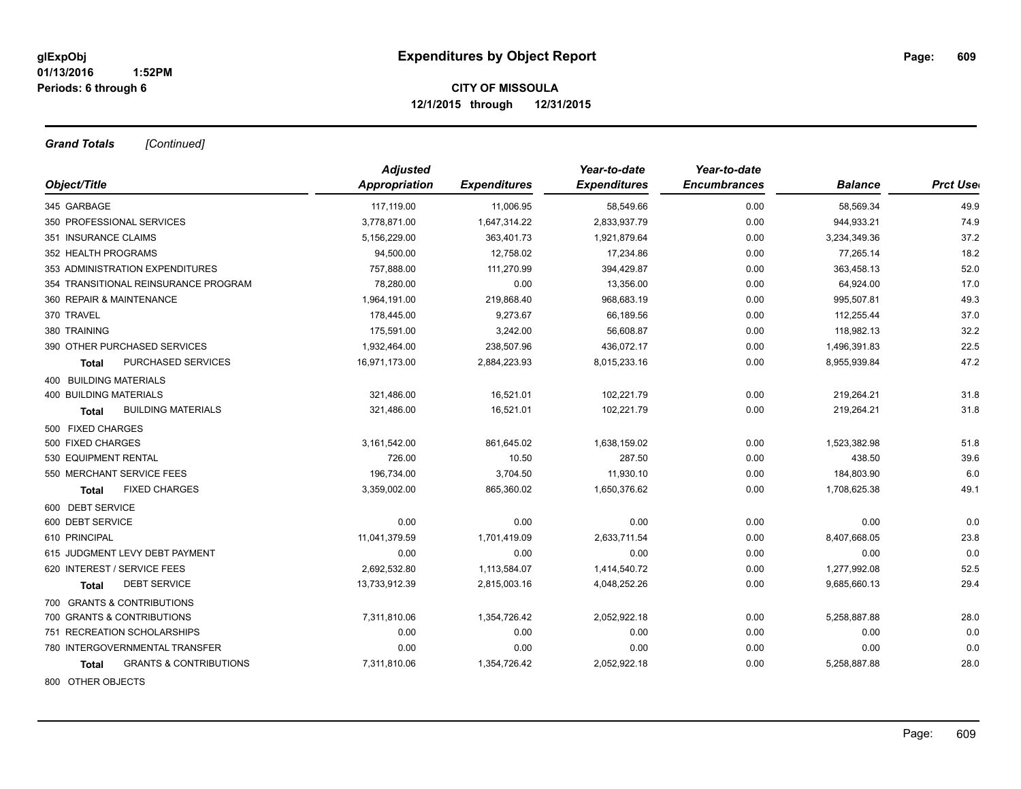*Grand Totals [Continued]*

|                                                   | <b>Adjusted</b> |                     | Year-to-date        | Year-to-date        |                |                 |
|---------------------------------------------------|-----------------|---------------------|---------------------|---------------------|----------------|-----------------|
| Object/Title                                      | Appropriation   | <b>Expenditures</b> | <b>Expenditures</b> | <b>Encumbrances</b> | <b>Balance</b> | <b>Prct Use</b> |
| 345 GARBAGE                                       | 117,119.00      | 11,006.95           | 58,549.66           | 0.00                | 58,569.34      | 49.9            |
| 350 PROFESSIONAL SERVICES                         | 3,778,871.00    | 1,647,314.22        | 2,833,937.79        | 0.00                | 944,933.21     | 74.9            |
| 351 INSURANCE CLAIMS                              | 5,156,229.00    | 363,401.73          | 1,921,879.64        | 0.00                | 3,234,349.36   | 37.2            |
| 352 HEALTH PROGRAMS                               | 94,500.00       | 12,758.02           | 17,234.86           | 0.00                | 77,265.14      | 18.2            |
| 353 ADMINISTRATION EXPENDITURES                   | 757,888.00      | 111,270.99          | 394,429.87          | 0.00                | 363,458.13     | 52.0            |
| 354 TRANSITIONAL REINSURANCE PROGRAM              | 78,280.00       | 0.00                | 13,356.00           | 0.00                | 64,924.00      | 17.0            |
| 360 REPAIR & MAINTENANCE                          | 1,964,191.00    | 219,868.40          | 968,683.19          | 0.00                | 995,507.81     | 49.3            |
| 370 TRAVEL                                        | 178,445.00      | 9,273.67            | 66,189.56           | 0.00                | 112,255.44     | 37.0            |
| 380 TRAINING                                      | 175,591.00      | 3,242.00            | 56,608.87           | 0.00                | 118,982.13     | 32.2            |
| 390 OTHER PURCHASED SERVICES                      | 1,932,464.00    | 238,507.96          | 436,072.17          | 0.00                | 1,496,391.83   | 22.5            |
| PURCHASED SERVICES<br><b>Total</b>                | 16,971,173.00   | 2,884,223.93        | 8,015,233.16        | 0.00                | 8,955,939.84   | 47.2            |
| 400 BUILDING MATERIALS                            |                 |                     |                     |                     |                |                 |
| <b>400 BUILDING MATERIALS</b>                     | 321,486.00      | 16,521.01           | 102,221.79          | 0.00                | 219,264.21     | 31.8            |
| <b>BUILDING MATERIALS</b><br>Total                | 321,486.00      | 16,521.01           | 102,221.79          | 0.00                | 219,264.21     | 31.8            |
| 500 FIXED CHARGES                                 |                 |                     |                     |                     |                |                 |
| 500 FIXED CHARGES                                 | 3,161,542.00    | 861,645.02          | 1,638,159.02        | 0.00                | 1,523,382.98   | 51.8            |
| 530 EQUIPMENT RENTAL                              | 726.00          | 10.50               | 287.50              | 0.00                | 438.50         | 39.6            |
| 550 MERCHANT SERVICE FEES                         | 196,734.00      | 3,704.50            | 11,930.10           | 0.00                | 184,803.90     | 6.0             |
| <b>FIXED CHARGES</b><br>Total                     | 3,359,002.00    | 865,360.02          | 1,650,376.62        | 0.00                | 1,708,625.38   | 49.1            |
| 600 DEBT SERVICE                                  |                 |                     |                     |                     |                |                 |
| 600 DEBT SERVICE                                  | 0.00            | 0.00                | 0.00                | 0.00                | 0.00           | 0.0             |
| 610 PRINCIPAL                                     | 11,041,379.59   | 1,701,419.09        | 2,633,711.54        | 0.00                | 8,407,668.05   | 23.8            |
| 615 JUDGMENT LEVY DEBT PAYMENT                    | 0.00            | 0.00                | 0.00                | 0.00                | 0.00           | 0.0             |
| 620 INTEREST / SERVICE FEES                       | 2,692,532.80    | 1,113,584.07        | 1,414,540.72        | 0.00                | 1,277,992.08   | 52.5            |
| <b>DEBT SERVICE</b><br><b>Total</b>               | 13,733,912.39   | 2,815,003.16        | 4,048,252.26        | 0.00                | 9,685,660.13   | 29.4            |
| 700 GRANTS & CONTRIBUTIONS                        |                 |                     |                     |                     |                |                 |
| 700 GRANTS & CONTRIBUTIONS                        | 7,311,810.06    | 1,354,726.42        | 2,052,922.18        | 0.00                | 5,258,887.88   | 28.0            |
| 751 RECREATION SCHOLARSHIPS                       | 0.00            | 0.00                | 0.00                | 0.00                | 0.00           | 0.0             |
| 780 INTERGOVERNMENTAL TRANSFER                    | 0.00            | 0.00                | 0.00                | 0.00                | 0.00           | 0.0             |
| <b>GRANTS &amp; CONTRIBUTIONS</b><br><b>Total</b> | 7,311,810.06    | 1,354,726.42        | 2,052,922.18        | 0.00                | 5,258,887.88   | 28.0            |
| 800 OTHER OBJECTS                                 |                 |                     |                     |                     |                |                 |